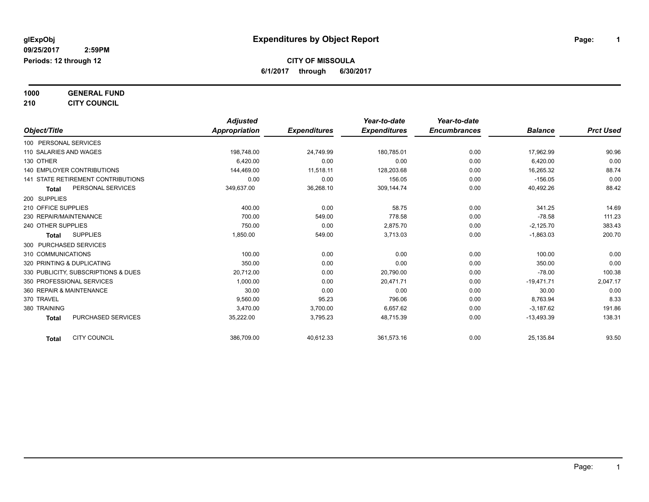#### **1000 GENERAL FUND**

### **210 CITY COUNCIL**

|                                           | <b>Adjusted</b> |                     | Year-to-date        | Year-to-date        |                |                  |
|-------------------------------------------|-----------------|---------------------|---------------------|---------------------|----------------|------------------|
| Object/Title                              | Appropriation   | <b>Expenditures</b> | <b>Expenditures</b> | <b>Encumbrances</b> | <b>Balance</b> | <b>Prct Used</b> |
| 100 PERSONAL SERVICES                     |                 |                     |                     |                     |                |                  |
| 110 SALARIES AND WAGES                    | 198,748.00      | 24,749.99           | 180,785.01          | 0.00                | 17,962.99      | 90.96            |
| 130 OTHER                                 | 6.420.00        | 0.00                | 0.00                | 0.00                | 6,420.00       | 0.00             |
| <b>140 EMPLOYER CONTRIBUTIONS</b>         | 144,469.00      | 11,518.11           | 128,203.68          | 0.00                | 16,265.32      | 88.74            |
| <b>141 STATE RETIREMENT CONTRIBUTIONS</b> | 0.00            | 0.00                | 156.05              | 0.00                | $-156.05$      | 0.00             |
| PERSONAL SERVICES<br><b>Total</b>         | 349,637.00      | 36,268.10           | 309,144.74          | 0.00                | 40,492.26      | 88.42            |
| 200 SUPPLIES                              |                 |                     |                     |                     |                |                  |
| 210 OFFICE SUPPLIES                       | 400.00          | 0.00                | 58.75               | 0.00                | 341.25         | 14.69            |
| 230 REPAIR/MAINTENANCE                    | 700.00          | 549.00              | 778.58              | 0.00                | $-78.58$       | 111.23           |
| 240 OTHER SUPPLIES                        | 750.00          | 0.00                | 2,875.70            | 0.00                | $-2,125.70$    | 383.43           |
| <b>SUPPLIES</b><br>Total                  | 1,850.00        | 549.00              | 3,713.03            | 0.00                | $-1,863.03$    | 200.70           |
| 300 PURCHASED SERVICES                    |                 |                     |                     |                     |                |                  |
| 310 COMMUNICATIONS                        | 100.00          | 0.00                | 0.00                | 0.00                | 100.00         | 0.00             |
| 320 PRINTING & DUPLICATING                | 350.00          | 0.00                | 0.00                | 0.00                | 350.00         | 0.00             |
| 330 PUBLICITY, SUBSCRIPTIONS & DUES       | 20,712.00       | 0.00                | 20,790.00           | 0.00                | $-78.00$       | 100.38           |
| 350 PROFESSIONAL SERVICES                 | 1.000.00        | 0.00                | 20.471.71           | 0.00                | $-19,471.71$   | 2,047.17         |
| 360 REPAIR & MAINTENANCE                  | 30.00           | 0.00                | 0.00                | 0.00                | 30.00          | 0.00             |
| 370 TRAVEL                                | 9,560.00        | 95.23               | 796.06              | 0.00                | 8,763.94       | 8.33             |
| 380 TRAINING                              | 3,470.00        | 3,700.00            | 6,657.62            | 0.00                | $-3,187.62$    | 191.86           |
| PURCHASED SERVICES<br><b>Total</b>        | 35,222.00       | 3,795.23            | 48,715.39           | 0.00                | $-13,493.39$   | 138.31           |
| <b>CITY COUNCIL</b><br>Total              | 386,709.00      | 40,612.33           | 361,573.16          | 0.00                | 25,135.84      | 93.50            |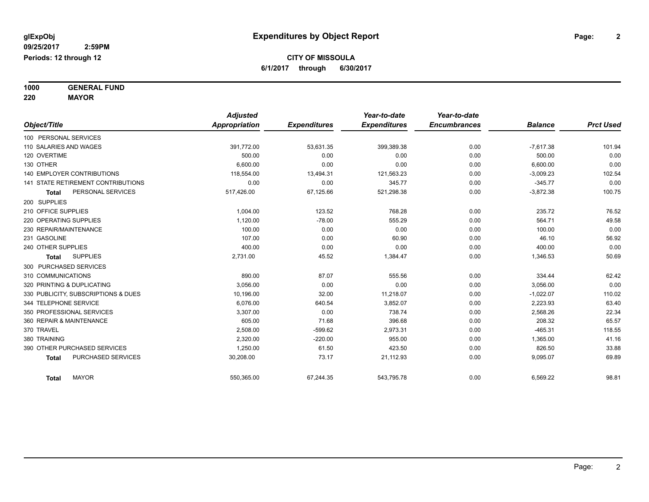**1000 GENERAL FUND**

**220 MAYOR**

|                                           | <b>Adjusted</b> |                     | Year-to-date        | Year-to-date        |                |                  |
|-------------------------------------------|-----------------|---------------------|---------------------|---------------------|----------------|------------------|
| Object/Title                              | Appropriation   | <b>Expenditures</b> | <b>Expenditures</b> | <b>Encumbrances</b> | <b>Balance</b> | <b>Prct Used</b> |
| 100 PERSONAL SERVICES                     |                 |                     |                     |                     |                |                  |
| 110 SALARIES AND WAGES                    | 391,772.00      | 53,631.35           | 399,389.38          | 0.00                | $-7,617.38$    | 101.94           |
| 120 OVERTIME                              | 500.00          | 0.00                | 0.00                | 0.00                | 500.00         | 0.00             |
| 130 OTHER                                 | 6.600.00        | 0.00                | 0.00                | 0.00                | 6,600.00       | 0.00             |
| <b>140 EMPLOYER CONTRIBUTIONS</b>         | 118,554.00      | 13,494.31           | 121,563.23          | 0.00                | $-3,009.23$    | 102.54           |
| <b>141 STATE RETIREMENT CONTRIBUTIONS</b> | 0.00            | 0.00                | 345.77              | 0.00                | $-345.77$      | 0.00             |
| PERSONAL SERVICES<br><b>Total</b>         | 517,426.00      | 67,125.66           | 521,298.38          | 0.00                | $-3,872.38$    | 100.75           |
| 200 SUPPLIES                              |                 |                     |                     |                     |                |                  |
| 210 OFFICE SUPPLIES                       | 1,004.00        | 123.52              | 768.28              | 0.00                | 235.72         | 76.52            |
| 220 OPERATING SUPPLIES                    | 1,120.00        | $-78.00$            | 555.29              | 0.00                | 564.71         | 49.58            |
| 230 REPAIR/MAINTENANCE                    | 100.00          | 0.00                | 0.00                | 0.00                | 100.00         | 0.00             |
| 231 GASOLINE                              | 107.00          | 0.00                | 60.90               | 0.00                | 46.10          | 56.92            |
| 240 OTHER SUPPLIES                        | 400.00          | 0.00                | 0.00                | 0.00                | 400.00         | 0.00             |
| <b>SUPPLIES</b><br><b>Total</b>           | 2,731.00        | 45.52               | 1,384.47            | 0.00                | 1,346.53       | 50.69            |
| 300 PURCHASED SERVICES                    |                 |                     |                     |                     |                |                  |
| 310 COMMUNICATIONS                        | 890.00          | 87.07               | 555.56              | 0.00                | 334.44         | 62.42            |
| 320 PRINTING & DUPLICATING                | 3,056.00        | 0.00                | 0.00                | 0.00                | 3,056.00       | 0.00             |
| 330 PUBLICITY, SUBSCRIPTIONS & DUES       | 10,196.00       | 32.00               | 11,218.07           | 0.00                | $-1,022.07$    | 110.02           |
| 344 TELEPHONE SERVICE                     | 6.076.00        | 640.54              | 3,852.07            | 0.00                | 2,223.93       | 63.40            |
| 350 PROFESSIONAL SERVICES                 | 3,307.00        | 0.00                | 738.74              | 0.00                | 2,568.26       | 22.34            |
| 360 REPAIR & MAINTENANCE                  | 605.00          | 71.68               | 396.68              | 0.00                | 208.32         | 65.57            |
| 370 TRAVEL                                | 2,508.00        | $-599.62$           | 2,973.31            | 0.00                | $-465.31$      | 118.55           |
| 380 TRAINING                              | 2,320.00        | $-220.00$           | 955.00              | 0.00                | 1,365.00       | 41.16            |
| 390 OTHER PURCHASED SERVICES              | 1,250.00        | 61.50               | 423.50              | 0.00                | 826.50         | 33.88            |
| PURCHASED SERVICES<br><b>Total</b>        | 30,208.00       | 73.17               | 21,112.93           | 0.00                | 9,095.07       | 69.89            |
| <b>MAYOR</b><br>Total                     | 550,365.00      | 67,244.35           | 543,795.78          | 0.00                | 6,569.22       | 98.81            |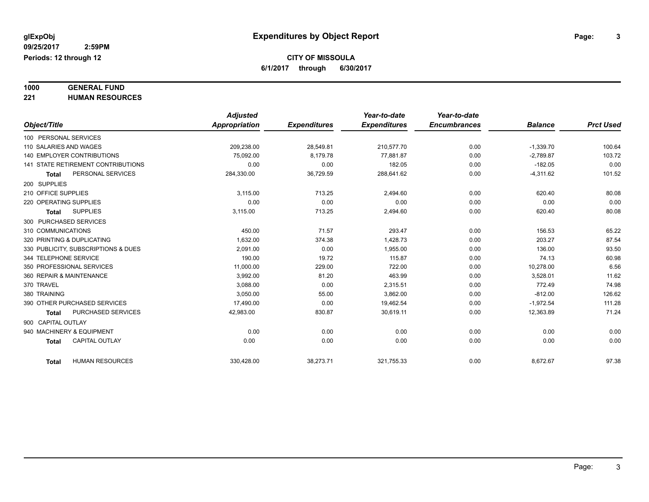# **1000 GENERAL FUND**

**221 HUMAN RESOURCES**

|                                        | <b>Adjusted</b> |                     | Year-to-date        | Year-to-date        |                |                  |
|----------------------------------------|-----------------|---------------------|---------------------|---------------------|----------------|------------------|
| Object/Title                           | Appropriation   | <b>Expenditures</b> | <b>Expenditures</b> | <b>Encumbrances</b> | <b>Balance</b> | <b>Prct Used</b> |
| 100 PERSONAL SERVICES                  |                 |                     |                     |                     |                |                  |
| 110 SALARIES AND WAGES                 | 209,238.00      | 28,549.81           | 210,577.70          | 0.00                | $-1,339.70$    | 100.64           |
| <b>140 EMPLOYER CONTRIBUTIONS</b>      | 75,092.00       | 8,179.78            | 77.881.87           | 0.00                | $-2,789.87$    | 103.72           |
| 141 STATE RETIREMENT CONTRIBUTIONS     | 0.00            | 0.00                | 182.05              | 0.00                | $-182.05$      | 0.00             |
| PERSONAL SERVICES<br><b>Total</b>      | 284,330.00      | 36,729.59           | 288,641.62          | 0.00                | $-4,311.62$    | 101.52           |
| 200 SUPPLIES                           |                 |                     |                     |                     |                |                  |
| 210 OFFICE SUPPLIES                    | 3,115.00        | 713.25              | 2,494.60            | 0.00                | 620.40         | 80.08            |
| 220 OPERATING SUPPLIES                 | 0.00            | 0.00                | 0.00                | 0.00                | 0.00           | 0.00             |
| <b>SUPPLIES</b><br><b>Total</b>        | 3,115.00        | 713.25              | 2,494.60            | 0.00                | 620.40         | 80.08            |
| 300 PURCHASED SERVICES                 |                 |                     |                     |                     |                |                  |
| 310 COMMUNICATIONS                     | 450.00          | 71.57               | 293.47              | 0.00                | 156.53         | 65.22            |
| 320 PRINTING & DUPLICATING             | 1,632.00        | 374.38              | 1,428.73            | 0.00                | 203.27         | 87.54            |
| 330 PUBLICITY, SUBSCRIPTIONS & DUES    | 2,091.00        | 0.00                | 1,955.00            | 0.00                | 136.00         | 93.50            |
| 344 TELEPHONE SERVICE                  | 190.00          | 19.72               | 115.87              | 0.00                | 74.13          | 60.98            |
| 350 PROFESSIONAL SERVICES              | 11,000.00       | 229.00              | 722.00              | 0.00                | 10,278.00      | 6.56             |
| 360 REPAIR & MAINTENANCE               | 3.992.00        | 81.20               | 463.99              | 0.00                | 3,528.01       | 11.62            |
| 370 TRAVEL                             | 3,088.00        | 0.00                | 2,315.51            | 0.00                | 772.49         | 74.98            |
| 380 TRAINING                           | 3.050.00        | 55.00               | 3,862.00            | 0.00                | $-812.00$      | 126.62           |
| 390 OTHER PURCHASED SERVICES           | 17,490.00       | 0.00                | 19,462.54           | 0.00                | $-1,972.54$    | 111.28           |
| PURCHASED SERVICES<br><b>Total</b>     | 42,983.00       | 830.87              | 30,619.11           | 0.00                | 12,363.89      | 71.24            |
| 900 CAPITAL OUTLAY                     |                 |                     |                     |                     |                |                  |
| 940 MACHINERY & EQUIPMENT              | 0.00            | 0.00                | 0.00                | 0.00                | 0.00           | 0.00             |
| <b>CAPITAL OUTLAY</b><br><b>Total</b>  | 0.00            | 0.00                | 0.00                | 0.00                | 0.00           | 0.00             |
|                                        |                 |                     |                     |                     |                |                  |
| <b>HUMAN RESOURCES</b><br><b>Total</b> | 330,428.00      | 38,273.71           | 321,755.33          | 0.00                | 8,672.67       | 97.38            |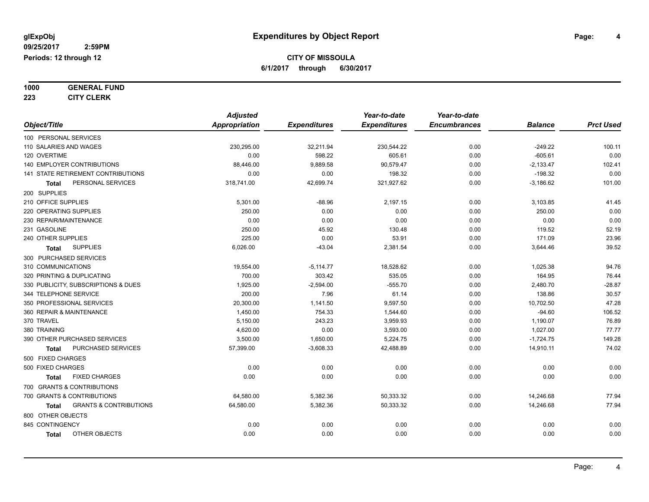**1000 GENERAL FUND**

**223 CITY CLERK**

|                                            | <b>Adjusted</b>      |                     | Year-to-date        | Year-to-date        |                |                  |
|--------------------------------------------|----------------------|---------------------|---------------------|---------------------|----------------|------------------|
| Object/Title                               | <b>Appropriation</b> | <b>Expenditures</b> | <b>Expenditures</b> | <b>Encumbrances</b> | <b>Balance</b> | <b>Prct Used</b> |
| 100 PERSONAL SERVICES                      |                      |                     |                     |                     |                |                  |
| 110 SALARIES AND WAGES                     | 230,295.00           | 32,211.94           | 230,544.22          | 0.00                | $-249.22$      | 100.11           |
| 120 OVERTIME                               | 0.00                 | 598.22              | 605.61              | 0.00                | $-605.61$      | 0.00             |
| 140 EMPLOYER CONTRIBUTIONS                 | 88,446.00            | 9,889.58            | 90,579.47           | 0.00                | $-2,133.47$    | 102.41           |
| 141 STATE RETIREMENT CONTRIBUTIONS         | 0.00                 | 0.00                | 198.32              | 0.00                | $-198.32$      | 0.00             |
| PERSONAL SERVICES<br><b>Total</b>          | 318,741.00           | 42,699.74           | 321,927.62          | 0.00                | $-3,186.62$    | 101.00           |
| 200 SUPPLIES                               |                      |                     |                     |                     |                |                  |
| 210 OFFICE SUPPLIES                        | 5,301.00             | $-88.96$            | 2,197.15            | 0.00                | 3,103.85       | 41.45            |
| 220 OPERATING SUPPLIES                     | 250.00               | 0.00                | 0.00                | 0.00                | 250.00         | 0.00             |
| 230 REPAIR/MAINTENANCE                     | 0.00                 | 0.00                | 0.00                | 0.00                | 0.00           | 0.00             |
| 231 GASOLINE                               | 250.00               | 45.92               | 130.48              | 0.00                | 119.52         | 52.19            |
| 240 OTHER SUPPLIES                         | 225.00               | 0.00                | 53.91               | 0.00                | 171.09         | 23.96            |
| <b>SUPPLIES</b><br><b>Total</b>            | 6,026.00             | $-43.04$            | 2,381.54            | 0.00                | 3,644.46       | 39.52            |
| 300 PURCHASED SERVICES                     |                      |                     |                     |                     |                |                  |
| 310 COMMUNICATIONS                         | 19,554.00            | $-5,114.77$         | 18,528.62           | 0.00                | 1,025.38       | 94.76            |
| 320 PRINTING & DUPLICATING                 | 700.00               | 303.42              | 535.05              | 0.00                | 164.95         | 76.44            |
| 330 PUBLICITY, SUBSCRIPTIONS & DUES        | 1,925.00             | $-2,594.00$         | $-555.70$           | 0.00                | 2,480.70       | $-28.87$         |
| 344 TELEPHONE SERVICE                      | 200.00               | 7.96                | 61.14               | 0.00                | 138.86         | 30.57            |
| 350 PROFESSIONAL SERVICES                  | 20,300.00            | 1,141.50            | 9,597.50            | 0.00                | 10,702.50      | 47.28            |
| 360 REPAIR & MAINTENANCE                   | 1,450.00             | 754.33              | 1,544.60            | 0.00                | $-94.60$       | 106.52           |
| 370 TRAVEL                                 | 5,150.00             | 243.23              | 3,959.93            | 0.00                | 1,190.07       | 76.89            |
| 380 TRAINING                               | 4,620.00             | 0.00                | 3,593.00            | 0.00                | 1,027.00       | 77.77            |
| 390 OTHER PURCHASED SERVICES               | 3,500.00             | 1,650.00            | 5,224.75            | 0.00                | $-1,724.75$    | 149.28           |
| PURCHASED SERVICES<br>Total                | 57,399.00            | $-3,608.33$         | 42,488.89           | 0.00                | 14,910.11      | 74.02            |
| 500 FIXED CHARGES                          |                      |                     |                     |                     |                |                  |
| 500 FIXED CHARGES                          | 0.00                 | 0.00                | 0.00                | 0.00                | 0.00           | 0.00             |
| <b>FIXED CHARGES</b><br>Total              | 0.00                 | 0.00                | 0.00                | 0.00                | 0.00           | 0.00             |
| 700 GRANTS & CONTRIBUTIONS                 |                      |                     |                     |                     |                |                  |
| 700 GRANTS & CONTRIBUTIONS                 | 64,580.00            | 5,382.36            | 50,333.32           | 0.00                | 14,246.68      | 77.94            |
| <b>GRANTS &amp; CONTRIBUTIONS</b><br>Total | 64,580.00            | 5,382.36            | 50,333.32           | 0.00                | 14,246.68      | 77.94            |
| 800 OTHER OBJECTS                          |                      |                     |                     |                     |                |                  |
| 845 CONTINGENCY                            | 0.00                 | 0.00                | 0.00                | 0.00                | 0.00           | 0.00             |
| OTHER OBJECTS<br><b>Total</b>              | 0.00                 | 0.00                | 0.00                | 0.00                | 0.00           | 0.00             |
|                                            |                      |                     |                     |                     |                |                  |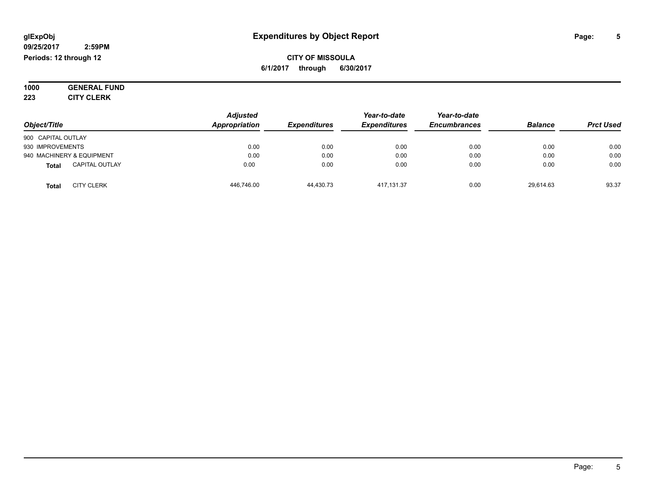#### **09/25/2017 2:59PM Periods: 12 through 12**

**CITY OF MISSOULA 6/1/2017 through 6/30/2017**

**1000 GENERAL FUND 223 CITY CLERK**

|                                       | <b>Adjusted</b> |                     | Year-to-date        | Year-to-date        |                | <b>Prct Used</b> |
|---------------------------------------|-----------------|---------------------|---------------------|---------------------|----------------|------------------|
| Object/Title                          | Appropriation   | <b>Expenditures</b> | <b>Expenditures</b> | <b>Encumbrances</b> | <b>Balance</b> |                  |
| 900 CAPITAL OUTLAY                    |                 |                     |                     |                     |                |                  |
| 930 IMPROVEMENTS                      | 0.00            | 0.00                | 0.00                | 0.00                | 0.00           | 0.00             |
| 940 MACHINERY & EQUIPMENT             | 0.00            | 0.00                | 0.00                | 0.00                | 0.00           | 0.00             |
| <b>CAPITAL OUTLAY</b><br><b>Total</b> | 0.00            | 0.00                | 0.00                | 0.00                | 0.00           | 0.00             |
| <b>CITY CLERK</b><br><b>Total</b>     | 446,746.00      | 44,430.73           | 417, 131.37         | 0.00                | 29,614.63      | 93.37            |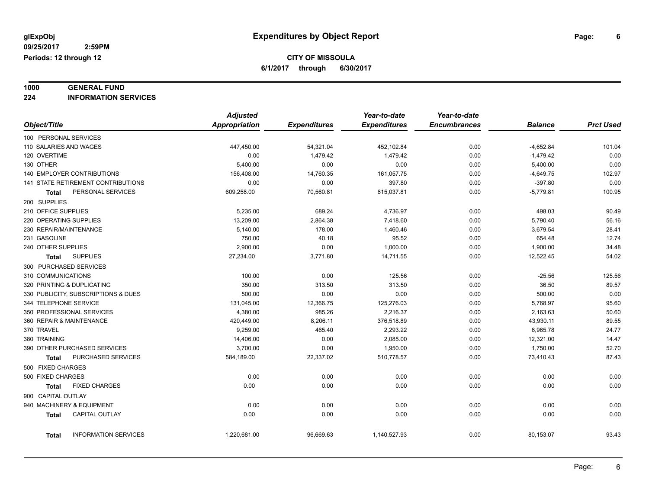# **1000 GENERAL FUND**

**224 INFORMATION SERVICES**

|                                             | <b>Adjusted</b>      |                     | Year-to-date        | Year-to-date        |                |                  |
|---------------------------------------------|----------------------|---------------------|---------------------|---------------------|----------------|------------------|
| Object/Title                                | <b>Appropriation</b> | <b>Expenditures</b> | <b>Expenditures</b> | <b>Encumbrances</b> | <b>Balance</b> | <b>Prct Used</b> |
| 100 PERSONAL SERVICES                       |                      |                     |                     |                     |                |                  |
| 110 SALARIES AND WAGES                      | 447,450.00           | 54,321.04           | 452,102.84          | 0.00                | $-4,652.84$    | 101.04           |
| 120 OVERTIME                                | 0.00                 | 1,479.42            | 1,479.42            | 0.00                | $-1,479.42$    | 0.00             |
| 130 OTHER                                   | 5,400.00             | 0.00                | 0.00                | 0.00                | 5,400.00       | 0.00             |
| <b>140 EMPLOYER CONTRIBUTIONS</b>           | 156,408.00           | 14,760.35           | 161,057.75          | 0.00                | $-4,649.75$    | 102.97           |
| 141 STATE RETIREMENT CONTRIBUTIONS          | 0.00                 | 0.00                | 397.80              | 0.00                | $-397.80$      | 0.00             |
| PERSONAL SERVICES<br>Total                  | 609,258.00           | 70,560.81           | 615,037.81          | 0.00                | $-5,779.81$    | 100.95           |
| 200 SUPPLIES                                |                      |                     |                     |                     |                |                  |
| 210 OFFICE SUPPLIES                         | 5,235.00             | 689.24              | 4,736.97            | 0.00                | 498.03         | 90.49            |
| 220 OPERATING SUPPLIES                      | 13,209.00            | 2,864.38            | 7,418.60            | 0.00                | 5,790.40       | 56.16            |
| 230 REPAIR/MAINTENANCE                      | 5,140.00             | 178.00              | 1,460.46            | 0.00                | 3,679.54       | 28.41            |
| 231 GASOLINE                                | 750.00               | 40.18               | 95.52               | 0.00                | 654.48         | 12.74            |
| 240 OTHER SUPPLIES                          | 2,900.00             | 0.00                | 1,000.00            | 0.00                | 1,900.00       | 34.48            |
| <b>SUPPLIES</b><br><b>Total</b>             | 27,234.00            | 3,771.80            | 14,711.55           | 0.00                | 12,522.45      | 54.02            |
| 300 PURCHASED SERVICES                      |                      |                     |                     |                     |                |                  |
| 310 COMMUNICATIONS                          | 100.00               | 0.00                | 125.56              | 0.00                | $-25.56$       | 125.56           |
| 320 PRINTING & DUPLICATING                  | 350.00               | 313.50              | 313.50              | 0.00                | 36.50          | 89.57            |
| 330 PUBLICITY, SUBSCRIPTIONS & DUES         | 500.00               | 0.00                | 0.00                | 0.00                | 500.00         | 0.00             |
| 344 TELEPHONE SERVICE                       | 131,045.00           | 12,366.75           | 125,276.03          | 0.00                | 5,768.97       | 95.60            |
| 350 PROFESSIONAL SERVICES                   | 4,380.00             | 985.26              | 2,216.37            | 0.00                | 2,163.63       | 50.60            |
| 360 REPAIR & MAINTENANCE                    | 420,449.00           | 8,206.11            | 376,518.89          | 0.00                | 43,930.11      | 89.55            |
| 370 TRAVEL                                  | 9,259.00             | 465.40              | 2,293.22            | 0.00                | 6,965.78       | 24.77            |
| 380 TRAINING                                | 14,406.00            | 0.00                | 2,085.00            | 0.00                | 12,321.00      | 14.47            |
| 390 OTHER PURCHASED SERVICES                | 3,700.00             | 0.00                | 1,950.00            | 0.00                | 1,750.00       | 52.70            |
| PURCHASED SERVICES<br>Total                 | 584,189.00           | 22,337.02           | 510,778.57          | 0.00                | 73,410.43      | 87.43            |
| 500 FIXED CHARGES                           |                      |                     |                     |                     |                |                  |
| 500 FIXED CHARGES                           | 0.00                 | 0.00                | 0.00                | 0.00                | 0.00           | 0.00             |
| <b>FIXED CHARGES</b><br><b>Total</b>        | 0.00                 | 0.00                | 0.00                | 0.00                | 0.00           | 0.00             |
| 900 CAPITAL OUTLAY                          |                      |                     |                     |                     |                |                  |
| 940 MACHINERY & EQUIPMENT                   | 0.00                 | 0.00                | 0.00                | 0.00                | 0.00           | 0.00             |
| <b>CAPITAL OUTLAY</b><br><b>Total</b>       | 0.00                 | 0.00                | 0.00                | 0.00                | 0.00           | 0.00             |
|                                             |                      |                     |                     |                     |                |                  |
| <b>INFORMATION SERVICES</b><br><b>Total</b> | 1,220,681.00         | 96,669.63           | 1,140,527.93        | 0.00                | 80,153.07      | 93.43            |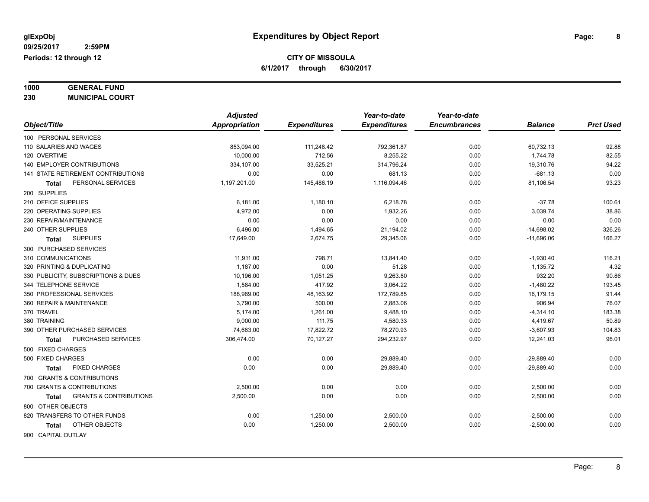**1000 GENERAL FUND**

**230 MUNICIPAL COURT**

|                                            | <b>Adjusted</b> |                     | Year-to-date        | Year-to-date        |                |                  |
|--------------------------------------------|-----------------|---------------------|---------------------|---------------------|----------------|------------------|
| Object/Title                               | Appropriation   | <b>Expenditures</b> | <b>Expenditures</b> | <b>Encumbrances</b> | <b>Balance</b> | <b>Prct Used</b> |
| 100 PERSONAL SERVICES                      |                 |                     |                     |                     |                |                  |
| 110 SALARIES AND WAGES                     | 853,094.00      | 111,248.42          | 792,361.87          | 0.00                | 60,732.13      | 92.88            |
| 120 OVERTIME                               | 10,000.00       | 712.56              | 8,255.22            | 0.00                | 1,744.78       | 82.55            |
| <b>140 EMPLOYER CONTRIBUTIONS</b>          | 334,107.00      | 33,525.21           | 314,796.24          | 0.00                | 19,310.76      | 94.22            |
| 141 STATE RETIREMENT CONTRIBUTIONS         | 0.00            | 0.00                | 681.13              | 0.00                | $-681.13$      | 0.00             |
| PERSONAL SERVICES<br>Total                 | 1,197,201.00    | 145,486.19          | 1,116,094.46        | 0.00                | 81,106.54      | 93.23            |
| 200 SUPPLIES                               |                 |                     |                     |                     |                |                  |
| 210 OFFICE SUPPLIES                        | 6,181.00        | 1,180.10            | 6,218.78            | 0.00                | $-37.78$       | 100.61           |
| 220 OPERATING SUPPLIES                     | 4,972.00        | 0.00                | 1,932.26            | 0.00                | 3,039.74       | 38.86            |
| 230 REPAIR/MAINTENANCE                     | 0.00            | 0.00                | 0.00                | 0.00                | 0.00           | 0.00             |
| 240 OTHER SUPPLIES                         | 6,496.00        | 1,494.65            | 21,194.02           | 0.00                | $-14,698.02$   | 326.26           |
| <b>SUPPLIES</b><br>Total                   | 17,649.00       | 2,674.75            | 29,345.06           | 0.00                | $-11,696.06$   | 166.27           |
| 300 PURCHASED SERVICES                     |                 |                     |                     |                     |                |                  |
| 310 COMMUNICATIONS                         | 11,911.00       | 798.71              | 13,841.40           | 0.00                | $-1,930.40$    | 116.21           |
| 320 PRINTING & DUPLICATING                 | 1,187.00        | 0.00                | 51.28               | 0.00                | 1,135.72       | 4.32             |
| 330 PUBLICITY, SUBSCRIPTIONS & DUES        | 10,196.00       | 1,051.25            | 9,263.80            | 0.00                | 932.20         | 90.86            |
| 344 TELEPHONE SERVICE                      | 1,584.00        | 417.92              | 3,064.22            | 0.00                | $-1,480.22$    | 193.45           |
| 350 PROFESSIONAL SERVICES                  | 188,969.00      | 48,163.92           | 172,789.85          | 0.00                | 16,179.15      | 91.44            |
| 360 REPAIR & MAINTENANCE                   | 3,790.00        | 500.00              | 2,883.06            | 0.00                | 906.94         | 76.07            |
| 370 TRAVEL                                 | 5,174.00        | 1,261.00            | 9,488.10            | 0.00                | $-4,314.10$    | 183.38           |
| 380 TRAINING                               | 9,000.00        | 111.75              | 4,580.33            | 0.00                | 4,419.67       | 50.89            |
| 390 OTHER PURCHASED SERVICES               | 74,663.00       | 17,822.72           | 78,270.93           | 0.00                | $-3,607.93$    | 104.83           |
| PURCHASED SERVICES<br>Total                | 306,474.00      | 70,127.27           | 294,232.97          | 0.00                | 12,241.03      | 96.01            |
| 500 FIXED CHARGES                          |                 |                     |                     |                     |                |                  |
| 500 FIXED CHARGES                          | 0.00            | 0.00                | 29,889.40           | 0.00                | $-29,889.40$   | 0.00             |
| <b>FIXED CHARGES</b><br>Total              | 0.00            | 0.00                | 29,889.40           | 0.00                | $-29,889.40$   | 0.00             |
| 700 GRANTS & CONTRIBUTIONS                 |                 |                     |                     |                     |                |                  |
| 700 GRANTS & CONTRIBUTIONS                 | 2,500.00        | 0.00                | 0.00                | 0.00                | 2,500.00       | 0.00             |
| <b>GRANTS &amp; CONTRIBUTIONS</b><br>Total | 2,500.00        | 0.00                | 0.00                | 0.00                | 2,500.00       | 0.00             |
| 800 OTHER OBJECTS                          |                 |                     |                     |                     |                |                  |
| 820 TRANSFERS TO OTHER FUNDS               | 0.00            | 1,250.00            | 2,500.00            | 0.00                | $-2,500.00$    | 0.00             |
| OTHER OBJECTS<br>Total                     | 0.00            | 1,250.00            | 2,500.00            | 0.00                | $-2,500.00$    | 0.00             |
| 900 CAPITAL OUTLAY                         |                 |                     |                     |                     |                |                  |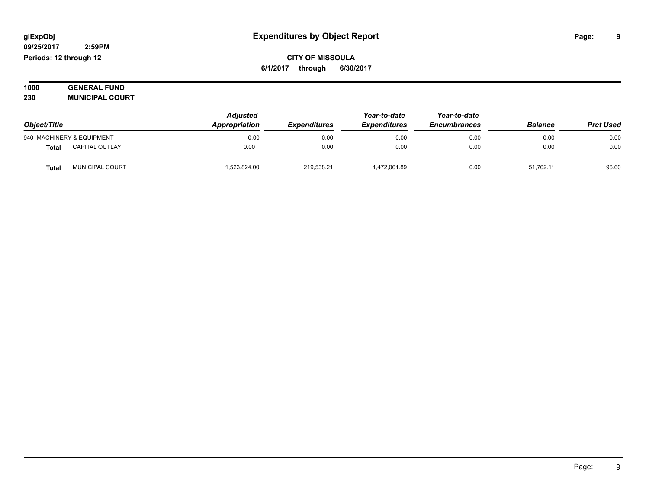#### **09/25/2017 2:59PM Periods: 12 through 12**

**CITY OF MISSOULA 6/1/2017 through 6/30/2017**

| 1000 | <b>GENERAL FUND</b>    |
|------|------------------------|
| 230  | <b>MUNICIPAL COURT</b> |

| Object/Title |                           | <b>Adjusted</b><br>Appropriation | <b>Expenditures</b> | Year-to-date<br><b>Expenditures</b> | Year-to-date<br><b>Encumbrances</b> | <b>Balance</b> | <b>Prct Used</b> |
|--------------|---------------------------|----------------------------------|---------------------|-------------------------------------|-------------------------------------|----------------|------------------|
|              | 940 MACHINERY & EQUIPMENT | 0.00                             | 0.00                | 0.00                                | 0.00                                | 0.00           | 0.00             |
| <b>Total</b> | <b>CAPITAL OUTLAY</b>     | 0.00                             | 0.00                | 0.00                                | 0.00                                | 0.00           | 0.00             |
| <b>Total</b> | MUNICIPAL COURT           | 1,523,824.00                     | 219.538.21          | 472,061.89                          | 0.00                                | 51,762.11      | 96.60            |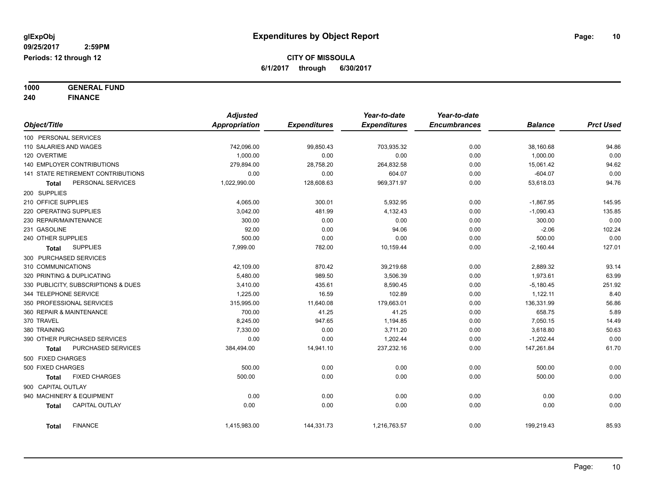**1000 GENERAL FUND 240 FINANCE**

|                                       | <b>Adjusted</b> |                     | Year-to-date        | Year-to-date        |                |                  |
|---------------------------------------|-----------------|---------------------|---------------------|---------------------|----------------|------------------|
| Object/Title                          | Appropriation   | <b>Expenditures</b> | <b>Expenditures</b> | <b>Encumbrances</b> | <b>Balance</b> | <b>Prct Used</b> |
| 100 PERSONAL SERVICES                 |                 |                     |                     |                     |                |                  |
| 110 SALARIES AND WAGES                | 742,096.00      | 99,850.43           | 703,935.32          | 0.00                | 38,160.68      | 94.86            |
| 120 OVERTIME                          | 1.000.00        | 0.00                | 0.00                | 0.00                | 1,000.00       | 0.00             |
| 140 EMPLOYER CONTRIBUTIONS            | 279,894.00      | 28,758.20           | 264,832.58          | 0.00                | 15,061.42      | 94.62            |
| 141 STATE RETIREMENT CONTRIBUTIONS    | 0.00            | 0.00                | 604.07              | 0.00                | $-604.07$      | 0.00             |
| PERSONAL SERVICES<br>Total            | 1,022,990.00    | 128,608.63          | 969,371.97          | 0.00                | 53,618.03      | 94.76            |
| 200 SUPPLIES                          |                 |                     |                     |                     |                |                  |
| 210 OFFICE SUPPLIES                   | 4,065.00        | 300.01              | 5,932.95            | 0.00                | $-1,867.95$    | 145.95           |
| 220 OPERATING SUPPLIES                | 3,042.00        | 481.99              | 4,132.43            | 0.00                | $-1,090.43$    | 135.85           |
| 230 REPAIR/MAINTENANCE                | 300.00          | 0.00                | 0.00                | 0.00                | 300.00         | 0.00             |
| 231 GASOLINE                          | 92.00           | 0.00                | 94.06               | 0.00                | $-2.06$        | 102.24           |
| 240 OTHER SUPPLIES                    | 500.00          | 0.00                | 0.00                | 0.00                | 500.00         | 0.00             |
| <b>SUPPLIES</b><br>Total              | 7,999.00        | 782.00              | 10,159.44           | 0.00                | $-2,160.44$    | 127.01           |
| 300 PURCHASED SERVICES                |                 |                     |                     |                     |                |                  |
| 310 COMMUNICATIONS                    | 42,109.00       | 870.42              | 39,219.68           | 0.00                | 2,889.32       | 93.14            |
| 320 PRINTING & DUPLICATING            | 5,480.00        | 989.50              | 3,506.39            | 0.00                | 1,973.61       | 63.99            |
| 330 PUBLICITY, SUBSCRIPTIONS & DUES   | 3,410.00        | 435.61              | 8,590.45            | 0.00                | $-5,180.45$    | 251.92           |
| 344 TELEPHONE SERVICE                 | 1,225.00        | 16.59               | 102.89              | 0.00                | 1,122.11       | 8.40             |
| 350 PROFESSIONAL SERVICES             | 315,995.00      | 11,640.08           | 179,663.01          | 0.00                | 136,331.99     | 56.86            |
| 360 REPAIR & MAINTENANCE              | 700.00          | 41.25               | 41.25               | 0.00                | 658.75         | 5.89             |
| 370 TRAVEL                            | 8,245.00        | 947.65              | 1,194.85            | 0.00                | 7,050.15       | 14.49            |
| 380 TRAINING                          | 7,330.00        | 0.00                | 3,711.20            | 0.00                | 3,618.80       | 50.63            |
| 390 OTHER PURCHASED SERVICES          | 0.00            | 0.00                | 1,202.44            | 0.00                | $-1,202.44$    | 0.00             |
| PURCHASED SERVICES<br><b>Total</b>    | 384,494.00      | 14,941.10           | 237,232.16          | 0.00                | 147,261.84     | 61.70            |
| 500 FIXED CHARGES                     |                 |                     |                     |                     |                |                  |
| 500 FIXED CHARGES                     | 500.00          | 0.00                | 0.00                | 0.00                | 500.00         | 0.00             |
| <b>FIXED CHARGES</b><br>Total         | 500.00          | 0.00                | 0.00                | 0.00                | 500.00         | 0.00             |
| 900 CAPITAL OUTLAY                    |                 |                     |                     |                     |                |                  |
| 940 MACHINERY & EQUIPMENT             | 0.00            | 0.00                | 0.00                | 0.00                | 0.00           | 0.00             |
| <b>CAPITAL OUTLAY</b><br><b>Total</b> | 0.00            | 0.00                | 0.00                | 0.00                | 0.00           | 0.00             |
| <b>FINANCE</b><br><b>Total</b>        | 1,415,983.00    | 144,331.73          | 1,216,763.57        | 0.00                | 199,219.43     | 85.93            |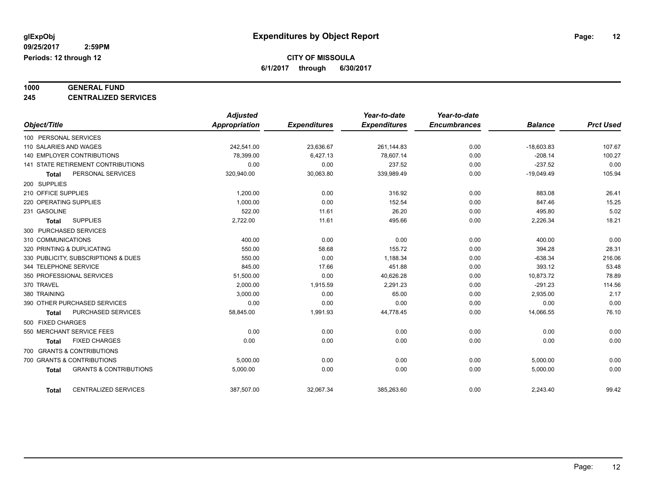# **1000 GENERAL FUND**

**245 CENTRALIZED SERVICES**

|                                                   | <b>Adjusted</b> |                     | Year-to-date        | Year-to-date        |                |                  |
|---------------------------------------------------|-----------------|---------------------|---------------------|---------------------|----------------|------------------|
| Object/Title                                      | Appropriation   | <b>Expenditures</b> | <b>Expenditures</b> | <b>Encumbrances</b> | <b>Balance</b> | <b>Prct Used</b> |
| 100 PERSONAL SERVICES                             |                 |                     |                     |                     |                |                  |
| 110 SALARIES AND WAGES                            | 242,541.00      | 23,636.67           | 261,144.83          | 0.00                | $-18,603.83$   | 107.67           |
| 140 EMPLOYER CONTRIBUTIONS                        | 78,399.00       | 6,427.13            | 78,607.14           | 0.00                | $-208.14$      | 100.27           |
| <b>141 STATE RETIREMENT CONTRIBUTIONS</b>         | 0.00            | 0.00                | 237.52              | 0.00                | $-237.52$      | 0.00             |
| PERSONAL SERVICES<br><b>Total</b>                 | 320,940.00      | 30,063.80           | 339,989.49          | 0.00                | $-19,049.49$   | 105.94           |
| 200 SUPPLIES                                      |                 |                     |                     |                     |                |                  |
| 210 OFFICE SUPPLIES                               | 1.200.00        | 0.00                | 316.92              | 0.00                | 883.08         | 26.41            |
| 220 OPERATING SUPPLIES                            | 1,000.00        | 0.00                | 152.54              | 0.00                | 847.46         | 15.25            |
| 231 GASOLINE                                      | 522.00          | 11.61               | 26.20               | 0.00                | 495.80         | 5.02             |
| <b>SUPPLIES</b><br><b>Total</b>                   | 2,722.00        | 11.61               | 495.66              | 0.00                | 2,226.34       | 18.21            |
| 300 PURCHASED SERVICES                            |                 |                     |                     |                     |                |                  |
| 310 COMMUNICATIONS                                | 400.00          | 0.00                | 0.00                | 0.00                | 400.00         | 0.00             |
| 320 PRINTING & DUPLICATING                        | 550.00          | 58.68               | 155.72              | 0.00                | 394.28         | 28.31            |
| 330 PUBLICITY, SUBSCRIPTIONS & DUES               | 550.00          | 0.00                | 1,188.34            | 0.00                | $-638.34$      | 216.06           |
| 344 TELEPHONE SERVICE                             | 845.00          | 17.66               | 451.88              | 0.00                | 393.12         | 53.48            |
| 350 PROFESSIONAL SERVICES                         | 51,500.00       | 0.00                | 40,626.28           | 0.00                | 10,873.72      | 78.89            |
| 370 TRAVEL                                        | 2,000.00        | 1,915.59            | 2,291.23            | 0.00                | $-291.23$      | 114.56           |
| 380 TRAINING                                      | 3,000.00        | 0.00                | 65.00               | 0.00                | 2,935.00       | 2.17             |
| 390 OTHER PURCHASED SERVICES                      | 0.00            | 0.00                | 0.00                | 0.00                | 0.00           | 0.00             |
| PURCHASED SERVICES<br><b>Total</b>                | 58,845.00       | 1,991.93            | 44,778.45           | 0.00                | 14,066.55      | 76.10            |
| 500 FIXED CHARGES                                 |                 |                     |                     |                     |                |                  |
| 550 MERCHANT SERVICE FEES                         | 0.00            | 0.00                | 0.00                | 0.00                | 0.00           | 0.00             |
| <b>FIXED CHARGES</b><br><b>Total</b>              | 0.00            | 0.00                | 0.00                | 0.00                | 0.00           | 0.00             |
| 700 GRANTS & CONTRIBUTIONS                        |                 |                     |                     |                     |                |                  |
| 700 GRANTS & CONTRIBUTIONS                        | 5.000.00        | 0.00                | 0.00                | 0.00                | 5,000.00       | 0.00             |
| <b>GRANTS &amp; CONTRIBUTIONS</b><br><b>Total</b> | 5,000.00        | 0.00                | 0.00                | 0.00                | 5,000.00       | 0.00             |
| <b>CENTRALIZED SERVICES</b><br><b>Total</b>       | 387,507.00      | 32,067.34           | 385,263.60          | 0.00                | 2,243.40       | 99.42            |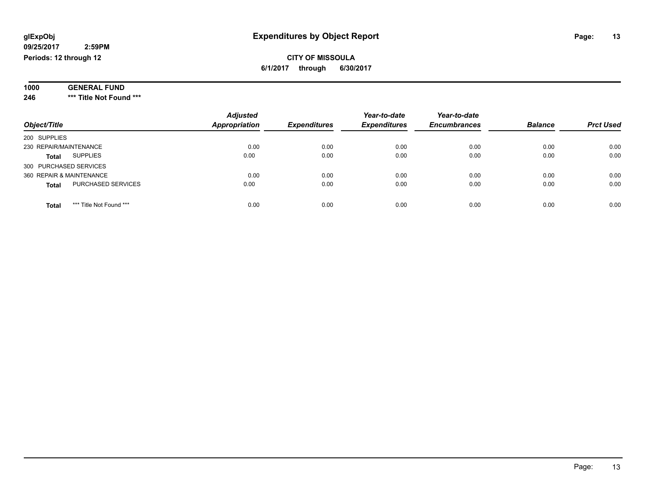#### **09/25/2017 2:59PM Periods: 12 through 12**

### **CITY OF MISSOULA 6/1/2017 through 6/30/2017**

| 1000 | <b>GENERAL FUND</b>     |  |
|------|-------------------------|--|
| 246  | *** Title Not Found *** |  |

| Object/Title                              | <b>Adjusted</b><br><b>Appropriation</b> | <b>Expenditures</b> | Year-to-date<br><b>Expenditures</b> | Year-to-date<br><b>Encumbrances</b> | <b>Balance</b> | <b>Prct Used</b> |
|-------------------------------------------|-----------------------------------------|---------------------|-------------------------------------|-------------------------------------|----------------|------------------|
| 200 SUPPLIES                              |                                         |                     |                                     |                                     |                |                  |
| 230 REPAIR/MAINTENANCE                    | 0.00                                    | 0.00                | 0.00                                | 0.00                                | 0.00           | 0.00             |
| <b>SUPPLIES</b><br><b>Total</b>           | 0.00                                    | 0.00                | 0.00                                | 0.00                                | 0.00           | 0.00             |
| 300 PURCHASED SERVICES                    |                                         |                     |                                     |                                     |                |                  |
| 360 REPAIR & MAINTENANCE                  | 0.00                                    | 0.00                | 0.00                                | 0.00                                | 0.00           | 0.00             |
| <b>PURCHASED SERVICES</b><br><b>Total</b> | 0.00                                    | 0.00                | 0.00                                | 0.00                                | 0.00           | 0.00             |
| *** Title Not Found ***<br><b>Total</b>   | 0.00                                    | 0.00                | 0.00                                | 0.00                                | 0.00           | 0.00             |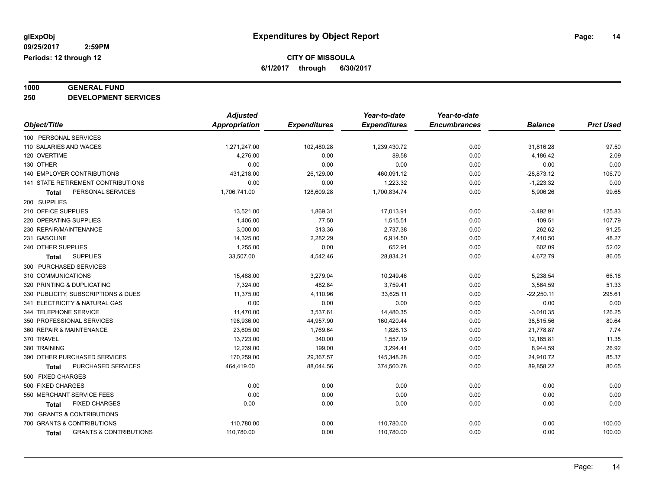# **1000 GENERAL FUND**

**250 DEVELOPMENT SERVICES**

|                                            | <b>Adjusted</b>      |                     | Year-to-date        | Year-to-date        |                |                  |
|--------------------------------------------|----------------------|---------------------|---------------------|---------------------|----------------|------------------|
| Object/Title                               | <b>Appropriation</b> | <b>Expenditures</b> | <b>Expenditures</b> | <b>Encumbrances</b> | <b>Balance</b> | <b>Prct Used</b> |
| 100 PERSONAL SERVICES                      |                      |                     |                     |                     |                |                  |
| 110 SALARIES AND WAGES                     | 1,271,247.00         | 102,480.28          | 1,239,430.72        | 0.00                | 31,816.28      | 97.50            |
| 120 OVERTIME                               | 4,276.00             | 0.00                | 89.58               | 0.00                | 4,186.42       | 2.09             |
| 130 OTHER                                  | 0.00                 | 0.00                | 0.00                | 0.00                | 0.00           | 0.00             |
| <b>140 EMPLOYER CONTRIBUTIONS</b>          | 431,218.00           | 26,129.00           | 460,091.12          | 0.00                | $-28,873.12$   | 106.70           |
| <b>141 STATE RETIREMENT CONTRIBUTIONS</b>  | 0.00                 | 0.00                | 1,223.32            | 0.00                | $-1,223.32$    | 0.00             |
| PERSONAL SERVICES<br>Total                 | 1,706,741.00         | 128,609.28          | 1,700,834.74        | 0.00                | 5,906.26       | 99.65            |
| 200 SUPPLIES                               |                      |                     |                     |                     |                |                  |
| 210 OFFICE SUPPLIES                        | 13,521.00            | 1,869.31            | 17,013.91           | 0.00                | $-3,492.91$    | 125.83           |
| 220 OPERATING SUPPLIES                     | 1,406.00             | 77.50               | 1,515.51            | 0.00                | $-109.51$      | 107.79           |
| 230 REPAIR/MAINTENANCE                     | 3,000.00             | 313.36              | 2,737.38            | 0.00                | 262.62         | 91.25            |
| 231 GASOLINE                               | 14,325.00            | 2,282.29            | 6,914.50            | 0.00                | 7,410.50       | 48.27            |
| 240 OTHER SUPPLIES                         | 1,255.00             | 0.00                | 652.91              | 0.00                | 602.09         | 52.02            |
| <b>SUPPLIES</b><br><b>Total</b>            | 33,507.00            | 4,542.46            | 28,834.21           | 0.00                | 4,672.79       | 86.05            |
| 300 PURCHASED SERVICES                     |                      |                     |                     |                     |                |                  |
| 310 COMMUNICATIONS                         | 15,488.00            | 3,279.04            | 10,249.46           | 0.00                | 5,238.54       | 66.18            |
| 320 PRINTING & DUPLICATING                 | 7,324.00             | 482.84              | 3,759.41            | 0.00                | 3,564.59       | 51.33            |
| 330 PUBLICITY, SUBSCRIPTIONS & DUES        | 11,375.00            | 4,110.96            | 33,625.11           | 0.00                | $-22,250.11$   | 295.61           |
| 341 ELECTRICITY & NATURAL GAS              | 0.00                 | 0.00                | 0.00                | 0.00                | 0.00           | 0.00             |
| 344 TELEPHONE SERVICE                      | 11,470.00            | 3,537.61            | 14,480.35           | 0.00                | $-3,010.35$    | 126.25           |
| 350 PROFESSIONAL SERVICES                  | 198,936.00           | 44,957.90           | 160,420.44          | 0.00                | 38,515.56      | 80.64            |
| 360 REPAIR & MAINTENANCE                   | 23,605.00            | 1,769.64            | 1,826.13            | 0.00                | 21,778.87      | 7.74             |
| 370 TRAVEL                                 | 13,723.00            | 340.00              | 1,557.19            | 0.00                | 12,165.81      | 11.35            |
| 380 TRAINING                               | 12,239.00            | 199.00              | 3,294.41            | 0.00                | 8,944.59       | 26.92            |
| 390 OTHER PURCHASED SERVICES               | 170,259.00           | 29,367.57           | 145,348.28          | 0.00                | 24,910.72      | 85.37            |
| PURCHASED SERVICES<br>Total                | 464,419.00           | 88,044.56           | 374,560.78          | 0.00                | 89,858.22      | 80.65            |
| 500 FIXED CHARGES                          |                      |                     |                     |                     |                |                  |
| 500 FIXED CHARGES                          | 0.00                 | 0.00                | 0.00                | 0.00                | 0.00           | 0.00             |
| 550 MERCHANT SERVICE FEES                  | 0.00                 | 0.00                | 0.00                | 0.00                | 0.00           | 0.00             |
| <b>FIXED CHARGES</b><br><b>Total</b>       | 0.00                 | 0.00                | 0.00                | 0.00                | 0.00           | 0.00             |
| 700 GRANTS & CONTRIBUTIONS                 |                      |                     |                     |                     |                |                  |
| 700 GRANTS & CONTRIBUTIONS                 | 110,780.00           | 0.00                | 110,780.00          | 0.00                | 0.00           | 100.00           |
| <b>GRANTS &amp; CONTRIBUTIONS</b><br>Total | 110,780.00           | 0.00                | 110,780.00          | 0.00                | 0.00           | 100.00           |
|                                            |                      |                     |                     |                     |                |                  |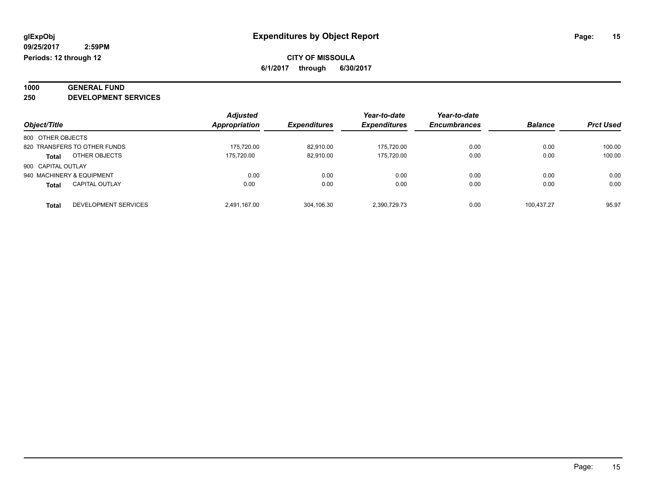# **1000 GENERAL FUND**

**250 DEVELOPMENT SERVICES**

|                                       | <b>Adjusted</b>      |                     | Year-to-date        | Year-to-date        |                |                  |
|---------------------------------------|----------------------|---------------------|---------------------|---------------------|----------------|------------------|
| Object/Title                          | <b>Appropriation</b> | <b>Expenditures</b> | <b>Expenditures</b> | <b>Encumbrances</b> | <b>Balance</b> | <b>Prct Used</b> |
| 800 OTHER OBJECTS                     |                      |                     |                     |                     |                |                  |
| 820 TRANSFERS TO OTHER FUNDS          | 175.720.00           | 82.910.00           | 175.720.00          | 0.00                | 0.00           | 100.00           |
| OTHER OBJECTS<br><b>Total</b>         | 175.720.00           | 82,910.00           | 175.720.00          | 0.00                | 0.00           | 100.00           |
| 900 CAPITAL OUTLAY                    |                      |                     |                     |                     |                |                  |
| 940 MACHINERY & EQUIPMENT             | 0.00                 | 0.00                | 0.00                | 0.00                | 0.00           | 0.00             |
| <b>CAPITAL OUTLAY</b><br><b>Total</b> | 0.00                 | 0.00                | 0.00                | 0.00                | 0.00           | 0.00             |
| DEVELOPMENT SERVICES<br>Total         | 2.491.167.00         | 304.106.30          | 2.390.729.73        | 0.00                | 100.437.27     | 95.97            |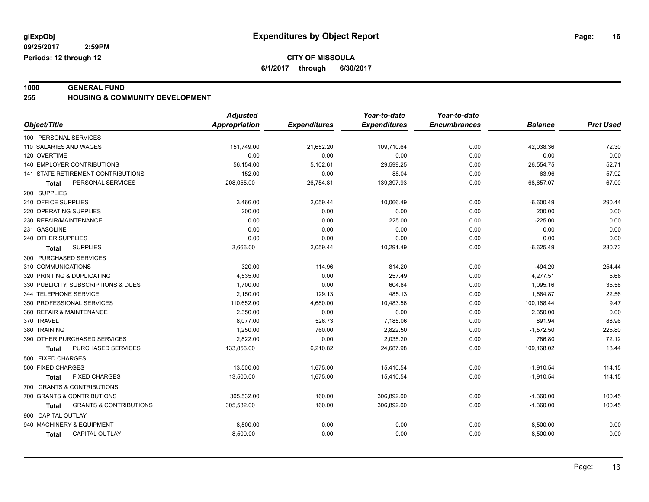**CITY OF MISSOULA**

**6/1/2017 through 6/30/2017**

**1000 GENERAL FUND 255 HOUSING & COMMUNITY DEVELOPMENT**

|                                            | <b>Adjusted</b>      |                     | Year-to-date        | Year-to-date        |                |                  |
|--------------------------------------------|----------------------|---------------------|---------------------|---------------------|----------------|------------------|
| Object/Title                               | <b>Appropriation</b> | <b>Expenditures</b> | <b>Expenditures</b> | <b>Encumbrances</b> | <b>Balance</b> | <b>Prct Used</b> |
| 100 PERSONAL SERVICES                      |                      |                     |                     |                     |                |                  |
| 110 SALARIES AND WAGES                     | 151,749.00           | 21,652.20           | 109,710.64          | 0.00                | 42,038.36      | 72.30            |
| 120 OVERTIME                               | 0.00                 | 0.00                | 0.00                | 0.00                | 0.00           | 0.00             |
| 140 EMPLOYER CONTRIBUTIONS                 | 56,154.00            | 5,102.61            | 29,599.25           | 0.00                | 26,554.75      | 52.71            |
| <b>141 STATE RETIREMENT CONTRIBUTIONS</b>  | 152.00               | 0.00                | 88.04               | 0.00                | 63.96          | 57.92            |
| PERSONAL SERVICES<br><b>Total</b>          | 208,055.00           | 26,754.81           | 139,397.93          | 0.00                | 68,657.07      | 67.00            |
| 200 SUPPLIES                               |                      |                     |                     |                     |                |                  |
| 210 OFFICE SUPPLIES                        | 3,466.00             | 2,059.44            | 10,066.49           | 0.00                | $-6,600.49$    | 290.44           |
| 220 OPERATING SUPPLIES                     | 200.00               | 0.00                | 0.00                | 0.00                | 200.00         | 0.00             |
| 230 REPAIR/MAINTENANCE                     | 0.00                 | 0.00                | 225.00              | 0.00                | $-225.00$      | 0.00             |
| 231 GASOLINE                               | 0.00                 | 0.00                | 0.00                | 0.00                | 0.00           | 0.00             |
| 240 OTHER SUPPLIES                         | 0.00                 | 0.00                | 0.00                | 0.00                | 0.00           | 0.00             |
| <b>SUPPLIES</b><br>Total                   | 3,666.00             | 2,059.44            | 10,291.49           | 0.00                | $-6,625.49$    | 280.73           |
| 300 PURCHASED SERVICES                     |                      |                     |                     |                     |                |                  |
| 310 COMMUNICATIONS                         | 320.00               | 114.96              | 814.20              | 0.00                | $-494.20$      | 254.44           |
| 320 PRINTING & DUPLICATING                 | 4,535.00             | 0.00                | 257.49              | 0.00                | 4,277.51       | 5.68             |
| 330 PUBLICITY, SUBSCRIPTIONS & DUES        | 1,700.00             | 0.00                | 604.84              | 0.00                | 1,095.16       | 35.58            |
| 344 TELEPHONE SERVICE                      | 2,150.00             | 129.13              | 485.13              | 0.00                | 1,664.87       | 22.56            |
| 350 PROFESSIONAL SERVICES                  | 110,652.00           | 4,680.00            | 10,483.56           | 0.00                | 100,168.44     | 9.47             |
| 360 REPAIR & MAINTENANCE                   | 2.350.00             | 0.00                | 0.00                | 0.00                | 2,350.00       | 0.00             |
| 370 TRAVEL                                 | 8,077.00             | 526.73              | 7,185.06            | 0.00                | 891.94         | 88.96            |
| 380 TRAINING                               | 1,250.00             | 760.00              | 2,822.50            | 0.00                | $-1,572.50$    | 225.80           |
| 390 OTHER PURCHASED SERVICES               | 2,822.00             | 0.00                | 2,035.20            | 0.00                | 786.80         | 72.12            |
| PURCHASED SERVICES<br><b>Total</b>         | 133,856.00           | 6,210.82            | 24,687.98           | 0.00                | 109,168.02     | 18.44            |
| 500 FIXED CHARGES                          |                      |                     |                     |                     |                |                  |
| 500 FIXED CHARGES                          | 13,500.00            | 1,675.00            | 15,410.54           | 0.00                | $-1,910.54$    | 114.15           |
| <b>FIXED CHARGES</b><br>Total              | 13,500.00            | 1,675.00            | 15,410.54           | 0.00                | $-1,910.54$    | 114.15           |
| 700 GRANTS & CONTRIBUTIONS                 |                      |                     |                     |                     |                |                  |
| 700 GRANTS & CONTRIBUTIONS                 | 305,532.00           | 160.00              | 306,892.00          | 0.00                | $-1,360.00$    | 100.45           |
| <b>GRANTS &amp; CONTRIBUTIONS</b><br>Total | 305,532.00           | 160.00              | 306,892.00          | 0.00                | $-1,360.00$    | 100.45           |
| 900 CAPITAL OUTLAY                         |                      |                     |                     |                     |                |                  |
| 940 MACHINERY & EQUIPMENT                  | 8,500.00             | 0.00                | 0.00                | 0.00                | 8,500.00       | 0.00             |
| CAPITAL OUTLAY<br>Total                    | 8,500.00             | 0.00                | 0.00                | 0.00                | 8,500.00       | 0.00             |
|                                            |                      |                     |                     |                     |                |                  |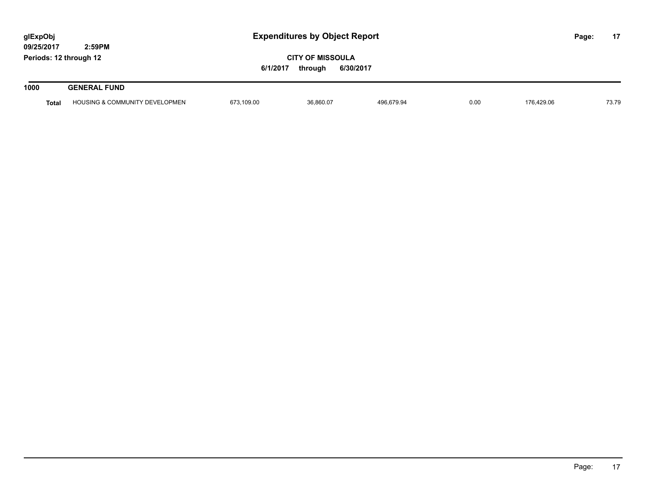| glExpObj<br>09/25/2017 | 2:59PM                                    | <b>Expenditures by Object Report</b>                        |           |            |      |            | Page: | 17    |
|------------------------|-------------------------------------------|-------------------------------------------------------------|-----------|------------|------|------------|-------|-------|
| Periods: 12 through 12 |                                           | <b>CITY OF MISSOULA</b><br>6/1/2017<br>6/30/2017<br>through |           |            |      |            |       |       |
| 1000                   | <b>GENERAL FUND</b>                       |                                                             |           |            |      |            |       |       |
| <b>Total</b>           | <b>HOUSING &amp; COMMUNITY DEVELOPMEN</b> | 673,109.00                                                  | 36.860.07 | 496.679.94 | 0.00 | 176.429.06 |       | 73.79 |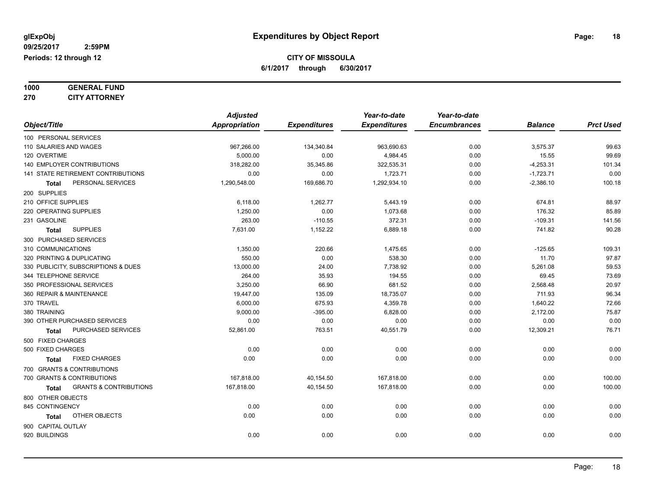| 1000 | <b>GENERAL FUND</b>  |
|------|----------------------|
| 270  | <b>CITY ATTORNEY</b> |

| Object/Title                                      | <b>Adjusted</b><br><b>Appropriation</b> | <b>Expenditures</b> | Year-to-date<br><b>Expenditures</b> | Year-to-date<br><b>Encumbrances</b> | <b>Balance</b> | <b>Prct Used</b> |
|---------------------------------------------------|-----------------------------------------|---------------------|-------------------------------------|-------------------------------------|----------------|------------------|
| 100 PERSONAL SERVICES                             |                                         |                     |                                     |                                     |                |                  |
| 110 SALARIES AND WAGES                            | 967,266.00                              | 134,340.84          | 963,690.63                          | 0.00                                | 3,575.37       | 99.63            |
| 120 OVERTIME                                      | 5,000.00                                | 0.00                | 4,984.45                            | 0.00                                | 15.55          | 99.69            |
| 140 EMPLOYER CONTRIBUTIONS                        | 318,282.00                              | 35,345.86           | 322,535.31                          | 0.00                                | $-4,253.31$    | 101.34           |
| 141 STATE RETIREMENT CONTRIBUTIONS                | 0.00                                    | 0.00                | 1,723.71                            | 0.00                                | $-1,723.71$    | 0.00             |
| PERSONAL SERVICES<br><b>Total</b>                 | 1,290,548.00                            | 169,686.70          | 1,292,934.10                        | 0.00                                | $-2,386.10$    | 100.18           |
| 200 SUPPLIES                                      |                                         |                     |                                     |                                     |                |                  |
| 210 OFFICE SUPPLIES                               | 6,118.00                                | 1,262.77            | 5,443.19                            | 0.00                                | 674.81         | 88.97            |
| 220 OPERATING SUPPLIES                            | 1,250.00                                | 0.00                | 1,073.68                            | 0.00                                | 176.32         | 85.89            |
| 231 GASOLINE                                      | 263.00                                  | $-110.55$           | 372.31                              | 0.00                                | $-109.31$      | 141.56           |
| <b>SUPPLIES</b><br><b>Total</b>                   | 7,631.00                                | 1,152.22            | 6,889.18                            | 0.00                                | 741.82         | 90.28            |
| 300 PURCHASED SERVICES                            |                                         |                     |                                     |                                     |                |                  |
| 310 COMMUNICATIONS                                | 1,350.00                                | 220.66              | 1,475.65                            | 0.00                                | $-125.65$      | 109.31           |
| 320 PRINTING & DUPLICATING                        | 550.00                                  | 0.00                | 538.30                              | 0.00                                | 11.70          | 97.87            |
| 330 PUBLICITY, SUBSCRIPTIONS & DUES               | 13,000.00                               | 24.00               | 7,738.92                            | 0.00                                | 5,261.08       | 59.53            |
| 344 TELEPHONE SERVICE                             | 264.00                                  | 35.93               | 194.55                              | 0.00                                | 69.45          | 73.69            |
| 350 PROFESSIONAL SERVICES                         | 3,250.00                                | 66.90               | 681.52                              | 0.00                                | 2,568.48       | 20.97            |
| 360 REPAIR & MAINTENANCE                          | 19,447.00                               | 135.09              | 18,735.07                           | 0.00                                | 711.93         | 96.34            |
| 370 TRAVEL                                        | 6,000.00                                | 675.93              | 4,359.78                            | 0.00                                | 1,640.22       | 72.66            |
| 380 TRAINING                                      | 9,000.00                                | $-395.00$           | 6,828.00                            | 0.00                                | 2,172.00       | 75.87            |
| 390 OTHER PURCHASED SERVICES                      | 0.00                                    | 0.00                | 0.00                                | 0.00                                | 0.00           | 0.00             |
| PURCHASED SERVICES<br>Total                       | 52,861.00                               | 763.51              | 40,551.79                           | 0.00                                | 12,309.21      | 76.71            |
| 500 FIXED CHARGES                                 |                                         |                     |                                     |                                     |                |                  |
| 500 FIXED CHARGES                                 | 0.00                                    | 0.00                | 0.00                                | 0.00                                | 0.00           | 0.00             |
| <b>FIXED CHARGES</b><br>Total                     | 0.00                                    | 0.00                | 0.00                                | 0.00                                | 0.00           | 0.00             |
| 700 GRANTS & CONTRIBUTIONS                        |                                         |                     |                                     |                                     |                |                  |
| 700 GRANTS & CONTRIBUTIONS                        | 167,818.00                              | 40,154.50           | 167,818.00                          | 0.00                                | 0.00           | 100.00           |
| <b>GRANTS &amp; CONTRIBUTIONS</b><br><b>Total</b> | 167,818.00                              | 40,154.50           | 167,818.00                          | 0.00                                | 0.00           | 100.00           |
| 800 OTHER OBJECTS                                 |                                         |                     |                                     |                                     |                |                  |
| 845 CONTINGENCY                                   | 0.00                                    | 0.00                | 0.00                                | 0.00                                | 0.00           | 0.00             |
| OTHER OBJECTS<br>Total                            | 0.00                                    | 0.00                | 0.00                                | 0.00                                | 0.00           | 0.00             |
| 900 CAPITAL OUTLAY                                |                                         |                     |                                     |                                     |                |                  |
| 920 BUILDINGS                                     | 0.00                                    | 0.00                | 0.00                                | 0.00                                | 0.00           | 0.00             |
|                                                   |                                         |                     |                                     |                                     |                |                  |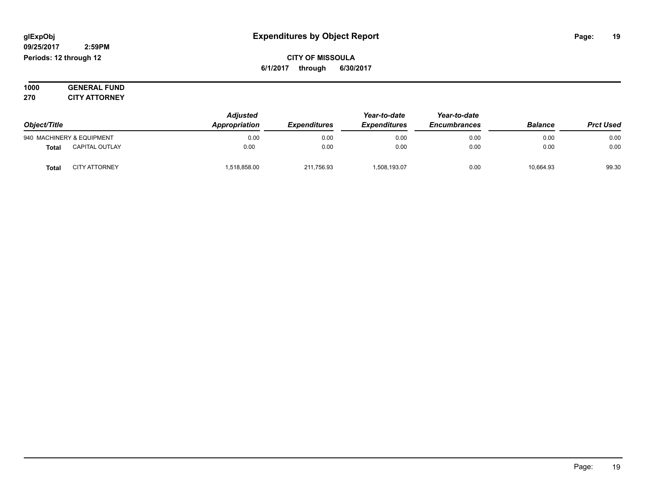#### **09/25/2017 2:59PM Periods: 12 through 12**

**CITY OF MISSOULA 6/1/2017 through 6/30/2017**

**1000 GENERAL FUND 270 CITY ATTORNEY**

| Object/Title |                           | <b>Adjusted</b><br>Appropriation | <i><b>Expenditures</b></i> | Year-to-date<br><b>Expenditures</b> | Year-to-date<br><b>Encumbrances</b> | <b>Balance</b> | <b>Prct Used</b> |
|--------------|---------------------------|----------------------------------|----------------------------|-------------------------------------|-------------------------------------|----------------|------------------|
|              | 940 MACHINERY & EQUIPMENT | 0.00                             | 0.00                       | 0.00                                | 0.00                                | 0.00           | 0.00             |
| <b>Total</b> | <b>CAPITAL OUTLAY</b>     | 0.00                             | 0.00                       | 0.00                                | 0.00                                | 0.00           | 0.00             |
| Total        | <b>CITY ATTORNEY</b>      | 1,518,858.00                     | 211,756.93                 | 1,508,193.07                        | 0.00                                | 10,664.93      | 99.30            |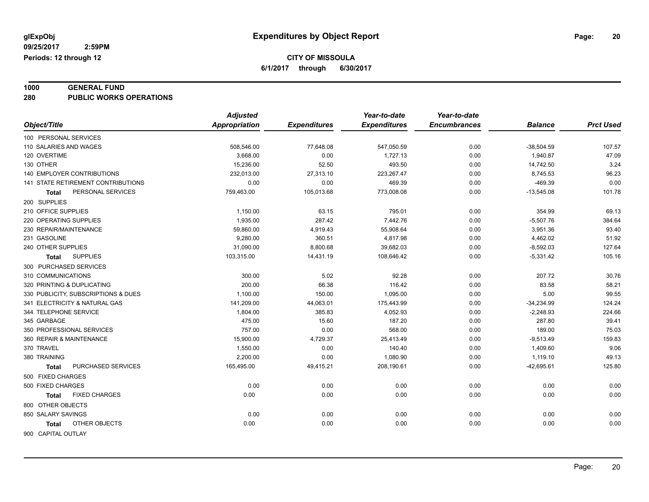# **1000 GENERAL FUND**

**280 PUBLIC WORKS OPERATIONS**

|                                     | <b>Adjusted</b>      |                     | Year-to-date        | Year-to-date        |                |                  |
|-------------------------------------|----------------------|---------------------|---------------------|---------------------|----------------|------------------|
| Object/Title                        | <b>Appropriation</b> | <b>Expenditures</b> | <b>Expenditures</b> | <b>Encumbrances</b> | <b>Balance</b> | <b>Prct Used</b> |
| 100 PERSONAL SERVICES               |                      |                     |                     |                     |                |                  |
| 110 SALARIES AND WAGES              | 508,546.00           | 77,648.08           | 547,050.59          | 0.00                | $-38,504.59$   | 107.57           |
| 120 OVERTIME                        | 3,668.00             | 0.00                | 1,727.13            | 0.00                | 1,940.87       | 47.09            |
| 130 OTHER                           | 15,236.00            | 52.50               | 493.50              | 0.00                | 14,742.50      | 3.24             |
| 140 EMPLOYER CONTRIBUTIONS          | 232,013.00           | 27,313.10           | 223,267.47          | 0.00                | 8,745.53       | 96.23            |
| 141 STATE RETIREMENT CONTRIBUTIONS  | 0.00                 | 0.00                | 469.39              | 0.00                | $-469.39$      | 0.00             |
| PERSONAL SERVICES<br>Total          | 759,463.00           | 105,013.68          | 773,008.08          | 0.00                | $-13,545.08$   | 101.78           |
| 200 SUPPLIES                        |                      |                     |                     |                     |                |                  |
| 210 OFFICE SUPPLIES                 | 1,150.00             | 63.15               | 795.01              | 0.00                | 354.99         | 69.13            |
| 220 OPERATING SUPPLIES              | 1,935.00             | 287.42              | 7,442.76            | 0.00                | $-5,507.76$    | 384.64           |
| 230 REPAIR/MAINTENANCE              | 59,860.00            | 4,919.43            | 55,908.64           | 0.00                | 3,951.36       | 93.40            |
| 231 GASOLINE                        | 9,280.00             | 360.51              | 4,817.98            | 0.00                | 4,462.02       | 51.92            |
| 240 OTHER SUPPLIES                  | 31,090.00            | 8,800.68            | 39,682.03           | 0.00                | $-8,592.03$    | 127.64           |
| <b>SUPPLIES</b><br>Total            | 103,315.00           | 14,431.19           | 108,646.42          | 0.00                | $-5,331.42$    | 105.16           |
| 300 PURCHASED SERVICES              |                      |                     |                     |                     |                |                  |
| 310 COMMUNICATIONS                  | 300.00               | 5.02                | 92.28               | 0.00                | 207.72         | 30.76            |
| 320 PRINTING & DUPLICATING          | 200.00               | 66.38               | 116.42              | 0.00                | 83.58          | 58.21            |
| 330 PUBLICITY, SUBSCRIPTIONS & DUES | 1,100.00             | 150.00              | 1,095.00            | 0.00                | 5.00           | 99.55            |
| 341 ELECTRICITY & NATURAL GAS       | 141,209.00           | 44,063.01           | 175,443.99          | 0.00                | $-34,234.99$   | 124.24           |
| 344 TELEPHONE SERVICE               | 1,804.00             | 385.83              | 4,052.93            | 0.00                | $-2,248.93$    | 224.66           |
| 345 GARBAGE                         | 475.00               | 15.60               | 187.20              | 0.00                | 287.80         | 39.41            |
| 350 PROFESSIONAL SERVICES           | 757.00               | 0.00                | 568.00              | 0.00                | 189.00         | 75.03            |
| 360 REPAIR & MAINTENANCE            | 15,900.00            | 4,729.37            | 25,413.49           | 0.00                | $-9,513.49$    | 159.83           |
| 370 TRAVEL                          | 1,550.00             | 0.00                | 140.40              | 0.00                | 1,409.60       | 9.06             |
| 380 TRAINING                        | 2,200.00             | 0.00                | 1,080.90            | 0.00                | 1,119.10       | 49.13            |
| PURCHASED SERVICES<br><b>Total</b>  | 165,495.00           | 49,415.21           | 208,190.61          | 0.00                | $-42,695.61$   | 125.80           |
| 500 FIXED CHARGES                   |                      |                     |                     |                     |                |                  |
| 500 FIXED CHARGES                   | 0.00                 | 0.00                | 0.00                | 0.00                | 0.00           | 0.00             |
| <b>FIXED CHARGES</b><br>Total       | 0.00                 | 0.00                | 0.00                | 0.00                | 0.00           | 0.00             |
| 800 OTHER OBJECTS                   |                      |                     |                     |                     |                |                  |
| 850 SALARY SAVINGS                  | 0.00                 | 0.00                | 0.00                | 0.00                | 0.00           | 0.00             |
| OTHER OBJECTS<br>Total              | 0.00                 | 0.00                | 0.00                | 0.00                | 0.00           | 0.00             |
|                                     |                      |                     |                     |                     |                |                  |
| 900 CAPITAL OUTLAY                  |                      |                     |                     |                     |                |                  |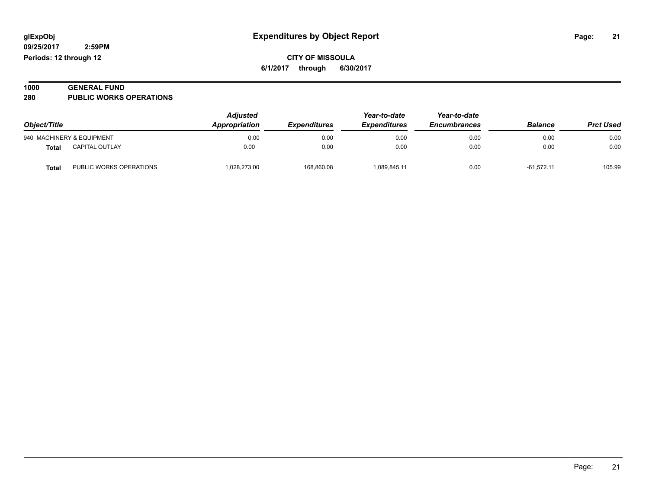| 1000 | <b>GENERAL FUND</b>            |  |
|------|--------------------------------|--|
| 280  | <b>PUBLIC WORKS OPERATIONS</b> |  |

| Object/Title |                           | <b>Adjusted</b><br><b>Appropriation</b> | <i><b>Expenditures</b></i> | Year-to-date<br><b>Expenditures</b> | Year-to-date<br><b>Encumbrances</b> | <b>Balance</b> | <b>Prct Used</b> |
|--------------|---------------------------|-----------------------------------------|----------------------------|-------------------------------------|-------------------------------------|----------------|------------------|
|              | 940 MACHINERY & EQUIPMENT | 0.00                                    | 0.00                       | 0.00                                | 0.00                                | 0.00           | 0.00             |
| <b>Total</b> | <b>CAPITAL OUTLAY</b>     | 0.00                                    | 0.00                       | 0.00                                | 0.00                                | 0.00           | 0.00             |
| <b>Total</b> | PUBLIC WORKS OPERATIONS   | 1,028,273.00                            | 168,860.08                 | 1.089.845.11                        | 0.00                                | $-61.572.11$   | 105.99           |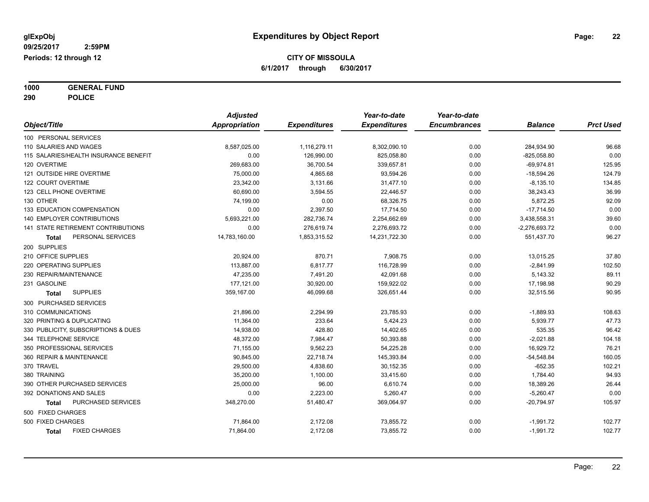**1000 GENERAL FUND 290 POLICE**

|                                           | <b>Adjusted</b> |                     | Year-to-date        | Year-to-date        |                 |                  |
|-------------------------------------------|-----------------|---------------------|---------------------|---------------------|-----------------|------------------|
| Object/Title                              | Appropriation   | <b>Expenditures</b> | <b>Expenditures</b> | <b>Encumbrances</b> | <b>Balance</b>  | <b>Prct Used</b> |
| 100 PERSONAL SERVICES                     |                 |                     |                     |                     |                 |                  |
| 110 SALARIES AND WAGES                    | 8,587,025.00    | 1,116,279.11        | 8,302,090.10        | 0.00                | 284,934.90      | 96.68            |
| 115 SALARIES/HEALTH INSURANCE BENEFIT     | 0.00            | 126,990.00          | 825,058.80          | 0.00                | $-825,058.80$   | 0.00             |
| 120 OVERTIME                              | 269,683.00      | 36,700.54           | 339,657.81          | 0.00                | $-69,974.81$    | 125.95           |
| 121 OUTSIDE HIRE OVERTIME                 | 75,000.00       | 4,865.68            | 93,594.26           | 0.00                | $-18,594.26$    | 124.79           |
| 122 COURT OVERTIME                        | 23,342.00       | 3,131.66            | 31,477.10           | 0.00                | $-8,135.10$     | 134.85           |
| 123 CELL PHONE OVERTIME                   | 60,690.00       | 3,594.55            | 22,446.57           | 0.00                | 38,243.43       | 36.99            |
| 130 OTHER                                 | 74,199.00       | 0.00                | 68,326.75           | 0.00                | 5,872.25        | 92.09            |
| 133 EDUCATION COMPENSATION                | 0.00            | 2,397.50            | 17,714.50           | 0.00                | $-17,714.50$    | 0.00             |
| 140 EMPLOYER CONTRIBUTIONS                | 5,693,221.00    | 282,736.74          | 2,254,662.69        | 0.00                | 3,438,558.31    | 39.60            |
| <b>141 STATE RETIREMENT CONTRIBUTIONS</b> | 0.00            | 276,619.74          | 2,276,693.72        | 0.00                | $-2,276,693.72$ | 0.00             |
| PERSONAL SERVICES<br>Total                | 14,783,160.00   | 1,853,315.52        | 14,231,722.30       | 0.00                | 551,437.70      | 96.27            |
| 200 SUPPLIES                              |                 |                     |                     |                     |                 |                  |
| 210 OFFICE SUPPLIES                       | 20,924.00       | 870.71              | 7,908.75            | 0.00                | 13,015.25       | 37.80            |
| 220 OPERATING SUPPLIES                    | 113,887.00      | 6,817.77            | 116,728.99          | 0.00                | $-2,841.99$     | 102.50           |
| 230 REPAIR/MAINTENANCE                    | 47,235.00       | 7,491.20            | 42,091.68           | 0.00                | 5,143.32        | 89.11            |
| 231 GASOLINE                              | 177,121.00      | 30,920.00           | 159,922.02          | 0.00                | 17,198.98       | 90.29            |
| <b>SUPPLIES</b><br>Total                  | 359,167.00      | 46,099.68           | 326,651.44          | 0.00                | 32,515.56       | 90.95            |
| 300 PURCHASED SERVICES                    |                 |                     |                     |                     |                 |                  |
| 310 COMMUNICATIONS                        | 21,896.00       | 2,294.99            | 23,785.93           | 0.00                | $-1,889.93$     | 108.63           |
| 320 PRINTING & DUPLICATING                | 11,364.00       | 233.64              | 5,424.23            | 0.00                | 5,939.77        | 47.73            |
| 330 PUBLICITY, SUBSCRIPTIONS & DUES       | 14,938.00       | 428.80              | 14,402.65           | 0.00                | 535.35          | 96.42            |
| 344 TELEPHONE SERVICE                     | 48,372.00       | 7,984.47            | 50,393.88           | 0.00                | $-2,021.88$     | 104.18           |
| 350 PROFESSIONAL SERVICES                 | 71,155.00       | 9,562.23            | 54,225.28           | 0.00                | 16,929.72       | 76.21            |
| 360 REPAIR & MAINTENANCE                  | 90,845.00       | 22,718.74           | 145,393.84          | 0.00                | $-54,548.84$    | 160.05           |
| 370 TRAVEL                                | 29,500.00       | 4,838.60            | 30,152.35           | 0.00                | $-652.35$       | 102.21           |
| 380 TRAINING                              | 35,200.00       | 1,100.00            | 33,415.60           | 0.00                | 1,784.40        | 94.93            |
| 390 OTHER PURCHASED SERVICES              | 25,000.00       | 96.00               | 6,610.74            | 0.00                | 18,389.26       | 26.44            |
| 392 DONATIONS AND SALES                   | 0.00            | 2,223.00            | 5,260.47            | 0.00                | $-5,260.47$     | 0.00             |
| PURCHASED SERVICES<br>Total               | 348,270.00      | 51,480.47           | 369,064.97          | 0.00                | $-20,794.97$    | 105.97           |
| 500 FIXED CHARGES                         |                 |                     |                     |                     |                 |                  |
| 500 FIXED CHARGES                         | 71,864.00       | 2,172.08            | 73,855.72           | 0.00                | $-1,991.72$     | 102.77           |
| <b>FIXED CHARGES</b><br><b>Total</b>      | 71,864.00       | 2,172.08            | 73,855.72           | 0.00                | $-1,991.72$     | 102.77           |
|                                           |                 |                     |                     |                     |                 |                  |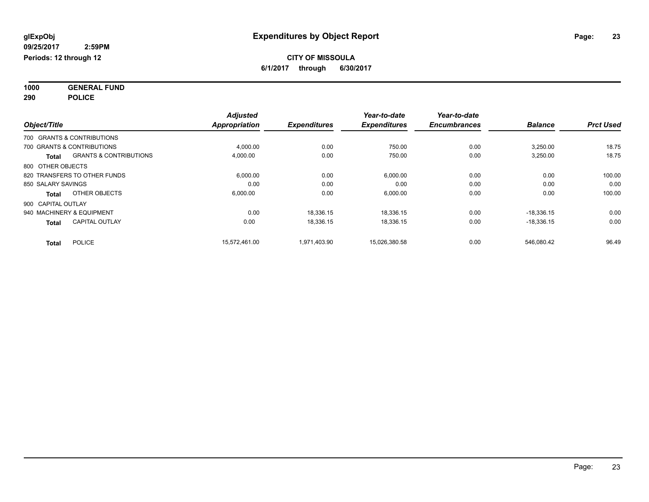**1000 GENERAL FUND 290 POLICE**

|                            |                                   | <b>Adjusted</b> |                     | Year-to-date        | Year-to-date        |                |                  |
|----------------------------|-----------------------------------|-----------------|---------------------|---------------------|---------------------|----------------|------------------|
| Object/Title               |                                   | Appropriation   | <b>Expenditures</b> | <b>Expenditures</b> | <b>Encumbrances</b> | <b>Balance</b> | <b>Prct Used</b> |
|                            | 700 GRANTS & CONTRIBUTIONS        |                 |                     |                     |                     |                |                  |
| 700 GRANTS & CONTRIBUTIONS |                                   | 4,000.00        | 0.00                | 750.00              | 0.00                | 3,250.00       | 18.75            |
| <b>Total</b>               | <b>GRANTS &amp; CONTRIBUTIONS</b> | 4,000.00        | 0.00                | 750.00              | 0.00                | 3,250.00       | 18.75            |
| 800 OTHER OBJECTS          |                                   |                 |                     |                     |                     |                |                  |
|                            | 820 TRANSFERS TO OTHER FUNDS      | 6,000.00        | 0.00                | 6,000.00            | 0.00                | 0.00           | 100.00           |
| 850 SALARY SAVINGS         |                                   | 0.00            | 0.00                | 0.00                | 0.00                | 0.00           | 0.00             |
| <b>Total</b>               | OTHER OBJECTS                     | 6,000.00        | 0.00                | 6,000.00            | 0.00                | 0.00           | 100.00           |
| 900 CAPITAL OUTLAY         |                                   |                 |                     |                     |                     |                |                  |
| 940 MACHINERY & EQUIPMENT  |                                   | 0.00            | 18.336.15           | 18,336.15           | 0.00                | $-18.336.15$   | 0.00             |
| <b>Total</b>               | <b>CAPITAL OUTLAY</b>             | 0.00            | 18,336.15           | 18.336.15           | 0.00                | $-18,336.15$   | 0.00             |
| <b>Total</b>               | <b>POLICE</b>                     | 15,572,461.00   | 1,971,403.90        | 15,026,380.58       | 0.00                | 546,080.42     | 96.49            |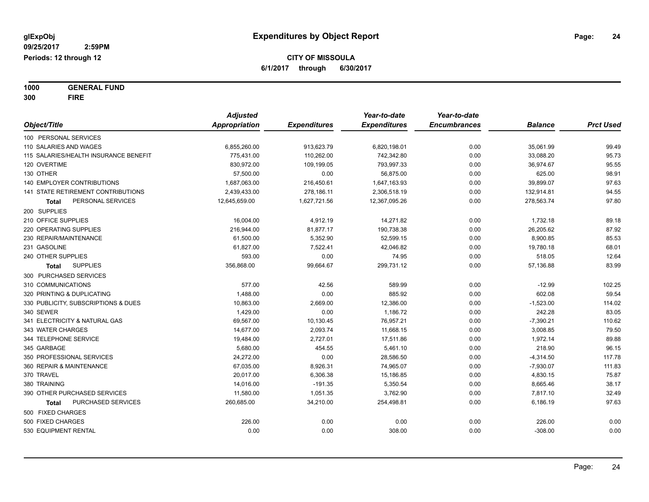**1000 GENERAL FUND 300 FIRE**

|                                           | <b>Adjusted</b> |                     | Year-to-date        | Year-to-date        |                |                  |
|-------------------------------------------|-----------------|---------------------|---------------------|---------------------|----------------|------------------|
| Object/Title                              | Appropriation   | <b>Expenditures</b> | <b>Expenditures</b> | <b>Encumbrances</b> | <b>Balance</b> | <b>Prct Used</b> |
| 100 PERSONAL SERVICES                     |                 |                     |                     |                     |                |                  |
| 110 SALARIES AND WAGES                    | 6,855,260.00    | 913,623.79          | 6,820,198.01        | 0.00                | 35,061.99      | 99.49            |
| 115 SALARIES/HEALTH INSURANCE BENEFIT     | 775,431.00      | 110,262.00          | 742,342.80          | 0.00                | 33,088.20      | 95.73            |
| 120 OVERTIME                              | 830,972.00      | 109,199.05          | 793,997.33          | 0.00                | 36,974.67      | 95.55            |
| 130 OTHER                                 | 57,500.00       | 0.00                | 56,875.00           | 0.00                | 625.00         | 98.91            |
| <b>140 EMPLOYER CONTRIBUTIONS</b>         | 1,687,063.00    | 216,450.61          | 1,647,163.93        | 0.00                | 39,899.07      | 97.63            |
| <b>141 STATE RETIREMENT CONTRIBUTIONS</b> | 2,439,433.00    | 278,186.11          | 2,306,518.19        | 0.00                | 132,914.81     | 94.55            |
| PERSONAL SERVICES<br><b>Total</b>         | 12,645,659.00   | 1,627,721.56        | 12,367,095.26       | 0.00                | 278,563.74     | 97.80            |
| 200 SUPPLIES                              |                 |                     |                     |                     |                |                  |
| 210 OFFICE SUPPLIES                       | 16,004.00       | 4,912.19            | 14,271.82           | 0.00                | 1,732.18       | 89.18            |
| 220 OPERATING SUPPLIES                    | 216,944.00      | 81,877.17           | 190,738.38          | 0.00                | 26,205.62      | 87.92            |
| 230 REPAIR/MAINTENANCE                    | 61,500.00       | 5,352.90            | 52,599.15           | 0.00                | 8,900.85       | 85.53            |
| 231 GASOLINE                              | 61,827.00       | 7,522.41            | 42,046.82           | 0.00                | 19,780.18      | 68.01            |
| 240 OTHER SUPPLIES                        | 593.00          | 0.00                | 74.95               | 0.00                | 518.05         | 12.64            |
| <b>SUPPLIES</b><br><b>Total</b>           | 356,868.00      | 99,664.67           | 299,731.12          | 0.00                | 57,136.88      | 83.99            |
| 300 PURCHASED SERVICES                    |                 |                     |                     |                     |                |                  |
| 310 COMMUNICATIONS                        | 577.00          | 42.56               | 589.99              | 0.00                | $-12.99$       | 102.25           |
| 320 PRINTING & DUPLICATING                | 1,488.00        | 0.00                | 885.92              | 0.00                | 602.08         | 59.54            |
| 330 PUBLICITY, SUBSCRIPTIONS & DUES       | 10,863.00       | 2,669.00            | 12,386.00           | 0.00                | $-1,523.00$    | 114.02           |
| 340 SEWER                                 | 1,429.00        | 0.00                | 1,186.72            | 0.00                | 242.28         | 83.05            |
| 341 ELECTRICITY & NATURAL GAS             | 69,567.00       | 10,130.45           | 76,957.21           | 0.00                | $-7,390.21$    | 110.62           |
| 343 WATER CHARGES                         | 14,677.00       | 2,093.74            | 11,668.15           | 0.00                | 3,008.85       | 79.50            |
| 344 TELEPHONE SERVICE                     | 19,484.00       | 2,727.01            | 17,511.86           | 0.00                | 1,972.14       | 89.88            |
| 345 GARBAGE                               | 5,680.00        | 454.55              | 5,461.10            | 0.00                | 218.90         | 96.15            |
| 350 PROFESSIONAL SERVICES                 | 24,272.00       | 0.00                | 28,586.50           | 0.00                | $-4,314.50$    | 117.78           |
| 360 REPAIR & MAINTENANCE                  | 67,035.00       | 8,926.31            | 74,965.07           | 0.00                | $-7,930.07$    | 111.83           |
| 370 TRAVEL                                | 20,017.00       | 6,306.38            | 15,186.85           | 0.00                | 4,830.15       | 75.87            |
| 380 TRAINING                              | 14,016.00       | $-191.35$           | 5,350.54            | 0.00                | 8,665.46       | 38.17            |
| 390 OTHER PURCHASED SERVICES              | 11,580.00       | 1,051.35            | 3,762.90            | 0.00                | 7,817.10       | 32.49            |
| PURCHASED SERVICES<br>Total               | 260,685.00      | 34,210.00           | 254,498.81          | 0.00                | 6,186.19       | 97.63            |
| 500 FIXED CHARGES                         |                 |                     |                     |                     |                |                  |
| 500 FIXED CHARGES                         | 226.00          | 0.00                | 0.00                | 0.00                | 226.00         | 0.00             |
| 530 EQUIPMENT RENTAL                      | 0.00            | 0.00                | 308.00              | 0.00                | $-308.00$      | 0.00             |
|                                           |                 |                     |                     |                     |                |                  |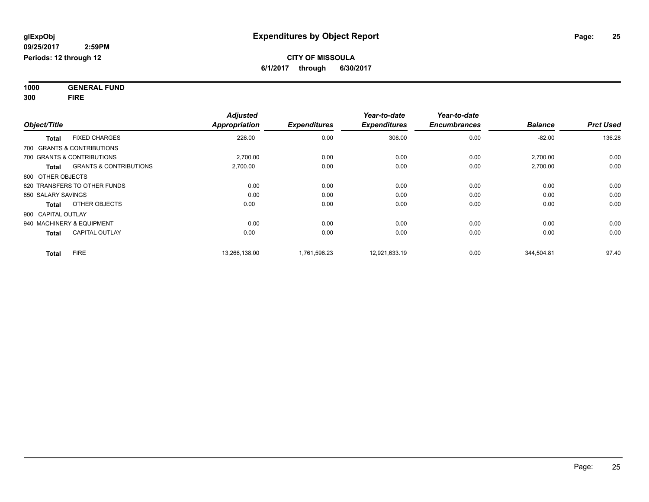**1000 GENERAL FUND 300 FIRE**

| Object/Title                                      | <b>Adjusted</b><br><b>Appropriation</b> | <b>Expenditures</b> | Year-to-date<br><b>Expenditures</b> | Year-to-date<br><b>Encumbrances</b> | <b>Balance</b> | <b>Prct Used</b> |
|---------------------------------------------------|-----------------------------------------|---------------------|-------------------------------------|-------------------------------------|----------------|------------------|
| <b>FIXED CHARGES</b><br><b>Total</b>              | 226.00                                  | 0.00                | 308.00                              | 0.00                                | $-82.00$       | 136.28           |
| 700 GRANTS & CONTRIBUTIONS                        |                                         |                     |                                     |                                     |                |                  |
| 700 GRANTS & CONTRIBUTIONS                        | 2,700.00                                | 0.00                | 0.00                                | 0.00                                | 2,700.00       | 0.00             |
| <b>GRANTS &amp; CONTRIBUTIONS</b><br><b>Total</b> | 2,700.00                                | 0.00                | 0.00                                | 0.00                                | 2,700.00       | 0.00             |
| 800 OTHER OBJECTS                                 |                                         |                     |                                     |                                     |                |                  |
| 820 TRANSFERS TO OTHER FUNDS                      | 0.00                                    | 0.00                | 0.00                                | 0.00                                | 0.00           | 0.00             |
| 850 SALARY SAVINGS                                | 0.00                                    | 0.00                | 0.00                                | 0.00                                | 0.00           | 0.00             |
| OTHER OBJECTS<br><b>Total</b>                     | 0.00                                    | 0.00                | 0.00                                | 0.00                                | 0.00           | 0.00             |
| 900 CAPITAL OUTLAY                                |                                         |                     |                                     |                                     |                |                  |
| 940 MACHINERY & EQUIPMENT                         | 0.00                                    | 0.00                | 0.00                                | 0.00                                | 0.00           | 0.00             |
| <b>CAPITAL OUTLAY</b><br><b>Total</b>             | 0.00                                    | 0.00                | 0.00                                | 0.00                                | 0.00           | 0.00             |
| <b>FIRE</b><br><b>Total</b>                       | 13,266,138.00                           | 1,761,596.23        | 12,921,633.19                       | 0.00                                | 344,504.81     | 97.40            |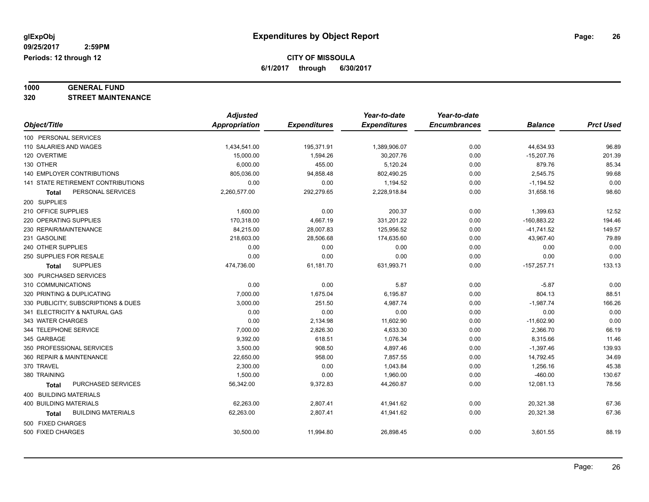# **1000 GENERAL FUND**

**320 STREET MAINTENANCE**

|                                           | <b>Adjusted</b>      |                     | Year-to-date        | Year-to-date        |                |                  |
|-------------------------------------------|----------------------|---------------------|---------------------|---------------------|----------------|------------------|
| Object/Title                              | <b>Appropriation</b> | <b>Expenditures</b> | <b>Expenditures</b> | <b>Encumbrances</b> | <b>Balance</b> | <b>Prct Used</b> |
| 100 PERSONAL SERVICES                     |                      |                     |                     |                     |                |                  |
| 110 SALARIES AND WAGES                    | 1,434,541.00         | 195,371.91          | 1,389,906.07        | 0.00                | 44,634.93      | 96.89            |
| 120 OVERTIME                              | 15,000.00            | 1,594.26            | 30,207.76           | 0.00                | $-15,207.76$   | 201.39           |
| 130 OTHER                                 | 6,000.00             | 455.00              | 5,120.24            | 0.00                | 879.76         | 85.34            |
| <b>140 EMPLOYER CONTRIBUTIONS</b>         | 805,036.00           | 94,858.48           | 802,490.25          | 0.00                | 2,545.75       | 99.68            |
| <b>141 STATE RETIREMENT CONTRIBUTIONS</b> | 0.00                 | 0.00                | 1,194.52            | 0.00                | $-1,194.52$    | 0.00             |
| PERSONAL SERVICES<br>Total                | 2,260,577.00         | 292,279.65          | 2,228,918.84        | 0.00                | 31,658.16      | 98.60            |
| 200 SUPPLIES                              |                      |                     |                     |                     |                |                  |
| 210 OFFICE SUPPLIES                       | 1,600.00             | 0.00                | 200.37              | 0.00                | 1,399.63       | 12.52            |
| 220 OPERATING SUPPLIES                    | 170,318.00           | 4,667.19            | 331,201.22          | 0.00                | $-160,883.22$  | 194.46           |
| 230 REPAIR/MAINTENANCE                    | 84,215.00            | 28,007.83           | 125,956.52          | 0.00                | $-41,741.52$   | 149.57           |
| 231 GASOLINE                              | 218,603.00           | 28,506.68           | 174,635.60          | 0.00                | 43,967.40      | 79.89            |
| 240 OTHER SUPPLIES                        | 0.00                 | 0.00                | 0.00                | 0.00                | 0.00           | 0.00             |
| 250 SUPPLIES FOR RESALE                   | 0.00                 | 0.00                | 0.00                | 0.00                | 0.00           | 0.00             |
| <b>SUPPLIES</b><br>Total                  | 474,736.00           | 61,181.70           | 631,993.71          | 0.00                | $-157,257.71$  | 133.13           |
| 300 PURCHASED SERVICES                    |                      |                     |                     |                     |                |                  |
| 310 COMMUNICATIONS                        | 0.00                 | 0.00                | 5.87                | 0.00                | $-5.87$        | 0.00             |
| 320 PRINTING & DUPLICATING                | 7,000.00             | 1,675.04            | 6,195.87            | 0.00                | 804.13         | 88.51            |
| 330 PUBLICITY, SUBSCRIPTIONS & DUES       | 3,000.00             | 251.50              | 4,987.74            | 0.00                | $-1,987.74$    | 166.26           |
| 341 ELECTRICITY & NATURAL GAS             | 0.00                 | 0.00                | 0.00                | 0.00                | 0.00           | 0.00             |
| 343 WATER CHARGES                         | 0.00                 | 2,134.98            | 11,602.90           | 0.00                | $-11,602.90$   | 0.00             |
| 344 TELEPHONE SERVICE                     | 7,000.00             | 2,826.30            | 4,633.30            | 0.00                | 2,366.70       | 66.19            |
| 345 GARBAGE                               | 9,392.00             | 618.51              | 1,076.34            | 0.00                | 8,315.66       | 11.46            |
| 350 PROFESSIONAL SERVICES                 | 3,500.00             | 908.50              | 4,897.46            | 0.00                | $-1,397.46$    | 139.93           |
| 360 REPAIR & MAINTENANCE                  | 22,650.00            | 958.00              | 7,857.55            | 0.00                | 14,792.45      | 34.69            |
| 370 TRAVEL                                | 2,300.00             | 0.00                | 1,043.84            | 0.00                | 1,256.16       | 45.38            |
| 380 TRAINING                              | 1,500.00             | 0.00                | 1,960.00            | 0.00                | $-460.00$      | 130.67           |
| PURCHASED SERVICES<br><b>Total</b>        | 56,342.00            | 9,372.83            | 44,260.87           | 0.00                | 12,081.13      | 78.56            |
| 400 BUILDING MATERIALS                    |                      |                     |                     |                     |                |                  |
| <b>400 BUILDING MATERIALS</b>             | 62,263.00            | 2,807.41            | 41,941.62           | 0.00                | 20,321.38      | 67.36            |
| <b>BUILDING MATERIALS</b><br>Total        | 62,263.00            | 2,807.41            | 41,941.62           | 0.00                | 20,321.38      | 67.36            |
| 500 FIXED CHARGES                         |                      |                     |                     |                     |                |                  |
| 500 FIXED CHARGES                         | 30,500.00            | 11,994.80           | 26,898.45           | 0.00                | 3,601.55       | 88.19            |
|                                           |                      |                     |                     |                     |                |                  |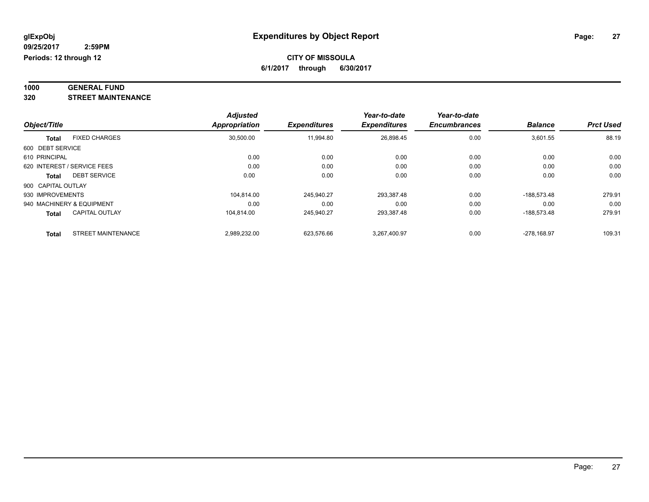#### **1000 GENERAL FUND 320 STREET MAINTENANCE**

|                    |                             | <b>Adjusted</b><br><b>Appropriation</b> |                     | Year-to-date | Year-to-date<br><b>Encumbrances</b> | <b>Balance</b> | <b>Prct Used</b> |
|--------------------|-----------------------------|-----------------------------------------|---------------------|--------------|-------------------------------------|----------------|------------------|
| Object/Title       | <b>Expenditures</b>         |                                         | <b>Expenditures</b> |              |                                     |                |                  |
| <b>Total</b>       | <b>FIXED CHARGES</b>        | 30,500.00                               | 11,994.80           | 26,898.45    | 0.00                                | 3,601.55       | 88.19            |
| 600 DEBT SERVICE   |                             |                                         |                     |              |                                     |                |                  |
| 610 PRINCIPAL      |                             | 0.00                                    | 0.00                | 0.00         | 0.00                                | 0.00           | 0.00             |
|                    | 620 INTEREST / SERVICE FEES | 0.00                                    | 0.00                | 0.00         | 0.00                                | 0.00           | 0.00             |
| Total              | <b>DEBT SERVICE</b>         | 0.00                                    | 0.00                | 0.00         | 0.00                                | 0.00           | 0.00             |
| 900 CAPITAL OUTLAY |                             |                                         |                     |              |                                     |                |                  |
| 930 IMPROVEMENTS   |                             | 104.814.00                              | 245.940.27          | 293,387.48   | 0.00                                | $-188.573.48$  | 279.91           |
|                    | 940 MACHINERY & EQUIPMENT   | 0.00                                    | 0.00                | 0.00         | 0.00                                | 0.00           | 0.00             |
| <b>Total</b>       | <b>CAPITAL OUTLAY</b>       | 104.814.00                              | 245.940.27          | 293.387.48   | 0.00                                | -188.573.48    | 279.91           |
| <b>Total</b>       | <b>STREET MAINTENANCE</b>   | 2,989,232.00                            | 623.576.66          | 3.267.400.97 | 0.00                                | -278.168.97    | 109.31           |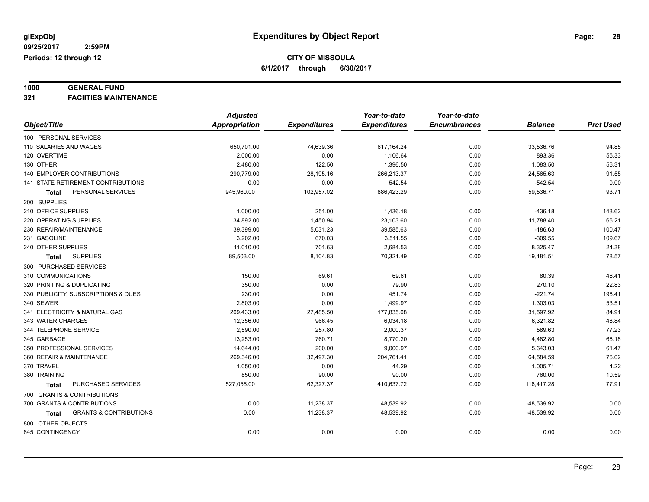# **1000 GENERAL FUND**

**321 FACIITIES MAINTENANCE**

|                                            | <b>Adjusted</b>      |                     | Year-to-date        | Year-to-date        |                |                  |
|--------------------------------------------|----------------------|---------------------|---------------------|---------------------|----------------|------------------|
| Object/Title                               | <b>Appropriation</b> | <b>Expenditures</b> | <b>Expenditures</b> | <b>Encumbrances</b> | <b>Balance</b> | <b>Prct Used</b> |
| 100 PERSONAL SERVICES                      |                      |                     |                     |                     |                |                  |
| 110 SALARIES AND WAGES                     | 650,701.00           | 74,639.36           | 617,164.24          | 0.00                | 33,536.76      | 94.85            |
| 120 OVERTIME                               | 2,000.00             | 0.00                | 1,106.64            | 0.00                | 893.36         | 55.33            |
| 130 OTHER                                  | 2,480.00             | 122.50              | 1,396.50            | 0.00                | 1,083.50       | 56.31            |
| <b>140 EMPLOYER CONTRIBUTIONS</b>          | 290,779.00           | 28,195.16           | 266,213.37          | 0.00                | 24,565.63      | 91.55            |
| 141 STATE RETIREMENT CONTRIBUTIONS         | 0.00                 | 0.00                | 542.54              | 0.00                | $-542.54$      | 0.00             |
| PERSONAL SERVICES<br>Total                 | 945,960.00           | 102,957.02          | 886,423.29          | 0.00                | 59,536.71      | 93.71            |
| 200 SUPPLIES                               |                      |                     |                     |                     |                |                  |
| 210 OFFICE SUPPLIES                        | 1,000.00             | 251.00              | 1,436.18            | 0.00                | $-436.18$      | 143.62           |
| 220 OPERATING SUPPLIES                     | 34,892.00            | 1,450.94            | 23,103.60           | 0.00                | 11,788.40      | 66.21            |
| 230 REPAIR/MAINTENANCE                     | 39,399.00            | 5,031.23            | 39,585.63           | 0.00                | $-186.63$      | 100.47           |
| 231 GASOLINE                               | 3,202.00             | 670.03              | 3,511.55            | 0.00                | $-309.55$      | 109.67           |
| 240 OTHER SUPPLIES                         | 11,010.00            | 701.63              | 2,684.53            | 0.00                | 8,325.47       | 24.38            |
| <b>SUPPLIES</b><br><b>Total</b>            | 89,503.00            | 8,104.83            | 70,321.49           | 0.00                | 19,181.51      | 78.57            |
| 300 PURCHASED SERVICES                     |                      |                     |                     |                     |                |                  |
| 310 COMMUNICATIONS                         | 150.00               | 69.61               | 69.61               | 0.00                | 80.39          | 46.41            |
| 320 PRINTING & DUPLICATING                 | 350.00               | 0.00                | 79.90               | 0.00                | 270.10         | 22.83            |
| 330 PUBLICITY, SUBSCRIPTIONS & DUES        | 230.00               | 0.00                | 451.74              | 0.00                | $-221.74$      | 196.41           |
| 340 SEWER                                  | 2,803.00             | 0.00                | 1,499.97            | 0.00                | 1,303.03       | 53.51            |
| 341 ELECTRICITY & NATURAL GAS              | 209,433.00           | 27,485.50           | 177,835.08          | 0.00                | 31,597.92      | 84.91            |
| 343 WATER CHARGES                          | 12,356.00            | 966.45              | 6,034.18            | 0.00                | 6,321.82       | 48.84            |
| 344 TELEPHONE SERVICE                      | 2,590.00             | 257.80              | 2,000.37            | 0.00                | 589.63         | 77.23            |
| 345 GARBAGE                                | 13,253.00            | 760.71              | 8,770.20            | 0.00                | 4,482.80       | 66.18            |
| 350 PROFESSIONAL SERVICES                  | 14,644.00            | 200.00              | 9,000.97            | 0.00                | 5,643.03       | 61.47            |
| 360 REPAIR & MAINTENANCE                   | 269,346.00           | 32,497.30           | 204,761.41          | 0.00                | 64,584.59      | 76.02            |
| 370 TRAVEL                                 | 1,050.00             | 0.00                | 44.29               | 0.00                | 1,005.71       | 4.22             |
| 380 TRAINING                               | 850.00               | 90.00               | 90.00               | 0.00                | 760.00         | 10.59            |
| PURCHASED SERVICES<br>Total                | 527,055.00           | 62,327.37           | 410,637.72          | 0.00                | 116,417.28     | 77.91            |
| 700 GRANTS & CONTRIBUTIONS                 |                      |                     |                     |                     |                |                  |
| 700 GRANTS & CONTRIBUTIONS                 | 0.00                 | 11,238.37           | 48,539.92           | 0.00                | $-48,539.92$   | 0.00             |
| <b>GRANTS &amp; CONTRIBUTIONS</b><br>Total | 0.00                 | 11,238.37           | 48,539.92           | 0.00                | $-48,539.92$   | 0.00             |
| 800 OTHER OBJECTS                          |                      |                     |                     |                     |                |                  |
| 845 CONTINGENCY                            | 0.00                 | 0.00                | 0.00                | 0.00                | 0.00           | 0.00             |
|                                            |                      |                     |                     |                     |                |                  |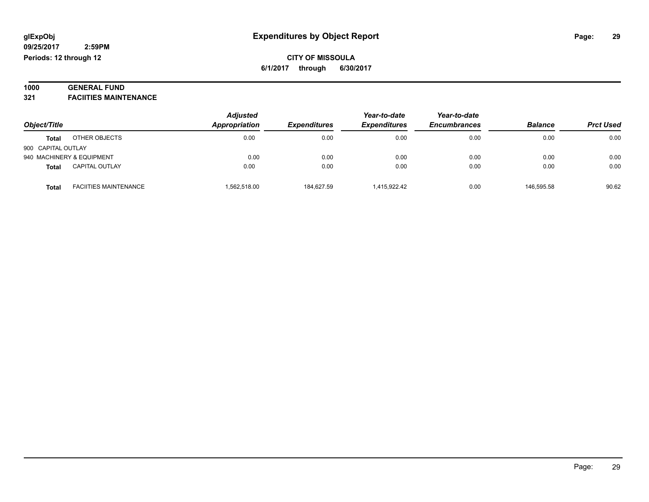# **1000 GENERAL FUND**

**321 FACIITIES MAINTENANCE**

| Object/Title              |                              | <b>Adjusted</b> | Appropriation<br><b>Expenditures</b> | Year-to-date        | Year-to-date        |                |                  |
|---------------------------|------------------------------|-----------------|--------------------------------------|---------------------|---------------------|----------------|------------------|
|                           |                              |                 |                                      | <b>Expenditures</b> | <b>Encumbrances</b> | <b>Balance</b> | <b>Prct Used</b> |
| <b>Total</b>              | OTHER OBJECTS                | 0.00            | 0.00                                 | 0.00                | 0.00                | 0.00           | 0.00             |
| 900 CAPITAL OUTLAY        |                              |                 |                                      |                     |                     |                |                  |
| 940 MACHINERY & EQUIPMENT |                              | 0.00            | 0.00                                 | 0.00                | 0.00                | 0.00           | 0.00             |
| <b>Total</b>              | <b>CAPITAL OUTLAY</b>        | 0.00            | 0.00                                 | 0.00                | 0.00                | 0.00           | 0.00             |
| <b>Total</b>              | <b>FACIITIES MAINTENANCE</b> | .562,518.00     | 184.627.59                           | 1,415,922.42        | 0.00                | 146.595.58     | 90.62            |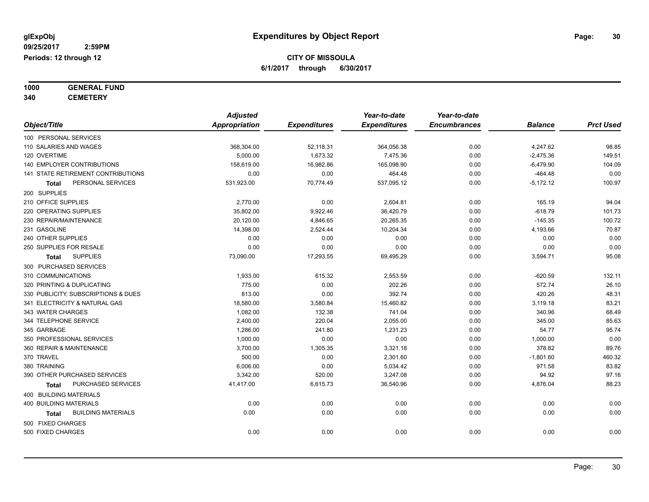**1000 GENERAL FUND**

**340 CEMETERY**

|                                     | <b>Adjusted</b>      |                     | Year-to-date        | Year-to-date        |                |                  |
|-------------------------------------|----------------------|---------------------|---------------------|---------------------|----------------|------------------|
| Object/Title                        | <b>Appropriation</b> | <b>Expenditures</b> | <b>Expenditures</b> | <b>Encumbrances</b> | <b>Balance</b> | <b>Prct Used</b> |
| 100 PERSONAL SERVICES               |                      |                     |                     |                     |                |                  |
| 110 SALARIES AND WAGES              | 368,304.00           | 52,118.31           | 364,056.38          | 0.00                | 4,247.62       | 98.85            |
| 120 OVERTIME                        | 5,000.00             | 1,673.32            | 7,475.36            | 0.00                | $-2,475.36$    | 149.51           |
| 140 EMPLOYER CONTRIBUTIONS          | 158,619.00           | 16,982.86           | 165,098.90          | 0.00                | $-6,479.90$    | 104.09           |
| 141 STATE RETIREMENT CONTRIBUTIONS  | 0.00                 | 0.00                | 464.48              | 0.00                | $-464.48$      | 0.00             |
| PERSONAL SERVICES<br>Total          | 531,923.00           | 70,774.49           | 537,095.12          | 0.00                | $-5,172.12$    | 100.97           |
| 200 SUPPLIES                        |                      |                     |                     |                     |                |                  |
| 210 OFFICE SUPPLIES                 | 2,770.00             | 0.00                | 2,604.81            | 0.00                | 165.19         | 94.04            |
| 220 OPERATING SUPPLIES              | 35,802.00            | 9,922.46            | 36,420.79           | 0.00                | $-618.79$      | 101.73           |
| 230 REPAIR/MAINTENANCE              | 20,120.00            | 4,846.65            | 20,265.35           | 0.00                | $-145.35$      | 100.72           |
| 231 GASOLINE                        | 14,398.00            | 2,524.44            | 10,204.34           | 0.00                | 4,193.66       | 70.87            |
| 240 OTHER SUPPLIES                  | 0.00                 | 0.00                | 0.00                | 0.00                | 0.00           | 0.00             |
| 250 SUPPLIES FOR RESALE             | 0.00                 | 0.00                | 0.00                | 0.00                | 0.00           | 0.00             |
| <b>SUPPLIES</b><br>Total            | 73,090.00            | 17,293.55           | 69,495.29           | 0.00                | 3,594.71       | 95.08            |
| 300 PURCHASED SERVICES              |                      |                     |                     |                     |                |                  |
| 310 COMMUNICATIONS                  | 1,933.00             | 615.32              | 2,553.59            | 0.00                | $-620.59$      | 132.11           |
| 320 PRINTING & DUPLICATING          | 775.00               | 0.00                | 202.26              | 0.00                | 572.74         | 26.10            |
| 330 PUBLICITY, SUBSCRIPTIONS & DUES | 813.00               | 0.00                | 392.74              | 0.00                | 420.26         | 48.31            |
| 341 ELECTRICITY & NATURAL GAS       | 18,580.00            | 3,580.84            | 15,460.82           | 0.00                | 3,119.18       | 83.21            |
| 343 WATER CHARGES                   | 1,082.00             | 132.38              | 741.04              | 0.00                | 340.96         | 68.49            |
| 344 TELEPHONE SERVICE               | 2.400.00             | 220.04              | 2,055.00            | 0.00                | 345.00         | 85.63            |
| 345 GARBAGE                         | 1,286.00             | 241.80              | 1,231.23            | 0.00                | 54.77          | 95.74            |
| 350 PROFESSIONAL SERVICES           | 1,000.00             | 0.00                | 0.00                | 0.00                | 1,000.00       | 0.00             |
| 360 REPAIR & MAINTENANCE            | 3,700.00             | 1,305.35            | 3,321.18            | 0.00                | 378.82         | 89.76            |
| 370 TRAVEL                          | 500.00               | 0.00                | 2,301.60            | 0.00                | $-1,801.60$    | 460.32           |
| 380 TRAINING                        | 6,006.00             | 0.00                | 5,034.42            | 0.00                | 971.58         | 83.82            |
| 390 OTHER PURCHASED SERVICES        | 3,342.00             | 520.00              | 3,247.08            | 0.00                | 94.92          | 97.16            |
| PURCHASED SERVICES<br>Total         | 41,417.00            | 6,615.73            | 36,540.96           | 0.00                | 4,876.04       | 88.23            |
| 400 BUILDING MATERIALS              |                      |                     |                     |                     |                |                  |
| <b>400 BUILDING MATERIALS</b>       | 0.00                 | 0.00                | 0.00                | 0.00                | 0.00           | 0.00             |
| <b>BUILDING MATERIALS</b><br>Total  | 0.00                 | 0.00                | 0.00                | 0.00                | 0.00           | 0.00             |
| 500 FIXED CHARGES                   |                      |                     |                     |                     |                |                  |
| 500 FIXED CHARGES                   | 0.00                 | 0.00                | 0.00                | 0.00                | 0.00           | 0.00             |
|                                     |                      |                     |                     |                     |                |                  |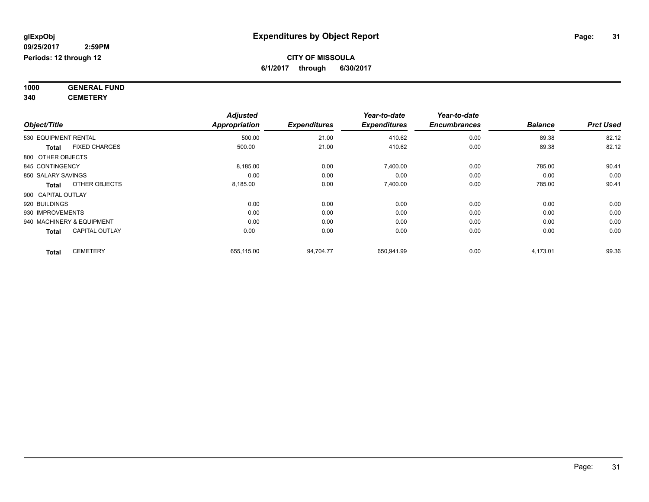**1000 GENERAL FUND 340 CEMETERY**

*Object/Title Adjusted Appropriation Expenditures Year-to-date Expenditures Year-to-date Encumbrances Balance Prct Used* 530 EQUIPMENT RENTAL 500.00 21.00 410.62 0.00 89.38 82.12 **Total** FIXED CHARGES 500.00 21.00 410.62 0.00 89.38 82.12 800 OTHER OBJECTS 845 CONTINGENCY 8,185.00 0.00 7,400.00 0.00 785.00 90.41 850 SALARY SAVINGS 0.00 0.00 0.00 0.00 0.00 0.00 **Total** OTHER OBJECTS 8,185.00 0.00 7,400.00 0.00 785.00 90.41 900 CAPITAL OUTLAY 920 BUILDINGS 0.00 0.00 0.00 0.00 0.00 0.00 930 IMPROVEMENTS 0.00 0.00 0.00 0.00 0.00 0.00 940 MACHINERY & EQUIPMENT 0.00 0.00 0.00 0.00 0.00 0.00 **Total** CAPITAL OUTLAY 0.00 0.00 0.00 0.00 0.00 0.00 **Total** CEMETERY 655,115.00 94,704.77 650,941.99 0.00 4,173.01 99.36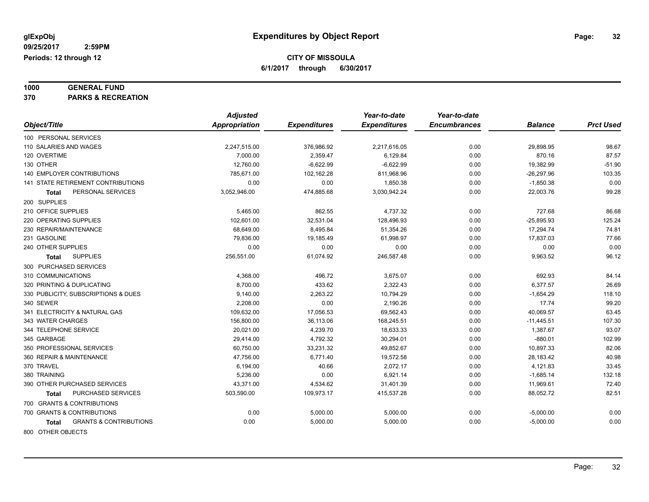# **1000 GENERAL FUND**

**370 PARKS & RECREATION**

|                                                   | <b>Adjusted</b>      |                     | Year-to-date        | Year-to-date        |                |                  |
|---------------------------------------------------|----------------------|---------------------|---------------------|---------------------|----------------|------------------|
| Object/Title                                      | <b>Appropriation</b> | <b>Expenditures</b> | <b>Expenditures</b> | <b>Encumbrances</b> | <b>Balance</b> | <b>Prct Used</b> |
| 100 PERSONAL SERVICES                             |                      |                     |                     |                     |                |                  |
| 110 SALARIES AND WAGES                            | 2,247,515.00         | 376,986.92          | 2,217,616.05        | 0.00                | 29,898.95      | 98.67            |
| 120 OVERTIME                                      | 7,000.00             | 2,359.47            | 6,129.84            | 0.00                | 870.16         | 87.57            |
| 130 OTHER                                         | 12,760.00            | $-6,622.99$         | $-6,622.99$         | 0.00                | 19,382.99      | $-51.90$         |
| <b>140 EMPLOYER CONTRIBUTIONS</b>                 | 785.671.00           | 102,162.28          | 811,968.96          | 0.00                | $-26,297.96$   | 103.35           |
| 141 STATE RETIREMENT CONTRIBUTIONS                | 0.00                 | 0.00                | 1,850.38            | 0.00                | $-1,850.38$    | 0.00             |
| PERSONAL SERVICES<br><b>Total</b>                 | 3,052,946.00         | 474,885.68          | 3,030,942.24        | 0.00                | 22,003.76      | 99.28            |
| 200 SUPPLIES                                      |                      |                     |                     |                     |                |                  |
| 210 OFFICE SUPPLIES                               | 5,465.00             | 862.55              | 4,737.32            | 0.00                | 727.68         | 86.68            |
| 220 OPERATING SUPPLIES                            | 102,601.00           | 32,531.04           | 128,496.93          | 0.00                | $-25,895.93$   | 125.24           |
| 230 REPAIR/MAINTENANCE                            | 68,649.00            | 8,495.84            | 51,354.26           | 0.00                | 17,294.74      | 74.81            |
| 231 GASOLINE                                      | 79.836.00            | 19,185.49           | 61,998.97           | 0.00                | 17,837.03      | 77.66            |
| 240 OTHER SUPPLIES                                | 0.00                 | 0.00                | 0.00                | 0.00                | 0.00           | 0.00             |
| <b>SUPPLIES</b><br><b>Total</b>                   | 256,551.00           | 61,074.92           | 246,587.48          | 0.00                | 9,963.52       | 96.12            |
| 300 PURCHASED SERVICES                            |                      |                     |                     |                     |                |                  |
| 310 COMMUNICATIONS                                | 4,368.00             | 496.72              | 3,675.07            | 0.00                | 692.93         | 84.14            |
| 320 PRINTING & DUPLICATING                        | 8,700.00             | 433.62              | 2,322.43            | 0.00                | 6,377.57       | 26.69            |
| 330 PUBLICITY, SUBSCRIPTIONS & DUES               | 9,140.00             | 2,263.22            | 10,794.29           | 0.00                | $-1,654.29$    | 118.10           |
| 340 SEWER                                         | 2,208.00             | 0.00                | 2,190.26            | 0.00                | 17.74          | 99.20            |
| 341 ELECTRICITY & NATURAL GAS                     | 109,632.00           | 17,056.53           | 69,562.43           | 0.00                | 40,069.57      | 63.45            |
| 343 WATER CHARGES                                 | 156,800.00           | 36,113.06           | 168,245.51          | 0.00                | $-11,445.51$   | 107.30           |
| 344 TELEPHONE SERVICE                             | 20,021.00            | 4,239.70            | 18,633.33           | 0.00                | 1,387.67       | 93.07            |
| 345 GARBAGE                                       | 29,414.00            | 4,792.32            | 30,294.01           | 0.00                | $-880.01$      | 102.99           |
| 350 PROFESSIONAL SERVICES                         | 60,750.00            | 33,231.32           | 49,852.67           | 0.00                | 10,897.33      | 82.06            |
| 360 REPAIR & MAINTENANCE                          | 47,756.00            | 6.771.40            | 19,572.58           | 0.00                | 28,183.42      | 40.98            |
| 370 TRAVEL                                        | 6,194.00             | 40.66               | 2,072.17            | 0.00                | 4,121.83       | 33.45            |
| 380 TRAINING                                      | 5,236.00             | 0.00                | 6,921.14            | 0.00                | $-1,685.14$    | 132.18           |
| 390 OTHER PURCHASED SERVICES                      | 43,371.00            | 4,534.62            | 31,401.39           | 0.00                | 11,969.61      | 72.40            |
| PURCHASED SERVICES<br>Total                       | 503,590.00           | 109,973.17          | 415,537.28          | 0.00                | 88,052.72      | 82.51            |
| 700 GRANTS & CONTRIBUTIONS                        |                      |                     |                     |                     |                |                  |
| 700 GRANTS & CONTRIBUTIONS                        | 0.00                 | 5,000.00            | 5,000.00            | 0.00                | $-5,000.00$    | 0.00             |
| <b>GRANTS &amp; CONTRIBUTIONS</b><br><b>Total</b> | 0.00                 | 5,000.00            | 5,000.00            | 0.00                | $-5,000.00$    | 0.00             |
| <b>800 OTHER OR IF CTC.</b>                       |                      |                     |                     |                     |                |                  |

800 OTHER OBJECTS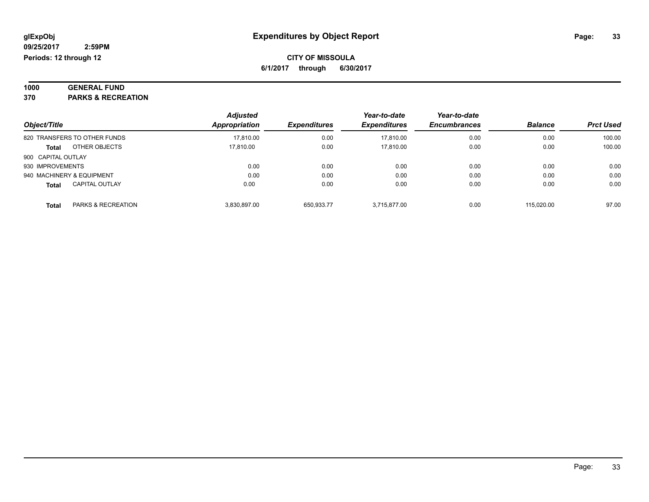| 1000 | <b>GENERAL FUND</b>        |  |
|------|----------------------------|--|
| מיפ  | <b>DADIZO O DEGDEATION</b> |  |

**370 PARKS & RECREATION**

|                                               | <b>Adjusted</b><br>Appropriation | <b>Expenditures</b> | Year-to-date<br><b>Expenditures</b> | Year-to-date<br><b>Encumbrances</b> | <b>Balance</b> | <b>Prct Used</b> |
|-----------------------------------------------|----------------------------------|---------------------|-------------------------------------|-------------------------------------|----------------|------------------|
| Object/Title                                  |                                  |                     |                                     |                                     |                |                  |
| 820 TRANSFERS TO OTHER FUNDS                  | 17.810.00                        | 0.00                | 17.810.00                           | 0.00                                | 0.00           | 100.00           |
| OTHER OBJECTS<br><b>Total</b>                 | 17,810.00                        | 0.00                | 17,810.00                           | 0.00                                | 0.00           | 100.00           |
| 900 CAPITAL OUTLAY                            |                                  |                     |                                     |                                     |                |                  |
| 930 IMPROVEMENTS                              | 0.00                             | 0.00                | 0.00                                | 0.00                                | 0.00           | 0.00             |
| 940 MACHINERY & EQUIPMENT                     | 0.00                             | 0.00                | 0.00                                | 0.00                                | 0.00           | 0.00             |
| <b>CAPITAL OUTLAY</b><br><b>Total</b>         | 0.00                             | 0.00                | 0.00                                | 0.00                                | 0.00           | 0.00             |
| <b>PARKS &amp; RECREATION</b><br><b>Total</b> | 3.830.897.00                     | 650.933.77          | 3.715.877.00                        | 0.00                                | 115.020.00     | 97.00            |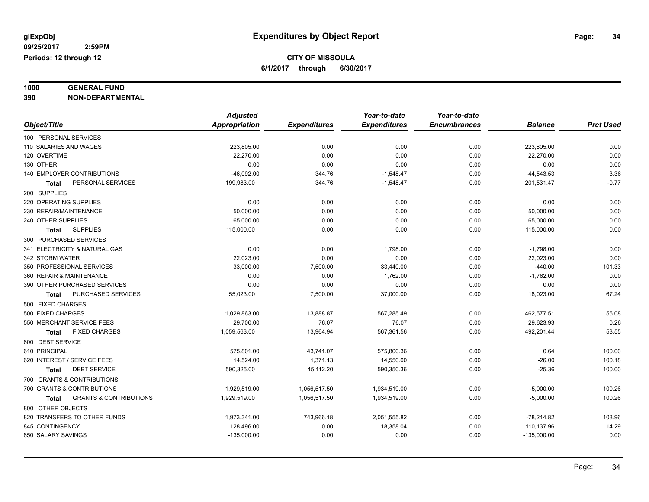# **1000 GENERAL FUND**

**390 NON-DEPARTMENTAL**

|                                                   | <b>Adjusted</b> |                     | Year-to-date        | Year-to-date        |                |                  |
|---------------------------------------------------|-----------------|---------------------|---------------------|---------------------|----------------|------------------|
| Object/Title                                      | Appropriation   | <b>Expenditures</b> | <b>Expenditures</b> | <b>Encumbrances</b> | <b>Balance</b> | <b>Prct Used</b> |
| 100 PERSONAL SERVICES                             |                 |                     |                     |                     |                |                  |
| 110 SALARIES AND WAGES                            | 223,805.00      | 0.00                | 0.00                | 0.00                | 223,805.00     | 0.00             |
| 120 OVERTIME                                      | 22,270.00       | 0.00                | 0.00                | 0.00                | 22,270.00      | 0.00             |
| 130 OTHER                                         | 0.00            | 0.00                | 0.00                | 0.00                | 0.00           | 0.00             |
| 140 EMPLOYER CONTRIBUTIONS                        | $-46,092.00$    | 344.76              | $-1,548.47$         | 0.00                | $-44,543.53$   | 3.36             |
| PERSONAL SERVICES<br><b>Total</b>                 | 199,983.00      | 344.76              | $-1,548.47$         | 0.00                | 201,531.47     | $-0.77$          |
| 200 SUPPLIES                                      |                 |                     |                     |                     |                |                  |
| 220 OPERATING SUPPLIES                            | 0.00            | 0.00                | 0.00                | 0.00                | 0.00           | 0.00             |
| 230 REPAIR/MAINTENANCE                            | 50,000.00       | 0.00                | 0.00                | 0.00                | 50,000.00      | 0.00             |
| 240 OTHER SUPPLIES                                | 65,000.00       | 0.00                | 0.00                | 0.00                | 65,000.00      | 0.00             |
| <b>SUPPLIES</b><br>Total                          | 115,000.00      | 0.00                | 0.00                | 0.00                | 115,000.00     | 0.00             |
| 300 PURCHASED SERVICES                            |                 |                     |                     |                     |                |                  |
| 341 ELECTRICITY & NATURAL GAS                     | 0.00            | 0.00                | 1,798.00            | 0.00                | $-1,798.00$    | 0.00             |
| 342 STORM WATER                                   | 22,023.00       | 0.00                | 0.00                | 0.00                | 22,023.00      | 0.00             |
| 350 PROFESSIONAL SERVICES                         | 33,000.00       | 7,500.00            | 33,440.00           | 0.00                | $-440.00$      | 101.33           |
| 360 REPAIR & MAINTENANCE                          | 0.00            | 0.00                | 1,762.00            | 0.00                | $-1,762.00$    | 0.00             |
| 390 OTHER PURCHASED SERVICES                      | 0.00            | 0.00                | 0.00                | 0.00                | 0.00           | 0.00             |
| PURCHASED SERVICES<br>Total                       | 55,023.00       | 7,500.00            | 37,000.00           | 0.00                | 18,023.00      | 67.24            |
| 500 FIXED CHARGES                                 |                 |                     |                     |                     |                |                  |
| 500 FIXED CHARGES                                 | 1,029,863.00    | 13,888.87           | 567,285.49          | 0.00                | 462,577.51     | 55.08            |
| 550 MERCHANT SERVICE FEES                         | 29,700.00       | 76.07               | 76.07               | 0.00                | 29,623.93      | 0.26             |
| <b>FIXED CHARGES</b><br>Total                     | 1,059,563.00    | 13,964.94           | 567,361.56          | 0.00                | 492,201.44     | 53.55            |
| 600 DEBT SERVICE                                  |                 |                     |                     |                     |                |                  |
| 610 PRINCIPAL                                     | 575,801.00      | 43,741.07           | 575,800.36          | 0.00                | 0.64           | 100.00           |
| 620 INTEREST / SERVICE FEES                       | 14,524.00       | 1,371.13            | 14,550.00           | 0.00                | $-26.00$       | 100.18           |
| <b>DEBT SERVICE</b><br>Total                      | 590,325.00      | 45,112.20           | 590,350.36          | 0.00                | $-25.36$       | 100.00           |
| 700 GRANTS & CONTRIBUTIONS                        |                 |                     |                     |                     |                |                  |
| 700 GRANTS & CONTRIBUTIONS                        | 1,929,519.00    | 1,056,517.50        | 1,934,519.00        | 0.00                | $-5,000.00$    | 100.26           |
| <b>GRANTS &amp; CONTRIBUTIONS</b><br><b>Total</b> | 1,929,519.00    | 1,056,517.50        | 1,934,519.00        | 0.00                | $-5,000.00$    | 100.26           |
| 800 OTHER OBJECTS                                 |                 |                     |                     |                     |                |                  |
| 820 TRANSFERS TO OTHER FUNDS                      | 1,973,341.00    | 743,966.18          | 2,051,555.82        | 0.00                | $-78,214.82$   | 103.96           |
| 845 CONTINGENCY                                   | 128,496.00      | 0.00                | 18,358.04           | 0.00                | 110,137.96     | 14.29            |
| 850 SALARY SAVINGS                                | $-135,000.00$   | 0.00                | 0.00                | 0.00                | $-135,000.00$  | 0.00             |
|                                                   |                 |                     |                     |                     |                |                  |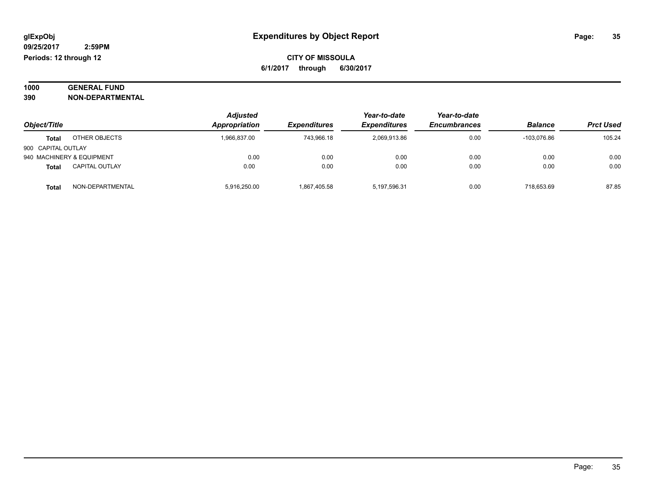#### **1000 GENERAL FUND 390 NON-DEPARTMENTAL**

|                    |                           | <b>Adjusted</b> |                     | Year-to-date        | Year-to-date        |                |                  |
|--------------------|---------------------------|-----------------|---------------------|---------------------|---------------------|----------------|------------------|
| Object/Title       |                           | Appropriation   | <b>Expenditures</b> | <b>Expenditures</b> | <b>Encumbrances</b> | <b>Balance</b> | <b>Prct Used</b> |
| <b>Total</b>       | OTHER OBJECTS             | 1.966.837.00    | 743.966.18          | 2.069.913.86        | 0.00                | -103.076.86    | 105.24           |
| 900 CAPITAL OUTLAY |                           |                 |                     |                     |                     |                |                  |
|                    | 940 MACHINERY & EQUIPMENT | 0.00            | 0.00                | 0.00                | 0.00                | 0.00           | 0.00             |
| Total              | <b>CAPITAL OUTLAY</b>     | 0.00            | 0.00                | 0.00                | 0.00                | 0.00           | 0.00             |
| <b>Total</b>       | NON-DEPARTMENTAL          | 5.916.250.00    | 1.867.405.58        | 5,197,596.31        | 0.00                | 718.653.69     | 87.85            |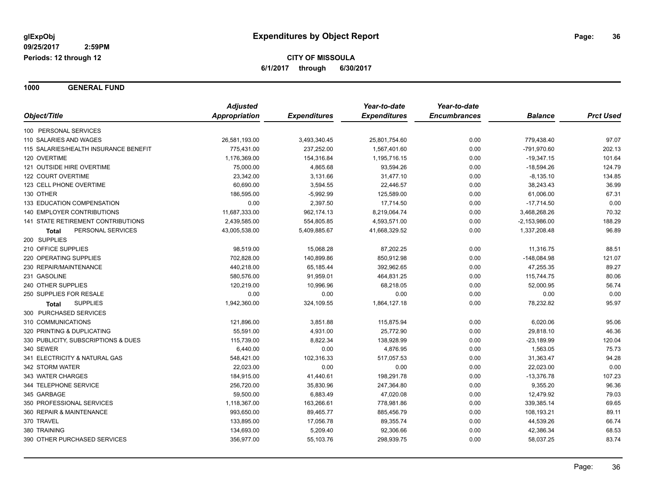**1000 GENERAL FUND**

|                                       | <b>Adjusted</b><br>Appropriation | <b>Expenditures</b> | Year-to-date<br><b>Expenditures</b> | Year-to-date<br><b>Encumbrances</b> | <b>Balance</b>  | <b>Prct Used</b> |
|---------------------------------------|----------------------------------|---------------------|-------------------------------------|-------------------------------------|-----------------|------------------|
| Object/Title                          |                                  |                     |                                     |                                     |                 |                  |
| 100 PERSONAL SERVICES                 |                                  |                     |                                     |                                     |                 |                  |
| 110 SALARIES AND WAGES                | 26,581,193.00                    | 3,493,340.45        | 25,801,754.60                       | 0.00                                | 779,438.40      | 97.07            |
| 115 SALARIES/HEALTH INSURANCE BENEFIT | 775,431.00                       | 237,252.00          | 1,567,401.60                        | 0.00                                | -791,970.60     | 202.13           |
| 120 OVERTIME                          | 1,176,369.00                     | 154,316.84          | 1,195,716.15                        | 0.00                                | $-19,347.15$    | 101.64           |
| 121 OUTSIDE HIRE OVERTIME             | 75,000.00                        | 4,865.68            | 93,594.26                           | 0.00                                | $-18,594.26$    | 124.79           |
| 122 COURT OVERTIME                    | 23,342.00                        | 3,131.66            | 31,477.10                           | 0.00                                | $-8,135.10$     | 134.85           |
| 123 CELL PHONE OVERTIME               | 60,690.00                        | 3,594.55            | 22,446.57                           | 0.00                                | 38,243.43       | 36.99            |
| 130 OTHER                             | 186,595.00                       | $-5,992.99$         | 125,589.00                          | 0.00                                | 61,006.00       | 67.31            |
| 133 EDUCATION COMPENSATION            | 0.00                             | 2,397.50            | 17,714.50                           | 0.00                                | $-17,714.50$    | 0.00             |
| 140 EMPLOYER CONTRIBUTIONS            | 11,687,333.00                    | 962,174.13          | 8,219,064.74                        | 0.00                                | 3,468,268.26    | 70.32            |
| 141 STATE RETIREMENT CONTRIBUTIONS    | 2,439,585.00                     | 554,805.85          | 4,593,571.00                        | 0.00                                | $-2,153,986.00$ | 188.29           |
| PERSONAL SERVICES<br><b>Total</b>     | 43,005,538.00                    | 5,409,885.67        | 41,668,329.52                       | 0.00                                | 1,337,208.48    | 96.89            |
| 200 SUPPLIES                          |                                  |                     |                                     |                                     |                 |                  |
| 210 OFFICE SUPPLIES                   | 98,519.00                        | 15,068.28           | 87,202.25                           | 0.00                                | 11,316.75       | 88.51            |
| 220 OPERATING SUPPLIES                | 702,828.00                       | 140,899.86          | 850,912.98                          | 0.00                                | $-148,084.98$   | 121.07           |
| 230 REPAIR/MAINTENANCE                | 440,218.00                       | 65,185.44           | 392,962.65                          | 0.00                                | 47,255.35       | 89.27            |
| 231 GASOLINE                          | 580,576.00                       | 91,959.01           | 464,831.25                          | 0.00                                | 115,744.75      | 80.06            |
| 240 OTHER SUPPLIES                    | 120,219.00                       | 10,996.96           | 68,218.05                           | 0.00                                | 52,000.95       | 56.74            |
| 250 SUPPLIES FOR RESALE               | 0.00                             | 0.00                | 0.00                                | 0.00                                | 0.00            | 0.00             |
| <b>SUPPLIES</b><br>Total              | 1,942,360.00                     | 324,109.55          | 1,864,127.18                        | 0.00                                | 78,232.82       | 95.97            |
| 300 PURCHASED SERVICES                |                                  |                     |                                     |                                     |                 |                  |
| 310 COMMUNICATIONS                    | 121,896.00                       | 3,851.88            | 115,875.94                          | 0.00                                | 6,020.06        | 95.06            |
| 320 PRINTING & DUPLICATING            | 55,591.00                        | 4,931.00            | 25,772.90                           | 0.00                                | 29,818.10       | 46.36            |
| 330 PUBLICITY, SUBSCRIPTIONS & DUES   | 115,739.00                       | 8,822.34            | 138,928.99                          | 0.00                                | $-23,189.99$    | 120.04           |
| 340 SEWER                             | 6,440.00                         | 0.00                | 4,876.95                            | 0.00                                | 1,563.05        | 75.73            |
| 341 ELECTRICITY & NATURAL GAS         | 548,421.00                       | 102,316.33          | 517,057.53                          | 0.00                                | 31,363.47       | 94.28            |
| 342 STORM WATER                       | 22,023.00                        | 0.00                | 0.00                                | 0.00                                | 22,023.00       | 0.00             |
| 343 WATER CHARGES                     | 184,915.00                       | 41,440.61           | 198,291.78                          | 0.00                                | $-13,376.78$    | 107.23           |
| 344 TELEPHONE SERVICE                 | 256,720.00                       | 35,830.96           | 247,364.80                          | 0.00                                | 9,355.20        | 96.36            |
| 345 GARBAGE                           | 59,500.00                        | 6,883.49            | 47,020.08                           | 0.00                                | 12,479.92       | 79.03            |
| 350 PROFESSIONAL SERVICES             | 1,118,367.00                     | 163,266.61          | 778,981.86                          | 0.00                                | 339,385.14      | 69.65            |
| 360 REPAIR & MAINTENANCE              | 993,650.00                       | 89,465.77           | 885,456.79                          | 0.00                                | 108,193.21      | 89.11            |
| 370 TRAVEL                            | 133,895.00                       | 17,056.78           | 89,355.74                           | 0.00                                | 44,539.26       | 66.74            |
| 380 TRAINING                          | 134,693.00                       | 5,209.40            | 92,306.66                           | 0.00                                | 42,386.34       | 68.53            |
| 390 OTHER PURCHASED SERVICES          | 356,977.00                       | 55,103.76           | 298,939.75                          | 0.00                                | 58,037.25       | 83.74            |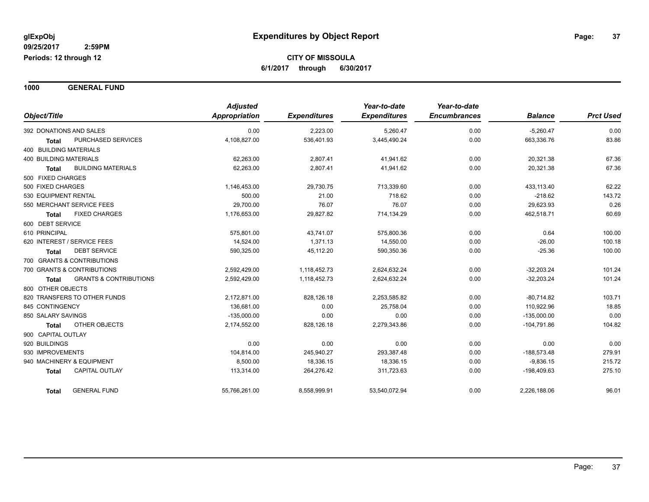**1000 GENERAL FUND**

| Object/Title                                      | <b>Adjusted</b><br><b>Appropriation</b> | <b>Expenditures</b> | Year-to-date<br><b>Expenditures</b> | Year-to-date<br><b>Encumbrances</b> | <b>Balance</b> | <b>Prct Used</b> |
|---------------------------------------------------|-----------------------------------------|---------------------|-------------------------------------|-------------------------------------|----------------|------------------|
|                                                   |                                         |                     |                                     |                                     |                |                  |
| 392 DONATIONS AND SALES                           | 0.00                                    | 2,223.00            | 5,260.47                            | 0.00                                | $-5,260.47$    | 0.00             |
| PURCHASED SERVICES<br><b>Total</b>                | 4,108,827.00                            | 536,401.93          | 3,445,490.24                        | 0.00                                | 663,336.76     | 83.86            |
| 400 BUILDING MATERIALS                            |                                         |                     |                                     |                                     |                |                  |
| <b>400 BUILDING MATERIALS</b>                     | 62,263.00                               | 2,807.41            | 41,941.62                           | 0.00                                | 20,321.38      | 67.36            |
| <b>BUILDING MATERIALS</b><br><b>Total</b>         | 62,263.00                               | 2,807.41            | 41,941.62                           | 0.00                                | 20,321.38      | 67.36            |
| 500 FIXED CHARGES                                 |                                         |                     |                                     |                                     |                |                  |
| 500 FIXED CHARGES                                 | 1,146,453.00                            | 29,730.75           | 713,339.60                          | 0.00                                | 433,113.40     | 62.22            |
| 530 EQUIPMENT RENTAL                              | 500.00                                  | 21.00               | 718.62                              | 0.00                                | $-218.62$      | 143.72           |
| 550 MERCHANT SERVICE FEES                         | 29,700.00                               | 76.07               | 76.07                               | 0.00                                | 29,623.93      | 0.26             |
| <b>FIXED CHARGES</b><br><b>Total</b>              | 1,176,653.00                            | 29,827.82           | 714,134.29                          | 0.00                                | 462,518.71     | 60.69            |
| 600 DEBT SERVICE                                  |                                         |                     |                                     |                                     |                |                  |
| 610 PRINCIPAL                                     | 575.801.00                              | 43,741.07           | 575,800.36                          | 0.00                                | 0.64           | 100.00           |
| 620 INTEREST / SERVICE FEES                       | 14,524.00                               | 1.371.13            | 14,550.00                           | 0.00                                | $-26.00$       | 100.18           |
| <b>DEBT SERVICE</b><br><b>Total</b>               | 590,325.00                              | 45,112.20           | 590,350.36                          | 0.00                                | $-25.36$       | 100.00           |
| 700 GRANTS & CONTRIBUTIONS                        |                                         |                     |                                     |                                     |                |                  |
| 700 GRANTS & CONTRIBUTIONS                        | 2,592,429.00                            | 1,118,452.73        | 2,624,632.24                        | 0.00                                | $-32,203.24$   | 101.24           |
| <b>GRANTS &amp; CONTRIBUTIONS</b><br><b>Total</b> | 2,592,429.00                            | 1,118,452.73        | 2,624,632.24                        | 0.00                                | $-32,203.24$   | 101.24           |
| 800 OTHER OBJECTS                                 |                                         |                     |                                     |                                     |                |                  |
| 820 TRANSFERS TO OTHER FUNDS                      | 2,172,871.00                            | 828,126.18          | 2,253,585.82                        | 0.00                                | $-80,714.82$   | 103.71           |
| 845 CONTINGENCY                                   | 136,681.00                              | 0.00                | 25,758.04                           | 0.00                                | 110,922.96     | 18.85            |
| 850 SALARY SAVINGS                                | $-135,000.00$                           | 0.00                | 0.00                                | 0.00                                | $-135,000.00$  | 0.00             |
| <b>OTHER OBJECTS</b><br><b>Total</b>              | 2,174,552.00                            | 828,126.18          | 2,279,343.86                        | 0.00                                | $-104,791.86$  | 104.82           |
| 900 CAPITAL OUTLAY                                |                                         |                     |                                     |                                     |                |                  |
| 920 BUILDINGS                                     | 0.00                                    | 0.00                | 0.00                                | 0.00                                | 0.00           | 0.00             |
| 930 IMPROVEMENTS                                  | 104,814.00                              | 245,940.27          | 293,387.48                          | 0.00                                | $-188,573.48$  | 279.91           |
| 940 MACHINERY & EQUIPMENT                         | 8,500.00                                | 18,336.15           | 18,336.15                           | 0.00                                | $-9,836.15$    | 215.72           |
| CAPITAL OUTLAY<br><b>Total</b>                    | 113,314.00                              | 264,276.42          | 311,723.63                          | 0.00                                | -198,409.63    | 275.10           |
| <b>GENERAL FUND</b><br><b>Total</b>               | 55,766,261.00                           | 8,558,999.91        | 53,540,072.94                       | 0.00                                | 2,226,188.06   | 96.01            |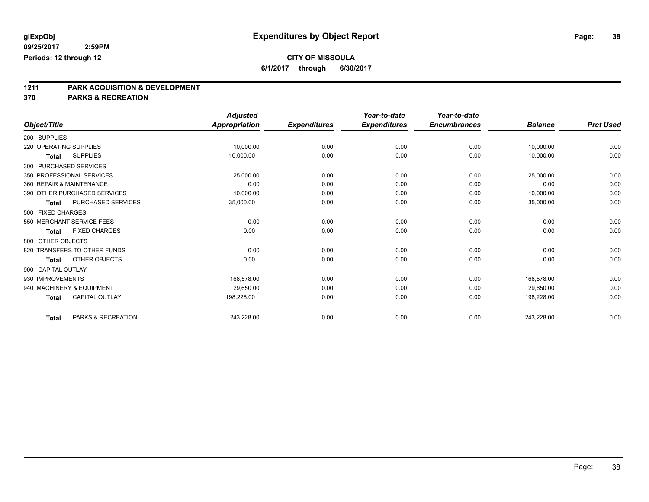### **CITY OF MISSOULA**

**6/1/2017 through 6/30/2017**

# **1211 PARK ACQUISITION & DEVELOPMENT**

|                        |                              | <b>Adjusted</b> |                     | Year-to-date        | Year-to-date        |                |                  |
|------------------------|------------------------------|-----------------|---------------------|---------------------|---------------------|----------------|------------------|
| Object/Title           |                              | Appropriation   | <b>Expenditures</b> | <b>Expenditures</b> | <b>Encumbrances</b> | <b>Balance</b> | <b>Prct Used</b> |
| 200 SUPPLIES           |                              |                 |                     |                     |                     |                |                  |
| 220 OPERATING SUPPLIES |                              | 10,000.00       | 0.00                | 0.00                | 0.00                | 10,000.00      | 0.00             |
| <b>Total</b>           | <b>SUPPLIES</b>              | 10,000.00       | 0.00                | 0.00                | 0.00                | 10,000.00      | 0.00             |
| 300 PURCHASED SERVICES |                              |                 |                     |                     |                     |                |                  |
|                        | 350 PROFESSIONAL SERVICES    | 25,000.00       | 0.00                | 0.00                | 0.00                | 25,000.00      | 0.00             |
|                        | 360 REPAIR & MAINTENANCE     | 0.00            | 0.00                | 0.00                | 0.00                | 0.00           | 0.00             |
|                        | 390 OTHER PURCHASED SERVICES | 10,000.00       | 0.00                | 0.00                | 0.00                | 10,000.00      | 0.00             |
| <b>Total</b>           | <b>PURCHASED SERVICES</b>    | 35,000.00       | 0.00                | 0.00                | 0.00                | 35,000.00      | 0.00             |
| 500 FIXED CHARGES      |                              |                 |                     |                     |                     |                |                  |
|                        | 550 MERCHANT SERVICE FEES    | 0.00            | 0.00                | 0.00                | 0.00                | 0.00           | 0.00             |
| <b>Total</b>           | <b>FIXED CHARGES</b>         | 0.00            | 0.00                | 0.00                | 0.00                | 0.00           | 0.00             |
| 800 OTHER OBJECTS      |                              |                 |                     |                     |                     |                |                  |
|                        | 820 TRANSFERS TO OTHER FUNDS | 0.00            | 0.00                | 0.00                | 0.00                | 0.00           | 0.00             |
| <b>Total</b>           | <b>OTHER OBJECTS</b>         | 0.00            | 0.00                | 0.00                | 0.00                | 0.00           | 0.00             |
| 900 CAPITAL OUTLAY     |                              |                 |                     |                     |                     |                |                  |
| 930 IMPROVEMENTS       |                              | 168,578.00      | 0.00                | 0.00                | 0.00                | 168,578.00     | 0.00             |
|                        | 940 MACHINERY & EQUIPMENT    | 29,650.00       | 0.00                | 0.00                | 0.00                | 29,650.00      | 0.00             |
| <b>Total</b>           | CAPITAL OUTLAY               | 198,228.00      | 0.00                | 0.00                | 0.00                | 198,228.00     | 0.00             |
| <b>Total</b>           | PARKS & RECREATION           | 243,228.00      | 0.00                | 0.00                | 0.00                | 243,228.00     | 0.00             |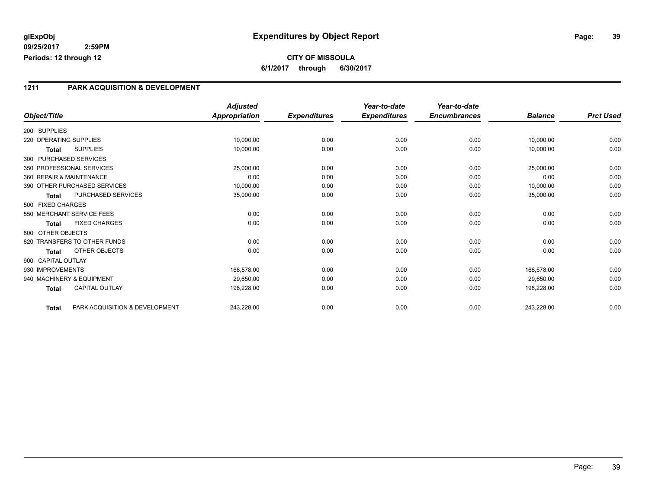#### **1211 PARK ACQUISITION & DEVELOPMENT**

|                           |                                | <b>Adjusted</b>      |                     | Year-to-date        | Year-to-date        |                |                  |
|---------------------------|--------------------------------|----------------------|---------------------|---------------------|---------------------|----------------|------------------|
| Object/Title              |                                | <b>Appropriation</b> | <b>Expenditures</b> | <b>Expenditures</b> | <b>Encumbrances</b> | <b>Balance</b> | <b>Prct Used</b> |
| 200 SUPPLIES              |                                |                      |                     |                     |                     |                |                  |
| 220 OPERATING SUPPLIES    |                                | 10,000.00            | 0.00                | 0.00                | 0.00                | 10,000.00      | 0.00             |
| <b>Total</b>              | <b>SUPPLIES</b>                | 10,000.00            | 0.00                | 0.00                | 0.00                | 10,000.00      | 0.00             |
| 300 PURCHASED SERVICES    |                                |                      |                     |                     |                     |                |                  |
| 350 PROFESSIONAL SERVICES |                                | 25,000.00            | 0.00                | 0.00                | 0.00                | 25,000.00      | 0.00             |
| 360 REPAIR & MAINTENANCE  |                                | 0.00                 | 0.00                | 0.00                | 0.00                | 0.00           | 0.00             |
|                           | 390 OTHER PURCHASED SERVICES   | 10,000.00            | 0.00                | 0.00                | 0.00                | 10,000.00      | 0.00             |
| <b>Total</b>              | PURCHASED SERVICES             | 35,000.00            | 0.00                | 0.00                | 0.00                | 35,000.00      | 0.00             |
| 500 FIXED CHARGES         |                                |                      |                     |                     |                     |                |                  |
| 550 MERCHANT SERVICE FEES |                                | 0.00                 | 0.00                | 0.00                | 0.00                | 0.00           | 0.00             |
| <b>Total</b>              | <b>FIXED CHARGES</b>           | 0.00                 | 0.00                | 0.00                | 0.00                | 0.00           | 0.00             |
| 800 OTHER OBJECTS         |                                |                      |                     |                     |                     |                |                  |
|                           | 820 TRANSFERS TO OTHER FUNDS   | 0.00                 | 0.00                | 0.00                | 0.00                | 0.00           | 0.00             |
| <b>Total</b>              | OTHER OBJECTS                  | 0.00                 | 0.00                | 0.00                | 0.00                | 0.00           | 0.00             |
| 900 CAPITAL OUTLAY        |                                |                      |                     |                     |                     |                |                  |
| 930 IMPROVEMENTS          |                                | 168,578.00           | 0.00                | 0.00                | 0.00                | 168,578.00     | 0.00             |
| 940 MACHINERY & EQUIPMENT |                                | 29,650.00            | 0.00                | 0.00                | 0.00                | 29,650.00      | 0.00             |
| <b>Total</b>              | <b>CAPITAL OUTLAY</b>          | 198,228.00           | 0.00                | 0.00                | 0.00                | 198,228.00     | 0.00             |
| <b>Total</b>              | PARK ACQUISITION & DEVELOPMENT | 243,228.00           | 0.00                | 0.00                | 0.00                | 243,228.00     | 0.00             |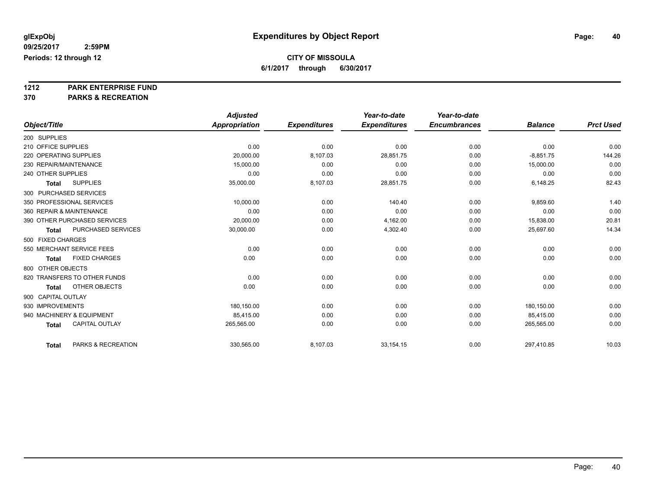**1212 PARK ENTERPRISE FUND**

|                                       | <b>Adjusted</b> |                     | Year-to-date        | Year-to-date        |                |                  |
|---------------------------------------|-----------------|---------------------|---------------------|---------------------|----------------|------------------|
| Object/Title                          | Appropriation   | <b>Expenditures</b> | <b>Expenditures</b> | <b>Encumbrances</b> | <b>Balance</b> | <b>Prct Used</b> |
| 200 SUPPLIES                          |                 |                     |                     |                     |                |                  |
| 210 OFFICE SUPPLIES                   | 0.00            | 0.00                | 0.00                | 0.00                | 0.00           | 0.00             |
| 220 OPERATING SUPPLIES                | 20,000.00       | 8,107.03            | 28.851.75           | 0.00                | $-8.851.75$    | 144.26           |
| 230 REPAIR/MAINTENANCE                | 15,000.00       | 0.00                | 0.00                | 0.00                | 15,000.00      | 0.00             |
| 240 OTHER SUPPLIES                    | 0.00            | 0.00                | 0.00                | 0.00                | 0.00           | 0.00             |
| <b>SUPPLIES</b><br><b>Total</b>       | 35,000.00       | 8,107.03            | 28,851.75           | 0.00                | 6,148.25       | 82.43            |
| 300 PURCHASED SERVICES                |                 |                     |                     |                     |                |                  |
| 350 PROFESSIONAL SERVICES             | 10,000.00       | 0.00                | 140.40              | 0.00                | 9,859.60       | 1.40             |
| 360 REPAIR & MAINTENANCE              | 0.00            | 0.00                | 0.00                | 0.00                | 0.00           | 0.00             |
| 390 OTHER PURCHASED SERVICES          | 20,000.00       | 0.00                | 4,162.00            | 0.00                | 15,838.00      | 20.81            |
| PURCHASED SERVICES<br><b>Total</b>    | 30,000.00       | 0.00                | 4,302.40            | 0.00                | 25,697.60      | 14.34            |
| 500 FIXED CHARGES                     |                 |                     |                     |                     |                |                  |
| 550 MERCHANT SERVICE FEES             | 0.00            | 0.00                | 0.00                | 0.00                | 0.00           | 0.00             |
| <b>FIXED CHARGES</b><br><b>Total</b>  | 0.00            | 0.00                | 0.00                | 0.00                | 0.00           | 0.00             |
| 800 OTHER OBJECTS                     |                 |                     |                     |                     |                |                  |
| 820 TRANSFERS TO OTHER FUNDS          | 0.00            | 0.00                | 0.00                | 0.00                | 0.00           | 0.00             |
| OTHER OBJECTS<br><b>Total</b>         | 0.00            | 0.00                | 0.00                | 0.00                | 0.00           | 0.00             |
| 900 CAPITAL OUTLAY                    |                 |                     |                     |                     |                |                  |
| 930 IMPROVEMENTS                      | 180,150.00      | 0.00                | 0.00                | 0.00                | 180,150.00     | 0.00             |
| 940 MACHINERY & EQUIPMENT             | 85,415.00       | 0.00                | 0.00                | 0.00                | 85,415.00      | 0.00             |
| <b>CAPITAL OUTLAY</b><br><b>Total</b> | 265,565.00      | 0.00                | 0.00                | 0.00                | 265,565.00     | 0.00             |
| PARKS & RECREATION<br><b>Total</b>    | 330,565.00      | 8,107.03            | 33,154.15           | 0.00                | 297,410.85     | 10.03            |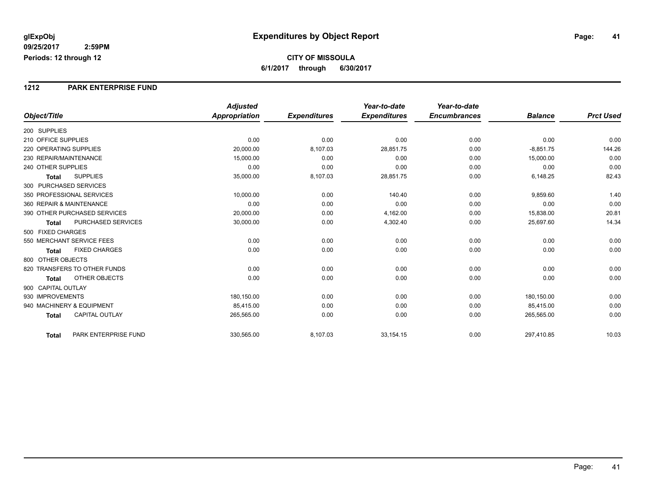#### **1212 PARK ENTERPRISE FUND**

|                              |                           | <b>Adjusted</b>      |                     | Year-to-date        | Year-to-date        |                |                  |
|------------------------------|---------------------------|----------------------|---------------------|---------------------|---------------------|----------------|------------------|
| Object/Title                 |                           | <b>Appropriation</b> | <b>Expenditures</b> | <b>Expenditures</b> | <b>Encumbrances</b> | <b>Balance</b> | <b>Prct Used</b> |
| 200 SUPPLIES                 |                           |                      |                     |                     |                     |                |                  |
| 210 OFFICE SUPPLIES          |                           | 0.00                 | 0.00                | 0.00                | 0.00                | 0.00           | 0.00             |
| 220 OPERATING SUPPLIES       |                           | 20,000.00            | 8,107.03            | 28,851.75           | 0.00                | $-8,851.75$    | 144.26           |
| 230 REPAIR/MAINTENANCE       |                           | 15,000.00            | 0.00                | 0.00                | 0.00                | 15,000.00      | 0.00             |
| 240 OTHER SUPPLIES           |                           | 0.00                 | 0.00                | 0.00                | 0.00                | 0.00           | 0.00             |
| <b>Total</b>                 | <b>SUPPLIES</b>           | 35,000.00            | 8,107.03            | 28,851.75           | 0.00                | 6,148.25       | 82.43            |
| 300 PURCHASED SERVICES       |                           |                      |                     |                     |                     |                |                  |
| 350 PROFESSIONAL SERVICES    |                           | 10,000.00            | 0.00                | 140.40              | 0.00                | 9,859.60       | 1.40             |
| 360 REPAIR & MAINTENANCE     |                           | 0.00                 | 0.00                | 0.00                | 0.00                | 0.00           | 0.00             |
| 390 OTHER PURCHASED SERVICES |                           | 20,000.00            | 0.00                | 4,162.00            | 0.00                | 15,838.00      | 20.81            |
| <b>Total</b>                 | <b>PURCHASED SERVICES</b> | 30,000.00            | 0.00                | 4,302.40            | 0.00                | 25,697.60      | 14.34            |
| 500 FIXED CHARGES            |                           |                      |                     |                     |                     |                |                  |
| 550 MERCHANT SERVICE FEES    |                           | 0.00                 | 0.00                | 0.00                | 0.00                | 0.00           | 0.00             |
| <b>Total</b>                 | <b>FIXED CHARGES</b>      | 0.00                 | 0.00                | 0.00                | 0.00                | 0.00           | 0.00             |
| 800 OTHER OBJECTS            |                           |                      |                     |                     |                     |                |                  |
| 820 TRANSFERS TO OTHER FUNDS |                           | 0.00                 | 0.00                | 0.00                | 0.00                | 0.00           | 0.00             |
| <b>Total</b>                 | <b>OTHER OBJECTS</b>      | 0.00                 | 0.00                | 0.00                | 0.00                | 0.00           | 0.00             |
| 900 CAPITAL OUTLAY           |                           |                      |                     |                     |                     |                |                  |
| 930 IMPROVEMENTS             |                           | 180,150.00           | 0.00                | 0.00                | 0.00                | 180,150.00     | 0.00             |
| 940 MACHINERY & EQUIPMENT    |                           | 85,415.00            | 0.00                | 0.00                | 0.00                | 85,415.00      | 0.00             |
| <b>Total</b>                 | <b>CAPITAL OUTLAY</b>     | 265,565.00           | 0.00                | 0.00                | 0.00                | 265,565.00     | 0.00             |
| <b>Total</b>                 | PARK ENTERPRISE FUND      | 330,565.00           | 8,107.03            | 33,154.15           | 0.00                | 297,410.85     | 10.03            |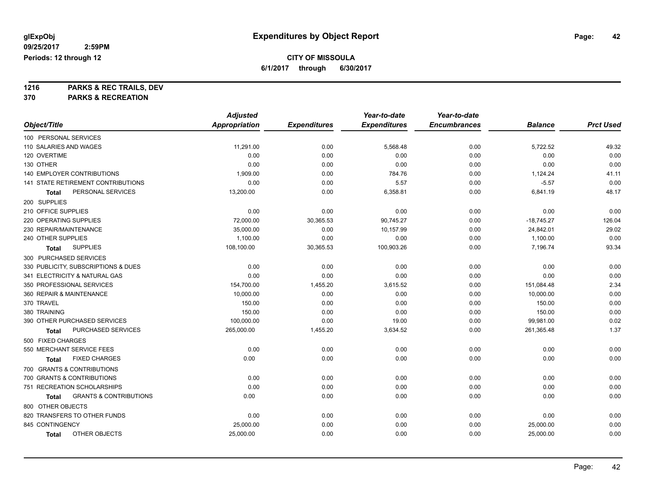**CITY OF MISSOULA**

**6/1/2017 through 6/30/2017**

**1216 PARKS & REC TRAILS, DEV**

|                                            | <b>Adjusted</b>      |                     | Year-to-date        | Year-to-date        |                |                  |
|--------------------------------------------|----------------------|---------------------|---------------------|---------------------|----------------|------------------|
| Object/Title                               | <b>Appropriation</b> | <b>Expenditures</b> | <b>Expenditures</b> | <b>Encumbrances</b> | <b>Balance</b> | <b>Prct Used</b> |
| 100 PERSONAL SERVICES                      |                      |                     |                     |                     |                |                  |
| 110 SALARIES AND WAGES                     | 11,291.00            | 0.00                | 5,568.48            | 0.00                | 5,722.52       | 49.32            |
| 120 OVERTIME                               | 0.00                 | 0.00                | 0.00                | 0.00                | 0.00           | 0.00             |
| 130 OTHER                                  | 0.00                 | 0.00                | 0.00                | 0.00                | 0.00           | 0.00             |
| <b>140 EMPLOYER CONTRIBUTIONS</b>          | 1,909.00             | 0.00                | 784.76              | 0.00                | 1,124.24       | 41.11            |
| 141 STATE RETIREMENT CONTRIBUTIONS         | 0.00                 | 0.00                | 5.57                | 0.00                | $-5.57$        | 0.00             |
| PERSONAL SERVICES<br>Total                 | 13,200.00            | 0.00                | 6,358.81            | 0.00                | 6,841.19       | 48.17            |
| 200 SUPPLIES                               |                      |                     |                     |                     |                |                  |
| 210 OFFICE SUPPLIES                        | 0.00                 | 0.00                | 0.00                | 0.00                | 0.00           | 0.00             |
| 220 OPERATING SUPPLIES                     | 72,000.00            | 30,365.53           | 90,745.27           | 0.00                | $-18,745.27$   | 126.04           |
| 230 REPAIR/MAINTENANCE                     | 35,000.00            | 0.00                | 10,157.99           | 0.00                | 24,842.01      | 29.02            |
| 240 OTHER SUPPLIES                         | 1,100.00             | 0.00                | 0.00                | 0.00                | 1,100.00       | 0.00             |
| <b>SUPPLIES</b><br><b>Total</b>            | 108,100.00           | 30,365.53           | 100,903.26          | 0.00                | 7,196.74       | 93.34            |
| 300 PURCHASED SERVICES                     |                      |                     |                     |                     |                |                  |
| 330 PUBLICITY, SUBSCRIPTIONS & DUES        | 0.00                 | 0.00                | 0.00                | 0.00                | 0.00           | 0.00             |
| 341 ELECTRICITY & NATURAL GAS              | 0.00                 | 0.00                | 0.00                | 0.00                | 0.00           | 0.00             |
| 350 PROFESSIONAL SERVICES                  | 154,700.00           | 1,455.20            | 3,615.52            | 0.00                | 151,084.48     | 2.34             |
| 360 REPAIR & MAINTENANCE                   | 10,000.00            | 0.00                | 0.00                | 0.00                | 10,000.00      | 0.00             |
| 370 TRAVEL                                 | 150.00               | 0.00                | 0.00                | 0.00                | 150.00         | 0.00             |
| 380 TRAINING                               | 150.00               | 0.00                | 0.00                | 0.00                | 150.00         | 0.00             |
| 390 OTHER PURCHASED SERVICES               | 100,000.00           | 0.00                | 19.00               | 0.00                | 99,981.00      | 0.02             |
| PURCHASED SERVICES<br>Total                | 265,000.00           | 1,455.20            | 3,634.52            | 0.00                | 261,365.48     | 1.37             |
| 500 FIXED CHARGES                          |                      |                     |                     |                     |                |                  |
| 550 MERCHANT SERVICE FEES                  | 0.00                 | 0.00                | 0.00                | 0.00                | 0.00           | 0.00             |
| <b>FIXED CHARGES</b><br>Total              | 0.00                 | 0.00                | 0.00                | 0.00                | 0.00           | 0.00             |
| 700 GRANTS & CONTRIBUTIONS                 |                      |                     |                     |                     |                |                  |
| 700 GRANTS & CONTRIBUTIONS                 | 0.00                 | 0.00                | 0.00                | 0.00                | 0.00           | 0.00             |
| 751 RECREATION SCHOLARSHIPS                | 0.00                 | 0.00                | 0.00                | 0.00                | 0.00           | 0.00             |
| <b>GRANTS &amp; CONTRIBUTIONS</b><br>Total | 0.00                 | 0.00                | 0.00                | 0.00                | 0.00           | 0.00             |
| 800 OTHER OBJECTS                          |                      |                     |                     |                     |                |                  |
| 820 TRANSFERS TO OTHER FUNDS               | 0.00                 | 0.00                | 0.00                | 0.00                | 0.00           | 0.00             |
| 845 CONTINGENCY                            | 25,000.00            | 0.00                | 0.00                | 0.00                | 25,000.00      | 0.00             |
| OTHER OBJECTS<br><b>Total</b>              | 25,000.00            | 0.00                | 0.00                | 0.00                | 25,000.00      | 0.00             |
|                                            |                      |                     |                     |                     |                |                  |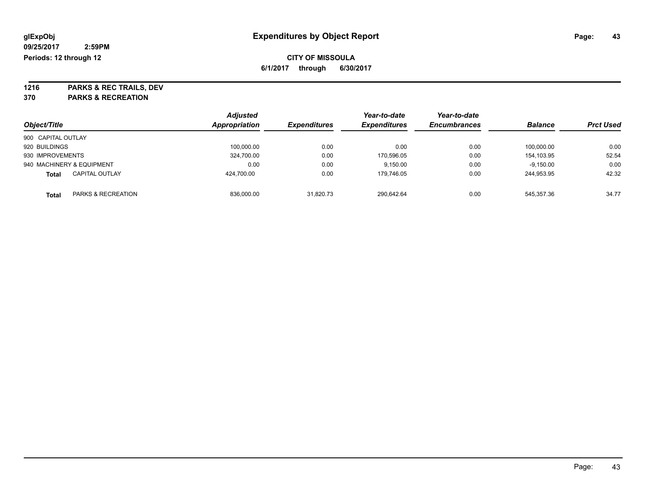**1216 PARKS & REC TRAILS, DEV 370 PARKS & RECREATION**

|                    |                           | <b>Adjusted</b>      |                            | Year-to-date        | Year-to-date        |                |                  |
|--------------------|---------------------------|----------------------|----------------------------|---------------------|---------------------|----------------|------------------|
| Object/Title       |                           | <b>Appropriation</b> | <i><b>Expenditures</b></i> | <b>Expenditures</b> | <b>Encumbrances</b> | <b>Balance</b> | <b>Prct Used</b> |
| 900 CAPITAL OUTLAY |                           |                      |                            |                     |                     |                |                  |
| 920 BUILDINGS      |                           | 100,000.00           | 0.00                       | 0.00                | 0.00                | 100.000.00     | 0.00             |
| 930 IMPROVEMENTS   |                           | 324,700.00           | 0.00                       | 170,596.05          | 0.00                | 154.103.95     | 52.54            |
|                    | 940 MACHINERY & EQUIPMENT | 0.00                 | 0.00                       | 9,150.00            | 0.00                | $-9,150.00$    | 0.00             |
| <b>Total</b>       | <b>CAPITAL OUTLAY</b>     | 424,700.00           | 0.00                       | 179.746.05          | 0.00                | 244.953.95     | 42.32            |
| Total              | PARKS & RECREATION        | 836,000.00           | 31.820.73                  | 290.642.64          | 0.00                | 545.357.36     | 34.77            |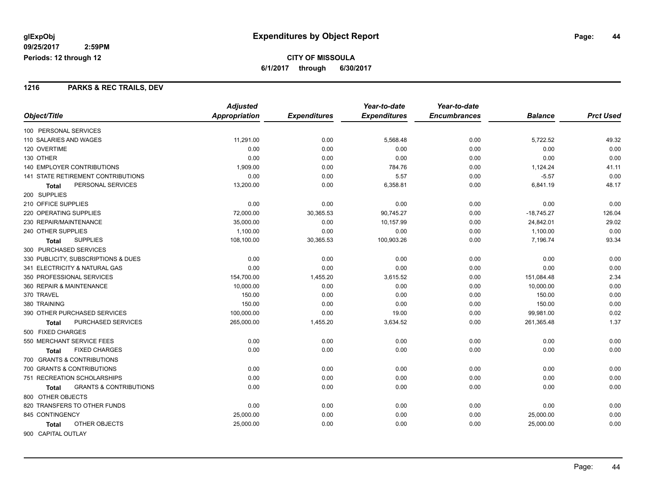#### **1216 PARKS & REC TRAILS, DEV**

|                                            | <b>Adjusted</b> |                     | Year-to-date        | Year-to-date        |                |                  |
|--------------------------------------------|-----------------|---------------------|---------------------|---------------------|----------------|------------------|
| Object/Title                               | Appropriation   | <b>Expenditures</b> | <b>Expenditures</b> | <b>Encumbrances</b> | <b>Balance</b> | <b>Prct Used</b> |
| 100 PERSONAL SERVICES                      |                 |                     |                     |                     |                |                  |
| 110 SALARIES AND WAGES                     | 11,291.00       | 0.00                | 5,568.48            | 0.00                | 5,722.52       | 49.32            |
| 120 OVERTIME                               | 0.00            | 0.00                | 0.00                | 0.00                | 0.00           | 0.00             |
| 130 OTHER                                  | 0.00            | 0.00                | 0.00                | 0.00                | 0.00           | 0.00             |
| <b>140 EMPLOYER CONTRIBUTIONS</b>          | 1,909.00        | 0.00                | 784.76              | 0.00                | 1,124.24       | 41.11            |
| 141 STATE RETIREMENT CONTRIBUTIONS         | 0.00            | 0.00                | 5.57                | 0.00                | $-5.57$        | 0.00             |
| PERSONAL SERVICES<br><b>Total</b>          | 13,200.00       | 0.00                | 6,358.81            | 0.00                | 6,841.19       | 48.17            |
| 200 SUPPLIES                               |                 |                     |                     |                     |                |                  |
| 210 OFFICE SUPPLIES                        | 0.00            | 0.00                | 0.00                | 0.00                | 0.00           | 0.00             |
| 220 OPERATING SUPPLIES                     | 72,000.00       | 30,365.53           | 90,745.27           | 0.00                | $-18,745.27$   | 126.04           |
| 230 REPAIR/MAINTENANCE                     | 35,000.00       | 0.00                | 10,157.99           | 0.00                | 24,842.01      | 29.02            |
| 240 OTHER SUPPLIES                         | 1,100.00        | 0.00                | 0.00                | 0.00                | 1,100.00       | 0.00             |
| <b>SUPPLIES</b><br><b>Total</b>            | 108,100.00      | 30,365.53           | 100,903.26          | 0.00                | 7,196.74       | 93.34            |
| 300 PURCHASED SERVICES                     |                 |                     |                     |                     |                |                  |
| 330 PUBLICITY, SUBSCRIPTIONS & DUES        | 0.00            | 0.00                | 0.00                | 0.00                | 0.00           | 0.00             |
| 341 ELECTRICITY & NATURAL GAS              | 0.00            | 0.00                | 0.00                | 0.00                | 0.00           | 0.00             |
| 350 PROFESSIONAL SERVICES                  | 154,700.00      | 1,455.20            | 3,615.52            | 0.00                | 151,084.48     | 2.34             |
| 360 REPAIR & MAINTENANCE                   | 10,000.00       | 0.00                | 0.00                | 0.00                | 10,000.00      | 0.00             |
| 370 TRAVEL                                 | 150.00          | 0.00                | 0.00                | 0.00                | 150.00         | 0.00             |
| 380 TRAINING                               | 150.00          | 0.00                | 0.00                | 0.00                | 150.00         | 0.00             |
| 390 OTHER PURCHASED SERVICES               | 100,000.00      | 0.00                | 19.00               | 0.00                | 99,981.00      | 0.02             |
| PURCHASED SERVICES<br>Total                | 265,000.00      | 1,455.20            | 3,634.52            | 0.00                | 261,365.48     | 1.37             |
| 500 FIXED CHARGES                          |                 |                     |                     |                     |                |                  |
| 550 MERCHANT SERVICE FEES                  | 0.00            | 0.00                | 0.00                | 0.00                | 0.00           | 0.00             |
| <b>FIXED CHARGES</b><br>Total              | 0.00            | 0.00                | 0.00                | 0.00                | 0.00           | 0.00             |
| 700 GRANTS & CONTRIBUTIONS                 |                 |                     |                     |                     |                |                  |
| 700 GRANTS & CONTRIBUTIONS                 | 0.00            | 0.00                | 0.00                | 0.00                | 0.00           | 0.00             |
| 751 RECREATION SCHOLARSHIPS                | 0.00            | 0.00                | 0.00                | 0.00                | 0.00           | 0.00             |
| <b>GRANTS &amp; CONTRIBUTIONS</b><br>Total | 0.00            | 0.00                | 0.00                | 0.00                | 0.00           | 0.00             |
| 800 OTHER OBJECTS                          |                 |                     |                     |                     |                |                  |
| 820 TRANSFERS TO OTHER FUNDS               | 0.00            | 0.00                | 0.00                | 0.00                | 0.00           | 0.00             |
| 845 CONTINGENCY                            | 25,000.00       | 0.00                | 0.00                | 0.00                | 25,000.00      | 0.00             |
| OTHER OBJECTS<br><b>Total</b>              | 25,000.00       | 0.00                | 0.00                | 0.00                | 25,000.00      | 0.00             |
| 900 CAPITAL OUTLAY                         |                 |                     |                     |                     |                |                  |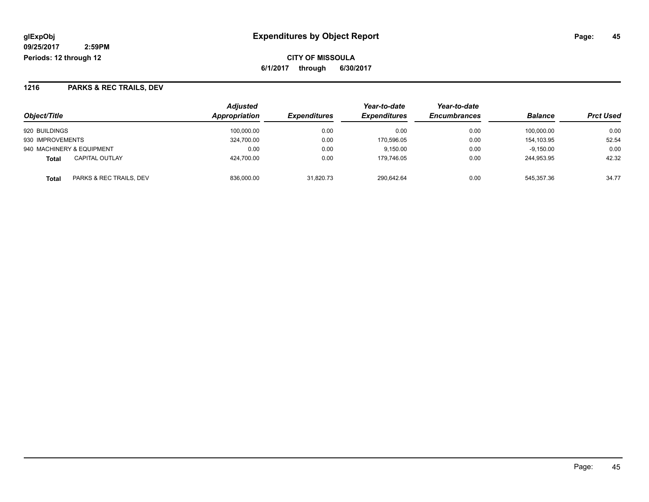**CITY OF MISSOULA 6/1/2017 through 6/30/2017**

#### **1216 PARKS & REC TRAILS, DEV**

| Object/Title                          | <b>Adjusted</b><br>Appropriation | <b>Expenditures</b> | Year-to-date<br><b>Expenditures</b> | Year-to-date<br><b>Encumbrances</b> | <b>Balance</b> | <b>Prct Used</b> |
|---------------------------------------|----------------------------------|---------------------|-------------------------------------|-------------------------------------|----------------|------------------|
|                                       |                                  |                     |                                     |                                     |                |                  |
| 920 BUILDINGS                         | 100.000.00                       | 0.00                | 0.00                                | 0.00                                | 100,000.00     | 0.00             |
| 930 IMPROVEMENTS                      | 324.700.00                       | 0.00                | 170.596.05                          | 0.00                                | 154.103.95     | 52.54            |
| 940 MACHINERY & EQUIPMENT             | 0.00                             | 0.00                | 9.150.00                            | 0.00                                | $-9.150.00$    | 0.00             |
| <b>CAPITAL OUTLAY</b><br><b>Total</b> | 424.700.00                       | 0.00                | 179.746.05                          | 0.00                                | 244.953.95     | 42.32            |
| PARKS & REC TRAILS, DEV<br>Total      | 836,000.00                       | 31,820.73           | 290,642.64                          | 0.00                                | 545.357.36     | 34.77            |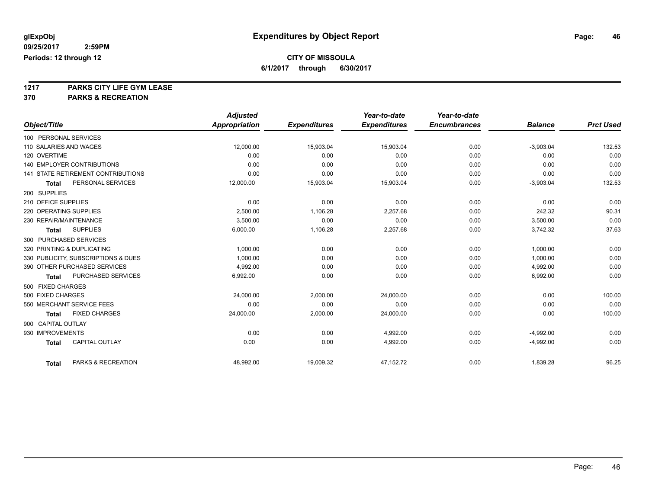### **CITY OF MISSOULA**

**6/1/2017 through 6/30/2017**

**1217 PARKS CITY LIFE GYM LEASE**

|                                           | <b>Adjusted</b>      |                     | Year-to-date        | Year-to-date        |                |                  |
|-------------------------------------------|----------------------|---------------------|---------------------|---------------------|----------------|------------------|
| Object/Title                              | <b>Appropriation</b> | <b>Expenditures</b> | <b>Expenditures</b> | <b>Encumbrances</b> | <b>Balance</b> | <b>Prct Used</b> |
| 100 PERSONAL SERVICES                     |                      |                     |                     |                     |                |                  |
| 110 SALARIES AND WAGES                    | 12.000.00            | 15,903.04           | 15.903.04           | 0.00                | $-3,903.04$    | 132.53           |
| 120 OVERTIME                              | 0.00                 | 0.00                | 0.00                | 0.00                | 0.00           | 0.00             |
| 140 EMPLOYER CONTRIBUTIONS                | 0.00                 | 0.00                | 0.00                | 0.00                | 0.00           | 0.00             |
| <b>141 STATE RETIREMENT CONTRIBUTIONS</b> | 0.00                 | 0.00                | 0.00                | 0.00                | 0.00           | 0.00             |
| PERSONAL SERVICES<br><b>Total</b>         | 12,000.00            | 15,903.04           | 15,903.04           | 0.00                | $-3,903.04$    | 132.53           |
| 200 SUPPLIES                              |                      |                     |                     |                     |                |                  |
| 210 OFFICE SUPPLIES                       | 0.00                 | 0.00                | 0.00                | 0.00                | 0.00           | 0.00             |
| 220 OPERATING SUPPLIES                    | 2.500.00             | 1,106.28            | 2,257.68            | 0.00                | 242.32         | 90.31            |
| 230 REPAIR/MAINTENANCE                    | 3,500.00             | 0.00                | 0.00                | 0.00                | 3,500.00       | 0.00             |
| <b>SUPPLIES</b><br><b>Total</b>           | 6,000.00             | 1,106.28            | 2,257.68            | 0.00                | 3,742.32       | 37.63            |
| 300 PURCHASED SERVICES                    |                      |                     |                     |                     |                |                  |
| 320 PRINTING & DUPLICATING                | 1,000.00             | 0.00                | 0.00                | 0.00                | 1,000.00       | 0.00             |
| 330 PUBLICITY, SUBSCRIPTIONS & DUES       | 1,000.00             | 0.00                | 0.00                | 0.00                | 1,000.00       | 0.00             |
| 390 OTHER PURCHASED SERVICES              | 4,992.00             | 0.00                | 0.00                | 0.00                | 4,992.00       | 0.00             |
| PURCHASED SERVICES<br><b>Total</b>        | 6,992.00             | 0.00                | 0.00                | 0.00                | 6,992.00       | 0.00             |
| 500 FIXED CHARGES                         |                      |                     |                     |                     |                |                  |
| 500 FIXED CHARGES                         | 24,000.00            | 2,000.00            | 24,000.00           | 0.00                | 0.00           | 100.00           |
| 550 MERCHANT SERVICE FEES                 | 0.00                 | 0.00                | 0.00                | 0.00                | 0.00           | 0.00             |
| <b>FIXED CHARGES</b><br><b>Total</b>      | 24,000.00            | 2,000.00            | 24,000.00           | 0.00                | 0.00           | 100.00           |
| 900 CAPITAL OUTLAY                        |                      |                     |                     |                     |                |                  |
| 930 IMPROVEMENTS                          | 0.00                 | 0.00                | 4,992.00            | 0.00                | $-4,992.00$    | 0.00             |
| <b>CAPITAL OUTLAY</b><br><b>Total</b>     | 0.00                 | 0.00                | 4,992.00            | 0.00                | $-4,992.00$    | 0.00             |
|                                           |                      |                     |                     |                     |                |                  |
| PARKS & RECREATION<br><b>Total</b>        | 48,992.00            | 19,009.32           | 47,152.72           | 0.00                | 1,839.28       | 96.25            |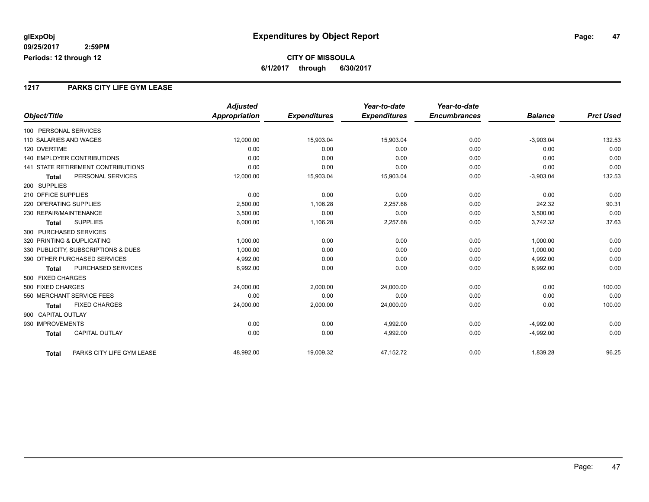#### **1217 PARKS CITY LIFE GYM LEASE**

|                                           | <b>Adjusted</b>      |                     | Year-to-date        | Year-to-date        |                |                  |
|-------------------------------------------|----------------------|---------------------|---------------------|---------------------|----------------|------------------|
| Object/Title                              | <b>Appropriation</b> | <b>Expenditures</b> | <b>Expenditures</b> | <b>Encumbrances</b> | <b>Balance</b> | <b>Prct Used</b> |
| 100 PERSONAL SERVICES                     |                      |                     |                     |                     |                |                  |
| 110 SALARIES AND WAGES                    | 12,000.00            | 15,903.04           | 15,903.04           | 0.00                | $-3,903.04$    | 132.53           |
| 120 OVERTIME                              | 0.00                 | 0.00                | 0.00                | 0.00                | 0.00           | 0.00             |
| 140 EMPLOYER CONTRIBUTIONS                | 0.00                 | 0.00                | 0.00                | 0.00                | 0.00           | 0.00             |
| <b>141 STATE RETIREMENT CONTRIBUTIONS</b> | 0.00                 | 0.00                | 0.00                | 0.00                | 0.00           | 0.00             |
| PERSONAL SERVICES<br><b>Total</b>         | 12,000.00            | 15,903.04           | 15,903.04           | 0.00                | $-3,903.04$    | 132.53           |
| 200 SUPPLIES                              |                      |                     |                     |                     |                |                  |
| 210 OFFICE SUPPLIES                       | 0.00                 | 0.00                | 0.00                | 0.00                | 0.00           | 0.00             |
| 220 OPERATING SUPPLIES                    | 2,500.00             | 1,106.28            | 2,257.68            | 0.00                | 242.32         | 90.31            |
| 230 REPAIR/MAINTENANCE                    | 3,500.00             | 0.00                | 0.00                | 0.00                | 3,500.00       | 0.00             |
| <b>SUPPLIES</b><br><b>Total</b>           | 6,000.00             | 1,106.28            | 2,257.68            | 0.00                | 3,742.32       | 37.63            |
| 300 PURCHASED SERVICES                    |                      |                     |                     |                     |                |                  |
| 320 PRINTING & DUPLICATING                | 1,000.00             | 0.00                | 0.00                | 0.00                | 1,000.00       | 0.00             |
| 330 PUBLICITY, SUBSCRIPTIONS & DUES       | 1,000.00             | 0.00                | 0.00                | 0.00                | 1,000.00       | 0.00             |
| 390 OTHER PURCHASED SERVICES              | 4,992.00             | 0.00                | 0.00                | 0.00                | 4,992.00       | 0.00             |
| <b>PURCHASED SERVICES</b><br><b>Total</b> | 6,992.00             | 0.00                | 0.00                | 0.00                | 6,992.00       | 0.00             |
| 500 FIXED CHARGES                         |                      |                     |                     |                     |                |                  |
| 500 FIXED CHARGES                         | 24,000.00            | 2,000.00            | 24,000.00           | 0.00                | 0.00           | 100.00           |
| 550 MERCHANT SERVICE FEES                 | 0.00                 | 0.00                | 0.00                | 0.00                | 0.00           | 0.00             |
| <b>FIXED CHARGES</b><br><b>Total</b>      | 24,000.00            | 2,000.00            | 24,000.00           | 0.00                | 0.00           | 100.00           |
| 900 CAPITAL OUTLAY                        |                      |                     |                     |                     |                |                  |
| 930 IMPROVEMENTS                          | 0.00                 | 0.00                | 4,992.00            | 0.00                | $-4,992.00$    | 0.00             |
| <b>CAPITAL OUTLAY</b><br><b>Total</b>     | 0.00                 | 0.00                | 4,992.00            | 0.00                | $-4,992.00$    | 0.00             |
| PARKS CITY LIFE GYM LEASE<br><b>Total</b> | 48,992.00            | 19,009.32           | 47,152.72           | 0.00                | 1,839.28       | 96.25            |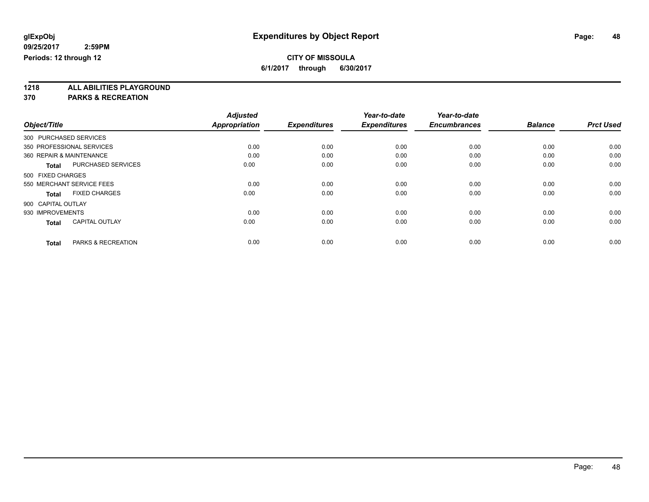## **CITY OF MISSOULA**

**6/1/2017 through 6/30/2017**

**1218 ALL ABILITIES PLAYGROUND**

|                    |                           | <b>Adjusted</b>      |                     | Year-to-date        | Year-to-date        |                |                  |
|--------------------|---------------------------|----------------------|---------------------|---------------------|---------------------|----------------|------------------|
| Object/Title       |                           | <b>Appropriation</b> | <b>Expenditures</b> | <b>Expenditures</b> | <b>Encumbrances</b> | <b>Balance</b> | <b>Prct Used</b> |
|                    | 300 PURCHASED SERVICES    |                      |                     |                     |                     |                |                  |
|                    | 350 PROFESSIONAL SERVICES | 0.00                 | 0.00                | 0.00                | 0.00                | 0.00           | 0.00             |
|                    | 360 REPAIR & MAINTENANCE  | 0.00                 | 0.00                | 0.00                | 0.00                | 0.00           | 0.00             |
| Total              | <b>PURCHASED SERVICES</b> | 0.00                 | 0.00                | 0.00                | 0.00                | 0.00           | 0.00             |
| 500 FIXED CHARGES  |                           |                      |                     |                     |                     |                |                  |
|                    | 550 MERCHANT SERVICE FEES | 0.00                 | 0.00                | 0.00                | 0.00                | 0.00           | 0.00             |
| <b>Total</b>       | <b>FIXED CHARGES</b>      | 0.00                 | 0.00                | 0.00                | 0.00                | 0.00           | 0.00             |
| 900 CAPITAL OUTLAY |                           |                      |                     |                     |                     |                |                  |
| 930 IMPROVEMENTS   |                           | 0.00                 | 0.00                | 0.00                | 0.00                | 0.00           | 0.00             |
| <b>Total</b>       | <b>CAPITAL OUTLAY</b>     | 0.00                 | 0.00                | 0.00                | 0.00                | 0.00           | 0.00             |
|                    |                           |                      |                     |                     |                     |                |                  |
| <b>Total</b>       | PARKS & RECREATION        | 0.00                 | 0.00                | 0.00                | 0.00                | 0.00           | 0.00             |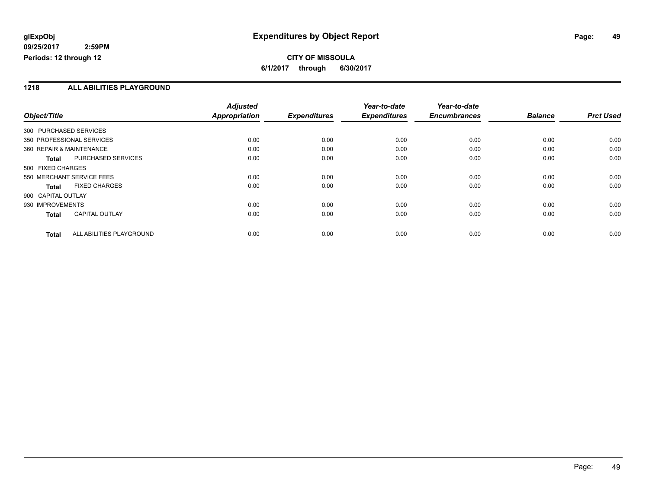### **CITY OF MISSOULA 6/1/2017 through 6/30/2017**

#### **1218 ALL ABILITIES PLAYGROUND**

|                          |                           | <b>Adjusted</b> |                     | Year-to-date        | Year-to-date        |                |                  |
|--------------------------|---------------------------|-----------------|---------------------|---------------------|---------------------|----------------|------------------|
| Object/Title             |                           | Appropriation   | <b>Expenditures</b> | <b>Expenditures</b> | <b>Encumbrances</b> | <b>Balance</b> | <b>Prct Used</b> |
| 300 PURCHASED SERVICES   |                           |                 |                     |                     |                     |                |                  |
|                          | 350 PROFESSIONAL SERVICES | 0.00            | 0.00                | 0.00                | 0.00                | 0.00           | 0.00             |
| 360 REPAIR & MAINTENANCE |                           | 0.00            | 0.00                | 0.00                | 0.00                | 0.00           | 0.00             |
| <b>Total</b>             | <b>PURCHASED SERVICES</b> | 0.00            | 0.00                | 0.00                | 0.00                | 0.00           | 0.00             |
| 500 FIXED CHARGES        |                           |                 |                     |                     |                     |                |                  |
|                          | 550 MERCHANT SERVICE FEES | 0.00            | 0.00                | 0.00                | 0.00                | 0.00           | 0.00             |
| <b>Total</b>             | <b>FIXED CHARGES</b>      | 0.00            | 0.00                | 0.00                | 0.00                | 0.00           | 0.00             |
| 900 CAPITAL OUTLAY       |                           |                 |                     |                     |                     |                |                  |
| 930 IMPROVEMENTS         |                           | 0.00            | 0.00                | 0.00                | 0.00                | 0.00           | 0.00             |
| <b>Total</b>             | <b>CAPITAL OUTLAY</b>     | 0.00            | 0.00                | 0.00                | 0.00                | 0.00           | 0.00             |
| <b>Total</b>             | ALL ABILITIES PLAYGROUND  | 0.00            | 0.00                | 0.00                | 0.00                | 0.00           | 0.00             |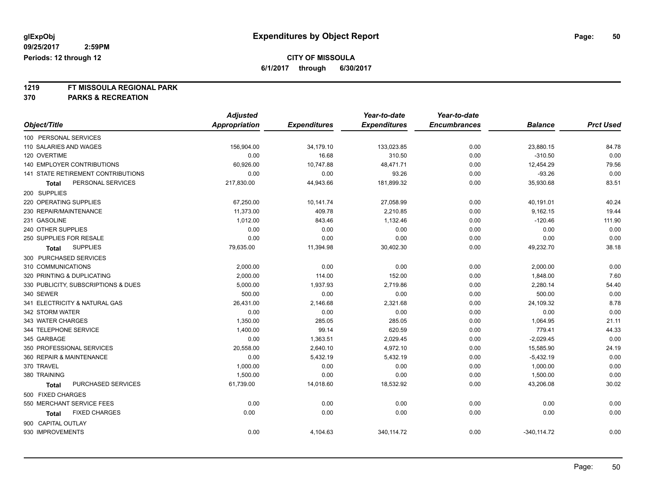### **CITY OF MISSOULA**

**6/1/2017 through 6/30/2017**

# **1219 FT MISSOULA REGIONAL PARK**

|                                     | <b>Adjusted</b>      |                     | Year-to-date        | Year-to-date        |                |                  |
|-------------------------------------|----------------------|---------------------|---------------------|---------------------|----------------|------------------|
| Object/Title                        | <b>Appropriation</b> | <b>Expenditures</b> | <b>Expenditures</b> | <b>Encumbrances</b> | <b>Balance</b> | <b>Prct Used</b> |
| 100 PERSONAL SERVICES               |                      |                     |                     |                     |                |                  |
| 110 SALARIES AND WAGES              | 156,904.00           | 34,179.10           | 133,023.85          | 0.00                | 23,880.15      | 84.78            |
| 120 OVERTIME                        | 0.00                 | 16.68               | 310.50              | 0.00                | $-310.50$      | 0.00             |
| 140 EMPLOYER CONTRIBUTIONS          | 60,926.00            | 10,747.88           | 48,471.71           | 0.00                | 12,454.29      | 79.56            |
| 141 STATE RETIREMENT CONTRIBUTIONS  | 0.00                 | 0.00                | 93.26               | 0.00                | $-93.26$       | 0.00             |
| PERSONAL SERVICES<br>Total          | 217,830.00           | 44,943.66           | 181,899.32          | 0.00                | 35,930.68      | 83.51            |
| 200 SUPPLIES                        |                      |                     |                     |                     |                |                  |
| 220 OPERATING SUPPLIES              | 67,250.00            | 10,141.74           | 27,058.99           | 0.00                | 40,191.01      | 40.24            |
| 230 REPAIR/MAINTENANCE              | 11,373.00            | 409.78              | 2,210.85            | 0.00                | 9,162.15       | 19.44            |
| 231 GASOLINE                        | 1,012.00             | 843.46              | 1,132.46            | 0.00                | $-120.46$      | 111.90           |
| 240 OTHER SUPPLIES                  | 0.00                 | 0.00                | 0.00                | 0.00                | 0.00           | 0.00             |
| 250 SUPPLIES FOR RESALE             | 0.00                 | 0.00                | 0.00                | 0.00                | 0.00           | 0.00             |
| <b>SUPPLIES</b><br>Total            | 79,635.00            | 11,394.98           | 30,402.30           | 0.00                | 49,232.70      | 38.18            |
| 300 PURCHASED SERVICES              |                      |                     |                     |                     |                |                  |
| 310 COMMUNICATIONS                  | 2,000.00             | 0.00                | 0.00                | 0.00                | 2,000.00       | 0.00             |
| 320 PRINTING & DUPLICATING          | 2,000.00             | 114.00              | 152.00              | 0.00                | 1,848.00       | 7.60             |
| 330 PUBLICITY, SUBSCRIPTIONS & DUES | 5,000.00             | 1,937.93            | 2,719.86            | 0.00                | 2,280.14       | 54.40            |
| 340 SEWER                           | 500.00               | 0.00                | 0.00                | 0.00                | 500.00         | 0.00             |
| 341 ELECTRICITY & NATURAL GAS       | 26,431.00            | 2,146.68            | 2,321.68            | 0.00                | 24,109.32      | 8.78             |
| 342 STORM WATER                     | 0.00                 | 0.00                | 0.00                | 0.00                | 0.00           | 0.00             |
| 343 WATER CHARGES                   | 1,350.00             | 285.05              | 285.05              | 0.00                | 1,064.95       | 21.11            |
| 344 TELEPHONE SERVICE               | 1,400.00             | 99.14               | 620.59              | 0.00                | 779.41         | 44.33            |
| 345 GARBAGE                         | 0.00                 | 1,363.51            | 2,029.45            | 0.00                | $-2,029.45$    | 0.00             |
| 350 PROFESSIONAL SERVICES           | 20,558.00            | 2,640.10            | 4,972.10            | 0.00                | 15,585.90      | 24.19            |
| 360 REPAIR & MAINTENANCE            | 0.00                 | 5,432.19            | 5,432.19            | 0.00                | $-5,432.19$    | 0.00             |
| 370 TRAVEL                          | 1,000.00             | 0.00                | 0.00                | 0.00                | 1,000.00       | 0.00             |
| 380 TRAINING                        | 1,500.00             | 0.00                | 0.00                | 0.00                | 1,500.00       | 0.00             |
| PURCHASED SERVICES<br><b>Total</b>  | 61,739.00            | 14,018.60           | 18,532.92           | 0.00                | 43,206.08      | 30.02            |
| 500 FIXED CHARGES                   |                      |                     |                     |                     |                |                  |
| 550 MERCHANT SERVICE FEES           | 0.00                 | 0.00                | 0.00                | 0.00                | 0.00           | 0.00             |
| <b>FIXED CHARGES</b><br>Total       | 0.00                 | 0.00                | 0.00                | 0.00                | 0.00           | 0.00             |
| 900 CAPITAL OUTLAY                  |                      |                     |                     |                     |                |                  |
| 930 IMPROVEMENTS                    | 0.00                 | 4,104.63            | 340,114.72          | 0.00                | $-340, 114.72$ | 0.00             |
|                                     |                      |                     |                     |                     |                |                  |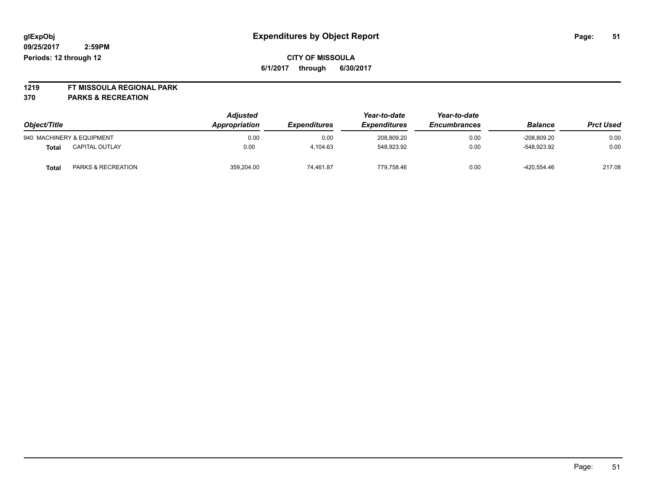**1219 FT MISSOULA REGIONAL PARK**

| Object/Title |                           | <b>Adjusted</b><br>Appropriation | <b>Expenditures</b> | Year-to-date<br><b>Expenditures</b> | Year-to-date<br><b>Encumbrances</b> | <b>Balance</b> | <b>Prct Used</b> |
|--------------|---------------------------|----------------------------------|---------------------|-------------------------------------|-------------------------------------|----------------|------------------|
|              | 940 MACHINERY & EQUIPMENT | 0.00                             | 0.00                | 208.809.20                          | 0.00                                | $-208.809.20$  | 0.00             |
| Total        | <b>CAPITAL OUTLAY</b>     | 0.00                             | 4.104.63            | 548,923.92                          | 0.00                                | -548.923.92    | 0.00             |
| Total        | PARKS & RECREATION        | 359,204.00                       | 74.461.87           | 779.758.46                          | 0.00                                | $-420,554.46$  | 217.08           |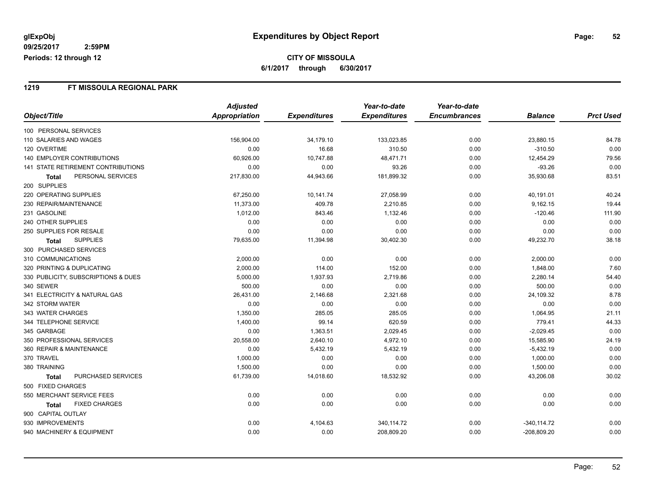#### **1219 FT MISSOULA REGIONAL PARK**

|                                           | <b>Adjusted</b> |                     | Year-to-date        | Year-to-date        |                |                  |
|-------------------------------------------|-----------------|---------------------|---------------------|---------------------|----------------|------------------|
| Object/Title                              | Appropriation   | <b>Expenditures</b> | <b>Expenditures</b> | <b>Encumbrances</b> | <b>Balance</b> | <b>Prct Used</b> |
| 100 PERSONAL SERVICES                     |                 |                     |                     |                     |                |                  |
| 110 SALARIES AND WAGES                    | 156,904.00      | 34,179.10           | 133,023.85          | 0.00                | 23,880.15      | 84.78            |
| 120 OVERTIME                              | 0.00            | 16.68               | 310.50              | 0.00                | $-310.50$      | 0.00             |
| <b>140 EMPLOYER CONTRIBUTIONS</b>         | 60,926.00       | 10,747.88           | 48,471.71           | 0.00                | 12,454.29      | 79.56            |
| <b>141 STATE RETIREMENT CONTRIBUTIONS</b> | 0.00            | 0.00                | 93.26               | 0.00                | $-93.26$       | 0.00             |
| PERSONAL SERVICES<br><b>Total</b>         | 217,830.00      | 44,943.66           | 181,899.32          | 0.00                | 35,930.68      | 83.51            |
| 200 SUPPLIES                              |                 |                     |                     |                     |                |                  |
| 220 OPERATING SUPPLIES                    | 67,250.00       | 10,141.74           | 27,058.99           | 0.00                | 40,191.01      | 40.24            |
| 230 REPAIR/MAINTENANCE                    | 11,373.00       | 409.78              | 2,210.85            | 0.00                | 9,162.15       | 19.44            |
| 231 GASOLINE                              | 1,012.00        | 843.46              | 1,132.46            | 0.00                | $-120.46$      | 111.90           |
| 240 OTHER SUPPLIES                        | 0.00            | 0.00                | 0.00                | 0.00                | 0.00           | 0.00             |
| 250 SUPPLIES FOR RESALE                   | 0.00            | 0.00                | 0.00                | 0.00                | 0.00           | 0.00             |
| <b>SUPPLIES</b><br><b>Total</b>           | 79,635.00       | 11,394.98           | 30,402.30           | 0.00                | 49,232.70      | 38.18            |
| 300 PURCHASED SERVICES                    |                 |                     |                     |                     |                |                  |
| 310 COMMUNICATIONS                        | 2,000.00        | 0.00                | 0.00                | 0.00                | 2,000.00       | 0.00             |
| 320 PRINTING & DUPLICATING                | 2,000.00        | 114.00              | 152.00              | 0.00                | 1,848.00       | 7.60             |
| 330 PUBLICITY, SUBSCRIPTIONS & DUES       | 5,000.00        | 1,937.93            | 2,719.86            | 0.00                | 2,280.14       | 54.40            |
| 340 SEWER                                 | 500.00          | 0.00                | 0.00                | 0.00                | 500.00         | 0.00             |
| 341 ELECTRICITY & NATURAL GAS             | 26,431.00       | 2,146.68            | 2,321.68            | 0.00                | 24,109.32      | 8.78             |
| 342 STORM WATER                           | 0.00            | 0.00                | 0.00                | 0.00                | 0.00           | 0.00             |
| 343 WATER CHARGES                         | 1,350.00        | 285.05              | 285.05              | 0.00                | 1,064.95       | 21.11            |
| 344 TELEPHONE SERVICE                     | 1,400.00        | 99.14               | 620.59              | 0.00                | 779.41         | 44.33            |
| 345 GARBAGE                               | 0.00            | 1,363.51            | 2,029.45            | 0.00                | $-2,029.45$    | 0.00             |
| 350 PROFESSIONAL SERVICES                 | 20,558.00       | 2,640.10            | 4,972.10            | 0.00                | 15,585.90      | 24.19            |
| 360 REPAIR & MAINTENANCE                  | 0.00            | 5,432.19            | 5,432.19            | 0.00                | $-5,432.19$    | 0.00             |
| 370 TRAVEL                                | 1,000.00        | 0.00                | 0.00                | 0.00                | 1,000.00       | 0.00             |
| 380 TRAINING                              | 1,500.00        | 0.00                | 0.00                | 0.00                | 1,500.00       | 0.00             |
| PURCHASED SERVICES<br><b>Total</b>        | 61,739.00       | 14,018.60           | 18,532.92           | 0.00                | 43,206.08      | 30.02            |
| 500 FIXED CHARGES                         |                 |                     |                     |                     |                |                  |
| 550 MERCHANT SERVICE FEES                 | 0.00            | 0.00                | 0.00                | 0.00                | 0.00           | 0.00             |
| <b>FIXED CHARGES</b><br>Total             | 0.00            | 0.00                | 0.00                | 0.00                | 0.00           | 0.00             |
| 900 CAPITAL OUTLAY                        |                 |                     |                     |                     |                |                  |
| 930 IMPROVEMENTS                          | 0.00            | 4,104.63            | 340,114.72          | 0.00                | $-340, 114.72$ | 0.00             |
| 940 MACHINERY & EQUIPMENT                 | 0.00            | 0.00                | 208,809.20          | 0.00                | $-208,809.20$  | 0.00             |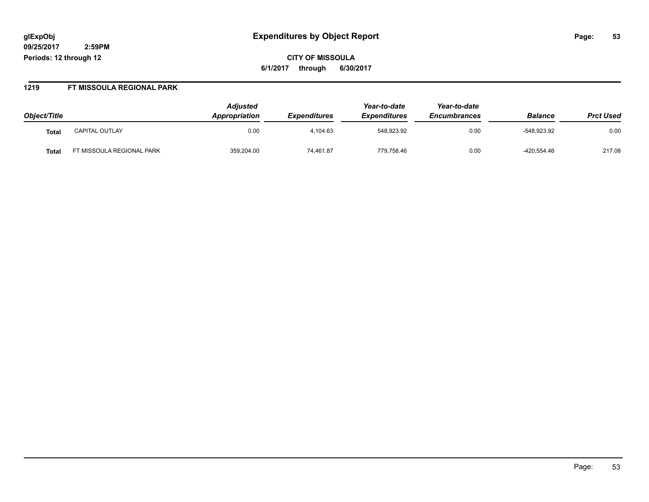**CITY OF MISSOULA 6/1/2017 through 6/30/2017**

#### **1219 FT MISSOULA REGIONAL PARK**

| Object/Title |                          | <b>Adjusted</b><br>Appropriation | <i><b>Expenditures</b></i> | Year-to-date<br><b>Expenditures</b> | Year-to-date<br><b>Encumbrances</b> | <b>Balance</b> | <b>Prct Used</b> |
|--------------|--------------------------|----------------------------------|----------------------------|-------------------------------------|-------------------------------------|----------------|------------------|
| Tota.        | <b>CAPITAL OUTLAY</b>    | 0.00                             | 4.104.63                   | 548,923.92                          | 0.00                                | -548.923.92    | 0.00             |
| Tota.        | T MISSOULA REGIONAL PARK | 359,204.00                       | 74,461.87                  | 779,758.46                          | 0.00                                | -420,554.46    | 217.08           |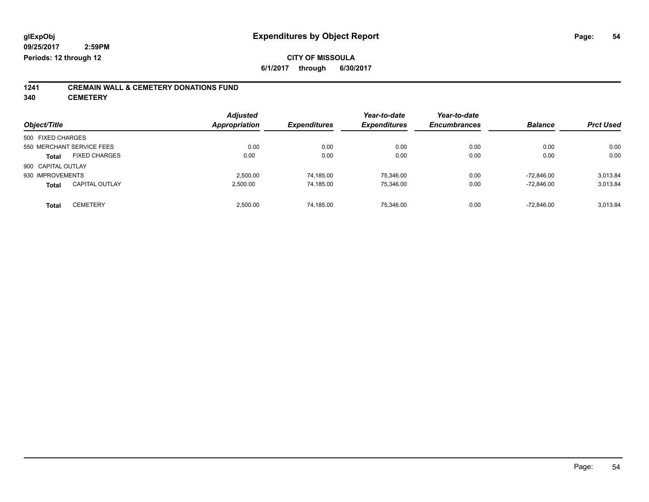# **1241 CREMAIN WALL & CEMETERY DONATIONS FUND**

**340 CEMETERY**

| <b>Adjusted</b> |                                   | Year-to-date                             | Year-to-date                             |                                     | <b>Prct Used</b>                       |
|-----------------|-----------------------------------|------------------------------------------|------------------------------------------|-------------------------------------|----------------------------------------|
|                 |                                   |                                          |                                          |                                     |                                        |
|                 |                                   |                                          |                                          |                                     |                                        |
|                 |                                   |                                          |                                          |                                     | 0.00                                   |
| 0.00            | 0.00                              | 0.00                                     | 0.00                                     | 0.00                                | 0.00                                   |
|                 |                                   |                                          |                                          |                                     |                                        |
| 2.500.00        | 74,185.00                         | 75,346.00                                | 0.00                                     | $-72.846.00$                        | 3,013.84                               |
| 2.500.00        | 74,185.00                         | 75,346.00                                | 0.00                                     | $-72.846.00$                        | 3.013.84                               |
|                 |                                   |                                          |                                          |                                     | 3.013.84                               |
|                 | Appropriation<br>0.00<br>2.500.00 | <b>Expenditures</b><br>0.00<br>74,185.00 | <b>Expenditures</b><br>0.00<br>75.346.00 | <b>Encumbrances</b><br>0.00<br>0.00 | <b>Balance</b><br>0.00<br>$-72.846.00$ |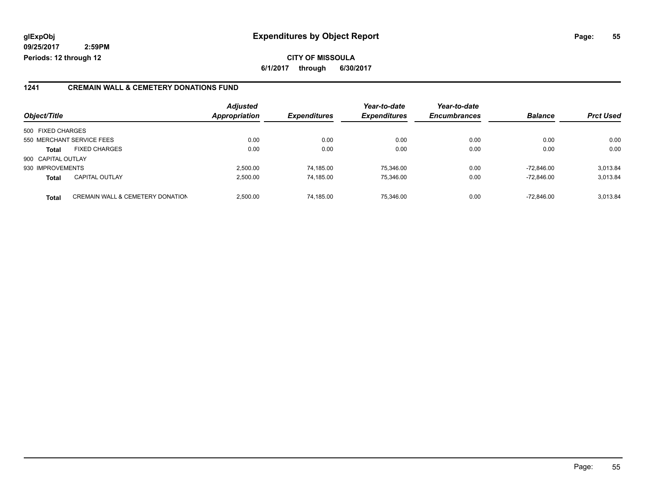**CITY OF MISSOULA 6/1/2017 through 6/30/2017**

#### **1241 CREMAIN WALL & CEMETERY DONATIONS FUND**

| Object/Title       |                                             | <b>Adjusted</b><br><b>Appropriation</b> | <b>Expenditures</b> | Year-to-date<br><b>Expenditures</b> | Year-to-date<br><b>Encumbrances</b> | <b>Balance</b> | <b>Prct Used</b> |
|--------------------|---------------------------------------------|-----------------------------------------|---------------------|-------------------------------------|-------------------------------------|----------------|------------------|
|                    |                                             |                                         |                     |                                     |                                     |                |                  |
| 500 FIXED CHARGES  |                                             |                                         |                     |                                     |                                     |                |                  |
|                    | 550 MERCHANT SERVICE FEES                   | 0.00                                    | 0.00                | 0.00                                | 0.00                                | 0.00           | 0.00             |
| <b>Total</b>       | <b>FIXED CHARGES</b>                        | 0.00                                    | 0.00                | 0.00                                | 0.00                                | 0.00           | 0.00             |
| 900 CAPITAL OUTLAY |                                             |                                         |                     |                                     |                                     |                |                  |
| 930 IMPROVEMENTS   |                                             | 2.500.00                                | 74.185.00           | 75.346.00                           | 0.00                                | $-72.846.00$   | 3,013.84         |
| <b>Total</b>       | <b>CAPITAL OUTLAY</b>                       | 2.500.00                                | 74,185.00           | 75,346.00                           | 0.00                                | $-72.846.00$   | 3,013.84         |
| <b>Total</b>       | <b>CREMAIN WALL &amp; CEMETERY DONATION</b> | 2.500.00                                | 74,185.00           | 75.346.00                           | 0.00                                | $-72.846.00$   | 3,013.84         |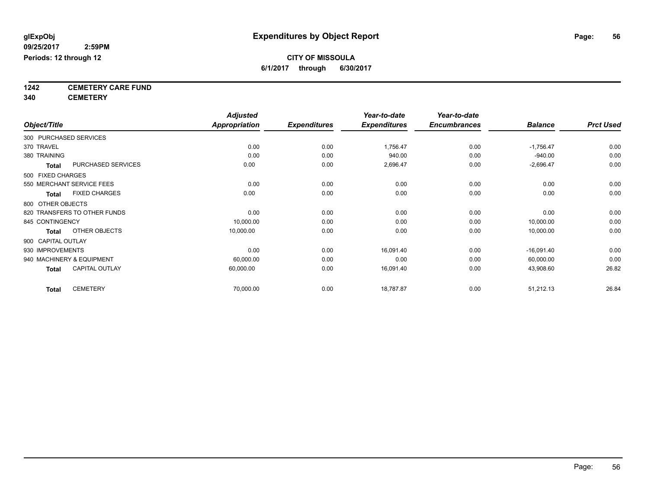**1242 CEMETERY CARE FUND**

**340 CEMETERY**

|                    |                              | <b>Adjusted</b>      |                     | Year-to-date        | Year-to-date        |                |                  |
|--------------------|------------------------------|----------------------|---------------------|---------------------|---------------------|----------------|------------------|
| Object/Title       |                              | <b>Appropriation</b> | <b>Expenditures</b> | <b>Expenditures</b> | <b>Encumbrances</b> | <b>Balance</b> | <b>Prct Used</b> |
|                    | 300 PURCHASED SERVICES       |                      |                     |                     |                     |                |                  |
| 370 TRAVEL         |                              | 0.00                 | 0.00                | 1,756.47            | 0.00                | $-1,756.47$    | 0.00             |
| 380 TRAINING       |                              | 0.00                 | 0.00                | 940.00              | 0.00                | $-940.00$      | 0.00             |
| <b>Total</b>       | PURCHASED SERVICES           | 0.00                 | 0.00                | 2,696.47            | 0.00                | $-2,696.47$    | 0.00             |
| 500 FIXED CHARGES  |                              |                      |                     |                     |                     |                |                  |
|                    | 550 MERCHANT SERVICE FEES    | 0.00                 | 0.00                | 0.00                | 0.00                | 0.00           | 0.00             |
| <b>Total</b>       | <b>FIXED CHARGES</b>         | 0.00                 | 0.00                | 0.00                | 0.00                | 0.00           | 0.00             |
|                    | 800 OTHER OBJECTS            |                      |                     |                     |                     |                |                  |
|                    | 820 TRANSFERS TO OTHER FUNDS | 0.00                 | 0.00                | 0.00                | 0.00                | 0.00           | 0.00             |
| 845 CONTINGENCY    |                              | 10,000.00            | 0.00                | 0.00                | 0.00                | 10,000.00      | 0.00             |
| <b>Total</b>       | OTHER OBJECTS                | 10,000.00            | 0.00                | 0.00                | 0.00                | 10,000.00      | 0.00             |
| 900 CAPITAL OUTLAY |                              |                      |                     |                     |                     |                |                  |
| 930 IMPROVEMENTS   |                              | 0.00                 | 0.00                | 16,091.40           | 0.00                | $-16,091.40$   | 0.00             |
|                    | 940 MACHINERY & EQUIPMENT    | 60,000.00            | 0.00                | 0.00                | 0.00                | 60,000.00      | 0.00             |
| <b>Total</b>       | <b>CAPITAL OUTLAY</b>        | 60,000.00            | 0.00                | 16,091.40           | 0.00                | 43,908.60      | 26.82            |
| <b>Total</b>       | <b>CEMETERY</b>              | 70,000.00            | 0.00                | 18,787.87           | 0.00                | 51,212.13      | 26.84            |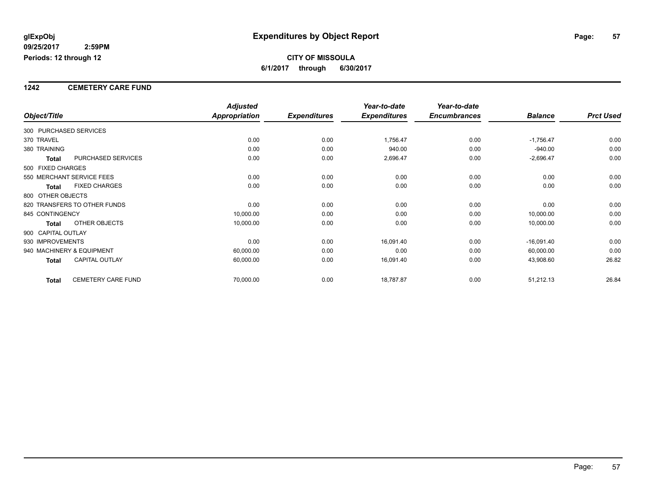#### **1242 CEMETERY CARE FUND**

|                        |                              | <b>Adjusted</b>      |                     | Year-to-date        | Year-to-date        |                |                  |
|------------------------|------------------------------|----------------------|---------------------|---------------------|---------------------|----------------|------------------|
| Object/Title           |                              | <b>Appropriation</b> | <b>Expenditures</b> | <b>Expenditures</b> | <b>Encumbrances</b> | <b>Balance</b> | <b>Prct Used</b> |
| 300 PURCHASED SERVICES |                              |                      |                     |                     |                     |                |                  |
| 370 TRAVEL             |                              | 0.00                 | 0.00                | 1,756.47            | 0.00                | $-1,756.47$    | 0.00             |
| 380 TRAINING           |                              | 0.00                 | 0.00                | 940.00              | 0.00                | $-940.00$      | 0.00             |
| <b>Total</b>           | PURCHASED SERVICES           | 0.00                 | 0.00                | 2,696.47            | 0.00                | $-2,696.47$    | 0.00             |
| 500 FIXED CHARGES      |                              |                      |                     |                     |                     |                |                  |
|                        | 550 MERCHANT SERVICE FEES    | 0.00                 | 0.00                | 0.00                | 0.00                | 0.00           | 0.00             |
| <b>Total</b>           | <b>FIXED CHARGES</b>         | 0.00                 | 0.00                | 0.00                | 0.00                | 0.00           | 0.00             |
| 800 OTHER OBJECTS      |                              |                      |                     |                     |                     |                |                  |
|                        | 820 TRANSFERS TO OTHER FUNDS | 0.00                 | 0.00                | 0.00                | 0.00                | 0.00           | 0.00             |
| 845 CONTINGENCY        |                              | 10,000.00            | 0.00                | 0.00                | 0.00                | 10,000.00      | 0.00             |
| <b>Total</b>           | OTHER OBJECTS                | 10,000.00            | 0.00                | 0.00                | 0.00                | 10,000.00      | 0.00             |
| 900 CAPITAL OUTLAY     |                              |                      |                     |                     |                     |                |                  |
| 930 IMPROVEMENTS       |                              | 0.00                 | 0.00                | 16,091.40           | 0.00                | $-16,091.40$   | 0.00             |
|                        | 940 MACHINERY & EQUIPMENT    | 60,000.00            | 0.00                | 0.00                | 0.00                | 60,000.00      | 0.00             |
| <b>Total</b>           | <b>CAPITAL OUTLAY</b>        | 60,000.00            | 0.00                | 16,091.40           | 0.00                | 43,908.60      | 26.82            |
| <b>Total</b>           | <b>CEMETERY CARE FUND</b>    | 70,000.00            | 0.00                | 18,787.87           | 0.00                | 51,212.13      | 26.84            |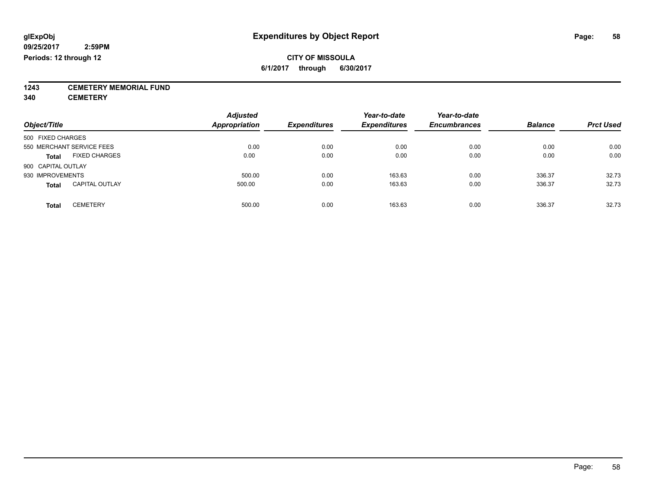**1243 CEMETERY MEMORIAL FUND**

**340 CEMETERY**

| Object/Title                          | <b>Adjusted</b><br><b>Appropriation</b> | <b>Expenditures</b> | Year-to-date<br><b>Expenditures</b> | Year-to-date<br><b>Encumbrances</b> | <b>Balance</b> | <b>Prct Used</b> |
|---------------------------------------|-----------------------------------------|---------------------|-------------------------------------|-------------------------------------|----------------|------------------|
| 500 FIXED CHARGES                     |                                         |                     |                                     |                                     |                |                  |
| 550 MERCHANT SERVICE FEES             | 0.00                                    | 0.00                | 0.00                                | 0.00                                | 0.00           | 0.00             |
| <b>FIXED CHARGES</b><br><b>Total</b>  | 0.00                                    | 0.00                | 0.00                                | 0.00                                | 0.00           | 0.00             |
| 900 CAPITAL OUTLAY                    |                                         |                     |                                     |                                     |                |                  |
| 930 IMPROVEMENTS                      | 500.00                                  | 0.00                | 163.63                              | 0.00                                | 336.37         | 32.73            |
| <b>CAPITAL OUTLAY</b><br><b>Total</b> | 500.00                                  | 0.00                | 163.63                              | 0.00                                | 336.37         | 32.73            |
| <b>CEMETERY</b><br><b>Total</b>       | 500.00                                  | 0.00                | 163.63                              | 0.00                                | 336.37         | 32.73            |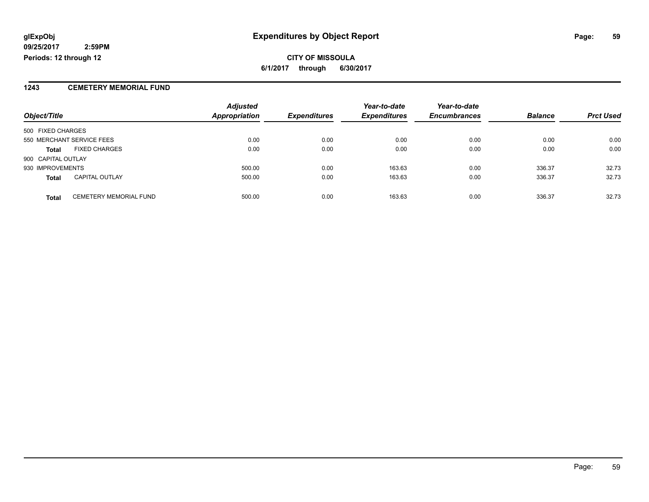#### **CITY OF MISSOULA 6/1/2017 through 6/30/2017**

#### **1243 CEMETERY MEMORIAL FUND**

|                    |                               | <b>Adjusted</b>      |                     | Year-to-date        | Year-to-date        |                |                  |
|--------------------|-------------------------------|----------------------|---------------------|---------------------|---------------------|----------------|------------------|
| Object/Title       |                               | <b>Appropriation</b> | <b>Expenditures</b> | <b>Expenditures</b> | <b>Encumbrances</b> | <b>Balance</b> | <b>Prct Used</b> |
| 500 FIXED CHARGES  |                               |                      |                     |                     |                     |                |                  |
|                    | 550 MERCHANT SERVICE FEES     | 0.00                 | 0.00                | 0.00                | 0.00                | 0.00           | 0.00             |
| <b>Total</b>       | <b>FIXED CHARGES</b>          | 0.00                 | 0.00                | 0.00                | 0.00                | 0.00           | 0.00             |
| 900 CAPITAL OUTLAY |                               |                      |                     |                     |                     |                |                  |
| 930 IMPROVEMENTS   |                               | 500.00               | 0.00                | 163.63              | 0.00                | 336.37         | 32.73            |
| <b>Total</b>       | <b>CAPITAL OUTLAY</b>         | 500.00               | 0.00                | 163.63              | 0.00                | 336.37         | 32.73            |
| <b>Total</b>       | <b>CEMETERY MEMORIAL FUND</b> | 500.00               | 0.00                | 163.63              | 0.00                | 336.37         | 32.73            |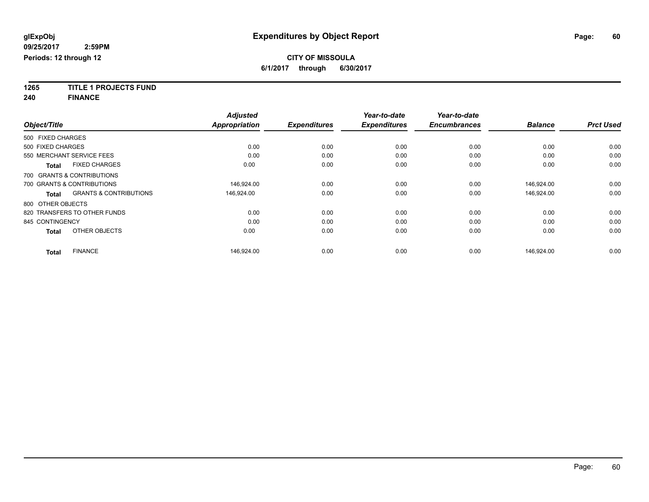**1265 TITLE 1 PROJECTS FUND**

**240 FINANCE**

| Object/Title      |                                   | <b>Adjusted</b><br><b>Appropriation</b> | <b>Expenditures</b> | Year-to-date<br><b>Expenditures</b> | Year-to-date<br><b>Encumbrances</b> | <b>Balance</b> | <b>Prct Used</b> |
|-------------------|-----------------------------------|-----------------------------------------|---------------------|-------------------------------------|-------------------------------------|----------------|------------------|
|                   |                                   |                                         |                     |                                     |                                     |                |                  |
| 500 FIXED CHARGES |                                   |                                         |                     |                                     |                                     |                |                  |
| 500 FIXED CHARGES |                                   | 0.00                                    | 0.00                | 0.00                                | 0.00                                | 0.00           | 0.00             |
|                   | 550 MERCHANT SERVICE FEES         | 0.00                                    | 0.00                | 0.00                                | 0.00                                | 0.00           | 0.00             |
| <b>Total</b>      | <b>FIXED CHARGES</b>              | 0.00                                    | 0.00                | 0.00                                | 0.00                                | 0.00           | 0.00             |
|                   | 700 GRANTS & CONTRIBUTIONS        |                                         |                     |                                     |                                     |                |                  |
|                   | 700 GRANTS & CONTRIBUTIONS        | 146.924.00                              | 0.00                | 0.00                                | 0.00                                | 146.924.00     | 0.00             |
| <b>Total</b>      | <b>GRANTS &amp; CONTRIBUTIONS</b> | 146,924.00                              | 0.00                | 0.00                                | 0.00                                | 146,924.00     | 0.00             |
| 800 OTHER OBJECTS |                                   |                                         |                     |                                     |                                     |                |                  |
|                   | 820 TRANSFERS TO OTHER FUNDS      | 0.00                                    | 0.00                | 0.00                                | 0.00                                | 0.00           | 0.00             |
| 845 CONTINGENCY   |                                   | 0.00                                    | 0.00                | 0.00                                | 0.00                                | 0.00           | 0.00             |
| <b>Total</b>      | OTHER OBJECTS                     | 0.00                                    | 0.00                | 0.00                                | 0.00                                | 0.00           | 0.00             |
| <b>Total</b>      | <b>FINANCE</b>                    | 146.924.00                              | 0.00                | 0.00                                | 0.00                                | 146.924.00     | 0.00             |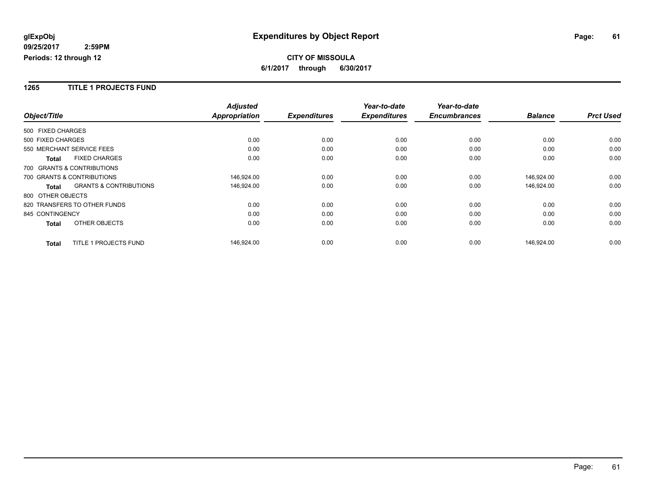#### **1265 TITLE 1 PROJECTS FUND**

|                              |                                   | <b>Adjusted</b>      |                     | Year-to-date        | Year-to-date        |                |                  |
|------------------------------|-----------------------------------|----------------------|---------------------|---------------------|---------------------|----------------|------------------|
| Object/Title                 |                                   | <b>Appropriation</b> | <b>Expenditures</b> | <b>Expenditures</b> | <b>Encumbrances</b> | <b>Balance</b> | <b>Prct Used</b> |
| 500 FIXED CHARGES            |                                   |                      |                     |                     |                     |                |                  |
| 500 FIXED CHARGES            |                                   | 0.00                 | 0.00                | 0.00                | 0.00                | 0.00           | 0.00             |
| 550 MERCHANT SERVICE FEES    |                                   | 0.00                 | 0.00                | 0.00                | 0.00                | 0.00           | 0.00             |
| <b>Total</b>                 | <b>FIXED CHARGES</b>              | 0.00                 | 0.00                | 0.00                | 0.00                | 0.00           | 0.00             |
| 700 GRANTS & CONTRIBUTIONS   |                                   |                      |                     |                     |                     |                |                  |
| 700 GRANTS & CONTRIBUTIONS   |                                   | 146,924.00           | 0.00                | 0.00                | 0.00                | 146,924.00     | 0.00             |
| <b>Total</b>                 | <b>GRANTS &amp; CONTRIBUTIONS</b> | 146,924.00           | 0.00                | 0.00                | 0.00                | 146,924.00     | 0.00             |
| 800 OTHER OBJECTS            |                                   |                      |                     |                     |                     |                |                  |
| 820 TRANSFERS TO OTHER FUNDS |                                   | 0.00                 | 0.00                | 0.00                | 0.00                | 0.00           | 0.00             |
| 845 CONTINGENCY              |                                   | 0.00                 | 0.00                | 0.00                | 0.00                | 0.00           | 0.00             |
| <b>Total</b>                 | OTHER OBJECTS                     | 0.00                 | 0.00                | 0.00                | 0.00                | 0.00           | 0.00             |
| <b>Total</b>                 | TITLE 1 PROJECTS FUND             | 146,924.00           | 0.00                | 0.00                | 0.00                | 146,924.00     | 0.00             |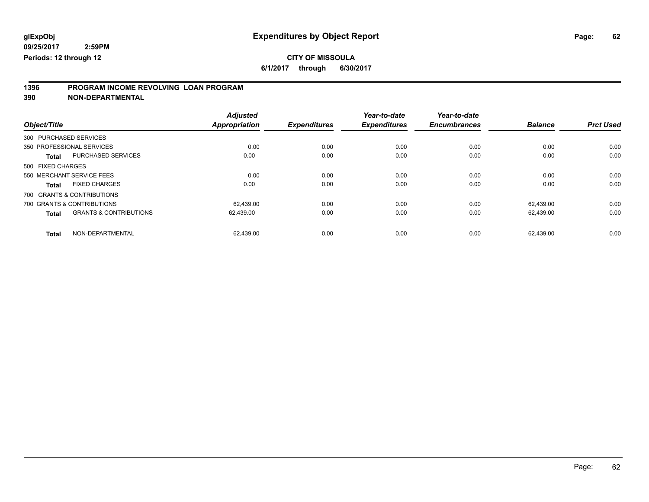### **CITY OF MISSOULA**

**6/1/2017 through 6/30/2017**

# **1396 PROGRAM INCOME REVOLVING LOAN PROGRAM**

**390 NON-DEPARTMENTAL**

| Object/Title      |                                   | <b>Adjusted</b><br><b>Appropriation</b> | <b>Expenditures</b> | Year-to-date<br><b>Expenditures</b> | Year-to-date<br><b>Encumbrances</b> | <b>Balance</b> | <b>Prct Used</b> |
|-------------------|-----------------------------------|-----------------------------------------|---------------------|-------------------------------------|-------------------------------------|----------------|------------------|
|                   | 300 PURCHASED SERVICES            |                                         |                     |                                     |                                     |                |                  |
|                   | 350 PROFESSIONAL SERVICES         | 0.00                                    | 0.00                | 0.00                                | 0.00                                | 0.00           | 0.00             |
| <b>Total</b>      | <b>PURCHASED SERVICES</b>         | 0.00                                    | 0.00                | 0.00                                | 0.00                                | 0.00           | 0.00             |
| 500 FIXED CHARGES |                                   |                                         |                     |                                     |                                     |                |                  |
|                   | 550 MERCHANT SERVICE FEES         | 0.00                                    | 0.00                | 0.00                                | 0.00                                | 0.00           | 0.00             |
| <b>Total</b>      | <b>FIXED CHARGES</b>              | 0.00                                    | 0.00                | 0.00                                | 0.00                                | 0.00           | 0.00             |
|                   | 700 GRANTS & CONTRIBUTIONS        |                                         |                     |                                     |                                     |                |                  |
|                   | 700 GRANTS & CONTRIBUTIONS        | 62.439.00                               | 0.00                | 0.00                                | 0.00                                | 62.439.00      | 0.00             |
| <b>Total</b>      | <b>GRANTS &amp; CONTRIBUTIONS</b> | 62,439.00                               | 0.00                | 0.00                                | 0.00                                | 62,439.00      | 0.00             |
| <b>Total</b>      | NON-DEPARTMENTAL                  | 62,439.00                               | 0.00                | 0.00                                | 0.00                                | 62.439.00      | 0.00             |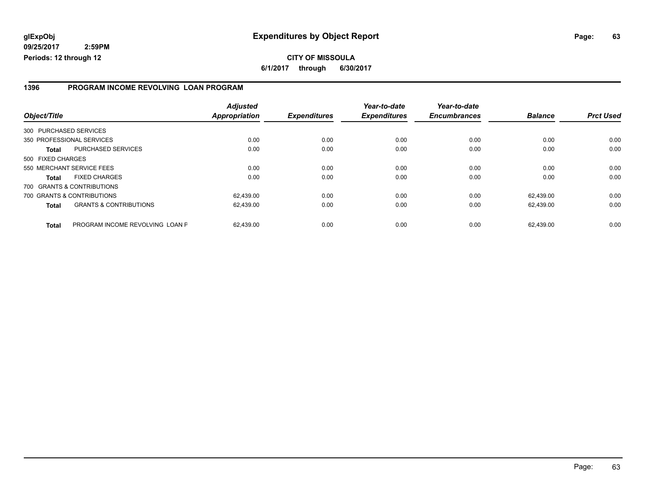#### **CITY OF MISSOULA 6/1/2017 through 6/30/2017**

#### **1396 PROGRAM INCOME REVOLVING LOAN PROGRAM**

| Object/Title      |                                   | <b>Adjusted</b><br>Appropriation | <b>Expenditures</b> | Year-to-date<br><b>Expenditures</b> | Year-to-date<br><b>Encumbrances</b> | <b>Balance</b> | <b>Prct Used</b> |
|-------------------|-----------------------------------|----------------------------------|---------------------|-------------------------------------|-------------------------------------|----------------|------------------|
|                   | 300 PURCHASED SERVICES            |                                  |                     |                                     |                                     |                |                  |
|                   | 350 PROFESSIONAL SERVICES         | 0.00                             | 0.00                | 0.00                                | 0.00                                | 0.00           | 0.00             |
| <b>Total</b>      | <b>PURCHASED SERVICES</b>         | 0.00                             | 0.00                | 0.00                                | 0.00                                | 0.00           | 0.00             |
| 500 FIXED CHARGES |                                   |                                  |                     |                                     |                                     |                |                  |
|                   | 550 MERCHANT SERVICE FEES         | 0.00                             | 0.00                | 0.00                                | 0.00                                | 0.00           | 0.00             |
| <b>Total</b>      | <b>FIXED CHARGES</b>              | 0.00                             | 0.00                | 0.00                                | 0.00                                | 0.00           | 0.00             |
|                   | 700 GRANTS & CONTRIBUTIONS        |                                  |                     |                                     |                                     |                |                  |
|                   | 700 GRANTS & CONTRIBUTIONS        | 62.439.00                        | 0.00                | 0.00                                | 0.00                                | 62.439.00      | 0.00             |
| <b>Total</b>      | <b>GRANTS &amp; CONTRIBUTIONS</b> | 62,439.00                        | 0.00                | 0.00                                | 0.00                                | 62.439.00      | 0.00             |
| <b>Total</b>      | PROGRAM INCOME REVOLVING LOAN P   | 62.439.00                        | 0.00                | 0.00                                | 0.00                                | 62.439.00      | 0.00             |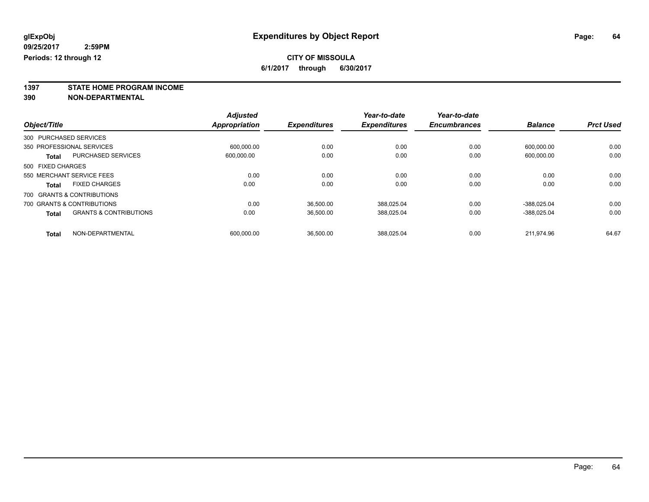**1397 STATE HOME PROGRAM INCOME**

**390 NON-DEPARTMENTAL**

|                   |                                   | <b>Adjusted</b>      |                     | Year-to-date        | Year-to-date        |                |                  |
|-------------------|-----------------------------------|----------------------|---------------------|---------------------|---------------------|----------------|------------------|
| Object/Title      |                                   | <b>Appropriation</b> | <b>Expenditures</b> | <b>Expenditures</b> | <b>Encumbrances</b> | <b>Balance</b> | <b>Prct Used</b> |
|                   | 300 PURCHASED SERVICES            |                      |                     |                     |                     |                |                  |
|                   | 350 PROFESSIONAL SERVICES         | 600.000.00           | 0.00                | 0.00                | 0.00                | 600.000.00     | 0.00             |
| <b>Total</b>      | <b>PURCHASED SERVICES</b>         | 600,000.00           | 0.00                | 0.00                | 0.00                | 600,000.00     | 0.00             |
| 500 FIXED CHARGES |                                   |                      |                     |                     |                     |                |                  |
|                   | 550 MERCHANT SERVICE FEES         | 0.00                 | 0.00                | 0.00                | 0.00                | 0.00           | 0.00             |
| <b>Total</b>      | <b>FIXED CHARGES</b>              | 0.00                 | 0.00                | 0.00                | 0.00                | 0.00           | 0.00             |
|                   | 700 GRANTS & CONTRIBUTIONS        |                      |                     |                     |                     |                |                  |
|                   | 700 GRANTS & CONTRIBUTIONS        | 0.00                 | 36.500.00           | 388.025.04          | 0.00                | -388.025.04    | 0.00             |
| <b>Total</b>      | <b>GRANTS &amp; CONTRIBUTIONS</b> | 0.00                 | 36.500.00           | 388.025.04          | 0.00                | -388.025.04    | 0.00             |
| <b>Total</b>      | NON-DEPARTMENTAL                  | 600.000.00           | 36,500.00           | 388.025.04          | 0.00                | 211.974.96     | 64.67            |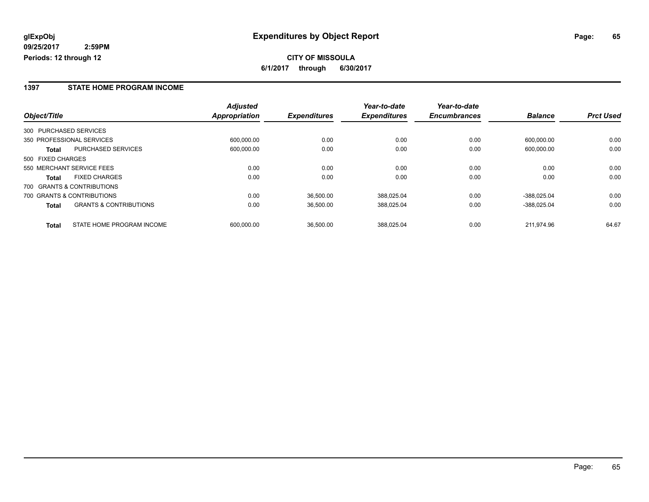**CITY OF MISSOULA 6/1/2017 through 6/30/2017**

#### **1397 STATE HOME PROGRAM INCOME**

|                                                   | <b>Adjusted</b>      |                     | Year-to-date        | Year-to-date        |                |                  |
|---------------------------------------------------|----------------------|---------------------|---------------------|---------------------|----------------|------------------|
| Object/Title                                      | <b>Appropriation</b> | <b>Expenditures</b> | <b>Expenditures</b> | <b>Encumbrances</b> | <b>Balance</b> | <b>Prct Used</b> |
| 300 PURCHASED SERVICES                            |                      |                     |                     |                     |                |                  |
| 350 PROFESSIONAL SERVICES                         | 600.000.00           | 0.00                | 0.00                | 0.00                | 600.000.00     | 0.00             |
| <b>PURCHASED SERVICES</b><br>Total                | 600,000.00           | 0.00                | 0.00                | 0.00                | 600,000.00     | 0.00             |
| 500 FIXED CHARGES                                 |                      |                     |                     |                     |                |                  |
| 550 MERCHANT SERVICE FEES                         | 0.00                 | 0.00                | 0.00                | 0.00                | 0.00           | 0.00             |
| <b>FIXED CHARGES</b><br><b>Total</b>              | 0.00                 | 0.00                | 0.00                | 0.00                | 0.00           | 0.00             |
| 700 GRANTS & CONTRIBUTIONS                        |                      |                     |                     |                     |                |                  |
| 700 GRANTS & CONTRIBUTIONS                        | 0.00                 | 36.500.00           | 388.025.04          | 0.00                | -388.025.04    | 0.00             |
| <b>GRANTS &amp; CONTRIBUTIONS</b><br><b>Total</b> | 0.00                 | 36,500.00           | 388,025.04          | 0.00                | -388.025.04    | 0.00             |
| STATE HOME PROGRAM INCOME<br><b>Total</b>         | 600.000.00           | 36,500.00           | 388.025.04          | 0.00                | 211.974.96     | 64.67            |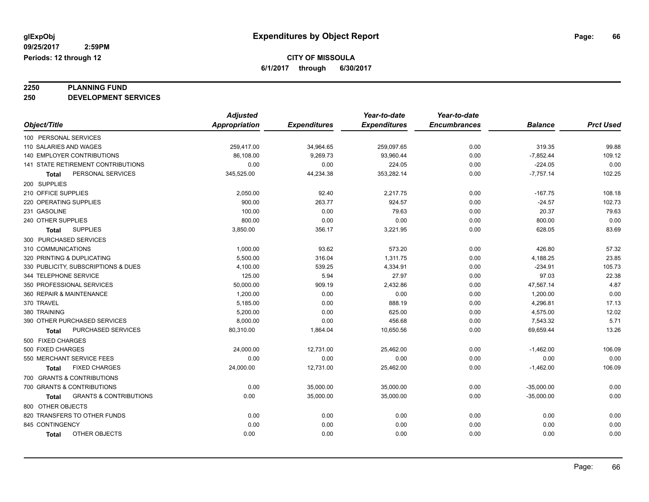**2250 PLANNING FUND 250 DEVELOPMENT SERVICES**

|                                            | <b>Adjusted</b>      |                     | Year-to-date        | Year-to-date        |                |                  |
|--------------------------------------------|----------------------|---------------------|---------------------|---------------------|----------------|------------------|
| Object/Title                               | <b>Appropriation</b> | <b>Expenditures</b> | <b>Expenditures</b> | <b>Encumbrances</b> | <b>Balance</b> | <b>Prct Used</b> |
| 100 PERSONAL SERVICES                      |                      |                     |                     |                     |                |                  |
| 110 SALARIES AND WAGES                     | 259,417.00           | 34,964.65           | 259,097.65          | 0.00                | 319.35         | 99.88            |
| 140 EMPLOYER CONTRIBUTIONS                 | 86,108.00            | 9,269.73            | 93,960.44           | 0.00                | $-7,852.44$    | 109.12           |
| <b>141 STATE RETIREMENT CONTRIBUTIONS</b>  | 0.00                 | 0.00                | 224.05              | 0.00                | $-224.05$      | 0.00             |
| PERSONAL SERVICES<br>Total                 | 345,525.00           | 44,234.38           | 353,282.14          | 0.00                | $-7,757.14$    | 102.25           |
| 200 SUPPLIES                               |                      |                     |                     |                     |                |                  |
| 210 OFFICE SUPPLIES                        | 2,050.00             | 92.40               | 2,217.75            | 0.00                | $-167.75$      | 108.18           |
| 220 OPERATING SUPPLIES                     | 900.00               | 263.77              | 924.57              | 0.00                | $-24.57$       | 102.73           |
| 231 GASOLINE                               | 100.00               | 0.00                | 79.63               | 0.00                | 20.37          | 79.63            |
| 240 OTHER SUPPLIES                         | 800.00               | 0.00                | 0.00                | 0.00                | 800.00         | 0.00             |
| <b>SUPPLIES</b><br><b>Total</b>            | 3,850.00             | 356.17              | 3,221.95            | 0.00                | 628.05         | 83.69            |
| 300 PURCHASED SERVICES                     |                      |                     |                     |                     |                |                  |
| 310 COMMUNICATIONS                         | 1,000.00             | 93.62               | 573.20              | 0.00                | 426.80         | 57.32            |
| 320 PRINTING & DUPLICATING                 | 5,500.00             | 316.04              | 1,311.75            | 0.00                | 4,188.25       | 23.85            |
| 330 PUBLICITY, SUBSCRIPTIONS & DUES        | 4,100.00             | 539.25              | 4,334.91            | 0.00                | $-234.91$      | 105.73           |
| 344 TELEPHONE SERVICE                      | 125.00               | 5.94                | 27.97               | 0.00                | 97.03          | 22.38            |
| 350 PROFESSIONAL SERVICES                  | 50,000.00            | 909.19              | 2,432.86            | 0.00                | 47,567.14      | 4.87             |
| 360 REPAIR & MAINTENANCE                   | 1,200.00             | 0.00                | 0.00                | 0.00                | 1,200.00       | 0.00             |
| 370 TRAVEL                                 | 5,185.00             | 0.00                | 888.19              | 0.00                | 4,296.81       | 17.13            |
| 380 TRAINING                               | 5,200.00             | 0.00                | 625.00              | 0.00                | 4,575.00       | 12.02            |
| 390 OTHER PURCHASED SERVICES               | 8,000.00             | 0.00                | 456.68              | 0.00                | 7,543.32       | 5.71             |
| <b>PURCHASED SERVICES</b><br><b>Total</b>  | 80,310.00            | 1,864.04            | 10,650.56           | 0.00                | 69,659.44      | 13.26            |
| 500 FIXED CHARGES                          |                      |                     |                     |                     |                |                  |
| 500 FIXED CHARGES                          | 24,000.00            | 12,731.00           | 25,462.00           | 0.00                | $-1,462.00$    | 106.09           |
| 550 MERCHANT SERVICE FEES                  | 0.00                 | 0.00                | 0.00                | 0.00                | 0.00           | 0.00             |
| <b>FIXED CHARGES</b><br><b>Total</b>       | 24,000.00            | 12,731.00           | 25,462.00           | 0.00                | $-1,462.00$    | 106.09           |
| 700 GRANTS & CONTRIBUTIONS                 |                      |                     |                     |                     |                |                  |
| 700 GRANTS & CONTRIBUTIONS                 | 0.00                 | 35,000.00           | 35,000.00           | 0.00                | $-35,000.00$   | 0.00             |
| <b>GRANTS &amp; CONTRIBUTIONS</b><br>Total | 0.00                 | 35,000.00           | 35,000.00           | 0.00                | $-35,000.00$   | 0.00             |
| 800 OTHER OBJECTS                          |                      |                     |                     |                     |                |                  |
| 820 TRANSFERS TO OTHER FUNDS               | 0.00                 | 0.00                | 0.00                | 0.00                | 0.00           | 0.00             |
| 845 CONTINGENCY                            | 0.00                 | 0.00                | 0.00                | 0.00                | 0.00           | 0.00             |
| OTHER OBJECTS<br><b>Total</b>              | 0.00                 | 0.00                | 0.00                | 0.00                | 0.00           | 0.00             |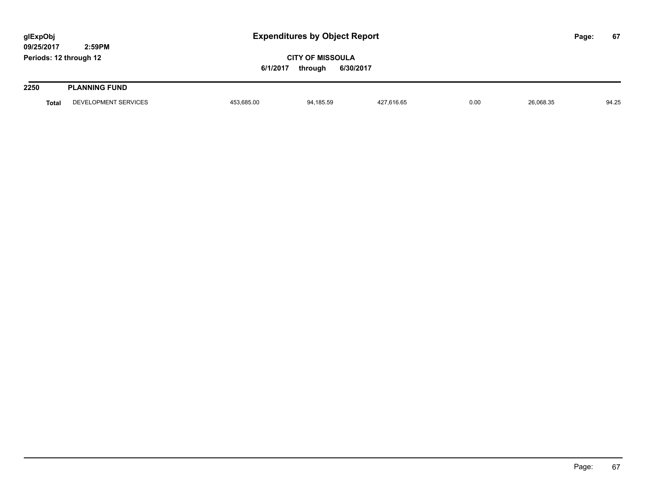| glExpObj<br>09/25/2017 |              | 2:59PM               |            | <b>Expenditures by Object Report</b>            |            |      |           |  | 67    |
|------------------------|--------------|----------------------|------------|-------------------------------------------------|------------|------|-----------|--|-------|
| Periods: 12 through 12 |              |                      | 6/1/2017   | <b>CITY OF MISSOULA</b><br>6/30/2017<br>through |            |      |           |  |       |
| 2250                   |              | <b>PLANNING FUND</b> |            |                                                 |            |      |           |  |       |
|                        | <b>Total</b> | DEVELOPMENT SERVICES | 453,685.00 | 94,185.59                                       | 427,616.65 | 0.00 | 26,068.35 |  | 94.25 |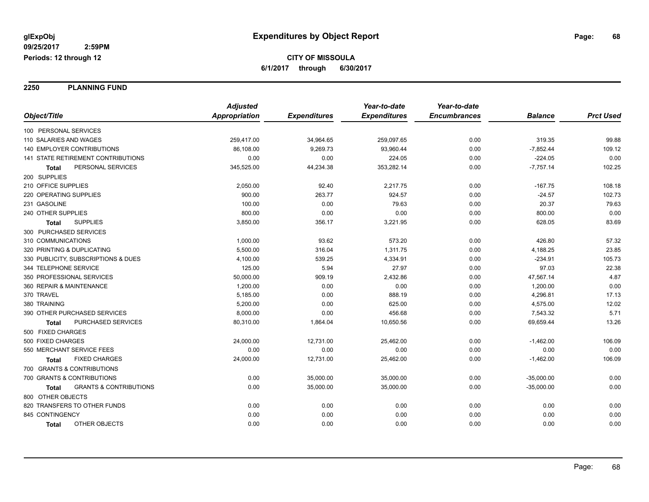**2250 PLANNING FUND**

|                                            | <b>Adjusted</b> |                     | Year-to-date        | Year-to-date        |                |                  |
|--------------------------------------------|-----------------|---------------------|---------------------|---------------------|----------------|------------------|
| Object/Title                               | Appropriation   | <b>Expenditures</b> | <b>Expenditures</b> | <b>Encumbrances</b> | <b>Balance</b> | <b>Prct Used</b> |
| 100 PERSONAL SERVICES                      |                 |                     |                     |                     |                |                  |
| 110 SALARIES AND WAGES                     | 259,417.00      | 34,964.65           | 259,097.65          | 0.00                | 319.35         | 99.88            |
| <b>140 EMPLOYER CONTRIBUTIONS</b>          | 86,108.00       | 9,269.73            | 93,960.44           | 0.00                | $-7,852.44$    | 109.12           |
| 141 STATE RETIREMENT CONTRIBUTIONS         | 0.00            | 0.00                | 224.05              | 0.00                | $-224.05$      | 0.00             |
| PERSONAL SERVICES<br>Total                 | 345,525.00      | 44,234.38           | 353,282.14          | 0.00                | $-7,757.14$    | 102.25           |
| 200 SUPPLIES                               |                 |                     |                     |                     |                |                  |
| 210 OFFICE SUPPLIES                        | 2,050.00        | 92.40               | 2,217.75            | 0.00                | $-167.75$      | 108.18           |
| 220 OPERATING SUPPLIES                     | 900.00          | 263.77              | 924.57              | 0.00                | $-24.57$       | 102.73           |
| 231 GASOLINE                               | 100.00          | 0.00                | 79.63               | 0.00                | 20.37          | 79.63            |
| 240 OTHER SUPPLIES                         | 800.00          | 0.00                | 0.00                | 0.00                | 800.00         | 0.00             |
| <b>SUPPLIES</b><br><b>Total</b>            | 3,850.00        | 356.17              | 3,221.95            | 0.00                | 628.05         | 83.69            |
| 300 PURCHASED SERVICES                     |                 |                     |                     |                     |                |                  |
| 310 COMMUNICATIONS                         | 1,000.00        | 93.62               | 573.20              | 0.00                | 426.80         | 57.32            |
| 320 PRINTING & DUPLICATING                 | 5,500.00        | 316.04              | 1.311.75            | 0.00                | 4,188.25       | 23.85            |
| 330 PUBLICITY, SUBSCRIPTIONS & DUES        | 4,100.00        | 539.25              | 4,334.91            | 0.00                | $-234.91$      | 105.73           |
| 344 TELEPHONE SERVICE                      | 125.00          | 5.94                | 27.97               | 0.00                | 97.03          | 22.38            |
| 350 PROFESSIONAL SERVICES                  | 50,000.00       | 909.19              | 2,432.86            | 0.00                | 47,567.14      | 4.87             |
| 360 REPAIR & MAINTENANCE                   | 1,200.00        | 0.00                | 0.00                | 0.00                | 1,200.00       | 0.00             |
| 370 TRAVEL                                 | 5,185.00        | 0.00                | 888.19              | 0.00                | 4,296.81       | 17.13            |
| 380 TRAINING                               | 5,200.00        | 0.00                | 625.00              | 0.00                | 4,575.00       | 12.02            |
| 390 OTHER PURCHASED SERVICES               | 8,000.00        | 0.00                | 456.68              | 0.00                | 7,543.32       | 5.71             |
| PURCHASED SERVICES<br><b>Total</b>         | 80,310.00       | 1,864.04            | 10,650.56           | 0.00                | 69,659.44      | 13.26            |
| 500 FIXED CHARGES                          |                 |                     |                     |                     |                |                  |
| 500 FIXED CHARGES                          | 24,000.00       | 12,731.00           | 25,462.00           | 0.00                | $-1,462.00$    | 106.09           |
| 550 MERCHANT SERVICE FEES                  | 0.00            | 0.00                | 0.00                | 0.00                | 0.00           | 0.00             |
| <b>FIXED CHARGES</b><br>Total              | 24,000.00       | 12,731.00           | 25,462.00           | 0.00                | $-1,462.00$    | 106.09           |
| 700 GRANTS & CONTRIBUTIONS                 |                 |                     |                     |                     |                |                  |
| 700 GRANTS & CONTRIBUTIONS                 | 0.00            | 35,000.00           | 35,000.00           | 0.00                | $-35,000.00$   | 0.00             |
| <b>GRANTS &amp; CONTRIBUTIONS</b><br>Total | 0.00            | 35,000.00           | 35,000.00           | 0.00                | $-35,000.00$   | 0.00             |
| 800 OTHER OBJECTS                          |                 |                     |                     |                     |                |                  |
| 820 TRANSFERS TO OTHER FUNDS               | 0.00            | 0.00                | 0.00                | 0.00                | 0.00           | 0.00             |
| 845 CONTINGENCY                            | 0.00            | 0.00                | 0.00                | 0.00                | 0.00           | 0.00             |
| OTHER OBJECTS<br><b>Total</b>              | 0.00            | 0.00                | 0.00                | 0.00                | 0.00           | 0.00             |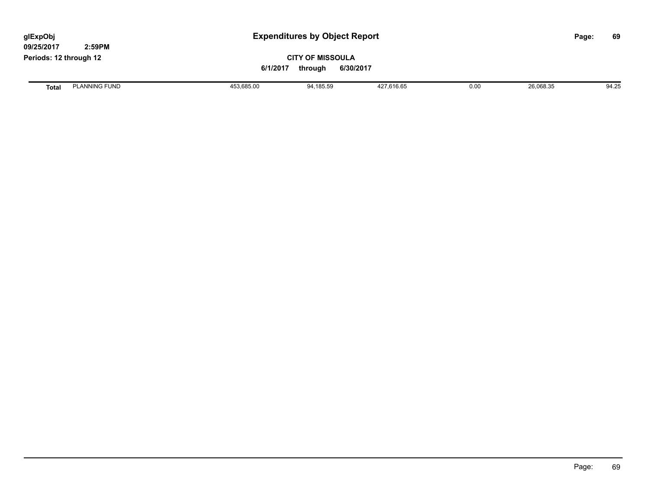| glExpObj<br>09/25/2017 | 2:59PM               |            | <b>Expenditures by Object Report</b>                        |            |      |           | 69<br>Page: |
|------------------------|----------------------|------------|-------------------------------------------------------------|------------|------|-----------|-------------|
| Periods: 12 through 12 |                      |            | <b>CITY OF MISSOULA</b><br>6/30/2017<br>6/1/2017<br>through |            |      |           |             |
| <b>Total</b>           | <b>PLANNING FUND</b> | 453,685.00 | 94,185.59                                                   | 427,616.65 | 0.00 | 26,068.35 | 94.25       |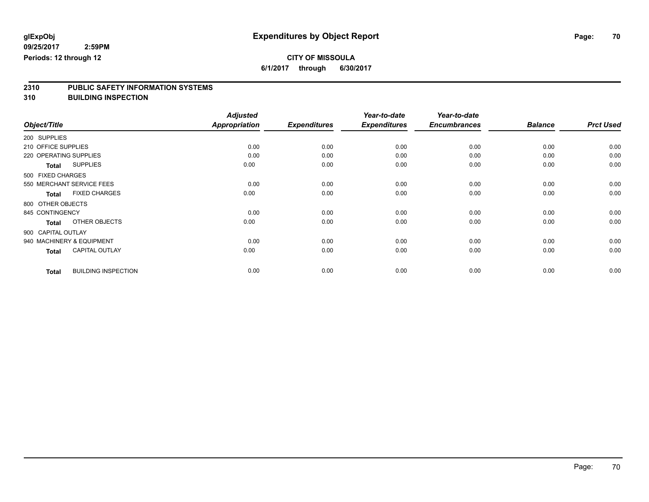### **CITY OF MISSOULA**

**6/1/2017 through 6/30/2017**

# **2310 PUBLIC SAFETY INFORMATION SYSTEMS**

**310 BUILDING INSPECTION**

|              |                                            | <b>Adjusted</b>      |                     | Year-to-date        | Year-to-date        |                |                  |
|--------------|--------------------------------------------|----------------------|---------------------|---------------------|---------------------|----------------|------------------|
| Object/Title |                                            | <b>Appropriation</b> | <b>Expenditures</b> | <b>Expenditures</b> | <b>Encumbrances</b> | <b>Balance</b> | <b>Prct Used</b> |
| 200 SUPPLIES |                                            |                      |                     |                     |                     |                |                  |
|              | 210 OFFICE SUPPLIES                        | 0.00                 | 0.00                | 0.00                | 0.00                | 0.00           | 0.00             |
|              | 220 OPERATING SUPPLIES                     | 0.00                 | 0.00                | 0.00                | 0.00                | 0.00           | 0.00             |
|              | <b>SUPPLIES</b><br><b>Total</b>            | 0.00                 | 0.00                | 0.00                | 0.00                | 0.00           | 0.00             |
|              | 500 FIXED CHARGES                          |                      |                     |                     |                     |                |                  |
|              | 550 MERCHANT SERVICE FEES                  | 0.00                 | 0.00                | 0.00                | 0.00                | 0.00           | 0.00             |
|              | <b>FIXED CHARGES</b><br><b>Total</b>       | 0.00                 | 0.00                | 0.00                | 0.00                | 0.00           | 0.00             |
|              | 800 OTHER OBJECTS                          |                      |                     |                     |                     |                |                  |
|              | 845 CONTINGENCY                            | 0.00                 | 0.00                | 0.00                | 0.00                | 0.00           | 0.00             |
|              | OTHER OBJECTS<br><b>Total</b>              | 0.00                 | 0.00                | 0.00                | 0.00                | 0.00           | 0.00             |
|              | 900 CAPITAL OUTLAY                         |                      |                     |                     |                     |                |                  |
|              | 940 MACHINERY & EQUIPMENT                  | 0.00                 | 0.00                | 0.00                | 0.00                | 0.00           | 0.00             |
|              | <b>CAPITAL OUTLAY</b><br><b>Total</b>      | 0.00                 | 0.00                | 0.00                | 0.00                | 0.00           | 0.00             |
|              | <b>BUILDING INSPECTION</b><br><b>Total</b> | 0.00                 | 0.00                | 0.00                | 0.00                | 0.00           | 0.00             |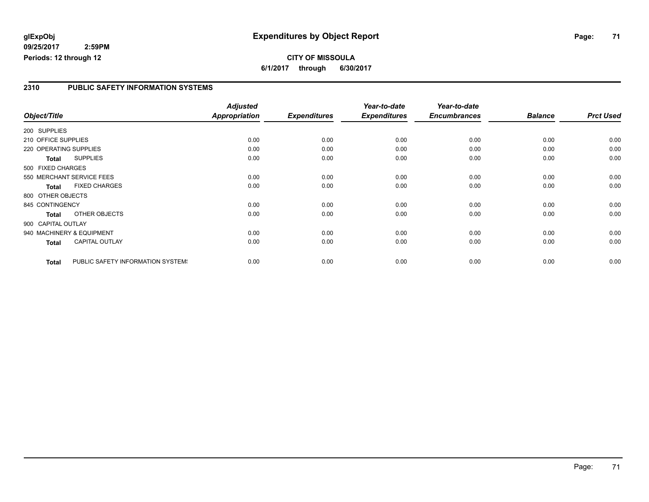#### **glExpObj Expenditures by Object Report Page: 71**

**09/25/2017 2:59PM Periods: 12 through 12**

#### **2310 PUBLIC SAFETY INFORMATION SYSTEMS**

|                        |                                   | <b>Adjusted</b> |                     | Year-to-date        | Year-to-date        |                |                  |
|------------------------|-----------------------------------|-----------------|---------------------|---------------------|---------------------|----------------|------------------|
| Object/Title           |                                   | Appropriation   | <b>Expenditures</b> | <b>Expenditures</b> | <b>Encumbrances</b> | <b>Balance</b> | <b>Prct Used</b> |
| 200 SUPPLIES           |                                   |                 |                     |                     |                     |                |                  |
| 210 OFFICE SUPPLIES    |                                   | 0.00            | 0.00                | 0.00                | 0.00                | 0.00           | 0.00             |
| 220 OPERATING SUPPLIES |                                   | 0.00            | 0.00                | 0.00                | 0.00                | 0.00           | 0.00             |
| <b>Total</b>           | <b>SUPPLIES</b>                   | 0.00            | 0.00                | 0.00                | 0.00                | 0.00           | 0.00             |
| 500 FIXED CHARGES      |                                   |                 |                     |                     |                     |                |                  |
|                        | 550 MERCHANT SERVICE FEES         | 0.00            | 0.00                | 0.00                | 0.00                | 0.00           | 0.00             |
| <b>Total</b>           | <b>FIXED CHARGES</b>              | 0.00            | 0.00                | 0.00                | 0.00                | 0.00           | 0.00             |
| 800 OTHER OBJECTS      |                                   |                 |                     |                     |                     |                |                  |
| 845 CONTINGENCY        |                                   | 0.00            | 0.00                | 0.00                | 0.00                | 0.00           | 0.00             |
| <b>Total</b>           | OTHER OBJECTS                     | 0.00            | 0.00                | 0.00                | 0.00                | 0.00           | 0.00             |
| 900 CAPITAL OUTLAY     |                                   |                 |                     |                     |                     |                |                  |
|                        | 940 MACHINERY & EQUIPMENT         | 0.00            | 0.00                | 0.00                | 0.00                | 0.00           | 0.00             |
| <b>Total</b>           | <b>CAPITAL OUTLAY</b>             | 0.00            | 0.00                | 0.00                | 0.00                | 0.00           | 0.00             |
| <b>Total</b>           | PUBLIC SAFETY INFORMATION SYSTEM! | 0.00            | 0.00                | 0.00                | 0.00                | 0.00           | 0.00             |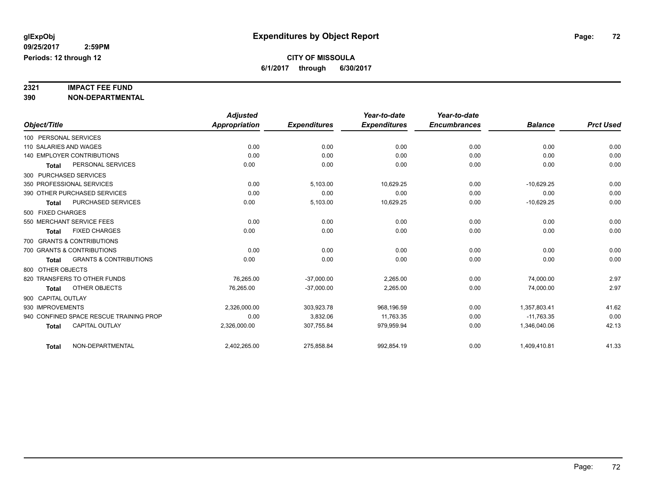# **2321 IMPACT FEE FUND**

**390 NON-DEPARTMENTAL**

|                                                   | <b>Adjusted</b> |                     | Year-to-date        | Year-to-date        |                |                  |
|---------------------------------------------------|-----------------|---------------------|---------------------|---------------------|----------------|------------------|
| Object/Title                                      | Appropriation   | <b>Expenditures</b> | <b>Expenditures</b> | <b>Encumbrances</b> | <b>Balance</b> | <b>Prct Used</b> |
| 100 PERSONAL SERVICES                             |                 |                     |                     |                     |                |                  |
| 110 SALARIES AND WAGES                            | 0.00            | 0.00                | 0.00                | 0.00                | 0.00           | 0.00             |
| <b>140 EMPLOYER CONTRIBUTIONS</b>                 | 0.00            | 0.00                | 0.00                | 0.00                | 0.00           | 0.00             |
| PERSONAL SERVICES<br><b>Total</b>                 | 0.00            | 0.00                | 0.00                | 0.00                | 0.00           | 0.00             |
| 300 PURCHASED SERVICES                            |                 |                     |                     |                     |                |                  |
| 350 PROFESSIONAL SERVICES                         | 0.00            | 5,103.00            | 10,629.25           | 0.00                | $-10,629.25$   | 0.00             |
| 390 OTHER PURCHASED SERVICES                      | 0.00            | 0.00                | 0.00                | 0.00                | 0.00           | 0.00             |
| <b>PURCHASED SERVICES</b><br><b>Total</b>         | 0.00            | 5,103.00            | 10,629.25           | 0.00                | $-10,629.25$   | 0.00             |
| 500 FIXED CHARGES                                 |                 |                     |                     |                     |                |                  |
| 550 MERCHANT SERVICE FEES                         | 0.00            | 0.00                | 0.00                | 0.00                | 0.00           | 0.00             |
| <b>FIXED CHARGES</b><br><b>Total</b>              | 0.00            | 0.00                | 0.00                | 0.00                | 0.00           | 0.00             |
| 700 GRANTS & CONTRIBUTIONS                        |                 |                     |                     |                     |                |                  |
| 700 GRANTS & CONTRIBUTIONS                        | 0.00            | 0.00                | 0.00                | 0.00                | 0.00           | 0.00             |
| <b>GRANTS &amp; CONTRIBUTIONS</b><br><b>Total</b> | 0.00            | 0.00                | 0.00                | 0.00                | 0.00           | 0.00             |
| 800 OTHER OBJECTS                                 |                 |                     |                     |                     |                |                  |
| 820 TRANSFERS TO OTHER FUNDS                      | 76,265.00       | $-37,000.00$        | 2,265.00            | 0.00                | 74,000.00      | 2.97             |
| OTHER OBJECTS<br><b>Total</b>                     | 76,265.00       | $-37,000.00$        | 2,265.00            | 0.00                | 74,000.00      | 2.97             |
| 900 CAPITAL OUTLAY                                |                 |                     |                     |                     |                |                  |
| 930 IMPROVEMENTS                                  | 2,326,000.00    | 303,923.78          | 968,196.59          | 0.00                | 1,357,803.41   | 41.62            |
| 940 CONFINED SPACE RESCUE TRAINING PROP           | 0.00            | 3,832.06            | 11,763.35           | 0.00                | $-11.763.35$   | 0.00             |
| <b>CAPITAL OUTLAY</b><br><b>Total</b>             | 2,326,000.00    | 307,755.84          | 979,959.94          | 0.00                | 1,346,040.06   | 42.13            |
|                                                   |                 |                     |                     |                     |                |                  |
| NON-DEPARTMENTAL<br><b>Total</b>                  | 2,402,265.00    | 275,858.84          | 992,854.19          | 0.00                | 1,409,410.81   | 41.33            |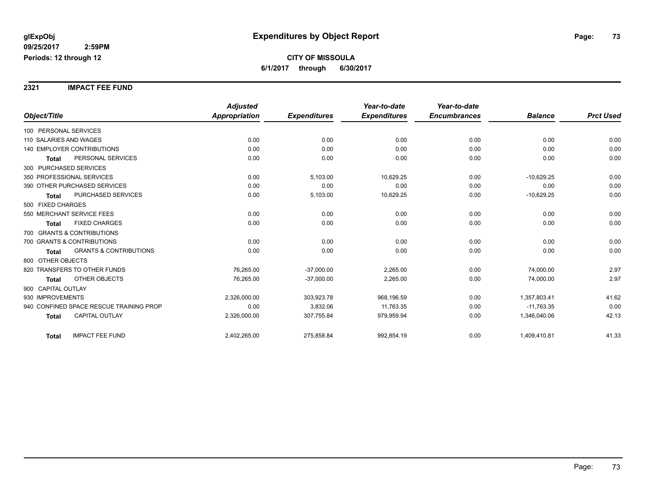**2321 IMPACT FEE FUND**

|                                                   | <b>Adjusted</b>      |                     | Year-to-date        | Year-to-date        |                |                  |
|---------------------------------------------------|----------------------|---------------------|---------------------|---------------------|----------------|------------------|
| Object/Title                                      | <b>Appropriation</b> | <b>Expenditures</b> | <b>Expenditures</b> | <b>Encumbrances</b> | <b>Balance</b> | <b>Prct Used</b> |
| 100 PERSONAL SERVICES                             |                      |                     |                     |                     |                |                  |
| 110 SALARIES AND WAGES                            | 0.00                 | 0.00                | 0.00                | 0.00                | 0.00           | 0.00             |
| <b>140 EMPLOYER CONTRIBUTIONS</b>                 | 0.00                 | 0.00                | 0.00                | 0.00                | 0.00           | 0.00             |
| PERSONAL SERVICES<br><b>Total</b>                 | 0.00                 | 0.00                | 0.00                | 0.00                | 0.00           | 0.00             |
| 300 PURCHASED SERVICES                            |                      |                     |                     |                     |                |                  |
| 350 PROFESSIONAL SERVICES                         | 0.00                 | 5,103.00            | 10,629.25           | 0.00                | $-10,629.25$   | 0.00             |
| 390 OTHER PURCHASED SERVICES                      | 0.00                 | 0.00                | 0.00                | 0.00                | 0.00           | 0.00             |
| PURCHASED SERVICES<br><b>Total</b>                | 0.00                 | 5,103.00            | 10,629.25           | 0.00                | $-10,629.25$   | 0.00             |
| 500 FIXED CHARGES                                 |                      |                     |                     |                     |                |                  |
| 550 MERCHANT SERVICE FEES                         | 0.00                 | 0.00                | 0.00                | 0.00                | 0.00           | 0.00             |
| <b>FIXED CHARGES</b><br><b>Total</b>              | 0.00                 | 0.00                | 0.00                | 0.00                | 0.00           | 0.00             |
| 700 GRANTS & CONTRIBUTIONS                        |                      |                     |                     |                     |                |                  |
| 700 GRANTS & CONTRIBUTIONS                        | 0.00                 | 0.00                | 0.00                | 0.00                | 0.00           | 0.00             |
| <b>GRANTS &amp; CONTRIBUTIONS</b><br><b>Total</b> | 0.00                 | 0.00                | 0.00                | 0.00                | 0.00           | 0.00             |
| 800 OTHER OBJECTS                                 |                      |                     |                     |                     |                |                  |
| 820 TRANSFERS TO OTHER FUNDS                      | 76,265.00            | $-37,000.00$        | 2,265.00            | 0.00                | 74,000.00      | 2.97             |
| OTHER OBJECTS<br><b>Total</b>                     | 76,265.00            | $-37,000.00$        | 2,265.00            | 0.00                | 74,000.00      | 2.97             |
| 900 CAPITAL OUTLAY                                |                      |                     |                     |                     |                |                  |
| 930 IMPROVEMENTS                                  | 2,326,000.00         | 303,923.78          | 968,196.59          | 0.00                | 1,357,803.41   | 41.62            |
| 940 CONFINED SPACE RESCUE TRAINING PROP           | 0.00                 | 3,832.06            | 11,763.35           | 0.00                | $-11,763.35$   | 0.00             |
| <b>CAPITAL OUTLAY</b><br><b>Total</b>             | 2,326,000.00         | 307,755.84          | 979,959.94          | 0.00                | 1,346,040.06   | 42.13            |
| <b>IMPACT FEE FUND</b><br><b>Total</b>            | 2,402,265.00         | 275,858.84          | 992,854.19          | 0.00                | 1,409,410.81   | 41.33            |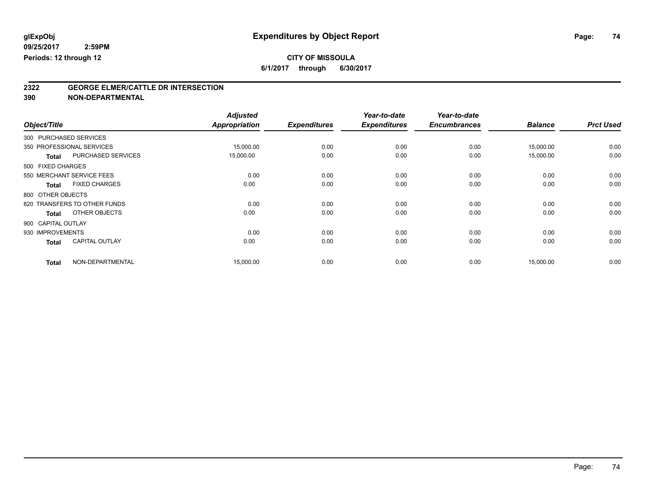**6/1/2017 through 6/30/2017**

# **2322 GEORGE ELMER/CATTLE DR INTERSECTION**

| Object/Title |                                       | <b>Adjusted</b><br><b>Appropriation</b> | <b>Expenditures</b> | Year-to-date<br><b>Expenditures</b> | Year-to-date<br><b>Encumbrances</b> | <b>Balance</b> | <b>Prct Used</b> |
|--------------|---------------------------------------|-----------------------------------------|---------------------|-------------------------------------|-------------------------------------|----------------|------------------|
|              | 300 PURCHASED SERVICES                |                                         |                     |                                     |                                     |                |                  |
|              | 350 PROFESSIONAL SERVICES             | 15,000.00                               | 0.00                | 0.00                                | 0.00                                | 15,000.00      | 0.00             |
|              | PURCHASED SERVICES<br><b>Total</b>    | 15,000.00                               | 0.00                | 0.00                                | 0.00                                | 15,000.00      | 0.00             |
|              | 500 FIXED CHARGES                     |                                         |                     |                                     |                                     |                |                  |
|              | 550 MERCHANT SERVICE FEES             | 0.00                                    | 0.00                | 0.00                                | 0.00                                | 0.00           | 0.00             |
|              | <b>FIXED CHARGES</b><br><b>Total</b>  | 0.00                                    | 0.00                | 0.00                                | 0.00                                | 0.00           | 0.00             |
|              | 800 OTHER OBJECTS                     |                                         |                     |                                     |                                     |                |                  |
|              | 820 TRANSFERS TO OTHER FUNDS          | 0.00                                    | 0.00                | 0.00                                | 0.00                                | 0.00           | 0.00             |
|              | OTHER OBJECTS<br><b>Total</b>         | 0.00                                    | 0.00                | 0.00                                | 0.00                                | 0.00           | 0.00             |
|              | 900 CAPITAL OUTLAY                    |                                         |                     |                                     |                                     |                |                  |
|              | 930 IMPROVEMENTS                      | 0.00                                    | 0.00                | 0.00                                | 0.00                                | 0.00           | 0.00             |
|              | <b>CAPITAL OUTLAY</b><br><b>Total</b> | 0.00                                    | 0.00                | 0.00                                | 0.00                                | 0.00           | 0.00             |
|              | NON-DEPARTMENTAL<br><b>Total</b>      | 15,000.00                               | 0.00                | 0.00                                | 0.00                                | 15,000.00      | 0.00             |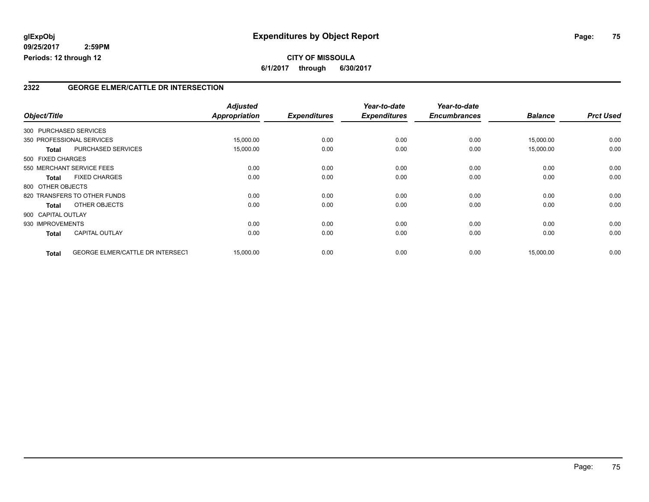### **2322 GEORGE ELMER/CATTLE DR INTERSECTION**

|                    |                                  | <b>Adjusted</b> |                     | Year-to-date        | Year-to-date<br><b>Encumbrances</b> | <b>Balance</b> | <b>Prct Used</b> |
|--------------------|----------------------------------|-----------------|---------------------|---------------------|-------------------------------------|----------------|------------------|
| Object/Title       |                                  | Appropriation   | <b>Expenditures</b> | <b>Expenditures</b> |                                     |                |                  |
|                    | 300 PURCHASED SERVICES           |                 |                     |                     |                                     |                |                  |
|                    | 350 PROFESSIONAL SERVICES        | 15,000.00       | 0.00                | 0.00                | 0.00                                | 15,000.00      | 0.00             |
| <b>Total</b>       | PURCHASED SERVICES               | 15,000.00       | 0.00                | 0.00                | 0.00                                | 15,000.00      | 0.00             |
| 500 FIXED CHARGES  |                                  |                 |                     |                     |                                     |                |                  |
|                    | 550 MERCHANT SERVICE FEES        | 0.00            | 0.00                | 0.00                | 0.00                                | 0.00           | 0.00             |
| Total              | <b>FIXED CHARGES</b>             | 0.00            | 0.00                | 0.00                | 0.00                                | 0.00           | 0.00             |
| 800 OTHER OBJECTS  |                                  |                 |                     |                     |                                     |                |                  |
|                    | 820 TRANSFERS TO OTHER FUNDS     | 0.00            | 0.00                | 0.00                | 0.00                                | 0.00           | 0.00             |
| Total              | OTHER OBJECTS                    | 0.00            | 0.00                | 0.00                | 0.00                                | 0.00           | 0.00             |
| 900 CAPITAL OUTLAY |                                  |                 |                     |                     |                                     |                |                  |
| 930 IMPROVEMENTS   |                                  | 0.00            | 0.00                | 0.00                | 0.00                                | 0.00           | 0.00             |
| <b>Total</b>       | <b>CAPITAL OUTLAY</b>            | 0.00            | 0.00                | 0.00                | 0.00                                | 0.00           | 0.00             |
| <b>Total</b>       | GEORGE ELMER/CATTLE DR INTERSECT | 15,000.00       | 0.00                | 0.00                | 0.00                                | 15,000.00      | 0.00             |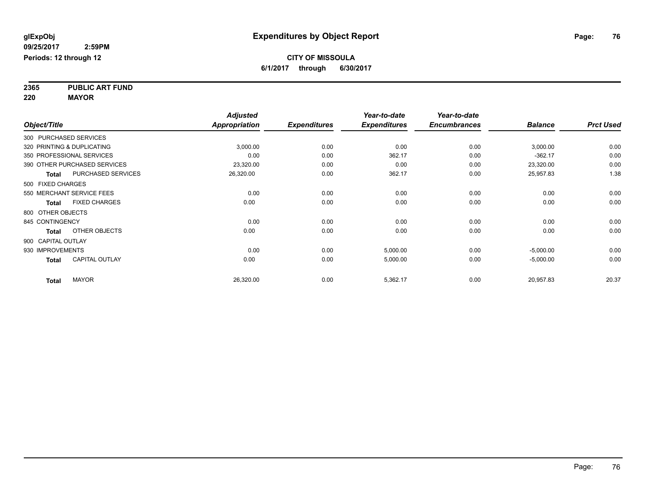**2365 PUBLIC ART FUND 220 MAYOR**

|                    |                              | <b>Adjusted</b>      |                     | Year-to-date        | Year-to-date        |                |                  |
|--------------------|------------------------------|----------------------|---------------------|---------------------|---------------------|----------------|------------------|
| Object/Title       |                              | <b>Appropriation</b> | <b>Expenditures</b> | <b>Expenditures</b> | <b>Encumbrances</b> | <b>Balance</b> | <b>Prct Used</b> |
|                    | 300 PURCHASED SERVICES       |                      |                     |                     |                     |                |                  |
|                    | 320 PRINTING & DUPLICATING   | 3,000.00             | 0.00                | 0.00                | 0.00                | 3,000.00       | 0.00             |
|                    | 350 PROFESSIONAL SERVICES    | 0.00                 | 0.00                | 362.17              | 0.00                | $-362.17$      | 0.00             |
|                    | 390 OTHER PURCHASED SERVICES | 23,320.00            | 0.00                | 0.00                | 0.00                | 23,320.00      | 0.00             |
| <b>Total</b>       | PURCHASED SERVICES           | 26,320.00            | 0.00                | 362.17              | 0.00                | 25,957.83      | 1.38             |
| 500 FIXED CHARGES  |                              |                      |                     |                     |                     |                |                  |
|                    | 550 MERCHANT SERVICE FEES    | 0.00                 | 0.00                | 0.00                | 0.00                | 0.00           | 0.00             |
| <b>Total</b>       | <b>FIXED CHARGES</b>         | 0.00                 | 0.00                | 0.00                | 0.00                | 0.00           | 0.00             |
| 800 OTHER OBJECTS  |                              |                      |                     |                     |                     |                |                  |
| 845 CONTINGENCY    |                              | 0.00                 | 0.00                | 0.00                | 0.00                | 0.00           | 0.00             |
| <b>Total</b>       | OTHER OBJECTS                | 0.00                 | 0.00                | 0.00                | 0.00                | 0.00           | 0.00             |
| 900 CAPITAL OUTLAY |                              |                      |                     |                     |                     |                |                  |
| 930 IMPROVEMENTS   |                              | 0.00                 | 0.00                | 5,000.00            | 0.00                | $-5,000.00$    | 0.00             |
| <b>Total</b>       | <b>CAPITAL OUTLAY</b>        | 0.00                 | 0.00                | 5,000.00            | 0.00                | $-5,000.00$    | 0.00             |
| <b>Total</b>       | <b>MAYOR</b>                 | 26,320.00            | 0.00                | 5,362.17            | 0.00                | 20,957.83      | 20.37            |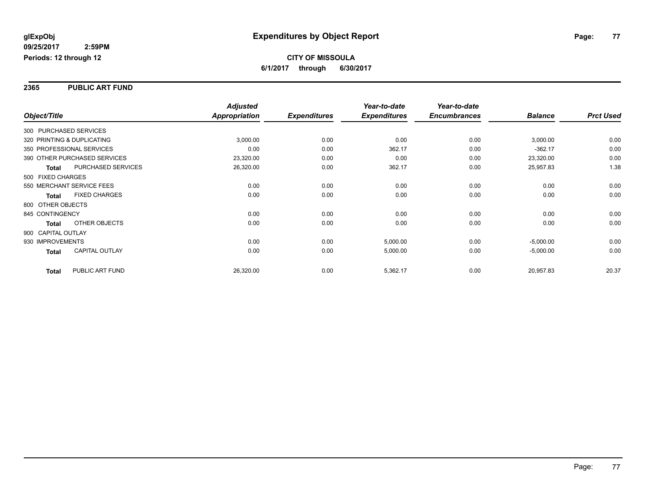#### **2365 PUBLIC ART FUND**

|                    |                              | <b>Adjusted</b>      |                     | Year-to-date        | Year-to-date        |                |                  |
|--------------------|------------------------------|----------------------|---------------------|---------------------|---------------------|----------------|------------------|
| Object/Title       |                              | <b>Appropriation</b> | <b>Expenditures</b> | <b>Expenditures</b> | <b>Encumbrances</b> | <b>Balance</b> | <b>Prct Used</b> |
|                    | 300 PURCHASED SERVICES       |                      |                     |                     |                     |                |                  |
|                    | 320 PRINTING & DUPLICATING   | 3,000.00             | 0.00                | 0.00                | 0.00                | 3,000.00       | 0.00             |
|                    | 350 PROFESSIONAL SERVICES    | 0.00                 | 0.00                | 362.17              | 0.00                | $-362.17$      | 0.00             |
|                    | 390 OTHER PURCHASED SERVICES | 23,320.00            | 0.00                | 0.00                | 0.00                | 23,320.00      | 0.00             |
| <b>Total</b>       | <b>PURCHASED SERVICES</b>    | 26,320.00            | 0.00                | 362.17              | 0.00                | 25,957.83      | 1.38             |
| 500 FIXED CHARGES  |                              |                      |                     |                     |                     |                |                  |
|                    | 550 MERCHANT SERVICE FEES    | 0.00                 | 0.00                | 0.00                | 0.00                | 0.00           | 0.00             |
| <b>Total</b>       | <b>FIXED CHARGES</b>         | 0.00                 | 0.00                | 0.00                | 0.00                | 0.00           | 0.00             |
| 800 OTHER OBJECTS  |                              |                      |                     |                     |                     |                |                  |
| 845 CONTINGENCY    |                              | 0.00                 | 0.00                | 0.00                | 0.00                | 0.00           | 0.00             |
| <b>Total</b>       | OTHER OBJECTS                | 0.00                 | 0.00                | 0.00                | 0.00                | 0.00           | 0.00             |
| 900 CAPITAL OUTLAY |                              |                      |                     |                     |                     |                |                  |
| 930 IMPROVEMENTS   |                              | 0.00                 | 0.00                | 5,000.00            | 0.00                | $-5,000.00$    | 0.00             |
| <b>Total</b>       | <b>CAPITAL OUTLAY</b>        | 0.00                 | 0.00                | 5,000.00            | 0.00                | $-5,000.00$    | 0.00             |
| Total              | PUBLIC ART FUND              | 26,320.00            | 0.00                | 5,362.17            | 0.00                | 20,957.83      | 20.37            |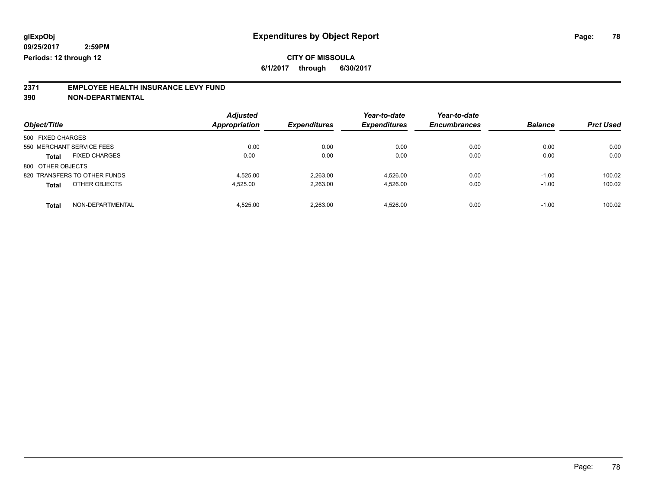**6/1/2017 through 6/30/2017**

# **2371 EMPLOYEE HEALTH INSURANCE LEVY FUND**

|                                      | <b>Adjusted</b>      |                     | Year-to-date        | Year-to-date        |                |                  |
|--------------------------------------|----------------------|---------------------|---------------------|---------------------|----------------|------------------|
| Object/Title                         | <b>Appropriation</b> | <b>Expenditures</b> | <b>Expenditures</b> | <b>Encumbrances</b> | <b>Balance</b> | <b>Prct Used</b> |
| 500 FIXED CHARGES                    |                      |                     |                     |                     |                |                  |
| 550 MERCHANT SERVICE FEES            | 0.00                 | 0.00                | 0.00                | 0.00                | 0.00           | 0.00             |
| <b>FIXED CHARGES</b><br><b>Total</b> | 0.00                 | 0.00                | 0.00                | 0.00                | 0.00           | 0.00             |
| 800 OTHER OBJECTS                    |                      |                     |                     |                     |                |                  |
| 820 TRANSFERS TO OTHER FUNDS         | 4.525.00             | 2.263.00            | 4.526.00            | 0.00                | $-1.00$        | 100.02           |
| OTHER OBJECTS<br><b>Total</b>        | 4,525.00             | 2,263.00            | 4.526.00            | 0.00                | $-1.00$        | 100.02           |
| NON-DEPARTMENTAL<br><b>Total</b>     | 4.525.00             | 2.263.00            | 4.526.00            | 0.00                | $-1.00$        | 100.02           |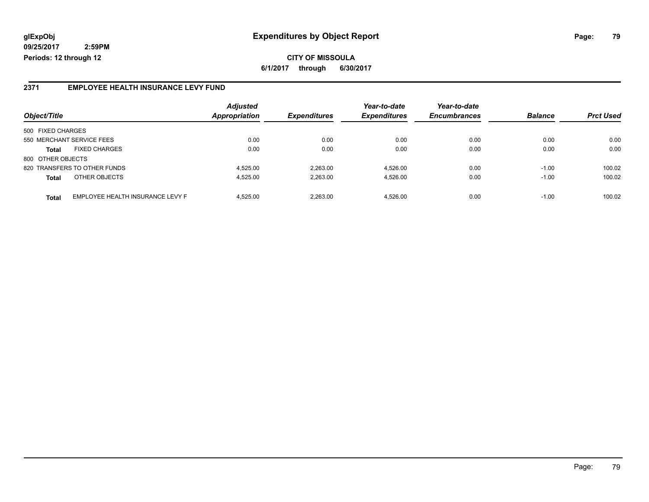#### **2371 EMPLOYEE HEALTH INSURANCE LEVY FUND**

| Object/Title              |                                  | <b>Adjusted</b><br><b>Appropriation</b> | <b>Expenditures</b> | Year-to-date<br><b>Expenditures</b> | Year-to-date<br><b>Encumbrances</b> | <b>Balance</b> | <b>Prct Used</b> |
|---------------------------|----------------------------------|-----------------------------------------|---------------------|-------------------------------------|-------------------------------------|----------------|------------------|
| 500 FIXED CHARGES         |                                  |                                         |                     |                                     |                                     |                |                  |
| 550 MERCHANT SERVICE FEES |                                  | 0.00                                    | 0.00                | 0.00                                | 0.00                                | 0.00           | 0.00             |
| <b>Total</b>              | <b>FIXED CHARGES</b>             | 0.00                                    | 0.00                | 0.00                                | 0.00                                | 0.00           | 0.00             |
| 800 OTHER OBJECTS         |                                  |                                         |                     |                                     |                                     |                |                  |
|                           | 820 TRANSFERS TO OTHER FUNDS     | 4.525.00                                | 2.263.00            | 4.526.00                            | 0.00                                | $-1.00$        | 100.02           |
| <b>Total</b>              | OTHER OBJECTS                    | 4,525.00                                | 2,263.00            | 4,526.00                            | 0.00                                | $-1.00$        | 100.02           |
| <b>Total</b>              | EMPLOYEE HEALTH INSURANCE LEVY F | 4.525.00                                | 2.263.00            | 4.526.00                            | 0.00                                | $-1.00$        | 100.02           |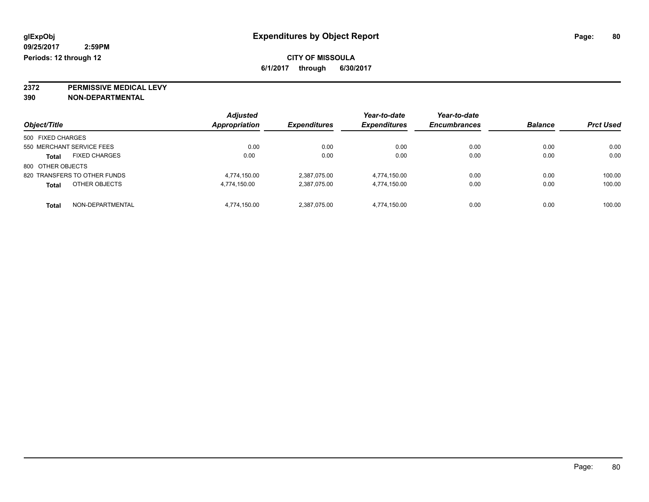**2372 PERMISSIVE MEDICAL LEVY**

| Object/Title                         | <b>Adjusted</b><br>Appropriation | <b>Expenditures</b> | Year-to-date<br><b>Expenditures</b> | Year-to-date<br><b>Encumbrances</b> | <b>Balance</b> | <b>Prct Used</b> |
|--------------------------------------|----------------------------------|---------------------|-------------------------------------|-------------------------------------|----------------|------------------|
|                                      |                                  |                     |                                     |                                     |                |                  |
| 500 FIXED CHARGES                    |                                  |                     |                                     |                                     |                |                  |
| 550 MERCHANT SERVICE FEES            | 0.00                             | 0.00                | 0.00                                | 0.00                                | 0.00           | 0.00             |
| <b>FIXED CHARGES</b><br><b>Total</b> | 0.00                             | 0.00                | 0.00                                | 0.00                                | 0.00           | 0.00             |
| 800 OTHER OBJECTS                    |                                  |                     |                                     |                                     |                |                  |
| 820 TRANSFERS TO OTHER FUNDS         | 4.774.150.00                     | 2,387,075.00        | 4,774,150.00                        | 0.00                                | 0.00           | 100.00           |
| OTHER OBJECTS<br><b>Total</b>        | 4,774,150.00                     | 2,387,075.00        | 4,774,150.00                        | 0.00                                | 0.00           | 100.00           |
| NON-DEPARTMENTAL<br><b>Total</b>     | 4.774.150.00                     | 2,387,075.00        | 4,774,150.00                        | 0.00                                | 0.00           | 100.00           |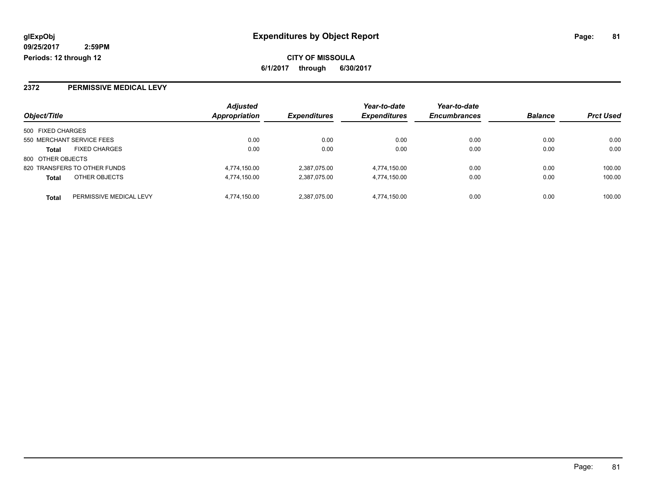### **2372 PERMISSIVE MEDICAL LEVY**

| Object/Title              |                              | <b>Adjusted</b> |                            | Year-to-date        | Year-to-date        | <b>Balance</b> |                  |
|---------------------------|------------------------------|-----------------|----------------------------|---------------------|---------------------|----------------|------------------|
|                           |                              | Appropriation   | <i><b>Expenditures</b></i> | <b>Expenditures</b> | <b>Encumbrances</b> |                | <b>Prct Used</b> |
| 500 FIXED CHARGES         |                              |                 |                            |                     |                     |                |                  |
| 550 MERCHANT SERVICE FEES |                              | 0.00            | 0.00                       | 0.00                | 0.00                | 0.00           | 0.00             |
| <b>Total</b>              | <b>FIXED CHARGES</b>         | 0.00            | 0.00                       | 0.00                | 0.00                | 0.00           | 0.00             |
| 800 OTHER OBJECTS         |                              |                 |                            |                     |                     |                |                  |
|                           | 820 TRANSFERS TO OTHER FUNDS | 4,774,150.00    | 2,387,075.00               | 4,774,150.00        | 0.00                | 0.00           | 100.00           |
| <b>Total</b>              | OTHER OBJECTS                | 4,774,150.00    | 2,387,075.00               | 4,774,150.00        | 0.00                | 0.00           | 100.00           |
| <b>Total</b>              | PERMISSIVE MEDICAL LEVY      | 4.774.150.00    | 2.387.075.00               | 4.774.150.00        | 0.00                | 0.00           | 100.00           |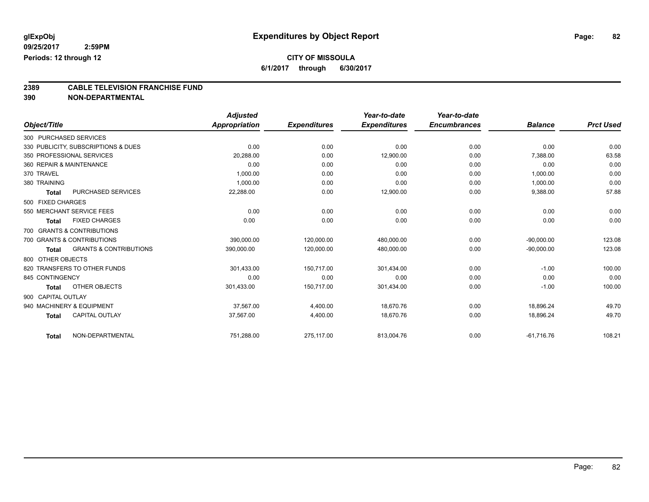**6/1/2017 through 6/30/2017**

# **2389 CABLE TELEVISION FRANCHISE FUND**

|                    |                                     | <b>Adjusted</b> |                     | Year-to-date        | Year-to-date        |                |                  |
|--------------------|-------------------------------------|-----------------|---------------------|---------------------|---------------------|----------------|------------------|
| Object/Title       |                                     | Appropriation   | <b>Expenditures</b> | <b>Expenditures</b> | <b>Encumbrances</b> | <b>Balance</b> | <b>Prct Used</b> |
|                    | 300 PURCHASED SERVICES              |                 |                     |                     |                     |                |                  |
|                    | 330 PUBLICITY, SUBSCRIPTIONS & DUES | 0.00            | 0.00                | 0.00                | 0.00                | 0.00           | 0.00             |
|                    | 350 PROFESSIONAL SERVICES           | 20,288.00       | 0.00                | 12,900.00           | 0.00                | 7,388.00       | 63.58            |
|                    | 360 REPAIR & MAINTENANCE            | 0.00            | 0.00                | 0.00                | 0.00                | 0.00           | 0.00             |
| 370 TRAVEL         |                                     | 1,000.00        | 0.00                | 0.00                | 0.00                | 1,000.00       | 0.00             |
| 380 TRAINING       |                                     | 1,000.00        | 0.00                | 0.00                | 0.00                | 1,000.00       | 0.00             |
| <b>Total</b>       | <b>PURCHASED SERVICES</b>           | 22,288.00       | 0.00                | 12,900.00           | 0.00                | 9,388.00       | 57.88            |
| 500 FIXED CHARGES  |                                     |                 |                     |                     |                     |                |                  |
|                    | 550 MERCHANT SERVICE FEES           | 0.00            | 0.00                | 0.00                | 0.00                | 0.00           | 0.00             |
| <b>Total</b>       | <b>FIXED CHARGES</b>                | 0.00            | 0.00                | 0.00                | 0.00                | 0.00           | 0.00             |
|                    | 700 GRANTS & CONTRIBUTIONS          |                 |                     |                     |                     |                |                  |
|                    | 700 GRANTS & CONTRIBUTIONS          | 390,000.00      | 120,000.00          | 480,000.00          | 0.00                | $-90,000.00$   | 123.08           |
| <b>Total</b>       | <b>GRANTS &amp; CONTRIBUTIONS</b>   | 390,000.00      | 120,000.00          | 480,000.00          | 0.00                | $-90,000.00$   | 123.08           |
| 800 OTHER OBJECTS  |                                     |                 |                     |                     |                     |                |                  |
|                    | 820 TRANSFERS TO OTHER FUNDS        | 301,433.00      | 150,717.00          | 301,434.00          | 0.00                | $-1.00$        | 100.00           |
| 845 CONTINGENCY    |                                     | 0.00            | 0.00                | 0.00                | 0.00                | 0.00           | 0.00             |
| <b>Total</b>       | OTHER OBJECTS                       | 301,433.00      | 150,717.00          | 301,434.00          | 0.00                | $-1.00$        | 100.00           |
| 900 CAPITAL OUTLAY |                                     |                 |                     |                     |                     |                |                  |
|                    | 940 MACHINERY & EQUIPMENT           | 37,567.00       | 4,400.00            | 18,670.76           | 0.00                | 18,896.24      | 49.70            |
| <b>Total</b>       | CAPITAL OUTLAY                      | 37,567.00       | 4,400.00            | 18.670.76           | 0.00                | 18,896.24      | 49.70            |
| <b>Total</b>       | NON-DEPARTMENTAL                    | 751,288.00      | 275,117.00          | 813,004.76          | 0.00                | $-61,716.76$   | 108.21           |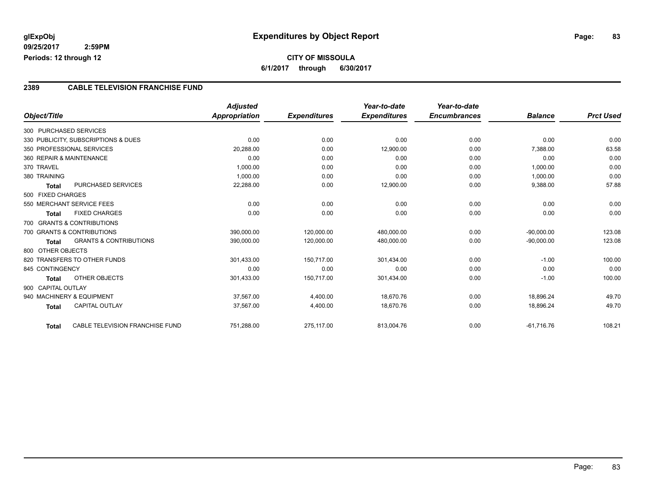### **CITY OF MISSOULA 6/1/2017 through 6/30/2017**

#### **2389 CABLE TELEVISION FRANCHISE FUND**

|                          |                                     | <b>Adjusted</b> |                     | Year-to-date        | Year-to-date        |                |                  |
|--------------------------|-------------------------------------|-----------------|---------------------|---------------------|---------------------|----------------|------------------|
| Object/Title             |                                     | Appropriation   | <b>Expenditures</b> | <b>Expenditures</b> | <b>Encumbrances</b> | <b>Balance</b> | <b>Prct Used</b> |
| 300 PURCHASED SERVICES   |                                     |                 |                     |                     |                     |                |                  |
|                          | 330 PUBLICITY, SUBSCRIPTIONS & DUES | 0.00            | 0.00                | 0.00                | 0.00                | 0.00           | 0.00             |
|                          | 350 PROFESSIONAL SERVICES           | 20,288.00       | 0.00                | 12,900.00           | 0.00                | 7,388.00       | 63.58            |
| 360 REPAIR & MAINTENANCE |                                     | 0.00            | 0.00                | 0.00                | 0.00                | 0.00           | 0.00             |
| 370 TRAVEL               |                                     | 1,000.00        | 0.00                | 0.00                | 0.00                | 1,000.00       | 0.00             |
| 380 TRAINING             |                                     | 1,000.00        | 0.00                | 0.00                | 0.00                | 1,000.00       | 0.00             |
| <b>Total</b>             | <b>PURCHASED SERVICES</b>           | 22,288.00       | 0.00                | 12,900.00           | 0.00                | 9,388.00       | 57.88            |
| 500 FIXED CHARGES        |                                     |                 |                     |                     |                     |                |                  |
|                          | 550 MERCHANT SERVICE FEES           | 0.00            | 0.00                | 0.00                | 0.00                | 0.00           | 0.00             |
| <b>Total</b>             | <b>FIXED CHARGES</b>                | 0.00            | 0.00                | 0.00                | 0.00                | 0.00           | 0.00             |
|                          | 700 GRANTS & CONTRIBUTIONS          |                 |                     |                     |                     |                |                  |
|                          | 700 GRANTS & CONTRIBUTIONS          | 390,000.00      | 120,000.00          | 480,000.00          | 0.00                | $-90,000.00$   | 123.08           |
| <b>Total</b>             | <b>GRANTS &amp; CONTRIBUTIONS</b>   | 390,000.00      | 120,000.00          | 480,000.00          | 0.00                | $-90,000.00$   | 123.08           |
| 800 OTHER OBJECTS        |                                     |                 |                     |                     |                     |                |                  |
|                          | 820 TRANSFERS TO OTHER FUNDS        | 301,433.00      | 150,717.00          | 301,434.00          | 0.00                | $-1.00$        | 100.00           |
| 845 CONTINGENCY          |                                     | 0.00            | 0.00                | 0.00                | 0.00                | 0.00           | 0.00             |
| <b>Total</b>             | <b>OTHER OBJECTS</b>                | 301,433.00      | 150,717.00          | 301,434.00          | 0.00                | $-1.00$        | 100.00           |
| 900 CAPITAL OUTLAY       |                                     |                 |                     |                     |                     |                |                  |
|                          | 940 MACHINERY & EQUIPMENT           | 37.567.00       | 4,400.00            | 18.670.76           | 0.00                | 18.896.24      | 49.70            |
| <b>Total</b>             | <b>CAPITAL OUTLAY</b>               | 37,567.00       | 4,400.00            | 18,670.76           | 0.00                | 18,896.24      | 49.70            |
| <b>Total</b>             | CABLE TELEVISION FRANCHISE FUND     | 751,288.00      | 275,117.00          | 813,004.76          | 0.00                | $-61,716.76$   | 108.21           |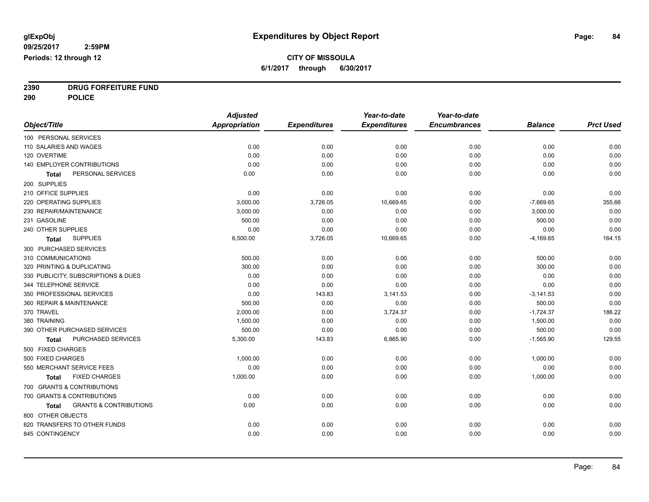**2390 DRUG FORFEITURE FUND**

**290 POLICE**

|                                                   | <b>Adjusted</b>      |                     | Year-to-date        | Year-to-date        |                |                  |
|---------------------------------------------------|----------------------|---------------------|---------------------|---------------------|----------------|------------------|
| Object/Title                                      | <b>Appropriation</b> | <b>Expenditures</b> | <b>Expenditures</b> | <b>Encumbrances</b> | <b>Balance</b> | <b>Prct Used</b> |
| 100 PERSONAL SERVICES                             |                      |                     |                     |                     |                |                  |
| 110 SALARIES AND WAGES                            | 0.00                 | 0.00                | 0.00                | 0.00                | 0.00           | 0.00             |
| 120 OVERTIME                                      | 0.00                 | 0.00                | 0.00                | 0.00                | 0.00           | 0.00             |
| 140 EMPLOYER CONTRIBUTIONS                        | 0.00                 | 0.00                | 0.00                | 0.00                | 0.00           | 0.00             |
| PERSONAL SERVICES<br>Total                        | 0.00                 | 0.00                | 0.00                | 0.00                | 0.00           | 0.00             |
| 200 SUPPLIES                                      |                      |                     |                     |                     |                |                  |
| 210 OFFICE SUPPLIES                               | 0.00                 | 0.00                | 0.00                | 0.00                | 0.00           | 0.00             |
| 220 OPERATING SUPPLIES                            | 3,000.00             | 3,726.05            | 10,669.65           | 0.00                | $-7,669.65$    | 355.66           |
| 230 REPAIR/MAINTENANCE                            | 3,000.00             | 0.00                | 0.00                | 0.00                | 3,000.00       | 0.00             |
| 231 GASOLINE                                      | 500.00               | 0.00                | 0.00                | 0.00                | 500.00         | 0.00             |
| 240 OTHER SUPPLIES                                | 0.00                 | 0.00                | 0.00                | 0.00                | 0.00           | 0.00             |
| <b>SUPPLIES</b><br>Total                          | 6,500.00             | 3,726.05            | 10,669.65           | 0.00                | $-4,169.65$    | 164.15           |
| 300 PURCHASED SERVICES                            |                      |                     |                     |                     |                |                  |
| 310 COMMUNICATIONS                                | 500.00               | 0.00                | 0.00                | 0.00                | 500.00         | 0.00             |
| 320 PRINTING & DUPLICATING                        | 300.00               | 0.00                | 0.00                | 0.00                | 300.00         | 0.00             |
| 330 PUBLICITY, SUBSCRIPTIONS & DUES               | 0.00                 | 0.00                | 0.00                | 0.00                | 0.00           | 0.00             |
| 344 TELEPHONE SERVICE                             | 0.00                 | 0.00                | 0.00                | 0.00                | 0.00           | 0.00             |
| 350 PROFESSIONAL SERVICES                         | 0.00                 | 143.83              | 3,141.53            | 0.00                | $-3,141.53$    | 0.00             |
| 360 REPAIR & MAINTENANCE                          | 500.00               | 0.00                | 0.00                | 0.00                | 500.00         | 0.00             |
| 370 TRAVEL                                        | 2,000.00             | 0.00                | 3,724.37            | 0.00                | $-1,724.37$    | 186.22           |
| 380 TRAINING                                      | 1,500.00             | 0.00                | 0.00                | 0.00                | 1,500.00       | 0.00             |
| 390 OTHER PURCHASED SERVICES                      | 500.00               | 0.00                | 0.00                | 0.00                | 500.00         | 0.00             |
| PURCHASED SERVICES<br><b>Total</b>                | 5,300.00             | 143.83              | 6,865.90            | 0.00                | $-1,565.90$    | 129.55           |
| 500 FIXED CHARGES                                 |                      |                     |                     |                     |                |                  |
| 500 FIXED CHARGES                                 | 1,000.00             | 0.00                | 0.00                | 0.00                | 1,000.00       | 0.00             |
| 550 MERCHANT SERVICE FEES                         | 0.00                 | 0.00                | 0.00                | 0.00                | 0.00           | 0.00             |
| <b>FIXED CHARGES</b><br>Total                     | 1,000.00             | 0.00                | 0.00                | 0.00                | 1,000.00       | 0.00             |
| 700 GRANTS & CONTRIBUTIONS                        |                      |                     |                     |                     |                |                  |
| 700 GRANTS & CONTRIBUTIONS                        | 0.00                 | 0.00                | 0.00                | 0.00                | 0.00           | 0.00             |
| <b>GRANTS &amp; CONTRIBUTIONS</b><br><b>Total</b> | 0.00                 | 0.00                | 0.00                | 0.00                | 0.00           | 0.00             |
| 800 OTHER OBJECTS                                 |                      |                     |                     |                     |                |                  |
| 820 TRANSFERS TO OTHER FUNDS                      | 0.00                 | 0.00                | 0.00                | 0.00                | 0.00           | 0.00             |
| 845 CONTINGENCY                                   | 0.00                 | 0.00                | 0.00                | 0.00                | 0.00           | 0.00             |
|                                                   |                      |                     |                     |                     |                |                  |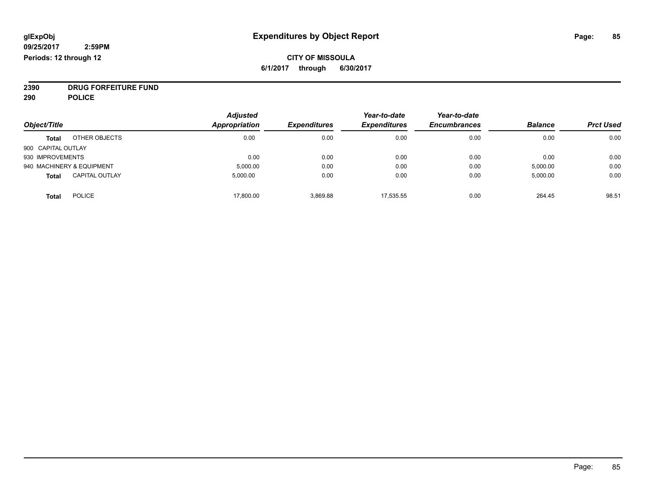### **CITY OF MISSOULA 6/1/2017 through 6/30/2017**

**2390 DRUG FORFEITURE FUND**

**290 POLICE**

|                    |                           | <b>Adjusted</b>      |                     | Year-to-date        | Year-to-date        |                |                  |
|--------------------|---------------------------|----------------------|---------------------|---------------------|---------------------|----------------|------------------|
| Object/Title       |                           | <b>Appropriation</b> | <b>Expenditures</b> | <b>Expenditures</b> | <b>Encumbrances</b> | <b>Balance</b> | <b>Prct Used</b> |
| <b>Total</b>       | OTHER OBJECTS             | 0.00                 | 0.00                | 0.00                | 0.00                | 0.00           | 0.00             |
| 900 CAPITAL OUTLAY |                           |                      |                     |                     |                     |                |                  |
| 930 IMPROVEMENTS   |                           | 0.00                 | 0.00                | 0.00                | 0.00                | 0.00           | 0.00             |
|                    | 940 MACHINERY & EQUIPMENT | 5,000.00             | 0.00                | 0.00                | 0.00                | 5,000.00       | 0.00             |
| <b>Total</b>       | <b>CAPITAL OUTLAY</b>     | 5,000.00             | 0.00                | 0.00                | 0.00                | 5,000.00       | 0.00             |
| <b>Total</b>       | <b>POLICE</b>             | 17,800.00            | 3,869.88            | 17.535.55           | 0.00                | 264.45         | 98.51            |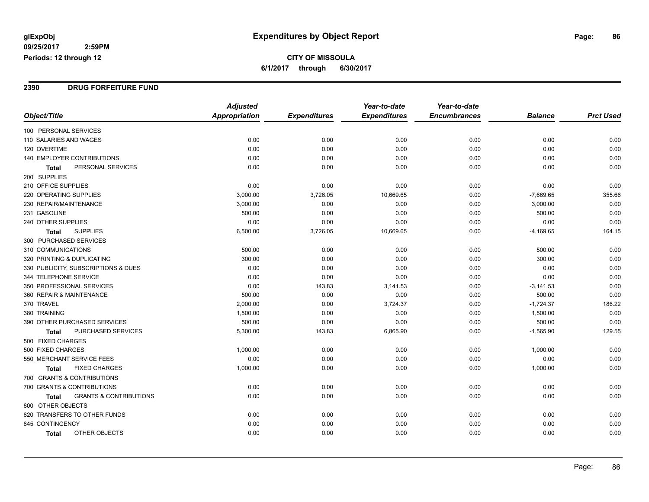**CITY OF MISSOULA 6/1/2017 through 6/30/2017**

#### **2390 DRUG FORFEITURE FUND**

|                                                   | <b>Adjusted</b> |                     | Year-to-date        | Year-to-date        |                |                  |
|---------------------------------------------------|-----------------|---------------------|---------------------|---------------------|----------------|------------------|
| Object/Title                                      | Appropriation   | <b>Expenditures</b> | <b>Expenditures</b> | <b>Encumbrances</b> | <b>Balance</b> | <b>Prct Used</b> |
| 100 PERSONAL SERVICES                             |                 |                     |                     |                     |                |                  |
| 110 SALARIES AND WAGES                            | 0.00            | 0.00                | 0.00                | 0.00                | 0.00           | 0.00             |
| 120 OVERTIME                                      | 0.00            | 0.00                | 0.00                | 0.00                | 0.00           | 0.00             |
| 140 EMPLOYER CONTRIBUTIONS                        | 0.00            | 0.00                | 0.00                | 0.00                | 0.00           | 0.00             |
| PERSONAL SERVICES<br><b>Total</b>                 | 0.00            | 0.00                | 0.00                | 0.00                | 0.00           | 0.00             |
| 200 SUPPLIES                                      |                 |                     |                     |                     |                |                  |
| 210 OFFICE SUPPLIES                               | 0.00            | 0.00                | 0.00                | 0.00                | 0.00           | 0.00             |
| 220 OPERATING SUPPLIES                            | 3,000.00        | 3,726.05            | 10,669.65           | 0.00                | $-7,669.65$    | 355.66           |
| 230 REPAIR/MAINTENANCE                            | 3,000.00        | 0.00                | 0.00                | 0.00                | 3,000.00       | 0.00             |
| 231 GASOLINE                                      | 500.00          | 0.00                | 0.00                | 0.00                | 500.00         | 0.00             |
| 240 OTHER SUPPLIES                                | 0.00            | 0.00                | 0.00                | 0.00                | 0.00           | 0.00             |
| <b>SUPPLIES</b><br><b>Total</b>                   | 6,500.00        | 3,726.05            | 10,669.65           | 0.00                | $-4,169.65$    | 164.15           |
| 300 PURCHASED SERVICES                            |                 |                     |                     |                     |                |                  |
| 310 COMMUNICATIONS                                | 500.00          | 0.00                | 0.00                | 0.00                | 500.00         | 0.00             |
| 320 PRINTING & DUPLICATING                        | 300.00          | 0.00                | 0.00                | 0.00                | 300.00         | 0.00             |
| 330 PUBLICITY, SUBSCRIPTIONS & DUES               | 0.00            | 0.00                | 0.00                | 0.00                | 0.00           | 0.00             |
| 344 TELEPHONE SERVICE                             | 0.00            | 0.00                | 0.00                | 0.00                | 0.00           | 0.00             |
| 350 PROFESSIONAL SERVICES                         | 0.00            | 143.83              | 3,141.53            | 0.00                | $-3,141.53$    | 0.00             |
| 360 REPAIR & MAINTENANCE                          | 500.00          | 0.00                | 0.00                | 0.00                | 500.00         | 0.00             |
| 370 TRAVEL                                        | 2,000.00        | 0.00                | 3,724.37            | 0.00                | $-1,724.37$    | 186.22           |
| 380 TRAINING                                      | 1,500.00        | 0.00                | 0.00                | 0.00                | 1,500.00       | 0.00             |
| 390 OTHER PURCHASED SERVICES                      | 500.00          | 0.00                | 0.00                | 0.00                | 500.00         | 0.00             |
| PURCHASED SERVICES<br><b>Total</b>                | 5,300.00        | 143.83              | 6,865.90            | 0.00                | $-1,565.90$    | 129.55           |
| 500 FIXED CHARGES                                 |                 |                     |                     |                     |                |                  |
| 500 FIXED CHARGES                                 | 1,000.00        | 0.00                | 0.00                | 0.00                | 1,000.00       | 0.00             |
| 550 MERCHANT SERVICE FEES                         | 0.00            | 0.00                | 0.00                | 0.00                | 0.00           | 0.00             |
| <b>FIXED CHARGES</b><br><b>Total</b>              | 1,000.00        | 0.00                | 0.00                | 0.00                | 1,000.00       | 0.00             |
| 700 GRANTS & CONTRIBUTIONS                        |                 |                     |                     |                     |                |                  |
| 700 GRANTS & CONTRIBUTIONS                        | 0.00            | 0.00                | 0.00                | 0.00                | 0.00           | 0.00             |
| <b>GRANTS &amp; CONTRIBUTIONS</b><br><b>Total</b> | 0.00            | 0.00                | 0.00                | 0.00                | 0.00           | 0.00             |
| 800 OTHER OBJECTS                                 |                 |                     |                     |                     |                |                  |
| 820 TRANSFERS TO OTHER FUNDS                      | 0.00            | 0.00                | 0.00                | 0.00                | 0.00           | 0.00             |
| 845 CONTINGENCY                                   | 0.00            | 0.00                | 0.00                | 0.00                | 0.00           | 0.00             |
| OTHER OBJECTS<br><b>Total</b>                     | 0.00            | 0.00                | 0.00                | 0.00                | 0.00           | 0.00             |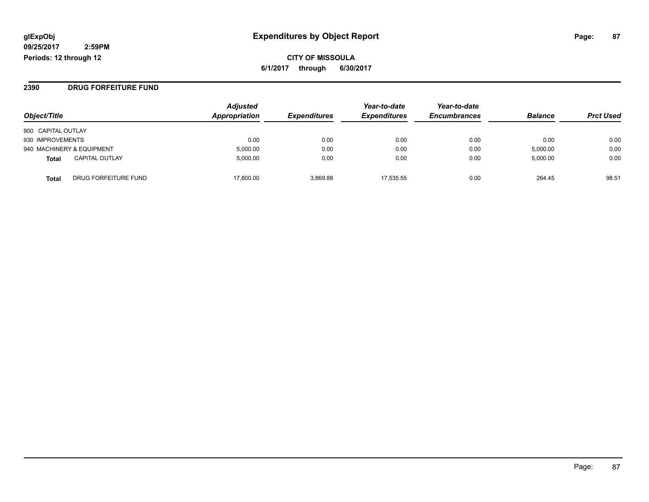**CITY OF MISSOULA 6/1/2017 through 6/30/2017**

#### **2390 DRUG FORFEITURE FUND**

| Object/Title                          | <b>Adjusted</b><br>Appropriation | <b>Expenditures</b> | Year-to-date<br><b>Expenditures</b> | Year-to-date<br><b>Encumbrances</b> | <b>Balance</b> | <b>Prct Used</b> |
|---------------------------------------|----------------------------------|---------------------|-------------------------------------|-------------------------------------|----------------|------------------|
| 900 CAPITAL OUTLAY                    |                                  |                     |                                     |                                     |                |                  |
| 930 IMPROVEMENTS                      | 0.00                             | 0.00                | 0.00                                | 0.00                                | 0.00           | 0.00             |
| 940 MACHINERY & EQUIPMENT             | 5,000.00                         | 0.00                | 0.00                                | 0.00                                | 5,000.00       | 0.00             |
| <b>CAPITAL OUTLAY</b><br><b>Total</b> | 5.000.00                         | 0.00                | 0.00                                | 0.00                                | 5,000.00       | 0.00             |
| DRUG FORFEITURE FUND<br>Total         | 17,800.00                        | 3.869.88            | 17.535.55                           | 0.00                                | 264.45         | 98.51            |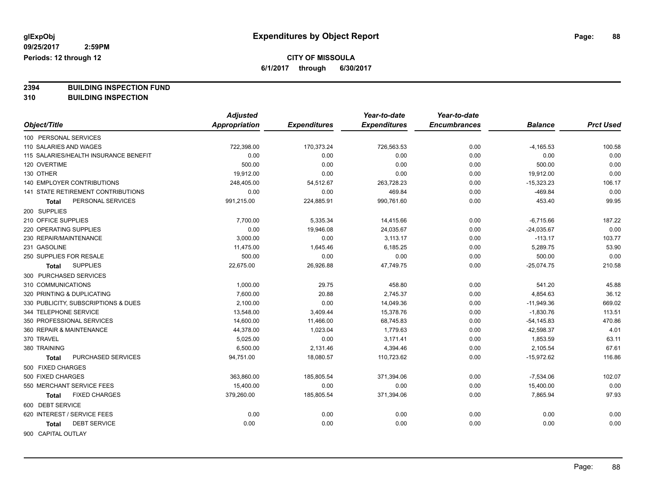**6/1/2017 through 6/30/2017**

**2394 BUILDING INSPECTION FUND**

**310 BUILDING INSPECTION**

|                                       | <b>Adjusted</b> |                     | Year-to-date        | Year-to-date        |                |                  |
|---------------------------------------|-----------------|---------------------|---------------------|---------------------|----------------|------------------|
| Object/Title                          | Appropriation   | <b>Expenditures</b> | <b>Expenditures</b> | <b>Encumbrances</b> | <b>Balance</b> | <b>Prct Used</b> |
| 100 PERSONAL SERVICES                 |                 |                     |                     |                     |                |                  |
| 110 SALARIES AND WAGES                | 722,398.00      | 170,373.24          | 726,563.53          | 0.00                | $-4,165.53$    | 100.58           |
| 115 SALARIES/HEALTH INSURANCE BENEFIT | 0.00            | 0.00                | 0.00                | 0.00                | 0.00           | 0.00             |
| 120 OVERTIME                          | 500.00          | 0.00                | 0.00                | 0.00                | 500.00         | 0.00             |
| 130 OTHER                             | 19,912.00       | 0.00                | 0.00                | 0.00                | 19,912.00      | 0.00             |
| 140 EMPLOYER CONTRIBUTIONS            | 248,405.00      | 54,512.67           | 263,728.23          | 0.00                | $-15,323.23$   | 106.17           |
| 141 STATE RETIREMENT CONTRIBUTIONS    | 0.00            | 0.00                | 469.84              | 0.00                | $-469.84$      | 0.00             |
| PERSONAL SERVICES<br>Total            | 991,215.00      | 224,885.91          | 990,761.60          | 0.00                | 453.40         | 99.95            |
| 200 SUPPLIES                          |                 |                     |                     |                     |                |                  |
| 210 OFFICE SUPPLIES                   | 7,700.00        | 5,335.34            | 14,415.66           | 0.00                | $-6,715.66$    | 187.22           |
| 220 OPERATING SUPPLIES                | 0.00            | 19,946.08           | 24,035.67           | 0.00                | $-24,035.67$   | 0.00             |
| 230 REPAIR/MAINTENANCE                | 3,000.00        | 0.00                | 3,113.17            | 0.00                | $-113.17$      | 103.77           |
| 231 GASOLINE                          | 11,475.00       | 1,645.46            | 6,185.25            | 0.00                | 5,289.75       | 53.90            |
| 250 SUPPLIES FOR RESALE               | 500.00          | 0.00                | 0.00                | 0.00                | 500.00         | 0.00             |
| <b>SUPPLIES</b><br>Total              | 22,675.00       | 26,926.88           | 47,749.75           | 0.00                | $-25,074.75$   | 210.58           |
| 300 PURCHASED SERVICES                |                 |                     |                     |                     |                |                  |
| 310 COMMUNICATIONS                    | 1,000.00        | 29.75               | 458.80              | 0.00                | 541.20         | 45.88            |
| 320 PRINTING & DUPLICATING            | 7.600.00        | 20.88               | 2,745.37            | 0.00                | 4,854.63       | 36.12            |
| 330 PUBLICITY, SUBSCRIPTIONS & DUES   | 2,100.00        | 0.00                | 14,049.36           | 0.00                | $-11,949.36$   | 669.02           |
| 344 TELEPHONE SERVICE                 | 13,548.00       | 3,409.44            | 15,378.76           | 0.00                | $-1,830.76$    | 113.51           |
| 350 PROFESSIONAL SERVICES             | 14,600.00       | 11,466.00           | 68,745.83           | 0.00                | $-54, 145.83$  | 470.86           |
| 360 REPAIR & MAINTENANCE              | 44,378.00       | 1,023.04            | 1,779.63            | 0.00                | 42,598.37      | 4.01             |
| 370 TRAVEL                            | 5,025.00        | 0.00                | 3,171.41            | 0.00                | 1,853.59       | 63.11            |
| 380 TRAINING                          | 6,500.00        | 2,131.46            | 4,394.46            | 0.00                | 2,105.54       | 67.61            |
| PURCHASED SERVICES<br><b>Total</b>    | 94,751.00       | 18,080.57           | 110,723.62          | 0.00                | $-15,972.62$   | 116.86           |
| 500 FIXED CHARGES                     |                 |                     |                     |                     |                |                  |
| 500 FIXED CHARGES                     | 363,860.00      | 185,805.54          | 371,394.06          | 0.00                | $-7,534.06$    | 102.07           |
| 550 MERCHANT SERVICE FEES             | 15,400.00       | 0.00                | 0.00                | 0.00                | 15,400.00      | 0.00             |
| <b>FIXED CHARGES</b><br><b>Total</b>  | 379,260.00      | 185,805.54          | 371,394.06          | 0.00                | 7,865.94       | 97.93            |
| 600 DEBT SERVICE                      |                 |                     |                     |                     |                |                  |
| 620 INTEREST / SERVICE FEES           | 0.00            | 0.00                | 0.00                | 0.00                | 0.00           | 0.00             |
| <b>DEBT SERVICE</b><br><b>Total</b>   | 0.00            | 0.00                | 0.00                | 0.00                | 0.00           | 0.00             |
|                                       |                 |                     |                     |                     |                |                  |

900 CAPITAL OUTLAY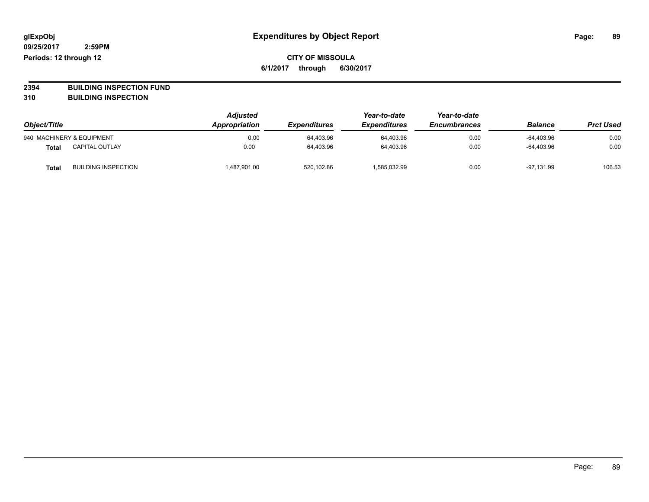**2394 BUILDING INSPECTION FUND**

**310 BUILDING INSPECTION**

| Object/Title |                            | <b>Adjusted</b><br>Appropriation | <b>Expenditures</b> | Year-to-date<br><b>Expenditures</b> | Year-to-date<br><b>Encumbrances</b> | <b>Balance</b> | <b>Prct Used</b> |
|--------------|----------------------------|----------------------------------|---------------------|-------------------------------------|-------------------------------------|----------------|------------------|
|              | 940 MACHINERY & EQUIPMENT  | 0.00                             | 64,403.96           | 64.403.96                           | 0.00                                | -64.403.96     | 0.00             |
| <b>Total</b> | <b>CAPITAL OUTLAY</b>      | 0.00                             | 64.403.96           | 64.403.96                           | 0.00                                | $-64.403.96$   | 0.00             |
| <b>Total</b> | <b>BUILDING INSPECTION</b> | 1,487,901.00                     | 520,102.86          | 1,585,032.99                        | 0.00                                | $-97,131.99$   | 106.53           |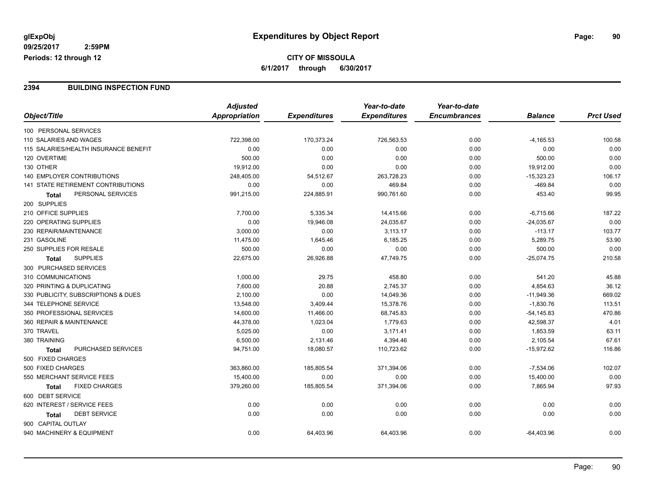#### **2394 BUILDING INSPECTION FUND**

| Object/Title<br>Appropriation<br><b>Expenditures</b><br><b>Expenditures</b><br><b>Encumbrances</b><br><b>Balance</b><br>100 PERSONAL SERVICES<br>110 SALARIES AND WAGES<br>722,398.00<br>170,373.24<br>726,563.53<br>0.00<br>$-4,165.53$<br>0.00<br>115 SALARIES/HEALTH INSURANCE BENEFIT<br>0.00<br>0.00<br>0.00<br>0.00<br>120 OVERTIME<br>500.00<br>0.00<br>0.00<br>0.00<br>500.00 | <b>Prct Used</b><br>100.58<br>0.00<br>0.00<br>0.00<br>106.17<br>0.00<br>99.95 |
|---------------------------------------------------------------------------------------------------------------------------------------------------------------------------------------------------------------------------------------------------------------------------------------------------------------------------------------------------------------------------------------|-------------------------------------------------------------------------------|
|                                                                                                                                                                                                                                                                                                                                                                                       |                                                                               |
|                                                                                                                                                                                                                                                                                                                                                                                       |                                                                               |
|                                                                                                                                                                                                                                                                                                                                                                                       |                                                                               |
|                                                                                                                                                                                                                                                                                                                                                                                       |                                                                               |
|                                                                                                                                                                                                                                                                                                                                                                                       |                                                                               |
| 130 OTHER<br>19,912.00<br>0.00<br>0.00<br>0.00<br>19,912.00                                                                                                                                                                                                                                                                                                                           |                                                                               |
| <b>140 EMPLOYER CONTRIBUTIONS</b><br>248,405.00<br>54,512.67<br>$-15,323.23$<br>263,728.23<br>0.00                                                                                                                                                                                                                                                                                    |                                                                               |
| <b>141 STATE RETIREMENT CONTRIBUTIONS</b><br>0.00<br>0.00<br>469.84<br>0.00<br>$-469.84$                                                                                                                                                                                                                                                                                              |                                                                               |
| PERSONAL SERVICES<br>991,215.00<br>224,885.91<br>990,761.60<br>0.00<br>453.40<br>Total                                                                                                                                                                                                                                                                                                |                                                                               |
| 200 SUPPLIES                                                                                                                                                                                                                                                                                                                                                                          |                                                                               |
| 210 OFFICE SUPPLIES<br>7,700.00<br>5,335.34<br>14,415.66<br>0.00<br>$-6,715.66$                                                                                                                                                                                                                                                                                                       | 187.22                                                                        |
| 220 OPERATING SUPPLIES<br>0.00<br>19,946.08<br>24,035.67<br>0.00<br>$-24,035.67$                                                                                                                                                                                                                                                                                                      | 0.00                                                                          |
| 230 REPAIR/MAINTENANCE<br>3,000.00<br>0.00<br>3,113.17<br>$-113.17$<br>0.00                                                                                                                                                                                                                                                                                                           | 103.77                                                                        |
| 231 GASOLINE<br>11,475.00<br>1,645.46<br>6,185.25<br>5,289.75<br>0.00                                                                                                                                                                                                                                                                                                                 | 53.90                                                                         |
| 250 SUPPLIES FOR RESALE<br>500.00<br>500.00<br>0.00<br>0.00<br>0.00                                                                                                                                                                                                                                                                                                                   | 0.00                                                                          |
| <b>SUPPLIES</b><br>22,675.00<br>26,926.88<br>47,749.75<br>0.00<br>$-25,074.75$<br><b>Total</b>                                                                                                                                                                                                                                                                                        | 210.58                                                                        |
| 300 PURCHASED SERVICES                                                                                                                                                                                                                                                                                                                                                                |                                                                               |
| 310 COMMUNICATIONS<br>541.20<br>1,000.00<br>29.75<br>458.80<br>0.00                                                                                                                                                                                                                                                                                                                   | 45.88                                                                         |
| 320 PRINTING & DUPLICATING<br>7,600.00<br>20.88<br>2,745.37<br>4,854.63<br>0.00                                                                                                                                                                                                                                                                                                       | 36.12                                                                         |
| 330 PUBLICITY, SUBSCRIPTIONS & DUES<br>2,100.00<br>0.00<br>14,049.36<br>$-11,949.36$<br>0.00                                                                                                                                                                                                                                                                                          | 669.02                                                                        |
| 344 TELEPHONE SERVICE<br>13,548.00<br>3,409.44<br>15,378.76<br>0.00<br>$-1,830.76$                                                                                                                                                                                                                                                                                                    | 113.51                                                                        |
| 350 PROFESSIONAL SERVICES<br>14,600.00<br>11,466.00<br>68,745.83<br>0.00<br>$-54, 145.83$                                                                                                                                                                                                                                                                                             | 470.86                                                                        |
| 360 REPAIR & MAINTENANCE<br>1,779.63<br>44,378.00<br>1,023.04<br>0.00<br>42,598.37                                                                                                                                                                                                                                                                                                    | 4.01                                                                          |
| 370 TRAVEL<br>5,025.00<br>0.00<br>3,171.41<br>0.00<br>1,853.59                                                                                                                                                                                                                                                                                                                        | 63.11                                                                         |
| 380 TRAINING<br>6,500.00<br>2,131.46<br>4,394.46<br>0.00<br>2,105.54                                                                                                                                                                                                                                                                                                                  | 67.61                                                                         |
| <b>PURCHASED SERVICES</b><br>94,751.00<br>18,080.57<br>110,723.62<br>0.00<br>$-15,972.62$<br><b>Total</b>                                                                                                                                                                                                                                                                             | 116.86                                                                        |
| 500 FIXED CHARGES                                                                                                                                                                                                                                                                                                                                                                     |                                                                               |
| 500 FIXED CHARGES<br>363,860.00<br>185,805.54<br>371,394.06<br>0.00<br>$-7,534.06$                                                                                                                                                                                                                                                                                                    | 102.07                                                                        |
| 550 MERCHANT SERVICE FEES<br>15,400.00<br>0.00<br>0.00<br>15,400.00<br>0.00                                                                                                                                                                                                                                                                                                           | 0.00                                                                          |
| <b>FIXED CHARGES</b><br>379,260.00<br>185,805.54<br>371,394.06<br>0.00<br>7,865.94<br><b>Total</b>                                                                                                                                                                                                                                                                                    | 97.93                                                                         |
| 600 DEBT SERVICE                                                                                                                                                                                                                                                                                                                                                                      |                                                                               |
| 620 INTEREST / SERVICE FEES<br>0.00<br>0.00<br>0.00<br>0.00<br>0.00                                                                                                                                                                                                                                                                                                                   | 0.00                                                                          |
| <b>DEBT SERVICE</b><br>0.00<br>0.00<br>0.00<br>0.00<br>0.00<br>Total                                                                                                                                                                                                                                                                                                                  | 0.00                                                                          |
| 900 CAPITAL OUTLAY                                                                                                                                                                                                                                                                                                                                                                    |                                                                               |
| 940 MACHINERY & EQUIPMENT<br>0.00<br>64,403.96<br>64,403.96<br>0.00<br>$-64,403.96$                                                                                                                                                                                                                                                                                                   | 0.00                                                                          |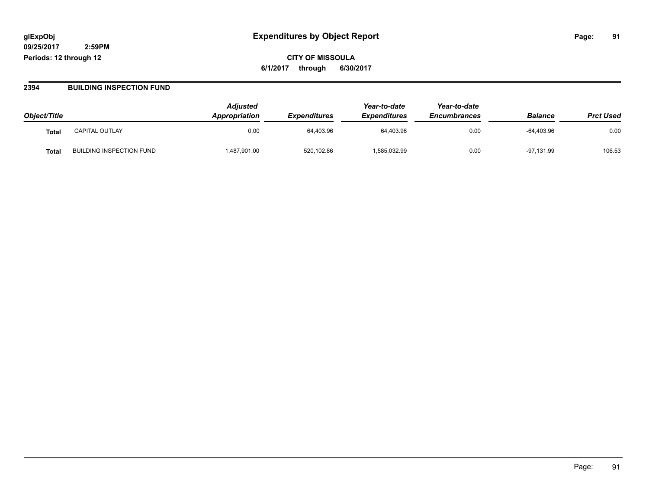**CITY OF MISSOULA 6/1/2017 through 6/30/2017**

#### **2394 BUILDING INSPECTION FUND**

| Object/Title |                                 | <b>Adjusted</b><br>Appropriation | <i><b>Expenditures</b></i> | Year-to-date<br><b>Expenditures</b> | Year-to-date<br><b>Encumbrances</b> | <b>Balance</b> | <b>Prct Used</b> |
|--------------|---------------------------------|----------------------------------|----------------------------|-------------------------------------|-------------------------------------|----------------|------------------|
| Tota.        | <b>CAPITAL OUTLAY</b>           | 0.00                             | 64,403.96                  | 64,403.96                           | 0.00                                | $-64.403.96$   | 0.00             |
| Tota.        | <b>BUILDING INSPECTION FUND</b> | 487,901.00                       | 520,102.86                 | 585,032.99                          | 0.00                                | $-97,131.99$   | 106.53           |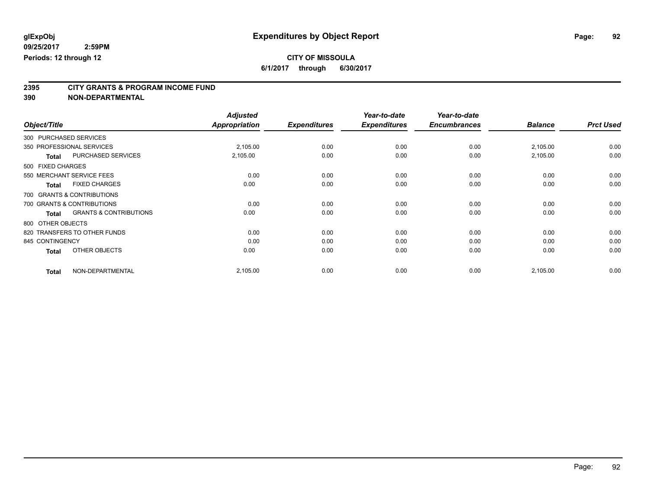**6/1/2017 through 6/30/2017**

# **2395 CITY GRANTS & PROGRAM INCOME FUND**

|                   |                                   | <b>Adjusted</b>      |                     | Year-to-date        | Year-to-date        |                |                  |
|-------------------|-----------------------------------|----------------------|---------------------|---------------------|---------------------|----------------|------------------|
| Object/Title      |                                   | <b>Appropriation</b> | <b>Expenditures</b> | <b>Expenditures</b> | <b>Encumbrances</b> | <b>Balance</b> | <b>Prct Used</b> |
|                   | 300 PURCHASED SERVICES            |                      |                     |                     |                     |                |                  |
|                   | 350 PROFESSIONAL SERVICES         | 2,105.00             | 0.00                | 0.00                | 0.00                | 2,105.00       | 0.00             |
| <b>Total</b>      | PURCHASED SERVICES                | 2,105.00             | 0.00                | 0.00                | 0.00                | 2,105.00       | 0.00             |
| 500 FIXED CHARGES |                                   |                      |                     |                     |                     |                |                  |
|                   | 550 MERCHANT SERVICE FEES         | 0.00                 | 0.00                | 0.00                | 0.00                | 0.00           | 0.00             |
| Total             | <b>FIXED CHARGES</b>              | 0.00                 | 0.00                | 0.00                | 0.00                | 0.00           | 0.00             |
|                   | 700 GRANTS & CONTRIBUTIONS        |                      |                     |                     |                     |                |                  |
|                   | 700 GRANTS & CONTRIBUTIONS        | 0.00                 | 0.00                | 0.00                | 0.00                | 0.00           | 0.00             |
| <b>Total</b>      | <b>GRANTS &amp; CONTRIBUTIONS</b> | 0.00                 | 0.00                | 0.00                | 0.00                | 0.00           | 0.00             |
| 800 OTHER OBJECTS |                                   |                      |                     |                     |                     |                |                  |
|                   | 820 TRANSFERS TO OTHER FUNDS      | 0.00                 | 0.00                | 0.00                | 0.00                | 0.00           | 0.00             |
| 845 CONTINGENCY   |                                   | 0.00                 | 0.00                | 0.00                | 0.00                | 0.00           | 0.00             |
| <b>Total</b>      | OTHER OBJECTS                     | 0.00                 | 0.00                | 0.00                | 0.00                | 0.00           | 0.00             |
| <b>Total</b>      | NON-DEPARTMENTAL                  | 2,105.00             | 0.00                | 0.00                | 0.00                | 2,105.00       | 0.00             |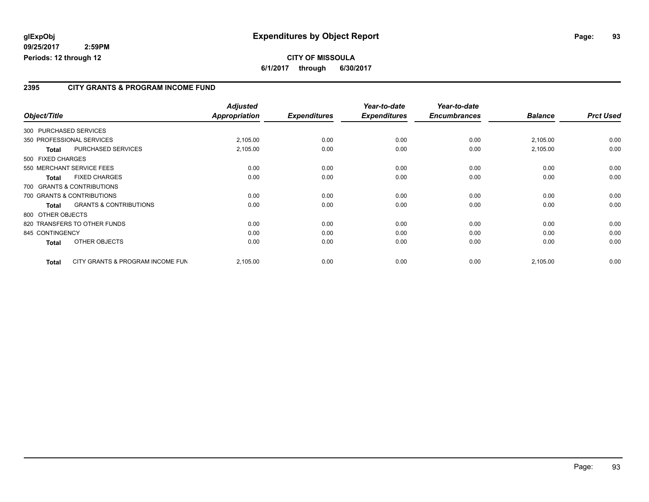#### **2395 CITY GRANTS & PROGRAM INCOME FUND**

|                   |                                   | <b>Adjusted</b>      |                     | Year-to-date        | Year-to-date        |                |                  |
|-------------------|-----------------------------------|----------------------|---------------------|---------------------|---------------------|----------------|------------------|
| Object/Title      |                                   | <b>Appropriation</b> | <b>Expenditures</b> | <b>Expenditures</b> | <b>Encumbrances</b> | <b>Balance</b> | <b>Prct Used</b> |
|                   | 300 PURCHASED SERVICES            |                      |                     |                     |                     |                |                  |
|                   | 350 PROFESSIONAL SERVICES         | 2,105.00             | 0.00                | 0.00                | 0.00                | 2,105.00       | 0.00             |
| <b>Total</b>      | <b>PURCHASED SERVICES</b>         | 2,105.00             | 0.00                | 0.00                | 0.00                | 2,105.00       | 0.00             |
| 500 FIXED CHARGES |                                   |                      |                     |                     |                     |                |                  |
|                   | 550 MERCHANT SERVICE FEES         | 0.00                 | 0.00                | 0.00                | 0.00                | 0.00           | 0.00             |
| Total             | <b>FIXED CHARGES</b>              | 0.00                 | 0.00                | 0.00                | 0.00                | 0.00           | 0.00             |
|                   | 700 GRANTS & CONTRIBUTIONS        |                      |                     |                     |                     |                |                  |
|                   | 700 GRANTS & CONTRIBUTIONS        | 0.00                 | 0.00                | 0.00                | 0.00                | 0.00           | 0.00             |
| <b>Total</b>      | <b>GRANTS &amp; CONTRIBUTIONS</b> | 0.00                 | 0.00                | 0.00                | 0.00                | 0.00           | 0.00             |
|                   | 800 OTHER OBJECTS                 |                      |                     |                     |                     |                |                  |
|                   | 820 TRANSFERS TO OTHER FUNDS      | 0.00                 | 0.00                | 0.00                | 0.00                | 0.00           | 0.00             |
| 845 CONTINGENCY   |                                   | 0.00                 | 0.00                | 0.00                | 0.00                | 0.00           | 0.00             |
| Total             | OTHER OBJECTS                     | 0.00                 | 0.00                | 0.00                | 0.00                | 0.00           | 0.00             |
| <b>Total</b>      | CITY GRANTS & PROGRAM INCOME FUN  | 2,105.00             | 0.00                | 0.00                | 0.00                | 2,105.00       | 0.00             |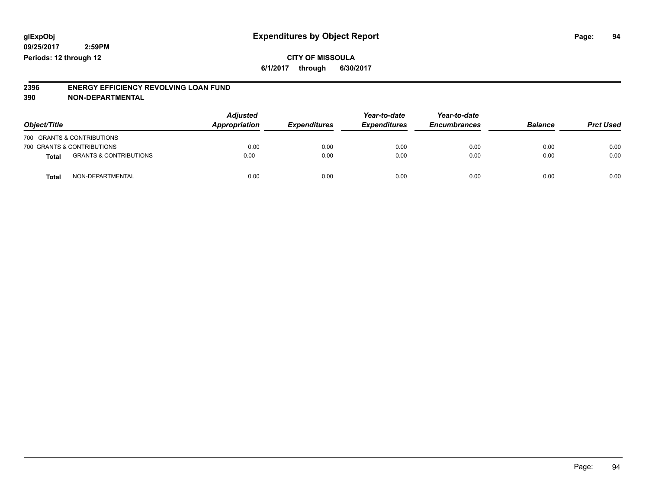**CITY OF MISSOULA 6/1/2017 through 6/30/2017**

# **2396 ENERGY EFFICIENCY REVOLVING LOAN FUND**

| Object/Title               |                                   | <b>Adjusted</b><br>Appropriation | <b>Expenditures</b> | Year-to-date<br><b>Expenditures</b> | Year-to-date<br><b>Encumbrances</b> | <b>Balance</b> | <b>Prct Used</b> |
|----------------------------|-----------------------------------|----------------------------------|---------------------|-------------------------------------|-------------------------------------|----------------|------------------|
| 700 GRANTS & CONTRIBUTIONS |                                   |                                  |                     |                                     |                                     |                |                  |
| 700 GRANTS & CONTRIBUTIONS |                                   | 0.00                             | 0.00                | 0.00                                | 0.00                                | 0.00           | 0.00             |
| <b>Total</b>               | <b>GRANTS &amp; CONTRIBUTIONS</b> | 0.00                             | 0.00                | 0.00                                | 0.00                                | 0.00           | 0.00             |
| <b>Total</b>               | NON-DEPARTMENTAL                  | 0.00                             | 0.00                | 0.00                                | 0.00                                | 0.00           | 0.00             |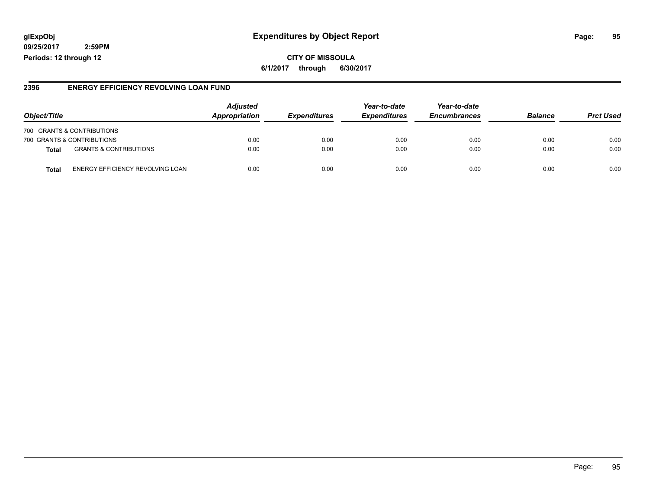### **glExpObj Expenditures by Object Report Page: 95**

**09/25/2017 2:59PM Periods: 12 through 12**

#### **2396 ENERGY EFFICIENCY REVOLVING LOAN FUND**

| Object/Title |                                   | <b>Adjusted</b><br>Appropriation | <i><b>Expenditures</b></i> | Year-to-date<br><b>Expenditures</b> | Year-to-date<br><b>Encumbrances</b> | <b>Balance</b> | <b>Prct Used</b> |
|--------------|-----------------------------------|----------------------------------|----------------------------|-------------------------------------|-------------------------------------|----------------|------------------|
|              | 700 GRANTS & CONTRIBUTIONS        |                                  |                            |                                     |                                     |                |                  |
|              | 700 GRANTS & CONTRIBUTIONS        | 0.00                             | 0.00                       | 0.00                                | 0.00                                | 0.00           | 0.00             |
| Total        | <b>GRANTS &amp; CONTRIBUTIONS</b> | 0.00                             | 0.00                       | 0.00                                | 0.00                                | 0.00           | 0.00             |
| Tota         | ENERGY EFFICIENCY REVOLVING LOAN  | 0.00                             | 0.00                       | 0.00                                | 0.00                                | 0.00           | 0.00             |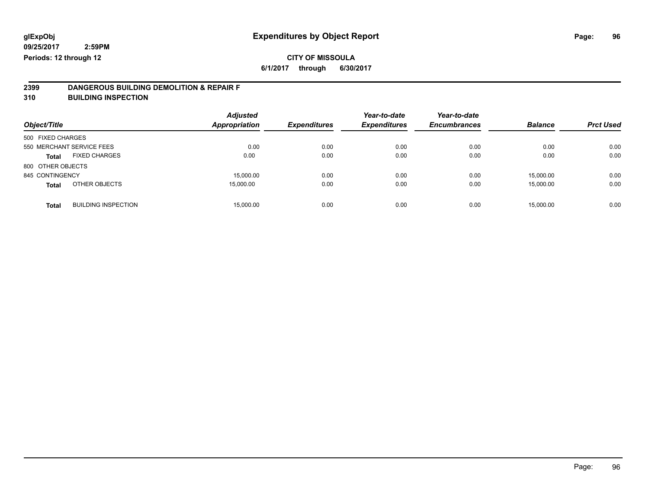**6/1/2017 through 6/30/2017**

# **2399 DANGEROUS BUILDING DEMOLITION & REPAIR F**

**310 BUILDING INSPECTION**

| Object/Title      |                            | <b>Adjusted</b><br><b>Appropriation</b> | <b>Expenditures</b> | Year-to-date<br><b>Expenditures</b> | Year-to-date<br><b>Encumbrances</b> | <b>Balance</b> | <b>Prct Used</b> |
|-------------------|----------------------------|-----------------------------------------|---------------------|-------------------------------------|-------------------------------------|----------------|------------------|
| 500 FIXED CHARGES |                            |                                         |                     |                                     |                                     |                |                  |
|                   | 550 MERCHANT SERVICE FEES  | 0.00                                    | 0.00                | 0.00                                | 0.00                                | 0.00           | 0.00             |
| <b>Total</b>      | <b>FIXED CHARGES</b>       | 0.00                                    | 0.00                | 0.00                                | 0.00                                | 0.00           | 0.00             |
| 800 OTHER OBJECTS |                            |                                         |                     |                                     |                                     |                |                  |
| 845 CONTINGENCY   |                            | 15,000.00                               | 0.00                | 0.00                                | 0.00                                | 15,000.00      | 0.00             |
| <b>Total</b>      | OTHER OBJECTS              | 15,000.00                               | 0.00                | 0.00                                | 0.00                                | 15.000.00      | 0.00             |
| <b>Total</b>      | <b>BUILDING INSPECTION</b> | 15,000.00                               | 0.00                | 0.00                                | 0.00                                | 15,000.00      | 0.00             |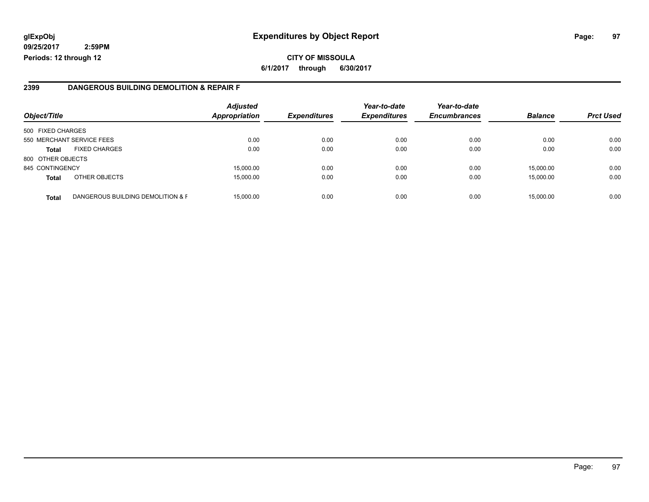### **glExpObj Expenditures by Object Report Page: 97**

**09/25/2017 2:59PM Periods: 12 through 12**

**6/1/2017 through 6/30/2017**

#### **2399 DANGEROUS BUILDING DEMOLITION & REPAIR F**

| Object/Title      |                                   | <b>Adjusted</b><br><b>Appropriation</b> | <b>Expenditures</b> | Year-to-date<br><b>Expenditures</b> | Year-to-date<br><b>Encumbrances</b> | <b>Balance</b> | <b>Prct Used</b> |
|-------------------|-----------------------------------|-----------------------------------------|---------------------|-------------------------------------|-------------------------------------|----------------|------------------|
| 500 FIXED CHARGES |                                   |                                         |                     |                                     |                                     |                |                  |
|                   | 550 MERCHANT SERVICE FEES         | 0.00                                    | 0.00                | 0.00                                | 0.00                                | 0.00           | 0.00             |
| <b>Total</b>      | <b>FIXED CHARGES</b>              | 0.00                                    | 0.00                | 0.00                                | 0.00                                | 0.00           | 0.00             |
| 800 OTHER OBJECTS |                                   |                                         |                     |                                     |                                     |                |                  |
| 845 CONTINGENCY   |                                   | 15,000.00                               | 0.00                | 0.00                                | 0.00                                | 15.000.00      | 0.00             |
| <b>Total</b>      | OTHER OBJECTS                     | 15,000.00                               | 0.00                | 0.00                                | 0.00                                | 15,000.00      | 0.00             |
| <b>Total</b>      | DANGEROUS BUILDING DEMOLITION & F | 15,000.00                               | 0.00                | 0.00                                | 0.00                                | 15,000.00      | 0.00             |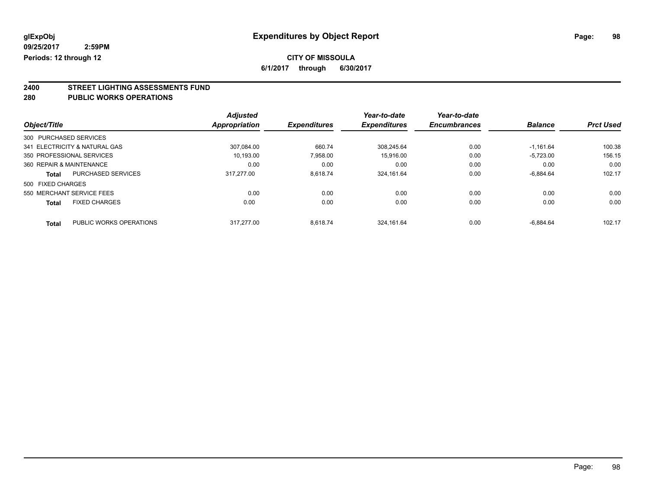**6/1/2017 through 6/30/2017**

# **2400 STREET LIGHTING ASSESSMENTS FUND**

#### **280 PUBLIC WORKS OPERATIONS**

| Object/Title             |                               | <b>Adjusted</b><br>Appropriation | <b>Expenditures</b> | Year-to-date<br><b>Expenditures</b> | Year-to-date<br><b>Encumbrances</b> | <b>Balance</b> | <b>Prct Used</b> |
|--------------------------|-------------------------------|----------------------------------|---------------------|-------------------------------------|-------------------------------------|----------------|------------------|
|                          |                               |                                  |                     |                                     |                                     |                |                  |
| 300 PURCHASED SERVICES   |                               |                                  |                     |                                     |                                     |                |                  |
|                          | 341 ELECTRICITY & NATURAL GAS | 307.084.00                       | 660.74              | 308.245.64                          | 0.00                                | $-1.161.64$    | 100.38           |
|                          | 350 PROFESSIONAL SERVICES     | 10.193.00                        | 7,958.00            | 15.916.00                           | 0.00                                | $-5.723.00$    | 156.15           |
| 360 REPAIR & MAINTENANCE |                               | 0.00                             | 0.00                | 0.00                                | 0.00                                | 0.00           | 0.00             |
| Total                    | PURCHASED SERVICES            | 317.277.00                       | 8.618.74            | 324.161.64                          | 0.00                                | $-6.884.64$    | 102.17           |
| 500 FIXED CHARGES        |                               |                                  |                     |                                     |                                     |                |                  |
|                          | 550 MERCHANT SERVICE FEES     | 0.00                             | 0.00                | 0.00                                | 0.00                                | 0.00           | 0.00             |
| <b>Total</b>             | <b>FIXED CHARGES</b>          | 0.00                             | 0.00                | 0.00                                | 0.00                                | 0.00           | 0.00             |
| <b>Total</b>             | PUBLIC WORKS OPERATIONS       | 317.277.00                       | 8.618.74            | 324.161.64                          | 0.00                                | $-6.884.64$    | 102.17           |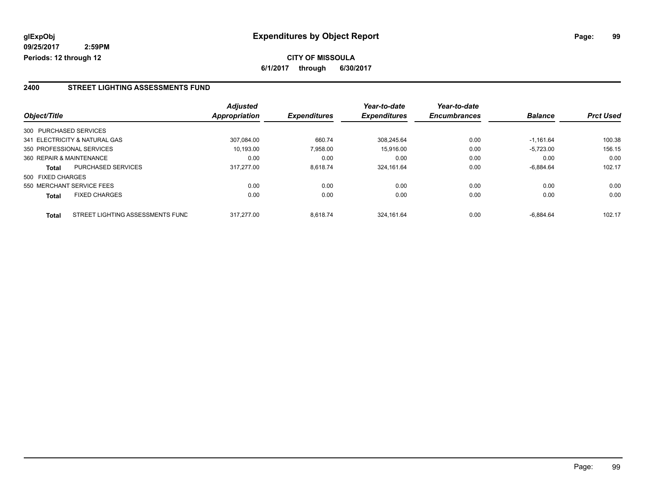**CITY OF MISSOULA 6/1/2017 through 6/30/2017**

#### **2400 STREET LIGHTING ASSESSMENTS FUND**

|                          |                                  | <b>Adjusted</b>      |                     | Year-to-date        | Year-to-date        |                |                  |
|--------------------------|----------------------------------|----------------------|---------------------|---------------------|---------------------|----------------|------------------|
| Object/Title             |                                  | <b>Appropriation</b> | <b>Expenditures</b> | <b>Expenditures</b> | <b>Encumbrances</b> | <b>Balance</b> | <b>Prct Used</b> |
| 300 PURCHASED SERVICES   |                                  |                      |                     |                     |                     |                |                  |
|                          | 341 ELECTRICITY & NATURAL GAS    | 307.084.00           | 660.74              | 308.245.64          | 0.00                | $-1.161.64$    | 100.38           |
|                          | 350 PROFESSIONAL SERVICES        | 10,193.00            | 7,958.00            | 15.916.00           | 0.00                | $-5,723.00$    | 156.15           |
| 360 REPAIR & MAINTENANCE |                                  | 0.00                 | 0.00                | 0.00                | 0.00                | 0.00           | 0.00             |
| <b>Total</b>             | <b>PURCHASED SERVICES</b>        | 317.277.00           | 8.618.74            | 324,161.64          | 0.00                | $-6.884.64$    | 102.17           |
| 500 FIXED CHARGES        |                                  |                      |                     |                     |                     |                |                  |
|                          | 550 MERCHANT SERVICE FEES        | 0.00                 | 0.00                | 0.00                | 0.00                | 0.00           | 0.00             |
| <b>Total</b>             | <b>FIXED CHARGES</b>             | 0.00                 | 0.00                | 0.00                | 0.00                | 0.00           | 0.00             |
| <b>Total</b>             | STREET LIGHTING ASSESSMENTS FUND | 317.277.00           | 8.618.74            | 324.161.64          | 0.00                | $-6.884.64$    | 102.17           |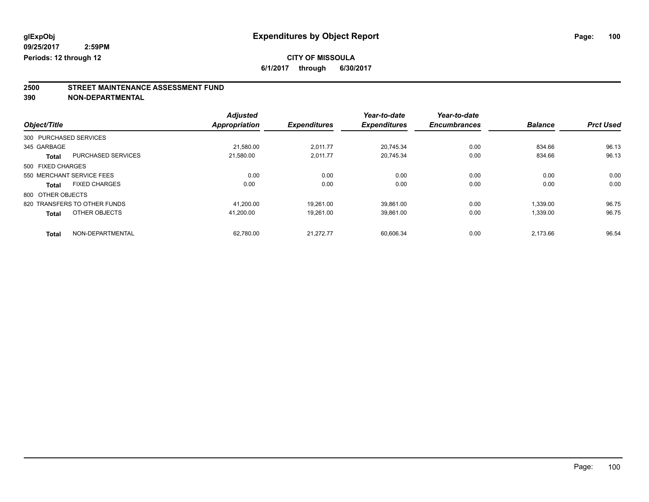**6/1/2017 through 6/30/2017**

# **2500 STREET MAINTENANCE ASSESSMENT FUND**

|                        |                              | <b>Adjusted</b>      |                     | Year-to-date        | Year-to-date        |                |                  |
|------------------------|------------------------------|----------------------|---------------------|---------------------|---------------------|----------------|------------------|
| Object/Title           |                              | <b>Appropriation</b> | <b>Expenditures</b> | <b>Expenditures</b> | <b>Encumbrances</b> | <b>Balance</b> | <b>Prct Used</b> |
| 300 PURCHASED SERVICES |                              |                      |                     |                     |                     |                |                  |
| 345 GARBAGE            |                              | 21,580.00            | 2.011.77            | 20.745.34           | 0.00                | 834.66         | 96.13            |
| <b>Total</b>           | <b>PURCHASED SERVICES</b>    | 21.580.00            | 2.011.77            | 20.745.34           | 0.00                | 834.66         | 96.13            |
| 500 FIXED CHARGES      |                              |                      |                     |                     |                     |                |                  |
|                        | 550 MERCHANT SERVICE FEES    | 0.00                 | 0.00                | 0.00                | 0.00                | 0.00           | 0.00             |
| <b>Total</b>           | <b>FIXED CHARGES</b>         | 0.00                 | 0.00                | 0.00                | 0.00                | 0.00           | 0.00             |
| 800 OTHER OBJECTS      |                              |                      |                     |                     |                     |                |                  |
|                        | 820 TRANSFERS TO OTHER FUNDS | 41.200.00            | 19.261.00           | 39.861.00           | 0.00                | 1.339.00       | 96.75            |
| <b>Total</b>           | OTHER OBJECTS                | 41.200.00            | 19.261.00           | 39.861.00           | 0.00                | 1,339.00       | 96.75            |
| <b>Total</b>           | NON-DEPARTMENTAL             | 62.780.00            | 21.272.77           | 60.606.34           | 0.00                | 2.173.66       | 96.54            |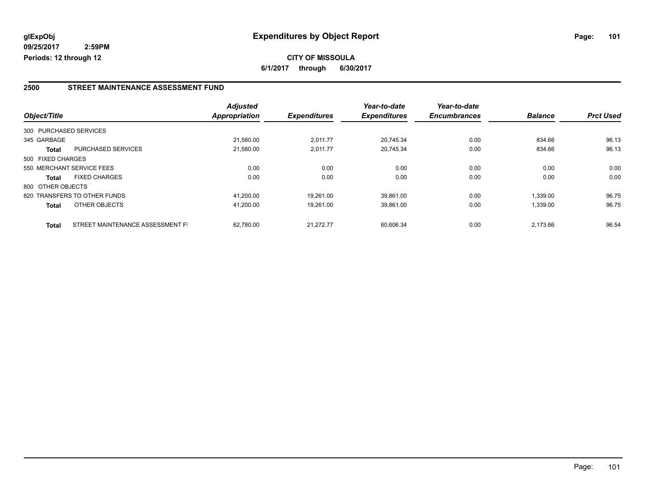#### **2500 STREET MAINTENANCE ASSESSMENT FUND**

|                   |                                  | <b>Adjusted</b> |                     | Year-to-date        | Year-to-date        |                |                  |
|-------------------|----------------------------------|-----------------|---------------------|---------------------|---------------------|----------------|------------------|
| Object/Title      |                                  | Appropriation   | <b>Expenditures</b> | <b>Expenditures</b> | <b>Encumbrances</b> | <b>Balance</b> | <b>Prct Used</b> |
|                   | 300 PURCHASED SERVICES           |                 |                     |                     |                     |                |                  |
| 345 GARBAGE       |                                  | 21.580.00       | 2,011.77            | 20.745.34           | 0.00                | 834.66         | 96.13            |
| <b>Total</b>      | <b>PURCHASED SERVICES</b>        | 21,580.00       | 2,011.77            | 20,745.34           | 0.00                | 834.66         | 96.13            |
| 500 FIXED CHARGES |                                  |                 |                     |                     |                     |                |                  |
|                   | 550 MERCHANT SERVICE FEES        | 0.00            | 0.00                | 0.00                | 0.00                | 0.00           | 0.00             |
| Total             | <b>FIXED CHARGES</b>             | 0.00            | 0.00                | 0.00                | 0.00                | 0.00           | 0.00             |
| 800 OTHER OBJECTS |                                  |                 |                     |                     |                     |                |                  |
|                   | 820 TRANSFERS TO OTHER FUNDS     | 41.200.00       | 19.261.00           | 39.861.00           | 0.00                | 1.339.00       | 96.75            |
| <b>Total</b>      | OTHER OBJECTS                    | 41,200.00       | 19,261.00           | 39,861.00           | 0.00                | 1,339.00       | 96.75            |
| <b>Total</b>      | STREET MAINTENANCE ASSESSMENT FI | 62.780.00       | 21.272.77           | 60.606.34           | 0.00                | 2,173.66       | 96.54            |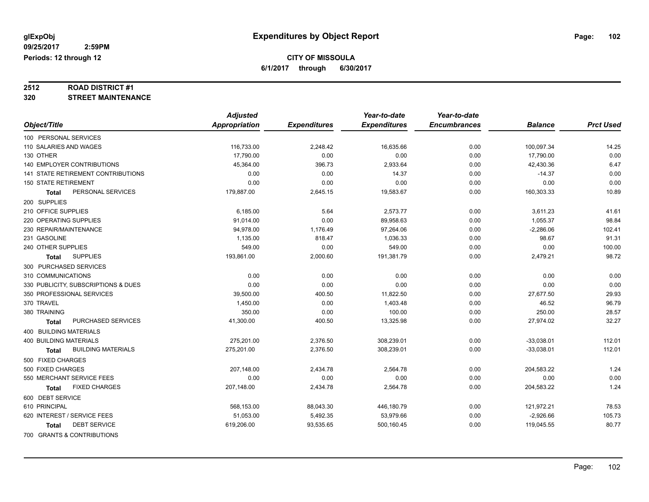# **2512 ROAD DISTRICT #1**

#### **320 STREET MAINTENANCE**

|                                      | <b>Adjusted</b>      |                     | Year-to-date        | Year-to-date        |                |                  |
|--------------------------------------|----------------------|---------------------|---------------------|---------------------|----------------|------------------|
| Object/Title                         | <b>Appropriation</b> | <b>Expenditures</b> | <b>Expenditures</b> | <b>Encumbrances</b> | <b>Balance</b> | <b>Prct Used</b> |
| 100 PERSONAL SERVICES                |                      |                     |                     |                     |                |                  |
| 110 SALARIES AND WAGES               | 116,733.00           | 2,248.42            | 16,635.66           | 0.00                | 100,097.34     | 14.25            |
| 130 OTHER                            | 17,790.00            | 0.00                | 0.00                | 0.00                | 17,790.00      | 0.00             |
| 140 EMPLOYER CONTRIBUTIONS           | 45,364.00            | 396.73              | 2,933.64            | 0.00                | 42,430.36      | 6.47             |
| 141 STATE RETIREMENT CONTRIBUTIONS   | 0.00                 | 0.00                | 14.37               | 0.00                | $-14.37$       | 0.00             |
| <b>150 STATE RETIREMENT</b>          | 0.00                 | 0.00                | 0.00                | 0.00                | 0.00           | 0.00             |
| PERSONAL SERVICES<br><b>Total</b>    | 179,887.00           | 2,645.15            | 19,583.67           | 0.00                | 160,303.33     | 10.89            |
| 200 SUPPLIES                         |                      |                     |                     |                     |                |                  |
| 210 OFFICE SUPPLIES                  | 6,185.00             | 5.64                | 2,573.77            | 0.00                | 3,611.23       | 41.61            |
| 220 OPERATING SUPPLIES               | 91,014.00            | 0.00                | 89,958.63           | 0.00                | 1,055.37       | 98.84            |
| 230 REPAIR/MAINTENANCE               | 94,978.00            | 1,176.49            | 97,264.06           | 0.00                | $-2,286.06$    | 102.41           |
| 231 GASOLINE                         | 1,135.00             | 818.47              | 1,036.33            | 0.00                | 98.67          | 91.31            |
| 240 OTHER SUPPLIES                   | 549.00               | 0.00                | 549.00              | 0.00                | 0.00           | 100.00           |
| <b>SUPPLIES</b><br><b>Total</b>      | 193,861.00           | 2,000.60            | 191,381.79          | 0.00                | 2,479.21       | 98.72            |
| 300 PURCHASED SERVICES               |                      |                     |                     |                     |                |                  |
| 310 COMMUNICATIONS                   | 0.00                 | 0.00                | 0.00                | 0.00                | 0.00           | 0.00             |
| 330 PUBLICITY, SUBSCRIPTIONS & DUES  | 0.00                 | 0.00                | 0.00                | 0.00                | 0.00           | 0.00             |
| 350 PROFESSIONAL SERVICES            | 39,500.00            | 400.50              | 11,822.50           | 0.00                | 27,677.50      | 29.93            |
| 370 TRAVEL                           | 1,450.00             | 0.00                | 1,403.48            | 0.00                | 46.52          | 96.79            |
| 380 TRAINING                         | 350.00               | 0.00                | 100.00              | 0.00                | 250.00         | 28.57            |
| PURCHASED SERVICES<br><b>Total</b>   | 41,300.00            | 400.50              | 13,325.98           | 0.00                | 27,974.02      | 32.27            |
| <b>400 BUILDING MATERIALS</b>        |                      |                     |                     |                     |                |                  |
| <b>400 BUILDING MATERIALS</b>        | 275,201.00           | 2,376.50            | 308,239.01          | 0.00                | $-33,038.01$   | 112.01           |
| <b>BUILDING MATERIALS</b><br>Total   | 275,201.00           | 2,376.50            | 308,239.01          | 0.00                | $-33,038.01$   | 112.01           |
| 500 FIXED CHARGES                    |                      |                     |                     |                     |                |                  |
| 500 FIXED CHARGES                    | 207,148.00           | 2,434.78            | 2,564.78            | 0.00                | 204,583.22     | 1.24             |
| 550 MERCHANT SERVICE FEES            | 0.00                 | 0.00                | 0.00                | 0.00                | 0.00           | 0.00             |
| <b>FIXED CHARGES</b><br><b>Total</b> | 207,148.00           | 2,434.78            | 2,564.78            | 0.00                | 204,583.22     | 1.24             |
| 600 DEBT SERVICE                     |                      |                     |                     |                     |                |                  |
| 610 PRINCIPAL                        | 568,153.00           | 88,043.30           | 446,180.79          | 0.00                | 121,972.21     | 78.53            |
| 620 INTEREST / SERVICE FEES          | 51,053.00            | 5,492.35            | 53,979.66           | 0.00                | $-2,926.66$    | 105.73           |
| <b>DEBT SERVICE</b><br><b>Total</b>  | 619,206.00           | 93,535.65           | 500,160.45          | 0.00                | 119,045.55     | 80.77            |
| 700 GRANTS & CONTRIBUTIONS           |                      |                     |                     |                     |                |                  |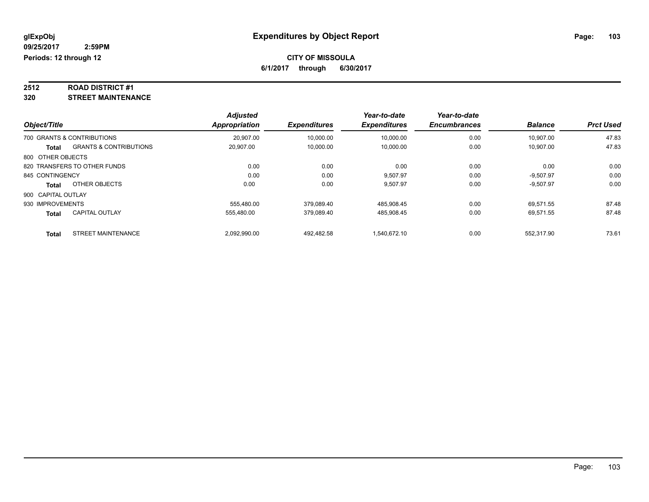# **2512 ROAD DISTRICT #1**

**320 STREET MAINTENANCE**

|                    |                                   | <b>Adjusted</b>      |                     | Year-to-date        | Year-to-date        |                |                  |
|--------------------|-----------------------------------|----------------------|---------------------|---------------------|---------------------|----------------|------------------|
| Object/Title       |                                   | <b>Appropriation</b> | <b>Expenditures</b> | <b>Expenditures</b> | <b>Encumbrances</b> | <b>Balance</b> | <b>Prct Used</b> |
|                    | 700 GRANTS & CONTRIBUTIONS        | 20.907.00            | 10,000.00           | 10.000.00           | 0.00                | 10.907.00      | 47.83            |
| Total              | <b>GRANTS &amp; CONTRIBUTIONS</b> | 20,907.00            | 10,000.00           | 10,000.00           | 0.00                | 10,907.00      | 47.83            |
| 800 OTHER OBJECTS  |                                   |                      |                     |                     |                     |                |                  |
|                    | 820 TRANSFERS TO OTHER FUNDS      | 0.00                 | 0.00                | 0.00                | 0.00                | 0.00           | 0.00             |
| 845 CONTINGENCY    |                                   | 0.00                 | 0.00                | 9,507.97            | 0.00                | $-9,507.97$    | 0.00             |
| Total              | OTHER OBJECTS                     | 0.00                 | 0.00                | 9,507.97            | 0.00                | $-9,507.97$    | 0.00             |
| 900 CAPITAL OUTLAY |                                   |                      |                     |                     |                     |                |                  |
| 930 IMPROVEMENTS   |                                   | 555.480.00           | 379.089.40          | 485,908.45          | 0.00                | 69.571.55      | 87.48            |
| <b>Total</b>       | <b>CAPITAL OUTLAY</b>             | 555,480.00           | 379,089.40          | 485,908.45          | 0.00                | 69,571.55      | 87.48            |
| Total              | <b>STREET MAINTENANCE</b>         | 2.092.990.00         | 492.482.58          | 1.540.672.10        | 0.00                | 552.317.90     | 73.61            |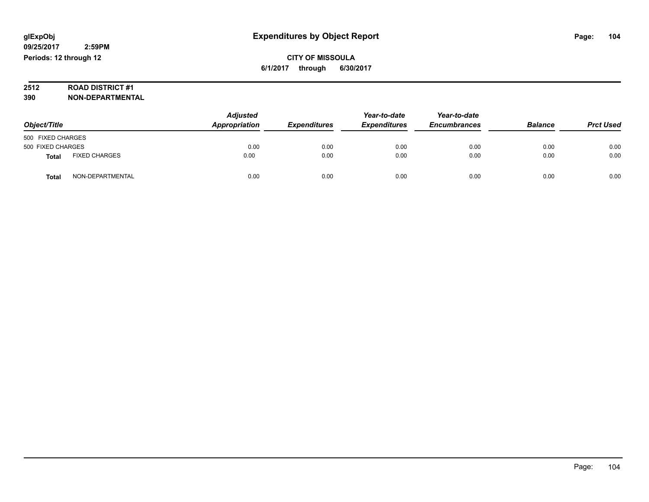# **2512 ROAD DISTRICT #1**

| Object/Title      |                      | <b>Adjusted</b><br>Appropriation | <b>Expenditures</b> | Year-to-date<br><b>Expenditures</b> | Year-to-date<br><b>Encumbrances</b> | <b>Balance</b> | <b>Prct Used</b> |
|-------------------|----------------------|----------------------------------|---------------------|-------------------------------------|-------------------------------------|----------------|------------------|
| 500 FIXED CHARGES |                      |                                  |                     |                                     |                                     |                |                  |
| 500 FIXED CHARGES |                      | 0.00                             | 0.00                | 0.00                                | 0.00                                | 0.00           | 0.00             |
| <b>Total</b>      | <b>FIXED CHARGES</b> | 0.00                             | 0.00                | 0.00                                | 0.00                                | 0.00           | 0.00             |
| Total             | NON-DEPARTMENTAL     | 0.00                             | 0.00                | 0.00                                | 0.00                                | 0.00           | 0.00             |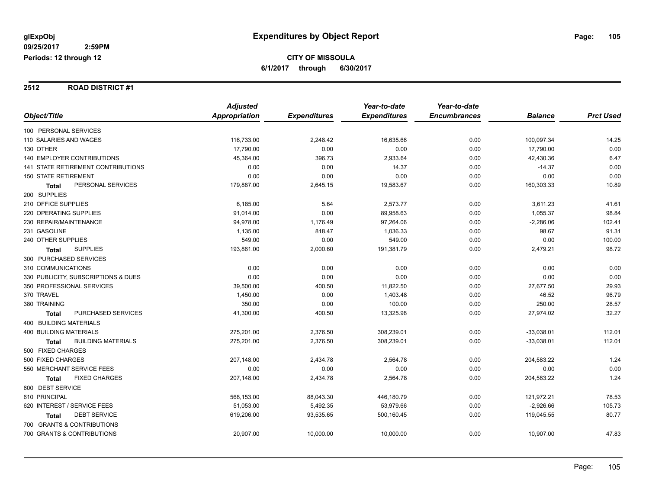#### **2512 ROAD DISTRICT #1**

|                                           | <b>Adjusted</b> |                     | Year-to-date        | Year-to-date        |                |                  |
|-------------------------------------------|-----------------|---------------------|---------------------|---------------------|----------------|------------------|
| Object/Title                              | Appropriation   | <b>Expenditures</b> | <b>Expenditures</b> | <b>Encumbrances</b> | <b>Balance</b> | <b>Prct Used</b> |
| 100 PERSONAL SERVICES                     |                 |                     |                     |                     |                |                  |
| 110 SALARIES AND WAGES                    | 116,733.00      | 2,248.42            | 16,635.66           | 0.00                | 100,097.34     | 14.25            |
| 130 OTHER                                 | 17,790.00       | 0.00                | 0.00                | 0.00                | 17,790.00      | 0.00             |
| <b>140 EMPLOYER CONTRIBUTIONS</b>         | 45,364.00       | 396.73              | 2,933.64            | 0.00                | 42,430.36      | 6.47             |
| 141 STATE RETIREMENT CONTRIBUTIONS        | 0.00            | 0.00                | 14.37               | 0.00                | $-14.37$       | 0.00             |
| <b>150 STATE RETIREMENT</b>               | 0.00            | 0.00                | 0.00                | 0.00                | 0.00           | 0.00             |
| PERSONAL SERVICES<br><b>Total</b>         | 179,887.00      | 2,645.15            | 19,583.67           | 0.00                | 160,303.33     | 10.89            |
| 200 SUPPLIES                              |                 |                     |                     |                     |                |                  |
| 210 OFFICE SUPPLIES                       | 6,185.00        | 5.64                | 2,573.77            | 0.00                | 3,611.23       | 41.61            |
| 220 OPERATING SUPPLIES                    | 91,014.00       | 0.00                | 89,958.63           | 0.00                | 1,055.37       | 98.84            |
| 230 REPAIR/MAINTENANCE                    | 94,978.00       | 1,176.49            | 97,264.06           | 0.00                | $-2,286.06$    | 102.41           |
| 231 GASOLINE                              | 1,135.00        | 818.47              | 1,036.33            | 0.00                | 98.67          | 91.31            |
| 240 OTHER SUPPLIES                        | 549.00          | 0.00                | 549.00              | 0.00                | 0.00           | 100.00           |
| <b>SUPPLIES</b><br><b>Total</b>           | 193,861.00      | 2,000.60            | 191,381.79          | 0.00                | 2,479.21       | 98.72            |
| 300 PURCHASED SERVICES                    |                 |                     |                     |                     |                |                  |
| 310 COMMUNICATIONS                        | 0.00            | 0.00                | 0.00                | 0.00                | 0.00           | 0.00             |
| 330 PUBLICITY, SUBSCRIPTIONS & DUES       | 0.00            | 0.00                | 0.00                | 0.00                | 0.00           | 0.00             |
| 350 PROFESSIONAL SERVICES                 | 39,500.00       | 400.50              | 11,822.50           | 0.00                | 27,677.50      | 29.93            |
| 370 TRAVEL                                | 1,450.00        | 0.00                | 1,403.48            | 0.00                | 46.52          | 96.79            |
| 380 TRAINING                              | 350.00          | 0.00                | 100.00              | 0.00                | 250.00         | 28.57            |
| PURCHASED SERVICES<br><b>Total</b>        | 41,300.00       | 400.50              | 13,325.98           | 0.00                | 27,974.02      | 32.27            |
| <b>400 BUILDING MATERIALS</b>             |                 |                     |                     |                     |                |                  |
| <b>400 BUILDING MATERIALS</b>             | 275,201.00      | 2,376.50            | 308,239.01          | 0.00                | $-33,038.01$   | 112.01           |
| <b>BUILDING MATERIALS</b><br><b>Total</b> | 275,201.00      | 2,376.50            | 308,239.01          | 0.00                | $-33,038.01$   | 112.01           |
| 500 FIXED CHARGES                         |                 |                     |                     |                     |                |                  |
| 500 FIXED CHARGES                         | 207,148.00      | 2,434.78            | 2,564.78            | 0.00                | 204,583.22     | 1.24             |
| 550 MERCHANT SERVICE FEES                 | 0.00            | 0.00                | 0.00                | 0.00                | 0.00           | 0.00             |
| <b>FIXED CHARGES</b><br>Total             | 207,148.00      | 2,434.78            | 2,564.78            | 0.00                | 204,583.22     | 1.24             |
| 600 DEBT SERVICE                          |                 |                     |                     |                     |                |                  |
| 610 PRINCIPAL                             | 568,153.00      | 88,043.30           | 446,180.79          | 0.00                | 121,972.21     | 78.53            |
| 620 INTEREST / SERVICE FEES               | 51,053.00       | 5,492.35            | 53,979.66           | 0.00                | $-2,926.66$    | 105.73           |
| <b>DEBT SERVICE</b><br><b>Total</b>       | 619,206.00      | 93,535.65           | 500,160.45          | 0.00                | 119,045.55     | 80.77            |
| 700 GRANTS & CONTRIBUTIONS                |                 |                     |                     |                     |                |                  |
| 700 GRANTS & CONTRIBUTIONS                | 20,907.00       | 10,000.00           | 10,000.00           | 0.00                | 10,907.00      | 47.83            |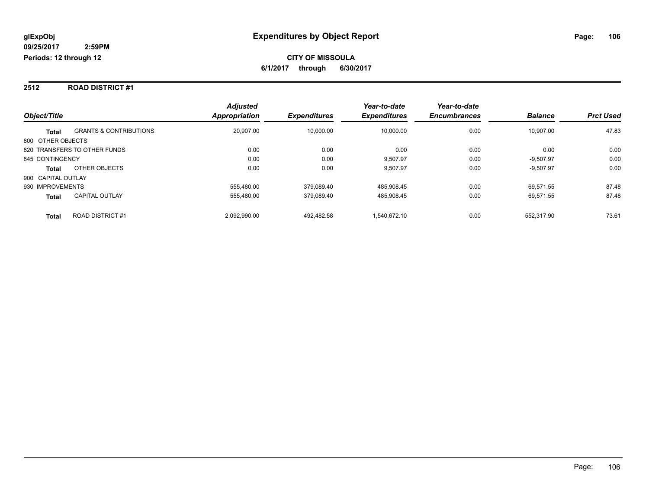#### **2512 ROAD DISTRICT #1**

|                                                   | <b>Adjusted</b>      |                     | Year-to-date        | Year-to-date        |                |                  |
|---------------------------------------------------|----------------------|---------------------|---------------------|---------------------|----------------|------------------|
| Object/Title                                      | <b>Appropriation</b> | <b>Expenditures</b> | <b>Expenditures</b> | <b>Encumbrances</b> | <b>Balance</b> | <b>Prct Used</b> |
| <b>GRANTS &amp; CONTRIBUTIONS</b><br><b>Total</b> | 20,907.00            | 10,000.00           | 10.000.00           | 0.00                | 10.907.00      | 47.83            |
| 800 OTHER OBJECTS                                 |                      |                     |                     |                     |                |                  |
| 820 TRANSFERS TO OTHER FUNDS                      | 0.00                 | 0.00                | 0.00                | 0.00                | 0.00           | 0.00             |
| 845 CONTINGENCY                                   | 0.00                 | 0.00                | 9.507.97            | 0.00                | $-9.507.97$    | 0.00             |
| OTHER OBJECTS<br><b>Total</b>                     | 0.00                 | 0.00                | 9.507.97            | 0.00                | $-9,507.97$    | 0.00             |
| 900 CAPITAL OUTLAY                                |                      |                     |                     |                     |                |                  |
| 930 IMPROVEMENTS                                  | 555.480.00           | 379.089.40          | 485.908.45          | 0.00                | 69.571.55      | 87.48            |
| <b>CAPITAL OUTLAY</b><br><b>Total</b>             | 555,480.00           | 379.089.40          | 485,908.45          | 0.00                | 69,571.55      | 87.48            |
| <b>ROAD DISTRICT#1</b><br><b>Total</b>            | 2.092.990.00         | 492.482.58          | 1.540.672.10        | 0.00                | 552.317.90     | 73.61            |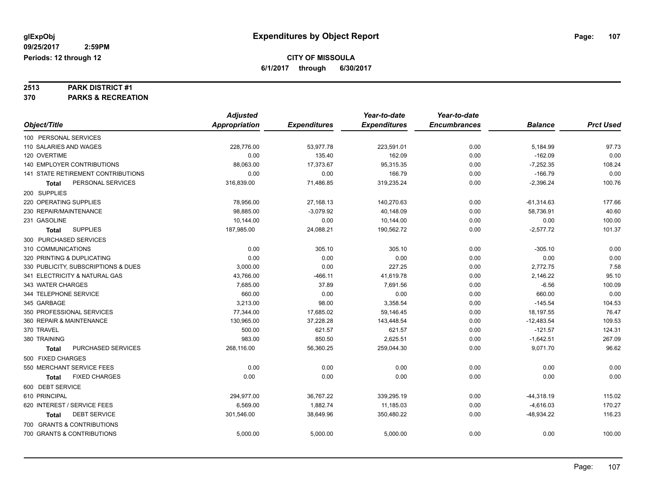# **2513 PARK DISTRICT #1**

**370 PARKS & RECREATION**

|                                     | <b>Adjusted</b>      |                     | Year-to-date        | Year-to-date        |                |                  |
|-------------------------------------|----------------------|---------------------|---------------------|---------------------|----------------|------------------|
| Object/Title                        | <b>Appropriation</b> | <b>Expenditures</b> | <b>Expenditures</b> | <b>Encumbrances</b> | <b>Balance</b> | <b>Prct Used</b> |
| 100 PERSONAL SERVICES               |                      |                     |                     |                     |                |                  |
| 110 SALARIES AND WAGES              | 228,776.00           | 53,977.78           | 223,591.01          | 0.00                | 5,184.99       | 97.73            |
| 120 OVERTIME                        | 0.00                 | 135.40              | 162.09              | 0.00                | $-162.09$      | 0.00             |
| <b>140 EMPLOYER CONTRIBUTIONS</b>   | 88,063.00            | 17,373.67           | 95,315.35           | 0.00                | $-7,252.35$    | 108.24           |
| 141 STATE RETIREMENT CONTRIBUTIONS  | 0.00                 | 0.00                | 166.79              | 0.00                | $-166.79$      | 0.00             |
| PERSONAL SERVICES<br>Total          | 316,839.00           | 71,486.85           | 319,235.24          | 0.00                | $-2,396.24$    | 100.76           |
| 200 SUPPLIES                        |                      |                     |                     |                     |                |                  |
| 220 OPERATING SUPPLIES              | 78,956.00            | 27,168.13           | 140,270.63          | 0.00                | $-61,314.63$   | 177.66           |
| 230 REPAIR/MAINTENANCE              | 98,885.00            | $-3,079.92$         | 40,148.09           | 0.00                | 58,736.91      | 40.60            |
| 231 GASOLINE                        | 10,144.00            | 0.00                | 10,144.00           | 0.00                | 0.00           | 100.00           |
| <b>SUPPLIES</b><br><b>Total</b>     | 187,985.00           | 24,088.21           | 190,562.72          | 0.00                | $-2,577.72$    | 101.37           |
| 300 PURCHASED SERVICES              |                      |                     |                     |                     |                |                  |
| 310 COMMUNICATIONS                  | 0.00                 | 305.10              | 305.10              | 0.00                | $-305.10$      | 0.00             |
| 320 PRINTING & DUPLICATING          | 0.00                 | 0.00                | 0.00                | 0.00                | 0.00           | 0.00             |
| 330 PUBLICITY, SUBSCRIPTIONS & DUES | 3,000.00             | 0.00                | 227.25              | 0.00                | 2,772.75       | 7.58             |
| 341 ELECTRICITY & NATURAL GAS       | 43,766.00            | $-466.11$           | 41,619.78           | 0.00                | 2,146.22       | 95.10            |
| 343 WATER CHARGES                   | 7,685.00             | 37.89               | 7,691.56            | 0.00                | $-6.56$        | 100.09           |
| 344 TELEPHONE SERVICE               | 660.00               | 0.00                | 0.00                | 0.00                | 660.00         | 0.00             |
| 345 GARBAGE                         | 3.213.00             | 98.00               | 3,358.54            | 0.00                | $-145.54$      | 104.53           |
| 350 PROFESSIONAL SERVICES           | 77,344.00            | 17,685.02           | 59,146.45           | 0.00                | 18,197.55      | 76.47            |
| 360 REPAIR & MAINTENANCE            | 130,965.00           | 37,228.28           | 143,448.54          | 0.00                | $-12,483.54$   | 109.53           |
| 370 TRAVEL                          | 500.00               | 621.57              | 621.57              | 0.00                | $-121.57$      | 124.31           |
| 380 TRAINING                        | 983.00               | 850.50              | 2,625.51            | 0.00                | $-1,642.51$    | 267.09           |
| PURCHASED SERVICES<br><b>Total</b>  | 268,116.00           | 56,360.25           | 259,044.30          | 0.00                | 9,071.70       | 96.62            |
| 500 FIXED CHARGES                   |                      |                     |                     |                     |                |                  |
| 550 MERCHANT SERVICE FEES           | 0.00                 | 0.00                | 0.00                | 0.00                | 0.00           | 0.00             |
| <b>FIXED CHARGES</b><br>Total       | 0.00                 | 0.00                | 0.00                | 0.00                | 0.00           | 0.00             |
| 600 DEBT SERVICE                    |                      |                     |                     |                     |                |                  |
| 610 PRINCIPAL                       | 294,977.00           | 36,767.22           | 339,295.19          | 0.00                | $-44,318.19$   | 115.02           |
| 620 INTEREST / SERVICE FEES         | 6,569.00             | 1,882.74            | 11,185.03           | 0.00                | $-4,616.03$    | 170.27           |
| <b>DEBT SERVICE</b><br>Total        | 301,546.00           | 38,649.96           | 350,480.22          | 0.00                | $-48,934.22$   | 116.23           |
| 700 GRANTS & CONTRIBUTIONS          |                      |                     |                     |                     |                |                  |
| 700 GRANTS & CONTRIBUTIONS          | 5,000.00             | 5,000.00            | 5,000.00            | 0.00                | 0.00           | 100.00           |
|                                     |                      |                     |                     |                     |                |                  |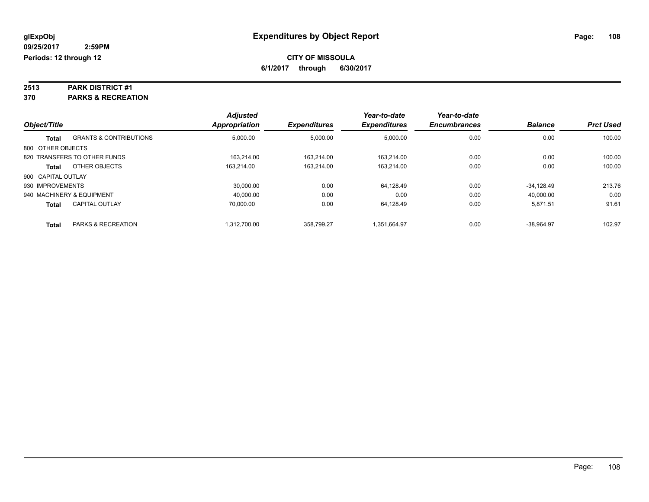# **2513 PARK DISTRICT #1**

**370 PARKS & RECREATION**

|                    |                                   | <b>Adjusted</b>      |                     | Year-to-date        | Year-to-date        |                |                  |
|--------------------|-----------------------------------|----------------------|---------------------|---------------------|---------------------|----------------|------------------|
| Object/Title       |                                   | <b>Appropriation</b> | <b>Expenditures</b> | <b>Expenditures</b> | <b>Encumbrances</b> | <b>Balance</b> | <b>Prct Used</b> |
| <b>Total</b>       | <b>GRANTS &amp; CONTRIBUTIONS</b> | 5,000.00             | 5,000.00            | 5,000.00            | 0.00                | 0.00           | 100.00           |
| 800 OTHER OBJECTS  |                                   |                      |                     |                     |                     |                |                  |
|                    | 820 TRANSFERS TO OTHER FUNDS      | 163.214.00           | 163.214.00          | 163.214.00          | 0.00                | 0.00           | 100.00           |
| Total              | OTHER OBJECTS                     | 163.214.00           | 163.214.00          | 163.214.00          | 0.00                | 0.00           | 100.00           |
| 900 CAPITAL OUTLAY |                                   |                      |                     |                     |                     |                |                  |
| 930 IMPROVEMENTS   |                                   | 30.000.00            | 0.00                | 64,128.49           | 0.00                | $-34.128.49$   | 213.76           |
|                    | 940 MACHINERY & EQUIPMENT         | 40.000.00            | 0.00                | 0.00                | 0.00                | 40.000.00      | 0.00             |
| <b>Total</b>       | <b>CAPITAL OUTLAY</b>             | 70.000.00            | 0.00                | 64.128.49           | 0.00                | 5,871.51       | 91.61            |
| <b>Total</b>       | PARKS & RECREATION                | 1.312.700.00         | 358.799.27          | 1.351.664.97        | 0.00                | $-38.964.97$   | 102.97           |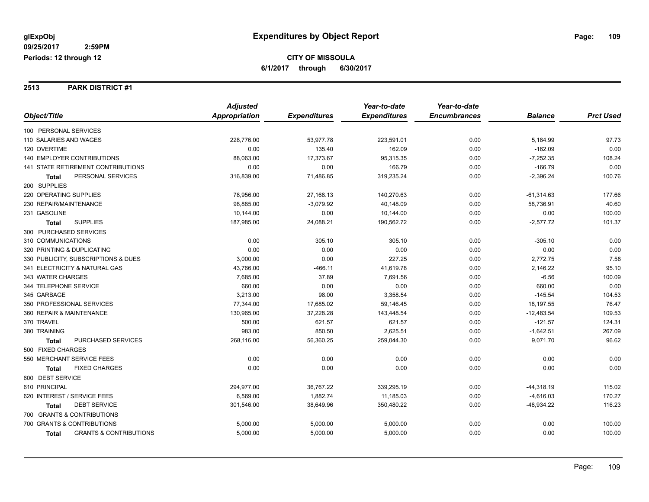#### **2513 PARK DISTRICT #1**

|                                                   | <b>Adjusted</b> |                     | Year-to-date        | Year-to-date        |                |                  |
|---------------------------------------------------|-----------------|---------------------|---------------------|---------------------|----------------|------------------|
| Object/Title                                      | Appropriation   | <b>Expenditures</b> | <b>Expenditures</b> | <b>Encumbrances</b> | <b>Balance</b> | <b>Prct Used</b> |
| 100 PERSONAL SERVICES                             |                 |                     |                     |                     |                |                  |
| 110 SALARIES AND WAGES                            | 228,776.00      | 53,977.78           | 223,591.01          | 0.00                | 5,184.99       | 97.73            |
| 120 OVERTIME                                      | 0.00            | 135.40              | 162.09              | 0.00                | $-162.09$      | 0.00             |
| 140 EMPLOYER CONTRIBUTIONS                        | 88,063.00       | 17,373.67           | 95,315.35           | 0.00                | $-7,252.35$    | 108.24           |
| 141 STATE RETIREMENT CONTRIBUTIONS                | 0.00            | 0.00                | 166.79              | 0.00                | $-166.79$      | 0.00             |
| PERSONAL SERVICES<br>Total                        | 316,839.00      | 71,486.85           | 319,235.24          | 0.00                | $-2,396.24$    | 100.76           |
| 200 SUPPLIES                                      |                 |                     |                     |                     |                |                  |
| 220 OPERATING SUPPLIES                            | 78,956.00       | 27,168.13           | 140,270.63          | 0.00                | $-61,314.63$   | 177.66           |
| 230 REPAIR/MAINTENANCE                            | 98,885.00       | $-3,079.92$         | 40,148.09           | 0.00                | 58,736.91      | 40.60            |
| 231 GASOLINE                                      | 10,144.00       | 0.00                | 10,144.00           | 0.00                | 0.00           | 100.00           |
| <b>SUPPLIES</b><br><b>Total</b>                   | 187,985.00      | 24,088.21           | 190,562.72          | 0.00                | $-2,577.72$    | 101.37           |
| 300 PURCHASED SERVICES                            |                 |                     |                     |                     |                |                  |
| 310 COMMUNICATIONS                                | 0.00            | 305.10              | 305.10              | 0.00                | $-305.10$      | 0.00             |
| 320 PRINTING & DUPLICATING                        | 0.00            | 0.00                | 0.00                | 0.00                | 0.00           | 0.00             |
| 330 PUBLICITY, SUBSCRIPTIONS & DUES               | 3,000.00        | 0.00                | 227.25              | 0.00                | 2,772.75       | 7.58             |
| 341 ELECTRICITY & NATURAL GAS                     | 43,766.00       | $-466.11$           | 41,619.78           | 0.00                | 2,146.22       | 95.10            |
| 343 WATER CHARGES                                 | 7,685.00        | 37.89               | 7,691.56            | 0.00                | $-6.56$        | 100.09           |
| 344 TELEPHONE SERVICE                             | 660.00          | 0.00                | 0.00                | 0.00                | 660.00         | 0.00             |
| 345 GARBAGE                                       | 3,213.00        | 98.00               | 3,358.54            | 0.00                | $-145.54$      | 104.53           |
| 350 PROFESSIONAL SERVICES                         | 77,344.00       | 17,685.02           | 59,146.45           | 0.00                | 18,197.55      | 76.47            |
| 360 REPAIR & MAINTENANCE                          | 130,965.00      | 37,228.28           | 143,448.54          | 0.00                | $-12,483.54$   | 109.53           |
| 370 TRAVEL                                        | 500.00          | 621.57              | 621.57              | 0.00                | $-121.57$      | 124.31           |
| 380 TRAINING                                      | 983.00          | 850.50              | 2,625.51            | 0.00                | $-1,642.51$    | 267.09           |
| PURCHASED SERVICES<br><b>Total</b>                | 268,116.00      | 56,360.25           | 259,044.30          | 0.00                | 9,071.70       | 96.62            |
| 500 FIXED CHARGES                                 |                 |                     |                     |                     |                |                  |
| 550 MERCHANT SERVICE FEES                         | 0.00            | 0.00                | 0.00                | 0.00                | 0.00           | 0.00             |
| <b>FIXED CHARGES</b><br>Total                     | 0.00            | 0.00                | 0.00                | 0.00                | 0.00           | 0.00             |
| 600 DEBT SERVICE                                  |                 |                     |                     |                     |                |                  |
| 610 PRINCIPAL                                     | 294,977.00      | 36,767.22           | 339,295.19          | 0.00                | $-44,318.19$   | 115.02           |
| 620 INTEREST / SERVICE FEES                       | 6,569.00        | 1,882.74            | 11,185.03           | 0.00                | $-4,616.03$    | 170.27           |
| <b>DEBT SERVICE</b><br><b>Total</b>               | 301,546.00      | 38,649.96           | 350,480.22          | 0.00                | $-48,934.22$   | 116.23           |
| 700 GRANTS & CONTRIBUTIONS                        |                 |                     |                     |                     |                |                  |
| 700 GRANTS & CONTRIBUTIONS                        | 5,000.00        | 5,000.00            | 5,000.00            | 0.00                | 0.00           | 100.00           |
| <b>GRANTS &amp; CONTRIBUTIONS</b><br><b>Total</b> | 5,000.00        | 5,000.00            | 5,000.00            | 0.00                | 0.00           | 100.00           |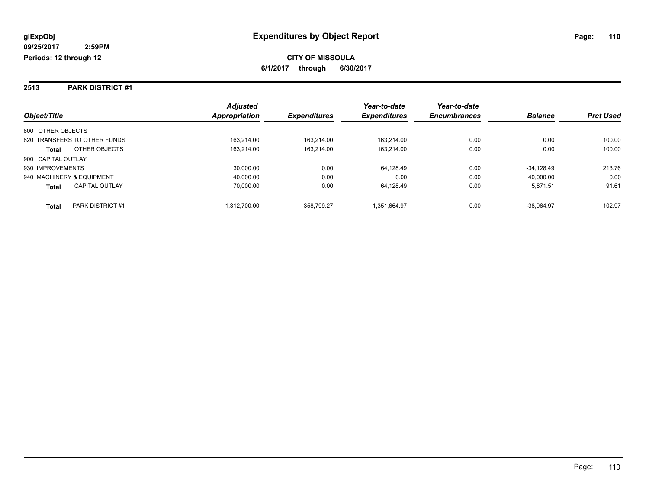#### **2513 PARK DISTRICT #1**

|                                       | <b>Adjusted</b> |                     | Year-to-date        | Year-to-date        |                |                  |
|---------------------------------------|-----------------|---------------------|---------------------|---------------------|----------------|------------------|
| Object/Title                          | Appropriation   | <b>Expenditures</b> | <b>Expenditures</b> | <b>Encumbrances</b> | <b>Balance</b> | <b>Prct Used</b> |
| 800 OTHER OBJECTS                     |                 |                     |                     |                     |                |                  |
| 820 TRANSFERS TO OTHER FUNDS          | 163.214.00      | 163.214.00          | 163.214.00          | 0.00                | 0.00           | 100.00           |
| OTHER OBJECTS<br><b>Total</b>         | 163,214.00      | 163.214.00          | 163.214.00          | 0.00                | 0.00           | 100.00           |
| 900 CAPITAL OUTLAY                    |                 |                     |                     |                     |                |                  |
| 930 IMPROVEMENTS                      | 30,000.00       | 0.00                | 64.128.49           | 0.00                | $-34.128.49$   | 213.76           |
| 940 MACHINERY & EQUIPMENT             | 40.000.00       | 0.00                | 0.00                | 0.00                | 40.000.00      | 0.00             |
| <b>CAPITAL OUTLAY</b><br><b>Total</b> | 70.000.00       | 0.00                | 64.128.49           | 0.00                | 5.871.51       | 91.61            |
| PARK DISTRICT #1<br>Total             | 1.312.700.00    | 358.799.27          | 1.351.664.97        | 0.00                | $-38.964.97$   | 102.97           |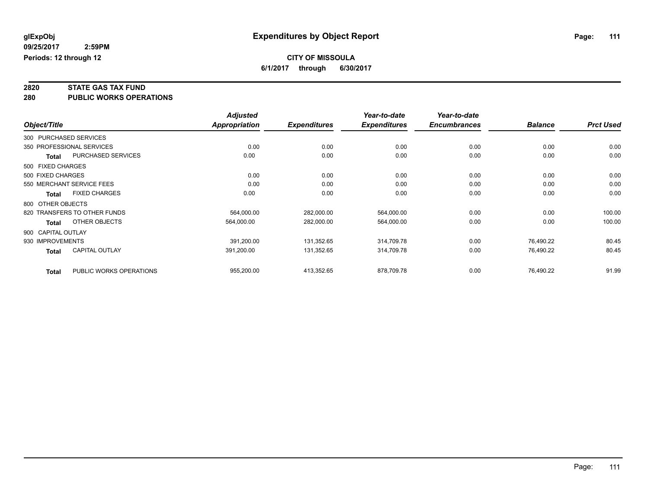**2820 STATE GAS TAX FUND**

**280 PUBLIC WORKS OPERATIONS**

|              |                                           | <b>Adjusted</b> |                     | Year-to-date        | Year-to-date        |                |                  |
|--------------|-------------------------------------------|-----------------|---------------------|---------------------|---------------------|----------------|------------------|
| Object/Title |                                           | Appropriation   | <b>Expenditures</b> | <b>Expenditures</b> | <b>Encumbrances</b> | <b>Balance</b> | <b>Prct Used</b> |
|              | 300 PURCHASED SERVICES                    |                 |                     |                     |                     |                |                  |
|              | 350 PROFESSIONAL SERVICES                 | 0.00            | 0.00                | 0.00                | 0.00                | 0.00           | 0.00             |
|              | <b>PURCHASED SERVICES</b><br><b>Total</b> | 0.00            | 0.00                | 0.00                | 0.00                | 0.00           | 0.00             |
|              | 500 FIXED CHARGES                         |                 |                     |                     |                     |                |                  |
|              | 500 FIXED CHARGES                         | 0.00            | 0.00                | 0.00                | 0.00                | 0.00           | 0.00             |
|              | 550 MERCHANT SERVICE FEES                 | 0.00            | 0.00                | 0.00                | 0.00                | 0.00           | 0.00             |
|              | <b>FIXED CHARGES</b><br><b>Total</b>      | 0.00            | 0.00                | 0.00                | 0.00                | 0.00           | 0.00             |
|              | 800 OTHER OBJECTS                         |                 |                     |                     |                     |                |                  |
|              | 820 TRANSFERS TO OTHER FUNDS              | 564,000.00      | 282,000.00          | 564,000.00          | 0.00                | 0.00           | 100.00           |
|              | OTHER OBJECTS<br>Total                    | 564,000.00      | 282,000.00          | 564,000.00          | 0.00                | 0.00           | 100.00           |
|              | 900 CAPITAL OUTLAY                        |                 |                     |                     |                     |                |                  |
|              | 930 IMPROVEMENTS                          | 391,200.00      | 131,352.65          | 314,709.78          | 0.00                | 76,490.22      | 80.45            |
|              | CAPITAL OUTLAY<br><b>Total</b>            | 391,200.00      | 131,352.65          | 314,709.78          | 0.00                | 76,490.22      | 80.45            |
|              | PUBLIC WORKS OPERATIONS<br><b>Total</b>   | 955,200.00      | 413,352.65          | 878,709.78          | 0.00                | 76.490.22      | 91.99            |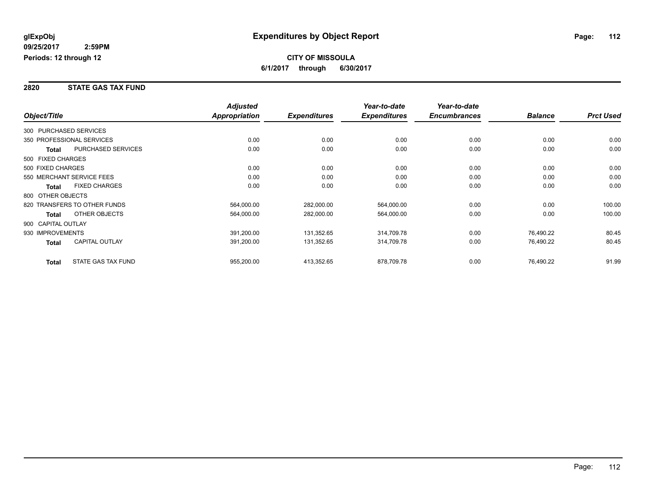#### **2820 STATE GAS TAX FUND**

|                        |                              | <b>Adjusted</b>      |                     | Year-to-date        | Year-to-date        |                |                  |
|------------------------|------------------------------|----------------------|---------------------|---------------------|---------------------|----------------|------------------|
| Object/Title           |                              | <b>Appropriation</b> | <b>Expenditures</b> | <b>Expenditures</b> | <b>Encumbrances</b> | <b>Balance</b> | <b>Prct Used</b> |
| 300 PURCHASED SERVICES |                              |                      |                     |                     |                     |                |                  |
|                        | 350 PROFESSIONAL SERVICES    | 0.00                 | 0.00                | 0.00                | 0.00                | 0.00           | 0.00             |
| Total                  | PURCHASED SERVICES           | 0.00                 | 0.00                | 0.00                | 0.00                | 0.00           | 0.00             |
| 500 FIXED CHARGES      |                              |                      |                     |                     |                     |                |                  |
| 500 FIXED CHARGES      |                              | 0.00                 | 0.00                | 0.00                | 0.00                | 0.00           | 0.00             |
|                        | 550 MERCHANT SERVICE FEES    | 0.00                 | 0.00                | 0.00                | 0.00                | 0.00           | 0.00             |
| <b>Total</b>           | <b>FIXED CHARGES</b>         | 0.00                 | 0.00                | 0.00                | 0.00                | 0.00           | 0.00             |
| 800 OTHER OBJECTS      |                              |                      |                     |                     |                     |                |                  |
|                        | 820 TRANSFERS TO OTHER FUNDS | 564,000.00           | 282,000.00          | 564,000.00          | 0.00                | 0.00           | 100.00           |
| <b>Total</b>           | OTHER OBJECTS                | 564,000.00           | 282,000.00          | 564,000.00          | 0.00                | 0.00           | 100.00           |
| 900 CAPITAL OUTLAY     |                              |                      |                     |                     |                     |                |                  |
| 930 IMPROVEMENTS       |                              | 391,200.00           | 131,352.65          | 314,709.78          | 0.00                | 76,490.22      | 80.45            |
| <b>Total</b>           | <b>CAPITAL OUTLAY</b>        | 391,200.00           | 131,352.65          | 314,709.78          | 0.00                | 76,490.22      | 80.45            |
| <b>Total</b>           | STATE GAS TAX FUND           | 955,200.00           | 413,352.65          | 878,709.78          | 0.00                | 76,490.22      | 91.99            |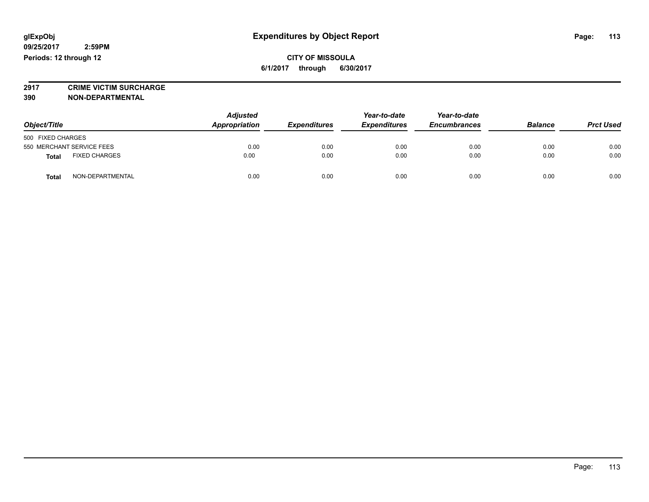**CITY OF MISSOULA 6/1/2017 through 6/30/2017**

**2917 CRIME VICTIM SURCHARGE**

**390 NON-DEPARTMENTAL**

| Object/Title                         | <b>Adjusted</b><br>Appropriation | <b>Expenditures</b> | Year-to-date<br><b>Expenditures</b> | Year-to-date<br><b>Encumbrances</b> | <b>Balance</b> | <b>Prct Used</b> |
|--------------------------------------|----------------------------------|---------------------|-------------------------------------|-------------------------------------|----------------|------------------|
| 500 FIXED CHARGES                    |                                  |                     |                                     |                                     |                |                  |
| 550 MERCHANT SERVICE FEES            | 0.00                             | 0.00                | 0.00                                | 0.00                                | 0.00           | 0.00             |
| <b>FIXED CHARGES</b><br><b>Total</b> | 0.00                             | 0.00                | 0.00                                | 0.00                                | 0.00           | 0.00             |
| NON-DEPARTMENTAL<br>Total            | 0.00                             | 0.00                | 0.00                                | 0.00                                | 0.00           | 0.00             |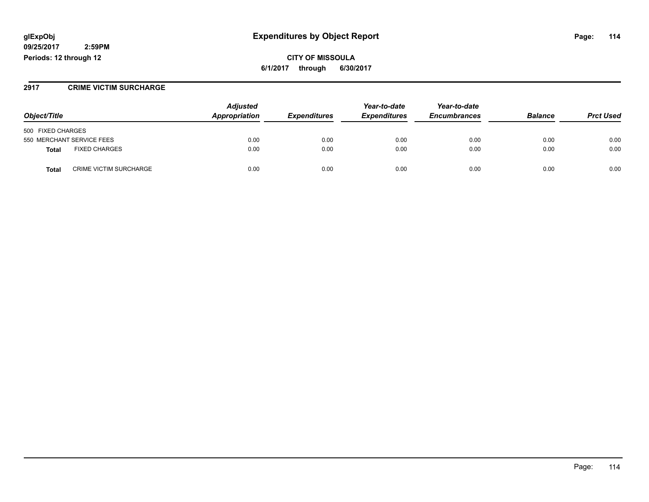### **glExpObj Expenditures by Object Report Page: 114**

**09/25/2017 2:59PM Periods: 12 through 12**

**CITY OF MISSOULA 6/1/2017 through 6/30/2017**

#### **2917 CRIME VICTIM SURCHARGE**

|                                               | <b>Adjusted</b><br>Appropriation |                     | Year-to-date        | Year-to-date        | <b>Balance</b> | <b>Prct Used</b> |
|-----------------------------------------------|----------------------------------|---------------------|---------------------|---------------------|----------------|------------------|
| Object/Title                                  |                                  | <b>Expenditures</b> | <b>Expenditures</b> | <b>Encumbrances</b> |                |                  |
| 500 FIXED CHARGES                             |                                  |                     |                     |                     |                |                  |
| 550 MERCHANT SERVICE FEES                     | 0.00                             | 0.00                | 0.00                | 0.00                | 0.00           | 0.00             |
| <b>FIXED CHARGES</b><br>Total                 | 0.00                             | 0.00                | 0.00                | 0.00                | 0.00           | 0.00             |
| <b>CRIME VICTIM SURCHARGE</b><br><b>Total</b> | 0.00                             | 0.00                | 0.00                | 0.00                | 0.00           | 0.00             |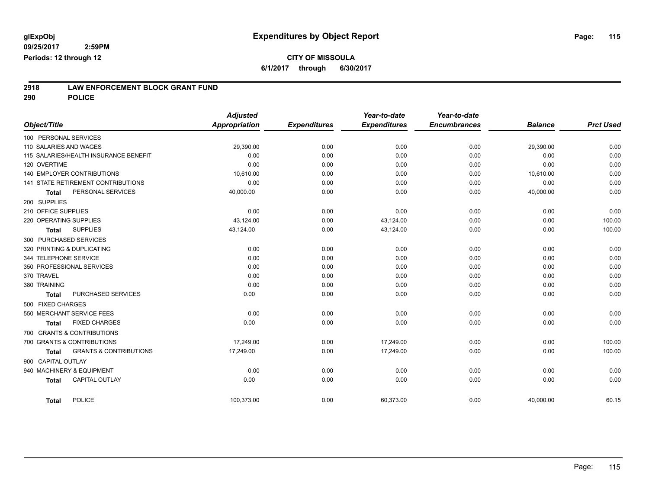# **2918 LAW ENFORCEMENT BLOCK GRANT FUND**

**290 POLICE**

|                                   |                                       | <b>Adjusted</b>      |                     | Year-to-date        | Year-to-date        |                |                  |
|-----------------------------------|---------------------------------------|----------------------|---------------------|---------------------|---------------------|----------------|------------------|
| Object/Title                      |                                       | <b>Appropriation</b> | <b>Expenditures</b> | <b>Expenditures</b> | <b>Encumbrances</b> | <b>Balance</b> | <b>Prct Used</b> |
| 100 PERSONAL SERVICES             |                                       |                      |                     |                     |                     |                |                  |
| 110 SALARIES AND WAGES            |                                       | 29,390.00            | 0.00                | 0.00                | 0.00                | 29,390.00      | 0.00             |
|                                   | 115 SALARIES/HEALTH INSURANCE BENEFIT | 0.00                 | 0.00                | 0.00                | 0.00                | 0.00           | 0.00             |
| 120 OVERTIME                      |                                       | 0.00                 | 0.00                | 0.00                | 0.00                | 0.00           | 0.00             |
| <b>140 EMPLOYER CONTRIBUTIONS</b> |                                       | 10,610.00            | 0.00                | 0.00                | 0.00                | 10,610.00      | 0.00             |
|                                   | 141 STATE RETIREMENT CONTRIBUTIONS    | 0.00                 | 0.00                | 0.00                | 0.00                | 0.00           | 0.00             |
| <b>Total</b>                      | PERSONAL SERVICES                     | 40,000.00            | 0.00                | 0.00                | 0.00                | 40,000.00      | 0.00             |
| 200 SUPPLIES                      |                                       |                      |                     |                     |                     |                |                  |
| 210 OFFICE SUPPLIES               |                                       | 0.00                 | 0.00                | 0.00                | 0.00                | 0.00           | 0.00             |
| 220 OPERATING SUPPLIES            |                                       | 43,124.00            | 0.00                | 43,124.00           | 0.00                | 0.00           | 100.00           |
| <b>Total</b>                      | <b>SUPPLIES</b>                       | 43,124.00            | 0.00                | 43,124.00           | 0.00                | 0.00           | 100.00           |
| 300 PURCHASED SERVICES            |                                       |                      |                     |                     |                     |                |                  |
| 320 PRINTING & DUPLICATING        |                                       | 0.00                 | 0.00                | 0.00                | 0.00                | 0.00           | 0.00             |
| 344 TELEPHONE SERVICE             |                                       | 0.00                 | 0.00                | 0.00                | 0.00                | 0.00           | 0.00             |
| 350 PROFESSIONAL SERVICES         |                                       | 0.00                 | 0.00                | 0.00                | 0.00                | 0.00           | 0.00             |
| 370 TRAVEL                        |                                       | 0.00                 | 0.00                | 0.00                | 0.00                | 0.00           | 0.00             |
| 380 TRAINING                      |                                       | 0.00                 | 0.00                | 0.00                | 0.00                | 0.00           | 0.00             |
| <b>Total</b>                      | PURCHASED SERVICES                    | 0.00                 | 0.00                | 0.00                | 0.00                | 0.00           | 0.00             |
| 500 FIXED CHARGES                 |                                       |                      |                     |                     |                     |                |                  |
| 550 MERCHANT SERVICE FEES         |                                       | 0.00                 | 0.00                | 0.00                | 0.00                | 0.00           | 0.00             |
| <b>Total</b>                      | <b>FIXED CHARGES</b>                  | 0.00                 | 0.00                | 0.00                | 0.00                | 0.00           | 0.00             |
| 700 GRANTS & CONTRIBUTIONS        |                                       |                      |                     |                     |                     |                |                  |
| 700 GRANTS & CONTRIBUTIONS        |                                       | 17,249.00            | 0.00                | 17,249.00           | 0.00                | 0.00           | 100.00           |
| <b>Total</b>                      | <b>GRANTS &amp; CONTRIBUTIONS</b>     | 17,249.00            | 0.00                | 17,249.00           | 0.00                | 0.00           | 100.00           |
| 900 CAPITAL OUTLAY                |                                       |                      |                     |                     |                     |                |                  |
| 940 MACHINERY & EQUIPMENT         |                                       | 0.00                 | 0.00                | 0.00                | 0.00                | 0.00           | 0.00             |
| <b>Total</b>                      | <b>CAPITAL OUTLAY</b>                 | 0.00                 | 0.00                | 0.00                | 0.00                | 0.00           | 0.00             |
|                                   |                                       |                      |                     |                     |                     |                |                  |
| <b>Total</b>                      | <b>POLICE</b>                         | 100,373.00           | 0.00                | 60,373.00           | 0.00                | 40,000.00      | 60.15            |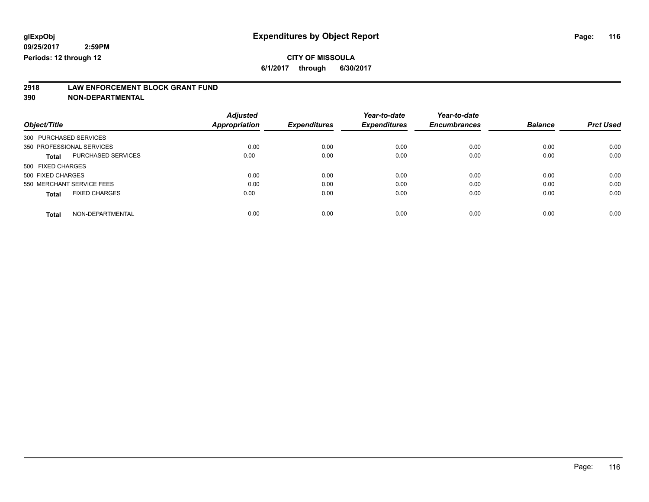## **CITY OF MISSOULA**

**6/1/2017 through 6/30/2017**

# **2918 LAW ENFORCEMENT BLOCK GRANT FUND**

**390 NON-DEPARTMENTAL**

| Object/Title                         | <b>Adjusted</b><br>Appropriation | <b>Expenditures</b> | Year-to-date<br><b>Expenditures</b> | Year-to-date<br><b>Encumbrances</b> | <b>Balance</b> | <b>Prct Used</b> |
|--------------------------------------|----------------------------------|---------------------|-------------------------------------|-------------------------------------|----------------|------------------|
| 300 PURCHASED SERVICES               |                                  |                     |                                     |                                     |                |                  |
| 350 PROFESSIONAL SERVICES            | 0.00                             | 0.00                | 0.00                                | 0.00                                | 0.00           | 0.00             |
| PURCHASED SERVICES<br><b>Total</b>   | 0.00                             | 0.00                | 0.00                                | 0.00                                | 0.00           | 0.00             |
| 500 FIXED CHARGES                    |                                  |                     |                                     |                                     |                |                  |
| 500 FIXED CHARGES                    | 0.00                             | 0.00                | 0.00                                | 0.00                                | 0.00           | 0.00             |
| 550 MERCHANT SERVICE FEES            | 0.00                             | 0.00                | 0.00                                | 0.00                                | 0.00           | 0.00             |
| <b>FIXED CHARGES</b><br><b>Total</b> | 0.00                             | 0.00                | 0.00                                | 0.00                                | 0.00           | 0.00             |
| NON-DEPARTMENTAL<br><b>Total</b>     | 0.00                             | 0.00                | 0.00                                | 0.00                                | 0.00           | 0.00             |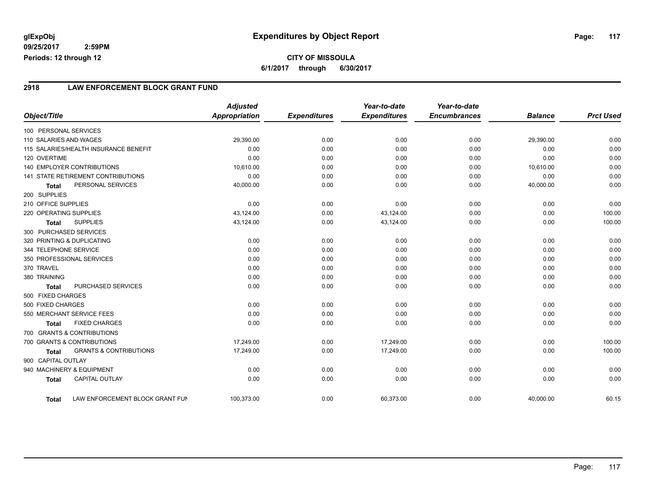### **2918 LAW ENFORCEMENT BLOCK GRANT FUND**

|                        |                                           | <b>Adjusted</b>      |                     | Year-to-date        | Year-to-date        |                |                  |
|------------------------|-------------------------------------------|----------------------|---------------------|---------------------|---------------------|----------------|------------------|
| Object/Title           |                                           | <b>Appropriation</b> | <b>Expenditures</b> | <b>Expenditures</b> | <b>Encumbrances</b> | <b>Balance</b> | <b>Prct Used</b> |
| 100 PERSONAL SERVICES  |                                           |                      |                     |                     |                     |                |                  |
| 110 SALARIES AND WAGES |                                           | 29,390.00            | 0.00                | 0.00                | 0.00                | 29,390.00      | 0.00             |
|                        | 115 SALARIES/HEALTH INSURANCE BENEFIT     | 0.00                 | 0.00                | 0.00                | 0.00                | 0.00           | 0.00             |
| 120 OVERTIME           |                                           | 0.00                 | 0.00                | 0.00                | 0.00                | 0.00           | 0.00             |
|                        | 140 EMPLOYER CONTRIBUTIONS                | 10,610.00            | 0.00                | 0.00                | 0.00                | 10,610.00      | 0.00             |
|                        | <b>141 STATE RETIREMENT CONTRIBUTIONS</b> | 0.00                 | 0.00                | 0.00                | 0.00                | 0.00           | 0.00             |
| <b>Total</b>           | PERSONAL SERVICES                         | 40,000.00            | 0.00                | 0.00                | 0.00                | 40,000.00      | 0.00             |
| 200 SUPPLIES           |                                           |                      |                     |                     |                     |                |                  |
| 210 OFFICE SUPPLIES    |                                           | 0.00                 | 0.00                | 0.00                | 0.00                | 0.00           | 0.00             |
| 220 OPERATING SUPPLIES |                                           | 43,124.00            | 0.00                | 43,124.00           | 0.00                | 0.00           | 100.00           |
| <b>Total</b>           | <b>SUPPLIES</b>                           | 43,124.00            | 0.00                | 43,124.00           | 0.00                | 0.00           | 100.00           |
|                        | 300 PURCHASED SERVICES                    |                      |                     |                     |                     |                |                  |
|                        | 320 PRINTING & DUPLICATING                | 0.00                 | 0.00                | 0.00                | 0.00                | 0.00           | 0.00             |
| 344 TELEPHONE SERVICE  |                                           | 0.00                 | 0.00                | 0.00                | 0.00                | 0.00           | 0.00             |
|                        | 350 PROFESSIONAL SERVICES                 | 0.00                 | 0.00                | 0.00                | 0.00                | 0.00           | 0.00             |
| 370 TRAVEL             |                                           | 0.00                 | 0.00                | 0.00                | 0.00                | 0.00           | 0.00             |
| 380 TRAINING           |                                           | 0.00                 | 0.00                | 0.00                | 0.00                | 0.00           | 0.00             |
| <b>Total</b>           | PURCHASED SERVICES                        | 0.00                 | 0.00                | 0.00                | 0.00                | 0.00           | 0.00             |
| 500 FIXED CHARGES      |                                           |                      |                     |                     |                     |                |                  |
| 500 FIXED CHARGES      |                                           | 0.00                 | 0.00                | 0.00                | 0.00                | 0.00           | 0.00             |
|                        | 550 MERCHANT SERVICE FEES                 | 0.00                 | 0.00                | 0.00                | 0.00                | 0.00           | 0.00             |
| <b>Total</b>           | <b>FIXED CHARGES</b>                      | 0.00                 | 0.00                | 0.00                | 0.00                | 0.00           | 0.00             |
|                        | 700 GRANTS & CONTRIBUTIONS                |                      |                     |                     |                     |                |                  |
|                        | 700 GRANTS & CONTRIBUTIONS                | 17.249.00            | 0.00                | 17.249.00           | 0.00                | 0.00           | 100.00           |
| <b>Total</b>           | <b>GRANTS &amp; CONTRIBUTIONS</b>         | 17,249.00            | 0.00                | 17,249.00           | 0.00                | 0.00           | 100.00           |
| 900 CAPITAL OUTLAY     |                                           |                      |                     |                     |                     |                |                  |
|                        | 940 MACHINERY & EQUIPMENT                 | 0.00                 | 0.00                | 0.00                | 0.00                | 0.00           | 0.00             |
| <b>Total</b>           | <b>CAPITAL OUTLAY</b>                     | 0.00                 | 0.00                | 0.00                | 0.00                | 0.00           | 0.00             |
| <b>Total</b>           | LAW ENFORCEMENT BLOCK GRANT FUN           | 100,373.00           | 0.00                | 60,373.00           | 0.00                | 40.000.00      | 60.15            |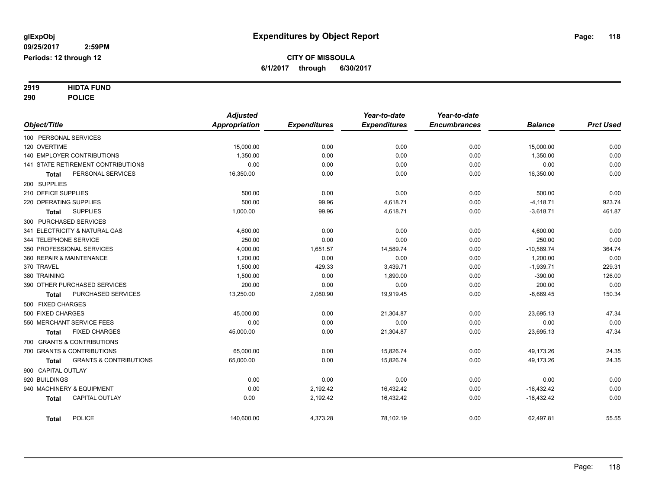# **2919 HIDTA FUND**

**290 POLICE**

|                                                   | <b>Adjusted</b> |                     | Year-to-date        | Year-to-date        |                |                  |
|---------------------------------------------------|-----------------|---------------------|---------------------|---------------------|----------------|------------------|
| Object/Title                                      | Appropriation   | <b>Expenditures</b> | <b>Expenditures</b> | <b>Encumbrances</b> | <b>Balance</b> | <b>Prct Used</b> |
| 100 PERSONAL SERVICES                             |                 |                     |                     |                     |                |                  |
| 120 OVERTIME                                      | 15,000.00       | 0.00                | 0.00                | 0.00                | 15,000.00      | 0.00             |
| 140 EMPLOYER CONTRIBUTIONS                        | 1,350.00        | 0.00                | 0.00                | 0.00                | 1,350.00       | 0.00             |
| 141 STATE RETIREMENT CONTRIBUTIONS                | 0.00            | 0.00                | 0.00                | 0.00                | 0.00           | 0.00             |
| PERSONAL SERVICES<br><b>Total</b>                 | 16,350.00       | 0.00                | 0.00                | 0.00                | 16,350.00      | 0.00             |
| 200 SUPPLIES                                      |                 |                     |                     |                     |                |                  |
| 210 OFFICE SUPPLIES                               | 500.00          | 0.00                | 0.00                | 0.00                | 500.00         | 0.00             |
| 220 OPERATING SUPPLIES                            | 500.00          | 99.96               | 4,618.71            | 0.00                | $-4,118.71$    | 923.74           |
| <b>SUPPLIES</b><br>Total                          | 1,000.00        | 99.96               | 4,618.71            | 0.00                | $-3,618.71$    | 461.87           |
| 300 PURCHASED SERVICES                            |                 |                     |                     |                     |                |                  |
| 341 ELECTRICITY & NATURAL GAS                     | 4,600.00        | 0.00                | 0.00                | 0.00                | 4,600.00       | 0.00             |
| 344 TELEPHONE SERVICE                             | 250.00          | 0.00                | 0.00                | 0.00                | 250.00         | 0.00             |
| 350 PROFESSIONAL SERVICES                         | 4,000.00        | 1,651.57            | 14,589.74           | 0.00                | $-10,589.74$   | 364.74           |
| 360 REPAIR & MAINTENANCE                          | 1,200.00        | 0.00                | 0.00                | 0.00                | 1,200.00       | 0.00             |
| 370 TRAVEL                                        | 1,500.00        | 429.33              | 3,439.71            | 0.00                | $-1,939.71$    | 229.31           |
| 380 TRAINING                                      | 1,500.00        | 0.00                | 1,890.00            | 0.00                | $-390.00$      | 126.00           |
| 390 OTHER PURCHASED SERVICES                      | 200.00          | 0.00                | 0.00                | 0.00                | 200.00         | 0.00             |
| PURCHASED SERVICES<br><b>Total</b>                | 13,250.00       | 2,080.90            | 19,919.45           | 0.00                | $-6,669.45$    | 150.34           |
| 500 FIXED CHARGES                                 |                 |                     |                     |                     |                |                  |
| 500 FIXED CHARGES                                 | 45,000.00       | 0.00                | 21,304.87           | 0.00                | 23,695.13      | 47.34            |
| 550 MERCHANT SERVICE FEES                         | 0.00            | 0.00                | 0.00                | 0.00                | 0.00           | 0.00             |
| <b>FIXED CHARGES</b><br>Total                     | 45,000.00       | 0.00                | 21,304.87           | 0.00                | 23,695.13      | 47.34            |
| 700 GRANTS & CONTRIBUTIONS                        |                 |                     |                     |                     |                |                  |
| 700 GRANTS & CONTRIBUTIONS                        | 65,000.00       | 0.00                | 15,826.74           | 0.00                | 49,173.26      | 24.35            |
| <b>GRANTS &amp; CONTRIBUTIONS</b><br><b>Total</b> | 65,000.00       | 0.00                | 15,826.74           | 0.00                | 49,173.26      | 24.35            |
| 900 CAPITAL OUTLAY                                |                 |                     |                     |                     |                |                  |
| 920 BUILDINGS                                     | 0.00            | 0.00                | 0.00                | 0.00                | 0.00           | 0.00             |
| 940 MACHINERY & EQUIPMENT                         | 0.00            | 2,192.42            | 16,432.42           | 0.00                | $-16,432.42$   | 0.00             |
| <b>CAPITAL OUTLAY</b><br><b>Total</b>             | 0.00            | 2,192.42            | 16,432.42           | 0.00                | $-16,432.42$   | 0.00             |
| <b>POLICE</b><br><b>Total</b>                     | 140,600.00      | 4,373.28            | 78,102.19           | 0.00                | 62,497.81      | 55.55            |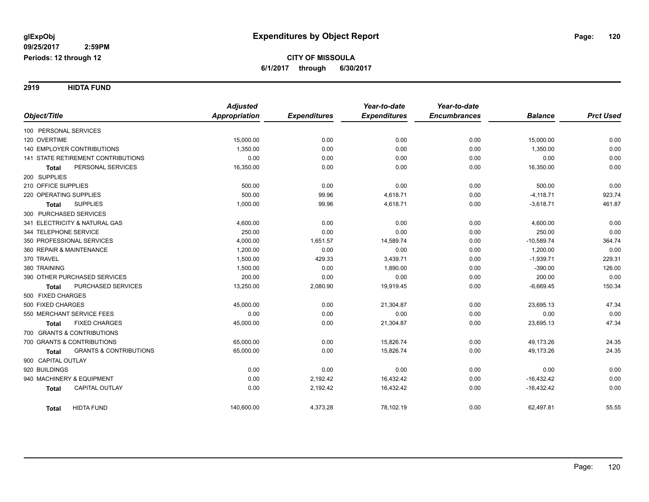**2919 HIDTA FUND**

|                                                   | <b>Adjusted</b>      |                     | Year-to-date        | Year-to-date        |                |                  |
|---------------------------------------------------|----------------------|---------------------|---------------------|---------------------|----------------|------------------|
| Object/Title                                      | <b>Appropriation</b> | <b>Expenditures</b> | <b>Expenditures</b> | <b>Encumbrances</b> | <b>Balance</b> | <b>Prct Used</b> |
| 100 PERSONAL SERVICES                             |                      |                     |                     |                     |                |                  |
| 120 OVERTIME                                      | 15,000.00            | 0.00                | 0.00                | 0.00                | 15,000.00      | 0.00             |
| 140 EMPLOYER CONTRIBUTIONS                        | 1,350.00             | 0.00                | 0.00                | 0.00                | 1,350.00       | 0.00             |
| <b>141 STATE RETIREMENT CONTRIBUTIONS</b>         | 0.00                 | 0.00                | 0.00                | 0.00                | 0.00           | 0.00             |
| PERSONAL SERVICES<br><b>Total</b>                 | 16,350.00            | 0.00                | 0.00                | 0.00                | 16,350.00      | 0.00             |
| 200 SUPPLIES                                      |                      |                     |                     |                     |                |                  |
| 210 OFFICE SUPPLIES                               | 500.00               | 0.00                | 0.00                | 0.00                | 500.00         | 0.00             |
| 220 OPERATING SUPPLIES                            | 500.00               | 99.96               | 4,618.71            | 0.00                | $-4,118.71$    | 923.74           |
| <b>SUPPLIES</b><br>Total                          | 1,000.00             | 99.96               | 4,618.71            | 0.00                | $-3,618.71$    | 461.87           |
| 300 PURCHASED SERVICES                            |                      |                     |                     |                     |                |                  |
| 341 ELECTRICITY & NATURAL GAS                     | 4,600.00             | 0.00                | 0.00                | 0.00                | 4,600.00       | 0.00             |
| 344 TELEPHONE SERVICE                             | 250.00               | 0.00                | 0.00                | 0.00                | 250.00         | 0.00             |
| 350 PROFESSIONAL SERVICES                         | 4,000.00             | 1,651.57            | 14,589.74           | 0.00                | $-10,589.74$   | 364.74           |
| 360 REPAIR & MAINTENANCE                          | 1,200.00             | 0.00                | 0.00                | 0.00                | 1,200.00       | 0.00             |
| 370 TRAVEL                                        | 1,500.00             | 429.33              | 3,439.71            | 0.00                | $-1,939.71$    | 229.31           |
| 380 TRAINING                                      | 1,500.00             | 0.00                | 1,890.00            | 0.00                | $-390.00$      | 126.00           |
| 390 OTHER PURCHASED SERVICES                      | 200.00               | 0.00                | 0.00                | 0.00                | 200.00         | 0.00             |
| <b>PURCHASED SERVICES</b><br><b>Total</b>         | 13,250.00            | 2,080.90            | 19,919.45           | 0.00                | $-6,669.45$    | 150.34           |
| 500 FIXED CHARGES                                 |                      |                     |                     |                     |                |                  |
| 500 FIXED CHARGES                                 | 45,000.00            | 0.00                | 21,304.87           | 0.00                | 23,695.13      | 47.34            |
| 550 MERCHANT SERVICE FEES                         | 0.00                 | 0.00                | 0.00                | 0.00                | 0.00           | 0.00             |
| <b>FIXED CHARGES</b><br>Total                     | 45,000.00            | 0.00                | 21,304.87           | 0.00                | 23,695.13      | 47.34            |
| 700 GRANTS & CONTRIBUTIONS                        |                      |                     |                     |                     |                |                  |
| 700 GRANTS & CONTRIBUTIONS                        | 65,000.00            | 0.00                | 15,826.74           | 0.00                | 49,173.26      | 24.35            |
| <b>GRANTS &amp; CONTRIBUTIONS</b><br><b>Total</b> | 65,000.00            | 0.00                | 15,826.74           | 0.00                | 49,173.26      | 24.35            |
| 900 CAPITAL OUTLAY                                |                      |                     |                     |                     |                |                  |
| 920 BUILDINGS                                     | 0.00                 | 0.00                | 0.00                | 0.00                | 0.00           | 0.00             |
| 940 MACHINERY & EQUIPMENT                         | 0.00                 | 2,192.42            | 16,432.42           | 0.00                | $-16,432.42$   | 0.00             |
| CAPITAL OUTLAY<br><b>Total</b>                    | 0.00                 | 2,192.42            | 16,432.42           | 0.00                | $-16,432.42$   | 0.00             |
| <b>HIDTA FUND</b><br><b>Total</b>                 | 140,600.00           | 4,373.28            | 78,102.19           | 0.00                | 62,497.81      | 55.55            |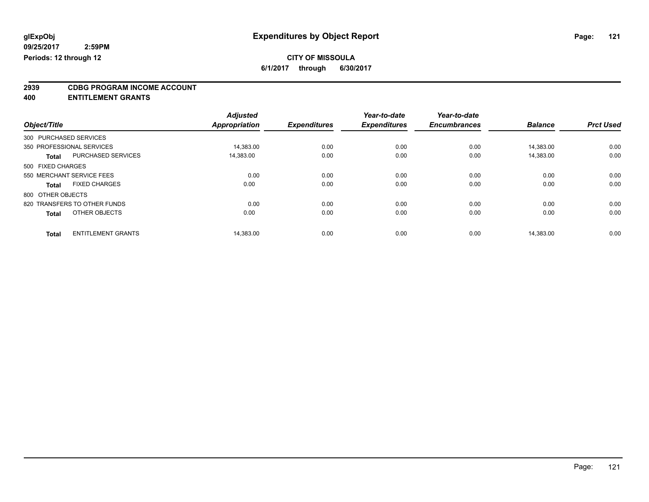## **CITY OF MISSOULA**

**6/1/2017 through 6/30/2017**

# **2939 CDBG PROGRAM INCOME ACCOUNT**

**400 ENTITLEMENT GRANTS**

|                        |                              | <b>Adjusted</b>      |                     | Year-to-date        | Year-to-date        |                |                  |
|------------------------|------------------------------|----------------------|---------------------|---------------------|---------------------|----------------|------------------|
| Object/Title           |                              | <b>Appropriation</b> | <b>Expenditures</b> | <b>Expenditures</b> | <b>Encumbrances</b> | <b>Balance</b> | <b>Prct Used</b> |
| 300 PURCHASED SERVICES |                              |                      |                     |                     |                     |                |                  |
|                        | 350 PROFESSIONAL SERVICES    | 14,383.00            | 0.00                | 0.00                | 0.00                | 14.383.00      | 0.00             |
| <b>Total</b>           | <b>PURCHASED SERVICES</b>    | 14,383.00            | 0.00                | 0.00                | 0.00                | 14.383.00      | 0.00             |
| 500 FIXED CHARGES      |                              |                      |                     |                     |                     |                |                  |
|                        | 550 MERCHANT SERVICE FEES    | 0.00                 | 0.00                | 0.00                | 0.00                | 0.00           | 0.00             |
| Total                  | <b>FIXED CHARGES</b>         | 0.00                 | 0.00                | 0.00                | 0.00                | 0.00           | 0.00             |
| 800 OTHER OBJECTS      |                              |                      |                     |                     |                     |                |                  |
|                        | 820 TRANSFERS TO OTHER FUNDS | 0.00                 | 0.00                | 0.00                | 0.00                | 0.00           | 0.00             |
| <b>Total</b>           | OTHER OBJECTS                | 0.00                 | 0.00                | 0.00                | 0.00                | 0.00           | 0.00             |
| <b>Total</b>           | <b>ENTITLEMENT GRANTS</b>    | 14,383.00            | 0.00                | 0.00                | 0.00                | 14.383.00      | 0.00             |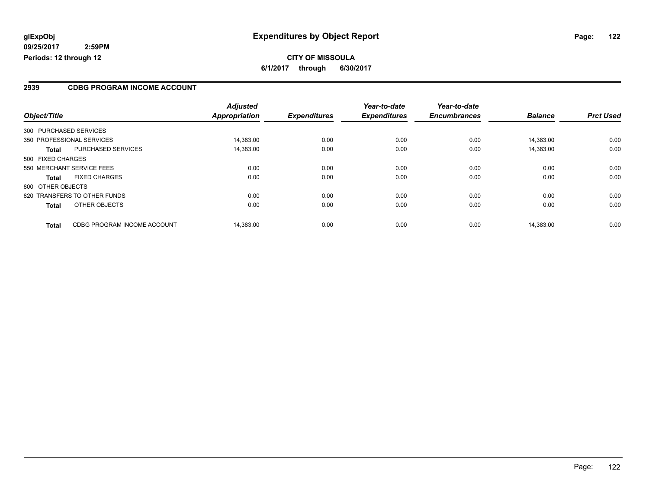#### **2939 CDBG PROGRAM INCOME ACCOUNT**

| Object/Title                                | <b>Adjusted</b><br>Appropriation | <b>Expenditures</b> | Year-to-date<br><b>Expenditures</b> | Year-to-date<br><b>Encumbrances</b> | <b>Balance</b> | <b>Prct Used</b> |
|---------------------------------------------|----------------------------------|---------------------|-------------------------------------|-------------------------------------|----------------|------------------|
|                                             |                                  |                     |                                     |                                     |                |                  |
| 300 PURCHASED SERVICES                      |                                  |                     |                                     |                                     |                |                  |
| 350 PROFESSIONAL SERVICES                   | 14.383.00                        | 0.00                | 0.00                                | 0.00                                | 14.383.00      | 0.00             |
| <b>PURCHASED SERVICES</b><br><b>Total</b>   | 14,383.00                        | 0.00                | 0.00                                | 0.00                                | 14,383.00      | 0.00             |
| 500 FIXED CHARGES                           |                                  |                     |                                     |                                     |                |                  |
| 550 MERCHANT SERVICE FEES                   | 0.00                             | 0.00                | 0.00                                | 0.00                                | 0.00           | 0.00             |
| <b>FIXED CHARGES</b><br><b>Total</b>        | 0.00                             | 0.00                | 0.00                                | 0.00                                | 0.00           | 0.00             |
| 800 OTHER OBJECTS                           |                                  |                     |                                     |                                     |                |                  |
| 820 TRANSFERS TO OTHER FUNDS                | 0.00                             | 0.00                | 0.00                                | 0.00                                | 0.00           | 0.00             |
| OTHER OBJECTS<br><b>Total</b>               | 0.00                             | 0.00                | 0.00                                | 0.00                                | 0.00           | 0.00             |
| CDBG PROGRAM INCOME ACCOUNT<br><b>Total</b> | 14.383.00                        | 0.00                | 0.00                                | 0.00                                | 14.383.00      | 0.00             |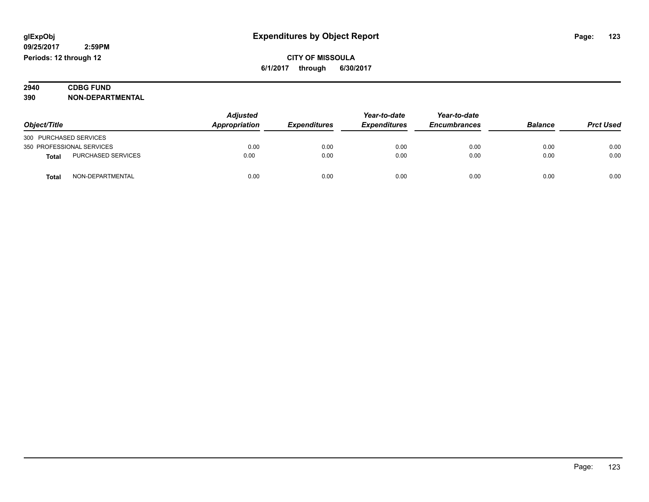| 2940 | <b>CDBG FUND</b>      |
|------|-----------------------|
| 390  | -DEPARTMENTAL<br>NON- |

| Object/Title              |                           | <b>Adjusted</b><br>Appropriation<br><b>Expenditures</b> | Year-to-date | Year-to-date        |                     |                |                  |
|---------------------------|---------------------------|---------------------------------------------------------|--------------|---------------------|---------------------|----------------|------------------|
|                           |                           |                                                         |              | <b>Expenditures</b> | <b>Encumbrances</b> | <b>Balance</b> | <b>Prct Used</b> |
| 300 PURCHASED SERVICES    |                           |                                                         |              |                     |                     |                |                  |
| 350 PROFESSIONAL SERVICES |                           | 0.00                                                    | 0.00         | 0.00                | 0.00                | 0.00           | 0.00             |
| Total                     | <b>PURCHASED SERVICES</b> | 0.00                                                    | 0.00         | 0.00                | 0.00                | 0.00           | 0.00             |
| Tota                      | NON-DEPARTMENTAL          | 0.00                                                    | 0.00         | 0.00                | 0.00                | 0.00           | 0.00             |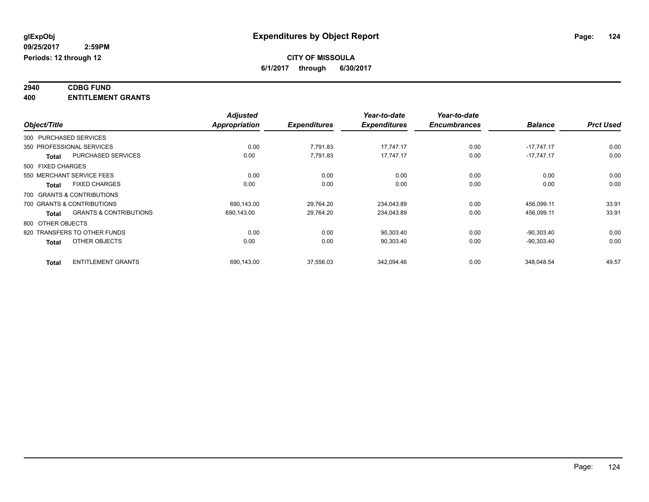#### **2940 CDBG FUND 400 ENTITLEMENT GRANTS**

|                   |                                   | <b>Adjusted</b>      |                     | Year-to-date        | Year-to-date        |                |                  |
|-------------------|-----------------------------------|----------------------|---------------------|---------------------|---------------------|----------------|------------------|
| Object/Title      |                                   | <b>Appropriation</b> | <b>Expenditures</b> | <b>Expenditures</b> | <b>Encumbrances</b> | <b>Balance</b> | <b>Prct Used</b> |
|                   | 300 PURCHASED SERVICES            |                      |                     |                     |                     |                |                  |
|                   | 350 PROFESSIONAL SERVICES         | 0.00                 | 7,791.83            | 17,747.17           | 0.00                | $-17,747.17$   | 0.00             |
| <b>Total</b>      | <b>PURCHASED SERVICES</b>         | 0.00                 | 7,791.83            | 17,747.17           | 0.00                | $-17,747.17$   | 0.00             |
| 500 FIXED CHARGES |                                   |                      |                     |                     |                     |                |                  |
|                   | 550 MERCHANT SERVICE FEES         | 0.00                 | 0.00                | 0.00                | 0.00                | 0.00           | 0.00             |
| <b>Total</b>      | <b>FIXED CHARGES</b>              | 0.00                 | 0.00                | 0.00                | 0.00                | 0.00           | 0.00             |
|                   | 700 GRANTS & CONTRIBUTIONS        |                      |                     |                     |                     |                |                  |
|                   | 700 GRANTS & CONTRIBUTIONS        | 690.143.00           | 29.764.20           | 234,043.89          | 0.00                | 456,099.11     | 33.91            |
| <b>Total</b>      | <b>GRANTS &amp; CONTRIBUTIONS</b> | 690,143.00           | 29,764.20           | 234,043.89          | 0.00                | 456,099.11     | 33.91            |
| 800 OTHER OBJECTS |                                   |                      |                     |                     |                     |                |                  |
|                   | 820 TRANSFERS TO OTHER FUNDS      | 0.00                 | 0.00                | 90,303.40           | 0.00                | $-90.303.40$   | 0.00             |
| <b>Total</b>      | OTHER OBJECTS                     | 0.00                 | 0.00                | 90,303.40           | 0.00                | $-90,303.40$   | 0.00             |
| <b>Total</b>      | <b>ENTITLEMENT GRANTS</b>         | 690,143.00           | 37,556.03           | 342,094.46          | 0.00                | 348,048.54     | 49.57            |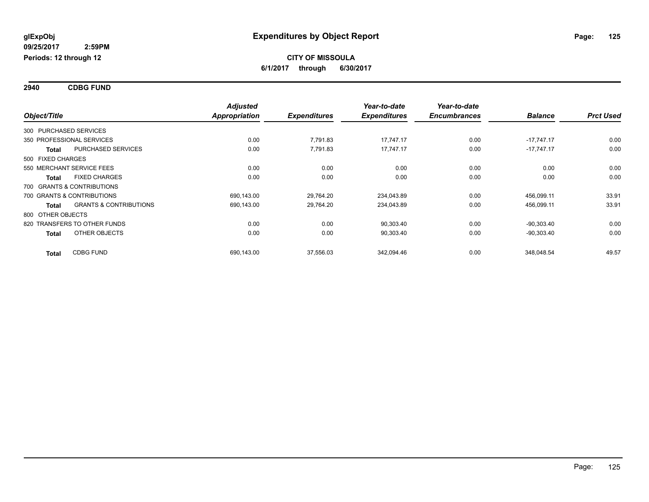**2940 CDBG FUND**

| Object/Title           |                                   | <b>Adjusted</b> | <b>Expenditures</b> | Year-to-date<br><b>Expenditures</b> | Year-to-date<br><b>Encumbrances</b> | <b>Balance</b> | <b>Prct Used</b> |
|------------------------|-----------------------------------|-----------------|---------------------|-------------------------------------|-------------------------------------|----------------|------------------|
|                        |                                   | Appropriation   |                     |                                     |                                     |                |                  |
| 300 PURCHASED SERVICES |                                   |                 |                     |                                     |                                     |                |                  |
|                        | 350 PROFESSIONAL SERVICES         | 0.00            | 7,791.83            | 17.747.17                           | 0.00                                | $-17.747.17$   | 0.00             |
| <b>Total</b>           | <b>PURCHASED SERVICES</b>         | 0.00            | 7.791.83            | 17.747.17                           | 0.00                                | $-17.747.17$   | 0.00             |
| 500 FIXED CHARGES      |                                   |                 |                     |                                     |                                     |                |                  |
|                        | 550 MERCHANT SERVICE FEES         | 0.00            | 0.00                | 0.00                                | 0.00                                | 0.00           | 0.00             |
| <b>Total</b>           | <b>FIXED CHARGES</b>              | 0.00            | 0.00                | 0.00                                | 0.00                                | 0.00           | 0.00             |
|                        | 700 GRANTS & CONTRIBUTIONS        |                 |                     |                                     |                                     |                |                  |
|                        | 700 GRANTS & CONTRIBUTIONS        | 690,143.00      | 29,764.20           | 234,043.89                          | 0.00                                | 456,099.11     | 33.91            |
| Total                  | <b>GRANTS &amp; CONTRIBUTIONS</b> | 690,143.00      | 29,764.20           | 234,043.89                          | 0.00                                | 456,099.11     | 33.91            |
| 800 OTHER OBJECTS      |                                   |                 |                     |                                     |                                     |                |                  |
|                        | 820 TRANSFERS TO OTHER FUNDS      | 0.00            | 0.00                | 90,303.40                           | 0.00                                | $-90,303.40$   | 0.00             |
| <b>Total</b>           | OTHER OBJECTS                     | 0.00            | 0.00                | 90,303.40                           | 0.00                                | $-90,303.40$   | 0.00             |
| <b>Total</b>           | <b>CDBG FUND</b>                  | 690,143.00      | 37,556.03           | 342,094.46                          | 0.00                                | 348,048.54     | 49.57            |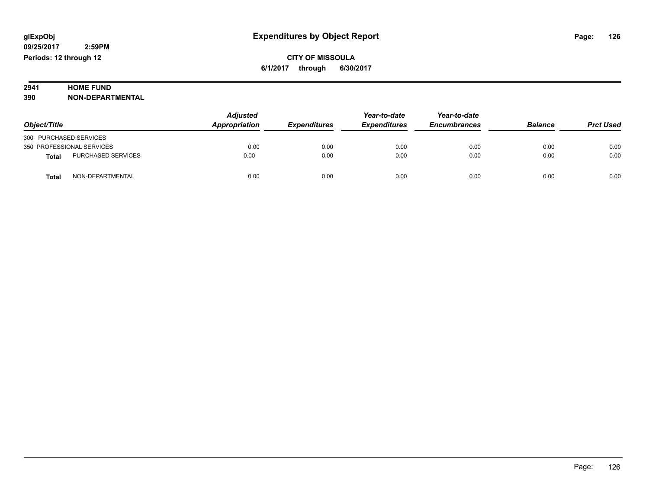# **2941 HOME FUND<br>390 NON-DEPART**

**390 NON-DEPARTMENTAL**

|                                    | Adjusted<br>Appropriation<br><b>Expenditures</b> | Year-to-date | Year-to-date        |                     |                |                  |
|------------------------------------|--------------------------------------------------|--------------|---------------------|---------------------|----------------|------------------|
| Object/Title                       |                                                  |              | <b>Expenditures</b> | <b>Encumbrances</b> | <b>Balance</b> | <b>Prct Used</b> |
| 300 PURCHASED SERVICES             |                                                  |              |                     |                     |                |                  |
| 350 PROFESSIONAL SERVICES          | 0.00                                             | 0.00         | 0.00                | 0.00                | 0.00           | 0.00             |
| PURCHASED SERVICES<br><b>Total</b> | 0.00                                             | 0.00         | 0.00                | 0.00                | 0.00           | 0.00             |
| NON-DEPARTMENTAL<br><b>Total</b>   | 0.00                                             | 0.00         | 0.00                | 0.00                | 0.00           | 0.00             |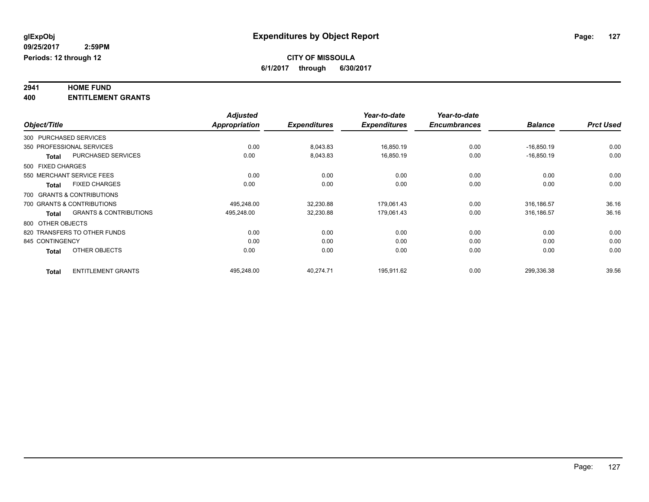# **2941 HOME FUND**

**400 ENTITLEMENT GRANTS**

|                   |                                   | <b>Adjusted</b>      |                     | Year-to-date        | Year-to-date        |                |                  |
|-------------------|-----------------------------------|----------------------|---------------------|---------------------|---------------------|----------------|------------------|
| Object/Title      |                                   | <b>Appropriation</b> | <b>Expenditures</b> | <b>Expenditures</b> | <b>Encumbrances</b> | <b>Balance</b> | <b>Prct Used</b> |
|                   | 300 PURCHASED SERVICES            |                      |                     |                     |                     |                |                  |
|                   | 350 PROFESSIONAL SERVICES         | 0.00                 | 8,043.83            | 16,850.19           | 0.00                | $-16,850.19$   | 0.00             |
| <b>Total</b>      | <b>PURCHASED SERVICES</b>         | 0.00                 | 8,043.83            | 16,850.19           | 0.00                | $-16,850.19$   | 0.00             |
| 500 FIXED CHARGES |                                   |                      |                     |                     |                     |                |                  |
|                   | 550 MERCHANT SERVICE FEES         | 0.00                 | 0.00                | 0.00                | 0.00                | 0.00           | 0.00             |
| <b>Total</b>      | <b>FIXED CHARGES</b>              | 0.00                 | 0.00                | 0.00                | 0.00                | 0.00           | 0.00             |
|                   | 700 GRANTS & CONTRIBUTIONS        |                      |                     |                     |                     |                |                  |
|                   | 700 GRANTS & CONTRIBUTIONS        | 495.248.00           | 32,230.88           | 179,061.43          | 0.00                | 316.186.57     | 36.16            |
| <b>Total</b>      | <b>GRANTS &amp; CONTRIBUTIONS</b> | 495,248.00           | 32,230.88           | 179,061.43          | 0.00                | 316,186.57     | 36.16            |
| 800 OTHER OBJECTS |                                   |                      |                     |                     |                     |                |                  |
|                   | 820 TRANSFERS TO OTHER FUNDS      | 0.00                 | 0.00                | 0.00                | 0.00                | 0.00           | 0.00             |
| 845 CONTINGENCY   |                                   | 0.00                 | 0.00                | 0.00                | 0.00                | 0.00           | 0.00             |
| <b>Total</b>      | OTHER OBJECTS                     | 0.00                 | 0.00                | 0.00                | 0.00                | 0.00           | 0.00             |
| <b>Total</b>      | <b>ENTITLEMENT GRANTS</b>         | 495.248.00           | 40.274.71           | 195,911.62          | 0.00                | 299,336.38     | 39.56            |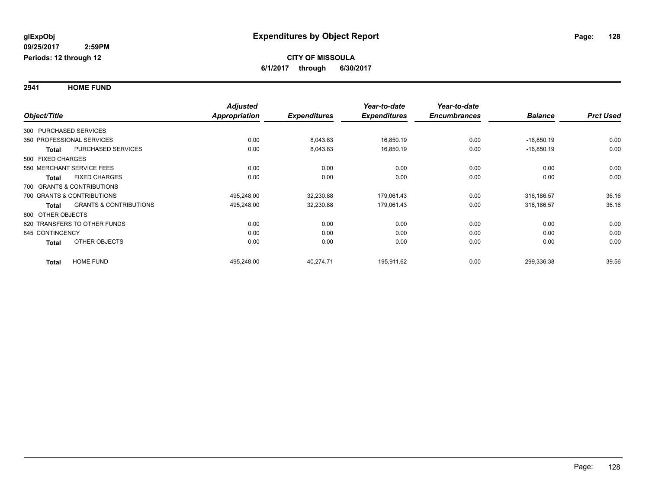**2941 HOME FUND**

|                                                   | <b>Adjusted</b> |                     | Year-to-date        | Year-to-date        |                |                  |
|---------------------------------------------------|-----------------|---------------------|---------------------|---------------------|----------------|------------------|
| Object/Title                                      | Appropriation   | <b>Expenditures</b> | <b>Expenditures</b> | <b>Encumbrances</b> | <b>Balance</b> | <b>Prct Used</b> |
| 300 PURCHASED SERVICES                            |                 |                     |                     |                     |                |                  |
| 350 PROFESSIONAL SERVICES                         | 0.00            | 8,043.83            | 16,850.19           | 0.00                | $-16,850.19$   | 0.00             |
| PURCHASED SERVICES<br>Total                       | 0.00            | 8,043.83            | 16,850.19           | 0.00                | $-16,850.19$   | 0.00             |
| 500 FIXED CHARGES                                 |                 |                     |                     |                     |                |                  |
| 550 MERCHANT SERVICE FEES                         | 0.00            | 0.00                | 0.00                | 0.00                | 0.00           | 0.00             |
| <b>FIXED CHARGES</b><br><b>Total</b>              | 0.00            | 0.00                | 0.00                | 0.00                | 0.00           | 0.00             |
| 700 GRANTS & CONTRIBUTIONS                        |                 |                     |                     |                     |                |                  |
| 700 GRANTS & CONTRIBUTIONS                        | 495,248.00      | 32,230.88           | 179,061.43          | 0.00                | 316,186.57     | 36.16            |
| <b>GRANTS &amp; CONTRIBUTIONS</b><br><b>Total</b> | 495,248.00      | 32,230.88           | 179,061.43          | 0.00                | 316,186.57     | 36.16            |
| 800 OTHER OBJECTS                                 |                 |                     |                     |                     |                |                  |
| 820 TRANSFERS TO OTHER FUNDS                      | 0.00            | 0.00                | 0.00                | 0.00                | 0.00           | 0.00             |
| 845 CONTINGENCY                                   | 0.00            | 0.00                | 0.00                | 0.00                | 0.00           | 0.00             |
| OTHER OBJECTS<br><b>Total</b>                     | 0.00            | 0.00                | 0.00                | 0.00                | 0.00           | 0.00             |
| <b>HOME FUND</b><br><b>Total</b>                  | 495,248.00      | 40,274.71           | 195,911.62          | 0.00                | 299,336.38     | 39.56            |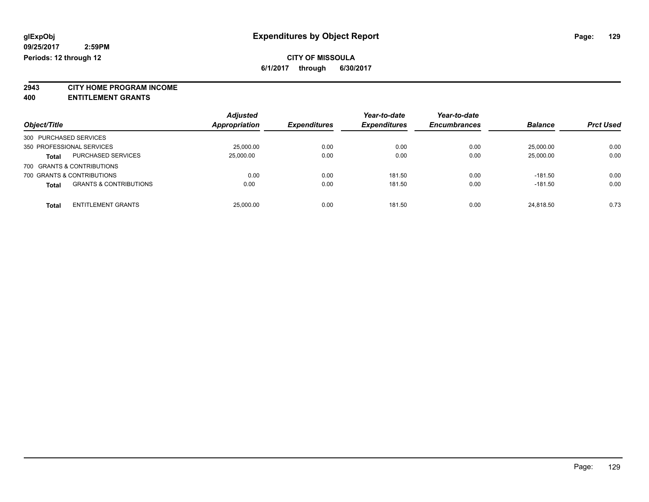**2943 CITY HOME PROGRAM INCOME**

**400 ENTITLEMENT GRANTS**

| Object/Title           |                                   | <b>Adjusted</b><br>Appropriation | <b>Expenditures</b> | Year-to-date<br><b>Expenditures</b> | Year-to-date<br><b>Encumbrances</b> | <b>Balance</b> | <b>Prct Used</b> |
|------------------------|-----------------------------------|----------------------------------|---------------------|-------------------------------------|-------------------------------------|----------------|------------------|
| 300 PURCHASED SERVICES |                                   |                                  |                     |                                     |                                     |                |                  |
|                        | 350 PROFESSIONAL SERVICES         | 25.000.00                        | 0.00                | 0.00                                | 0.00                                | 25.000.00      | 0.00             |
| <b>Total</b>           | <b>PURCHASED SERVICES</b>         | 25,000.00                        | 0.00                | 0.00                                | 0.00                                | 25,000.00      | 0.00             |
|                        | 700 GRANTS & CONTRIBUTIONS        |                                  |                     |                                     |                                     |                |                  |
|                        | 700 GRANTS & CONTRIBUTIONS        | 0.00                             | 0.00                | 181.50                              | 0.00                                | $-181.50$      | 0.00             |
| <b>Total</b>           | <b>GRANTS &amp; CONTRIBUTIONS</b> | 0.00                             | 0.00                | 181.50                              | 0.00                                | $-181.50$      | 0.00             |
| <b>Total</b>           | <b>ENTITLEMENT GRANTS</b>         | 25,000.00                        | 0.00                | 181.50                              | 0.00                                | 24.818.50      | 0.73             |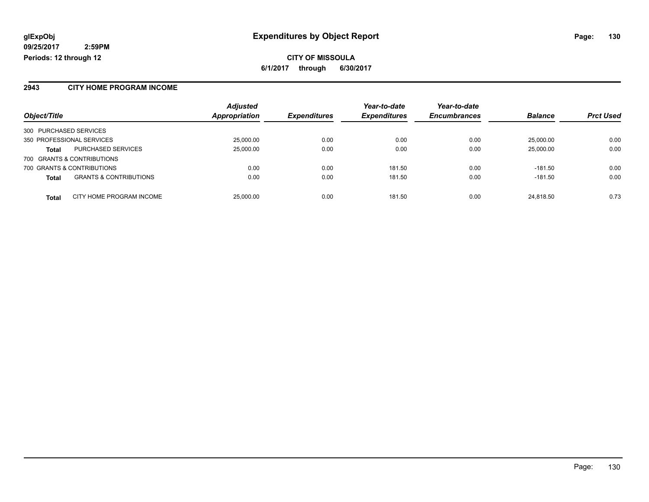#### **2943 CITY HOME PROGRAM INCOME**

|                                                   | <b>Adjusted</b> |                     | Year-to-date        | Year-to-date        |                |                  |
|---------------------------------------------------|-----------------|---------------------|---------------------|---------------------|----------------|------------------|
| Object/Title                                      | Appropriation   | <b>Expenditures</b> | <b>Expenditures</b> | <b>Encumbrances</b> | <b>Balance</b> | <b>Prct Used</b> |
| 300 PURCHASED SERVICES                            |                 |                     |                     |                     |                |                  |
| 350 PROFESSIONAL SERVICES                         | 25,000.00       | 0.00                | 0.00                | 0.00                | 25,000.00      | 0.00             |
| PURCHASED SERVICES<br><b>Total</b>                | 25,000.00       | 0.00                | 0.00                | 0.00                | 25,000.00      | 0.00             |
| 700 GRANTS & CONTRIBUTIONS                        |                 |                     |                     |                     |                |                  |
| 700 GRANTS & CONTRIBUTIONS                        | 0.00            | 0.00                | 181.50              | 0.00                | $-181.50$      | 0.00             |
| <b>GRANTS &amp; CONTRIBUTIONS</b><br><b>Total</b> | 0.00            | 0.00                | 181.50              | 0.00                | $-181.50$      | 0.00             |
| CITY HOME PROGRAM INCOME<br><b>Total</b>          | 25,000.00       | 0.00                | 181.50              | 0.00                | 24.818.50      | 0.73             |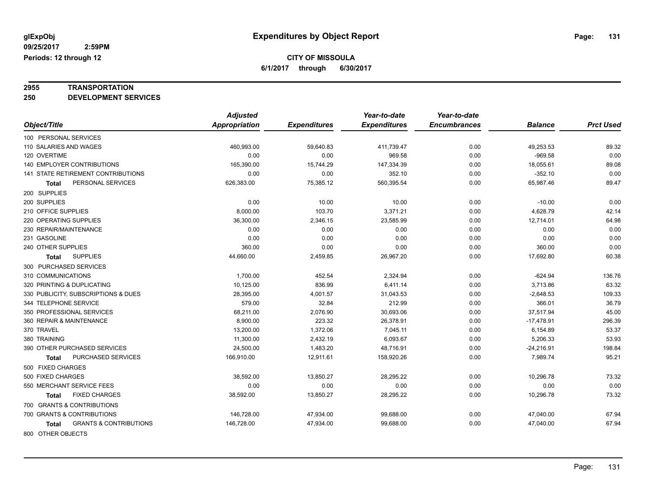# **2955 TRANSPORTATION**

**250 DEVELOPMENT SERVICES**

|                                            | <b>Adjusted</b>      |                     | Year-to-date        | Year-to-date        |                |                  |
|--------------------------------------------|----------------------|---------------------|---------------------|---------------------|----------------|------------------|
| Object/Title                               | <b>Appropriation</b> | <b>Expenditures</b> | <b>Expenditures</b> | <b>Encumbrances</b> | <b>Balance</b> | <b>Prct Used</b> |
| 100 PERSONAL SERVICES                      |                      |                     |                     |                     |                |                  |
| 110 SALARIES AND WAGES                     | 460,993.00           | 59,640.83           | 411,739.47          | 0.00                | 49,253.53      | 89.32            |
| 120 OVERTIME                               | 0.00                 | 0.00                | 969.58              | 0.00                | $-969.58$      | 0.00             |
| 140 EMPLOYER CONTRIBUTIONS                 | 165,390.00           | 15,744.29           | 147,334.39          | 0.00                | 18,055.61      | 89.08            |
| <b>141 STATE RETIREMENT CONTRIBUTIONS</b>  | 0.00                 | 0.00                | 352.10              | 0.00                | $-352.10$      | 0.00             |
| PERSONAL SERVICES<br>Total                 | 626,383.00           | 75,385.12           | 560,395.54          | 0.00                | 65,987.46      | 89.47            |
| 200 SUPPLIES                               |                      |                     |                     |                     |                |                  |
| 200 SUPPLIES                               | 0.00                 | 10.00               | 10.00               | 0.00                | $-10.00$       | 0.00             |
| 210 OFFICE SUPPLIES                        | 8,000.00             | 103.70              | 3,371.21            | 0.00                | 4,628.79       | 42.14            |
| 220 OPERATING SUPPLIES                     | 36,300.00            | 2,346.15            | 23,585.99           | 0.00                | 12,714.01      | 64.98            |
| 230 REPAIR/MAINTENANCE                     | 0.00                 | 0.00                | 0.00                | 0.00                | 0.00           | 0.00             |
| 231 GASOLINE                               | 0.00                 | 0.00                | 0.00                | 0.00                | 0.00           | 0.00             |
| 240 OTHER SUPPLIES                         | 360.00               | 0.00                | 0.00                | 0.00                | 360.00         | 0.00             |
| <b>SUPPLIES</b><br>Total                   | 44,660.00            | 2,459.85            | 26,967.20           | 0.00                | 17,692.80      | 60.38            |
| 300 PURCHASED SERVICES                     |                      |                     |                     |                     |                |                  |
| 310 COMMUNICATIONS                         | 1,700.00             | 452.54              | 2,324.94            | 0.00                | $-624.94$      | 136.76           |
| 320 PRINTING & DUPLICATING                 | 10,125.00            | 836.99              | 6,411.14            | 0.00                | 3,713.86       | 63.32            |
| 330 PUBLICITY, SUBSCRIPTIONS & DUES        | 28,395.00            | 4,001.57            | 31,043.53           | 0.00                | $-2,648.53$    | 109.33           |
| 344 TELEPHONE SERVICE                      | 579.00               | 32.84               | 212.99              | 0.00                | 366.01         | 36.79            |
| 350 PROFESSIONAL SERVICES                  | 68,211.00            | 2,076.90            | 30,693.06           | 0.00                | 37,517.94      | 45.00            |
| 360 REPAIR & MAINTENANCE                   | 8,900.00             | 223.32              | 26,378.91           | 0.00                | $-17,478.91$   | 296.39           |
| 370 TRAVEL                                 | 13,200.00            | 1,372.06            | 7,045.11            | 0.00                | 6,154.89       | 53.37            |
| 380 TRAINING                               | 11,300.00            | 2,432.19            | 6,093.67            | 0.00                | 5,206.33       | 53.93            |
| 390 OTHER PURCHASED SERVICES               | 24,500.00            | 1,483.20            | 48,716.91           | 0.00                | $-24,216.91$   | 198.84           |
| PURCHASED SERVICES<br>Total                | 166,910.00           | 12,911.61           | 158,920.26          | 0.00                | 7,989.74       | 95.21            |
| 500 FIXED CHARGES                          |                      |                     |                     |                     |                |                  |
| 500 FIXED CHARGES                          | 38,592.00            | 13,850.27           | 28,295.22           | 0.00                | 10,296.78      | 73.32            |
| 550 MERCHANT SERVICE FEES                  | 0.00                 | 0.00                | 0.00                | 0.00                | 0.00           | 0.00             |
| <b>FIXED CHARGES</b><br>Total              | 38,592.00            | 13,850.27           | 28,295.22           | 0.00                | 10,296.78      | 73.32            |
| 700 GRANTS & CONTRIBUTIONS                 |                      |                     |                     |                     |                |                  |
| 700 GRANTS & CONTRIBUTIONS                 | 146,728.00           | 47,934.00           | 99,688.00           | 0.00                | 47,040.00      | 67.94            |
| <b>GRANTS &amp; CONTRIBUTIONS</b><br>Total | 146,728.00           | 47,934.00           | 99,688.00           | 0.00                | 47,040.00      | 67.94            |
| 800 OTHER OBJECTS                          |                      |                     |                     |                     |                |                  |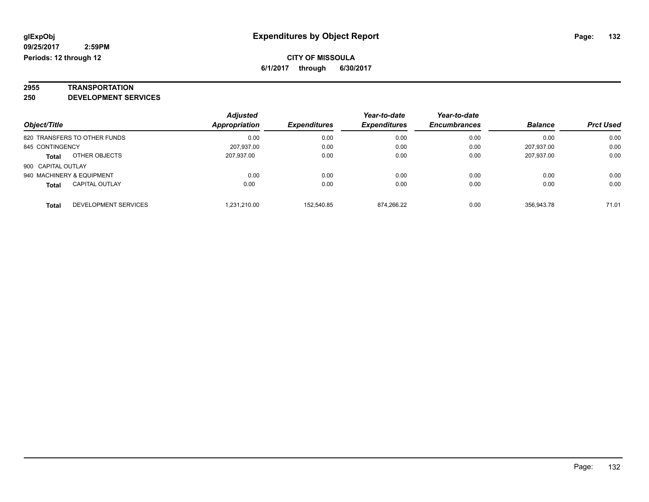# **2955 TRANSPORTATION**

**250 DEVELOPMENT SERVICES**

| Object/Title                          | <b>Adjusted</b><br>Appropriation | <b>Expenditures</b> | Year-to-date<br><b>Expenditures</b> | Year-to-date<br><b>Encumbrances</b> | <b>Balance</b> | <b>Prct Used</b> |
|---------------------------------------|----------------------------------|---------------------|-------------------------------------|-------------------------------------|----------------|------------------|
| 820 TRANSFERS TO OTHER FUNDS          | 0.00                             | 0.00                | 0.00                                | 0.00                                | 0.00           | 0.00             |
| 845 CONTINGENCY                       | 207,937.00                       | 0.00                | 0.00                                | 0.00                                | 207.937.00     | 0.00             |
| OTHER OBJECTS<br><b>Total</b>         | 207,937.00                       | 0.00                | 0.00                                | 0.00                                | 207.937.00     | 0.00             |
| 900 CAPITAL OUTLAY                    |                                  |                     |                                     |                                     |                |                  |
| 940 MACHINERY & EQUIPMENT             | 0.00                             | 0.00                | 0.00                                | 0.00                                | 0.00           | 0.00             |
| <b>CAPITAL OUTLAY</b><br><b>Total</b> | 0.00                             | 0.00                | 0.00                                | 0.00                                | 0.00           | 0.00             |
| DEVELOPMENT SERVICES<br>Total         | .231.210.00                      | 152,540.85          | 874,266.22                          | 0.00                                | 356.943.78     | 71.01            |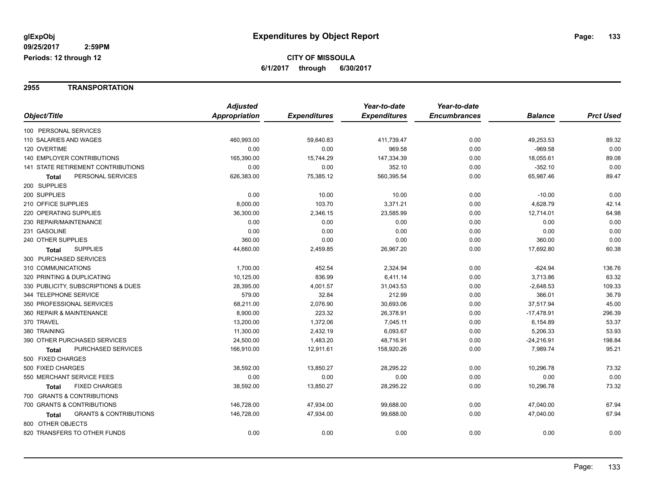#### **2955 TRANSPORTATION**

|                                            | <b>Adjusted</b> |                     | Year-to-date        | Year-to-date        |                |                  |
|--------------------------------------------|-----------------|---------------------|---------------------|---------------------|----------------|------------------|
| Object/Title                               | Appropriation   | <b>Expenditures</b> | <b>Expenditures</b> | <b>Encumbrances</b> | <b>Balance</b> | <b>Prct Used</b> |
| 100 PERSONAL SERVICES                      |                 |                     |                     |                     |                |                  |
| 110 SALARIES AND WAGES                     | 460,993.00      | 59,640.83           | 411,739.47          | 0.00                | 49,253.53      | 89.32            |
| 120 OVERTIME                               | 0.00            | 0.00                | 969.58              | 0.00                | $-969.58$      | 0.00             |
| <b>140 EMPLOYER CONTRIBUTIONS</b>          | 165,390.00      | 15,744.29           | 147,334.39          | 0.00                | 18,055.61      | 89.08            |
| 141 STATE RETIREMENT CONTRIBUTIONS         | 0.00            | 0.00                | 352.10              | 0.00                | $-352.10$      | 0.00             |
| PERSONAL SERVICES<br>Total                 | 626,383.00      | 75,385.12           | 560,395.54          | 0.00                | 65,987.46      | 89.47            |
| 200 SUPPLIES                               |                 |                     |                     |                     |                |                  |
| 200 SUPPLIES                               | 0.00            | 10.00               | 10.00               | 0.00                | $-10.00$       | 0.00             |
| 210 OFFICE SUPPLIES                        | 8,000.00        | 103.70              | 3,371.21            | 0.00                | 4,628.79       | 42.14            |
| 220 OPERATING SUPPLIES                     | 36,300.00       | 2,346.15            | 23,585.99           | 0.00                | 12,714.01      | 64.98            |
| 230 REPAIR/MAINTENANCE                     | 0.00            | 0.00                | 0.00                | 0.00                | 0.00           | 0.00             |
| 231 GASOLINE                               | 0.00            | 0.00                | 0.00                | 0.00                | 0.00           | 0.00             |
| 240 OTHER SUPPLIES                         | 360.00          | 0.00                | 0.00                | 0.00                | 360.00         | 0.00             |
| <b>SUPPLIES</b><br>Total                   | 44,660.00       | 2,459.85            | 26,967.20           | 0.00                | 17,692.80      | 60.38            |
| 300 PURCHASED SERVICES                     |                 |                     |                     |                     |                |                  |
| 310 COMMUNICATIONS                         | 1,700.00        | 452.54              | 2,324.94            | 0.00                | $-624.94$      | 136.76           |
| 320 PRINTING & DUPLICATING                 | 10,125.00       | 836.99              | 6,411.14            | 0.00                | 3,713.86       | 63.32            |
| 330 PUBLICITY, SUBSCRIPTIONS & DUES        | 28,395.00       | 4,001.57            | 31,043.53           | 0.00                | $-2,648.53$    | 109.33           |
| 344 TELEPHONE SERVICE                      | 579.00          | 32.84               | 212.99              | 0.00                | 366.01         | 36.79            |
| 350 PROFESSIONAL SERVICES                  | 68,211.00       | 2,076.90            | 30,693.06           | 0.00                | 37,517.94      | 45.00            |
| 360 REPAIR & MAINTENANCE                   | 8,900.00        | 223.32              | 26,378.91           | 0.00                | $-17,478.91$   | 296.39           |
| 370 TRAVEL                                 | 13,200.00       | 1,372.06            | 7,045.11            | 0.00                | 6,154.89       | 53.37            |
| 380 TRAINING                               | 11,300.00       | 2,432.19            | 6,093.67            | 0.00                | 5,206.33       | 53.93            |
| 390 OTHER PURCHASED SERVICES               | 24,500.00       | 1,483.20            | 48,716.91           | 0.00                | $-24,216.91$   | 198.84           |
| PURCHASED SERVICES<br><b>Total</b>         | 166,910.00      | 12,911.61           | 158,920.26          | 0.00                | 7,989.74       | 95.21            |
| 500 FIXED CHARGES                          |                 |                     |                     |                     |                |                  |
| 500 FIXED CHARGES                          | 38,592.00       | 13,850.27           | 28,295.22           | 0.00                | 10,296.78      | 73.32            |
| 550 MERCHANT SERVICE FEES                  | 0.00            | 0.00                | 0.00                | 0.00                | 0.00           | 0.00             |
| <b>FIXED CHARGES</b><br><b>Total</b>       | 38,592.00       | 13,850.27           | 28,295.22           | 0.00                | 10,296.78      | 73.32            |
| 700 GRANTS & CONTRIBUTIONS                 |                 |                     |                     |                     |                |                  |
| 700 GRANTS & CONTRIBUTIONS                 | 146,728.00      | 47,934.00           | 99,688.00           | 0.00                | 47,040.00      | 67.94            |
| <b>GRANTS &amp; CONTRIBUTIONS</b><br>Total | 146,728.00      | 47,934.00           | 99,688.00           | 0.00                | 47,040.00      | 67.94            |
| 800 OTHER OBJECTS                          |                 |                     |                     |                     |                |                  |
| 820 TRANSFERS TO OTHER FUNDS               | 0.00            | 0.00                | 0.00                | 0.00                | 0.00           | 0.00             |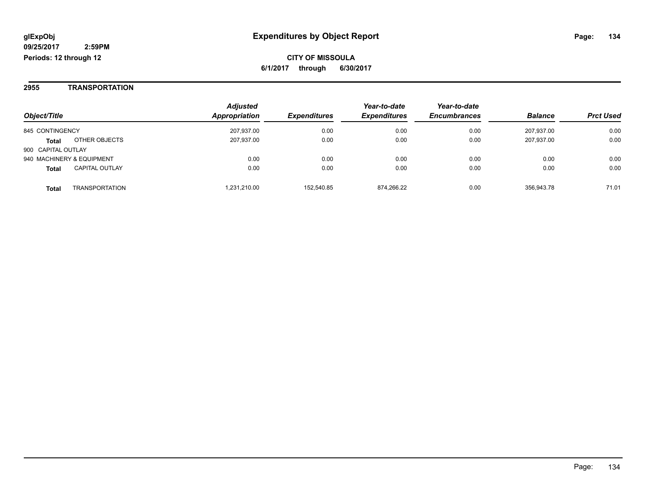#### **2955 TRANSPORTATION**

| Object/Title              |                       | <b>Adjusted</b><br>Appropriation | <b>Expenditures</b> | Year-to-date<br><b>Expenditures</b> | Year-to-date<br><b>Encumbrances</b> | <b>Balance</b> | <b>Prct Used</b> |
|---------------------------|-----------------------|----------------------------------|---------------------|-------------------------------------|-------------------------------------|----------------|------------------|
| 845 CONTINGENCY           |                       | 207,937.00                       | 0.00                | 0.00                                | 0.00                                | 207,937.00     | 0.00             |
| <b>Total</b>              | OTHER OBJECTS         | 207,937.00                       | 0.00                | 0.00                                | 0.00                                | 207,937.00     | 0.00             |
| 900 CAPITAL OUTLAY        |                       |                                  |                     |                                     |                                     |                |                  |
| 940 MACHINERY & EQUIPMENT |                       | 0.00                             | 0.00                | 0.00                                | 0.00                                | 0.00           | 0.00             |
| <b>Total</b>              | <b>CAPITAL OUTLAY</b> | 0.00                             | 0.00                | 0.00                                | 0.00                                | 0.00           | 0.00             |
| <b>Total</b>              | <b>TRANSPORTATION</b> | .231.210.00                      | 152.540.85          | 874,266.22                          | 0.00                                | 356,943.78     | 71.01            |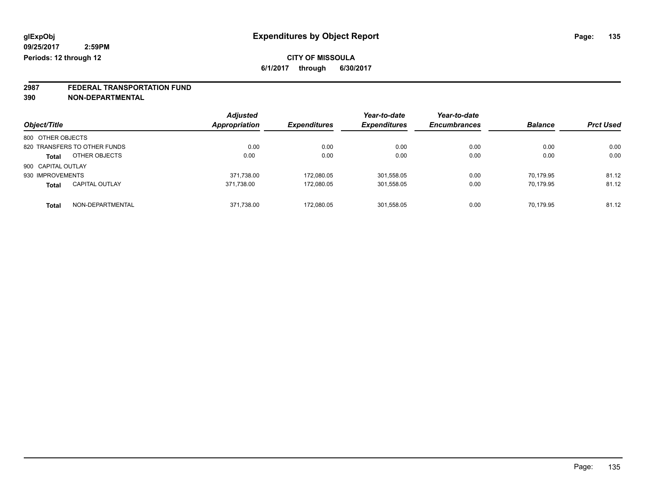# **2987 FEDERAL TRANSPORTATION FUND**

**390 NON-DEPARTMENTAL**

|                    |                              | <b>Adjusted</b><br>Appropriation |                     | Year-to-date        | Year-to-date<br><b>Encumbrances</b> | <b>Balance</b> | <b>Prct Used</b> |
|--------------------|------------------------------|----------------------------------|---------------------|---------------------|-------------------------------------|----------------|------------------|
| Object/Title       |                              |                                  | <b>Expenditures</b> | <b>Expenditures</b> |                                     |                |                  |
| 800 OTHER OBJECTS  |                              |                                  |                     |                     |                                     |                |                  |
|                    | 820 TRANSFERS TO OTHER FUNDS | 0.00                             | 0.00                | 0.00                | 0.00                                | 0.00           | 0.00             |
| <b>Total</b>       | OTHER OBJECTS                | 0.00                             | 0.00                | 0.00                | 0.00                                | 0.00           | 0.00             |
| 900 CAPITAL OUTLAY |                              |                                  |                     |                     |                                     |                |                  |
| 930 IMPROVEMENTS   |                              | 371,738.00                       | 172.080.05          | 301,558.05          | 0.00                                | 70.179.95      | 81.12            |
| <b>Total</b>       | <b>CAPITAL OUTLAY</b>        | 371.738.00                       | 172.080.05          | 301,558.05          | 0.00                                | 70.179.95      | 81.12            |
| <b>Total</b>       | NON-DEPARTMENTAL             | 371,738.00                       | 172.080.05          | 301,558.05          | 0.00                                | 70,179.95      | 81.12            |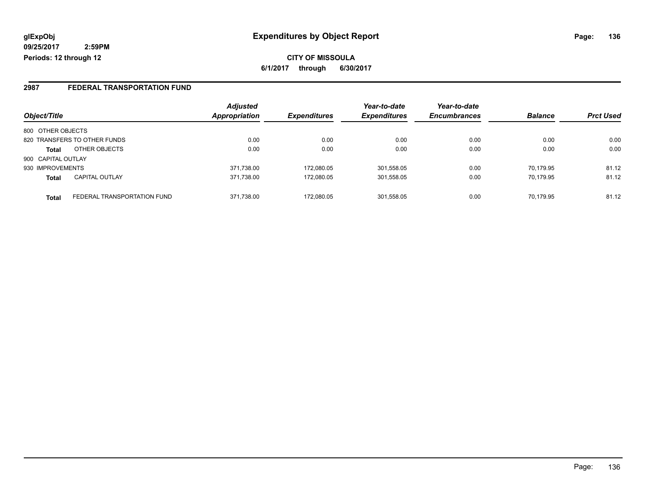### **2987 FEDERAL TRANSPORTATION FUND**

| Object/Title       |                              | <b>Adjusted</b><br><b>Appropriation</b> | <b>Expenditures</b> | Year-to-date<br><b>Expenditures</b> | Year-to-date<br><b>Encumbrances</b> | <b>Balance</b> | <b>Prct Used</b> |
|--------------------|------------------------------|-----------------------------------------|---------------------|-------------------------------------|-------------------------------------|----------------|------------------|
|                    |                              |                                         |                     |                                     |                                     |                |                  |
| 800 OTHER OBJECTS  |                              |                                         |                     |                                     |                                     |                |                  |
|                    | 820 TRANSFERS TO OTHER FUNDS | 0.00                                    | 0.00                | 0.00                                | 0.00                                | 0.00           | 0.00             |
| <b>Total</b>       | OTHER OBJECTS                | 0.00                                    | 0.00                | 0.00                                | 0.00                                | 0.00           | 0.00             |
| 900 CAPITAL OUTLAY |                              |                                         |                     |                                     |                                     |                |                  |
| 930 IMPROVEMENTS   |                              | 371,738.00                              | 172.080.05          | 301,558.05                          | 0.00                                | 70.179.95      | 81.12            |
| <b>Total</b>       | <b>CAPITAL OUTLAY</b>        | 371,738.00                              | 172.080.05          | 301,558.05                          | 0.00                                | 70.179.95      | 81.12            |
| <b>Total</b>       | FEDERAL TRANSPORTATION FUND  | 371,738.00                              | 172.080.05          | 301,558.05                          | 0.00                                | 70.179.95      | 81.12            |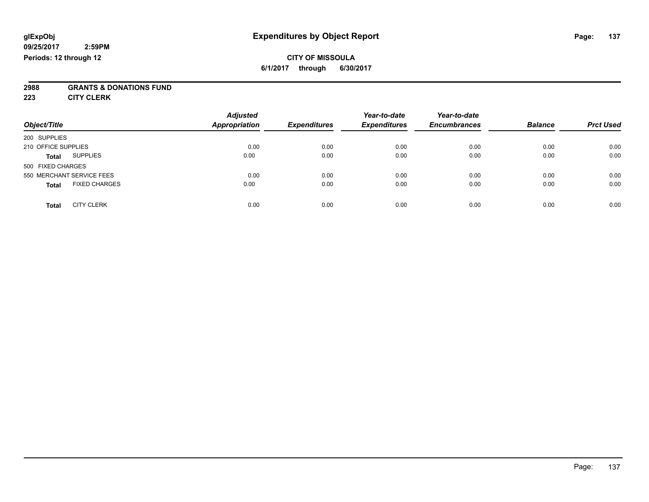### **CITY OF MISSOULA 6/1/2017 through 6/30/2017**

# **2988 GRANTS & DONATIONS FUND**

**223 CITY CLERK**

| Object/Title                         | <b>Adjusted</b><br>Appropriation | <b>Expenditures</b> | Year-to-date<br><b>Expenditures</b> | Year-to-date<br><b>Encumbrances</b> | <b>Balance</b> | <b>Prct Used</b> |
|--------------------------------------|----------------------------------|---------------------|-------------------------------------|-------------------------------------|----------------|------------------|
| 200 SUPPLIES                         |                                  |                     |                                     |                                     |                |                  |
| 210 OFFICE SUPPLIES                  | 0.00                             | 0.00                | 0.00                                | 0.00                                | 0.00           | 0.00             |
| <b>SUPPLIES</b><br><b>Total</b>      | 0.00                             | 0.00                | 0.00                                | 0.00                                | 0.00           | 0.00             |
| 500 FIXED CHARGES                    |                                  |                     |                                     |                                     |                |                  |
| 550 MERCHANT SERVICE FEES            | 0.00                             | 0.00                | 0.00                                | 0.00                                | 0.00           | 0.00             |
| <b>FIXED CHARGES</b><br><b>Total</b> | 0.00                             | 0.00                | 0.00                                | 0.00                                | 0.00           | 0.00             |
| <b>CITY CLERK</b><br>Total           | 0.00                             | 0.00                | 0.00                                | 0.00                                | 0.00           | 0.00             |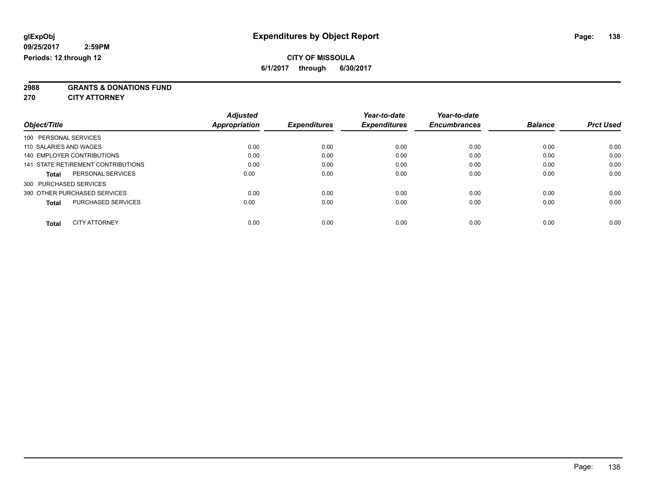### **CITY OF MISSOULA**

**6/1/2017 through 6/30/2017**

**2988 GRANTS & DONATIONS FUND**

**270 CITY ATTORNEY**

| Object/Title                              | <b>Adjusted</b><br>Appropriation | <b>Expenditures</b> | Year-to-date<br><b>Expenditures</b> | Year-to-date<br><b>Encumbrances</b> | <b>Balance</b> | <b>Prct Used</b> |
|-------------------------------------------|----------------------------------|---------------------|-------------------------------------|-------------------------------------|----------------|------------------|
| 100 PERSONAL SERVICES                     |                                  |                     |                                     |                                     |                |                  |
| 110 SALARIES AND WAGES                    | 0.00                             | 0.00                | 0.00                                | 0.00                                | 0.00           | 0.00             |
| 140 EMPLOYER CONTRIBUTIONS                | 0.00                             | 0.00                | 0.00                                | 0.00                                | 0.00           | 0.00             |
| 141 STATE RETIREMENT CONTRIBUTIONS        | 0.00                             | 0.00                | 0.00                                | 0.00                                | 0.00           | 0.00             |
| PERSONAL SERVICES<br><b>Total</b>         | 0.00                             | 0.00                | 0.00                                | 0.00                                | 0.00           | 0.00             |
| 300 PURCHASED SERVICES                    |                                  |                     |                                     |                                     |                |                  |
| 390 OTHER PURCHASED SERVICES              | 0.00                             | 0.00                | 0.00                                | 0.00                                | 0.00           | 0.00             |
| <b>PURCHASED SERVICES</b><br><b>Total</b> | 0.00                             | 0.00                | 0.00                                | 0.00                                | 0.00           | 0.00             |
| <b>CITY ATTORNEY</b><br><b>Total</b>      | 0.00                             | 0.00                | 0.00                                | 0.00                                | 0.00           | 0.00             |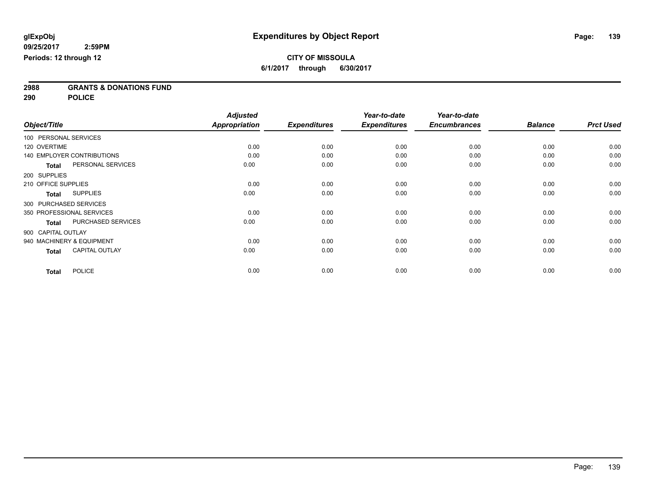**2988 GRANTS & DONATIONS FUND**

**290 POLICE**

|              |                                       | <b>Adjusted</b> |                     | Year-to-date        | Year-to-date        |                |                  |
|--------------|---------------------------------------|-----------------|---------------------|---------------------|---------------------|----------------|------------------|
| Object/Title |                                       | Appropriation   | <b>Expenditures</b> | <b>Expenditures</b> | <b>Encumbrances</b> | <b>Balance</b> | <b>Prct Used</b> |
|              | 100 PERSONAL SERVICES                 |                 |                     |                     |                     |                |                  |
| 120 OVERTIME |                                       | 0.00            | 0.00                | 0.00                | 0.00                | 0.00           | 0.00             |
|              | <b>140 EMPLOYER CONTRIBUTIONS</b>     | 0.00            | 0.00                | 0.00                | 0.00                | 0.00           | 0.00             |
|              | PERSONAL SERVICES<br><b>Total</b>     | 0.00            | 0.00                | 0.00                | 0.00                | 0.00           | 0.00             |
| 200 SUPPLIES |                                       |                 |                     |                     |                     |                |                  |
|              | 210 OFFICE SUPPLIES                   | 0.00            | 0.00                | 0.00                | 0.00                | 0.00           | 0.00             |
|              | <b>SUPPLIES</b><br><b>Total</b>       | 0.00            | 0.00                | 0.00                | 0.00                | 0.00           | 0.00             |
|              | 300 PURCHASED SERVICES                |                 |                     |                     |                     |                |                  |
|              | 350 PROFESSIONAL SERVICES             | 0.00            | 0.00                | 0.00                | 0.00                | 0.00           | 0.00             |
|              | PURCHASED SERVICES<br><b>Total</b>    | 0.00            | 0.00                | 0.00                | 0.00                | 0.00           | 0.00             |
|              | 900 CAPITAL OUTLAY                    |                 |                     |                     |                     |                |                  |
|              | 940 MACHINERY & EQUIPMENT             | 0.00            | 0.00                | 0.00                | 0.00                | 0.00           | 0.00             |
|              | <b>CAPITAL OUTLAY</b><br><b>Total</b> | 0.00            | 0.00                | 0.00                | 0.00                | 0.00           | 0.00             |
|              | <b>POLICE</b><br><b>Total</b>         | 0.00            | 0.00                | 0.00                | 0.00                | 0.00           | 0.00             |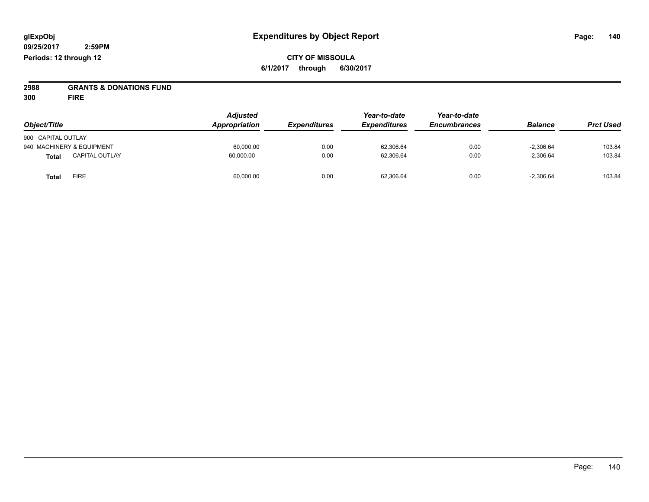**CITY OF MISSOULA 6/1/2017 through 6/30/2017**

**2988 GRANTS & DONATIONS FUND**

**300 FIRE**

| Object/Title                          | <b>Adjusted</b><br>Appropriation | <b>Expenditures</b> | Year-to-date<br><b>Expenditures</b> | Year-to-date<br><b>Encumbrances</b> | <b>Balance</b> | <b>Prct Used</b> |
|---------------------------------------|----------------------------------|---------------------|-------------------------------------|-------------------------------------|----------------|------------------|
| 900 CAPITAL OUTLAY                    |                                  |                     |                                     |                                     |                |                  |
| 940 MACHINERY & EQUIPMENT             | 60.000.00                        | 0.00                | 62.306.64                           | 0.00                                | $-2.306.64$    | 103.84           |
| <b>CAPITAL OUTLAY</b><br><b>Total</b> | 60,000.00                        | 0.00                | 62,306.64                           | 0.00                                | $-2,306.64$    | 103.84           |
| <b>FIRE</b><br><b>Total</b>           | 60,000.00                        | 0.00                | 62,306.64                           | 0.00                                | $-2,306.64$    | 103.84           |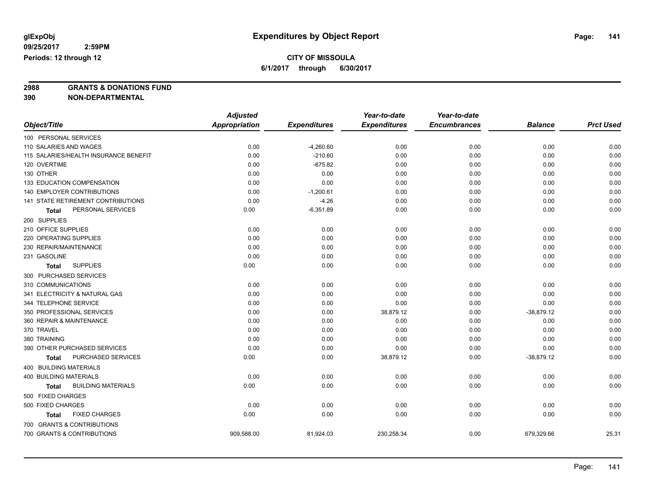## **CITY OF MISSOULA**

**6/1/2017 through 6/30/2017**

# **2988 GRANTS & DONATIONS FUND**

**390 NON-DEPARTMENTAL**

|                                           | <b>Adjusted</b>      |                     | Year-to-date        | Year-to-date        |                |                  |
|-------------------------------------------|----------------------|---------------------|---------------------|---------------------|----------------|------------------|
| Object/Title                              | <b>Appropriation</b> | <b>Expenditures</b> | <b>Expenditures</b> | <b>Encumbrances</b> | <b>Balance</b> | <b>Prct Used</b> |
| 100 PERSONAL SERVICES                     |                      |                     |                     |                     |                |                  |
| 110 SALARIES AND WAGES                    | 0.00                 | $-4,260.60$         | 0.00                | 0.00                | 0.00           | 0.00             |
| 115 SALARIES/HEALTH INSURANCE BENEFIT     | 0.00                 | $-210.60$           | 0.00                | 0.00                | 0.00           | 0.00             |
| 120 OVERTIME                              | 0.00                 | $-675.82$           | 0.00                | 0.00                | 0.00           | 0.00             |
| 130 OTHER                                 | 0.00                 | 0.00                | 0.00                | 0.00                | 0.00           | 0.00             |
| 133 EDUCATION COMPENSATION                | 0.00                 | 0.00                | 0.00                | 0.00                | 0.00           | 0.00             |
| 140 EMPLOYER CONTRIBUTIONS                | 0.00                 | $-1,200.61$         | 0.00                | 0.00                | 0.00           | 0.00             |
| 141 STATE RETIREMENT CONTRIBUTIONS        | 0.00                 | $-4.26$             | 0.00                | 0.00                | 0.00           | 0.00             |
| PERSONAL SERVICES<br>Total                | 0.00                 | $-6,351.89$         | 0.00                | 0.00                | 0.00           | 0.00             |
| 200 SUPPLIES                              |                      |                     |                     |                     |                |                  |
| 210 OFFICE SUPPLIES                       | 0.00                 | 0.00                | 0.00                | 0.00                | 0.00           | 0.00             |
| 220 OPERATING SUPPLIES                    | 0.00                 | 0.00                | 0.00                | 0.00                | 0.00           | 0.00             |
| 230 REPAIR/MAINTENANCE                    | 0.00                 | 0.00                | 0.00                | 0.00                | 0.00           | 0.00             |
| 231 GASOLINE                              | 0.00                 | 0.00                | 0.00                | 0.00                | 0.00           | 0.00             |
| <b>SUPPLIES</b><br><b>Total</b>           | 0.00                 | 0.00                | 0.00                | 0.00                | 0.00           | 0.00             |
| 300 PURCHASED SERVICES                    |                      |                     |                     |                     |                |                  |
| 310 COMMUNICATIONS                        | 0.00                 | 0.00                | 0.00                | 0.00                | 0.00           | 0.00             |
| 341 ELECTRICITY & NATURAL GAS             | 0.00                 | 0.00                | 0.00                | 0.00                | 0.00           | 0.00             |
| 344 TELEPHONE SERVICE                     | 0.00                 | 0.00                | 0.00                | 0.00                | 0.00           | 0.00             |
| 350 PROFESSIONAL SERVICES                 | 0.00                 | 0.00                | 38,879.12           | 0.00                | $-38,879.12$   | 0.00             |
| 360 REPAIR & MAINTENANCE                  | 0.00                 | 0.00                | 0.00                | 0.00                | 0.00           | 0.00             |
| 370 TRAVEL                                | 0.00                 | 0.00                | 0.00                | 0.00                | 0.00           | 0.00             |
| 380 TRAINING                              | 0.00                 | 0.00                | 0.00                | 0.00                | 0.00           | 0.00             |
| 390 OTHER PURCHASED SERVICES              | 0.00                 | 0.00                | 0.00                | 0.00                | 0.00           | 0.00             |
| PURCHASED SERVICES<br><b>Total</b>        | 0.00                 | 0.00                | 38,879.12           | 0.00                | $-38,879.12$   | 0.00             |
| 400 BUILDING MATERIALS                    |                      |                     |                     |                     |                |                  |
| <b>400 BUILDING MATERIALS</b>             | 0.00                 | 0.00                | 0.00                | 0.00                | 0.00           | 0.00             |
| <b>BUILDING MATERIALS</b><br><b>Total</b> | 0.00                 | 0.00                | 0.00                | 0.00                | 0.00           | 0.00             |
| 500 FIXED CHARGES                         |                      |                     |                     |                     |                |                  |
| 500 FIXED CHARGES                         | 0.00                 | 0.00                | 0.00                | 0.00                | 0.00           | 0.00             |
| <b>FIXED CHARGES</b><br>Total             | 0.00                 | 0.00                | 0.00                | 0.00                | 0.00           | 0.00             |
| 700 GRANTS & CONTRIBUTIONS                |                      |                     |                     |                     |                |                  |
| 700 GRANTS & CONTRIBUTIONS                | 909,588.00           | 81,924.03           | 230,258.34          | 0.00                | 679,329.66     | 25.31            |
|                                           |                      |                     |                     |                     |                |                  |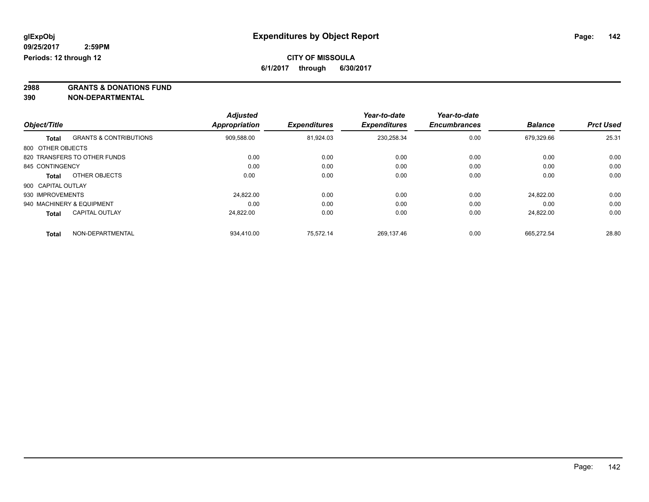**2988 GRANTS & DONATIONS FUND**

**390 NON-DEPARTMENTAL**

|                    |                                   | <b>Adjusted</b> |                     | Year-to-date        | Year-to-date        |                |                  |
|--------------------|-----------------------------------|-----------------|---------------------|---------------------|---------------------|----------------|------------------|
| Object/Title       |                                   | Appropriation   | <b>Expenditures</b> | <b>Expenditures</b> | <b>Encumbrances</b> | <b>Balance</b> | <b>Prct Used</b> |
| <b>Total</b>       | <b>GRANTS &amp; CONTRIBUTIONS</b> | 909,588.00      | 81.924.03           | 230,258.34          | 0.00                | 679.329.66     | 25.31            |
| 800 OTHER OBJECTS  |                                   |                 |                     |                     |                     |                |                  |
|                    | 820 TRANSFERS TO OTHER FUNDS      | 0.00            | 0.00                | 0.00                | 0.00                | 0.00           | 0.00             |
| 845 CONTINGENCY    |                                   | 0.00            | 0.00                | 0.00                | 0.00                | 0.00           | 0.00             |
| <b>Total</b>       | OTHER OBJECTS                     | 0.00            | 0.00                | 0.00                | 0.00                | 0.00           | 0.00             |
| 900 CAPITAL OUTLAY |                                   |                 |                     |                     |                     |                |                  |
| 930 IMPROVEMENTS   |                                   | 24.822.00       | 0.00                | 0.00                | 0.00                | 24.822.00      | 0.00             |
|                    | 940 MACHINERY & EQUIPMENT         | 0.00            | 0.00                | 0.00                | 0.00                | 0.00           | 0.00             |
| <b>Total</b>       | <b>CAPITAL OUTLAY</b>             | 24.822.00       | 0.00                | 0.00                | 0.00                | 24.822.00      | 0.00             |
| <b>Total</b>       | NON-DEPARTMENTAL                  | 934,410.00      | 75.572.14           | 269.137.46          | 0.00                | 665.272.54     | 28.80            |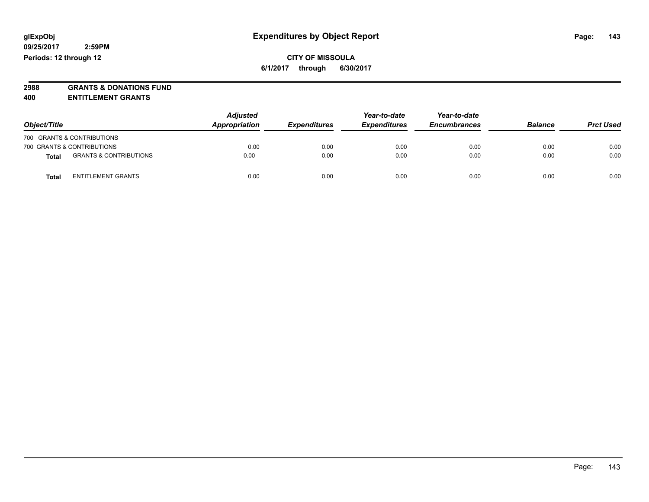# **2988 GRANTS & DONATIONS FUND**

**400 ENTITLEMENT GRANTS**

| Object/Title |                                   | <b>Adjusted</b><br>Appropriation | <b>Expenditures</b> | Year-to-date<br><b>Expenditures</b> | Year-to-date<br><b>Encumbrances</b> | <b>Balance</b> | <b>Prct Used</b> |
|--------------|-----------------------------------|----------------------------------|---------------------|-------------------------------------|-------------------------------------|----------------|------------------|
|              | 700 GRANTS & CONTRIBUTIONS        |                                  |                     |                                     |                                     |                |                  |
|              | 700 GRANTS & CONTRIBUTIONS        | 0.00                             | 0.00                | 0.00                                | 0.00                                | 0.00           | 0.00             |
| Total        | <b>GRANTS &amp; CONTRIBUTIONS</b> | 0.00                             | 0.00                | 0.00                                | 0.00                                | 0.00           | 0.00             |
| Total        | <b>ENTITLEMENT GRANTS</b>         | 0.00                             | 0.00                | 0.00                                | 0.00                                | 0.00           | 0.00             |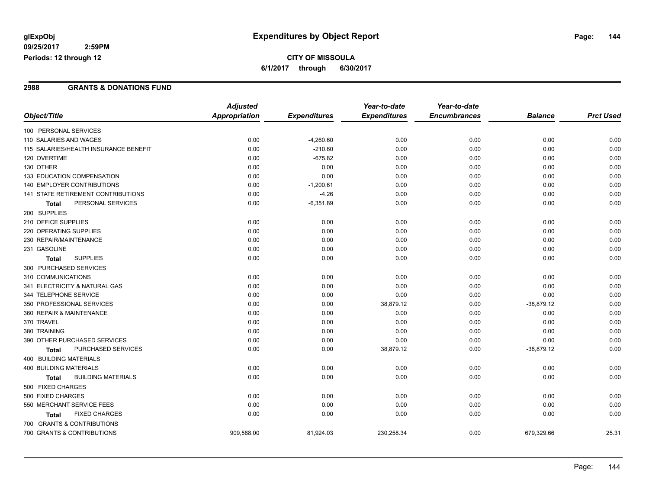### **CITY OF MISSOULA 6/1/2017 through 6/30/2017**

#### **2988 GRANTS & DONATIONS FUND**

|                                           | <b>Adjusted</b>      |                     | Year-to-date        | Year-to-date        |                |                  |
|-------------------------------------------|----------------------|---------------------|---------------------|---------------------|----------------|------------------|
| Object/Title                              | <b>Appropriation</b> | <b>Expenditures</b> | <b>Expenditures</b> | <b>Encumbrances</b> | <b>Balance</b> | <b>Prct Used</b> |
| 100 PERSONAL SERVICES                     |                      |                     |                     |                     |                |                  |
| 110 SALARIES AND WAGES                    | 0.00                 | $-4,260.60$         | 0.00                | 0.00                | 0.00           | 0.00             |
| 115 SALARIES/HEALTH INSURANCE BENEFIT     | 0.00                 | $-210.60$           | 0.00                | 0.00                | 0.00           | 0.00             |
| 120 OVERTIME                              | 0.00                 | $-675.82$           | 0.00                | 0.00                | 0.00           | 0.00             |
| 130 OTHER                                 | 0.00                 | 0.00                | 0.00                | 0.00                | 0.00           | 0.00             |
| 133 EDUCATION COMPENSATION                | 0.00                 | 0.00                | 0.00                | 0.00                | 0.00           | 0.00             |
| <b>140 EMPLOYER CONTRIBUTIONS</b>         | 0.00                 | $-1,200.61$         | 0.00                | 0.00                | 0.00           | 0.00             |
| 141 STATE RETIREMENT CONTRIBUTIONS        | 0.00                 | $-4.26$             | 0.00                | 0.00                | 0.00           | 0.00             |
| PERSONAL SERVICES<br><b>Total</b>         | 0.00                 | $-6,351.89$         | 0.00                | 0.00                | 0.00           | 0.00             |
| 200 SUPPLIES                              |                      |                     |                     |                     |                |                  |
| 210 OFFICE SUPPLIES                       | 0.00                 | 0.00                | 0.00                | 0.00                | 0.00           | 0.00             |
| 220 OPERATING SUPPLIES                    | 0.00                 | 0.00                | 0.00                | 0.00                | 0.00           | 0.00             |
| 230 REPAIR/MAINTENANCE                    | 0.00                 | 0.00                | 0.00                | 0.00                | 0.00           | 0.00             |
| 231 GASOLINE                              | 0.00                 | 0.00                | 0.00                | 0.00                | 0.00           | 0.00             |
| <b>SUPPLIES</b><br><b>Total</b>           | 0.00                 | 0.00                | 0.00                | 0.00                | 0.00           | 0.00             |
| 300 PURCHASED SERVICES                    |                      |                     |                     |                     |                |                  |
| 310 COMMUNICATIONS                        | 0.00                 | 0.00                | 0.00                | 0.00                | 0.00           | 0.00             |
| 341 ELECTRICITY & NATURAL GAS             | 0.00                 | 0.00                | 0.00                | 0.00                | 0.00           | 0.00             |
| 344 TELEPHONE SERVICE                     | 0.00                 | 0.00                | 0.00                | 0.00                | 0.00           | 0.00             |
| 350 PROFESSIONAL SERVICES                 | 0.00                 | 0.00                | 38,879.12           | 0.00                | $-38,879.12$   | 0.00             |
| 360 REPAIR & MAINTENANCE                  | 0.00                 | 0.00                | 0.00                | 0.00                | 0.00           | 0.00             |
| 370 TRAVEL                                | 0.00                 | 0.00                | 0.00                | 0.00                | 0.00           | 0.00             |
| 380 TRAINING                              | 0.00                 | 0.00                | 0.00                | 0.00                | 0.00           | 0.00             |
| 390 OTHER PURCHASED SERVICES              | 0.00                 | 0.00                | 0.00                | 0.00                | 0.00           | 0.00             |
| PURCHASED SERVICES<br><b>Total</b>        | 0.00                 | 0.00                | 38,879.12           | 0.00                | $-38,879.12$   | 0.00             |
| 400 BUILDING MATERIALS                    |                      |                     |                     |                     |                |                  |
| 400 BUILDING MATERIALS                    | 0.00                 | 0.00                | 0.00                | 0.00                | 0.00           | 0.00             |
| <b>BUILDING MATERIALS</b><br><b>Total</b> | 0.00                 | 0.00                | 0.00                | 0.00                | 0.00           | 0.00             |
| 500 FIXED CHARGES                         |                      |                     |                     |                     |                |                  |
| 500 FIXED CHARGES                         | 0.00                 | 0.00                | 0.00                | 0.00                | 0.00           | 0.00             |
| 550 MERCHANT SERVICE FEES                 | 0.00                 | 0.00                | 0.00                | 0.00                | 0.00           | 0.00             |
| <b>FIXED CHARGES</b><br>Total             | 0.00                 | 0.00                | 0.00                | 0.00                | 0.00           | 0.00             |
| 700 GRANTS & CONTRIBUTIONS                |                      |                     |                     |                     |                |                  |
| 700 GRANTS & CONTRIBUTIONS                | 909,588.00           | 81,924.03           | 230,258.34          | 0.00                | 679,329.66     | 25.31            |
|                                           |                      |                     |                     |                     |                |                  |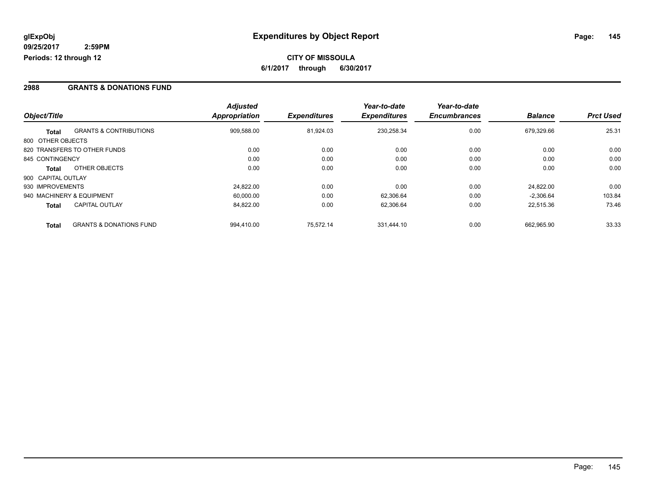### **2988 GRANTS & DONATIONS FUND**

|                    |                                    | <b>Adjusted</b>      |                     | Year-to-date        | Year-to-date        |                |                  |
|--------------------|------------------------------------|----------------------|---------------------|---------------------|---------------------|----------------|------------------|
| Object/Title       |                                    | <b>Appropriation</b> | <b>Expenditures</b> | <b>Expenditures</b> | <b>Encumbrances</b> | <b>Balance</b> | <b>Prct Used</b> |
| <b>Total</b>       | <b>GRANTS &amp; CONTRIBUTIONS</b>  | 909,588.00           | 81.924.03           | 230.258.34          | 0.00                | 679.329.66     | 25.31            |
| 800 OTHER OBJECTS  |                                    |                      |                     |                     |                     |                |                  |
|                    | 820 TRANSFERS TO OTHER FUNDS       | 0.00                 | 0.00                | 0.00                | 0.00                | 0.00           | 0.00             |
| 845 CONTINGENCY    |                                    | 0.00                 | 0.00                | 0.00                | 0.00                | 0.00           | 0.00             |
| <b>Total</b>       | OTHER OBJECTS                      | 0.00                 | 0.00                | 0.00                | 0.00                | 0.00           | 0.00             |
| 900 CAPITAL OUTLAY |                                    |                      |                     |                     |                     |                |                  |
| 930 IMPROVEMENTS   |                                    | 24.822.00            | 0.00                | 0.00                | 0.00                | 24.822.00      | 0.00             |
|                    | 940 MACHINERY & EQUIPMENT          | 60.000.00            | 0.00                | 62.306.64           | 0.00                | $-2.306.64$    | 103.84           |
| <b>Total</b>       | <b>CAPITAL OUTLAY</b>              | 84,822.00            | 0.00                | 62,306.64           | 0.00                | 22,515.36      | 73.46            |
| <b>Total</b>       | <b>GRANTS &amp; DONATIONS FUND</b> | 994.410.00           | 75.572.14           | 331.444.10          | 0.00                | 662.965.90     | 33.33            |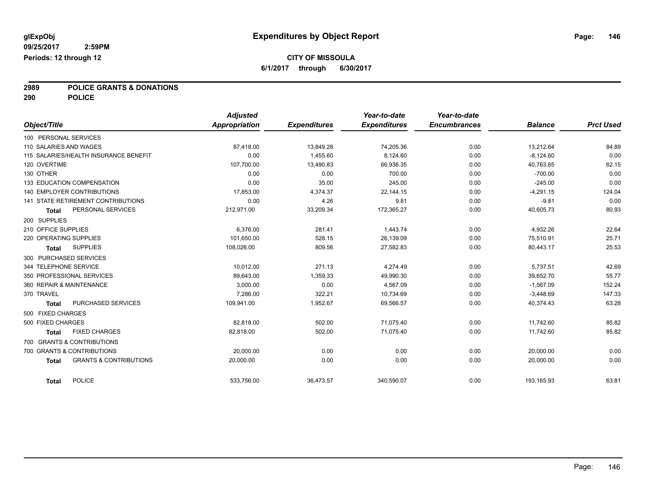# **2989 POLICE GRANTS & DONATIONS**

**290 POLICE**

| Object/Title             |                                       | <b>Adjusted</b><br>Appropriation | <b>Expenditures</b> | Year-to-date<br><b>Expenditures</b> | Year-to-date<br><b>Encumbrances</b> | <b>Balance</b> | <b>Prct Used</b> |
|--------------------------|---------------------------------------|----------------------------------|---------------------|-------------------------------------|-------------------------------------|----------------|------------------|
| 100 PERSONAL SERVICES    |                                       |                                  |                     |                                     |                                     |                |                  |
| 110 SALARIES AND WAGES   |                                       |                                  |                     |                                     |                                     |                |                  |
|                          | 115 SALARIES/HEALTH INSURANCE BENEFIT | 87,418.00                        | 13,849.28           | 74,205.36<br>8.124.60               | 0.00                                | 13,212.64      | 84.89<br>0.00    |
| 120 OVERTIME             |                                       | 0.00                             | 1,455.60            |                                     | 0.00                                | $-8,124.60$    | 62.15            |
|                          |                                       | 107,700.00                       | 13,490.83           | 66,936.35                           | 0.00                                | 40,763.65      |                  |
| 130 OTHER                |                                       | 0.00                             | 0.00                | 700.00                              | 0.00                                | $-700.00$      | 0.00             |
|                          | 133 EDUCATION COMPENSATION            | 0.00                             | 35.00               | 245.00                              | 0.00                                | $-245.00$      | 0.00             |
|                          | <b>140 EMPLOYER CONTRIBUTIONS</b>     | 17,853.00                        | 4,374.37            | 22,144.15                           | 0.00                                | $-4,291.15$    | 124.04           |
|                          | 141 STATE RETIREMENT CONTRIBUTIONS    | 0.00                             | 4.26                | 9.81                                | 0.00                                | $-9.81$        | 0.00             |
| <b>Total</b>             | PERSONAL SERVICES                     | 212,971.00                       | 33,209.34           | 172,365.27                          | 0.00                                | 40,605.73      | 80.93            |
| 200 SUPPLIES             |                                       |                                  |                     |                                     |                                     |                |                  |
| 210 OFFICE SUPPLIES      |                                       | 6.376.00                         | 281.41              | 1,443.74                            | 0.00                                | 4,932.26       | 22.64            |
| 220 OPERATING SUPPLIES   |                                       | 101.650.00                       | 528.15              | 26.139.09                           | 0.00                                | 75.510.91      | 25.71            |
| <b>Total</b>             | <b>SUPPLIES</b>                       | 108,026.00                       | 809.56              | 27,582.83                           | 0.00                                | 80,443.17      | 25.53            |
| 300 PURCHASED SERVICES   |                                       |                                  |                     |                                     |                                     |                |                  |
| 344 TELEPHONE SERVICE    |                                       | 10,012.00                        | 271.13              | 4,274.49                            | 0.00                                | 5,737.51       | 42.69            |
|                          | 350 PROFESSIONAL SERVICES             | 89.643.00                        | 1,359.33            | 49,990.30                           | 0.00                                | 39.652.70      | 55.77            |
| 360 REPAIR & MAINTENANCE |                                       | 3,000.00                         | 0.00                | 4,567.09                            | 0.00                                | $-1,567.09$    | 152.24           |
| 370 TRAVEL               |                                       | 7.286.00                         | 322.21              | 10,734.69                           | 0.00                                | $-3,448.69$    | 147.33           |
| <b>Total</b>             | <b>PURCHASED SERVICES</b>             | 109,941.00                       | 1,952.67            | 69,566.57                           | 0.00                                | 40,374.43      | 63.28            |
| 500 FIXED CHARGES        |                                       |                                  |                     |                                     |                                     |                |                  |
| 500 FIXED CHARGES        |                                       | 82,818.00                        | 502.00              | 71,075.40                           | 0.00                                | 11,742.60      | 85.82            |
| <b>Total</b>             | <b>FIXED CHARGES</b>                  | 82.818.00                        | 502.00              | 71,075.40                           | 0.00                                | 11,742.60      | 85.82            |
|                          | 700 GRANTS & CONTRIBUTIONS            |                                  |                     |                                     |                                     |                |                  |
|                          | 700 GRANTS & CONTRIBUTIONS            | 20,000.00                        | 0.00                | 0.00                                | 0.00                                | 20,000.00      | 0.00             |
| <b>Total</b>             | <b>GRANTS &amp; CONTRIBUTIONS</b>     | 20,000.00                        | 0.00                | 0.00                                | 0.00                                | 20,000.00      | 0.00             |
| <b>Total</b>             | <b>POLICE</b>                         | 533,756.00                       | 36,473.57           | 340,590.07                          | 0.00                                | 193,165.93     | 63.81            |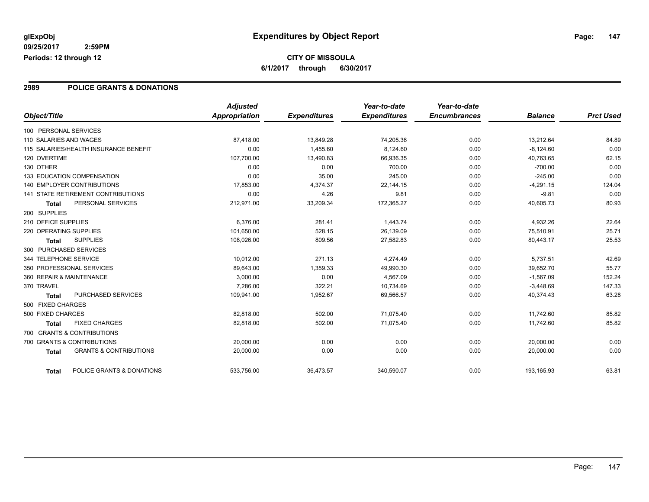### **2989 POLICE GRANTS & DONATIONS**

|                                                   | <b>Adjusted</b>      |                     | Year-to-date        | Year-to-date        |                |                  |
|---------------------------------------------------|----------------------|---------------------|---------------------|---------------------|----------------|------------------|
| Object/Title                                      | <b>Appropriation</b> | <b>Expenditures</b> | <b>Expenditures</b> | <b>Encumbrances</b> | <b>Balance</b> | <b>Prct Used</b> |
| 100 PERSONAL SERVICES                             |                      |                     |                     |                     |                |                  |
| 110 SALARIES AND WAGES                            | 87,418.00            | 13,849.28           | 74,205.36           | 0.00                | 13,212.64      | 84.89            |
| 115 SALARIES/HEALTH INSURANCE BENEFIT             | 0.00                 | 1,455.60            | 8,124.60            | 0.00                | $-8,124.60$    | 0.00             |
| 120 OVERTIME                                      | 107,700.00           | 13,490.83           | 66,936.35           | 0.00                | 40,763.65      | 62.15            |
| 130 OTHER                                         | 0.00                 | 0.00                | 700.00              | 0.00                | $-700.00$      | 0.00             |
| 133 EDUCATION COMPENSATION                        | 0.00                 | 35.00               | 245.00              | 0.00                | $-245.00$      | 0.00             |
| <b>140 EMPLOYER CONTRIBUTIONS</b>                 | 17,853.00            | 4,374.37            | 22,144.15           | 0.00                | $-4,291.15$    | 124.04           |
| <b>141 STATE RETIREMENT CONTRIBUTIONS</b>         | 0.00                 | 4.26                | 9.81                | 0.00                | $-9.81$        | 0.00             |
| PERSONAL SERVICES<br><b>Total</b>                 | 212,971.00           | 33,209.34           | 172,365.27          | 0.00                | 40,605.73      | 80.93            |
| 200 SUPPLIES                                      |                      |                     |                     |                     |                |                  |
| 210 OFFICE SUPPLIES                               | 6,376.00             | 281.41              | 1,443.74            | 0.00                | 4,932.26       | 22.64            |
| 220 OPERATING SUPPLIES                            | 101,650.00           | 528.15              | 26,139.09           | 0.00                | 75,510.91      | 25.71            |
| <b>SUPPLIES</b><br><b>Total</b>                   | 108,026.00           | 809.56              | 27,582.83           | 0.00                | 80,443.17      | 25.53            |
| 300 PURCHASED SERVICES                            |                      |                     |                     |                     |                |                  |
| 344 TELEPHONE SERVICE                             | 10,012.00            | 271.13              | 4,274.49            | 0.00                | 5,737.51       | 42.69            |
| 350 PROFESSIONAL SERVICES                         | 89.643.00            | 1,359.33            | 49,990.30           | 0.00                | 39.652.70      | 55.77            |
| 360 REPAIR & MAINTENANCE                          | 3,000.00             | 0.00                | 4,567.09            | 0.00                | $-1,567.09$    | 152.24           |
| 370 TRAVEL                                        | 7,286.00             | 322.21              | 10,734.69           | 0.00                | $-3,448.69$    | 147.33           |
| <b>PURCHASED SERVICES</b><br><b>Total</b>         | 109,941.00           | 1,952.67            | 69,566.57           | 0.00                | 40,374.43      | 63.28            |
| 500 FIXED CHARGES                                 |                      |                     |                     |                     |                |                  |
| 500 FIXED CHARGES                                 | 82,818.00            | 502.00              | 71,075.40           | 0.00                | 11,742.60      | 85.82            |
| <b>FIXED CHARGES</b><br><b>Total</b>              | 82.818.00            | 502.00              | 71,075.40           | 0.00                | 11,742.60      | 85.82            |
| 700 GRANTS & CONTRIBUTIONS                        |                      |                     |                     |                     |                |                  |
| 700 GRANTS & CONTRIBUTIONS                        | 20,000.00            | 0.00                | 0.00                | 0.00                | 20,000.00      | 0.00             |
| <b>GRANTS &amp; CONTRIBUTIONS</b><br><b>Total</b> | 20,000.00            | 0.00                | 0.00                | 0.00                | 20,000.00      | 0.00             |
| POLICE GRANTS & DONATIONS<br><b>Total</b>         | 533,756.00           | 36,473.57           | 340,590.07          | 0.00                | 193,165.93     | 63.81            |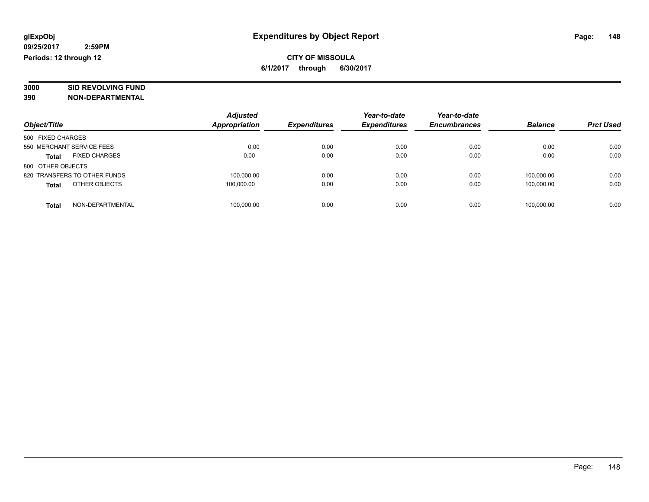# **3000 SID REVOLVING FUND**

|                                      | <b>Adjusted</b>      |                     | Year-to-date        | Year-to-date        |                |                  |
|--------------------------------------|----------------------|---------------------|---------------------|---------------------|----------------|------------------|
| Object/Title                         | <b>Appropriation</b> | <b>Expenditures</b> | <b>Expenditures</b> | <b>Encumbrances</b> | <b>Balance</b> | <b>Prct Used</b> |
| 500 FIXED CHARGES                    |                      |                     |                     |                     |                |                  |
| 550 MERCHANT SERVICE FEES            | 0.00                 | 0.00                | 0.00                | 0.00                | 0.00           | 0.00             |
| <b>FIXED CHARGES</b><br><b>Total</b> | 0.00                 | 0.00                | 0.00                | 0.00                | 0.00           | 0.00             |
| 800 OTHER OBJECTS                    |                      |                     |                     |                     |                |                  |
| 820 TRANSFERS TO OTHER FUNDS         | 100,000.00           | 0.00                | 0.00                | 0.00                | 100.000.00     | 0.00             |
| OTHER OBJECTS<br><b>Total</b>        | 100.000.00           | 0.00                | 0.00                | 0.00                | 100.000.00     | 0.00             |
| NON-DEPARTMENTAL<br>Total            | 100,000.00           | 0.00                | 0.00                | 0.00                | 100.000.00     | 0.00             |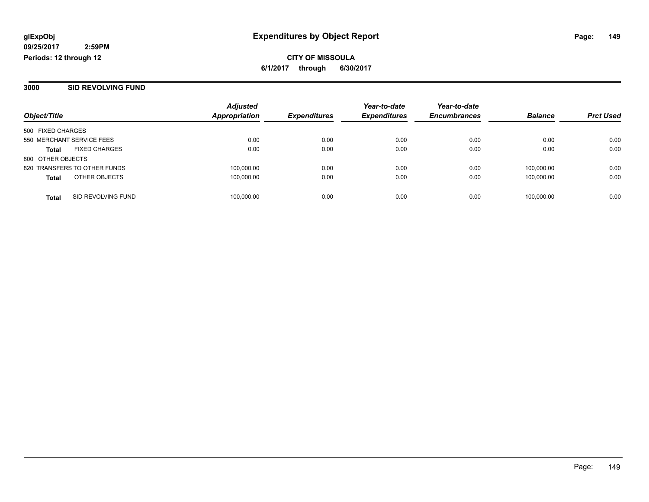#### **3000 SID REVOLVING FUND**

|                                    | <b>Adjusted</b><br><b>Appropriation</b> | <b>Expenditures</b> | Year-to-date<br><b>Expenditures</b> | Year-to-date<br><b>Encumbrances</b> | <b>Balance</b> | <b>Prct Used</b> |
|------------------------------------|-----------------------------------------|---------------------|-------------------------------------|-------------------------------------|----------------|------------------|
| Object/Title                       |                                         |                     |                                     |                                     |                |                  |
| 500 FIXED CHARGES                  |                                         |                     |                                     |                                     |                |                  |
| 550 MERCHANT SERVICE FEES          | 0.00                                    | 0.00                | 0.00                                | 0.00                                | 0.00           | 0.00             |
| <b>FIXED CHARGES</b><br>Total      | 0.00                                    | 0.00                | 0.00                                | 0.00                                | 0.00           | 0.00             |
| 800 OTHER OBJECTS                  |                                         |                     |                                     |                                     |                |                  |
| 820 TRANSFERS TO OTHER FUNDS       | 100,000.00                              | 0.00                | 0.00                                | 0.00                                | 100.000.00     | 0.00             |
| OTHER OBJECTS<br><b>Total</b>      | 100,000.00                              | 0.00                | 0.00                                | 0.00                                | 100.000.00     | 0.00             |
|                                    |                                         |                     |                                     |                                     |                |                  |
| SID REVOLVING FUND<br><b>Total</b> | 100,000.00                              | 0.00                | 0.00                                | 0.00                                | 100,000.00     | 0.00             |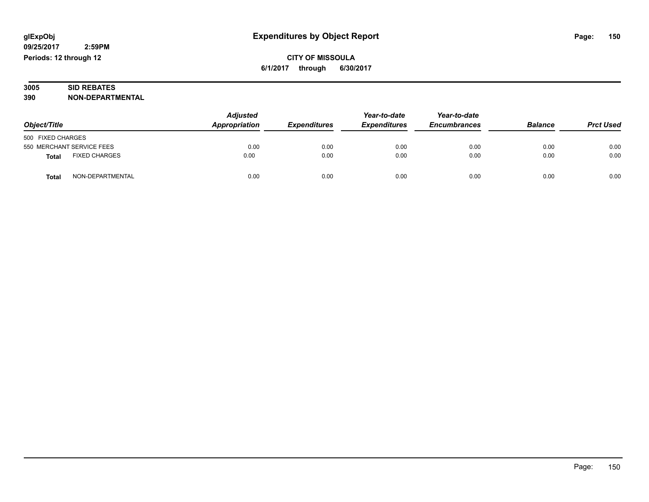### **3005 SID REBATES 390 NON-DEPARTMENTAL**

| Object/Title                         | <b>Adjusted</b><br>Appropriation | <b>Expenditures</b> | Year-to-date<br><b>Expenditures</b> | Year-to-date<br><b>Encumbrances</b> | <b>Balance</b> | <b>Prct Used</b> |
|--------------------------------------|----------------------------------|---------------------|-------------------------------------|-------------------------------------|----------------|------------------|
| 500 FIXED CHARGES                    |                                  |                     |                                     |                                     |                |                  |
| 550 MERCHANT SERVICE FEES            | 0.00                             | 0.00                | 0.00                                | 0.00                                | 0.00           | 0.00             |
| <b>FIXED CHARGES</b><br><b>Total</b> | 0.00                             | 0.00                | 0.00                                | 0.00                                | 0.00           | 0.00             |
| NON-DEPARTMENTAL<br><b>Total</b>     | 0.00                             | 0.00                | 0.00                                | 0.00                                | 0.00           | 0.00             |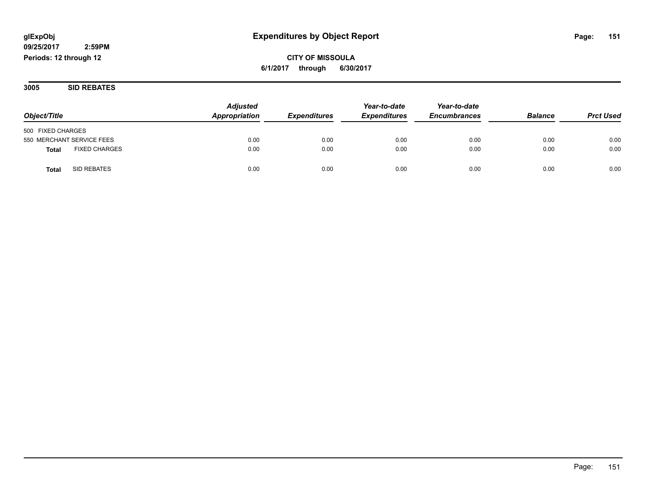**CITY OF MISSOULA 6/1/2017 through 6/30/2017**

**3005 SID REBATES**

| Object/Title                         | <b>Adjusted</b><br>Appropriation | <b>Expenditures</b> | Year-to-date<br><b>Expenditures</b> | Year-to-date<br><b>Encumbrances</b> | <b>Balance</b> | <b>Prct Used</b> |
|--------------------------------------|----------------------------------|---------------------|-------------------------------------|-------------------------------------|----------------|------------------|
|                                      |                                  |                     |                                     |                                     |                |                  |
| 500 FIXED CHARGES                    |                                  |                     |                                     |                                     |                |                  |
| 550 MERCHANT SERVICE FEES            | 0.00                             | 0.00                | 0.00                                | 0.00                                | 0.00           | 0.00             |
| <b>FIXED CHARGES</b><br><b>Total</b> | 0.00                             | 0.00                | 0.00                                | 0.00                                | 0.00           | 0.00             |
| SID REBATES<br>Total                 | 0.00                             | 0.00                | 0.00                                | 0.00                                | 0.00           | 0.00             |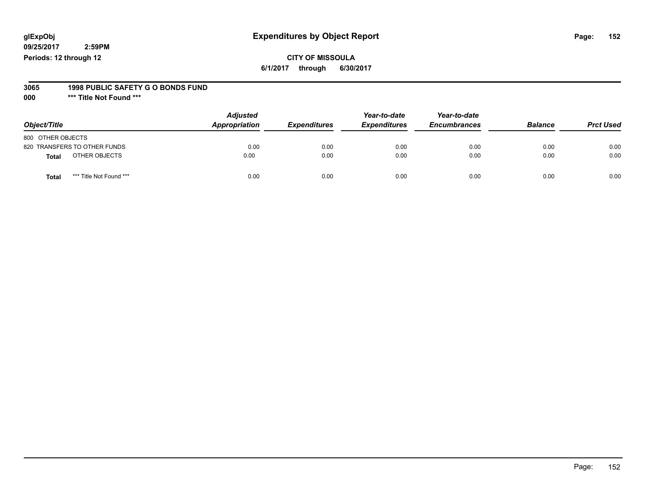### **CITY OF MISSOULA 6/1/2017 through 6/30/2017**

#### **3065 1998 PUBLIC SAFETY G O BONDS FUND**

**000 \*\*\* Title Not Found \*\*\***

| Object/Title                     | <b>Adjusted</b><br>Appropriation | <b>Expenditures</b> | Year-to-date<br><b>Expenditures</b> | Year-to-date<br><b>Encumbrances</b> | <b>Balance</b> | <b>Prct Used</b> |
|----------------------------------|----------------------------------|---------------------|-------------------------------------|-------------------------------------|----------------|------------------|
| 800 OTHER OBJECTS                |                                  |                     |                                     |                                     |                |                  |
| 820 TRANSFERS TO OTHER FUNDS     | 0.00                             | 0.00                | 0.00                                | 0.00                                | 0.00           | 0.00             |
| OTHER OBJECTS<br><b>Total</b>    | 0.00                             | 0.00                | 0.00                                | 0.00                                | 0.00           | 0.00             |
| *** Title Not Found ***<br>Total | 0.00                             | 0.00                | 0.00                                | 0.00                                | 0.00           | 0.00             |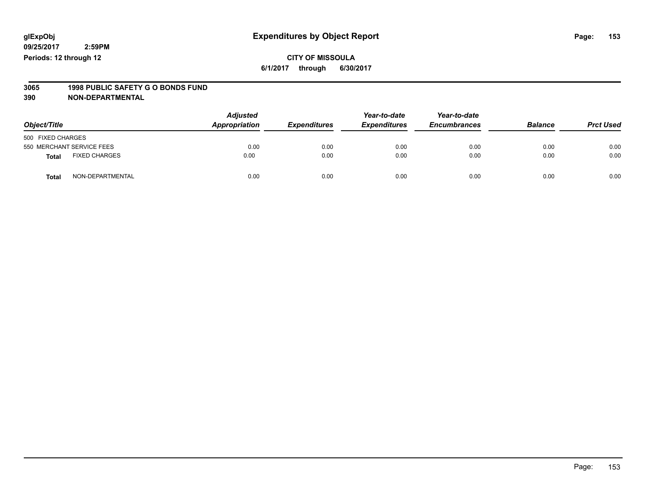### **CITY OF MISSOULA 6/1/2017 through 6/30/2017**

# **3065 1998 PUBLIC SAFETY G O BONDS FUND**

| Object/Title      |                           | <b>Adjusted</b><br>Appropriation | <b>Expenditures</b> | Year-to-date<br><b>Expenditures</b> | Year-to-date<br><b>Encumbrances</b> | <b>Balance</b> | <b>Prct Used</b> |
|-------------------|---------------------------|----------------------------------|---------------------|-------------------------------------|-------------------------------------|----------------|------------------|
| 500 FIXED CHARGES |                           |                                  |                     |                                     |                                     |                |                  |
|                   | 550 MERCHANT SERVICE FEES | 0.00                             | 0.00                | 0.00                                | 0.00                                | 0.00           | 0.00             |
| <b>Total</b>      | <b>FIXED CHARGES</b>      | 0.00                             | 0.00                | 0.00                                | 0.00                                | 0.00           | 0.00             |
| <b>Total</b>      | NON-DEPARTMENTAL          | 0.00                             | 0.00                | 0.00                                | 0.00                                | 0.00           | 0.00             |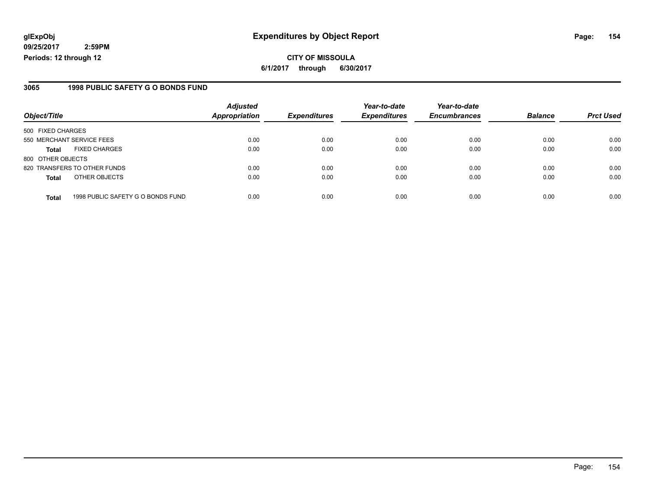**CITY OF MISSOULA 6/1/2017 through 6/30/2017**

### **3065 1998 PUBLIC SAFETY G O BONDS FUND**

|                              |                                   | <b>Adjusted</b> |                     | Year-to-date        | Year-to-date        |                |                  |
|------------------------------|-----------------------------------|-----------------|---------------------|---------------------|---------------------|----------------|------------------|
| Object/Title                 |                                   | Appropriation   | <b>Expenditures</b> | <b>Expenditures</b> | <b>Encumbrances</b> | <b>Balance</b> | <b>Prct Used</b> |
| 500 FIXED CHARGES            |                                   |                 |                     |                     |                     |                |                  |
| 550 MERCHANT SERVICE FEES    |                                   | 0.00            | 0.00                | 0.00                | 0.00                | 0.00           | 0.00             |
| <b>Total</b>                 | <b>FIXED CHARGES</b>              | 0.00            | 0.00                | 0.00                | 0.00                | 0.00           | 0.00             |
| 800 OTHER OBJECTS            |                                   |                 |                     |                     |                     |                |                  |
| 820 TRANSFERS TO OTHER FUNDS |                                   | 0.00            | 0.00                | 0.00                | 0.00                | 0.00           | 0.00             |
| <b>Total</b>                 | OTHER OBJECTS                     | 0.00            | 0.00                | 0.00                | 0.00                | 0.00           | 0.00             |
| <b>Total</b>                 | 1998 PUBLIC SAFETY G O BONDS FUND | 0.00            | 0.00                | 0.00                | 0.00                | 0.00           | 0.00             |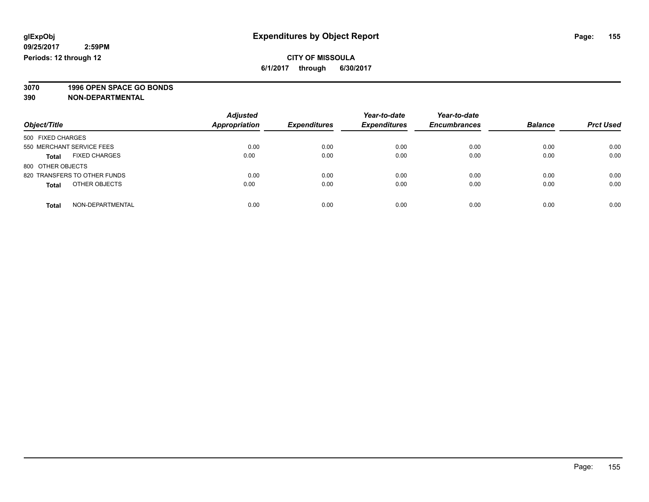**3070 1996 OPEN SPACE GO BONDS**

| Object/Title                         | <b>Adjusted</b><br><b>Appropriation</b> | <b>Expenditures</b> | Year-to-date<br><b>Expenditures</b> | Year-to-date<br><b>Encumbrances</b> | <b>Balance</b> | <b>Prct Used</b> |
|--------------------------------------|-----------------------------------------|---------------------|-------------------------------------|-------------------------------------|----------------|------------------|
|                                      |                                         |                     |                                     |                                     |                |                  |
| 500 FIXED CHARGES                    |                                         |                     |                                     |                                     |                |                  |
| 550 MERCHANT SERVICE FEES            | 0.00                                    | 0.00                | 0.00                                | 0.00                                | 0.00           | 0.00             |
| <b>FIXED CHARGES</b><br><b>Total</b> | 0.00                                    | 0.00                | 0.00                                | 0.00                                | 0.00           | 0.00             |
| 800 OTHER OBJECTS                    |                                         |                     |                                     |                                     |                |                  |
| 820 TRANSFERS TO OTHER FUNDS         | 0.00                                    | 0.00                | 0.00                                | 0.00                                | 0.00           | 0.00             |
| OTHER OBJECTS<br><b>Total</b>        | 0.00                                    | 0.00                | 0.00                                | 0.00                                | 0.00           | 0.00             |
| NON-DEPARTMENTAL<br><b>Total</b>     | 0.00                                    | 0.00                | 0.00                                | 0.00                                | 0.00           | 0.00             |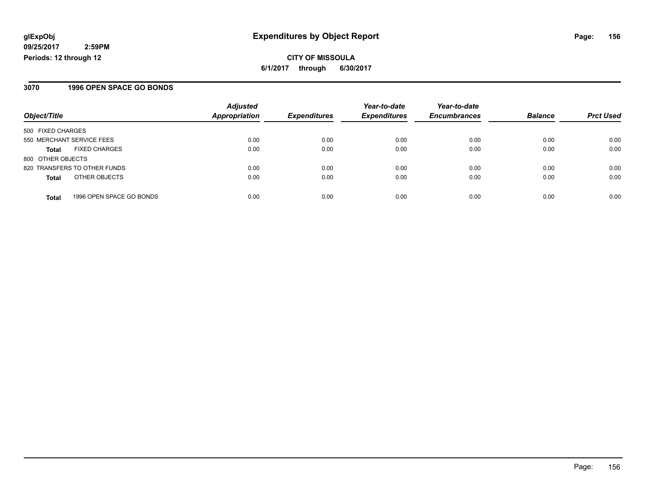**CITY OF MISSOULA 6/1/2017 through 6/30/2017**

### **3070 1996 OPEN SPACE GO BONDS**

|                                          | <b>Adjusted</b>      |                     | Year-to-date        | Year-to-date        |                |                  |
|------------------------------------------|----------------------|---------------------|---------------------|---------------------|----------------|------------------|
| Object/Title                             | <b>Appropriation</b> | <b>Expenditures</b> | <b>Expenditures</b> | <b>Encumbrances</b> | <b>Balance</b> | <b>Prct Used</b> |
| 500 FIXED CHARGES                        |                      |                     |                     |                     |                |                  |
| 550 MERCHANT SERVICE FEES                | 0.00                 | 0.00                | 0.00                | 0.00                | 0.00           | 0.00             |
| <b>FIXED CHARGES</b><br>Total            | 0.00                 | 0.00                | 0.00                | 0.00                | 0.00           | 0.00             |
| 800 OTHER OBJECTS                        |                      |                     |                     |                     |                |                  |
| 820 TRANSFERS TO OTHER FUNDS             | 0.00                 | 0.00                | 0.00                | 0.00                | 0.00           | 0.00             |
| OTHER OBJECTS<br><b>Total</b>            | 0.00                 | 0.00                | 0.00                | 0.00                | 0.00           | 0.00             |
| 1996 OPEN SPACE GO BONDS<br><b>Total</b> | 0.00                 | 0.00                | 0.00                | 0.00                | 0.00           | 0.00             |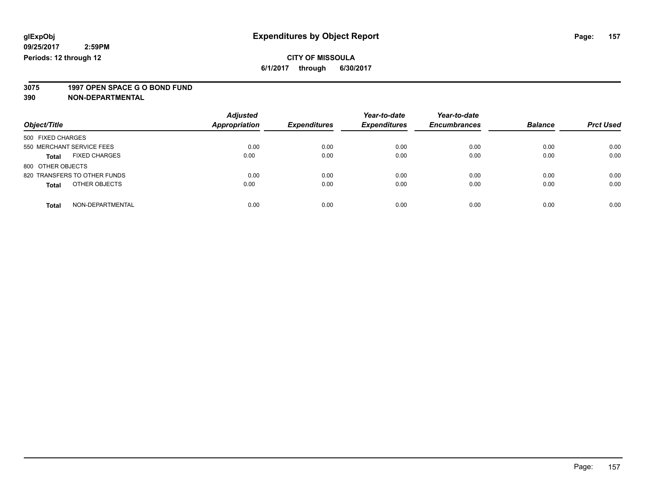# **3075 1997 OPEN SPACE G O BOND FUND**

| Object/Title                         | <b>Adjusted</b><br><b>Appropriation</b> | <b>Expenditures</b> | Year-to-date<br><b>Expenditures</b> | Year-to-date<br><b>Encumbrances</b> | <b>Balance</b> | <b>Prct Used</b> |
|--------------------------------------|-----------------------------------------|---------------------|-------------------------------------|-------------------------------------|----------------|------------------|
| 500 FIXED CHARGES                    |                                         |                     |                                     |                                     |                |                  |
| 550 MERCHANT SERVICE FEES            | 0.00                                    | 0.00                | 0.00                                | 0.00                                | 0.00           | 0.00             |
| <b>FIXED CHARGES</b><br><b>Total</b> | 0.00                                    | 0.00                | 0.00                                | 0.00                                | 0.00           | 0.00             |
| 800 OTHER OBJECTS                    |                                         |                     |                                     |                                     |                |                  |
| 820 TRANSFERS TO OTHER FUNDS         | 0.00                                    | 0.00                | 0.00                                | 0.00                                | 0.00           | 0.00             |
| OTHER OBJECTS<br><b>Total</b>        | 0.00                                    | 0.00                | 0.00                                | 0.00                                | 0.00           | 0.00             |
| NON-DEPARTMENTAL<br>Total            | 0.00                                    | 0.00                | 0.00                                | 0.00                                | 0.00           | 0.00             |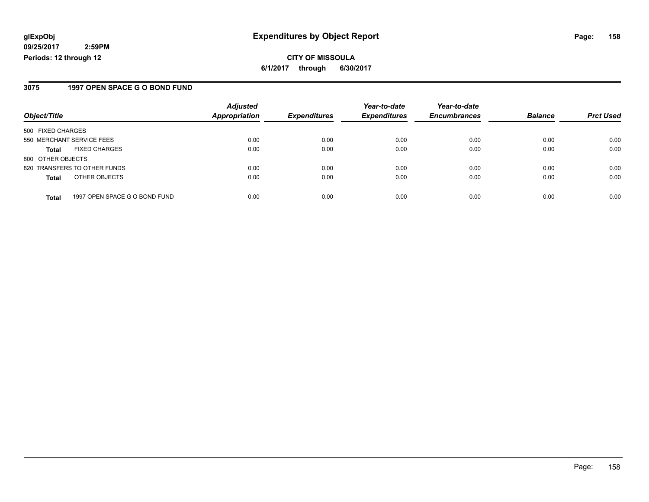**CITY OF MISSOULA 6/1/2017 through 6/30/2017**

### **3075 1997 OPEN SPACE G O BOND FUND**

| Object/Title              |                               | <b>Adjusted</b>      | <b>Expenditures</b> | Year-to-date        | Year-to-date<br><b>Encumbrances</b> | <b>Balance</b> |                  |
|---------------------------|-------------------------------|----------------------|---------------------|---------------------|-------------------------------------|----------------|------------------|
|                           |                               | <b>Appropriation</b> |                     | <b>Expenditures</b> |                                     |                | <b>Prct Used</b> |
| 500 FIXED CHARGES         |                               |                      |                     |                     |                                     |                |                  |
| 550 MERCHANT SERVICE FEES |                               | 0.00                 | 0.00                | 0.00                | 0.00                                | 0.00           | 0.00             |
| <b>Total</b>              | <b>FIXED CHARGES</b>          | 0.00                 | 0.00                | 0.00                | 0.00                                | 0.00           | 0.00             |
| 800 OTHER OBJECTS         |                               |                      |                     |                     |                                     |                |                  |
|                           | 820 TRANSFERS TO OTHER FUNDS  | 0.00                 | 0.00                | 0.00                | 0.00                                | 0.00           | 0.00             |
| <b>Total</b>              | OTHER OBJECTS                 | 0.00                 | 0.00                | 0.00                | 0.00                                | 0.00           | 0.00             |
| <b>Total</b>              | 1997 OPEN SPACE G O BOND FUND | 0.00                 | 0.00                | 0.00                | 0.00                                | 0.00           | 0.00             |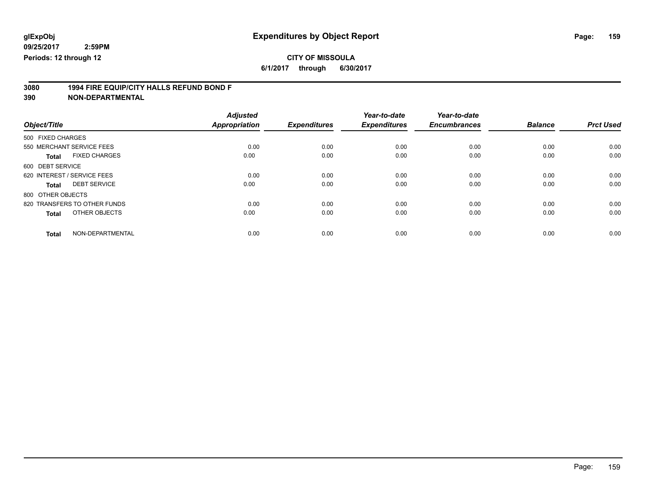### **CITY OF MISSOULA**

**6/1/2017 through 6/30/2017**

# **3080 1994 FIRE EQUIP/CITY HALLS REFUND BOND F**

|                              |                      | <b>Adjusted</b> |                     | Year-to-date        | Year-to-date        |                |                  |
|------------------------------|----------------------|-----------------|---------------------|---------------------|---------------------|----------------|------------------|
| Object/Title                 |                      | Appropriation   | <b>Expenditures</b> | <b>Expenditures</b> | <b>Encumbrances</b> | <b>Balance</b> | <b>Prct Used</b> |
| 500 FIXED CHARGES            |                      |                 |                     |                     |                     |                |                  |
| 550 MERCHANT SERVICE FEES    |                      | 0.00            | 0.00                | 0.00                | 0.00                | 0.00           | 0.00             |
| <b>Total</b>                 | <b>FIXED CHARGES</b> | 0.00            | 0.00                | 0.00                | 0.00                | 0.00           | 0.00             |
| 600 DEBT SERVICE             |                      |                 |                     |                     |                     |                |                  |
| 620 INTEREST / SERVICE FEES  |                      | 0.00            | 0.00                | 0.00                | 0.00                | 0.00           | 0.00             |
| <b>Total</b>                 | <b>DEBT SERVICE</b>  | 0.00            | 0.00                | 0.00                | 0.00                | 0.00           | 0.00             |
| 800 OTHER OBJECTS            |                      |                 |                     |                     |                     |                |                  |
| 820 TRANSFERS TO OTHER FUNDS |                      | 0.00            | 0.00                | 0.00                | 0.00                | 0.00           | 0.00             |
| <b>Total</b>                 | OTHER OBJECTS        | 0.00            | 0.00                | 0.00                | 0.00                | 0.00           | 0.00             |
| <b>Total</b>                 | NON-DEPARTMENTAL     | 0.00            | 0.00                | 0.00                | 0.00                | 0.00           | 0.00             |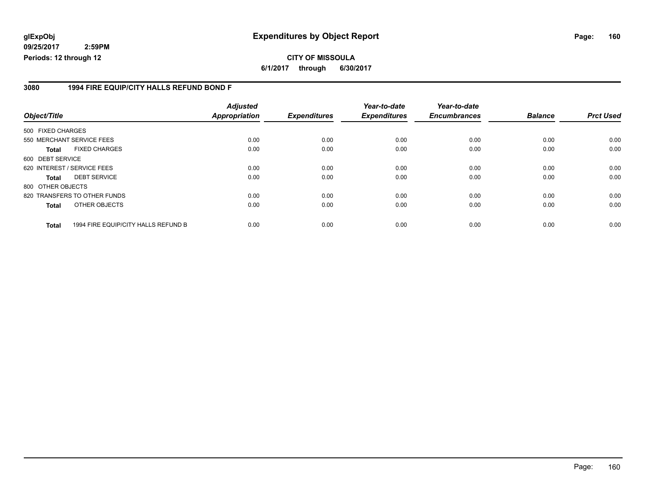### **glExpObj Expenditures by Object Report Page: 160**

**09/25/2017 2:59PM Periods: 12 through 12**

### **3080 1994 FIRE EQUIP/CITY HALLS REFUND BOND F**

| Object/Title      |                                     | <b>Adjusted</b><br><b>Appropriation</b> | <b>Expenditures</b> | Year-to-date<br><b>Expenditures</b> | Year-to-date<br><b>Encumbrances</b> | <b>Balance</b> | <b>Prct Used</b> |
|-------------------|-------------------------------------|-----------------------------------------|---------------------|-------------------------------------|-------------------------------------|----------------|------------------|
| 500 FIXED CHARGES |                                     |                                         |                     |                                     |                                     |                |                  |
|                   | 550 MERCHANT SERVICE FEES           | 0.00                                    | 0.00                | 0.00                                | 0.00                                | 0.00           | 0.00             |
| <b>Total</b>      | <b>FIXED CHARGES</b>                | 0.00                                    | 0.00                | 0.00                                | 0.00                                | 0.00           | 0.00             |
| 600 DEBT SERVICE  |                                     |                                         |                     |                                     |                                     |                |                  |
|                   | 620 INTEREST / SERVICE FEES         | 0.00                                    | 0.00                | 0.00                                | 0.00                                | 0.00           | 0.00             |
| <b>Total</b>      | <b>DEBT SERVICE</b>                 | 0.00                                    | 0.00                | 0.00                                | 0.00                                | 0.00           | 0.00             |
| 800 OTHER OBJECTS |                                     |                                         |                     |                                     |                                     |                |                  |
|                   | 820 TRANSFERS TO OTHER FUNDS        | 0.00                                    | 0.00                | 0.00                                | 0.00                                | 0.00           | 0.00             |
| <b>Total</b>      | OTHER OBJECTS                       | 0.00                                    | 0.00                | 0.00                                | 0.00                                | 0.00           | 0.00             |
| <b>Total</b>      | 1994 FIRE EQUIP/CITY HALLS REFUND B | 0.00                                    | 0.00                | 0.00                                | 0.00                                | 0.00           | 0.00             |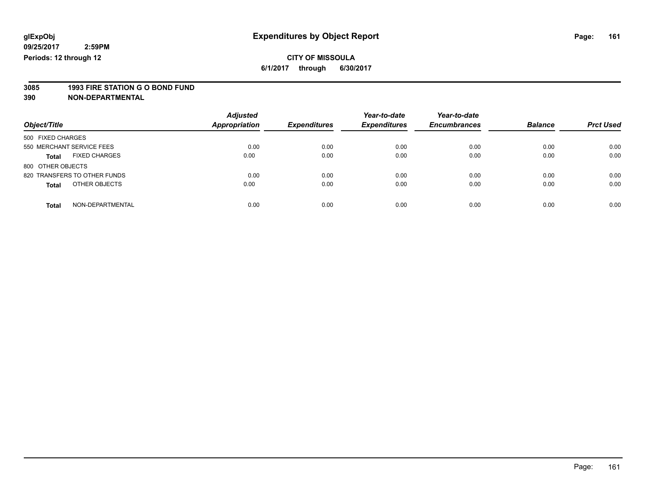# **3085 1993 FIRE STATION G O BOND FUND**

| Object/Title                         | <b>Adjusted</b><br>Appropriation | <b>Expenditures</b> | Year-to-date<br><b>Expenditures</b> | Year-to-date<br><b>Encumbrances</b> | <b>Balance</b> | <b>Prct Used</b> |
|--------------------------------------|----------------------------------|---------------------|-------------------------------------|-------------------------------------|----------------|------------------|
| 500 FIXED CHARGES                    |                                  |                     |                                     |                                     |                |                  |
| 550 MERCHANT SERVICE FEES            | 0.00                             | 0.00                | 0.00                                | 0.00                                | 0.00           | 0.00             |
| <b>FIXED CHARGES</b><br><b>Total</b> | 0.00                             | 0.00                | 0.00                                | 0.00                                | 0.00           | 0.00             |
| 800 OTHER OBJECTS                    |                                  |                     |                                     |                                     |                |                  |
| 820 TRANSFERS TO OTHER FUNDS         | 0.00                             | 0.00                | 0.00                                | 0.00                                | 0.00           | 0.00             |
| OTHER OBJECTS<br><b>Total</b>        | 0.00                             | 0.00                | 0.00                                | 0.00                                | 0.00           | 0.00             |
| NON-DEPARTMENTAL<br><b>Total</b>     | 0.00                             | 0.00                | 0.00                                | 0.00                                | 0.00           | 0.00             |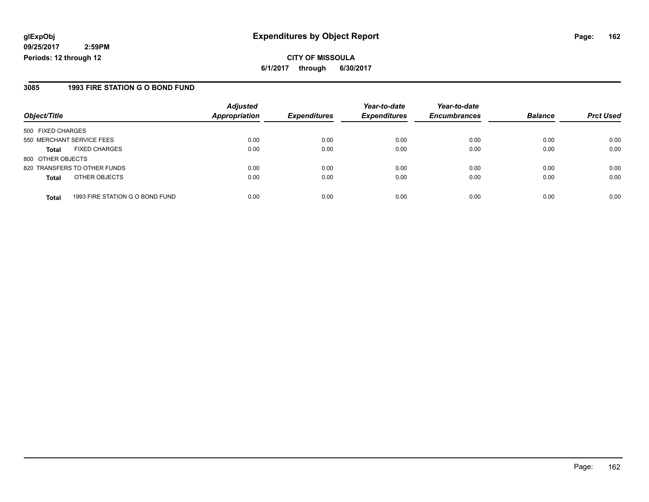**CITY OF MISSOULA 6/1/2017 through 6/30/2017**

### **3085 1993 FIRE STATION G O BOND FUND**

| Object/Title              |                                 | <b>Adjusted</b><br><b>Appropriation</b> | <b>Expenditures</b> | Year-to-date<br><b>Expenditures</b> | Year-to-date<br><b>Encumbrances</b> | <b>Balance</b> | <b>Prct Used</b> |
|---------------------------|---------------------------------|-----------------------------------------|---------------------|-------------------------------------|-------------------------------------|----------------|------------------|
| 500 FIXED CHARGES         |                                 |                                         |                     |                                     |                                     |                |                  |
| 550 MERCHANT SERVICE FEES |                                 | 0.00                                    | 0.00                | 0.00                                | 0.00                                | 0.00           | 0.00             |
| <b>Total</b>              | <b>FIXED CHARGES</b>            | 0.00                                    | 0.00                | 0.00                                | 0.00                                | 0.00           | 0.00             |
| 800 OTHER OBJECTS         |                                 |                                         |                     |                                     |                                     |                |                  |
|                           | 820 TRANSFERS TO OTHER FUNDS    | 0.00                                    | 0.00                | 0.00                                | 0.00                                | 0.00           | 0.00             |
| <b>Total</b>              | OTHER OBJECTS                   | 0.00                                    | 0.00                | 0.00                                | 0.00                                | 0.00           | 0.00             |
|                           |                                 |                                         |                     |                                     |                                     |                |                  |
| <b>Total</b>              | 1993 FIRE STATION G O BOND FUND | 0.00                                    | 0.00                | 0.00                                | 0.00                                | 0.00           | 0.00             |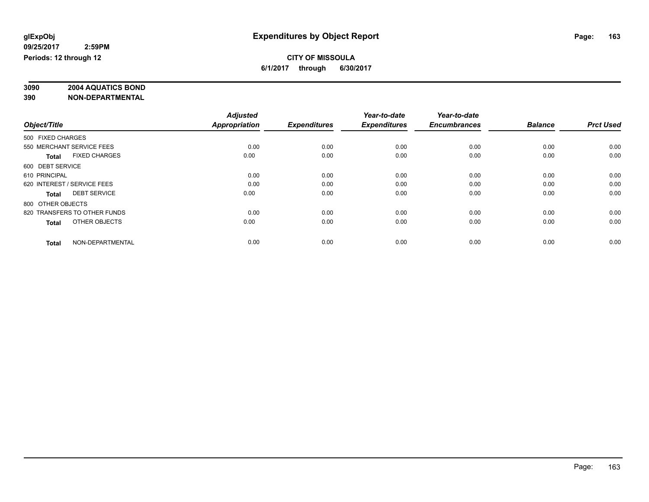# **3090 2004 AQUATICS BOND**

|                                      | <b>Adjusted</b>      |                     | Year-to-date        | Year-to-date        |                |                  |
|--------------------------------------|----------------------|---------------------|---------------------|---------------------|----------------|------------------|
| Object/Title                         | <b>Appropriation</b> | <b>Expenditures</b> | <b>Expenditures</b> | <b>Encumbrances</b> | <b>Balance</b> | <b>Prct Used</b> |
| 500 FIXED CHARGES                    |                      |                     |                     |                     |                |                  |
| 550 MERCHANT SERVICE FEES            | 0.00                 | 0.00                | 0.00                | 0.00                | 0.00           | 0.00             |
| <b>FIXED CHARGES</b><br><b>Total</b> | 0.00                 | 0.00                | 0.00                | 0.00                | 0.00           | 0.00             |
| 600 DEBT SERVICE                     |                      |                     |                     |                     |                |                  |
| 610 PRINCIPAL                        | 0.00                 | 0.00                | 0.00                | 0.00                | 0.00           | 0.00             |
| 620 INTEREST / SERVICE FEES          | 0.00                 | 0.00                | 0.00                | 0.00                | 0.00           | 0.00             |
| <b>DEBT SERVICE</b><br><b>Total</b>  | 0.00                 | 0.00                | 0.00                | 0.00                | 0.00           | 0.00             |
| 800 OTHER OBJECTS                    |                      |                     |                     |                     |                |                  |
| 820 TRANSFERS TO OTHER FUNDS         | 0.00                 | 0.00                | 0.00                | 0.00                | 0.00           | 0.00             |
| OTHER OBJECTS<br><b>Total</b>        | 0.00                 | 0.00                | 0.00                | 0.00                | 0.00           | 0.00             |
|                                      |                      |                     |                     |                     |                |                  |
| NON-DEPARTMENTAL<br><b>Total</b>     | 0.00                 | 0.00                | 0.00                | 0.00                | 0.00           | 0.00             |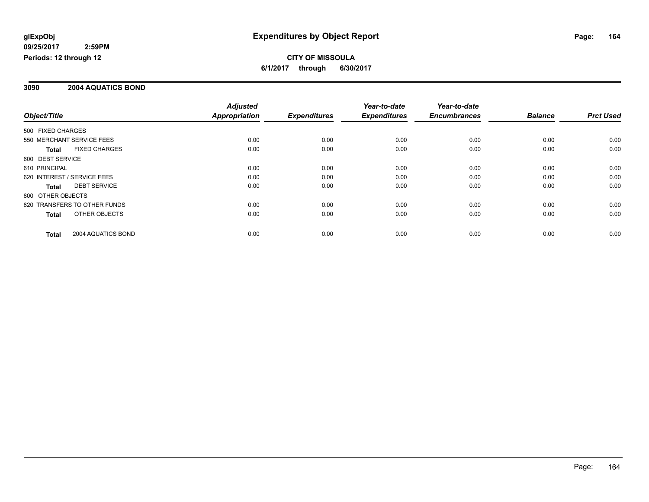#### **3090 2004 AQUATICS BOND**

|                   |                              | <b>Adjusted</b>      |                     | Year-to-date        | Year-to-date        |                |                  |
|-------------------|------------------------------|----------------------|---------------------|---------------------|---------------------|----------------|------------------|
| Object/Title      |                              | <b>Appropriation</b> | <b>Expenditures</b> | <b>Expenditures</b> | <b>Encumbrances</b> | <b>Balance</b> | <b>Prct Used</b> |
| 500 FIXED CHARGES |                              |                      |                     |                     |                     |                |                  |
|                   | 550 MERCHANT SERVICE FEES    | 0.00                 | 0.00                | 0.00                | 0.00                | 0.00           | 0.00             |
| <b>Total</b>      | <b>FIXED CHARGES</b>         | 0.00                 | 0.00                | 0.00                | 0.00                | 0.00           | 0.00             |
| 600 DEBT SERVICE  |                              |                      |                     |                     |                     |                |                  |
| 610 PRINCIPAL     |                              | 0.00                 | 0.00                | 0.00                | 0.00                | 0.00           | 0.00             |
|                   | 620 INTEREST / SERVICE FEES  | 0.00                 | 0.00                | 0.00                | 0.00                | 0.00           | 0.00             |
| Total             | <b>DEBT SERVICE</b>          | 0.00                 | 0.00                | 0.00                | 0.00                | 0.00           | 0.00             |
| 800 OTHER OBJECTS |                              |                      |                     |                     |                     |                |                  |
|                   | 820 TRANSFERS TO OTHER FUNDS | 0.00                 | 0.00                | 0.00                | 0.00                | 0.00           | 0.00             |
| <b>Total</b>      | OTHER OBJECTS                | 0.00                 | 0.00                | 0.00                | 0.00                | 0.00           | 0.00             |
| Total             | 2004 AQUATICS BOND           | 0.00                 | 0.00                | 0.00                | 0.00                | 0.00           | 0.00             |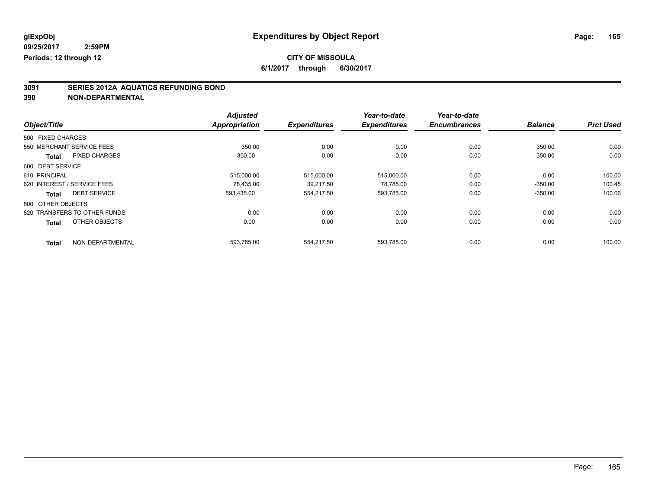### **CITY OF MISSOULA**

**6/1/2017 through 6/30/2017**

# **3091 SERIES 2012A AQUATICS REFUNDING BOND**

|                                      | <b>Adjusted</b>      |                     | Year-to-date        | Year-to-date        |                |                  |
|--------------------------------------|----------------------|---------------------|---------------------|---------------------|----------------|------------------|
| Object/Title                         | <b>Appropriation</b> | <b>Expenditures</b> | <b>Expenditures</b> | <b>Encumbrances</b> | <b>Balance</b> | <b>Prct Used</b> |
| 500 FIXED CHARGES                    |                      |                     |                     |                     |                |                  |
| 550 MERCHANT SERVICE FEES            | 350.00               | 0.00                | 0.00                | 0.00                | 350.00         | 0.00             |
| <b>FIXED CHARGES</b><br><b>Total</b> | 350.00               | 0.00                | 0.00                | 0.00                | 350.00         | 0.00             |
| 600 DEBT SERVICE                     |                      |                     |                     |                     |                |                  |
| 610 PRINCIPAL                        | 515,000.00           | 515.000.00          | 515,000.00          | 0.00                | 0.00           | 100.00           |
| 620 INTEREST / SERVICE FEES          | 78.435.00            | 39,217.50           | 78,785.00           | 0.00                | $-350.00$      | 100.45           |
| <b>DEBT SERVICE</b><br><b>Total</b>  | 593.435.00           | 554,217.50          | 593,785.00          | 0.00                | $-350.00$      | 100.06           |
| 800 OTHER OBJECTS                    |                      |                     |                     |                     |                |                  |
| 820 TRANSFERS TO OTHER FUNDS         | 0.00                 | 0.00                | 0.00                | 0.00                | 0.00           | 0.00             |
| OTHER OBJECTS<br><b>Total</b>        | 0.00                 | 0.00                | 0.00                | 0.00                | 0.00           | 0.00             |
| NON-DEPARTMENTAL<br><b>Total</b>     | 593.785.00           | 554.217.50          | 593.785.00          | 0.00                | 0.00           | 100.00           |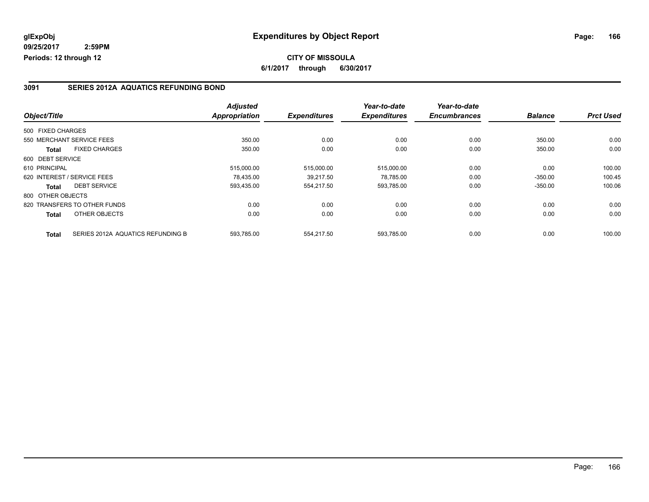### **3091 SERIES 2012A AQUATICS REFUNDING BOND**

|                   |                                   | <b>Adjusted</b>      |                     | Year-to-date        | Year-to-date        |                |                  |
|-------------------|-----------------------------------|----------------------|---------------------|---------------------|---------------------|----------------|------------------|
| Object/Title      |                                   | <b>Appropriation</b> | <b>Expenditures</b> | <b>Expenditures</b> | <b>Encumbrances</b> | <b>Balance</b> | <b>Prct Used</b> |
| 500 FIXED CHARGES |                                   |                      |                     |                     |                     |                |                  |
|                   | 550 MERCHANT SERVICE FEES         | 350.00               | 0.00                | 0.00                | 0.00                | 350.00         | 0.00             |
| <b>Total</b>      | <b>FIXED CHARGES</b>              | 350.00               | 0.00                | 0.00                | 0.00                | 350.00         | 0.00             |
| 600 DEBT SERVICE  |                                   |                      |                     |                     |                     |                |                  |
| 610 PRINCIPAL     |                                   | 515,000.00           | 515,000.00          | 515,000.00          | 0.00                | 0.00           | 100.00           |
|                   | 620 INTEREST / SERVICE FEES       | 78.435.00            | 39,217.50           | 78,785.00           | 0.00                | $-350.00$      | 100.45           |
| <b>Total</b>      | <b>DEBT SERVICE</b>               | 593,435.00           | 554,217.50          | 593,785.00          | 0.00                | $-350.00$      | 100.06           |
| 800 OTHER OBJECTS |                                   |                      |                     |                     |                     |                |                  |
|                   | 820 TRANSFERS TO OTHER FUNDS      | 0.00                 | 0.00                | 0.00                | 0.00                | 0.00           | 0.00             |
| Total             | OTHER OBJECTS                     | 0.00                 | 0.00                | 0.00                | 0.00                | 0.00           | 0.00             |
| <b>Total</b>      | SERIES 2012A AQUATICS REFUNDING B | 593,785.00           | 554.217.50          | 593.785.00          | 0.00                | 0.00           | 100.00           |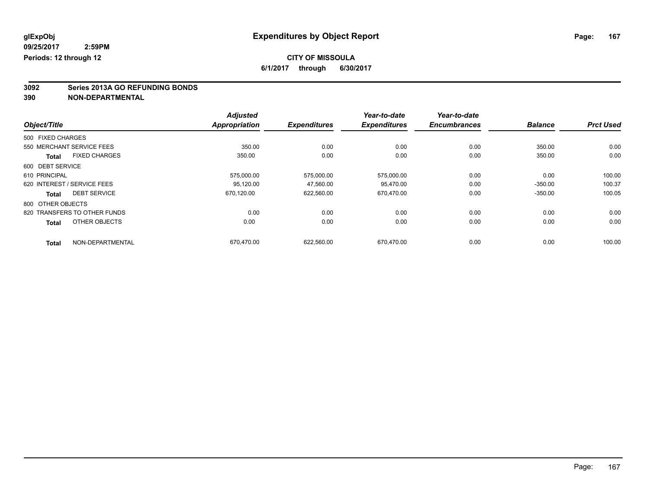### **CITY OF MISSOULA**

**6/1/2017 through 6/30/2017**

# **3092 Series 2013A GO REFUNDING BONDS**

|                                      | <b>Adjusted</b>      |                     | Year-to-date        | Year-to-date        |                |                  |
|--------------------------------------|----------------------|---------------------|---------------------|---------------------|----------------|------------------|
| Object/Title                         | <b>Appropriation</b> | <b>Expenditures</b> | <b>Expenditures</b> | <b>Encumbrances</b> | <b>Balance</b> | <b>Prct Used</b> |
| 500 FIXED CHARGES                    |                      |                     |                     |                     |                |                  |
| 550 MERCHANT SERVICE FEES            | 350.00               | 0.00                | 0.00                | 0.00                | 350.00         | 0.00             |
| <b>FIXED CHARGES</b><br><b>Total</b> | 350.00               | 0.00                | 0.00                | 0.00                | 350.00         | 0.00             |
| 600 DEBT SERVICE                     |                      |                     |                     |                     |                |                  |
| 610 PRINCIPAL                        | 575,000.00           | 575,000.00          | 575,000.00          | 0.00                | 0.00           | 100.00           |
| 620 INTEREST / SERVICE FEES          | 95.120.00            | 47,560.00           | 95.470.00           | 0.00                | $-350.00$      | 100.37           |
| <b>DEBT SERVICE</b><br>Total         | 670,120.00           | 622,560.00          | 670,470.00          | 0.00                | $-350.00$      | 100.05           |
| 800 OTHER OBJECTS                    |                      |                     |                     |                     |                |                  |
| 820 TRANSFERS TO OTHER FUNDS         | 0.00                 | 0.00                | 0.00                | 0.00                | 0.00           | 0.00             |
| OTHER OBJECTS<br><b>Total</b>        | 0.00                 | 0.00                | 0.00                | 0.00                | 0.00           | 0.00             |
| NON-DEPARTMENTAL<br><b>Total</b>     | 670,470.00           | 622,560.00          | 670.470.00          | 0.00                | 0.00           | 100.00           |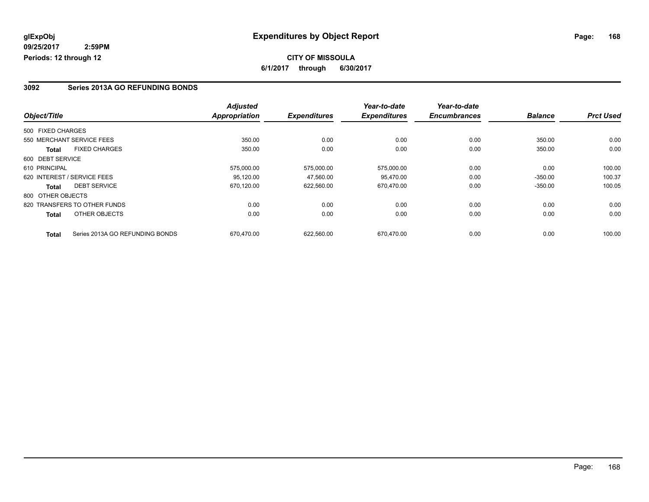### **CITY OF MISSOULA 6/1/2017 through 6/30/2017**

### **3092 Series 2013A GO REFUNDING BONDS**

|                   |                                 | <b>Adjusted</b>      |                     | Year-to-date        | Year-to-date        |                |                  |
|-------------------|---------------------------------|----------------------|---------------------|---------------------|---------------------|----------------|------------------|
| Object/Title      |                                 | <b>Appropriation</b> | <b>Expenditures</b> | <b>Expenditures</b> | <b>Encumbrances</b> | <b>Balance</b> | <b>Prct Used</b> |
| 500 FIXED CHARGES |                                 |                      |                     |                     |                     |                |                  |
|                   | 550 MERCHANT SERVICE FEES       | 350.00               | 0.00                | 0.00                | 0.00                | 350.00         | 0.00             |
| <b>Total</b>      | <b>FIXED CHARGES</b>            | 350.00               | 0.00                | 0.00                | 0.00                | 350.00         | 0.00             |
| 600 DEBT SERVICE  |                                 |                      |                     |                     |                     |                |                  |
| 610 PRINCIPAL     |                                 | 575,000.00           | 575.000.00          | 575,000.00          | 0.00                | 0.00           | 100.00           |
|                   | 620 INTEREST / SERVICE FEES     | 95,120.00            | 47,560.00           | 95,470.00           | 0.00                | $-350.00$      | 100.37           |
| <b>Total</b>      | <b>DEBT SERVICE</b>             | 670,120.00           | 622,560.00          | 670.470.00          | 0.00                | $-350.00$      | 100.05           |
| 800 OTHER OBJECTS |                                 |                      |                     |                     |                     |                |                  |
|                   | 820 TRANSFERS TO OTHER FUNDS    | 0.00                 | 0.00                | 0.00                | 0.00                | 0.00           | 0.00             |
| Total             | OTHER OBJECTS                   | 0.00                 | 0.00                | 0.00                | 0.00                | 0.00           | 0.00             |
| <b>Total</b>      | Series 2013A GO REFUNDING BONDS | 670.470.00           | 622.560.00          | 670.470.00          | 0.00                | 0.00           | 100.00           |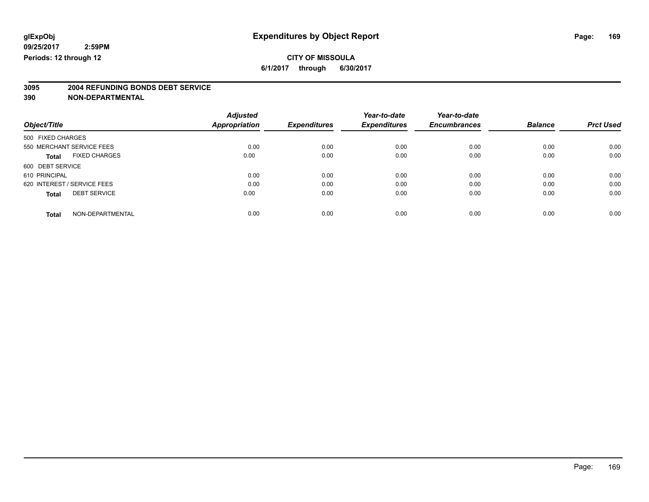### **CITY OF MISSOULA**

**6/1/2017 through 6/30/2017**

# **3095 2004 REFUNDING BONDS DEBT SERVICE**

|                             |                      | <b>Adjusted</b>      |                     | Year-to-date        | Year-to-date        |                |                  |
|-----------------------------|----------------------|----------------------|---------------------|---------------------|---------------------|----------------|------------------|
| Object/Title                |                      | <b>Appropriation</b> | <b>Expenditures</b> | <b>Expenditures</b> | <b>Encumbrances</b> | <b>Balance</b> | <b>Prct Used</b> |
| 500 FIXED CHARGES           |                      |                      |                     |                     |                     |                |                  |
| 550 MERCHANT SERVICE FEES   |                      | 0.00                 | 0.00                | 0.00                | 0.00                | 0.00           | 0.00             |
| <b>Total</b>                | <b>FIXED CHARGES</b> | 0.00                 | 0.00                | 0.00                | 0.00                | 0.00           | 0.00             |
| 600 DEBT SERVICE            |                      |                      |                     |                     |                     |                |                  |
| 610 PRINCIPAL               |                      | 0.00                 | 0.00                | 0.00                | 0.00                | 0.00           | 0.00             |
| 620 INTEREST / SERVICE FEES |                      | 0.00                 | 0.00                | 0.00                | 0.00                | 0.00           | 0.00             |
| <b>Total</b>                | <b>DEBT SERVICE</b>  | 0.00                 | 0.00                | 0.00                | 0.00                | 0.00           | 0.00             |
| <b>Total</b>                | NON-DEPARTMENTAL     | 0.00                 | 0.00                | 0.00                | 0.00                | 0.00           | 0.00             |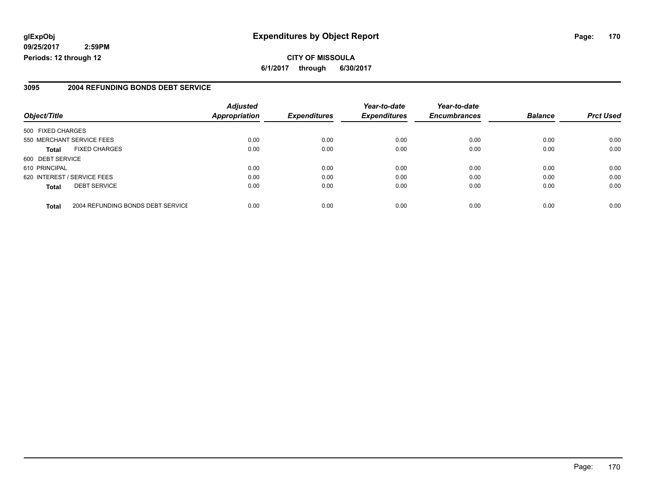### **glExpObj Expenditures by Object Report Page: 170**

**09/25/2017 2:59PM Periods: 12 through 12**

### **3095 2004 REFUNDING BONDS DEBT SERVICE**

| Object/Title      |                                   | <b>Adjusted</b><br><b>Appropriation</b> | <b>Expenditures</b> | Year-to-date<br><b>Expenditures</b> | Year-to-date<br><b>Encumbrances</b> | <b>Balance</b> | <b>Prct Used</b> |
|-------------------|-----------------------------------|-----------------------------------------|---------------------|-------------------------------------|-------------------------------------|----------------|------------------|
|                   |                                   |                                         |                     |                                     |                                     |                |                  |
| 500 FIXED CHARGES |                                   |                                         |                     |                                     |                                     |                |                  |
|                   | 550 MERCHANT SERVICE FEES         | 0.00                                    | 0.00                | 0.00                                | 0.00                                | 0.00           | 0.00             |
| <b>Total</b>      | <b>FIXED CHARGES</b>              | 0.00                                    | 0.00                | 0.00                                | 0.00                                | 0.00           | 0.00             |
| 600 DEBT SERVICE  |                                   |                                         |                     |                                     |                                     |                |                  |
| 610 PRINCIPAL     |                                   | 0.00                                    | 0.00                | 0.00                                | 0.00                                | 0.00           | 0.00             |
|                   | 620 INTEREST / SERVICE FEES       | 0.00                                    | 0.00                | 0.00                                | 0.00                                | 0.00           | 0.00             |
| <b>Total</b>      | <b>DEBT SERVICE</b>               | 0.00                                    | 0.00                | 0.00                                | 0.00                                | 0.00           | 0.00             |
| <b>Total</b>      | 2004 REFUNDING BONDS DEBT SERVICE | 0.00                                    | 0.00                | 0.00                                | 0.00                                | 0.00           | 0.00             |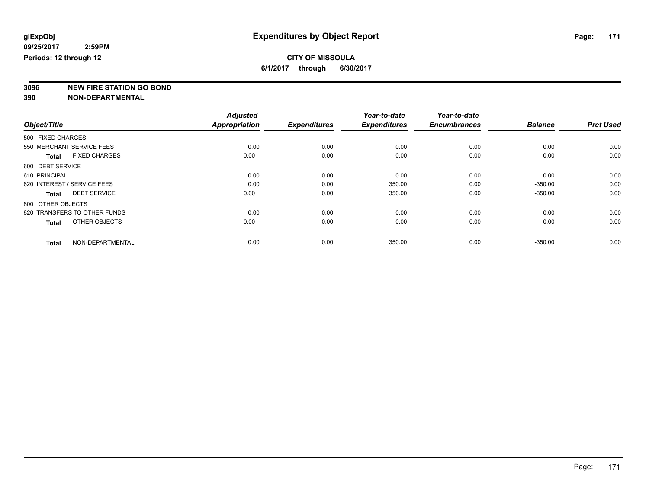**3096 NEW FIRE STATION GO BOND**

|                                      | <b>Adjusted</b>      |                     | Year-to-date        | Year-to-date        |                |                  |
|--------------------------------------|----------------------|---------------------|---------------------|---------------------|----------------|------------------|
| Object/Title                         | <b>Appropriation</b> | <b>Expenditures</b> | <b>Expenditures</b> | <b>Encumbrances</b> | <b>Balance</b> | <b>Prct Used</b> |
| 500 FIXED CHARGES                    |                      |                     |                     |                     |                |                  |
| 550 MERCHANT SERVICE FEES            | 0.00                 | 0.00                | 0.00                | 0.00                | 0.00           | 0.00             |
| <b>FIXED CHARGES</b><br><b>Total</b> | 0.00                 | 0.00                | 0.00                | 0.00                | 0.00           | 0.00             |
| 600 DEBT SERVICE                     |                      |                     |                     |                     |                |                  |
| 610 PRINCIPAL                        | 0.00                 | 0.00                | 0.00                | 0.00                | 0.00           | 0.00             |
| 620 INTEREST / SERVICE FEES          | 0.00                 | 0.00                | 350.00              | 0.00                | $-350.00$      | 0.00             |
| <b>DEBT SERVICE</b><br><b>Total</b>  | 0.00                 | 0.00                | 350.00              | 0.00                | $-350.00$      | 0.00             |
| 800 OTHER OBJECTS                    |                      |                     |                     |                     |                |                  |
| 820 TRANSFERS TO OTHER FUNDS         | 0.00                 | 0.00                | 0.00                | 0.00                | 0.00           | 0.00             |
| OTHER OBJECTS<br><b>Total</b>        | 0.00                 | 0.00                | 0.00                | 0.00                | 0.00           | 0.00             |
| NON-DEPARTMENTAL<br><b>Total</b>     | 0.00                 | 0.00                | 350.00              | 0.00                | $-350.00$      | 0.00             |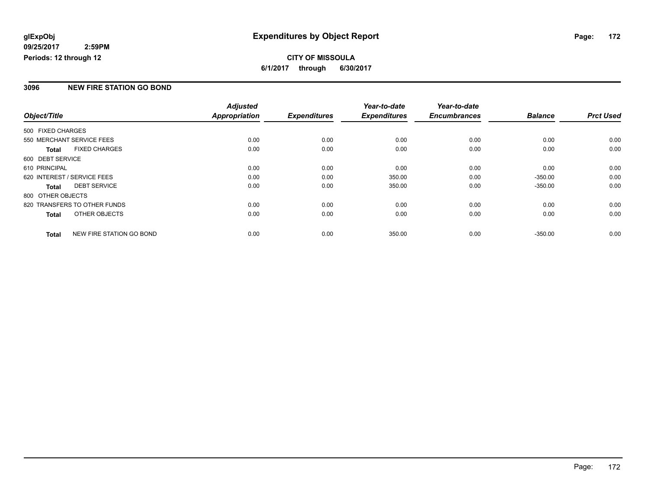### **CITY OF MISSOULA 6/1/2017 through 6/30/2017**

### **3096 NEW FIRE STATION GO BOND**

|                   |                              | <b>Adjusted</b>      |                     | Year-to-date        | Year-to-date        |                |                  |
|-------------------|------------------------------|----------------------|---------------------|---------------------|---------------------|----------------|------------------|
| Object/Title      |                              | <b>Appropriation</b> | <b>Expenditures</b> | <b>Expenditures</b> | <b>Encumbrances</b> | <b>Balance</b> | <b>Prct Used</b> |
| 500 FIXED CHARGES |                              |                      |                     |                     |                     |                |                  |
|                   | 550 MERCHANT SERVICE FEES    | 0.00                 | 0.00                | 0.00                | 0.00                | 0.00           | 0.00             |
| <b>Total</b>      | <b>FIXED CHARGES</b>         | 0.00                 | 0.00                | 0.00                | 0.00                | 0.00           | 0.00             |
| 600 DEBT SERVICE  |                              |                      |                     |                     |                     |                |                  |
| 610 PRINCIPAL     |                              | 0.00                 | 0.00                | 0.00                | 0.00                | 0.00           | 0.00             |
|                   | 620 INTEREST / SERVICE FEES  | 0.00                 | 0.00                | 350.00              | 0.00                | $-350.00$      | 0.00             |
| <b>Total</b>      | <b>DEBT SERVICE</b>          | 0.00                 | 0.00                | 350.00              | 0.00                | $-350.00$      | 0.00             |
| 800 OTHER OBJECTS |                              |                      |                     |                     |                     |                |                  |
|                   | 820 TRANSFERS TO OTHER FUNDS | 0.00                 | 0.00                | 0.00                | 0.00                | 0.00           | 0.00             |
| <b>Total</b>      | OTHER OBJECTS                | 0.00                 | 0.00                | 0.00                | 0.00                | 0.00           | 0.00             |
| <b>Total</b>      | NEW FIRE STATION GO BOND     | 0.00                 | 0.00                | 350.00              | 0.00                | $-350.00$      | 0.00             |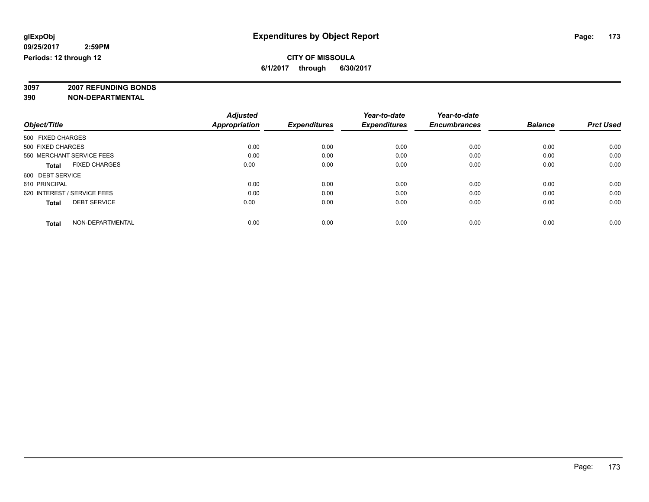**3097 2007 REFUNDING BONDS**

| Object/Title                         | <b>Adjusted</b><br><b>Appropriation</b> | <b>Expenditures</b> | Year-to-date<br><b>Expenditures</b> | Year-to-date<br><b>Encumbrances</b> | <b>Balance</b> | <b>Prct Used</b> |
|--------------------------------------|-----------------------------------------|---------------------|-------------------------------------|-------------------------------------|----------------|------------------|
| 500 FIXED CHARGES                    |                                         |                     |                                     |                                     |                |                  |
| 500 FIXED CHARGES                    | 0.00                                    | 0.00                | 0.00                                | 0.00                                | 0.00           | 0.00             |
| 550 MERCHANT SERVICE FEES            | 0.00                                    | 0.00                | 0.00                                | 0.00                                | 0.00           | 0.00             |
| <b>FIXED CHARGES</b><br><b>Total</b> | 0.00                                    | 0.00                | 0.00                                | 0.00                                | 0.00           | 0.00             |
| 600 DEBT SERVICE                     |                                         |                     |                                     |                                     |                |                  |
| 610 PRINCIPAL                        | 0.00                                    | 0.00                | 0.00                                | 0.00                                | 0.00           | 0.00             |
| 620 INTEREST / SERVICE FEES          | 0.00                                    | 0.00                | 0.00                                | 0.00                                | 0.00           | 0.00             |
| <b>DEBT SERVICE</b><br><b>Total</b>  | 0.00                                    | 0.00                | 0.00                                | 0.00                                | 0.00           | 0.00             |
| NON-DEPARTMENTAL<br><b>Total</b>     | 0.00                                    | 0.00                | 0.00                                | 0.00                                | 0.00           | 0.00             |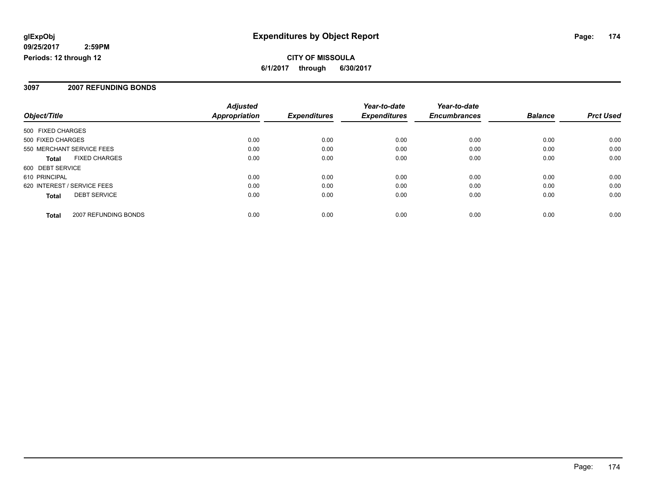**6/1/2017 through 6/30/2017**

#### **3097 2007 REFUNDING BONDS**

| Object/Title                |                      | <b>Adjusted</b><br><b>Appropriation</b> | <b>Expenditures</b> | Year-to-date<br><b>Expenditures</b> | Year-to-date<br><b>Encumbrances</b> | <b>Balance</b> | <b>Prct Used</b> |
|-----------------------------|----------------------|-----------------------------------------|---------------------|-------------------------------------|-------------------------------------|----------------|------------------|
| 500 FIXED CHARGES           |                      |                                         |                     |                                     |                                     |                |                  |
| 500 FIXED CHARGES           |                      | 0.00                                    | 0.00                | 0.00                                | 0.00                                | 0.00           | 0.00             |
| 550 MERCHANT SERVICE FEES   |                      | 0.00                                    | 0.00                | 0.00                                | 0.00                                | 0.00           | 0.00             |
| <b>Total</b>                | <b>FIXED CHARGES</b> | 0.00                                    | 0.00                | 0.00                                | 0.00                                | 0.00           | 0.00             |
| 600 DEBT SERVICE            |                      |                                         |                     |                                     |                                     |                |                  |
| 610 PRINCIPAL               |                      | 0.00                                    | 0.00                | 0.00                                | 0.00                                | 0.00           | 0.00             |
| 620 INTEREST / SERVICE FEES |                      | 0.00                                    | 0.00                | 0.00                                | 0.00                                | 0.00           | 0.00             |
| <b>Total</b>                | <b>DEBT SERVICE</b>  | 0.00                                    | 0.00                | 0.00                                | 0.00                                | 0.00           | 0.00             |
| <b>Total</b>                | 2007 REFUNDING BONDS | 0.00                                    | 0.00                | 0.00                                | 0.00                                | 0.00           | 0.00             |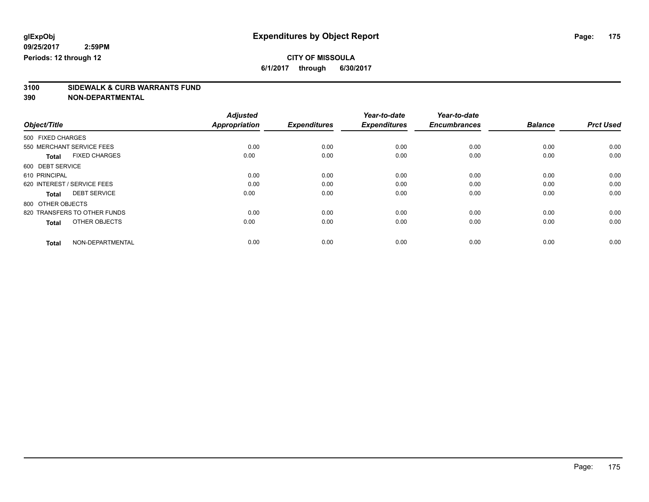### **CITY OF MISSOULA**

**6/1/2017 through 6/30/2017**

# **3100 SIDEWALK & CURB WARRANTS FUND**

|                                      | <b>Adjusted</b>      |                     | Year-to-date        | Year-to-date        |                |                  |
|--------------------------------------|----------------------|---------------------|---------------------|---------------------|----------------|------------------|
| Object/Title                         | <b>Appropriation</b> | <b>Expenditures</b> | <b>Expenditures</b> | <b>Encumbrances</b> | <b>Balance</b> | <b>Prct Used</b> |
| 500 FIXED CHARGES                    |                      |                     |                     |                     |                |                  |
| 550 MERCHANT SERVICE FEES            | 0.00                 | 0.00                | 0.00                | 0.00                | 0.00           | 0.00             |
| <b>FIXED CHARGES</b><br><b>Total</b> | 0.00                 | 0.00                | 0.00                | 0.00                | 0.00           | 0.00             |
| 600 DEBT SERVICE                     |                      |                     |                     |                     |                |                  |
| 610 PRINCIPAL                        | 0.00                 | 0.00                | 0.00                | 0.00                | 0.00           | 0.00             |
| 620 INTEREST / SERVICE FEES          | 0.00                 | 0.00                | 0.00                | 0.00                | 0.00           | 0.00             |
| <b>DEBT SERVICE</b><br><b>Total</b>  | 0.00                 | 0.00                | 0.00                | 0.00                | 0.00           | 0.00             |
| 800 OTHER OBJECTS                    |                      |                     |                     |                     |                |                  |
| 820 TRANSFERS TO OTHER FUNDS         | 0.00                 | 0.00                | 0.00                | 0.00                | 0.00           | 0.00             |
| OTHER OBJECTS<br><b>Total</b>        | 0.00                 | 0.00                | 0.00                | 0.00                | 0.00           | 0.00             |
|                                      |                      |                     |                     |                     |                |                  |
| NON-DEPARTMENTAL<br><b>Total</b>     | 0.00                 | 0.00                | 0.00                | 0.00                | 0.00           | 0.00             |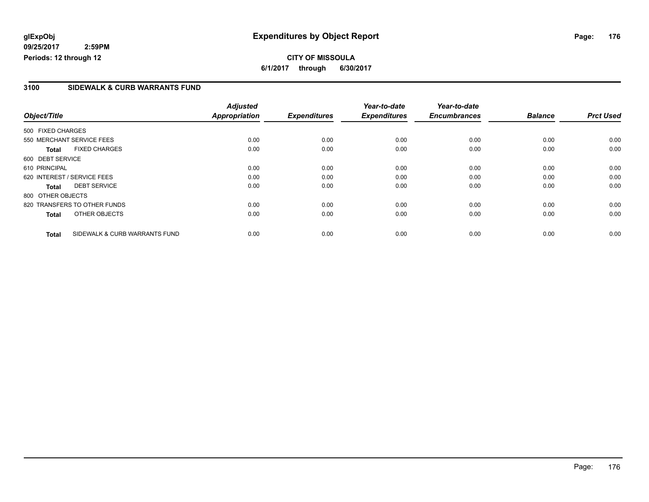### **CITY OF MISSOULA 6/1/2017 through 6/30/2017**

### **3100 SIDEWALK & CURB WARRANTS FUND**

|                   |                               | <b>Adjusted</b>      |                     | Year-to-date        | Year-to-date        |                |                  |
|-------------------|-------------------------------|----------------------|---------------------|---------------------|---------------------|----------------|------------------|
| Object/Title      |                               | <b>Appropriation</b> | <b>Expenditures</b> | <b>Expenditures</b> | <b>Encumbrances</b> | <b>Balance</b> | <b>Prct Used</b> |
| 500 FIXED CHARGES |                               |                      |                     |                     |                     |                |                  |
|                   | 550 MERCHANT SERVICE FEES     | 0.00                 | 0.00                | 0.00                | 0.00                | 0.00           | 0.00             |
| <b>Total</b>      | <b>FIXED CHARGES</b>          | 0.00                 | 0.00                | 0.00                | 0.00                | 0.00           | 0.00             |
| 600 DEBT SERVICE  |                               |                      |                     |                     |                     |                |                  |
| 610 PRINCIPAL     |                               | 0.00                 | 0.00                | 0.00                | 0.00                | 0.00           | 0.00             |
|                   | 620 INTEREST / SERVICE FEES   | 0.00                 | 0.00                | 0.00                | 0.00                | 0.00           | 0.00             |
| <b>Total</b>      | <b>DEBT SERVICE</b>           | 0.00                 | 0.00                | 0.00                | 0.00                | 0.00           | 0.00             |
| 800 OTHER OBJECTS |                               |                      |                     |                     |                     |                |                  |
|                   | 820 TRANSFERS TO OTHER FUNDS  | 0.00                 | 0.00                | 0.00                | 0.00                | 0.00           | 0.00             |
| <b>Total</b>      | OTHER OBJECTS                 | 0.00                 | 0.00                | 0.00                | 0.00                | 0.00           | 0.00             |
| <b>Total</b>      | SIDEWALK & CURB WARRANTS FUND | 0.00                 | 0.00                | 0.00                | 0.00                | 0.00           | 0.00             |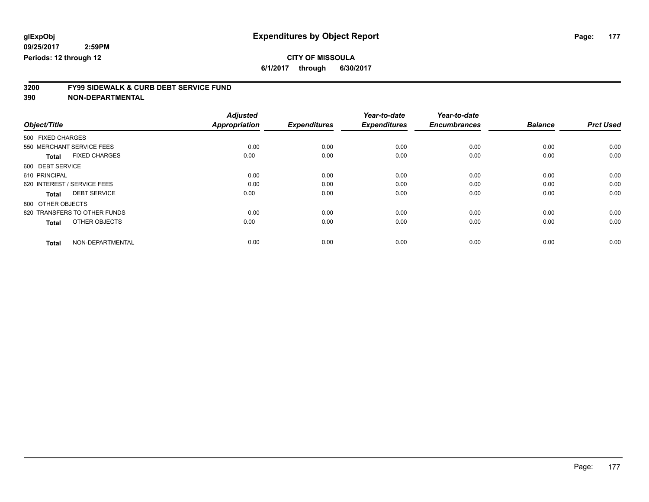### **CITY OF MISSOULA**

**6/1/2017 through 6/30/2017**

# **3200 FY99 SIDEWALK & CURB DEBT SERVICE FUND**

|                                      | <b>Adjusted</b>      |                     | Year-to-date        | Year-to-date        |                |                  |
|--------------------------------------|----------------------|---------------------|---------------------|---------------------|----------------|------------------|
| Object/Title                         | <b>Appropriation</b> | <b>Expenditures</b> | <b>Expenditures</b> | <b>Encumbrances</b> | <b>Balance</b> | <b>Prct Used</b> |
| 500 FIXED CHARGES                    |                      |                     |                     |                     |                |                  |
| 550 MERCHANT SERVICE FEES            | 0.00                 | 0.00                | 0.00                | 0.00                | 0.00           | 0.00             |
| <b>FIXED CHARGES</b><br><b>Total</b> | 0.00                 | 0.00                | 0.00                | 0.00                | 0.00           | 0.00             |
| 600 DEBT SERVICE                     |                      |                     |                     |                     |                |                  |
| 610 PRINCIPAL                        | 0.00                 | 0.00                | 0.00                | 0.00                | 0.00           | 0.00             |
| 620 INTEREST / SERVICE FEES          | 0.00                 | 0.00                | 0.00                | 0.00                | 0.00           | 0.00             |
| <b>DEBT SERVICE</b><br><b>Total</b>  | 0.00                 | 0.00                | 0.00                | 0.00                | 0.00           | 0.00             |
| 800 OTHER OBJECTS                    |                      |                     |                     |                     |                |                  |
| 820 TRANSFERS TO OTHER FUNDS         | 0.00                 | 0.00                | 0.00                | 0.00                | 0.00           | 0.00             |
| OTHER OBJECTS<br><b>Total</b>        | 0.00                 | 0.00                | 0.00                | 0.00                | 0.00           | 0.00             |
|                                      |                      |                     |                     |                     |                |                  |
| NON-DEPARTMENTAL<br><b>Total</b>     | 0.00                 | 0.00                | 0.00                | 0.00                | 0.00           | 0.00             |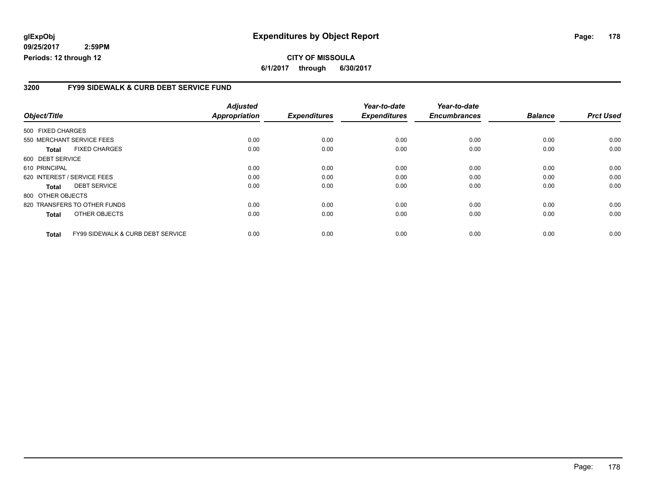### **glExpObj Expenditures by Object Report Page: 178**

**09/25/2017 2:59PM Periods: 12 through 12**

### **3200 FY99 SIDEWALK & CURB DEBT SERVICE FUND**

| Object/Title      |                                   | <b>Adjusted</b><br><b>Appropriation</b> | <b>Expenditures</b> | Year-to-date<br><b>Expenditures</b> | Year-to-date<br><b>Encumbrances</b> | <b>Balance</b> | <b>Prct Used</b> |
|-------------------|-----------------------------------|-----------------------------------------|---------------------|-------------------------------------|-------------------------------------|----------------|------------------|
|                   |                                   |                                         |                     |                                     |                                     |                |                  |
| 500 FIXED CHARGES |                                   |                                         |                     |                                     |                                     |                |                  |
|                   | 550 MERCHANT SERVICE FEES         | 0.00                                    | 0.00                | 0.00                                | 0.00                                | 0.00           | 0.00             |
| <b>Total</b>      | <b>FIXED CHARGES</b>              | 0.00                                    | 0.00                | 0.00                                | 0.00                                | 0.00           | 0.00             |
| 600 DEBT SERVICE  |                                   |                                         |                     |                                     |                                     |                |                  |
| 610 PRINCIPAL     |                                   | 0.00                                    | 0.00                | 0.00                                | 0.00                                | 0.00           | 0.00             |
|                   | 620 INTEREST / SERVICE FEES       | 0.00                                    | 0.00                | 0.00                                | 0.00                                | 0.00           | 0.00             |
| <b>Total</b>      | <b>DEBT SERVICE</b>               | 0.00                                    | 0.00                | 0.00                                | 0.00                                | 0.00           | 0.00             |
| 800 OTHER OBJECTS |                                   |                                         |                     |                                     |                                     |                |                  |
|                   | 820 TRANSFERS TO OTHER FUNDS      | 0.00                                    | 0.00                | 0.00                                | 0.00                                | 0.00           | 0.00             |
| <b>Total</b>      | OTHER OBJECTS                     | 0.00                                    | 0.00                | 0.00                                | 0.00                                | 0.00           | 0.00             |
| <b>Total</b>      | FY99 SIDEWALK & CURB DEBT SERVICE | 0.00                                    | 0.00                | 0.00                                | 0.00                                | 0.00           | 0.00             |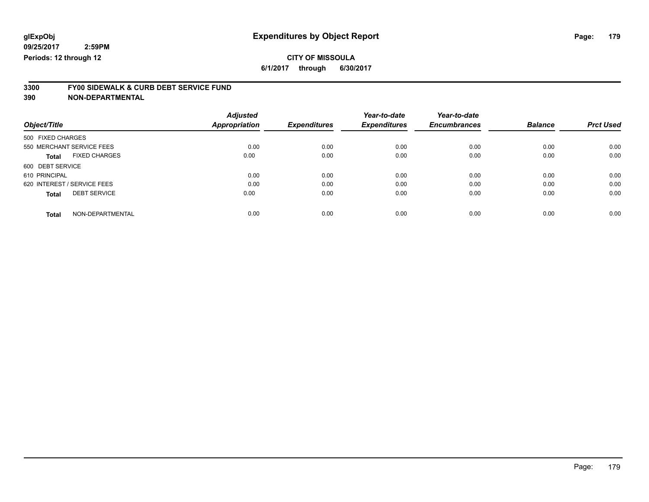### **CITY OF MISSOULA**

**6/1/2017 through 6/30/2017**

# **3300 FY00 SIDEWALK & CURB DEBT SERVICE FUND**

|                             |                      | <b>Adjusted</b>      |                     | Year-to-date        | Year-to-date        |                |                  |
|-----------------------------|----------------------|----------------------|---------------------|---------------------|---------------------|----------------|------------------|
| Object/Title                |                      | <b>Appropriation</b> | <b>Expenditures</b> | <b>Expenditures</b> | <b>Encumbrances</b> | <b>Balance</b> | <b>Prct Used</b> |
| 500 FIXED CHARGES           |                      |                      |                     |                     |                     |                |                  |
| 550 MERCHANT SERVICE FEES   |                      | 0.00                 | 0.00                | 0.00                | 0.00                | 0.00           | 0.00             |
| <b>Total</b>                | <b>FIXED CHARGES</b> | 0.00                 | 0.00                | 0.00                | 0.00                | 0.00           | 0.00             |
| 600 DEBT SERVICE            |                      |                      |                     |                     |                     |                |                  |
| 610 PRINCIPAL               |                      | 0.00                 | 0.00                | 0.00                | 0.00                | 0.00           | 0.00             |
| 620 INTEREST / SERVICE FEES |                      | 0.00                 | 0.00                | 0.00                | 0.00                | 0.00           | 0.00             |
| <b>Total</b>                | <b>DEBT SERVICE</b>  | 0.00                 | 0.00                | 0.00                | 0.00                | 0.00           | 0.00             |
| <b>Total</b>                | NON-DEPARTMENTAL     | 0.00                 | 0.00                | 0.00                | 0.00                | 0.00           | 0.00             |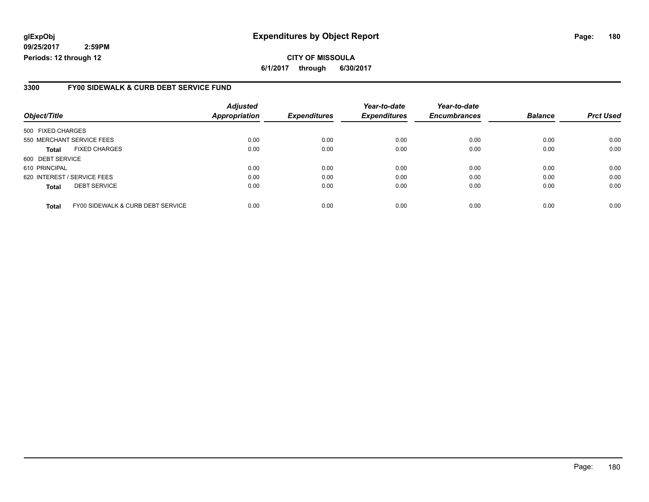### **glExpObj Expenditures by Object Report Page: 180**

**09/25/2017 2:59PM Periods: 12 through 12**

### **3300 FY00 SIDEWALK & CURB DEBT SERVICE FUND**

| Object/Title                |                                   | <b>Adjusted</b><br><b>Appropriation</b> | <b>Expenditures</b> | Year-to-date<br><b>Expenditures</b> | Year-to-date<br><b>Encumbrances</b> | <b>Balance</b> | <b>Prct Used</b> |
|-----------------------------|-----------------------------------|-----------------------------------------|---------------------|-------------------------------------|-------------------------------------|----------------|------------------|
| 500 FIXED CHARGES           |                                   |                                         |                     |                                     |                                     |                |                  |
|                             | 550 MERCHANT SERVICE FEES         | 0.00                                    | 0.00                | 0.00                                | 0.00                                | 0.00           | 0.00             |
| <b>Total</b>                | <b>FIXED CHARGES</b>              | 0.00                                    | 0.00                | 0.00                                | 0.00                                | 0.00           | 0.00             |
| 600 DEBT SERVICE            |                                   |                                         |                     |                                     |                                     |                |                  |
| 610 PRINCIPAL               |                                   | 0.00                                    | 0.00                | 0.00                                | 0.00                                | 0.00           | 0.00             |
| 620 INTEREST / SERVICE FEES |                                   | 0.00                                    | 0.00                | 0.00                                | 0.00                                | 0.00           | 0.00             |
| <b>Total</b>                | <b>DEBT SERVICE</b>               | 0.00                                    | 0.00                | 0.00                                | 0.00                                | 0.00           | 0.00             |
| <b>Total</b>                | FY00 SIDEWALK & CURB DEBT SERVICE | 0.00                                    | 0.00                | 0.00                                | 0.00                                | 0.00           | 0.00             |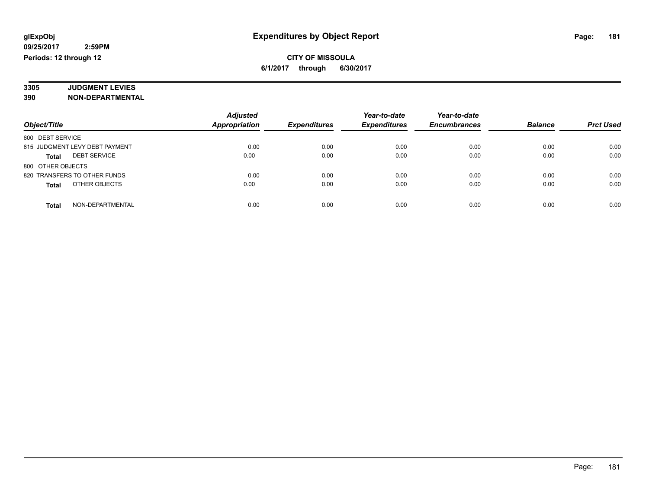#### **3305 JUDGMENT LEVIES 390 NON-DEPARTMENTAL**

|                                     | <b>Adjusted</b>      |                     | Year-to-date        | Year-to-date        |                |                  |
|-------------------------------------|----------------------|---------------------|---------------------|---------------------|----------------|------------------|
| Object/Title                        | <b>Appropriation</b> | <b>Expenditures</b> | <b>Expenditures</b> | <b>Encumbrances</b> | <b>Balance</b> | <b>Prct Used</b> |
| 600 DEBT SERVICE                    |                      |                     |                     |                     |                |                  |
| 615 JUDGMENT LEVY DEBT PAYMENT      | 0.00                 | 0.00                | 0.00                | 0.00                | 0.00           | 0.00             |
| <b>DEBT SERVICE</b><br><b>Total</b> | 0.00                 | 0.00                | 0.00                | 0.00                | 0.00           | 0.00             |
| 800 OTHER OBJECTS                   |                      |                     |                     |                     |                |                  |
| 820 TRANSFERS TO OTHER FUNDS        | 0.00                 | 0.00                | 0.00                | 0.00                | 0.00           | 0.00             |
| OTHER OBJECTS<br>Total              | 0.00                 | 0.00                | 0.00                | 0.00                | 0.00           | 0.00             |
| NON-DEPARTMENTAL<br><b>Total</b>    | 0.00                 | 0.00                | 0.00                | 0.00                | 0.00           | 0.00             |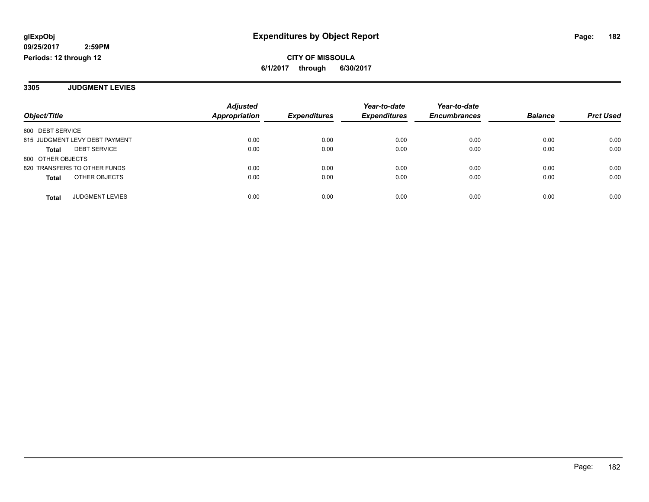**3305 JUDGMENT LEVIES**

|                                     | <b>Adjusted</b> |                     | Year-to-date        | Year-to-date        |                |                  |
|-------------------------------------|-----------------|---------------------|---------------------|---------------------|----------------|------------------|
| Object/Title                        | Appropriation   | <b>Expenditures</b> | <b>Expenditures</b> | <b>Encumbrances</b> | <b>Balance</b> | <b>Prct Used</b> |
| 600 DEBT SERVICE                    |                 |                     |                     |                     |                |                  |
| 615 JUDGMENT LEVY DEBT PAYMENT      | 0.00            | 0.00                | 0.00                | 0.00                | 0.00           | 0.00             |
| <b>DEBT SERVICE</b><br><b>Total</b> | 0.00            | 0.00                | 0.00                | 0.00                | 0.00           | 0.00             |
| 800 OTHER OBJECTS                   |                 |                     |                     |                     |                |                  |
| 820 TRANSFERS TO OTHER FUNDS        | 0.00            | 0.00                | 0.00                | 0.00                | 0.00           | 0.00             |
| OTHER OBJECTS<br><b>Total</b>       | 0.00            | 0.00                | 0.00                | 0.00                | 0.00           | 0.00             |
| <b>JUDGMENT LEVIES</b><br>Total     | 0.00            | 0.00                | 0.00                | 0.00                | 0.00           | 0.00             |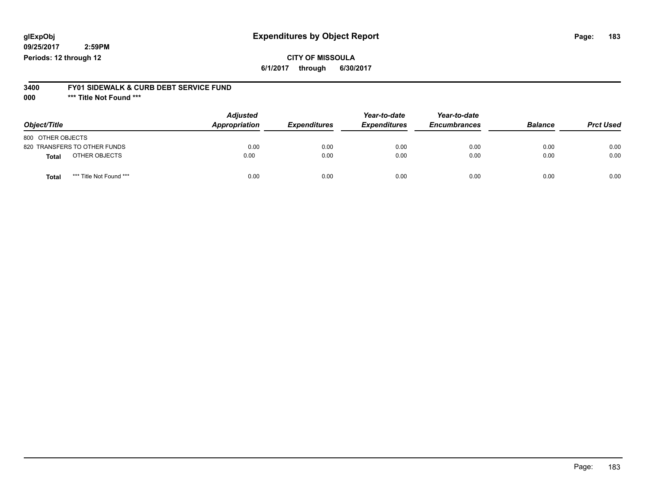# **glExpObj Expenditures by Object Report Page: 183**

**09/25/2017 2:59PM Periods: 12 through 12**

#### **3400 FY01 SIDEWALK & CURB DEBT SERVICE FUND**

**000 \*\*\* Title Not Found \*\*\***

| Object/Title                            | <b>Adjusted</b><br>Appropriation | <b>Expenditures</b> | Year-to-date<br><b>Expenditures</b> | Year-to-date<br><b>Encumbrances</b> | <b>Balance</b> | <b>Prct Used</b> |
|-----------------------------------------|----------------------------------|---------------------|-------------------------------------|-------------------------------------|----------------|------------------|
| 800 OTHER OBJECTS                       |                                  |                     |                                     |                                     |                |                  |
| 820 TRANSFERS TO OTHER FUNDS            | 0.00                             | 0.00                | 0.00                                | 0.00                                | 0.00           | 0.00             |
| OTHER OBJECTS<br><b>Total</b>           | 0.00                             | 0.00                | 0.00                                | 0.00                                | 0.00           | 0.00             |
| *** Title Not Found ***<br><b>Total</b> | 0.00                             | 0.00                | 0.00                                | 0.00                                | 0.00           | 0.00             |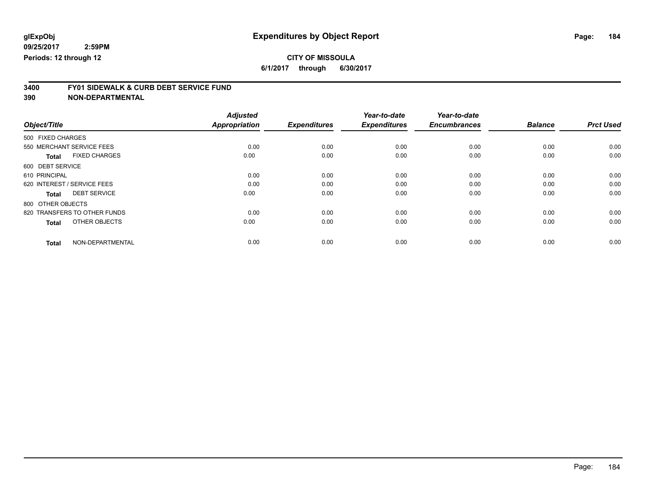# **CITY OF MISSOULA**

**6/1/2017 through 6/30/2017**

# **3400 FY01 SIDEWALK & CURB DEBT SERVICE FUND**

| Object/Title                         | <b>Adjusted</b><br>Appropriation | <b>Expenditures</b> | Year-to-date<br><b>Expenditures</b> | Year-to-date<br><b>Encumbrances</b> | <b>Balance</b> | <b>Prct Used</b> |
|--------------------------------------|----------------------------------|---------------------|-------------------------------------|-------------------------------------|----------------|------------------|
|                                      |                                  |                     |                                     |                                     |                |                  |
| 500 FIXED CHARGES                    |                                  |                     |                                     |                                     |                |                  |
| 550 MERCHANT SERVICE FEES            | 0.00                             | 0.00                | 0.00                                | 0.00                                | 0.00           | 0.00             |
| <b>FIXED CHARGES</b><br><b>Total</b> | 0.00                             | 0.00                | 0.00                                | 0.00                                | 0.00           | 0.00             |
| 600 DEBT SERVICE                     |                                  |                     |                                     |                                     |                |                  |
| 610 PRINCIPAL                        | 0.00                             | 0.00                | 0.00                                | 0.00                                | 0.00           | 0.00             |
| 620 INTEREST / SERVICE FEES          | 0.00                             | 0.00                | 0.00                                | 0.00                                | 0.00           | 0.00             |
| <b>DEBT SERVICE</b><br><b>Total</b>  | 0.00                             | 0.00                | 0.00                                | 0.00                                | 0.00           | 0.00             |
| 800 OTHER OBJECTS                    |                                  |                     |                                     |                                     |                |                  |
| 820 TRANSFERS TO OTHER FUNDS         | 0.00                             | 0.00                | 0.00                                | 0.00                                | 0.00           | 0.00             |
| OTHER OBJECTS<br><b>Total</b>        | 0.00                             | 0.00                | 0.00                                | 0.00                                | 0.00           | 0.00             |
|                                      |                                  |                     |                                     |                                     |                |                  |
| NON-DEPARTMENTAL<br><b>Total</b>     | 0.00                             | 0.00                | 0.00                                | 0.00                                | 0.00           | 0.00             |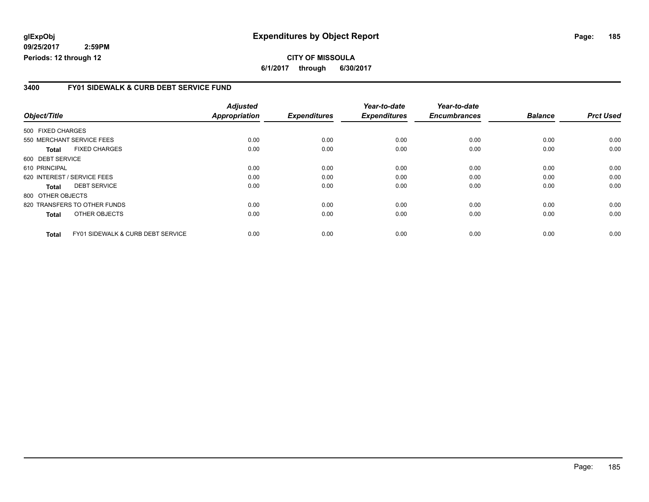## **glExpObj Expenditures by Object Report Page: 185**

**09/25/2017 2:59PM Periods: 12 through 12**

### **3400 FY01 SIDEWALK & CURB DEBT SERVICE FUND**

| Object/Title      |                                              | <b>Adjusted</b><br><b>Appropriation</b> | <b>Expenditures</b> | Year-to-date<br><b>Expenditures</b> | Year-to-date<br><b>Encumbrances</b> | <b>Balance</b> | <b>Prct Used</b> |
|-------------------|----------------------------------------------|-----------------------------------------|---------------------|-------------------------------------|-------------------------------------|----------------|------------------|
| 500 FIXED CHARGES |                                              |                                         |                     |                                     |                                     |                |                  |
|                   | 550 MERCHANT SERVICE FEES                    | 0.00                                    | 0.00                | 0.00                                | 0.00                                | 0.00           | 0.00             |
| Total             | <b>FIXED CHARGES</b>                         | 0.00                                    | 0.00                | 0.00                                | 0.00                                | 0.00           | 0.00             |
| 600 DEBT SERVICE  |                                              |                                         |                     |                                     |                                     |                |                  |
| 610 PRINCIPAL     |                                              | 0.00                                    | 0.00                | 0.00                                | 0.00                                | 0.00           | 0.00             |
|                   | 620 INTEREST / SERVICE FEES                  | 0.00                                    | 0.00                | 0.00                                | 0.00                                | 0.00           | 0.00             |
| Total             | <b>DEBT SERVICE</b>                          | 0.00                                    | 0.00                | 0.00                                | 0.00                                | 0.00           | 0.00             |
| 800 OTHER OBJECTS |                                              |                                         |                     |                                     |                                     |                |                  |
|                   | 820 TRANSFERS TO OTHER FUNDS                 | 0.00                                    | 0.00                | 0.00                                | 0.00                                | 0.00           | 0.00             |
| <b>Total</b>      | OTHER OBJECTS                                | 0.00                                    | 0.00                | 0.00                                | 0.00                                | 0.00           | 0.00             |
| <b>Total</b>      | <b>FY01 SIDEWALK &amp; CURB DEBT SERVICE</b> | 0.00                                    | 0.00                | 0.00                                | 0.00                                | 0.00           | 0.00             |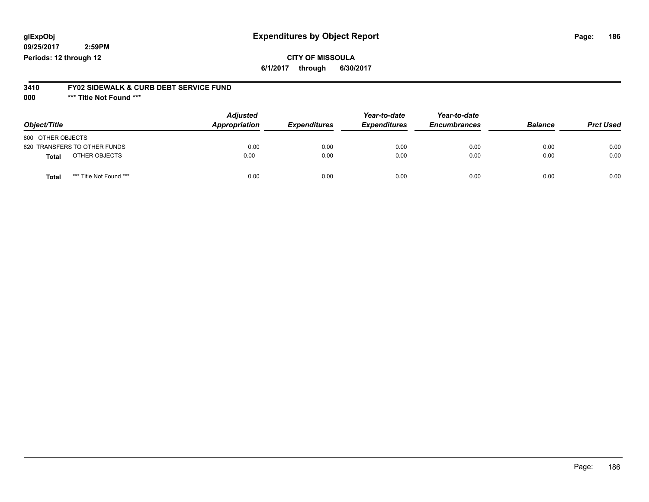# **glExpObj Expenditures by Object Report Page: 186**

**09/25/2017 2:59PM Periods: 12 through 12**

#### **3410 FY02 SIDEWALK & CURB DEBT SERVICE FUND**

**000 \*\*\* Title Not Found \*\*\***

| Object/Title                            | <b>Adjusted</b><br>Appropriation | <b>Expenditures</b> | Year-to-date<br><b>Expenditures</b> | Year-to-date<br><b>Encumbrances</b> | <b>Balance</b> | <b>Prct Used</b> |
|-----------------------------------------|----------------------------------|---------------------|-------------------------------------|-------------------------------------|----------------|------------------|
| 800 OTHER OBJECTS                       |                                  |                     |                                     |                                     |                |                  |
| 820 TRANSFERS TO OTHER FUNDS            | 0.00                             | 0.00                | 0.00                                | 0.00                                | 0.00           | 0.00             |
| OTHER OBJECTS<br>Total                  | 0.00                             | 0.00                | 0.00                                | 0.00                                | 0.00           | 0.00             |
| *** Title Not Found ***<br><b>Total</b> | 0.00                             | 0.00                | 0.00                                | 0.00                                | 0.00           | 0.00             |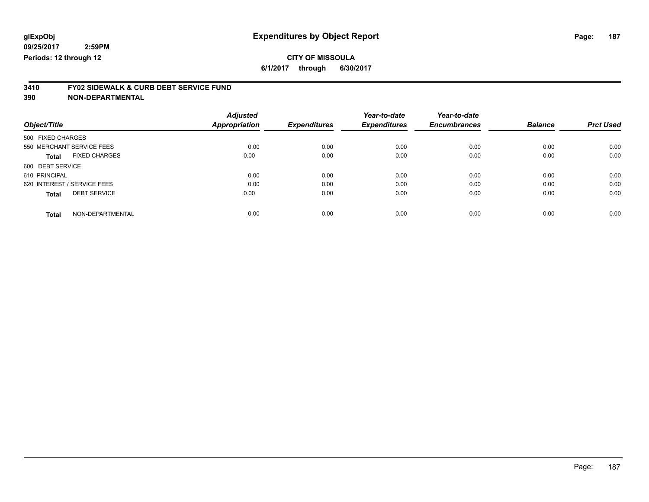# **CITY OF MISSOULA**

**6/1/2017 through 6/30/2017**

# **3410 FY02 SIDEWALK & CURB DEBT SERVICE FUND**

|                             |                      | <b>Adjusted</b>      |                     | Year-to-date        | Year-to-date        |                |                  |
|-----------------------------|----------------------|----------------------|---------------------|---------------------|---------------------|----------------|------------------|
| Object/Title                |                      | <b>Appropriation</b> | <b>Expenditures</b> | <b>Expenditures</b> | <b>Encumbrances</b> | <b>Balance</b> | <b>Prct Used</b> |
| 500 FIXED CHARGES           |                      |                      |                     |                     |                     |                |                  |
| 550 MERCHANT SERVICE FEES   |                      | 0.00                 | 0.00                | 0.00                | 0.00                | 0.00           | 0.00             |
| <b>Total</b>                | <b>FIXED CHARGES</b> | 0.00                 | 0.00                | 0.00                | 0.00                | 0.00           | 0.00             |
| 600 DEBT SERVICE            |                      |                      |                     |                     |                     |                |                  |
| 610 PRINCIPAL               |                      | 0.00                 | 0.00                | 0.00                | 0.00                | 0.00           | 0.00             |
| 620 INTEREST / SERVICE FEES |                      | 0.00                 | 0.00                | 0.00                | 0.00                | 0.00           | 0.00             |
| <b>Total</b>                | <b>DEBT SERVICE</b>  | 0.00                 | 0.00                | 0.00                | 0.00                | 0.00           | 0.00             |
| <b>Total</b>                | NON-DEPARTMENTAL     | 0.00                 | 0.00                | 0.00                | 0.00                | 0.00           | 0.00             |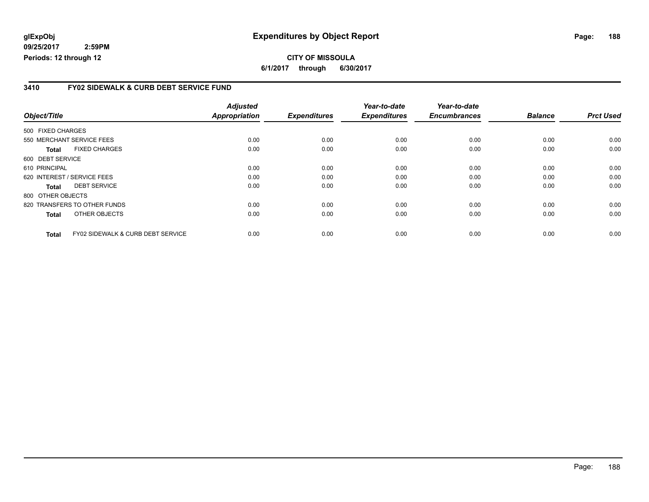## **glExpObj Expenditures by Object Report Page: 188**

**09/25/2017 2:59PM Periods: 12 through 12**

**CITY OF MISSOULA 6/1/2017 through 6/30/2017**

### **3410 FY02 SIDEWALK & CURB DEBT SERVICE FUND**

|                   |                                              | <b>Adjusted</b>      |                     | Year-to-date        | Year-to-date        |                |                  |
|-------------------|----------------------------------------------|----------------------|---------------------|---------------------|---------------------|----------------|------------------|
| Object/Title      |                                              | <b>Appropriation</b> | <b>Expenditures</b> | <b>Expenditures</b> | <b>Encumbrances</b> | <b>Balance</b> | <b>Prct Used</b> |
| 500 FIXED CHARGES |                                              |                      |                     |                     |                     |                |                  |
|                   | 550 MERCHANT SERVICE FEES                    | 0.00                 | 0.00                | 0.00                | 0.00                | 0.00           | 0.00             |
| <b>Total</b>      | <b>FIXED CHARGES</b>                         | 0.00                 | 0.00                | 0.00                | 0.00                | 0.00           | 0.00             |
| 600 DEBT SERVICE  |                                              |                      |                     |                     |                     |                |                  |
| 610 PRINCIPAL     |                                              | 0.00                 | 0.00                | 0.00                | 0.00                | 0.00           | 0.00             |
|                   | 620 INTEREST / SERVICE FEES                  | 0.00                 | 0.00                | 0.00                | 0.00                | 0.00           | 0.00             |
| <b>Total</b>      | <b>DEBT SERVICE</b>                          | 0.00                 | 0.00                | 0.00                | 0.00                | 0.00           | 0.00             |
| 800 OTHER OBJECTS |                                              |                      |                     |                     |                     |                |                  |
|                   | 820 TRANSFERS TO OTHER FUNDS                 | 0.00                 | 0.00                | 0.00                | 0.00                | 0.00           | 0.00             |
| <b>Total</b>      | OTHER OBJECTS                                | 0.00                 | 0.00                | 0.00                | 0.00                | 0.00           | 0.00             |
| <b>Total</b>      | <b>FY02 SIDEWALK &amp; CURB DEBT SERVICE</b> | 0.00                 | 0.00                | 0.00                | 0.00                | 0.00           | 0.00             |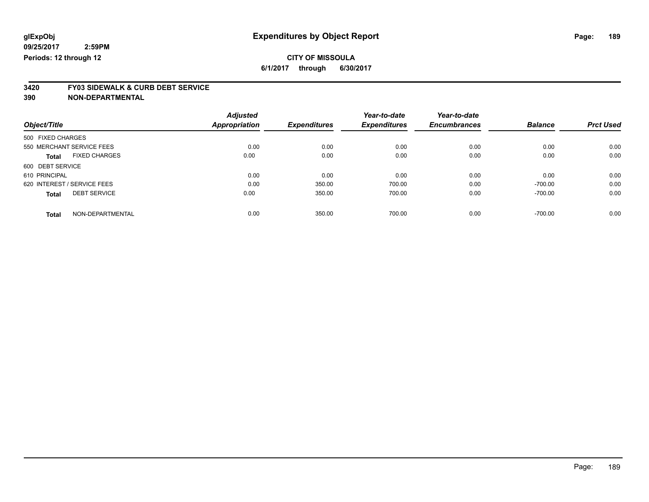# **CITY OF MISSOULA**

**6/1/2017 through 6/30/2017**

# **3420 FY03 SIDEWALK & CURB DEBT SERVICE**

| Object/Title                         | <b>Adjusted</b><br>Appropriation | <b>Expenditures</b> | Year-to-date<br><b>Expenditures</b> | Year-to-date<br><b>Encumbrances</b> | <b>Balance</b> | <b>Prct Used</b> |
|--------------------------------------|----------------------------------|---------------------|-------------------------------------|-------------------------------------|----------------|------------------|
|                                      |                                  |                     |                                     |                                     |                |                  |
| 500 FIXED CHARGES                    |                                  |                     |                                     |                                     |                |                  |
| 550 MERCHANT SERVICE FEES            | 0.00                             | 0.00                | 0.00                                | 0.00                                | 0.00           | 0.00             |
| <b>FIXED CHARGES</b><br><b>Total</b> | 0.00                             | 0.00                | 0.00                                | 0.00                                | 0.00           | 0.00             |
| 600 DEBT SERVICE                     |                                  |                     |                                     |                                     |                |                  |
| 610 PRINCIPAL                        | 0.00                             | 0.00                | 0.00                                | 0.00                                | 0.00           | 0.00             |
| 620 INTEREST / SERVICE FEES          | 0.00                             | 350.00              | 700.00                              | 0.00                                | $-700.00$      | 0.00             |
| <b>DEBT SERVICE</b><br><b>Total</b>  | 0.00                             | 350.00              | 700.00                              | 0.00                                | $-700.00$      | 0.00             |
|                                      |                                  |                     |                                     |                                     |                | 0.00             |
| NON-DEPARTMENTAL<br><b>Total</b>     | 0.00                             | 350.00              | 700.00                              | 0.00                                | $-700.00$      |                  |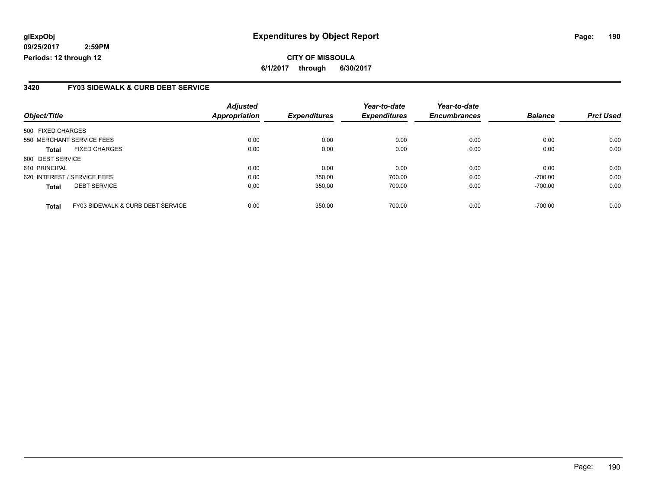### **glExpObj Expenditures by Object Report Page: 190**

**09/25/2017 2:59PM Periods: 12 through 12**

### **3420 FY03 SIDEWALK & CURB DEBT SERVICE**

| Object/Title                |                                   | <b>Adjusted</b><br><b>Appropriation</b> | <b>Expenditures</b> | Year-to-date<br><b>Expenditures</b> | Year-to-date<br><b>Encumbrances</b> | <b>Balance</b> | <b>Prct Used</b> |
|-----------------------------|-----------------------------------|-----------------------------------------|---------------------|-------------------------------------|-------------------------------------|----------------|------------------|
|                             |                                   |                                         |                     |                                     |                                     |                |                  |
| 500 FIXED CHARGES           |                                   |                                         |                     |                                     |                                     |                |                  |
| 550 MERCHANT SERVICE FEES   |                                   | 0.00                                    | 0.00                | 0.00                                | 0.00                                | 0.00           | 0.00             |
| <b>Total</b>                | <b>FIXED CHARGES</b>              | 0.00                                    | 0.00                | 0.00                                | 0.00                                | 0.00           | 0.00             |
| 600 DEBT SERVICE            |                                   |                                         |                     |                                     |                                     |                |                  |
| 610 PRINCIPAL               |                                   | 0.00                                    | 0.00                | 0.00                                | 0.00                                | 0.00           | 0.00             |
| 620 INTEREST / SERVICE FEES |                                   | 0.00                                    | 350.00              | 700.00                              | 0.00                                | $-700.00$      | 0.00             |
| <b>Total</b>                | <b>DEBT SERVICE</b>               | 0.00                                    | 350.00              | 700.00                              | 0.00                                | $-700.00$      | 0.00             |
| <b>Total</b>                | FY03 SIDEWALK & CURB DEBT SERVICE | 0.00                                    | 350.00              | 700.00                              | 0.00                                | $-700.00$      | 0.00             |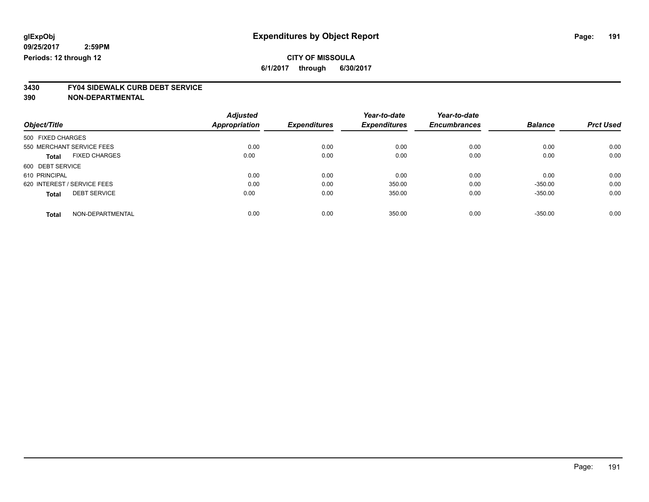**3430 FY04 SIDEWALK CURB DEBT SERVICE**

|                                     | <b>Adjusted</b>      |                     | Year-to-date        | Year-to-date        |                |                  |
|-------------------------------------|----------------------|---------------------|---------------------|---------------------|----------------|------------------|
| Object/Title                        | <b>Appropriation</b> | <b>Expenditures</b> | <b>Expenditures</b> | <b>Encumbrances</b> | <b>Balance</b> | <b>Prct Used</b> |
| 500 FIXED CHARGES                   |                      |                     |                     |                     |                |                  |
| 550 MERCHANT SERVICE FEES           | 0.00                 | 0.00                | 0.00                | 0.00                | 0.00           | 0.00             |
| <b>FIXED CHARGES</b><br>Total       | 0.00                 | 0.00                | 0.00                | 0.00                | 0.00           | 0.00             |
| 600 DEBT SERVICE                    |                      |                     |                     |                     |                |                  |
| 610 PRINCIPAL                       | 0.00                 | 0.00                | 0.00                | 0.00                | 0.00           | 0.00             |
| 620 INTEREST / SERVICE FEES         | 0.00                 | 0.00                | 350.00              | 0.00                | $-350.00$      | 0.00             |
| <b>DEBT SERVICE</b><br><b>Total</b> | 0.00                 | 0.00                | 350.00              | 0.00                | $-350.00$      | 0.00             |
| NON-DEPARTMENTAL<br><b>Total</b>    | 0.00                 | 0.00                | 350.00              | 0.00                | $-350.00$      | 0.00             |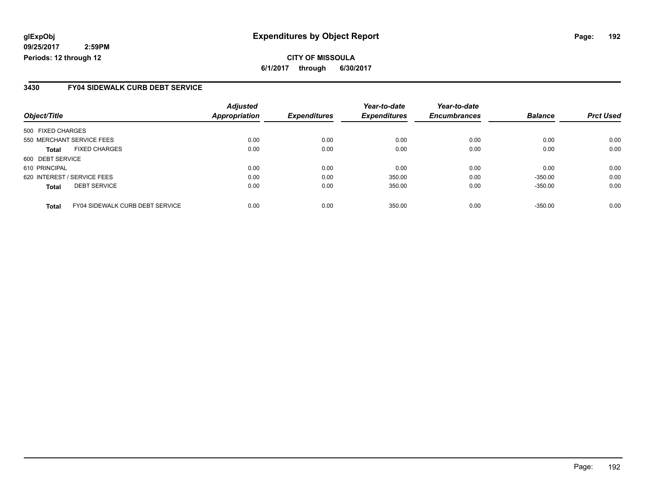## **glExpObj Expenditures by Object Report Page: 192**

**09/25/2017 2:59PM Periods: 12 through 12**

### **3430 FY04 SIDEWALK CURB DEBT SERVICE**

|                   |                                        | <b>Adjusted</b>      |                     | Year-to-date        | Year-to-date        |                |                  |
|-------------------|----------------------------------------|----------------------|---------------------|---------------------|---------------------|----------------|------------------|
| Object/Title      |                                        | <b>Appropriation</b> | <b>Expenditures</b> | <b>Expenditures</b> | <b>Encumbrances</b> | <b>Balance</b> | <b>Prct Used</b> |
| 500 FIXED CHARGES |                                        |                      |                     |                     |                     |                |                  |
|                   | 550 MERCHANT SERVICE FEES              | 0.00                 | 0.00                | 0.00                | 0.00                | 0.00           | 0.00             |
| <b>Total</b>      | <b>FIXED CHARGES</b>                   | 0.00                 | 0.00                | 0.00                | 0.00                | 0.00           | 0.00             |
| 600 DEBT SERVICE  |                                        |                      |                     |                     |                     |                |                  |
| 610 PRINCIPAL     |                                        | 0.00                 | 0.00                | 0.00                | 0.00                | 0.00           | 0.00             |
|                   | 620 INTEREST / SERVICE FEES            | 0.00                 | 0.00                | 350.00              | 0.00                | $-350.00$      | 0.00             |
| <b>Total</b>      | <b>DEBT SERVICE</b>                    | 0.00                 | 0.00                | 350.00              | 0.00                | $-350.00$      | 0.00             |
| Total             | <b>FY04 SIDEWALK CURB DEBT SERVICE</b> | 0.00                 | 0.00                | 350.00              | 0.00                | $-350.00$      | 0.00             |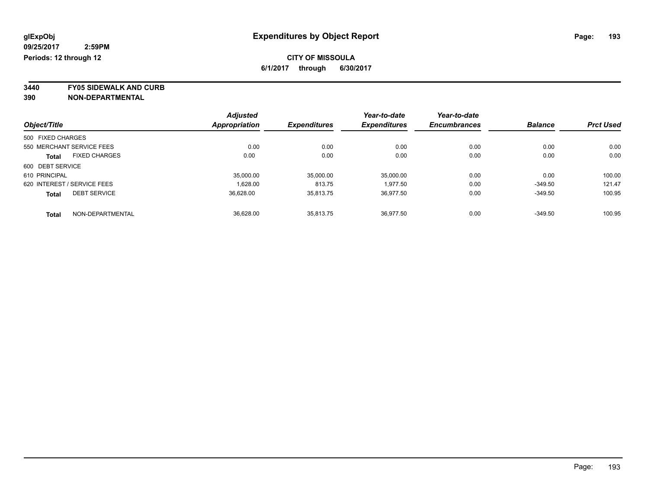**3440 FY05 SIDEWALK AND CURB**

|                   |                             | <b>Adjusted</b>      |                     | Year-to-date        | Year-to-date        |                |                  |
|-------------------|-----------------------------|----------------------|---------------------|---------------------|---------------------|----------------|------------------|
| Object/Title      |                             | <b>Appropriation</b> | <b>Expenditures</b> | <b>Expenditures</b> | <b>Encumbrances</b> | <b>Balance</b> | <b>Prct Used</b> |
| 500 FIXED CHARGES |                             |                      |                     |                     |                     |                |                  |
|                   | 550 MERCHANT SERVICE FEES   | 0.00                 | 0.00                | 0.00                | 0.00                | 0.00           | 0.00             |
| <b>Total</b>      | <b>FIXED CHARGES</b>        | 0.00                 | 0.00                | 0.00                | 0.00                | 0.00           | 0.00             |
| 600 DEBT SERVICE  |                             |                      |                     |                     |                     |                |                  |
| 610 PRINCIPAL     |                             | 35,000.00            | 35,000.00           | 35,000.00           | 0.00                | 0.00           | 100.00           |
|                   | 620 INTEREST / SERVICE FEES | 1.628.00             | 813.75              | 1.977.50            | 0.00                | $-349.50$      | 121.47           |
| <b>Total</b>      | <b>DEBT SERVICE</b>         | 36,628.00            | 35,813.75           | 36.977.50           | 0.00                | $-349.50$      | 100.95           |
| <b>Total</b>      | NON-DEPARTMENTAL            | 36.628.00            | 35.813.75           | 36.977.50           | 0.00                | $-349.50$      | 100.95           |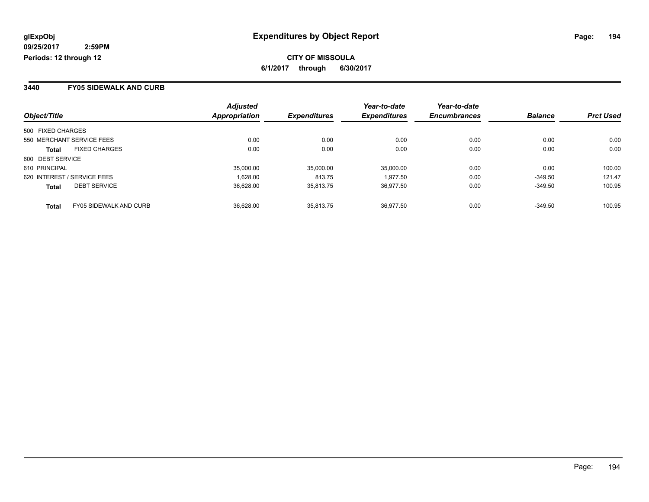### **3440 FY05 SIDEWALK AND CURB**

|                                               | <b>Adjusted</b>      |                     | Year-to-date        | Year-to-date        |                |                  |
|-----------------------------------------------|----------------------|---------------------|---------------------|---------------------|----------------|------------------|
| Object/Title                                  | <b>Appropriation</b> | <b>Expenditures</b> | <b>Expenditures</b> | <b>Encumbrances</b> | <b>Balance</b> | <b>Prct Used</b> |
| 500 FIXED CHARGES                             |                      |                     |                     |                     |                |                  |
| 550 MERCHANT SERVICE FEES                     | 0.00                 | 0.00                | 0.00                | 0.00                | 0.00           | 0.00             |
| <b>FIXED CHARGES</b><br><b>Total</b>          | 0.00                 | 0.00                | 0.00                | 0.00                | 0.00           | 0.00             |
| 600 DEBT SERVICE                              |                      |                     |                     |                     |                |                  |
| 610 PRINCIPAL                                 | 35,000.00            | 35,000.00           | 35.000.00           | 0.00                | 0.00           | 100.00           |
| 620 INTEREST / SERVICE FEES                   | 1.628.00             | 813.75              | 1.977.50            | 0.00                | $-349.50$      | 121.47           |
| <b>DEBT SERVICE</b><br><b>Total</b>           | 36.628.00            | 35.813.75           | 36.977.50           | 0.00                | $-349.50$      | 100.95           |
| <b>FY05 SIDEWALK AND CURB</b><br><b>Total</b> | 36.628.00            | 35.813.75           | 36.977.50           | 0.00                | $-349.50$      | 100.95           |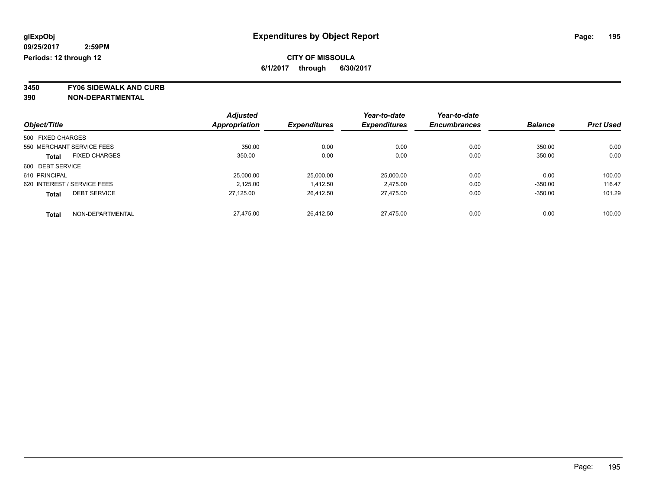**3450 FY06 SIDEWALK AND CURB**

|                   |                             | <b>Adjusted</b> |                     | Year-to-date        | Year-to-date        |                |                  |
|-------------------|-----------------------------|-----------------|---------------------|---------------------|---------------------|----------------|------------------|
| Object/Title      |                             | Appropriation   | <b>Expenditures</b> | <b>Expenditures</b> | <b>Encumbrances</b> | <b>Balance</b> | <b>Prct Used</b> |
| 500 FIXED CHARGES |                             |                 |                     |                     |                     |                |                  |
|                   | 550 MERCHANT SERVICE FEES   | 350.00          | 0.00                | 0.00                | 0.00                | 350.00         | 0.00             |
| <b>Total</b>      | <b>FIXED CHARGES</b>        | 350.00          | 0.00                | 0.00                | 0.00                | 350.00         | 0.00             |
| 600 DEBT SERVICE  |                             |                 |                     |                     |                     |                |                  |
| 610 PRINCIPAL     |                             | 25,000.00       | 25,000.00           | 25.000.00           | 0.00                | 0.00           | 100.00           |
|                   | 620 INTEREST / SERVICE FEES | 2.125.00        | 1,412.50            | 2.475.00            | 0.00                | $-350.00$      | 116.47           |
| <b>Total</b>      | <b>DEBT SERVICE</b>         | 27,125.00       | 26,412.50           | 27.475.00           | 0.00                | $-350.00$      | 101.29           |
| <b>Total</b>      | NON-DEPARTMENTAL            | 27.475.00       | 26.412.50           | 27.475.00           | 0.00                | 0.00           | 100.00           |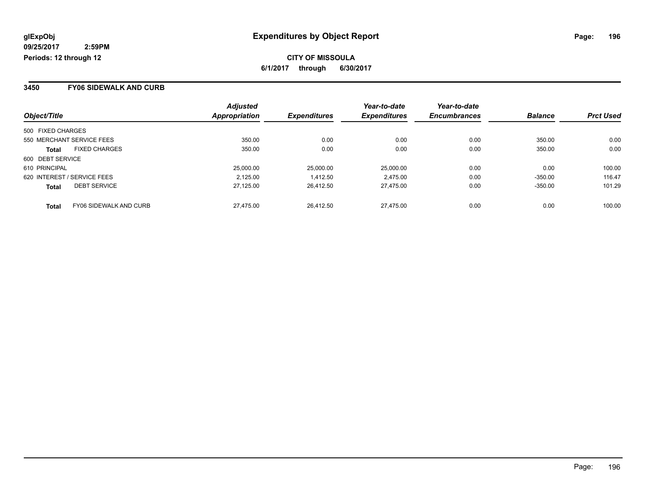### **3450 FY06 SIDEWALK AND CURB**

|                   |                               | <b>Adjusted</b>      |                     | Year-to-date        | Year-to-date        |                |                  |
|-------------------|-------------------------------|----------------------|---------------------|---------------------|---------------------|----------------|------------------|
| Object/Title      |                               | <b>Appropriation</b> | <b>Expenditures</b> | <b>Expenditures</b> | <b>Encumbrances</b> | <b>Balance</b> | <b>Prct Used</b> |
| 500 FIXED CHARGES |                               |                      |                     |                     |                     |                |                  |
|                   | 550 MERCHANT SERVICE FEES     | 350.00               | 0.00                | 0.00                | 0.00                | 350.00         | 0.00             |
| <b>Total</b>      | <b>FIXED CHARGES</b>          | 350.00               | 0.00                | 0.00                | 0.00                | 350.00         | 0.00             |
| 600 DEBT SERVICE  |                               |                      |                     |                     |                     |                |                  |
| 610 PRINCIPAL     |                               | 25,000,00            | 25,000.00           | 25.000.00           | 0.00                | 0.00           | 100.00           |
|                   | 620 INTEREST / SERVICE FEES   | 2.125.00             | 1,412.50            | 2.475.00            | 0.00                | $-350.00$      | 116.47           |
| <b>Total</b>      | <b>DEBT SERVICE</b>           | 27.125.00            | 26.412.50           | 27.475.00           | 0.00                | $-350.00$      | 101.29           |
| <b>Total</b>      | <b>FY06 SIDEWALK AND CURB</b> | 27.475.00            | 26.412.50           | 27.475.00           | 0.00                | 0.00           | 100.00           |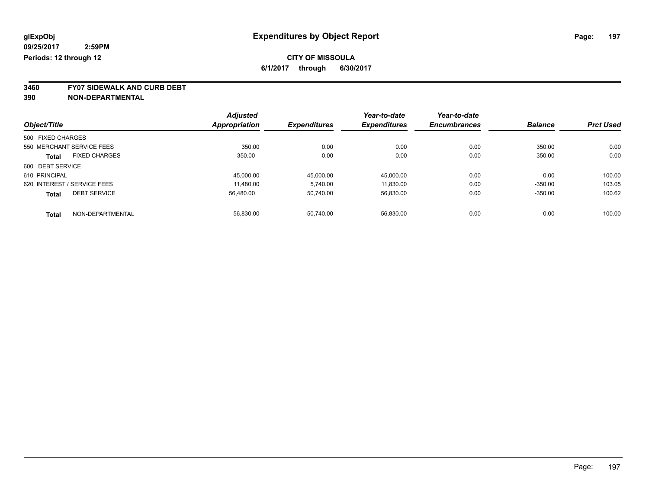**3460 FY07 SIDEWALK AND CURB DEBT**

|                             |                      | <b>Adjusted</b> |                     | Year-to-date        | Year-to-date        |                |                  |
|-----------------------------|----------------------|-----------------|---------------------|---------------------|---------------------|----------------|------------------|
| Object/Title                |                      | Appropriation   | <b>Expenditures</b> | <b>Expenditures</b> | <b>Encumbrances</b> | <b>Balance</b> | <b>Prct Used</b> |
| 500 FIXED CHARGES           |                      |                 |                     |                     |                     |                |                  |
| 550 MERCHANT SERVICE FEES   |                      | 350.00          | 0.00                | 0.00                | 0.00                | 350.00         | 0.00             |
| Total                       | <b>FIXED CHARGES</b> | 350.00          | 0.00                | 0.00                | 0.00                | 350.00         | 0.00             |
| 600 DEBT SERVICE            |                      |                 |                     |                     |                     |                |                  |
| 610 PRINCIPAL               |                      | 45.000.00       | 45,000.00           | 45.000.00           | 0.00                | 0.00           | 100.00           |
| 620 INTEREST / SERVICE FEES |                      | 11.480.00       | 5.740.00            | 11.830.00           | 0.00                | $-350.00$      | 103.05           |
| <b>Total</b>                | <b>DEBT SERVICE</b>  | 56,480.00       | 50.740.00           | 56.830.00           | 0.00                | $-350.00$      | 100.62           |
| <b>Total</b>                | NON-DEPARTMENTAL     | 56.830.00       | 50.740.00           | 56.830.00           | 0.00                | 0.00           | 100.00           |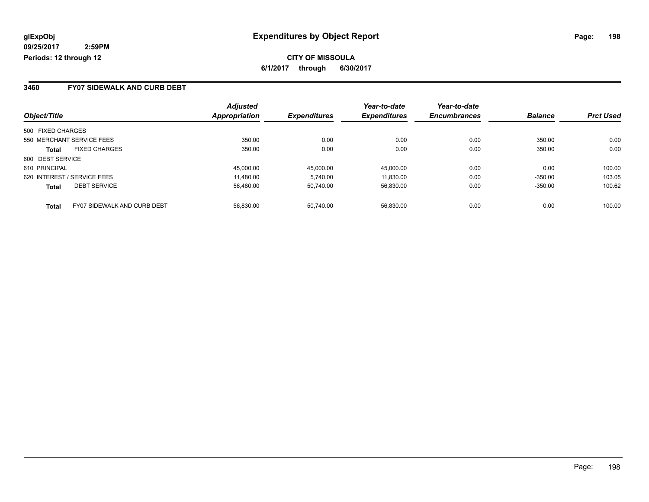## **CITY OF MISSOULA 6/1/2017 through 6/30/2017**

### **3460 FY07 SIDEWALK AND CURB DEBT**

|                             |                             | <b>Adjusted</b> |                     | Year-to-date        | Year-to-date        |                |                  |
|-----------------------------|-----------------------------|-----------------|---------------------|---------------------|---------------------|----------------|------------------|
| Object/Title                |                             | Appropriation   | <b>Expenditures</b> | <b>Expenditures</b> | <b>Encumbrances</b> | <b>Balance</b> | <b>Prct Used</b> |
| 500 FIXED CHARGES           |                             |                 |                     |                     |                     |                |                  |
| 550 MERCHANT SERVICE FEES   |                             | 350.00          | 0.00                | 0.00                | 0.00                | 350.00         | 0.00             |
| <b>Total</b>                | <b>FIXED CHARGES</b>        | 350.00          | 0.00                | 0.00                | 0.00                | 350.00         | 0.00             |
| 600 DEBT SERVICE            |                             |                 |                     |                     |                     |                |                  |
| 610 PRINCIPAL               |                             | 45,000.00       | 45,000.00           | 45.000.00           | 0.00                | 0.00           | 100.00           |
| 620 INTEREST / SERVICE FEES |                             | 11.480.00       | 5.740.00            | 11.830.00           | 0.00                | $-350.00$      | 103.05           |
| <b>Total</b>                | <b>DEBT SERVICE</b>         | 56.480.00       | 50.740.00           | 56.830.00           | 0.00                | $-350.00$      | 100.62           |
| <b>Total</b>                | FY07 SIDEWALK AND CURB DEBT | 56.830.00       | 50.740.00           | 56.830.00           | 0.00                | 0.00           | 100.00           |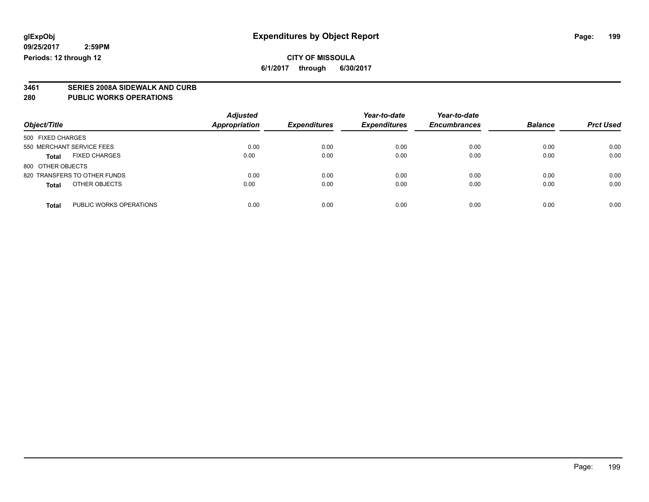### **CITY OF MISSOULA 6/1/2017 through 6/30/2017**

**3461 SERIES 2008A SIDEWALK AND CURB**

**280 PUBLIC WORKS OPERATIONS**

| Object/Title                            | <b>Adjusted</b><br><b>Appropriation</b> | <b>Expenditures</b> | Year-to-date<br><b>Expenditures</b> | Year-to-date<br><b>Encumbrances</b> | <b>Balance</b> | <b>Prct Used</b> |
|-----------------------------------------|-----------------------------------------|---------------------|-------------------------------------|-------------------------------------|----------------|------------------|
|                                         |                                         |                     |                                     |                                     |                |                  |
| 500 FIXED CHARGES                       |                                         |                     |                                     |                                     |                |                  |
| 550 MERCHANT SERVICE FEES               | 0.00                                    | 0.00                | 0.00                                | 0.00                                | 0.00           | 0.00             |
| <b>FIXED CHARGES</b><br><b>Total</b>    | 0.00                                    | 0.00                | 0.00                                | 0.00                                | 0.00           | 0.00             |
| 800 OTHER OBJECTS                       |                                         |                     |                                     |                                     |                |                  |
| 820 TRANSFERS TO OTHER FUNDS            | 0.00                                    | 0.00                | 0.00                                | 0.00                                | 0.00           | 0.00             |
| OTHER OBJECTS<br><b>Total</b>           | 0.00                                    | 0.00                | 0.00                                | 0.00                                | 0.00           | 0.00             |
|                                         |                                         |                     |                                     |                                     |                |                  |
| PUBLIC WORKS OPERATIONS<br><b>Total</b> | 0.00                                    | 0.00                | 0.00                                | 0.00                                | 0.00           | 0.00             |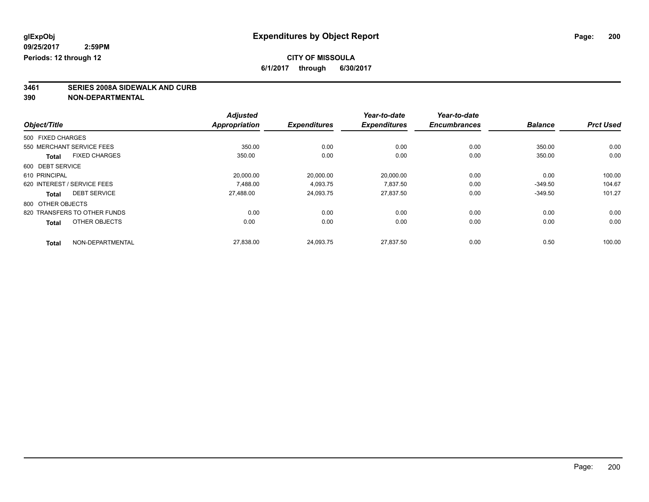# **CITY OF MISSOULA**

**6/1/2017 through 6/30/2017**

# **3461 SERIES 2008A SIDEWALK AND CURB**

|                                      | <b>Adjusted</b>      |                     | Year-to-date        | Year-to-date        |                |                  |
|--------------------------------------|----------------------|---------------------|---------------------|---------------------|----------------|------------------|
| Object/Title                         | <b>Appropriation</b> | <b>Expenditures</b> | <b>Expenditures</b> | <b>Encumbrances</b> | <b>Balance</b> | <b>Prct Used</b> |
| 500 FIXED CHARGES                    |                      |                     |                     |                     |                |                  |
| 550 MERCHANT SERVICE FEES            | 350.00               | 0.00                | 0.00                | 0.00                | 350.00         | 0.00             |
| <b>FIXED CHARGES</b><br><b>Total</b> | 350.00               | 0.00                | 0.00                | 0.00                | 350.00         | 0.00             |
| 600 DEBT SERVICE                     |                      |                     |                     |                     |                |                  |
| 610 PRINCIPAL                        | 20,000.00            | 20,000.00           | 20,000.00           | 0.00                | 0.00           | 100.00           |
| 620 INTEREST / SERVICE FEES          | 7.488.00             | 4,093.75            | 7.837.50            | 0.00                | $-349.50$      | 104.67           |
| <b>DEBT SERVICE</b><br><b>Total</b>  | 27,488.00            | 24,093.75           | 27,837.50           | 0.00                | $-349.50$      | 101.27           |
| 800 OTHER OBJECTS                    |                      |                     |                     |                     |                |                  |
| 820 TRANSFERS TO OTHER FUNDS         | 0.00                 | 0.00                | 0.00                | 0.00                | 0.00           | 0.00             |
| OTHER OBJECTS<br><b>Total</b>        | 0.00                 | 0.00                | 0.00                | 0.00                | 0.00           | 0.00             |
| NON-DEPARTMENTAL<br><b>Total</b>     | 27,838.00            | 24,093.75           | 27,837.50           | 0.00                | 0.50           | 100.00           |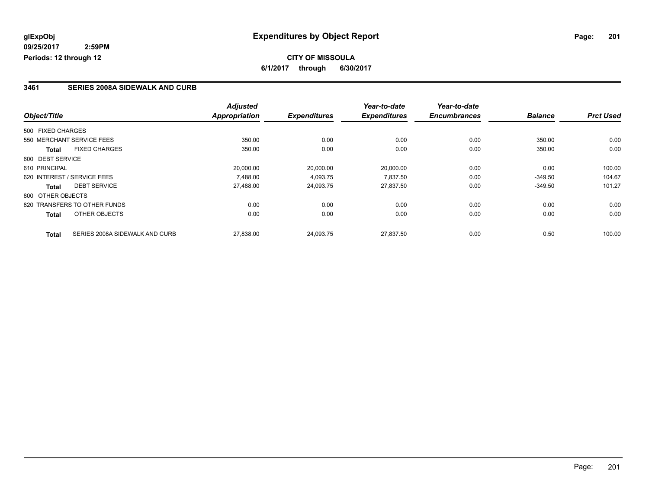## **CITY OF MISSOULA 6/1/2017 through 6/30/2017**

### **3461 SERIES 2008A SIDEWALK AND CURB**

|                   |                                | <b>Adjusted</b>      |                     | Year-to-date        | Year-to-date        |                |                  |
|-------------------|--------------------------------|----------------------|---------------------|---------------------|---------------------|----------------|------------------|
| Object/Title      |                                | <b>Appropriation</b> | <b>Expenditures</b> | <b>Expenditures</b> | <b>Encumbrances</b> | <b>Balance</b> | <b>Prct Used</b> |
| 500 FIXED CHARGES |                                |                      |                     |                     |                     |                |                  |
|                   | 550 MERCHANT SERVICE FEES      | 350.00               | 0.00                | 0.00                | 0.00                | 350.00         | 0.00             |
| Total             | <b>FIXED CHARGES</b>           | 350.00               | 0.00                | 0.00                | 0.00                | 350.00         | 0.00             |
| 600 DEBT SERVICE  |                                |                      |                     |                     |                     |                |                  |
| 610 PRINCIPAL     |                                | 20,000.00            | 20,000.00           | 20,000.00           | 0.00                | 0.00           | 100.00           |
|                   | 620 INTEREST / SERVICE FEES    | 7.488.00             | 4,093.75            | 7,837.50            | 0.00                | $-349.50$      | 104.67           |
| Total             | <b>DEBT SERVICE</b>            | 27,488.00            | 24,093.75           | 27,837.50           | 0.00                | $-349.50$      | 101.27           |
| 800 OTHER OBJECTS |                                |                      |                     |                     |                     |                |                  |
|                   | 820 TRANSFERS TO OTHER FUNDS   | 0.00                 | 0.00                | 0.00                | 0.00                | 0.00           | 0.00             |
| <b>Total</b>      | OTHER OBJECTS                  | 0.00                 | 0.00                | 0.00                | 0.00                | 0.00           | 0.00             |
| <b>Total</b>      | SERIES 2008A SIDEWALK AND CURB | 27,838.00            | 24.093.75           | 27.837.50           | 0.00                | 0.50           | 100.00           |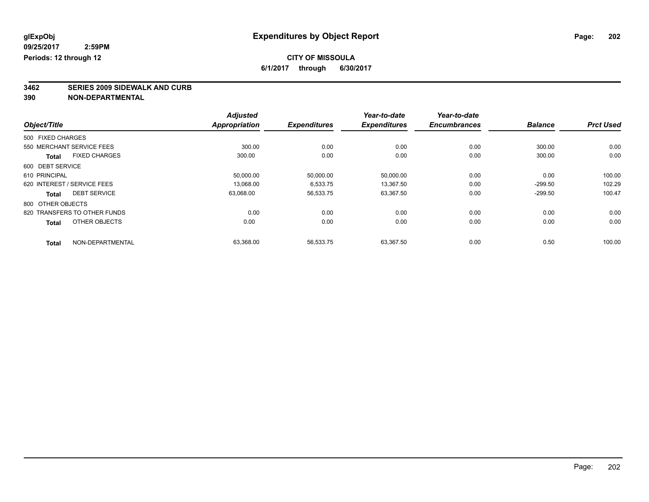# **3462 SERIES 2009 SIDEWALK AND CURB**

|                   |                              | <b>Adjusted</b>      |                     | Year-to-date        | Year-to-date        |                |                  |
|-------------------|------------------------------|----------------------|---------------------|---------------------|---------------------|----------------|------------------|
| Object/Title      |                              | <b>Appropriation</b> | <b>Expenditures</b> | <b>Expenditures</b> | <b>Encumbrances</b> | <b>Balance</b> | <b>Prct Used</b> |
| 500 FIXED CHARGES |                              |                      |                     |                     |                     |                |                  |
|                   | 550 MERCHANT SERVICE FEES    | 300.00               | 0.00                | 0.00                | 0.00                | 300.00         | 0.00             |
| <b>Total</b>      | <b>FIXED CHARGES</b>         | 300.00               | 0.00                | 0.00                | 0.00                | 300.00         | 0.00             |
| 600 DEBT SERVICE  |                              |                      |                     |                     |                     |                |                  |
| 610 PRINCIPAL     |                              | 50,000.00            | 50,000.00           | 50,000.00           | 0.00                | 0.00           | 100.00           |
|                   | 620 INTEREST / SERVICE FEES  | 13.068.00            | 6,533.75            | 13.367.50           | 0.00                | $-299.50$      | 102.29           |
| Total             | <b>DEBT SERVICE</b>          | 63,068.00            | 56,533.75           | 63,367.50           | 0.00                | $-299.50$      | 100.47           |
| 800 OTHER OBJECTS |                              |                      |                     |                     |                     |                |                  |
|                   | 820 TRANSFERS TO OTHER FUNDS | 0.00                 | 0.00                | 0.00                | 0.00                | 0.00           | 0.00             |
| <b>Total</b>      | OTHER OBJECTS                | 0.00                 | 0.00                | 0.00                | 0.00                | 0.00           | 0.00             |
| <b>Total</b>      | NON-DEPARTMENTAL             | 63,368.00            | 56,533.75           | 63,367.50           | 0.00                | 0.50           | 100.00           |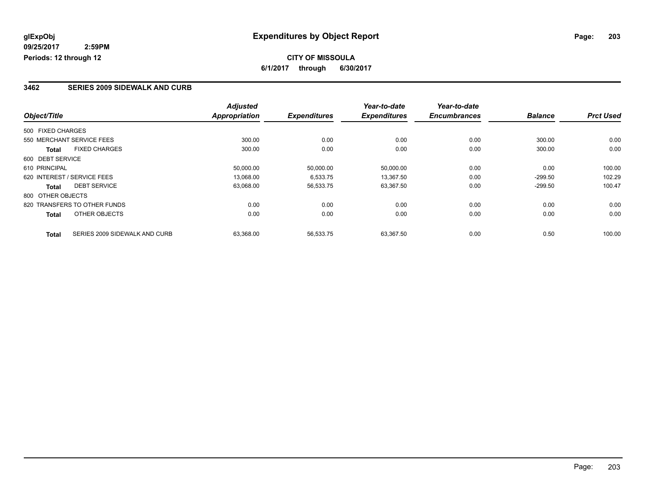### **3462 SERIES 2009 SIDEWALK AND CURB**

|                   |                               | <b>Adjusted</b>      |                     | Year-to-date        | Year-to-date        |                |                  |
|-------------------|-------------------------------|----------------------|---------------------|---------------------|---------------------|----------------|------------------|
| Object/Title      |                               | <b>Appropriation</b> | <b>Expenditures</b> | <b>Expenditures</b> | <b>Encumbrances</b> | <b>Balance</b> | <b>Prct Used</b> |
| 500 FIXED CHARGES |                               |                      |                     |                     |                     |                |                  |
|                   | 550 MERCHANT SERVICE FEES     | 300.00               | 0.00                | 0.00                | 0.00                | 300.00         | 0.00             |
| Total             | <b>FIXED CHARGES</b>          | 300.00               | 0.00                | 0.00                | 0.00                | 300.00         | 0.00             |
| 600 DEBT SERVICE  |                               |                      |                     |                     |                     |                |                  |
| 610 PRINCIPAL     |                               | 50,000.00            | 50,000.00           | 50,000.00           | 0.00                | 0.00           | 100.00           |
|                   | 620 INTEREST / SERVICE FEES   | 13,068.00            | 6,533.75            | 13,367.50           | 0.00                | $-299.50$      | 102.29           |
| Total             | <b>DEBT SERVICE</b>           | 63,068.00            | 56,533.75           | 63,367.50           | 0.00                | $-299.50$      | 100.47           |
| 800 OTHER OBJECTS |                               |                      |                     |                     |                     |                |                  |
|                   | 820 TRANSFERS TO OTHER FUNDS  | 0.00                 | 0.00                | 0.00                | 0.00                | 0.00           | 0.00             |
| <b>Total</b>      | OTHER OBJECTS                 | 0.00                 | 0.00                | 0.00                | 0.00                | 0.00           | 0.00             |
| <b>Total</b>      | SERIES 2009 SIDEWALK AND CURB | 63,368.00            | 56,533.75           | 63.367.50           | 0.00                | 0.50           | 100.00           |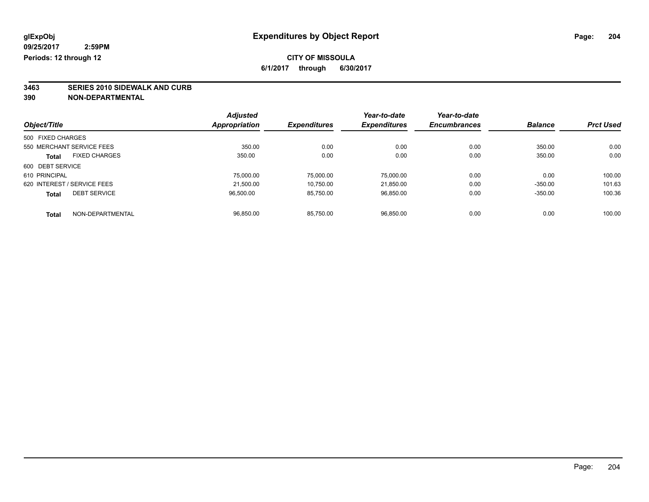**3463 SERIES 2010 SIDEWALK AND CURB**

|                             |                      | <b>Adjusted</b> |                     | Year-to-date        | Year-to-date        |                |                  |
|-----------------------------|----------------------|-----------------|---------------------|---------------------|---------------------|----------------|------------------|
| Object/Title                |                      | Appropriation   | <b>Expenditures</b> | <b>Expenditures</b> | <b>Encumbrances</b> | <b>Balance</b> | <b>Prct Used</b> |
| 500 FIXED CHARGES           |                      |                 |                     |                     |                     |                |                  |
| 550 MERCHANT SERVICE FEES   |                      | 350.00          | 0.00                | 0.00                | 0.00                | 350.00         | 0.00             |
| <b>Total</b>                | <b>FIXED CHARGES</b> | 350.00          | 0.00                | 0.00                | 0.00                | 350.00         | 0.00             |
| 600 DEBT SERVICE            |                      |                 |                     |                     |                     |                |                  |
| 610 PRINCIPAL               |                      | 75,000.00       | 75,000.00           | 75,000.00           | 0.00                | 0.00           | 100.00           |
| 620 INTEREST / SERVICE FEES |                      | 21.500.00       | 10,750.00           | 21,850.00           | 0.00                | $-350.00$      | 101.63           |
| <b>Total</b>                | <b>DEBT SERVICE</b>  | 96.500.00       | 85,750.00           | 96.850.00           | 0.00                | $-350.00$      | 100.36           |
| <b>Total</b>                | NON-DEPARTMENTAL     | 96.850.00       | 85.750.00           | 96.850.00           | 0.00                | 0.00           | 100.00           |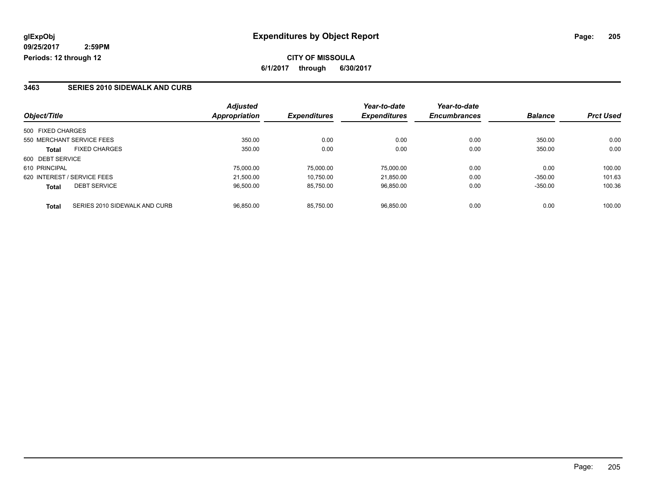### **3463 SERIES 2010 SIDEWALK AND CURB**

|                   |                               | <b>Adjusted</b>      |                     | Year-to-date        | Year-to-date        |                |                  |
|-------------------|-------------------------------|----------------------|---------------------|---------------------|---------------------|----------------|------------------|
| Object/Title      |                               | <b>Appropriation</b> | <b>Expenditures</b> | <b>Expenditures</b> | <b>Encumbrances</b> | <b>Balance</b> | <b>Prct Used</b> |
| 500 FIXED CHARGES |                               |                      |                     |                     |                     |                |                  |
|                   | 550 MERCHANT SERVICE FEES     | 350.00               | 0.00                | 0.00                | 0.00                | 350.00         | 0.00             |
| <b>Total</b>      | <b>FIXED CHARGES</b>          | 350.00               | 0.00                | 0.00                | 0.00                | 350.00         | 0.00             |
| 600 DEBT SERVICE  |                               |                      |                     |                     |                     |                |                  |
| 610 PRINCIPAL     |                               | 75.000.00            | 75.000.00           | 75.000.00           | 0.00                | 0.00           | 100.00           |
|                   | 620 INTEREST / SERVICE FEES   | 21.500.00            | 10.750.00           | 21.850.00           | 0.00                | $-350.00$      | 101.63           |
| <b>Total</b>      | <b>DEBT SERVICE</b>           | 96.500.00            | 85.750.00           | 96.850.00           | 0.00                | $-350.00$      | 100.36           |
| <b>Total</b>      | SERIES 2010 SIDEWALK AND CURB | 96.850.00            | 85.750.00           | 96.850.00           | 0.00                | 0.00           | 100.00           |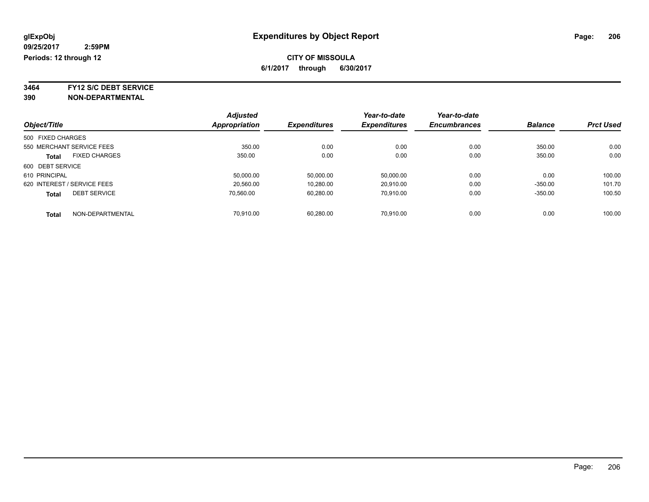**3464 FY12 S/C DEBT SERVICE**

| Object/Title                |                           | <b>Adjusted</b>      |                     | Year-to-date        | Year-to-date        | <b>Balance</b> | <b>Prct Used</b> |
|-----------------------------|---------------------------|----------------------|---------------------|---------------------|---------------------|----------------|------------------|
|                             |                           | <b>Appropriation</b> | <b>Expenditures</b> | <b>Expenditures</b> | <b>Encumbrances</b> |                |                  |
| 500 FIXED CHARGES           |                           |                      |                     |                     |                     |                |                  |
|                             | 550 MERCHANT SERVICE FEES | 350.00               | 0.00                | 0.00                | 0.00                | 350.00         | 0.00             |
| <b>Total</b>                | <b>FIXED CHARGES</b>      | 350.00               | 0.00                | 0.00                | 0.00                | 350.00         | 0.00             |
| 600 DEBT SERVICE            |                           |                      |                     |                     |                     |                |                  |
| 610 PRINCIPAL               |                           | 50,000.00            | 50,000.00           | 50,000.00           | 0.00                | 0.00           | 100.00           |
| 620 INTEREST / SERVICE FEES |                           | 20.560.00            | 10.280.00           | 20.910.00           | 0.00                | $-350.00$      | 101.70           |
| <b>Total</b>                | <b>DEBT SERVICE</b>       | 70.560.00            | 60,280.00           | 70.910.00           | 0.00                | $-350.00$      | 100.50           |
| <b>Total</b>                | NON-DEPARTMENTAL          | 70.910.00            | 60.280.00           | 70.910.00           | 0.00                | 0.00           | 100.00           |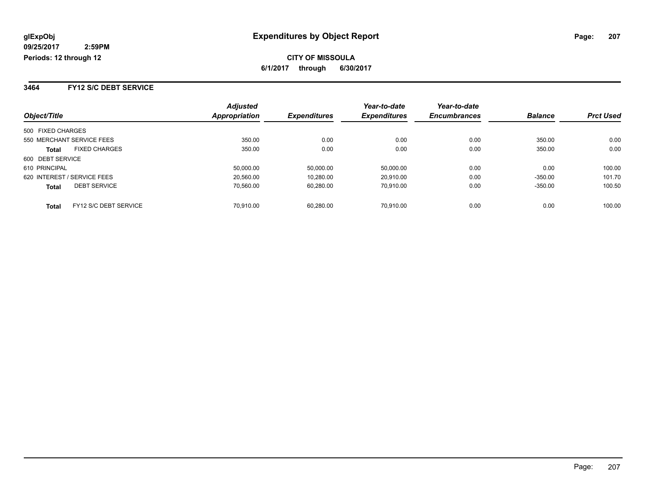**3464 FY12 S/C DEBT SERVICE**

| Object/Title                          | <b>Adjusted</b><br><b>Appropriation</b> | <b>Expenditures</b> | Year-to-date<br><b>Expenditures</b> | Year-to-date<br><b>Encumbrances</b> | <b>Balance</b> | <b>Prct Used</b> |
|---------------------------------------|-----------------------------------------|---------------------|-------------------------------------|-------------------------------------|----------------|------------------|
|                                       |                                         |                     |                                     |                                     |                |                  |
| 500 FIXED CHARGES                     |                                         |                     |                                     |                                     |                |                  |
| 550 MERCHANT SERVICE FEES             | 350.00                                  | 0.00                | 0.00                                | 0.00                                | 350.00         | 0.00             |
| <b>FIXED CHARGES</b><br><b>Total</b>  | 350.00                                  | 0.00                | 0.00                                | 0.00                                | 350.00         | 0.00             |
| 600 DEBT SERVICE                      |                                         |                     |                                     |                                     |                |                  |
| 610 PRINCIPAL                         | 50.000.00                               | 50.000.00           | 50.000.00                           | 0.00                                | 0.00           | 100.00           |
| 620 INTEREST / SERVICE FEES           | 20.560.00                               | 10,280.00           | 20.910.00                           | 0.00                                | $-350.00$      | 101.70           |
| <b>DEBT SERVICE</b><br><b>Total</b>   | 70.560.00                               | 60.280.00           | 70.910.00                           | 0.00                                | $-350.00$      | 100.50           |
| FY12 S/C DEBT SERVICE<br><b>Total</b> | 70.910.00                               | 60.280.00           | 70.910.00                           | 0.00                                | 0.00           | 100.00           |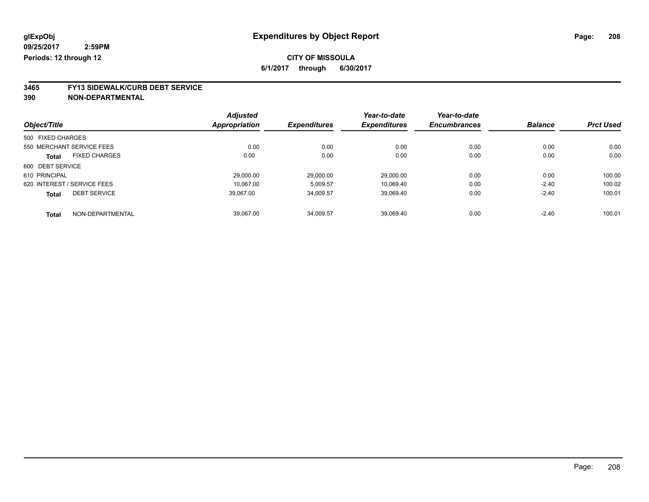**3465 FY13 SIDEWALK/CURB DEBT SERVICE 390 NON-DEPARTMENTAL**

|                   |                             | <b>Adjusted</b> |                     | Year-to-date        | Year-to-date        | <b>Balance</b> | <b>Prct Used</b> |
|-------------------|-----------------------------|-----------------|---------------------|---------------------|---------------------|----------------|------------------|
| Object/Title      |                             | Appropriation   | <b>Expenditures</b> | <b>Expenditures</b> | <b>Encumbrances</b> |                |                  |
| 500 FIXED CHARGES |                             |                 |                     |                     |                     |                |                  |
|                   | 550 MERCHANT SERVICE FEES   | 0.00            | 0.00                | 0.00                | 0.00                | 0.00           | 0.00             |
| <b>Total</b>      | <b>FIXED CHARGES</b>        | 0.00            | 0.00                | 0.00                | 0.00                | 0.00           | 0.00             |
| 600 DEBT SERVICE  |                             |                 |                     |                     |                     |                |                  |
| 610 PRINCIPAL     |                             | 29.000.00       | 29,000.00           | 29.000.00           | 0.00                | 0.00           | 100.00           |
|                   | 620 INTEREST / SERVICE FEES | 10.067.00       | 5,009.57            | 10,069.40           | 0.00                | $-2.40$        | 100.02           |
| <b>Total</b>      | <b>DEBT SERVICE</b>         | 39,067.00       | 34,009.57           | 39,069.40           | 0.00                | $-2.40$        | 100.01           |
| <b>Total</b>      | NON-DEPARTMENTAL            | 39.067.00       | 34.009.57           | 39.069.40           | 0.00                | $-2.40$        | 100.01           |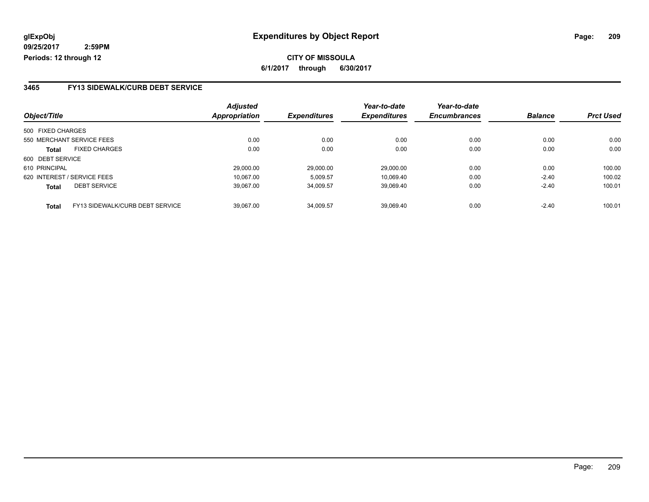### **3465 FY13 SIDEWALK/CURB DEBT SERVICE**

|                   |                                 | <b>Adjusted</b> |                     | Year-to-date        | Year-to-date        |                |                  |
|-------------------|---------------------------------|-----------------|---------------------|---------------------|---------------------|----------------|------------------|
| Object/Title      |                                 | Appropriation   | <b>Expenditures</b> | <b>Expenditures</b> | <b>Encumbrances</b> | <b>Balance</b> | <b>Prct Used</b> |
| 500 FIXED CHARGES |                                 |                 |                     |                     |                     |                |                  |
|                   | 550 MERCHANT SERVICE FEES       | 0.00            | 0.00                | 0.00                | 0.00                | 0.00           | 0.00             |
| <b>Total</b>      | <b>FIXED CHARGES</b>            | 0.00            | 0.00                | 0.00                | 0.00                | 0.00           | 0.00             |
| 600 DEBT SERVICE  |                                 |                 |                     |                     |                     |                |                  |
| 610 PRINCIPAL     |                                 | 29.000.00       | 29.000.00           | 29.000.00           | 0.00                | 0.00           | 100.00           |
|                   | 620 INTEREST / SERVICE FEES     | 10.067.00       | 5,009.57            | 10.069.40           | 0.00                | $-2.40$        | 100.02           |
| <b>Total</b>      | <b>DEBT SERVICE</b>             | 39.067.00       | 34,009.57           | 39,069.40           | 0.00                | $-2.40$        | 100.01           |
| <b>Total</b>      | FY13 SIDEWALK/CURB DEBT SERVICE | 39.067.00       | 34.009.57           | 39.069.40           | 0.00                | $-2.40$        | 100.01           |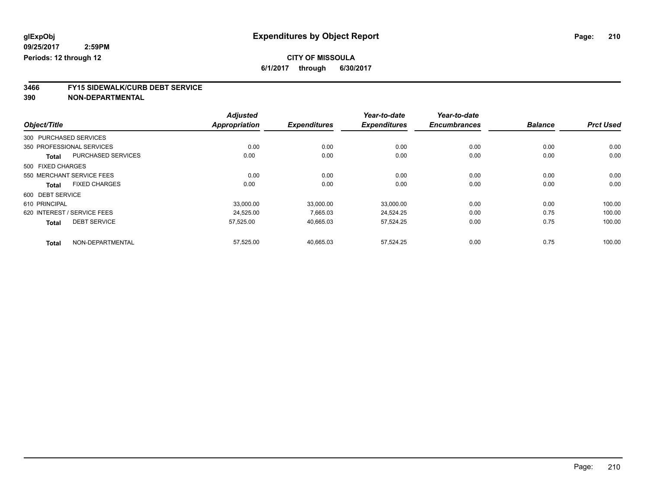**3466 FY15 SIDEWALK/CURB DEBT SERVICE**

|                   |                             | <b>Adjusted</b>      |                     | Year-to-date        | Year-to-date        |                |                  |
|-------------------|-----------------------------|----------------------|---------------------|---------------------|---------------------|----------------|------------------|
| Object/Title      |                             | <b>Appropriation</b> | <b>Expenditures</b> | <b>Expenditures</b> | <b>Encumbrances</b> | <b>Balance</b> | <b>Prct Used</b> |
|                   | 300 PURCHASED SERVICES      |                      |                     |                     |                     |                |                  |
|                   | 350 PROFESSIONAL SERVICES   | 0.00                 | 0.00                | 0.00                | 0.00                | 0.00           | 0.00             |
| <b>Total</b>      | <b>PURCHASED SERVICES</b>   | 0.00                 | 0.00                | 0.00                | 0.00                | 0.00           | 0.00             |
| 500 FIXED CHARGES |                             |                      |                     |                     |                     |                |                  |
|                   | 550 MERCHANT SERVICE FEES   | 0.00                 | 0.00                | 0.00                | 0.00                | 0.00           | 0.00             |
| <b>Total</b>      | <b>FIXED CHARGES</b>        | 0.00                 | 0.00                | 0.00                | 0.00                | 0.00           | 0.00             |
| 600 DEBT SERVICE  |                             |                      |                     |                     |                     |                |                  |
| 610 PRINCIPAL     |                             | 33,000.00            | 33,000.00           | 33,000.00           | 0.00                | 0.00           | 100.00           |
|                   | 620 INTEREST / SERVICE FEES | 24,525.00            | 7,665.03            | 24,524.25           | 0.00                | 0.75           | 100.00           |
| <b>Total</b>      | <b>DEBT SERVICE</b>         | 57,525.00            | 40.665.03           | 57,524.25           | 0.00                | 0.75           | 100.00           |
| <b>Total</b>      | NON-DEPARTMENTAL            | 57,525.00            | 40,665.03           | 57,524.25           | 0.00                | 0.75           | 100.00           |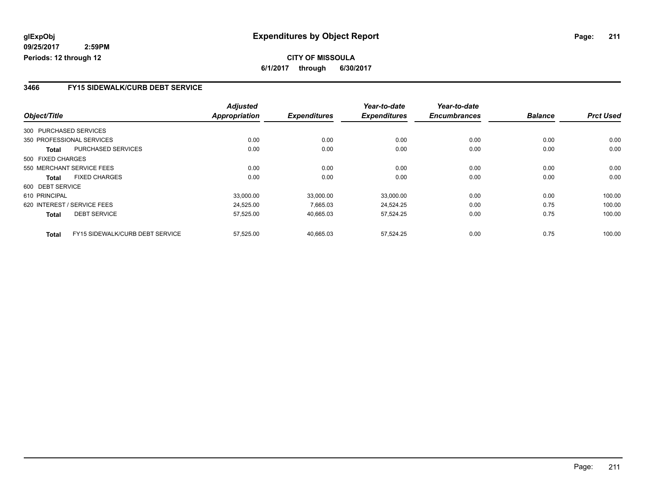## **CITY OF MISSOULA 6/1/2017 through 6/30/2017**

### **3466 FY15 SIDEWALK/CURB DEBT SERVICE**

|                   |                                 | <b>Adjusted</b>      |                     | Year-to-date        | Year-to-date        |                |                  |
|-------------------|---------------------------------|----------------------|---------------------|---------------------|---------------------|----------------|------------------|
| Object/Title      |                                 | <b>Appropriation</b> | <b>Expenditures</b> | <b>Expenditures</b> | <b>Encumbrances</b> | <b>Balance</b> | <b>Prct Used</b> |
|                   | 300 PURCHASED SERVICES          |                      |                     |                     |                     |                |                  |
|                   | 350 PROFESSIONAL SERVICES       | 0.00                 | 0.00                | 0.00                | 0.00                | 0.00           | 0.00             |
| Total             | <b>PURCHASED SERVICES</b>       | 0.00                 | 0.00                | 0.00                | 0.00                | 0.00           | 0.00             |
| 500 FIXED CHARGES |                                 |                      |                     |                     |                     |                |                  |
|                   | 550 MERCHANT SERVICE FEES       | 0.00                 | 0.00                | 0.00                | 0.00                | 0.00           | 0.00             |
| Total             | <b>FIXED CHARGES</b>            | 0.00                 | 0.00                | 0.00                | 0.00                | 0.00           | 0.00             |
| 600 DEBT SERVICE  |                                 |                      |                     |                     |                     |                |                  |
| 610 PRINCIPAL     |                                 | 33.000.00            | 33.000.00           | 33,000.00           | 0.00                | 0.00           | 100.00           |
|                   | 620 INTEREST / SERVICE FEES     | 24,525.00            | 7,665.03            | 24,524.25           | 0.00                | 0.75           | 100.00           |
| Total             | <b>DEBT SERVICE</b>             | 57,525.00            | 40,665.03           | 57,524.25           | 0.00                | 0.75           | 100.00           |
| <b>Total</b>      | FY15 SIDEWALK/CURB DEBT SERVICE | 57,525.00            | 40,665.03           | 57.524.25           | 0.00                | 0.75           | 100.00           |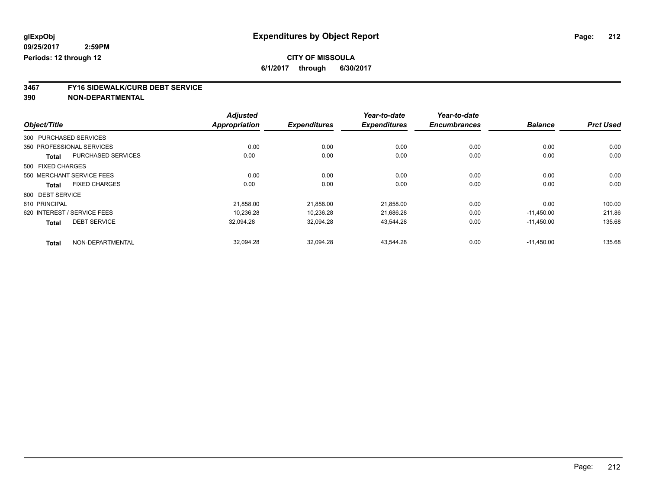**3467 FY16 SIDEWALK/CURB DEBT SERVICE**

|                                           | <b>Adjusted</b>      |                     | Year-to-date        | Year-to-date        |                |                  |
|-------------------------------------------|----------------------|---------------------|---------------------|---------------------|----------------|------------------|
| Object/Title                              | <b>Appropriation</b> | <b>Expenditures</b> | <b>Expenditures</b> | <b>Encumbrances</b> | <b>Balance</b> | <b>Prct Used</b> |
| 300 PURCHASED SERVICES                    |                      |                     |                     |                     |                |                  |
| 350 PROFESSIONAL SERVICES                 | 0.00                 | 0.00                | 0.00                | 0.00                | 0.00           | 0.00             |
| <b>PURCHASED SERVICES</b><br><b>Total</b> | 0.00                 | 0.00                | 0.00                | 0.00                | 0.00           | 0.00             |
| 500 FIXED CHARGES                         |                      |                     |                     |                     |                |                  |
| 550 MERCHANT SERVICE FEES                 | 0.00                 | 0.00                | 0.00                | 0.00                | 0.00           | 0.00             |
| <b>FIXED CHARGES</b><br><b>Total</b>      | 0.00                 | 0.00                | 0.00                | 0.00                | 0.00           | 0.00             |
| 600 DEBT SERVICE                          |                      |                     |                     |                     |                |                  |
| 610 PRINCIPAL                             | 21,858.00            | 21,858.00           | 21,858.00           | 0.00                | 0.00           | 100.00           |
| 620 INTEREST / SERVICE FEES               | 10,236.28            | 10,236.28           | 21,686.28           | 0.00                | $-11.450.00$   | 211.86           |
| <b>DEBT SERVICE</b><br><b>Total</b>       | 32,094.28            | 32,094.28           | 43,544.28           | 0.00                | $-11.450.00$   | 135.68           |
| NON-DEPARTMENTAL<br><b>Total</b>          | 32,094.28            | 32,094.28           | 43.544.28           | 0.00                | $-11.450.00$   | 135.68           |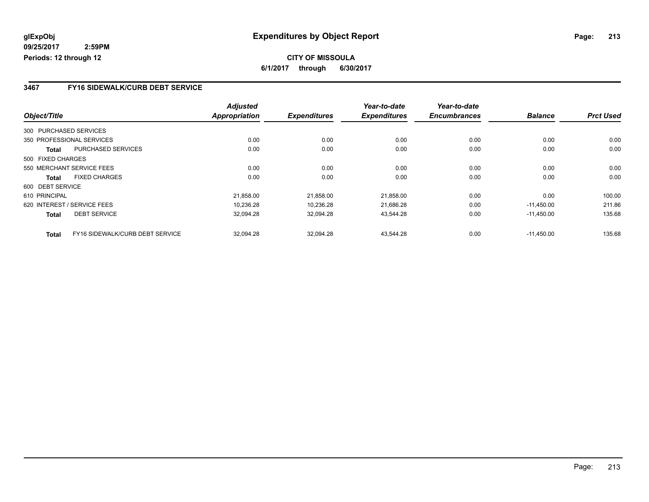## **CITY OF MISSOULA 6/1/2017 through 6/30/2017**

### **3467 FY16 SIDEWALK/CURB DEBT SERVICE**

|                   |                                 | <b>Adjusted</b>      |                     | Year-to-date        | Year-to-date        |                |                  |
|-------------------|---------------------------------|----------------------|---------------------|---------------------|---------------------|----------------|------------------|
| Object/Title      |                                 | <b>Appropriation</b> | <b>Expenditures</b> | <b>Expenditures</b> | <b>Encumbrances</b> | <b>Balance</b> | <b>Prct Used</b> |
|                   | 300 PURCHASED SERVICES          |                      |                     |                     |                     |                |                  |
|                   | 350 PROFESSIONAL SERVICES       | 0.00                 | 0.00                | 0.00                | 0.00                | 0.00           | 0.00             |
| Total             | <b>PURCHASED SERVICES</b>       | 0.00                 | 0.00                | 0.00                | 0.00                | 0.00           | 0.00             |
| 500 FIXED CHARGES |                                 |                      |                     |                     |                     |                |                  |
|                   | 550 MERCHANT SERVICE FEES       | 0.00                 | 0.00                | 0.00                | 0.00                | 0.00           | 0.00             |
| Total             | <b>FIXED CHARGES</b>            | 0.00                 | 0.00                | 0.00                | 0.00                | 0.00           | 0.00             |
| 600 DEBT SERVICE  |                                 |                      |                     |                     |                     |                |                  |
| 610 PRINCIPAL     |                                 | 21.858.00            | 21.858.00           | 21.858.00           | 0.00                | 0.00           | 100.00           |
|                   | 620 INTEREST / SERVICE FEES     | 10,236.28            | 10,236.28           | 21,686.28           | 0.00                | $-11,450.00$   | 211.86           |
| Total             | <b>DEBT SERVICE</b>             | 32,094.28            | 32,094.28           | 43,544.28           | 0.00                | $-11,450.00$   | 135.68           |
| <b>Total</b>      | FY16 SIDEWALK/CURB DEBT SERVICE | 32,094.28            | 32,094.28           | 43,544.28           | 0.00                | $-11.450.00$   | 135.68           |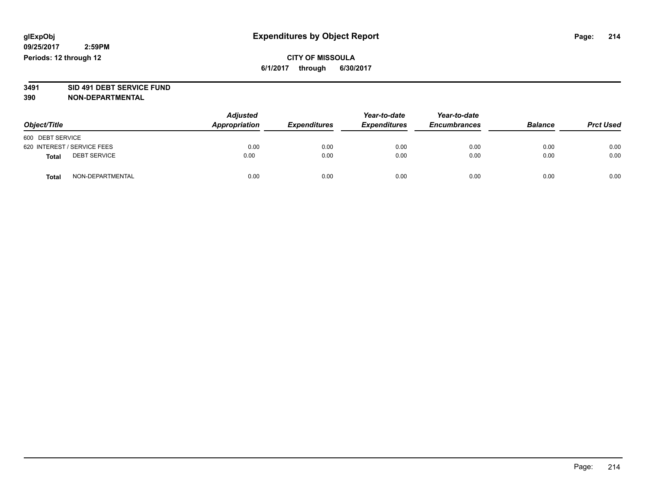# **3491 SID 491 DEBT SERVICE FUND**

| Object/Title                        | <b>Adjusted</b><br>Appropriation | <b>Expenditures</b> | Year-to-date<br><b>Expenditures</b> | Year-to-date<br><b>Encumbrances</b> | <b>Balance</b> | <b>Prct Used</b> |
|-------------------------------------|----------------------------------|---------------------|-------------------------------------|-------------------------------------|----------------|------------------|
| 600 DEBT SERVICE                    |                                  |                     |                                     |                                     |                |                  |
| 620 INTEREST / SERVICE FEES         | 0.00                             | 0.00                | 0.00                                | 0.00                                | 0.00           | 0.00             |
| <b>DEBT SERVICE</b><br><b>Total</b> | 0.00                             | 0.00                | 0.00                                | 0.00                                | 0.00           | 0.00             |
| NON-DEPARTMENTAL<br><b>Total</b>    | 0.00                             | 0.00                | 0.00                                | 0.00                                | 0.00           | 0.00             |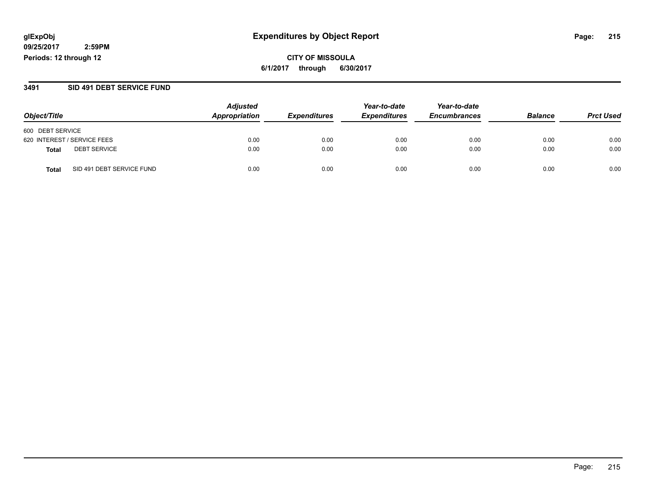**CITY OF MISSOULA 6/1/2017 through 6/30/2017**

### **3491 SID 491 DEBT SERVICE FUND**

|                                           | <b>Adjusted</b> |                     | Year-to-date        | Year-to-date        |                |                  |
|-------------------------------------------|-----------------|---------------------|---------------------|---------------------|----------------|------------------|
| Object/Title                              | Appropriation   | <b>Expenditures</b> | <b>Expenditures</b> | <b>Encumbrances</b> | <b>Balance</b> | <b>Prct Used</b> |
| 600 DEBT SERVICE                          |                 |                     |                     |                     |                |                  |
| 620 INTEREST / SERVICE FEES               | 0.00            | 0.00                | 0.00                | 0.00                | 0.00           | 0.00             |
| <b>DEBT SERVICE</b><br><b>Total</b>       | 0.00            | 0.00                | 0.00                | 0.00                | 0.00           | 0.00             |
| SID 491 DEBT SERVICE FUND<br><b>Total</b> | 0.00            | 0.00                | 0.00                | 0.00                | 0.00           | 0.00             |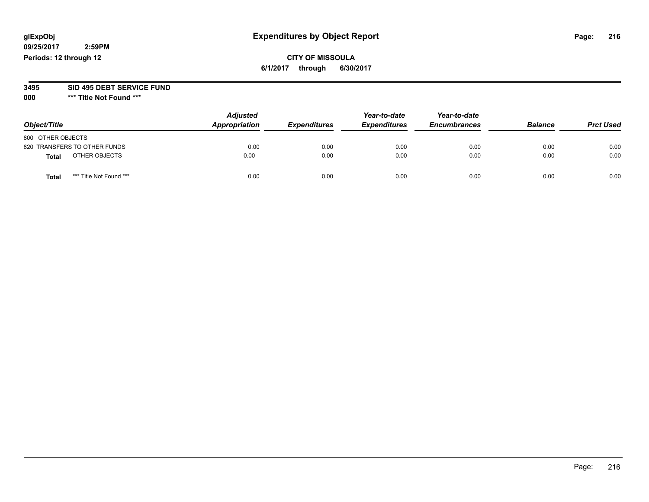### **CITY OF MISSOULA 6/1/2017 through 6/30/2017**

# **3495 SID 495 DEBT SERVICE FUND**

**000 \*\*\* Title Not Found \*\*\***

| Object/Title                    | <b>Adjusted</b><br>Appropriation | <b>Expenditures</b> | Year-to-date<br><b>Expenditures</b> | Year-to-date<br><b>Encumbrances</b> | <b>Balance</b> | <b>Prct Used</b> |
|---------------------------------|----------------------------------|---------------------|-------------------------------------|-------------------------------------|----------------|------------------|
| 800 OTHER OBJECTS               |                                  |                     |                                     |                                     |                |                  |
| 820 TRANSFERS TO OTHER FUNDS    | 0.00                             | 0.00                | 0.00                                | 0.00                                | 0.00           | 0.00             |
| OTHER OBJECTS<br><b>Total</b>   | 0.00                             | 0.00                | 0.00                                | 0.00                                | 0.00           | 0.00             |
| *** Title Not Found ***<br>Tota | 0.00                             | 0.00                | 0.00                                | 0.00                                | 0.00           | 0.00             |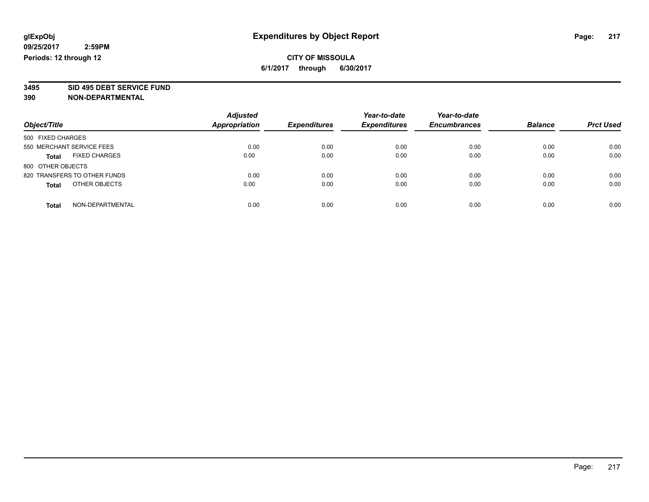# **3495 SID 495 DEBT SERVICE FUND**

| Object/Title                         | <b>Adjusted</b><br><b>Appropriation</b> | <b>Expenditures</b> | Year-to-date<br><b>Expenditures</b> | Year-to-date<br><b>Encumbrances</b> | <b>Balance</b> | <b>Prct Used</b> |
|--------------------------------------|-----------------------------------------|---------------------|-------------------------------------|-------------------------------------|----------------|------------------|
| 500 FIXED CHARGES                    |                                         |                     |                                     |                                     |                |                  |
| 550 MERCHANT SERVICE FEES            | 0.00                                    | 0.00                | 0.00                                | 0.00                                | 0.00           | 0.00             |
| <b>FIXED CHARGES</b><br><b>Total</b> | 0.00                                    | 0.00                | 0.00                                | 0.00                                | 0.00           | 0.00             |
| 800 OTHER OBJECTS                    |                                         |                     |                                     |                                     |                |                  |
| 820 TRANSFERS TO OTHER FUNDS         | 0.00                                    | 0.00                | 0.00                                | 0.00                                | 0.00           | 0.00             |
| OTHER OBJECTS<br><b>Total</b>        | 0.00                                    | 0.00                | 0.00                                | 0.00                                | 0.00           | 0.00             |
| NON-DEPARTMENTAL<br>Total            | 0.00                                    | 0.00                | 0.00                                | 0.00                                | 0.00           | 0.00             |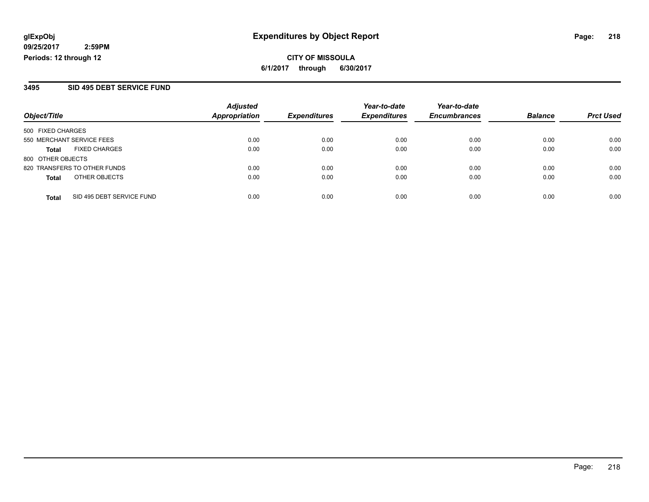**CITY OF MISSOULA 6/1/2017 through 6/30/2017**

### **3495 SID 495 DEBT SERVICE FUND**

| Object/Title                 |                           | <b>Adjusted</b><br><b>Appropriation</b> | <b>Expenditures</b> | Year-to-date<br><b>Expenditures</b> | Year-to-date        | <b>Balance</b> |                  |
|------------------------------|---------------------------|-----------------------------------------|---------------------|-------------------------------------|---------------------|----------------|------------------|
|                              |                           |                                         |                     |                                     | <b>Encumbrances</b> |                | <b>Prct Used</b> |
| 500 FIXED CHARGES            |                           |                                         |                     |                                     |                     |                |                  |
| 550 MERCHANT SERVICE FEES    |                           | 0.00                                    | 0.00                | 0.00                                | 0.00                | 0.00           | 0.00             |
| Total                        | <b>FIXED CHARGES</b>      | 0.00                                    | 0.00                | 0.00                                | 0.00                | 0.00           | 0.00             |
| 800 OTHER OBJECTS            |                           |                                         |                     |                                     |                     |                |                  |
| 820 TRANSFERS TO OTHER FUNDS |                           | 0.00                                    | 0.00                | 0.00                                | 0.00                | 0.00           | 0.00             |
| <b>Total</b>                 | OTHER OBJECTS             | 0.00                                    | 0.00                | 0.00                                | 0.00                | 0.00           | 0.00             |
| <b>Total</b>                 | SID 495 DEBT SERVICE FUND | 0.00                                    | 0.00                | 0.00                                | 0.00                | 0.00           | 0.00             |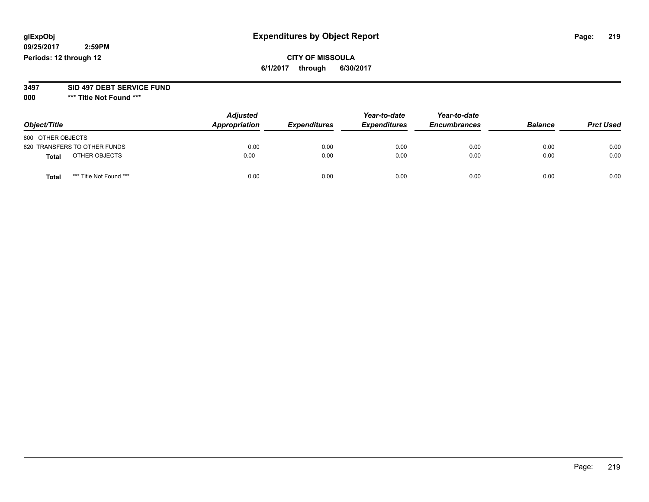## **CITY OF MISSOULA 6/1/2017 through 6/30/2017**

#### **3497 SID 497 DEBT SERVICE FUND**

| Object/Title                     | <b>Adjusted</b><br>Appropriation | <b>Expenditures</b> | Year-to-date<br><b>Expenditures</b> | Year-to-date<br><b>Encumbrances</b> | <b>Balance</b> | <b>Prct Used</b> |
|----------------------------------|----------------------------------|---------------------|-------------------------------------|-------------------------------------|----------------|------------------|
| 800 OTHER OBJECTS                |                                  |                     |                                     |                                     |                |                  |
| 820 TRANSFERS TO OTHER FUNDS     | 0.00                             | 0.00                | 0.00                                | 0.00                                | 0.00           | 0.00             |
| OTHER OBJECTS<br><b>Total</b>    | 0.00                             | 0.00                | 0.00                                | 0.00                                | 0.00           | 0.00             |
| *** Title Not Found ***<br>Total | 0.00                             | 0.00                | 0.00                                | 0.00                                | 0.00           | 0.00             |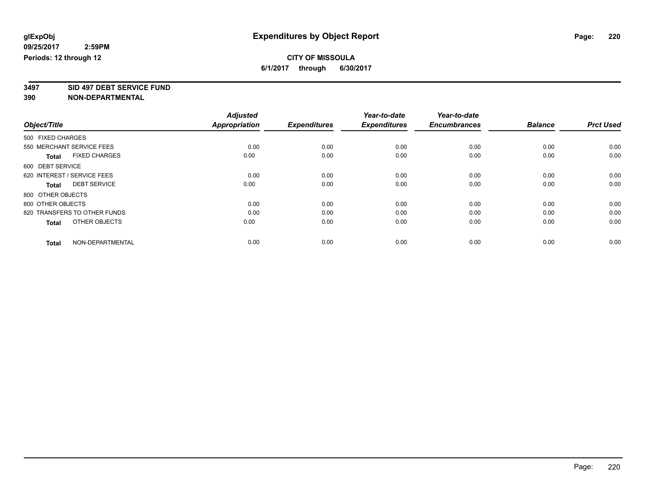**3497 SID 497 DEBT SERVICE FUND**

|                                      | <b>Adjusted</b>      |                     | Year-to-date<br><b>Expenditures</b> | Year-to-date<br><b>Encumbrances</b> | <b>Balance</b> |                  |
|--------------------------------------|----------------------|---------------------|-------------------------------------|-------------------------------------|----------------|------------------|
| Object/Title                         | <b>Appropriation</b> | <b>Expenditures</b> |                                     |                                     |                | <b>Prct Used</b> |
| 500 FIXED CHARGES                    |                      |                     |                                     |                                     |                |                  |
| 550 MERCHANT SERVICE FEES            | 0.00                 | 0.00                | 0.00                                | 0.00                                | 0.00           | 0.00             |
| <b>FIXED CHARGES</b><br><b>Total</b> | 0.00                 | 0.00                | 0.00                                | 0.00                                | 0.00           | 0.00             |
| 600 DEBT SERVICE                     |                      |                     |                                     |                                     |                |                  |
| 620 INTEREST / SERVICE FEES          | 0.00                 | 0.00                | 0.00                                | 0.00                                | 0.00           | 0.00             |
| <b>DEBT SERVICE</b><br>Total         | 0.00                 | 0.00                | 0.00                                | 0.00                                | 0.00           | 0.00             |
| 800 OTHER OBJECTS                    |                      |                     |                                     |                                     |                |                  |
| 800 OTHER OBJECTS                    | 0.00                 | 0.00                | 0.00                                | 0.00                                | 0.00           | 0.00             |
| 820 TRANSFERS TO OTHER FUNDS         | 0.00                 | 0.00                | 0.00                                | 0.00                                | 0.00           | 0.00             |
| OTHER OBJECTS<br><b>Total</b>        | 0.00                 | 0.00                | 0.00                                | 0.00                                | 0.00           | 0.00             |
|                                      |                      |                     |                                     |                                     |                |                  |
| NON-DEPARTMENTAL<br><b>Total</b>     | 0.00                 | 0.00                | 0.00                                | 0.00                                | 0.00           | 0.00             |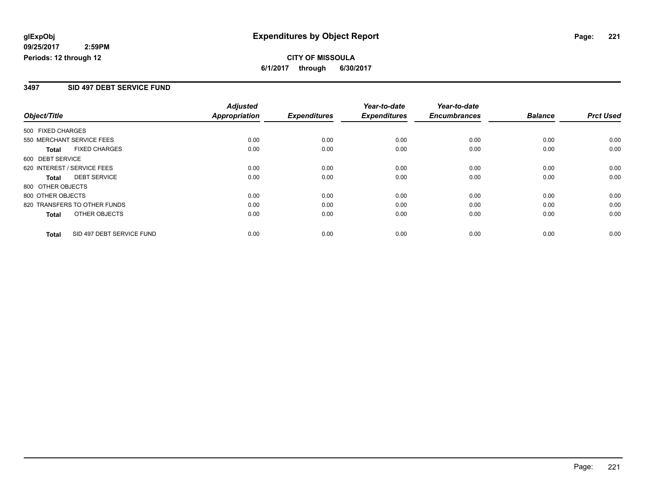## **CITY OF MISSOULA 6/1/2017 through 6/30/2017**

### **3497 SID 497 DEBT SERVICE FUND**

|                   |                              | <b>Adjusted</b>      |                     | Year-to-date        | Year-to-date        |                |                  |
|-------------------|------------------------------|----------------------|---------------------|---------------------|---------------------|----------------|------------------|
| Object/Title      |                              | <b>Appropriation</b> | <b>Expenditures</b> | <b>Expenditures</b> | <b>Encumbrances</b> | <b>Balance</b> | <b>Prct Used</b> |
| 500 FIXED CHARGES |                              |                      |                     |                     |                     |                |                  |
|                   | 550 MERCHANT SERVICE FEES    | 0.00                 | 0.00                | 0.00                | 0.00                | 0.00           | 0.00             |
| Total             | <b>FIXED CHARGES</b>         | 0.00                 | 0.00                | 0.00                | 0.00                | 0.00           | 0.00             |
| 600 DEBT SERVICE  |                              |                      |                     |                     |                     |                |                  |
|                   | 620 INTEREST / SERVICE FEES  | 0.00                 | 0.00                | 0.00                | 0.00                | 0.00           | 0.00             |
| Total             | <b>DEBT SERVICE</b>          | 0.00                 | 0.00                | 0.00                | 0.00                | 0.00           | 0.00             |
| 800 OTHER OBJECTS |                              |                      |                     |                     |                     |                |                  |
| 800 OTHER OBJECTS |                              | 0.00                 | 0.00                | 0.00                | 0.00                | 0.00           | 0.00             |
|                   | 820 TRANSFERS TO OTHER FUNDS | 0.00                 | 0.00                | 0.00                | 0.00                | 0.00           | 0.00             |
| Total             | OTHER OBJECTS                | 0.00                 | 0.00                | 0.00                | 0.00                | 0.00           | 0.00             |
| <b>Total</b>      | SID 497 DEBT SERVICE FUND    | 0.00                 | 0.00                | 0.00                | 0.00                | 0.00           | 0.00             |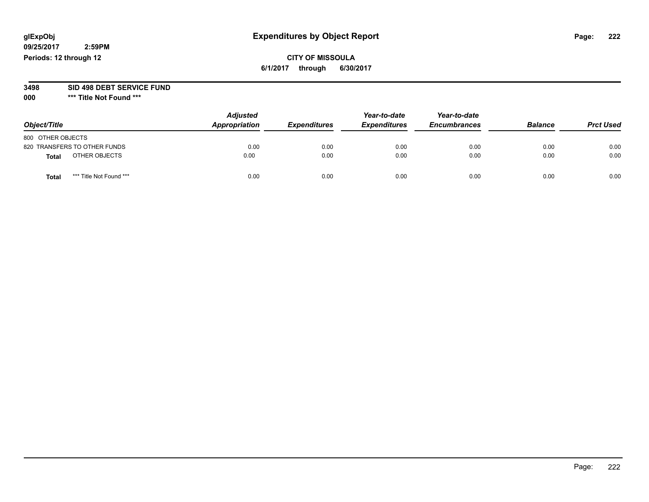## **CITY OF MISSOULA 6/1/2017 through 6/30/2017**

**3498 SID 498 DEBT SERVICE FUND**

| Object/Title                 |                         | <b>Adjusted</b><br>Appropriation | <b>Expenditures</b> | Year-to-date<br><b>Expenditures</b> | Year-to-date<br><b>Encumbrances</b> | <b>Balance</b> | <b>Prct Used</b> |
|------------------------------|-------------------------|----------------------------------|---------------------|-------------------------------------|-------------------------------------|----------------|------------------|
| 800 OTHER OBJECTS            |                         |                                  |                     |                                     |                                     |                |                  |
| 820 TRANSFERS TO OTHER FUNDS |                         | 0.00                             | 0.00                | 0.00                                | 0.00                                | 0.00           | 0.00             |
| Total                        | OTHER OBJECTS           | 0.00                             | 0.00                | 0.00                                | 0.00                                | 0.00           | 0.00             |
| Tota                         | *** Title Not Found *** | 0.00                             | 0.00                | 0.00                                | 0.00                                | 0.00           | 0.00             |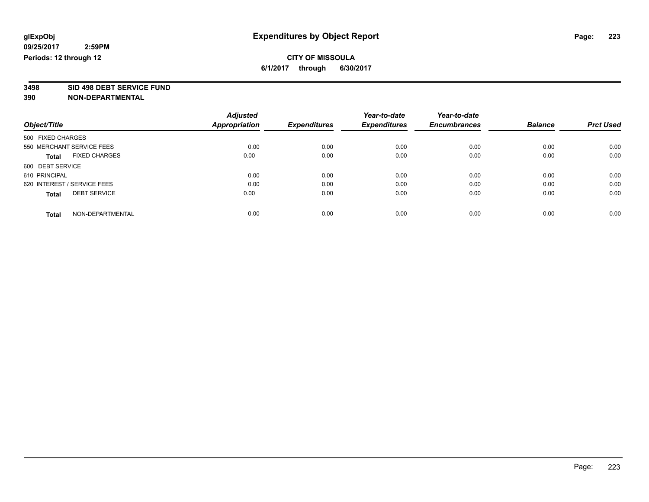# **3498 SID 498 DEBT SERVICE FUND**

|                                      | <b>Adjusted</b>      |                     | Year-to-date        | Year-to-date        |                |                  |
|--------------------------------------|----------------------|---------------------|---------------------|---------------------|----------------|------------------|
| Object/Title                         | <b>Appropriation</b> | <b>Expenditures</b> | <b>Expenditures</b> | <b>Encumbrances</b> | <b>Balance</b> | <b>Prct Used</b> |
| 500 FIXED CHARGES                    |                      |                     |                     |                     |                |                  |
| 550 MERCHANT SERVICE FEES            | 0.00                 | 0.00                | 0.00                | 0.00                | 0.00           | 0.00             |
| <b>FIXED CHARGES</b><br><b>Total</b> | 0.00                 | 0.00                | 0.00                | 0.00                | 0.00           | 0.00             |
| 600 DEBT SERVICE                     |                      |                     |                     |                     |                |                  |
| 610 PRINCIPAL                        | 0.00                 | 0.00                | 0.00                | 0.00                | 0.00           | 0.00             |
| 620 INTEREST / SERVICE FEES          | 0.00                 | 0.00                | 0.00                | 0.00                | 0.00           | 0.00             |
| <b>DEBT SERVICE</b><br><b>Total</b>  | 0.00                 | 0.00                | 0.00                | 0.00                | 0.00           | 0.00             |
| NON-DEPARTMENTAL<br>Total            | 0.00                 | 0.00                | 0.00                | 0.00                | 0.00           | 0.00             |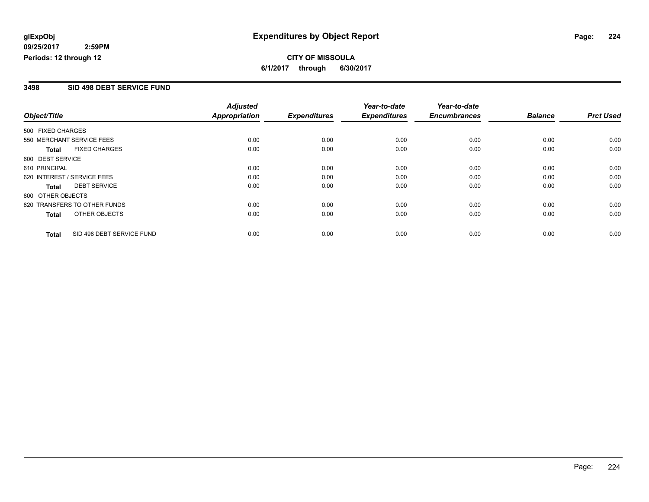## **CITY OF MISSOULA 6/1/2017 through 6/30/2017**

### **3498 SID 498 DEBT SERVICE FUND**

|                             |                              | <b>Adjusted</b>      |                     | Year-to-date        | Year-to-date        |                |                  |
|-----------------------------|------------------------------|----------------------|---------------------|---------------------|---------------------|----------------|------------------|
| Object/Title                |                              | <b>Appropriation</b> | <b>Expenditures</b> | <b>Expenditures</b> | <b>Encumbrances</b> | <b>Balance</b> | <b>Prct Used</b> |
| 500 FIXED CHARGES           |                              |                      |                     |                     |                     |                |                  |
| 550 MERCHANT SERVICE FEES   |                              | 0.00                 | 0.00                | 0.00                | 0.00                | 0.00           | 0.00             |
| <b>Total</b>                | <b>FIXED CHARGES</b>         | 0.00                 | 0.00                | 0.00                | 0.00                | 0.00           | 0.00             |
| 600 DEBT SERVICE            |                              |                      |                     |                     |                     |                |                  |
| 610 PRINCIPAL               |                              | 0.00                 | 0.00                | 0.00                | 0.00                | 0.00           | 0.00             |
| 620 INTEREST / SERVICE FEES |                              | 0.00                 | 0.00                | 0.00                | 0.00                | 0.00           | 0.00             |
| Total                       | <b>DEBT SERVICE</b>          | 0.00                 | 0.00                | 0.00                | 0.00                | 0.00           | 0.00             |
| 800 OTHER OBJECTS           |                              |                      |                     |                     |                     |                |                  |
|                             | 820 TRANSFERS TO OTHER FUNDS | 0.00                 | 0.00                | 0.00                | 0.00                | 0.00           | 0.00             |
| Total                       | OTHER OBJECTS                | 0.00                 | 0.00                | 0.00                | 0.00                | 0.00           | 0.00             |
| <b>Total</b>                | SID 498 DEBT SERVICE FUND    | 0.00                 | 0.00                | 0.00                | 0.00                | 0.00           | 0.00             |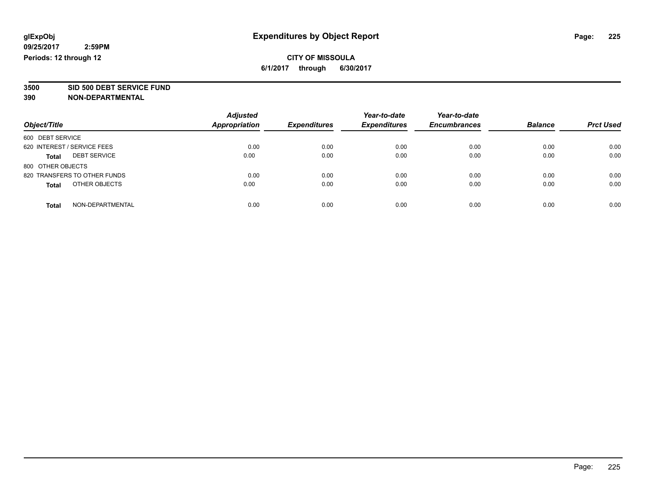**3500 SID 500 DEBT SERVICE FUND**

| Object/Title                        | <b>Adjusted</b><br><b>Appropriation</b> | <b>Expenditures</b> | Year-to-date<br><b>Expenditures</b> | Year-to-date<br><b>Encumbrances</b> | <b>Balance</b> | <b>Prct Used</b> |
|-------------------------------------|-----------------------------------------|---------------------|-------------------------------------|-------------------------------------|----------------|------------------|
| 600 DEBT SERVICE                    |                                         |                     |                                     |                                     |                |                  |
| 620 INTEREST / SERVICE FEES         | 0.00                                    | 0.00                | 0.00                                | 0.00                                | 0.00           | 0.00             |
| <b>DEBT SERVICE</b><br><b>Total</b> | 0.00                                    | 0.00                | 0.00                                | 0.00                                | 0.00           | 0.00             |
| 800 OTHER OBJECTS                   |                                         |                     |                                     |                                     |                |                  |
| 820 TRANSFERS TO OTHER FUNDS        | 0.00                                    | 0.00                | 0.00                                | 0.00                                | 0.00           | 0.00             |
| OTHER OBJECTS<br><b>Total</b>       | 0.00                                    | 0.00                | 0.00                                | 0.00                                | 0.00           | 0.00             |
| NON-DEPARTMENTAL<br><b>Total</b>    | 0.00                                    | 0.00                | 0.00                                | 0.00                                | 0.00           | 0.00             |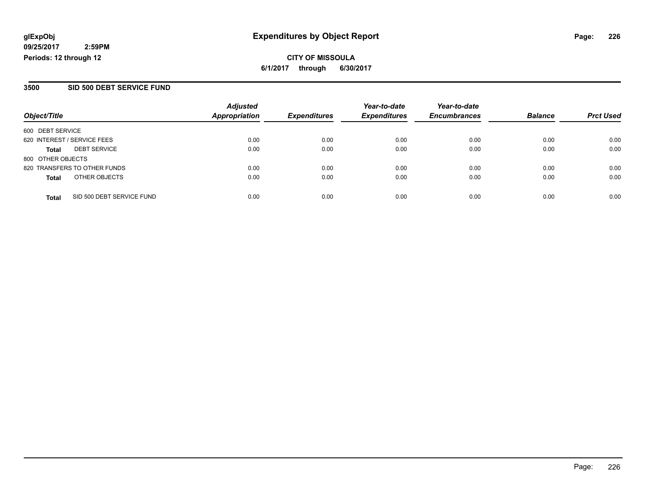**CITY OF MISSOULA 6/1/2017 through 6/30/2017**

### **3500 SID 500 DEBT SERVICE FUND**

|                                           | <b>Adjusted</b>      |                     | Year-to-date        | Year-to-date        |                |                  |
|-------------------------------------------|----------------------|---------------------|---------------------|---------------------|----------------|------------------|
| Object/Title                              | <b>Appropriation</b> | <b>Expenditures</b> | <b>Expenditures</b> | <b>Encumbrances</b> | <b>Balance</b> | <b>Prct Used</b> |
| 600 DEBT SERVICE                          |                      |                     |                     |                     |                |                  |
| 620 INTEREST / SERVICE FEES               | 0.00                 | 0.00                | 0.00                | 0.00                | 0.00           | 0.00             |
| <b>DEBT SERVICE</b><br>Total              | 0.00                 | 0.00                | 0.00                | 0.00                | 0.00           | 0.00             |
| 800 OTHER OBJECTS                         |                      |                     |                     |                     |                |                  |
| 820 TRANSFERS TO OTHER FUNDS              | 0.00                 | 0.00                | 0.00                | 0.00                | 0.00           | 0.00             |
| OTHER OBJECTS<br><b>Total</b>             | 0.00                 | 0.00                | 0.00                | 0.00                | 0.00           | 0.00             |
| SID 500 DEBT SERVICE FUND<br><b>Total</b> | 0.00                 | 0.00                | 0.00                | 0.00                | 0.00           | 0.00             |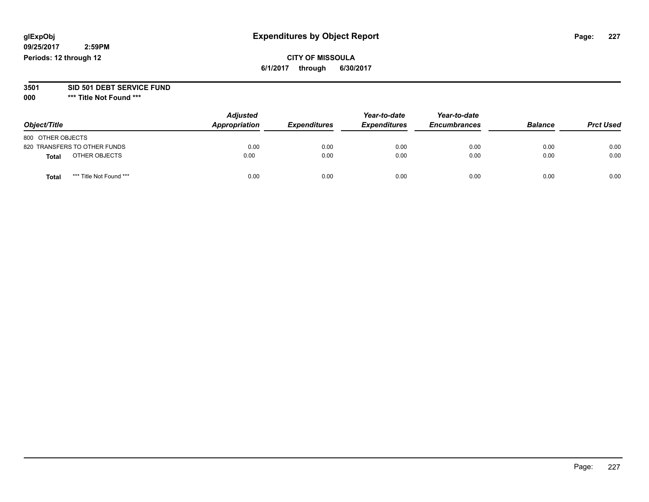## **CITY OF MISSOULA 6/1/2017 through 6/30/2017**

#### **3501 SID 501 DEBT SERVICE FUND**

| Object/Title                            | <b>Adjusted</b><br>Appropriation | <b>Expenditures</b> | Year-to-date<br><b>Expenditures</b> | Year-to-date<br><b>Encumbrances</b> | <b>Balance</b> | <b>Prct Used</b> |
|-----------------------------------------|----------------------------------|---------------------|-------------------------------------|-------------------------------------|----------------|------------------|
| 800 OTHER OBJECTS                       |                                  |                     |                                     |                                     |                |                  |
| 820 TRANSFERS TO OTHER FUNDS            | 0.00                             | 0.00                | 0.00                                | 0.00                                | 0.00           | 0.00             |
| OTHER OBJECTS<br><b>Total</b>           | 0.00                             | 0.00                | 0.00                                | 0.00                                | 0.00           | 0.00             |
| *** Title Not Found ***<br><b>Total</b> | 0.00                             | 0.00                | 0.00                                | 0.00                                | 0.00           | 0.00             |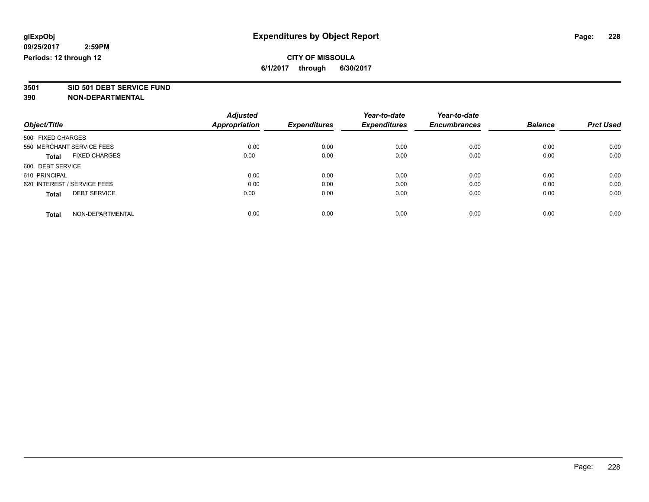# **3501 SID 501 DEBT SERVICE FUND**

|                                      | <b>Adjusted</b> |                     | Year-to-date        | Year-to-date        |                |                  |
|--------------------------------------|-----------------|---------------------|---------------------|---------------------|----------------|------------------|
| Object/Title                         | Appropriation   | <b>Expenditures</b> | <b>Expenditures</b> | <b>Encumbrances</b> | <b>Balance</b> | <b>Prct Used</b> |
| 500 FIXED CHARGES                    |                 |                     |                     |                     |                |                  |
| 550 MERCHANT SERVICE FEES            | 0.00            | 0.00                | 0.00                | 0.00                | 0.00           | 0.00             |
| <b>FIXED CHARGES</b><br><b>Total</b> | 0.00            | 0.00                | 0.00                | 0.00                | 0.00           | 0.00             |
| 600 DEBT SERVICE                     |                 |                     |                     |                     |                |                  |
| 610 PRINCIPAL                        | 0.00            | 0.00                | 0.00                | 0.00                | 0.00           | 0.00             |
| 620 INTEREST / SERVICE FEES          | 0.00            | 0.00                | 0.00                | 0.00                | 0.00           | 0.00             |
| <b>DEBT SERVICE</b><br><b>Total</b>  | 0.00            | 0.00                | 0.00                | 0.00                | 0.00           | 0.00             |
| NON-DEPARTMENTAL<br><b>Total</b>     | 0.00            | 0.00                | 0.00                | 0.00                | 0.00           | 0.00             |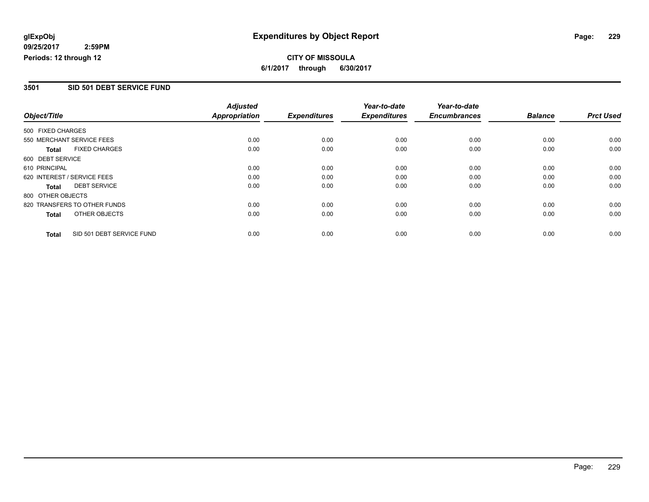## **CITY OF MISSOULA 6/1/2017 through 6/30/2017**

### **3501 SID 501 DEBT SERVICE FUND**

|                   |                              | <b>Adjusted</b>      |                     | Year-to-date        | Year-to-date        |                |                  |
|-------------------|------------------------------|----------------------|---------------------|---------------------|---------------------|----------------|------------------|
| Object/Title      |                              | <b>Appropriation</b> | <b>Expenditures</b> | <b>Expenditures</b> | <b>Encumbrances</b> | <b>Balance</b> | <b>Prct Used</b> |
| 500 FIXED CHARGES |                              |                      |                     |                     |                     |                |                  |
|                   | 550 MERCHANT SERVICE FEES    | 0.00                 | 0.00                | 0.00                | 0.00                | 0.00           | 0.00             |
| <b>Total</b>      | <b>FIXED CHARGES</b>         | 0.00                 | 0.00                | 0.00                | 0.00                | 0.00           | 0.00             |
| 600 DEBT SERVICE  |                              |                      |                     |                     |                     |                |                  |
| 610 PRINCIPAL     |                              | 0.00                 | 0.00                | 0.00                | 0.00                | 0.00           | 0.00             |
|                   | 620 INTEREST / SERVICE FEES  | 0.00                 | 0.00                | 0.00                | 0.00                | 0.00           | 0.00             |
| <b>Total</b>      | <b>DEBT SERVICE</b>          | 0.00                 | 0.00                | 0.00                | 0.00                | 0.00           | 0.00             |
| 800 OTHER OBJECTS |                              |                      |                     |                     |                     |                |                  |
|                   | 820 TRANSFERS TO OTHER FUNDS | 0.00                 | 0.00                | 0.00                | 0.00                | 0.00           | 0.00             |
| <b>Total</b>      | OTHER OBJECTS                | 0.00                 | 0.00                | 0.00                | 0.00                | 0.00           | 0.00             |
| <b>Total</b>      | SID 501 DEBT SERVICE FUND    | 0.00                 | 0.00                | 0.00                | 0.00                | 0.00           | 0.00             |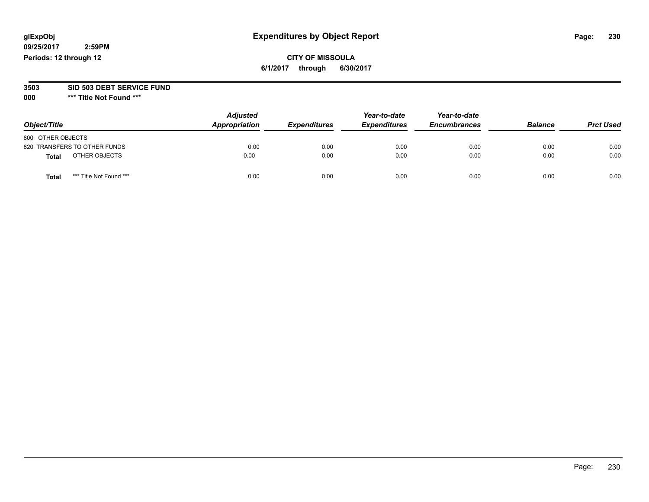## **CITY OF MISSOULA 6/1/2017 through 6/30/2017**

#### **3503 SID 503 DEBT SERVICE FUND**

| Object/Title                     | <b>Adjusted</b><br>Appropriation | <b>Expenditures</b> | Year-to-date<br><b>Expenditures</b> | Year-to-date<br><b>Encumbrances</b> | <b>Balance</b> | <b>Prct Used</b> |
|----------------------------------|----------------------------------|---------------------|-------------------------------------|-------------------------------------|----------------|------------------|
| 800 OTHER OBJECTS                |                                  |                     |                                     |                                     |                |                  |
| 820 TRANSFERS TO OTHER FUNDS     | 0.00                             | 0.00                | 0.00                                | 0.00                                | 0.00           | 0.00             |
| OTHER OBJECTS<br><b>Total</b>    | 0.00                             | 0.00                | 0.00                                | 0.00                                | 0.00           | 0.00             |
| *** Title Not Found ***<br>Total | 0.00                             | 0.00                | 0.00                                | 0.00                                | 0.00           | 0.00             |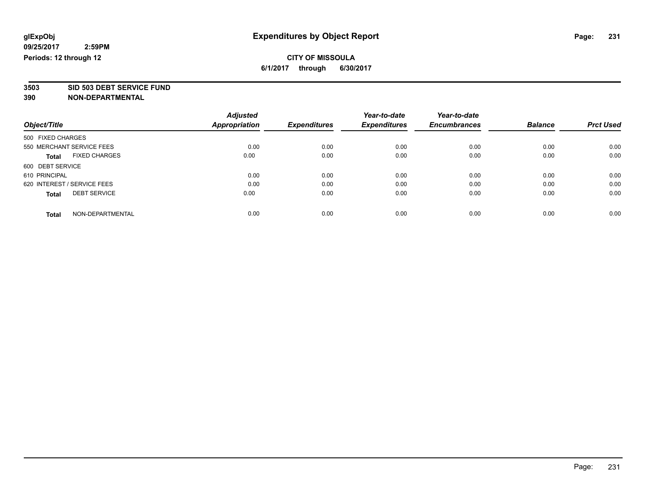**3503 SID 503 DEBT SERVICE FUND**

|                                      | <b>Adjusted</b> |                     | Year-to-date        | Year-to-date        |                |                  |
|--------------------------------------|-----------------|---------------------|---------------------|---------------------|----------------|------------------|
| Object/Title                         | Appropriation   | <b>Expenditures</b> | <b>Expenditures</b> | <b>Encumbrances</b> | <b>Balance</b> | <b>Prct Used</b> |
| 500 FIXED CHARGES                    |                 |                     |                     |                     |                |                  |
| 550 MERCHANT SERVICE FEES            | 0.00            | 0.00                | 0.00                | 0.00                | 0.00           | 0.00             |
| <b>FIXED CHARGES</b><br><b>Total</b> | 0.00            | 0.00                | 0.00                | 0.00                | 0.00           | 0.00             |
| 600 DEBT SERVICE                     |                 |                     |                     |                     |                |                  |
| 610 PRINCIPAL                        | 0.00            | 0.00                | 0.00                | 0.00                | 0.00           | 0.00             |
| 620 INTEREST / SERVICE FEES          | 0.00            | 0.00                | 0.00                | 0.00                | 0.00           | 0.00             |
| <b>DEBT SERVICE</b><br><b>Total</b>  | 0.00            | 0.00                | 0.00                | 0.00                | 0.00           | 0.00             |
| NON-DEPARTMENTAL<br><b>Total</b>     | 0.00            | 0.00                | 0.00                | 0.00                | 0.00           | 0.00             |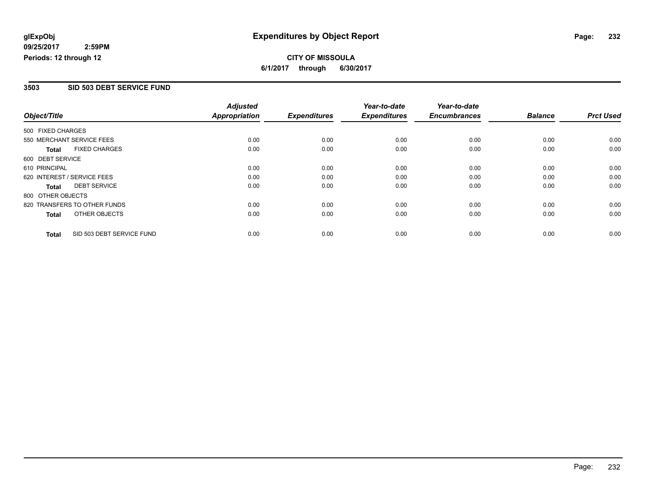## **CITY OF MISSOULA 6/1/2017 through 6/30/2017**

### **3503 SID 503 DEBT SERVICE FUND**

|                             |                              | <b>Adjusted</b>      |                     | Year-to-date        | Year-to-date        |                |                  |
|-----------------------------|------------------------------|----------------------|---------------------|---------------------|---------------------|----------------|------------------|
| Object/Title                |                              | <b>Appropriation</b> | <b>Expenditures</b> | <b>Expenditures</b> | <b>Encumbrances</b> | <b>Balance</b> | <b>Prct Used</b> |
| 500 FIXED CHARGES           |                              |                      |                     |                     |                     |                |                  |
| 550 MERCHANT SERVICE FEES   |                              | 0.00                 | 0.00                | 0.00                | 0.00                | 0.00           | 0.00             |
| <b>Total</b>                | <b>FIXED CHARGES</b>         | 0.00                 | 0.00                | 0.00                | 0.00                | 0.00           | 0.00             |
| 600 DEBT SERVICE            |                              |                      |                     |                     |                     |                |                  |
| 610 PRINCIPAL               |                              | 0.00                 | 0.00                | 0.00                | 0.00                | 0.00           | 0.00             |
| 620 INTEREST / SERVICE FEES |                              | 0.00                 | 0.00                | 0.00                | 0.00                | 0.00           | 0.00             |
| Total                       | <b>DEBT SERVICE</b>          | 0.00                 | 0.00                | 0.00                | 0.00                | 0.00           | 0.00             |
| 800 OTHER OBJECTS           |                              |                      |                     |                     |                     |                |                  |
|                             | 820 TRANSFERS TO OTHER FUNDS | 0.00                 | 0.00                | 0.00                | 0.00                | 0.00           | 0.00             |
| Total                       | OTHER OBJECTS                | 0.00                 | 0.00                | 0.00                | 0.00                | 0.00           | 0.00             |
| <b>Total</b>                | SID 503 DEBT SERVICE FUND    | 0.00                 | 0.00                | 0.00                | 0.00                | 0.00           | 0.00             |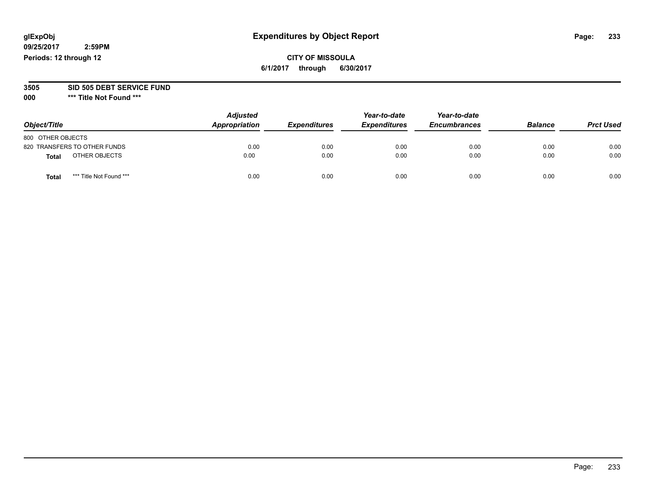## **CITY OF MISSOULA 6/1/2017 through 6/30/2017**

#### **3505 SID 505 DEBT SERVICE FUND**

| Object/Title                     | <b>Adjusted</b><br>Appropriation | <b>Expenditures</b> | Year-to-date<br><b>Expenditures</b> | Year-to-date<br><b>Encumbrances</b> | <b>Balance</b> | <b>Prct Used</b> |
|----------------------------------|----------------------------------|---------------------|-------------------------------------|-------------------------------------|----------------|------------------|
| 800 OTHER OBJECTS                |                                  |                     |                                     |                                     |                |                  |
| 820 TRANSFERS TO OTHER FUNDS     | 0.00                             | 0.00                | 0.00                                | 0.00                                | 0.00           | 0.00             |
| OTHER OBJECTS<br><b>Total</b>    | 0.00                             | 0.00                | 0.00                                | 0.00                                | 0.00           | 0.00             |
| *** Title Not Found ***<br>Total | 0.00                             | 0.00                | 0.00                                | 0.00                                | 0.00           | 0.00             |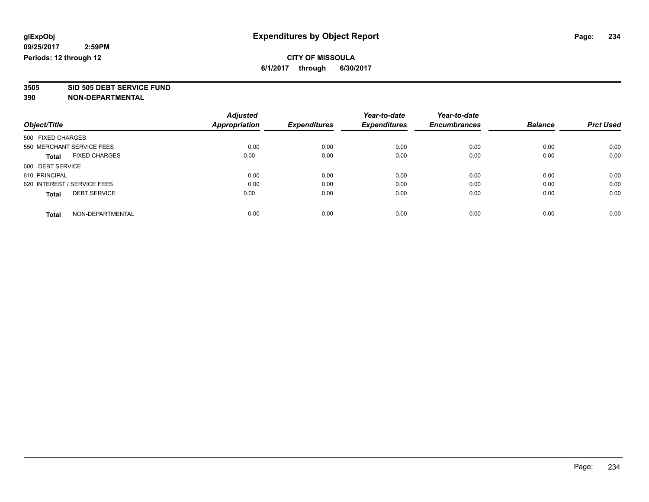# **3505 SID 505 DEBT SERVICE FUND**

|                                      | <b>Adjusted</b>      |                     | Year-to-date        | Year-to-date        |                |                  |
|--------------------------------------|----------------------|---------------------|---------------------|---------------------|----------------|------------------|
| Object/Title                         | <b>Appropriation</b> | <b>Expenditures</b> | <b>Expenditures</b> | <b>Encumbrances</b> | <b>Balance</b> | <b>Prct Used</b> |
| 500 FIXED CHARGES                    |                      |                     |                     |                     |                |                  |
| 550 MERCHANT SERVICE FEES            | 0.00                 | 0.00                | 0.00                | 0.00                | 0.00           | 0.00             |
| <b>FIXED CHARGES</b><br><b>Total</b> | 0.00                 | 0.00                | 0.00                | 0.00                | 0.00           | 0.00             |
| 600 DEBT SERVICE                     |                      |                     |                     |                     |                |                  |
| 610 PRINCIPAL                        | 0.00                 | 0.00                | 0.00                | 0.00                | 0.00           | 0.00             |
| 620 INTEREST / SERVICE FEES          | 0.00                 | 0.00                | 0.00                | 0.00                | 0.00           | 0.00             |
| <b>DEBT SERVICE</b><br><b>Total</b>  | 0.00                 | 0.00                | 0.00                | 0.00                | 0.00           | 0.00             |
| NON-DEPARTMENTAL<br>Total            | 0.00                 | 0.00                | 0.00                | 0.00                | 0.00           | 0.00             |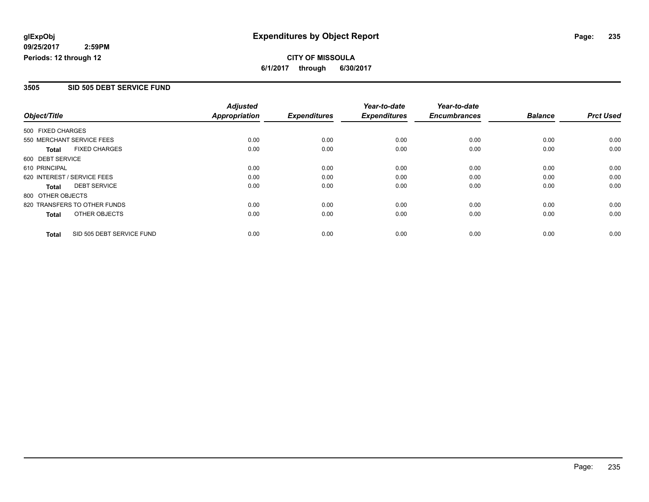## **CITY OF MISSOULA 6/1/2017 through 6/30/2017**

#### **3505 SID 505 DEBT SERVICE FUND**

|                   |                              | <b>Adjusted</b>      |                     | Year-to-date        | Year-to-date        |                |                  |
|-------------------|------------------------------|----------------------|---------------------|---------------------|---------------------|----------------|------------------|
| Object/Title      |                              | <b>Appropriation</b> | <b>Expenditures</b> | <b>Expenditures</b> | <b>Encumbrances</b> | <b>Balance</b> | <b>Prct Used</b> |
| 500 FIXED CHARGES |                              |                      |                     |                     |                     |                |                  |
|                   | 550 MERCHANT SERVICE FEES    | 0.00                 | 0.00                | 0.00                | 0.00                | 0.00           | 0.00             |
| <b>Total</b>      | <b>FIXED CHARGES</b>         | 0.00                 | 0.00                | 0.00                | 0.00                | 0.00           | 0.00             |
| 600 DEBT SERVICE  |                              |                      |                     |                     |                     |                |                  |
| 610 PRINCIPAL     |                              | 0.00                 | 0.00                | 0.00                | 0.00                | 0.00           | 0.00             |
|                   | 620 INTEREST / SERVICE FEES  | 0.00                 | 0.00                | 0.00                | 0.00                | 0.00           | 0.00             |
| <b>Total</b>      | <b>DEBT SERVICE</b>          | 0.00                 | 0.00                | 0.00                | 0.00                | 0.00           | 0.00             |
| 800 OTHER OBJECTS |                              |                      |                     |                     |                     |                |                  |
|                   | 820 TRANSFERS TO OTHER FUNDS | 0.00                 | 0.00                | 0.00                | 0.00                | 0.00           | 0.00             |
| <b>Total</b>      | OTHER OBJECTS                | 0.00                 | 0.00                | 0.00                | 0.00                | 0.00           | 0.00             |
| <b>Total</b>      | SID 505 DEBT SERVICE FUND    | 0.00                 | 0.00                | 0.00                | 0.00                | 0.00           | 0.00             |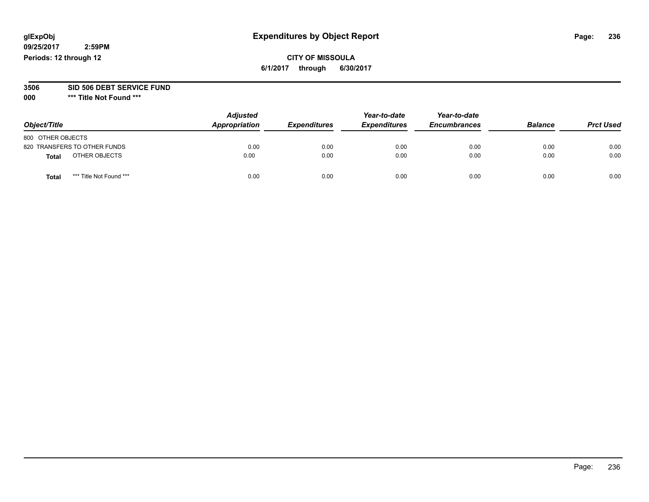## **CITY OF MISSOULA 6/1/2017 through 6/30/2017**

#### **3506 SID 506 DEBT SERVICE FUND**

| Object/Title                    | <b>Adjusted</b><br>Appropriation | <b>Expenditures</b> | Year-to-date<br><b>Expenditures</b> | Year-to-date<br><b>Encumbrances</b> | <b>Balance</b> | <b>Prct Used</b> |
|---------------------------------|----------------------------------|---------------------|-------------------------------------|-------------------------------------|----------------|------------------|
| 800 OTHER OBJECTS               |                                  |                     |                                     |                                     |                |                  |
| 820 TRANSFERS TO OTHER FUNDS    | 0.00                             | 0.00                | 0.00                                | 0.00                                | 0.00           | 0.00             |
| OTHER OBJECTS<br><b>Total</b>   | 0.00                             | 0.00                | 0.00                                | 0.00                                | 0.00           | 0.00             |
| *** Title Not Found ***<br>Tota | 0.00                             | 0.00                | 0.00                                | 0.00                                | 0.00           | 0.00             |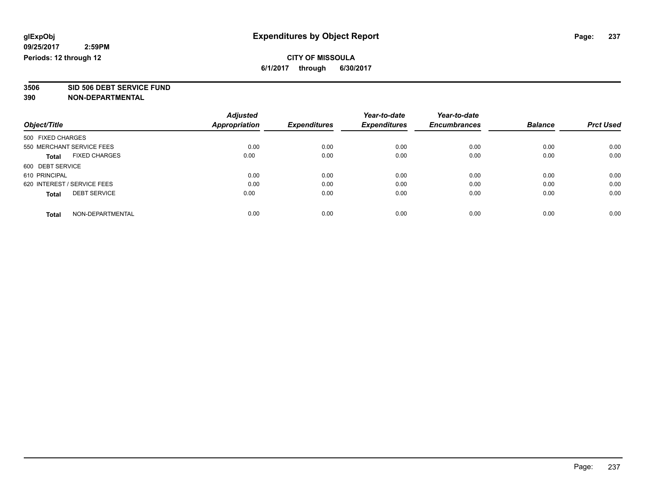**3506 SID 506 DEBT SERVICE FUND**

|                                      | <b>Adjusted</b> |                     | Year-to-date        | Year-to-date        |                |                  |
|--------------------------------------|-----------------|---------------------|---------------------|---------------------|----------------|------------------|
| Object/Title                         | Appropriation   | <b>Expenditures</b> | <b>Expenditures</b> | <b>Encumbrances</b> | <b>Balance</b> | <b>Prct Used</b> |
| 500 FIXED CHARGES                    |                 |                     |                     |                     |                |                  |
| 550 MERCHANT SERVICE FEES            | 0.00            | 0.00                | 0.00                | 0.00                | 0.00           | 0.00             |
| <b>FIXED CHARGES</b><br><b>Total</b> | 0.00            | 0.00                | 0.00                | 0.00                | 0.00           | 0.00             |
| 600 DEBT SERVICE                     |                 |                     |                     |                     |                |                  |
| 610 PRINCIPAL                        | 0.00            | 0.00                | 0.00                | 0.00                | 0.00           | 0.00             |
| 620 INTEREST / SERVICE FEES          | 0.00            | 0.00                | 0.00                | 0.00                | 0.00           | 0.00             |
| <b>DEBT SERVICE</b><br><b>Total</b>  | 0.00            | 0.00                | 0.00                | 0.00                | 0.00           | 0.00             |
| NON-DEPARTMENTAL<br><b>Total</b>     | 0.00            | 0.00                | 0.00                | 0.00                | 0.00           | 0.00             |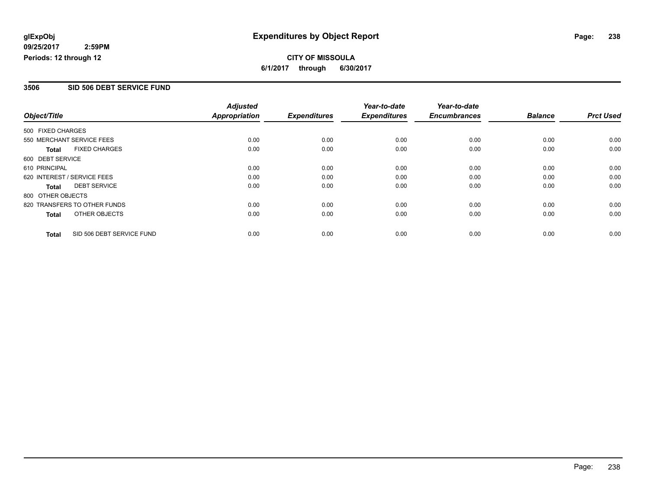**CITY OF MISSOULA 6/1/2017 through 6/30/2017**

### **3506 SID 506 DEBT SERVICE FUND**

|                   |                              | <b>Adjusted</b> |                     | Year-to-date        | Year-to-date        |                |                  |
|-------------------|------------------------------|-----------------|---------------------|---------------------|---------------------|----------------|------------------|
| Object/Title      |                              | Appropriation   | <b>Expenditures</b> | <b>Expenditures</b> | <b>Encumbrances</b> | <b>Balance</b> | <b>Prct Used</b> |
| 500 FIXED CHARGES |                              |                 |                     |                     |                     |                |                  |
|                   | 550 MERCHANT SERVICE FEES    | 0.00            | 0.00                | 0.00                | 0.00                | 0.00           | 0.00             |
| Total             | <b>FIXED CHARGES</b>         | 0.00            | 0.00                | 0.00                | 0.00                | 0.00           | 0.00             |
| 600 DEBT SERVICE  |                              |                 |                     |                     |                     |                |                  |
| 610 PRINCIPAL     |                              | 0.00            | 0.00                | 0.00                | 0.00                | 0.00           | 0.00             |
|                   | 620 INTEREST / SERVICE FEES  | 0.00            | 0.00                | 0.00                | 0.00                | 0.00           | 0.00             |
| Total             | <b>DEBT SERVICE</b>          | 0.00            | 0.00                | 0.00                | 0.00                | 0.00           | 0.00             |
| 800 OTHER OBJECTS |                              |                 |                     |                     |                     |                |                  |
|                   | 820 TRANSFERS TO OTHER FUNDS | 0.00            | 0.00                | 0.00                | 0.00                | 0.00           | 0.00             |
| Total             | OTHER OBJECTS                | 0.00            | 0.00                | 0.00                | 0.00                | 0.00           | 0.00             |
| <b>Total</b>      | SID 506 DEBT SERVICE FUND    | 0.00            | 0.00                | 0.00                | 0.00                | 0.00           | 0.00             |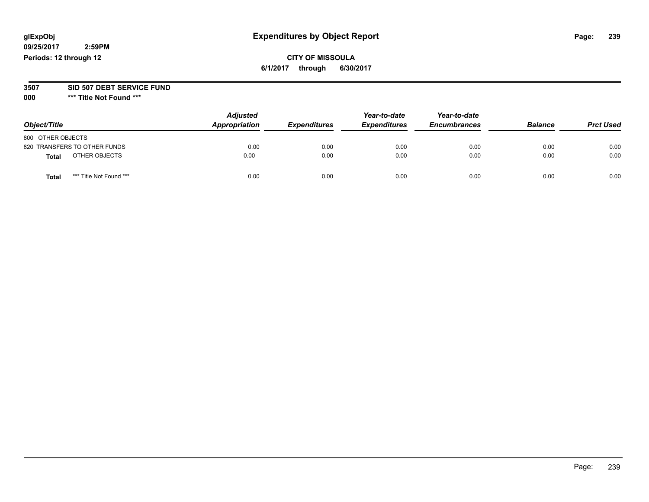# **glExpObj Expenditures by Object Report Page: 239**

**09/25/2017 2:59PM Periods: 12 through 12**

**CITY OF MISSOULA 6/1/2017 through 6/30/2017**

**3507 SID 507 DEBT SERVICE FUND**

| Object/Title                    | <b>Adjusted</b><br>Appropriation | <b>Expenditures</b> | Year-to-date<br><b>Expenditures</b> | Year-to-date<br><b>Encumbrances</b> | <b>Balance</b> | <b>Prct Used</b> |
|---------------------------------|----------------------------------|---------------------|-------------------------------------|-------------------------------------|----------------|------------------|
| 800 OTHER OBJECTS               |                                  |                     |                                     |                                     |                |                  |
| 820 TRANSFERS TO OTHER FUNDS    | 0.00                             | 0.00                | 0.00                                | 0.00                                | 0.00           | 0.00             |
| OTHER OBJECTS<br><b>Total</b>   | 0.00                             | 0.00                | 0.00                                | 0.00                                | 0.00           | 0.00             |
| *** Title Not Found ***<br>Tota | 0.00                             | 0.00                | 0.00                                | 0.00                                | 0.00           | 0.00             |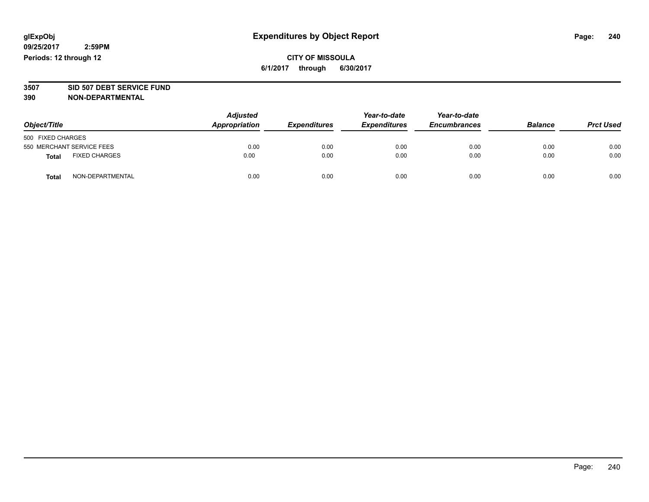## **CITY OF MISSOULA 6/1/2017 through 6/30/2017**

# **3507 SID 507 DEBT SERVICE FUND**

| Object/Title                         | <b>Adjusted</b><br>Appropriation | <b>Expenditures</b> | Year-to-date<br><b>Expenditures</b> | Year-to-date<br><b>Encumbrances</b> | <b>Balance</b> | <b>Prct Used</b> |
|--------------------------------------|----------------------------------|---------------------|-------------------------------------|-------------------------------------|----------------|------------------|
| 500 FIXED CHARGES                    |                                  |                     |                                     |                                     |                |                  |
| 550 MERCHANT SERVICE FEES            | 0.00                             | 0.00                | 0.00                                | 0.00                                | 0.00           | 0.00             |
| <b>FIXED CHARGES</b><br><b>Total</b> | 0.00                             | 0.00                | 0.00                                | 0.00                                | 0.00           | 0.00             |
| NON-DEPARTMENTAL<br>Total            | 0.00                             | 0.00                | 0.00                                | 0.00                                | 0.00           | 0.00             |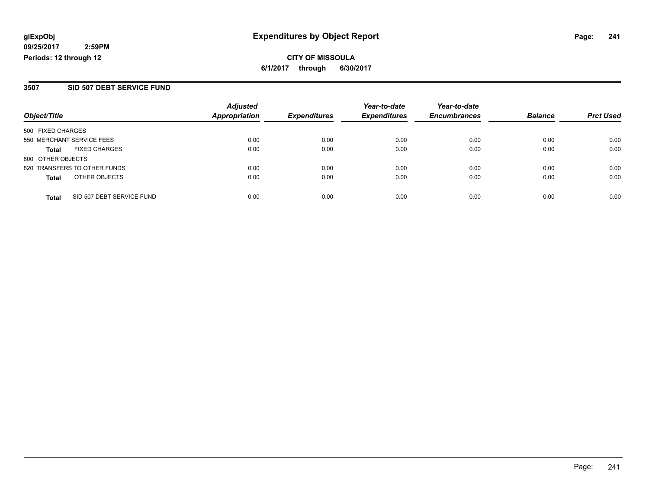**CITY OF MISSOULA 6/1/2017 through 6/30/2017**

### **3507 SID 507 DEBT SERVICE FUND**

|                           |                              | <b>Adjusted</b>      |                     | Year-to-date        | Year-to-date        |                |                  |
|---------------------------|------------------------------|----------------------|---------------------|---------------------|---------------------|----------------|------------------|
| Object/Title              |                              | <b>Appropriation</b> | <b>Expenditures</b> | <b>Expenditures</b> | <b>Encumbrances</b> | <b>Balance</b> | <b>Prct Used</b> |
| 500 FIXED CHARGES         |                              |                      |                     |                     |                     |                |                  |
| 550 MERCHANT SERVICE FEES |                              | 0.00                 | 0.00                | 0.00                | 0.00                | 0.00           | 0.00             |
| <b>Total</b>              | <b>FIXED CHARGES</b>         | 0.00                 | 0.00                | 0.00                | 0.00                | 0.00           | 0.00             |
| 800 OTHER OBJECTS         |                              |                      |                     |                     |                     |                |                  |
|                           | 820 TRANSFERS TO OTHER FUNDS | 0.00                 | 0.00                | 0.00                | 0.00                | 0.00           | 0.00             |
| <b>Total</b>              | OTHER OBJECTS                | 0.00                 | 0.00                | 0.00                | 0.00                | 0.00           | 0.00             |
| <b>Total</b>              | SID 507 DEBT SERVICE FUND    | 0.00                 | 0.00                | 0.00                | 0.00                | 0.00           | 0.00             |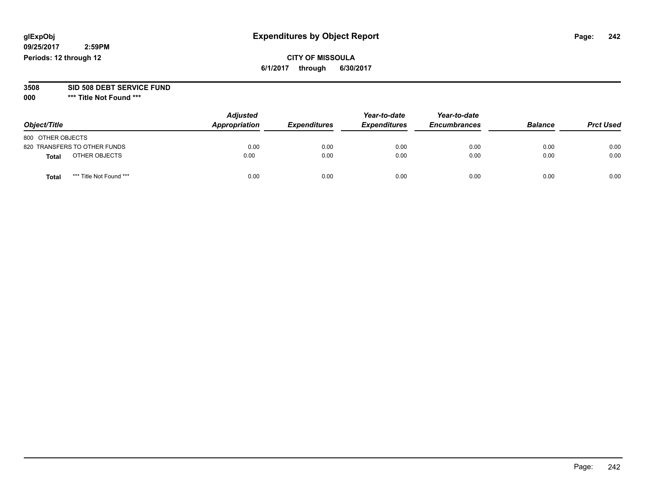## **CITY OF MISSOULA 6/1/2017 through 6/30/2017**

#### **3508 SID 508 DEBT SERVICE FUND**

| Object/Title                     | <b>Adjusted</b><br>Appropriation | <b>Expenditures</b> | Year-to-date<br><b>Expenditures</b> | Year-to-date<br><b>Encumbrances</b> | <b>Balance</b> | <b>Prct Used</b> |
|----------------------------------|----------------------------------|---------------------|-------------------------------------|-------------------------------------|----------------|------------------|
| 800 OTHER OBJECTS                |                                  |                     |                                     |                                     |                |                  |
| 820 TRANSFERS TO OTHER FUNDS     | 0.00                             | 0.00                | 0.00                                | 0.00                                | 0.00           | 0.00             |
| OTHER OBJECTS<br><b>Total</b>    | 0.00                             | 0.00                | 0.00                                | 0.00                                | 0.00           | 0.00             |
| *** Title Not Found ***<br>Total | 0.00                             | 0.00                | 0.00                                | 0.00                                | 0.00           | 0.00             |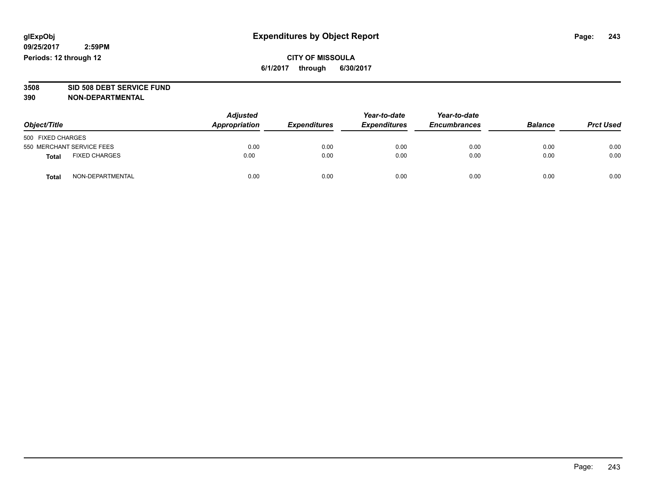# **3508 SID 508 DEBT SERVICE FUND**

| Object/Title                         |                  | <b>Adjusted</b><br>Appropriation | <b>Expenditures</b> | Year-to-date<br><b>Expenditures</b> | Year-to-date<br><b>Encumbrances</b> | <b>Balance</b> | <b>Prct Used</b> |
|--------------------------------------|------------------|----------------------------------|---------------------|-------------------------------------|-------------------------------------|----------------|------------------|
| 500 FIXED CHARGES                    |                  |                                  |                     |                                     |                                     |                |                  |
| 550 MERCHANT SERVICE FEES            |                  | 0.00                             | 0.00                | 0.00                                | 0.00                                | 0.00           | 0.00             |
| <b>FIXED CHARGES</b><br><b>Total</b> |                  | 0.00                             | 0.00                | 0.00                                | 0.00                                | 0.00           | 0.00             |
| <b>Total</b>                         | NON-DEPARTMENTAL | 0.00                             | 0.00                | 0.00                                | 0.00                                | 0.00           | 0.00             |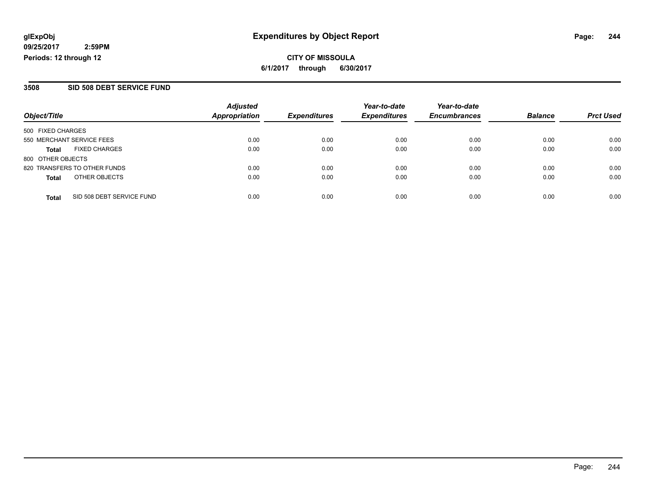**CITY OF MISSOULA 6/1/2017 through 6/30/2017**

### **3508 SID 508 DEBT SERVICE FUND**

|                                           | <b>Adjusted</b>      |                     | Year-to-date        | Year-to-date        |                |                  |
|-------------------------------------------|----------------------|---------------------|---------------------|---------------------|----------------|------------------|
| Object/Title                              | <b>Appropriation</b> | <b>Expenditures</b> | <b>Expenditures</b> | <b>Encumbrances</b> | <b>Balance</b> | <b>Prct Used</b> |
| 500 FIXED CHARGES                         |                      |                     |                     |                     |                |                  |
| 550 MERCHANT SERVICE FEES                 | 0.00                 | 0.00                | 0.00                | 0.00                | 0.00           | 0.00             |
| <b>FIXED CHARGES</b><br><b>Total</b>      | 0.00                 | 0.00                | 0.00                | 0.00                | 0.00           | 0.00             |
| 800 OTHER OBJECTS                         |                      |                     |                     |                     |                |                  |
| 820 TRANSFERS TO OTHER FUNDS              | 0.00                 | 0.00                | 0.00                | 0.00                | 0.00           | 0.00             |
| OTHER OBJECTS<br><b>Total</b>             | 0.00                 | 0.00                | 0.00                | 0.00                | 0.00           | 0.00             |
| SID 508 DEBT SERVICE FUND<br><b>Total</b> | 0.00                 | 0.00                | 0.00                | 0.00                | 0.00           | 0.00             |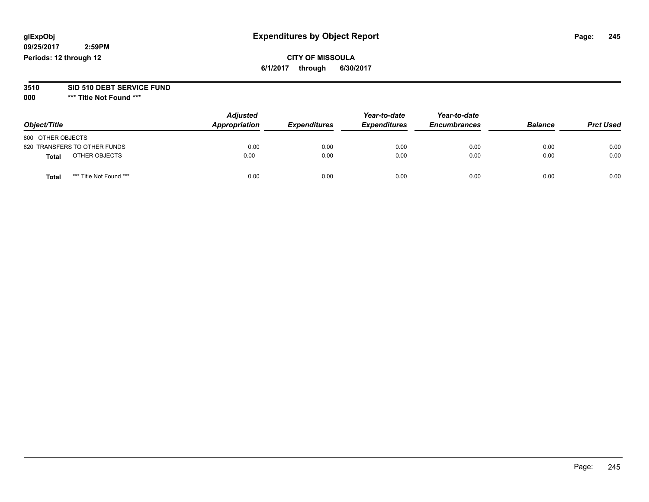## **CITY OF MISSOULA 6/1/2017 through 6/30/2017**

# **3510 SID 510 DEBT SERVICE FUND**

| Object/Title                     | <b>Adjusted</b><br>Appropriation | <b>Expenditures</b> | Year-to-date<br><b>Expenditures</b> | Year-to-date<br><b>Encumbrances</b> | <b>Balance</b> | <b>Prct Used</b> |
|----------------------------------|----------------------------------|---------------------|-------------------------------------|-------------------------------------|----------------|------------------|
| 800 OTHER OBJECTS                |                                  |                     |                                     |                                     |                |                  |
| 820 TRANSFERS TO OTHER FUNDS     | 0.00                             | 0.00                | 0.00                                | 0.00                                | 0.00           | 0.00             |
| OTHER OBJECTS<br><b>Total</b>    | 0.00                             | 0.00                | 0.00                                | 0.00                                | 0.00           | 0.00             |
| *** Title Not Found ***<br>Total | 0.00                             | 0.00                | 0.00                                | 0.00                                | 0.00           | 0.00             |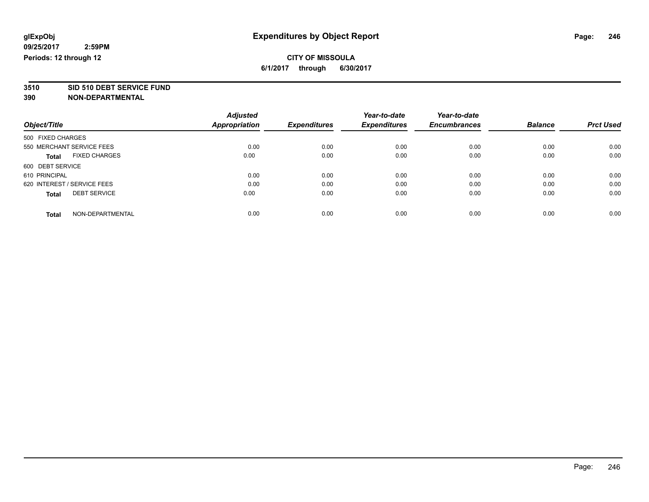# **3510 SID 510 DEBT SERVICE FUND**

|                                      | <b>Adjusted</b> |                     | Year-to-date        | Year-to-date        |                |                  |
|--------------------------------------|-----------------|---------------------|---------------------|---------------------|----------------|------------------|
| Object/Title                         | Appropriation   | <b>Expenditures</b> | <b>Expenditures</b> | <b>Encumbrances</b> | <b>Balance</b> | <b>Prct Used</b> |
| 500 FIXED CHARGES                    |                 |                     |                     |                     |                |                  |
| 550 MERCHANT SERVICE FEES            | 0.00            | 0.00                | 0.00                | 0.00                | 0.00           | 0.00             |
| <b>FIXED CHARGES</b><br><b>Total</b> | 0.00            | 0.00                | 0.00                | 0.00                | 0.00           | 0.00             |
| 600 DEBT SERVICE                     |                 |                     |                     |                     |                |                  |
| 610 PRINCIPAL                        | 0.00            | 0.00                | 0.00                | 0.00                | 0.00           | 0.00             |
| 620 INTEREST / SERVICE FEES          | 0.00            | 0.00                | 0.00                | 0.00                | 0.00           | 0.00             |
| <b>DEBT SERVICE</b><br><b>Total</b>  | 0.00            | 0.00                | 0.00                | 0.00                | 0.00           | 0.00             |
| NON-DEPARTMENTAL<br><b>Total</b>     | 0.00            | 0.00                | 0.00                | 0.00                | 0.00           | 0.00             |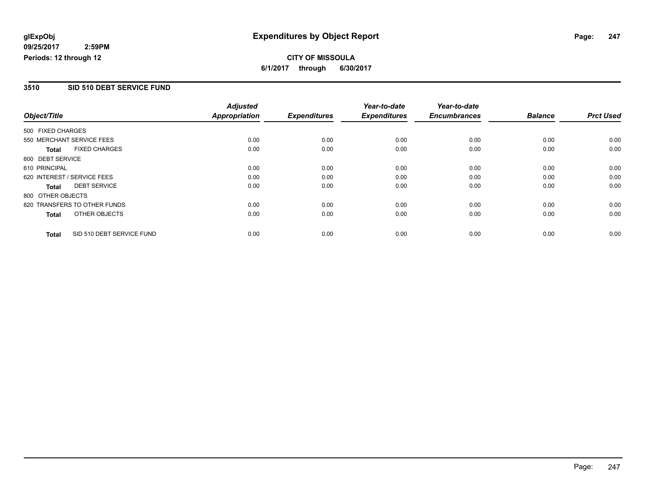## **CITY OF MISSOULA 6/1/2017 through 6/30/2017**

### **3510 SID 510 DEBT SERVICE FUND**

|                   |                              | <b>Adjusted</b>      |                     | Year-to-date        | Year-to-date        |                |                  |
|-------------------|------------------------------|----------------------|---------------------|---------------------|---------------------|----------------|------------------|
| Object/Title      |                              | <b>Appropriation</b> | <b>Expenditures</b> | <b>Expenditures</b> | <b>Encumbrances</b> | <b>Balance</b> | <b>Prct Used</b> |
| 500 FIXED CHARGES |                              |                      |                     |                     |                     |                |                  |
|                   | 550 MERCHANT SERVICE FEES    | 0.00                 | 0.00                | 0.00                | 0.00                | 0.00           | 0.00             |
| <b>Total</b>      | <b>FIXED CHARGES</b>         | 0.00                 | 0.00                | 0.00                | 0.00                | 0.00           | 0.00             |
| 600 DEBT SERVICE  |                              |                      |                     |                     |                     |                |                  |
| 610 PRINCIPAL     |                              | 0.00                 | 0.00                | 0.00                | 0.00                | 0.00           | 0.00             |
|                   | 620 INTEREST / SERVICE FEES  | 0.00                 | 0.00                | 0.00                | 0.00                | 0.00           | 0.00             |
| Total             | <b>DEBT SERVICE</b>          | 0.00                 | 0.00                | 0.00                | 0.00                | 0.00           | 0.00             |
| 800 OTHER OBJECTS |                              |                      |                     |                     |                     |                |                  |
|                   | 820 TRANSFERS TO OTHER FUNDS | 0.00                 | 0.00                | 0.00                | 0.00                | 0.00           | 0.00             |
| <b>Total</b>      | OTHER OBJECTS                | 0.00                 | 0.00                | 0.00                | 0.00                | 0.00           | 0.00             |
| <b>Total</b>      | SID 510 DEBT SERVICE FUND    | 0.00                 | 0.00                | 0.00                | 0.00                | 0.00           | 0.00             |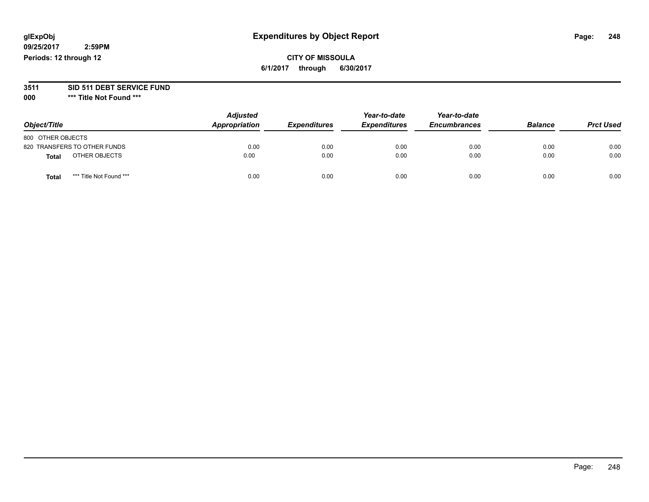## **glExpObj Expenditures by Object Report Page: 248**

**09/25/2017 2:59PM Periods: 12 through 12**

## **CITY OF MISSOULA 6/1/2017 through 6/30/2017**

# **3511 SID 511 DEBT SERVICE FUND**

| Object/Title                            | <b>Adjusted</b><br>Appropriation | <b>Expenditures</b> | Year-to-date<br><b>Expenditures</b> | Year-to-date<br><b>Encumbrances</b> | <b>Balance</b> | <b>Prct Used</b> |
|-----------------------------------------|----------------------------------|---------------------|-------------------------------------|-------------------------------------|----------------|------------------|
| 800 OTHER OBJECTS                       |                                  |                     |                                     |                                     |                |                  |
| 820 TRANSFERS TO OTHER FUNDS            | 0.00                             | 0.00                | 0.00                                | 0.00                                | 0.00           | 0.00             |
| OTHER OBJECTS<br><b>Total</b>           | 0.00                             | 0.00                | 0.00                                | 0.00                                | 0.00           | 0.00             |
| *** Title Not Found ***<br><b>Total</b> | 0.00                             | 0.00                | 0.00                                | 0.00                                | 0.00           | 0.00             |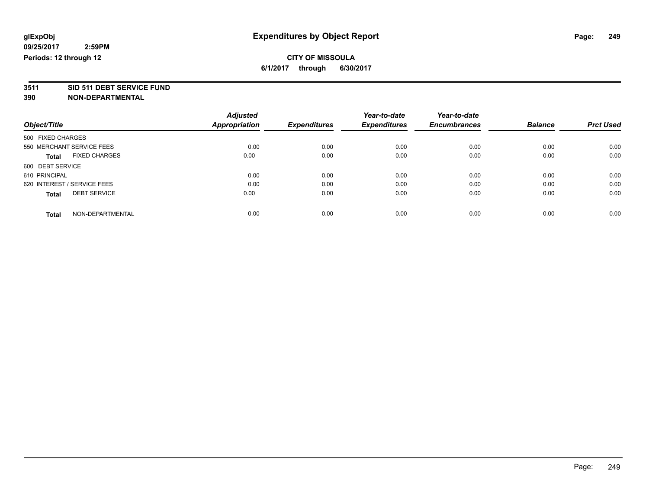# **3511 SID 511 DEBT SERVICE FUND**

|                                      | <b>Adjusted</b> | <b>Expenditures</b> | Year-to-date<br><b>Expenditures</b> | Year-to-date<br><b>Encumbrances</b> | <b>Balance</b> | <b>Prct Used</b> |
|--------------------------------------|-----------------|---------------------|-------------------------------------|-------------------------------------|----------------|------------------|
| Object/Title                         | Appropriation   |                     |                                     |                                     |                |                  |
| 500 FIXED CHARGES                    |                 |                     |                                     |                                     |                |                  |
| 550 MERCHANT SERVICE FEES            | 0.00            | 0.00                | 0.00                                | 0.00                                | 0.00           | 0.00             |
| <b>FIXED CHARGES</b><br><b>Total</b> | 0.00            | 0.00                | 0.00                                | 0.00                                | 0.00           | 0.00             |
| 600 DEBT SERVICE                     |                 |                     |                                     |                                     |                |                  |
| 610 PRINCIPAL                        | 0.00            | 0.00                | 0.00                                | 0.00                                | 0.00           | 0.00             |
| 620 INTEREST / SERVICE FEES          | 0.00            | 0.00                | 0.00                                | 0.00                                | 0.00           | 0.00             |
| <b>DEBT SERVICE</b><br><b>Total</b>  | 0.00            | 0.00                | 0.00                                | 0.00                                | 0.00           | 0.00             |
| NON-DEPARTMENTAL<br><b>Total</b>     | 0.00            | 0.00                | 0.00                                | 0.00                                | 0.00           | 0.00             |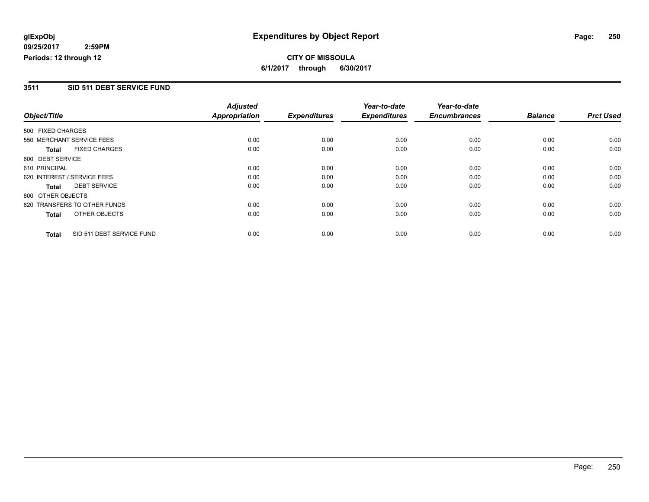**CITY OF MISSOULA 6/1/2017 through 6/30/2017**

### **3511 SID 511 DEBT SERVICE FUND**

|                   |                              | <b>Adjusted</b>      |                     | Year-to-date        | Year-to-date        |                |                  |
|-------------------|------------------------------|----------------------|---------------------|---------------------|---------------------|----------------|------------------|
| Object/Title      |                              | <b>Appropriation</b> | <b>Expenditures</b> | <b>Expenditures</b> | <b>Encumbrances</b> | <b>Balance</b> | <b>Prct Used</b> |
| 500 FIXED CHARGES |                              |                      |                     |                     |                     |                |                  |
|                   | 550 MERCHANT SERVICE FEES    | 0.00                 | 0.00                | 0.00                | 0.00                | 0.00           | 0.00             |
| <b>Total</b>      | <b>FIXED CHARGES</b>         | 0.00                 | 0.00                | 0.00                | 0.00                | 0.00           | 0.00             |
| 600 DEBT SERVICE  |                              |                      |                     |                     |                     |                |                  |
| 610 PRINCIPAL     |                              | 0.00                 | 0.00                | 0.00                | 0.00                | 0.00           | 0.00             |
|                   | 620 INTEREST / SERVICE FEES  | 0.00                 | 0.00                | 0.00                | 0.00                | 0.00           | 0.00             |
| Total             | <b>DEBT SERVICE</b>          | 0.00                 | 0.00                | 0.00                | 0.00                | 0.00           | 0.00             |
| 800 OTHER OBJECTS |                              |                      |                     |                     |                     |                |                  |
|                   | 820 TRANSFERS TO OTHER FUNDS | 0.00                 | 0.00                | 0.00                | 0.00                | 0.00           | 0.00             |
| <b>Total</b>      | OTHER OBJECTS                | 0.00                 | 0.00                | 0.00                | 0.00                | 0.00           | 0.00             |
| <b>Total</b>      | SID 511 DEBT SERVICE FUND    | 0.00                 | 0.00                | 0.00                | 0.00                | 0.00           | 0.00             |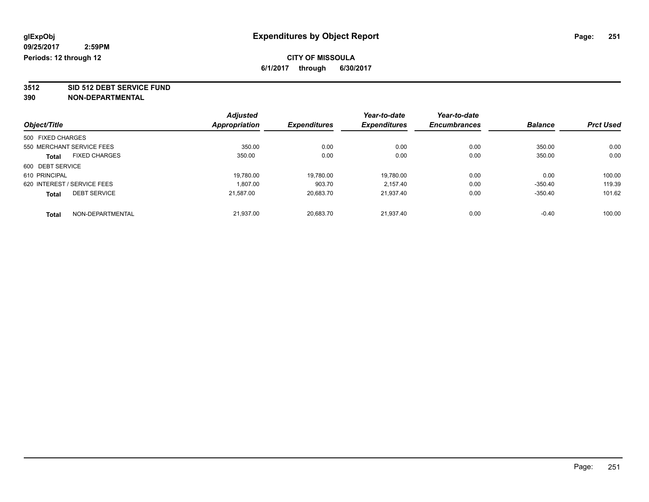**3512 SID 512 DEBT SERVICE FUND**

| Object/Title      |                             | <b>Adjusted</b><br>Appropriation | <b>Expenditures</b> | Year-to-date<br><b>Expenditures</b> | Year-to-date        | <b>Balance</b> | <b>Prct Used</b> |
|-------------------|-----------------------------|----------------------------------|---------------------|-------------------------------------|---------------------|----------------|------------------|
|                   |                             |                                  |                     |                                     | <b>Encumbrances</b> |                |                  |
| 500 FIXED CHARGES |                             |                                  |                     |                                     |                     |                |                  |
|                   | 550 MERCHANT SERVICE FEES   | 350.00                           | 0.00                | 0.00                                | 0.00                | 350.00         | 0.00             |
| <b>Total</b>      | <b>FIXED CHARGES</b>        | 350.00                           | 0.00                | 0.00                                | 0.00                | 350.00         | 0.00             |
| 600 DEBT SERVICE  |                             |                                  |                     |                                     |                     |                |                  |
| 610 PRINCIPAL     |                             | 19,780.00                        | 19,780.00           | 19.780.00                           | 0.00                | 0.00           | 100.00           |
|                   | 620 INTEREST / SERVICE FEES | 1.807.00                         | 903.70              | 2.157.40                            | 0.00                | $-350.40$      | 119.39           |
| <b>Total</b>      | <b>DEBT SERVICE</b>         | 21,587.00                        | 20,683.70           | 21.937.40                           | 0.00                | $-350.40$      | 101.62           |
| <b>Total</b>      | NON-DEPARTMENTAL            | 21.937.00                        | 20.683.70           | 21.937.40                           | 0.00                | $-0.40$        | 100.00           |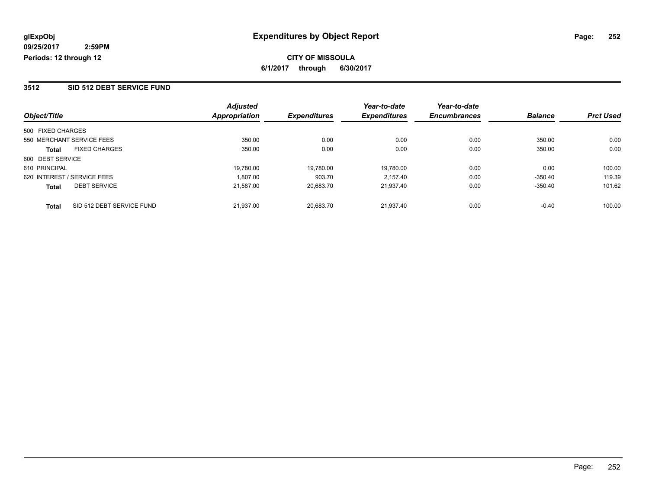#### **3512 SID 512 DEBT SERVICE FUND**

|                                           | <b>Adjusted</b> |                     | Year-to-date        | Year-to-date        |                |                  |
|-------------------------------------------|-----------------|---------------------|---------------------|---------------------|----------------|------------------|
| Object/Title                              | Appropriation   | <b>Expenditures</b> | <b>Expenditures</b> | <b>Encumbrances</b> | <b>Balance</b> | <b>Prct Used</b> |
| 500 FIXED CHARGES                         |                 |                     |                     |                     |                |                  |
| 550 MERCHANT SERVICE FEES                 | 350.00          | 0.00                | 0.00                | 0.00                | 350.00         | 0.00             |
| <b>FIXED CHARGES</b><br>Total             | 350.00          | 0.00                | 0.00                | 0.00                | 350.00         | 0.00             |
| 600 DEBT SERVICE                          |                 |                     |                     |                     |                |                  |
| 610 PRINCIPAL                             | 19.780.00       | 19,780.00           | 19.780.00           | 0.00                | 0.00           | 100.00           |
| 620 INTEREST / SERVICE FEES               | 1.807.00        | 903.70              | 2.157.40            | 0.00                | $-350.40$      | 119.39           |
| <b>DEBT SERVICE</b><br><b>Total</b>       | 21.587.00       | 20,683.70           | 21.937.40           | 0.00                | $-350.40$      | 101.62           |
| SID 512 DEBT SERVICE FUND<br><b>Total</b> | 21.937.00       | 20.683.70           | 21.937.40           | 0.00                | $-0.40$        | 100.00           |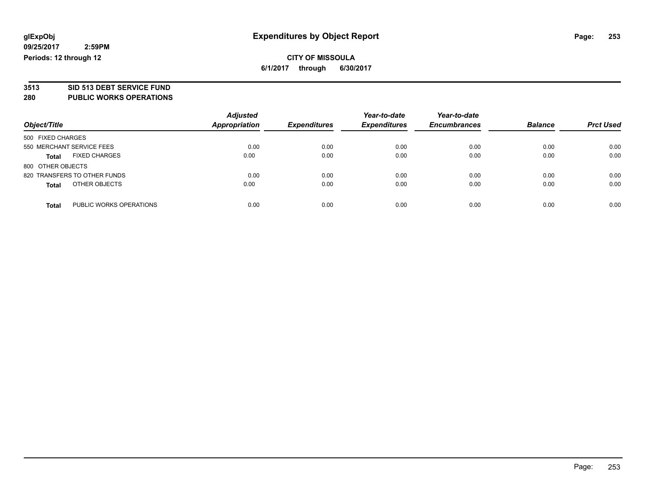# **3513 SID 513 DEBT SERVICE FUND**

#### **280 PUBLIC WORKS OPERATIONS**

| Object/Title                            | <b>Adjusted</b><br><b>Appropriation</b> | <b>Expenditures</b> | Year-to-date<br><b>Expenditures</b> | Year-to-date<br><b>Encumbrances</b> | <b>Balance</b> | <b>Prct Used</b> |
|-----------------------------------------|-----------------------------------------|---------------------|-------------------------------------|-------------------------------------|----------------|------------------|
| 500 FIXED CHARGES                       |                                         |                     |                                     |                                     |                |                  |
| 550 MERCHANT SERVICE FEES               | 0.00                                    | 0.00                | 0.00                                | 0.00                                | 0.00           | 0.00             |
| <b>FIXED CHARGES</b><br><b>Total</b>    | 0.00                                    | 0.00                | 0.00                                | 0.00                                | 0.00           | 0.00             |
| 800 OTHER OBJECTS                       |                                         |                     |                                     |                                     |                |                  |
| 820 TRANSFERS TO OTHER FUNDS            | 0.00                                    | 0.00                | 0.00                                | 0.00                                | 0.00           | 0.00             |
| OTHER OBJECTS<br><b>Total</b>           | 0.00                                    | 0.00                | 0.00                                | 0.00                                | 0.00           | 0.00             |
| PUBLIC WORKS OPERATIONS<br><b>Total</b> | 0.00                                    | 0.00                | 0.00                                | 0.00                                | 0.00           | 0.00             |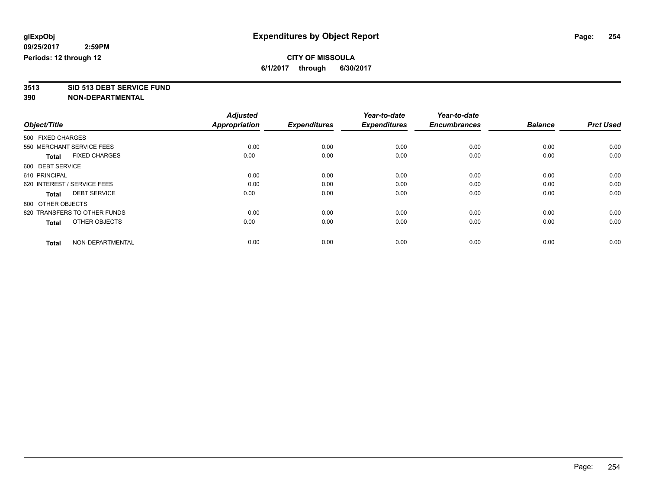**3513 SID 513 DEBT SERVICE FUND**

|                                      | <b>Adjusted</b><br>Appropriation |                     | Year-to-date        | Year-to-date        | <b>Balance</b> | <b>Prct Used</b> |
|--------------------------------------|----------------------------------|---------------------|---------------------|---------------------|----------------|------------------|
| Object/Title                         |                                  | <b>Expenditures</b> | <b>Expenditures</b> | <b>Encumbrances</b> |                |                  |
| 500 FIXED CHARGES                    |                                  |                     |                     |                     |                |                  |
| 550 MERCHANT SERVICE FEES            | 0.00                             | 0.00                | 0.00                | 0.00                | 0.00           | 0.00             |
| <b>FIXED CHARGES</b><br><b>Total</b> | 0.00                             | 0.00                | 0.00                | 0.00                | 0.00           | 0.00             |
| 600 DEBT SERVICE                     |                                  |                     |                     |                     |                |                  |
| 610 PRINCIPAL                        | 0.00                             | 0.00                | 0.00                | 0.00                | 0.00           | 0.00             |
| 620 INTEREST / SERVICE FEES          | 0.00                             | 0.00                | 0.00                | 0.00                | 0.00           | 0.00             |
| <b>DEBT SERVICE</b><br><b>Total</b>  | 0.00                             | 0.00                | 0.00                | 0.00                | 0.00           | 0.00             |
| 800 OTHER OBJECTS                    |                                  |                     |                     |                     |                |                  |
| 820 TRANSFERS TO OTHER FUNDS         | 0.00                             | 0.00                | 0.00                | 0.00                | 0.00           | 0.00             |
| OTHER OBJECTS<br><b>Total</b>        | 0.00                             | 0.00                | 0.00                | 0.00                | 0.00           | 0.00             |
|                                      |                                  |                     |                     |                     |                |                  |
| NON-DEPARTMENTAL<br><b>Total</b>     | 0.00                             | 0.00                | 0.00                | 0.00                | 0.00           | 0.00             |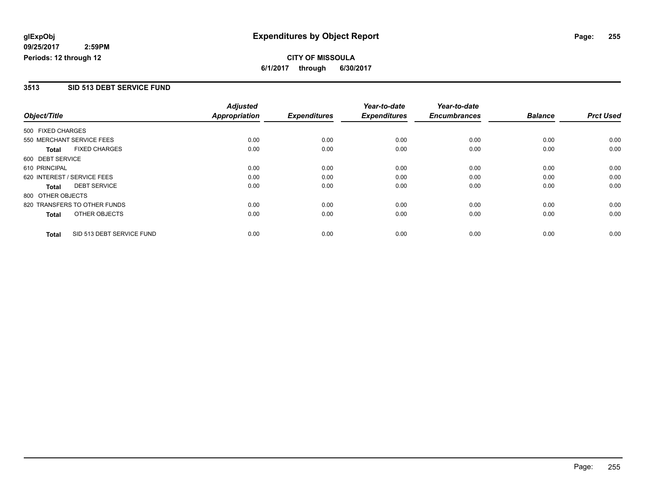**CITY OF MISSOULA 6/1/2017 through 6/30/2017**

#### **3513 SID 513 DEBT SERVICE FUND**

|                   |                              | <b>Adjusted</b>     |                     | Year-to-date        | Year-to-date   |                  |      |
|-------------------|------------------------------|---------------------|---------------------|---------------------|----------------|------------------|------|
| Object/Title      | <b>Appropriation</b>         | <b>Expenditures</b> | <b>Expenditures</b> | <b>Encumbrances</b> | <b>Balance</b> | <b>Prct Used</b> |      |
| 500 FIXED CHARGES |                              |                     |                     |                     |                |                  |      |
|                   | 550 MERCHANT SERVICE FEES    | 0.00                | 0.00                | 0.00                | 0.00           | 0.00             | 0.00 |
| <b>Total</b>      | <b>FIXED CHARGES</b>         | 0.00                | 0.00                | 0.00                | 0.00           | 0.00             | 0.00 |
| 600 DEBT SERVICE  |                              |                     |                     |                     |                |                  |      |
| 610 PRINCIPAL     |                              | 0.00                | 0.00                | 0.00                | 0.00           | 0.00             | 0.00 |
|                   | 620 INTEREST / SERVICE FEES  | 0.00                | 0.00                | 0.00                | 0.00           | 0.00             | 0.00 |
| Total             | <b>DEBT SERVICE</b>          | 0.00                | 0.00                | 0.00                | 0.00           | 0.00             | 0.00 |
| 800 OTHER OBJECTS |                              |                     |                     |                     |                |                  |      |
|                   | 820 TRANSFERS TO OTHER FUNDS | 0.00                | 0.00                | 0.00                | 0.00           | 0.00             | 0.00 |
| <b>Total</b>      | OTHER OBJECTS                | 0.00                | 0.00                | 0.00                | 0.00           | 0.00             | 0.00 |
| <b>Total</b>      | SID 513 DEBT SERVICE FUND    | 0.00                | 0.00                | 0.00                | 0.00           | 0.00             | 0.00 |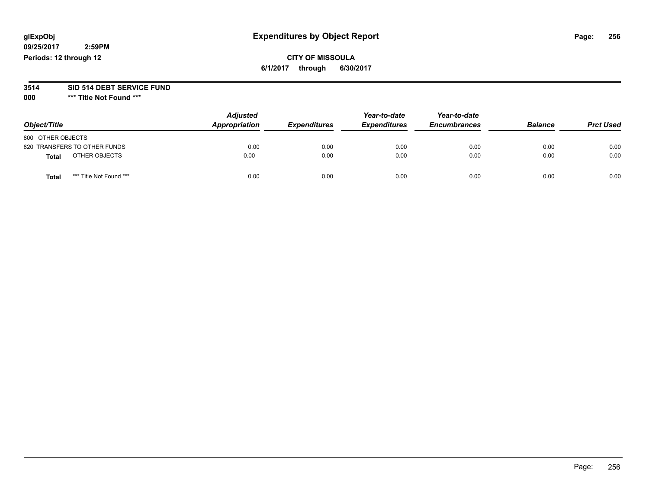## **CITY OF MISSOULA 6/1/2017 through 6/30/2017**

#### **3514 SID 514 DEBT SERVICE FUND**

**000 \*\*\* Title Not Found \*\*\***

| Object/Title                     | <b>Adjusted</b><br>Appropriation | <b>Expenditures</b> | Year-to-date<br><b>Expenditures</b> | Year-to-date<br><b>Encumbrances</b> | <b>Balance</b> | <b>Prct Used</b> |
|----------------------------------|----------------------------------|---------------------|-------------------------------------|-------------------------------------|----------------|------------------|
| 800 OTHER OBJECTS                |                                  |                     |                                     |                                     |                |                  |
| 820 TRANSFERS TO OTHER FUNDS     | 0.00                             | 0.00                | 0.00                                | 0.00                                | 0.00           | 0.00             |
| OTHER OBJECTS<br>Total           | 0.00                             | 0.00                | 0.00                                | 0.00                                | 0.00           | 0.00             |
| *** Title Not Found ***<br>Total | 0.00                             | 0.00                | 0.00                                | 0.00                                | 0.00           | 0.00             |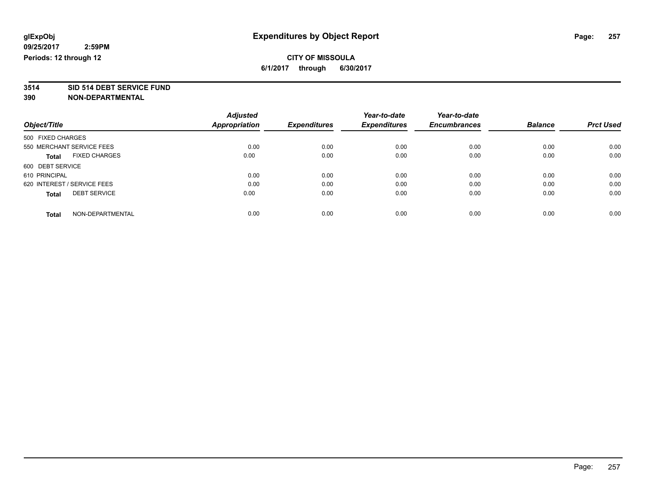# **3514 SID 514 DEBT SERVICE FUND**

|                                      | <b>Adjusted</b>      |                     | Year-to-date        | Year-to-date        |                |                  |
|--------------------------------------|----------------------|---------------------|---------------------|---------------------|----------------|------------------|
| Object/Title                         | <b>Appropriation</b> | <b>Expenditures</b> | <b>Expenditures</b> | <b>Encumbrances</b> | <b>Balance</b> | <b>Prct Used</b> |
| 500 FIXED CHARGES                    |                      |                     |                     |                     |                |                  |
| 550 MERCHANT SERVICE FEES            | 0.00                 | 0.00                | 0.00                | 0.00                | 0.00           | 0.00             |
| <b>FIXED CHARGES</b><br><b>Total</b> | 0.00                 | 0.00                | 0.00                | 0.00                | 0.00           | 0.00             |
| 600 DEBT SERVICE                     |                      |                     |                     |                     |                |                  |
| 610 PRINCIPAL                        | 0.00                 | 0.00                | 0.00                | 0.00                | 0.00           | 0.00             |
| 620 INTEREST / SERVICE FEES          | 0.00                 | 0.00                | 0.00                | 0.00                | 0.00           | 0.00             |
| <b>DEBT SERVICE</b><br><b>Total</b>  | 0.00                 | 0.00                | 0.00                | 0.00                | 0.00           | 0.00             |
| NON-DEPARTMENTAL<br><b>Total</b>     | 0.00                 | 0.00                | 0.00                | 0.00                | 0.00           | 0.00             |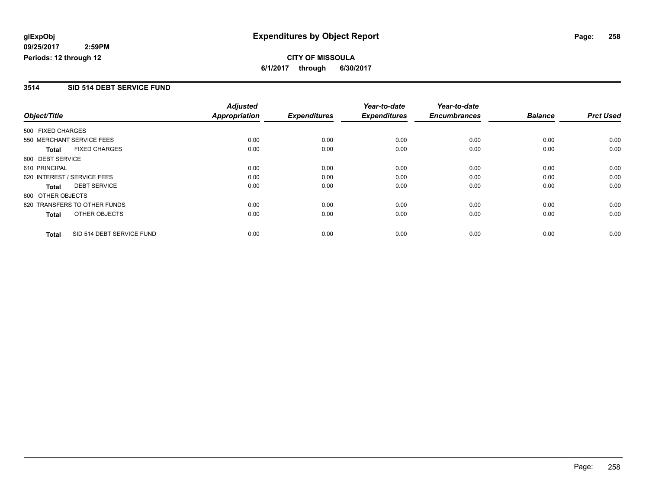# **CITY OF MISSOULA 6/1/2017 through 6/30/2017**

#### **3514 SID 514 DEBT SERVICE FUND**

|                   |                              | <b>Adjusted</b>      |                     | Year-to-date        | Year-to-date        |                |                  |
|-------------------|------------------------------|----------------------|---------------------|---------------------|---------------------|----------------|------------------|
| Object/Title      |                              | <b>Appropriation</b> | <b>Expenditures</b> | <b>Expenditures</b> | <b>Encumbrances</b> | <b>Balance</b> | <b>Prct Used</b> |
| 500 FIXED CHARGES |                              |                      |                     |                     |                     |                |                  |
|                   | 550 MERCHANT SERVICE FEES    | 0.00                 | 0.00                | 0.00                | 0.00                | 0.00           | 0.00             |
| Total             | <b>FIXED CHARGES</b>         | 0.00                 | 0.00                | 0.00                | 0.00                | 0.00           | 0.00             |
| 600 DEBT SERVICE  |                              |                      |                     |                     |                     |                |                  |
| 610 PRINCIPAL     |                              | 0.00                 | 0.00                | 0.00                | 0.00                | 0.00           | 0.00             |
|                   | 620 INTEREST / SERVICE FEES  | 0.00                 | 0.00                | 0.00                | 0.00                | 0.00           | 0.00             |
| <b>Total</b>      | <b>DEBT SERVICE</b>          | 0.00                 | 0.00                | 0.00                | 0.00                | 0.00           | 0.00             |
| 800 OTHER OBJECTS |                              |                      |                     |                     |                     |                |                  |
|                   | 820 TRANSFERS TO OTHER FUNDS | 0.00                 | 0.00                | 0.00                | 0.00                | 0.00           | 0.00             |
| <b>Total</b>      | OTHER OBJECTS                | 0.00                 | 0.00                | 0.00                | 0.00                | 0.00           | 0.00             |
| <b>Total</b>      | SID 514 DEBT SERVICE FUND    | 0.00                 | 0.00                | 0.00                | 0.00                | 0.00           | 0.00             |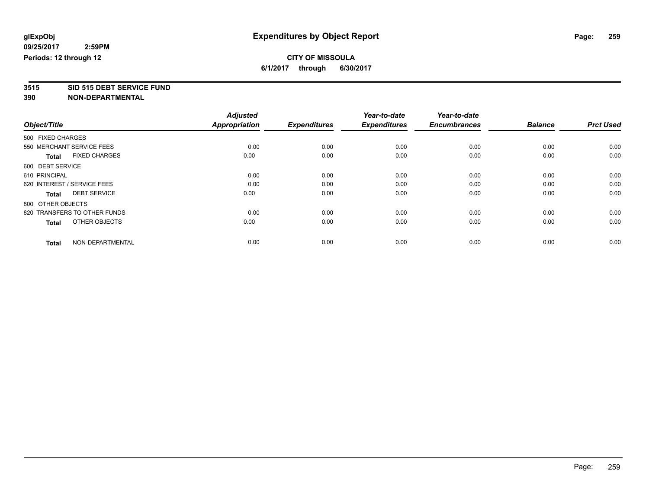**3515 SID 515 DEBT SERVICE FUND**

|                                      | <b>Adjusted</b>      |                     | Year-to-date        | Year-to-date        |                |                  |
|--------------------------------------|----------------------|---------------------|---------------------|---------------------|----------------|------------------|
| Object/Title                         | <b>Appropriation</b> | <b>Expenditures</b> | <b>Expenditures</b> | <b>Encumbrances</b> | <b>Balance</b> | <b>Prct Used</b> |
| 500 FIXED CHARGES                    |                      |                     |                     |                     |                |                  |
| 550 MERCHANT SERVICE FEES            | 0.00                 | 0.00                | 0.00                | 0.00                | 0.00           | 0.00             |
| <b>FIXED CHARGES</b><br><b>Total</b> | 0.00                 | 0.00                | 0.00                | 0.00                | 0.00           | 0.00             |
| 600 DEBT SERVICE                     |                      |                     |                     |                     |                |                  |
| 610 PRINCIPAL                        | 0.00                 | 0.00                | 0.00                | 0.00                | 0.00           | 0.00             |
| 620 INTEREST / SERVICE FEES          | 0.00                 | 0.00                | 0.00                | 0.00                | 0.00           | 0.00             |
| <b>DEBT SERVICE</b><br><b>Total</b>  | 0.00                 | 0.00                | 0.00                | 0.00                | 0.00           | 0.00             |
| 800 OTHER OBJECTS                    |                      |                     |                     |                     |                |                  |
| 820 TRANSFERS TO OTHER FUNDS         | 0.00                 | 0.00                | 0.00                | 0.00                | 0.00           | 0.00             |
| OTHER OBJECTS<br><b>Total</b>        | 0.00                 | 0.00                | 0.00                | 0.00                | 0.00           | 0.00             |
|                                      |                      |                     |                     |                     |                |                  |
| NON-DEPARTMENTAL<br><b>Total</b>     | 0.00                 | 0.00                | 0.00                | 0.00                | 0.00           | 0.00             |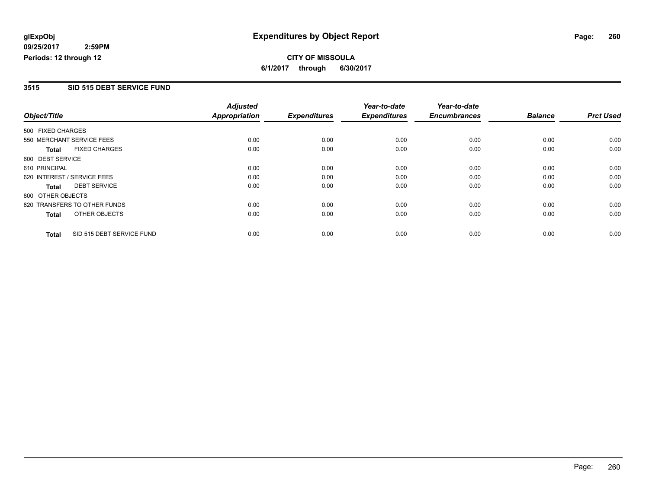**CITY OF MISSOULA 6/1/2017 through 6/30/2017**

#### **3515 SID 515 DEBT SERVICE FUND**

|                   |                              | <b>Adjusted</b>     |                     | Year-to-date        | Year-to-date   |                  |      |
|-------------------|------------------------------|---------------------|---------------------|---------------------|----------------|------------------|------|
| Object/Title      | <b>Appropriation</b>         | <b>Expenditures</b> | <b>Expenditures</b> | <b>Encumbrances</b> | <b>Balance</b> | <b>Prct Used</b> |      |
| 500 FIXED CHARGES |                              |                     |                     |                     |                |                  |      |
|                   | 550 MERCHANT SERVICE FEES    | 0.00                | 0.00                | 0.00                | 0.00           | 0.00             | 0.00 |
| <b>Total</b>      | <b>FIXED CHARGES</b>         | 0.00                | 0.00                | 0.00                | 0.00           | 0.00             | 0.00 |
| 600 DEBT SERVICE  |                              |                     |                     |                     |                |                  |      |
| 610 PRINCIPAL     |                              | 0.00                | 0.00                | 0.00                | 0.00           | 0.00             | 0.00 |
|                   | 620 INTEREST / SERVICE FEES  | 0.00                | 0.00                | 0.00                | 0.00           | 0.00             | 0.00 |
| Total             | <b>DEBT SERVICE</b>          | 0.00                | 0.00                | 0.00                | 0.00           | 0.00             | 0.00 |
| 800 OTHER OBJECTS |                              |                     |                     |                     |                |                  |      |
|                   | 820 TRANSFERS TO OTHER FUNDS | 0.00                | 0.00                | 0.00                | 0.00           | 0.00             | 0.00 |
| <b>Total</b>      | OTHER OBJECTS                | 0.00                | 0.00                | 0.00                | 0.00           | 0.00             | 0.00 |
| <b>Total</b>      | SID 515 DEBT SERVICE FUND    | 0.00                | 0.00                | 0.00                | 0.00           | 0.00             | 0.00 |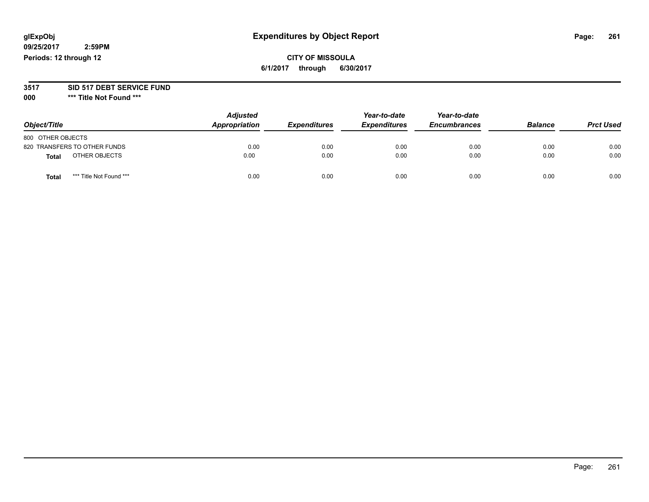# **glExpObj Expenditures by Object Report Page: 261**

**09/25/2017 2:59PM Periods: 12 through 12**

## **CITY OF MISSOULA 6/1/2017 through 6/30/2017**

#### **3517 SID 517 DEBT SERVICE FUND**

**000 \*\*\* Title Not Found \*\*\***

| Object/Title                    | <b>Adjusted</b><br>Appropriation | <b>Expenditures</b> | Year-to-date<br><b>Expenditures</b> | Year-to-date<br><b>Encumbrances</b> | <b>Balance</b> | <b>Prct Used</b> |
|---------------------------------|----------------------------------|---------------------|-------------------------------------|-------------------------------------|----------------|------------------|
| 800 OTHER OBJECTS               |                                  |                     |                                     |                                     |                |                  |
| 820 TRANSFERS TO OTHER FUNDS    | 0.00                             | 0.00                | 0.00                                | 0.00                                | 0.00           | 0.00             |
| OTHER OBJECTS<br>Total          | 0.00                             | 0.00                | 0.00                                | 0.00                                | 0.00           | 0.00             |
| *** Title Not Found ***<br>Tota | 0.00                             | 0.00                | 0.00                                | 0.00                                | 0.00           | 0.00             |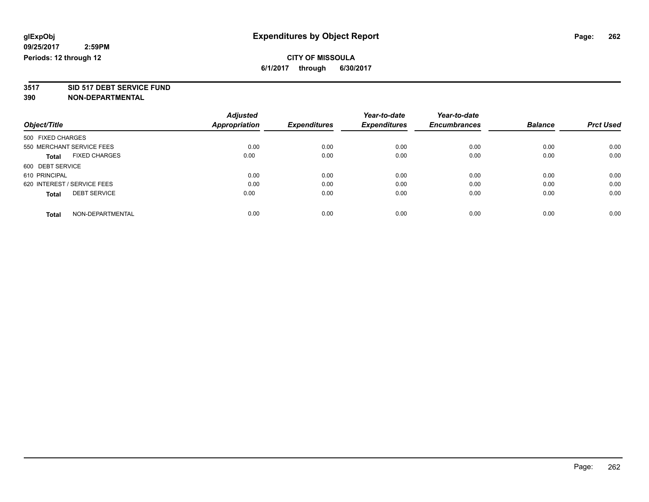# **3517 SID 517 DEBT SERVICE FUND**

|                                      | <b>Adjusted</b><br><b>Appropriation</b> | <b>Expenditures</b> | Year-to-date        | Year-to-date        | <b>Balance</b> | <b>Prct Used</b> |
|--------------------------------------|-----------------------------------------|---------------------|---------------------|---------------------|----------------|------------------|
| Object/Title                         |                                         |                     | <b>Expenditures</b> | <b>Encumbrances</b> |                |                  |
| 500 FIXED CHARGES                    |                                         |                     |                     |                     |                |                  |
| 550 MERCHANT SERVICE FEES            | 0.00                                    | 0.00                | 0.00                | 0.00                | 0.00           | 0.00             |
| <b>FIXED CHARGES</b><br><b>Total</b> | 0.00                                    | 0.00                | 0.00                | 0.00                | 0.00           | 0.00             |
| 600 DEBT SERVICE                     |                                         |                     |                     |                     |                |                  |
| 610 PRINCIPAL                        | 0.00                                    | 0.00                | 0.00                | 0.00                | 0.00           | 0.00             |
| 620 INTEREST / SERVICE FEES          | 0.00                                    | 0.00                | 0.00                | 0.00                | 0.00           | 0.00             |
| <b>DEBT SERVICE</b><br><b>Total</b>  | 0.00                                    | 0.00                | 0.00                | 0.00                | 0.00           | 0.00             |
| NON-DEPARTMENTAL<br>Total            | 0.00                                    | 0.00                | 0.00                | 0.00                | 0.00           | 0.00             |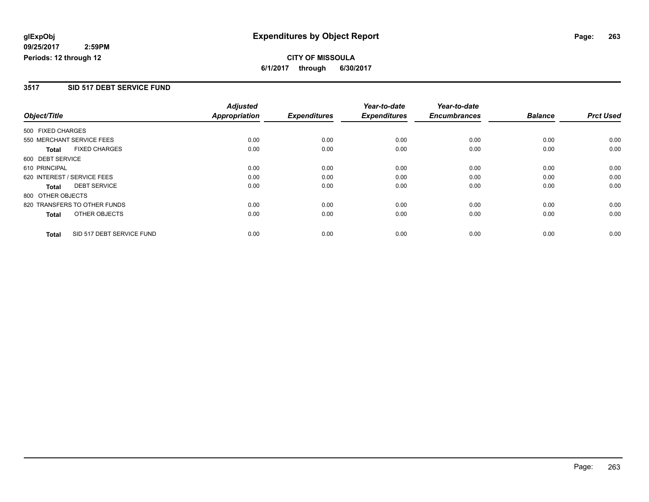# **CITY OF MISSOULA 6/1/2017 through 6/30/2017**

#### **3517 SID 517 DEBT SERVICE FUND**

|                   |                              | <b>Adjusted</b>      |                     | Year-to-date        | Year-to-date        |                |                  |
|-------------------|------------------------------|----------------------|---------------------|---------------------|---------------------|----------------|------------------|
| Object/Title      |                              | <b>Appropriation</b> | <b>Expenditures</b> | <b>Expenditures</b> | <b>Encumbrances</b> | <b>Balance</b> | <b>Prct Used</b> |
| 500 FIXED CHARGES |                              |                      |                     |                     |                     |                |                  |
|                   | 550 MERCHANT SERVICE FEES    | 0.00                 | 0.00                | 0.00                | 0.00                | 0.00           | 0.00             |
| <b>Total</b>      | <b>FIXED CHARGES</b>         | 0.00                 | 0.00                | 0.00                | 0.00                | 0.00           | 0.00             |
| 600 DEBT SERVICE  |                              |                      |                     |                     |                     |                |                  |
| 610 PRINCIPAL     |                              | 0.00                 | 0.00                | 0.00                | 0.00                | 0.00           | 0.00             |
|                   | 620 INTEREST / SERVICE FEES  | 0.00                 | 0.00                | 0.00                | 0.00                | 0.00           | 0.00             |
| Total             | <b>DEBT SERVICE</b>          | 0.00                 | 0.00                | 0.00                | 0.00                | 0.00           | 0.00             |
| 800 OTHER OBJECTS |                              |                      |                     |                     |                     |                |                  |
|                   | 820 TRANSFERS TO OTHER FUNDS | 0.00                 | 0.00                | 0.00                | 0.00                | 0.00           | 0.00             |
| <b>Total</b>      | OTHER OBJECTS                | 0.00                 | 0.00                | 0.00                | 0.00                | 0.00           | 0.00             |
| <b>Total</b>      | SID 517 DEBT SERVICE FUND    | 0.00                 | 0.00                | 0.00                | 0.00                | 0.00           | 0.00             |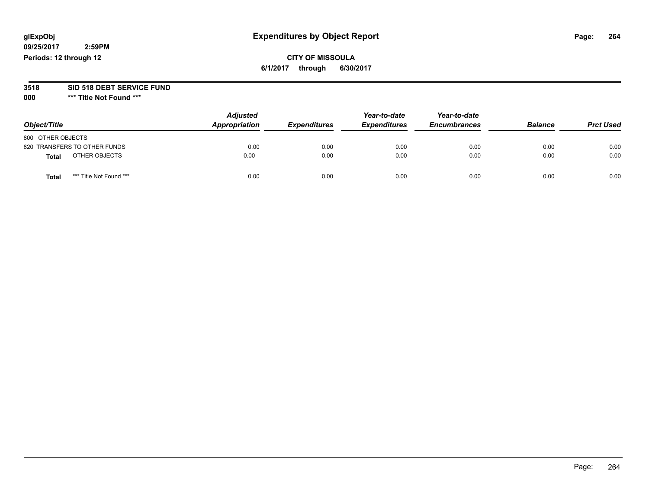## **CITY OF MISSOULA 6/1/2017 through 6/30/2017**

# **3518 SID 518 DEBT SERVICE FUND**

**000 \*\*\* Title Not Found \*\*\***

| Object/Title                            | <b>Adjusted</b><br>Appropriation | <b>Expenditures</b> | Year-to-date<br><b>Expenditures</b> | Year-to-date<br><b>Encumbrances</b> | <b>Balance</b> | <b>Prct Used</b> |
|-----------------------------------------|----------------------------------|---------------------|-------------------------------------|-------------------------------------|----------------|------------------|
| 800 OTHER OBJECTS                       |                                  |                     |                                     |                                     |                |                  |
| 820 TRANSFERS TO OTHER FUNDS            | 0.00                             | 0.00                | 0.00                                | 0.00                                | 0.00           | 0.00             |
| OTHER OBJECTS<br><b>Total</b>           | 0.00                             | 0.00                | 0.00                                | 0.00                                | 0.00           | 0.00             |
| *** Title Not Found ***<br><b>Total</b> | 0.00                             | 0.00                | 0.00                                | 0.00                                | 0.00           | 0.00             |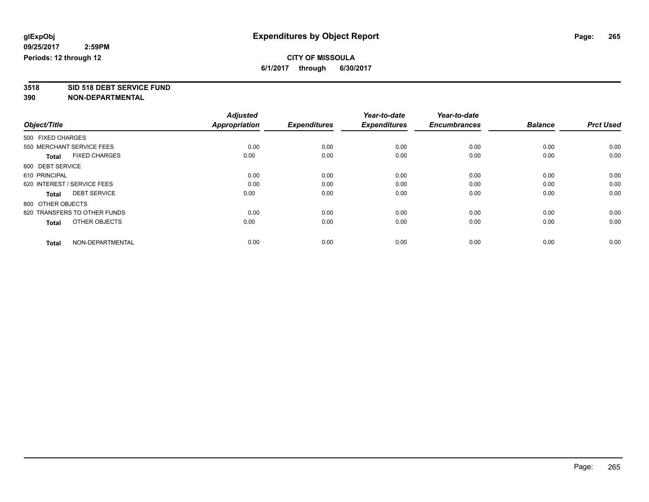**3518 SID 518 DEBT SERVICE FUND**

|                                      | <b>Adjusted</b>      |                     | Year-to-date        | Year-to-date        |                |                  |
|--------------------------------------|----------------------|---------------------|---------------------|---------------------|----------------|------------------|
| Object/Title                         | <b>Appropriation</b> | <b>Expenditures</b> | <b>Expenditures</b> | <b>Encumbrances</b> | <b>Balance</b> | <b>Prct Used</b> |
| 500 FIXED CHARGES                    |                      |                     |                     |                     |                |                  |
| 550 MERCHANT SERVICE FEES            | 0.00                 | 0.00                | 0.00                | 0.00                | 0.00           | 0.00             |
| <b>FIXED CHARGES</b><br><b>Total</b> | 0.00                 | 0.00                | 0.00                | 0.00                | 0.00           | 0.00             |
| 600 DEBT SERVICE                     |                      |                     |                     |                     |                |                  |
| 610 PRINCIPAL                        | 0.00                 | 0.00                | 0.00                | 0.00                | 0.00           | 0.00             |
| 620 INTEREST / SERVICE FEES          | 0.00                 | 0.00                | 0.00                | 0.00                | 0.00           | 0.00             |
| <b>DEBT SERVICE</b><br><b>Total</b>  | 0.00                 | 0.00                | 0.00                | 0.00                | 0.00           | 0.00             |
| 800 OTHER OBJECTS                    |                      |                     |                     |                     |                |                  |
| 820 TRANSFERS TO OTHER FUNDS         | 0.00                 | 0.00                | 0.00                | 0.00                | 0.00           | 0.00             |
| OTHER OBJECTS<br><b>Total</b>        | 0.00                 | 0.00                | 0.00                | 0.00                | 0.00           | 0.00             |
|                                      |                      |                     |                     |                     |                |                  |
| NON-DEPARTMENTAL<br><b>Total</b>     | 0.00                 | 0.00                | 0.00                | 0.00                | 0.00           | 0.00             |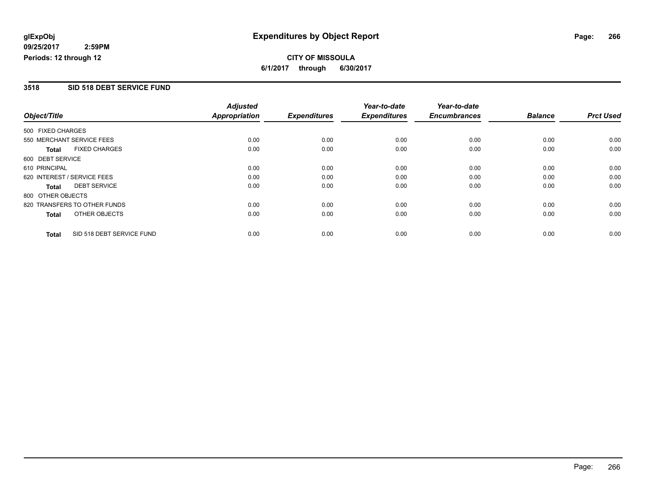# **CITY OF MISSOULA 6/1/2017 through 6/30/2017**

#### **3518 SID 518 DEBT SERVICE FUND**

|                   |                              | <b>Adjusted</b>      |                     | Year-to-date        | Year-to-date        |                |                  |
|-------------------|------------------------------|----------------------|---------------------|---------------------|---------------------|----------------|------------------|
| Object/Title      |                              | <b>Appropriation</b> | <b>Expenditures</b> | <b>Expenditures</b> | <b>Encumbrances</b> | <b>Balance</b> | <b>Prct Used</b> |
| 500 FIXED CHARGES |                              |                      |                     |                     |                     |                |                  |
|                   | 550 MERCHANT SERVICE FEES    | 0.00                 | 0.00                | 0.00                | 0.00                | 0.00           | 0.00             |
| <b>Total</b>      | <b>FIXED CHARGES</b>         | 0.00                 | 0.00                | 0.00                | 0.00                | 0.00           | 0.00             |
| 600 DEBT SERVICE  |                              |                      |                     |                     |                     |                |                  |
| 610 PRINCIPAL     |                              | 0.00                 | 0.00                | 0.00                | 0.00                | 0.00           | 0.00             |
|                   | 620 INTEREST / SERVICE FEES  | 0.00                 | 0.00                | 0.00                | 0.00                | 0.00           | 0.00             |
| Total             | <b>DEBT SERVICE</b>          | 0.00                 | 0.00                | 0.00                | 0.00                | 0.00           | 0.00             |
| 800 OTHER OBJECTS |                              |                      |                     |                     |                     |                |                  |
|                   | 820 TRANSFERS TO OTHER FUNDS | 0.00                 | 0.00                | 0.00                | 0.00                | 0.00           | 0.00             |
| <b>Total</b>      | OTHER OBJECTS                | 0.00                 | 0.00                | 0.00                | 0.00                | 0.00           | 0.00             |
| <b>Total</b>      | SID 518 DEBT SERVICE FUND    | 0.00                 | 0.00                | 0.00                | 0.00                | 0.00           | 0.00             |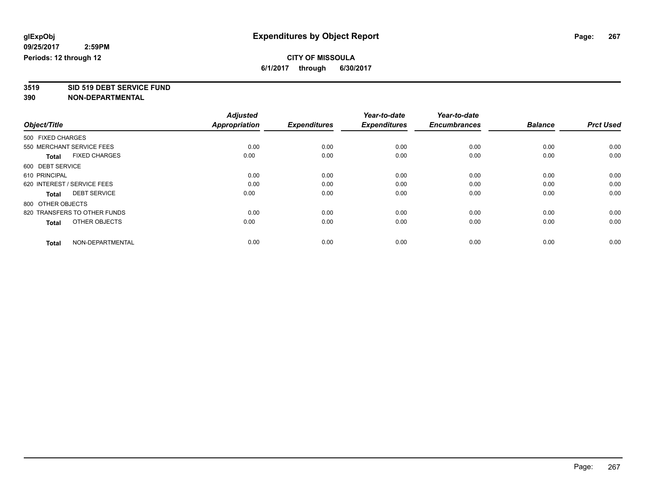**3519 SID 519 DEBT SERVICE FUND**

|                                      | <b>Adjusted</b>      |                     | Year-to-date        | Year-to-date        |                |                  |
|--------------------------------------|----------------------|---------------------|---------------------|---------------------|----------------|------------------|
| Object/Title                         | <b>Appropriation</b> | <b>Expenditures</b> | <b>Expenditures</b> | <b>Encumbrances</b> | <b>Balance</b> | <b>Prct Used</b> |
| 500 FIXED CHARGES                    |                      |                     |                     |                     |                |                  |
| 550 MERCHANT SERVICE FEES            | 0.00                 | 0.00                | 0.00                | 0.00                | 0.00           | 0.00             |
| <b>FIXED CHARGES</b><br><b>Total</b> | 0.00                 | 0.00                | 0.00                | 0.00                | 0.00           | 0.00             |
| 600 DEBT SERVICE                     |                      |                     |                     |                     |                |                  |
| 610 PRINCIPAL                        | 0.00                 | 0.00                | 0.00                | 0.00                | 0.00           | 0.00             |
| 620 INTEREST / SERVICE FEES          | 0.00                 | 0.00                | 0.00                | 0.00                | 0.00           | 0.00             |
| <b>DEBT SERVICE</b><br><b>Total</b>  | 0.00                 | 0.00                | 0.00                | 0.00                | 0.00           | 0.00             |
| 800 OTHER OBJECTS                    |                      |                     |                     |                     |                |                  |
| 820 TRANSFERS TO OTHER FUNDS         | 0.00                 | 0.00                | 0.00                | 0.00                | 0.00           | 0.00             |
| OTHER OBJECTS<br><b>Total</b>        | 0.00                 | 0.00                | 0.00                | 0.00                | 0.00           | 0.00             |
|                                      |                      |                     |                     |                     |                |                  |
| NON-DEPARTMENTAL<br><b>Total</b>     | 0.00                 | 0.00                | 0.00                | 0.00                | 0.00           | 0.00             |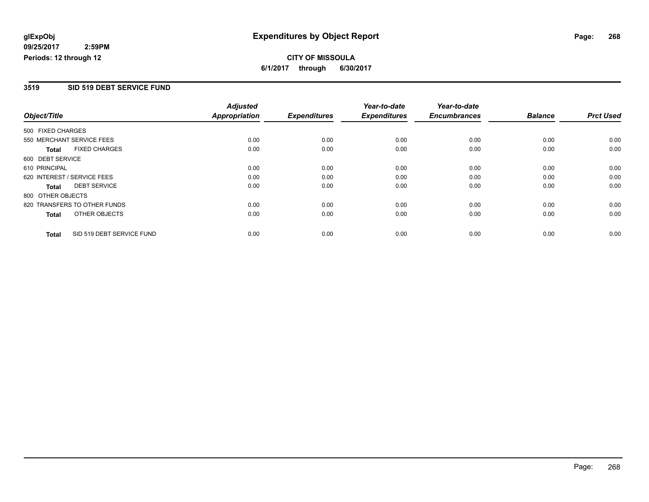# **CITY OF MISSOULA 6/1/2017 through 6/30/2017**

#### **3519 SID 519 DEBT SERVICE FUND**

|                   |                              | <b>Adjusted</b>      |                     | Year-to-date        | Year-to-date        |                |                  |
|-------------------|------------------------------|----------------------|---------------------|---------------------|---------------------|----------------|------------------|
| Object/Title      |                              | <b>Appropriation</b> | <b>Expenditures</b> | <b>Expenditures</b> | <b>Encumbrances</b> | <b>Balance</b> | <b>Prct Used</b> |
| 500 FIXED CHARGES |                              |                      |                     |                     |                     |                |                  |
|                   | 550 MERCHANT SERVICE FEES    | 0.00                 | 0.00                | 0.00                | 0.00                | 0.00           | 0.00             |
| <b>Total</b>      | <b>FIXED CHARGES</b>         | 0.00                 | 0.00                | 0.00                | 0.00                | 0.00           | 0.00             |
| 600 DEBT SERVICE  |                              |                      |                     |                     |                     |                |                  |
| 610 PRINCIPAL     |                              | 0.00                 | 0.00                | 0.00                | 0.00                | 0.00           | 0.00             |
|                   | 620 INTEREST / SERVICE FEES  | 0.00                 | 0.00                | 0.00                | 0.00                | 0.00           | 0.00             |
| Total             | <b>DEBT SERVICE</b>          | 0.00                 | 0.00                | 0.00                | 0.00                | 0.00           | 0.00             |
| 800 OTHER OBJECTS |                              |                      |                     |                     |                     |                |                  |
|                   | 820 TRANSFERS TO OTHER FUNDS | 0.00                 | 0.00                | 0.00                | 0.00                | 0.00           | 0.00             |
| <b>Total</b>      | OTHER OBJECTS                | 0.00                 | 0.00                | 0.00                | 0.00                | 0.00           | 0.00             |
| <b>Total</b>      | SID 519 DEBT SERVICE FUND    | 0.00                 | 0.00                | 0.00                | 0.00                | 0.00           | 0.00             |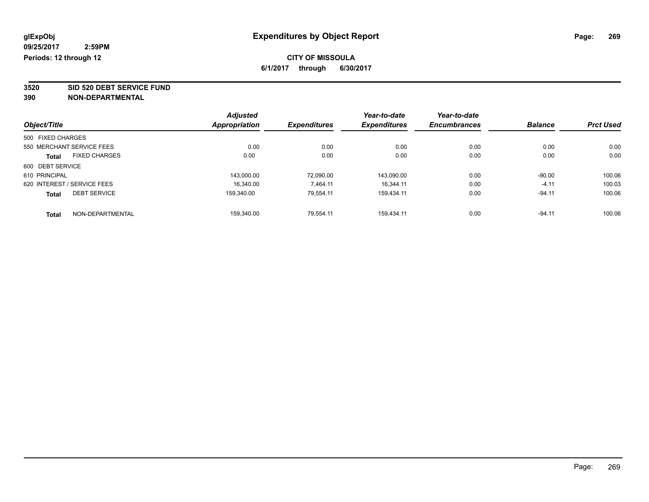**3520 SID 520 DEBT SERVICE FUND**

|                                      | <b>Adjusted</b> |                     | Year-to-date        | Year-to-date        |                |                  |
|--------------------------------------|-----------------|---------------------|---------------------|---------------------|----------------|------------------|
| Object/Title                         | Appropriation   | <b>Expenditures</b> | <b>Expenditures</b> | <b>Encumbrances</b> | <b>Balance</b> | <b>Prct Used</b> |
| 500 FIXED CHARGES                    |                 |                     |                     |                     |                |                  |
| 550 MERCHANT SERVICE FEES            | 0.00            | 0.00                | 0.00                | 0.00                | 0.00           | 0.00             |
| <b>FIXED CHARGES</b><br><b>Total</b> | 0.00            | 0.00                | 0.00                | 0.00                | 0.00           | 0.00             |
| 600 DEBT SERVICE                     |                 |                     |                     |                     |                |                  |
| 610 PRINCIPAL                        | 143,000.00      | 72.090.00           | 143,090.00          | 0.00                | $-90.00$       | 100.06           |
| 620 INTEREST / SERVICE FEES          | 16.340.00       | 7.464.11            | 16.344.11           | 0.00                | $-4.11$        | 100.03           |
| <b>DEBT SERVICE</b><br><b>Total</b>  | 159.340.00      | 79.554.11           | 159.434.11          | 0.00                | $-94.11$       | 100.06           |
| NON-DEPARTMENTAL<br><b>Total</b>     | 159.340.00      | 79.554.11           | 159.434.11          | 0.00                | $-94.11$       | 100.06           |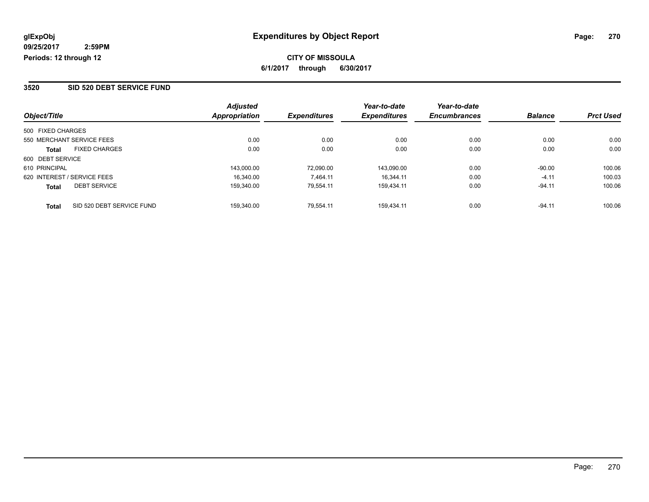#### **3520 SID 520 DEBT SERVICE FUND**

|                                           | <b>Adjusted</b> |                     | Year-to-date        | Year-to-date        |                |                  |
|-------------------------------------------|-----------------|---------------------|---------------------|---------------------|----------------|------------------|
| Object/Title                              | Appropriation   | <b>Expenditures</b> | <b>Expenditures</b> | <b>Encumbrances</b> | <b>Balance</b> | <b>Prct Used</b> |
| 500 FIXED CHARGES                         |                 |                     |                     |                     |                |                  |
| 550 MERCHANT SERVICE FEES                 | 0.00            | 0.00                | 0.00                | 0.00                | 0.00           | 0.00             |
| <b>FIXED CHARGES</b><br><b>Total</b>      | 0.00            | 0.00                | 0.00                | 0.00                | 0.00           | 0.00             |
| 600 DEBT SERVICE                          |                 |                     |                     |                     |                |                  |
| 610 PRINCIPAL                             | 143.000.00      | 72.090.00           | 143.090.00          | 0.00                | $-90.00$       | 100.06           |
| 620 INTEREST / SERVICE FEES               | 16.340.00       | 7.464.11            | 16.344.11           | 0.00                | $-4.11$        | 100.03           |
| <b>DEBT SERVICE</b><br><b>Total</b>       | 159.340.00      | 79.554.11           | 159.434.11          | 0.00                | $-94.11$       | 100.06           |
| SID 520 DEBT SERVICE FUND<br><b>Total</b> | 159.340.00      | 79.554.11           | 159.434.11          | 0.00                | $-94.11$       | 100.06           |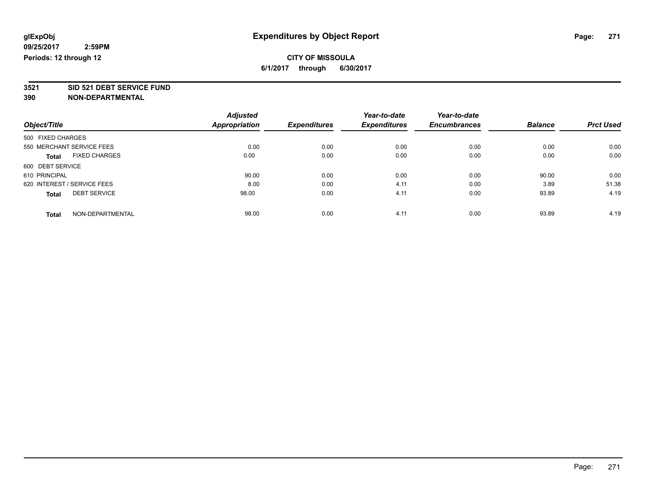**3521 SID 521 DEBT SERVICE FUND**

|                                      | <b>Adjusted</b> |                     | Year-to-date        | Year-to-date        |                |                  |
|--------------------------------------|-----------------|---------------------|---------------------|---------------------|----------------|------------------|
| Object/Title                         | Appropriation   | <b>Expenditures</b> | <b>Expenditures</b> | <b>Encumbrances</b> | <b>Balance</b> | <b>Prct Used</b> |
| 500 FIXED CHARGES                    |                 |                     |                     |                     |                |                  |
| 550 MERCHANT SERVICE FEES            | 0.00            | 0.00                | 0.00                | 0.00                | 0.00           | 0.00             |
| <b>FIXED CHARGES</b><br><b>Total</b> | 0.00            | 0.00                | 0.00                | 0.00                | 0.00           | 0.00             |
| 600 DEBT SERVICE                     |                 |                     |                     |                     |                |                  |
| 610 PRINCIPAL                        | 90.00           | 0.00                | 0.00                | 0.00                | 90.00          | 0.00             |
| 620 INTEREST / SERVICE FEES          | 8.00            | 0.00                | 4.11                | 0.00                | 3.89           | 51.38            |
| <b>DEBT SERVICE</b><br><b>Total</b>  | 98.00           | 0.00                | 4.11                | 0.00                | 93.89          | 4.19             |
| NON-DEPARTMENTAL<br><b>Total</b>     | 98.00           | 0.00                | 4.11                | 0.00                | 93.89          | 4.19             |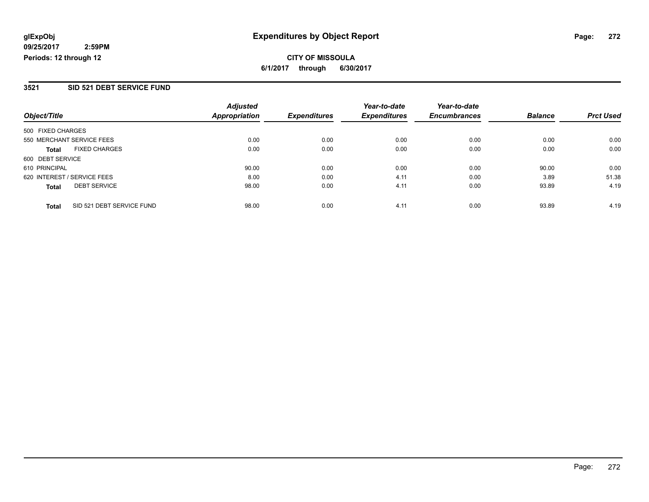# **CITY OF MISSOULA 6/1/2017 through 6/30/2017**

#### **3521 SID 521 DEBT SERVICE FUND**

|                                           | <b>Adjusted</b>      |                     | Year-to-date        | Year-to-date        |                |                  |
|-------------------------------------------|----------------------|---------------------|---------------------|---------------------|----------------|------------------|
| Object/Title                              | <b>Appropriation</b> | <b>Expenditures</b> | <b>Expenditures</b> | <b>Encumbrances</b> | <b>Balance</b> | <b>Prct Used</b> |
| 500 FIXED CHARGES                         |                      |                     |                     |                     |                |                  |
| 550 MERCHANT SERVICE FEES                 | 0.00                 | 0.00                | 0.00                | 0.00                | 0.00           | 0.00             |
| <b>FIXED CHARGES</b><br>Total             | 0.00                 | 0.00                | 0.00                | 0.00                | 0.00           | 0.00             |
| 600 DEBT SERVICE                          |                      |                     |                     |                     |                |                  |
| 610 PRINCIPAL                             | 90.00                | 0.00                | 0.00                | 0.00                | 90.00          | 0.00             |
| 620 INTEREST / SERVICE FEES               | 8.00                 | 0.00                | 4.11                | 0.00                | 3.89           | 51.38            |
| <b>DEBT SERVICE</b><br><b>Total</b>       | 98.00                | 0.00                | 4.11                | 0.00                | 93.89          | 4.19             |
| SID 521 DEBT SERVICE FUND<br><b>Total</b> | 98.00                | 0.00                | 4.11                | 0.00                | 93.89          | 4.19             |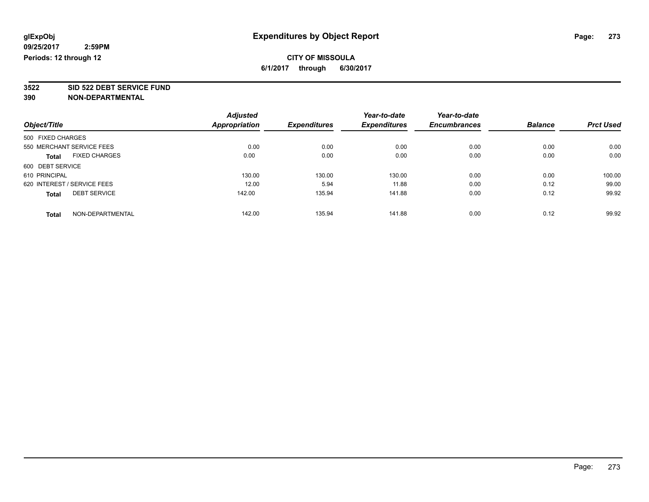# **3522 SID 522 DEBT SERVICE FUND**

|                                      | <b>Adjusted</b> |                     | Year-to-date        | Year-to-date        |                |                  |
|--------------------------------------|-----------------|---------------------|---------------------|---------------------|----------------|------------------|
| Object/Title                         | Appropriation   | <b>Expenditures</b> | <b>Expenditures</b> | <b>Encumbrances</b> | <b>Balance</b> | <b>Prct Used</b> |
| 500 FIXED CHARGES                    |                 |                     |                     |                     |                |                  |
| 550 MERCHANT SERVICE FEES            | 0.00            | 0.00                | 0.00                | 0.00                | 0.00           | 0.00             |
| <b>FIXED CHARGES</b><br><b>Total</b> | 0.00            | 0.00                | 0.00                | 0.00                | 0.00           | 0.00             |
| 600 DEBT SERVICE                     |                 |                     |                     |                     |                |                  |
| 610 PRINCIPAL                        | 130.00          | 130.00              | 130.00              | 0.00                | 0.00           | 100.00           |
| 620 INTEREST / SERVICE FEES          | 12.00           | 5.94                | 11.88               | 0.00                | 0.12           | 99.00            |
| <b>DEBT SERVICE</b><br><b>Total</b>  | 142.00          | 135.94              | 141.88              | 0.00                | 0.12           | 99.92            |
| NON-DEPARTMENTAL<br><b>Total</b>     | 142.00          | 135.94              | 141.88              | 0.00                | 0.12           | 99.92            |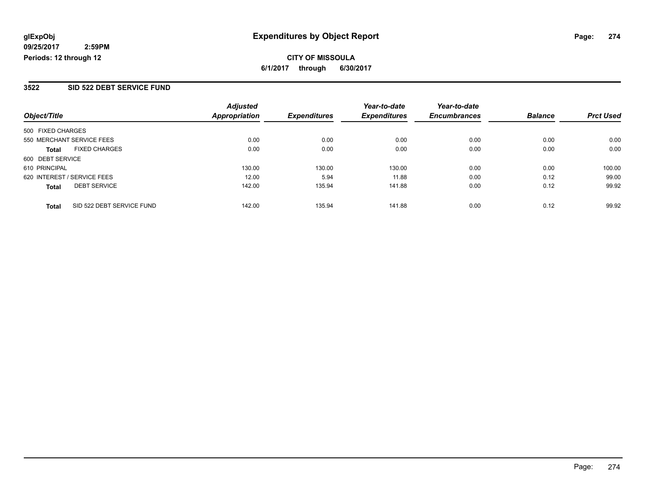**CITY OF MISSOULA 6/1/2017 through 6/30/2017**

#### **3522 SID 522 DEBT SERVICE FUND**

|                                           | <b>Adjusted</b> |                     | Year-to-date        | Year-to-date        |                |                  |
|-------------------------------------------|-----------------|---------------------|---------------------|---------------------|----------------|------------------|
| Object/Title                              | Appropriation   | <b>Expenditures</b> | <b>Expenditures</b> | <b>Encumbrances</b> | <b>Balance</b> | <b>Prct Used</b> |
| 500 FIXED CHARGES                         |                 |                     |                     |                     |                |                  |
| 550 MERCHANT SERVICE FEES                 | 0.00            | 0.00                | 0.00                | 0.00                | 0.00           | 0.00             |
| <b>FIXED CHARGES</b><br><b>Total</b>      | 0.00            | 0.00                | 0.00                | 0.00                | 0.00           | 0.00             |
| 600 DEBT SERVICE                          |                 |                     |                     |                     |                |                  |
| 610 PRINCIPAL                             | 130.00          | 130.00              | 130.00              | 0.00                | 0.00           | 100.00           |
| 620 INTEREST / SERVICE FEES               | 12.00           | 5.94                | 11.88               | 0.00                | 0.12           | 99.00            |
| <b>DEBT SERVICE</b><br><b>Total</b>       | 142.00          | 135.94              | 141.88              | 0.00                | 0.12           | 99.92            |
| SID 522 DEBT SERVICE FUND<br><b>Total</b> | 142.00          | 135.94              | 141.88              | 0.00                | 0.12           | 99.92            |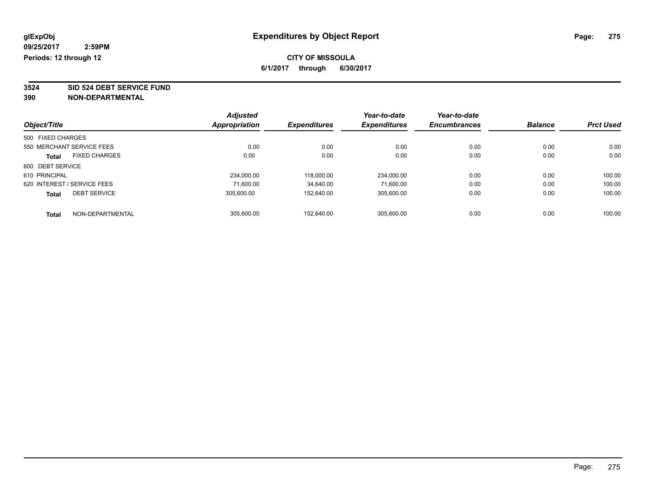**3524 SID 524 DEBT SERVICE FUND**

|                   |                             | <b>Adjusted</b> |                     | Year-to-date        | Year-to-date        |                |                  |
|-------------------|-----------------------------|-----------------|---------------------|---------------------|---------------------|----------------|------------------|
| Object/Title      |                             | Appropriation   | <b>Expenditures</b> | <b>Expenditures</b> | <b>Encumbrances</b> | <b>Balance</b> | <b>Prct Used</b> |
| 500 FIXED CHARGES |                             |                 |                     |                     |                     |                |                  |
|                   | 550 MERCHANT SERVICE FEES   | 0.00            | 0.00                | 0.00                | 0.00                | 0.00           | 0.00             |
| <b>Total</b>      | <b>FIXED CHARGES</b>        | 0.00            | 0.00                | 0.00                | 0.00                | 0.00           | 0.00             |
| 600 DEBT SERVICE  |                             |                 |                     |                     |                     |                |                  |
| 610 PRINCIPAL     |                             | 234,000.00      | 118,000.00          | 234,000.00          | 0.00                | 0.00           | 100.00           |
|                   | 620 INTEREST / SERVICE FEES | 71.600.00       | 34,640.00           | 71.600.00           | 0.00                | 0.00           | 100.00           |
| <b>Total</b>      | <b>DEBT SERVICE</b>         | 305.600.00      | 152.640.00          | 305.600.00          | 0.00                | 0.00           | 100.00           |
| <b>Total</b>      | NON-DEPARTMENTAL            | 305.600.00      | 152.640.00          | 305.600.00          | 0.00                | 0.00           | 100.00           |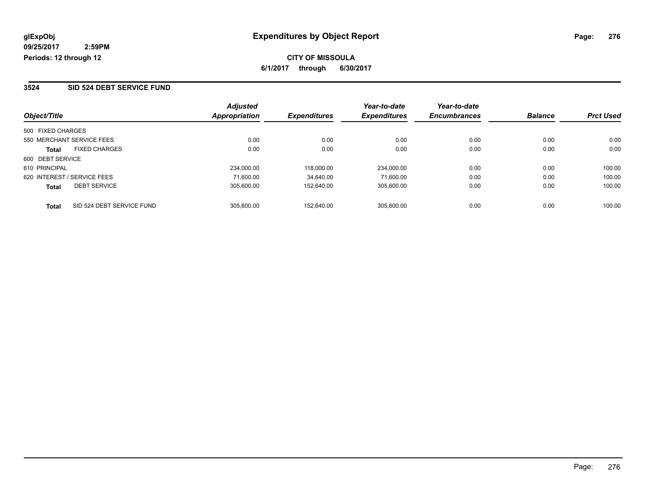#### **3524 SID 524 DEBT SERVICE FUND**

| Object/Title                              | <b>Adjusted</b><br>Appropriation | <b>Expenditures</b> | Year-to-date<br><b>Expenditures</b> | Year-to-date<br><b>Encumbrances</b> | <b>Balance</b> | <b>Prct Used</b> |
|-------------------------------------------|----------------------------------|---------------------|-------------------------------------|-------------------------------------|----------------|------------------|
|                                           |                                  |                     |                                     |                                     |                |                  |
| 500 FIXED CHARGES                         |                                  |                     |                                     |                                     |                |                  |
| 550 MERCHANT SERVICE FEES                 | 0.00                             | 0.00                | 0.00                                | 0.00                                | 0.00           | 0.00             |
| <b>FIXED CHARGES</b><br><b>Total</b>      | 0.00                             | 0.00                | 0.00                                | 0.00                                | 0.00           | 0.00             |
| 600 DEBT SERVICE                          |                                  |                     |                                     |                                     |                |                  |
| 610 PRINCIPAL                             | 234.000.00                       | 118.000.00          | 234.000.00                          | 0.00                                | 0.00           | 100.00           |
| 620 INTEREST / SERVICE FEES               | 71.600.00                        | 34.640.00           | 71.600.00                           | 0.00                                | 0.00           | 100.00           |
| <b>DEBT SERVICE</b><br><b>Total</b>       | 305.600.00                       | 152.640.00          | 305.600.00                          | 0.00                                | 0.00           | 100.00           |
| SID 524 DEBT SERVICE FUND<br><b>Total</b> | 305.600.00                       | 152.640.00          | 305.600.00                          | 0.00                                | 0.00           | 100.00           |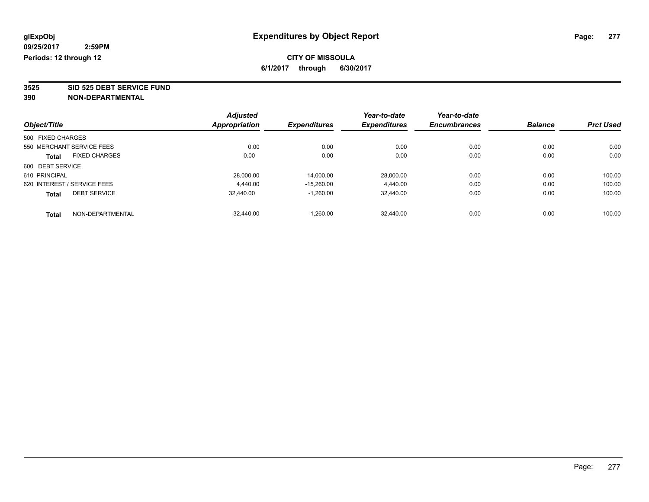**3525 SID 525 DEBT SERVICE FUND**

| Object/Title                |                      | <b>Adjusted</b>      | <b>Expenditures</b> | Year-to-date<br><b>Expenditures</b> | Year-to-date<br><b>Encumbrances</b> | <b>Balance</b> | <b>Prct Used</b> |
|-----------------------------|----------------------|----------------------|---------------------|-------------------------------------|-------------------------------------|----------------|------------------|
|                             |                      | <b>Appropriation</b> |                     |                                     |                                     |                |                  |
| 500 FIXED CHARGES           |                      |                      |                     |                                     |                                     |                |                  |
| 550 MERCHANT SERVICE FEES   |                      | 0.00                 | 0.00                | 0.00                                | 0.00                                | 0.00           | 0.00             |
| <b>Total</b>                | <b>FIXED CHARGES</b> | 0.00                 | 0.00                | 0.00                                | 0.00                                | 0.00           | 0.00             |
| 600 DEBT SERVICE            |                      |                      |                     |                                     |                                     |                |                  |
| 610 PRINCIPAL               |                      | 28,000.00            | 14,000.00           | 28,000.00                           | 0.00                                | 0.00           | 100.00           |
| 620 INTEREST / SERVICE FEES |                      | 4.440.00             | $-15.260.00$        | 4.440.00                            | 0.00                                | 0.00           | 100.00           |
| <b>Total</b>                | <b>DEBT SERVICE</b>  | 32.440.00            | $-1,260.00$         | 32.440.00                           | 0.00                                | 0.00           | 100.00           |
| <b>Total</b>                | NON-DEPARTMENTAL     | 32.440.00            | $-1.260.00$         | 32.440.00                           | 0.00                                | 0.00           | 100.00           |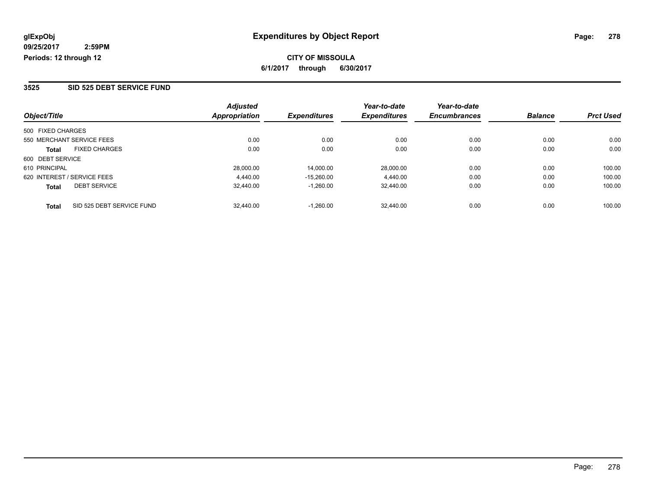#### **3525 SID 525 DEBT SERVICE FUND**

|                                           | <b>Adjusted</b> |                     | Year-to-date        | Year-to-date        |                |                  |
|-------------------------------------------|-----------------|---------------------|---------------------|---------------------|----------------|------------------|
| Object/Title                              | Appropriation   | <b>Expenditures</b> | <b>Expenditures</b> | <b>Encumbrances</b> | <b>Balance</b> | <b>Prct Used</b> |
| 500 FIXED CHARGES                         |                 |                     |                     |                     |                |                  |
| 550 MERCHANT SERVICE FEES                 | 0.00            | 0.00                | 0.00                | 0.00                | 0.00           | 0.00             |
| <b>FIXED CHARGES</b><br><b>Total</b>      | 0.00            | 0.00                | 0.00                | 0.00                | 0.00           | 0.00             |
| 600 DEBT SERVICE                          |                 |                     |                     |                     |                |                  |
| 610 PRINCIPAL                             | 28.000.00       | 14.000.00           | 28.000.00           | 0.00                | 0.00           | 100.00           |
| 620 INTEREST / SERVICE FEES               | 4.440.00        | $-15.260.00$        | 4.440.00            | 0.00                | 0.00           | 100.00           |
| <b>DEBT SERVICE</b><br><b>Total</b>       | 32,440.00       | $-1.260.00$         | 32,440.00           | 0.00                | 0.00           | 100.00           |
| SID 525 DEBT SERVICE FUND<br><b>Total</b> | 32,440.00       | $-1.260.00$         | 32.440.00           | 0.00                | 0.00           | 100.00           |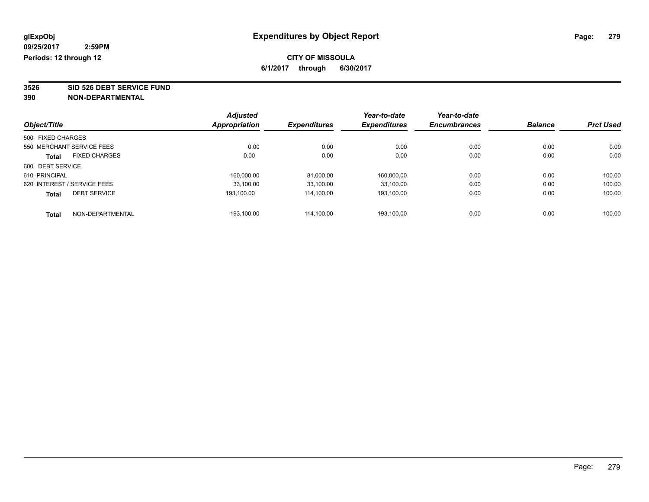**3526 SID 526 DEBT SERVICE FUND**

| Object/Title      |                             | <b>Adjusted</b> |                     | Year-to-date        | Year-to-date<br><b>Encumbrances</b> | <b>Balance</b> | <b>Prct Used</b> |
|-------------------|-----------------------------|-----------------|---------------------|---------------------|-------------------------------------|----------------|------------------|
|                   |                             | Appropriation   | <b>Expenditures</b> | <b>Expenditures</b> |                                     |                |                  |
| 500 FIXED CHARGES |                             |                 |                     |                     |                                     |                |                  |
|                   | 550 MERCHANT SERVICE FEES   | 0.00            | 0.00                | 0.00                | 0.00                                | 0.00           | 0.00             |
| <b>Total</b>      | <b>FIXED CHARGES</b>        | 0.00            | 0.00                | 0.00                | 0.00                                | 0.00           | 0.00             |
| 600 DEBT SERVICE  |                             |                 |                     |                     |                                     |                |                  |
| 610 PRINCIPAL     |                             | 160,000.00      | 81,000.00           | 160,000.00          | 0.00                                | 0.00           | 100.00           |
|                   | 620 INTEREST / SERVICE FEES | 33.100.00       | 33,100.00           | 33.100.00           | 0.00                                | 0.00           | 100.00           |
| <b>Total</b>      | <b>DEBT SERVICE</b>         | 193.100.00      | 114.100.00          | 193,100.00          | 0.00                                | 0.00           | 100.00           |
| <b>Total</b>      | NON-DEPARTMENTAL            | 193.100.00      | 114.100.00          | 193.100.00          | 0.00                                | 0.00           | 100.00           |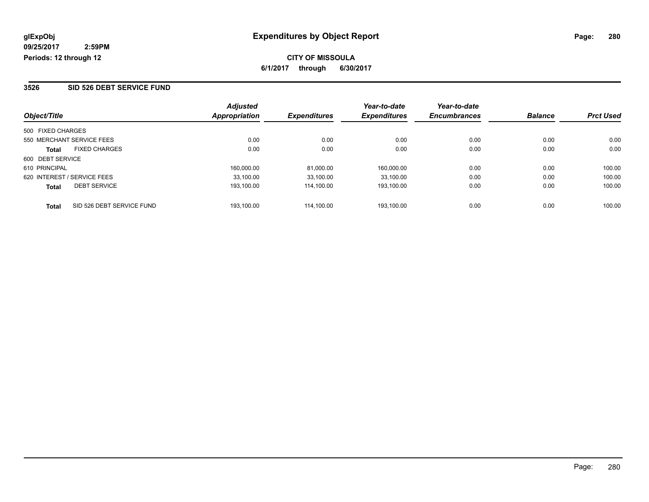#### **3526 SID 526 DEBT SERVICE FUND**

|                                           | <b>Adjusted</b>      |                     | Year-to-date        | Year-to-date        |                |                  |
|-------------------------------------------|----------------------|---------------------|---------------------|---------------------|----------------|------------------|
| Object/Title                              | <b>Appropriation</b> | <b>Expenditures</b> | <b>Expenditures</b> | <b>Encumbrances</b> | <b>Balance</b> | <b>Prct Used</b> |
| 500 FIXED CHARGES                         |                      |                     |                     |                     |                |                  |
| 550 MERCHANT SERVICE FEES                 | 0.00                 | 0.00                | 0.00                | 0.00                | 0.00           | 0.00             |
| <b>FIXED CHARGES</b><br><b>Total</b>      | 0.00                 | 0.00                | 0.00                | 0.00                | 0.00           | 0.00             |
| 600 DEBT SERVICE                          |                      |                     |                     |                     |                |                  |
| 610 PRINCIPAL                             | 160.000.00           | 81.000.00           | 160.000.00          | 0.00                | 0.00           | 100.00           |
| 620 INTEREST / SERVICE FEES               | 33.100.00            | 33.100.00           | 33.100.00           | 0.00                | 0.00           | 100.00           |
| <b>DEBT SERVICE</b><br><b>Total</b>       | 193.100.00           | 114.100.00          | 193.100.00          | 0.00                | 0.00           | 100.00           |
| SID 526 DEBT SERVICE FUND<br><b>Total</b> | 193.100.00           | 114.100.00          | 193.100.00          | 0.00                | 0.00           | 100.00           |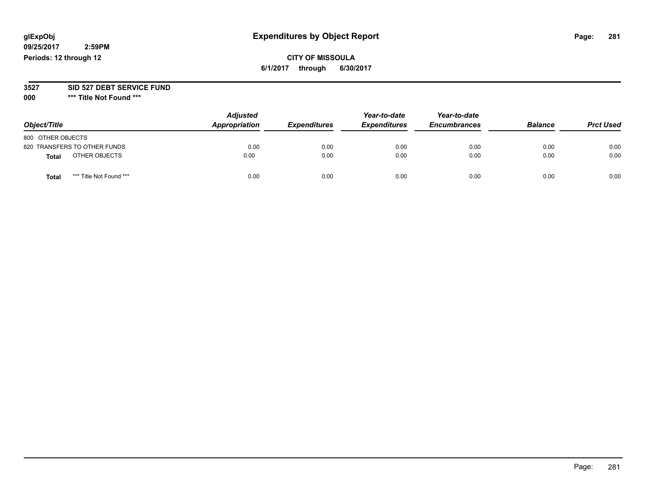# **glExpObj Expenditures by Object Report Page: 281**

**09/25/2017 2:59PM Periods: 12 through 12**

## **CITY OF MISSOULA 6/1/2017 through 6/30/2017**

#### **3527 SID 527 DEBT SERVICE FUND**

**000 \*\*\* Title Not Found \*\*\***

| Object/Title                     | <b>Adjusted</b><br>Appropriation | <b>Expenditures</b> | Year-to-date<br><b>Expenditures</b> | Year-to-date<br><b>Encumbrances</b> | <b>Balance</b> | <b>Prct Used</b> |
|----------------------------------|----------------------------------|---------------------|-------------------------------------|-------------------------------------|----------------|------------------|
| 800 OTHER OBJECTS                |                                  |                     |                                     |                                     |                |                  |
| 820 TRANSFERS TO OTHER FUNDS     | 0.00                             | 0.00                | 0.00                                | 0.00                                | 0.00           | 0.00             |
| OTHER OBJECTS<br><b>Total</b>    | 0.00                             | 0.00                | 0.00                                | 0.00                                | 0.00           | 0.00             |
| *** Title Not Found ***<br>Total | 0.00                             | 0.00                | 0.00                                | 0.00                                | 0.00           | 0.00             |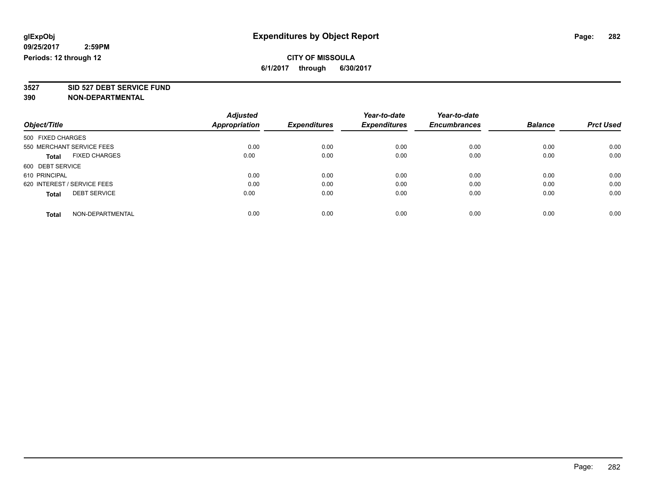**3527 SID 527 DEBT SERVICE FUND**

|                                      | <b>Adjusted</b>      | <b>Expenditures</b> | Year-to-date<br><b>Expenditures</b> | Year-to-date<br><b>Encumbrances</b> | <b>Balance</b> | <b>Prct Used</b> |
|--------------------------------------|----------------------|---------------------|-------------------------------------|-------------------------------------|----------------|------------------|
| Object/Title                         | <b>Appropriation</b> |                     |                                     |                                     |                |                  |
| 500 FIXED CHARGES                    |                      |                     |                                     |                                     |                |                  |
| 550 MERCHANT SERVICE FEES            | 0.00                 | 0.00                | 0.00                                | 0.00                                | 0.00           | 0.00             |
| <b>FIXED CHARGES</b><br><b>Total</b> | 0.00                 | 0.00                | 0.00                                | 0.00                                | 0.00           | 0.00             |
| 600 DEBT SERVICE                     |                      |                     |                                     |                                     |                |                  |
| 610 PRINCIPAL                        | 0.00                 | 0.00                | 0.00                                | 0.00                                | 0.00           | 0.00             |
| 620 INTEREST / SERVICE FEES          | 0.00                 | 0.00                | 0.00                                | 0.00                                | 0.00           | 0.00             |
| <b>DEBT SERVICE</b><br><b>Total</b>  | 0.00                 | 0.00                | 0.00                                | 0.00                                | 0.00           | 0.00             |
| NON-DEPARTMENTAL<br><b>Total</b>     | 0.00                 | 0.00                | 0.00                                | 0.00                                | 0.00           | 0.00             |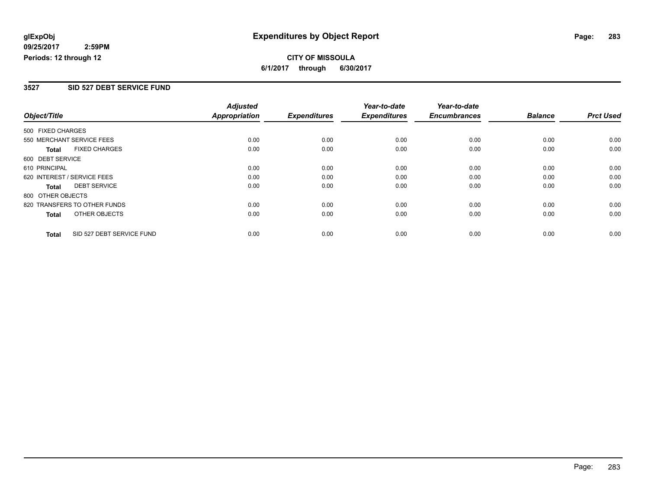# **CITY OF MISSOULA 6/1/2017 through 6/30/2017**

#### **3527 SID 527 DEBT SERVICE FUND**

|                             |                              | <b>Adjusted</b>      |                     | Year-to-date        | Year-to-date        |                |                  |
|-----------------------------|------------------------------|----------------------|---------------------|---------------------|---------------------|----------------|------------------|
| Object/Title                |                              | <b>Appropriation</b> | <b>Expenditures</b> | <b>Expenditures</b> | <b>Encumbrances</b> | <b>Balance</b> | <b>Prct Used</b> |
| 500 FIXED CHARGES           |                              |                      |                     |                     |                     |                |                  |
|                             | 550 MERCHANT SERVICE FEES    | 0.00                 | 0.00                | 0.00                | 0.00                | 0.00           | 0.00             |
| <b>Total</b>                | <b>FIXED CHARGES</b>         | 0.00                 | 0.00                | 0.00                | 0.00                | 0.00           | 0.00             |
| 600 DEBT SERVICE            |                              |                      |                     |                     |                     |                |                  |
| 610 PRINCIPAL               |                              | 0.00                 | 0.00                | 0.00                | 0.00                | 0.00           | 0.00             |
| 620 INTEREST / SERVICE FEES |                              | 0.00                 | 0.00                | 0.00                | 0.00                | 0.00           | 0.00             |
| Total                       | <b>DEBT SERVICE</b>          | 0.00                 | 0.00                | 0.00                | 0.00                | 0.00           | 0.00             |
| 800 OTHER OBJECTS           |                              |                      |                     |                     |                     |                |                  |
|                             | 820 TRANSFERS TO OTHER FUNDS | 0.00                 | 0.00                | 0.00                | 0.00                | 0.00           | 0.00             |
| Total                       | OTHER OBJECTS                | 0.00                 | 0.00                | 0.00                | 0.00                | 0.00           | 0.00             |
| <b>Total</b>                | SID 527 DEBT SERVICE FUND    | 0.00                 | 0.00                | 0.00                | 0.00                | 0.00           | 0.00             |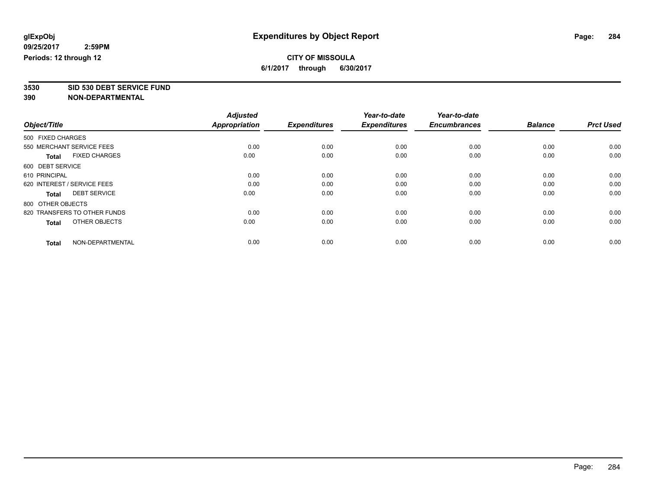**3530 SID 530 DEBT SERVICE FUND**

|                                      | <b>Adjusted</b>      |                     | Year-to-date        | Year-to-date        |                |                  |
|--------------------------------------|----------------------|---------------------|---------------------|---------------------|----------------|------------------|
| Object/Title                         | <b>Appropriation</b> | <b>Expenditures</b> | <b>Expenditures</b> | <b>Encumbrances</b> | <b>Balance</b> | <b>Prct Used</b> |
| 500 FIXED CHARGES                    |                      |                     |                     |                     |                |                  |
| 550 MERCHANT SERVICE FEES            | 0.00                 | 0.00                | 0.00                | 0.00                | 0.00           | 0.00             |
| <b>FIXED CHARGES</b><br><b>Total</b> | 0.00                 | 0.00                | 0.00                | 0.00                | 0.00           | 0.00             |
| 600 DEBT SERVICE                     |                      |                     |                     |                     |                |                  |
| 610 PRINCIPAL                        | 0.00                 | 0.00                | 0.00                | 0.00                | 0.00           | 0.00             |
| 620 INTEREST / SERVICE FEES          | 0.00                 | 0.00                | 0.00                | 0.00                | 0.00           | 0.00             |
| <b>DEBT SERVICE</b><br><b>Total</b>  | 0.00                 | 0.00                | 0.00                | 0.00                | 0.00           | 0.00             |
| 800 OTHER OBJECTS                    |                      |                     |                     |                     |                |                  |
| 820 TRANSFERS TO OTHER FUNDS         | 0.00                 | 0.00                | 0.00                | 0.00                | 0.00           | 0.00             |
| OTHER OBJECTS<br><b>Total</b>        | 0.00                 | 0.00                | 0.00                | 0.00                | 0.00           | 0.00             |
|                                      |                      |                     |                     |                     |                |                  |
| NON-DEPARTMENTAL<br><b>Total</b>     | 0.00                 | 0.00                | 0.00                | 0.00                | 0.00           | 0.00             |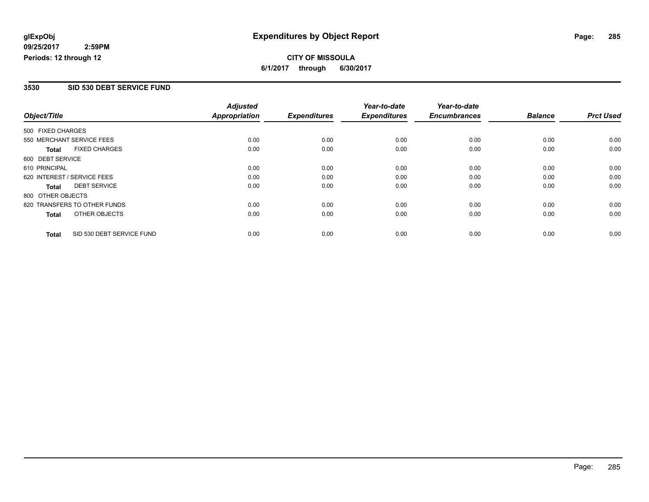# **CITY OF MISSOULA 6/1/2017 through 6/30/2017**

#### **3530 SID 530 DEBT SERVICE FUND**

| Object/Title      |                              | <b>Adjusted</b>      | <b>Expenditures</b> | Year-to-date<br><b>Expenditures</b> | Year-to-date<br><b>Encumbrances</b> | <b>Balance</b> | <b>Prct Used</b> |
|-------------------|------------------------------|----------------------|---------------------|-------------------------------------|-------------------------------------|----------------|------------------|
|                   |                              | <b>Appropriation</b> |                     |                                     |                                     |                |                  |
| 500 FIXED CHARGES |                              |                      |                     |                                     |                                     |                |                  |
|                   | 550 MERCHANT SERVICE FEES    | 0.00                 | 0.00                | 0.00                                | 0.00                                | 0.00           | 0.00             |
| <b>Total</b>      | <b>FIXED CHARGES</b>         | 0.00                 | 0.00                | 0.00                                | 0.00                                | 0.00           | 0.00             |
| 600 DEBT SERVICE  |                              |                      |                     |                                     |                                     |                |                  |
| 610 PRINCIPAL     |                              | 0.00                 | 0.00                | 0.00                                | 0.00                                | 0.00           | 0.00             |
|                   | 620 INTEREST / SERVICE FEES  | 0.00                 | 0.00                | 0.00                                | 0.00                                | 0.00           | 0.00             |
| Total             | <b>DEBT SERVICE</b>          | 0.00                 | 0.00                | 0.00                                | 0.00                                | 0.00           | 0.00             |
| 800 OTHER OBJECTS |                              |                      |                     |                                     |                                     |                |                  |
|                   | 820 TRANSFERS TO OTHER FUNDS | 0.00                 | 0.00                | 0.00                                | 0.00                                | 0.00           | 0.00             |
| <b>Total</b>      | OTHER OBJECTS                | 0.00                 | 0.00                | 0.00                                | 0.00                                | 0.00           | 0.00             |
| <b>Total</b>      | SID 530 DEBT SERVICE FUND    | 0.00                 | 0.00                | 0.00                                | 0.00                                | 0.00           | 0.00             |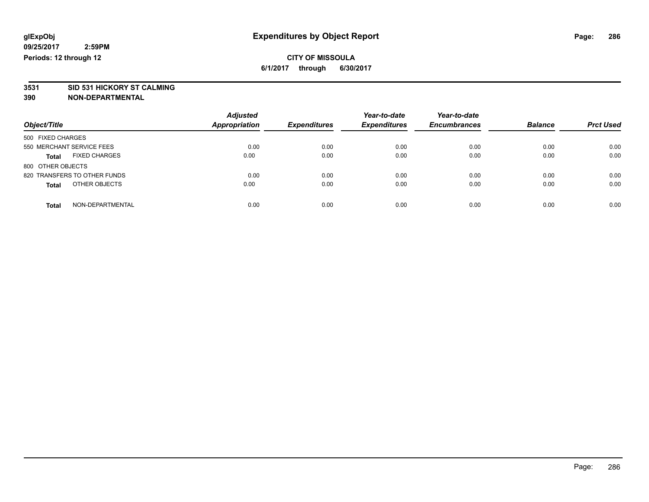# **3531 SID 531 HICKORY ST CALMING**

|                                      | <b>Adjusted</b>      |                     | Year-to-date<br><b>Expenditures</b> | Year-to-date<br><b>Encumbrances</b> | <b>Balance</b> | <b>Prct Used</b> |
|--------------------------------------|----------------------|---------------------|-------------------------------------|-------------------------------------|----------------|------------------|
| Object/Title                         | <b>Appropriation</b> | <b>Expenditures</b> |                                     |                                     |                |                  |
| 500 FIXED CHARGES                    |                      |                     |                                     |                                     |                |                  |
| 550 MERCHANT SERVICE FEES            | 0.00                 | 0.00                | 0.00                                | 0.00                                | 0.00           | 0.00             |
| <b>FIXED CHARGES</b><br><b>Total</b> | 0.00                 | 0.00                | 0.00                                | 0.00                                | 0.00           | 0.00             |
| 800 OTHER OBJECTS                    |                      |                     |                                     |                                     |                |                  |
| 820 TRANSFERS TO OTHER FUNDS         | 0.00                 | 0.00                | 0.00                                | 0.00                                | 0.00           | 0.00             |
| OTHER OBJECTS<br><b>Total</b>        | 0.00                 | 0.00                | 0.00                                | 0.00                                | 0.00           | 0.00             |
| NON-DEPARTMENTAL<br><b>Total</b>     | 0.00                 | 0.00                | 0.00                                | 0.00                                | 0.00           | 0.00             |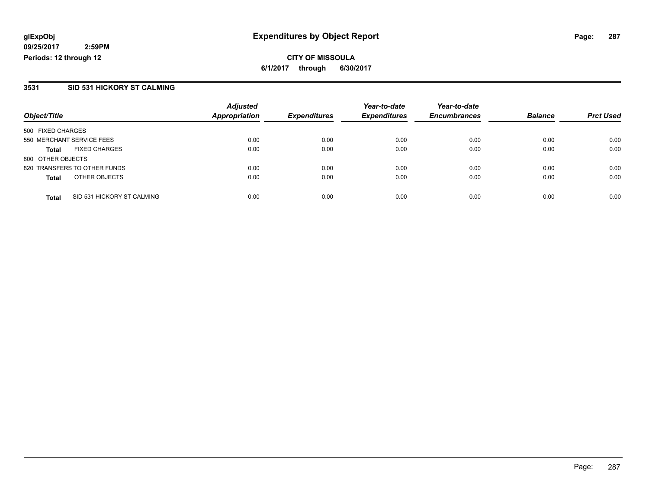**CITY OF MISSOULA 6/1/2017 through 6/30/2017**

#### **3531 SID 531 HICKORY ST CALMING**

|                                            | <b>Adjusted</b>      |                     | Year-to-date        | Year-to-date        |                |                  |
|--------------------------------------------|----------------------|---------------------|---------------------|---------------------|----------------|------------------|
| Object/Title                               | <b>Appropriation</b> | <b>Expenditures</b> | <b>Expenditures</b> | <b>Encumbrances</b> | <b>Balance</b> | <b>Prct Used</b> |
| 500 FIXED CHARGES                          |                      |                     |                     |                     |                |                  |
| 550 MERCHANT SERVICE FEES                  | 0.00                 | 0.00                | 0.00                | 0.00                | 0.00           | 0.00             |
| <b>FIXED CHARGES</b><br><b>Total</b>       | 0.00                 | 0.00                | 0.00                | 0.00                | 0.00           | 0.00             |
| 800 OTHER OBJECTS                          |                      |                     |                     |                     |                |                  |
| 820 TRANSFERS TO OTHER FUNDS               | 0.00                 | 0.00                | 0.00                | 0.00                | 0.00           | 0.00             |
| OTHER OBJECTS<br><b>Total</b>              | 0.00                 | 0.00                | 0.00                | 0.00                | 0.00           | 0.00             |
| SID 531 HICKORY ST CALMING<br><b>Total</b> | 0.00                 | 0.00                | 0.00                | 0.00                | 0.00           | 0.00             |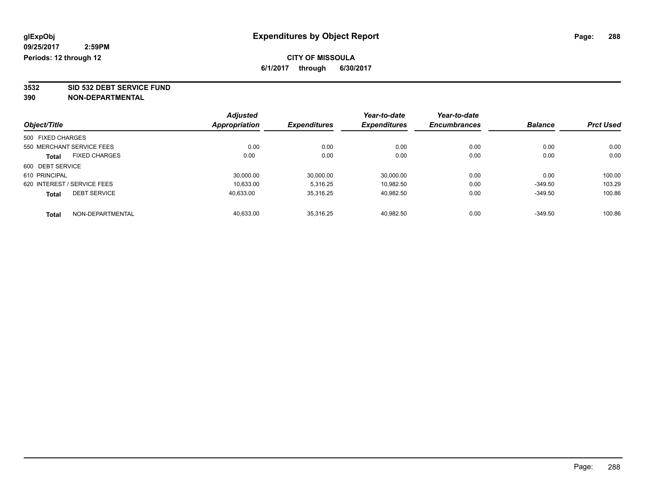**3532 SID 532 DEBT SERVICE FUND**

| Object/Title                |                      | <b>Adjusted</b>      | <b>Expenditures</b> | Year-to-date<br><b>Expenditures</b> | Year-to-date<br><b>Encumbrances</b> | <b>Balance</b> | <b>Prct Used</b> |
|-----------------------------|----------------------|----------------------|---------------------|-------------------------------------|-------------------------------------|----------------|------------------|
|                             |                      | <b>Appropriation</b> |                     |                                     |                                     |                |                  |
| 500 FIXED CHARGES           |                      |                      |                     |                                     |                                     |                |                  |
| 550 MERCHANT SERVICE FEES   |                      | 0.00                 | 0.00                | 0.00                                | 0.00                                | 0.00           | 0.00             |
| <b>Total</b>                | <b>FIXED CHARGES</b> | 0.00                 | 0.00                | 0.00                                | 0.00                                | 0.00           | 0.00             |
| 600 DEBT SERVICE            |                      |                      |                     |                                     |                                     |                |                  |
| 610 PRINCIPAL               |                      | 30,000.00            | 30,000.00           | 30,000.00                           | 0.00                                | 0.00           | 100.00           |
| 620 INTEREST / SERVICE FEES |                      | 10,633.00            | 5.316.25            | 10.982.50                           | 0.00                                | $-349.50$      | 103.29           |
| <b>Total</b>                | <b>DEBT SERVICE</b>  | 40,633.00            | 35,316.25           | 40,982.50                           | 0.00                                | $-349.50$      | 100.86           |
| <b>Total</b>                | NON-DEPARTMENTAL     | 40.633.00            | 35.316.25           | 40.982.50                           | 0.00                                | $-349.50$      | 100.86           |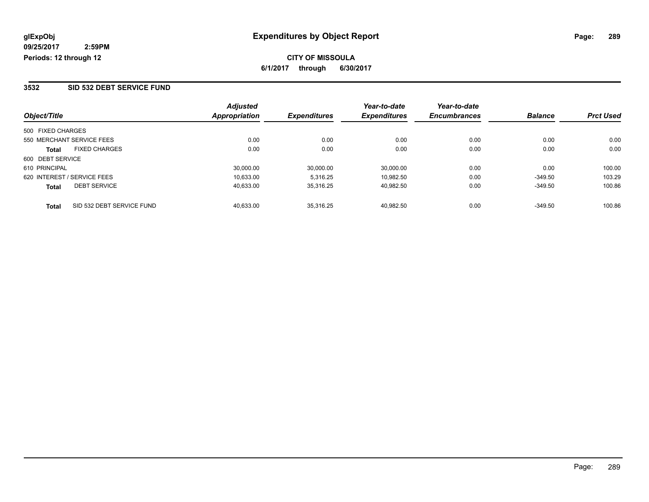#### **3532 SID 532 DEBT SERVICE FUND**

|                                           | <b>Adjusted</b> |                     | Year-to-date        | Year-to-date        |                |                  |
|-------------------------------------------|-----------------|---------------------|---------------------|---------------------|----------------|------------------|
| Object/Title                              | Appropriation   | <b>Expenditures</b> | <b>Expenditures</b> | <b>Encumbrances</b> | <b>Balance</b> | <b>Prct Used</b> |
| 500 FIXED CHARGES                         |                 |                     |                     |                     |                |                  |
| 550 MERCHANT SERVICE FEES                 | 0.00            | 0.00                | 0.00                | 0.00                | 0.00           | 0.00             |
| <b>FIXED CHARGES</b><br><b>Total</b>      | 0.00            | 0.00                | 0.00                | 0.00                | 0.00           | 0.00             |
| 600 DEBT SERVICE                          |                 |                     |                     |                     |                |                  |
| 610 PRINCIPAL                             | 30,000.00       | 30,000.00           | 30,000.00           | 0.00                | 0.00           | 100.00           |
| 620 INTEREST / SERVICE FEES               | 10.633.00       | 5.316.25            | 10.982.50           | 0.00                | $-349.50$      | 103.29           |
| <b>DEBT SERVICE</b><br><b>Total</b>       | 40.633.00       | 35.316.25           | 40.982.50           | 0.00                | $-349.50$      | 100.86           |
| SID 532 DEBT SERVICE FUND<br><b>Total</b> | 40.633.00       | 35.316.25           | 40.982.50           | 0.00                | $-349.50$      | 100.86           |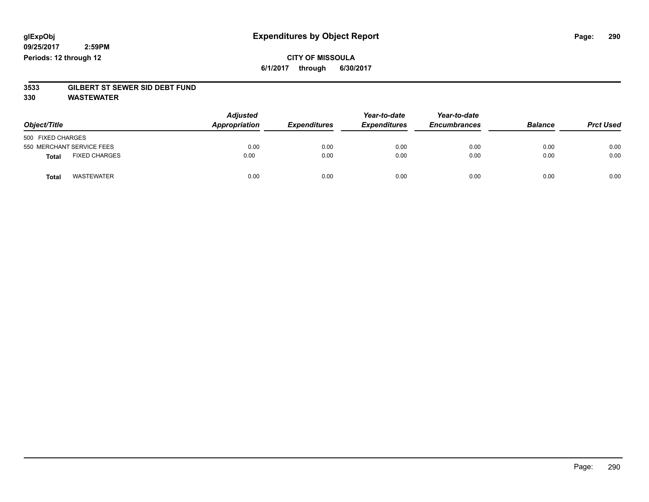### **CITY OF MISSOULA 6/1/2017 through 6/30/2017**

# **3533 GILBERT ST SEWER SID DEBT FUND**

**330 WASTEWATER**

| Object/Title                         | <b>Adjusted</b><br>Appropriation | <b>Expenditures</b> | Year-to-date<br><b>Expenditures</b> | Year-to-date<br><b>Encumbrances</b> | <b>Balance</b> | <b>Prct Used</b> |
|--------------------------------------|----------------------------------|---------------------|-------------------------------------|-------------------------------------|----------------|------------------|
| 500 FIXED CHARGES                    |                                  |                     |                                     |                                     |                |                  |
| 550 MERCHANT SERVICE FEES            | 0.00                             | 0.00                | 0.00                                | 0.00                                | 0.00           | 0.00             |
| <b>FIXED CHARGES</b><br><b>Total</b> | 0.00                             | 0.00                | 0.00                                | 0.00                                | 0.00           | 0.00             |
| <b>WASTEWATER</b><br><b>Total</b>    | 0.00                             | 0.00                | 0.00                                | 0.00                                | 0.00           | 0.00             |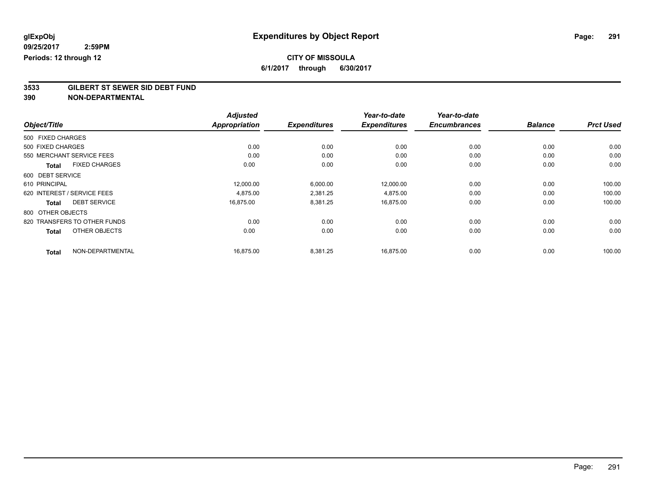# **CITY OF MISSOULA**

**6/1/2017 through 6/30/2017**

# **3533 GILBERT ST SEWER SID DEBT FUND**

|                                      | <b>Adjusted</b> |                     | Year-to-date        | Year-to-date        |                |                  |
|--------------------------------------|-----------------|---------------------|---------------------|---------------------|----------------|------------------|
| Object/Title                         | Appropriation   | <b>Expenditures</b> | <b>Expenditures</b> | <b>Encumbrances</b> | <b>Balance</b> | <b>Prct Used</b> |
| 500 FIXED CHARGES                    |                 |                     |                     |                     |                |                  |
| 500 FIXED CHARGES                    | 0.00            | 0.00                | 0.00                | 0.00                | 0.00           | 0.00             |
| 550 MERCHANT SERVICE FEES            | 0.00            | 0.00                | 0.00                | 0.00                | 0.00           | 0.00             |
| <b>FIXED CHARGES</b><br><b>Total</b> | 0.00            | 0.00                | 0.00                | 0.00                | 0.00           | 0.00             |
| 600 DEBT SERVICE                     |                 |                     |                     |                     |                |                  |
| 610 PRINCIPAL                        | 12,000.00       | 6,000.00            | 12,000.00           | 0.00                | 0.00           | 100.00           |
| 620 INTEREST / SERVICE FEES          | 4,875.00        | 2,381.25            | 4,875.00            | 0.00                | 0.00           | 100.00           |
| <b>DEBT SERVICE</b><br><b>Total</b>  | 16,875.00       | 8,381.25            | 16,875.00           | 0.00                | 0.00           | 100.00           |
| 800 OTHER OBJECTS                    |                 |                     |                     |                     |                |                  |
| 820 TRANSFERS TO OTHER FUNDS         | 0.00            | 0.00                | 0.00                | 0.00                | 0.00           | 0.00             |
| OTHER OBJECTS<br><b>Total</b>        | 0.00            | 0.00                | 0.00                | 0.00                | 0.00           | 0.00             |
| NON-DEPARTMENTAL<br><b>Total</b>     | 16,875.00       | 8,381.25            | 16,875.00           | 0.00                | 0.00           | 100.00           |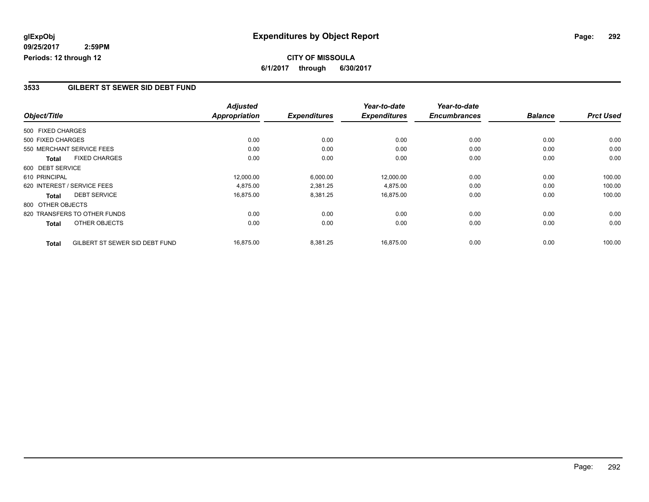# **CITY OF MISSOULA 6/1/2017 through 6/30/2017**

#### **3533 GILBERT ST SEWER SID DEBT FUND**

|                   |                                | <b>Adjusted</b> |                     | Year-to-date        | Year-to-date        |                |                  |
|-------------------|--------------------------------|-----------------|---------------------|---------------------|---------------------|----------------|------------------|
| Object/Title      |                                | Appropriation   | <b>Expenditures</b> | <b>Expenditures</b> | <b>Encumbrances</b> | <b>Balance</b> | <b>Prct Used</b> |
| 500 FIXED CHARGES |                                |                 |                     |                     |                     |                |                  |
| 500 FIXED CHARGES |                                | 0.00            | 0.00                | 0.00                | 0.00                | 0.00           | 0.00             |
|                   | 550 MERCHANT SERVICE FEES      | 0.00            | 0.00                | 0.00                | 0.00                | 0.00           | 0.00             |
| <b>Total</b>      | <b>FIXED CHARGES</b>           | 0.00            | 0.00                | 0.00                | 0.00                | 0.00           | 0.00             |
| 600 DEBT SERVICE  |                                |                 |                     |                     |                     |                |                  |
| 610 PRINCIPAL     |                                | 12,000.00       | 6,000.00            | 12,000.00           | 0.00                | 0.00           | 100.00           |
|                   | 620 INTEREST / SERVICE FEES    | 4,875.00        | 2,381.25            | 4,875.00            | 0.00                | 0.00           | 100.00           |
| Total             | <b>DEBT SERVICE</b>            | 16,875.00       | 8,381.25            | 16,875.00           | 0.00                | 0.00           | 100.00           |
| 800 OTHER OBJECTS |                                |                 |                     |                     |                     |                |                  |
|                   | 820 TRANSFERS TO OTHER FUNDS   | 0.00            | 0.00                | 0.00                | 0.00                | 0.00           | 0.00             |
| <b>Total</b>      | OTHER OBJECTS                  | 0.00            | 0.00                | 0.00                | 0.00                | 0.00           | 0.00             |
| <b>Total</b>      | GILBERT ST SEWER SID DEBT FUND | 16.875.00       | 8,381.25            | 16.875.00           | 0.00                | 0.00           | 100.00           |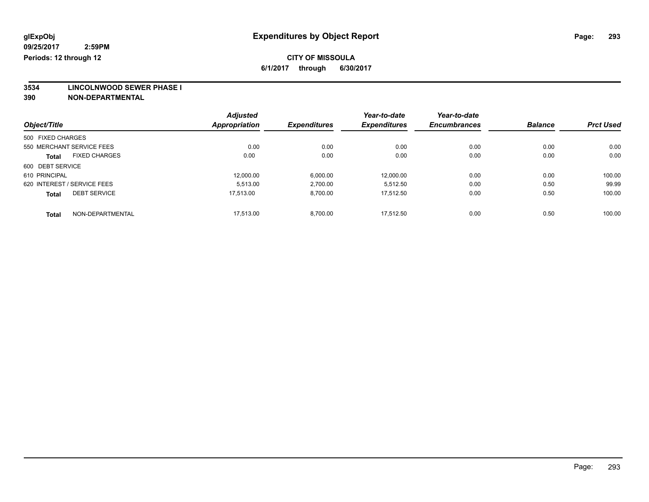**3534 LINCOLNWOOD SEWER PHASE I**

|                                      | <b>Adjusted</b>      |                     | Year-to-date        | Year-to-date        |                |                  |
|--------------------------------------|----------------------|---------------------|---------------------|---------------------|----------------|------------------|
| Object/Title                         | <b>Appropriation</b> | <b>Expenditures</b> | <b>Expenditures</b> | <b>Encumbrances</b> | <b>Balance</b> | <b>Prct Used</b> |
| 500 FIXED CHARGES                    |                      |                     |                     |                     |                |                  |
| 550 MERCHANT SERVICE FEES            | 0.00                 | 0.00                | 0.00                | 0.00                | 0.00           | 0.00             |
| <b>FIXED CHARGES</b><br><b>Total</b> | 0.00                 | 0.00                | 0.00                | 0.00                | 0.00           | 0.00             |
| 600 DEBT SERVICE                     |                      |                     |                     |                     |                |                  |
| 610 PRINCIPAL                        | 12,000.00            | 6,000.00            | 12,000.00           | 0.00                | 0.00           | 100.00           |
| 620 INTEREST / SERVICE FEES          | 5.513.00             | 2,700.00            | 5.512.50            | 0.00                | 0.50           | 99.99            |
| <b>DEBT SERVICE</b><br><b>Total</b>  | 17.513.00            | 8,700.00            | 17.512.50           | 0.00                | 0.50           | 100.00           |
| NON-DEPARTMENTAL<br><b>Total</b>     | 17.513.00            | 8.700.00            | 17.512.50           | 0.00                | 0.50           | 100.00           |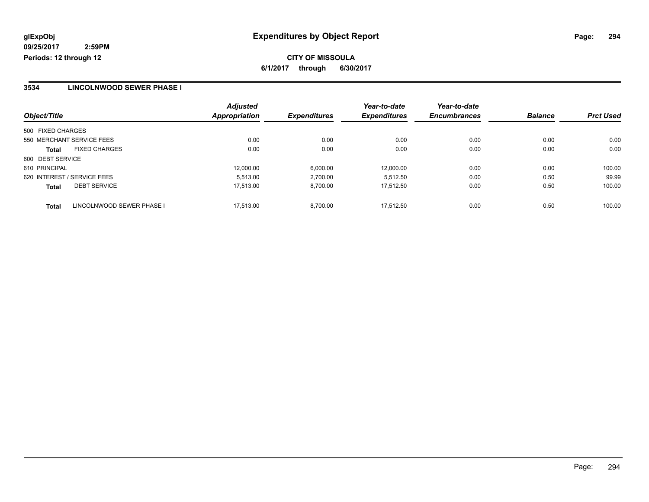# **CITY OF MISSOULA 6/1/2017 through 6/30/2017**

#### **3534 LINCOLNWOOD SEWER PHASE I**

|                                           | <b>Adjusted</b>      |                     | Year-to-date        | Year-to-date        |                |                  |
|-------------------------------------------|----------------------|---------------------|---------------------|---------------------|----------------|------------------|
| Object/Title                              | <b>Appropriation</b> | <b>Expenditures</b> | <b>Expenditures</b> | <b>Encumbrances</b> | <b>Balance</b> | <b>Prct Used</b> |
| 500 FIXED CHARGES                         |                      |                     |                     |                     |                |                  |
| 550 MERCHANT SERVICE FEES                 | 0.00                 | 0.00                | 0.00                | 0.00                | 0.00           | 0.00             |
| <b>FIXED CHARGES</b><br>Total             | 0.00                 | 0.00                | 0.00                | 0.00                | 0.00           | 0.00             |
| 600 DEBT SERVICE                          |                      |                     |                     |                     |                |                  |
| 610 PRINCIPAL                             | 12.000.00            | 6,000.00            | 12.000.00           | 0.00                | 0.00           | 100.00           |
| 620 INTEREST / SERVICE FEES               | 5.513.00             | 2,700.00            | 5.512.50            | 0.00                | 0.50           | 99.99            |
| <b>DEBT SERVICE</b><br><b>Total</b>       | 17.513.00            | 8,700.00            | 17.512.50           | 0.00                | 0.50           | 100.00           |
| LINCOLNWOOD SEWER PHASE I<br><b>Total</b> | 17.513.00            | 8.700.00            | 17.512.50           | 0.00                | 0.50           | 100.00           |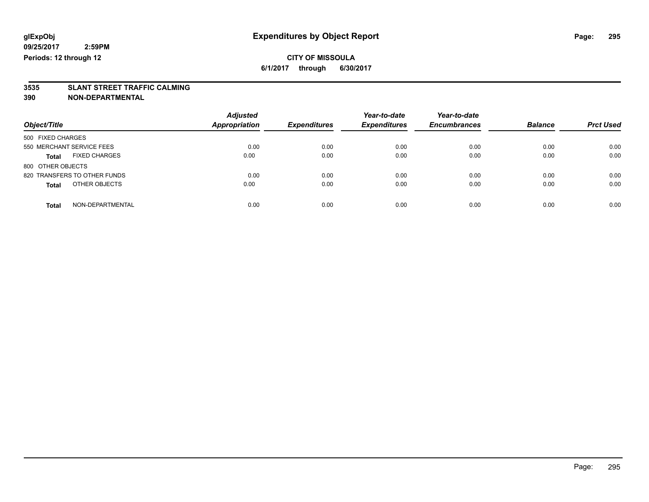# **3535 SLANT STREET TRAFFIC CALMING**

| Object/Title                         | <b>Adjusted</b><br><b>Appropriation</b> | <b>Expenditures</b> | Year-to-date<br><b>Expenditures</b> | Year-to-date<br><b>Encumbrances</b> | <b>Balance</b> | <b>Prct Used</b> |
|--------------------------------------|-----------------------------------------|---------------------|-------------------------------------|-------------------------------------|----------------|------------------|
| 500 FIXED CHARGES                    |                                         |                     |                                     |                                     |                |                  |
| 550 MERCHANT SERVICE FEES            | 0.00                                    | 0.00                | 0.00                                | 0.00                                | 0.00           | 0.00             |
| <b>FIXED CHARGES</b><br><b>Total</b> | 0.00                                    | 0.00                | 0.00                                | 0.00                                | 0.00           | 0.00             |
| 800 OTHER OBJECTS                    |                                         |                     |                                     |                                     |                |                  |
| 820 TRANSFERS TO OTHER FUNDS         | 0.00                                    | 0.00                | 0.00                                | 0.00                                | 0.00           | 0.00             |
| OTHER OBJECTS<br><b>Total</b>        | 0.00                                    | 0.00                | 0.00                                | 0.00                                | 0.00           | 0.00             |
| NON-DEPARTMENTAL<br>Total            | 0.00                                    | 0.00                | 0.00                                | 0.00                                | 0.00           | 0.00             |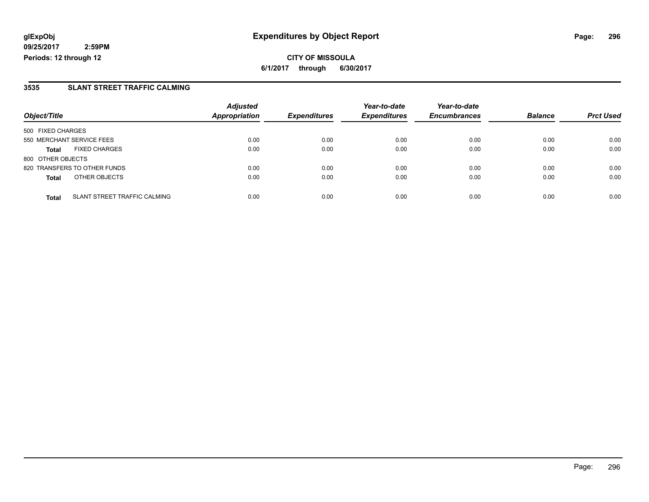**CITY OF MISSOULA 6/1/2017 through 6/30/2017**

#### **3535 SLANT STREET TRAFFIC CALMING**

|                              |                                     | <b>Adjusted</b>      |                     | Year-to-date        | Year-to-date        |                |                  |
|------------------------------|-------------------------------------|----------------------|---------------------|---------------------|---------------------|----------------|------------------|
| Object/Title                 |                                     | <b>Appropriation</b> | <b>Expenditures</b> | <b>Expenditures</b> | <b>Encumbrances</b> | <b>Balance</b> | <b>Prct Used</b> |
| 500 FIXED CHARGES            |                                     |                      |                     |                     |                     |                |                  |
| 550 MERCHANT SERVICE FEES    |                                     | 0.00                 | 0.00                | 0.00                | 0.00                | 0.00           | 0.00             |
| <b>Total</b>                 | <b>FIXED CHARGES</b>                | 0.00                 | 0.00                | 0.00                | 0.00                | 0.00           | 0.00             |
| 800 OTHER OBJECTS            |                                     |                      |                     |                     |                     |                |                  |
| 820 TRANSFERS TO OTHER FUNDS |                                     | 0.00                 | 0.00                | 0.00                | 0.00                | 0.00           | 0.00             |
| <b>Total</b>                 | OTHER OBJECTS                       | 0.00                 | 0.00                | 0.00                | 0.00                | 0.00           | 0.00             |
| <b>Total</b>                 | <b>SLANT STREET TRAFFIC CALMING</b> | 0.00                 | 0.00                | 0.00                | 0.00                | 0.00           | 0.00             |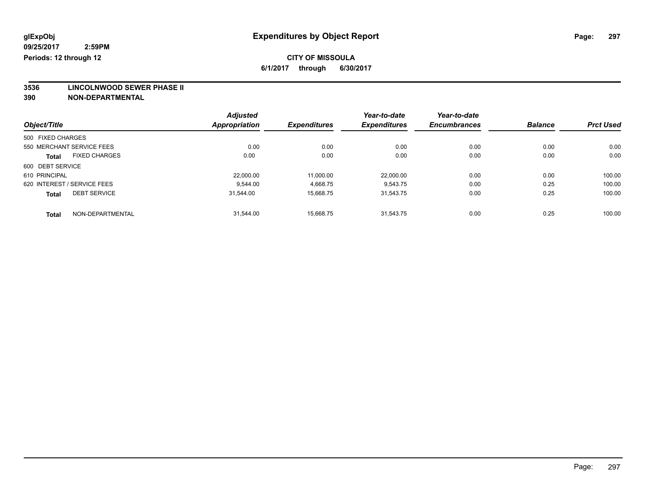**3536 LINCOLNWOOD SEWER PHASE II**

|                             |                      | <b>Adjusted</b>      |                     | Year-to-date        | Year-to-date        |                |                  |
|-----------------------------|----------------------|----------------------|---------------------|---------------------|---------------------|----------------|------------------|
| Object/Title                |                      | <b>Appropriation</b> | <b>Expenditures</b> | <b>Expenditures</b> | <b>Encumbrances</b> | <b>Balance</b> | <b>Prct Used</b> |
| 500 FIXED CHARGES           |                      |                      |                     |                     |                     |                |                  |
| 550 MERCHANT SERVICE FEES   |                      | 0.00                 | 0.00                | 0.00                | 0.00                | 0.00           | 0.00             |
| <b>Total</b>                | <b>FIXED CHARGES</b> | 0.00                 | 0.00                | 0.00                | 0.00                | 0.00           | 0.00             |
| 600 DEBT SERVICE            |                      |                      |                     |                     |                     |                |                  |
| 610 PRINCIPAL               |                      | 22.000.00            | 11,000.00           | 22,000.00           | 0.00                | 0.00           | 100.00           |
| 620 INTEREST / SERVICE FEES |                      | 9.544.00             | 4,668.75            | 9.543.75            | 0.00                | 0.25           | 100.00           |
| <b>Total</b>                | <b>DEBT SERVICE</b>  | 31,544.00            | 15,668.75           | 31.543.75           | 0.00                | 0.25           | 100.00           |
| <b>Total</b>                | NON-DEPARTMENTAL     | 31.544.00            | 15.668.75           | 31.543.75           | 0.00                | 0.25           | 100.00           |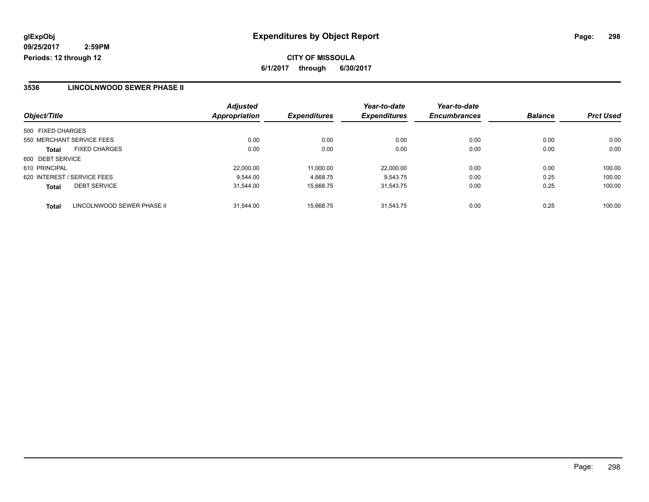# **CITY OF MISSOULA 6/1/2017 through 6/30/2017**

#### **3536 LINCOLNWOOD SEWER PHASE II**

| Object/Title                        |                            | <b>Adjusted</b><br><b>Appropriation</b> | <b>Expenditures</b> | Year-to-date<br><b>Expenditures</b> | Year-to-date<br><b>Encumbrances</b> | <b>Balance</b> | <b>Prct Used</b> |
|-------------------------------------|----------------------------|-----------------------------------------|---------------------|-------------------------------------|-------------------------------------|----------------|------------------|
|                                     |                            |                                         |                     |                                     |                                     |                |                  |
| 500 FIXED CHARGES                   |                            |                                         |                     |                                     |                                     |                |                  |
| 550 MERCHANT SERVICE FEES           |                            | 0.00                                    | 0.00                | 0.00                                | 0.00                                | 0.00           | 0.00             |
| <b>FIXED CHARGES</b><br>Total       |                            | 0.00                                    | 0.00                | 0.00                                | 0.00                                | 0.00           | 0.00             |
| 600 DEBT SERVICE                    |                            |                                         |                     |                                     |                                     |                |                  |
| 610 PRINCIPAL                       |                            | 22,000.00                               | 11.000.00           | 22.000.00                           | 0.00                                | 0.00           | 100.00           |
| 620 INTEREST / SERVICE FEES         |                            | 9.544.00                                | 4,668.75            | 9.543.75                            | 0.00                                | 0.25           | 100.00           |
| <b>DEBT SERVICE</b><br><b>Total</b> |                            | 31.544.00                               | 15.668.75           | 31.543.75                           | 0.00                                | 0.25           | 100.00           |
| <b>Total</b>                        | LINCOLNWOOD SEWER PHASE II | 31.544.00                               | 15.668.75           | 31.543.75                           | 0.00                                | 0.25           | 100.00           |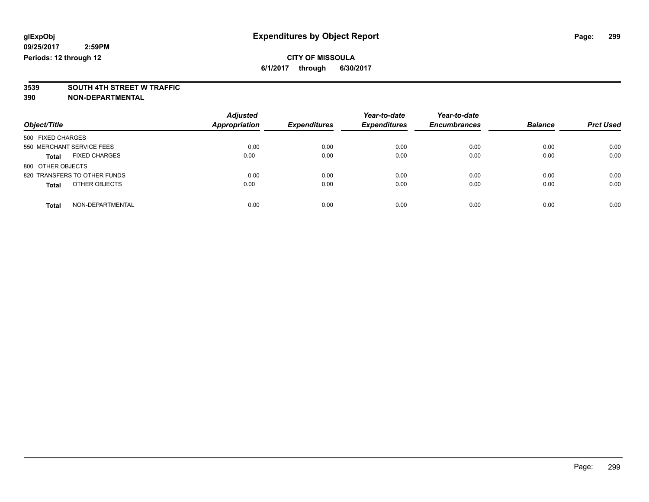# **3539 SOUTH 4TH STREET W TRAFFIC**

| Object/Title                         | <b>Adjusted</b><br>Appropriation | <b>Expenditures</b> | Year-to-date<br><b>Expenditures</b> | Year-to-date<br><b>Encumbrances</b> | <b>Balance</b> | <b>Prct Used</b> |
|--------------------------------------|----------------------------------|---------------------|-------------------------------------|-------------------------------------|----------------|------------------|
| 500 FIXED CHARGES                    |                                  |                     |                                     |                                     |                |                  |
| 550 MERCHANT SERVICE FEES            | 0.00                             | 0.00                | 0.00                                | 0.00                                | 0.00           | 0.00             |
| <b>FIXED CHARGES</b><br><b>Total</b> | 0.00                             | 0.00                | 0.00                                | 0.00                                | 0.00           | 0.00             |
| 800 OTHER OBJECTS                    |                                  |                     |                                     |                                     |                |                  |
| 820 TRANSFERS TO OTHER FUNDS         | 0.00                             | 0.00                | 0.00                                | 0.00                                | 0.00           | 0.00             |
| OTHER OBJECTS<br><b>Total</b>        | 0.00                             | 0.00                | 0.00                                | 0.00                                | 0.00           | 0.00             |
| NON-DEPARTMENTAL<br><b>Total</b>     | 0.00                             | 0.00                | 0.00                                | 0.00                                | 0.00           | 0.00             |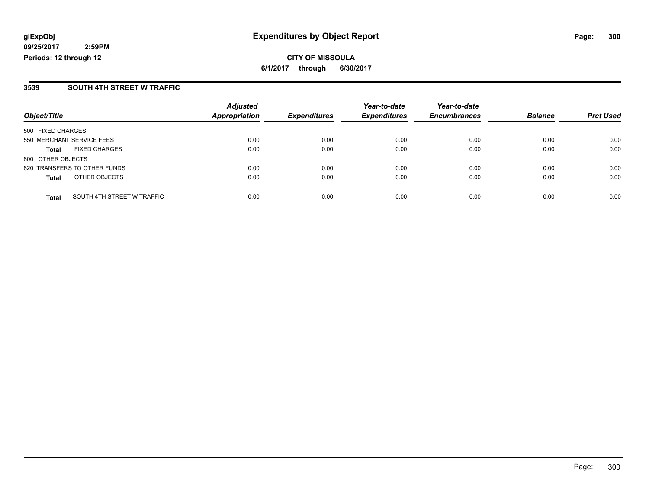**CITY OF MISSOULA 6/1/2017 through 6/30/2017**

#### **3539 SOUTH 4TH STREET W TRAFFIC**

|                           |                              | <b>Adjusted</b>      |                     | Year-to-date        | Year-to-date        |                |                  |
|---------------------------|------------------------------|----------------------|---------------------|---------------------|---------------------|----------------|------------------|
| Object/Title              |                              | <b>Appropriation</b> | <b>Expenditures</b> | <b>Expenditures</b> | <b>Encumbrances</b> | <b>Balance</b> | <b>Prct Used</b> |
| 500 FIXED CHARGES         |                              |                      |                     |                     |                     |                |                  |
| 550 MERCHANT SERVICE FEES |                              | 0.00                 | 0.00                | 0.00                | 0.00                | 0.00           | 0.00             |
| <b>Total</b>              | <b>FIXED CHARGES</b>         | 0.00                 | 0.00                | 0.00                | 0.00                | 0.00           | 0.00             |
| 800 OTHER OBJECTS         |                              |                      |                     |                     |                     |                |                  |
|                           | 820 TRANSFERS TO OTHER FUNDS | 0.00                 | 0.00                | 0.00                | 0.00                | 0.00           | 0.00             |
| <b>Total</b>              | OTHER OBJECTS                | 0.00                 | 0.00                | 0.00                | 0.00                | 0.00           | 0.00             |
| <b>Total</b>              | SOUTH 4TH STREET W TRAFFIC   | 0.00                 | 0.00                | 0.00                | 0.00                | 0.00           | 0.00             |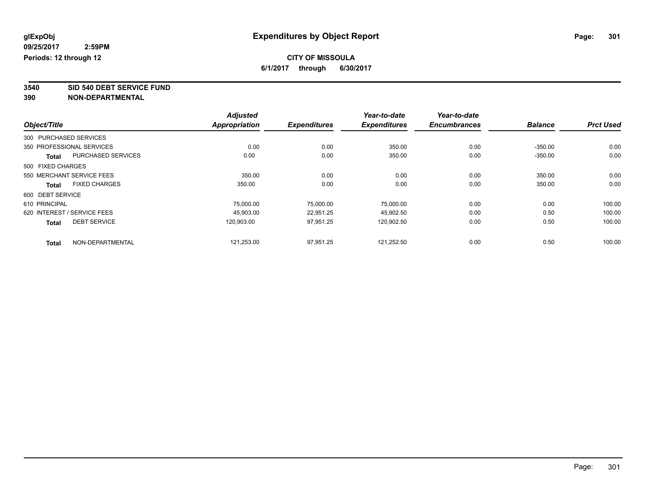**3540 SID 540 DEBT SERVICE FUND**

|                                           | <b>Adjusted</b>      |                     | Year-to-date        | Year-to-date        |                |                  |
|-------------------------------------------|----------------------|---------------------|---------------------|---------------------|----------------|------------------|
| Object/Title                              | <b>Appropriation</b> | <b>Expenditures</b> | <b>Expenditures</b> | <b>Encumbrances</b> | <b>Balance</b> | <b>Prct Used</b> |
| 300 PURCHASED SERVICES                    |                      |                     |                     |                     |                |                  |
| 350 PROFESSIONAL SERVICES                 | 0.00                 | 0.00                | 350.00              | 0.00                | $-350.00$      | 0.00             |
| <b>PURCHASED SERVICES</b><br><b>Total</b> | 0.00                 | 0.00                | 350.00              | 0.00                | $-350.00$      | 0.00             |
| 500 FIXED CHARGES                         |                      |                     |                     |                     |                |                  |
| 550 MERCHANT SERVICE FEES                 | 350.00               | 0.00                | 0.00                | 0.00                | 350.00         | 0.00             |
| <b>FIXED CHARGES</b><br><b>Total</b>      | 350.00               | 0.00                | 0.00                | 0.00                | 350.00         | 0.00             |
| 600 DEBT SERVICE                          |                      |                     |                     |                     |                |                  |
| 610 PRINCIPAL                             | 75.000.00            | 75.000.00           | 75,000.00           | 0.00                | 0.00           | 100.00           |
| 620 INTEREST / SERVICE FEES               | 45.903.00            | 22,951.25           | 45,902.50           | 0.00                | 0.50           | 100.00           |
| <b>DEBT SERVICE</b><br><b>Total</b>       | 120.903.00           | 97,951.25           | 120,902.50          | 0.00                | 0.50           | 100.00           |
| NON-DEPARTMENTAL<br><b>Total</b>          | 121,253.00           | 97,951.25           | 121,252.50          | 0.00                | 0.50           | 100.00           |
|                                           |                      |                     |                     |                     |                |                  |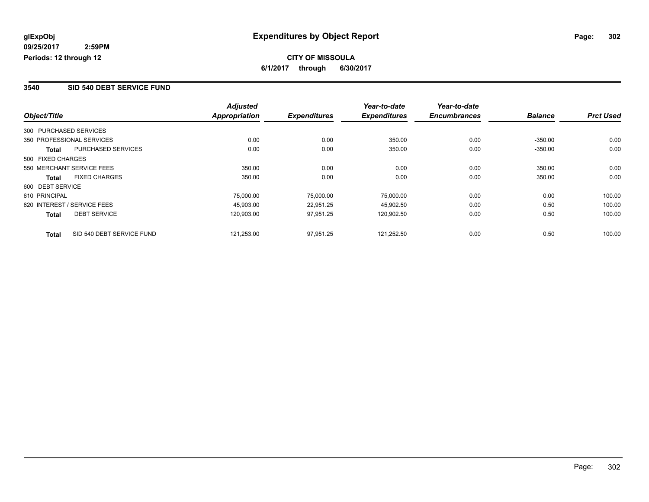#### **3540 SID 540 DEBT SERVICE FUND**

|                   |                             | <b>Adjusted</b> |                     | Year-to-date        | Year-to-date        |                |                  |
|-------------------|-----------------------------|-----------------|---------------------|---------------------|---------------------|----------------|------------------|
| Object/Title      |                             | Appropriation   | <b>Expenditures</b> | <b>Expenditures</b> | <b>Encumbrances</b> | <b>Balance</b> | <b>Prct Used</b> |
|                   | 300 PURCHASED SERVICES      |                 |                     |                     |                     |                |                  |
|                   | 350 PROFESSIONAL SERVICES   | 0.00            | 0.00                | 350.00              | 0.00                | $-350.00$      | 0.00             |
| Total             | PURCHASED SERVICES          | 0.00            | 0.00                | 350.00              | 0.00                | $-350.00$      | 0.00             |
| 500 FIXED CHARGES |                             |                 |                     |                     |                     |                |                  |
|                   | 550 MERCHANT SERVICE FEES   | 350.00          | 0.00                | 0.00                | 0.00                | 350.00         | 0.00             |
| <b>Total</b>      | <b>FIXED CHARGES</b>        | 350.00          | 0.00                | 0.00                | 0.00                | 350.00         | 0.00             |
| 600 DEBT SERVICE  |                             |                 |                     |                     |                     |                |                  |
| 610 PRINCIPAL     |                             | 75,000.00       | 75,000.00           | 75.000.00           | 0.00                | 0.00           | 100.00           |
|                   | 620 INTEREST / SERVICE FEES | 45.903.00       | 22,951.25           | 45.902.50           | 0.00                | 0.50           | 100.00           |
| <b>Total</b>      | <b>DEBT SERVICE</b>         | 120,903.00      | 97,951.25           | 120,902.50          | 0.00                | 0.50           | 100.00           |
| <b>Total</b>      | SID 540 DEBT SERVICE FUND   | 121,253.00      | 97.951.25           | 121.252.50          | 0.00                | 0.50           | 100.00           |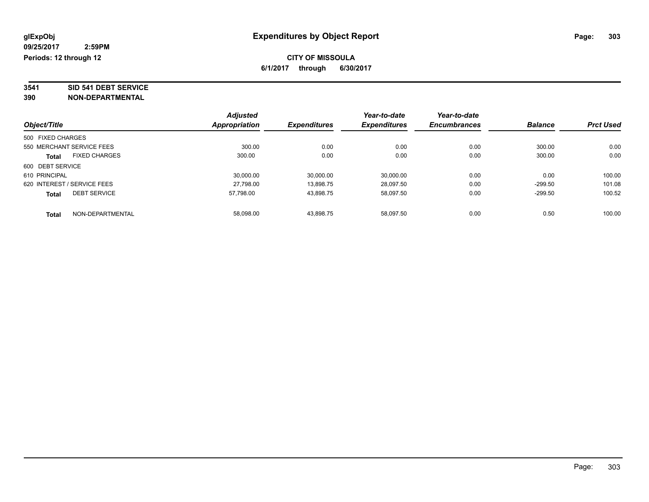# **3541 SID 541 DEBT SERVICE**

| Object/Title      |                             | <b>Adjusted</b> | <b>Expenditures</b> | Year-to-date        | Year-to-date        | <b>Balance</b> | <b>Prct Used</b> |
|-------------------|-----------------------------|-----------------|---------------------|---------------------|---------------------|----------------|------------------|
|                   |                             | Appropriation   |                     | <b>Expenditures</b> | <b>Encumbrances</b> |                |                  |
| 500 FIXED CHARGES |                             |                 |                     |                     |                     |                |                  |
|                   | 550 MERCHANT SERVICE FEES   | 300.00          | 0.00                | 0.00                | 0.00                | 300.00         | 0.00             |
| <b>Total</b>      | <b>FIXED CHARGES</b>        | 300.00          | 0.00                | 0.00                | 0.00                | 300.00         | 0.00             |
| 600 DEBT SERVICE  |                             |                 |                     |                     |                     |                |                  |
| 610 PRINCIPAL     |                             | 30.000.00       | 30,000.00           | 30,000.00           | 0.00                | 0.00           | 100.00           |
|                   | 620 INTEREST / SERVICE FEES | 27.798.00       | 13,898.75           | 28,097.50           | 0.00                | $-299.50$      | 101.08           |
| <b>Total</b>      | <b>DEBT SERVICE</b>         | 57.798.00       | 43,898.75           | 58.097.50           | 0.00                | $-299.50$      | 100.52           |
| <b>Total</b>      | NON-DEPARTMENTAL            | 58.098.00       | 43.898.75           | 58.097.50           | 0.00                | 0.50           | 100.00           |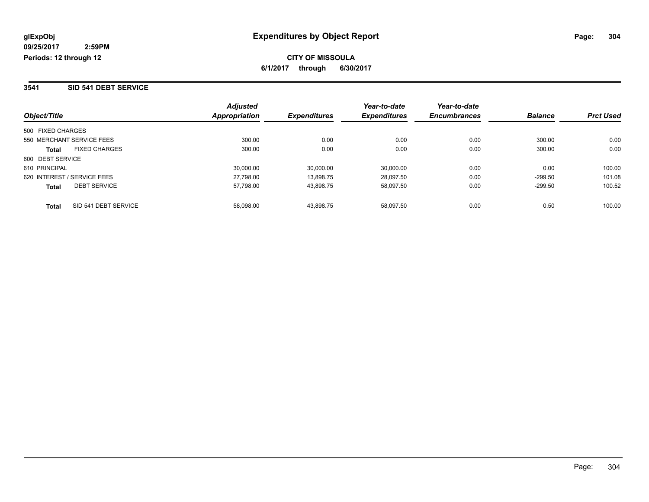#### **3541 SID 541 DEBT SERVICE**

| Object/Title                         | <b>Adjusted</b><br>Appropriation | <b>Expenditures</b> | Year-to-date<br><b>Expenditures</b> | Year-to-date<br><b>Encumbrances</b> | <b>Balance</b> | <b>Prct Used</b> |
|--------------------------------------|----------------------------------|---------------------|-------------------------------------|-------------------------------------|----------------|------------------|
|                                      |                                  |                     |                                     |                                     |                |                  |
| 500 FIXED CHARGES                    |                                  |                     |                                     |                                     |                |                  |
| 550 MERCHANT SERVICE FEES            | 300.00                           | 0.00                | 0.00                                | 0.00                                | 300.00         | 0.00             |
| <b>FIXED CHARGES</b><br><b>Total</b> | 300.00                           | 0.00                | 0.00                                | 0.00                                | 300.00         | 0.00             |
| 600 DEBT SERVICE                     |                                  |                     |                                     |                                     |                |                  |
| 610 PRINCIPAL                        | 30,000.00                        | 30.000.00           | 30,000.00                           | 0.00                                | 0.00           | 100.00           |
| 620 INTEREST / SERVICE FEES          | 27,798.00                        | 13.898.75           | 28.097.50                           | 0.00                                | $-299.50$      | 101.08           |
| <b>DEBT SERVICE</b><br><b>Total</b>  | 57,798.00                        | 43.898.75           | 58.097.50                           | 0.00                                | $-299.50$      | 100.52           |
| SID 541 DEBT SERVICE<br><b>Total</b> | 58.098.00                        | 43.898.75           | 58.097.50                           | 0.00                                | 0.50           | 100.00           |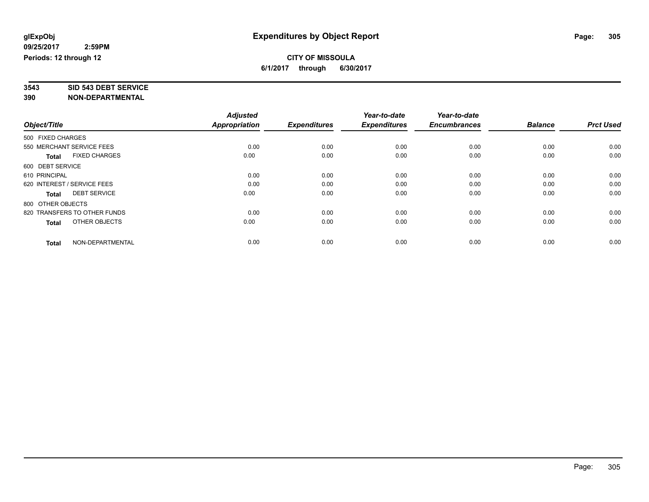# **3543 SID 543 DEBT SERVICE**

|                                      | <b>Adjusted</b>      |                     | Year-to-date        | Year-to-date        |                |                  |
|--------------------------------------|----------------------|---------------------|---------------------|---------------------|----------------|------------------|
| Object/Title                         | <b>Appropriation</b> | <b>Expenditures</b> | <b>Expenditures</b> | <b>Encumbrances</b> | <b>Balance</b> | <b>Prct Used</b> |
| 500 FIXED CHARGES                    |                      |                     |                     |                     |                |                  |
| 550 MERCHANT SERVICE FEES            | 0.00                 | 0.00                | 0.00                | 0.00                | 0.00           | 0.00             |
| <b>FIXED CHARGES</b><br><b>Total</b> | 0.00                 | 0.00                | 0.00                | 0.00                | 0.00           | 0.00             |
| 600 DEBT SERVICE                     |                      |                     |                     |                     |                |                  |
| 610 PRINCIPAL                        | 0.00                 | 0.00                | 0.00                | 0.00                | 0.00           | 0.00             |
| 620 INTEREST / SERVICE FEES          | 0.00                 | 0.00                | 0.00                | 0.00                | 0.00           | 0.00             |
| <b>DEBT SERVICE</b><br><b>Total</b>  | 0.00                 | 0.00                | 0.00                | 0.00                | 0.00           | 0.00             |
| 800 OTHER OBJECTS                    |                      |                     |                     |                     |                |                  |
| 820 TRANSFERS TO OTHER FUNDS         | 0.00                 | 0.00                | 0.00                | 0.00                | 0.00           | 0.00             |
| OTHER OBJECTS<br><b>Total</b>        | 0.00                 | 0.00                | 0.00                | 0.00                | 0.00           | 0.00             |
|                                      |                      |                     |                     |                     |                |                  |
| NON-DEPARTMENTAL<br>Total            | 0.00                 | 0.00                | 0.00                | 0.00                | 0.00           | 0.00             |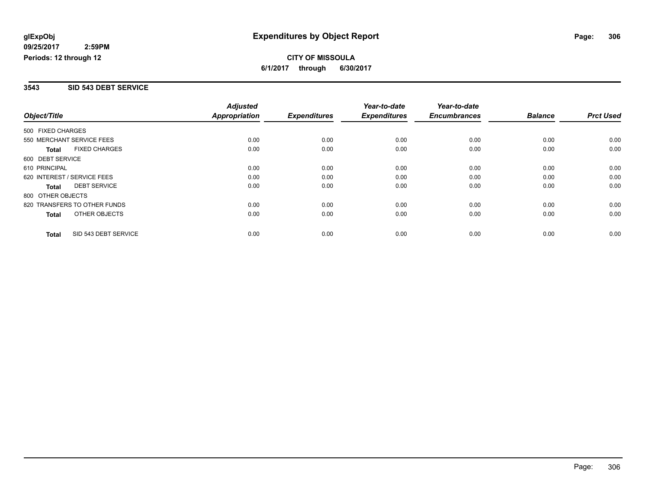#### **3543 SID 543 DEBT SERVICE**

|                              |                      | <b>Adjusted</b>      |                     | Year-to-date        | Year-to-date        |                |                  |
|------------------------------|----------------------|----------------------|---------------------|---------------------|---------------------|----------------|------------------|
| Object/Title                 |                      | <b>Appropriation</b> | <b>Expenditures</b> | <b>Expenditures</b> | <b>Encumbrances</b> | <b>Balance</b> | <b>Prct Used</b> |
| 500 FIXED CHARGES            |                      |                      |                     |                     |                     |                |                  |
| 550 MERCHANT SERVICE FEES    |                      | 0.00                 | 0.00                | 0.00                | 0.00                | 0.00           | 0.00             |
| <b>Total</b>                 | <b>FIXED CHARGES</b> | 0.00                 | 0.00                | 0.00                | 0.00                | 0.00           | 0.00             |
| 600 DEBT SERVICE             |                      |                      |                     |                     |                     |                |                  |
| 610 PRINCIPAL                |                      | 0.00                 | 0.00                | 0.00                | 0.00                | 0.00           | 0.00             |
| 620 INTEREST / SERVICE FEES  |                      | 0.00                 | 0.00                | 0.00                | 0.00                | 0.00           | 0.00             |
| Total                        | <b>DEBT SERVICE</b>  | 0.00                 | 0.00                | 0.00                | 0.00                | 0.00           | 0.00             |
| 800 OTHER OBJECTS            |                      |                      |                     |                     |                     |                |                  |
| 820 TRANSFERS TO OTHER FUNDS |                      | 0.00                 | 0.00                | 0.00                | 0.00                | 0.00           | 0.00             |
| Total                        | OTHER OBJECTS        | 0.00                 | 0.00                | 0.00                | 0.00                | 0.00           | 0.00             |
| <b>Total</b>                 | SID 543 DEBT SERVICE | 0.00                 | 0.00                | 0.00                | 0.00                | 0.00           | 0.00             |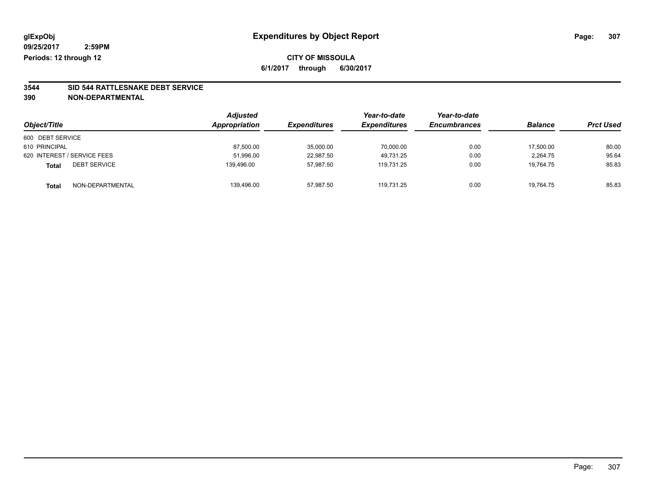# **3544 SID 544 RATTLESNAKE DEBT SERVICE**

|                                  | <b>Adjusted</b> |                     | Year-to-date        | Year-to-date        |                | <b>Prct Used</b> |
|----------------------------------|-----------------|---------------------|---------------------|---------------------|----------------|------------------|
| Object/Title                     | Appropriation   | <b>Expenditures</b> | <b>Expenditures</b> | <b>Encumbrances</b> | <b>Balance</b> |                  |
| 600 DEBT SERVICE                 |                 |                     |                     |                     |                |                  |
| 610 PRINCIPAL                    | 87,500.00       | 35,000.00           | 70,000.00           | 0.00                | 17,500.00      | 80.00            |
| 620 INTEREST / SERVICE FEES      | 51,996.00       | 22,987.50           | 49.731.25           | 0.00                | 2,264.75       | 95.64            |
| <b>DEBT SERVICE</b><br>Total     | 139,496.00      | 57,987.50           | 119.731.25          | 0.00                | 19,764.75      | 85.83            |
| NON-DEPARTMENTAL<br><b>Total</b> | 139,496.00      | 57,987.50           | 119.731.25          | 0.00                | 19,764.75      | 85.83            |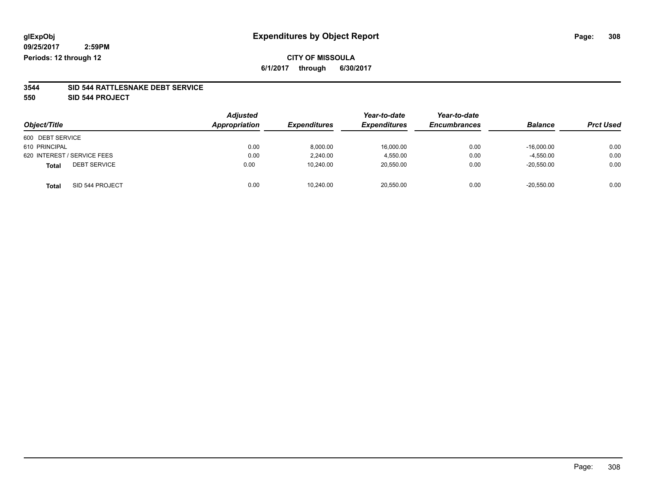### **CITY OF MISSOULA 6/1/2017 through 6/30/2017**

#### **3544 SID 544 RATTLESNAKE DEBT SERVICE**

**550 SID 544 PROJECT**

| Object/Title                        | <b>Adjusted</b><br>Appropriation | <b>Expenditures</b> | Year-to-date<br><b>Expenditures</b> | Year-to-date<br><b>Encumbrances</b> | <b>Balance</b> | <b>Prct Used</b> |
|-------------------------------------|----------------------------------|---------------------|-------------------------------------|-------------------------------------|----------------|------------------|
| 600 DEBT SERVICE                    |                                  |                     |                                     |                                     |                |                  |
| 610 PRINCIPAL                       | 0.00                             | 8.000.00            | 16.000.00                           | 0.00                                | $-16.000.00$   | 0.00             |
| 620 INTEREST / SERVICE FEES         | 0.00                             | 2.240.00            | 4.550.00                            | 0.00                                | $-4,550.00$    | 0.00             |
| <b>DEBT SERVICE</b><br><b>Total</b> | 0.00                             | 10,240.00           | 20,550.00                           | 0.00                                | $-20,550.00$   | 0.00             |
| SID 544 PROJECT<br><b>Total</b>     | 0.00                             | 10,240.00           | 20,550.00                           | 0.00                                | $-20,550.00$   | 0.00             |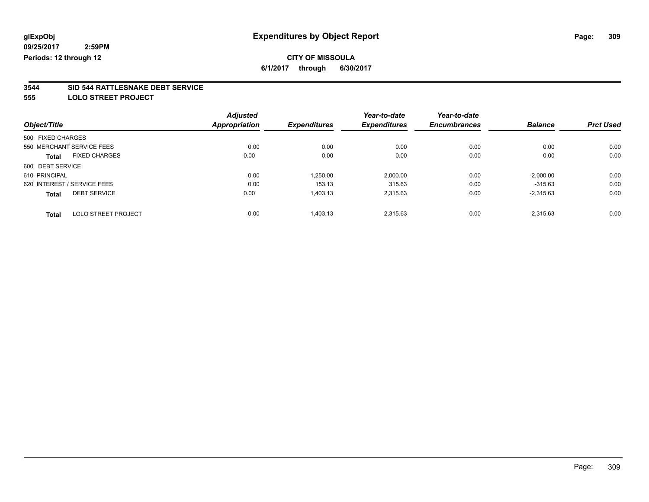# **CITY OF MISSOULA**

**6/1/2017 through 6/30/2017**

# **3544 SID 544 RATTLESNAKE DEBT SERVICE**

**555 LOLO STREET PROJECT**

| Object/Title      |                             | <b>Adjusted</b>      | <b>Expenditures</b> | Year-to-date<br><b>Expenditures</b> | Year-to-date<br><b>Encumbrances</b> | <b>Balance</b> | <b>Prct Used</b> |
|-------------------|-----------------------------|----------------------|---------------------|-------------------------------------|-------------------------------------|----------------|------------------|
|                   |                             | <b>Appropriation</b> |                     |                                     |                                     |                |                  |
| 500 FIXED CHARGES |                             |                      |                     |                                     |                                     |                |                  |
|                   | 550 MERCHANT SERVICE FEES   | 0.00                 | 0.00                | 0.00                                | 0.00                                | 0.00           | 0.00             |
| <b>Total</b>      | <b>FIXED CHARGES</b>        | 0.00                 | 0.00                | 0.00                                | 0.00                                | 0.00           | 0.00             |
| 600 DEBT SERVICE  |                             |                      |                     |                                     |                                     |                |                  |
| 610 PRINCIPAL     |                             | 0.00                 | 1,250.00            | 2,000.00                            | 0.00                                | $-2,000.00$    | 0.00             |
|                   | 620 INTEREST / SERVICE FEES | 0.00                 | 153.13              | 315.63                              | 0.00                                | $-315.63$      | 0.00             |
| <b>Total</b>      | <b>DEBT SERVICE</b>         | 0.00                 | 1,403.13            | 2.315.63                            | 0.00                                | $-2.315.63$    | 0.00             |
| <b>Total</b>      | <b>LOLO STREET PROJECT</b>  | 0.00                 | 1,403.13            | 2.315.63                            | 0.00                                | $-2.315.63$    | 0.00             |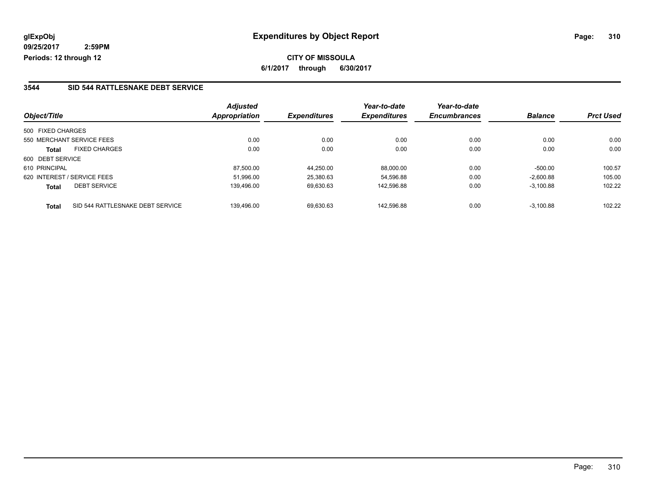**CITY OF MISSOULA 6/1/2017 through 6/30/2017**

#### **3544 SID 544 RATTLESNAKE DEBT SERVICE**

| Object/Title                                     | <b>Adjusted</b><br>Appropriation | <b>Expenditures</b> | Year-to-date<br><b>Expenditures</b> | Year-to-date<br><b>Encumbrances</b> | <b>Balance</b> | <b>Prct Used</b> |
|--------------------------------------------------|----------------------------------|---------------------|-------------------------------------|-------------------------------------|----------------|------------------|
|                                                  |                                  |                     |                                     |                                     |                |                  |
| 500 FIXED CHARGES                                |                                  |                     |                                     |                                     |                |                  |
| 550 MERCHANT SERVICE FEES                        | 0.00                             | 0.00                | 0.00                                | 0.00                                | 0.00           | 0.00             |
| <b>FIXED CHARGES</b><br><b>Total</b>             | 0.00                             | 0.00                | 0.00                                | 0.00                                | 0.00           | 0.00             |
| 600 DEBT SERVICE                                 |                                  |                     |                                     |                                     |                |                  |
| 610 PRINCIPAL                                    | 87.500.00                        | 44.250.00           | 88.000.00                           | 0.00                                | $-500.00$      | 100.57           |
| 620 INTEREST / SERVICE FEES                      | 51,996.00                        | 25,380.63           | 54,596.88                           | 0.00                                | $-2,600.88$    | 105.00           |
| <b>DEBT SERVICE</b><br><b>Total</b>              | 139,496.00                       | 69,630.63           | 142,596.88                          | 0.00                                | $-3,100.88$    | 102.22           |
| SID 544 RATTLESNAKE DEBT SERVICE<br><b>Total</b> | 139.496.00                       | 69.630.63           | 142.596.88                          | 0.00                                | $-3.100.88$    | 102.22           |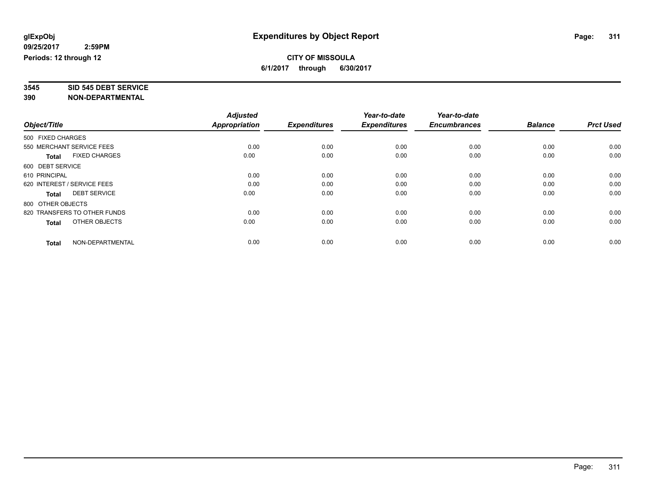# **3545 SID 545 DEBT SERVICE**

|                                      | <b>Adjusted</b> |                     | Year-to-date        | Year-to-date        |                |                  |
|--------------------------------------|-----------------|---------------------|---------------------|---------------------|----------------|------------------|
| Object/Title                         | Appropriation   | <b>Expenditures</b> | <b>Expenditures</b> | <b>Encumbrances</b> | <b>Balance</b> | <b>Prct Used</b> |
| 500 FIXED CHARGES                    |                 |                     |                     |                     |                |                  |
| 550 MERCHANT SERVICE FEES            | 0.00            | 0.00                | 0.00                | 0.00                | 0.00           | 0.00             |
| <b>FIXED CHARGES</b><br><b>Total</b> | 0.00            | 0.00                | 0.00                | 0.00                | 0.00           | 0.00             |
| 600 DEBT SERVICE                     |                 |                     |                     |                     |                |                  |
| 610 PRINCIPAL                        | 0.00            | 0.00                | 0.00                | 0.00                | 0.00           | 0.00             |
| 620 INTEREST / SERVICE FEES          | 0.00            | 0.00                | 0.00                | 0.00                | 0.00           | 0.00             |
| <b>DEBT SERVICE</b><br><b>Total</b>  | 0.00            | 0.00                | 0.00                | 0.00                | 0.00           | 0.00             |
| 800 OTHER OBJECTS                    |                 |                     |                     |                     |                |                  |
| 820 TRANSFERS TO OTHER FUNDS         | 0.00            | 0.00                | 0.00                | 0.00                | 0.00           | 0.00             |
| OTHER OBJECTS<br><b>Total</b>        | 0.00            | 0.00                | 0.00                | 0.00                | 0.00           | 0.00             |
|                                      |                 |                     |                     |                     |                |                  |
| NON-DEPARTMENTAL<br><b>Total</b>     | 0.00            | 0.00                | 0.00                | 0.00                | 0.00           | 0.00             |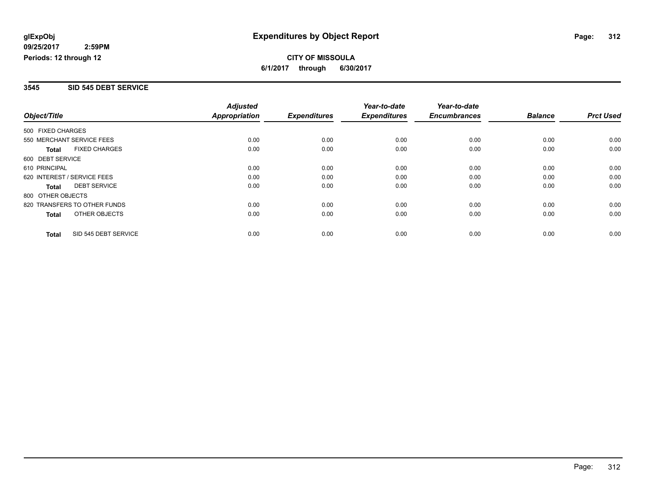#### **3545 SID 545 DEBT SERVICE**

|                   |                              | <b>Adjusted</b> |                     | Year-to-date        | Year-to-date        |                |                  |
|-------------------|------------------------------|-----------------|---------------------|---------------------|---------------------|----------------|------------------|
| Object/Title      |                              | Appropriation   | <b>Expenditures</b> | <b>Expenditures</b> | <b>Encumbrances</b> | <b>Balance</b> | <b>Prct Used</b> |
| 500 FIXED CHARGES |                              |                 |                     |                     |                     |                |                  |
|                   | 550 MERCHANT SERVICE FEES    | 0.00            | 0.00                | 0.00                | 0.00                | 0.00           | 0.00             |
| <b>Total</b>      | <b>FIXED CHARGES</b>         | 0.00            | 0.00                | 0.00                | 0.00                | 0.00           | 0.00             |
| 600 DEBT SERVICE  |                              |                 |                     |                     |                     |                |                  |
| 610 PRINCIPAL     |                              | 0.00            | 0.00                | 0.00                | 0.00                | 0.00           | 0.00             |
|                   | 620 INTEREST / SERVICE FEES  | 0.00            | 0.00                | 0.00                | 0.00                | 0.00           | 0.00             |
| <b>Total</b>      | <b>DEBT SERVICE</b>          | 0.00            | 0.00                | 0.00                | 0.00                | 0.00           | 0.00             |
| 800 OTHER OBJECTS |                              |                 |                     |                     |                     |                |                  |
|                   | 820 TRANSFERS TO OTHER FUNDS | 0.00            | 0.00                | 0.00                | 0.00                | 0.00           | 0.00             |
| Total             | OTHER OBJECTS                | 0.00            | 0.00                | 0.00                | 0.00                | 0.00           | 0.00             |
| <b>Total</b>      | SID 545 DEBT SERVICE         | 0.00            | 0.00                | 0.00                | 0.00                | 0.00           | 0.00             |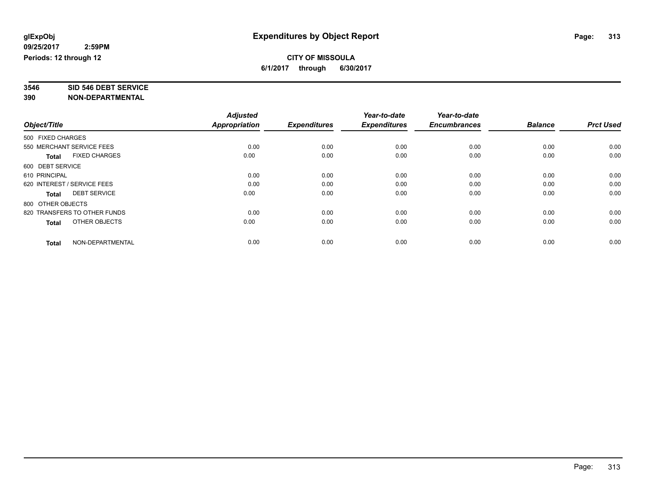# **3546 SID 546 DEBT SERVICE**

|                                      | <b>Adjusted</b> |                     | Year-to-date        | Year-to-date        |                |                  |
|--------------------------------------|-----------------|---------------------|---------------------|---------------------|----------------|------------------|
| Object/Title                         | Appropriation   | <b>Expenditures</b> | <b>Expenditures</b> | <b>Encumbrances</b> | <b>Balance</b> | <b>Prct Used</b> |
| 500 FIXED CHARGES                    |                 |                     |                     |                     |                |                  |
| 550 MERCHANT SERVICE FEES            | 0.00            | 0.00                | 0.00                | 0.00                | 0.00           | 0.00             |
| <b>FIXED CHARGES</b><br><b>Total</b> | 0.00            | 0.00                | 0.00                | 0.00                | 0.00           | 0.00             |
| 600 DEBT SERVICE                     |                 |                     |                     |                     |                |                  |
| 610 PRINCIPAL                        | 0.00            | 0.00                | 0.00                | 0.00                | 0.00           | 0.00             |
| 620 INTEREST / SERVICE FEES          | 0.00            | 0.00                | 0.00                | 0.00                | 0.00           | 0.00             |
| <b>DEBT SERVICE</b><br><b>Total</b>  | 0.00            | 0.00                | 0.00                | 0.00                | 0.00           | 0.00             |
| 800 OTHER OBJECTS                    |                 |                     |                     |                     |                |                  |
| 820 TRANSFERS TO OTHER FUNDS         | 0.00            | 0.00                | 0.00                | 0.00                | 0.00           | 0.00             |
| OTHER OBJECTS<br><b>Total</b>        | 0.00            | 0.00                | 0.00                | 0.00                | 0.00           | 0.00             |
|                                      |                 |                     |                     |                     |                |                  |
| NON-DEPARTMENTAL<br><b>Total</b>     | 0.00            | 0.00                | 0.00                | 0.00                | 0.00           | 0.00             |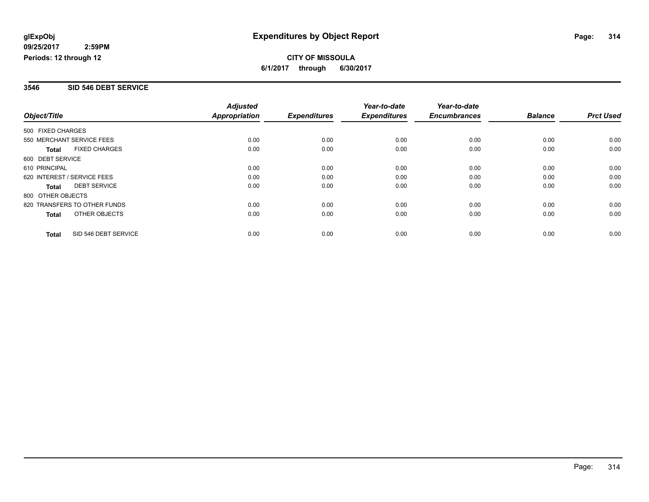#### **3546 SID 546 DEBT SERVICE**

|                              |                      | <b>Adjusted</b>      |                     | Year-to-date        | Year-to-date        |                |                  |
|------------------------------|----------------------|----------------------|---------------------|---------------------|---------------------|----------------|------------------|
| Object/Title                 |                      | <b>Appropriation</b> | <b>Expenditures</b> | <b>Expenditures</b> | <b>Encumbrances</b> | <b>Balance</b> | <b>Prct Used</b> |
| 500 FIXED CHARGES            |                      |                      |                     |                     |                     |                |                  |
| 550 MERCHANT SERVICE FEES    |                      | 0.00                 | 0.00                | 0.00                | 0.00                | 0.00           | 0.00             |
| <b>Total</b>                 | <b>FIXED CHARGES</b> | 0.00                 | 0.00                | 0.00                | 0.00                | 0.00           | 0.00             |
| 600 DEBT SERVICE             |                      |                      |                     |                     |                     |                |                  |
| 610 PRINCIPAL                |                      | 0.00                 | 0.00                | 0.00                | 0.00                | 0.00           | 0.00             |
| 620 INTEREST / SERVICE FEES  |                      | 0.00                 | 0.00                | 0.00                | 0.00                | 0.00           | 0.00             |
| Total                        | <b>DEBT SERVICE</b>  | 0.00                 | 0.00                | 0.00                | 0.00                | 0.00           | 0.00             |
| 800 OTHER OBJECTS            |                      |                      |                     |                     |                     |                |                  |
| 820 TRANSFERS TO OTHER FUNDS |                      | 0.00                 | 0.00                | 0.00                | 0.00                | 0.00           | 0.00             |
| Total                        | OTHER OBJECTS        | 0.00                 | 0.00                | 0.00                | 0.00                | 0.00           | 0.00             |
| <b>Total</b>                 | SID 546 DEBT SERVICE | 0.00                 | 0.00                | 0.00                | 0.00                | 0.00           | 0.00             |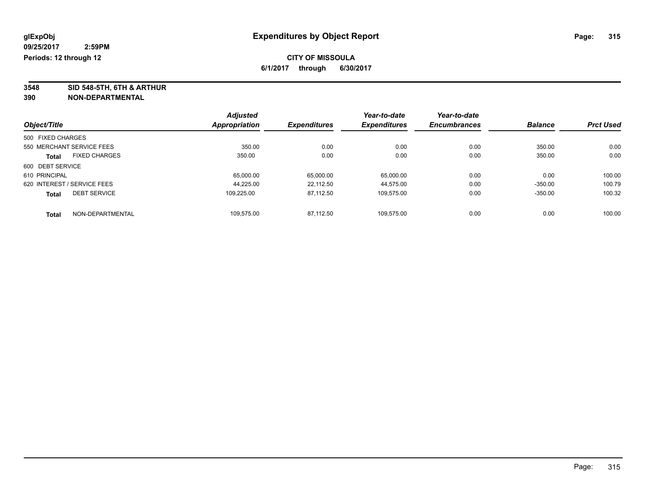**3548 SID 548-5TH, 6TH & ARTHUR**

|                             |                      | <b>Adjusted</b> |                     | Year-to-date        | Year-to-date        |                |                  |
|-----------------------------|----------------------|-----------------|---------------------|---------------------|---------------------|----------------|------------------|
| Object/Title                |                      | Appropriation   | <b>Expenditures</b> | <b>Expenditures</b> | <b>Encumbrances</b> | <b>Balance</b> | <b>Prct Used</b> |
| 500 FIXED CHARGES           |                      |                 |                     |                     |                     |                |                  |
| 550 MERCHANT SERVICE FEES   |                      | 350.00          | 0.00                | 0.00                | 0.00                | 350.00         | 0.00             |
| <b>Total</b>                | <b>FIXED CHARGES</b> | 350.00          | 0.00                | 0.00                | 0.00                | 350.00         | 0.00             |
| 600 DEBT SERVICE            |                      |                 |                     |                     |                     |                |                  |
| 610 PRINCIPAL               |                      | 65,000.00       | 65,000.00           | 65,000.00           | 0.00                | 0.00           | 100.00           |
| 620 INTEREST / SERVICE FEES |                      | 44.225.00       | 22.112.50           | 44.575.00           | 0.00                | $-350.00$      | 100.79           |
| <b>Total</b>                | <b>DEBT SERVICE</b>  | 109.225.00      | 87.112.50           | 109.575.00          | 0.00                | $-350.00$      | 100.32           |
| <b>Total</b>                | NON-DEPARTMENTAL     | 109.575.00      | 87.112.50           | 109.575.00          | 0.00                | 0.00           | 100.00           |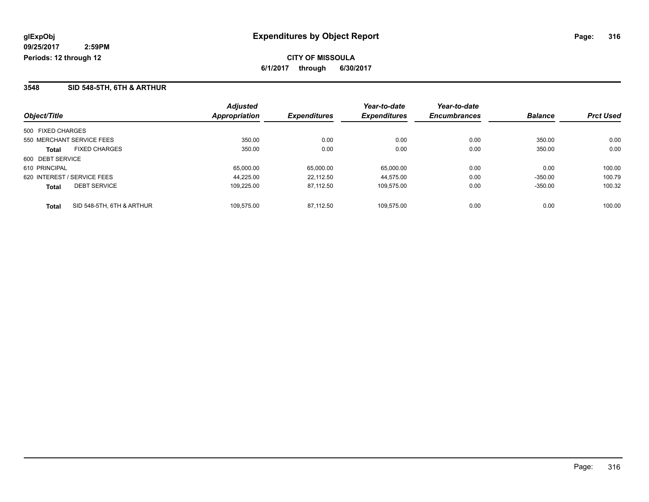#### **3548 SID 548-5TH, 6TH & ARTHUR**

|                                           | <b>Adjusted</b>      |                     | Year-to-date        | Year-to-date        |                |                  |
|-------------------------------------------|----------------------|---------------------|---------------------|---------------------|----------------|------------------|
| Object/Title                              | <b>Appropriation</b> | <b>Expenditures</b> | <b>Expenditures</b> | <b>Encumbrances</b> | <b>Balance</b> | <b>Prct Used</b> |
| 500 FIXED CHARGES                         |                      |                     |                     |                     |                |                  |
| 550 MERCHANT SERVICE FEES                 | 350.00               | 0.00                | 0.00                | 0.00                | 350.00         | 0.00             |
| <b>FIXED CHARGES</b><br><b>Total</b>      | 350.00               | 0.00                | 0.00                | 0.00                | 350.00         | 0.00             |
| 600 DEBT SERVICE                          |                      |                     |                     |                     |                |                  |
| 610 PRINCIPAL                             | 65.000.00            | 65.000.00           | 65.000.00           | 0.00                | 0.00           | 100.00           |
| 620 INTEREST / SERVICE FEES               | 44.225.00            | 22.112.50           | 44.575.00           | 0.00                | $-350.00$      | 100.79           |
| <b>DEBT SERVICE</b><br><b>Total</b>       | 109.225.00           | 87.112.50           | 109.575.00          | 0.00                | $-350.00$      | 100.32           |
| SID 548-5TH, 6TH & ARTHUR<br><b>Total</b> | 109.575.00           | 87.112.50           | 109.575.00          | 0.00                | 0.00           | 100.00           |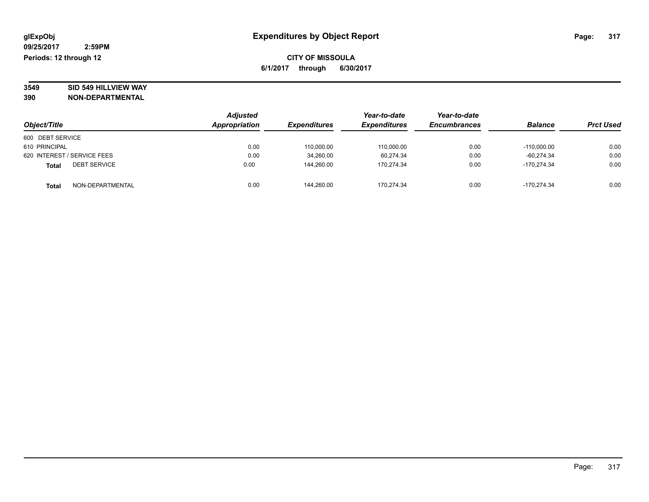# **3549 SID 549 HILLVIEW WAY**

| Object/Title                        | <b>Adjusted</b><br>Appropriation | <b>Expenditures</b> | Year-to-date<br><b>Expenditures</b> | Year-to-date<br><b>Encumbrances</b> | <b>Balance</b> | <b>Prct Used</b> |
|-------------------------------------|----------------------------------|---------------------|-------------------------------------|-------------------------------------|----------------|------------------|
| 600 DEBT SERVICE                    |                                  |                     |                                     |                                     |                |                  |
|                                     |                                  |                     |                                     |                                     |                |                  |
| 610 PRINCIPAL                       | 0.00                             | 110,000.00          | 110,000.00                          | 0.00                                | $-110.000.00$  | 0.00             |
| 620 INTEREST / SERVICE FEES         | 0.00                             | 34,260.00           | 60.274.34                           | 0.00                                | $-60.274.34$   | 0.00             |
| <b>DEBT SERVICE</b><br><b>Total</b> | 0.00                             | 144.260.00          | 170.274.34                          | 0.00                                | -170.274.34    | 0.00             |
| NON-DEPARTMENTAL<br><b>Total</b>    | 0.00                             | 144.260.00          | 170.274.34                          | 0.00                                | -170.274.34    | 0.00             |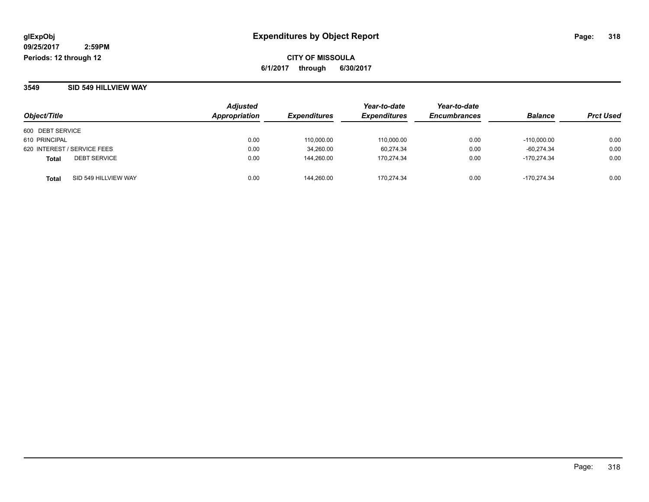#### **3549 SID 549 HILLVIEW WAY**

|                               | <b>Adjusted</b> | <i><b>Expenditures</b></i> | Year-to-date        | Year-to-date<br><b>Encumbrances</b> | <b>Balance</b> |                  |
|-------------------------------|-----------------|----------------------------|---------------------|-------------------------------------|----------------|------------------|
| Object/Title                  | Appropriation   |                            | <b>Expenditures</b> |                                     |                | <b>Prct Used</b> |
| 600 DEBT SERVICE              |                 |                            |                     |                                     |                |                  |
| 610 PRINCIPAL                 | 0.00            | 110.000.00                 | 110.000.00          | 0.00                                | $-110.000.00$  | 0.00             |
| 620 INTEREST / SERVICE FEES   | 0.00            | 34,260.00                  | 60,274.34           | 0.00                                | $-60,274.34$   | 0.00             |
| <b>DEBT SERVICE</b><br>Total  | 0.00            | 144.260.00                 | 170.274.34          | 0.00                                | $-170.274.34$  | 0.00             |
| SID 549 HILLVIEW WAY<br>Total | 0.00            | 144.260.00                 | 170.274.34          | 0.00                                | $-170.274.34$  | 0.00             |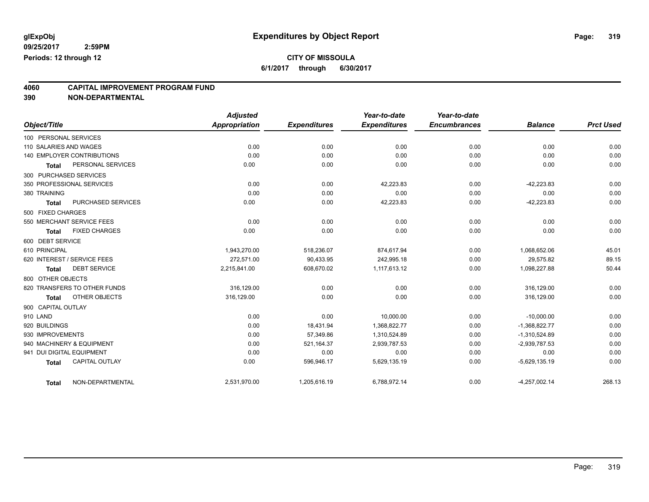# **CITY OF MISSOULA**

**6/1/2017 through 6/30/2017**

# **4060 CAPITAL IMPROVEMENT PROGRAM FUND**

|                        |                                   | <b>Adjusted</b> |                     | Year-to-date        | Year-to-date        |                 |                  |
|------------------------|-----------------------------------|-----------------|---------------------|---------------------|---------------------|-----------------|------------------|
| Object/Title           |                                   | Appropriation   | <b>Expenditures</b> | <b>Expenditures</b> | <b>Encumbrances</b> | <b>Balance</b>  | <b>Prct Used</b> |
| 100 PERSONAL SERVICES  |                                   |                 |                     |                     |                     |                 |                  |
| 110 SALARIES AND WAGES |                                   | 0.00            | 0.00                | 0.00                | 0.00                | 0.00            | 0.00             |
|                        | <b>140 EMPLOYER CONTRIBUTIONS</b> | 0.00            | 0.00                | 0.00                | 0.00                | 0.00            | 0.00             |
| <b>Total</b>           | PERSONAL SERVICES                 | 0.00            | 0.00                | 0.00                | 0.00                | 0.00            | 0.00             |
|                        | 300 PURCHASED SERVICES            |                 |                     |                     |                     |                 |                  |
|                        | 350 PROFESSIONAL SERVICES         | 0.00            | 0.00                | 42,223.83           | 0.00                | $-42,223.83$    | 0.00             |
| 380 TRAINING           |                                   | 0.00            | 0.00                | 0.00                | 0.00                | 0.00            | 0.00             |
| <b>Total</b>           | PURCHASED SERVICES                | 0.00            | 0.00                | 42,223.83           | 0.00                | $-42,223.83$    | 0.00             |
| 500 FIXED CHARGES      |                                   |                 |                     |                     |                     |                 |                  |
|                        | 550 MERCHANT SERVICE FEES         | 0.00            | 0.00                | 0.00                | 0.00                | 0.00            | 0.00             |
| <b>Total</b>           | <b>FIXED CHARGES</b>              | 0.00            | 0.00                | 0.00                | 0.00                | 0.00            | 0.00             |
| 600 DEBT SERVICE       |                                   |                 |                     |                     |                     |                 |                  |
| 610 PRINCIPAL          |                                   | 1.943.270.00    | 518,236.07          | 874,617.94          | 0.00                | 1.068.652.06    | 45.01            |
|                        | 620 INTEREST / SERVICE FEES       | 272.571.00      | 90,433.95           | 242,995.18          | 0.00                | 29,575.82       | 89.15            |
| <b>Total</b>           | <b>DEBT SERVICE</b>               | 2,215,841.00    | 608,670.02          | 1,117,613.12        | 0.00                | 1,098,227.88    | 50.44            |
| 800 OTHER OBJECTS      |                                   |                 |                     |                     |                     |                 |                  |
|                        | 820 TRANSFERS TO OTHER FUNDS      | 316,129.00      | 0.00                | 0.00                | 0.00                | 316,129.00      | 0.00             |
| <b>Total</b>           | <b>OTHER OBJECTS</b>              | 316.129.00      | 0.00                | 0.00                | 0.00                | 316,129.00      | 0.00             |
| 900 CAPITAL OUTLAY     |                                   |                 |                     |                     |                     |                 |                  |
| 910 LAND               |                                   | 0.00            | 0.00                | 10,000.00           | 0.00                | $-10,000.00$    | 0.00             |
| 920 BUILDINGS          |                                   | 0.00            | 18,431.94           | 1,368,822.77        | 0.00                | $-1,368,822.77$ | 0.00             |
| 930 IMPROVEMENTS       |                                   | 0.00            | 57,349.86           | 1,310,524.89        | 0.00                | $-1,310,524.89$ | 0.00             |
|                        | 940 MACHINERY & EQUIPMENT         | 0.00            | 521,164.37          | 2,939,787.53        | 0.00                | $-2,939,787.53$ | 0.00             |
|                        | 941 DUI DIGITAL EQUIPMENT         | 0.00            | 0.00                | 0.00                | 0.00                | 0.00            | 0.00             |
| <b>Total</b>           | <b>CAPITAL OUTLAY</b>             | 0.00            | 596,946.17          | 5,629,135.19        | 0.00                | $-5,629,135.19$ | 0.00             |
| <b>Total</b>           | NON-DEPARTMENTAL                  | 2,531,970.00    | 1,205,616.19        | 6,788,972.14        | 0.00                | $-4,257,002.14$ | 268.13           |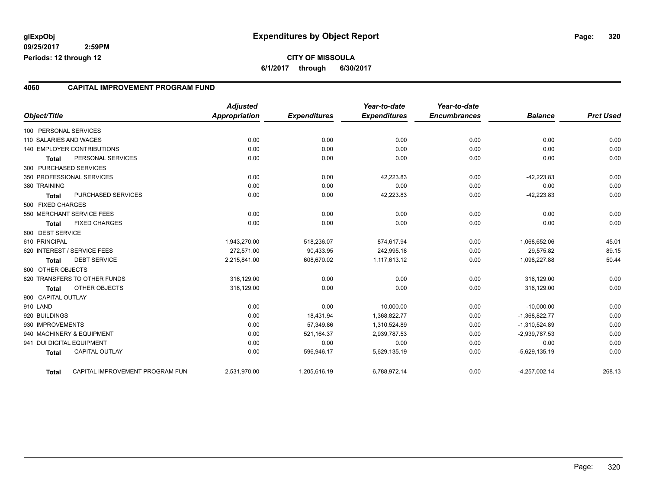#### **4060 CAPITAL IMPROVEMENT PROGRAM FUND**

| Object/Title              |                                 | <b>Adjusted</b><br><b>Appropriation</b> | <b>Expenditures</b> | Year-to-date<br><b>Expenditures</b> | Year-to-date<br><b>Encumbrances</b> | <b>Balance</b>  | <b>Prct Used</b> |
|---------------------------|---------------------------------|-----------------------------------------|---------------------|-------------------------------------|-------------------------------------|-----------------|------------------|
| 100 PERSONAL SERVICES     |                                 |                                         |                     |                                     |                                     |                 |                  |
| 110 SALARIES AND WAGES    |                                 | 0.00                                    | 0.00                | 0.00                                | 0.00                                | 0.00            | 0.00             |
|                           | 140 EMPLOYER CONTRIBUTIONS      | 0.00                                    | 0.00                | 0.00                                | 0.00                                | 0.00            | 0.00             |
| Total                     | PERSONAL SERVICES               | 0.00                                    | 0.00                | 0.00                                | 0.00                                | 0.00            | 0.00             |
| 300 PURCHASED SERVICES    |                                 |                                         |                     |                                     |                                     |                 |                  |
|                           | 350 PROFESSIONAL SERVICES       | 0.00                                    | 0.00                | 42,223.83                           | 0.00                                | $-42,223.83$    | 0.00             |
| 380 TRAINING              |                                 | 0.00                                    | 0.00                | 0.00                                | 0.00                                | 0.00            | 0.00             |
| <b>Total</b>              | PURCHASED SERVICES              | 0.00                                    | 0.00                | 42,223.83                           | 0.00                                | $-42,223.83$    | 0.00             |
| 500 FIXED CHARGES         |                                 |                                         |                     |                                     |                                     |                 |                  |
|                           | 550 MERCHANT SERVICE FEES       | 0.00                                    | 0.00                | 0.00                                | 0.00                                | 0.00            | 0.00             |
| <b>Total</b>              | <b>FIXED CHARGES</b>            | 0.00                                    | 0.00                | 0.00                                | 0.00                                | 0.00            | 0.00             |
| 600 DEBT SERVICE          |                                 |                                         |                     |                                     |                                     |                 |                  |
| 610 PRINCIPAL             |                                 | 1,943,270.00                            | 518,236.07          | 874,617.94                          | 0.00                                | 1,068,652.06    | 45.01            |
|                           | 620 INTEREST / SERVICE FEES     | 272.571.00                              | 90,433.95           | 242,995.18                          | 0.00                                | 29,575.82       | 89.15            |
| <b>Total</b>              | <b>DEBT SERVICE</b>             | 2,215,841.00                            | 608,670.02          | 1,117,613.12                        | 0.00                                | 1,098,227.88    | 50.44            |
| 800 OTHER OBJECTS         |                                 |                                         |                     |                                     |                                     |                 |                  |
|                           | 820 TRANSFERS TO OTHER FUNDS    | 316,129.00                              | 0.00                | 0.00                                | 0.00                                | 316,129.00      | 0.00             |
| <b>Total</b>              | OTHER OBJECTS                   | 316,129.00                              | 0.00                | 0.00                                | 0.00                                | 316,129.00      | 0.00             |
| 900 CAPITAL OUTLAY        |                                 |                                         |                     |                                     |                                     |                 |                  |
| 910 LAND                  |                                 | 0.00                                    | 0.00                | 10.000.00                           | 0.00                                | $-10,000.00$    | 0.00             |
| 920 BUILDINGS             |                                 | 0.00                                    | 18,431.94           | 1,368,822.77                        | 0.00                                | $-1,368,822.77$ | 0.00             |
| 930 IMPROVEMENTS          |                                 | 0.00                                    | 57,349.86           | 1,310,524.89                        | 0.00                                | $-1,310,524.89$ | 0.00             |
|                           | 940 MACHINERY & EQUIPMENT       | 0.00                                    | 521,164.37          | 2,939,787.53                        | 0.00                                | $-2,939,787.53$ | 0.00             |
| 941 DUI DIGITAL EQUIPMENT |                                 | 0.00                                    | 0.00                | 0.00                                | 0.00                                | 0.00            | 0.00             |
| <b>Total</b>              | <b>CAPITAL OUTLAY</b>           | 0.00                                    | 596,946.17          | 5,629,135.19                        | 0.00                                | $-5,629,135.19$ | 0.00             |
| <b>Total</b>              | CAPITAL IMPROVEMENT PROGRAM FUN | 2,531,970.00                            | 1,205,616.19        | 6,788,972.14                        | 0.00                                | $-4,257,002.14$ | 268.13           |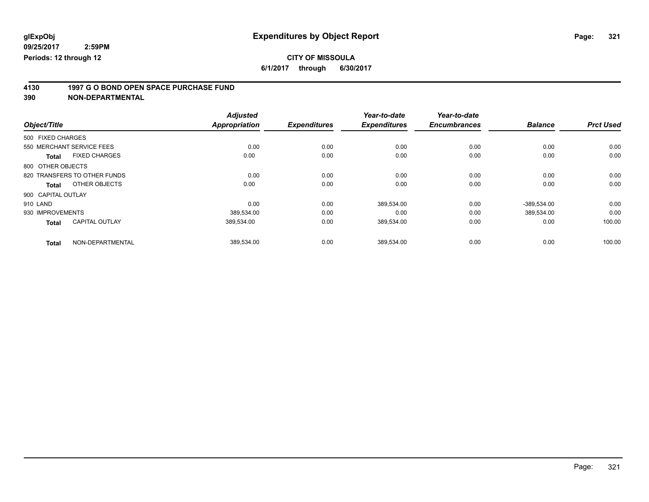# **CITY OF MISSOULA**

**6/1/2017 through 6/30/2017**

# **4130 1997 G O BOND OPEN SPACE PURCHASE FUND**

|                    |                              | <b>Adjusted</b>      |                     | Year-to-date        | Year-to-date        |                |                  |
|--------------------|------------------------------|----------------------|---------------------|---------------------|---------------------|----------------|------------------|
| Object/Title       |                              | <b>Appropriation</b> | <b>Expenditures</b> | <b>Expenditures</b> | <b>Encumbrances</b> | <b>Balance</b> | <b>Prct Used</b> |
| 500 FIXED CHARGES  |                              |                      |                     |                     |                     |                |                  |
|                    | 550 MERCHANT SERVICE FEES    | 0.00                 | 0.00                | 0.00                | 0.00                | 0.00           | 0.00             |
| <b>Total</b>       | <b>FIXED CHARGES</b>         | 0.00                 | 0.00                | 0.00                | 0.00                | 0.00           | 0.00             |
| 800 OTHER OBJECTS  |                              |                      |                     |                     |                     |                |                  |
|                    | 820 TRANSFERS TO OTHER FUNDS | 0.00                 | 0.00                | 0.00                | 0.00                | 0.00           | 0.00             |
| <b>Total</b>       | OTHER OBJECTS                | 0.00                 | 0.00                | 0.00                | 0.00                | 0.00           | 0.00             |
| 900 CAPITAL OUTLAY |                              |                      |                     |                     |                     |                |                  |
| 910 LAND           |                              | 0.00                 | 0.00                | 389,534.00          | 0.00                | $-389,534.00$  | 0.00             |
| 930 IMPROVEMENTS   |                              | 389,534.00           | 0.00                | 0.00                | 0.00                | 389,534.00     | 0.00             |
| <b>Total</b>       | <b>CAPITAL OUTLAY</b>        | 389.534.00           | 0.00                | 389,534.00          | 0.00                | 0.00           | 100.00           |
| <b>Total</b>       | NON-DEPARTMENTAL             | 389,534.00           | 0.00                | 389,534.00          | 0.00                | 0.00           | 100.00           |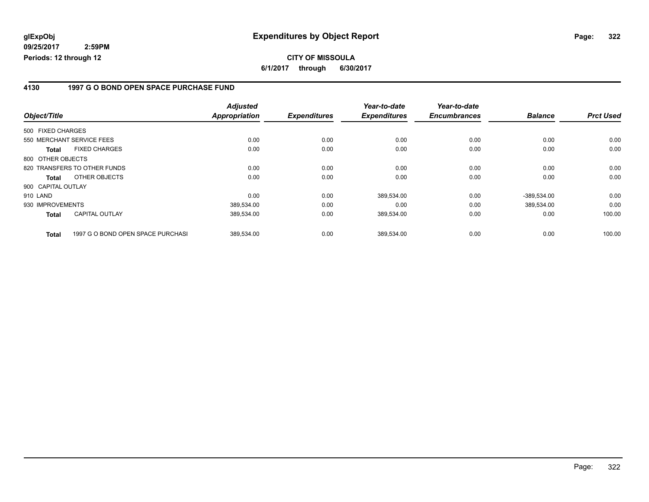#### **4130 1997 G O BOND OPEN SPACE PURCHASE FUND**

|                    |                                   | <b>Adjusted</b>      |                     | Year-to-date        | Year-to-date        |                |                  |
|--------------------|-----------------------------------|----------------------|---------------------|---------------------|---------------------|----------------|------------------|
| Object/Title       |                                   | <b>Appropriation</b> | <b>Expenditures</b> | <b>Expenditures</b> | <b>Encumbrances</b> | <b>Balance</b> | <b>Prct Used</b> |
| 500 FIXED CHARGES  |                                   |                      |                     |                     |                     |                |                  |
|                    | 550 MERCHANT SERVICE FEES         | 0.00                 | 0.00                | 0.00                | 0.00                | 0.00           | 0.00             |
| <b>Total</b>       | <b>FIXED CHARGES</b>              | 0.00                 | 0.00                | 0.00                | 0.00                | 0.00           | 0.00             |
| 800 OTHER OBJECTS  |                                   |                      |                     |                     |                     |                |                  |
|                    | 820 TRANSFERS TO OTHER FUNDS      | 0.00                 | 0.00                | 0.00                | 0.00                | 0.00           | 0.00             |
| <b>Total</b>       | OTHER OBJECTS                     | 0.00                 | 0.00                | 0.00                | 0.00                | 0.00           | 0.00             |
| 900 CAPITAL OUTLAY |                                   |                      |                     |                     |                     |                |                  |
| 910 LAND           |                                   | 0.00                 | 0.00                | 389,534.00          | 0.00                | $-389,534.00$  | 0.00             |
| 930 IMPROVEMENTS   |                                   | 389,534.00           | 0.00                | 0.00                | 0.00                | 389.534.00     | 0.00             |
| <b>Total</b>       | <b>CAPITAL OUTLAY</b>             | 389,534.00           | 0.00                | 389,534.00          | 0.00                | 0.00           | 100.00           |
| <b>Total</b>       | 1997 G O BOND OPEN SPACE PURCHASI | 389,534.00           | 0.00                | 389,534.00          | 0.00                | 0.00           | 100.00           |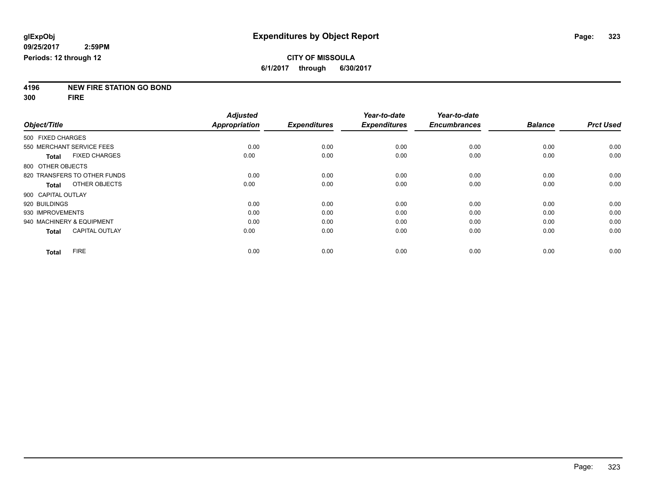# **4196 NEW FIRE STATION GO BOND**

**300 FIRE**

|                              |                       | <b>Adjusted</b>      |                     | Year-to-date        | Year-to-date        |                |                  |
|------------------------------|-----------------------|----------------------|---------------------|---------------------|---------------------|----------------|------------------|
| Object/Title                 |                       | <b>Appropriation</b> | <b>Expenditures</b> | <b>Expenditures</b> | <b>Encumbrances</b> | <b>Balance</b> | <b>Prct Used</b> |
| 500 FIXED CHARGES            |                       |                      |                     |                     |                     |                |                  |
| 550 MERCHANT SERVICE FEES    |                       | 0.00                 | 0.00                | 0.00                | 0.00                | 0.00           | 0.00             |
| <b>Total</b>                 | <b>FIXED CHARGES</b>  | 0.00                 | 0.00                | 0.00                | 0.00                | 0.00           | 0.00             |
| 800 OTHER OBJECTS            |                       |                      |                     |                     |                     |                |                  |
| 820 TRANSFERS TO OTHER FUNDS |                       | 0.00                 | 0.00                | 0.00                | 0.00                | 0.00           | 0.00             |
| <b>Total</b>                 | OTHER OBJECTS         | 0.00                 | 0.00                | 0.00                | 0.00                | 0.00           | 0.00             |
| 900 CAPITAL OUTLAY           |                       |                      |                     |                     |                     |                |                  |
| 920 BUILDINGS                |                       | 0.00                 | 0.00                | 0.00                | 0.00                | 0.00           | 0.00             |
| 930 IMPROVEMENTS             |                       | 0.00                 | 0.00                | 0.00                | 0.00                | 0.00           | 0.00             |
| 940 MACHINERY & EQUIPMENT    |                       | 0.00                 | 0.00                | 0.00                | 0.00                | 0.00           | 0.00             |
| <b>Total</b>                 | <b>CAPITAL OUTLAY</b> | 0.00                 | 0.00                | 0.00                | 0.00                | 0.00           | 0.00             |
| <b>Total</b>                 | <b>FIRE</b>           | 0.00                 | 0.00                | 0.00                | 0.00                | 0.00           | 0.00             |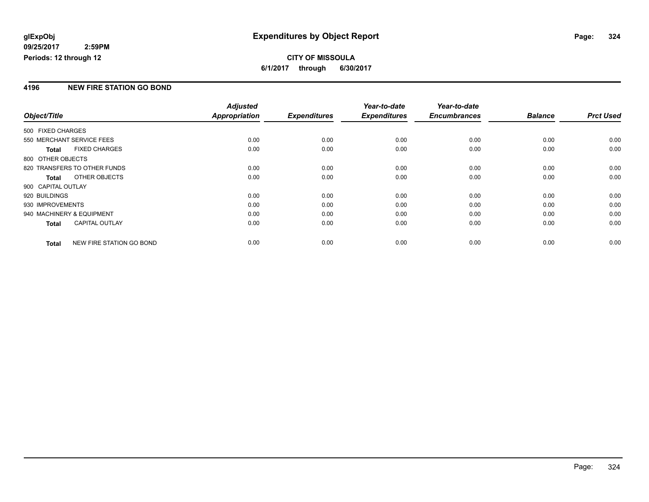**6/1/2017 through 6/30/2017**

#### **4196 NEW FIRE STATION GO BOND**

|                           |                                 | <b>Adjusted</b> |                     | Year-to-date        | Year-to-date        |                |                  |
|---------------------------|---------------------------------|-----------------|---------------------|---------------------|---------------------|----------------|------------------|
| Object/Title              |                                 | Appropriation   | <b>Expenditures</b> | <b>Expenditures</b> | <b>Encumbrances</b> | <b>Balance</b> | <b>Prct Used</b> |
| 500 FIXED CHARGES         |                                 |                 |                     |                     |                     |                |                  |
| 550 MERCHANT SERVICE FEES |                                 | 0.00            | 0.00                | 0.00                | 0.00                | 0.00           | 0.00             |
| <b>Total</b>              | <b>FIXED CHARGES</b>            | 0.00            | 0.00                | 0.00                | 0.00                | 0.00           | 0.00             |
| 800 OTHER OBJECTS         |                                 |                 |                     |                     |                     |                |                  |
|                           | 820 TRANSFERS TO OTHER FUNDS    | 0.00            | 0.00                | 0.00                | 0.00                | 0.00           | 0.00             |
| Total                     | OTHER OBJECTS                   | 0.00            | 0.00                | 0.00                | 0.00                | 0.00           | 0.00             |
| 900 CAPITAL OUTLAY        |                                 |                 |                     |                     |                     |                |                  |
| 920 BUILDINGS             |                                 | 0.00            | 0.00                | 0.00                | 0.00                | 0.00           | 0.00             |
| 930 IMPROVEMENTS          |                                 | 0.00            | 0.00                | 0.00                | 0.00                | 0.00           | 0.00             |
| 940 MACHINERY & EQUIPMENT |                                 | 0.00            | 0.00                | 0.00                | 0.00                | 0.00           | 0.00             |
| <b>Total</b>              | <b>CAPITAL OUTLAY</b>           | 0.00            | 0.00                | 0.00                | 0.00                | 0.00           | 0.00             |
| <b>Total</b>              | <b>NEW FIRE STATION GO BOND</b> | 0.00            | 0.00                | 0.00                | 0.00                | 0.00           | 0.00             |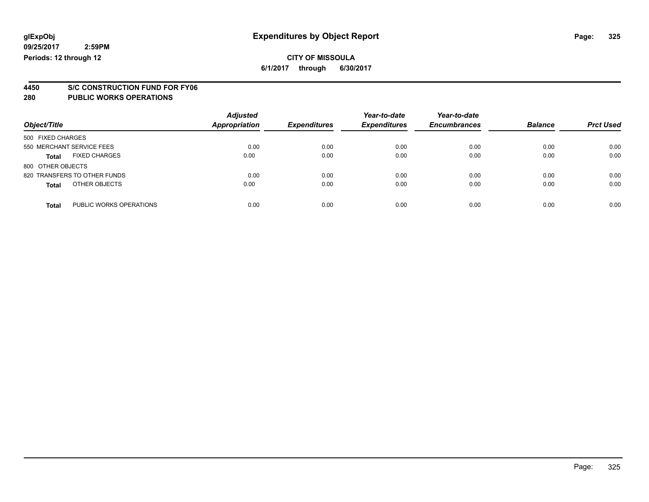### **CITY OF MISSOULA 6/1/2017 through 6/30/2017**

**4450 S/C CONSTRUCTION FUND FOR FY06**

| Object/Title                            | <b>Adjusted</b><br>Appropriation | <b>Expenditures</b> | Year-to-date<br><b>Expenditures</b> | Year-to-date<br><b>Encumbrances</b> | <b>Balance</b> | <b>Prct Used</b> |
|-----------------------------------------|----------------------------------|---------------------|-------------------------------------|-------------------------------------|----------------|------------------|
| 500 FIXED CHARGES                       |                                  |                     |                                     |                                     |                |                  |
| 550 MERCHANT SERVICE FEES               | 0.00                             | 0.00                | 0.00                                | 0.00                                | 0.00           | 0.00             |
| <b>FIXED CHARGES</b><br><b>Total</b>    | 0.00                             | 0.00                | 0.00                                | 0.00                                | 0.00           | 0.00             |
| 800 OTHER OBJECTS                       |                                  |                     |                                     |                                     |                |                  |
| 820 TRANSFERS TO OTHER FUNDS            | 0.00                             | 0.00                | 0.00                                | 0.00                                | 0.00           | 0.00             |
| OTHER OBJECTS<br><b>Total</b>           | 0.00                             | 0.00                | 0.00                                | 0.00                                | 0.00           | 0.00             |
| PUBLIC WORKS OPERATIONS<br><b>Total</b> | 0.00                             | 0.00                | 0.00                                | 0.00                                | 0.00           | 0.00             |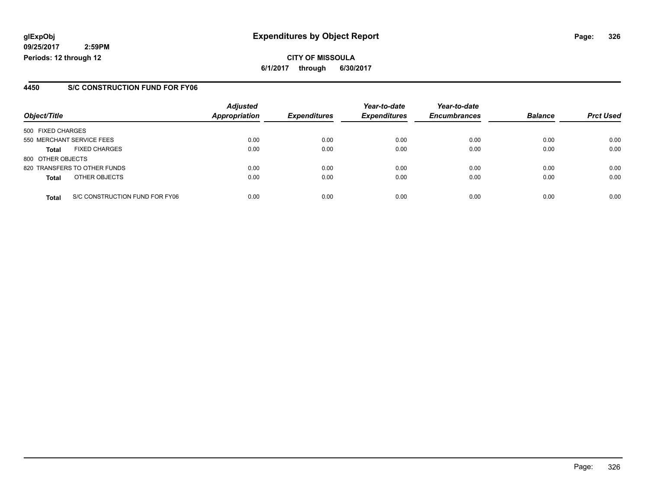**CITY OF MISSOULA 6/1/2017 through 6/30/2017**

### **4450 S/C CONSTRUCTION FUND FOR FY06**

|                   |                                | <b>Adjusted</b> |                     | Year-to-date        | Year-to-date        |                |                  |
|-------------------|--------------------------------|-----------------|---------------------|---------------------|---------------------|----------------|------------------|
| Object/Title      |                                | Appropriation   | <b>Expenditures</b> | <b>Expenditures</b> | <b>Encumbrances</b> | <b>Balance</b> | <b>Prct Used</b> |
| 500 FIXED CHARGES |                                |                 |                     |                     |                     |                |                  |
|                   | 550 MERCHANT SERVICE FEES      | 0.00            | 0.00                | 0.00                | 0.00                | 0.00           | 0.00             |
| <b>Total</b>      | <b>FIXED CHARGES</b>           | 0.00            | 0.00                | 0.00                | 0.00                | 0.00           | 0.00             |
| 800 OTHER OBJECTS |                                |                 |                     |                     |                     |                |                  |
|                   | 820 TRANSFERS TO OTHER FUNDS   | 0.00            | 0.00                | 0.00                | 0.00                | 0.00           | 0.00             |
| <b>Total</b>      | OTHER OBJECTS                  | 0.00            | 0.00                | 0.00                | 0.00                | 0.00           | 0.00             |
| <b>Total</b>      | S/C CONSTRUCTION FUND FOR FY06 | 0.00            | 0.00                | 0.00                | 0.00                | 0.00           | 0.00             |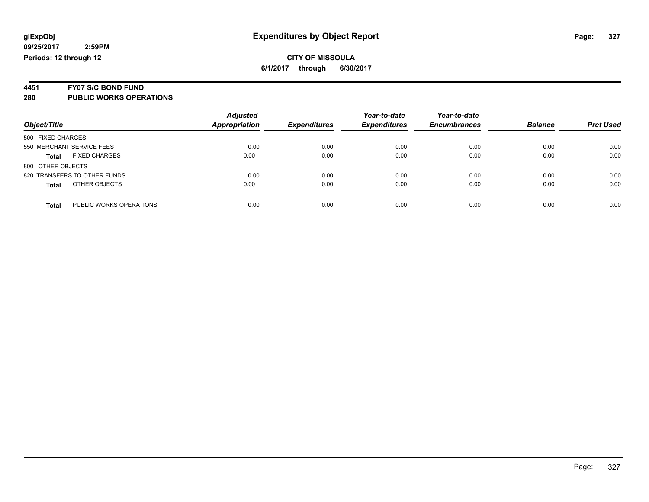# **4451 FY07 S/C BOND FUND**

| Object/Title                            | <b>Adjusted</b><br><b>Appropriation</b> | <b>Expenditures</b> | Year-to-date<br><b>Expenditures</b> | Year-to-date<br><b>Encumbrances</b> | <b>Balance</b> | <b>Prct Used</b> |
|-----------------------------------------|-----------------------------------------|---------------------|-------------------------------------|-------------------------------------|----------------|------------------|
| 500 FIXED CHARGES                       |                                         |                     |                                     |                                     |                |                  |
| 550 MERCHANT SERVICE FEES               | 0.00                                    | 0.00                | 0.00                                | 0.00                                | 0.00           | 0.00             |
| <b>FIXED CHARGES</b><br><b>Total</b>    | 0.00                                    | 0.00                | 0.00                                | 0.00                                | 0.00           | 0.00             |
| 800 OTHER OBJECTS                       |                                         |                     |                                     |                                     |                |                  |
| 820 TRANSFERS TO OTHER FUNDS            | 0.00                                    | 0.00                | 0.00                                | 0.00                                | 0.00           | 0.00             |
| OTHER OBJECTS<br><b>Total</b>           | 0.00                                    | 0.00                | 0.00                                | 0.00                                | 0.00           | 0.00             |
| PUBLIC WORKS OPERATIONS<br><b>Total</b> | 0.00                                    | 0.00                | 0.00                                | 0.00                                | 0.00           | 0.00             |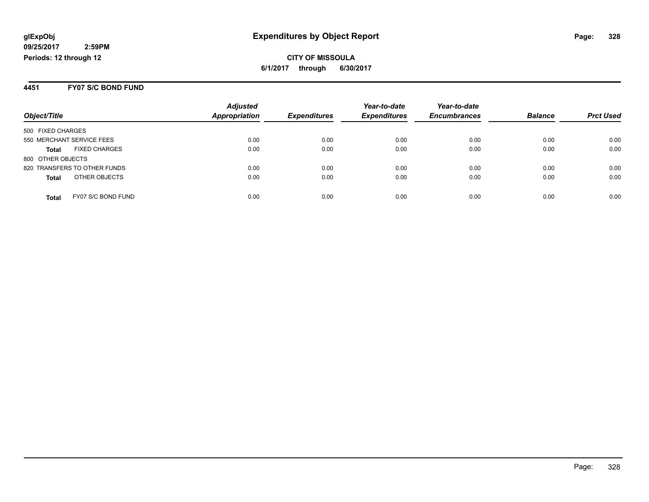#### **4451 FY07 S/C BOND FUND**

|                              |                      | <b>Adjusted</b>      |                     | Year-to-date        | Year-to-date        |                |                  |
|------------------------------|----------------------|----------------------|---------------------|---------------------|---------------------|----------------|------------------|
| Object/Title                 |                      | <b>Appropriation</b> | <b>Expenditures</b> | <b>Expenditures</b> | <b>Encumbrances</b> | <b>Balance</b> | <b>Prct Used</b> |
| 500 FIXED CHARGES            |                      |                      |                     |                     |                     |                |                  |
| 550 MERCHANT SERVICE FEES    |                      | 0.00                 | 0.00                | 0.00                | 0.00                | 0.00           | 0.00             |
| <b>Total</b>                 | <b>FIXED CHARGES</b> | 0.00                 | 0.00                | 0.00                | 0.00                | 0.00           | 0.00             |
| 800 OTHER OBJECTS            |                      |                      |                     |                     |                     |                |                  |
| 820 TRANSFERS TO OTHER FUNDS |                      | 0.00                 | 0.00                | 0.00                | 0.00                | 0.00           | 0.00             |
| <b>Total</b>                 | OTHER OBJECTS        | 0.00                 | 0.00                | 0.00                | 0.00                | 0.00           | 0.00             |
| <b>Total</b>                 | FY07 S/C BOND FUND   | 0.00                 | 0.00                | 0.00                | 0.00                | 0.00           | 0.00             |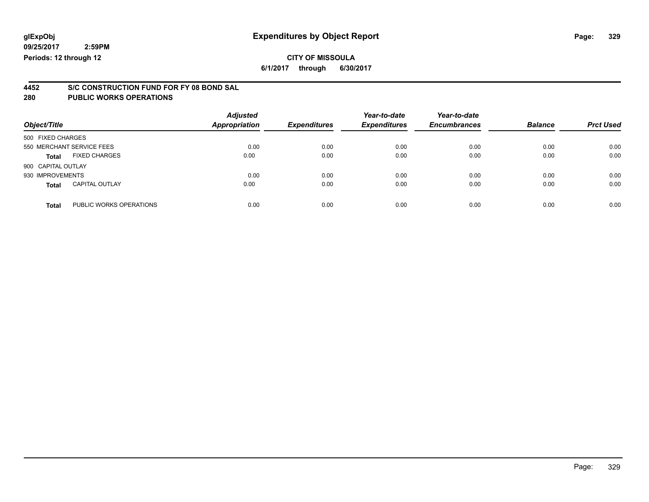# **CITY OF MISSOULA**

**6/1/2017 through 6/30/2017**

# **4452 S/C CONSTRUCTION FUND FOR FY 08 BOND SAL**

| Object/Title                          |                         | <b>Adjusted</b><br><b>Appropriation</b> | <b>Expenditures</b> | Year-to-date<br><b>Expenditures</b> | Year-to-date<br><b>Encumbrances</b> | <b>Balance</b> | <b>Prct Used</b> |
|---------------------------------------|-------------------------|-----------------------------------------|---------------------|-------------------------------------|-------------------------------------|----------------|------------------|
| 500 FIXED CHARGES                     |                         |                                         |                     |                                     |                                     |                |                  |
| 550 MERCHANT SERVICE FEES             |                         | 0.00                                    | 0.00                | 0.00                                | 0.00                                | 0.00           | 0.00             |
| <b>FIXED CHARGES</b><br><b>Total</b>  |                         | 0.00                                    | 0.00                | 0.00                                | 0.00                                | 0.00           | 0.00             |
| 900 CAPITAL OUTLAY                    |                         |                                         |                     |                                     |                                     |                |                  |
| 930 IMPROVEMENTS                      |                         | 0.00                                    | 0.00                | 0.00                                | 0.00                                | 0.00           | 0.00             |
| <b>CAPITAL OUTLAY</b><br><b>Total</b> |                         | 0.00                                    | 0.00                | 0.00                                | 0.00                                | 0.00           | 0.00             |
| <b>Total</b>                          | PUBLIC WORKS OPERATIONS | 0.00                                    | 0.00                | 0.00                                | 0.00                                | 0.00           | 0.00             |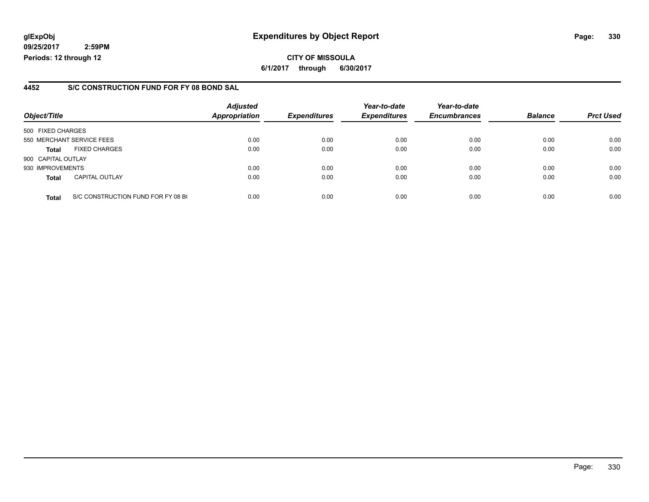## **glExpObj Expenditures by Object Report Page: 330**

**09/25/2017 2:59PM Periods: 12 through 12**

## **4452 S/C CONSTRUCTION FUND FOR FY 08 BOND SAL**

| Object/Title       |                                    | <b>Adjusted</b><br><b>Appropriation</b> | <b>Expenditures</b> | Year-to-date<br><b>Expenditures</b> | Year-to-date<br><b>Encumbrances</b> | <b>Balance</b> | <b>Prct Used</b> |
|--------------------|------------------------------------|-----------------------------------------|---------------------|-------------------------------------|-------------------------------------|----------------|------------------|
| 500 FIXED CHARGES  |                                    |                                         |                     |                                     |                                     |                |                  |
|                    | 550 MERCHANT SERVICE FEES          | 0.00                                    | 0.00                | 0.00                                | 0.00                                | 0.00           | 0.00             |
| <b>Total</b>       | <b>FIXED CHARGES</b>               | 0.00                                    | 0.00                | 0.00                                | 0.00                                | 0.00           | 0.00             |
| 900 CAPITAL OUTLAY |                                    |                                         |                     |                                     |                                     |                |                  |
| 930 IMPROVEMENTS   |                                    | 0.00                                    | 0.00                | 0.00                                | 0.00                                | 0.00           | 0.00             |
| <b>Total</b>       | <b>CAPITAL OUTLAY</b>              | 0.00                                    | 0.00                | 0.00                                | 0.00                                | 0.00           | 0.00             |
| <b>Total</b>       | S/C CONSTRUCTION FUND FOR FY 08 BO | 0.00                                    | 0.00                | 0.00                                | 0.00                                | 0.00           | 0.00             |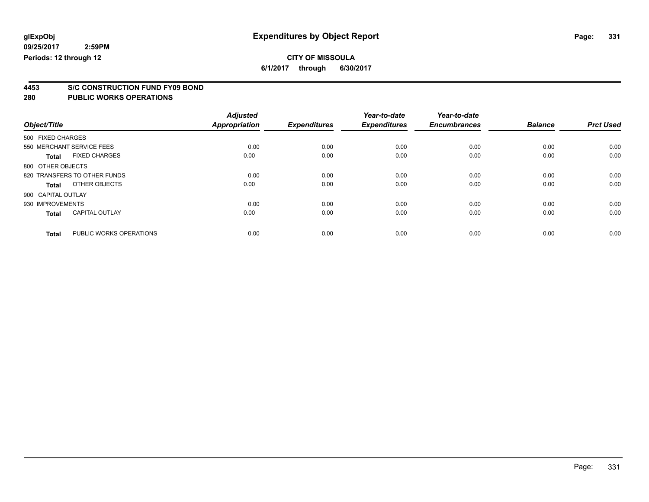# **CITY OF MISSOULA**

**6/1/2017 through 6/30/2017**

# **4453 S/C CONSTRUCTION FUND FY09 BOND**

|                    |                              | <b>Adjusted</b>      |                     | Year-to-date        | Year-to-date        |                |                  |
|--------------------|------------------------------|----------------------|---------------------|---------------------|---------------------|----------------|------------------|
| Object/Title       |                              | <b>Appropriation</b> | <b>Expenditures</b> | <b>Expenditures</b> | <b>Encumbrances</b> | <b>Balance</b> | <b>Prct Used</b> |
| 500 FIXED CHARGES  |                              |                      |                     |                     |                     |                |                  |
|                    | 550 MERCHANT SERVICE FEES    | 0.00                 | 0.00                | 0.00                | 0.00                | 0.00           | 0.00             |
| <b>Total</b>       | <b>FIXED CHARGES</b>         | 0.00                 | 0.00                | 0.00                | 0.00                | 0.00           | 0.00             |
| 800 OTHER OBJECTS  |                              |                      |                     |                     |                     |                |                  |
|                    | 820 TRANSFERS TO OTHER FUNDS | 0.00                 | 0.00                | 0.00                | 0.00                | 0.00           | 0.00             |
| <b>Total</b>       | OTHER OBJECTS                | 0.00                 | 0.00                | 0.00                | 0.00                | 0.00           | 0.00             |
| 900 CAPITAL OUTLAY |                              |                      |                     |                     |                     |                |                  |
| 930 IMPROVEMENTS   |                              | 0.00                 | 0.00                | 0.00                | 0.00                | 0.00           | 0.00             |
| <b>Total</b>       | <b>CAPITAL OUTLAY</b>        | 0.00                 | 0.00                | 0.00                | 0.00                | 0.00           | 0.00             |
| <b>Total</b>       | PUBLIC WORKS OPERATIONS      | 0.00                 | 0.00                | 0.00                | 0.00                | 0.00           | 0.00             |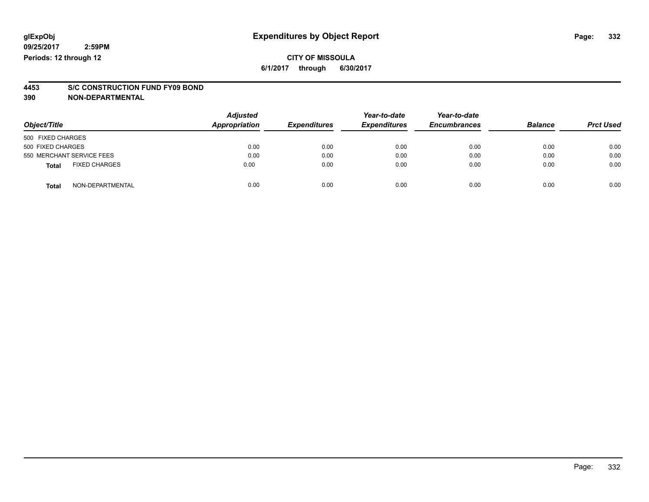### **CITY OF MISSOULA 6/1/2017 through 6/30/2017**

# **4453 S/C CONSTRUCTION FUND FY09 BOND**

**390 NON-DEPARTMENTAL**

| Object/Title                         | <b>Adjusted</b><br>Appropriation | <b>Expenditures</b> | Year-to-date<br><b>Expenditures</b> | Year-to-date<br><b>Encumbrances</b> | <b>Balance</b> | <b>Prct Used</b> |
|--------------------------------------|----------------------------------|---------------------|-------------------------------------|-------------------------------------|----------------|------------------|
| 500 FIXED CHARGES                    |                                  |                     |                                     |                                     |                |                  |
| 500 FIXED CHARGES                    | 0.00                             | 0.00                | 0.00                                | 0.00                                | 0.00           | 0.00             |
| 550 MERCHANT SERVICE FEES            | 0.00                             | 0.00                | 0.00                                | 0.00                                | 0.00           | 0.00             |
| <b>FIXED CHARGES</b><br><b>Total</b> | 0.00                             | 0.00                | 0.00                                | 0.00                                | 0.00           | 0.00             |
| NON-DEPARTMENTAL<br><b>Total</b>     | 0.00                             | 0.00                | 0.00                                | 0.00                                | 0.00           | 0.00             |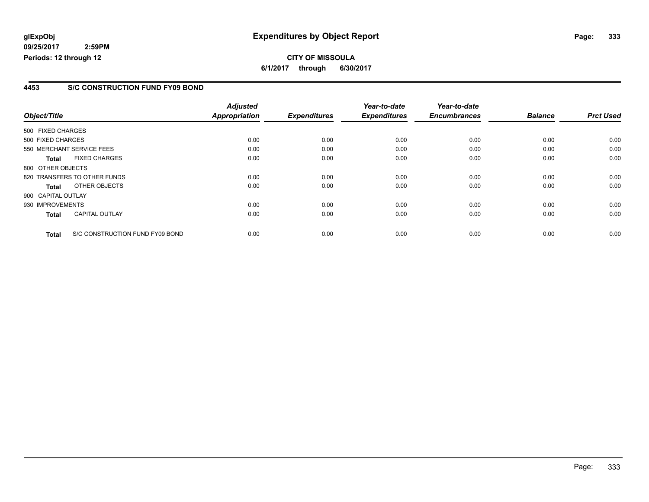# **glExpObj Expenditures by Object Report Page: 333**

**09/25/2017 2:59PM Periods: 12 through 12**

### **4453 S/C CONSTRUCTION FUND FY09 BOND**

| Object/Title       |                                 | <b>Adjusted</b><br><b>Appropriation</b> | <b>Expenditures</b> | Year-to-date<br><b>Expenditures</b> | Year-to-date<br><b>Encumbrances</b> | <b>Balance</b> | <b>Prct Used</b> |
|--------------------|---------------------------------|-----------------------------------------|---------------------|-------------------------------------|-------------------------------------|----------------|------------------|
|                    |                                 |                                         |                     |                                     |                                     |                |                  |
| 500 FIXED CHARGES  |                                 |                                         |                     |                                     |                                     |                |                  |
| 500 FIXED CHARGES  |                                 | 0.00                                    | 0.00                | 0.00                                | 0.00                                | 0.00           | 0.00             |
|                    | 550 MERCHANT SERVICE FEES       | 0.00                                    | 0.00                | 0.00                                | 0.00                                | 0.00           | 0.00             |
| <b>Total</b>       | <b>FIXED CHARGES</b>            | 0.00                                    | 0.00                | 0.00                                | 0.00                                | 0.00           | 0.00             |
| 800 OTHER OBJECTS  |                                 |                                         |                     |                                     |                                     |                |                  |
|                    | 820 TRANSFERS TO OTHER FUNDS    | 0.00                                    | 0.00                | 0.00                                | 0.00                                | 0.00           | 0.00             |
| Total              | OTHER OBJECTS                   | 0.00                                    | 0.00                | 0.00                                | 0.00                                | 0.00           | 0.00             |
| 900 CAPITAL OUTLAY |                                 |                                         |                     |                                     |                                     |                |                  |
| 930 IMPROVEMENTS   |                                 | 0.00                                    | 0.00                | 0.00                                | 0.00                                | 0.00           | 0.00             |
| Total              | <b>CAPITAL OUTLAY</b>           | 0.00                                    | 0.00                | 0.00                                | 0.00                                | 0.00           | 0.00             |
| <b>Total</b>       | S/C CONSTRUCTION FUND FY09 BOND | 0.00                                    | 0.00                | 0.00                                | 0.00                                | 0.00           | 0.00             |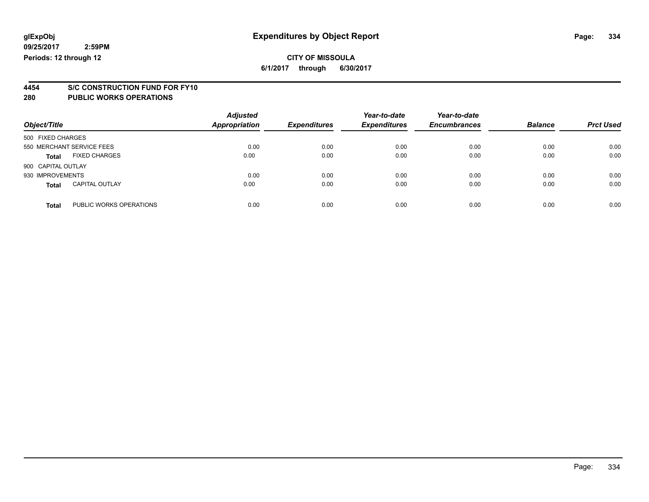**6/1/2017 through 6/30/2017**

# **4454 S/C CONSTRUCTION FUND FOR FY10**

| Object/Title       |                           | <b>Adjusted</b><br><b>Appropriation</b> | <b>Expenditures</b> | Year-to-date<br><b>Expenditures</b> | Year-to-date<br><b>Encumbrances</b> | <b>Balance</b> | <b>Prct Used</b> |
|--------------------|---------------------------|-----------------------------------------|---------------------|-------------------------------------|-------------------------------------|----------------|------------------|
| 500 FIXED CHARGES  |                           |                                         |                     |                                     |                                     |                |                  |
|                    | 550 MERCHANT SERVICE FEES | 0.00                                    | 0.00                | 0.00                                | 0.00                                | 0.00           | 0.00             |
| <b>Total</b>       | <b>FIXED CHARGES</b>      | 0.00                                    | 0.00                | 0.00                                | 0.00                                | 0.00           | 0.00             |
| 900 CAPITAL OUTLAY |                           |                                         |                     |                                     |                                     |                |                  |
| 930 IMPROVEMENTS   |                           | 0.00                                    | 0.00                | 0.00                                | 0.00                                | 0.00           | 0.00             |
| Total              | <b>CAPITAL OUTLAY</b>     | 0.00                                    | 0.00                | 0.00                                | 0.00                                | 0.00           | 0.00             |
| <b>Total</b>       | PUBLIC WORKS OPERATIONS   | 0.00                                    | 0.00                | 0.00                                | 0.00                                | 0.00           | 0.00             |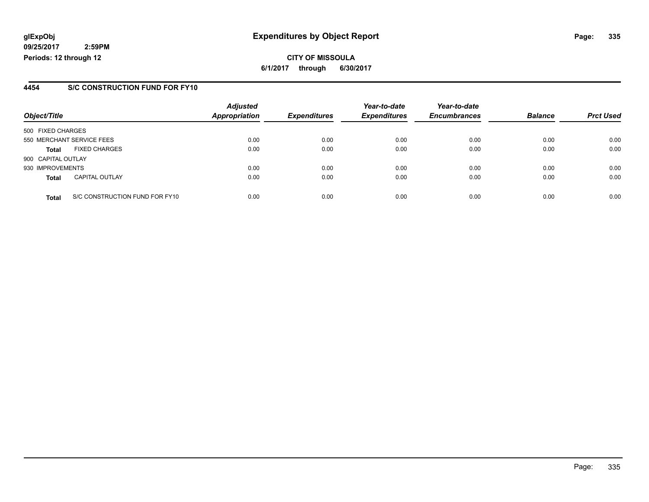# **glExpObj Expenditures by Object Report Page: 335**

**09/25/2017 2:59PM Periods: 12 through 12**

### **4454 S/C CONSTRUCTION FUND FOR FY10**

| Object/Title       |                                | <b>Adjusted</b><br><b>Appropriation</b> | <b>Expenditures</b> | Year-to-date<br><b>Expenditures</b> | Year-to-date<br><b>Encumbrances</b> | <b>Balance</b> | <b>Prct Used</b> |
|--------------------|--------------------------------|-----------------------------------------|---------------------|-------------------------------------|-------------------------------------|----------------|------------------|
| 500 FIXED CHARGES  |                                |                                         |                     |                                     |                                     |                |                  |
|                    | 550 MERCHANT SERVICE FEES      | 0.00                                    | 0.00                | 0.00                                | 0.00                                | 0.00           | 0.00             |
| <b>Total</b>       | <b>FIXED CHARGES</b>           | 0.00                                    | 0.00                | 0.00                                | 0.00                                | 0.00           | 0.00             |
| 900 CAPITAL OUTLAY |                                |                                         |                     |                                     |                                     |                |                  |
| 930 IMPROVEMENTS   |                                | 0.00                                    | 0.00                | 0.00                                | 0.00                                | 0.00           | 0.00             |
| <b>Total</b>       | <b>CAPITAL OUTLAY</b>          | 0.00                                    | 0.00                | 0.00                                | 0.00                                | 0.00           | 0.00             |
| <b>Total</b>       | S/C CONSTRUCTION FUND FOR FY10 | 0.00                                    | 0.00                | 0.00                                | 0.00                                | 0.00           | 0.00             |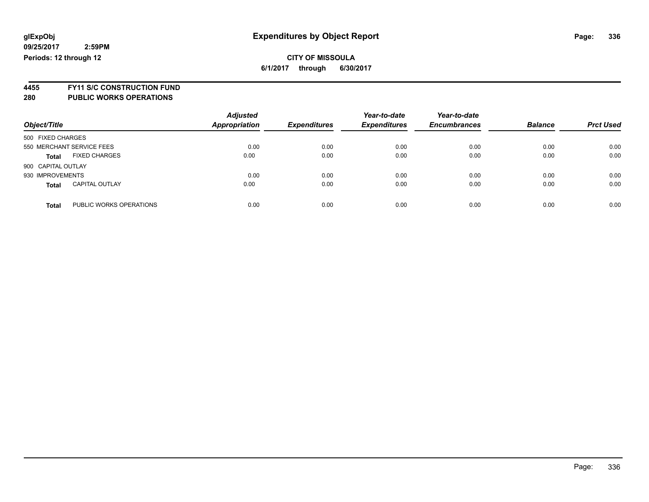**4455 FY11 S/C CONSTRUCTION FUND**

| Object/Title                            | <b>Adjusted</b><br>Appropriation | <b>Expenditures</b> | Year-to-date<br><b>Expenditures</b> | Year-to-date<br><b>Encumbrances</b> | <b>Balance</b> | <b>Prct Used</b> |
|-----------------------------------------|----------------------------------|---------------------|-------------------------------------|-------------------------------------|----------------|------------------|
| 500 FIXED CHARGES                       |                                  |                     |                                     |                                     |                |                  |
| 550 MERCHANT SERVICE FEES               | 0.00                             | 0.00                | 0.00                                | 0.00                                | 0.00           | 0.00             |
| <b>FIXED CHARGES</b><br><b>Total</b>    | 0.00                             | 0.00                | 0.00                                | 0.00                                | 0.00           | 0.00             |
| 900 CAPITAL OUTLAY                      |                                  |                     |                                     |                                     |                |                  |
| 930 IMPROVEMENTS                        | 0.00                             | 0.00                | 0.00                                | 0.00                                | 0.00           | 0.00             |
| <b>CAPITAL OUTLAY</b><br><b>Total</b>   | 0.00                             | 0.00                | 0.00                                | 0.00                                | 0.00           | 0.00             |
| PUBLIC WORKS OPERATIONS<br><b>Total</b> | 0.00                             | 0.00                | 0.00                                | 0.00                                | 0.00           | 0.00             |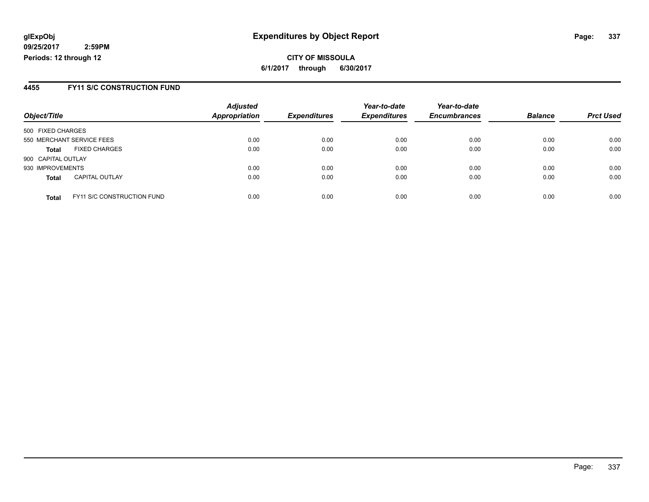**CITY OF MISSOULA 6/1/2017 through 6/30/2017**

### **4455 FY11 S/C CONSTRUCTION FUND**

| Object/Title                                      | <b>Adjusted</b><br><b>Appropriation</b> | <b>Expenditures</b> | Year-to-date<br><b>Expenditures</b> | Year-to-date<br><b>Encumbrances</b> | <b>Balance</b> | <b>Prct Used</b> |
|---------------------------------------------------|-----------------------------------------|---------------------|-------------------------------------|-------------------------------------|----------------|------------------|
| 500 FIXED CHARGES                                 |                                         |                     |                                     |                                     |                |                  |
| 550 MERCHANT SERVICE FEES                         | 0.00                                    | 0.00                | 0.00                                | 0.00                                | 0.00           | 0.00             |
| <b>FIXED CHARGES</b><br><b>Total</b>              | 0.00                                    | 0.00                | 0.00                                | 0.00                                | 0.00           | 0.00             |
| 900 CAPITAL OUTLAY                                |                                         |                     |                                     |                                     |                |                  |
| 930 IMPROVEMENTS                                  | 0.00                                    | 0.00                | 0.00                                | 0.00                                | 0.00           | 0.00             |
| <b>CAPITAL OUTLAY</b><br><b>Total</b>             | 0.00                                    | 0.00                | 0.00                                | 0.00                                | 0.00           | 0.00             |
| <b>FY11 S/C CONSTRUCTION FUND</b><br><b>Total</b> | 0.00                                    | 0.00                | 0.00                                | 0.00                                | 0.00           | 0.00             |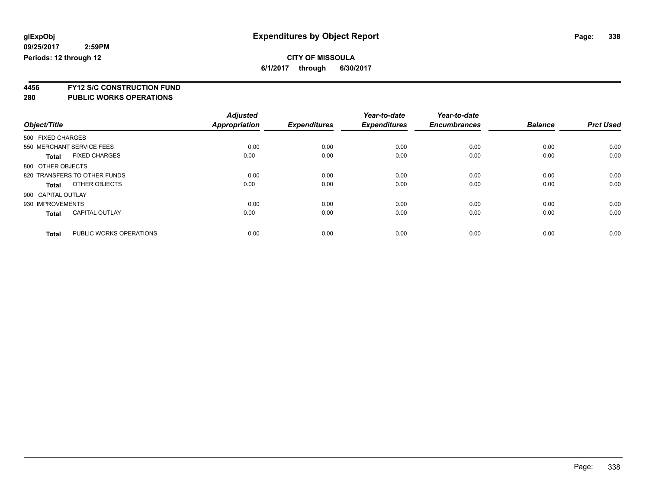**6/1/2017 through 6/30/2017**

**4456 FY12 S/C CONSTRUCTION FUND**

|                    |                              | <b>Adjusted</b> |                     | Year-to-date        | Year-to-date        |                |                  |
|--------------------|------------------------------|-----------------|---------------------|---------------------|---------------------|----------------|------------------|
| Object/Title       |                              | Appropriation   | <b>Expenditures</b> | <b>Expenditures</b> | <b>Encumbrances</b> | <b>Balance</b> | <b>Prct Used</b> |
| 500 FIXED CHARGES  |                              |                 |                     |                     |                     |                |                  |
|                    | 550 MERCHANT SERVICE FEES    | 0.00            | 0.00                | 0.00                | 0.00                | 0.00           | 0.00             |
| <b>Total</b>       | <b>FIXED CHARGES</b>         | 0.00            | 0.00                | 0.00                | 0.00                | 0.00           | 0.00             |
| 800 OTHER OBJECTS  |                              |                 |                     |                     |                     |                |                  |
|                    | 820 TRANSFERS TO OTHER FUNDS | 0.00            | 0.00                | 0.00                | 0.00                | 0.00           | 0.00             |
| Total              | OTHER OBJECTS                | 0.00            | 0.00                | 0.00                | 0.00                | 0.00           | 0.00             |
| 900 CAPITAL OUTLAY |                              |                 |                     |                     |                     |                |                  |
| 930 IMPROVEMENTS   |                              | 0.00            | 0.00                | 0.00                | 0.00                | 0.00           | 0.00             |
| <b>Total</b>       | <b>CAPITAL OUTLAY</b>        | 0.00            | 0.00                | 0.00                | 0.00                | 0.00           | 0.00             |
|                    |                              |                 |                     |                     |                     |                |                  |
| <b>Total</b>       | PUBLIC WORKS OPERATIONS      | 0.00            | 0.00                | 0.00                | 0.00                | 0.00           | 0.00             |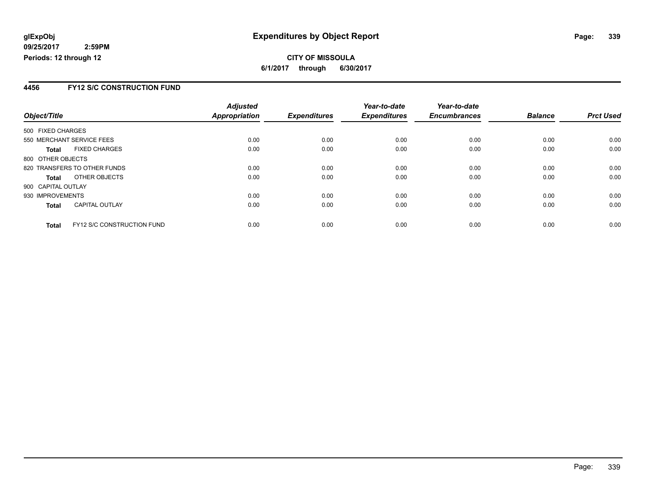**CITY OF MISSOULA 6/1/2017 through 6/30/2017**

### **4456 FY12 S/C CONSTRUCTION FUND**

|                    |                              | <b>Adjusted</b>      |                     | Year-to-date        | Year-to-date        |                |                  |
|--------------------|------------------------------|----------------------|---------------------|---------------------|---------------------|----------------|------------------|
| Object/Title       |                              | <b>Appropriation</b> | <b>Expenditures</b> | <b>Expenditures</b> | <b>Encumbrances</b> | <b>Balance</b> | <b>Prct Used</b> |
| 500 FIXED CHARGES  |                              |                      |                     |                     |                     |                |                  |
|                    | 550 MERCHANT SERVICE FEES    | 0.00                 | 0.00                | 0.00                | 0.00                | 0.00           | 0.00             |
| <b>Total</b>       | <b>FIXED CHARGES</b>         | 0.00                 | 0.00                | 0.00                | 0.00                | 0.00           | 0.00             |
| 800 OTHER OBJECTS  |                              |                      |                     |                     |                     |                |                  |
|                    | 820 TRANSFERS TO OTHER FUNDS | 0.00                 | 0.00                | 0.00                | 0.00                | 0.00           | 0.00             |
| <b>Total</b>       | OTHER OBJECTS                | 0.00                 | 0.00                | 0.00                | 0.00                | 0.00           | 0.00             |
| 900 CAPITAL OUTLAY |                              |                      |                     |                     |                     |                |                  |
| 930 IMPROVEMENTS   |                              | 0.00                 | 0.00                | 0.00                | 0.00                | 0.00           | 0.00             |
| <b>Total</b>       | <b>CAPITAL OUTLAY</b>        | 0.00                 | 0.00                | 0.00                | 0.00                | 0.00           | 0.00             |
| <b>Total</b>       | FY12 S/C CONSTRUCTION FUND   | 0.00                 | 0.00                | 0.00                | 0.00                | 0.00           | 0.00             |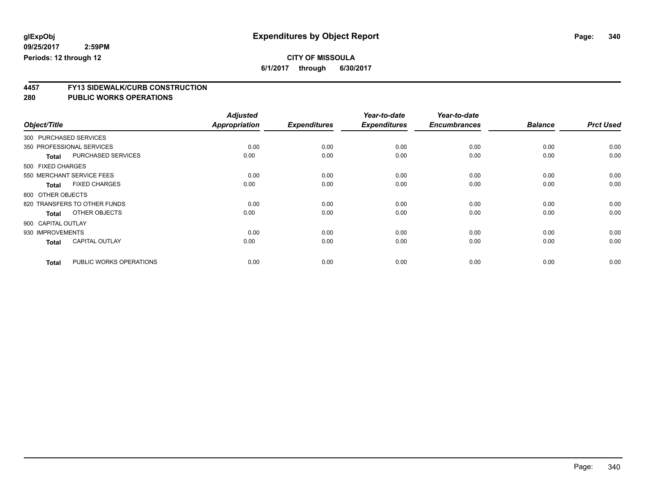# **CITY OF MISSOULA**

**6/1/2017 through 6/30/2017**

# **4457 FY13 SIDEWALK/CURB CONSTRUCTION**

|                    |                              | <b>Adjusted</b>      |                     | Year-to-date        | Year-to-date        |                |                  |
|--------------------|------------------------------|----------------------|---------------------|---------------------|---------------------|----------------|------------------|
| Object/Title       |                              | <b>Appropriation</b> | <b>Expenditures</b> | <b>Expenditures</b> | <b>Encumbrances</b> | <b>Balance</b> | <b>Prct Used</b> |
|                    | 300 PURCHASED SERVICES       |                      |                     |                     |                     |                |                  |
|                    | 350 PROFESSIONAL SERVICES    | 0.00                 | 0.00                | 0.00                | 0.00                | 0.00           | 0.00             |
| <b>Total</b>       | <b>PURCHASED SERVICES</b>    | 0.00                 | 0.00                | 0.00                | 0.00                | 0.00           | 0.00             |
| 500 FIXED CHARGES  |                              |                      |                     |                     |                     |                |                  |
|                    | 550 MERCHANT SERVICE FEES    | 0.00                 | 0.00                | 0.00                | 0.00                | 0.00           | 0.00             |
| <b>Total</b>       | <b>FIXED CHARGES</b>         | 0.00                 | 0.00                | 0.00                | 0.00                | 0.00           | 0.00             |
| 800 OTHER OBJECTS  |                              |                      |                     |                     |                     |                |                  |
|                    | 820 TRANSFERS TO OTHER FUNDS | 0.00                 | 0.00                | 0.00                | 0.00                | 0.00           | 0.00             |
| <b>Total</b>       | OTHER OBJECTS                | 0.00                 | 0.00                | 0.00                | 0.00                | 0.00           | 0.00             |
| 900 CAPITAL OUTLAY |                              |                      |                     |                     |                     |                |                  |
| 930 IMPROVEMENTS   |                              | 0.00                 | 0.00                | 0.00                | 0.00                | 0.00           | 0.00             |
| <b>Total</b>       | <b>CAPITAL OUTLAY</b>        | 0.00                 | 0.00                | 0.00                | 0.00                | 0.00           | 0.00             |
| <b>Total</b>       | PUBLIC WORKS OPERATIONS      | 0.00                 | 0.00                | 0.00                | 0.00                | 0.00           | 0.00             |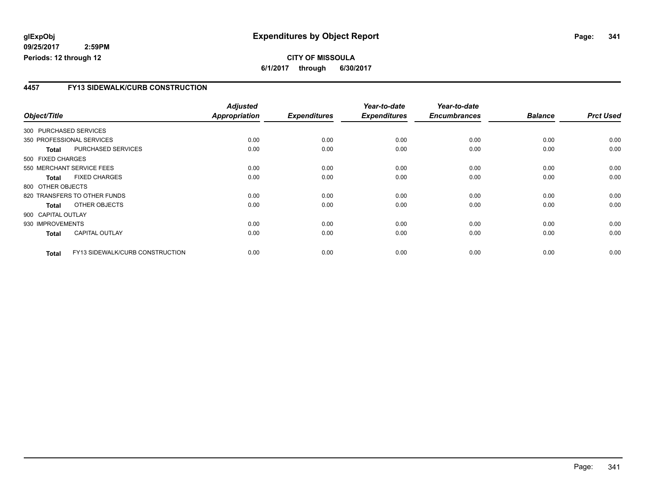### **4457 FY13 SIDEWALK/CURB CONSTRUCTION**

|                    |                                 | <b>Adjusted</b>      |                     | Year-to-date        | Year-to-date        |                |                  |
|--------------------|---------------------------------|----------------------|---------------------|---------------------|---------------------|----------------|------------------|
| Object/Title       |                                 | <b>Appropriation</b> | <b>Expenditures</b> | <b>Expenditures</b> | <b>Encumbrances</b> | <b>Balance</b> | <b>Prct Used</b> |
|                    | 300 PURCHASED SERVICES          |                      |                     |                     |                     |                |                  |
|                    | 350 PROFESSIONAL SERVICES       | 0.00                 | 0.00                | 0.00                | 0.00                | 0.00           | 0.00             |
| <b>Total</b>       | PURCHASED SERVICES              | 0.00                 | 0.00                | 0.00                | 0.00                | 0.00           | 0.00             |
| 500 FIXED CHARGES  |                                 |                      |                     |                     |                     |                |                  |
|                    | 550 MERCHANT SERVICE FEES       | 0.00                 | 0.00                | 0.00                | 0.00                | 0.00           | 0.00             |
| <b>Total</b>       | <b>FIXED CHARGES</b>            | 0.00                 | 0.00                | 0.00                | 0.00                | 0.00           | 0.00             |
| 800 OTHER OBJECTS  |                                 |                      |                     |                     |                     |                |                  |
|                    | 820 TRANSFERS TO OTHER FUNDS    | 0.00                 | 0.00                | 0.00                | 0.00                | 0.00           | 0.00             |
| Total              | OTHER OBJECTS                   | 0.00                 | 0.00                | 0.00                | 0.00                | 0.00           | 0.00             |
| 900 CAPITAL OUTLAY |                                 |                      |                     |                     |                     |                |                  |
| 930 IMPROVEMENTS   |                                 | 0.00                 | 0.00                | 0.00                | 0.00                | 0.00           | 0.00             |
| <b>Total</b>       | <b>CAPITAL OUTLAY</b>           | 0.00                 | 0.00                | 0.00                | 0.00                | 0.00           | 0.00             |
| <b>Total</b>       | FY13 SIDEWALK/CURB CONSTRUCTION | 0.00                 | 0.00                | 0.00                | 0.00                | 0.00           | 0.00             |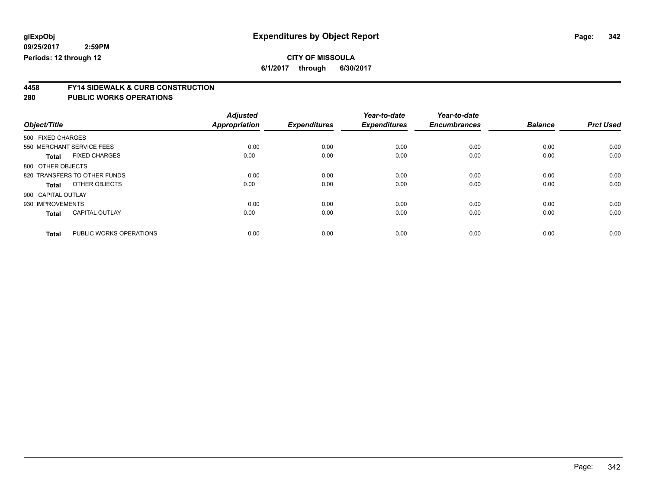**6/1/2017 through 6/30/2017**

# **4458 FY14 SIDEWALK & CURB CONSTRUCTION**

| Object/Title       |                              | <b>Adjusted</b><br><b>Appropriation</b> | <b>Expenditures</b> | Year-to-date<br><b>Expenditures</b> | Year-to-date<br><b>Encumbrances</b> | <b>Balance</b> | <b>Prct Used</b> |
|--------------------|------------------------------|-----------------------------------------|---------------------|-------------------------------------|-------------------------------------|----------------|------------------|
| 500 FIXED CHARGES  |                              |                                         |                     |                                     |                                     |                |                  |
|                    | 550 MERCHANT SERVICE FEES    | 0.00                                    | 0.00                | 0.00                                | 0.00                                | 0.00           | 0.00             |
| <b>Total</b>       | <b>FIXED CHARGES</b>         | 0.00                                    | 0.00                | 0.00                                | 0.00                                | 0.00           | 0.00             |
| 800 OTHER OBJECTS  |                              |                                         |                     |                                     |                                     |                |                  |
|                    | 820 TRANSFERS TO OTHER FUNDS | 0.00                                    | 0.00                | 0.00                                | 0.00                                | 0.00           | 0.00             |
| <b>Total</b>       | OTHER OBJECTS                | 0.00                                    | 0.00                | 0.00                                | 0.00                                | 0.00           | 0.00             |
| 900 CAPITAL OUTLAY |                              |                                         |                     |                                     |                                     |                |                  |
| 930 IMPROVEMENTS   |                              | 0.00                                    | 0.00                | 0.00                                | 0.00                                | 0.00           | 0.00             |
| <b>Total</b>       | <b>CAPITAL OUTLAY</b>        | 0.00                                    | 0.00                | 0.00                                | 0.00                                | 0.00           | 0.00             |
| <b>Total</b>       | PUBLIC WORKS OPERATIONS      | 0.00                                    | 0.00                | 0.00                                | 0.00                                | 0.00           | 0.00             |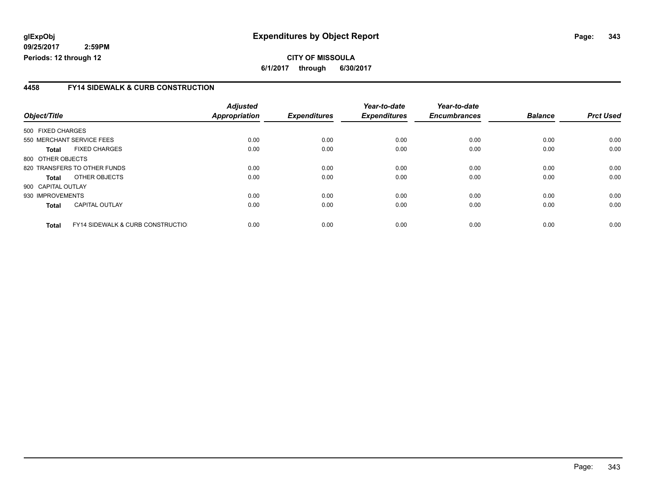**CITY OF MISSOULA 6/1/2017 through 6/30/2017**

### **4458 FY14 SIDEWALK & CURB CONSTRUCTION**

|                    |                                              | <b>Adjusted</b>      |                     | Year-to-date        | Year-to-date        |                |                  |
|--------------------|----------------------------------------------|----------------------|---------------------|---------------------|---------------------|----------------|------------------|
| Object/Title       |                                              | <b>Appropriation</b> | <b>Expenditures</b> | <b>Expenditures</b> | <b>Encumbrances</b> | <b>Balance</b> | <b>Prct Used</b> |
| 500 FIXED CHARGES  |                                              |                      |                     |                     |                     |                |                  |
|                    | 550 MERCHANT SERVICE FEES                    | 0.00                 | 0.00                | 0.00                | 0.00                | 0.00           | 0.00             |
| <b>Total</b>       | <b>FIXED CHARGES</b>                         | 0.00                 | 0.00                | 0.00                | 0.00                | 0.00           | 0.00             |
| 800 OTHER OBJECTS  |                                              |                      |                     |                     |                     |                |                  |
|                    | 820 TRANSFERS TO OTHER FUNDS                 | 0.00                 | 0.00                | 0.00                | 0.00                | 0.00           | 0.00             |
| <b>Total</b>       | OTHER OBJECTS                                | 0.00                 | 0.00                | 0.00                | 0.00                | 0.00           | 0.00             |
| 900 CAPITAL OUTLAY |                                              |                      |                     |                     |                     |                |                  |
| 930 IMPROVEMENTS   |                                              | 0.00                 | 0.00                | 0.00                | 0.00                | 0.00           | 0.00             |
| <b>Total</b>       | <b>CAPITAL OUTLAY</b>                        | 0.00                 | 0.00                | 0.00                | 0.00                | 0.00           | 0.00             |
| <b>Total</b>       | <b>FY14 SIDEWALK &amp; CURB CONSTRUCTIOL</b> | 0.00                 | 0.00                | 0.00                | 0.00                | 0.00           | 0.00             |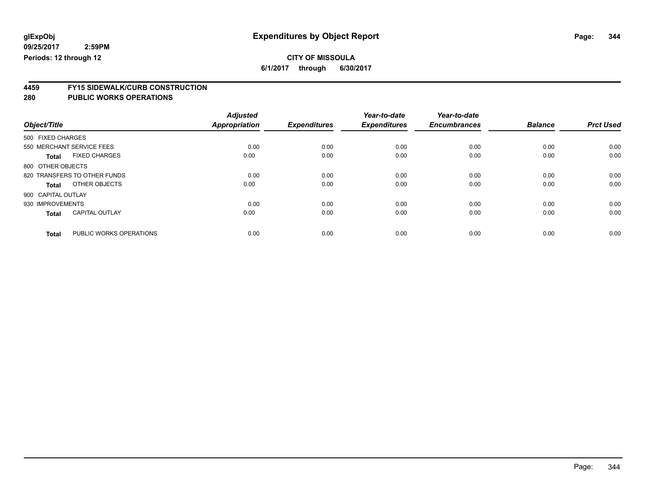**6/1/2017 through 6/30/2017**

# **4459 FY15 SIDEWALK/CURB CONSTRUCTION**

| Object/Title       |                              | <b>Adjusted</b><br><b>Appropriation</b> | <b>Expenditures</b> | Year-to-date<br><b>Expenditures</b> | Year-to-date<br><b>Encumbrances</b> | <b>Balance</b> | <b>Prct Used</b> |
|--------------------|------------------------------|-----------------------------------------|---------------------|-------------------------------------|-------------------------------------|----------------|------------------|
| 500 FIXED CHARGES  |                              |                                         |                     |                                     |                                     |                |                  |
|                    | 550 MERCHANT SERVICE FEES    | 0.00                                    | 0.00                | 0.00                                | 0.00                                | 0.00           | 0.00             |
| <b>Total</b>       | <b>FIXED CHARGES</b>         | 0.00                                    | 0.00                | 0.00                                | 0.00                                | 0.00           | 0.00             |
| 800 OTHER OBJECTS  |                              |                                         |                     |                                     |                                     |                |                  |
|                    | 820 TRANSFERS TO OTHER FUNDS | 0.00                                    | 0.00                | 0.00                                | 0.00                                | 0.00           | 0.00             |
| <b>Total</b>       | OTHER OBJECTS                | 0.00                                    | 0.00                | 0.00                                | 0.00                                | 0.00           | 0.00             |
| 900 CAPITAL OUTLAY |                              |                                         |                     |                                     |                                     |                |                  |
| 930 IMPROVEMENTS   |                              | 0.00                                    | 0.00                | 0.00                                | 0.00                                | 0.00           | 0.00             |
| <b>Total</b>       | <b>CAPITAL OUTLAY</b>        | 0.00                                    | 0.00                | 0.00                                | 0.00                                | 0.00           | 0.00             |
| <b>Total</b>       | PUBLIC WORKS OPERATIONS      | 0.00                                    | 0.00                | 0.00                                | 0.00                                | 0.00           | 0.00             |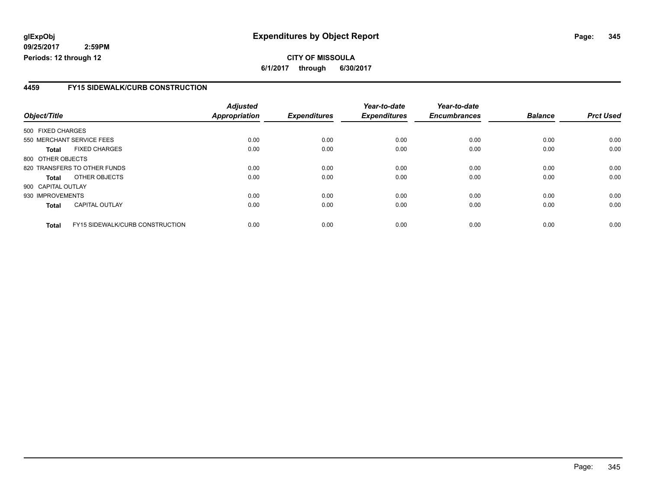**CITY OF MISSOULA 6/1/2017 through 6/30/2017**

### **4459 FY15 SIDEWALK/CURB CONSTRUCTION**

|                    |                                        | <b>Adjusted</b> |                     | Year-to-date        | Year-to-date        |                |                  |
|--------------------|----------------------------------------|-----------------|---------------------|---------------------|---------------------|----------------|------------------|
| Object/Title       |                                        | Appropriation   | <b>Expenditures</b> | <b>Expenditures</b> | <b>Encumbrances</b> | <b>Balance</b> | <b>Prct Used</b> |
| 500 FIXED CHARGES  |                                        |                 |                     |                     |                     |                |                  |
|                    | 550 MERCHANT SERVICE FEES              | 0.00            | 0.00                | 0.00                | 0.00                | 0.00           | 0.00             |
| <b>Total</b>       | <b>FIXED CHARGES</b>                   | 0.00            | 0.00                | 0.00                | 0.00                | 0.00           | 0.00             |
| 800 OTHER OBJECTS  |                                        |                 |                     |                     |                     |                |                  |
|                    | 820 TRANSFERS TO OTHER FUNDS           | 0.00            | 0.00                | 0.00                | 0.00                | 0.00           | 0.00             |
| <b>Total</b>       | OTHER OBJECTS                          | 0.00            | 0.00                | 0.00                | 0.00                | 0.00           | 0.00             |
| 900 CAPITAL OUTLAY |                                        |                 |                     |                     |                     |                |                  |
| 930 IMPROVEMENTS   |                                        | 0.00            | 0.00                | 0.00                | 0.00                | 0.00           | 0.00             |
| <b>Total</b>       | <b>CAPITAL OUTLAY</b>                  | 0.00            | 0.00                | 0.00                | 0.00                | 0.00           | 0.00             |
| <b>Total</b>       | <b>FY15 SIDEWALK/CURB CONSTRUCTION</b> | 0.00            | 0.00                | 0.00                | 0.00                | 0.00           | 0.00             |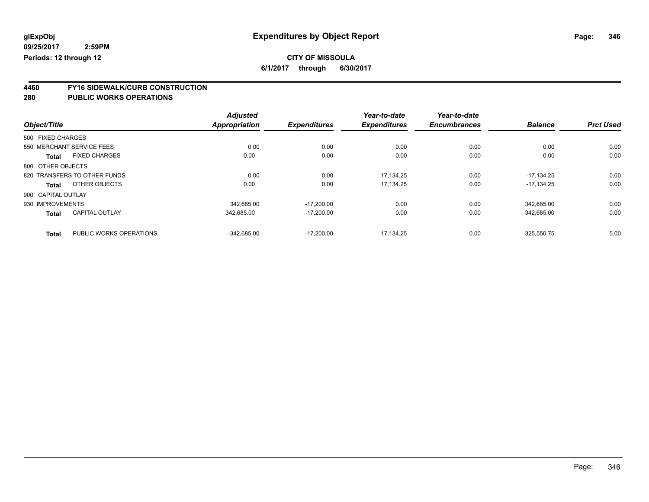# **CITY OF MISSOULA**

**6/1/2017 through 6/30/2017**

# **4460 FY16 SIDEWALK/CURB CONSTRUCTION**

|                    |                              | <b>Adjusted</b>      |                     | Year-to-date        | Year-to-date        |                |                  |
|--------------------|------------------------------|----------------------|---------------------|---------------------|---------------------|----------------|------------------|
| Object/Title       |                              | <b>Appropriation</b> | <b>Expenditures</b> | <b>Expenditures</b> | <b>Encumbrances</b> | <b>Balance</b> | <b>Prct Used</b> |
| 500 FIXED CHARGES  |                              |                      |                     |                     |                     |                |                  |
|                    | 550 MERCHANT SERVICE FEES    | 0.00                 | 0.00                | 0.00                | 0.00                | 0.00           | 0.00             |
| <b>Total</b>       | <b>FIXED CHARGES</b>         | 0.00                 | 0.00                | 0.00                | 0.00                | 0.00           | 0.00             |
| 800 OTHER OBJECTS  |                              |                      |                     |                     |                     |                |                  |
|                    | 820 TRANSFERS TO OTHER FUNDS | 0.00                 | 0.00                | 17.134.25           | 0.00                | $-17.134.25$   | 0.00             |
| Total              | OTHER OBJECTS                | 0.00                 | 0.00                | 17.134.25           | 0.00                | $-17.134.25$   | 0.00             |
| 900 CAPITAL OUTLAY |                              |                      |                     |                     |                     |                |                  |
| 930 IMPROVEMENTS   |                              | 342.685.00           | $-17.200.00$        | 0.00                | 0.00                | 342.685.00     | 0.00             |
| <b>Total</b>       | <b>CAPITAL OUTLAY</b>        | 342,685.00           | $-17,200.00$        | 0.00                | 0.00                | 342,685.00     | 0.00             |
| <b>Total</b>       | PUBLIC WORKS OPERATIONS      | 342.685.00           | $-17.200.00$        | 17.134.25           | 0.00                | 325.550.75     | 5.00             |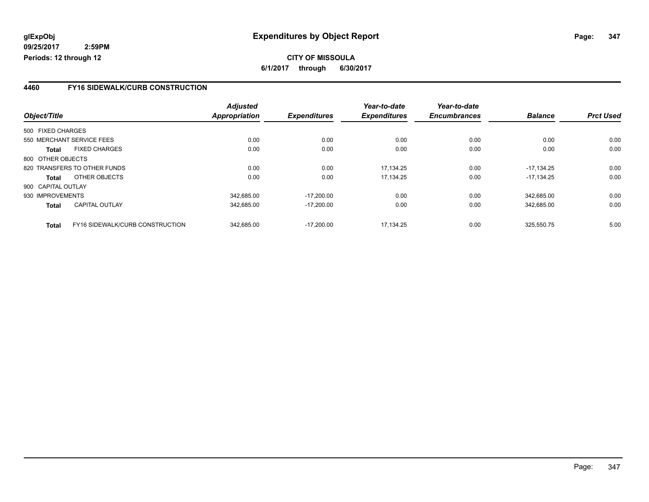### **4460 FY16 SIDEWALK/CURB CONSTRUCTION**

|                    |                                 | <b>Adjusted</b>      |                     | Year-to-date        | Year-to-date        |                |                  |
|--------------------|---------------------------------|----------------------|---------------------|---------------------|---------------------|----------------|------------------|
| Object/Title       |                                 | <b>Appropriation</b> | <b>Expenditures</b> | <b>Expenditures</b> | <b>Encumbrances</b> | <b>Balance</b> | <b>Prct Used</b> |
| 500 FIXED CHARGES  |                                 |                      |                     |                     |                     |                |                  |
|                    | 550 MERCHANT SERVICE FEES       | 0.00                 | 0.00                | 0.00                | 0.00                | 0.00           | 0.00             |
| Total              | <b>FIXED CHARGES</b>            | 0.00                 | 0.00                | 0.00                | 0.00                | 0.00           | 0.00             |
| 800 OTHER OBJECTS  |                                 |                      |                     |                     |                     |                |                  |
|                    | 820 TRANSFERS TO OTHER FUNDS    | 0.00                 | 0.00                | 17.134.25           | 0.00                | $-17.134.25$   | 0.00             |
| Total              | OTHER OBJECTS                   | 0.00                 | 0.00                | 17,134.25           | 0.00                | $-17.134.25$   | 0.00             |
| 900 CAPITAL OUTLAY |                                 |                      |                     |                     |                     |                |                  |
| 930 IMPROVEMENTS   |                                 | 342.685.00           | $-17.200.00$        | 0.00                | 0.00                | 342.685.00     | 0.00             |
| <b>Total</b>       | CAPITAL OUTLAY                  | 342.685.00           | $-17,200.00$        | 0.00                | 0.00                | 342.685.00     | 0.00             |
| <b>Total</b>       | FY16 SIDEWALK/CURB CONSTRUCTION | 342.685.00           | $-17.200.00$        | 17.134.25           | 0.00                | 325.550.75     | 5.00             |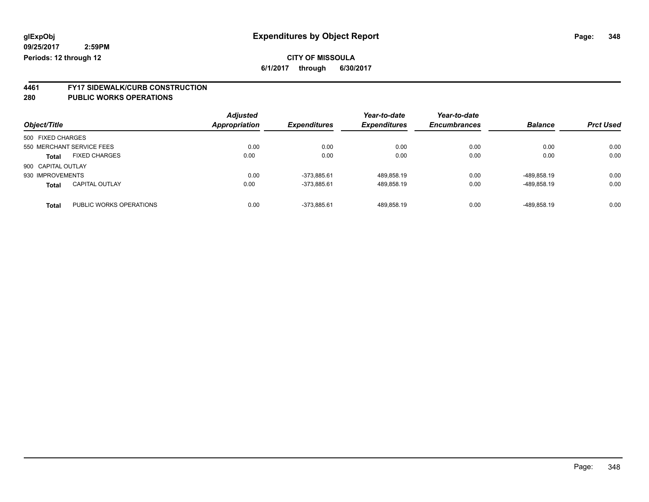### **CITY OF MISSOULA 6/1/2017 through 6/30/2017**

# **4461 FY17 SIDEWALK/CURB CONSTRUCTION**

| Object/Title       |                           | <b>Adjusted</b><br><b>Appropriation</b> | <b>Expenditures</b> | Year-to-date<br><b>Expenditures</b> | Year-to-date<br><b>Encumbrances</b> | <b>Balance</b> | <b>Prct Used</b> |
|--------------------|---------------------------|-----------------------------------------|---------------------|-------------------------------------|-------------------------------------|----------------|------------------|
| 500 FIXED CHARGES  |                           |                                         |                     |                                     |                                     |                |                  |
|                    | 550 MERCHANT SERVICE FEES | 0.00                                    | 0.00                | 0.00                                | 0.00                                | 0.00           | 0.00             |
| <b>Total</b>       | <b>FIXED CHARGES</b>      | 0.00                                    | 0.00                | 0.00                                | 0.00                                | 0.00           | 0.00             |
| 900 CAPITAL OUTLAY |                           |                                         |                     |                                     |                                     |                |                  |
| 930 IMPROVEMENTS   |                           | 0.00                                    | -373.885.61         | 489.858.19                          | 0.00                                | -489.858.19    | 0.00             |
| <b>Total</b>       | <b>CAPITAL OUTLAY</b>     | 0.00                                    | -373.885.61         | 489.858.19                          | 0.00                                | -489.858.19    | 0.00             |
| <b>Total</b>       | PUBLIC WORKS OPERATIONS   | 0.00                                    | -373.885.61         | 489.858.19                          | 0.00                                | -489.858.19    | 0.00             |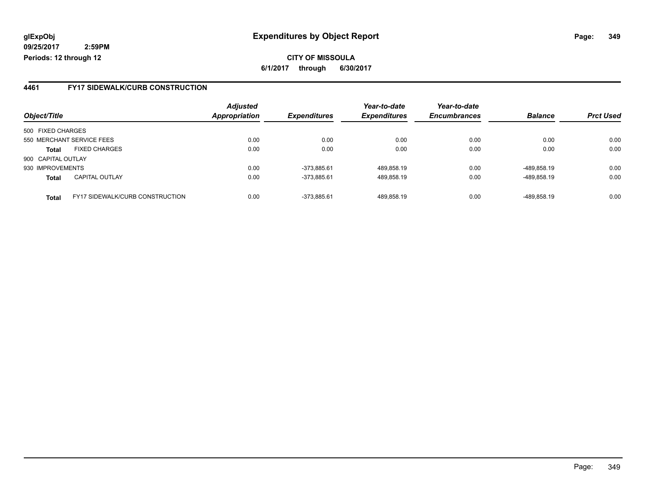**CITY OF MISSOULA 6/1/2017 through 6/30/2017**

### **4461 FY17 SIDEWALK/CURB CONSTRUCTION**

|                    |                                        | <b>Adjusted</b> |                            | Year-to-date        | Year-to-date        |                |                  |
|--------------------|----------------------------------------|-----------------|----------------------------|---------------------|---------------------|----------------|------------------|
| Object/Title       |                                        | Appropriation   | <i><b>Expenditures</b></i> | <b>Expenditures</b> | <b>Encumbrances</b> | <b>Balance</b> | <b>Prct Used</b> |
| 500 FIXED CHARGES  |                                        |                 |                            |                     |                     |                |                  |
|                    | 550 MERCHANT SERVICE FEES              | 0.00            | 0.00                       | 0.00                | 0.00                | 0.00           | 0.00             |
| <b>Total</b>       | <b>FIXED CHARGES</b>                   | 0.00            | 0.00                       | 0.00                | 0.00                | 0.00           | 0.00             |
| 900 CAPITAL OUTLAY |                                        |                 |                            |                     |                     |                |                  |
| 930 IMPROVEMENTS   |                                        | 0.00            | -373.885.61                | 489,858.19          | 0.00                | -489.858.19    | 0.00             |
| <b>Total</b>       | <b>CAPITAL OUTLAY</b>                  | 0.00            | -373.885.61                | 489,858.19          | 0.00                | -489,858.19    | 0.00             |
| <b>Total</b>       | <b>FY17 SIDEWALK/CURB CONSTRUCTION</b> | 0.00            | -373.885.61                | 489.858.19          | 0.00                | -489.858.19    | 0.00             |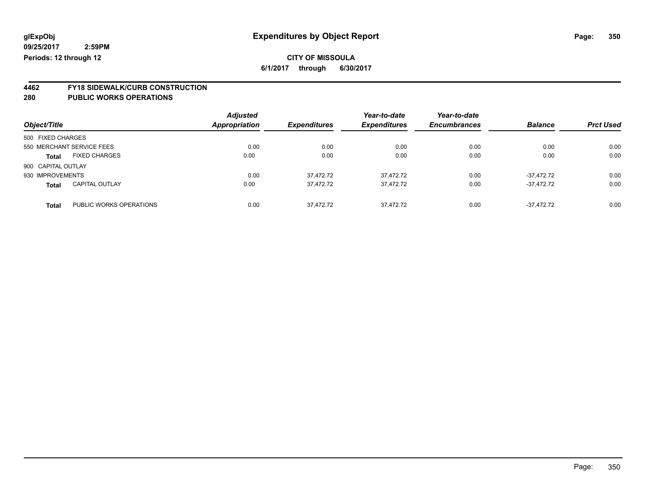### **CITY OF MISSOULA 6/1/2017 through 6/30/2017**

**4462 FY18 SIDEWALK/CURB CONSTRUCTION**

| Object/Title                            | <b>Adjusted</b><br><b>Appropriation</b> | <b>Expenditures</b> | Year-to-date<br><b>Expenditures</b> | Year-to-date<br><b>Encumbrances</b> | <b>Balance</b> | <b>Prct Used</b> |
|-----------------------------------------|-----------------------------------------|---------------------|-------------------------------------|-------------------------------------|----------------|------------------|
| 500 FIXED CHARGES                       |                                         |                     |                                     |                                     |                |                  |
| 550 MERCHANT SERVICE FEES               | 0.00                                    | 0.00                | 0.00                                | 0.00                                | 0.00           | 0.00             |
| <b>FIXED CHARGES</b><br><b>Total</b>    | 0.00                                    | 0.00                | 0.00                                | 0.00                                | 0.00           | 0.00             |
| 900 CAPITAL OUTLAY                      |                                         |                     |                                     |                                     |                |                  |
| 930 IMPROVEMENTS                        | 0.00                                    | 37.472.72           | 37,472.72                           | 0.00                                | $-37.472.72$   | 0.00             |
| <b>CAPITAL OUTLAY</b><br><b>Total</b>   | 0.00                                    | 37,472.72           | 37,472.72                           | 0.00                                | $-37.472.72$   | 0.00             |
| PUBLIC WORKS OPERATIONS<br><b>Total</b> | 0.00                                    | 37.472.72           | 37.472.72                           | 0.00                                | $-37.472.72$   | 0.00             |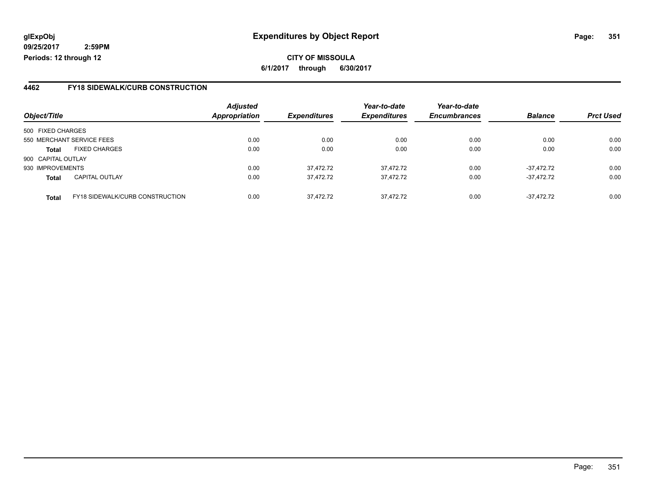**CITY OF MISSOULA 6/1/2017 through 6/30/2017**

## **4462 FY18 SIDEWALK/CURB CONSTRUCTION**

|                    |                                        | <b>Adjusted</b>      |                            | Year-to-date        | Year-to-date        |                |                  |
|--------------------|----------------------------------------|----------------------|----------------------------|---------------------|---------------------|----------------|------------------|
| Object/Title       |                                        | <b>Appropriation</b> | <i><b>Expenditures</b></i> | <b>Expenditures</b> | <b>Encumbrances</b> | <b>Balance</b> | <b>Prct Used</b> |
| 500 FIXED CHARGES  |                                        |                      |                            |                     |                     |                |                  |
|                    | 550 MERCHANT SERVICE FEES              | 0.00                 | 0.00                       | 0.00                | 0.00                | 0.00           | 0.00             |
| <b>Total</b>       | <b>FIXED CHARGES</b>                   | 0.00                 | 0.00                       | 0.00                | 0.00                | 0.00           | 0.00             |
| 900 CAPITAL OUTLAY |                                        |                      |                            |                     |                     |                |                  |
| 930 IMPROVEMENTS   |                                        | 0.00                 | 37,472.72                  | 37.472.72           | 0.00                | $-37.472.72$   | 0.00             |
| <b>Total</b>       | <b>CAPITAL OUTLAY</b>                  | 0.00                 | 37,472.72                  | 37,472.72           | 0.00                | $-37.472.72$   | 0.00             |
| <b>Total</b>       | <b>FY18 SIDEWALK/CURB CONSTRUCTION</b> | 0.00                 | 37.472.72                  | 37.472.72           | 0.00                | $-37.472.72$   | 0.00             |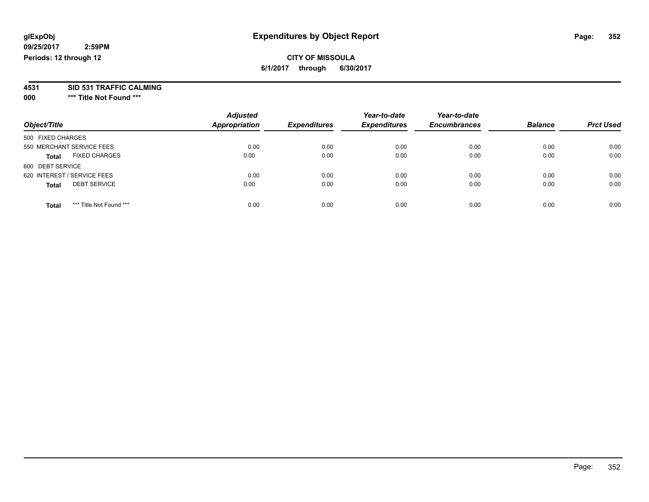### **CITY OF MISSOULA 6/1/2017 through 6/30/2017**

**4531 SID 531 TRAFFIC CALMING**

**000 \*\*\* Title Not Found \*\*\***

| Object/Title                            | <b>Adjusted</b><br><b>Appropriation</b> | <b>Expenditures</b> | Year-to-date<br><b>Expenditures</b> | Year-to-date<br><b>Encumbrances</b> | <b>Balance</b> | <b>Prct Used</b> |
|-----------------------------------------|-----------------------------------------|---------------------|-------------------------------------|-------------------------------------|----------------|------------------|
| 500 FIXED CHARGES                       |                                         |                     |                                     |                                     |                |                  |
| 550 MERCHANT SERVICE FEES               | 0.00                                    | 0.00                | 0.00                                | 0.00                                | 0.00           | 0.00             |
| <b>FIXED CHARGES</b><br><b>Total</b>    | 0.00                                    | 0.00                | 0.00                                | 0.00                                | 0.00           | 0.00             |
| 600 DEBT SERVICE                        |                                         |                     |                                     |                                     |                |                  |
| 620 INTEREST / SERVICE FEES             | 0.00                                    | 0.00                | 0.00                                | 0.00                                | 0.00           | 0.00             |
| <b>DEBT SERVICE</b><br><b>Total</b>     | 0.00                                    | 0.00                | 0.00                                | 0.00                                | 0.00           | 0.00             |
| *** Title Not Found ***<br><b>Total</b> | 0.00                                    | 0.00                | 0.00                                | 0.00                                | 0.00           | 0.00             |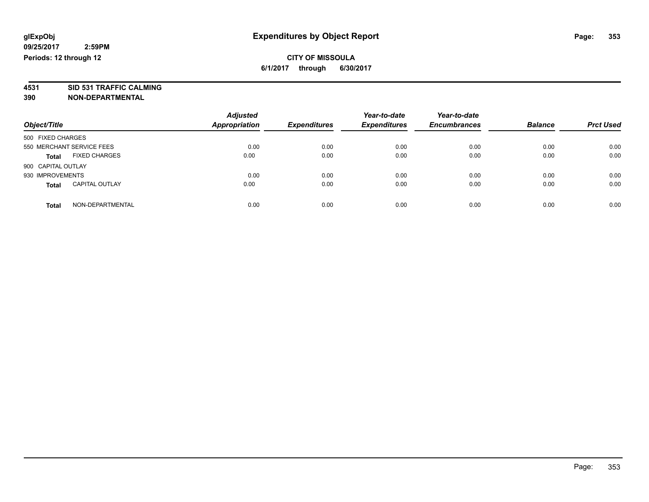**4531 SID 531 TRAFFIC CALMING 390 NON-DEPARTMENTAL**

| Object/Title                          | <b>Adjusted</b><br><b>Appropriation</b> | <b>Expenditures</b> | Year-to-date<br><b>Expenditures</b> | Year-to-date<br><b>Encumbrances</b> | <b>Balance</b> | <b>Prct Used</b> |
|---------------------------------------|-----------------------------------------|---------------------|-------------------------------------|-------------------------------------|----------------|------------------|
| 500 FIXED CHARGES                     |                                         |                     |                                     |                                     |                |                  |
| 550 MERCHANT SERVICE FEES             | 0.00                                    | 0.00                | 0.00                                | 0.00                                | 0.00           | 0.00             |
| <b>FIXED CHARGES</b><br><b>Total</b>  | 0.00                                    | 0.00                | 0.00                                | 0.00                                | 0.00           | 0.00             |
| 900 CAPITAL OUTLAY                    |                                         |                     |                                     |                                     |                |                  |
| 930 IMPROVEMENTS                      | 0.00                                    | 0.00                | 0.00                                | 0.00                                | 0.00           | 0.00             |
| <b>CAPITAL OUTLAY</b><br><b>Total</b> | 0.00                                    | 0.00                | 0.00                                | 0.00                                | 0.00           | 0.00             |
| NON-DEPARTMENTAL<br>Total             | 0.00                                    | 0.00                | 0.00                                | 0.00                                | 0.00           | 0.00             |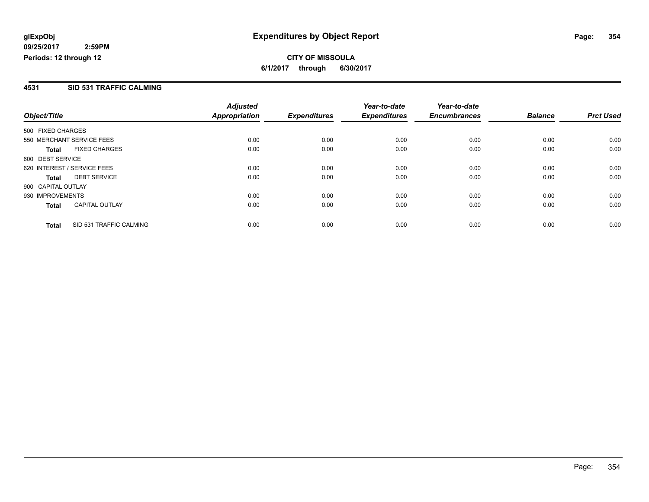### **4531 SID 531 TRAFFIC CALMING**

|                             |                         | <b>Adjusted</b> |                     | Year-to-date        | Year-to-date        |                |                  |
|-----------------------------|-------------------------|-----------------|---------------------|---------------------|---------------------|----------------|------------------|
| Object/Title                |                         | Appropriation   | <b>Expenditures</b> | <b>Expenditures</b> | <b>Encumbrances</b> | <b>Balance</b> | <b>Prct Used</b> |
| 500 FIXED CHARGES           |                         |                 |                     |                     |                     |                |                  |
| 550 MERCHANT SERVICE FEES   |                         | 0.00            | 0.00                | 0.00                | 0.00                | 0.00           | 0.00             |
| <b>Total</b>                | <b>FIXED CHARGES</b>    | 0.00            | 0.00                | 0.00                | 0.00                | 0.00           | 0.00             |
| 600 DEBT SERVICE            |                         |                 |                     |                     |                     |                |                  |
| 620 INTEREST / SERVICE FEES |                         | 0.00            | 0.00                | 0.00                | 0.00                | 0.00           | 0.00             |
| <b>Total</b>                | <b>DEBT SERVICE</b>     | 0.00            | 0.00                | 0.00                | 0.00                | 0.00           | 0.00             |
| 900 CAPITAL OUTLAY          |                         |                 |                     |                     |                     |                |                  |
| 930 IMPROVEMENTS            |                         | 0.00            | 0.00                | 0.00                | 0.00                | 0.00           | 0.00             |
| <b>Total</b>                | <b>CAPITAL OUTLAY</b>   | 0.00            | 0.00                | 0.00                | 0.00                | 0.00           | 0.00             |
| <b>Total</b>                | SID 531 TRAFFIC CALMING | 0.00            | 0.00                | 0.00                | 0.00                | 0.00           | 0.00             |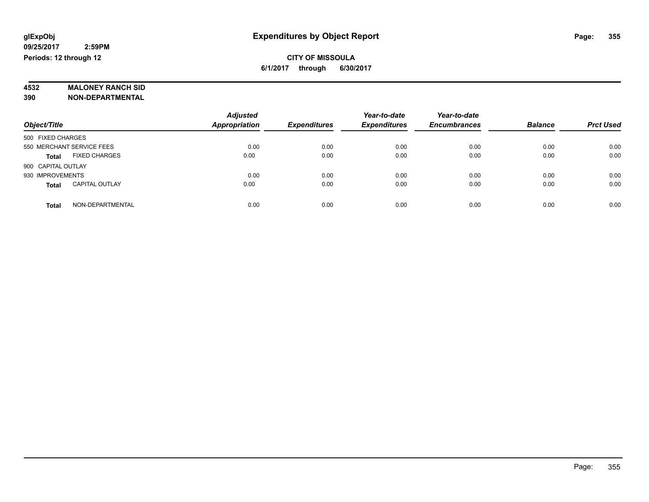# **4532 MALONEY RANCH SID**

**390 NON-DEPARTMENTAL**

|                                       | <b>Adjusted</b>      |                     | Year-to-date        | Year-to-date        |                |                  |
|---------------------------------------|----------------------|---------------------|---------------------|---------------------|----------------|------------------|
| Object/Title                          | <b>Appropriation</b> | <b>Expenditures</b> | <b>Expenditures</b> | <b>Encumbrances</b> | <b>Balance</b> | <b>Prct Used</b> |
| 500 FIXED CHARGES                     |                      |                     |                     |                     |                |                  |
| 550 MERCHANT SERVICE FEES             | 0.00                 | 0.00                | 0.00                | 0.00                | 0.00           | 0.00             |
| <b>FIXED CHARGES</b><br><b>Total</b>  | 0.00                 | 0.00                | 0.00                | 0.00                | 0.00           | 0.00             |
| 900 CAPITAL OUTLAY                    |                      |                     |                     |                     |                |                  |
| 930 IMPROVEMENTS                      | 0.00                 | 0.00                | 0.00                | 0.00                | 0.00           | 0.00             |
| <b>CAPITAL OUTLAY</b><br><b>Total</b> | 0.00                 | 0.00                | 0.00                | 0.00                | 0.00           | 0.00             |
| NON-DEPARTMENTAL<br><b>Total</b>      | 0.00                 | 0.00                | 0.00                | 0.00                | 0.00           | 0.00             |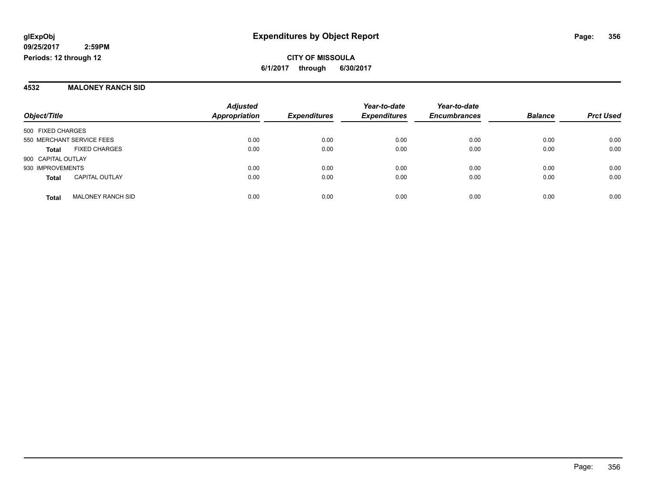#### **4532 MALONEY RANCH SID**

| Object/Title              |                          | <b>Adjusted</b><br>Appropriation | <b>Expenditures</b> | Year-to-date<br><b>Expenditures</b> | Year-to-date<br><b>Encumbrances</b> | <b>Balance</b> | <b>Prct Used</b> |
|---------------------------|--------------------------|----------------------------------|---------------------|-------------------------------------|-------------------------------------|----------------|------------------|
| 500 FIXED CHARGES         |                          |                                  |                     |                                     |                                     |                |                  |
| 550 MERCHANT SERVICE FEES |                          | 0.00                             | 0.00                | 0.00                                | 0.00                                | 0.00           | 0.00             |
| <b>Total</b>              | <b>FIXED CHARGES</b>     | 0.00                             | 0.00                | 0.00                                | 0.00                                | 0.00           | 0.00             |
| 900 CAPITAL OUTLAY        |                          |                                  |                     |                                     |                                     |                |                  |
| 930 IMPROVEMENTS          |                          | 0.00                             | 0.00                | 0.00                                | 0.00                                | 0.00           | 0.00             |
| <b>Total</b>              | <b>CAPITAL OUTLAY</b>    | 0.00                             | 0.00                | 0.00                                | 0.00                                | 0.00           | 0.00             |
| <b>Total</b>              | <b>MALONEY RANCH SID</b> | 0.00                             | 0.00                | 0.00                                | 0.00                                | 0.00           | 0.00             |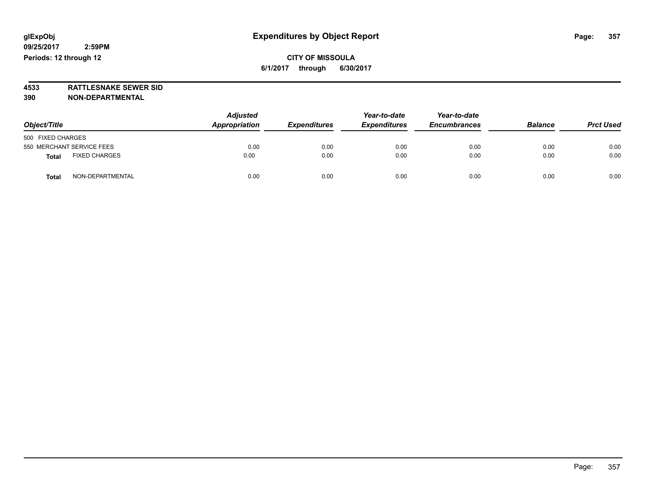**4533 RATTLESNAKE SEWER SID 390 NON-DEPARTMENTAL**

| Object/Title                         | <b>Adjusted</b><br>Appropriation<br><b>Expenditures</b> | Year-to-date<br><b>Expenditures</b> | Year-to-date<br><b>Encumbrances</b> | <b>Balance</b> | <b>Prct Used</b> |      |
|--------------------------------------|---------------------------------------------------------|-------------------------------------|-------------------------------------|----------------|------------------|------|
| 500 FIXED CHARGES                    |                                                         |                                     |                                     |                |                  |      |
| 550 MERCHANT SERVICE FEES            | 0.00                                                    | 0.00                                | 0.00                                | 0.00           | 0.00             | 0.00 |
| <b>FIXED CHARGES</b><br><b>Total</b> | 0.00                                                    | 0.00                                | 0.00                                | 0.00           | 0.00             | 0.00 |
| NON-DEPARTMENTAL<br><b>Total</b>     | 0.00                                                    | 0.00                                | 0.00                                | 0.00           | 0.00             | 0.00 |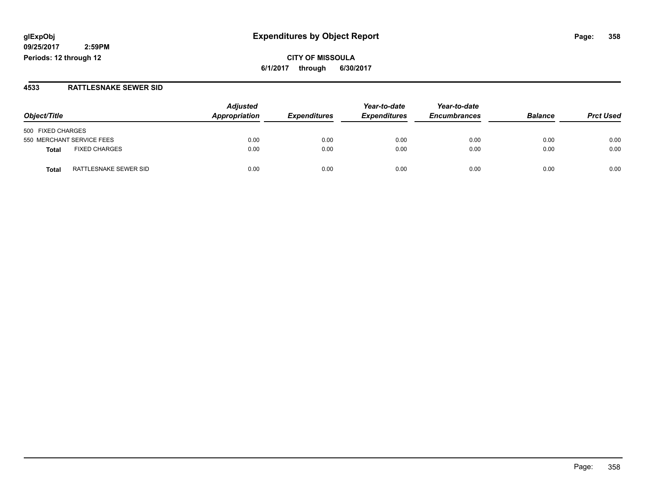# **glExpObj Expenditures by Object Report Page: 358**

**09/25/2017 2:59PM Periods: 12 through 12**

**CITY OF MISSOULA 6/1/2017 through 6/30/2017**

#### **4533 RATTLESNAKE SEWER SID**

| Object/Title                         | <b>Adjusted</b><br>Appropriation | <b>Expenditures</b> | Year-to-date<br><b>Expenditures</b> | Year-to-date<br><b>Encumbrances</b> | <b>Balance</b> | <b>Prct Used</b> |
|--------------------------------------|----------------------------------|---------------------|-------------------------------------|-------------------------------------|----------------|------------------|
| 500 FIXED CHARGES                    |                                  |                     |                                     |                                     |                |                  |
| 550 MERCHANT SERVICE FEES            | 0.00                             | 0.00                | 0.00                                | 0.00                                | 0.00           | 0.00             |
| <b>FIXED CHARGES</b><br><b>Total</b> | 0.00                             | 0.00                | 0.00                                | 0.00                                | 0.00           | 0.00             |
| RATTLESNAKE SEWER SID<br>Total       | 0.00                             | 0.00                | 0.00                                | 0.00                                | 0.00           | 0.00             |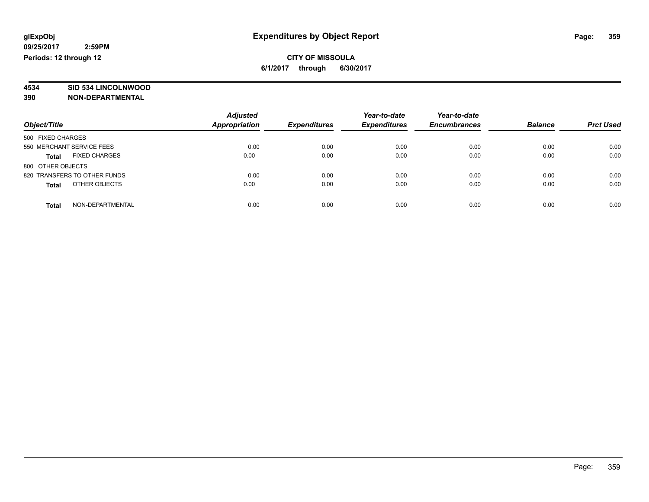# **4534 SID 534 LINCOLNWOOD**

**390 NON-DEPARTMENTAL**

| Object/Title                  | <b>Adjusted</b><br>Appropriation | <b>Expenditures</b> | Year-to-date<br><b>Expenditures</b> | Year-to-date<br><b>Encumbrances</b> | <b>Balance</b> | <b>Prct Used</b> |
|-------------------------------|----------------------------------|---------------------|-------------------------------------|-------------------------------------|----------------|------------------|
| 500 FIXED CHARGES             |                                  |                     |                                     |                                     |                |                  |
| 550 MERCHANT SERVICE FEES     | 0.00                             | 0.00                | 0.00                                | 0.00                                | 0.00           | 0.00             |
| <b>FIXED CHARGES</b><br>Total | 0.00                             | 0.00                | 0.00                                | 0.00                                | 0.00           | 0.00             |
| 800 OTHER OBJECTS             |                                  |                     |                                     |                                     |                |                  |
| 820 TRANSFERS TO OTHER FUNDS  | 0.00                             | 0.00                | 0.00                                | 0.00                                | 0.00           | 0.00             |
| OTHER OBJECTS<br><b>Total</b> | 0.00                             | 0.00                | 0.00                                | 0.00                                | 0.00           | 0.00             |
| NON-DEPARTMENTAL<br>Total     | 0.00                             | 0.00                | 0.00                                | 0.00                                | 0.00           | 0.00             |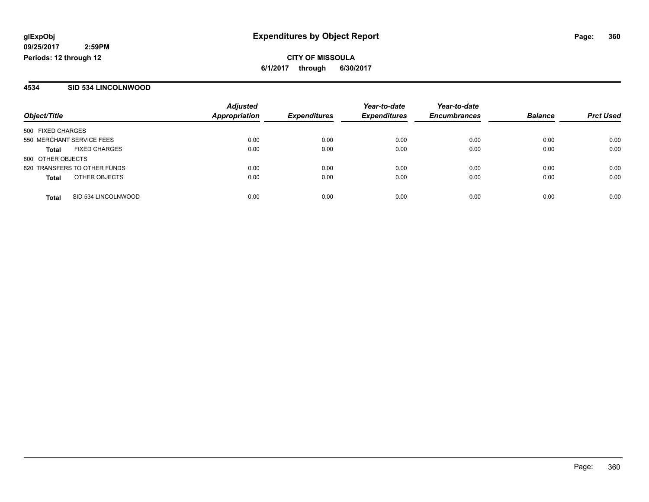### **4534 SID 534 LINCOLNWOOD**

| Object/Title              |                              | <b>Adjusted</b><br><b>Appropriation</b> |                     | Year-to-date<br><b>Expenditures</b> | Year-to-date<br><b>Encumbrances</b> | <b>Balance</b> | <b>Prct Used</b> |
|---------------------------|------------------------------|-----------------------------------------|---------------------|-------------------------------------|-------------------------------------|----------------|------------------|
|                           |                              |                                         | <b>Expenditures</b> |                                     |                                     |                |                  |
| 500 FIXED CHARGES         |                              |                                         |                     |                                     |                                     |                |                  |
| 550 MERCHANT SERVICE FEES |                              | 0.00                                    | 0.00                | 0.00                                | 0.00                                | 0.00           | 0.00             |
| Total                     | <b>FIXED CHARGES</b>         | 0.00                                    | 0.00                | 0.00                                | 0.00                                | 0.00           | 0.00             |
| 800 OTHER OBJECTS         |                              |                                         |                     |                                     |                                     |                |                  |
|                           | 820 TRANSFERS TO OTHER FUNDS | 0.00                                    | 0.00                | 0.00                                | 0.00                                | 0.00           | 0.00             |
| <b>Total</b>              | OTHER OBJECTS                | 0.00                                    | 0.00                | 0.00                                | 0.00                                | 0.00           | 0.00             |
| <b>Total</b>              | SID 534 LINCOLNWOOD          | 0.00                                    | 0.00                | 0.00                                | 0.00                                | 0.00           | 0.00             |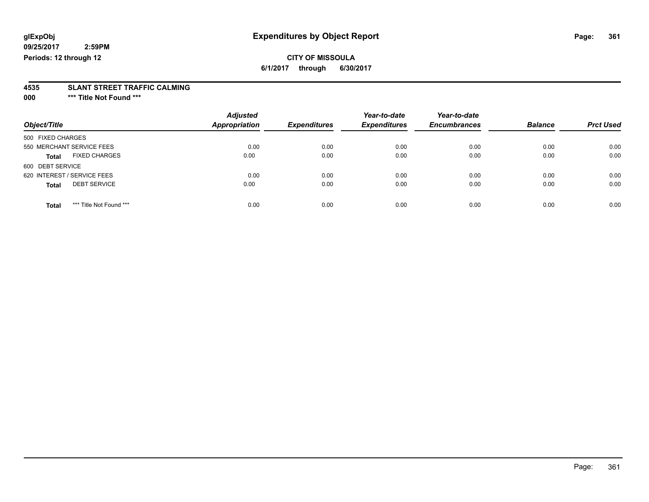# **CITY OF MISSOULA**

**6/1/2017 through 6/30/2017**

# **4535 SLANT STREET TRAFFIC CALMING**

**000 \*\*\* Title Not Found \*\*\***

| Object/Title                            | <b>Adjusted</b><br><b>Appropriation</b> | <b>Expenditures</b> | Year-to-date<br><b>Expenditures</b> | Year-to-date<br><b>Encumbrances</b> | <b>Balance</b> | <b>Prct Used</b> |
|-----------------------------------------|-----------------------------------------|---------------------|-------------------------------------|-------------------------------------|----------------|------------------|
| 500 FIXED CHARGES                       |                                         |                     |                                     |                                     |                |                  |
| 550 MERCHANT SERVICE FEES               | 0.00                                    | 0.00                | 0.00                                | 0.00                                | 0.00           | 0.00             |
| <b>FIXED CHARGES</b><br><b>Total</b>    | 0.00                                    | 0.00                | 0.00                                | 0.00                                | 0.00           | 0.00             |
| 600 DEBT SERVICE                        |                                         |                     |                                     |                                     |                |                  |
| 620 INTEREST / SERVICE FEES             | 0.00                                    | 0.00                | 0.00                                | 0.00                                | 0.00           | 0.00             |
| <b>DEBT SERVICE</b><br><b>Total</b>     | 0.00                                    | 0.00                | 0.00                                | 0.00                                | 0.00           | 0.00             |
| *** Title Not Found ***<br><b>Total</b> | 0.00                                    | 0.00                | 0.00                                | 0.00                                | 0.00           | 0.00             |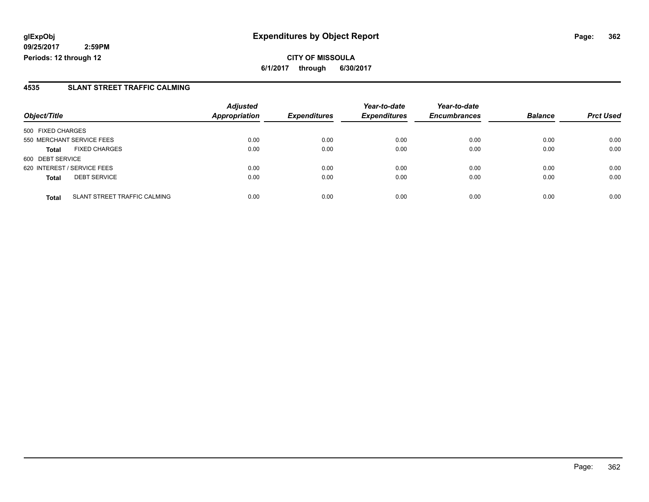**CITY OF MISSOULA 6/1/2017 through 6/30/2017**

#### **4535 SLANT STREET TRAFFIC CALMING**

|                                              | <b>Adjusted</b>      |                     | Year-to-date<br><b>Expenditures</b> | Year-to-date        | <b>Balance</b> |                  |
|----------------------------------------------|----------------------|---------------------|-------------------------------------|---------------------|----------------|------------------|
| Object/Title                                 | <b>Appropriation</b> | <b>Expenditures</b> |                                     | <b>Encumbrances</b> |                | <b>Prct Used</b> |
| 500 FIXED CHARGES                            |                      |                     |                                     |                     |                |                  |
| 550 MERCHANT SERVICE FEES                    | 0.00                 | 0.00                | 0.00                                | 0.00                | 0.00           | 0.00             |
| <b>FIXED CHARGES</b><br><b>Total</b>         | 0.00                 | 0.00                | 0.00                                | 0.00                | 0.00           | 0.00             |
| 600 DEBT SERVICE                             |                      |                     |                                     |                     |                |                  |
| 620 INTEREST / SERVICE FEES                  | 0.00                 | 0.00                | 0.00                                | 0.00                | 0.00           | 0.00             |
| <b>DEBT SERVICE</b><br><b>Total</b>          | 0.00                 | 0.00                | 0.00                                | 0.00                | 0.00           | 0.00             |
| SLANT STREET TRAFFIC CALMING<br><b>Total</b> | 0.00                 | 0.00                | 0.00                                | 0.00                | 0.00           | 0.00             |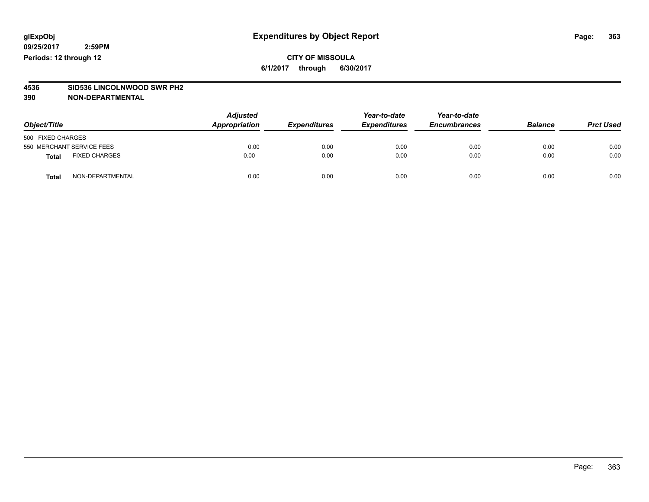### **CITY OF MISSOULA 6/1/2017 through 6/30/2017**

# **4536 SID536 LINCOLNWOOD SWR PH2**

| Object/Title                         |                  | <b>Adjusted</b><br>Appropriation | <b>Expenditures</b> | Year-to-date<br><b>Expenditures</b> | Year-to-date<br><b>Encumbrances</b> | <b>Balance</b> | <b>Prct Used</b> |
|--------------------------------------|------------------|----------------------------------|---------------------|-------------------------------------|-------------------------------------|----------------|------------------|
| 500 FIXED CHARGES                    |                  |                                  |                     |                                     |                                     |                |                  |
| 550 MERCHANT SERVICE FEES            |                  | 0.00                             | 0.00                | 0.00                                | 0.00                                | 0.00           | 0.00             |
| <b>FIXED CHARGES</b><br><b>Total</b> |                  | 0.00                             | 0.00                | 0.00                                | 0.00                                | 0.00           | 0.00             |
| <b>Total</b>                         | NON-DEPARTMENTAL | 0.00                             | 0.00                | 0.00                                | 0.00                                | 0.00           | 0.00             |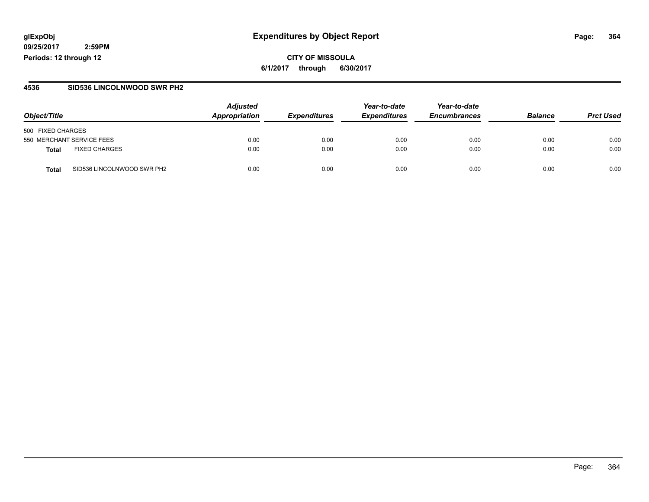## **glExpObj Expenditures by Object Report Page: 364**

**09/25/2017 2:59PM Periods: 12 through 12**

**CITY OF MISSOULA 6/1/2017 through 6/30/2017**

#### **4536 SID536 LINCOLNWOOD SWR PH2**

| Object/Title                               | <b>Adjusted</b><br>Appropriation | <b>Expenditures</b> | Year-to-date<br><b>Expenditures</b> | Year-to-date<br><b>Encumbrances</b> | <b>Balance</b> | <b>Prct Used</b> |
|--------------------------------------------|----------------------------------|---------------------|-------------------------------------|-------------------------------------|----------------|------------------|
| 500 FIXED CHARGES                          |                                  |                     |                                     |                                     |                |                  |
| 550 MERCHANT SERVICE FEES                  | 0.00                             | 0.00                | 0.00                                | 0.00                                | 0.00           | 0.00             |
| <b>FIXED CHARGES</b><br><b>Total</b>       | 0.00                             | 0.00                | 0.00                                | 0.00                                | 0.00           | 0.00             |
| SID536 LINCOLNWOOD SWR PH2<br><b>Total</b> | 0.00                             | 0.00                | 0.00                                | 0.00                                | 0.00           | 0.00             |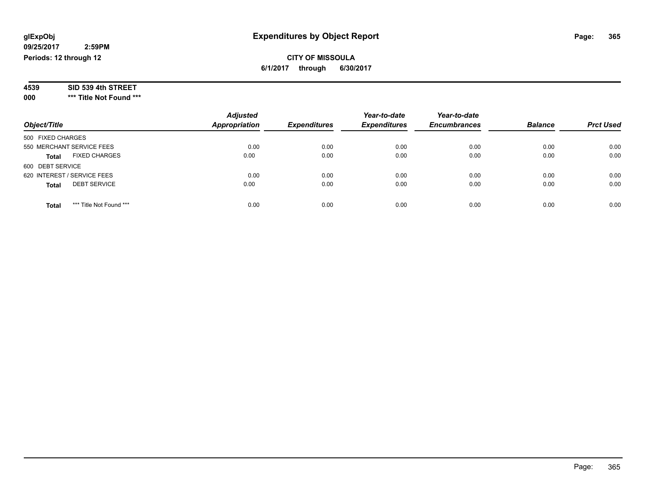### **CITY OF MISSOULA 6/1/2017 through 6/30/2017**

| 4539 | SID 539 4th STREET |  |
|------|--------------------|--|
|------|--------------------|--|

**000 \*\*\* Title Not Found \*\*\***

| Object/Title                            | <b>Adjusted</b><br><b>Appropriation</b> | <b>Expenditures</b> | Year-to-date<br><b>Expenditures</b> | Year-to-date<br><b>Encumbrances</b> | <b>Balance</b> | <b>Prct Used</b> |
|-----------------------------------------|-----------------------------------------|---------------------|-------------------------------------|-------------------------------------|----------------|------------------|
| 500 FIXED CHARGES                       |                                         |                     |                                     |                                     |                |                  |
| 550 MERCHANT SERVICE FEES               | 0.00                                    | 0.00                | 0.00                                | 0.00                                | 0.00           | 0.00             |
| <b>FIXED CHARGES</b><br><b>Total</b>    | 0.00                                    | 0.00                | 0.00                                | 0.00                                | 0.00           | 0.00             |
| 600 DEBT SERVICE                        |                                         |                     |                                     |                                     |                |                  |
| 620 INTEREST / SERVICE FEES             | 0.00                                    | 0.00                | 0.00                                | 0.00                                | 0.00           | 0.00             |
| <b>DEBT SERVICE</b><br><b>Total</b>     | 0.00                                    | 0.00                | 0.00                                | 0.00                                | 0.00           | 0.00             |
| *** Title Not Found ***<br><b>Total</b> | 0.00                                    | 0.00                | 0.00                                | 0.00                                | 0.00           | 0.00             |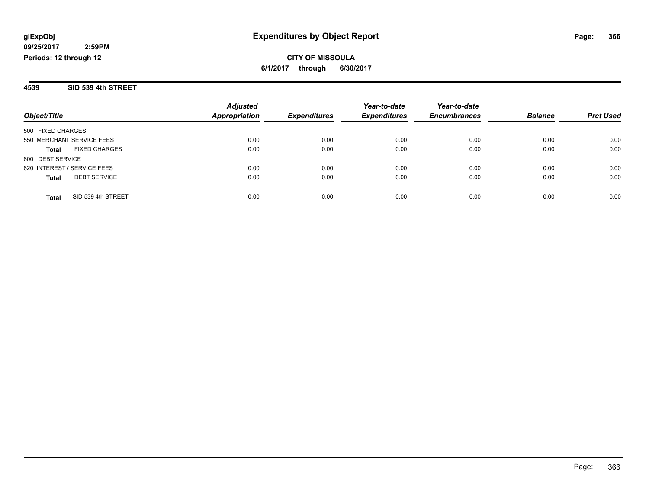**4539 SID 539 4th STREET**

|                                      | <b>Adjusted</b> |                     | Year-to-date        | Year-to-date        | <b>Balance</b> |                  |
|--------------------------------------|-----------------|---------------------|---------------------|---------------------|----------------|------------------|
| Object/Title                         | Appropriation   | <b>Expenditures</b> | <b>Expenditures</b> | <b>Encumbrances</b> |                | <b>Prct Used</b> |
| 500 FIXED CHARGES                    |                 |                     |                     |                     |                |                  |
| 550 MERCHANT SERVICE FEES            | 0.00            | 0.00                | 0.00                | 0.00                | 0.00           | 0.00             |
| <b>FIXED CHARGES</b><br><b>Total</b> | 0.00            | 0.00                | 0.00                | 0.00                | 0.00           | 0.00             |
| 600 DEBT SERVICE                     |                 |                     |                     |                     |                |                  |
| 620 INTEREST / SERVICE FEES          | 0.00            | 0.00                | 0.00                | 0.00                | 0.00           | 0.00             |
| <b>DEBT SERVICE</b><br><b>Total</b>  | 0.00            | 0.00                | 0.00                | 0.00                | 0.00           | 0.00             |
| SID 539 4th STREET<br>Total          | 0.00            | 0.00                | 0.00                | 0.00                | 0.00           | 0.00             |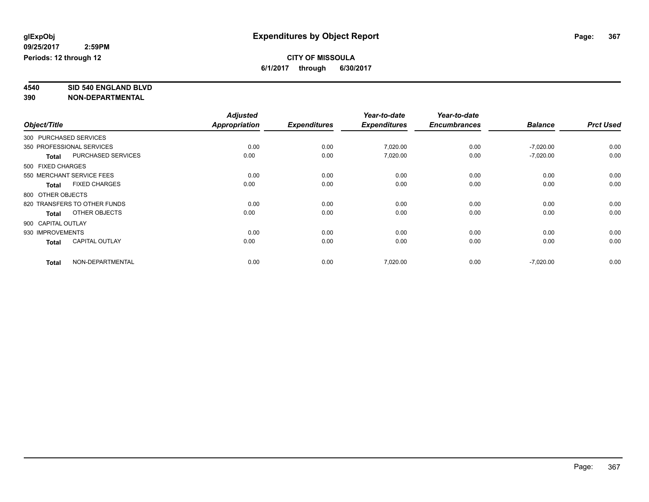**4540 SID 540 ENGLAND BLVD**

|              |                                       | <b>Adjusted</b> |                     | Year-to-date        | Year-to-date        |                |                  |
|--------------|---------------------------------------|-----------------|---------------------|---------------------|---------------------|----------------|------------------|
| Object/Title |                                       | Appropriation   | <b>Expenditures</b> | <b>Expenditures</b> | <b>Encumbrances</b> | <b>Balance</b> | <b>Prct Used</b> |
|              | 300 PURCHASED SERVICES                |                 |                     |                     |                     |                |                  |
|              | 350 PROFESSIONAL SERVICES             | 0.00            | 0.00                | 7,020.00            | 0.00                | $-7,020.00$    | 0.00             |
|              | PURCHASED SERVICES<br><b>Total</b>    | 0.00            | 0.00                | 7,020.00            | 0.00                | $-7,020.00$    | 0.00             |
|              | 500 FIXED CHARGES                     |                 |                     |                     |                     |                |                  |
|              | 550 MERCHANT SERVICE FEES             | 0.00            | 0.00                | 0.00                | 0.00                | 0.00           | 0.00             |
|              | <b>FIXED CHARGES</b><br><b>Total</b>  | 0.00            | 0.00                | 0.00                | 0.00                | 0.00           | 0.00             |
|              | 800 OTHER OBJECTS                     |                 |                     |                     |                     |                |                  |
|              | 820 TRANSFERS TO OTHER FUNDS          | 0.00            | 0.00                | 0.00                | 0.00                | 0.00           | 0.00             |
|              | OTHER OBJECTS<br><b>Total</b>         | 0.00            | 0.00                | 0.00                | 0.00                | 0.00           | 0.00             |
|              | 900 CAPITAL OUTLAY                    |                 |                     |                     |                     |                |                  |
|              | 930 IMPROVEMENTS                      | 0.00            | 0.00                | 0.00                | 0.00                | 0.00           | 0.00             |
|              | <b>CAPITAL OUTLAY</b><br><b>Total</b> | 0.00            | 0.00                | 0.00                | 0.00                | 0.00           | 0.00             |
|              | NON-DEPARTMENTAL<br><b>Total</b>      | 0.00            | 0.00                | 7,020.00            | 0.00                | $-7,020.00$    | 0.00             |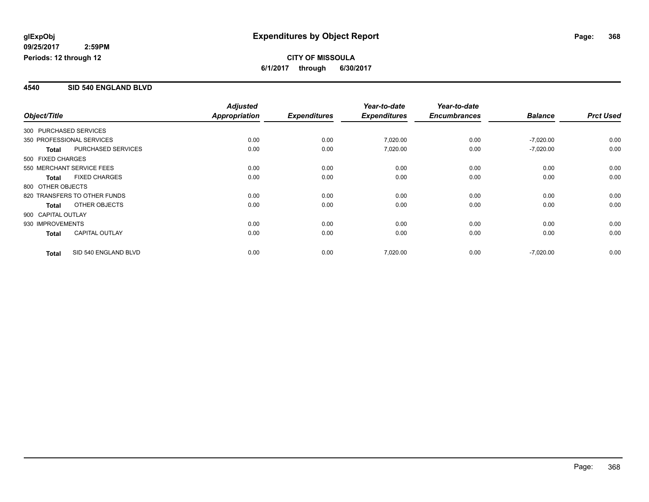#### **4540 SID 540 ENGLAND BLVD**

| Object/Title           |                              | <b>Adjusted</b> |                     | Year-to-date        | Year-to-date        |                |                  |
|------------------------|------------------------------|-----------------|---------------------|---------------------|---------------------|----------------|------------------|
|                        |                              | Appropriation   | <b>Expenditures</b> | <b>Expenditures</b> | <b>Encumbrances</b> | <b>Balance</b> | <b>Prct Used</b> |
| 300 PURCHASED SERVICES |                              |                 |                     |                     |                     |                |                  |
|                        | 350 PROFESSIONAL SERVICES    | 0.00            | 0.00                | 7,020.00            | 0.00                | $-7,020.00$    | 0.00             |
| <b>Total</b>           | <b>PURCHASED SERVICES</b>    | 0.00            | 0.00                | 7,020.00            | 0.00                | $-7,020.00$    | 0.00             |
| 500 FIXED CHARGES      |                              |                 |                     |                     |                     |                |                  |
|                        | 550 MERCHANT SERVICE FEES    | 0.00            | 0.00                | 0.00                | 0.00                | 0.00           | 0.00             |
| <b>Total</b>           | <b>FIXED CHARGES</b>         | 0.00            | 0.00                | 0.00                | 0.00                | 0.00           | 0.00             |
| 800 OTHER OBJECTS      |                              |                 |                     |                     |                     |                |                  |
|                        | 820 TRANSFERS TO OTHER FUNDS | 0.00            | 0.00                | 0.00                | 0.00                | 0.00           | 0.00             |
| <b>Total</b>           | OTHER OBJECTS                | 0.00            | 0.00                | 0.00                | 0.00                | 0.00           | 0.00             |
| 900 CAPITAL OUTLAY     |                              |                 |                     |                     |                     |                |                  |
| 930 IMPROVEMENTS       |                              | 0.00            | 0.00                | 0.00                | 0.00                | 0.00           | 0.00             |
| <b>Total</b>           | <b>CAPITAL OUTLAY</b>        | 0.00            | 0.00                | 0.00                | 0.00                | 0.00           | 0.00             |
| <b>Total</b>           | SID 540 ENGLAND BLVD         | 0.00            | 0.00                | 7,020.00            | 0.00                | $-7,020.00$    | 0.00             |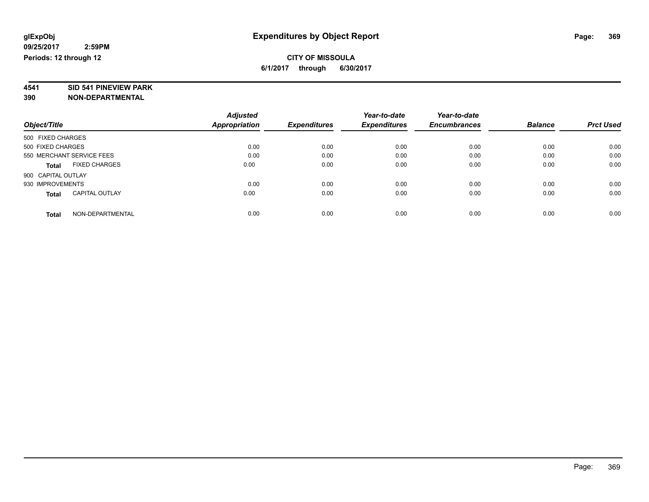# **4541 SID 541 PINEVIEW PARK**

|                                       | <b>Adjusted</b> |                     | Year-to-date        | Year-to-date        |                |                  |
|---------------------------------------|-----------------|---------------------|---------------------|---------------------|----------------|------------------|
| Object/Title                          | Appropriation   | <b>Expenditures</b> | <b>Expenditures</b> | <b>Encumbrances</b> | <b>Balance</b> | <b>Prct Used</b> |
| 500 FIXED CHARGES                     |                 |                     |                     |                     |                |                  |
| 500 FIXED CHARGES                     | 0.00            | 0.00                | 0.00                | 0.00                | 0.00           | 0.00             |
| 550 MERCHANT SERVICE FEES             | 0.00            | 0.00                | 0.00                | 0.00                | 0.00           | 0.00             |
| <b>FIXED CHARGES</b><br><b>Total</b>  | 0.00            | 0.00                | 0.00                | 0.00                | 0.00           | 0.00             |
| 900 CAPITAL OUTLAY                    |                 |                     |                     |                     |                |                  |
| 930 IMPROVEMENTS                      | 0.00            | 0.00                | 0.00                | 0.00                | 0.00           | 0.00             |
| <b>CAPITAL OUTLAY</b><br><b>Total</b> | 0.00            | 0.00                | 0.00                | 0.00                | 0.00           | 0.00             |
| NON-DEPARTMENTAL<br><b>Total</b>      | 0.00            | 0.00                | 0.00                | 0.00                | 0.00           | 0.00             |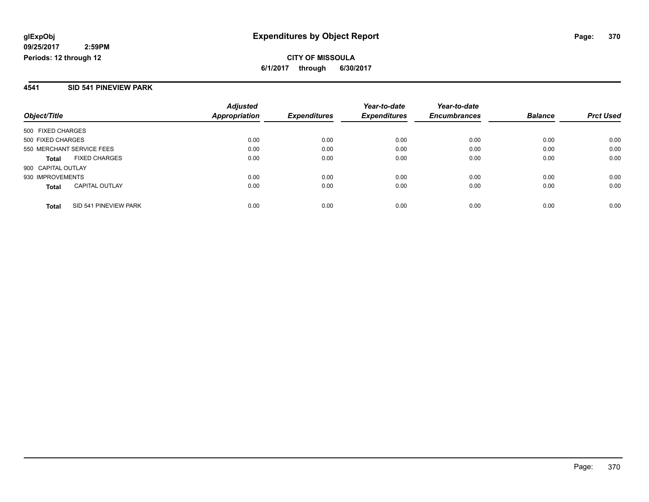#### **4541 SID 541 PINEVIEW PARK**

| Object/Title                          | <b>Adjusted</b><br>Appropriation | <b>Expenditures</b> | Year-to-date<br><b>Expenditures</b> | Year-to-date<br><b>Encumbrances</b> | <b>Balance</b> | <b>Prct Used</b> |
|---------------------------------------|----------------------------------|---------------------|-------------------------------------|-------------------------------------|----------------|------------------|
| 500 FIXED CHARGES                     |                                  |                     |                                     |                                     |                |                  |
| 500 FIXED CHARGES                     | 0.00                             | 0.00                | 0.00                                | 0.00                                | 0.00           | 0.00             |
| 550 MERCHANT SERVICE FEES             | 0.00                             | 0.00                | 0.00                                | 0.00                                | 0.00           | 0.00             |
| <b>FIXED CHARGES</b><br>Total         | 0.00                             | 0.00                | 0.00                                | 0.00                                | 0.00           | 0.00             |
| 900 CAPITAL OUTLAY                    |                                  |                     |                                     |                                     |                |                  |
| 930 IMPROVEMENTS                      | 0.00                             | 0.00                | 0.00                                | 0.00                                | 0.00           | 0.00             |
| <b>CAPITAL OUTLAY</b><br><b>Total</b> | 0.00                             | 0.00                | 0.00                                | 0.00                                | 0.00           | 0.00             |
| SID 541 PINEVIEW PARK<br>Total        | 0.00                             | 0.00                | 0.00                                | 0.00                                | 0.00           | 0.00             |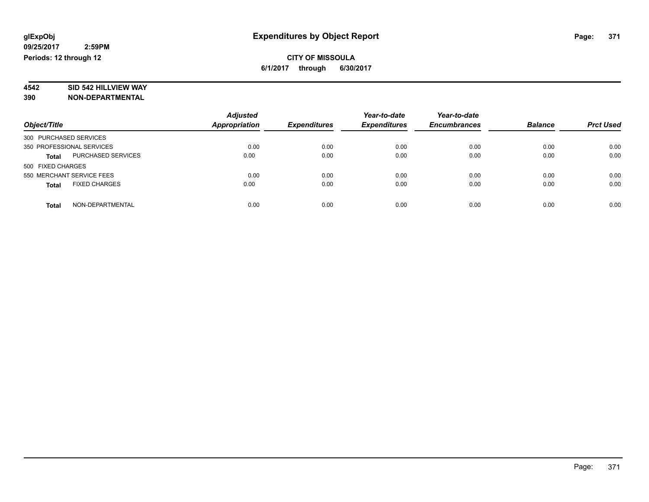# **4542 SID 542 HILLVIEW WAY**

|                                           | <b>Adjusted</b>      |                     | Year-to-date<br><b>Expenditures</b> | Year-to-date<br><b>Encumbrances</b> | <b>Balance</b> | <b>Prct Used</b> |
|-------------------------------------------|----------------------|---------------------|-------------------------------------|-------------------------------------|----------------|------------------|
| Object/Title                              | <b>Appropriation</b> | <b>Expenditures</b> |                                     |                                     |                |                  |
| 300 PURCHASED SERVICES                    |                      |                     |                                     |                                     |                |                  |
| 350 PROFESSIONAL SERVICES                 | 0.00                 | 0.00                | 0.00                                | 0.00                                | 0.00           | 0.00             |
| <b>PURCHASED SERVICES</b><br><b>Total</b> | 0.00                 | 0.00                | 0.00                                | 0.00                                | 0.00           | 0.00             |
| 500 FIXED CHARGES                         |                      |                     |                                     |                                     |                |                  |
| 550 MERCHANT SERVICE FEES                 | 0.00                 | 0.00                | 0.00                                | 0.00                                | 0.00           | 0.00             |
| <b>FIXED CHARGES</b><br><b>Total</b>      | 0.00                 | 0.00                | 0.00                                | 0.00                                | 0.00           | 0.00             |
| NON-DEPARTMENTAL<br><b>Total</b>          | 0.00                 | 0.00                | 0.00                                | 0.00                                | 0.00           | 0.00             |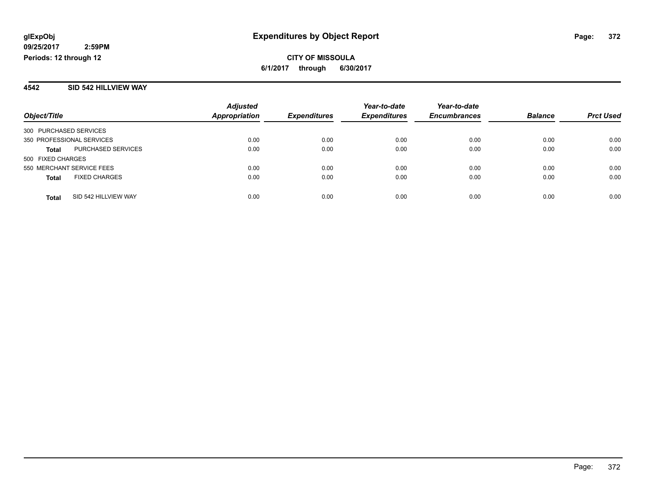#### **4542 SID 542 HILLVIEW WAY**

|                           |                      | <b>Adjusted</b>      |                     | Year-to-date        | Year-to-date        |                |                  |
|---------------------------|----------------------|----------------------|---------------------|---------------------|---------------------|----------------|------------------|
| Object/Title              |                      | <b>Appropriation</b> | <b>Expenditures</b> | <b>Expenditures</b> | <b>Encumbrances</b> | <b>Balance</b> | <b>Prct Used</b> |
| 300 PURCHASED SERVICES    |                      |                      |                     |                     |                     |                |                  |
| 350 PROFESSIONAL SERVICES |                      | 0.00                 | 0.00                | 0.00                | 0.00                | 0.00           | 0.00             |
| <b>Total</b>              | PURCHASED SERVICES   | 0.00                 | 0.00                | 0.00                | 0.00                | 0.00           | 0.00             |
| 500 FIXED CHARGES         |                      |                      |                     |                     |                     |                |                  |
| 550 MERCHANT SERVICE FEES |                      | 0.00                 | 0.00                | 0.00                | 0.00                | 0.00           | 0.00             |
| <b>Total</b>              | <b>FIXED CHARGES</b> | 0.00                 | 0.00                | 0.00                | 0.00                | 0.00           | 0.00             |
| <b>Total</b>              | SID 542 HILLVIEW WAY | 0.00                 | 0.00                | 0.00                | 0.00                | 0.00           | 0.00             |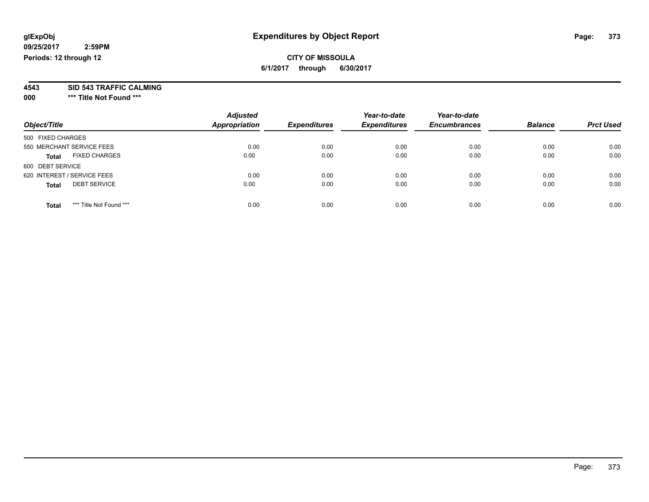### **CITY OF MISSOULA 6/1/2017 through 6/30/2017**

**4543 SID 543 TRAFFIC CALMING**

**000 \*\*\* Title Not Found \*\*\***

| Object/Title                            | <b>Adjusted</b><br>Appropriation | <b>Expenditures</b> | Year-to-date<br><b>Expenditures</b> | Year-to-date<br><b>Encumbrances</b> | <b>Balance</b> | <b>Prct Used</b> |
|-----------------------------------------|----------------------------------|---------------------|-------------------------------------|-------------------------------------|----------------|------------------|
| 500 FIXED CHARGES                       |                                  |                     |                                     |                                     |                |                  |
| 550 MERCHANT SERVICE FEES               | 0.00                             | 0.00                | 0.00                                | 0.00                                | 0.00           | 0.00             |
| <b>FIXED CHARGES</b><br><b>Total</b>    | 0.00                             | 0.00                | 0.00                                | 0.00                                | 0.00           | 0.00             |
| 600 DEBT SERVICE                        |                                  |                     |                                     |                                     |                |                  |
| 620 INTEREST / SERVICE FEES             | 0.00                             | 0.00                | 0.00                                | 0.00                                | 0.00           | 0.00             |
| <b>DEBT SERVICE</b><br><b>Total</b>     | 0.00                             | 0.00                | 0.00                                | 0.00                                | 0.00           | 0.00             |
| *** Title Not Found ***<br><b>Total</b> | 0.00                             | 0.00                | 0.00                                | 0.00                                | 0.00           | 0.00             |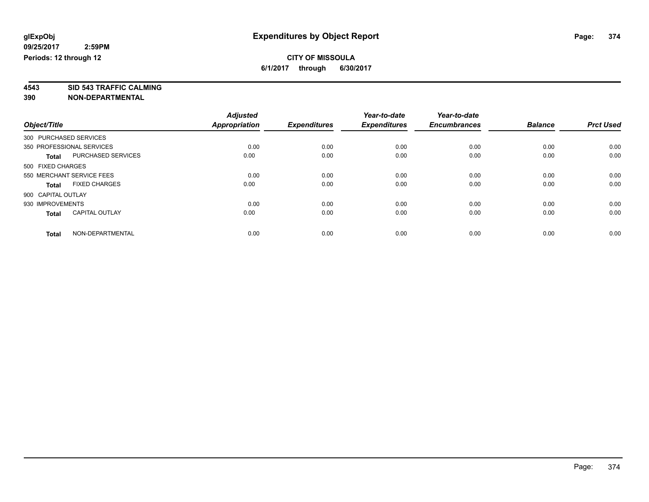**4543 SID 543 TRAFFIC CALMING**

|                                       | <b>Adjusted</b>      |                     | Year-to-date        | Year-to-date        |                |                  |
|---------------------------------------|----------------------|---------------------|---------------------|---------------------|----------------|------------------|
| Object/Title                          | <b>Appropriation</b> | <b>Expenditures</b> | <b>Expenditures</b> | <b>Encumbrances</b> | <b>Balance</b> | <b>Prct Used</b> |
| 300 PURCHASED SERVICES                |                      |                     |                     |                     |                |                  |
| 350 PROFESSIONAL SERVICES             | 0.00                 | 0.00                | 0.00                | 0.00                | 0.00           | 0.00             |
| PURCHASED SERVICES<br>Total           | 0.00                 | 0.00                | 0.00                | 0.00                | 0.00           | 0.00             |
| 500 FIXED CHARGES                     |                      |                     |                     |                     |                |                  |
| 550 MERCHANT SERVICE FEES             | 0.00                 | 0.00                | 0.00                | 0.00                | 0.00           | 0.00             |
| <b>FIXED CHARGES</b><br><b>Total</b>  | 0.00                 | 0.00                | 0.00                | 0.00                | 0.00           | 0.00             |
| 900 CAPITAL OUTLAY                    |                      |                     |                     |                     |                |                  |
| 930 IMPROVEMENTS                      | 0.00                 | 0.00                | 0.00                | 0.00                | 0.00           | 0.00             |
| <b>CAPITAL OUTLAY</b><br><b>Total</b> | 0.00                 | 0.00                | 0.00                | 0.00                | 0.00           | 0.00             |
| NON-DEPARTMENTAL<br><b>Total</b>      | 0.00                 | 0.00                | 0.00                | 0.00                | 0.00           | 0.00             |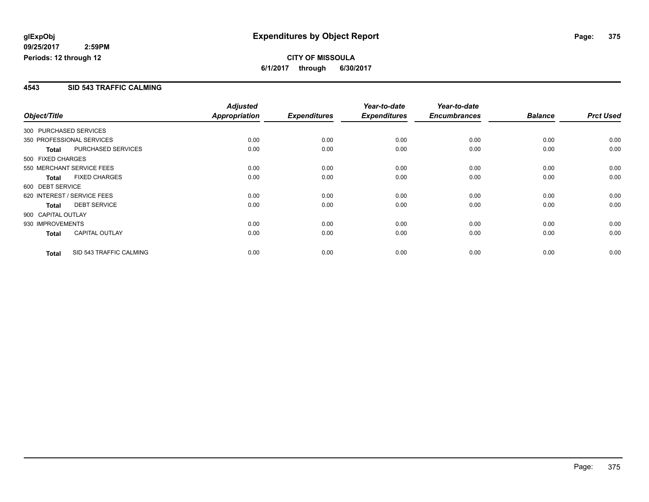#### **4543 SID 543 TRAFFIC CALMING**

|                        |                             | <b>Adjusted</b> |                     | Year-to-date        | Year-to-date        |                |                  |
|------------------------|-----------------------------|-----------------|---------------------|---------------------|---------------------|----------------|------------------|
| Object/Title           |                             | Appropriation   | <b>Expenditures</b> | <b>Expenditures</b> | <b>Encumbrances</b> | <b>Balance</b> | <b>Prct Used</b> |
| 300 PURCHASED SERVICES |                             |                 |                     |                     |                     |                |                  |
|                        | 350 PROFESSIONAL SERVICES   | 0.00            | 0.00                | 0.00                | 0.00                | 0.00           | 0.00             |
| <b>Total</b>           | PURCHASED SERVICES          | 0.00            | 0.00                | 0.00                | 0.00                | 0.00           | 0.00             |
| 500 FIXED CHARGES      |                             |                 |                     |                     |                     |                |                  |
|                        | 550 MERCHANT SERVICE FEES   | 0.00            | 0.00                | 0.00                | 0.00                | 0.00           | 0.00             |
| <b>Total</b>           | <b>FIXED CHARGES</b>        | 0.00            | 0.00                | 0.00                | 0.00                | 0.00           | 0.00             |
| 600 DEBT SERVICE       |                             |                 |                     |                     |                     |                |                  |
|                        | 620 INTEREST / SERVICE FEES | 0.00            | 0.00                | 0.00                | 0.00                | 0.00           | 0.00             |
| <b>Total</b>           | <b>DEBT SERVICE</b>         | 0.00            | 0.00                | 0.00                | 0.00                | 0.00           | 0.00             |
| 900 CAPITAL OUTLAY     |                             |                 |                     |                     |                     |                |                  |
| 930 IMPROVEMENTS       |                             | 0.00            | 0.00                | 0.00                | 0.00                | 0.00           | 0.00             |
| <b>Total</b>           | <b>CAPITAL OUTLAY</b>       | 0.00            | 0.00                | 0.00                | 0.00                | 0.00           | 0.00             |
| <b>Total</b>           | SID 543 TRAFFIC CALMING     | 0.00            | 0.00                | 0.00                | 0.00                | 0.00           | 0.00             |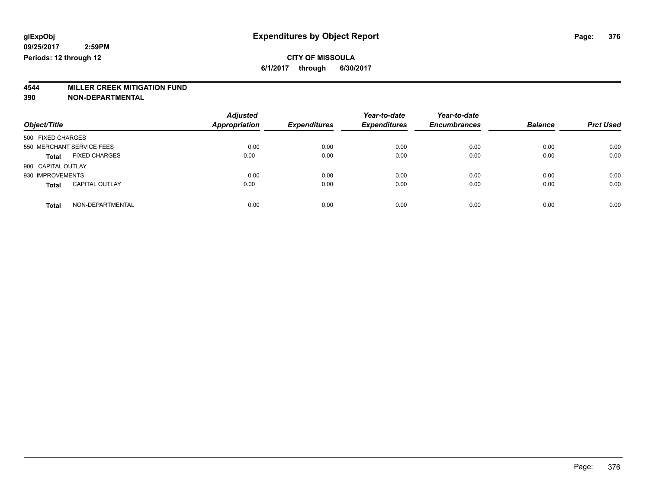# **4544 MILLER CREEK MITIGATION FUND**

| Object/Title                          | <b>Adjusted</b><br><b>Appropriation</b> | <b>Expenditures</b> | Year-to-date<br><b>Expenditures</b> | Year-to-date<br><b>Encumbrances</b> | <b>Balance</b> | <b>Prct Used</b> |
|---------------------------------------|-----------------------------------------|---------------------|-------------------------------------|-------------------------------------|----------------|------------------|
| 500 FIXED CHARGES                     |                                         |                     |                                     |                                     |                |                  |
| 550 MERCHANT SERVICE FEES             | 0.00                                    | 0.00                | 0.00                                | 0.00                                | 0.00           | 0.00             |
| <b>FIXED CHARGES</b><br><b>Total</b>  | 0.00                                    | 0.00                | 0.00                                | 0.00                                | 0.00           | 0.00             |
| 900 CAPITAL OUTLAY                    |                                         |                     |                                     |                                     |                |                  |
| 930 IMPROVEMENTS                      | 0.00                                    | 0.00                | 0.00                                | 0.00                                | 0.00           | 0.00             |
| <b>CAPITAL OUTLAY</b><br><b>Total</b> | 0.00                                    | 0.00                | 0.00                                | 0.00                                | 0.00           | 0.00             |
| NON-DEPARTMENTAL<br>Total             | 0.00                                    | 0.00                | 0.00                                | 0.00                                | 0.00           | 0.00             |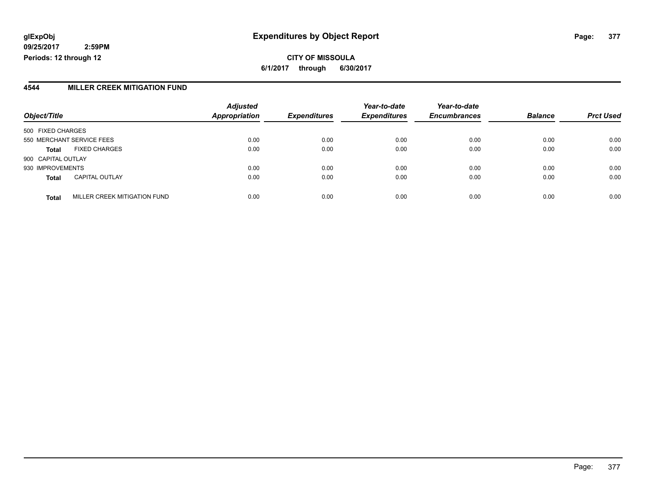### **glExpObj Expenditures by Object Report Page: 377**

**09/25/2017 2:59PM Periods: 12 through 12**

#### **4544 MILLER CREEK MITIGATION FUND**

|                           |                              | <b>Adjusted</b>      |                     | Year-to-date        | Year-to-date        |                |                  |
|---------------------------|------------------------------|----------------------|---------------------|---------------------|---------------------|----------------|------------------|
| Object/Title              |                              | <b>Appropriation</b> | <b>Expenditures</b> | <b>Expenditures</b> | <b>Encumbrances</b> | <b>Balance</b> | <b>Prct Used</b> |
| 500 FIXED CHARGES         |                              |                      |                     |                     |                     |                |                  |
| 550 MERCHANT SERVICE FEES |                              | 0.00                 | 0.00                | 0.00                | 0.00                | 0.00           | 0.00             |
| <b>Total</b>              | <b>FIXED CHARGES</b>         | 0.00                 | 0.00                | 0.00                | 0.00                | 0.00           | 0.00             |
| 900 CAPITAL OUTLAY        |                              |                      |                     |                     |                     |                |                  |
| 930 IMPROVEMENTS          |                              | 0.00                 | 0.00                | 0.00                | 0.00                | 0.00           | 0.00             |
| <b>Total</b>              | <b>CAPITAL OUTLAY</b>        | 0.00                 | 0.00                | 0.00                | 0.00                | 0.00           | 0.00             |
| <b>Total</b>              | MILLER CREEK MITIGATION FUND | 0.00                 | 0.00                | 0.00                | 0.00                | 0.00           | 0.00             |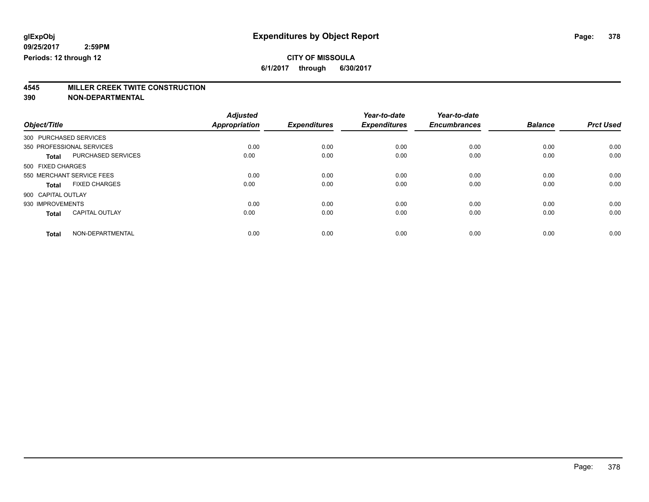**6/1/2017 through 6/30/2017**

# **4545 MILLER CREEK TWITE CONSTRUCTION**

|                           |                       | <b>Adjusted</b>      |                     | Year-to-date        | Year-to-date        |                |                  |
|---------------------------|-----------------------|----------------------|---------------------|---------------------|---------------------|----------------|------------------|
| Object/Title              |                       | <b>Appropriation</b> | <b>Expenditures</b> | <b>Expenditures</b> | <b>Encumbrances</b> | <b>Balance</b> | <b>Prct Used</b> |
| 300 PURCHASED SERVICES    |                       |                      |                     |                     |                     |                |                  |
| 350 PROFESSIONAL SERVICES |                       | 0.00                 | 0.00                | 0.00                | 0.00                | 0.00           | 0.00             |
| <b>Total</b>              | PURCHASED SERVICES    | 0.00                 | 0.00                | 0.00                | 0.00                | 0.00           | 0.00             |
| 500 FIXED CHARGES         |                       |                      |                     |                     |                     |                |                  |
| 550 MERCHANT SERVICE FEES |                       | 0.00                 | 0.00                | 0.00                | 0.00                | 0.00           | 0.00             |
| <b>Total</b>              | <b>FIXED CHARGES</b>  | 0.00                 | 0.00                | 0.00                | 0.00                | 0.00           | 0.00             |
| 900 CAPITAL OUTLAY        |                       |                      |                     |                     |                     |                |                  |
| 930 IMPROVEMENTS          |                       | 0.00                 | 0.00                | 0.00                | 0.00                | 0.00           | 0.00             |
| <b>Total</b>              | <b>CAPITAL OUTLAY</b> | 0.00                 | 0.00                | 0.00                | 0.00                | 0.00           | 0.00             |
| <b>Total</b>              | NON-DEPARTMENTAL      | 0.00                 | 0.00                | 0.00                | 0.00                | 0.00           | 0.00             |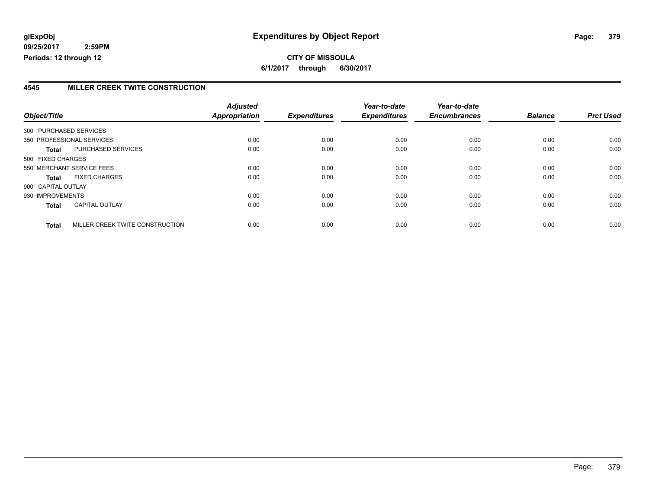**CITY OF MISSOULA 6/1/2017 through 6/30/2017**

#### **4545 MILLER CREEK TWITE CONSTRUCTION**

|                           |                                 | <b>Adjusted</b> |                     | Year-to-date        | Year-to-date        |                |                  |
|---------------------------|---------------------------------|-----------------|---------------------|---------------------|---------------------|----------------|------------------|
| Object/Title              |                                 | Appropriation   | <b>Expenditures</b> | <b>Expenditures</b> | <b>Encumbrances</b> | <b>Balance</b> | <b>Prct Used</b> |
| 300 PURCHASED SERVICES    |                                 |                 |                     |                     |                     |                |                  |
| 350 PROFESSIONAL SERVICES |                                 | 0.00            | 0.00                | 0.00                | 0.00                | 0.00           | 0.00             |
| <b>Total</b>              | PURCHASED SERVICES              | 0.00            | 0.00                | 0.00                | 0.00                | 0.00           | 0.00             |
| 500 FIXED CHARGES         |                                 |                 |                     |                     |                     |                |                  |
| 550 MERCHANT SERVICE FEES |                                 | 0.00            | 0.00                | 0.00                | 0.00                | 0.00           | 0.00             |
| Total                     | <b>FIXED CHARGES</b>            | 0.00            | 0.00                | 0.00                | 0.00                | 0.00           | 0.00             |
| 900 CAPITAL OUTLAY        |                                 |                 |                     |                     |                     |                |                  |
| 930 IMPROVEMENTS          |                                 | 0.00            | 0.00                | 0.00                | 0.00                | 0.00           | 0.00             |
| <b>Total</b>              | <b>CAPITAL OUTLAY</b>           | 0.00            | 0.00                | 0.00                | 0.00                | 0.00           | 0.00             |
| <b>Total</b>              | MILLER CREEK TWITE CONSTRUCTION | 0.00            | 0.00                | 0.00                | 0.00                | 0.00           | 0.00             |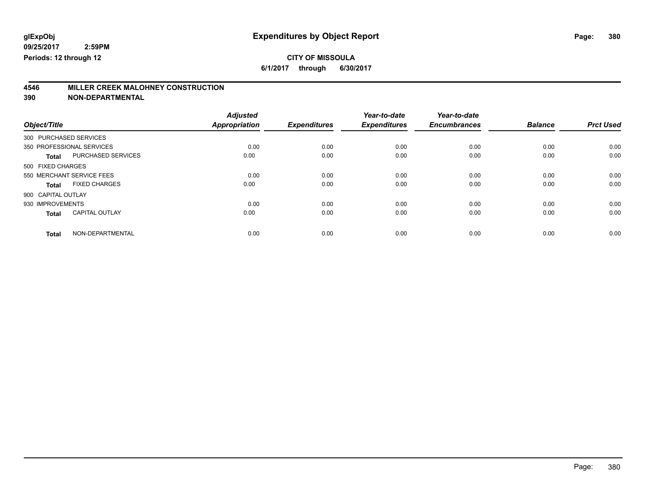**6/1/2017 through 6/30/2017**

# **4546 MILLER CREEK MALOHNEY CONSTRUCTION**

|                           |                       | <b>Adjusted</b>      |                     | Year-to-date        | Year-to-date        |                |                  |
|---------------------------|-----------------------|----------------------|---------------------|---------------------|---------------------|----------------|------------------|
| Object/Title              |                       | <b>Appropriation</b> | <b>Expenditures</b> | <b>Expenditures</b> | <b>Encumbrances</b> | <b>Balance</b> | <b>Prct Used</b> |
| 300 PURCHASED SERVICES    |                       |                      |                     |                     |                     |                |                  |
| 350 PROFESSIONAL SERVICES |                       | 0.00                 | 0.00                | 0.00                | 0.00                | 0.00           | 0.00             |
| <b>Total</b>              | PURCHASED SERVICES    | 0.00                 | 0.00                | 0.00                | 0.00                | 0.00           | 0.00             |
| 500 FIXED CHARGES         |                       |                      |                     |                     |                     |                |                  |
| 550 MERCHANT SERVICE FEES |                       | 0.00                 | 0.00                | 0.00                | 0.00                | 0.00           | 0.00             |
| Total                     | <b>FIXED CHARGES</b>  | 0.00                 | 0.00                | 0.00                | 0.00                | 0.00           | 0.00             |
| 900 CAPITAL OUTLAY        |                       |                      |                     |                     |                     |                |                  |
| 930 IMPROVEMENTS          |                       | 0.00                 | 0.00                | 0.00                | 0.00                | 0.00           | 0.00             |
| <b>Total</b>              | <b>CAPITAL OUTLAY</b> | 0.00                 | 0.00                | 0.00                | 0.00                | 0.00           | 0.00             |
| <b>Total</b>              | NON-DEPARTMENTAL      | 0.00                 | 0.00                | 0.00                | 0.00                | 0.00           | 0.00             |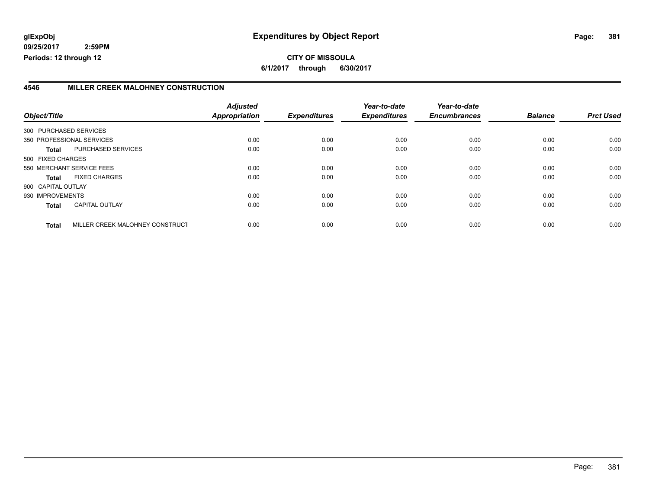#### **4546 MILLER CREEK MALOHNEY CONSTRUCTION**

| Object/Title       |                                 | <b>Adjusted</b><br><b>Appropriation</b> | <b>Expenditures</b> | Year-to-date<br><b>Expenditures</b> | Year-to-date<br><b>Encumbrances</b> | <b>Balance</b> | <b>Prct Used</b> |
|--------------------|---------------------------------|-----------------------------------------|---------------------|-------------------------------------|-------------------------------------|----------------|------------------|
|                    | 300 PURCHASED SERVICES          |                                         |                     |                                     |                                     |                |                  |
|                    | 350 PROFESSIONAL SERVICES       | 0.00                                    | 0.00                | 0.00                                | 0.00                                | 0.00           | 0.00             |
| Total              | PURCHASED SERVICES              | 0.00                                    | 0.00                | 0.00                                | 0.00                                | 0.00           | 0.00             |
| 500 FIXED CHARGES  |                                 |                                         |                     |                                     |                                     |                |                  |
|                    | 550 MERCHANT SERVICE FEES       | 0.00                                    | 0.00                | 0.00                                | 0.00                                | 0.00           | 0.00             |
| <b>Total</b>       | <b>FIXED CHARGES</b>            | 0.00                                    | 0.00                | 0.00                                | 0.00                                | 0.00           | 0.00             |
| 900 CAPITAL OUTLAY |                                 |                                         |                     |                                     |                                     |                |                  |
| 930 IMPROVEMENTS   |                                 | 0.00                                    | 0.00                | 0.00                                | 0.00                                | 0.00           | 0.00             |
| <b>Total</b>       | <b>CAPITAL OUTLAY</b>           | 0.00                                    | 0.00                | 0.00                                | 0.00                                | 0.00           | 0.00             |
| <b>Total</b>       | MILLER CREEK MALOHNEY CONSTRUCT | 0.00                                    | 0.00                | 0.00                                | 0.00                                | 0.00           | 0.00             |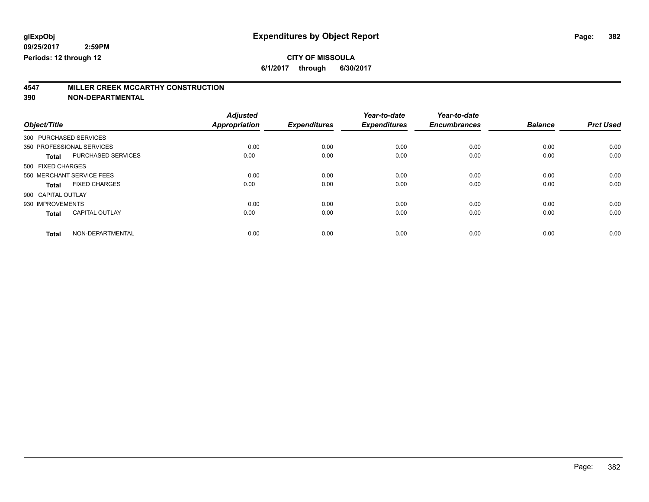**6/1/2017 through 6/30/2017**

# **4547 MILLER CREEK MCCARTHY CONSTRUCTION**

|                        |                           | <b>Adjusted</b> |                     | Year-to-date        | Year-to-date        |                |                  |
|------------------------|---------------------------|-----------------|---------------------|---------------------|---------------------|----------------|------------------|
| Object/Title           |                           | Appropriation   | <b>Expenditures</b> | <b>Expenditures</b> | <b>Encumbrances</b> | <b>Balance</b> | <b>Prct Used</b> |
| 300 PURCHASED SERVICES |                           |                 |                     |                     |                     |                |                  |
|                        | 350 PROFESSIONAL SERVICES | 0.00            | 0.00                | 0.00                | 0.00                | 0.00           | 0.00             |
| <b>Total</b>           | PURCHASED SERVICES        | 0.00            | 0.00                | 0.00                | 0.00                | 0.00           | 0.00             |
| 500 FIXED CHARGES      |                           |                 |                     |                     |                     |                |                  |
|                        | 550 MERCHANT SERVICE FEES | 0.00            | 0.00                | 0.00                | 0.00                | 0.00           | 0.00             |
| Total                  | <b>FIXED CHARGES</b>      | 0.00            | 0.00                | 0.00                | 0.00                | 0.00           | 0.00             |
| 900 CAPITAL OUTLAY     |                           |                 |                     |                     |                     |                |                  |
| 930 IMPROVEMENTS       |                           | 0.00            | 0.00                | 0.00                | 0.00                | 0.00           | 0.00             |
| <b>Total</b>           | <b>CAPITAL OUTLAY</b>     | 0.00            | 0.00                | 0.00                | 0.00                | 0.00           | 0.00             |
| <b>Total</b>           | NON-DEPARTMENTAL          | 0.00            | 0.00                | 0.00                | 0.00                | 0.00           | 0.00             |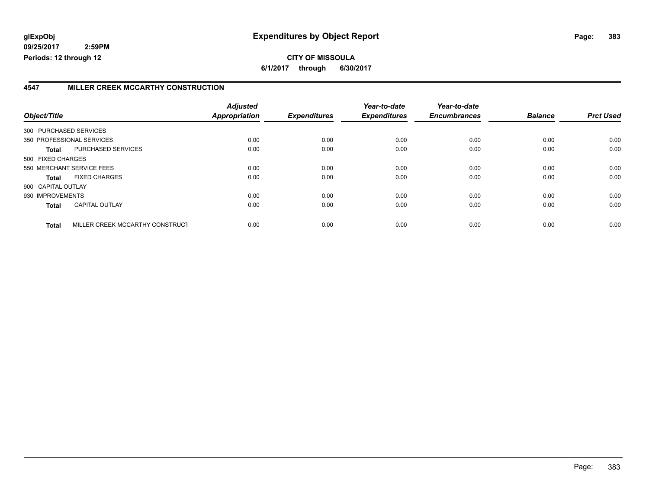### **4547 MILLER CREEK MCCARTHY CONSTRUCTION**

| Object/Title           |                                 | <b>Adjusted</b><br><b>Appropriation</b> | <b>Expenditures</b> | Year-to-date<br><b>Expenditures</b> | Year-to-date<br><b>Encumbrances</b> | <b>Balance</b> | <b>Prct Used</b> |
|------------------------|---------------------------------|-----------------------------------------|---------------------|-------------------------------------|-------------------------------------|----------------|------------------|
| 300 PURCHASED SERVICES |                                 |                                         |                     |                                     |                                     |                |                  |
|                        | 350 PROFESSIONAL SERVICES       | 0.00                                    | 0.00                | 0.00                                | 0.00                                | 0.00           | 0.00             |
|                        |                                 |                                         |                     |                                     |                                     |                |                  |
| Total                  | PURCHASED SERVICES              | 0.00                                    | 0.00                | 0.00                                | 0.00                                | 0.00           | 0.00             |
| 500 FIXED CHARGES      |                                 |                                         |                     |                                     |                                     |                |                  |
|                        | 550 MERCHANT SERVICE FEES       | 0.00                                    | 0.00                | 0.00                                | 0.00                                | 0.00           | 0.00             |
| <b>Total</b>           | <b>FIXED CHARGES</b>            | 0.00                                    | 0.00                | 0.00                                | 0.00                                | 0.00           | 0.00             |
| 900 CAPITAL OUTLAY     |                                 |                                         |                     |                                     |                                     |                |                  |
| 930 IMPROVEMENTS       |                                 | 0.00                                    | 0.00                | 0.00                                | 0.00                                | 0.00           | 0.00             |
| <b>Total</b>           | <b>CAPITAL OUTLAY</b>           | 0.00                                    | 0.00                | 0.00                                | 0.00                                | 0.00           | 0.00             |
| <b>Total</b>           | MILLER CREEK MCCARTHY CONSTRUCT | 0.00                                    | 0.00                | 0.00                                | 0.00                                | 0.00           | 0.00             |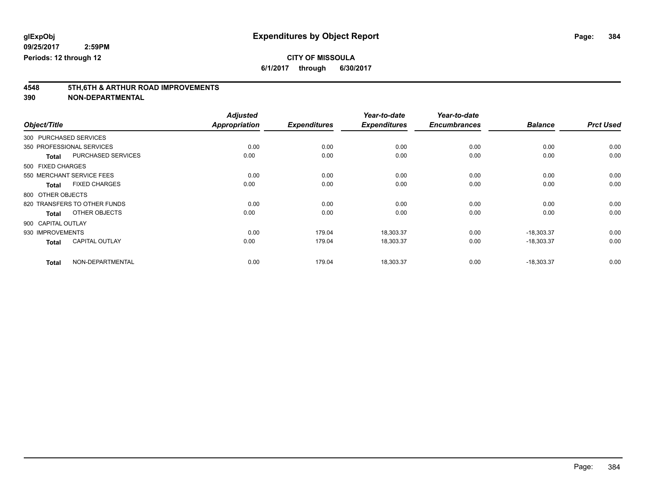**6/1/2017 through 6/30/2017**

# **4548 5TH,6TH & ARTHUR ROAD IMPROVEMENTS**

|                        |                              | <b>Adjusted</b> |                     | Year-to-date        | Year-to-date        |                |                  |
|------------------------|------------------------------|-----------------|---------------------|---------------------|---------------------|----------------|------------------|
| Object/Title           |                              | Appropriation   | <b>Expenditures</b> | <b>Expenditures</b> | <b>Encumbrances</b> | <b>Balance</b> | <b>Prct Used</b> |
| 300 PURCHASED SERVICES |                              |                 |                     |                     |                     |                |                  |
|                        | 350 PROFESSIONAL SERVICES    | 0.00            | 0.00                | 0.00                | 0.00                | 0.00           | 0.00             |
| <b>Total</b>           | <b>PURCHASED SERVICES</b>    | 0.00            | 0.00                | 0.00                | 0.00                | 0.00           | 0.00             |
| 500 FIXED CHARGES      |                              |                 |                     |                     |                     |                |                  |
|                        | 550 MERCHANT SERVICE FEES    | 0.00            | 0.00                | 0.00                | 0.00                | 0.00           | 0.00             |
| <b>Total</b>           | <b>FIXED CHARGES</b>         | 0.00            | 0.00                | 0.00                | 0.00                | 0.00           | 0.00             |
| 800 OTHER OBJECTS      |                              |                 |                     |                     |                     |                |                  |
|                        | 820 TRANSFERS TO OTHER FUNDS | 0.00            | 0.00                | 0.00                | 0.00                | 0.00           | 0.00             |
| <b>Total</b>           | OTHER OBJECTS                | 0.00            | 0.00                | 0.00                | 0.00                | 0.00           | 0.00             |
| 900 CAPITAL OUTLAY     |                              |                 |                     |                     |                     |                |                  |
| 930 IMPROVEMENTS       |                              | 0.00            | 179.04              | 18,303.37           | 0.00                | $-18,303.37$   | 0.00             |
| <b>Total</b>           | <b>CAPITAL OUTLAY</b>        | 0.00            | 179.04              | 18,303.37           | 0.00                | $-18,303.37$   | 0.00             |
| <b>Total</b>           | NON-DEPARTMENTAL             | 0.00            | 179.04              | 18,303.37           | 0.00                | $-18,303.37$   | 0.00             |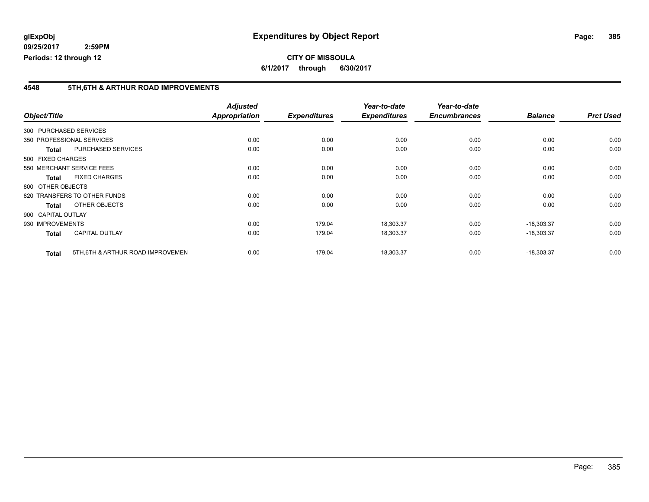**CITY OF MISSOULA 6/1/2017 through 6/30/2017**

#### **4548 5TH,6TH & ARTHUR ROAD IMPROVEMENTS**

|                    |                                   | <b>Adjusted</b>      |                     | Year-to-date        | Year-to-date        |                |                  |
|--------------------|-----------------------------------|----------------------|---------------------|---------------------|---------------------|----------------|------------------|
| Object/Title       |                                   | <b>Appropriation</b> | <b>Expenditures</b> | <b>Expenditures</b> | <b>Encumbrances</b> | <b>Balance</b> | <b>Prct Used</b> |
|                    | 300 PURCHASED SERVICES            |                      |                     |                     |                     |                |                  |
|                    | 350 PROFESSIONAL SERVICES         | 0.00                 | 0.00                | 0.00                | 0.00                | 0.00           | 0.00             |
| <b>Total</b>       | <b>PURCHASED SERVICES</b>         | 0.00                 | 0.00                | 0.00                | 0.00                | 0.00           | 0.00             |
| 500 FIXED CHARGES  |                                   |                      |                     |                     |                     |                |                  |
|                    | 550 MERCHANT SERVICE FEES         | 0.00                 | 0.00                | 0.00                | 0.00                | 0.00           | 0.00             |
| <b>Total</b>       | <b>FIXED CHARGES</b>              | 0.00                 | 0.00                | 0.00                | 0.00                | 0.00           | 0.00             |
| 800 OTHER OBJECTS  |                                   |                      |                     |                     |                     |                |                  |
|                    | 820 TRANSFERS TO OTHER FUNDS      | 0.00                 | 0.00                | 0.00                | 0.00                | 0.00           | 0.00             |
| <b>Total</b>       | OTHER OBJECTS                     | 0.00                 | 0.00                | 0.00                | 0.00                | 0.00           | 0.00             |
| 900 CAPITAL OUTLAY |                                   |                      |                     |                     |                     |                |                  |
| 930 IMPROVEMENTS   |                                   | 0.00                 | 179.04              | 18,303.37           | 0.00                | $-18,303.37$   | 0.00             |
| <b>Total</b>       | <b>CAPITAL OUTLAY</b>             | 0.00                 | 179.04              | 18,303.37           | 0.00                | $-18,303.37$   | 0.00             |
| <b>Total</b>       | 5TH, 6TH & ARTHUR ROAD IMPROVEMEN | 0.00                 | 179.04              | 18,303.37           | 0.00                | $-18,303.37$   | 0.00             |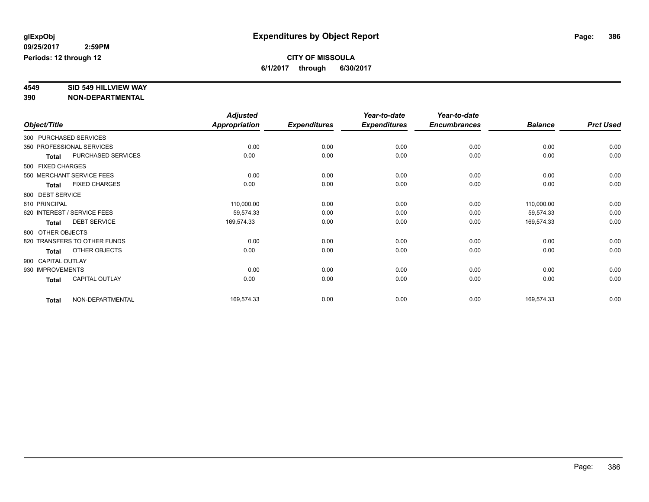# **4549 SID 549 HILLVIEW WAY**

|                    |                              | <b>Adjusted</b> |                     | Year-to-date        | Year-to-date        |                |                  |
|--------------------|------------------------------|-----------------|---------------------|---------------------|---------------------|----------------|------------------|
| Object/Title       |                              | Appropriation   | <b>Expenditures</b> | <b>Expenditures</b> | <b>Encumbrances</b> | <b>Balance</b> | <b>Prct Used</b> |
|                    | 300 PURCHASED SERVICES       |                 |                     |                     |                     |                |                  |
|                    | 350 PROFESSIONAL SERVICES    | 0.00            | 0.00                | 0.00                | 0.00                | 0.00           | 0.00             |
| <b>Total</b>       | PURCHASED SERVICES           | 0.00            | 0.00                | 0.00                | 0.00                | 0.00           | 0.00             |
| 500 FIXED CHARGES  |                              |                 |                     |                     |                     |                |                  |
|                    | 550 MERCHANT SERVICE FEES    | 0.00            | 0.00                | 0.00                | 0.00                | 0.00           | 0.00             |
| <b>Total</b>       | <b>FIXED CHARGES</b>         | 0.00            | 0.00                | 0.00                | 0.00                | 0.00           | 0.00             |
| 600 DEBT SERVICE   |                              |                 |                     |                     |                     |                |                  |
| 610 PRINCIPAL      |                              | 110,000.00      | 0.00                | 0.00                | 0.00                | 110,000.00     | 0.00             |
|                    | 620 INTEREST / SERVICE FEES  | 59,574.33       | 0.00                | 0.00                | 0.00                | 59,574.33      | 0.00             |
| <b>Total</b>       | <b>DEBT SERVICE</b>          | 169,574.33      | 0.00                | 0.00                | 0.00                | 169,574.33     | 0.00             |
| 800 OTHER OBJECTS  |                              |                 |                     |                     |                     |                |                  |
|                    | 820 TRANSFERS TO OTHER FUNDS | 0.00            | 0.00                | 0.00                | 0.00                | 0.00           | 0.00             |
| <b>Total</b>       | OTHER OBJECTS                | 0.00            | 0.00                | 0.00                | 0.00                | 0.00           | 0.00             |
| 900 CAPITAL OUTLAY |                              |                 |                     |                     |                     |                |                  |
| 930 IMPROVEMENTS   |                              | 0.00            | 0.00                | 0.00                | 0.00                | 0.00           | 0.00             |
| <b>Total</b>       | <b>CAPITAL OUTLAY</b>        | 0.00            | 0.00                | 0.00                | 0.00                | 0.00           | 0.00             |
| <b>Total</b>       | NON-DEPARTMENTAL             | 169,574.33      | 0.00                | 0.00                | 0.00                | 169,574.33     | 0.00             |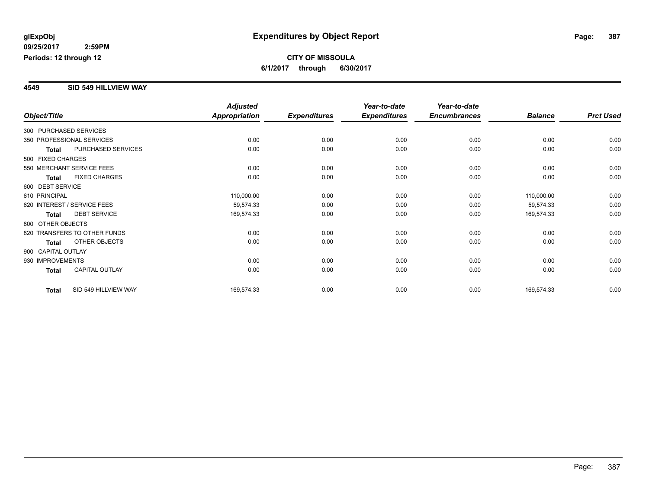#### **4549 SID 549 HILLVIEW WAY**

|                        |                              | <b>Adjusted</b>      |                     | Year-to-date        | Year-to-date        |                |                  |
|------------------------|------------------------------|----------------------|---------------------|---------------------|---------------------|----------------|------------------|
| Object/Title           |                              | <b>Appropriation</b> | <b>Expenditures</b> | <b>Expenditures</b> | <b>Encumbrances</b> | <b>Balance</b> | <b>Prct Used</b> |
| 300 PURCHASED SERVICES |                              |                      |                     |                     |                     |                |                  |
|                        | 350 PROFESSIONAL SERVICES    | 0.00                 | 0.00                | 0.00                | 0.00                | 0.00           | 0.00             |
| <b>Total</b>           | PURCHASED SERVICES           | 0.00                 | 0.00                | 0.00                | 0.00                | 0.00           | 0.00             |
| 500 FIXED CHARGES      |                              |                      |                     |                     |                     |                |                  |
|                        | 550 MERCHANT SERVICE FEES    | 0.00                 | 0.00                | 0.00                | 0.00                | 0.00           | 0.00             |
| Total                  | <b>FIXED CHARGES</b>         | 0.00                 | 0.00                | 0.00                | 0.00                | 0.00           | 0.00             |
| 600 DEBT SERVICE       |                              |                      |                     |                     |                     |                |                  |
| 610 PRINCIPAL          |                              | 110,000.00           | 0.00                | 0.00                | 0.00                | 110,000.00     | 0.00             |
|                        | 620 INTEREST / SERVICE FEES  | 59,574.33            | 0.00                | 0.00                | 0.00                | 59,574.33      | 0.00             |
| <b>Total</b>           | <b>DEBT SERVICE</b>          | 169,574.33           | 0.00                | 0.00                | 0.00                | 169,574.33     | 0.00             |
| 800 OTHER OBJECTS      |                              |                      |                     |                     |                     |                |                  |
|                        | 820 TRANSFERS TO OTHER FUNDS | 0.00                 | 0.00                | 0.00                | 0.00                | 0.00           | 0.00             |
| <b>Total</b>           | OTHER OBJECTS                | 0.00                 | 0.00                | 0.00                | 0.00                | 0.00           | 0.00             |
| 900 CAPITAL OUTLAY     |                              |                      |                     |                     |                     |                |                  |
| 930 IMPROVEMENTS       |                              | 0.00                 | 0.00                | 0.00                | 0.00                | 0.00           | 0.00             |
| <b>Total</b>           | <b>CAPITAL OUTLAY</b>        | 0.00                 | 0.00                | 0.00                | 0.00                | 0.00           | 0.00             |
| <b>Total</b>           | SID 549 HILLVIEW WAY         | 169,574.33           | 0.00                | 0.00                | 0.00                | 169,574.33     | 0.00             |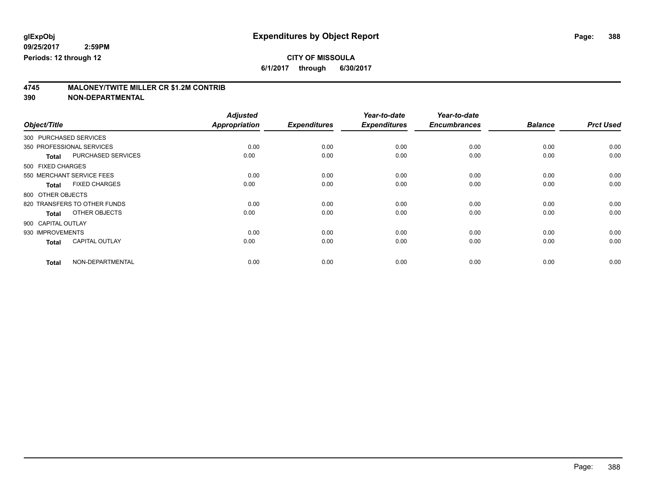**6/1/2017 through 6/30/2017**

# **4745 MALONEY/TWITE MILLER CR \$1.2M CONTRIB**

|                        |                              | <b>Adjusted</b>      |                     | Year-to-date        | Year-to-date        |                |                  |
|------------------------|------------------------------|----------------------|---------------------|---------------------|---------------------|----------------|------------------|
| Object/Title           |                              | <b>Appropriation</b> | <b>Expenditures</b> | <b>Expenditures</b> | <b>Encumbrances</b> | <b>Balance</b> | <b>Prct Used</b> |
| 300 PURCHASED SERVICES |                              |                      |                     |                     |                     |                |                  |
|                        | 350 PROFESSIONAL SERVICES    | 0.00                 | 0.00                | 0.00                | 0.00                | 0.00           | 0.00             |
| <b>Total</b>           | PURCHASED SERVICES           | 0.00                 | 0.00                | 0.00                | 0.00                | 0.00           | 0.00             |
| 500 FIXED CHARGES      |                              |                      |                     |                     |                     |                |                  |
|                        | 550 MERCHANT SERVICE FEES    | 0.00                 | 0.00                | 0.00                | 0.00                | 0.00           | 0.00             |
| <b>Total</b>           | <b>FIXED CHARGES</b>         | 0.00                 | 0.00                | 0.00                | 0.00                | 0.00           | 0.00             |
| 800 OTHER OBJECTS      |                              |                      |                     |                     |                     |                |                  |
|                        | 820 TRANSFERS TO OTHER FUNDS | 0.00                 | 0.00                | 0.00                | 0.00                | 0.00           | 0.00             |
| <b>Total</b>           | OTHER OBJECTS                | 0.00                 | 0.00                | 0.00                | 0.00                | 0.00           | 0.00             |
| 900 CAPITAL OUTLAY     |                              |                      |                     |                     |                     |                |                  |
| 930 IMPROVEMENTS       |                              | 0.00                 | 0.00                | 0.00                | 0.00                | 0.00           | 0.00             |
| <b>Total</b>           | <b>CAPITAL OUTLAY</b>        | 0.00                 | 0.00                | 0.00                | 0.00                | 0.00           | 0.00             |
| <b>Total</b>           | NON-DEPARTMENTAL             | 0.00                 | 0.00                | 0.00                | 0.00                | 0.00           | 0.00             |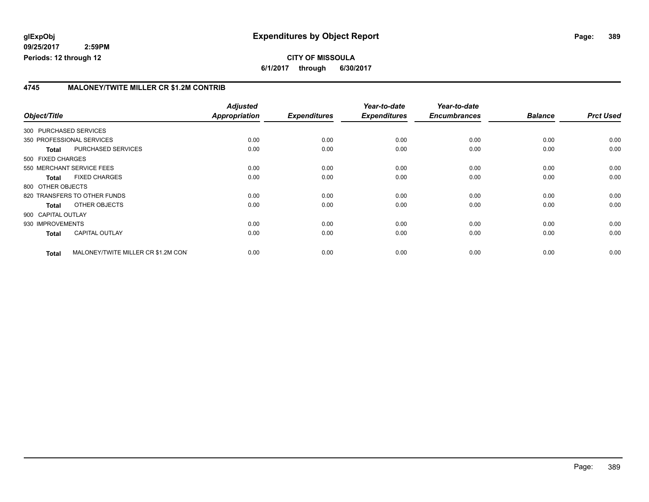#### **4745 MALONEY/TWITE MILLER CR \$1.2M CONTRIB**

| Object/Title           |                                     | <b>Adjusted</b><br>Appropriation | <b>Expenditures</b> | Year-to-date<br><b>Expenditures</b> | Year-to-date<br><b>Encumbrances</b> | <b>Balance</b> | <b>Prct Used</b> |
|------------------------|-------------------------------------|----------------------------------|---------------------|-------------------------------------|-------------------------------------|----------------|------------------|
| 300 PURCHASED SERVICES |                                     |                                  |                     |                                     |                                     |                |                  |
|                        | 350 PROFESSIONAL SERVICES           | 0.00                             | 0.00                | 0.00                                | 0.00                                | 0.00           | 0.00             |
| <b>Total</b>           | PURCHASED SERVICES                  | 0.00                             | 0.00                | 0.00                                | 0.00                                | 0.00           | 0.00             |
| 500 FIXED CHARGES      |                                     |                                  |                     |                                     |                                     |                |                  |
|                        | 550 MERCHANT SERVICE FEES           | 0.00                             | 0.00                | 0.00                                | 0.00                                | 0.00           | 0.00             |
| <b>Total</b>           | <b>FIXED CHARGES</b>                | 0.00                             | 0.00                | 0.00                                | 0.00                                | 0.00           | 0.00             |
| 800 OTHER OBJECTS      |                                     |                                  |                     |                                     |                                     |                |                  |
|                        | 820 TRANSFERS TO OTHER FUNDS        | 0.00                             | 0.00                | 0.00                                | 0.00                                | 0.00           | 0.00             |
| Total                  | OTHER OBJECTS                       | 0.00                             | 0.00                | 0.00                                | 0.00                                | 0.00           | 0.00             |
| 900 CAPITAL OUTLAY     |                                     |                                  |                     |                                     |                                     |                |                  |
| 930 IMPROVEMENTS       |                                     | 0.00                             | 0.00                | 0.00                                | 0.00                                | 0.00           | 0.00             |
| <b>Total</b>           | <b>CAPITAL OUTLAY</b>               | 0.00                             | 0.00                | 0.00                                | 0.00                                | 0.00           | 0.00             |
| <b>Total</b>           | MALONEY/TWITE MILLER CR \$1.2M CONT | 0.00                             | 0.00                | 0.00                                | 0.00                                | 0.00           | 0.00             |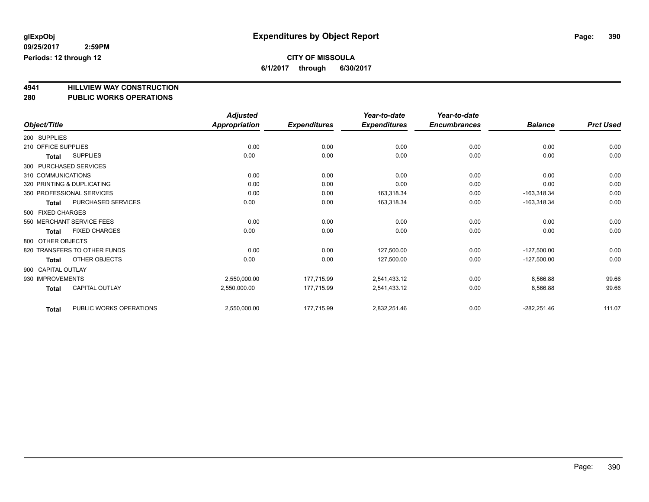**6/1/2017 through 6/30/2017**

# **4941 HILLVIEW WAY CONSTRUCTION**

| <b>PUBLIC WORKS OPERATIONS</b><br>280 |  |
|---------------------------------------|--|
|---------------------------------------|--|

|                     |                              | <b>Adjusted</b> |                     | Year-to-date        | Year-to-date        |                |                  |
|---------------------|------------------------------|-----------------|---------------------|---------------------|---------------------|----------------|------------------|
| Object/Title        |                              | Appropriation   | <b>Expenditures</b> | <b>Expenditures</b> | <b>Encumbrances</b> | <b>Balance</b> | <b>Prct Used</b> |
| 200 SUPPLIES        |                              |                 |                     |                     |                     |                |                  |
| 210 OFFICE SUPPLIES |                              | 0.00            | 0.00                | 0.00                | 0.00                | 0.00           | 0.00             |
| Total               | <b>SUPPLIES</b>              | 0.00            | 0.00                | 0.00                | 0.00                | 0.00           | 0.00             |
|                     | 300 PURCHASED SERVICES       |                 |                     |                     |                     |                |                  |
| 310 COMMUNICATIONS  |                              | 0.00            | 0.00                | 0.00                | 0.00                | 0.00           | 0.00             |
|                     | 320 PRINTING & DUPLICATING   | 0.00            | 0.00                | 0.00                | 0.00                | 0.00           | 0.00             |
|                     | 350 PROFESSIONAL SERVICES    | 0.00            | 0.00                | 163,318.34          | 0.00                | $-163,318.34$  | 0.00             |
| <b>Total</b>        | PURCHASED SERVICES           | 0.00            | 0.00                | 163,318.34          | 0.00                | $-163,318.34$  | 0.00             |
| 500 FIXED CHARGES   |                              |                 |                     |                     |                     |                |                  |
|                     | 550 MERCHANT SERVICE FEES    | 0.00            | 0.00                | 0.00                | 0.00                | 0.00           | 0.00             |
| <b>Total</b>        | <b>FIXED CHARGES</b>         | 0.00            | 0.00                | 0.00                | 0.00                | 0.00           | 0.00             |
| 800 OTHER OBJECTS   |                              |                 |                     |                     |                     |                |                  |
|                     | 820 TRANSFERS TO OTHER FUNDS | 0.00            | 0.00                | 127,500.00          | 0.00                | $-127,500.00$  | 0.00             |
| <b>Total</b>        | OTHER OBJECTS                | 0.00            | 0.00                | 127,500.00          | 0.00                | $-127,500.00$  | 0.00             |
| 900 CAPITAL OUTLAY  |                              |                 |                     |                     |                     |                |                  |
| 930 IMPROVEMENTS    |                              | 2,550,000.00    | 177,715.99          | 2,541,433.12        | 0.00                | 8,566.88       | 99.66            |
| <b>Total</b>        | <b>CAPITAL OUTLAY</b>        | 2,550,000.00    | 177,715.99          | 2,541,433.12        | 0.00                | 8,566.88       | 99.66            |
| <b>Total</b>        | PUBLIC WORKS OPERATIONS      | 2,550,000.00    | 177,715.99          | 2,832,251.46        | 0.00                | $-282,251.46$  | 111.07           |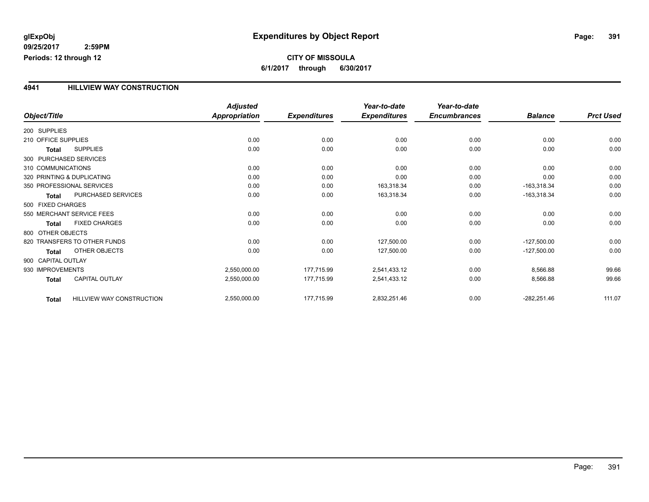#### **4941 HILLVIEW WAY CONSTRUCTION**

|                     |                              | <b>Adjusted</b>      | Year-to-date        | Year-to-date        |                     |                |                  |
|---------------------|------------------------------|----------------------|---------------------|---------------------|---------------------|----------------|------------------|
| Object/Title        |                              | <b>Appropriation</b> | <b>Expenditures</b> | <b>Expenditures</b> | <b>Encumbrances</b> | <b>Balance</b> | <b>Prct Used</b> |
| 200 SUPPLIES        |                              |                      |                     |                     |                     |                |                  |
| 210 OFFICE SUPPLIES |                              | 0.00                 | 0.00                | 0.00                | 0.00                | 0.00           | 0.00             |
| <b>Total</b>        | <b>SUPPLIES</b>              | 0.00                 | 0.00                | 0.00                | 0.00                | 0.00           | 0.00             |
|                     | 300 PURCHASED SERVICES       |                      |                     |                     |                     |                |                  |
| 310 COMMUNICATIONS  |                              | 0.00                 | 0.00                | 0.00                | 0.00                | 0.00           | 0.00             |
|                     | 320 PRINTING & DUPLICATING   | 0.00                 | 0.00                | 0.00                | 0.00                | 0.00           | 0.00             |
|                     | 350 PROFESSIONAL SERVICES    | 0.00                 | 0.00                | 163,318.34          | 0.00                | $-163,318.34$  | 0.00             |
| <b>Total</b>        | PURCHASED SERVICES           | 0.00                 | 0.00                | 163,318.34          | 0.00                | $-163,318.34$  | 0.00             |
| 500 FIXED CHARGES   |                              |                      |                     |                     |                     |                |                  |
|                     | 550 MERCHANT SERVICE FEES    | 0.00                 | 0.00                | 0.00                | 0.00                | 0.00           | 0.00             |
| <b>Total</b>        | <b>FIXED CHARGES</b>         | 0.00                 | 0.00                | 0.00                | 0.00                | 0.00           | 0.00             |
| 800 OTHER OBJECTS   |                              |                      |                     |                     |                     |                |                  |
|                     | 820 TRANSFERS TO OTHER FUNDS | 0.00                 | 0.00                | 127,500.00          | 0.00                | $-127,500.00$  | 0.00             |
| <b>Total</b>        | OTHER OBJECTS                | 0.00                 | 0.00                | 127,500.00          | 0.00                | $-127,500.00$  | 0.00             |
| 900 CAPITAL OUTLAY  |                              |                      |                     |                     |                     |                |                  |
| 930 IMPROVEMENTS    |                              | 2,550,000.00         | 177,715.99          | 2,541,433.12        | 0.00                | 8,566.88       | 99.66            |
| <b>Total</b>        | CAPITAL OUTLAY               | 2,550,000.00         | 177,715.99          | 2,541,433.12        | 0.00                | 8,566.88       | 99.66            |
| <b>Total</b>        | HILLVIEW WAY CONSTRUCTION    | 2,550,000.00         | 177,715.99          | 2,832,251.46        | 0.00                | $-282,251.46$  | 111.07           |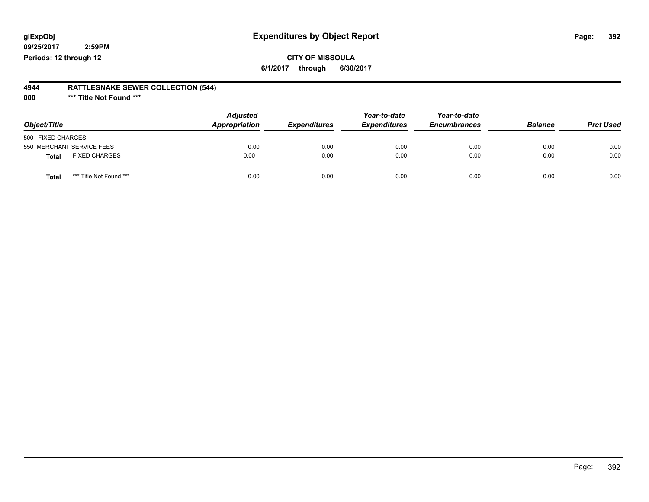## **glExpObj Expenditures by Object Report Page: 392**

**09/25/2017 2:59PM Periods: 12 through 12**

#### **4944 RATTLESNAKE SEWER COLLECTION (544)**

**000 \*\*\* Title Not Found \*\*\***

| Object/Title                            | <b>Adjusted</b><br>Appropriation | <b>Expenditures</b> | Year-to-date<br><b>Expenditures</b> | Year-to-date<br><b>Encumbrances</b> | <b>Balance</b> | <b>Prct Used</b> |
|-----------------------------------------|----------------------------------|---------------------|-------------------------------------|-------------------------------------|----------------|------------------|
| 500 FIXED CHARGES                       |                                  |                     |                                     |                                     |                |                  |
| 550 MERCHANT SERVICE FEES               | 0.00                             | 0.00                | 0.00                                | 0.00                                | 0.00           | 0.00             |
| <b>FIXED CHARGES</b><br><b>Total</b>    | 0.00                             | 0.00                | 0.00                                | 0.00                                | 0.00           | 0.00             |
| *** Title Not Found ***<br><b>Total</b> | 0.00                             | 0.00                | 0.00                                | 0.00                                | 0.00           | 0.00             |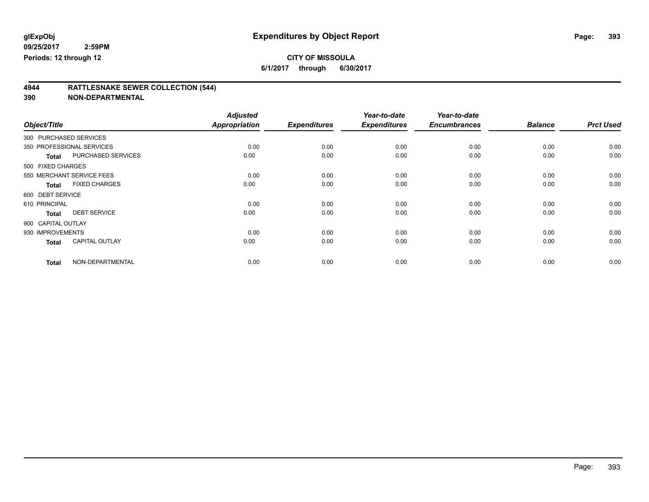**6/1/2017 through 6/30/2017**

# **4944 RATTLESNAKE SEWER COLLECTION (544)**

|                        |                           | <b>Adjusted</b>      |                     | Year-to-date        | Year-to-date        |                |                  |
|------------------------|---------------------------|----------------------|---------------------|---------------------|---------------------|----------------|------------------|
| Object/Title           |                           | <b>Appropriation</b> | <b>Expenditures</b> | <b>Expenditures</b> | <b>Encumbrances</b> | <b>Balance</b> | <b>Prct Used</b> |
| 300 PURCHASED SERVICES |                           |                      |                     |                     |                     |                |                  |
|                        | 350 PROFESSIONAL SERVICES | 0.00                 | 0.00                | 0.00                | 0.00                | 0.00           | 0.00             |
| <b>Total</b>           | PURCHASED SERVICES        | 0.00                 | 0.00                | 0.00                | 0.00                | 0.00           | 0.00             |
| 500 FIXED CHARGES      |                           |                      |                     |                     |                     |                |                  |
|                        | 550 MERCHANT SERVICE FEES | 0.00                 | 0.00                | 0.00                | 0.00                | 0.00           | 0.00             |
| <b>Total</b>           | <b>FIXED CHARGES</b>      | 0.00                 | 0.00                | 0.00                | 0.00                | 0.00           | 0.00             |
| 600 DEBT SERVICE       |                           |                      |                     |                     |                     |                |                  |
| 610 PRINCIPAL          |                           | 0.00                 | 0.00                | 0.00                | 0.00                | 0.00           | 0.00             |
| <b>Total</b>           | <b>DEBT SERVICE</b>       | 0.00                 | 0.00                | 0.00                | 0.00                | 0.00           | 0.00             |
| 900 CAPITAL OUTLAY     |                           |                      |                     |                     |                     |                |                  |
| 930 IMPROVEMENTS       |                           | 0.00                 | 0.00                | 0.00                | 0.00                | 0.00           | 0.00             |
| <b>Total</b>           | <b>CAPITAL OUTLAY</b>     | 0.00                 | 0.00                | 0.00                | 0.00                | 0.00           | 0.00             |
| <b>Total</b>           | NON-DEPARTMENTAL          | 0.00                 | 0.00                | 0.00                | 0.00                | 0.00           | 0.00             |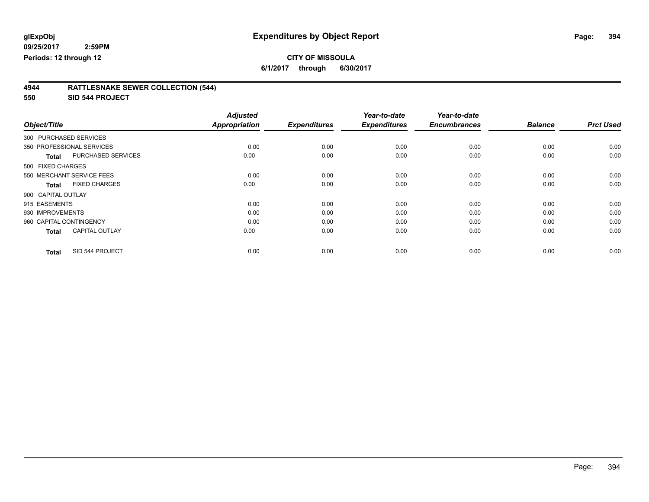**6/1/2017 through 6/30/2017**

| 4944 | <b>RATTLESNAKE SEWER COLLECTION (544)</b> |
|------|-------------------------------------------|
|      |                                           |

**550 SID 544 PROJECT**

|                           |                       | <b>Adjusted</b>      |                     | Year-to-date        | Year-to-date        |                |                  |
|---------------------------|-----------------------|----------------------|---------------------|---------------------|---------------------|----------------|------------------|
| Object/Title              |                       | <b>Appropriation</b> | <b>Expenditures</b> | <b>Expenditures</b> | <b>Encumbrances</b> | <b>Balance</b> | <b>Prct Used</b> |
| 300 PURCHASED SERVICES    |                       |                      |                     |                     |                     |                |                  |
| 350 PROFESSIONAL SERVICES |                       | 0.00                 | 0.00                | 0.00                | 0.00                | 0.00           | 0.00             |
| <b>Total</b>              | PURCHASED SERVICES    | 0.00                 | 0.00                | 0.00                | 0.00                | 0.00           | 0.00             |
| 500 FIXED CHARGES         |                       |                      |                     |                     |                     |                |                  |
| 550 MERCHANT SERVICE FEES |                       | 0.00                 | 0.00                | 0.00                | 0.00                | 0.00           | 0.00             |
| <b>Total</b>              | <b>FIXED CHARGES</b>  | 0.00                 | 0.00                | 0.00                | 0.00                | 0.00           | 0.00             |
| 900 CAPITAL OUTLAY        |                       |                      |                     |                     |                     |                |                  |
| 915 EASEMENTS             |                       | 0.00                 | 0.00                | 0.00                | 0.00                | 0.00           | 0.00             |
| 930 IMPROVEMENTS          |                       | 0.00                 | 0.00                | 0.00                | 0.00                | 0.00           | 0.00             |
| 960 CAPITAL CONTINGENCY   |                       | 0.00                 | 0.00                | 0.00                | 0.00                | 0.00           | 0.00             |
| <b>Total</b>              | <b>CAPITAL OUTLAY</b> | 0.00                 | 0.00                | 0.00                | 0.00                | 0.00           | 0.00             |
| <b>Total</b>              | SID 544 PROJECT       | 0.00                 | 0.00                | 0.00                | 0.00                | 0.00           | 0.00             |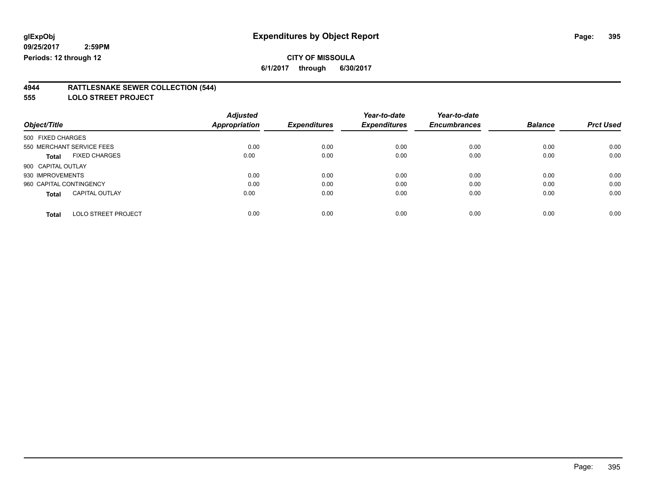**6/1/2017 through 6/30/2017**

#### **4944 RATTLESNAKE SEWER COLLECTION (544)**

**555 LOLO STREET PROJECT**

|                           |                            | <b>Adjusted</b>      |                     | Year-to-date        | Year-to-date        |                |                  |
|---------------------------|----------------------------|----------------------|---------------------|---------------------|---------------------|----------------|------------------|
| Object/Title              |                            | <b>Appropriation</b> | <b>Expenditures</b> | <b>Expenditures</b> | <b>Encumbrances</b> | <b>Balance</b> | <b>Prct Used</b> |
| 500 FIXED CHARGES         |                            |                      |                     |                     |                     |                |                  |
| 550 MERCHANT SERVICE FEES |                            | 0.00                 | 0.00                | 0.00                | 0.00                | 0.00           | 0.00             |
| Total                     | <b>FIXED CHARGES</b>       | 0.00                 | 0.00                | 0.00                | 0.00                | 0.00           | 0.00             |
| 900 CAPITAL OUTLAY        |                            |                      |                     |                     |                     |                |                  |
| 930 IMPROVEMENTS          |                            | 0.00                 | 0.00                | 0.00                | 0.00                | 0.00           | 0.00             |
| 960 CAPITAL CONTINGENCY   |                            | 0.00                 | 0.00                | 0.00                | 0.00                | 0.00           | 0.00             |
| <b>Total</b>              | <b>CAPITAL OUTLAY</b>      | 0.00                 | 0.00                | 0.00                | 0.00                | 0.00           | 0.00             |
|                           |                            |                      |                     |                     |                     |                |                  |
| <b>Total</b>              | <b>LOLO STREET PROJECT</b> | 0.00                 | 0.00                | 0.00                | 0.00                | 0.00           | 0.00             |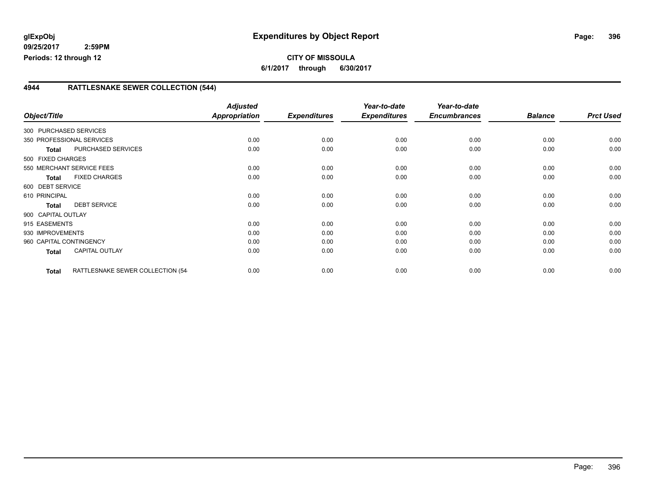### **4944 RATTLESNAKE SEWER COLLECTION (544)**

| Object/Title              |                                  | <b>Adjusted</b><br><b>Appropriation</b> | <b>Expenditures</b> | Year-to-date<br><b>Expenditures</b> | Year-to-date<br><b>Encumbrances</b> | <b>Balance</b> | <b>Prct Used</b> |
|---------------------------|----------------------------------|-----------------------------------------|---------------------|-------------------------------------|-------------------------------------|----------------|------------------|
| 300 PURCHASED SERVICES    |                                  |                                         |                     |                                     |                                     |                |                  |
| 350 PROFESSIONAL SERVICES |                                  | 0.00                                    | 0.00                | 0.00                                | 0.00                                | 0.00           | 0.00             |
| Total                     | PURCHASED SERVICES               | 0.00                                    | 0.00                | 0.00                                | 0.00                                | 0.00           | 0.00             |
| 500 FIXED CHARGES         |                                  |                                         |                     |                                     |                                     |                |                  |
| 550 MERCHANT SERVICE FEES |                                  | 0.00                                    | 0.00                | 0.00                                | 0.00                                | 0.00           | 0.00             |
| <b>Total</b>              | <b>FIXED CHARGES</b>             | 0.00                                    | 0.00                | 0.00                                | 0.00                                | 0.00           | 0.00             |
| 600 DEBT SERVICE          |                                  |                                         |                     |                                     |                                     |                |                  |
| 610 PRINCIPAL             |                                  | 0.00                                    | 0.00                | 0.00                                | 0.00                                | 0.00           | 0.00             |
| <b>Total</b>              | <b>DEBT SERVICE</b>              | 0.00                                    | 0.00                | 0.00                                | 0.00                                | 0.00           | 0.00             |
| 900 CAPITAL OUTLAY        |                                  |                                         |                     |                                     |                                     |                |                  |
| 915 EASEMENTS             |                                  | 0.00                                    | 0.00                | 0.00                                | 0.00                                | 0.00           | 0.00             |
| 930 IMPROVEMENTS          |                                  | 0.00                                    | 0.00                | 0.00                                | 0.00                                | 0.00           | 0.00             |
| 960 CAPITAL CONTINGENCY   |                                  | 0.00                                    | 0.00                | 0.00                                | 0.00                                | 0.00           | 0.00             |
| <b>Total</b>              | <b>CAPITAL OUTLAY</b>            | 0.00                                    | 0.00                | 0.00                                | 0.00                                | 0.00           | 0.00             |
| <b>Total</b>              | RATTLESNAKE SEWER COLLECTION (54 | 0.00                                    | 0.00                | 0.00                                | 0.00                                | 0.00           | 0.00             |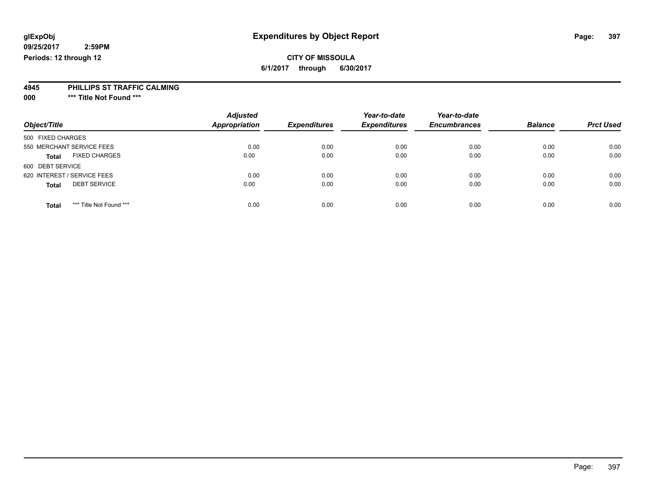### **CITY OF MISSOULA**

**6/1/2017 through 6/30/2017**

#### **4945 PHILLIPS ST TRAFFIC CALMING**

**000 \*\*\* Title Not Found \*\*\***

| Object/Title                            | <b>Adjusted</b><br><b>Appropriation</b> | <b>Expenditures</b> | Year-to-date<br><b>Expenditures</b> | Year-to-date<br><b>Encumbrances</b> | <b>Balance</b> | <b>Prct Used</b> |
|-----------------------------------------|-----------------------------------------|---------------------|-------------------------------------|-------------------------------------|----------------|------------------|
|                                         |                                         |                     |                                     |                                     |                |                  |
| 500 FIXED CHARGES                       |                                         |                     |                                     |                                     |                |                  |
| 550 MERCHANT SERVICE FEES               | 0.00                                    | 0.00                | 0.00                                | 0.00                                | 0.00           | 0.00             |
| <b>FIXED CHARGES</b><br><b>Total</b>    | 0.00                                    | 0.00                | 0.00                                | 0.00                                | 0.00           | 0.00             |
| 600 DEBT SERVICE                        |                                         |                     |                                     |                                     |                |                  |
| 620 INTEREST / SERVICE FEES             | 0.00                                    | 0.00                | 0.00                                | 0.00                                | 0.00           | 0.00             |
| <b>DEBT SERVICE</b><br><b>Total</b>     | 0.00                                    | 0.00                | 0.00                                | 0.00                                | 0.00           | 0.00             |
| *** Title Not Found ***<br><b>Total</b> | 0.00                                    | 0.00                | 0.00                                | 0.00                                | 0.00           | 0.00             |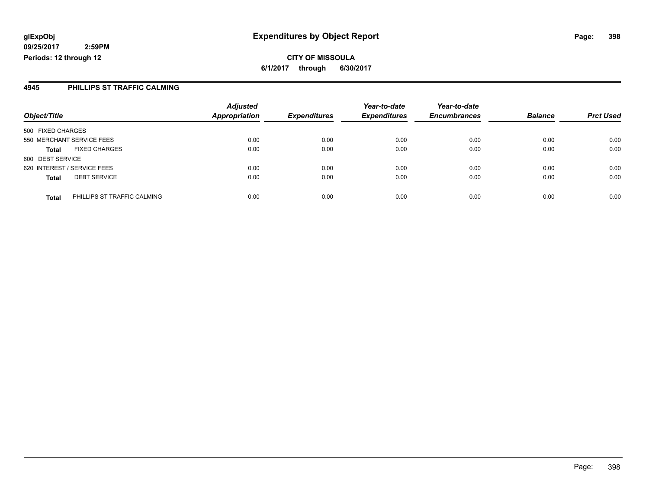**CITY OF MISSOULA 6/1/2017 through 6/30/2017**

#### **4945 PHILLIPS ST TRAFFIC CALMING**

|                                     |                             | <b>Adjusted</b>      |                     | Year-to-date        | Year-to-date        |                |                  |
|-------------------------------------|-----------------------------|----------------------|---------------------|---------------------|---------------------|----------------|------------------|
| Object/Title                        |                             | <b>Appropriation</b> | <b>Expenditures</b> | <b>Expenditures</b> | <b>Encumbrances</b> | <b>Balance</b> | <b>Prct Used</b> |
| 500 FIXED CHARGES                   |                             |                      |                     |                     |                     |                |                  |
| 550 MERCHANT SERVICE FEES           |                             | 0.00                 | 0.00                | 0.00                | 0.00                | 0.00           | 0.00             |
| <b>Total</b>                        | <b>FIXED CHARGES</b>        | 0.00                 | 0.00                | 0.00                | 0.00                | 0.00           | 0.00             |
| 600 DEBT SERVICE                    |                             |                      |                     |                     |                     |                |                  |
| 620 INTEREST / SERVICE FEES         |                             | 0.00                 | 0.00                | 0.00                | 0.00                | 0.00           | 0.00             |
| <b>DEBT SERVICE</b><br><b>Total</b> |                             | 0.00                 | 0.00                | 0.00                | 0.00                | 0.00           | 0.00             |
| <b>Total</b>                        | PHILLIPS ST TRAFFIC CALMING | 0.00                 | 0.00                | 0.00                | 0.00                | 0.00           | 0.00             |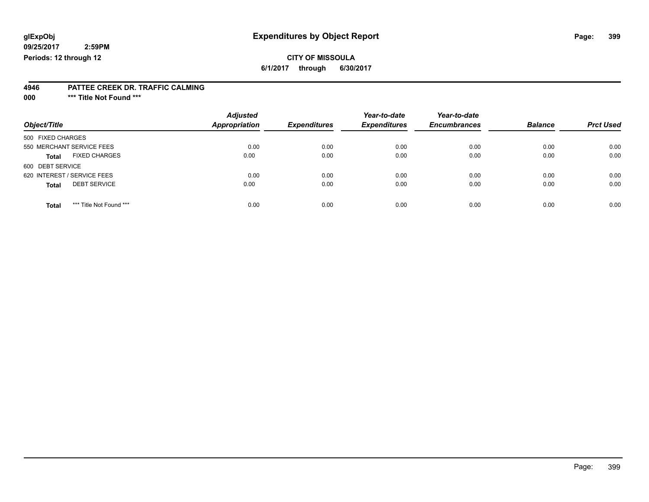### **CITY OF MISSOULA**

**6/1/2017 through 6/30/2017**

#### **4946 PATTEE CREEK DR. TRAFFIC CALMING**

**000 \*\*\* Title Not Found \*\*\***

| Object/Title                            | <b>Adjusted</b><br><b>Appropriation</b> | <b>Expenditures</b> | Year-to-date<br><b>Expenditures</b> | Year-to-date<br><b>Encumbrances</b> | <b>Balance</b> | <b>Prct Used</b> |
|-----------------------------------------|-----------------------------------------|---------------------|-------------------------------------|-------------------------------------|----------------|------------------|
| 500 FIXED CHARGES                       |                                         |                     |                                     |                                     |                |                  |
| 550 MERCHANT SERVICE FEES               | 0.00                                    | 0.00                | 0.00                                | 0.00                                | 0.00           | 0.00             |
| <b>FIXED CHARGES</b><br><b>Total</b>    | 0.00                                    | 0.00                | 0.00                                | 0.00                                | 0.00           | 0.00             |
| 600 DEBT SERVICE                        |                                         |                     |                                     |                                     |                |                  |
| 620 INTEREST / SERVICE FEES             | 0.00                                    | 0.00                | 0.00                                | 0.00                                | 0.00           | 0.00             |
| <b>DEBT SERVICE</b><br><b>Total</b>     | 0.00                                    | 0.00                | 0.00                                | 0.00                                | 0.00           | 0.00             |
| *** Title Not Found ***<br><b>Total</b> | 0.00                                    | 0.00                | 0.00                                | 0.00                                | 0.00           | 0.00             |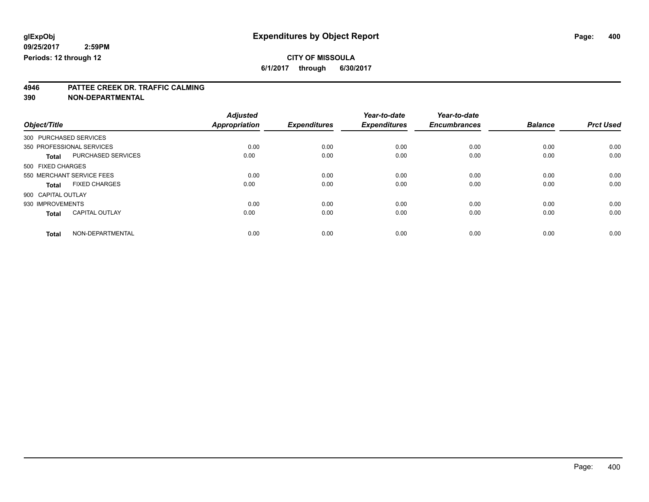### **CITY OF MISSOULA**

**6/1/2017 through 6/30/2017**

# **4946 PATTEE CREEK DR. TRAFFIC CALMING**

**390 NON-DEPARTMENTAL**

|                        |                           | <b>Adjusted</b>      |                     | Year-to-date        | Year-to-date        |                |                  |
|------------------------|---------------------------|----------------------|---------------------|---------------------|---------------------|----------------|------------------|
| Object/Title           |                           | <b>Appropriation</b> | <b>Expenditures</b> | <b>Expenditures</b> | <b>Encumbrances</b> | <b>Balance</b> | <b>Prct Used</b> |
| 300 PURCHASED SERVICES |                           |                      |                     |                     |                     |                |                  |
|                        | 350 PROFESSIONAL SERVICES | 0.00                 | 0.00                | 0.00                | 0.00                | 0.00           | 0.00             |
| <b>Total</b>           | PURCHASED SERVICES        | 0.00                 | 0.00                | 0.00                | 0.00                | 0.00           | 0.00             |
| 500 FIXED CHARGES      |                           |                      |                     |                     |                     |                |                  |
|                        | 550 MERCHANT SERVICE FEES | 0.00                 | 0.00                | 0.00                | 0.00                | 0.00           | 0.00             |
| <b>Total</b>           | <b>FIXED CHARGES</b>      | 0.00                 | 0.00                | 0.00                | 0.00                | 0.00           | 0.00             |
| 900 CAPITAL OUTLAY     |                           |                      |                     |                     |                     |                |                  |
| 930 IMPROVEMENTS       |                           | 0.00                 | 0.00                | 0.00                | 0.00                | 0.00           | 0.00             |
| <b>Total</b>           | <b>CAPITAL OUTLAY</b>     | 0.00                 | 0.00                | 0.00                | 0.00                | 0.00           | 0.00             |
| <b>Total</b>           | NON-DEPARTMENTAL          | 0.00                 | 0.00                | 0.00                | 0.00                | 0.00           | 0.00             |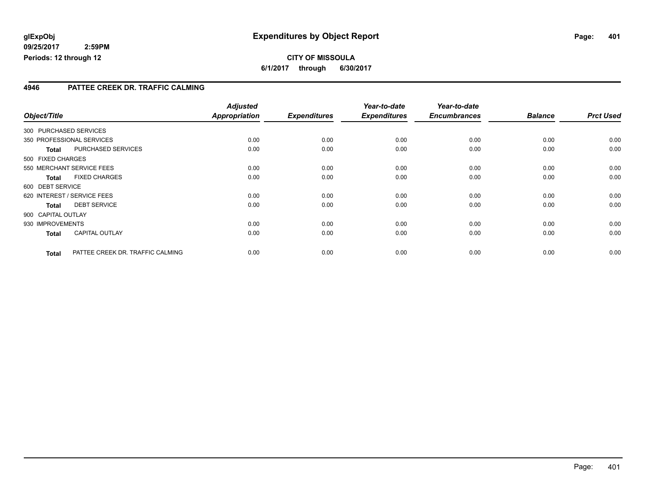#### **4946 PATTEE CREEK DR. TRAFFIC CALMING**

|                    |                                  | <b>Adjusted</b>      |                     | Year-to-date        | Year-to-date        |                |                  |
|--------------------|----------------------------------|----------------------|---------------------|---------------------|---------------------|----------------|------------------|
| Object/Title       |                                  | <b>Appropriation</b> | <b>Expenditures</b> | <b>Expenditures</b> | <b>Encumbrances</b> | <b>Balance</b> | <b>Prct Used</b> |
|                    | 300 PURCHASED SERVICES           |                      |                     |                     |                     |                |                  |
|                    | 350 PROFESSIONAL SERVICES        | 0.00                 | 0.00                | 0.00                | 0.00                | 0.00           | 0.00             |
| <b>Total</b>       | PURCHASED SERVICES               | 0.00                 | 0.00                | 0.00                | 0.00                | 0.00           | 0.00             |
| 500 FIXED CHARGES  |                                  |                      |                     |                     |                     |                |                  |
|                    | 550 MERCHANT SERVICE FEES        | 0.00                 | 0.00                | 0.00                | 0.00                | 0.00           | 0.00             |
| <b>Total</b>       | <b>FIXED CHARGES</b>             | 0.00                 | 0.00                | 0.00                | 0.00                | 0.00           | 0.00             |
| 600 DEBT SERVICE   |                                  |                      |                     |                     |                     |                |                  |
|                    | 620 INTEREST / SERVICE FEES      | 0.00                 | 0.00                | 0.00                | 0.00                | 0.00           | 0.00             |
| <b>Total</b>       | <b>DEBT SERVICE</b>              | 0.00                 | 0.00                | 0.00                | 0.00                | 0.00           | 0.00             |
| 900 CAPITAL OUTLAY |                                  |                      |                     |                     |                     |                |                  |
| 930 IMPROVEMENTS   |                                  | 0.00                 | 0.00                | 0.00                | 0.00                | 0.00           | 0.00             |
| <b>Total</b>       | <b>CAPITAL OUTLAY</b>            | 0.00                 | 0.00                | 0.00                | 0.00                | 0.00           | 0.00             |
| <b>Total</b>       | PATTEE CREEK DR. TRAFFIC CALMING | 0.00                 | 0.00                | 0.00                | 0.00                | 0.00           | 0.00             |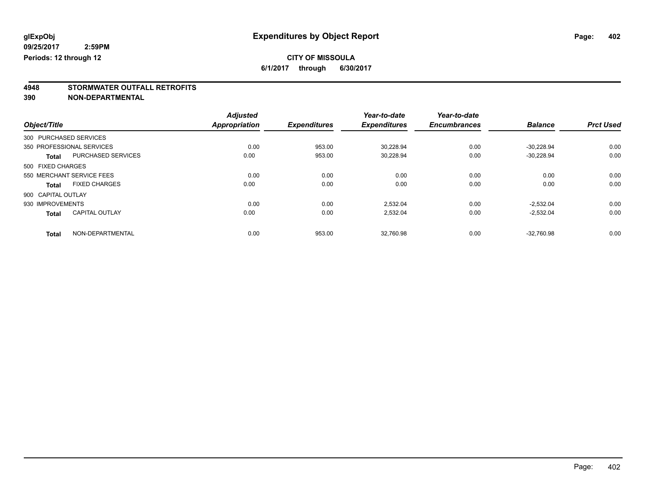### **CITY OF MISSOULA**

**6/1/2017 through 6/30/2017**

# **4948 STORMWATER OUTFALL RETROFITS**

**390 NON-DEPARTMENTAL**

|                    |                           | <b>Adjusted</b> |                     | Year-to-date        | Year-to-date        |                |                  |
|--------------------|---------------------------|-----------------|---------------------|---------------------|---------------------|----------------|------------------|
| Object/Title       |                           | Appropriation   | <b>Expenditures</b> | <b>Expenditures</b> | <b>Encumbrances</b> | <b>Balance</b> | <b>Prct Used</b> |
|                    | 300 PURCHASED SERVICES    |                 |                     |                     |                     |                |                  |
|                    | 350 PROFESSIONAL SERVICES | 0.00            | 953.00              | 30,228.94           | 0.00                | $-30,228.94$   | 0.00             |
| <b>Total</b>       | <b>PURCHASED SERVICES</b> | 0.00            | 953.00              | 30.228.94           | 0.00                | $-30,228.94$   | 0.00             |
| 500 FIXED CHARGES  |                           |                 |                     |                     |                     |                |                  |
|                    | 550 MERCHANT SERVICE FEES | 0.00            | 0.00                | 0.00                | 0.00                | 0.00           | 0.00             |
| <b>Total</b>       | <b>FIXED CHARGES</b>      | 0.00            | 0.00                | 0.00                | 0.00                | 0.00           | 0.00             |
| 900 CAPITAL OUTLAY |                           |                 |                     |                     |                     |                |                  |
| 930 IMPROVEMENTS   |                           | 0.00            | 0.00                | 2.532.04            | 0.00                | $-2.532.04$    | 0.00             |
| <b>Total</b>       | <b>CAPITAL OUTLAY</b>     | 0.00            | 0.00                | 2,532.04            | 0.00                | $-2,532.04$    | 0.00             |
| <b>Total</b>       | NON-DEPARTMENTAL          | 0.00            | 953.00              | 32.760.98           | 0.00                | $-32.760.98$   | 0.00             |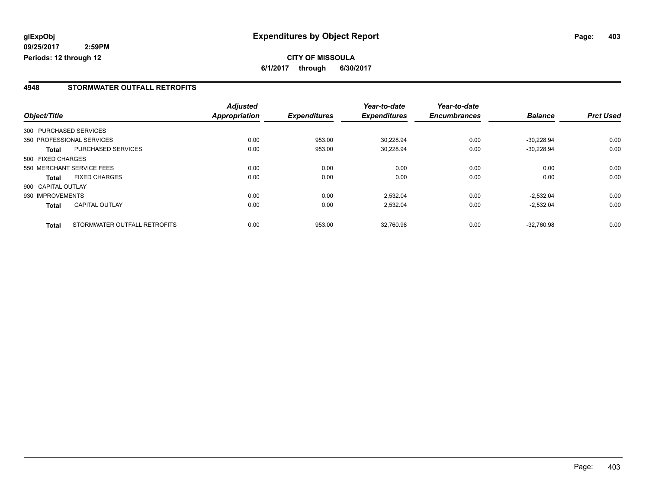### **CITY OF MISSOULA 6/1/2017 through 6/30/2017**

#### **4948 STORMWATER OUTFALL RETROFITS**

|                        |                              | <b>Adjusted</b> |                     | Year-to-date        | Year-to-date<br><b>Encumbrances</b> | <b>Balance</b> | <b>Prct Used</b> |
|------------------------|------------------------------|-----------------|---------------------|---------------------|-------------------------------------|----------------|------------------|
| Object/Title           |                              | Appropriation   | <b>Expenditures</b> | <b>Expenditures</b> |                                     |                |                  |
| 300 PURCHASED SERVICES |                              |                 |                     |                     |                                     |                |                  |
|                        | 350 PROFESSIONAL SERVICES    | 0.00            | 953.00              | 30.228.94           | 0.00                                | $-30.228.94$   | 0.00             |
| <b>Total</b>           | <b>PURCHASED SERVICES</b>    | 0.00            | 953.00              | 30,228.94           | 0.00                                | $-30,228.94$   | 0.00             |
| 500 FIXED CHARGES      |                              |                 |                     |                     |                                     |                |                  |
|                        | 550 MERCHANT SERVICE FEES    | 0.00            | 0.00                | 0.00                | 0.00                                | 0.00           | 0.00             |
| <b>Total</b>           | <b>FIXED CHARGES</b>         | 0.00            | 0.00                | 0.00                | 0.00                                | 0.00           | 0.00             |
| 900 CAPITAL OUTLAY     |                              |                 |                     |                     |                                     |                |                  |
| 930 IMPROVEMENTS       |                              | 0.00            | 0.00                | 2,532.04            | 0.00                                | $-2.532.04$    | 0.00             |
| <b>Total</b>           | <b>CAPITAL OUTLAY</b>        | 0.00            | 0.00                | 2,532.04            | 0.00                                | $-2,532.04$    | 0.00             |
| <b>Total</b>           | STORMWATER OUTFALL RETROFITS | 0.00            | 953.00              | 32.760.98           | 0.00                                | $-32.760.98$   | 0.00             |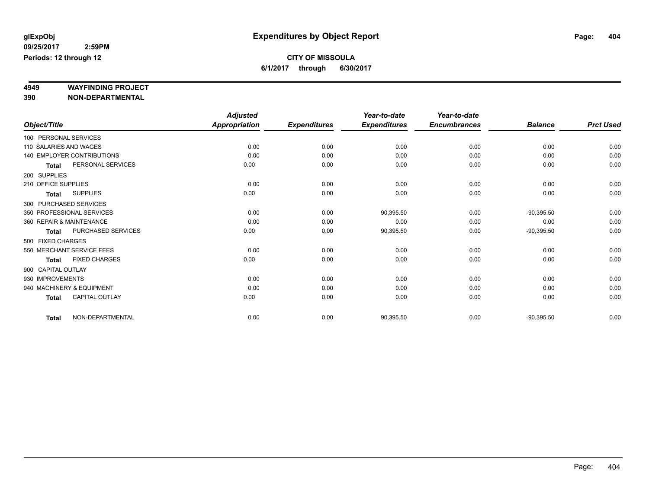# **4949 WAYFINDING PROJECT**

**390 NON-DEPARTMENTAL**

|                          |                            | <b>Adjusted</b>      |                     | Year-to-date        | Year-to-date        |                |                  |
|--------------------------|----------------------------|----------------------|---------------------|---------------------|---------------------|----------------|------------------|
| Object/Title             |                            | <b>Appropriation</b> | <b>Expenditures</b> | <b>Expenditures</b> | <b>Encumbrances</b> | <b>Balance</b> | <b>Prct Used</b> |
| 100 PERSONAL SERVICES    |                            |                      |                     |                     |                     |                |                  |
| 110 SALARIES AND WAGES   |                            | 0.00                 | 0.00                | 0.00                | 0.00                | 0.00           | 0.00             |
|                          | 140 EMPLOYER CONTRIBUTIONS | 0.00                 | 0.00                | 0.00                | 0.00                | 0.00           | 0.00             |
| <b>Total</b>             | PERSONAL SERVICES          | 0.00                 | 0.00                | 0.00                | 0.00                | 0.00           | 0.00             |
| 200 SUPPLIES             |                            |                      |                     |                     |                     |                |                  |
| 210 OFFICE SUPPLIES      |                            | 0.00                 | 0.00                | 0.00                | 0.00                | 0.00           | 0.00             |
| <b>Total</b>             | <b>SUPPLIES</b>            | 0.00                 | 0.00                | 0.00                | 0.00                | 0.00           | 0.00             |
| 300 PURCHASED SERVICES   |                            |                      |                     |                     |                     |                |                  |
|                          | 350 PROFESSIONAL SERVICES  | 0.00                 | 0.00                | 90,395.50           | 0.00                | $-90,395.50$   | 0.00             |
| 360 REPAIR & MAINTENANCE |                            | 0.00                 | 0.00                | 0.00                | 0.00                | 0.00           | 0.00             |
| <b>Total</b>             | PURCHASED SERVICES         | 0.00                 | 0.00                | 90,395.50           | 0.00                | $-90,395.50$   | 0.00             |
| 500 FIXED CHARGES        |                            |                      |                     |                     |                     |                |                  |
|                          | 550 MERCHANT SERVICE FEES  | 0.00                 | 0.00                | 0.00                | 0.00                | 0.00           | 0.00             |
| <b>Total</b>             | <b>FIXED CHARGES</b>       | 0.00                 | 0.00                | 0.00                | 0.00                | 0.00           | 0.00             |
| 900 CAPITAL OUTLAY       |                            |                      |                     |                     |                     |                |                  |
| 930 IMPROVEMENTS         |                            | 0.00                 | 0.00                | 0.00                | 0.00                | 0.00           | 0.00             |
|                          | 940 MACHINERY & EQUIPMENT  | 0.00                 | 0.00                | 0.00                | 0.00                | 0.00           | 0.00             |
| <b>Total</b>             | CAPITAL OUTLAY             | 0.00                 | 0.00                | 0.00                | 0.00                | 0.00           | 0.00             |
| <b>Total</b>             | NON-DEPARTMENTAL           | 0.00                 | 0.00                | 90,395.50           | 0.00                | $-90,395.50$   | 0.00             |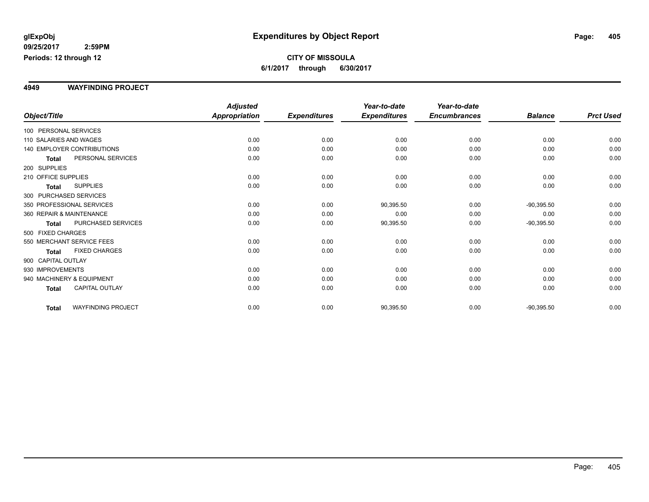#### **4949 WAYFINDING PROJECT**

|                          |                                   | <b>Adjusted</b>      |                     | Year-to-date        | Year-to-date        |                |                  |
|--------------------------|-----------------------------------|----------------------|---------------------|---------------------|---------------------|----------------|------------------|
| Object/Title             |                                   | <b>Appropriation</b> | <b>Expenditures</b> | <b>Expenditures</b> | <b>Encumbrances</b> | <b>Balance</b> | <b>Prct Used</b> |
| 100 PERSONAL SERVICES    |                                   |                      |                     |                     |                     |                |                  |
| 110 SALARIES AND WAGES   |                                   | 0.00                 | 0.00                | 0.00                | 0.00                | 0.00           | 0.00             |
|                          | <b>140 EMPLOYER CONTRIBUTIONS</b> | 0.00                 | 0.00                | 0.00                | 0.00                | 0.00           | 0.00             |
| <b>Total</b>             | PERSONAL SERVICES                 | 0.00                 | 0.00                | 0.00                | 0.00                | 0.00           | 0.00             |
| 200 SUPPLIES             |                                   |                      |                     |                     |                     |                |                  |
| 210 OFFICE SUPPLIES      |                                   | 0.00                 | 0.00                | 0.00                | 0.00                | 0.00           | 0.00             |
| <b>Total</b>             | <b>SUPPLIES</b>                   | 0.00                 | 0.00                | 0.00                | 0.00                | 0.00           | 0.00             |
| 300 PURCHASED SERVICES   |                                   |                      |                     |                     |                     |                |                  |
|                          | 350 PROFESSIONAL SERVICES         | 0.00                 | 0.00                | 90,395.50           | 0.00                | $-90,395.50$   | 0.00             |
| 360 REPAIR & MAINTENANCE |                                   | 0.00                 | 0.00                | 0.00                | 0.00                | 0.00           | 0.00             |
| <b>Total</b>             | PURCHASED SERVICES                | 0.00                 | 0.00                | 90,395.50           | 0.00                | $-90,395.50$   | 0.00             |
| 500 FIXED CHARGES        |                                   |                      |                     |                     |                     |                |                  |
|                          | 550 MERCHANT SERVICE FEES         | 0.00                 | 0.00                | 0.00                | 0.00                | 0.00           | 0.00             |
| <b>Total</b>             | <b>FIXED CHARGES</b>              | 0.00                 | 0.00                | 0.00                | 0.00                | 0.00           | 0.00             |
| 900 CAPITAL OUTLAY       |                                   |                      |                     |                     |                     |                |                  |
| 930 IMPROVEMENTS         |                                   | 0.00                 | 0.00                | 0.00                | 0.00                | 0.00           | 0.00             |
|                          | 940 MACHINERY & EQUIPMENT         | 0.00                 | 0.00                | 0.00                | 0.00                | 0.00           | 0.00             |
| <b>Total</b>             | <b>CAPITAL OUTLAY</b>             | 0.00                 | 0.00                | 0.00                | 0.00                | 0.00           | 0.00             |
| <b>Total</b>             | <b>WAYFINDING PROJECT</b>         | 0.00                 | 0.00                | 90,395.50           | 0.00                | $-90,395.50$   | 0.00             |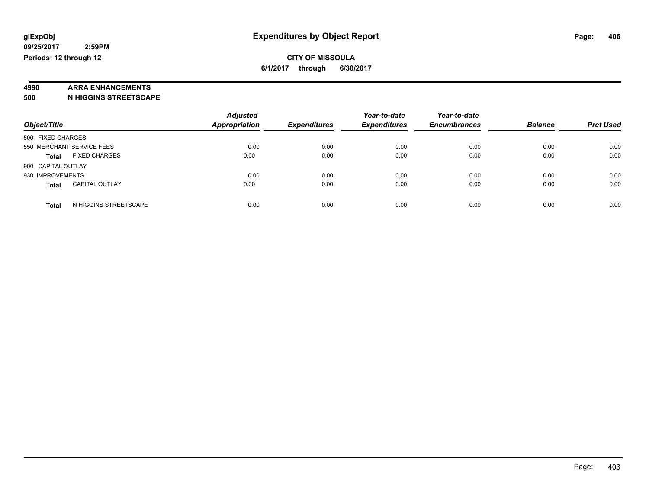### **4990 ARRA ENHANCEMENTS**

**500 N HIGGINS STREETSCAPE**

| Object/Title                          | <b>Adjusted</b><br>Appropriation | <b>Expenditures</b> | Year-to-date<br><b>Expenditures</b> | Year-to-date<br><b>Encumbrances</b> | <b>Balance</b> | <b>Prct Used</b> |
|---------------------------------------|----------------------------------|---------------------|-------------------------------------|-------------------------------------|----------------|------------------|
| 500 FIXED CHARGES                     |                                  |                     |                                     |                                     |                |                  |
| 550 MERCHANT SERVICE FEES             | 0.00                             | 0.00                | 0.00                                | 0.00                                | 0.00           | 0.00             |
| <b>FIXED CHARGES</b><br><b>Total</b>  | 0.00                             | 0.00                | 0.00                                | 0.00                                | 0.00           | 0.00             |
| 900 CAPITAL OUTLAY                    |                                  |                     |                                     |                                     |                |                  |
| 930 IMPROVEMENTS                      | 0.00                             | 0.00                | 0.00                                | 0.00                                | 0.00           | 0.00             |
| <b>CAPITAL OUTLAY</b><br><b>Total</b> | 0.00                             | 0.00                | 0.00                                | 0.00                                | 0.00           | 0.00             |
| N HIGGINS STREETSCAPE<br><b>Total</b> | 0.00                             | 0.00                | 0.00                                | 0.00                                | 0.00           | 0.00             |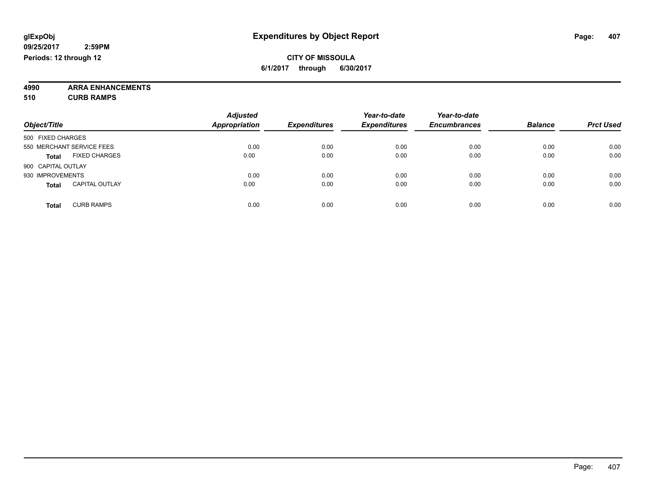**4990 ARRA ENHANCEMENTS 510 CURB RAMPS**

| Object/Title                          | <b>Adjusted</b><br><b>Appropriation</b> | <b>Expenditures</b> | Year-to-date<br><b>Expenditures</b> | Year-to-date<br><b>Encumbrances</b> | <b>Balance</b> | <b>Prct Used</b> |
|---------------------------------------|-----------------------------------------|---------------------|-------------------------------------|-------------------------------------|----------------|------------------|
| 500 FIXED CHARGES                     |                                         |                     |                                     |                                     |                |                  |
| 550 MERCHANT SERVICE FEES             | 0.00                                    | 0.00                | 0.00                                | 0.00                                | 0.00           | 0.00             |
| <b>FIXED CHARGES</b><br><b>Total</b>  | 0.00                                    | 0.00                | 0.00                                | 0.00                                | 0.00           | 0.00             |
| 900 CAPITAL OUTLAY                    |                                         |                     |                                     |                                     |                |                  |
| 930 IMPROVEMENTS                      | 0.00                                    | 0.00                | 0.00                                | 0.00                                | 0.00           | 0.00             |
| <b>CAPITAL OUTLAY</b><br><b>Total</b> | 0.00                                    | 0.00                | 0.00                                | 0.00                                | 0.00           | 0.00             |
| <b>CURB RAMPS</b><br><b>Total</b>     | 0.00                                    | 0.00                | 0.00                                | 0.00                                | 0.00           | 0.00             |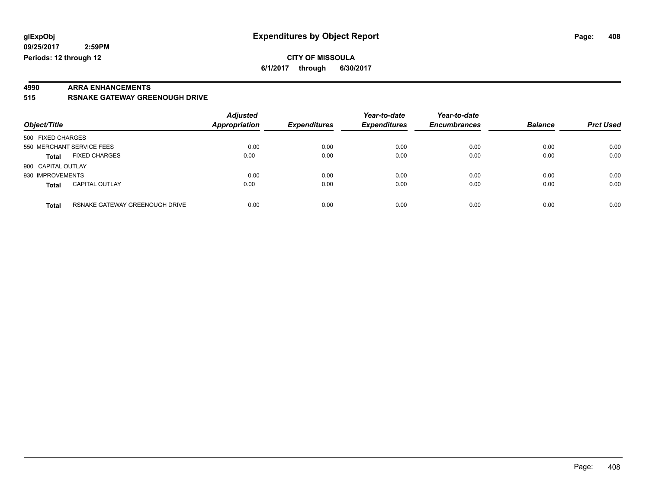#### **CITY OF MISSOULA 6/1/2017 through 6/30/2017**

# **4990 ARRA ENHANCEMENTS**

**515 RSNAKE GATEWAY GREENOUGH DRIVE**

| Object/Title       |                                | <b>Adjusted</b><br>Appropriation | <b>Expenditures</b> | Year-to-date<br><b>Expenditures</b> | Year-to-date<br><b>Encumbrances</b> | <b>Balance</b> | <b>Prct Used</b> |
|--------------------|--------------------------------|----------------------------------|---------------------|-------------------------------------|-------------------------------------|----------------|------------------|
| 500 FIXED CHARGES  |                                |                                  |                     |                                     |                                     |                |                  |
|                    | 550 MERCHANT SERVICE FEES      | 0.00                             | 0.00                | 0.00                                | 0.00                                | 0.00           | 0.00             |
| <b>Total</b>       | <b>FIXED CHARGES</b>           | 0.00                             | 0.00                | 0.00                                | 0.00                                | 0.00           | 0.00             |
| 900 CAPITAL OUTLAY |                                |                                  |                     |                                     |                                     |                |                  |
| 930 IMPROVEMENTS   |                                | 0.00                             | 0.00                | 0.00                                | 0.00                                | 0.00           | 0.00             |
| <b>Total</b>       | <b>CAPITAL OUTLAY</b>          | 0.00                             | 0.00                | 0.00                                | 0.00                                | 0.00           | 0.00             |
| <b>Total</b>       | RSNAKE GATEWAY GREENOUGH DRIVE | 0.00                             | 0.00                | 0.00                                | 0.00                                | 0.00           | 0.00             |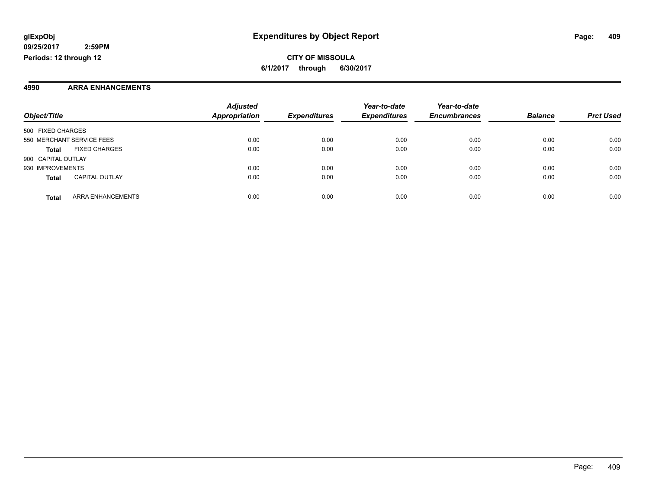**CITY OF MISSOULA 6/1/2017 through 6/30/2017**

#### **4990 ARRA ENHANCEMENTS**

|                           |                          | <b>Adjusted</b>      |                     | Year-to-date        | Year-to-date        |                |                  |
|---------------------------|--------------------------|----------------------|---------------------|---------------------|---------------------|----------------|------------------|
| Object/Title              |                          | <b>Appropriation</b> | <b>Expenditures</b> | <b>Expenditures</b> | <b>Encumbrances</b> | <b>Balance</b> | <b>Prct Used</b> |
| 500 FIXED CHARGES         |                          |                      |                     |                     |                     |                |                  |
| 550 MERCHANT SERVICE FEES |                          | 0.00                 | 0.00                | 0.00                | 0.00                | 0.00           | 0.00             |
| <b>Total</b>              | <b>FIXED CHARGES</b>     | 0.00                 | 0.00                | 0.00                | 0.00                | 0.00           | 0.00             |
| 900 CAPITAL OUTLAY        |                          |                      |                     |                     |                     |                |                  |
| 930 IMPROVEMENTS          |                          | 0.00                 | 0.00                | 0.00                | 0.00                | 0.00           | 0.00             |
| <b>Total</b>              | <b>CAPITAL OUTLAY</b>    | 0.00                 | 0.00                | 0.00                | 0.00                | 0.00           | 0.00             |
| <b>Total</b>              | <b>ARRA ENHANCEMENTS</b> | 0.00                 | 0.00                | 0.00                | 0.00                | 0.00           | 0.00             |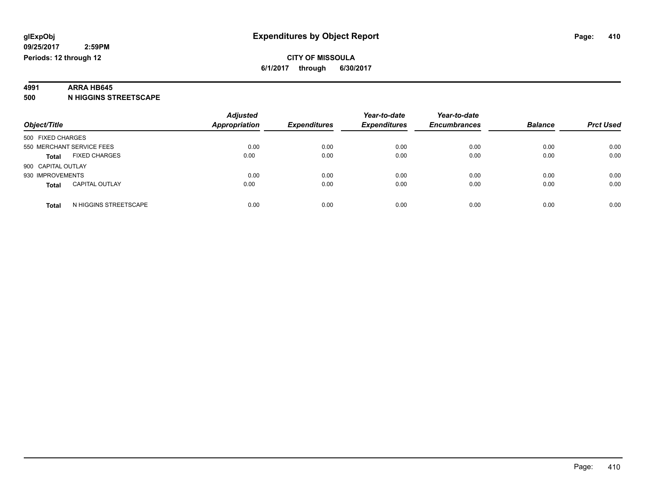#### **4991 ARRA HB645**

**500 N HIGGINS STREETSCAPE**

| Object/Title                          | <b>Adjusted</b><br><b>Appropriation</b> | <b>Expenditures</b> | Year-to-date<br><b>Expenditures</b> | Year-to-date<br><b>Encumbrances</b> | <b>Balance</b> | <b>Prct Used</b> |
|---------------------------------------|-----------------------------------------|---------------------|-------------------------------------|-------------------------------------|----------------|------------------|
|                                       |                                         |                     |                                     |                                     |                |                  |
| 500 FIXED CHARGES                     |                                         |                     |                                     |                                     |                |                  |
| 550 MERCHANT SERVICE FEES             | 0.00                                    | 0.00                | 0.00                                | 0.00                                | 0.00           | 0.00             |
| <b>FIXED CHARGES</b><br><b>Total</b>  | 0.00                                    | 0.00                | 0.00                                | 0.00                                | 0.00           | 0.00             |
| 900 CAPITAL OUTLAY                    |                                         |                     |                                     |                                     |                |                  |
| 930 IMPROVEMENTS                      | 0.00                                    | 0.00                | 0.00                                | 0.00                                | 0.00           | 0.00             |
| <b>CAPITAL OUTLAY</b><br><b>Total</b> | 0.00                                    | 0.00                | 0.00                                | 0.00                                | 0.00           | 0.00             |
| N HIGGINS STREETSCAPE<br><b>Total</b> | 0.00                                    | 0.00                | 0.00                                | 0.00                                | 0.00           | 0.00             |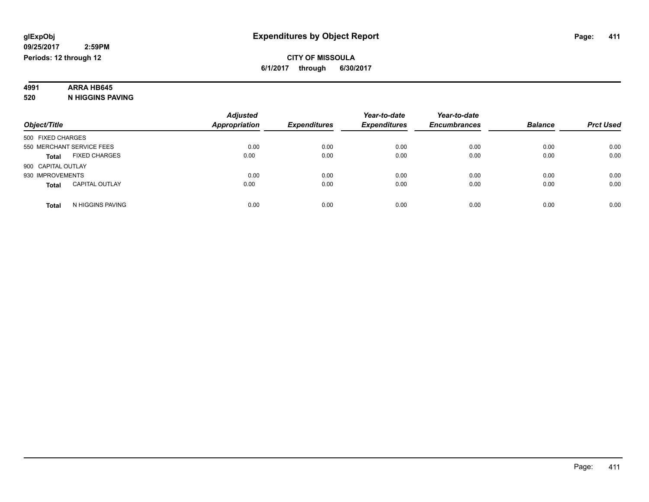# **4991 ARRA HB645**

**520 N HIGGINS PAVING**

|                                       | <b>Adjusted</b>      |                     | Year-to-date        | Year-to-date        |                |                  |
|---------------------------------------|----------------------|---------------------|---------------------|---------------------|----------------|------------------|
| Object/Title                          | <b>Appropriation</b> | <b>Expenditures</b> | <b>Expenditures</b> | <b>Encumbrances</b> | <b>Balance</b> | <b>Prct Used</b> |
| 500 FIXED CHARGES                     |                      |                     |                     |                     |                |                  |
| 550 MERCHANT SERVICE FEES             | 0.00                 | 0.00                | 0.00                | 0.00                | 0.00           | 0.00             |
| <b>FIXED CHARGES</b><br><b>Total</b>  | 0.00                 | 0.00                | 0.00                | 0.00                | 0.00           | 0.00             |
| 900 CAPITAL OUTLAY                    |                      |                     |                     |                     |                |                  |
| 930 IMPROVEMENTS                      | 0.00                 | 0.00                | 0.00                | 0.00                | 0.00           | 0.00             |
| <b>CAPITAL OUTLAY</b><br><b>Total</b> | 0.00                 | 0.00                | 0.00                | 0.00                | 0.00           | 0.00             |
| N HIGGINS PAVING<br><b>Total</b>      | 0.00                 | 0.00                | 0.00                | 0.00                | 0.00           | 0.00             |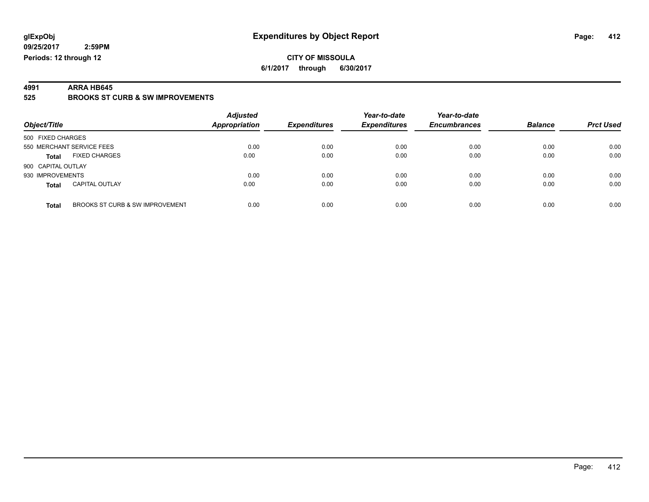#### **CITY OF MISSOULA 6/1/2017 through 6/30/2017**

**4991 ARRA HB645 525 BROOKS ST CURB & SW IMPROVEMENTS**

| Object/Title                             | <b>Adjusted</b><br>Appropriation | <b>Expenditures</b> | Year-to-date<br><b>Expenditures</b> | Year-to-date<br><b>Encumbrances</b> | <b>Balance</b> | <b>Prct Used</b> |
|------------------------------------------|----------------------------------|---------------------|-------------------------------------|-------------------------------------|----------------|------------------|
| 500 FIXED CHARGES                        |                                  |                     |                                     |                                     |                |                  |
| 550 MERCHANT SERVICE FEES                | 0.00                             | 0.00                | 0.00                                | 0.00                                | 0.00           | 0.00             |
| <b>FIXED CHARGES</b><br><b>Total</b>     | 0.00                             | 0.00                | 0.00                                | 0.00                                | 0.00           | 0.00             |
| 900 CAPITAL OUTLAY                       |                                  |                     |                                     |                                     |                |                  |
| 930 IMPROVEMENTS                         | 0.00                             | 0.00                | 0.00                                | 0.00                                | 0.00           | 0.00             |
| <b>CAPITAL OUTLAY</b><br><b>Total</b>    | 0.00                             | 0.00                | 0.00                                | 0.00                                | 0.00           | 0.00             |
| BROOKS ST CURB & SW IMPROVEMENT<br>Total | 0.00                             | 0.00                | 0.00                                | 0.00                                | 0.00           | 0.00             |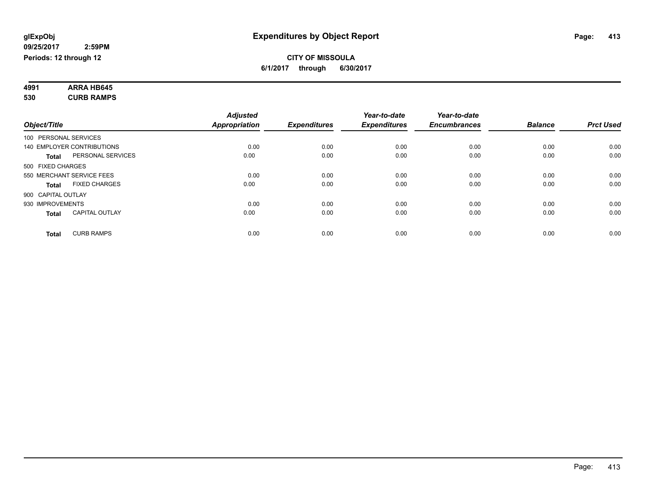#### **4991 ARRA HB645 530 CURB RAMPS**

| Object/Title          |                                   | <b>Adjusted</b><br><b>Appropriation</b> | <b>Expenditures</b> | Year-to-date<br><b>Expenditures</b> | Year-to-date<br><b>Encumbrances</b> | <b>Balance</b> | <b>Prct Used</b> |
|-----------------------|-----------------------------------|-----------------------------------------|---------------------|-------------------------------------|-------------------------------------|----------------|------------------|
| 100 PERSONAL SERVICES |                                   |                                         |                     |                                     |                                     |                |                  |
|                       | <b>140 EMPLOYER CONTRIBUTIONS</b> | 0.00                                    | 0.00                | 0.00                                | 0.00                                | 0.00           | 0.00             |
| Total                 | PERSONAL SERVICES                 | 0.00                                    | 0.00                | 0.00                                | 0.00                                | 0.00           | 0.00             |
| 500 FIXED CHARGES     |                                   |                                         |                     |                                     |                                     |                |                  |
|                       | 550 MERCHANT SERVICE FEES         | 0.00                                    | 0.00                | 0.00                                | 0.00                                | 0.00           | 0.00             |
| Total                 | <b>FIXED CHARGES</b>              | 0.00                                    | 0.00                | 0.00                                | 0.00                                | 0.00           | 0.00             |
| 900 CAPITAL OUTLAY    |                                   |                                         |                     |                                     |                                     |                |                  |
| 930 IMPROVEMENTS      |                                   | 0.00                                    | 0.00                | 0.00                                | 0.00                                | 0.00           | 0.00             |
| Total                 | <b>CAPITAL OUTLAY</b>             | 0.00                                    | 0.00                | 0.00                                | 0.00                                | 0.00           | 0.00             |
| <b>Total</b>          | <b>CURB RAMPS</b>                 | 0.00                                    | 0.00                | 0.00                                | 0.00                                | 0.00           | 0.00             |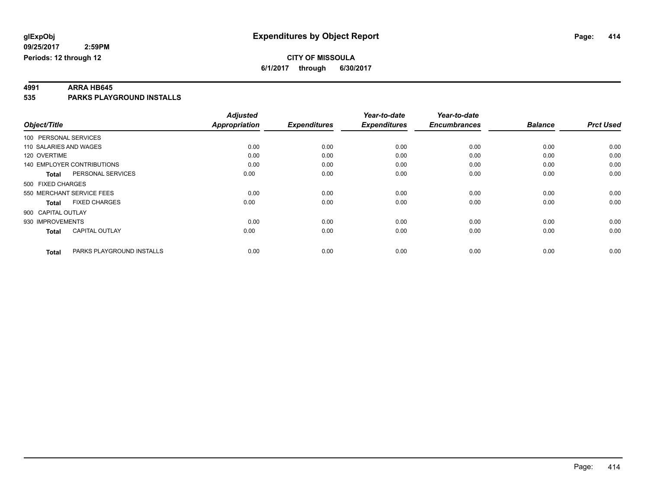**4991 ARRA HB645 535 PARKS PLAYGROUND INSTALLS**

|                        |                                   | <b>Adjusted</b>      |                     | Year-to-date        | Year-to-date        |                |                  |
|------------------------|-----------------------------------|----------------------|---------------------|---------------------|---------------------|----------------|------------------|
| Object/Title           |                                   | <b>Appropriation</b> | <b>Expenditures</b> | <b>Expenditures</b> | <b>Encumbrances</b> | <b>Balance</b> | <b>Prct Used</b> |
| 100 PERSONAL SERVICES  |                                   |                      |                     |                     |                     |                |                  |
| 110 SALARIES AND WAGES |                                   | 0.00                 | 0.00                | 0.00                | 0.00                | 0.00           | 0.00             |
| 120 OVERTIME           |                                   | 0.00                 | 0.00                | 0.00                | 0.00                | 0.00           | 0.00             |
|                        | <b>140 EMPLOYER CONTRIBUTIONS</b> | 0.00                 | 0.00                | 0.00                | 0.00                | 0.00           | 0.00             |
| <b>Total</b>           | PERSONAL SERVICES                 | 0.00                 | 0.00                | 0.00                | 0.00                | 0.00           | 0.00             |
| 500 FIXED CHARGES      |                                   |                      |                     |                     |                     |                |                  |
|                        | 550 MERCHANT SERVICE FEES         | 0.00                 | 0.00                | 0.00                | 0.00                | 0.00           | 0.00             |
| <b>Total</b>           | <b>FIXED CHARGES</b>              | 0.00                 | 0.00                | 0.00                | 0.00                | 0.00           | 0.00             |
| 900 CAPITAL OUTLAY     |                                   |                      |                     |                     |                     |                |                  |
| 930 IMPROVEMENTS       |                                   | 0.00                 | 0.00                | 0.00                | 0.00                | 0.00           | 0.00             |
| <b>Total</b>           | <b>CAPITAL OUTLAY</b>             | 0.00                 | 0.00                | 0.00                | 0.00                | 0.00           | 0.00             |
| <b>Total</b>           | PARKS PLAYGROUND INSTALLS         | 0.00                 | 0.00                | 0.00                | 0.00                | 0.00           | 0.00             |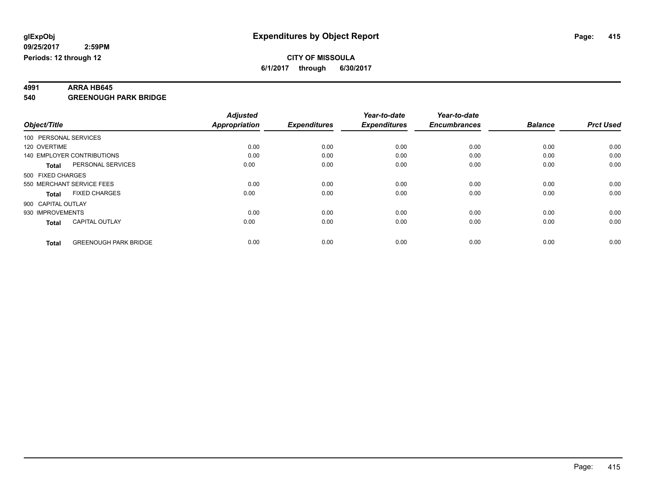**4991 ARRA HB645 540 GREENOUGH PARK BRIDGE**

|                                              | <b>Adjusted</b>      |                     | Year-to-date        | Year-to-date        |                |                  |
|----------------------------------------------|----------------------|---------------------|---------------------|---------------------|----------------|------------------|
| Object/Title                                 | <b>Appropriation</b> | <b>Expenditures</b> | <b>Expenditures</b> | <b>Encumbrances</b> | <b>Balance</b> | <b>Prct Used</b> |
| 100 PERSONAL SERVICES                        |                      |                     |                     |                     |                |                  |
| 120 OVERTIME                                 | 0.00                 | 0.00                | 0.00                | 0.00                | 0.00           | 0.00             |
| 140 EMPLOYER CONTRIBUTIONS                   | 0.00                 | 0.00                | 0.00                | 0.00                | 0.00           | 0.00             |
| PERSONAL SERVICES<br><b>Total</b>            | 0.00                 | 0.00                | 0.00                | 0.00                | 0.00           | 0.00             |
| 500 FIXED CHARGES                            |                      |                     |                     |                     |                |                  |
| 550 MERCHANT SERVICE FEES                    | 0.00                 | 0.00                | 0.00                | 0.00                | 0.00           | 0.00             |
| <b>FIXED CHARGES</b><br><b>Total</b>         | 0.00                 | 0.00                | 0.00                | 0.00                | 0.00           | 0.00             |
| 900 CAPITAL OUTLAY                           |                      |                     |                     |                     |                |                  |
| 930 IMPROVEMENTS                             | 0.00                 | 0.00                | 0.00                | 0.00                | 0.00           | 0.00             |
| <b>CAPITAL OUTLAY</b><br><b>Total</b>        | 0.00                 | 0.00                | 0.00                | 0.00                | 0.00           | 0.00             |
| <b>GREENOUGH PARK BRIDGE</b><br><b>Total</b> | 0.00                 | 0.00                | 0.00                | 0.00                | 0.00           | 0.00             |
|                                              |                      |                     |                     |                     |                |                  |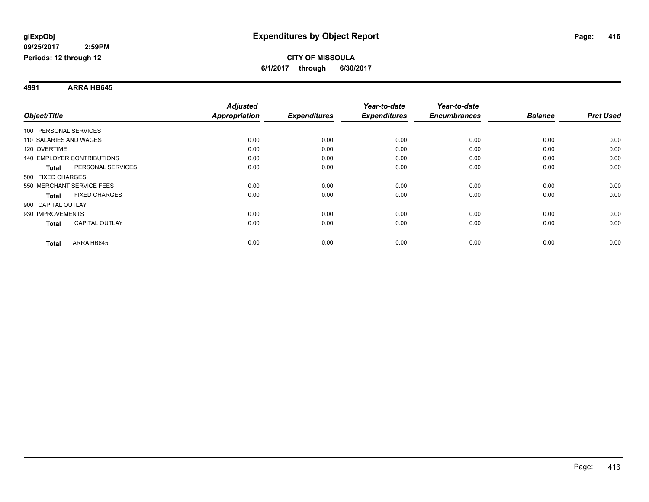**4991 ARRA HB645**

|                                       | <b>Adjusted</b>      |                     | Year-to-date        | Year-to-date        |                |                  |
|---------------------------------------|----------------------|---------------------|---------------------|---------------------|----------------|------------------|
| Object/Title                          | <b>Appropriation</b> | <b>Expenditures</b> | <b>Expenditures</b> | <b>Encumbrances</b> | <b>Balance</b> | <b>Prct Used</b> |
| 100 PERSONAL SERVICES                 |                      |                     |                     |                     |                |                  |
| 110 SALARIES AND WAGES                | 0.00                 | 0.00                | 0.00                | 0.00                | 0.00           | 0.00             |
| 120 OVERTIME                          | 0.00                 | 0.00                | 0.00                | 0.00                | 0.00           | 0.00             |
| 140 EMPLOYER CONTRIBUTIONS            | 0.00                 | 0.00                | 0.00                | 0.00                | 0.00           | 0.00             |
| PERSONAL SERVICES<br><b>Total</b>     | 0.00                 | 0.00                | 0.00                | 0.00                | 0.00           | 0.00             |
| 500 FIXED CHARGES                     |                      |                     |                     |                     |                |                  |
| 550 MERCHANT SERVICE FEES             | 0.00                 | 0.00                | 0.00                | 0.00                | 0.00           | 0.00             |
| <b>FIXED CHARGES</b><br><b>Total</b>  | 0.00                 | 0.00                | 0.00                | 0.00                | 0.00           | 0.00             |
| 900 CAPITAL OUTLAY                    |                      |                     |                     |                     |                |                  |
| 930 IMPROVEMENTS                      | 0.00                 | 0.00                | 0.00                | 0.00                | 0.00           | 0.00             |
| <b>CAPITAL OUTLAY</b><br><b>Total</b> | 0.00                 | 0.00                | 0.00                | 0.00                | 0.00           | 0.00             |
| ARRA HB645<br><b>Total</b>            | 0.00                 | 0.00                | 0.00                | 0.00                | 0.00           | 0.00             |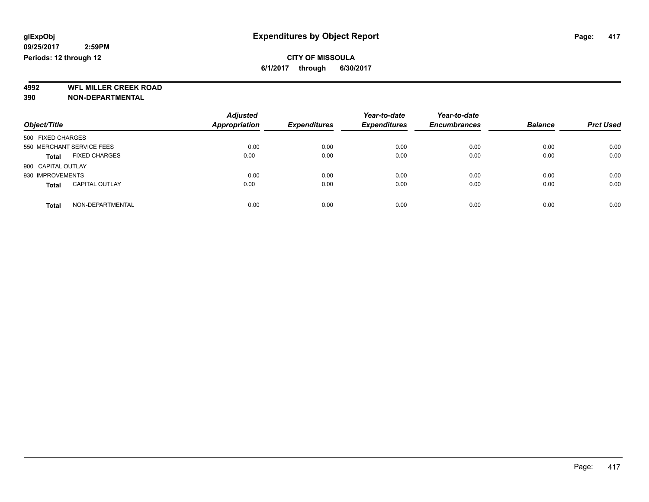**4992 WFL MILLER CREEK ROAD 390 NON-DEPARTMENTAL**

| Object/Title                          | <b>Adjusted</b><br><b>Appropriation</b> | <b>Expenditures</b> | Year-to-date<br><b>Expenditures</b> | Year-to-date<br><b>Encumbrances</b> | <b>Balance</b> | <b>Prct Used</b> |
|---------------------------------------|-----------------------------------------|---------------------|-------------------------------------|-------------------------------------|----------------|------------------|
| 500 FIXED CHARGES                     |                                         |                     |                                     |                                     |                |                  |
| 550 MERCHANT SERVICE FEES             | 0.00                                    | 0.00                | 0.00                                | 0.00                                | 0.00           | 0.00             |
| <b>FIXED CHARGES</b><br><b>Total</b>  | 0.00                                    | 0.00                | 0.00                                | 0.00                                | 0.00           | 0.00             |
| 900 CAPITAL OUTLAY                    |                                         |                     |                                     |                                     |                |                  |
| 930 IMPROVEMENTS                      | 0.00                                    | 0.00                | 0.00                                | 0.00                                | 0.00           | 0.00             |
| <b>CAPITAL OUTLAY</b><br><b>Total</b> | 0.00                                    | 0.00                | 0.00                                | 0.00                                | 0.00           | 0.00             |
| NON-DEPARTMENTAL<br>Total             | 0.00                                    | 0.00                | 0.00                                | 0.00                                | 0.00           | 0.00             |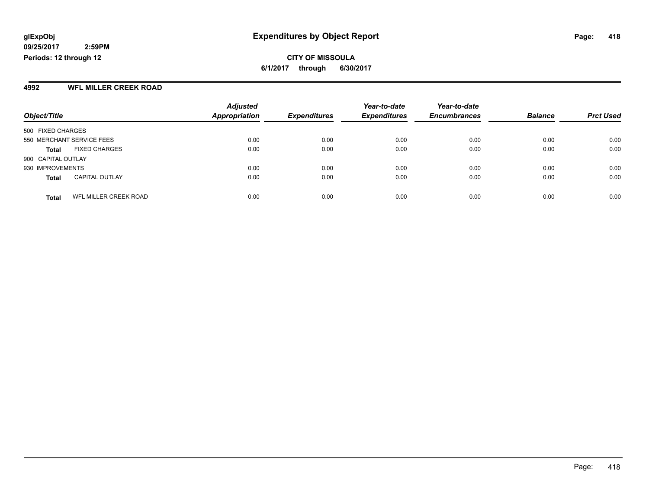#### **CITY OF MISSOULA 6/1/2017 through 6/30/2017**

#### **4992 WFL MILLER CREEK ROAD**

| Object/Title                          | <b>Adjusted</b><br><b>Appropriation</b> | <b>Expenditures</b> | Year-to-date<br><b>Expenditures</b> | Year-to-date<br><b>Encumbrances</b> | <b>Balance</b> | <b>Prct Used</b> |
|---------------------------------------|-----------------------------------------|---------------------|-------------------------------------|-------------------------------------|----------------|------------------|
| 500 FIXED CHARGES                     |                                         |                     |                                     |                                     |                |                  |
|                                       |                                         |                     |                                     |                                     |                |                  |
| 550 MERCHANT SERVICE FEES             | 0.00                                    | 0.00                | 0.00                                | 0.00                                | 0.00           | 0.00             |
| <b>FIXED CHARGES</b><br>Total         | 0.00                                    | 0.00                | 0.00                                | 0.00                                | 0.00           | 0.00             |
| 900 CAPITAL OUTLAY                    |                                         |                     |                                     |                                     |                |                  |
| 930 IMPROVEMENTS                      | 0.00                                    | 0.00                | 0.00                                | 0.00                                | 0.00           | 0.00             |
| <b>CAPITAL OUTLAY</b><br><b>Total</b> | 0.00                                    | 0.00                | 0.00                                | 0.00                                | 0.00           | 0.00             |
|                                       |                                         |                     |                                     |                                     |                |                  |
| WFL MILLER CREEK ROAD<br><b>Total</b> | 0.00                                    | 0.00                | 0.00                                | 0.00                                | 0.00           | 0.00             |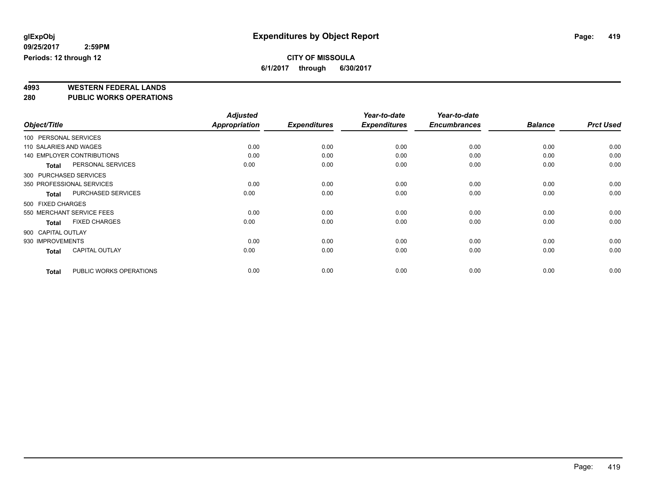# **4993 WESTERN FEDERAL LANDS**

**280 PUBLIC WORKS OPERATIONS**

|                        |                                   | <b>Adjusted</b> |                     | Year-to-date        | Year-to-date        |                |                  |
|------------------------|-----------------------------------|-----------------|---------------------|---------------------|---------------------|----------------|------------------|
| Object/Title           |                                   | Appropriation   | <b>Expenditures</b> | <b>Expenditures</b> | <b>Encumbrances</b> | <b>Balance</b> | <b>Prct Used</b> |
| 100 PERSONAL SERVICES  |                                   |                 |                     |                     |                     |                |                  |
| 110 SALARIES AND WAGES |                                   | 0.00            | 0.00                | 0.00                | 0.00                | 0.00           | 0.00             |
|                        | <b>140 EMPLOYER CONTRIBUTIONS</b> | 0.00            | 0.00                | 0.00                | 0.00                | 0.00           | 0.00             |
| <b>Total</b>           | PERSONAL SERVICES                 | 0.00            | 0.00                | 0.00                | 0.00                | 0.00           | 0.00             |
| 300 PURCHASED SERVICES |                                   |                 |                     |                     |                     |                |                  |
|                        | 350 PROFESSIONAL SERVICES         | 0.00            | 0.00                | 0.00                | 0.00                | 0.00           | 0.00             |
| <b>Total</b>           | PURCHASED SERVICES                | 0.00            | 0.00                | 0.00                | 0.00                | 0.00           | 0.00             |
| 500 FIXED CHARGES      |                                   |                 |                     |                     |                     |                |                  |
|                        | 550 MERCHANT SERVICE FEES         | 0.00            | 0.00                | 0.00                | 0.00                | 0.00           | 0.00             |
| <b>Total</b>           | <b>FIXED CHARGES</b>              | 0.00            | 0.00                | 0.00                | 0.00                | 0.00           | 0.00             |
| 900 CAPITAL OUTLAY     |                                   |                 |                     |                     |                     |                |                  |
| 930 IMPROVEMENTS       |                                   | 0.00            | 0.00                | 0.00                | 0.00                | 0.00           | 0.00             |
| <b>Total</b>           | CAPITAL OUTLAY                    | 0.00            | 0.00                | 0.00                | 0.00                | 0.00           | 0.00             |
| <b>Total</b>           | PUBLIC WORKS OPERATIONS           | 0.00            | 0.00                | 0.00                | 0.00                | 0.00           | 0.00             |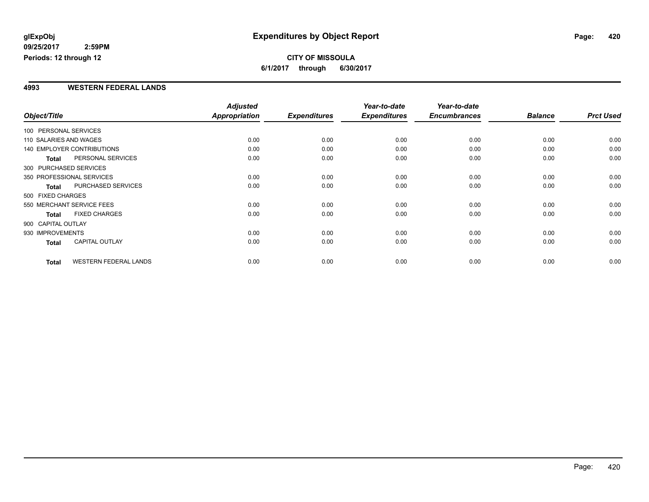#### **CITY OF MISSOULA 6/1/2017 through 6/30/2017**

#### **4993 WESTERN FEDERAL LANDS**

|                       |                                   | <b>Adjusted</b>      |                     | Year-to-date        | Year-to-date        |                |                  |
|-----------------------|-----------------------------------|----------------------|---------------------|---------------------|---------------------|----------------|------------------|
| Object/Title          |                                   | <b>Appropriation</b> | <b>Expenditures</b> | <b>Expenditures</b> | <b>Encumbrances</b> | <b>Balance</b> | <b>Prct Used</b> |
| 100 PERSONAL SERVICES |                                   |                      |                     |                     |                     |                |                  |
|                       | 110 SALARIES AND WAGES            | 0.00                 | 0.00                | 0.00                | 0.00                | 0.00           | 0.00             |
|                       | <b>140 EMPLOYER CONTRIBUTIONS</b> | 0.00                 | 0.00                | 0.00                | 0.00                | 0.00           | 0.00             |
| <b>Total</b>          | PERSONAL SERVICES                 | 0.00                 | 0.00                | 0.00                | 0.00                | 0.00           | 0.00             |
|                       | 300 PURCHASED SERVICES            |                      |                     |                     |                     |                |                  |
|                       | 350 PROFESSIONAL SERVICES         | 0.00                 | 0.00                | 0.00                | 0.00                | 0.00           | 0.00             |
| <b>Total</b>          | PURCHASED SERVICES                | 0.00                 | 0.00                | 0.00                | 0.00                | 0.00           | 0.00             |
| 500 FIXED CHARGES     |                                   |                      |                     |                     |                     |                |                  |
|                       | 550 MERCHANT SERVICE FEES         | 0.00                 | 0.00                | 0.00                | 0.00                | 0.00           | 0.00             |
| <b>Total</b>          | <b>FIXED CHARGES</b>              | 0.00                 | 0.00                | 0.00                | 0.00                | 0.00           | 0.00             |
| 900 CAPITAL OUTLAY    |                                   |                      |                     |                     |                     |                |                  |
| 930 IMPROVEMENTS      |                                   | 0.00                 | 0.00                | 0.00                | 0.00                | 0.00           | 0.00             |
| <b>Total</b>          | <b>CAPITAL OUTLAY</b>             | 0.00                 | 0.00                | 0.00                | 0.00                | 0.00           | 0.00             |
| <b>Total</b>          | <b>WESTERN FEDERAL LANDS</b>      | 0.00                 | 0.00                | 0.00                | 0.00                | 0.00           | 0.00             |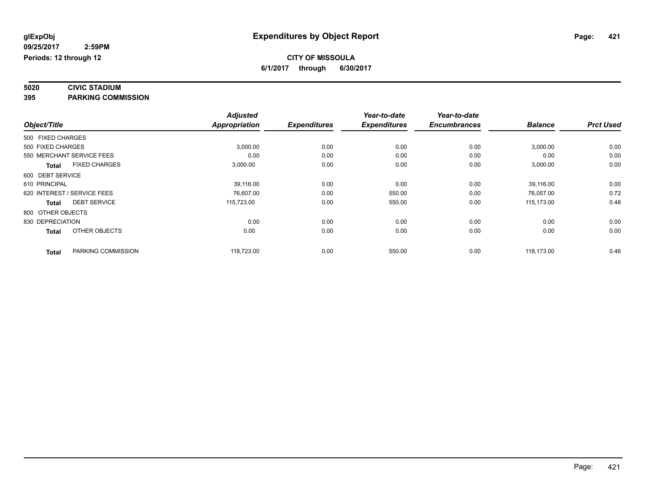# **5020 CIVIC STADIUM**

**395 PARKING COMMISSION**

|                   |                             | <b>Adjusted</b>      |                     | Year-to-date        | Year-to-date        |                |                  |
|-------------------|-----------------------------|----------------------|---------------------|---------------------|---------------------|----------------|------------------|
| Object/Title      |                             | <b>Appropriation</b> | <b>Expenditures</b> | <b>Expenditures</b> | <b>Encumbrances</b> | <b>Balance</b> | <b>Prct Used</b> |
| 500 FIXED CHARGES |                             |                      |                     |                     |                     |                |                  |
| 500 FIXED CHARGES |                             | 3,000.00             | 0.00                | 0.00                | 0.00                | 3,000.00       | 0.00             |
|                   | 550 MERCHANT SERVICE FEES   | 0.00                 | 0.00                | 0.00                | 0.00                | 0.00           | 0.00             |
| <b>Total</b>      | <b>FIXED CHARGES</b>        | 3,000.00             | 0.00                | 0.00                | 0.00                | 3,000.00       | 0.00             |
| 600 DEBT SERVICE  |                             |                      |                     |                     |                     |                |                  |
| 610 PRINCIPAL     |                             | 39,116.00            | 0.00                | 0.00                | 0.00                | 39,116.00      | 0.00             |
|                   | 620 INTEREST / SERVICE FEES | 76,607.00            | 0.00                | 550.00              | 0.00                | 76,057.00      | 0.72             |
| <b>Total</b>      | <b>DEBT SERVICE</b>         | 115,723.00           | 0.00                | 550.00              | 0.00                | 115.173.00     | 0.48             |
| 800 OTHER OBJECTS |                             |                      |                     |                     |                     |                |                  |
| 830 DEPRECIATION  |                             | 0.00                 | 0.00                | 0.00                | 0.00                | 0.00           | 0.00             |
| <b>Total</b>      | OTHER OBJECTS               | 0.00                 | 0.00                | 0.00                | 0.00                | 0.00           | 0.00             |
| <b>Total</b>      | PARKING COMMISSION          | 118,723.00           | 0.00                | 550.00              | 0.00                | 118,173.00     | 0.46             |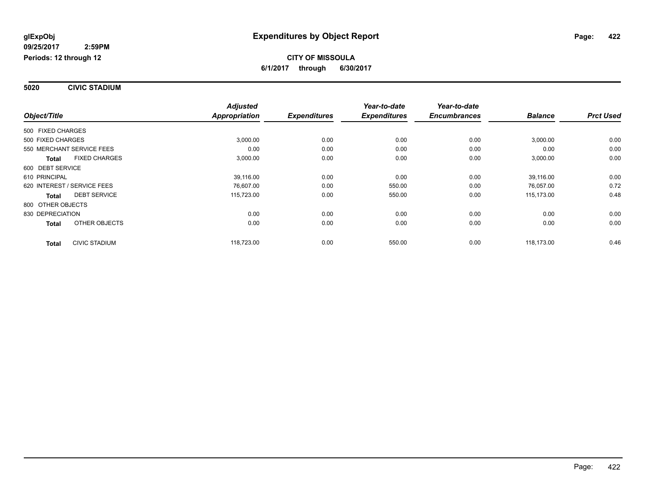#### **5020 CIVIC STADIUM**

|                                      | <b>Adjusted</b>      |                     | Year-to-date        | Year-to-date        |                |                  |
|--------------------------------------|----------------------|---------------------|---------------------|---------------------|----------------|------------------|
| Object/Title                         | <b>Appropriation</b> | <b>Expenditures</b> | <b>Expenditures</b> | <b>Encumbrances</b> | <b>Balance</b> | <b>Prct Used</b> |
| 500 FIXED CHARGES                    |                      |                     |                     |                     |                |                  |
| 500 FIXED CHARGES                    | 3,000.00             | 0.00                | 0.00                | 0.00                | 3,000.00       | 0.00             |
| 550 MERCHANT SERVICE FEES            | 0.00                 | 0.00                | 0.00                | 0.00                | 0.00           | 0.00             |
| <b>FIXED CHARGES</b><br><b>Total</b> | 3,000.00             | 0.00                | 0.00                | 0.00                | 3,000.00       | 0.00             |
| 600 DEBT SERVICE                     |                      |                     |                     |                     |                |                  |
| 610 PRINCIPAL                        | 39.116.00            | 0.00                | 0.00                | 0.00                | 39,116.00      | 0.00             |
| 620 INTEREST / SERVICE FEES          | 76,607.00            | 0.00                | 550.00              | 0.00                | 76,057.00      | 0.72             |
| <b>DEBT SERVICE</b><br><b>Total</b>  | 115,723.00           | 0.00                | 550.00              | 0.00                | 115,173.00     | 0.48             |
| 800 OTHER OBJECTS                    |                      |                     |                     |                     |                |                  |
| 830 DEPRECIATION                     | 0.00                 | 0.00                | 0.00                | 0.00                | 0.00           | 0.00             |
| <b>OTHER OBJECTS</b><br><b>Total</b> | 0.00                 | 0.00                | 0.00                | 0.00                | 0.00           | 0.00             |
| <b>CIVIC STADIUM</b><br><b>Total</b> | 118,723.00           | 0.00                | 550.00              | 0.00                | 118.173.00     | 0.46             |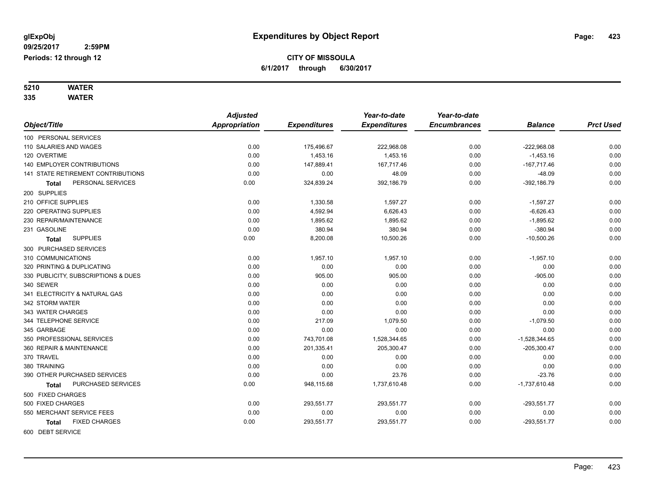# **5210 WATER**

**335 WATER**

|                                      | <b>Adjusted</b>      |                     | Year-to-date        | Year-to-date        |                 |                  |
|--------------------------------------|----------------------|---------------------|---------------------|---------------------|-----------------|------------------|
| Object/Title                         | <b>Appropriation</b> | <b>Expenditures</b> | <b>Expenditures</b> | <b>Encumbrances</b> | <b>Balance</b>  | <b>Prct Used</b> |
| 100 PERSONAL SERVICES                |                      |                     |                     |                     |                 |                  |
| 110 SALARIES AND WAGES               | 0.00                 | 175,496.67          | 222,968.08          | 0.00                | $-222,968.08$   | 0.00             |
| 120 OVERTIME                         | 0.00                 | 1,453.16            | 1,453.16            | 0.00                | $-1,453.16$     | 0.00             |
| <b>140 EMPLOYER CONTRIBUTIONS</b>    | 0.00                 | 147,889.41          | 167,717.46          | 0.00                | $-167,717.46$   | 0.00             |
| 141 STATE RETIREMENT CONTRIBUTIONS   | 0.00                 | 0.00                | 48.09               | 0.00                | $-48.09$        | 0.00             |
| PERSONAL SERVICES<br>Total           | 0.00                 | 324,839.24          | 392,186.79          | 0.00                | $-392,186.79$   | 0.00             |
| 200 SUPPLIES                         |                      |                     |                     |                     |                 |                  |
| 210 OFFICE SUPPLIES                  | 0.00                 | 1,330.58            | 1,597.27            | 0.00                | $-1,597.27$     | 0.00             |
| 220 OPERATING SUPPLIES               | 0.00                 | 4,592.94            | 6,626.43            | 0.00                | $-6,626.43$     | 0.00             |
| 230 REPAIR/MAINTENANCE               | 0.00                 | 1,895.62            | 1,895.62            | 0.00                | $-1,895.62$     | 0.00             |
| 231 GASOLINE                         | 0.00                 | 380.94              | 380.94              | 0.00                | $-380.94$       | 0.00             |
| <b>SUPPLIES</b><br><b>Total</b>      | 0.00                 | 8,200.08            | 10,500.26           | 0.00                | $-10,500.26$    | 0.00             |
| 300 PURCHASED SERVICES               |                      |                     |                     |                     |                 |                  |
| 310 COMMUNICATIONS                   | 0.00                 | 1,957.10            | 1,957.10            | 0.00                | $-1,957.10$     | 0.00             |
| 320 PRINTING & DUPLICATING           | 0.00                 | 0.00                | 0.00                | 0.00                | 0.00            | 0.00             |
| 330 PUBLICITY, SUBSCRIPTIONS & DUES  | 0.00                 | 905.00              | 905.00              | 0.00                | $-905.00$       | 0.00             |
| 340 SEWER                            | 0.00                 | 0.00                | 0.00                | 0.00                | 0.00            | 0.00             |
| 341 ELECTRICITY & NATURAL GAS        | 0.00                 | 0.00                | 0.00                | 0.00                | 0.00            | 0.00             |
| 342 STORM WATER                      | 0.00                 | 0.00                | 0.00                | 0.00                | 0.00            | 0.00             |
| 343 WATER CHARGES                    | 0.00                 | 0.00                | 0.00                | 0.00                | 0.00            | 0.00             |
| 344 TELEPHONE SERVICE                | 0.00                 | 217.09              | 1,079.50            | 0.00                | $-1,079.50$     | 0.00             |
| 345 GARBAGE                          | 0.00                 | 0.00                | 0.00                | 0.00                | 0.00            | 0.00             |
| 350 PROFESSIONAL SERVICES            | 0.00                 | 743,701.08          | 1,528,344.65        | 0.00                | $-1,528,344.65$ | 0.00             |
| 360 REPAIR & MAINTENANCE             | 0.00                 | 201,335.41          | 205,300.47          | 0.00                | $-205,300.47$   | 0.00             |
| 370 TRAVEL                           | 0.00                 | 0.00                | 0.00                | 0.00                | 0.00            | 0.00             |
| 380 TRAINING                         | 0.00                 | 0.00                | 0.00                | 0.00                | 0.00            | 0.00             |
| 390 OTHER PURCHASED SERVICES         | 0.00                 | 0.00                | 23.76               | 0.00                | $-23.76$        | 0.00             |
| PURCHASED SERVICES<br>Total          | 0.00                 | 948,115.68          | 1,737,610.48        | 0.00                | $-1,737,610.48$ | 0.00             |
| 500 FIXED CHARGES                    |                      |                     |                     |                     |                 |                  |
| 500 FIXED CHARGES                    | 0.00                 | 293,551.77          | 293,551.77          | 0.00                | $-293,551.77$   | 0.00             |
| 550 MERCHANT SERVICE FEES            | 0.00                 | 0.00                | 0.00                | 0.00                | 0.00            | 0.00             |
| <b>FIXED CHARGES</b><br><b>Total</b> | 0.00                 | 293,551.77          | 293,551.77          | 0.00                | $-293,551.77$   | 0.00             |
| 600 DEBT SERVICE                     |                      |                     |                     |                     |                 |                  |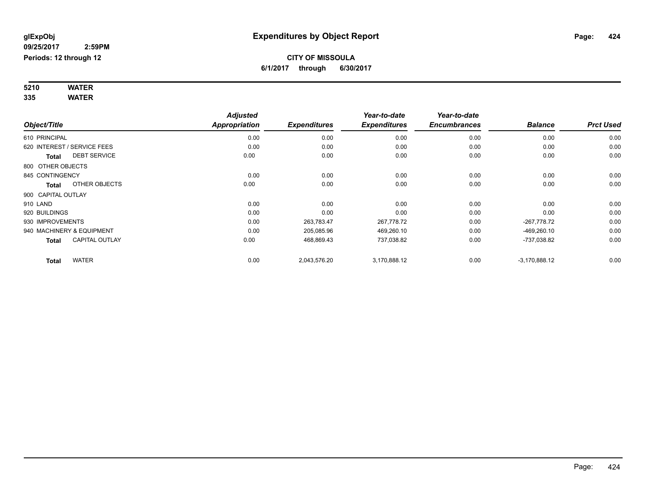#### **5210 WATER 335 WATER**

|                             |                       | <b>Adjusted</b>      |                     | Year-to-date        | Year-to-date        |                 |                  |
|-----------------------------|-----------------------|----------------------|---------------------|---------------------|---------------------|-----------------|------------------|
| Object/Title                |                       | <b>Appropriation</b> | <b>Expenditures</b> | <b>Expenditures</b> | <b>Encumbrances</b> | <b>Balance</b>  | <b>Prct Used</b> |
| 610 PRINCIPAL               |                       | 0.00                 | 0.00                | 0.00                | 0.00                | 0.00            | 0.00             |
| 620 INTEREST / SERVICE FEES |                       | 0.00                 | 0.00                | 0.00                | 0.00                | 0.00            | 0.00             |
| <b>Total</b>                | <b>DEBT SERVICE</b>   | 0.00                 | 0.00                | 0.00                | 0.00                | 0.00            | 0.00             |
| 800 OTHER OBJECTS           |                       |                      |                     |                     |                     |                 |                  |
| 845 CONTINGENCY             |                       | 0.00                 | 0.00                | 0.00                | 0.00                | 0.00            | 0.00             |
| Total                       | OTHER OBJECTS         | 0.00                 | 0.00                | 0.00                | 0.00                | 0.00            | 0.00             |
| 900 CAPITAL OUTLAY          |                       |                      |                     |                     |                     |                 |                  |
| 910 LAND                    |                       | 0.00                 | 0.00                | 0.00                | 0.00                | 0.00            | 0.00             |
| 920 BUILDINGS               |                       | 0.00                 | 0.00                | 0.00                | 0.00                | 0.00            | 0.00             |
| 930 IMPROVEMENTS            |                       | 0.00                 | 263,783.47          | 267,778.72          | 0.00                | -267,778.72     | 0.00             |
| 940 MACHINERY & EQUIPMENT   |                       | 0.00                 | 205,085.96          | 469,260.10          | 0.00                | $-469,260.10$   | 0.00             |
| <b>Total</b>                | <b>CAPITAL OUTLAY</b> | 0.00                 | 468,869.43          | 737,038.82          | 0.00                | -737,038.82     | 0.00             |
| Total                       | <b>WATER</b>          | 0.00                 | 2,043,576.20        | 3,170,888.12        | 0.00                | $-3,170,888.12$ | 0.00             |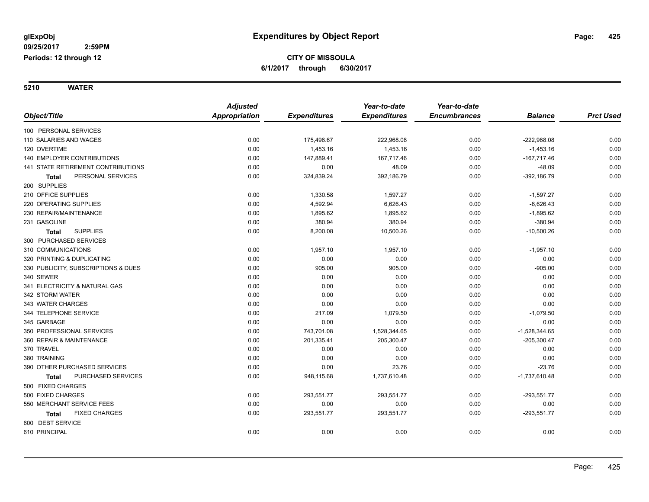**5210 WATER**

|                                     | <b>Adjusted</b>      |                     | Year-to-date        | Year-to-date        |                 |                  |
|-------------------------------------|----------------------|---------------------|---------------------|---------------------|-----------------|------------------|
| Object/Title                        | <b>Appropriation</b> | <b>Expenditures</b> | <b>Expenditures</b> | <b>Encumbrances</b> | <b>Balance</b>  | <b>Prct Used</b> |
| 100 PERSONAL SERVICES               |                      |                     |                     |                     |                 |                  |
| 110 SALARIES AND WAGES              | 0.00                 | 175,496.67          | 222,968.08          | 0.00                | $-222,968.08$   | 0.00             |
| 120 OVERTIME                        | 0.00                 | 1,453.16            | 1,453.16            | 0.00                | $-1,453.16$     | 0.00             |
| 140 EMPLOYER CONTRIBUTIONS          | 0.00                 | 147,889.41          | 167,717.46          | 0.00                | $-167,717.46$   | 0.00             |
| 141 STATE RETIREMENT CONTRIBUTIONS  | 0.00                 | 0.00                | 48.09               | 0.00                | $-48.09$        | 0.00             |
| PERSONAL SERVICES<br><b>Total</b>   | 0.00                 | 324,839.24          | 392,186.79          | 0.00                | $-392, 186.79$  | 0.00             |
| 200 SUPPLIES                        |                      |                     |                     |                     |                 |                  |
| 210 OFFICE SUPPLIES                 | 0.00                 | 1,330.58            | 1,597.27            | 0.00                | $-1,597.27$     | 0.00             |
| 220 OPERATING SUPPLIES              | 0.00                 | 4,592.94            | 6,626.43            | 0.00                | $-6,626.43$     | 0.00             |
| 230 REPAIR/MAINTENANCE              | 0.00                 | 1,895.62            | 1,895.62            | 0.00                | $-1,895.62$     | 0.00             |
| 231 GASOLINE                        | 0.00                 | 380.94              | 380.94              | 0.00                | $-380.94$       | 0.00             |
| <b>SUPPLIES</b><br><b>Total</b>     | 0.00                 | 8,200.08            | 10,500.26           | 0.00                | $-10,500.26$    | 0.00             |
| 300 PURCHASED SERVICES              |                      |                     |                     |                     |                 |                  |
| 310 COMMUNICATIONS                  | 0.00                 | 1,957.10            | 1,957.10            | 0.00                | $-1,957.10$     | 0.00             |
| 320 PRINTING & DUPLICATING          | 0.00                 | 0.00                | 0.00                | 0.00                | 0.00            | 0.00             |
| 330 PUBLICITY, SUBSCRIPTIONS & DUES | 0.00                 | 905.00              | 905.00              | 0.00                | $-905.00$       | 0.00             |
| 340 SEWER                           | 0.00                 | 0.00                | 0.00                | 0.00                | 0.00            | 0.00             |
| 341 ELECTRICITY & NATURAL GAS       | 0.00                 | 0.00                | 0.00                | 0.00                | 0.00            | 0.00             |
| 342 STORM WATER                     | 0.00                 | 0.00                | 0.00                | 0.00                | 0.00            | 0.00             |
| 343 WATER CHARGES                   | 0.00                 | 0.00                | 0.00                | 0.00                | 0.00            | 0.00             |
| 344 TELEPHONE SERVICE               | 0.00                 | 217.09              | 1,079.50            | 0.00                | $-1,079.50$     | 0.00             |
| 345 GARBAGE                         | 0.00                 | 0.00                | 0.00                | 0.00                | 0.00            | 0.00             |
| 350 PROFESSIONAL SERVICES           | 0.00                 | 743,701.08          | 1,528,344.65        | 0.00                | $-1,528,344.65$ | 0.00             |
| 360 REPAIR & MAINTENANCE            | 0.00                 | 201,335.41          | 205,300.47          | 0.00                | $-205,300.47$   | 0.00             |
| 370 TRAVEL                          | 0.00                 | 0.00                | 0.00                | 0.00                | 0.00            | 0.00             |
| 380 TRAINING                        | 0.00                 | 0.00                | 0.00                | 0.00                | 0.00            | 0.00             |
| 390 OTHER PURCHASED SERVICES        | 0.00                 | 0.00                | 23.76               | 0.00                | $-23.76$        | 0.00             |
| PURCHASED SERVICES<br>Total         | 0.00                 | 948,115.68          | 1,737,610.48        | 0.00                | $-1,737,610.48$ | 0.00             |
| 500 FIXED CHARGES                   |                      |                     |                     |                     |                 |                  |
| 500 FIXED CHARGES                   | 0.00                 | 293,551.77          | 293,551.77          | 0.00                | $-293,551.77$   | 0.00             |
| 550 MERCHANT SERVICE FEES           | 0.00                 | 0.00                | 0.00                | 0.00                | 0.00            | 0.00             |
| <b>FIXED CHARGES</b><br>Total       | 0.00                 | 293,551.77          | 293,551.77          | 0.00                | $-293,551.77$   | 0.00             |
| 600 DEBT SERVICE                    |                      |                     |                     |                     |                 |                  |
| 610 PRINCIPAL                       | 0.00                 | 0.00                | 0.00                | 0.00                | 0.00            | 0.00             |
|                                     |                      |                     |                     |                     |                 |                  |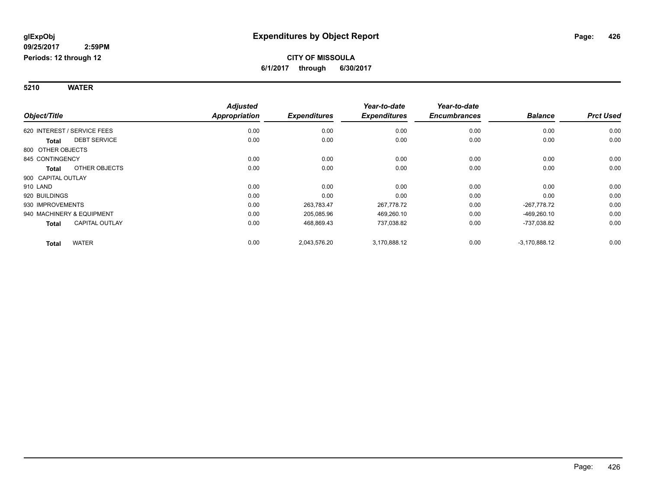#### **5210 WATER**

|                                       | <b>Adjusted</b> |                     | Year-to-date        | Year-to-date        |                 |                  |
|---------------------------------------|-----------------|---------------------|---------------------|---------------------|-----------------|------------------|
| Object/Title                          | Appropriation   | <b>Expenditures</b> | <b>Expenditures</b> | <b>Encumbrances</b> | <b>Balance</b>  | <b>Prct Used</b> |
| 620 INTEREST / SERVICE FEES           | 0.00            | 0.00                | 0.00                | 0.00                | 0.00            | 0.00             |
| <b>DEBT SERVICE</b><br><b>Total</b>   | 0.00            | 0.00                | 0.00                | 0.00                | 0.00            | 0.00             |
| 800 OTHER OBJECTS                     |                 |                     |                     |                     |                 |                  |
| 845 CONTINGENCY                       | 0.00            | 0.00                | 0.00                | 0.00                | 0.00            | 0.00             |
| OTHER OBJECTS<br><b>Total</b>         | 0.00            | 0.00                | 0.00                | 0.00                | 0.00            | 0.00             |
| 900 CAPITAL OUTLAY                    |                 |                     |                     |                     |                 |                  |
| 910 LAND                              | 0.00            | 0.00                | 0.00                | 0.00                | 0.00            | 0.00             |
| 920 BUILDINGS                         | 0.00            | 0.00                | 0.00                | 0.00                | 0.00            | 0.00             |
| 930 IMPROVEMENTS                      | 0.00            | 263,783.47          | 267,778.72          | 0.00                | -267.778.72     | 0.00             |
| 940 MACHINERY & EQUIPMENT             | 0.00            | 205,085.96          | 469,260.10          | 0.00                | $-469,260.10$   | 0.00             |
| <b>CAPITAL OUTLAY</b><br><b>Total</b> | 0.00            | 468,869.43          | 737,038.82          | 0.00                | -737,038.82     | 0.00             |
| <b>WATER</b><br><b>Total</b>          | 0.00            | 2,043,576.20        | 3,170,888.12        | 0.00                | $-3,170,888.12$ | 0.00             |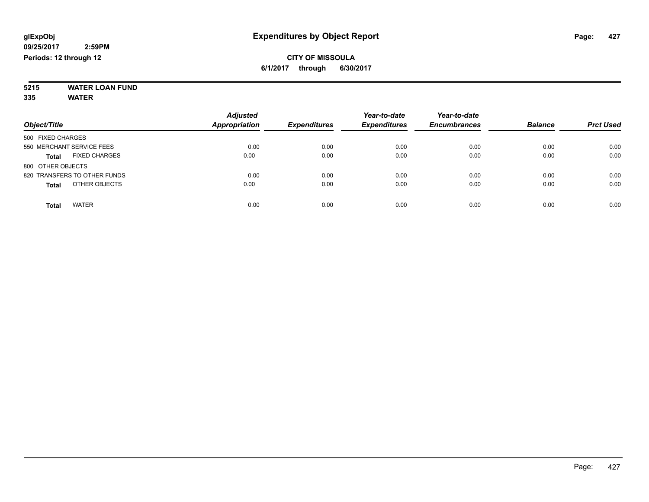#### **5215 WATER LOAN FUND 335 WATER**

|                                      | <b>Adjusted</b>      |                     | Year-to-date        | Year-to-date        |                |                  |
|--------------------------------------|----------------------|---------------------|---------------------|---------------------|----------------|------------------|
| Object/Title                         | <b>Appropriation</b> | <b>Expenditures</b> | <b>Expenditures</b> | <b>Encumbrances</b> | <b>Balance</b> | <b>Prct Used</b> |
| 500 FIXED CHARGES                    |                      |                     |                     |                     |                |                  |
| 550 MERCHANT SERVICE FEES            | 0.00                 | 0.00                | 0.00                | 0.00                | 0.00           | 0.00             |
| <b>FIXED CHARGES</b><br><b>Total</b> | 0.00                 | 0.00                | 0.00                | 0.00                | 0.00           | 0.00             |
| 800 OTHER OBJECTS                    |                      |                     |                     |                     |                |                  |
| 820 TRANSFERS TO OTHER FUNDS         | 0.00                 | 0.00                | 0.00                | 0.00                | 0.00           | 0.00             |
| OTHER OBJECTS<br><b>Total</b>        | 0.00                 | 0.00                | 0.00                | 0.00                | 0.00           | 0.00             |
| <b>WATER</b><br>Total                | 0.00                 | 0.00                | 0.00                | 0.00                | 0.00           | 0.00             |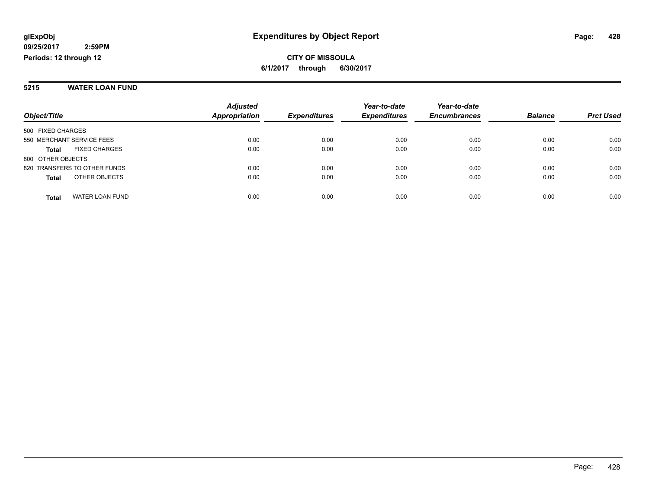#### **5215 WATER LOAN FUND**

|                                      | <b>Adjusted</b>      |                     | Year-to-date        | Year-to-date        |                |                  |
|--------------------------------------|----------------------|---------------------|---------------------|---------------------|----------------|------------------|
| Object/Title                         | <b>Appropriation</b> | <b>Expenditures</b> | <b>Expenditures</b> | <b>Encumbrances</b> | <b>Balance</b> | <b>Prct Used</b> |
| 500 FIXED CHARGES                    |                      |                     |                     |                     |                |                  |
| 550 MERCHANT SERVICE FEES            | 0.00                 | 0.00                | 0.00                | 0.00                | 0.00           | 0.00             |
| <b>FIXED CHARGES</b><br><b>Total</b> | 0.00                 | 0.00                | 0.00                | 0.00                | 0.00           | 0.00             |
| 800 OTHER OBJECTS                    |                      |                     |                     |                     |                |                  |
| 820 TRANSFERS TO OTHER FUNDS         | 0.00                 | 0.00                | 0.00                | 0.00                | 0.00           | 0.00             |
| OTHER OBJECTS<br><b>Total</b>        | 0.00                 | 0.00                | 0.00                | 0.00                | 0.00           | 0.00             |
| WATER LOAN FUND<br><b>Total</b>      | 0.00                 | 0.00                | 0.00                | 0.00                | 0.00           | 0.00             |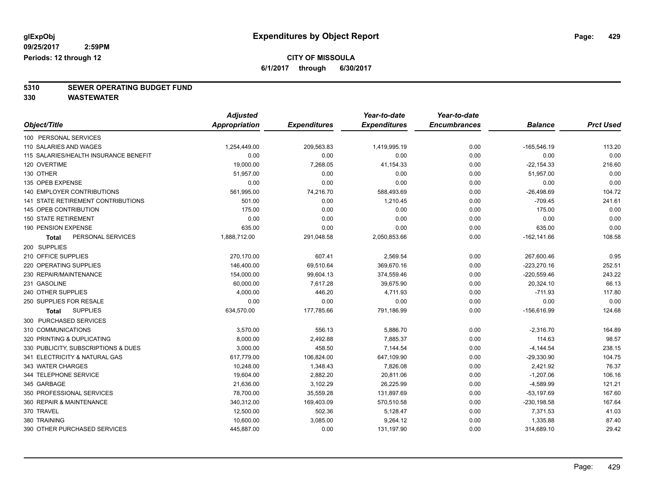### **CITY OF MISSOULA**

**6/1/2017 through 6/30/2017**

# **5310 SEWER OPERATING BUDGET FUND**

**330 WASTEWATER**

|                                           | <b>Adjusted</b>      |                     | Year-to-date        | Year-to-date        |                |                  |
|-------------------------------------------|----------------------|---------------------|---------------------|---------------------|----------------|------------------|
| Object/Title                              | <b>Appropriation</b> | <b>Expenditures</b> | <b>Expenditures</b> | <b>Encumbrances</b> | <b>Balance</b> | <b>Prct Used</b> |
| 100 PERSONAL SERVICES                     |                      |                     |                     |                     |                |                  |
| 110 SALARIES AND WAGES                    | 1,254,449.00         | 209,563.83          | 1,419,995.19        | 0.00                | $-165,546.19$  | 113.20           |
| 115 SALARIES/HEALTH INSURANCE BENEFIT     | 0.00                 | 0.00                | 0.00                | 0.00                | 0.00           | 0.00             |
| 120 OVERTIME                              | 19,000.00            | 7,268.05            | 41,154.33           | 0.00                | $-22, 154.33$  | 216.60           |
| 130 OTHER                                 | 51,957.00            | 0.00                | 0.00                | 0.00                | 51,957.00      | 0.00             |
| 135 OPEB EXPENSE                          | 0.00                 | 0.00                | 0.00                | 0.00                | 0.00           | 0.00             |
| <b>140 EMPLOYER CONTRIBUTIONS</b>         | 561,995.00           | 74,216.70           | 588,493.69          | 0.00                | $-26,498.69$   | 104.72           |
| <b>141 STATE RETIREMENT CONTRIBUTIONS</b> | 501.00               | 0.00                | 1,210.45            | 0.00                | $-709.45$      | 241.61           |
| 145 OPEB CONTRIBUTION                     | 175.00               | 0.00                | 0.00                | 0.00                | 175.00         | 0.00             |
| <b>150 STATE RETIREMENT</b>               | 0.00                 | 0.00                | 0.00                | 0.00                | 0.00           | 0.00             |
| 190 PENSION EXPENSE                       | 635.00               | 0.00                | 0.00                | 0.00                | 635.00         | 0.00             |
| PERSONAL SERVICES<br>Total                | 1,888,712.00         | 291,048.58          | 2,050,853.66        | 0.00                | $-162, 141.66$ | 108.58           |
| 200 SUPPLIES                              |                      |                     |                     |                     |                |                  |
| 210 OFFICE SUPPLIES                       | 270,170.00           | 607.41              | 2,569.54            | 0.00                | 267,600.46     | 0.95             |
| 220 OPERATING SUPPLIES                    | 146,400.00           | 69,510.64           | 369,670.16          | 0.00                | $-223,270.16$  | 252.51           |
| 230 REPAIR/MAINTENANCE                    | 154,000.00           | 99,604.13           | 374,559.46          | 0.00                | $-220,559.46$  | 243.22           |
| 231 GASOLINE                              | 60,000.00            | 7,617.28            | 39,675.90           | 0.00                | 20,324.10      | 66.13            |
| 240 OTHER SUPPLIES                        | 4,000.00             | 446.20              | 4,711.93            | 0.00                | $-711.93$      | 117.80           |
| 250 SUPPLIES FOR RESALE                   | 0.00                 | 0.00                | 0.00                | 0.00                | 0.00           | 0.00             |
| <b>SUPPLIES</b><br>Total                  | 634,570.00           | 177,785.66          | 791,186.99          | 0.00                | $-156,616.99$  | 124.68           |
| 300 PURCHASED SERVICES                    |                      |                     |                     |                     |                |                  |
| 310 COMMUNICATIONS                        | 3,570.00             | 556.13              | 5,886.70            | 0.00                | $-2,316.70$    | 164.89           |
| 320 PRINTING & DUPLICATING                | 8,000.00             | 2,492.88            | 7,885.37            | 0.00                | 114.63         | 98.57            |
| 330 PUBLICITY, SUBSCRIPTIONS & DUES       | 3,000.00             | 458.50              | 7,144.54            | 0.00                | $-4,144.54$    | 238.15           |
| 341 ELECTRICITY & NATURAL GAS             | 617,779.00           | 106,824.00          | 647,109.90          | 0.00                | $-29,330.90$   | 104.75           |
| 343 WATER CHARGES                         | 10,248.00            | 1,348.43            | 7,826.08            | 0.00                | 2,421.92       | 76.37            |
| 344 TELEPHONE SERVICE                     | 19,604.00            | 2,882.20            | 20,811.06           | 0.00                | $-1,207.06$    | 106.16           |
| 345 GARBAGE                               | 21,636.00            | 3,102.29            | 26,225.99           | 0.00                | $-4,589.99$    | 121.21           |
| 350 PROFESSIONAL SERVICES                 | 78,700.00            | 35,559.28           | 131,897.69          | 0.00                | $-53, 197.69$  | 167.60           |
| 360 REPAIR & MAINTENANCE                  | 340,312.00           | 169,403.09          | 570,510.58          | 0.00                | $-230, 198.58$ | 167.64           |
| 370 TRAVEL                                | 12,500.00            | 502.36              | 5,128.47            | 0.00                | 7,371.53       | 41.03            |
| 380 TRAINING                              | 10,600.00            | 3,085.00            | 9,264.12            | 0.00                | 1,335.88       | 87.40            |
| 390 OTHER PURCHASED SERVICES              | 445,887.00           | 0.00                | 131,197.90          | 0.00                | 314,689.10     | 29.42            |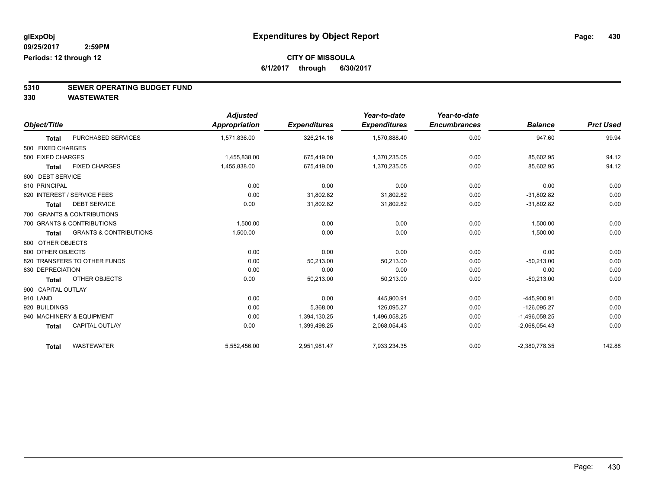### **CITY OF MISSOULA**

**6/1/2017 through 6/30/2017**

# **5310 SEWER OPERATING BUDGET FUND**

**330 WASTEWATER**

|                    |                                   | <b>Adjusted</b> |                     | Year-to-date        | Year-to-date        |                 |                  |
|--------------------|-----------------------------------|-----------------|---------------------|---------------------|---------------------|-----------------|------------------|
| Object/Title       |                                   | Appropriation   | <b>Expenditures</b> | <b>Expenditures</b> | <b>Encumbrances</b> | <b>Balance</b>  | <b>Prct Used</b> |
| <b>Total</b>       | <b>PURCHASED SERVICES</b>         | 1,571,836.00    | 326,214.16          | 1,570,888.40        | 0.00                | 947.60          | 99.94            |
| 500 FIXED CHARGES  |                                   |                 |                     |                     |                     |                 |                  |
| 500 FIXED CHARGES  |                                   | 1,455,838.00    | 675,419.00          | 1,370,235.05        | 0.00                | 85,602.95       | 94.12            |
| <b>Total</b>       | <b>FIXED CHARGES</b>              | 1,455,838.00    | 675,419.00          | 1,370,235.05        | 0.00                | 85,602.95       | 94.12            |
| 600 DEBT SERVICE   |                                   |                 |                     |                     |                     |                 |                  |
| 610 PRINCIPAL      |                                   | 0.00            | 0.00                | 0.00                | 0.00                | 0.00            | 0.00             |
|                    | 620 INTEREST / SERVICE FEES       | 0.00            | 31,802.82           | 31,802.82           | 0.00                | $-31,802.82$    | 0.00             |
| Total              | <b>DEBT SERVICE</b>               | 0.00            | 31,802.82           | 31,802.82           | 0.00                | $-31,802.82$    | 0.00             |
|                    | 700 GRANTS & CONTRIBUTIONS        |                 |                     |                     |                     |                 |                  |
|                    | 700 GRANTS & CONTRIBUTIONS        | 1,500.00        | 0.00                | 0.00                | 0.00                | 1,500.00        | 0.00             |
| <b>Total</b>       | <b>GRANTS &amp; CONTRIBUTIONS</b> | 1,500.00        | 0.00                | 0.00                | 0.00                | 1,500.00        | 0.00             |
| 800 OTHER OBJECTS  |                                   |                 |                     |                     |                     |                 |                  |
| 800 OTHER OBJECTS  |                                   | 0.00            | 0.00                | 0.00                | 0.00                | 0.00            | 0.00             |
|                    | 820 TRANSFERS TO OTHER FUNDS      | 0.00            | 50,213.00           | 50,213.00           | 0.00                | $-50,213.00$    | 0.00             |
| 830 DEPRECIATION   |                                   | 0.00            | 0.00                | 0.00                | 0.00                | 0.00            | 0.00             |
| <b>Total</b>       | OTHER OBJECTS                     | 0.00            | 50,213.00           | 50,213.00           | 0.00                | $-50,213.00$    | 0.00             |
| 900 CAPITAL OUTLAY |                                   |                 |                     |                     |                     |                 |                  |
| 910 LAND           |                                   | 0.00            | 0.00                | 445,900.91          | 0.00                | $-445.900.91$   | 0.00             |
| 920 BUILDINGS      |                                   | 0.00            | 5,368.00            | 126,095.27          | 0.00                | $-126,095.27$   | 0.00             |
|                    | 940 MACHINERY & EQUIPMENT         | 0.00            | 1,394,130.25        | 1,496,058.25        | 0.00                | $-1,496,058.25$ | 0.00             |
| <b>Total</b>       | <b>CAPITAL OUTLAY</b>             | 0.00            | 1,399,498.25        | 2,068,054.43        | 0.00                | $-2,068,054.43$ | 0.00             |
| <b>Total</b>       | <b>WASTEWATER</b>                 | 5,552,456.00    | 2,951,981.47        | 7,933,234.35        | 0.00                | $-2,380,778.35$ | 142.88           |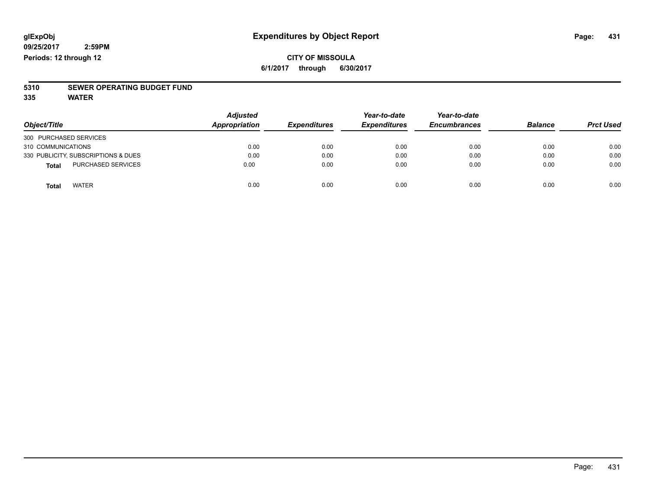#### **CITY OF MISSOULA 6/1/2017 through 6/30/2017**

# **5310 SEWER OPERATING BUDGET FUND**

**335 WATER**

| Object/Title                        | <b>Adjusted</b><br><b>Appropriation</b> | <b>Expenditures</b> | Year-to-date<br><b>Expenditures</b> | Year-to-date<br><b>Encumbrances</b> | <b>Balance</b> | <b>Prct Used</b> |
|-------------------------------------|-----------------------------------------|---------------------|-------------------------------------|-------------------------------------|----------------|------------------|
| 300 PURCHASED SERVICES              |                                         |                     |                                     |                                     |                |                  |
| 310 COMMUNICATIONS                  | 0.00                                    | 0.00                | 0.00                                | 0.00                                | 0.00           | 0.00             |
| 330 PUBLICITY, SUBSCRIPTIONS & DUES | 0.00                                    | 0.00                | 0.00                                | 0.00                                | 0.00           | 0.00             |
| <b>PURCHASED SERVICES</b><br>Total  | 0.00                                    | 0.00                | 0.00                                | 0.00                                | 0.00           | 0.00             |
| <b>WATER</b><br>Total               | 0.00                                    | 0.00                | 0.00                                | 0.00                                | 0.00           | 0.00             |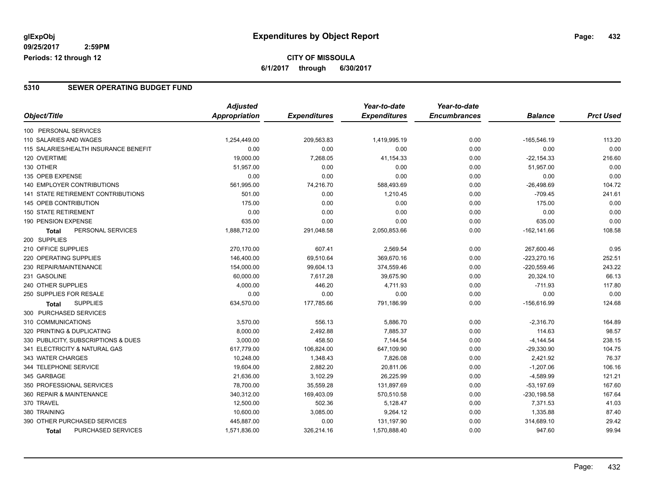### **CITY OF MISSOULA 6/1/2017 through 6/30/2017**

#### **5310 SEWER OPERATING BUDGET FUND**

|                                           | <b>Adjusted</b> |                     | Year-to-date        | Year-to-date        |                |                  |
|-------------------------------------------|-----------------|---------------------|---------------------|---------------------|----------------|------------------|
| Object/Title                              | Appropriation   | <b>Expenditures</b> | <b>Expenditures</b> | <b>Encumbrances</b> | <b>Balance</b> | <b>Prct Used</b> |
| 100 PERSONAL SERVICES                     |                 |                     |                     |                     |                |                  |
| 110 SALARIES AND WAGES                    | 1,254,449.00    | 209,563.83          | 1,419,995.19        | 0.00                | $-165,546.19$  | 113.20           |
| 115 SALARIES/HEALTH INSURANCE BENEFIT     | 0.00            | 0.00                | 0.00                | 0.00                | 0.00           | 0.00             |
| 120 OVERTIME                              | 19,000.00       | 7,268.05            | 41,154.33           | 0.00                | $-22, 154.33$  | 216.60           |
| 130 OTHER                                 | 51,957.00       | 0.00                | 0.00                | 0.00                | 51,957.00      | 0.00             |
| 135 OPEB EXPENSE                          | 0.00            | 0.00                | 0.00                | 0.00                | 0.00           | 0.00             |
| <b>140 EMPLOYER CONTRIBUTIONS</b>         | 561,995.00      | 74,216.70           | 588,493.69          | 0.00                | $-26,498.69$   | 104.72           |
| <b>141 STATE RETIREMENT CONTRIBUTIONS</b> | 501.00          | 0.00                | 1,210.45            | 0.00                | $-709.45$      | 241.61           |
| 145 OPEB CONTRIBUTION                     | 175.00          | 0.00                | 0.00                | 0.00                | 175.00         | 0.00             |
| <b>150 STATE RETIREMENT</b>               | 0.00            | 0.00                | 0.00                | 0.00                | 0.00           | 0.00             |
| 190 PENSION EXPENSE                       | 635.00          | 0.00                | 0.00                | 0.00                | 635.00         | 0.00             |
| PERSONAL SERVICES<br><b>Total</b>         | 1,888,712.00    | 291,048.58          | 2,050,853.66        | 0.00                | $-162, 141.66$ | 108.58           |
| 200 SUPPLIES                              |                 |                     |                     |                     |                |                  |
| 210 OFFICE SUPPLIES                       | 270,170.00      | 607.41              | 2,569.54            | 0.00                | 267,600.46     | 0.95             |
| 220 OPERATING SUPPLIES                    | 146,400.00      | 69,510.64           | 369,670.16          | 0.00                | $-223,270.16$  | 252.51           |
| 230 REPAIR/MAINTENANCE                    | 154,000.00      | 99,604.13           | 374,559.46          | 0.00                | -220,559.46    | 243.22           |
| 231 GASOLINE                              | 60,000.00       | 7,617.28            | 39,675.90           | 0.00                | 20,324.10      | 66.13            |
| 240 OTHER SUPPLIES                        | 4,000.00        | 446.20              | 4,711.93            | 0.00                | $-711.93$      | 117.80           |
| 250 SUPPLIES FOR RESALE                   | 0.00            | 0.00                | 0.00                | 0.00                | 0.00           | 0.00             |
| <b>SUPPLIES</b><br><b>Total</b>           | 634,570.00      | 177,785.66          | 791,186.99          | 0.00                | $-156,616.99$  | 124.68           |
| 300 PURCHASED SERVICES                    |                 |                     |                     |                     |                |                  |
| 310 COMMUNICATIONS                        | 3,570.00        | 556.13              | 5,886.70            | 0.00                | $-2,316.70$    | 164.89           |
| 320 PRINTING & DUPLICATING                | 8,000.00        | 2,492.88            | 7,885.37            | 0.00                | 114.63         | 98.57            |
| 330 PUBLICITY, SUBSCRIPTIONS & DUES       | 3,000.00        | 458.50              | 7,144.54            | 0.00                | $-4,144.54$    | 238.15           |
| 341 ELECTRICITY & NATURAL GAS             | 617,779.00      | 106,824.00          | 647,109.90          | 0.00                | $-29,330.90$   | 104.75           |
| 343 WATER CHARGES                         | 10,248.00       | 1,348.43            | 7,826.08            | 0.00                | 2,421.92       | 76.37            |
| 344 TELEPHONE SERVICE                     | 19,604.00       | 2,882.20            | 20,811.06           | 0.00                | $-1,207.06$    | 106.16           |
| 345 GARBAGE                               | 21,636.00       | 3,102.29            | 26,225.99           | 0.00                | $-4,589.99$    | 121.21           |
| 350 PROFESSIONAL SERVICES                 | 78,700.00       | 35,559.28           | 131,897.69          | 0.00                | $-53,197.69$   | 167.60           |
| 360 REPAIR & MAINTENANCE                  | 340,312.00      | 169,403.09          | 570,510.58          | 0.00                | $-230, 198.58$ | 167.64           |
| 370 TRAVEL                                | 12,500.00       | 502.36              | 5,128.47            | 0.00                | 7,371.53       | 41.03            |
| 380 TRAINING                              | 10,600.00       | 3,085.00            | 9,264.12            | 0.00                | 1,335.88       | 87.40            |
| 390 OTHER PURCHASED SERVICES              | 445,887.00      | 0.00                | 131,197.90          | 0.00                | 314,689.10     | 29.42            |
| PURCHASED SERVICES<br><b>Total</b>        | 1,571,836.00    | 326,214.16          | 1,570,888.40        | 0.00                | 947.60         | 99.94            |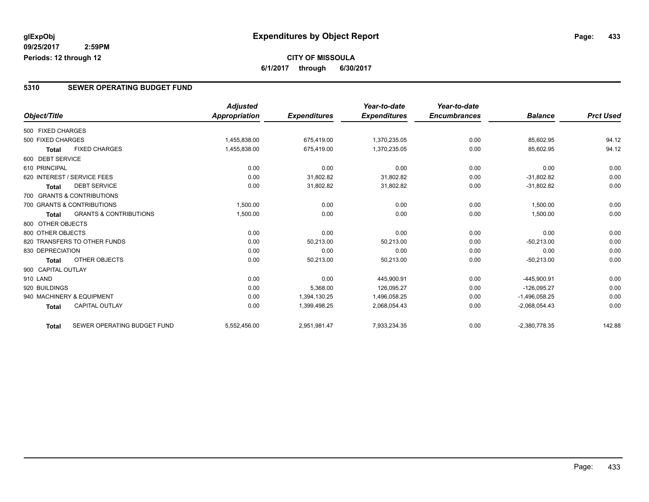### **CITY OF MISSOULA 6/1/2017 through 6/30/2017**

### **5310 SEWER OPERATING BUDGET FUND**

|                    |                                   | <b>Adjusted</b>      |                     | Year-to-date        | Year-to-date        |                 |                  |
|--------------------|-----------------------------------|----------------------|---------------------|---------------------|---------------------|-----------------|------------------|
| Object/Title       |                                   | <b>Appropriation</b> | <b>Expenditures</b> | <b>Expenditures</b> | <b>Encumbrances</b> | <b>Balance</b>  | <b>Prct Used</b> |
| 500 FIXED CHARGES  |                                   |                      |                     |                     |                     |                 |                  |
| 500 FIXED CHARGES  |                                   | 1,455,838.00         | 675,419.00          | 1,370,235.05        | 0.00                | 85,602.95       | 94.12            |
| <b>Total</b>       | <b>FIXED CHARGES</b>              | 1,455,838.00         | 675,419.00          | 1,370,235.05        | 0.00                | 85,602.95       | 94.12            |
| 600 DEBT SERVICE   |                                   |                      |                     |                     |                     |                 |                  |
| 610 PRINCIPAL      |                                   | 0.00                 | 0.00                | 0.00                | 0.00                | 0.00            | 0.00             |
|                    | 620 INTEREST / SERVICE FEES       | 0.00                 | 31,802.82           | 31,802.82           | 0.00                | $-31,802.82$    | 0.00             |
| <b>Total</b>       | <b>DEBT SERVICE</b>               | 0.00                 | 31,802.82           | 31,802.82           | 0.00                | $-31,802.82$    | 0.00             |
|                    | 700 GRANTS & CONTRIBUTIONS        |                      |                     |                     |                     |                 |                  |
|                    | 700 GRANTS & CONTRIBUTIONS        | 1,500.00             | 0.00                | 0.00                | 0.00                | 1,500.00        | 0.00             |
| <b>Total</b>       | <b>GRANTS &amp; CONTRIBUTIONS</b> | 1,500.00             | 0.00                | 0.00                | 0.00                | 1,500.00        | 0.00             |
| 800 OTHER OBJECTS  |                                   |                      |                     |                     |                     |                 |                  |
| 800 OTHER OBJECTS  |                                   | 0.00                 | 0.00                | 0.00                | 0.00                | 0.00            | 0.00             |
|                    | 820 TRANSFERS TO OTHER FUNDS      | 0.00                 | 50,213.00           | 50,213.00           | 0.00                | $-50,213.00$    | 0.00             |
| 830 DEPRECIATION   |                                   | 0.00                 | 0.00                | 0.00                | 0.00                | 0.00            | 0.00             |
| Total              | OTHER OBJECTS                     | 0.00                 | 50,213.00           | 50,213.00           | 0.00                | $-50,213.00$    | 0.00             |
| 900 CAPITAL OUTLAY |                                   |                      |                     |                     |                     |                 |                  |
| 910 LAND           |                                   | 0.00                 | 0.00                | 445,900.91          | 0.00                | -445,900.91     | 0.00             |
| 920 BUILDINGS      |                                   | 0.00                 | 5,368.00            | 126,095.27          | 0.00                | $-126.095.27$   | 0.00             |
|                    | 940 MACHINERY & EQUIPMENT         | 0.00                 | 1,394,130.25        | 1,496,058.25        | 0.00                | $-1,496,058.25$ | 0.00             |
| <b>Total</b>       | <b>CAPITAL OUTLAY</b>             | 0.00                 | 1,399,498.25        | 2,068,054.43        | 0.00                | $-2,068,054.43$ | 0.00             |
| <b>Total</b>       | SEWER OPERATING BUDGET FUND       | 5,552,456.00         | 2,951,981.47        | 7,933,234.35        | 0.00                | $-2,380,778.35$ | 142.88           |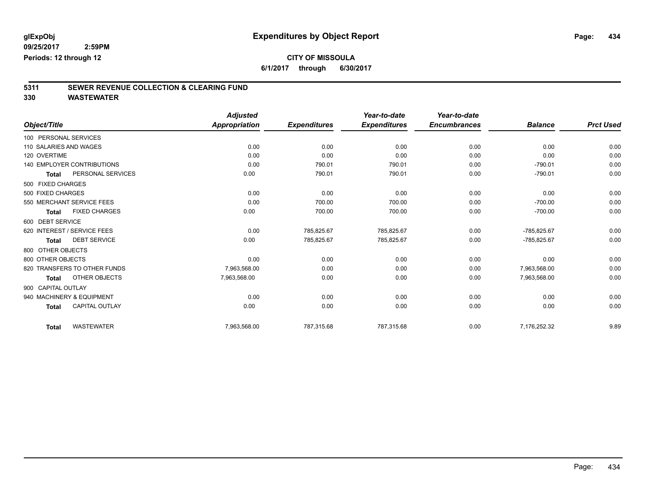**6/1/2017 through 6/30/2017**

# **5311 SEWER REVENUE COLLECTION & CLEARING FUND**

|                             |                                   | <b>Adjusted</b> |                     | Year-to-date        | Year-to-date        |                |                  |
|-----------------------------|-----------------------------------|-----------------|---------------------|---------------------|---------------------|----------------|------------------|
| Object/Title                |                                   | Appropriation   | <b>Expenditures</b> | <b>Expenditures</b> | <b>Encumbrances</b> | <b>Balance</b> | <b>Prct Used</b> |
| 100 PERSONAL SERVICES       |                                   |                 |                     |                     |                     |                |                  |
| 110 SALARIES AND WAGES      |                                   | 0.00            | 0.00                | 0.00                | 0.00                | 0.00           | 0.00             |
| 120 OVERTIME                |                                   | 0.00            | 0.00                | 0.00                | 0.00                | 0.00           | 0.00             |
|                             | <b>140 EMPLOYER CONTRIBUTIONS</b> | 0.00            | 790.01              | 790.01              | 0.00                | $-790.01$      | 0.00             |
| <b>Total</b>                | PERSONAL SERVICES                 | 0.00            | 790.01              | 790.01              | 0.00                | $-790.01$      | 0.00             |
| 500 FIXED CHARGES           |                                   |                 |                     |                     |                     |                |                  |
| 500 FIXED CHARGES           |                                   | 0.00            | 0.00                | 0.00                | 0.00                | 0.00           | 0.00             |
| 550 MERCHANT SERVICE FEES   |                                   | 0.00            | 700.00              | 700.00              | 0.00                | $-700.00$      | 0.00             |
| <b>Total</b>                | <b>FIXED CHARGES</b>              | 0.00            | 700.00              | 700.00              | 0.00                | $-700.00$      | 0.00             |
| 600 DEBT SERVICE            |                                   |                 |                     |                     |                     |                |                  |
| 620 INTEREST / SERVICE FEES |                                   | 0.00            | 785,825.67          | 785,825.67          | 0.00                | -785,825.67    | 0.00             |
| <b>Total</b>                | <b>DEBT SERVICE</b>               | 0.00            | 785,825.67          | 785,825.67          | 0.00                | -785,825.67    | 0.00             |
| 800 OTHER OBJECTS           |                                   |                 |                     |                     |                     |                |                  |
| 800 OTHER OBJECTS           |                                   | 0.00            | 0.00                | 0.00                | 0.00                | 0.00           | 0.00             |
|                             | 820 TRANSFERS TO OTHER FUNDS      | 7,963,568.00    | 0.00                | 0.00                | 0.00                | 7,963,568.00   | 0.00             |
| <b>Total</b>                | OTHER OBJECTS                     | 7,963,568.00    | 0.00                | 0.00                | 0.00                | 7,963,568.00   | 0.00             |
| 900 CAPITAL OUTLAY          |                                   |                 |                     |                     |                     |                |                  |
| 940 MACHINERY & EQUIPMENT   |                                   | 0.00            | 0.00                | 0.00                | 0.00                | 0.00           | 0.00             |
| <b>Total</b>                | <b>CAPITAL OUTLAY</b>             | 0.00            | 0.00                | 0.00                | 0.00                | 0.00           | 0.00             |
| <b>Total</b>                | <b>WASTEWATER</b>                 | 7,963,568.00    | 787,315.68          | 787,315.68          | 0.00                | 7,176,252.32   | 9.89             |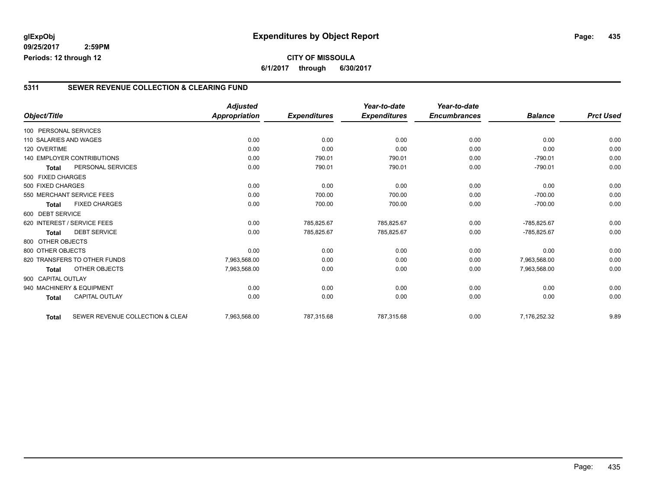**09/25/2017 2:59PM Periods: 12 through 12**

### **CITY OF MISSOULA 6/1/2017 through 6/30/2017**

#### **5311 SEWER REVENUE COLLECTION & CLEARING FUND**

| Object/Title           |                                   | <b>Adjusted</b><br><b>Appropriation</b> | <b>Expenditures</b> | Year-to-date<br><b>Expenditures</b> | Year-to-date<br><b>Encumbrances</b> | <b>Balance</b> | <b>Prct Used</b> |
|------------------------|-----------------------------------|-----------------------------------------|---------------------|-------------------------------------|-------------------------------------|----------------|------------------|
|                        |                                   |                                         |                     |                                     |                                     |                |                  |
| 100 PERSONAL SERVICES  |                                   |                                         |                     |                                     |                                     |                |                  |
| 110 SALARIES AND WAGES |                                   | 0.00                                    | 0.00                | 0.00                                | 0.00                                | 0.00           | 0.00             |
| 120 OVERTIME           |                                   | 0.00                                    | 0.00                | 0.00                                | 0.00                                | 0.00           | 0.00             |
|                        | <b>140 EMPLOYER CONTRIBUTIONS</b> | 0.00                                    | 790.01              | 790.01                              | 0.00                                | $-790.01$      | 0.00             |
| <b>Total</b>           | PERSONAL SERVICES                 | 0.00                                    | 790.01              | 790.01                              | 0.00                                | $-790.01$      | 0.00             |
| 500 FIXED CHARGES      |                                   |                                         |                     |                                     |                                     |                |                  |
| 500 FIXED CHARGES      |                                   | 0.00                                    | 0.00                | 0.00                                | 0.00                                | 0.00           | 0.00             |
|                        | 550 MERCHANT SERVICE FEES         | 0.00                                    | 700.00              | 700.00                              | 0.00                                | $-700.00$      | 0.00             |
| <b>Total</b>           | <b>FIXED CHARGES</b>              | 0.00                                    | 700.00              | 700.00                              | 0.00                                | $-700.00$      | 0.00             |
| 600 DEBT SERVICE       |                                   |                                         |                     |                                     |                                     |                |                  |
|                        | 620 INTEREST / SERVICE FEES       | 0.00                                    | 785,825.67          | 785,825.67                          | 0.00                                | -785,825.67    | 0.00             |
| <b>Total</b>           | <b>DEBT SERVICE</b>               | 0.00                                    | 785,825.67          | 785,825.67                          | 0.00                                | -785,825.67    | 0.00             |
| 800 OTHER OBJECTS      |                                   |                                         |                     |                                     |                                     |                |                  |
| 800 OTHER OBJECTS      |                                   | 0.00                                    | 0.00                | 0.00                                | 0.00                                | 0.00           | 0.00             |
|                        | 820 TRANSFERS TO OTHER FUNDS      | 7.963.568.00                            | 0.00                | 0.00                                | 0.00                                | 7.963.568.00   | 0.00             |
| <b>Total</b>           | OTHER OBJECTS                     | 7,963,568.00                            | 0.00                | 0.00                                | 0.00                                | 7,963,568.00   | 0.00             |
|                        |                                   |                                         |                     |                                     |                                     |                |                  |
| 900 CAPITAL OUTLAY     |                                   |                                         |                     |                                     |                                     |                |                  |
|                        | 940 MACHINERY & EQUIPMENT         | 0.00                                    | 0.00                | 0.00                                | 0.00                                | 0.00           | 0.00             |
| <b>Total</b>           | <b>CAPITAL OUTLAY</b>             | 0.00                                    | 0.00                | 0.00                                | 0.00                                | 0.00           | 0.00             |
| <b>Total</b>           | SEWER REVENUE COLLECTION & CLEAF  | 7,963,568.00                            | 787.315.68          | 787,315.68                          | 0.00                                | 7,176,252.32   | 9.89             |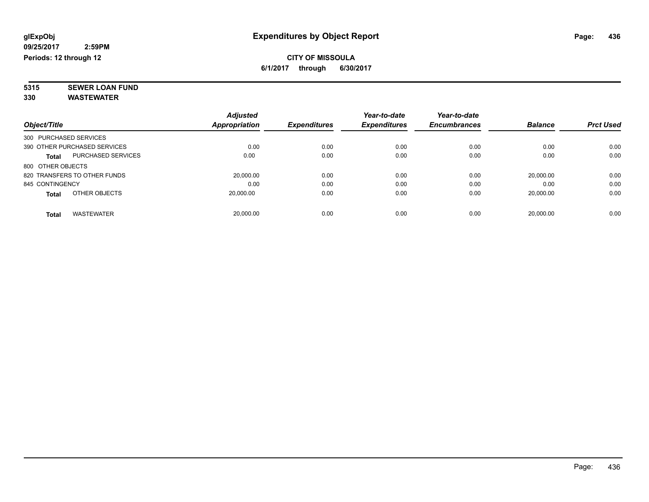### **CITY OF MISSOULA 6/1/2017 through 6/30/2017**

**5315 SEWER LOAN FUND 330 WASTEWATER**

|                        |                              | <b>Adjusted</b> |                     | Year-to-date        | Year-to-date        |                |                  |
|------------------------|------------------------------|-----------------|---------------------|---------------------|---------------------|----------------|------------------|
| Object/Title           |                              | Appropriation   | <b>Expenditures</b> | <b>Expenditures</b> | <b>Encumbrances</b> | <b>Balance</b> | <b>Prct Used</b> |
| 300 PURCHASED SERVICES |                              |                 |                     |                     |                     |                |                  |
|                        | 390 OTHER PURCHASED SERVICES | 0.00            | 0.00                | 0.00                | 0.00                | 0.00           | 0.00             |
| <b>Total</b>           | <b>PURCHASED SERVICES</b>    | 0.00            | 0.00                | 0.00                | 0.00                | 0.00           | 0.00             |
| 800 OTHER OBJECTS      |                              |                 |                     |                     |                     |                |                  |
|                        | 820 TRANSFERS TO OTHER FUNDS | 20,000.00       | 0.00                | 0.00                | 0.00                | 20.000.00      | 0.00             |
| 845 CONTINGENCY        |                              | 0.00            | 0.00                | 0.00                | 0.00                | 0.00           | 0.00             |
| <b>Total</b>           | OTHER OBJECTS                | 20,000.00       | 0.00                | 0.00                | 0.00                | 20,000.00      | 0.00             |
| Total                  | <b>WASTEWATER</b>            | 20.000.00       | 0.00                | 0.00                | 0.00                | 20.000.00      | 0.00             |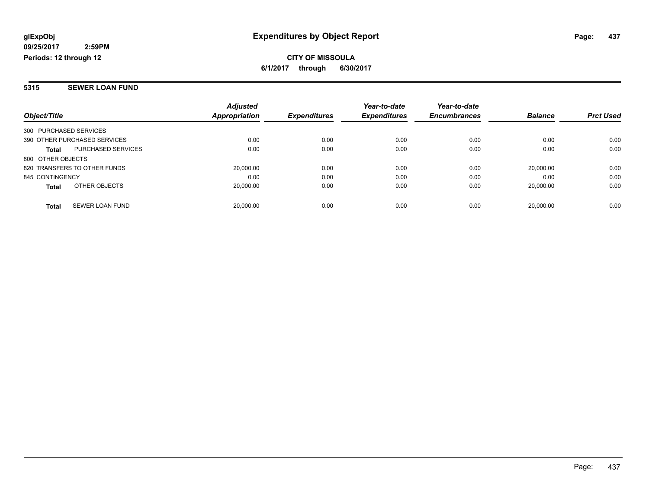**CITY OF MISSOULA 6/1/2017 through 6/30/2017**

#### **5315 SEWER LOAN FUND**

| Object/Title                              | <b>Adjusted</b><br><b>Appropriation</b> | <b>Expenditures</b> | Year-to-date<br><b>Expenditures</b> | Year-to-date<br><b>Encumbrances</b> | <b>Balance</b> | <b>Prct Used</b> |
|-------------------------------------------|-----------------------------------------|---------------------|-------------------------------------|-------------------------------------|----------------|------------------|
|                                           |                                         |                     |                                     |                                     |                |                  |
| 300 PURCHASED SERVICES                    |                                         |                     |                                     |                                     |                |                  |
| 390 OTHER PURCHASED SERVICES              | 0.00                                    | 0.00                | 0.00                                | 0.00                                | 0.00           | 0.00             |
| <b>PURCHASED SERVICES</b><br><b>Total</b> | 0.00                                    | 0.00                | 0.00                                | 0.00                                | 0.00           | 0.00             |
| 800 OTHER OBJECTS                         |                                         |                     |                                     |                                     |                |                  |
| 820 TRANSFERS TO OTHER FUNDS              | 20.000.00                               | 0.00                | 0.00                                | 0.00                                | 20.000.00      | 0.00             |
| 845 CONTINGENCY                           | 0.00                                    | 0.00                | 0.00                                | 0.00                                | 0.00           | 0.00             |
| OTHER OBJECTS<br><b>Total</b>             | 20,000.00                               | 0.00                | 0.00                                | 0.00                                | 20.000.00      | 0.00             |
| SEWER LOAN FUND<br><b>Total</b>           | 20.000.00                               | 0.00                | 0.00                                | 0.00                                | 20.000.00      | 0.00             |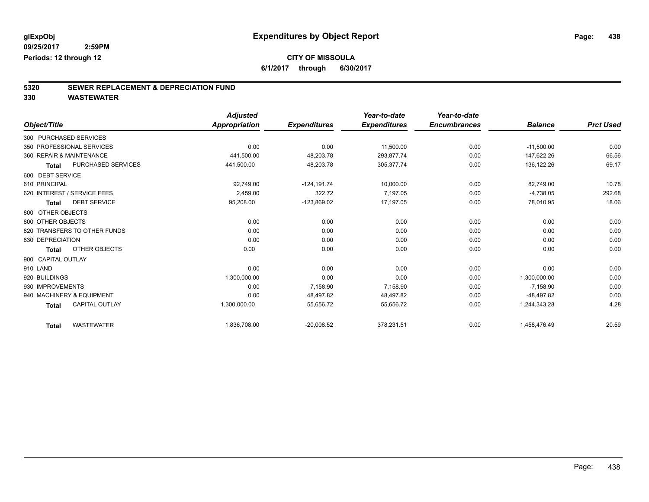**6/1/2017 through 6/30/2017**

# **5320 SEWER REPLACEMENT & DEPRECIATION FUND**

|                                           | <b>Adjusted</b>      |                     | Year-to-date        | Year-to-date        |                |                  |
|-------------------------------------------|----------------------|---------------------|---------------------|---------------------|----------------|------------------|
| Object/Title                              | <b>Appropriation</b> | <b>Expenditures</b> | <b>Expenditures</b> | <b>Encumbrances</b> | <b>Balance</b> | <b>Prct Used</b> |
| 300 PURCHASED SERVICES                    |                      |                     |                     |                     |                |                  |
| 350 PROFESSIONAL SERVICES                 | 0.00                 | 0.00                | 11,500.00           | 0.00                | $-11,500.00$   | 0.00             |
| 360 REPAIR & MAINTENANCE                  | 441,500.00           | 48,203.78           | 293,877.74          | 0.00                | 147,622.26     | 66.56            |
| <b>PURCHASED SERVICES</b><br><b>Total</b> | 441,500.00           | 48,203.78           | 305,377.74          | 0.00                | 136,122.26     | 69.17            |
| 600 DEBT SERVICE                          |                      |                     |                     |                     |                |                  |
| 610 PRINCIPAL                             | 92,749.00            | $-124.191.74$       | 10,000.00           | 0.00                | 82,749.00      | 10.78            |
| 620 INTEREST / SERVICE FEES               | 2,459.00             | 322.72              | 7,197.05            | 0.00                | $-4,738.05$    | 292.68           |
| <b>DEBT SERVICE</b><br><b>Total</b>       | 95,208.00            | $-123,869.02$       | 17,197.05           | 0.00                | 78,010.95      | 18.06            |
| 800 OTHER OBJECTS                         |                      |                     |                     |                     |                |                  |
| 800 OTHER OBJECTS                         | 0.00                 | 0.00                | 0.00                | 0.00                | 0.00           | 0.00             |
| 820 TRANSFERS TO OTHER FUNDS              | 0.00                 | 0.00                | 0.00                | 0.00                | 0.00           | 0.00             |
| 830 DEPRECIATION                          | 0.00                 | 0.00                | 0.00                | 0.00                | 0.00           | 0.00             |
| OTHER OBJECTS<br><b>Total</b>             | 0.00                 | 0.00                | 0.00                | 0.00                | 0.00           | 0.00             |
| 900 CAPITAL OUTLAY                        |                      |                     |                     |                     |                |                  |
| 910 LAND                                  | 0.00                 | 0.00                | 0.00                | 0.00                | 0.00           | 0.00             |
| 920 BUILDINGS                             | 1,300,000.00         | 0.00                | 0.00                | 0.00                | 1,300,000.00   | 0.00             |
| 930 IMPROVEMENTS                          | 0.00                 | 7,158.90            | 7,158.90            | 0.00                | $-7,158.90$    | 0.00             |
| 940 MACHINERY & EQUIPMENT                 | 0.00                 | 48,497.82           | 48,497.82           | 0.00                | $-48,497.82$   | 0.00             |
| <b>CAPITAL OUTLAY</b><br><b>Total</b>     | 1,300,000.00         | 55,656.72           | 55,656.72           | 0.00                | 1,244,343.28   | 4.28             |
| <b>WASTEWATER</b><br><b>Total</b>         | 1,836,708.00         | $-20,008.52$        | 378,231.51          | 0.00                | 1,458,476.49   | 20.59            |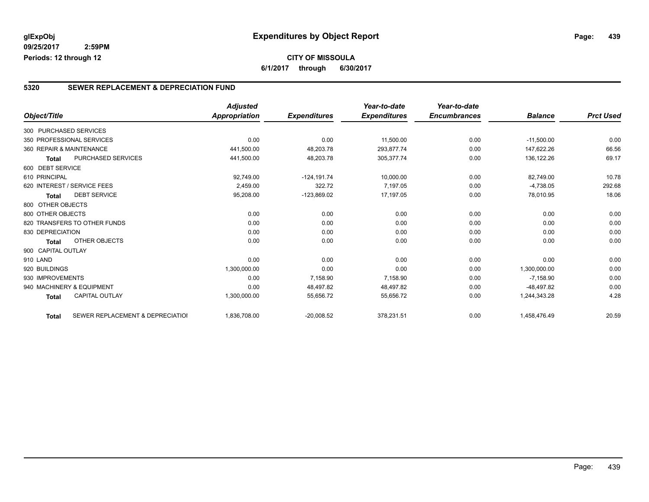**09/25/2017 2:59PM Periods: 12 through 12**

#### **5320 SEWER REPLACEMENT & DEPRECIATION FUND**

|                          |                                  | <b>Adjusted</b> |                     | Year-to-date        | Year-to-date        |                |                  |
|--------------------------|----------------------------------|-----------------|---------------------|---------------------|---------------------|----------------|------------------|
| Object/Title             |                                  | Appropriation   | <b>Expenditures</b> | <b>Expenditures</b> | <b>Encumbrances</b> | <b>Balance</b> | <b>Prct Used</b> |
| 300 PURCHASED SERVICES   |                                  |                 |                     |                     |                     |                |                  |
|                          | 350 PROFESSIONAL SERVICES        | 0.00            | 0.00                | 11,500.00           | 0.00                | $-11,500.00$   | 0.00             |
| 360 REPAIR & MAINTENANCE |                                  | 441,500.00      | 48,203.78           | 293.877.74          | 0.00                | 147,622.26     | 66.56            |
| <b>Total</b>             | <b>PURCHASED SERVICES</b>        | 441,500.00      | 48,203.78           | 305,377.74          | 0.00                | 136,122.26     | 69.17            |
| 600 DEBT SERVICE         |                                  |                 |                     |                     |                     |                |                  |
| 610 PRINCIPAL            |                                  | 92,749.00       | $-124, 191.74$      | 10,000.00           | 0.00                | 82.749.00      | 10.78            |
|                          | 620 INTEREST / SERVICE FEES      | 2,459.00        | 322.72              | 7,197.05            | 0.00                | $-4,738.05$    | 292.68           |
| <b>Total</b>             | <b>DEBT SERVICE</b>              | 95,208.00       | $-123,869.02$       | 17,197.05           | 0.00                | 78,010.95      | 18.06            |
| 800 OTHER OBJECTS        |                                  |                 |                     |                     |                     |                |                  |
| 800 OTHER OBJECTS        |                                  | 0.00            | 0.00                | 0.00                | 0.00                | 0.00           | 0.00             |
|                          | 820 TRANSFERS TO OTHER FUNDS     | 0.00            | 0.00                | 0.00                | 0.00                | 0.00           | 0.00             |
| 830 DEPRECIATION         |                                  | 0.00            | 0.00                | 0.00                | 0.00                | 0.00           | 0.00             |
| <b>Total</b>             | <b>OTHER OBJECTS</b>             | 0.00            | 0.00                | 0.00                | 0.00                | 0.00           | 0.00             |
| 900 CAPITAL OUTLAY       |                                  |                 |                     |                     |                     |                |                  |
| 910 LAND                 |                                  | 0.00            | 0.00                | 0.00                | 0.00                | 0.00           | 0.00             |
| 920 BUILDINGS            |                                  | 1,300,000.00    | 0.00                | 0.00                | 0.00                | 1,300,000.00   | 0.00             |
| 930 IMPROVEMENTS         |                                  | 0.00            | 7,158.90            | 7,158.90            | 0.00                | $-7,158.90$    | 0.00             |
|                          | 940 MACHINERY & EQUIPMENT        | 0.00            | 48,497.82           | 48,497.82           | 0.00                | $-48.497.82$   | 0.00             |
| <b>Total</b>             | <b>CAPITAL OUTLAY</b>            | 1,300,000.00    | 55,656.72           | 55,656.72           | 0.00                | 1,244,343.28   | 4.28             |
| <b>Total</b>             | SEWER REPLACEMENT & DEPRECIATION | 1,836,708.00    | $-20,008.52$        | 378,231.51          | 0.00                | 1,458,476.49   | 20.59            |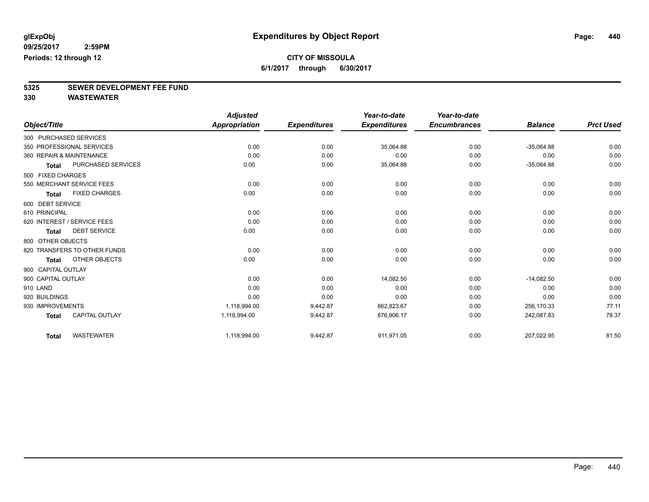**6/1/2017 through 6/30/2017**

# **5325 SEWER DEVELOPMENT FEE FUND**

|                        |                              | <b>Adjusted</b>      |                     | Year-to-date        | Year-to-date        |                |                  |
|------------------------|------------------------------|----------------------|---------------------|---------------------|---------------------|----------------|------------------|
| Object/Title           |                              | <b>Appropriation</b> | <b>Expenditures</b> | <b>Expenditures</b> | <b>Encumbrances</b> | <b>Balance</b> | <b>Prct Used</b> |
| 300 PURCHASED SERVICES |                              |                      |                     |                     |                     |                |                  |
|                        | 350 PROFESSIONAL SERVICES    | 0.00                 | 0.00                | 35,064.88           | 0.00                | $-35,064.88$   | 0.00             |
|                        | 360 REPAIR & MAINTENANCE     | 0.00                 | 0.00                | 0.00                | 0.00                | 0.00           | 0.00             |
| <b>Total</b>           | PURCHASED SERVICES           | 0.00                 | 0.00                | 35,064.88           | 0.00                | $-35,064.88$   | 0.00             |
| 500 FIXED CHARGES      |                              |                      |                     |                     |                     |                |                  |
|                        | 550 MERCHANT SERVICE FEES    | 0.00                 | 0.00                | 0.00                | 0.00                | 0.00           | 0.00             |
| <b>Total</b>           | <b>FIXED CHARGES</b>         | 0.00                 | 0.00                | 0.00                | 0.00                | 0.00           | 0.00             |
| 600 DEBT SERVICE       |                              |                      |                     |                     |                     |                |                  |
| 610 PRINCIPAL          |                              | 0.00                 | 0.00                | 0.00                | 0.00                | 0.00           | 0.00             |
|                        | 620 INTEREST / SERVICE FEES  | 0.00                 | 0.00                | 0.00                | 0.00                | 0.00           | 0.00             |
| <b>Total</b>           | <b>DEBT SERVICE</b>          | 0.00                 | 0.00                | 0.00                | 0.00                | 0.00           | 0.00             |
| 800 OTHER OBJECTS      |                              |                      |                     |                     |                     |                |                  |
|                        | 820 TRANSFERS TO OTHER FUNDS | 0.00                 | 0.00                | 0.00                | 0.00                | 0.00           | 0.00             |
| Total                  | OTHER OBJECTS                | 0.00                 | 0.00                | 0.00                | 0.00                | 0.00           | 0.00             |
| 900 CAPITAL OUTLAY     |                              |                      |                     |                     |                     |                |                  |
| 900 CAPITAL OUTLAY     |                              | 0.00                 | 0.00                | 14,082.50           | 0.00                | $-14.082.50$   | 0.00             |
| 910 LAND               |                              | 0.00                 | 0.00                | 0.00                | 0.00                | 0.00           | 0.00             |
| 920 BUILDINGS          |                              | 0.00                 | 0.00                | 0.00                | 0.00                | 0.00           | 0.00             |
| 930 IMPROVEMENTS       |                              | 1,118,994.00         | 9,442.87            | 862,823.67          | 0.00                | 256,170.33     | 77.11            |
| <b>Total</b>           | <b>CAPITAL OUTLAY</b>        | 1,118,994.00         | 9,442.87            | 876,906.17          | 0.00                | 242,087.83     | 78.37            |
| <b>Total</b>           | <b>WASTEWATER</b>            | 1,118,994.00         | 9,442.87            | 911,971.05          | 0.00                | 207,022.95     | 81.50            |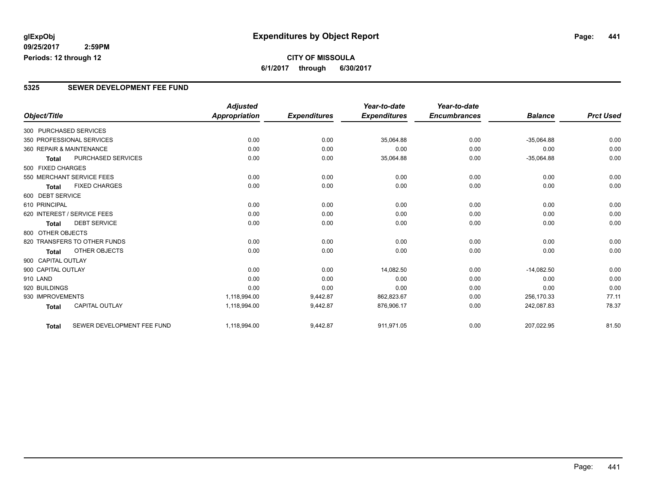**09/25/2017 2:59PM Periods: 12 through 12**

## **CITY OF MISSOULA 6/1/2017 through 6/30/2017**

### **5325 SEWER DEVELOPMENT FEE FUND**

|                        |                              | <b>Adjusted</b>      |                     | Year-to-date        | Year-to-date        |                |                  |
|------------------------|------------------------------|----------------------|---------------------|---------------------|---------------------|----------------|------------------|
| Object/Title           |                              | <b>Appropriation</b> | <b>Expenditures</b> | <b>Expenditures</b> | <b>Encumbrances</b> | <b>Balance</b> | <b>Prct Used</b> |
| 300 PURCHASED SERVICES |                              |                      |                     |                     |                     |                |                  |
|                        | 350 PROFESSIONAL SERVICES    | 0.00                 | 0.00                | 35,064.88           | 0.00                | $-35,064.88$   | 0.00             |
|                        | 360 REPAIR & MAINTENANCE     | 0.00                 | 0.00                | 0.00                | 0.00                | 0.00           | 0.00             |
| <b>Total</b>           | <b>PURCHASED SERVICES</b>    | 0.00                 | 0.00                | 35,064.88           | 0.00                | $-35,064.88$   | 0.00             |
| 500 FIXED CHARGES      |                              |                      |                     |                     |                     |                |                  |
|                        | 550 MERCHANT SERVICE FEES    | 0.00                 | 0.00                | 0.00                | 0.00                | 0.00           | 0.00             |
| <b>Total</b>           | <b>FIXED CHARGES</b>         | 0.00                 | 0.00                | 0.00                | 0.00                | 0.00           | 0.00             |
| 600 DEBT SERVICE       |                              |                      |                     |                     |                     |                |                  |
| 610 PRINCIPAL          |                              | 0.00                 | 0.00                | 0.00                | 0.00                | 0.00           | 0.00             |
|                        | 620 INTEREST / SERVICE FEES  | 0.00                 | 0.00                | 0.00                | 0.00                | 0.00           | 0.00             |
| <b>Total</b>           | <b>DEBT SERVICE</b>          | 0.00                 | 0.00                | 0.00                | 0.00                | 0.00           | 0.00             |
| 800 OTHER OBJECTS      |                              |                      |                     |                     |                     |                |                  |
|                        | 820 TRANSFERS TO OTHER FUNDS | 0.00                 | 0.00                | 0.00                | 0.00                | 0.00           | 0.00             |
| <b>Total</b>           | <b>OTHER OBJECTS</b>         | 0.00                 | 0.00                | 0.00                | 0.00                | 0.00           | 0.00             |
| 900 CAPITAL OUTLAY     |                              |                      |                     |                     |                     |                |                  |
| 900 CAPITAL OUTLAY     |                              | 0.00                 | 0.00                | 14,082.50           | 0.00                | $-14,082.50$   | 0.00             |
| 910 LAND               |                              | 0.00                 | 0.00                | 0.00                | 0.00                | 0.00           | 0.00             |
| 920 BUILDINGS          |                              | 0.00                 | 0.00                | 0.00                | 0.00                | 0.00           | 0.00             |
| 930 IMPROVEMENTS       |                              | 1,118,994.00         | 9,442.87            | 862,823.67          | 0.00                | 256,170.33     | 77.11            |
| <b>Total</b>           | <b>CAPITAL OUTLAY</b>        | 1,118,994.00         | 9,442.87            | 876,906.17          | 0.00                | 242,087.83     | 78.37            |
| <b>Total</b>           | SEWER DEVELOPMENT FEE FUND   | 1,118,994.00         | 9,442.87            | 911,971.05          | 0.00                | 207,022.95     | 81.50            |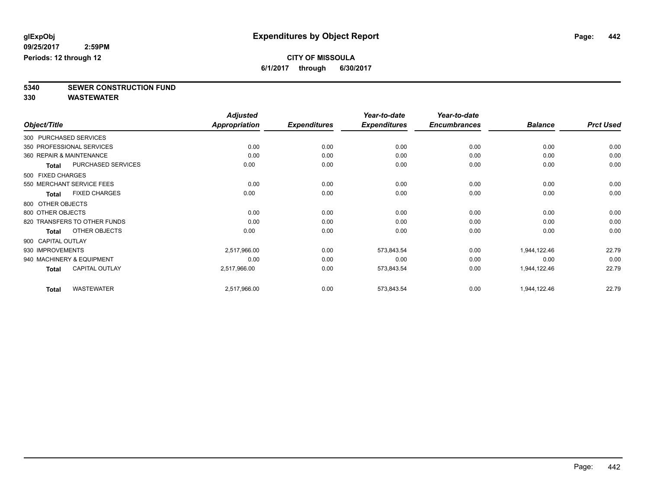### **CITY OF MISSOULA 6/1/2017 through 6/30/2017**

**5340 SEWER CONSTRUCTION FUND**

|                                      | <b>Adjusted</b> |                     | Year-to-date        | Year-to-date        |                |                  |
|--------------------------------------|-----------------|---------------------|---------------------|---------------------|----------------|------------------|
| Object/Title                         | Appropriation   | <b>Expenditures</b> | <b>Expenditures</b> | <b>Encumbrances</b> | <b>Balance</b> | <b>Prct Used</b> |
| 300 PURCHASED SERVICES               |                 |                     |                     |                     |                |                  |
| 350 PROFESSIONAL SERVICES            | 0.00            | 0.00                | 0.00                | 0.00                | 0.00           | 0.00             |
| 360 REPAIR & MAINTENANCE             | 0.00            | 0.00                | 0.00                | 0.00                | 0.00           | 0.00             |
| PURCHASED SERVICES<br>Total          | 0.00            | 0.00                | 0.00                | 0.00                | 0.00           | 0.00             |
| 500 FIXED CHARGES                    |                 |                     |                     |                     |                |                  |
| 550 MERCHANT SERVICE FEES            | 0.00            | 0.00                | 0.00                | 0.00                | 0.00           | 0.00             |
| <b>FIXED CHARGES</b><br><b>Total</b> | 0.00            | 0.00                | 0.00                | 0.00                | 0.00           | 0.00             |
| 800 OTHER OBJECTS                    |                 |                     |                     |                     |                |                  |
| 800 OTHER OBJECTS                    | 0.00            | 0.00                | 0.00                | 0.00                | 0.00           | 0.00             |
| 820 TRANSFERS TO OTHER FUNDS         | 0.00            | 0.00                | 0.00                | 0.00                | 0.00           | 0.00             |
| OTHER OBJECTS<br><b>Total</b>        | 0.00            | 0.00                | 0.00                | 0.00                | 0.00           | 0.00             |
| 900 CAPITAL OUTLAY                   |                 |                     |                     |                     |                |                  |
| 930 IMPROVEMENTS                     | 2,517,966.00    | 0.00                | 573,843.54          | 0.00                | 1,944,122.46   | 22.79            |
| 940 MACHINERY & EQUIPMENT            | 0.00            | 0.00                | 0.00                | 0.00                | 0.00           | 0.00             |
| CAPITAL OUTLAY<br><b>Total</b>       | 2,517,966.00    | 0.00                | 573,843.54          | 0.00                | 1,944,122.46   | 22.79            |
| <b>WASTEWATER</b><br><b>Total</b>    | 2,517,966.00    | 0.00                | 573,843.54          | 0.00                | 1,944,122.46   | 22.79            |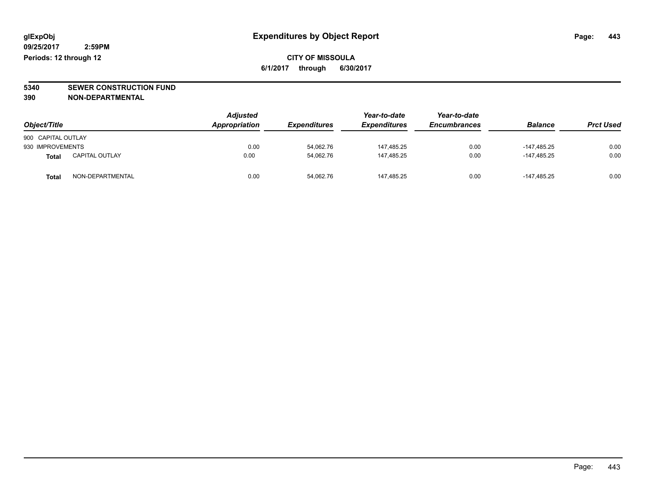### **CITY OF MISSOULA 6/1/2017 through 6/30/2017**

# **5340 SEWER CONSTRUCTION FUND**

**390 NON-DEPARTMENTAL**

| Object/Title       |                       | <b>Adjusted</b><br><b>Appropriation</b> | <b>Expenditures</b> | Year-to-date<br><b>Expenditures</b> | Year-to-date<br><b>Encumbrances</b> | <b>Balance</b> | <b>Prct Used</b> |
|--------------------|-----------------------|-----------------------------------------|---------------------|-------------------------------------|-------------------------------------|----------------|------------------|
| 900 CAPITAL OUTLAY |                       |                                         |                     |                                     |                                     |                |                  |
| 930 IMPROVEMENTS   |                       | 0.00                                    | 54.062.76           | 147.485.25                          | 0.00                                | -147.485.25    | 0.00             |
| Total              | <b>CAPITAL OUTLAY</b> | 0.00                                    | 54,062.76           | 147,485.25                          | 0.00                                | -147.485.25    | 0.00             |
| Total              | NON-DEPARTMENTAL      | 0.00                                    | 54,062.76           | 147.485.25                          | 0.00                                | -147.485.25    | 0.00             |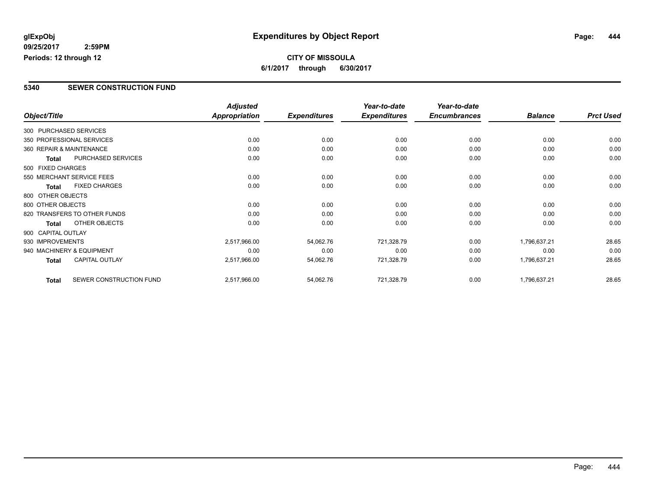#### **09/25/2017 2:59PM Periods: 12 through 12**

**CITY OF MISSOULA 6/1/2017 through 6/30/2017**

#### **5340 SEWER CONSTRUCTION FUND**

|                          |                              | <b>Adjusted</b> |                     | Year-to-date        | Year-to-date        |                |                  |
|--------------------------|------------------------------|-----------------|---------------------|---------------------|---------------------|----------------|------------------|
| Object/Title             |                              | Appropriation   | <b>Expenditures</b> | <b>Expenditures</b> | <b>Encumbrances</b> | <b>Balance</b> | <b>Prct Used</b> |
| 300 PURCHASED SERVICES   |                              |                 |                     |                     |                     |                |                  |
|                          | 350 PROFESSIONAL SERVICES    | 0.00            | 0.00                | 0.00                | 0.00                | 0.00           | 0.00             |
| 360 REPAIR & MAINTENANCE |                              | 0.00            | 0.00                | 0.00                | 0.00                | 0.00           | 0.00             |
| Total                    | PURCHASED SERVICES           | 0.00            | 0.00                | 0.00                | 0.00                | 0.00           | 0.00             |
| 500 FIXED CHARGES        |                              |                 |                     |                     |                     |                |                  |
|                          | 550 MERCHANT SERVICE FEES    | 0.00            | 0.00                | 0.00                | 0.00                | 0.00           | 0.00             |
| <b>Total</b>             | <b>FIXED CHARGES</b>         | 0.00            | 0.00                | 0.00                | 0.00                | 0.00           | 0.00             |
| 800 OTHER OBJECTS        |                              |                 |                     |                     |                     |                |                  |
| 800 OTHER OBJECTS        |                              | 0.00            | 0.00                | 0.00                | 0.00                | 0.00           | 0.00             |
|                          | 820 TRANSFERS TO OTHER FUNDS | 0.00            | 0.00                | 0.00                | 0.00                | 0.00           | 0.00             |
| <b>Total</b>             | OTHER OBJECTS                | 0.00            | 0.00                | 0.00                | 0.00                | 0.00           | 0.00             |
| 900 CAPITAL OUTLAY       |                              |                 |                     |                     |                     |                |                  |
| 930 IMPROVEMENTS         |                              | 2,517,966.00    | 54,062.76           | 721,328.79          | 0.00                | 1,796,637.21   | 28.65            |
|                          | 940 MACHINERY & EQUIPMENT    | 0.00            | 0.00                | 0.00                | 0.00                | 0.00           | 0.00             |
| <b>Total</b>             | <b>CAPITAL OUTLAY</b>        | 2,517,966.00    | 54,062.76           | 721,328.79          | 0.00                | 1,796,637.21   | 28.65            |
| <b>Total</b>             | SEWER CONSTRUCTION FUND      | 2,517,966.00    | 54,062.76           | 721,328.79          | 0.00                | 1,796,637.21   | 28.65            |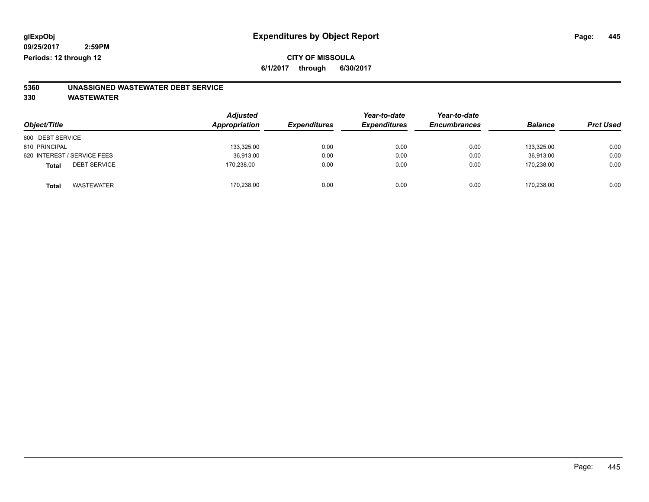**6/1/2017 through 6/30/2017**

# **5360 UNASSIGNED WASTEWATER DEBT SERVICE**

| Object/Title                 | <b>Adjusted</b><br>Appropriation | <b>Expenditures</b> | Year-to-date<br><b>Expenditures</b> | Year-to-date<br><b>Encumbrances</b> | <b>Balance</b> | <b>Prct Used</b> |
|------------------------------|----------------------------------|---------------------|-------------------------------------|-------------------------------------|----------------|------------------|
| 600 DEBT SERVICE             |                                  |                     |                                     |                                     |                |                  |
| 610 PRINCIPAL                | 133,325.00                       | 0.00                | 0.00                                | 0.00                                | 133,325.00     | 0.00             |
| 620 INTEREST / SERVICE FEES  | 36,913.00                        | 0.00                | 0.00                                | 0.00                                | 36,913.00      | 0.00             |
| <b>DEBT SERVICE</b><br>Total | 170,238.00                       | 0.00                | 0.00                                | 0.00                                | 170.238.00     | 0.00             |
| <b>WASTEWATER</b><br>Total   | 170,238.00                       | 0.00                | 0.00                                | 0.00                                | 170.238.00     | 0.00             |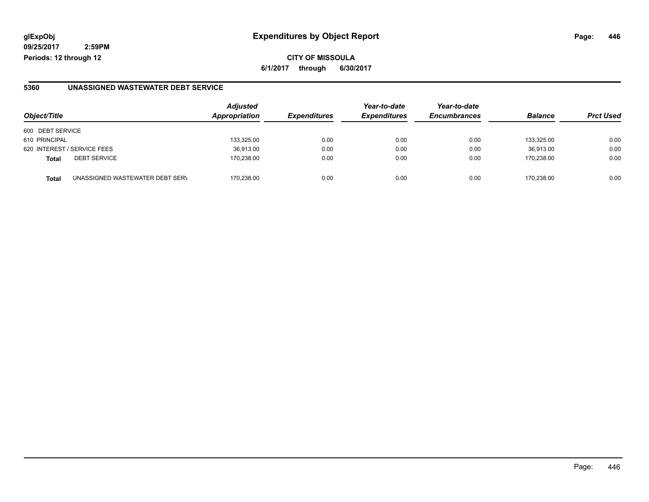**09/25/2017 2:59PM Periods: 12 through 12**

**CITY OF MISSOULA 6/1/2017 through 6/30/2017**

#### **5360 UNASSIGNED WASTEWATER DEBT SERVICE**

| Object/Title                                    | <b>Adjusted</b><br>Appropriation | <b>Expenditures</b> | Year-to-date<br><b>Expenditures</b> | Year-to-date<br><b>Encumbrances</b> | <b>Balance</b> | <b>Prct Used</b> |
|-------------------------------------------------|----------------------------------|---------------------|-------------------------------------|-------------------------------------|----------------|------------------|
| 600 DEBT SERVICE                                |                                  |                     |                                     |                                     |                |                  |
| 610 PRINCIPAL                                   | 133,325.00                       | 0.00                | 0.00                                | 0.00                                | 133.325.00     | 0.00             |
| 620 INTEREST / SERVICE FEES                     | 36,913.00                        | 0.00                | 0.00                                | 0.00                                | 36.913.00      | 0.00             |
| <b>DEBT SERVICE</b><br><b>Total</b>             | 170.238.00                       | 0.00                | 0.00                                | 0.00                                | 170.238.00     | 0.00             |
| UNASSIGNED WASTEWATER DEBT SERV<br><b>Total</b> | 170.238.00                       | 0.00                | 0.00                                | 0.00                                | 170.238.00     | 0.00             |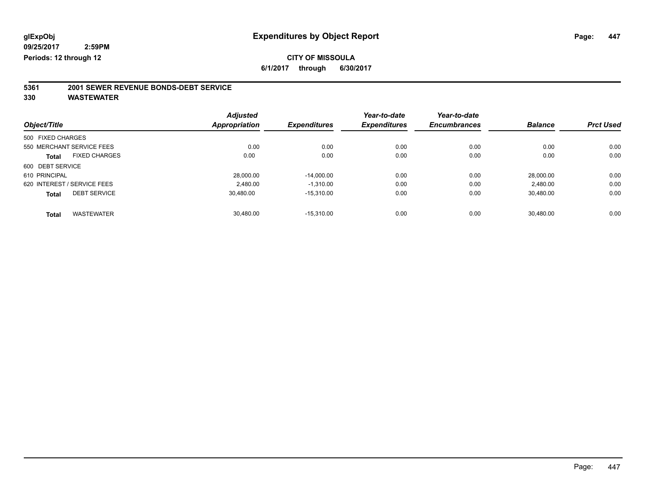**6/1/2017 through 6/30/2017**

# **5361 2001 SEWER REVENUE BONDS-DEBT SERVICE**

| Object/Title      |                             | <b>Adjusted</b><br>Appropriation | <b>Expenditures</b> | Year-to-date<br><b>Expenditures</b> | Year-to-date<br><b>Encumbrances</b> | <b>Balance</b> | <b>Prct Used</b> |
|-------------------|-----------------------------|----------------------------------|---------------------|-------------------------------------|-------------------------------------|----------------|------------------|
|                   |                             |                                  |                     |                                     |                                     |                |                  |
| 500 FIXED CHARGES |                             |                                  |                     |                                     |                                     |                |                  |
|                   | 550 MERCHANT SERVICE FEES   | 0.00                             | 0.00                | 0.00                                | 0.00                                | 0.00           | 0.00             |
| <b>Total</b>      | <b>FIXED CHARGES</b>        | 0.00                             | 0.00                | 0.00                                | 0.00                                | 0.00           | 0.00             |
| 600 DEBT SERVICE  |                             |                                  |                     |                                     |                                     |                |                  |
| 610 PRINCIPAL     |                             | 28.000.00                        | $-14,000.00$        | 0.00                                | 0.00                                | 28.000.00      | 0.00             |
|                   | 620 INTEREST / SERVICE FEES | 2.480.00                         | $-1.310.00$         | 0.00                                | 0.00                                | 2.480.00       | 0.00             |
| <b>Total</b>      | <b>DEBT SERVICE</b>         | 30,480.00                        | $-15,310.00$        | 0.00                                | 0.00                                | 30,480.00      | 0.00             |
|                   | <b>WASTEWATER</b>           | 30.480.00                        | $-15.310.00$        | 0.00                                | 0.00                                | 30.480.00      | 0.00             |
| <b>Total</b>      |                             |                                  |                     |                                     |                                     |                |                  |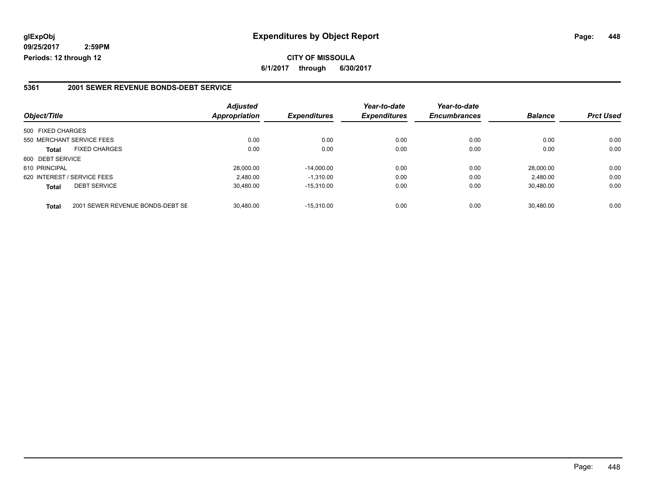**09/25/2017 2:59PM Periods: 12 through 12**

#### **5361 2001 SEWER REVENUE BONDS-DEBT SERVICE**

| Object/Title      |                                  | <b>Adjusted</b><br>Appropriation | <b>Expenditures</b> | Year-to-date<br><b>Expenditures</b> | Year-to-date<br><b>Encumbrances</b> | <b>Balance</b> | <b>Prct Used</b> |
|-------------------|----------------------------------|----------------------------------|---------------------|-------------------------------------|-------------------------------------|----------------|------------------|
| 500 FIXED CHARGES |                                  |                                  |                     |                                     |                                     |                |                  |
|                   | 550 MERCHANT SERVICE FEES        | 0.00                             | 0.00                | 0.00                                | 0.00                                | 0.00           | 0.00             |
| <b>Total</b>      | <b>FIXED CHARGES</b>             | 0.00                             | 0.00                | 0.00                                | 0.00                                | 0.00           | 0.00             |
| 600 DEBT SERVICE  |                                  |                                  |                     |                                     |                                     |                |                  |
| 610 PRINCIPAL     |                                  | 28.000.00                        | $-14.000.00$        | 0.00                                | 0.00                                | 28.000.00      | 0.00             |
|                   | 620 INTEREST / SERVICE FEES      | 2,480.00                         | $-1.310.00$         | 0.00                                | 0.00                                | 2,480.00       | 0.00             |
| <b>Total</b>      | <b>DEBT SERVICE</b>              | 30.480.00                        | $-15.310.00$        | 0.00                                | 0.00                                | 30.480.00      | 0.00             |
| <b>Total</b>      | 2001 SEWER REVENUE BONDS-DEBT SE | 30.480.00                        | $-15.310.00$        | 0.00                                | 0.00                                | 30.480.00      | 0.00             |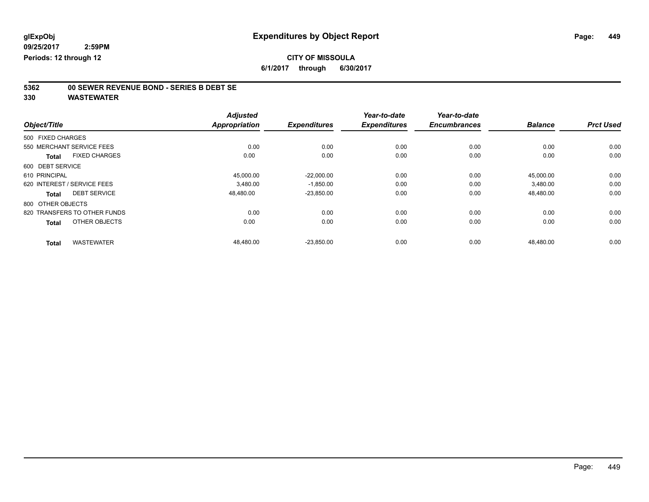**6/1/2017 through 6/30/2017**

# **5362 00 SEWER REVENUE BOND - SERIES B DEBT SE**

|                             |                              | <b>Adjusted</b>      |                     | Year-to-date        | Year-to-date        |                |                  |
|-----------------------------|------------------------------|----------------------|---------------------|---------------------|---------------------|----------------|------------------|
| Object/Title                |                              | <b>Appropriation</b> | <b>Expenditures</b> | <b>Expenditures</b> | <b>Encumbrances</b> | <b>Balance</b> | <b>Prct Used</b> |
| 500 FIXED CHARGES           |                              |                      |                     |                     |                     |                |                  |
|                             | 550 MERCHANT SERVICE FEES    | 0.00                 | 0.00                | 0.00                | 0.00                | 0.00           | 0.00             |
| <b>Total</b>                | <b>FIXED CHARGES</b>         | 0.00                 | 0.00                | 0.00                | 0.00                | 0.00           | 0.00             |
| 600 DEBT SERVICE            |                              |                      |                     |                     |                     |                |                  |
| 610 PRINCIPAL               |                              | 45,000.00            | $-22,000.00$        | 0.00                | 0.00                | 45,000.00      | 0.00             |
| 620 INTEREST / SERVICE FEES |                              | 3,480.00             | $-1,850.00$         | 0.00                | 0.00                | 3,480.00       | 0.00             |
| Total                       | <b>DEBT SERVICE</b>          | 48,480.00            | $-23,850.00$        | 0.00                | 0.00                | 48,480.00      | 0.00             |
| 800 OTHER OBJECTS           |                              |                      |                     |                     |                     |                |                  |
|                             | 820 TRANSFERS TO OTHER FUNDS | 0.00                 | 0.00                | 0.00                | 0.00                | 0.00           | 0.00             |
| <b>Total</b>                | OTHER OBJECTS                | 0.00                 | 0.00                | 0.00                | 0.00                | 0.00           | 0.00             |
| <b>Total</b>                | <b>WASTEWATER</b>            | 48,480.00            | $-23,850.00$        | 0.00                | 0.00                | 48,480.00      | 0.00             |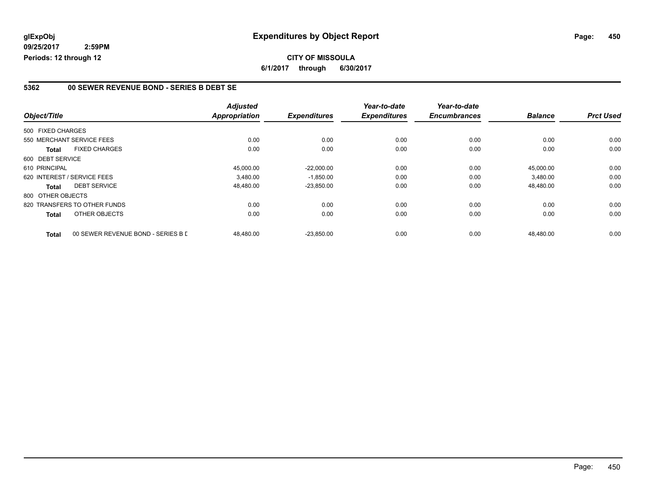**09/25/2017 2:59PM Periods: 12 through 12**

#### **5362 00 SEWER REVENUE BOND - SERIES B DEBT SE**

| Object/Title      |                                    | <b>Adjusted</b><br><b>Appropriation</b> | <b>Expenditures</b> | Year-to-date<br><b>Expenditures</b> | Year-to-date<br><b>Encumbrances</b> | <b>Balance</b> | <b>Prct Used</b> |
|-------------------|------------------------------------|-----------------------------------------|---------------------|-------------------------------------|-------------------------------------|----------------|------------------|
|                   |                                    |                                         |                     |                                     |                                     |                |                  |
| 500 FIXED CHARGES |                                    |                                         |                     |                                     |                                     |                |                  |
|                   | 550 MERCHANT SERVICE FEES          | 0.00                                    | 0.00                | 0.00                                | 0.00                                | 0.00           | 0.00             |
| <b>Total</b>      | <b>FIXED CHARGES</b>               | 0.00                                    | 0.00                | 0.00                                | 0.00                                | 0.00           | 0.00             |
| 600 DEBT SERVICE  |                                    |                                         |                     |                                     |                                     |                |                  |
| 610 PRINCIPAL     |                                    | 45.000.00                               | $-22.000.00$        | 0.00                                | 0.00                                | 45.000.00      | 0.00             |
|                   | 620 INTEREST / SERVICE FEES        | 3.480.00                                | $-1,850.00$         | 0.00                                | 0.00                                | 3,480.00       | 0.00             |
| <b>Total</b>      | <b>DEBT SERVICE</b>                | 48.480.00                               | $-23,850.00$        | 0.00                                | 0.00                                | 48.480.00      | 0.00             |
| 800 OTHER OBJECTS |                                    |                                         |                     |                                     |                                     |                |                  |
|                   | 820 TRANSFERS TO OTHER FUNDS       | 0.00                                    | 0.00                | 0.00                                | 0.00                                | 0.00           | 0.00             |
| <b>Total</b>      | OTHER OBJECTS                      | 0.00                                    | 0.00                | 0.00                                | 0.00                                | 0.00           | 0.00             |
| <b>Total</b>      | 00 SEWER REVENUE BOND - SERIES B L | 48.480.00                               | $-23.850.00$        | 0.00                                | 0.00                                | 48.480.00      | 0.00             |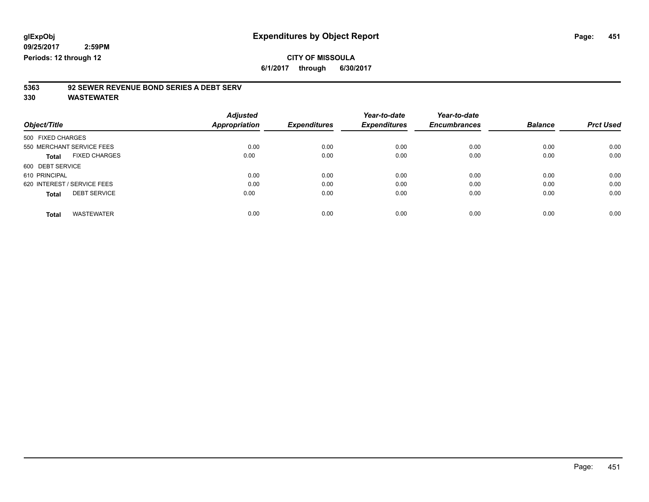**6/1/2017 through 6/30/2017**

# **5363 92 SEWER REVENUE BOND SERIES A DEBT SERV**

| Object/Title                         | <b>Adjusted</b><br><b>Appropriation</b> | <b>Expenditures</b> | Year-to-date<br><b>Expenditures</b> | Year-to-date<br><b>Encumbrances</b> | <b>Balance</b> | <b>Prct Used</b> |
|--------------------------------------|-----------------------------------------|---------------------|-------------------------------------|-------------------------------------|----------------|------------------|
|                                      |                                         |                     |                                     |                                     |                |                  |
| 500 FIXED CHARGES                    |                                         |                     |                                     |                                     |                |                  |
| 550 MERCHANT SERVICE FEES            | 0.00                                    | 0.00                | 0.00                                | 0.00                                | 0.00           | 0.00             |
| <b>FIXED CHARGES</b><br><b>Total</b> | 0.00                                    | 0.00                | 0.00                                | 0.00                                | 0.00           | 0.00             |
| 600 DEBT SERVICE                     |                                         |                     |                                     |                                     |                |                  |
| 610 PRINCIPAL                        | 0.00                                    | 0.00                | 0.00                                | 0.00                                | 0.00           | 0.00             |
| 620 INTEREST / SERVICE FEES          | 0.00                                    | 0.00                | 0.00                                | 0.00                                | 0.00           | 0.00             |
| <b>DEBT SERVICE</b><br><b>Total</b>  | 0.00                                    | 0.00                | 0.00                                | 0.00                                | 0.00           | 0.00             |
|                                      |                                         |                     |                                     |                                     |                |                  |
| <b>WASTEWATER</b><br>Total           | 0.00                                    | 0.00                | 0.00                                | 0.00                                | 0.00           | 0.00             |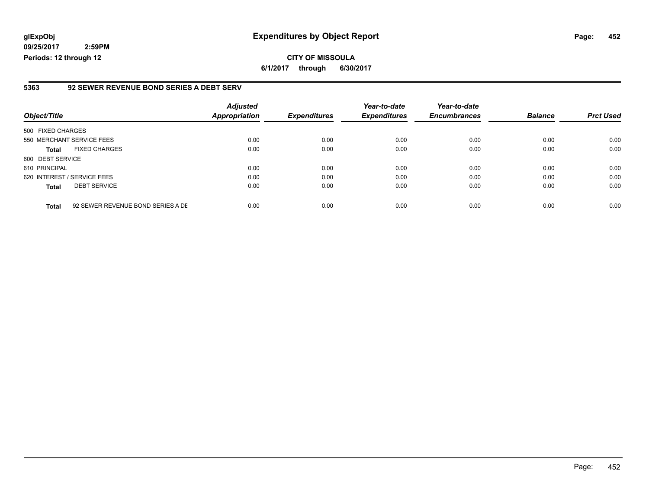**09/25/2017 2:59PM Periods: 12 through 12**

#### **5363 92 SEWER REVENUE BOND SERIES A DEBT SERV**

| Object/Title                |                                   | <b>Adjusted</b><br><b>Appropriation</b> | <b>Expenditures</b> | Year-to-date<br><b>Expenditures</b> | Year-to-date<br><b>Encumbrances</b> | <b>Balance</b> | <b>Prct Used</b> |
|-----------------------------|-----------------------------------|-----------------------------------------|---------------------|-------------------------------------|-------------------------------------|----------------|------------------|
| 500 FIXED CHARGES           |                                   |                                         |                     |                                     |                                     |                |                  |
| 550 MERCHANT SERVICE FEES   |                                   | 0.00                                    | 0.00                | 0.00                                | 0.00                                | 0.00           | 0.00             |
| <b>Total</b>                | <b>FIXED CHARGES</b>              | 0.00                                    | 0.00                | 0.00                                | 0.00                                | 0.00           | 0.00             |
| 600 DEBT SERVICE            |                                   |                                         |                     |                                     |                                     |                |                  |
| 610 PRINCIPAL               |                                   | 0.00                                    | 0.00                | 0.00                                | 0.00                                | 0.00           | 0.00             |
| 620 INTEREST / SERVICE FEES |                                   | 0.00                                    | 0.00                | 0.00                                | 0.00                                | 0.00           | 0.00             |
| <b>Total</b>                | <b>DEBT SERVICE</b>               | 0.00                                    | 0.00                | 0.00                                | 0.00                                | 0.00           | 0.00             |
| <b>Total</b>                | 92 SEWER REVENUE BOND SERIES A DE | 0.00                                    | 0.00                | 0.00                                | 0.00                                | 0.00           | 0.00             |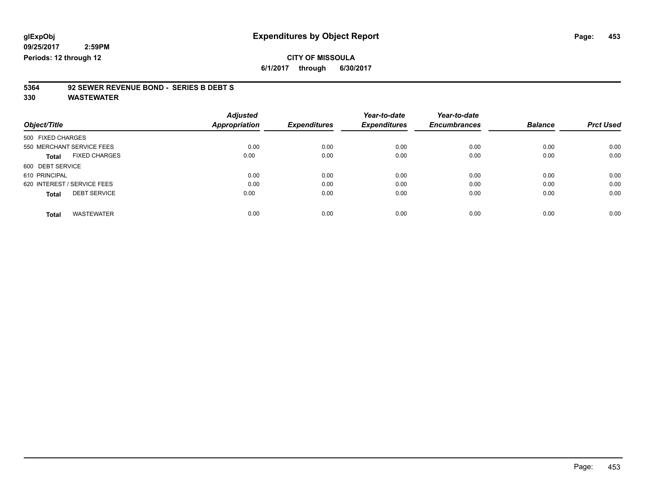**2:59PM Periods: 12 through 12**

**CITY OF MISSOULA 6/1/2017 through 6/30/2017**

# **5364 92 SEWER REVENUE BOND - SERIES B DEBT S**

| Object/Title                         | <b>Adjusted</b><br><b>Appropriation</b> | <b>Expenditures</b> | Year-to-date<br><b>Expenditures</b> | Year-to-date<br><b>Encumbrances</b> | <b>Balance</b> | <b>Prct Used</b> |
|--------------------------------------|-----------------------------------------|---------------------|-------------------------------------|-------------------------------------|----------------|------------------|
| 500 FIXED CHARGES                    |                                         |                     |                                     |                                     |                |                  |
| 550 MERCHANT SERVICE FEES            | 0.00                                    | 0.00                | 0.00                                | 0.00                                | 0.00           | 0.00             |
| <b>FIXED CHARGES</b><br><b>Total</b> | 0.00                                    | 0.00                | 0.00                                | 0.00                                | 0.00           | 0.00             |
| 600 DEBT SERVICE                     |                                         |                     |                                     |                                     |                |                  |
| 610 PRINCIPAL                        | 0.00                                    | 0.00                | 0.00                                | 0.00                                | 0.00           | 0.00             |
| 620 INTEREST / SERVICE FEES          | 0.00                                    | 0.00                | 0.00                                | 0.00                                | 0.00           | 0.00             |
| <b>DEBT SERVICE</b><br><b>Total</b>  | 0.00                                    | 0.00                | 0.00                                | 0.00                                | 0.00           | 0.00             |
|                                      |                                         |                     |                                     |                                     |                |                  |
| <b>WASTEWATER</b><br><b>Total</b>    | 0.00                                    | 0.00                | 0.00                                | 0.00                                | 0.00           | 0.00             |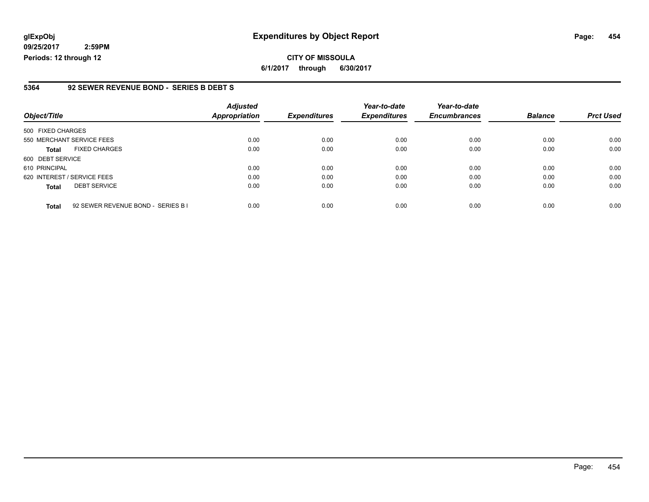**09/25/2017 2:59PM Periods: 12 through 12**

#### **5364 92 SEWER REVENUE BOND - SERIES B DEBT S**

| Object/Title                |                                    | <b>Adjusted</b><br>Appropriation | <b>Expenditures</b> | Year-to-date<br><b>Expenditures</b> | Year-to-date<br><b>Encumbrances</b> | <b>Balance</b> | <b>Prct Used</b> |
|-----------------------------|------------------------------------|----------------------------------|---------------------|-------------------------------------|-------------------------------------|----------------|------------------|
| 500 FIXED CHARGES           |                                    |                                  |                     |                                     |                                     |                |                  |
| 550 MERCHANT SERVICE FEES   |                                    | 0.00                             | 0.00                | 0.00                                | 0.00                                | 0.00           | 0.00             |
| <b>Total</b>                | <b>FIXED CHARGES</b>               | 0.00                             | 0.00                | 0.00                                | 0.00                                | 0.00           | 0.00             |
| 600 DEBT SERVICE            |                                    |                                  |                     |                                     |                                     |                |                  |
| 610 PRINCIPAL               |                                    | 0.00                             | 0.00                | 0.00                                | 0.00                                | 0.00           | 0.00             |
| 620 INTEREST / SERVICE FEES |                                    | 0.00                             | 0.00                | 0.00                                | 0.00                                | 0.00           | 0.00             |
| <b>Total</b>                | <b>DEBT SERVICE</b>                | 0.00                             | 0.00                | 0.00                                | 0.00                                | 0.00           | 0.00             |
| <b>Total</b>                | 92 SEWER REVENUE BOND - SERIES B I | 0.00                             | 0.00                | 0.00                                | 0.00                                | 0.00           | 0.00             |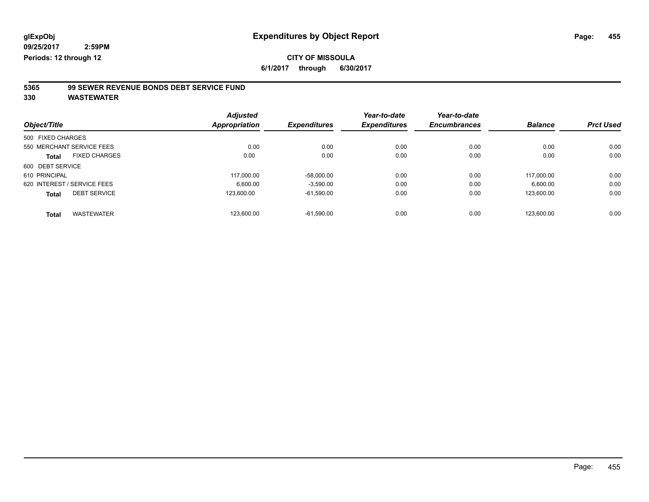**6/1/2017 through 6/30/2017**

# **5365 99 SEWER REVENUE BONDS DEBT SERVICE FUND**

|                   |                             | <b>Adjusted</b>      |                     | Year-to-date        | Year-to-date        |                |                  |
|-------------------|-----------------------------|----------------------|---------------------|---------------------|---------------------|----------------|------------------|
| Object/Title      |                             | <b>Appropriation</b> | <b>Expenditures</b> | <b>Expenditures</b> | <b>Encumbrances</b> | <b>Balance</b> | <b>Prct Used</b> |
| 500 FIXED CHARGES |                             |                      |                     |                     |                     |                |                  |
|                   | 550 MERCHANT SERVICE FEES   | 0.00                 | 0.00                | 0.00                | 0.00                | 0.00           | 0.00             |
| <b>Total</b>      | <b>FIXED CHARGES</b>        | 0.00                 | 0.00                | 0.00                | 0.00                | 0.00           | 0.00             |
| 600 DEBT SERVICE  |                             |                      |                     |                     |                     |                |                  |
| 610 PRINCIPAL     |                             | 117.000.00           | $-58,000.00$        | 0.00                | 0.00                | 117.000.00     | 0.00             |
|                   | 620 INTEREST / SERVICE FEES | 6.600.00             | $-3,590.00$         | 0.00                | 0.00                | 6.600.00       | 0.00             |
| <b>Total</b>      | <b>DEBT SERVICE</b>         | 123,600.00           | $-61,590.00$        | 0.00                | 0.00                | 123.600.00     | 0.00             |
| <b>Total</b>      | <b>WASTEWATER</b>           | 123.600.00           | $-61.590.00$        | 0.00                | 0.00                | 123.600.00     | 0.00             |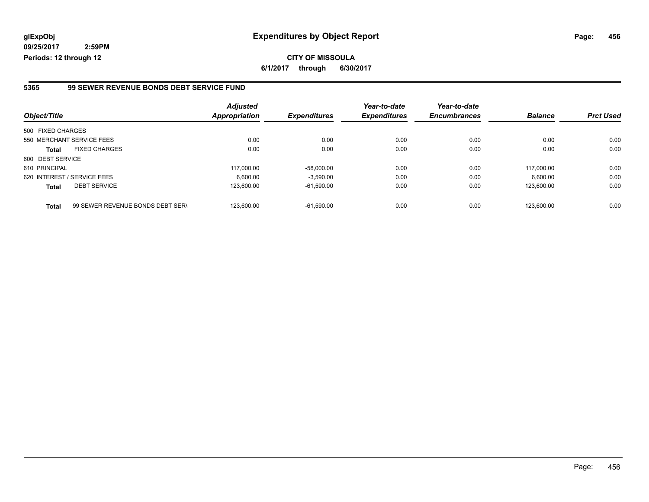**09/25/2017 2:59PM Periods: 12 through 12**

**CITY OF MISSOULA 6/1/2017 through 6/30/2017**

#### **5365 99 SEWER REVENUE BONDS DEBT SERVICE FUND**

| Object/Title      |                                  | <b>Adjusted</b><br>Appropriation | <b>Expenditures</b> | Year-to-date<br><b>Expenditures</b> | Year-to-date<br><b>Encumbrances</b> | <b>Balance</b> | <b>Prct Used</b> |
|-------------------|----------------------------------|----------------------------------|---------------------|-------------------------------------|-------------------------------------|----------------|------------------|
|                   |                                  |                                  |                     |                                     |                                     |                |                  |
| 500 FIXED CHARGES |                                  |                                  |                     |                                     |                                     |                |                  |
|                   | 550 MERCHANT SERVICE FEES        | 0.00                             | 0.00                | 0.00                                | 0.00                                | 0.00           | 0.00             |
| <b>Total</b>      | <b>FIXED CHARGES</b>             | 0.00                             | 0.00                | 0.00                                | 0.00                                | 0.00           | 0.00             |
| 600 DEBT SERVICE  |                                  |                                  |                     |                                     |                                     |                |                  |
| 610 PRINCIPAL     |                                  | 117.000.00                       | $-58,000.00$        | 0.00                                | 0.00                                | 117.000.00     | 0.00             |
|                   | 620 INTEREST / SERVICE FEES      | 6.600.00                         | $-3.590.00$         | 0.00                                | 0.00                                | 6,600.00       | 0.00             |
| <b>Total</b>      | <b>DEBT SERVICE</b>              | 123,600.00                       | $-61,590.00$        | 0.00                                | 0.00                                | 123.600.00     | 0.00             |
| <b>Total</b>      | 99 SEWER REVENUE BONDS DEBT SERV | 123.600.00                       | $-61.590.00$        | 0.00                                | 0.00                                | 123.600.00     | 0.00             |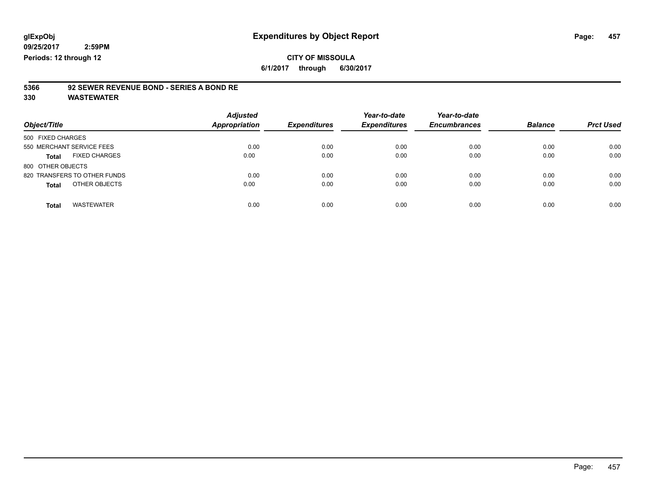**6/1/2017 through 6/30/2017**

# **5366 92 SEWER REVENUE BOND - SERIES A BOND RE**

| Object/Title                         | <b>Adjusted</b><br><b>Appropriation</b> | <b>Expenditures</b> | Year-to-date<br><b>Expenditures</b> | Year-to-date<br><b>Encumbrances</b> | <b>Balance</b> | <b>Prct Used</b> |
|--------------------------------------|-----------------------------------------|---------------------|-------------------------------------|-------------------------------------|----------------|------------------|
| 500 FIXED CHARGES                    |                                         |                     |                                     |                                     |                |                  |
| 550 MERCHANT SERVICE FEES            | 0.00                                    | 0.00                | 0.00                                | 0.00                                | 0.00           | 0.00             |
| <b>FIXED CHARGES</b><br><b>Total</b> | 0.00                                    | 0.00                | 0.00                                | 0.00                                | 0.00           | 0.00             |
| 800 OTHER OBJECTS                    |                                         |                     |                                     |                                     |                |                  |
| 820 TRANSFERS TO OTHER FUNDS         | 0.00                                    | 0.00                | 0.00                                | 0.00                                | 0.00           | 0.00             |
| OTHER OBJECTS<br><b>Total</b>        | 0.00                                    | 0.00                | 0.00                                | 0.00                                | 0.00           | 0.00             |
| <b>WASTEWATER</b><br><b>Total</b>    | 0.00                                    | 0.00                | 0.00                                | 0.00                                | 0.00           | 0.00             |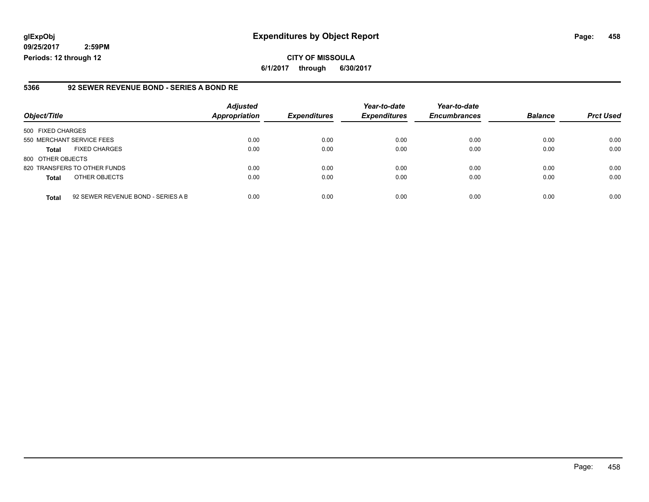**09/25/2017 2:59PM Periods: 12 through 12**

#### **5366 92 SEWER REVENUE BOND - SERIES A BOND RE**

| Object/Title              |                                    | <b>Adjusted</b><br><b>Appropriation</b> | <b>Expenditures</b> | Year-to-date<br><b>Expenditures</b> | Year-to-date<br><b>Encumbrances</b> | <b>Balance</b> | <b>Prct Used</b> |
|---------------------------|------------------------------------|-----------------------------------------|---------------------|-------------------------------------|-------------------------------------|----------------|------------------|
| 500 FIXED CHARGES         |                                    |                                         |                     |                                     |                                     |                |                  |
| 550 MERCHANT SERVICE FEES |                                    | 0.00                                    | 0.00                | 0.00                                | 0.00                                | 0.00           | 0.00             |
| <b>Total</b>              | <b>FIXED CHARGES</b>               | 0.00                                    | 0.00                | 0.00                                | 0.00                                | 0.00           | 0.00             |
| 800 OTHER OBJECTS         |                                    |                                         |                     |                                     |                                     |                |                  |
|                           | 820 TRANSFERS TO OTHER FUNDS       | 0.00                                    | 0.00                | 0.00                                | 0.00                                | 0.00           | 0.00             |
| <b>Total</b>              | OTHER OBJECTS                      | 0.00                                    | 0.00                | 0.00                                | 0.00                                | 0.00           | 0.00             |
| <b>Total</b>              | 92 SEWER REVENUE BOND - SERIES A B | 0.00                                    | 0.00                | 0.00                                | 0.00                                | 0.00           | 0.00             |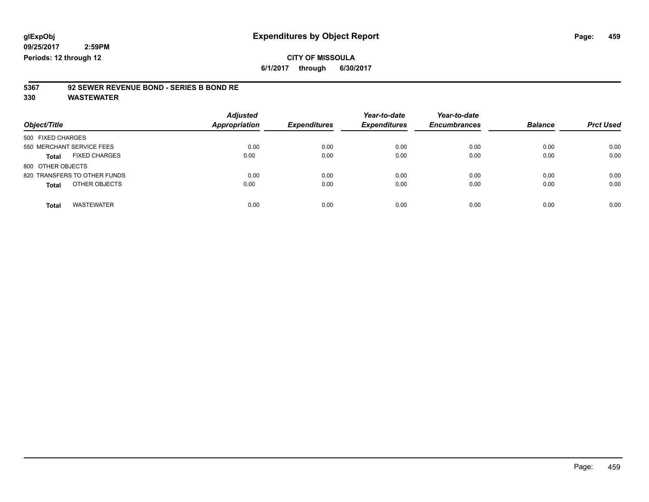**6/1/2017 through 6/30/2017**

# **5367 92 SEWER REVENUE BOND - SERIES B BOND RE**

| Object/Title                         | <b>Adjusted</b><br><b>Appropriation</b> | <b>Expenditures</b> | Year-to-date<br><b>Expenditures</b> | Year-to-date<br><b>Encumbrances</b> | <b>Balance</b> | <b>Prct Used</b> |
|--------------------------------------|-----------------------------------------|---------------------|-------------------------------------|-------------------------------------|----------------|------------------|
| 500 FIXED CHARGES                    |                                         |                     |                                     |                                     |                |                  |
| 550 MERCHANT SERVICE FEES            | 0.00                                    | 0.00                | 0.00                                | 0.00                                | 0.00           | 0.00             |
| <b>FIXED CHARGES</b><br><b>Total</b> | 0.00                                    | 0.00                | 0.00                                | 0.00                                | 0.00           | 0.00             |
| 800 OTHER OBJECTS                    |                                         |                     |                                     |                                     |                |                  |
| 820 TRANSFERS TO OTHER FUNDS         | 0.00                                    | 0.00                | 0.00                                | 0.00                                | 0.00           | 0.00             |
| OTHER OBJECTS<br><b>Total</b>        | 0.00                                    | 0.00                | 0.00                                | 0.00                                | 0.00           | 0.00             |
| <b>WASTEWATER</b><br><b>Total</b>    | 0.00                                    | 0.00                | 0.00                                | 0.00                                | 0.00           | 0.00             |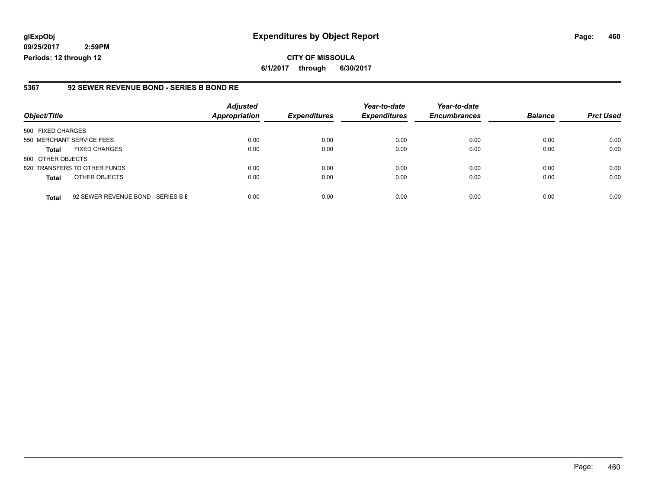**09/25/2017 2:59PM Periods: 12 through 12**

#### **5367 92 SEWER REVENUE BOND - SERIES B BOND RE**

| Object/Title              |                                    | <b>Adjusted</b><br><b>Appropriation</b> | <b>Expenditures</b> | Year-to-date<br><b>Expenditures</b> | Year-to-date<br><b>Encumbrances</b> | <b>Balance</b> | <b>Prct Used</b> |
|---------------------------|------------------------------------|-----------------------------------------|---------------------|-------------------------------------|-------------------------------------|----------------|------------------|
| 500 FIXED CHARGES         |                                    |                                         |                     |                                     |                                     |                |                  |
| 550 MERCHANT SERVICE FEES |                                    | 0.00                                    | 0.00                | 0.00                                | 0.00                                | 0.00           | 0.00             |
| <b>Total</b>              | <b>FIXED CHARGES</b>               | 0.00                                    | 0.00                | 0.00                                | 0.00                                | 0.00           | 0.00             |
| 800 OTHER OBJECTS         |                                    |                                         |                     |                                     |                                     |                |                  |
|                           | 820 TRANSFERS TO OTHER FUNDS       | 0.00                                    | 0.00                | 0.00                                | 0.00                                | 0.00           | 0.00             |
| <b>Total</b>              | OTHER OBJECTS                      | 0.00                                    | 0.00                | 0.00                                | 0.00                                | 0.00           | 0.00             |
| <b>Total</b>              | 92 SEWER REVENUE BOND - SERIES B E | 0.00                                    | 0.00                | 0.00                                | 0.00                                | 0.00           | 0.00             |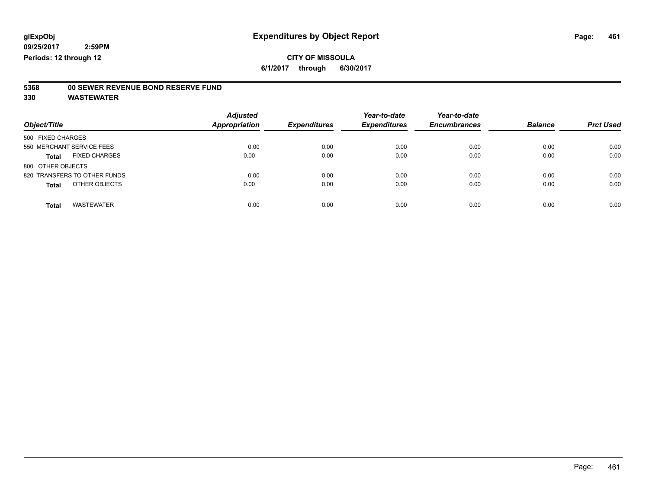**6/1/2017 through 6/30/2017**

# **5368 00 SEWER REVENUE BOND RESERVE FUND**

| Object/Title                         | <b>Adjusted</b><br>Appropriation | <b>Expenditures</b> | Year-to-date<br><b>Expenditures</b> | Year-to-date<br><b>Encumbrances</b> | <b>Balance</b> | <b>Prct Used</b> |
|--------------------------------------|----------------------------------|---------------------|-------------------------------------|-------------------------------------|----------------|------------------|
| 500 FIXED CHARGES                    |                                  |                     |                                     |                                     |                |                  |
| 550 MERCHANT SERVICE FEES            | 0.00                             | 0.00                | 0.00                                | 0.00                                | 0.00           | 0.00             |
| <b>FIXED CHARGES</b><br><b>Total</b> | 0.00                             | 0.00                | 0.00                                | 0.00                                | 0.00           | 0.00             |
| 800 OTHER OBJECTS                    |                                  |                     |                                     |                                     |                |                  |
| 820 TRANSFERS TO OTHER FUNDS         | 0.00                             | 0.00                | 0.00                                | 0.00                                | 0.00           | 0.00             |
| OTHER OBJECTS<br><b>Total</b>        | 0.00                             | 0.00                | 0.00                                | 0.00                                | 0.00           | 0.00             |
| <b>WASTEWATER</b><br><b>Total</b>    | 0.00                             | 0.00                | 0.00                                | 0.00                                | 0.00           | 0.00             |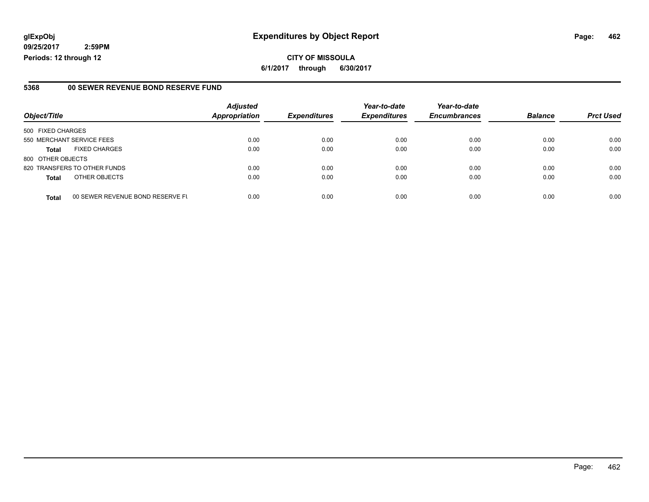**09/25/2017 2:59PM Periods: 12 through 12**

#### **5368 00 SEWER REVENUE BOND RESERVE FUND**

|                           |                                  | <b>Adjusted</b>      |                     | Year-to-date        | Year-to-date        |                |                  |
|---------------------------|----------------------------------|----------------------|---------------------|---------------------|---------------------|----------------|------------------|
| Object/Title              |                                  | <b>Appropriation</b> | <b>Expenditures</b> | <b>Expenditures</b> | <b>Encumbrances</b> | <b>Balance</b> | <b>Prct Used</b> |
| 500 FIXED CHARGES         |                                  |                      |                     |                     |                     |                |                  |
| 550 MERCHANT SERVICE FEES |                                  | 0.00                 | 0.00                | 0.00                | 0.00                | 0.00           | 0.00             |
| <b>Total</b>              | <b>FIXED CHARGES</b>             | 0.00                 | 0.00                | 0.00                | 0.00                | 0.00           | 0.00             |
| 800 OTHER OBJECTS         |                                  |                      |                     |                     |                     |                |                  |
|                           | 820 TRANSFERS TO OTHER FUNDS     | 0.00                 | 0.00                | 0.00                | 0.00                | 0.00           | 0.00             |
| <b>Total</b>              | OTHER OBJECTS                    | 0.00                 | 0.00                | 0.00                | 0.00                | 0.00           | 0.00             |
| <b>Total</b>              | 00 SEWER REVENUE BOND RESERVE FU | 0.00                 | 0.00                | 0.00                | 0.00                | 0.00           | 0.00             |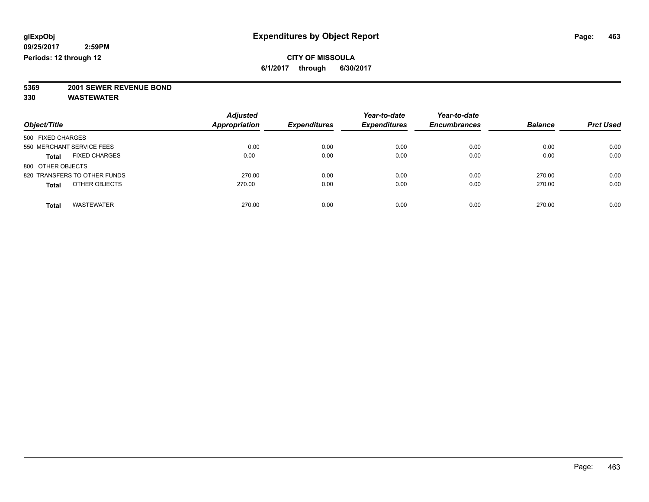### **CITY OF MISSOULA 6/1/2017 through 6/30/2017**

**5369 2001 SEWER REVENUE BOND**

| Object/Title                         | <b>Adjusted</b><br><b>Appropriation</b> | <b>Expenditures</b> | Year-to-date<br><b>Expenditures</b> | Year-to-date<br><b>Encumbrances</b> | <b>Balance</b> | <b>Prct Used</b> |
|--------------------------------------|-----------------------------------------|---------------------|-------------------------------------|-------------------------------------|----------------|------------------|
| 500 FIXED CHARGES                    |                                         |                     |                                     |                                     |                |                  |
| 550 MERCHANT SERVICE FEES            | 0.00                                    | 0.00                | 0.00                                | 0.00                                | 0.00           | 0.00             |
| <b>FIXED CHARGES</b><br><b>Total</b> | 0.00                                    | 0.00                | 0.00                                | 0.00                                | 0.00           | 0.00             |
| 800 OTHER OBJECTS                    |                                         |                     |                                     |                                     |                |                  |
| 820 TRANSFERS TO OTHER FUNDS         | 270.00                                  | 0.00                | 0.00                                | 0.00                                | 270.00         | 0.00             |
| OTHER OBJECTS<br><b>Total</b>        | 270.00                                  | 0.00                | 0.00                                | 0.00                                | 270.00         | 0.00             |
| <b>WASTEWATER</b><br>Total           | 270.00                                  | 0.00                | 0.00                                | 0.00                                | 270.00         | 0.00             |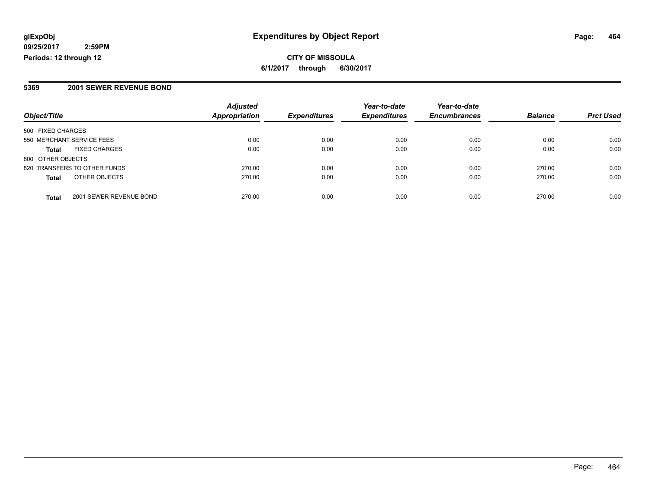**09/25/2017 2:59PM Periods: 12 through 12**

**6/1/2017 through 6/30/2017**

#### **5369 2001 SEWER REVENUE BOND**

| Object/Title                 |                         | <b>Adjusted</b><br><b>Appropriation</b> | <b>Expenditures</b> | Year-to-date<br><b>Expenditures</b> | Year-to-date        | <b>Balance</b> | <b>Prct Used</b> |
|------------------------------|-------------------------|-----------------------------------------|---------------------|-------------------------------------|---------------------|----------------|------------------|
|                              |                         |                                         |                     |                                     | <b>Encumbrances</b> |                |                  |
| 500 FIXED CHARGES            |                         |                                         |                     |                                     |                     |                |                  |
| 550 MERCHANT SERVICE FEES    |                         | 0.00                                    | 0.00                | 0.00                                | 0.00                | 0.00           | 0.00             |
| <b>Total</b>                 | <b>FIXED CHARGES</b>    | 0.00                                    | 0.00                | 0.00                                | 0.00                | 0.00           | 0.00             |
| 800 OTHER OBJECTS            |                         |                                         |                     |                                     |                     |                |                  |
| 820 TRANSFERS TO OTHER FUNDS |                         | 270.00                                  | 0.00                | 0.00                                | 0.00                | 270.00         | 0.00             |
| <b>Total</b>                 | OTHER OBJECTS           | 270.00                                  | 0.00                | 0.00                                | 0.00                | 270.00         | 0.00             |
| <b>Total</b>                 | 2001 SEWER REVENUE BOND | 270.00                                  | 0.00                | 0.00                                | 0.00                | 270.00         | 0.00             |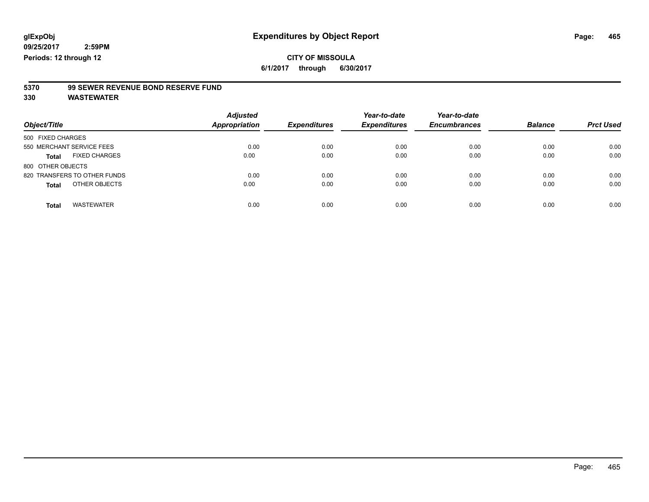**6/1/2017 through 6/30/2017**

# **5370 99 SEWER REVENUE BOND RESERVE FUND**

| Object/Title                         | <b>Adjusted</b><br>Appropriation | <b>Expenditures</b> | Year-to-date<br><b>Expenditures</b> | Year-to-date<br><b>Encumbrances</b> | <b>Balance</b> | <b>Prct Used</b> |
|--------------------------------------|----------------------------------|---------------------|-------------------------------------|-------------------------------------|----------------|------------------|
| 500 FIXED CHARGES                    |                                  |                     |                                     |                                     |                |                  |
| 550 MERCHANT SERVICE FEES            | 0.00                             | 0.00                | 0.00                                | 0.00                                | 0.00           | 0.00             |
| <b>FIXED CHARGES</b><br><b>Total</b> | 0.00                             | 0.00                | 0.00                                | 0.00                                | 0.00           | 0.00             |
| 800 OTHER OBJECTS                    |                                  |                     |                                     |                                     |                |                  |
| 820 TRANSFERS TO OTHER FUNDS         | 0.00                             | 0.00                | 0.00                                | 0.00                                | 0.00           | 0.00             |
| OTHER OBJECTS<br><b>Total</b>        | 0.00                             | 0.00                | 0.00                                | 0.00                                | 0.00           | 0.00             |
| <b>WASTEWATER</b><br><b>Total</b>    | 0.00                             | 0.00                | 0.00                                | 0.00                                | 0.00           | 0.00             |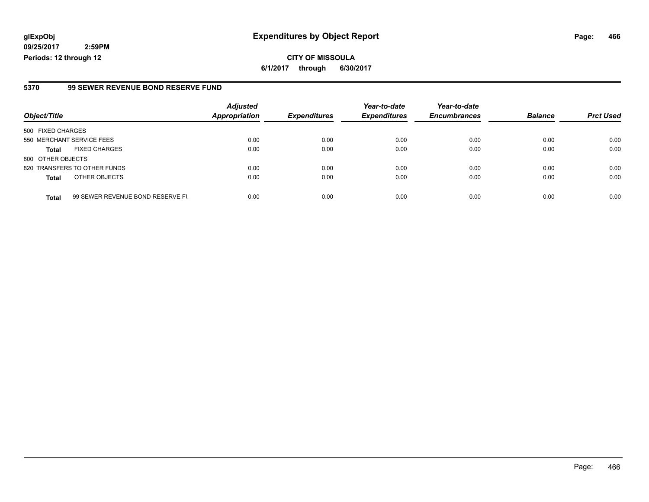**09/25/2017 2:59PM Periods: 12 through 12**

#### **5370 99 SEWER REVENUE BOND RESERVE FUND**

| Object/Title                                     | <b>Adjusted</b><br><b>Appropriation</b> | <b>Expenditures</b> | Year-to-date<br><b>Expenditures</b> | Year-to-date<br><b>Encumbrances</b> | <b>Balance</b> | <b>Prct Used</b> |
|--------------------------------------------------|-----------------------------------------|---------------------|-------------------------------------|-------------------------------------|----------------|------------------|
|                                                  |                                         |                     |                                     |                                     |                |                  |
| 500 FIXED CHARGES                                |                                         |                     |                                     |                                     |                |                  |
| 550 MERCHANT SERVICE FEES                        | 0.00                                    | 0.00                | 0.00                                | 0.00                                | 0.00           | 0.00             |
| <b>FIXED CHARGES</b><br><b>Total</b>             | 0.00                                    | 0.00                | 0.00                                | 0.00                                | 0.00           | 0.00             |
| 800 OTHER OBJECTS                                |                                         |                     |                                     |                                     |                |                  |
| 820 TRANSFERS TO OTHER FUNDS                     | 0.00                                    | 0.00                | 0.00                                | 0.00                                | 0.00           | 0.00             |
| OTHER OBJECTS<br><b>Total</b>                    | 0.00                                    | 0.00                | 0.00                                | 0.00                                | 0.00           | 0.00             |
|                                                  |                                         |                     |                                     |                                     |                |                  |
| 99 SEWER REVENUE BOND RESERVE FL<br><b>Total</b> | 0.00                                    | 0.00                | 0.00                                | 0.00                                | 0.00           | 0.00             |

Page: 466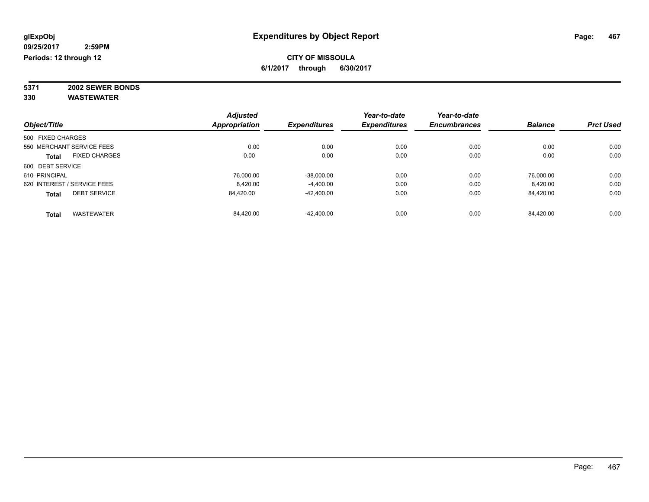### **CITY OF MISSOULA 6/1/2017 through 6/30/2017**

**5371 2002 SEWER BONDS 330 WASTEWATER**

| Object/Title                |                      | <b>Adjusted</b> | <b>Expenditures</b> | Year-to-date<br><b>Expenditures</b> | Year-to-date        | <b>Balance</b> | <b>Prct Used</b> |
|-----------------------------|----------------------|-----------------|---------------------|-------------------------------------|---------------------|----------------|------------------|
|                             |                      | Appropriation   |                     |                                     | <b>Encumbrances</b> |                |                  |
| 500 FIXED CHARGES           |                      |                 |                     |                                     |                     |                |                  |
| 550 MERCHANT SERVICE FEES   |                      | 0.00            | 0.00                | 0.00                                | 0.00                | 0.00           | 0.00             |
| <b>Total</b>                | <b>FIXED CHARGES</b> | 0.00            | 0.00                | 0.00                                | 0.00                | 0.00           | 0.00             |
| 600 DEBT SERVICE            |                      |                 |                     |                                     |                     |                |                  |
| 610 PRINCIPAL               |                      | 76.000.00       | $-38,000.00$        | 0.00                                | 0.00                | 76.000.00      | 0.00             |
| 620 INTEREST / SERVICE FEES |                      | 8,420.00        | $-4,400.00$         | 0.00                                | 0.00                | 8,420.00       | 0.00             |
| <b>Total</b>                | <b>DEBT SERVICE</b>  | 84.420.00       | $-42.400.00$        | 0.00                                | 0.00                | 84,420.00      | 0.00             |
| <b>Total</b>                | <b>WASTEWATER</b>    | 84.420.00       | $-42.400.00$        | 0.00                                | 0.00                | 84.420.00      | 0.00             |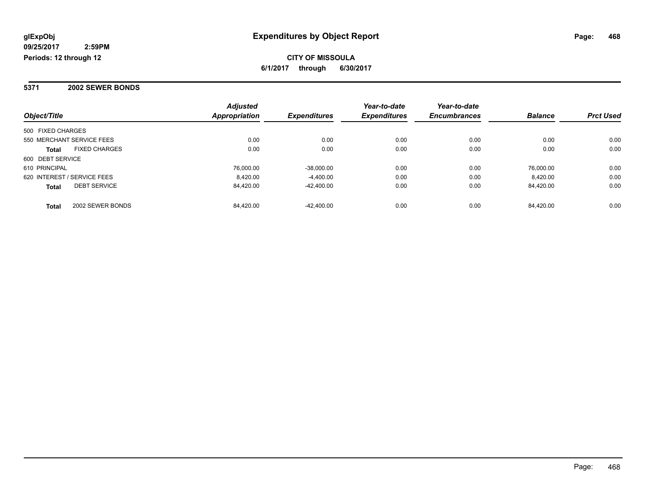**Periods: 12 through 12**

### **CITY OF MISSOULA 6/1/2017 through 6/30/2017**

### **5371 2002 SEWER BONDS**

|                                      | <b>Adjusted</b>      |                     | Year-to-date        | Year-to-date        |                |                  |
|--------------------------------------|----------------------|---------------------|---------------------|---------------------|----------------|------------------|
| Object/Title                         | <b>Appropriation</b> | <b>Expenditures</b> | <b>Expenditures</b> | <b>Encumbrances</b> | <b>Balance</b> | <b>Prct Used</b> |
| 500 FIXED CHARGES                    |                      |                     |                     |                     |                |                  |
| 550 MERCHANT SERVICE FEES            | 0.00                 | 0.00                | 0.00                | 0.00                | 0.00           | 0.00             |
| <b>FIXED CHARGES</b><br><b>Total</b> | 0.00                 | 0.00                | 0.00                | 0.00                | 0.00           | 0.00             |
| 600 DEBT SERVICE                     |                      |                     |                     |                     |                |                  |
| 610 PRINCIPAL                        | 76.000.00            | $-38,000.00$        | 0.00                | 0.00                | 76.000.00      | 0.00             |
| 620 INTEREST / SERVICE FEES          | 8.420.00             | $-4.400.00$         | 0.00                | 0.00                | 8.420.00       | 0.00             |
| <b>DEBT SERVICE</b><br><b>Total</b>  | 84,420.00            | $-42,400.00$        | 0.00                | 0.00                | 84.420.00      | 0.00             |
| 2002 SEWER BONDS<br><b>Total</b>     | 84.420.00            | $-42.400.00$        | 0.00                | 0.00                | 84.420.00      | 0.00             |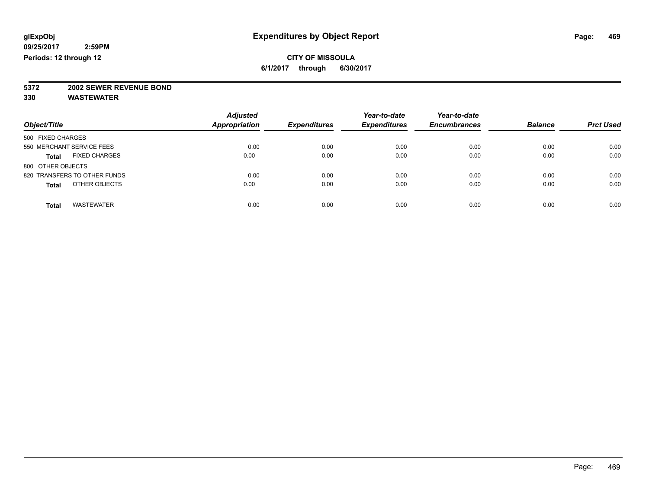# **5372 2002 SEWER REVENUE BOND**

| Object/Title                         | <b>Adjusted</b><br><b>Appropriation</b> | <b>Expenditures</b> | Year-to-date<br><b>Expenditures</b> | Year-to-date<br><b>Encumbrances</b> | <b>Balance</b> | <b>Prct Used</b> |
|--------------------------------------|-----------------------------------------|---------------------|-------------------------------------|-------------------------------------|----------------|------------------|
| 500 FIXED CHARGES                    |                                         |                     |                                     |                                     |                |                  |
| 550 MERCHANT SERVICE FEES            | 0.00                                    | 0.00                | 0.00                                | 0.00                                | 0.00           | 0.00             |
| <b>FIXED CHARGES</b><br><b>Total</b> | 0.00                                    | 0.00                | 0.00                                | 0.00                                | 0.00           | 0.00             |
| 800 OTHER OBJECTS                    |                                         |                     |                                     |                                     |                |                  |
| 820 TRANSFERS TO OTHER FUNDS         | 0.00                                    | 0.00                | 0.00                                | 0.00                                | 0.00           | 0.00             |
| OTHER OBJECTS<br><b>Total</b>        | 0.00                                    | 0.00                | 0.00                                | 0.00                                | 0.00           | 0.00             |
|                                      |                                         |                     |                                     |                                     |                |                  |
| <b>WASTEWATER</b><br>Total           | 0.00                                    | 0.00                | 0.00                                | 0.00                                | 0.00           | 0.00             |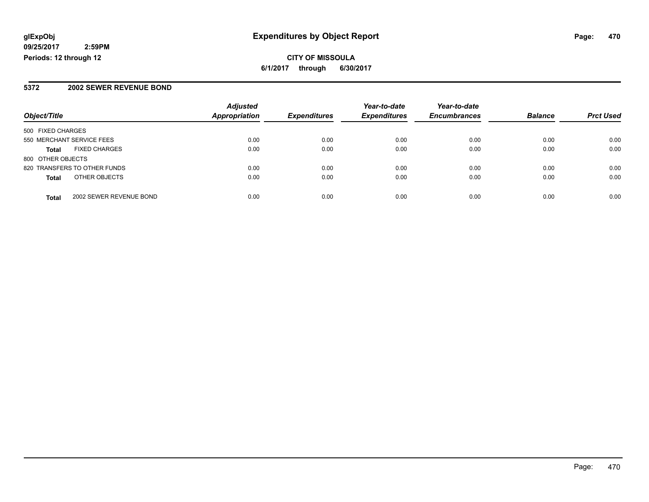**CITY OF MISSOULA 6/1/2017 through 6/30/2017**

#### **5372 2002 SEWER REVENUE BOND**

|                                         | <b>Adjusted</b>      |                     | Year-to-date        | Year-to-date        |                |                  |
|-----------------------------------------|----------------------|---------------------|---------------------|---------------------|----------------|------------------|
| Object/Title                            | <b>Appropriation</b> | <b>Expenditures</b> | <b>Expenditures</b> | <b>Encumbrances</b> | <b>Balance</b> | <b>Prct Used</b> |
| 500 FIXED CHARGES                       |                      |                     |                     |                     |                |                  |
| 550 MERCHANT SERVICE FEES               | 0.00                 | 0.00                | 0.00                | 0.00                | 0.00           | 0.00             |
| <b>FIXED CHARGES</b><br><b>Total</b>    | 0.00                 | 0.00                | 0.00                | 0.00                | 0.00           | 0.00             |
| 800 OTHER OBJECTS                       |                      |                     |                     |                     |                |                  |
| 820 TRANSFERS TO OTHER FUNDS            | 0.00                 | 0.00                | 0.00                | 0.00                | 0.00           | 0.00             |
| OTHER OBJECTS<br><b>Total</b>           | 0.00                 | 0.00                | 0.00                | 0.00                | 0.00           | 0.00             |
| 2002 SEWER REVENUE BOND<br><b>Total</b> | 0.00                 | 0.00                | 0.00                | 0.00                | 0.00           | 0.00             |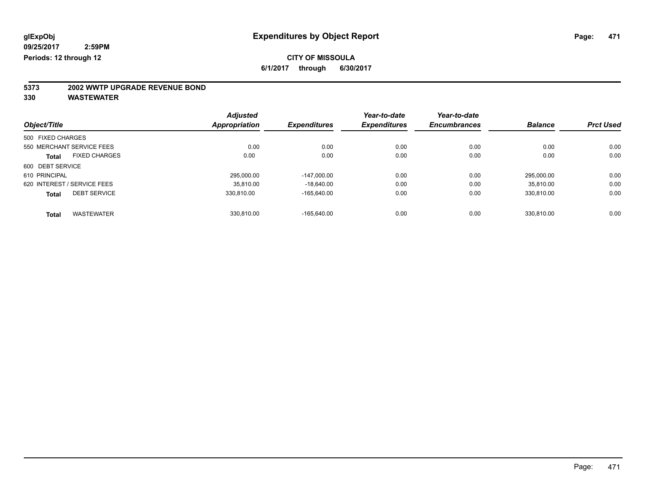### **CITY OF MISSOULA**

**6/1/2017 through 6/30/2017**

# **5373 2002 WWTP UPGRADE REVENUE BOND**

|                   |                             | <b>Adjusted</b>      |                     | Year-to-date        | Year-to-date        |                |                  |
|-------------------|-----------------------------|----------------------|---------------------|---------------------|---------------------|----------------|------------------|
| Object/Title      |                             | <b>Appropriation</b> | <b>Expenditures</b> | <b>Expenditures</b> | <b>Encumbrances</b> | <b>Balance</b> | <b>Prct Used</b> |
| 500 FIXED CHARGES |                             |                      |                     |                     |                     |                |                  |
|                   | 550 MERCHANT SERVICE FEES   | 0.00                 | 0.00                | 0.00                | 0.00                | 0.00           | 0.00             |
| <b>Total</b>      | <b>FIXED CHARGES</b>        | 0.00                 | 0.00                | 0.00                | 0.00                | 0.00           | 0.00             |
| 600 DEBT SERVICE  |                             |                      |                     |                     |                     |                |                  |
| 610 PRINCIPAL     |                             | 295.000.00           | $-147.000.00$       | 0.00                | 0.00                | 295.000.00     | 0.00             |
|                   | 620 INTEREST / SERVICE FEES | 35.810.00            | $-18.640.00$        | 0.00                | 0.00                | 35.810.00      | 0.00             |
| <b>Total</b>      | <b>DEBT SERVICE</b>         | 330.810.00           | $-165.640.00$       | 0.00                | 0.00                | 330,810.00     | 0.00             |
| <b>Total</b>      | <b>WASTEWATER</b>           | 330.810.00           | $-165.640.00$       | 0.00                | 0.00                | 330.810.00     | 0.00             |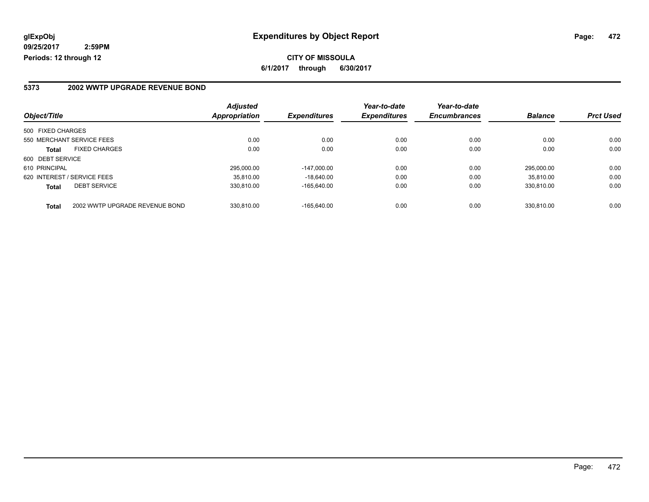#### **5373 2002 WWTP UPGRADE REVENUE BOND**

|                             |                                | <b>Adjusted</b> |                     | Year-to-date        | Year-to-date        |                |                  |
|-----------------------------|--------------------------------|-----------------|---------------------|---------------------|---------------------|----------------|------------------|
| Object/Title                |                                | Appropriation   | <b>Expenditures</b> | <b>Expenditures</b> | <b>Encumbrances</b> | <b>Balance</b> | <b>Prct Used</b> |
| 500 FIXED CHARGES           |                                |                 |                     |                     |                     |                |                  |
| 550 MERCHANT SERVICE FEES   |                                | 0.00            | 0.00                | 0.00                | 0.00                | 0.00           | 0.00             |
| Total                       | <b>FIXED CHARGES</b>           | 0.00            | 0.00                | 0.00                | 0.00                | 0.00           | 0.00             |
| 600 DEBT SERVICE            |                                |                 |                     |                     |                     |                |                  |
| 610 PRINCIPAL               |                                | 295,000.00      | $-147.000.00$       | 0.00                | 0.00                | 295.000.00     | 0.00             |
| 620 INTEREST / SERVICE FEES |                                | 35.810.00       | $-18.640.00$        | 0.00                | 0.00                | 35.810.00      | 0.00             |
| <b>Total</b>                | <b>DEBT SERVICE</b>            | 330.810.00      | $-165.640.00$       | 0.00                | 0.00                | 330.810.00     | 0.00             |
| <b>Total</b>                | 2002 WWTP UPGRADE REVENUE BOND | 330.810.00      | $-165.640.00$       | 0.00                | 0.00                | 330.810.00     | 0.00             |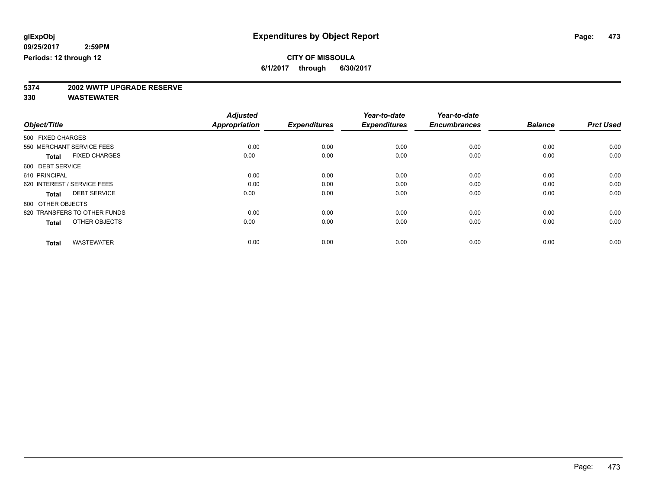# **5374 2002 WWTP UPGRADE RESERVE**

|                                      | <b>Adjusted</b>      |                     | Year-to-date        | Year-to-date        |                |                  |
|--------------------------------------|----------------------|---------------------|---------------------|---------------------|----------------|------------------|
| Object/Title                         | <b>Appropriation</b> | <b>Expenditures</b> | <b>Expenditures</b> | <b>Encumbrances</b> | <b>Balance</b> | <b>Prct Used</b> |
| 500 FIXED CHARGES                    |                      |                     |                     |                     |                |                  |
| 550 MERCHANT SERVICE FEES            | 0.00                 | 0.00                | 0.00                | 0.00                | 0.00           | 0.00             |
| <b>FIXED CHARGES</b><br><b>Total</b> | 0.00                 | 0.00                | 0.00                | 0.00                | 0.00           | 0.00             |
| 600 DEBT SERVICE                     |                      |                     |                     |                     |                |                  |
| 610 PRINCIPAL                        | 0.00                 | 0.00                | 0.00                | 0.00                | 0.00           | 0.00             |
| 620 INTEREST / SERVICE FEES          | 0.00                 | 0.00                | 0.00                | 0.00                | 0.00           | 0.00             |
| <b>DEBT SERVICE</b><br><b>Total</b>  | 0.00                 | 0.00                | 0.00                | 0.00                | 0.00           | 0.00             |
| 800 OTHER OBJECTS                    |                      |                     |                     |                     |                |                  |
| 820 TRANSFERS TO OTHER FUNDS         | 0.00                 | 0.00                | 0.00                | 0.00                | 0.00           | 0.00             |
| OTHER OBJECTS<br><b>Total</b>        | 0.00                 | 0.00                | 0.00                | 0.00                | 0.00           | 0.00             |
|                                      |                      |                     |                     |                     |                |                  |
| <b>WASTEWATER</b><br><b>Total</b>    | 0.00                 | 0.00                | 0.00                | 0.00                | 0.00           | 0.00             |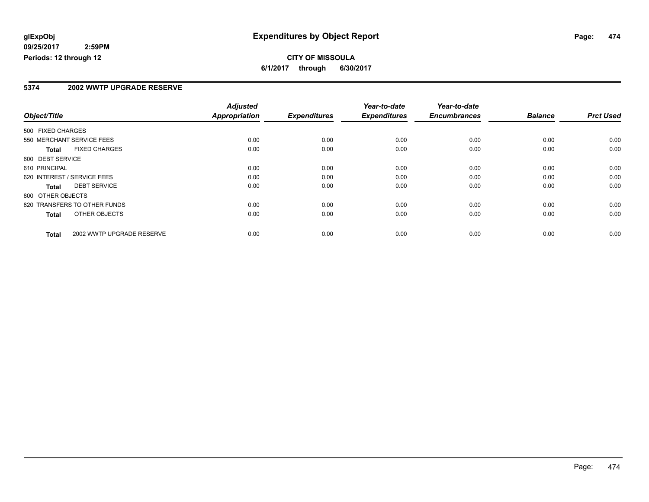#### **CITY OF MISSOULA 6/1/2017 through 6/30/2017**

#### **5374 2002 WWTP UPGRADE RESERVE**

|                                           | <b>Adjusted</b> |                     | Year-to-date        | Year-to-date        |                |                  |
|-------------------------------------------|-----------------|---------------------|---------------------|---------------------|----------------|------------------|
| Object/Title                              | Appropriation   | <b>Expenditures</b> | <b>Expenditures</b> | <b>Encumbrances</b> | <b>Balance</b> | <b>Prct Used</b> |
| 500 FIXED CHARGES                         |                 |                     |                     |                     |                |                  |
| 550 MERCHANT SERVICE FEES                 | 0.00            | 0.00                | 0.00                | 0.00                | 0.00           | 0.00             |
| <b>FIXED CHARGES</b><br><b>Total</b>      | 0.00            | 0.00                | 0.00                | 0.00                | 0.00           | 0.00             |
| 600 DEBT SERVICE                          |                 |                     |                     |                     |                |                  |
| 610 PRINCIPAL                             | 0.00            | 0.00                | 0.00                | 0.00                | 0.00           | 0.00             |
| 620 INTEREST / SERVICE FEES               | 0.00            | 0.00                | 0.00                | 0.00                | 0.00           | 0.00             |
| <b>DEBT SERVICE</b><br><b>Total</b>       | 0.00            | 0.00                | 0.00                | 0.00                | 0.00           | 0.00             |
| 800 OTHER OBJECTS                         |                 |                     |                     |                     |                |                  |
| 820 TRANSFERS TO OTHER FUNDS              | 0.00            | 0.00                | 0.00                | 0.00                | 0.00           | 0.00             |
| OTHER OBJECTS<br>Total                    | 0.00            | 0.00                | 0.00                | 0.00                | 0.00           | 0.00             |
| 2002 WWTP UPGRADE RESERVE<br><b>Total</b> | 0.00            | 0.00                | 0.00                | 0.00                | 0.00           | 0.00             |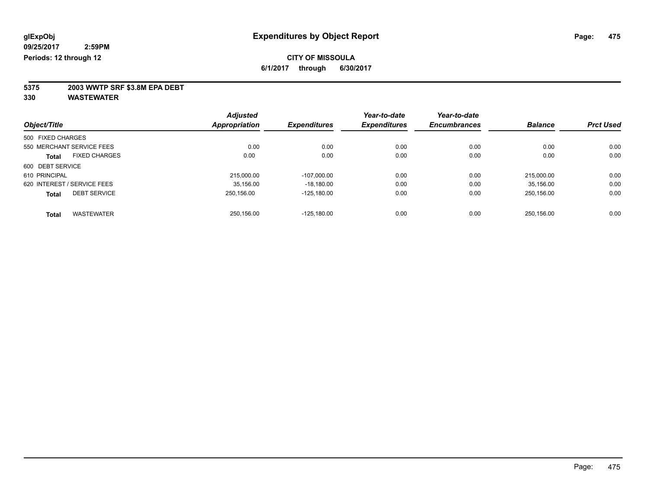**5375 2003 WWTP SRF \$3.8M EPA DEBT**

| Object/Title                |                      | <b>Adjusted</b> | <b>Expenditures</b> | Year-to-date        | Year-to-date        | <b>Balance</b> | <b>Prct Used</b> |
|-----------------------------|----------------------|-----------------|---------------------|---------------------|---------------------|----------------|------------------|
|                             |                      | Appropriation   |                     | <b>Expenditures</b> | <b>Encumbrances</b> |                |                  |
| 500 FIXED CHARGES           |                      |                 |                     |                     |                     |                |                  |
| 550 MERCHANT SERVICE FEES   |                      | 0.00            | 0.00                | 0.00                | 0.00                | 0.00           | 0.00             |
| Total                       | <b>FIXED CHARGES</b> | 0.00            | 0.00                | 0.00                | 0.00                | 0.00           | 0.00             |
| 600 DEBT SERVICE            |                      |                 |                     |                     |                     |                |                  |
| 610 PRINCIPAL               |                      | 215,000.00      | $-107.000.00$       | 0.00                | 0.00                | 215.000.00     | 0.00             |
| 620 INTEREST / SERVICE FEES |                      | 35.156.00       | $-18.180.00$        | 0.00                | 0.00                | 35.156.00      | 0.00             |
| <b>Total</b>                | <b>DEBT SERVICE</b>  | 250,156.00      | $-125.180.00$       | 0.00                | 0.00                | 250.156.00     | 0.00             |
| <b>Total</b>                | <b>WASTEWATER</b>    | 250.156.00      | $-125.180.00$       | 0.00                | 0.00                | 250.156.00     | 0.00             |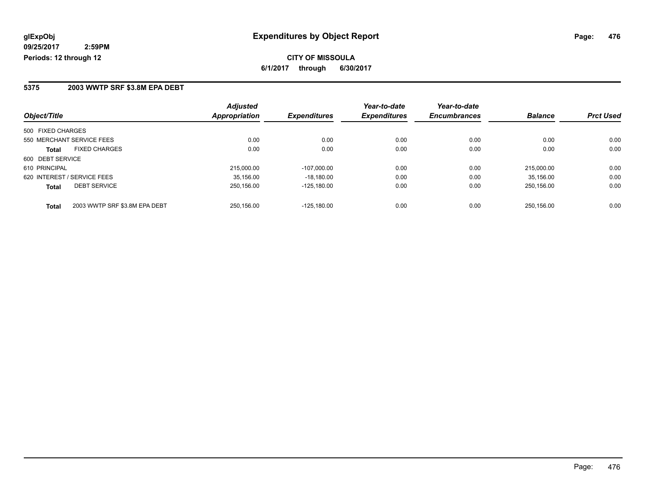#### **5375 2003 WWTP SRF \$3.8M EPA DEBT**

| Object/Title                                  | <b>Adjusted</b><br>Appropriation | <b>Expenditures</b> | Year-to-date<br><b>Expenditures</b> | Year-to-date<br><b>Encumbrances</b> | <b>Balance</b> | <b>Prct Used</b> |
|-----------------------------------------------|----------------------------------|---------------------|-------------------------------------|-------------------------------------|----------------|------------------|
| 500 FIXED CHARGES                             |                                  |                     |                                     |                                     |                |                  |
| 550 MERCHANT SERVICE FEES                     | 0.00                             | 0.00                | 0.00                                | 0.00                                | 0.00           | 0.00             |
| <b>FIXED CHARGES</b><br><b>Total</b>          | 0.00                             | 0.00                | 0.00                                | 0.00                                | 0.00           | 0.00             |
| 600 DEBT SERVICE                              |                                  |                     |                                     |                                     |                |                  |
| 610 PRINCIPAL                                 | 215,000.00                       | $-107.000.00$       | 0.00                                | 0.00                                | 215.000.00     | 0.00             |
| 620 INTEREST / SERVICE FEES                   | 35.156.00                        | $-18.180.00$        | 0.00                                | 0.00                                | 35.156.00      | 0.00             |
| <b>DEBT SERVICE</b><br><b>Total</b>           | 250.156.00                       | $-125.180.00$       | 0.00                                | 0.00                                | 250.156.00     | 0.00             |
| 2003 WWTP SRF \$3.8M EPA DEBT<br><b>Total</b> | 250.156.00                       | $-125.180.00$       | 0.00                                | 0.00                                | 250.156.00     | 0.00             |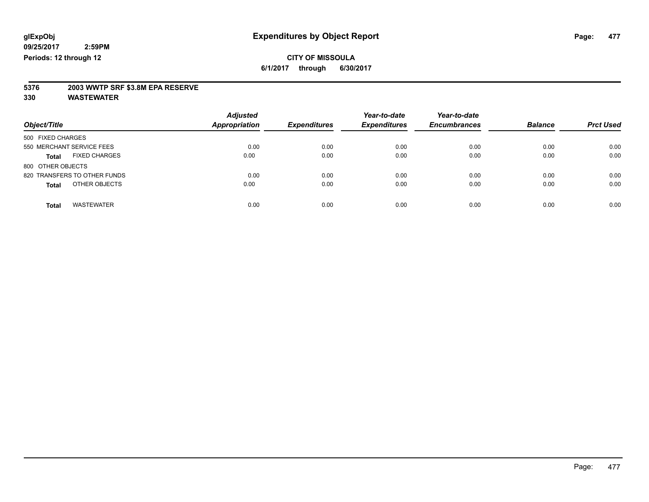**5376 2003 WWTP SRF \$3.8M EPA RESERVE**

| Object/Title                         | <b>Adjusted</b><br>Appropriation | <b>Expenditures</b> | Year-to-date<br><b>Expenditures</b> | Year-to-date<br><b>Encumbrances</b> | <b>Balance</b> | <b>Prct Used</b> |
|--------------------------------------|----------------------------------|---------------------|-------------------------------------|-------------------------------------|----------------|------------------|
| 500 FIXED CHARGES                    |                                  |                     |                                     |                                     |                |                  |
| 550 MERCHANT SERVICE FEES            | 0.00                             | 0.00                | 0.00                                | 0.00                                | 0.00           | 0.00             |
| <b>FIXED CHARGES</b><br><b>Total</b> | 0.00                             | 0.00                | 0.00                                | 0.00                                | 0.00           | 0.00             |
| 800 OTHER OBJECTS                    |                                  |                     |                                     |                                     |                |                  |
| 820 TRANSFERS TO OTHER FUNDS         | 0.00                             | 0.00                | 0.00                                | 0.00                                | 0.00           | 0.00             |
| OTHER OBJECTS<br><b>Total</b>        | 0.00                             | 0.00                | 0.00                                | 0.00                                | 0.00           | 0.00             |
| <b>WASTEWATER</b><br><b>Total</b>    | 0.00                             | 0.00                | 0.00                                | 0.00                                | 0.00           | 0.00             |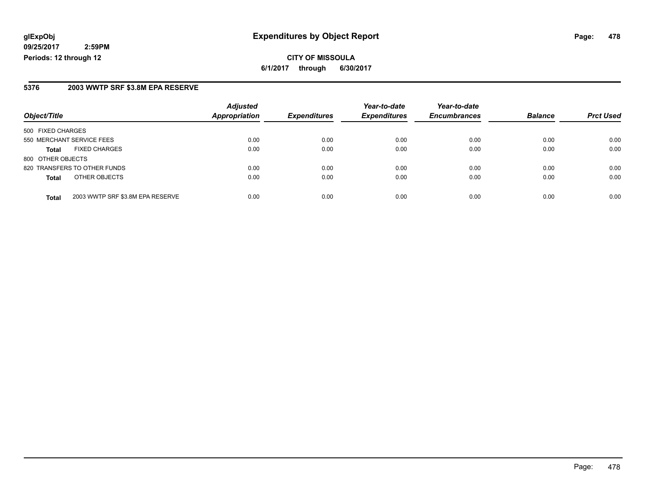**CITY OF MISSOULA 6/1/2017 through 6/30/2017**

#### **5376 2003 WWTP SRF \$3.8M EPA RESERVE**

| Object/Title              |                                  | <b>Adjusted</b>      | <b>Expenditures</b> | Year-to-date        | Year-to-date        | <b>Balance</b> |                  |
|---------------------------|----------------------------------|----------------------|---------------------|---------------------|---------------------|----------------|------------------|
|                           |                                  | <b>Appropriation</b> |                     | <b>Expenditures</b> | <b>Encumbrances</b> |                | <b>Prct Used</b> |
| 500 FIXED CHARGES         |                                  |                      |                     |                     |                     |                |                  |
| 550 MERCHANT SERVICE FEES |                                  | 0.00                 | 0.00                | 0.00                | 0.00                | 0.00           | 0.00             |
| <b>Total</b>              | <b>FIXED CHARGES</b>             | 0.00                 | 0.00                | 0.00                | 0.00                | 0.00           | 0.00             |
| 800 OTHER OBJECTS         |                                  |                      |                     |                     |                     |                |                  |
|                           | 820 TRANSFERS TO OTHER FUNDS     | 0.00                 | 0.00                | 0.00                | 0.00                | 0.00           | 0.00             |
| <b>Total</b>              | OTHER OBJECTS                    | 0.00                 | 0.00                | 0.00                | 0.00                | 0.00           | 0.00             |
| <b>Total</b>              | 2003 WWTP SRF \$3.8M EPA RESERVE | 0.00                 | 0.00                | 0.00                | 0.00                | 0.00           | 0.00             |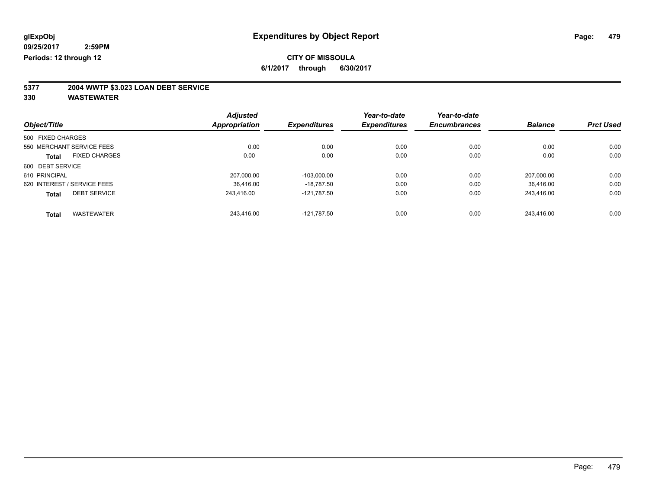### **CITY OF MISSOULA**

**6/1/2017 through 6/30/2017**

# **5377 2004 WWTP \$3.023 LOAN DEBT SERVICE**

|                             |                      | <b>Adjusted</b> |                     | Year-to-date        | Year-to-date        |                |                  |
|-----------------------------|----------------------|-----------------|---------------------|---------------------|---------------------|----------------|------------------|
| Object/Title                |                      | Appropriation   | <b>Expenditures</b> | <b>Expenditures</b> | <b>Encumbrances</b> | <b>Balance</b> | <b>Prct Used</b> |
| 500 FIXED CHARGES           |                      |                 |                     |                     |                     |                |                  |
| 550 MERCHANT SERVICE FEES   |                      | 0.00            | 0.00                | 0.00                | 0.00                | 0.00           | 0.00             |
| <b>Total</b>                | <b>FIXED CHARGES</b> | 0.00            | 0.00                | 0.00                | 0.00                | 0.00           | 0.00             |
| 600 DEBT SERVICE            |                      |                 |                     |                     |                     |                |                  |
| 610 PRINCIPAL               |                      | 207.000.00      | $-103.000.00$       | 0.00                | 0.00                | 207.000.00     | 0.00             |
| 620 INTEREST / SERVICE FEES |                      | 36.416.00       | $-18.787.50$        | 0.00                | 0.00                | 36.416.00      | 0.00             |
| <b>Total</b>                | <b>DEBT SERVICE</b>  | 243.416.00      | $-121.787.50$       | 0.00                | 0.00                | 243,416.00     | 0.00             |
| <b>Total</b>                | <b>WASTEWATER</b>    | 243.416.00      | $-121.787.50$       | 0.00                | 0.00                | 243.416.00     | 0.00             |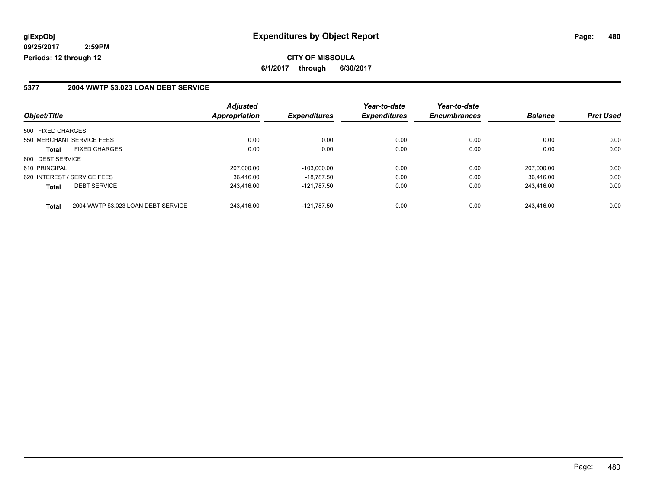**CITY OF MISSOULA 6/1/2017 through 6/30/2017**

#### **5377 2004 WWTP \$3.023 LOAN DEBT SERVICE**

|                                                     | <b>Adjusted</b>      | <b>Expenditures</b> | Year-to-date<br><b>Expenditures</b> | Year-to-date<br><b>Encumbrances</b> | <b>Balance</b> | <b>Prct Used</b> |
|-----------------------------------------------------|----------------------|---------------------|-------------------------------------|-------------------------------------|----------------|------------------|
| Object/Title                                        | <b>Appropriation</b> |                     |                                     |                                     |                |                  |
| 500 FIXED CHARGES                                   |                      |                     |                                     |                                     |                |                  |
| 550 MERCHANT SERVICE FEES                           | 0.00                 | 0.00                | 0.00                                | 0.00                                | 0.00           | 0.00             |
| <b>FIXED CHARGES</b><br><b>Total</b>                | 0.00                 | 0.00                | 0.00                                | 0.00                                | 0.00           | 0.00             |
| 600 DEBT SERVICE                                    |                      |                     |                                     |                                     |                |                  |
| 610 PRINCIPAL                                       | 207.000.00           | $-103.000.00$       | 0.00                                | 0.00                                | 207.000.00     | 0.00             |
| 620 INTEREST / SERVICE FEES                         | 36.416.00            | $-18.787.50$        | 0.00                                | 0.00                                | 36.416.00      | 0.00             |
| <b>DEBT SERVICE</b><br><b>Total</b>                 | 243.416.00           | $-121.787.50$       | 0.00                                | 0.00                                | 243.416.00     | 0.00             |
| 2004 WWTP \$3.023 LOAN DEBT SERVICE<br><b>Total</b> | 243.416.00           | $-121.787.50$       | 0.00                                | 0.00                                | 243.416.00     | 0.00             |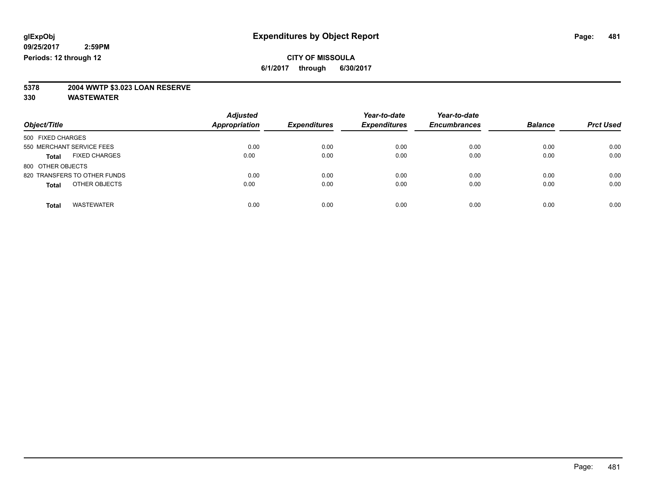# **5378 2004 WWTP \$3.023 LOAN RESERVE**

| Object/Title                  | <b>Adjusted</b><br>Appropriation | <b>Expenditures</b> | Year-to-date<br><b>Expenditures</b> | Year-to-date<br><b>Encumbrances</b> | <b>Balance</b> | <b>Prct Used</b> |
|-------------------------------|----------------------------------|---------------------|-------------------------------------|-------------------------------------|----------------|------------------|
| 500 FIXED CHARGES             |                                  |                     |                                     |                                     |                |                  |
| 550 MERCHANT SERVICE FEES     | 0.00                             | 0.00                | 0.00                                | 0.00                                | 0.00           | 0.00             |
| <b>FIXED CHARGES</b><br>Total | 0.00                             | 0.00                | 0.00                                | 0.00                                | 0.00           | 0.00             |
| 800 OTHER OBJECTS             |                                  |                     |                                     |                                     |                |                  |
| 820 TRANSFERS TO OTHER FUNDS  | 0.00                             | 0.00                | 0.00                                | 0.00                                | 0.00           | 0.00             |
| OTHER OBJECTS<br><b>Total</b> | 0.00                             | 0.00                | 0.00                                | 0.00                                | 0.00           | 0.00             |
| <b>WASTEWATER</b><br>Total    | 0.00                             | 0.00                | 0.00                                | 0.00                                | 0.00           | 0.00             |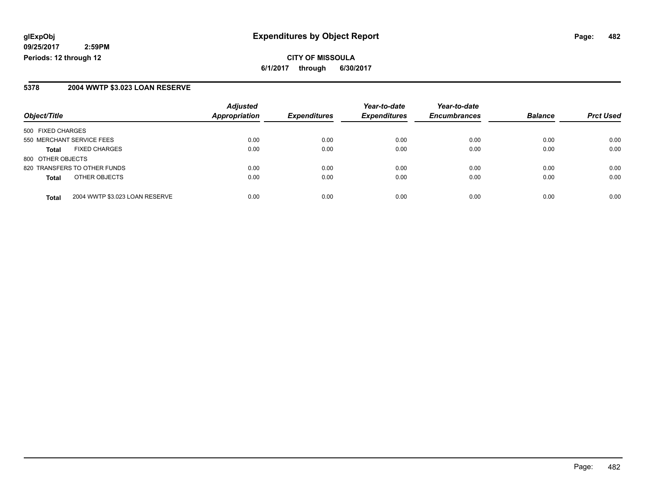#### **5378 2004 WWTP \$3.023 LOAN RESERVE**

|                              |                                | <b>Adjusted</b>      |                     | Year-to-date        | Year-to-date        |                |                  |
|------------------------------|--------------------------------|----------------------|---------------------|---------------------|---------------------|----------------|------------------|
| Object/Title                 |                                | <b>Appropriation</b> | <b>Expenditures</b> | <b>Expenditures</b> | <b>Encumbrances</b> | <b>Balance</b> | <b>Prct Used</b> |
| 500 FIXED CHARGES            |                                |                      |                     |                     |                     |                |                  |
| 550 MERCHANT SERVICE FEES    |                                | 0.00                 | 0.00                | 0.00                | 0.00                | 0.00           | 0.00             |
| Total                        | <b>FIXED CHARGES</b>           | 0.00                 | 0.00                | 0.00                | 0.00                | 0.00           | 0.00             |
| 800 OTHER OBJECTS            |                                |                      |                     |                     |                     |                |                  |
| 820 TRANSFERS TO OTHER FUNDS |                                | 0.00                 | 0.00                | 0.00                | 0.00                | 0.00           | 0.00             |
| <b>Total</b>                 | OTHER OBJECTS                  | 0.00                 | 0.00                | 0.00                | 0.00                | 0.00           | 0.00             |
| <b>Total</b>                 | 2004 WWTP \$3.023 LOAN RESERVE | 0.00                 | 0.00                | 0.00                | 0.00                | 0.00           | 0.00             |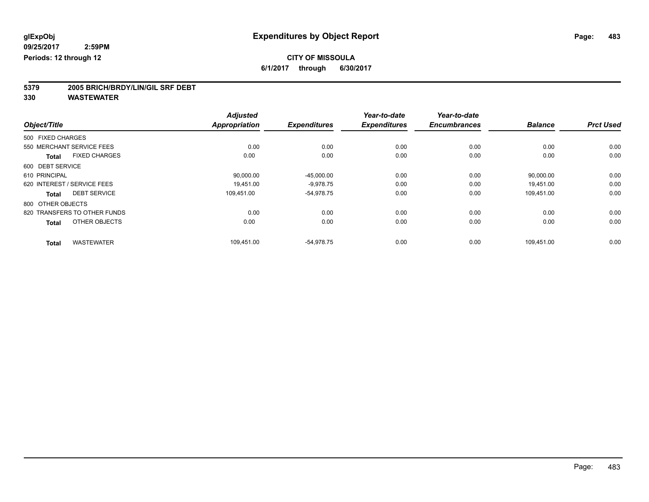**5379 2005 BRICH/BRDY/LIN/GIL SRF DEBT**

|                                      | <b>Adjusted</b>      | <b>Expenditures</b> | Year-to-date        | Year-to-date<br><b>Encumbrances</b> | <b>Balance</b> | <b>Prct Used</b> |
|--------------------------------------|----------------------|---------------------|---------------------|-------------------------------------|----------------|------------------|
| Object/Title                         | <b>Appropriation</b> |                     | <b>Expenditures</b> |                                     |                |                  |
| 500 FIXED CHARGES                    |                      |                     |                     |                                     |                |                  |
| 550 MERCHANT SERVICE FEES            | 0.00                 | 0.00                | 0.00                | 0.00                                | 0.00           | 0.00             |
| <b>FIXED CHARGES</b><br><b>Total</b> | 0.00                 | 0.00                | 0.00                | 0.00                                | 0.00           | 0.00             |
| 600 DEBT SERVICE                     |                      |                     |                     |                                     |                |                  |
| 610 PRINCIPAL                        | 90,000.00            | $-45,000.00$        | 0.00                | 0.00                                | 90,000.00      | 0.00             |
| 620 INTEREST / SERVICE FEES          | 19.451.00            | $-9,978.75$         | 0.00                | 0.00                                | 19,451.00      | 0.00             |
| <b>DEBT SERVICE</b><br><b>Total</b>  | 109,451.00           | $-54,978.75$        | 0.00                | 0.00                                | 109,451.00     | 0.00             |
| 800 OTHER OBJECTS                    |                      |                     |                     |                                     |                |                  |
| 820 TRANSFERS TO OTHER FUNDS         | 0.00                 | 0.00                | 0.00                | 0.00                                | 0.00           | 0.00             |
| OTHER OBJECTS<br><b>Total</b>        | 0.00                 | 0.00                | 0.00                | 0.00                                | 0.00           | 0.00             |
| <b>WASTEWATER</b><br><b>Total</b>    | 109,451.00           | $-54,978.75$        | 0.00                | 0.00                                | 109,451.00     | 0.00             |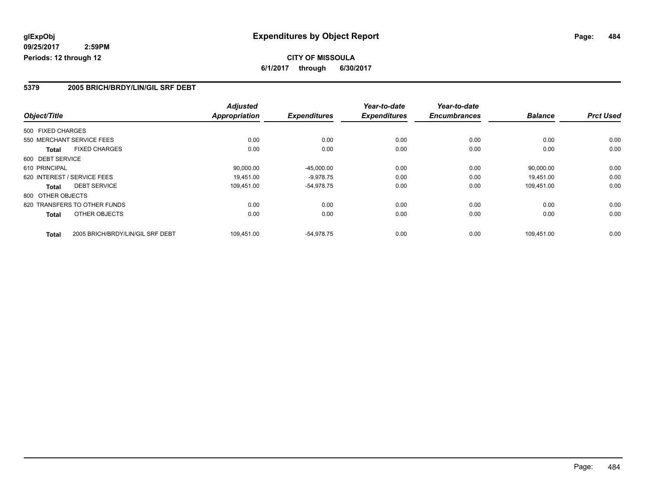#### **5379 2005 BRICH/BRDY/LIN/GIL SRF DEBT**

|                   |                                  | <b>Adjusted</b>      |                     | Year-to-date        | Year-to-date        |                |                  |
|-------------------|----------------------------------|----------------------|---------------------|---------------------|---------------------|----------------|------------------|
| Object/Title      |                                  | <b>Appropriation</b> | <b>Expenditures</b> | <b>Expenditures</b> | <b>Encumbrances</b> | <b>Balance</b> | <b>Prct Used</b> |
| 500 FIXED CHARGES |                                  |                      |                     |                     |                     |                |                  |
|                   | 550 MERCHANT SERVICE FEES        | 0.00                 | 0.00                | 0.00                | 0.00                | 0.00           | 0.00             |
| <b>Total</b>      | <b>FIXED CHARGES</b>             | 0.00                 | 0.00                | 0.00                | 0.00                | 0.00           | 0.00             |
| 600 DEBT SERVICE  |                                  |                      |                     |                     |                     |                |                  |
| 610 PRINCIPAL     |                                  | 90,000.00            | $-45,000.00$        | 0.00                | 0.00                | 90,000.00      | 0.00             |
|                   | 620 INTEREST / SERVICE FEES      | 19.451.00            | $-9,978.75$         | 0.00                | 0.00                | 19,451.00      | 0.00             |
| Total             | <b>DEBT SERVICE</b>              | 109,451.00           | $-54,978.75$        | 0.00                | 0.00                | 109.451.00     | 0.00             |
| 800 OTHER OBJECTS |                                  |                      |                     |                     |                     |                |                  |
|                   | 820 TRANSFERS TO OTHER FUNDS     | 0.00                 | 0.00                | 0.00                | 0.00                | 0.00           | 0.00             |
| <b>Total</b>      | OTHER OBJECTS                    | 0.00                 | 0.00                | 0.00                | 0.00                | 0.00           | 0.00             |
| <b>Total</b>      | 2005 BRICH/BRDY/LIN/GIL SRF DEBT | 109.451.00           | -54.978.75          | 0.00                | 0.00                | 109.451.00     | 0.00             |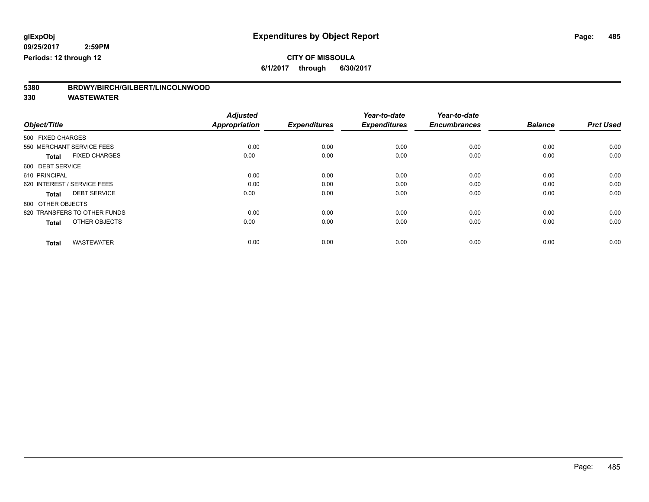### **CITY OF MISSOULA**

**6/1/2017 through 6/30/2017**

| 5380 | BRDWY/BIRCH/GILBERT/LINCOLNWOOD |
|------|---------------------------------|
|      |                                 |

|                                      | <b>Adjusted</b>      |                     | Year-to-date        | Year-to-date        |                |                  |
|--------------------------------------|----------------------|---------------------|---------------------|---------------------|----------------|------------------|
| Object/Title                         | <b>Appropriation</b> | <b>Expenditures</b> | <b>Expenditures</b> | <b>Encumbrances</b> | <b>Balance</b> | <b>Prct Used</b> |
| 500 FIXED CHARGES                    |                      |                     |                     |                     |                |                  |
| 550 MERCHANT SERVICE FEES            | 0.00                 | 0.00                | 0.00                | 0.00                | 0.00           | 0.00             |
| <b>FIXED CHARGES</b><br><b>Total</b> | 0.00                 | 0.00                | 0.00                | 0.00                | 0.00           | 0.00             |
| 600 DEBT SERVICE                     |                      |                     |                     |                     |                |                  |
| 610 PRINCIPAL                        | 0.00                 | 0.00                | 0.00                | 0.00                | 0.00           | 0.00             |
| 620 INTEREST / SERVICE FEES          | 0.00                 | 0.00                | 0.00                | 0.00                | 0.00           | 0.00             |
| <b>DEBT SERVICE</b><br><b>Total</b>  | 0.00                 | 0.00                | 0.00                | 0.00                | 0.00           | 0.00             |
| 800 OTHER OBJECTS                    |                      |                     |                     |                     |                |                  |
| 820 TRANSFERS TO OTHER FUNDS         | 0.00                 | 0.00                | 0.00                | 0.00                | 0.00           | 0.00             |
| OTHER OBJECTS<br><b>Total</b>        | 0.00                 | 0.00                | 0.00                | 0.00                | 0.00           | 0.00             |
|                                      |                      |                     |                     |                     |                |                  |
| <b>WASTEWATER</b><br><b>Total</b>    | 0.00                 | 0.00                | 0.00                | 0.00                | 0.00           | 0.00             |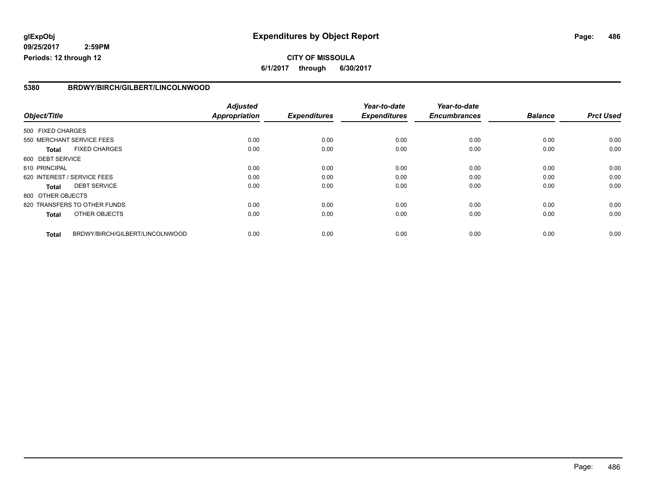#### **glExpObj Expenditures by Object Report Page: 486**

**09/25/2017 2:59PM Periods: 12 through 12**

#### **5380 BRDWY/BIRCH/GILBERT/LINCOLNWOOD**

|                   |                                 | <b>Adjusted</b>      |                     | Year-to-date        | Year-to-date        |                |                  |
|-------------------|---------------------------------|----------------------|---------------------|---------------------|---------------------|----------------|------------------|
| Object/Title      |                                 | <b>Appropriation</b> | <b>Expenditures</b> | <b>Expenditures</b> | <b>Encumbrances</b> | <b>Balance</b> | <b>Prct Used</b> |
| 500 FIXED CHARGES |                                 |                      |                     |                     |                     |                |                  |
|                   | 550 MERCHANT SERVICE FEES       | 0.00                 | 0.00                | 0.00                | 0.00                | 0.00           | 0.00             |
| <b>Total</b>      | <b>FIXED CHARGES</b>            | 0.00                 | 0.00                | 0.00                | 0.00                | 0.00           | 0.00             |
| 600 DEBT SERVICE  |                                 |                      |                     |                     |                     |                |                  |
| 610 PRINCIPAL     |                                 | 0.00                 | 0.00                | 0.00                | 0.00                | 0.00           | 0.00             |
|                   | 620 INTEREST / SERVICE FEES     | 0.00                 | 0.00                | 0.00                | 0.00                | 0.00           | 0.00             |
| <b>Total</b>      | <b>DEBT SERVICE</b>             | 0.00                 | 0.00                | 0.00                | 0.00                | 0.00           | 0.00             |
| 800 OTHER OBJECTS |                                 |                      |                     |                     |                     |                |                  |
|                   | 820 TRANSFERS TO OTHER FUNDS    | 0.00                 | 0.00                | 0.00                | 0.00                | 0.00           | 0.00             |
| <b>Total</b>      | <b>OTHER OBJECTS</b>            | 0.00                 | 0.00                | 0.00                | 0.00                | 0.00           | 0.00             |
| <b>Total</b>      | BRDWY/BIRCH/GILBERT/LINCOLNWOOD | 0.00                 | 0.00                | 0.00                | 0.00                | 0.00           | 0.00             |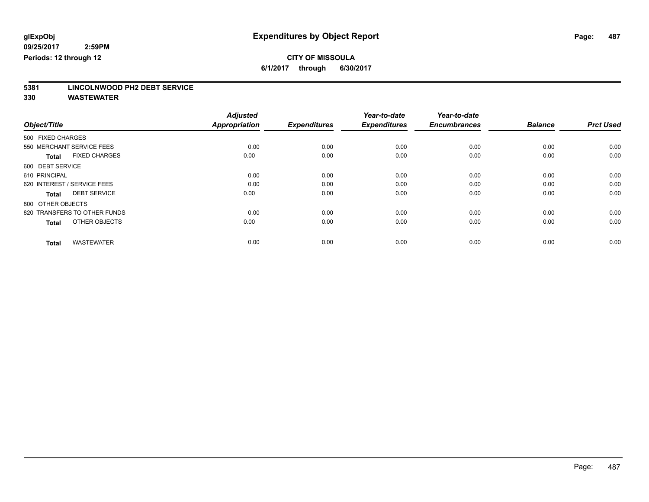**5381 LINCOLNWOOD PH2 DEBT SERVICE**

| Object/Title                         | <b>Adjusted</b><br><b>Appropriation</b> | <b>Expenditures</b> | Year-to-date<br><b>Expenditures</b> | Year-to-date<br><b>Encumbrances</b> | <b>Balance</b> | <b>Prct Used</b> |
|--------------------------------------|-----------------------------------------|---------------------|-------------------------------------|-------------------------------------|----------------|------------------|
| 500 FIXED CHARGES                    |                                         |                     |                                     |                                     |                |                  |
| 550 MERCHANT SERVICE FEES            | 0.00                                    | 0.00                | 0.00                                | 0.00                                | 0.00           | 0.00             |
| <b>FIXED CHARGES</b><br><b>Total</b> | 0.00                                    | 0.00                | 0.00                                | 0.00                                | 0.00           | 0.00             |
| 600 DEBT SERVICE                     |                                         |                     |                                     |                                     |                |                  |
| 610 PRINCIPAL                        | 0.00                                    | 0.00                | 0.00                                | 0.00                                | 0.00           | 0.00             |
| 620 INTEREST / SERVICE FEES          | 0.00                                    | 0.00                | 0.00                                | 0.00                                | 0.00           | 0.00             |
| <b>DEBT SERVICE</b><br><b>Total</b>  | 0.00                                    | 0.00                | 0.00                                | 0.00                                | 0.00           | 0.00             |
| 800 OTHER OBJECTS                    |                                         |                     |                                     |                                     |                |                  |
| 820 TRANSFERS TO OTHER FUNDS         | 0.00                                    | 0.00                | 0.00                                | 0.00                                | 0.00           | 0.00             |
| OTHER OBJECTS<br><b>Total</b>        | 0.00                                    | 0.00                | 0.00                                | 0.00                                | 0.00           | 0.00             |
|                                      |                                         |                     |                                     |                                     |                |                  |
| <b>WASTEWATER</b><br><b>Total</b>    | 0.00                                    | 0.00                | 0.00                                | 0.00                                | 0.00           | 0.00             |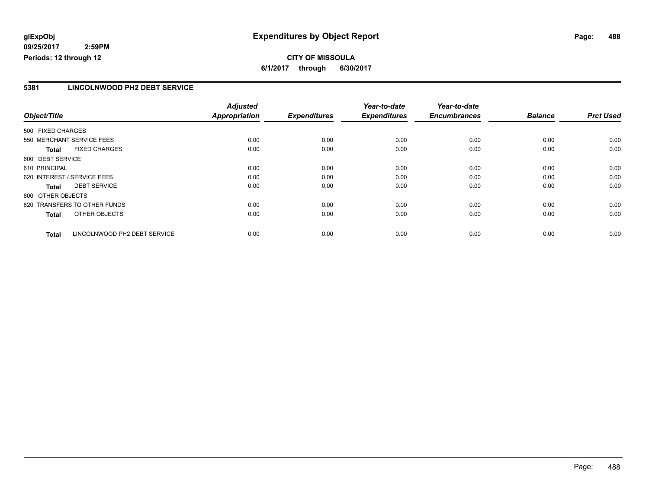#### **5381 LINCOLNWOOD PH2 DEBT SERVICE**

|                             |                              | <b>Adjusted</b>      |                     | Year-to-date        | Year-to-date        |                |                  |
|-----------------------------|------------------------------|----------------------|---------------------|---------------------|---------------------|----------------|------------------|
| Object/Title                |                              | <b>Appropriation</b> | <b>Expenditures</b> | <b>Expenditures</b> | <b>Encumbrances</b> | <b>Balance</b> | <b>Prct Used</b> |
| 500 FIXED CHARGES           |                              |                      |                     |                     |                     |                |                  |
| 550 MERCHANT SERVICE FEES   |                              | 0.00                 | 0.00                | 0.00                | 0.00                | 0.00           | 0.00             |
| <b>Total</b>                | <b>FIXED CHARGES</b>         | 0.00                 | 0.00                | 0.00                | 0.00                | 0.00           | 0.00             |
| 600 DEBT SERVICE            |                              |                      |                     |                     |                     |                |                  |
| 610 PRINCIPAL               |                              | 0.00                 | 0.00                | 0.00                | 0.00                | 0.00           | 0.00             |
| 620 INTEREST / SERVICE FEES |                              | 0.00                 | 0.00                | 0.00                | 0.00                | 0.00           | 0.00             |
| <b>Total</b>                | <b>DEBT SERVICE</b>          | 0.00                 | 0.00                | 0.00                | 0.00                | 0.00           | 0.00             |
| 800 OTHER OBJECTS           |                              |                      |                     |                     |                     |                |                  |
|                             | 820 TRANSFERS TO OTHER FUNDS | 0.00                 | 0.00                | 0.00                | 0.00                | 0.00           | 0.00             |
| <b>Total</b>                | OTHER OBJECTS                | 0.00                 | 0.00                | 0.00                | 0.00                | 0.00           | 0.00             |
| <b>Total</b>                | LINCOLNWOOD PH2 DEBT SERVICE | 0.00                 | 0.00                | 0.00                | 0.00                | 0.00           | 0.00             |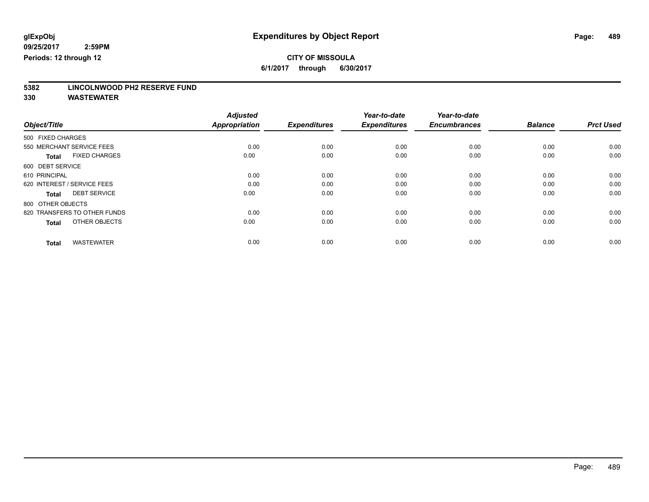**5382 LINCOLNWOOD PH2 RESERVE FUND**

| Object/Title                         | <b>Adjusted</b><br><b>Appropriation</b> | <b>Expenditures</b> | Year-to-date<br><b>Expenditures</b> | Year-to-date<br><b>Encumbrances</b> | <b>Balance</b> | <b>Prct Used</b> |
|--------------------------------------|-----------------------------------------|---------------------|-------------------------------------|-------------------------------------|----------------|------------------|
| 500 FIXED CHARGES                    |                                         |                     |                                     |                                     |                |                  |
| 550 MERCHANT SERVICE FEES            | 0.00                                    | 0.00                | 0.00                                | 0.00                                | 0.00           | 0.00             |
| <b>FIXED CHARGES</b><br><b>Total</b> | 0.00                                    | 0.00                | 0.00                                | 0.00                                | 0.00           | 0.00             |
| 600 DEBT SERVICE                     |                                         |                     |                                     |                                     |                |                  |
| 610 PRINCIPAL                        | 0.00                                    | 0.00                | 0.00                                | 0.00                                | 0.00           | 0.00             |
| 620 INTEREST / SERVICE FEES          | 0.00                                    | 0.00                | 0.00                                | 0.00                                | 0.00           | 0.00             |
| <b>DEBT SERVICE</b><br><b>Total</b>  | 0.00                                    | 0.00                | 0.00                                | 0.00                                | 0.00           | 0.00             |
| 800 OTHER OBJECTS                    |                                         |                     |                                     |                                     |                |                  |
| 820 TRANSFERS TO OTHER FUNDS         | 0.00                                    | 0.00                | 0.00                                | 0.00                                | 0.00           | 0.00             |
| OTHER OBJECTS<br><b>Total</b>        | 0.00                                    | 0.00                | 0.00                                | 0.00                                | 0.00           | 0.00             |
|                                      |                                         |                     |                                     |                                     |                |                  |
| <b>WASTEWATER</b><br><b>Total</b>    | 0.00                                    | 0.00                | 0.00                                | 0.00                                | 0.00           | 0.00             |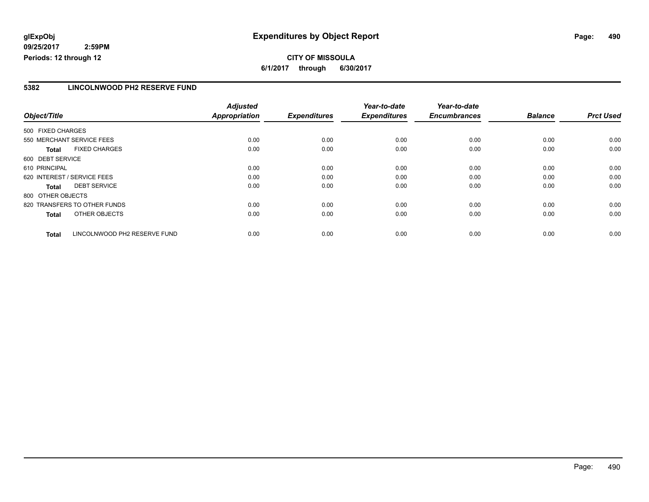#### **5382 LINCOLNWOOD PH2 RESERVE FUND**

|                              |                              | <b>Adjusted</b>      |                     | Year-to-date        | Year-to-date        |                |                  |
|------------------------------|------------------------------|----------------------|---------------------|---------------------|---------------------|----------------|------------------|
| Object/Title                 |                              | <b>Appropriation</b> | <b>Expenditures</b> | <b>Expenditures</b> | <b>Encumbrances</b> | <b>Balance</b> | <b>Prct Used</b> |
| 500 FIXED CHARGES            |                              |                      |                     |                     |                     |                |                  |
| 550 MERCHANT SERVICE FEES    |                              | 0.00                 | 0.00                | 0.00                | 0.00                | 0.00           | 0.00             |
| <b>Total</b>                 | <b>FIXED CHARGES</b>         | 0.00                 | 0.00                | 0.00                | 0.00                | 0.00           | 0.00             |
| 600 DEBT SERVICE             |                              |                      |                     |                     |                     |                |                  |
| 610 PRINCIPAL                |                              | 0.00                 | 0.00                | 0.00                | 0.00                | 0.00           | 0.00             |
| 620 INTEREST / SERVICE FEES  |                              | 0.00                 | 0.00                | 0.00                | 0.00                | 0.00           | 0.00             |
| <b>Total</b>                 | <b>DEBT SERVICE</b>          | 0.00                 | 0.00                | 0.00                | 0.00                | 0.00           | 0.00             |
| 800 OTHER OBJECTS            |                              |                      |                     |                     |                     |                |                  |
| 820 TRANSFERS TO OTHER FUNDS |                              | 0.00                 | 0.00                | 0.00                | 0.00                | 0.00           | 0.00             |
| <b>Total</b>                 | OTHER OBJECTS                | 0.00                 | 0.00                | 0.00                | 0.00                | 0.00           | 0.00             |
| <b>Total</b>                 | LINCOLNWOOD PH2 RESERVE FUND | 0.00                 | 0.00                | 0.00                | 0.00                | 0.00           | 0.00             |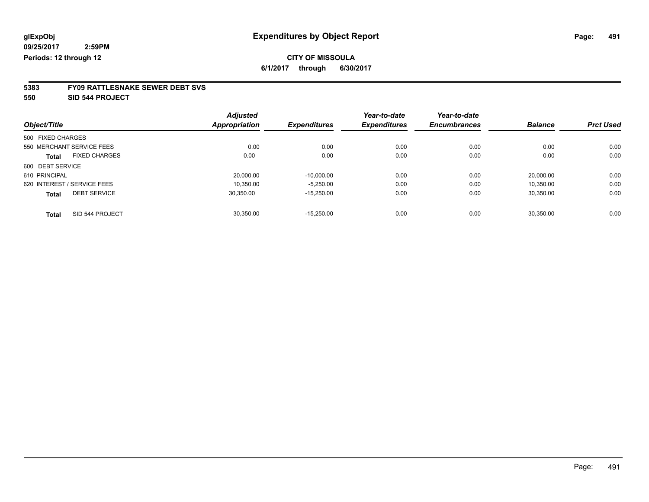### **CITY OF MISSOULA**

**6/1/2017 through 6/30/2017**

# **5383 FY09 RATTLESNAKE SEWER DEBT SVS**

**550 SID 544 PROJECT**

|                   |                             | <b>Adjusted</b>      |                     | Year-to-date        | Year-to-date        |                |                  |
|-------------------|-----------------------------|----------------------|---------------------|---------------------|---------------------|----------------|------------------|
| Object/Title      |                             | <b>Appropriation</b> | <b>Expenditures</b> | <b>Expenditures</b> | <b>Encumbrances</b> | <b>Balance</b> | <b>Prct Used</b> |
| 500 FIXED CHARGES |                             |                      |                     |                     |                     |                |                  |
|                   | 550 MERCHANT SERVICE FEES   | 0.00                 | 0.00                | 0.00                | 0.00                | 0.00           | 0.00             |
| <b>Total</b>      | <b>FIXED CHARGES</b>        | 0.00                 | 0.00                | 0.00                | 0.00                | 0.00           | 0.00             |
| 600 DEBT SERVICE  |                             |                      |                     |                     |                     |                |                  |
| 610 PRINCIPAL     |                             | 20,000.00            | $-10,000.00$        | 0.00                | 0.00                | 20.000.00      | 0.00             |
|                   | 620 INTEREST / SERVICE FEES | 10.350.00            | $-5.250.00$         | 0.00                | 0.00                | 10.350.00      | 0.00             |
| <b>Total</b>      | <b>DEBT SERVICE</b>         | 30,350.00            | $-15.250.00$        | 0.00                | 0.00                | 30,350.00      | 0.00             |
| <b>Total</b>      | SID 544 PROJECT             | 30.350.00            | $-15.250.00$        | 0.00                | 0.00                | 30.350.00      | 0.00             |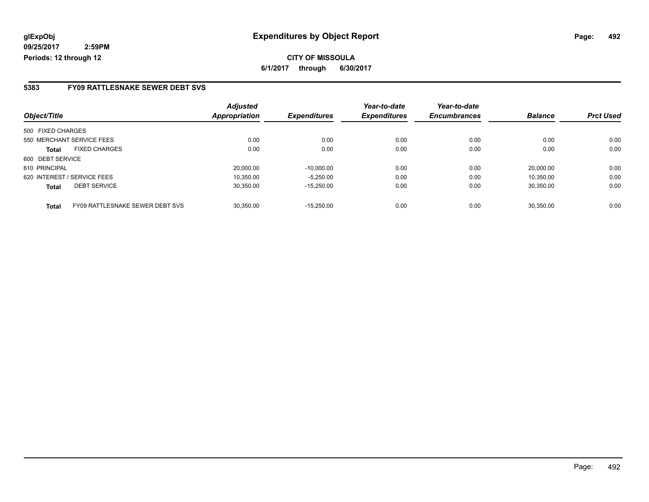#### **5383 FY09 RATTLESNAKE SEWER DEBT SVS**

|                                      | <b>Adjusted</b>                 |           |                     | Year-to-date        | Year-to-date        |                |                  |
|--------------------------------------|---------------------------------|-----------|---------------------|---------------------|---------------------|----------------|------------------|
| Object/Title                         | <b>Appropriation</b>            |           | <b>Expenditures</b> | <b>Expenditures</b> | <b>Encumbrances</b> | <b>Balance</b> | <b>Prct Used</b> |
| 500 FIXED CHARGES                    |                                 |           |                     |                     |                     |                |                  |
| 550 MERCHANT SERVICE FEES            |                                 | 0.00      | 0.00                | 0.00                | 0.00                | 0.00           | 0.00             |
| <b>FIXED CHARGES</b><br><b>Total</b> |                                 | 0.00      | 0.00                | 0.00                | 0.00                | 0.00           | 0.00             |
| 600 DEBT SERVICE                     |                                 |           |                     |                     |                     |                |                  |
| 610 PRINCIPAL                        |                                 | 20,000.00 | $-10.000.00$        | 0.00                | 0.00                | 20.000.00      | 0.00             |
| 620 INTEREST / SERVICE FEES          |                                 | 10.350.00 | $-5.250.00$         | 0.00                | 0.00                | 10.350.00      | 0.00             |
| <b>DEBT SERVICE</b><br><b>Total</b>  |                                 | 30.350.00 | $-15.250.00$        | 0.00                | 0.00                | 30.350.00      | 0.00             |
| <b>Total</b>                         | FY09 RATTLESNAKE SEWER DEBT SVS | 30.350.00 | $-15.250.00$        | 0.00                | 0.00                | 30.350.00      | 0.00             |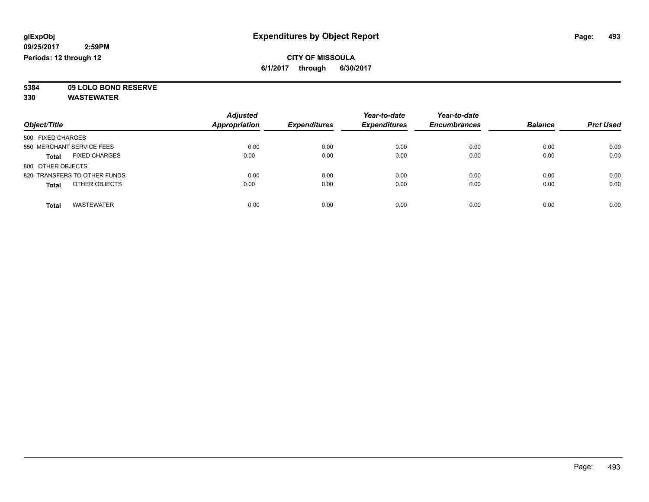**5384 09 LOLO BOND RESERVE**

|                                      | <b>Adjusted</b> |                     | Year-to-date<br><b>Expenditures</b> | Year-to-date<br><b>Encumbrances</b> | <b>Balance</b> | <b>Prct Used</b> |
|--------------------------------------|-----------------|---------------------|-------------------------------------|-------------------------------------|----------------|------------------|
| Object/Title                         | Appropriation   | <b>Expenditures</b> |                                     |                                     |                |                  |
| 500 FIXED CHARGES                    |                 |                     |                                     |                                     |                |                  |
| 550 MERCHANT SERVICE FEES            | 0.00            | 0.00                | 0.00                                | 0.00                                | 0.00           | 0.00             |
| <b>FIXED CHARGES</b><br><b>Total</b> | 0.00            | 0.00                | 0.00                                | 0.00                                | 0.00           | 0.00             |
| 800 OTHER OBJECTS                    |                 |                     |                                     |                                     |                |                  |
| 820 TRANSFERS TO OTHER FUNDS         | 0.00            | 0.00                | 0.00                                | 0.00                                | 0.00           | 0.00             |
| OTHER OBJECTS<br><b>Total</b>        | 0.00            | 0.00                | 0.00                                | 0.00                                | 0.00           | 0.00             |
| <b>WASTEWATER</b><br><b>Total</b>    | 0.00            | 0.00                | 0.00                                | 0.00                                | 0.00           | 0.00             |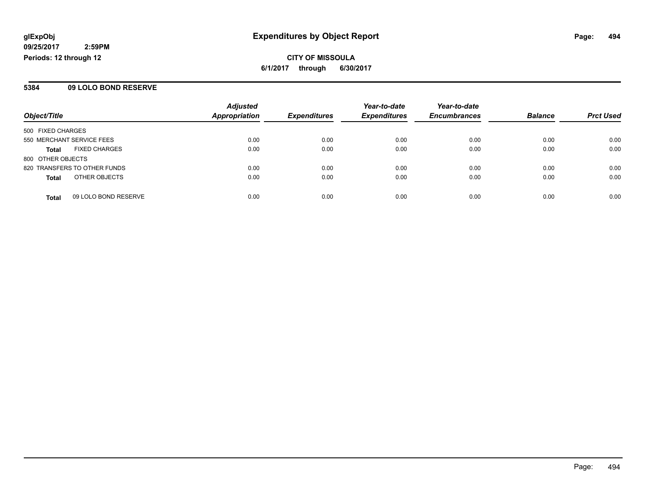**CITY OF MISSOULA 6/1/2017 through 6/30/2017**

#### **5384 09 LOLO BOND RESERVE**

|                                      | <b>Adjusted</b>      |                     | Year-to-date        | Year-to-date        |                |                  |
|--------------------------------------|----------------------|---------------------|---------------------|---------------------|----------------|------------------|
| Object/Title                         | <b>Appropriation</b> | <b>Expenditures</b> | <b>Expenditures</b> | <b>Encumbrances</b> | <b>Balance</b> | <b>Prct Used</b> |
| 500 FIXED CHARGES                    |                      |                     |                     |                     |                |                  |
| 550 MERCHANT SERVICE FEES            | 0.00                 | 0.00                | 0.00                | 0.00                | 0.00           | 0.00             |
| <b>FIXED CHARGES</b><br><b>Total</b> | 0.00                 | 0.00                | 0.00                | 0.00                | 0.00           | 0.00             |
| 800 OTHER OBJECTS                    |                      |                     |                     |                     |                |                  |
| 820 TRANSFERS TO OTHER FUNDS         | 0.00                 | 0.00                | 0.00                | 0.00                | 0.00           | 0.00             |
| OTHER OBJECTS<br><b>Total</b>        | 0.00                 | 0.00                | 0.00                | 0.00                | 0.00           | 0.00             |
| 09 LOLO BOND RESERVE<br><b>Total</b> | 0.00                 | 0.00                | 0.00                | 0.00                | 0.00           | 0.00             |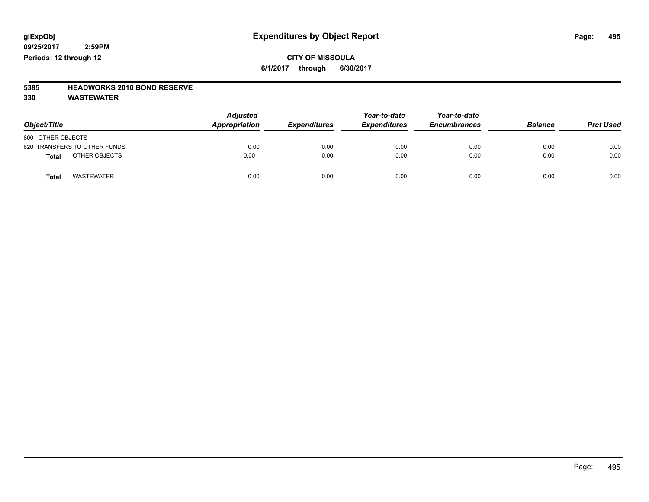#### **CITY OF MISSOULA 6/1/2017 through 6/30/2017**

### **5385 HEADWORKS 2010 BOND RESERVE**

| Object/Title                 | <b>Adjusted</b><br>Appropriation | <b>Expenditures</b> | Year-to-date<br><b>Expenditures</b> | Year-to-date<br><b>Encumbrances</b> | <b>Balance</b> | <b>Prct Used</b> |
|------------------------------|----------------------------------|---------------------|-------------------------------------|-------------------------------------|----------------|------------------|
| 800 OTHER OBJECTS            |                                  |                     |                                     |                                     |                |                  |
| 820 TRANSFERS TO OTHER FUNDS | 0.00                             | 0.00                | 0.00                                | 0.00                                | 0.00           | 0.00             |
| OTHER OBJECTS<br>Total       | 0.00                             | 0.00                | 0.00                                | 0.00                                | 0.00           | 0.00             |
| WASTEWATER<br><b>Total</b>   | 0.00                             | 0.00                | 0.00                                | 0.00                                | 0.00           | 0.00             |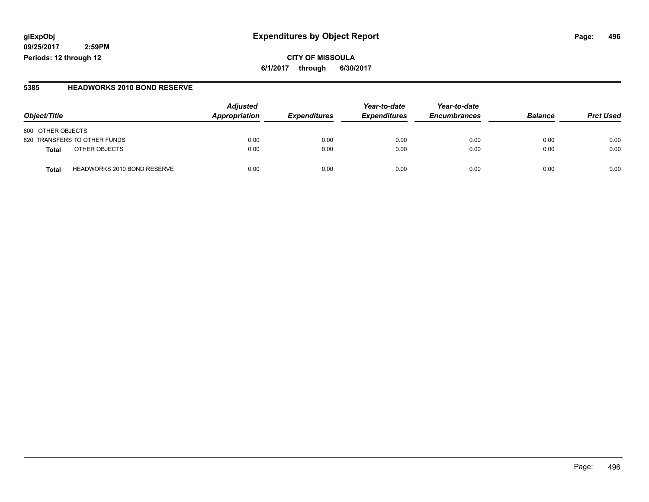#### **glExpObj Expenditures by Object Report Page: 496**

**09/25/2017 2:59PM Periods: 12 through 12**

#### **5385 HEADWORKS 2010 BOND RESERVE**

| Object/Title                                | <b>Adjusted</b><br>Appropriation | <i><b>Expenditures</b></i> | Year-to-date<br><b>Expenditures</b> | Year-to-date<br><b>Encumbrances</b> | <b>Balance</b> | <b>Prct Used</b> |
|---------------------------------------------|----------------------------------|----------------------------|-------------------------------------|-------------------------------------|----------------|------------------|
| 800 OTHER OBJECTS                           |                                  |                            |                                     |                                     |                |                  |
| 820 TRANSFERS TO OTHER FUNDS                | 0.00                             | 0.00                       | 0.00                                | 0.00                                | 0.00           | 0.00             |
| OTHER OBJECTS<br>Total                      | 0.00                             | 0.00                       | 0.00                                | 0.00                                | 0.00           | 0.00             |
| <b>HEADWORKS 2010 BOND RESERVE</b><br>Total | 0.00                             | 0.00                       | 0.00                                | 0.00                                | 0.00           | 0.00             |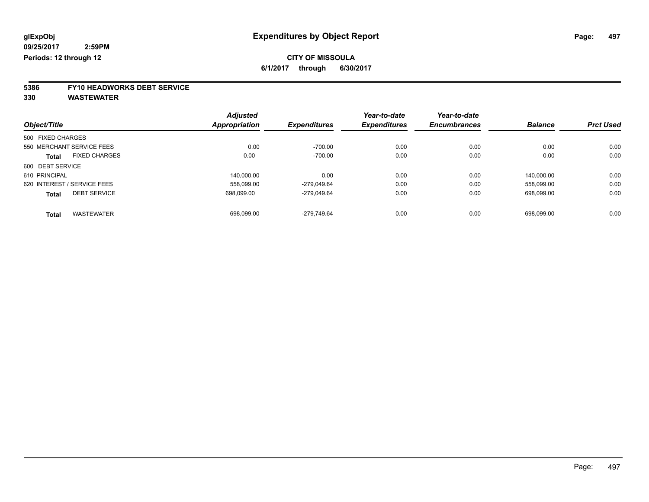# **5386 FY10 HEADWORKS DEBT SERVICE**

|                                      | <b>Adjusted</b> |                     | Year-to-date        | Year-to-date        |                |                  |
|--------------------------------------|-----------------|---------------------|---------------------|---------------------|----------------|------------------|
| Object/Title                         | Appropriation   | <b>Expenditures</b> | <b>Expenditures</b> | <b>Encumbrances</b> | <b>Balance</b> | <b>Prct Used</b> |
| 500 FIXED CHARGES                    |                 |                     |                     |                     |                |                  |
| 550 MERCHANT SERVICE FEES            | 0.00            | $-700.00$           | 0.00                | 0.00                | 0.00           | 0.00             |
| <b>FIXED CHARGES</b><br><b>Total</b> | 0.00            | $-700.00$           | 0.00                | 0.00                | 0.00           | 0.00             |
| 600 DEBT SERVICE                     |                 |                     |                     |                     |                |                  |
| 610 PRINCIPAL                        | 140.000.00      | 0.00                | 0.00                | 0.00                | 140.000.00     | 0.00             |
| 620 INTEREST / SERVICE FEES          | 558,099.00      | -279.049.64         | 0.00                | 0.00                | 558.099.00     | 0.00             |
| <b>DEBT SERVICE</b><br><b>Total</b>  | 698.099.00      | -279.049.64         | 0.00                | 0.00                | 698.099.00     | 0.00             |
| <b>WASTEWATER</b><br><b>Total</b>    | 698.099.00      | -279.749.64         | 0.00                | 0.00                | 698.099.00     | 0.00             |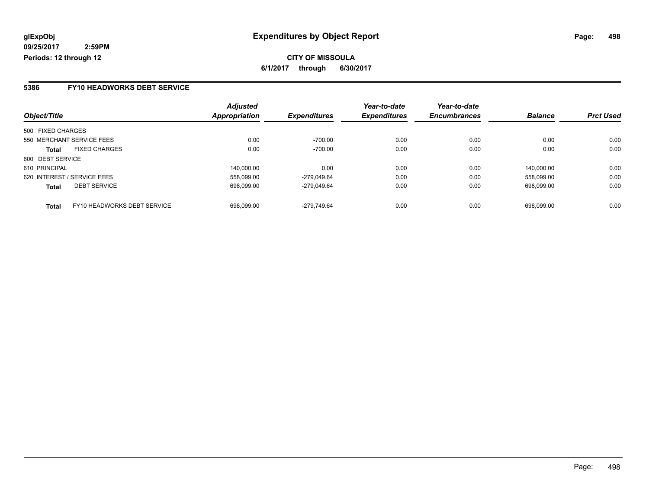#### **5386 FY10 HEADWORKS DEBT SERVICE**

| Object/Title      |                             | <b>Adjusted</b><br>Appropriation | <b>Expenditures</b> | Year-to-date<br><b>Expenditures</b> | Year-to-date<br><b>Encumbrances</b> | <b>Balance</b> | <b>Prct Used</b> |
|-------------------|-----------------------------|----------------------------------|---------------------|-------------------------------------|-------------------------------------|----------------|------------------|
|                   |                             |                                  |                     |                                     |                                     |                |                  |
| 500 FIXED CHARGES |                             |                                  |                     |                                     |                                     |                |                  |
|                   | 550 MERCHANT SERVICE FEES   | 0.00                             | $-700.00$           | 0.00                                | 0.00                                | 0.00           | 0.00             |
| <b>Total</b>      | <b>FIXED CHARGES</b>        | 0.00                             | $-700.00$           | 0.00                                | 0.00                                | 0.00           | 0.00             |
| 600 DEBT SERVICE  |                             |                                  |                     |                                     |                                     |                |                  |
| 610 PRINCIPAL     |                             | 140.000.00                       | 0.00                | 0.00                                | 0.00                                | 140.000.00     | 0.00             |
|                   | 620 INTEREST / SERVICE FEES | 558.099.00                       | -279.049.64         | 0.00                                | 0.00                                | 558.099.00     | 0.00             |
| <b>Total</b>      | <b>DEBT SERVICE</b>         | 698.099.00                       | -279.049.64         | 0.00                                | 0.00                                | 698.099.00     | 0.00             |
| <b>Total</b>      | FY10 HEADWORKS DEBT SERVICE | 698.099.00                       | -279.749.64         | 0.00                                | 0.00                                | 698.099.00     | 0.00             |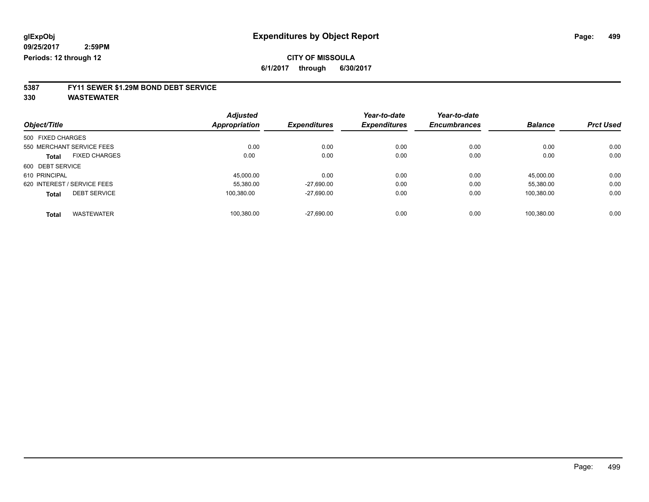### **CITY OF MISSOULA**

**6/1/2017 through 6/30/2017**

# **5387 FY11 SEWER \$1.29M BOND DEBT SERVICE**

|                             |                      | <b>Adjusted</b><br><b>Appropriation</b> |                     | Year-to-date        | Year-to-date   |                  |      |
|-----------------------------|----------------------|-----------------------------------------|---------------------|---------------------|----------------|------------------|------|
| Object/Title                | <b>Expenditures</b>  |                                         | <b>Expenditures</b> | <b>Encumbrances</b> | <b>Balance</b> | <b>Prct Used</b> |      |
| 500 FIXED CHARGES           |                      |                                         |                     |                     |                |                  |      |
| 550 MERCHANT SERVICE FEES   |                      | 0.00                                    | 0.00                | 0.00                | 0.00           | 0.00             | 0.00 |
| <b>Total</b>                | <b>FIXED CHARGES</b> | 0.00                                    | 0.00                | 0.00                | 0.00           | 0.00             | 0.00 |
| 600 DEBT SERVICE            |                      |                                         |                     |                     |                |                  |      |
| 610 PRINCIPAL               |                      | 45.000.00                               | 0.00                | 0.00                | 0.00           | 45.000.00        | 0.00 |
| 620 INTEREST / SERVICE FEES |                      | 55.380.00                               | $-27,690.00$        | 0.00                | 0.00           | 55.380.00        | 0.00 |
| <b>Total</b>                | <b>DEBT SERVICE</b>  | 100.380.00                              | $-27,690.00$        | 0.00                | 0.00           | 100.380.00       | 0.00 |
| <b>Total</b>                | <b>WASTEWATER</b>    | 100.380.00                              | $-27.690.00$        | 0.00                | 0.00           | 100.380.00       | 0.00 |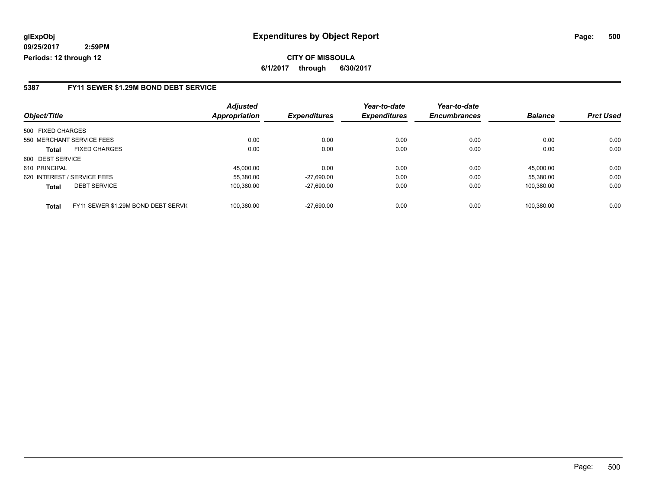**CITY OF MISSOULA 6/1/2017 through 6/30/2017**

#### **5387 FY11 SEWER \$1.29M BOND DEBT SERVICE**

|                   |                                     | <b>Adjusted</b> |                     | Year-to-date        | Year-to-date        |                |                  |
|-------------------|-------------------------------------|-----------------|---------------------|---------------------|---------------------|----------------|------------------|
| Object/Title      |                                     | Appropriation   | <b>Expenditures</b> | <b>Expenditures</b> | <b>Encumbrances</b> | <b>Balance</b> | <b>Prct Used</b> |
| 500 FIXED CHARGES |                                     |                 |                     |                     |                     |                |                  |
|                   | 550 MERCHANT SERVICE FEES           | 0.00            | 0.00                | 0.00                | 0.00                | 0.00           | 0.00             |
| <b>Total</b>      | <b>FIXED CHARGES</b>                | 0.00            | 0.00                | 0.00                | 0.00                | 0.00           | 0.00             |
| 600 DEBT SERVICE  |                                     |                 |                     |                     |                     |                |                  |
| 610 PRINCIPAL     |                                     | 45.000.00       | 0.00                | 0.00                | 0.00                | 45,000.00      | 0.00             |
|                   | 620 INTEREST / SERVICE FEES         | 55,380.00       | $-27.690.00$        | 0.00                | 0.00                | 55,380.00      | 0.00             |
| <b>Total</b>      | <b>DEBT SERVICE</b>                 | 100,380.00      | $-27,690.00$        | 0.00                | 0.00                | 100,380.00     | 0.00             |
| <b>Total</b>      | FY11 SEWER \$1.29M BOND DEBT SERVIC | 100.380.00      | $-27.690.00$        | 0.00                | 0.00                | 100.380.00     | 0.00             |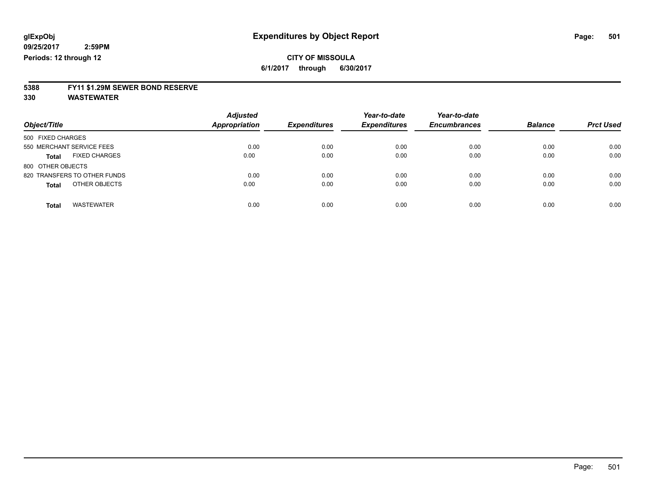### **5388 FY11 \$1.29M SEWER BOND RESERVE**

|                                      | <b>Adjusted</b>      |                     | Year-to-date        | Year-to-date        | <b>Balance</b> | <b>Prct Used</b> |
|--------------------------------------|----------------------|---------------------|---------------------|---------------------|----------------|------------------|
| Object/Title                         | <b>Appropriation</b> | <b>Expenditures</b> | <b>Expenditures</b> | <b>Encumbrances</b> |                |                  |
| 500 FIXED CHARGES                    |                      |                     |                     |                     |                |                  |
| 550 MERCHANT SERVICE FEES            | 0.00                 | 0.00                | 0.00                | 0.00                | 0.00           | 0.00             |
| <b>FIXED CHARGES</b><br><b>Total</b> | 0.00                 | 0.00                | 0.00                | 0.00                | 0.00           | 0.00             |
| 800 OTHER OBJECTS                    |                      |                     |                     |                     |                |                  |
| 820 TRANSFERS TO OTHER FUNDS         | 0.00                 | 0.00                | 0.00                | 0.00                | 0.00           | 0.00             |
| OTHER OBJECTS<br><b>Total</b>        | 0.00                 | 0.00                | 0.00                | 0.00                | 0.00           | 0.00             |
| <b>WASTEWATER</b><br><b>Total</b>    | 0.00                 | 0.00                | 0.00                | 0.00                | 0.00           | 0.00             |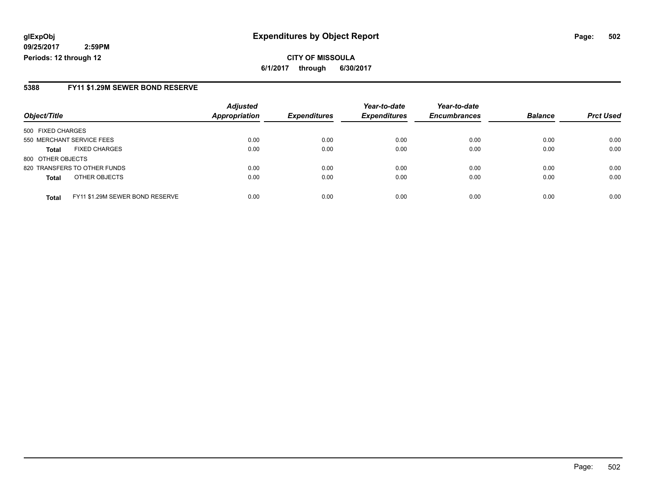#### **glExpObj Expenditures by Object Report Page: 502**

**09/25/2017 2:59PM Periods: 12 through 12**

#### **5388 FY11 \$1.29M SEWER BOND RESERVE**

|                                                 | <b>Adjusted</b> |                     | Year-to-date        | Year-to-date        |                |                  |
|-------------------------------------------------|-----------------|---------------------|---------------------|---------------------|----------------|------------------|
| Object/Title                                    | Appropriation   | <b>Expenditures</b> | <b>Expenditures</b> | <b>Encumbrances</b> | <b>Balance</b> | <b>Prct Used</b> |
| 500 FIXED CHARGES                               |                 |                     |                     |                     |                |                  |
| 550 MERCHANT SERVICE FEES                       | 0.00            | 0.00                | 0.00                | 0.00                | 0.00           | 0.00             |
| <b>FIXED CHARGES</b><br><b>Total</b>            | 0.00            | 0.00                | 0.00                | 0.00                | 0.00           | 0.00             |
| 800 OTHER OBJECTS                               |                 |                     |                     |                     |                |                  |
| 820 TRANSFERS TO OTHER FUNDS                    | 0.00            | 0.00                | 0.00                | 0.00                | 0.00           | 0.00             |
| OTHER OBJECTS<br><b>Total</b>                   | 0.00            | 0.00                | 0.00                | 0.00                | 0.00           | 0.00             |
| FY11 \$1.29M SEWER BOND RESERVE<br><b>Total</b> | 0.00            | 0.00                | 0.00                | 0.00                | 0.00           | 0.00             |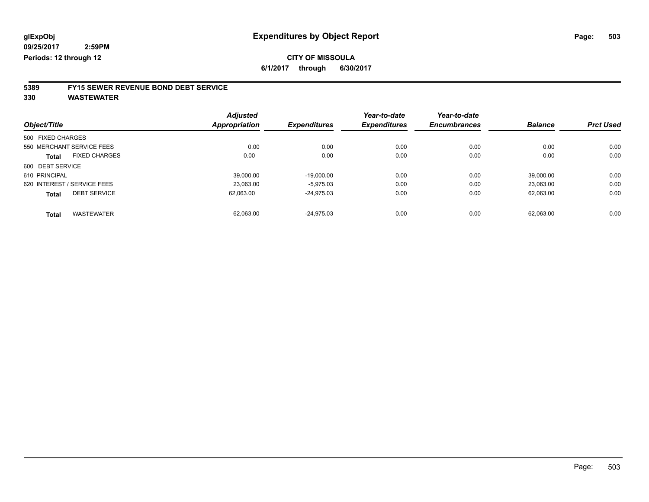### **CITY OF MISSOULA**

**6/1/2017 through 6/30/2017**

### **5389 FY15 SEWER REVENUE BOND DEBT SERVICE**

| Object/Title                        | <b>Adjusted</b><br><b>Appropriation</b> | <b>Expenditures</b> | Year-to-date<br><b>Expenditures</b> | Year-to-date<br><b>Encumbrances</b> | <b>Balance</b> | <b>Prct Used</b> |
|-------------------------------------|-----------------------------------------|---------------------|-------------------------------------|-------------------------------------|----------------|------------------|
| 500 FIXED CHARGES                   |                                         |                     |                                     |                                     |                |                  |
| 550 MERCHANT SERVICE FEES           | 0.00                                    | 0.00                | 0.00                                | 0.00                                | 0.00           | 0.00             |
| <b>FIXED CHARGES</b><br>Total       | 0.00                                    | 0.00                | 0.00                                | 0.00                                | 0.00           | 0.00             |
| 600 DEBT SERVICE                    |                                         |                     |                                     |                                     |                |                  |
| 610 PRINCIPAL                       | 39.000.00                               | $-19,000.00$        | 0.00                                | 0.00                                | 39.000.00      | 0.00             |
| 620 INTEREST / SERVICE FEES         | 23.063.00                               | $-5,975.03$         | 0.00                                | 0.00                                | 23.063.00      | 0.00             |
| <b>DEBT SERVICE</b><br><b>Total</b> | 62,063.00                               | $-24,975.03$        | 0.00                                | 0.00                                | 62.063.00      | 0.00             |
| <b>WASTEWATER</b><br><b>Total</b>   | 62.063.00                               | $-24.975.03$        | 0.00                                | 0.00                                | 62.063.00      | 0.00             |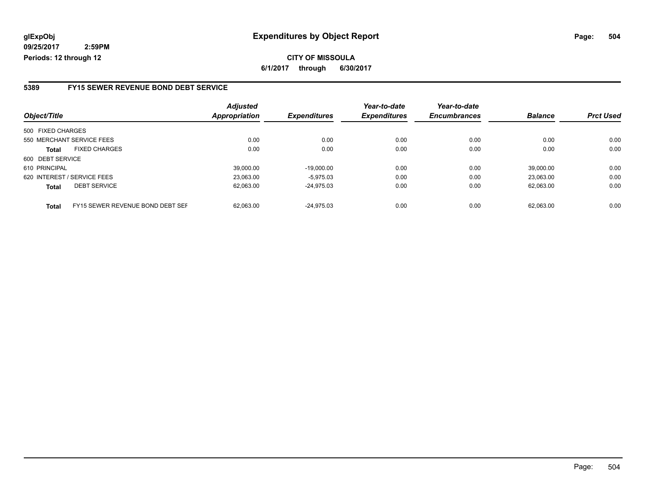#### **5389 FY15 SEWER REVENUE BOND DEBT SERVICE**

| Object/Title              |                                  | <b>Adjusted</b><br>Appropriation | <b>Expenditures</b> | Year-to-date<br><b>Expenditures</b> | Year-to-date<br><b>Encumbrances</b> | <b>Balance</b> | <b>Prct Used</b> |
|---------------------------|----------------------------------|----------------------------------|---------------------|-------------------------------------|-------------------------------------|----------------|------------------|
|                           |                                  |                                  |                     |                                     |                                     |                |                  |
| 550 MERCHANT SERVICE FEES |                                  | 0.00                             | 0.00                | 0.00                                | 0.00                                | 0.00           | 0.00             |
| <b>Total</b>              | <b>FIXED CHARGES</b>             | 0.00                             | 0.00                | 0.00                                | 0.00                                | 0.00           | 0.00             |
| 600 DEBT SERVICE          |                                  |                                  |                     |                                     |                                     |                |                  |
| 610 PRINCIPAL             |                                  | 39.000.00                        | $-19.000.00$        | 0.00                                | 0.00                                | 39.000.00      | 0.00             |
|                           | 620 INTEREST / SERVICE FEES      | 23,063.00                        | $-5.975.03$         | 0.00                                | 0.00                                | 23.063.00      | 0.00             |
| <b>Total</b>              | <b>DEBT SERVICE</b>              | 62.063.00                        | $-24.975.03$        | 0.00                                | 0.00                                | 62.063.00      | 0.00             |
| <b>Total</b>              | FY15 SEWER REVENUE BOND DEBT SEF | 62.063.00                        | $-24.975.03$        | 0.00                                | 0.00                                | 62.063.00      | 0.00             |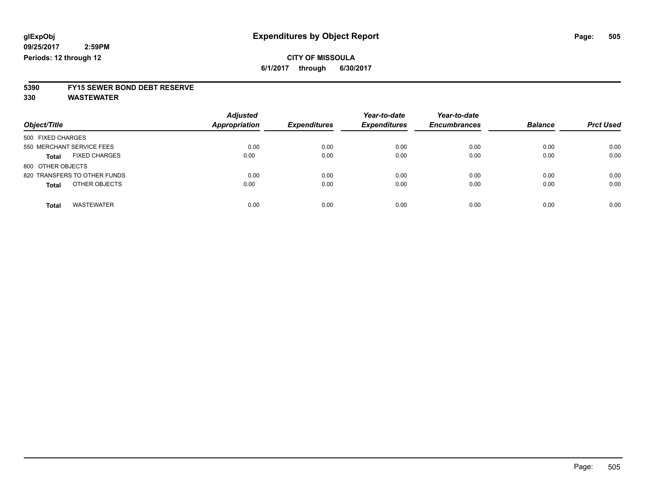**5390 FY15 SEWER BOND DEBT RESERVE**

**330 WASTEWATER**

| Object/Title                         | <b>Adjusted</b><br><b>Appropriation</b> | <b>Expenditures</b> | Year-to-date<br><b>Expenditures</b> | Year-to-date<br><b>Encumbrances</b> | <b>Balance</b> | <b>Prct Used</b> |
|--------------------------------------|-----------------------------------------|---------------------|-------------------------------------|-------------------------------------|----------------|------------------|
| 500 FIXED CHARGES                    |                                         |                     |                                     |                                     |                |                  |
| 550 MERCHANT SERVICE FEES            | 0.00                                    | 0.00                | 0.00                                | 0.00                                | 0.00           | 0.00             |
| <b>FIXED CHARGES</b><br><b>Total</b> | 0.00                                    | 0.00                | 0.00                                | 0.00                                | 0.00           | 0.00             |
| 800 OTHER OBJECTS                    |                                         |                     |                                     |                                     |                |                  |
| 820 TRANSFERS TO OTHER FUNDS         | 0.00                                    | 0.00                | 0.00                                | 0.00                                | 0.00           | 0.00             |
| OTHER OBJECTS<br><b>Total</b>        | 0.00                                    | 0.00                | 0.00                                | 0.00                                | 0.00           | 0.00             |
| <b>WASTEWATER</b><br><b>Total</b>    | 0.00                                    | 0.00                | 0.00                                | 0.00                                | 0.00           | 0.00             |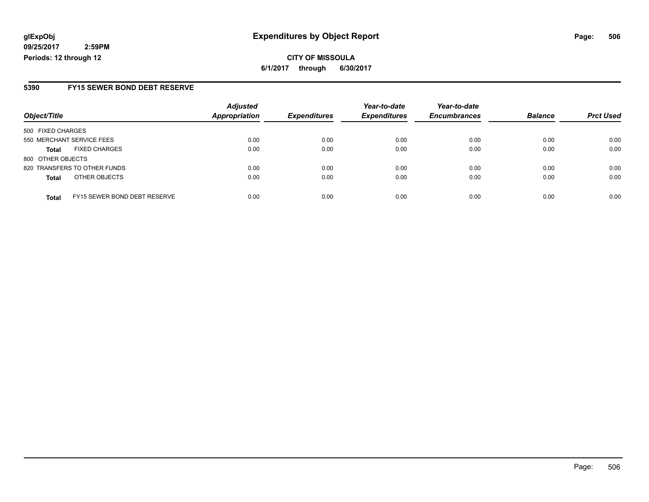**CITY OF MISSOULA 6/1/2017 through 6/30/2017**

### **5390 FY15 SEWER BOND DEBT RESERVE**

|                           |                                     | <b>Adjusted</b> |                     | Year-to-date        | Year-to-date        |                |                  |
|---------------------------|-------------------------------------|-----------------|---------------------|---------------------|---------------------|----------------|------------------|
| Object/Title              |                                     | Appropriation   | <b>Expenditures</b> | <b>Expenditures</b> | <b>Encumbrances</b> | <b>Balance</b> | <b>Prct Used</b> |
| 500 FIXED CHARGES         |                                     |                 |                     |                     |                     |                |                  |
| 550 MERCHANT SERVICE FEES |                                     | 0.00            | 0.00                | 0.00                | 0.00                | 0.00           | 0.00             |
| <b>Total</b>              | <b>FIXED CHARGES</b>                | 0.00            | 0.00                | 0.00                | 0.00                | 0.00           | 0.00             |
| 800 OTHER OBJECTS         |                                     |                 |                     |                     |                     |                |                  |
|                           | 820 TRANSFERS TO OTHER FUNDS        | 0.00            | 0.00                | 0.00                | 0.00                | 0.00           | 0.00             |
| <b>Total</b>              | OTHER OBJECTS                       | 0.00            | 0.00                | 0.00                | 0.00                | 0.00           | 0.00             |
| <b>Total</b>              | <b>FY15 SEWER BOND DEBT RESERVE</b> | 0.00            | 0.00                | 0.00                | 0.00                | 0.00           | 0.00             |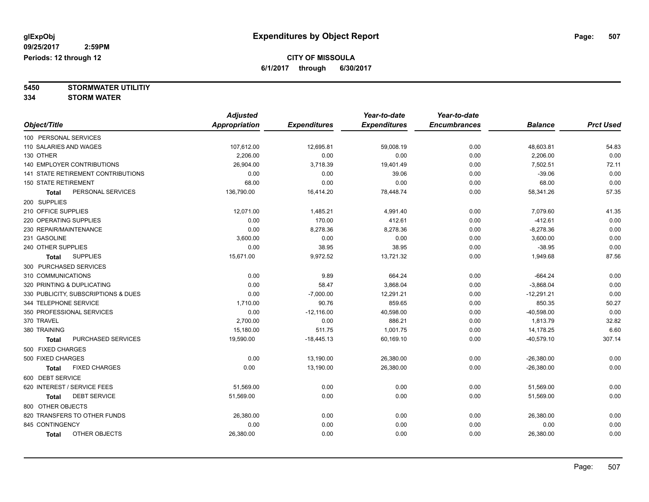**5450 STORMWATER UTILITIY**

**334 STORM WATER**

|                                           | <b>Adjusted</b>      |                     | Year-to-date        | Year-to-date        |                |                  |
|-------------------------------------------|----------------------|---------------------|---------------------|---------------------|----------------|------------------|
| Object/Title                              | <b>Appropriation</b> | <b>Expenditures</b> | <b>Expenditures</b> | <b>Encumbrances</b> | <b>Balance</b> | <b>Prct Used</b> |
| 100 PERSONAL SERVICES                     |                      |                     |                     |                     |                |                  |
| 110 SALARIES AND WAGES                    | 107,612.00           | 12,695.81           | 59,008.19           | 0.00                | 48,603.81      | 54.83            |
| 130 OTHER                                 | 2,206.00             | 0.00                | 0.00                | 0.00                | 2,206.00       | 0.00             |
| 140 EMPLOYER CONTRIBUTIONS                | 26,904.00            | 3,718.39            | 19,401.49           | 0.00                | 7,502.51       | 72.11            |
| <b>141 STATE RETIREMENT CONTRIBUTIONS</b> | 0.00                 | 0.00                | 39.06               | 0.00                | $-39.06$       | 0.00             |
| <b>150 STATE RETIREMENT</b>               | 68.00                | 0.00                | 0.00                | 0.00                | 68.00          | 0.00             |
| PERSONAL SERVICES<br><b>Total</b>         | 136,790.00           | 16,414.20           | 78,448.74           | 0.00                | 58,341.26      | 57.35            |
| 200 SUPPLIES                              |                      |                     |                     |                     |                |                  |
| 210 OFFICE SUPPLIES                       | 12,071.00            | 1,485.21            | 4,991.40            | 0.00                | 7,079.60       | 41.35            |
| 220 OPERATING SUPPLIES                    | 0.00                 | 170.00              | 412.61              | 0.00                | $-412.61$      | 0.00             |
| 230 REPAIR/MAINTENANCE                    | 0.00                 | 8,278.36            | 8,278.36            | 0.00                | $-8,278.36$    | 0.00             |
| 231 GASOLINE                              | 3,600.00             | 0.00                | 0.00                | 0.00                | 3,600.00       | 0.00             |
| 240 OTHER SUPPLIES                        | 0.00                 | 38.95               | 38.95               | 0.00                | $-38.95$       | 0.00             |
| <b>SUPPLIES</b><br><b>Total</b>           | 15,671.00            | 9,972.52            | 13,721.32           | 0.00                | 1,949.68       | 87.56            |
| 300 PURCHASED SERVICES                    |                      |                     |                     |                     |                |                  |
| 310 COMMUNICATIONS                        | 0.00                 | 9.89                | 664.24              | 0.00                | $-664.24$      | 0.00             |
| 320 PRINTING & DUPLICATING                | 0.00                 | 58.47               | 3,868.04            | 0.00                | $-3,868.04$    | 0.00             |
| 330 PUBLICITY, SUBSCRIPTIONS & DUES       | 0.00                 | $-7,000.00$         | 12,291.21           | 0.00                | $-12,291.21$   | 0.00             |
| 344 TELEPHONE SERVICE                     | 1,710.00             | 90.76               | 859.65              | 0.00                | 850.35         | 50.27            |
| 350 PROFESSIONAL SERVICES                 | 0.00                 | $-12,116.00$        | 40,598.00           | 0.00                | $-40,598.00$   | 0.00             |
| 370 TRAVEL                                | 2,700.00             | 0.00                | 886.21              | 0.00                | 1,813.79       | 32.82            |
| 380 TRAINING                              | 15,180.00            | 511.75              | 1,001.75            | 0.00                | 14,178.25      | 6.60             |
| PURCHASED SERVICES<br>Total               | 19,590.00            | $-18,445.13$        | 60,169.10           | 0.00                | $-40,579.10$   | 307.14           |
| 500 FIXED CHARGES                         |                      |                     |                     |                     |                |                  |
| 500 FIXED CHARGES                         | 0.00                 | 13,190.00           | 26,380.00           | 0.00                | $-26,380.00$   | 0.00             |
| <b>FIXED CHARGES</b><br><b>Total</b>      | 0.00                 | 13,190.00           | 26,380.00           | 0.00                | $-26,380.00$   | 0.00             |
| 600 DEBT SERVICE                          |                      |                     |                     |                     |                |                  |
| 620 INTEREST / SERVICE FEES               | 51,569.00            | 0.00                | 0.00                | 0.00                | 51,569.00      | 0.00             |
| <b>DEBT SERVICE</b><br><b>Total</b>       | 51,569.00            | 0.00                | 0.00                | 0.00                | 51,569.00      | 0.00             |
| 800 OTHER OBJECTS                         |                      |                     |                     |                     |                |                  |
| 820 TRANSFERS TO OTHER FUNDS              | 26,380.00            | 0.00                | 0.00                | 0.00                | 26,380.00      | 0.00             |
| 845 CONTINGENCY                           | 0.00                 | 0.00                | 0.00                | 0.00                | 0.00           | 0.00             |
| OTHER OBJECTS<br><b>Total</b>             | 26,380.00            | 0.00                | 0.00                | 0.00                | 26,380.00      | 0.00             |
|                                           |                      |                     |                     |                     |                |                  |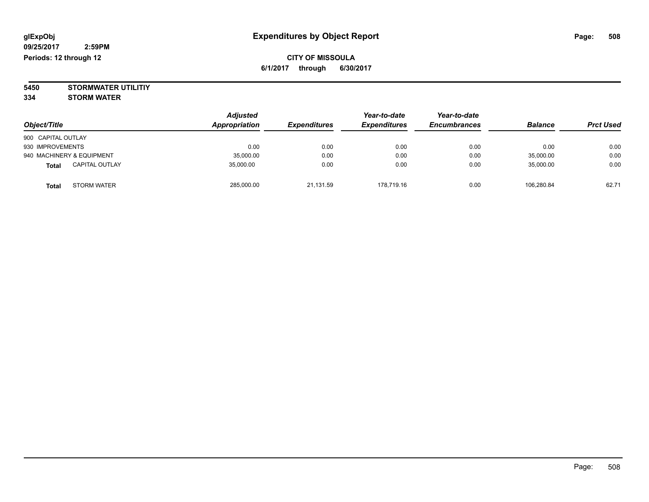**5450 STORMWATER UTILITIY 334 STORM WATER**

| Object/Title                          | <b>Adjusted</b><br><b>Appropriation</b> | <b>Expenditures</b> | Year-to-date<br><b>Expenditures</b> | Year-to-date<br><b>Encumbrances</b> | <b>Balance</b> | <b>Prct Used</b> |
|---------------------------------------|-----------------------------------------|---------------------|-------------------------------------|-------------------------------------|----------------|------------------|
| 900 CAPITAL OUTLAY                    |                                         |                     |                                     |                                     |                |                  |
| 930 IMPROVEMENTS                      | 0.00                                    | 0.00                | 0.00                                | 0.00                                | 0.00           | 0.00             |
| 940 MACHINERY & EQUIPMENT             | 35,000.00                               | 0.00                | 0.00                                | 0.00                                | 35,000.00      | 0.00             |
| <b>CAPITAL OUTLAY</b><br><b>Total</b> | 35,000.00                               | 0.00                | 0.00                                | 0.00                                | 35,000.00      | 0.00             |
| <b>STORM WATER</b><br><b>Total</b>    | 285,000.00                              | 21,131.59           | 178,719.16                          | 0.00                                | 106.280.84     | 62.71            |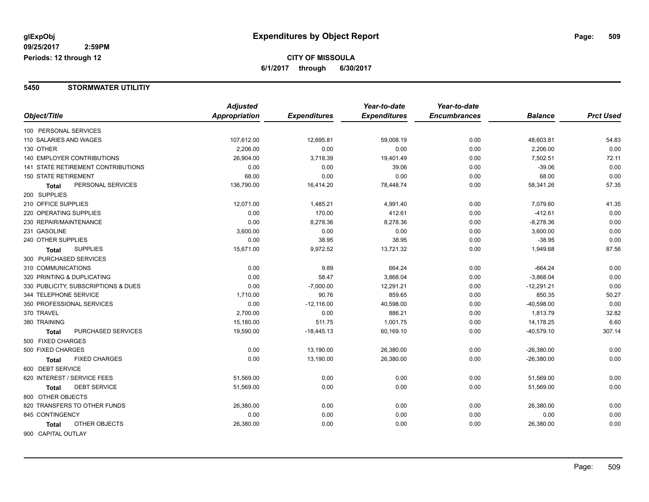#### **5450 STORMWATER UTILITIY**

|                                     | <b>Adjusted</b> |                     | Year-to-date        | Year-to-date        |                |                  |
|-------------------------------------|-----------------|---------------------|---------------------|---------------------|----------------|------------------|
| Object/Title                        | Appropriation   | <b>Expenditures</b> | <b>Expenditures</b> | <b>Encumbrances</b> | <b>Balance</b> | <b>Prct Used</b> |
| 100 PERSONAL SERVICES               |                 |                     |                     |                     |                |                  |
| 110 SALARIES AND WAGES              | 107,612.00      | 12,695.81           | 59,008.19           | 0.00                | 48,603.81      | 54.83            |
| 130 OTHER                           | 2,206.00        | 0.00                | 0.00                | 0.00                | 2,206.00       | 0.00             |
| <b>140 EMPLOYER CONTRIBUTIONS</b>   | 26,904.00       | 3,718.39            | 19,401.49           | 0.00                | 7,502.51       | 72.11            |
| 141 STATE RETIREMENT CONTRIBUTIONS  | 0.00            | 0.00                | 39.06               | 0.00                | $-39.06$       | 0.00             |
| <b>150 STATE RETIREMENT</b>         | 68.00           | 0.00                | 0.00                | 0.00                | 68.00          | 0.00             |
| PERSONAL SERVICES<br><b>Total</b>   | 136,790.00      | 16,414.20           | 78,448.74           | 0.00                | 58,341.26      | 57.35            |
| 200 SUPPLIES                        |                 |                     |                     |                     |                |                  |
| 210 OFFICE SUPPLIES                 | 12,071.00       | 1,485.21            | 4,991.40            | 0.00                | 7,079.60       | 41.35            |
| 220 OPERATING SUPPLIES              | 0.00            | 170.00              | 412.61              | 0.00                | $-412.61$      | 0.00             |
| 230 REPAIR/MAINTENANCE              | 0.00            | 8,278.36            | 8,278.36            | 0.00                | $-8,278.36$    | 0.00             |
| 231 GASOLINE                        | 3,600.00        | 0.00                | 0.00                | 0.00                | 3,600.00       | 0.00             |
| 240 OTHER SUPPLIES                  | 0.00            | 38.95               | 38.95               | 0.00                | $-38.95$       | 0.00             |
| <b>SUPPLIES</b><br>Total            | 15,671.00       | 9,972.52            | 13,721.32           | 0.00                | 1,949.68       | 87.56            |
| 300 PURCHASED SERVICES              |                 |                     |                     |                     |                |                  |
| 310 COMMUNICATIONS                  | 0.00            | 9.89                | 664.24              | 0.00                | $-664.24$      | 0.00             |
| 320 PRINTING & DUPLICATING          | 0.00            | 58.47               | 3,868.04            | 0.00                | $-3,868.04$    | 0.00             |
| 330 PUBLICITY, SUBSCRIPTIONS & DUES | 0.00            | $-7,000.00$         | 12,291.21           | 0.00                | $-12,291.21$   | 0.00             |
| 344 TELEPHONE SERVICE               | 1,710.00        | 90.76               | 859.65              | 0.00                | 850.35         | 50.27            |
| 350 PROFESSIONAL SERVICES           | 0.00            | $-12,116.00$        | 40,598.00           | 0.00                | $-40,598.00$   | 0.00             |
| 370 TRAVEL                          | 2,700.00        | 0.00                | 886.21              | 0.00                | 1,813.79       | 32.82            |
| 380 TRAINING                        | 15,180.00       | 511.75              | 1,001.75            | 0.00                | 14,178.25      | 6.60             |
| PURCHASED SERVICES<br><b>Total</b>  | 19,590.00       | $-18,445.13$        | 60,169.10           | 0.00                | $-40,579.10$   | 307.14           |
| 500 FIXED CHARGES                   |                 |                     |                     |                     |                |                  |
| 500 FIXED CHARGES                   | 0.00            | 13,190.00           | 26,380.00           | 0.00                | $-26,380.00$   | 0.00             |
| <b>FIXED CHARGES</b><br>Total       | 0.00            | 13,190.00           | 26,380.00           | 0.00                | $-26,380.00$   | 0.00             |
| 600 DEBT SERVICE                    |                 |                     |                     |                     |                |                  |
| 620 INTEREST / SERVICE FEES         | 51,569.00       | 0.00                | 0.00                | 0.00                | 51,569.00      | 0.00             |
| <b>DEBT SERVICE</b><br>Total        | 51,569.00       | 0.00                | 0.00                | 0.00                | 51,569.00      | 0.00             |
| 800 OTHER OBJECTS                   |                 |                     |                     |                     |                |                  |
| 820 TRANSFERS TO OTHER FUNDS        | 26,380.00       | 0.00                | 0.00                | 0.00                | 26,380.00      | 0.00             |
| 845 CONTINGENCY                     | 0.00            | 0.00                | 0.00                | 0.00                | 0.00           | 0.00             |
| OTHER OBJECTS<br><b>Total</b>       | 26,380.00       | 0.00                | 0.00                | 0.00                | 26,380.00      | 0.00             |
| 900 CAPITAL OUTLAY                  |                 |                     |                     |                     |                |                  |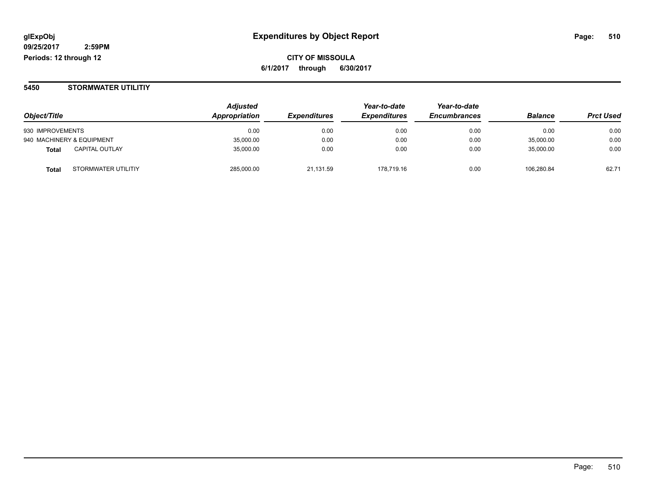#### **5450 STORMWATER UTILITIY**

|                                     | <b>Adjusted</b>      |                     | Year-to-date        | Year-to-date        |                |                  |
|-------------------------------------|----------------------|---------------------|---------------------|---------------------|----------------|------------------|
| Object/Title                        | <b>Appropriation</b> | <b>Expenditures</b> | <b>Expenditures</b> | <b>Encumbrances</b> | <b>Balance</b> | <b>Prct Used</b> |
| 930 IMPROVEMENTS                    | 0.00                 | 0.00                | 0.00                | 0.00                | 0.00           | 0.00             |
| 940 MACHINERY & EQUIPMENT           | 35,000.00            | 0.00                | 0.00                | 0.00                | 35,000.00      | 0.00             |
| <b>CAPITAL OUTLAY</b><br>Total      | 35,000.00            | 0.00                | 0.00                | 0.00                | 35,000.00      | 0.00             |
| STORMWATER UTILITIY<br><b>Total</b> | 285,000.00           | 21.131.59           | 178.719.16          | 0.00                | 106.280.84     | 62.71            |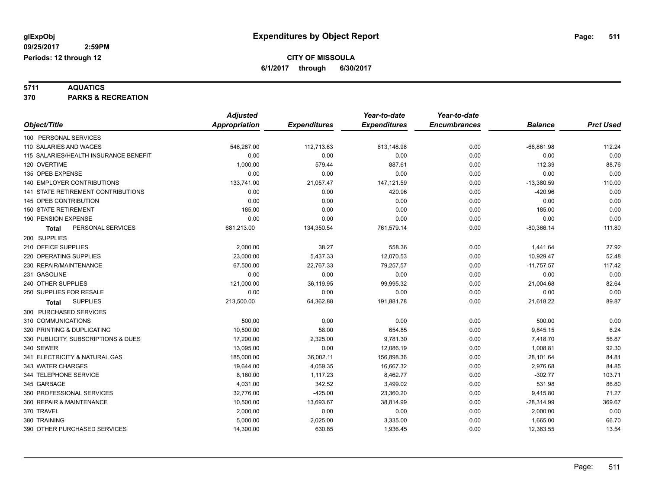**5711 AQUATICS 370 PARKS & RECREATION**

|                                       | <b>Adjusted</b>      |                     | Year-to-date        | Year-to-date        |                |                  |
|---------------------------------------|----------------------|---------------------|---------------------|---------------------|----------------|------------------|
| Object/Title                          | <b>Appropriation</b> | <b>Expenditures</b> | <b>Expenditures</b> | <b>Encumbrances</b> | <b>Balance</b> | <b>Prct Used</b> |
| 100 PERSONAL SERVICES                 |                      |                     |                     |                     |                |                  |
| 110 SALARIES AND WAGES                | 546,287.00           | 112,713.63          | 613,148.98          | 0.00                | $-66,861.98$   | 112.24           |
| 115 SALARIES/HEALTH INSURANCE BENEFIT | 0.00                 | 0.00                | 0.00                | 0.00                | 0.00           | 0.00             |
| 120 OVERTIME                          | 1,000.00             | 579.44              | 887.61              | 0.00                | 112.39         | 88.76            |
| 135 OPEB EXPENSE                      | 0.00                 | 0.00                | 0.00                | 0.00                | 0.00           | 0.00             |
| 140 EMPLOYER CONTRIBUTIONS            | 133,741.00           | 21,057.47           | 147,121.59          | 0.00                | $-13,380.59$   | 110.00           |
| 141 STATE RETIREMENT CONTRIBUTIONS    | 0.00                 | 0.00                | 420.96              | 0.00                | $-420.96$      | 0.00             |
| 145 OPEB CONTRIBUTION                 | 0.00                 | 0.00                | 0.00                | 0.00                | 0.00           | 0.00             |
| <b>150 STATE RETIREMENT</b>           | 185.00               | 0.00                | 0.00                | 0.00                | 185.00         | 0.00             |
| 190 PENSION EXPENSE                   | 0.00                 | 0.00                | 0.00                | 0.00                | 0.00           | 0.00             |
| PERSONAL SERVICES<br>Total            | 681,213.00           | 134,350.54          | 761,579.14          | 0.00                | $-80,366.14$   | 111.80           |
| 200 SUPPLIES                          |                      |                     |                     |                     |                |                  |
| 210 OFFICE SUPPLIES                   | 2,000.00             | 38.27               | 558.36              | 0.00                | 1,441.64       | 27.92            |
| 220 OPERATING SUPPLIES                | 23,000.00            | 5,437.33            | 12,070.53           | 0.00                | 10,929.47      | 52.48            |
| 230 REPAIR/MAINTENANCE                | 67,500.00            | 22,767.33           | 79,257.57           | 0.00                | $-11,757.57$   | 117.42           |
| 231 GASOLINE                          | 0.00                 | 0.00                | 0.00                | 0.00                | 0.00           | 0.00             |
| 240 OTHER SUPPLIES                    | 121,000.00           | 36,119.95           | 99,995.32           | 0.00                | 21,004.68      | 82.64            |
| 250 SUPPLIES FOR RESALE               | 0.00                 | 0.00                | 0.00                | 0.00                | 0.00           | 0.00             |
| <b>SUPPLIES</b><br><b>Total</b>       | 213,500.00           | 64,362.88           | 191,881.78          | 0.00                | 21,618.22      | 89.87            |
| 300 PURCHASED SERVICES                |                      |                     |                     |                     |                |                  |
| 310 COMMUNICATIONS                    | 500.00               | 0.00                | 0.00                | 0.00                | 500.00         | 0.00             |
| 320 PRINTING & DUPLICATING            | 10,500.00            | 58.00               | 654.85              | 0.00                | 9,845.15       | 6.24             |
| 330 PUBLICITY, SUBSCRIPTIONS & DUES   | 17,200.00            | 2,325.00            | 9,781.30            | 0.00                | 7,418.70       | 56.87            |
| 340 SEWER                             | 13,095.00            | 0.00                | 12,086.19           | 0.00                | 1,008.81       | 92.30            |
| 341 ELECTRICITY & NATURAL GAS         | 185,000.00           | 36,002.11           | 156,898.36          | 0.00                | 28,101.64      | 84.81            |
| 343 WATER CHARGES                     | 19,644.00            | 4,059.35            | 16,667.32           | 0.00                | 2,976.68       | 84.85            |
| 344 TELEPHONE SERVICE                 | 8,160.00             | 1,117.23            | 8,462.77            | 0.00                | $-302.77$      | 103.71           |
| 345 GARBAGE                           | 4,031.00             | 342.52              | 3,499.02            | 0.00                | 531.98         | 86.80            |
| 350 PROFESSIONAL SERVICES             | 32,776.00            | $-425.00$           | 23,360.20           | 0.00                | 9,415.80       | 71.27            |
| 360 REPAIR & MAINTENANCE              | 10,500.00            | 13,693.67           | 38,814.99           | 0.00                | $-28,314.99$   | 369.67           |
| 370 TRAVEL                            | 2,000.00             | 0.00                | 0.00                | 0.00                | 2,000.00       | 0.00             |
| 380 TRAINING                          | 5,000.00             | 2,025.00            | 3,335.00            | 0.00                | 1,665.00       | 66.70            |
| 390 OTHER PURCHASED SERVICES          | 14,300.00            | 630.85              | 1,936.45            | 0.00                | 12,363.55      | 13.54            |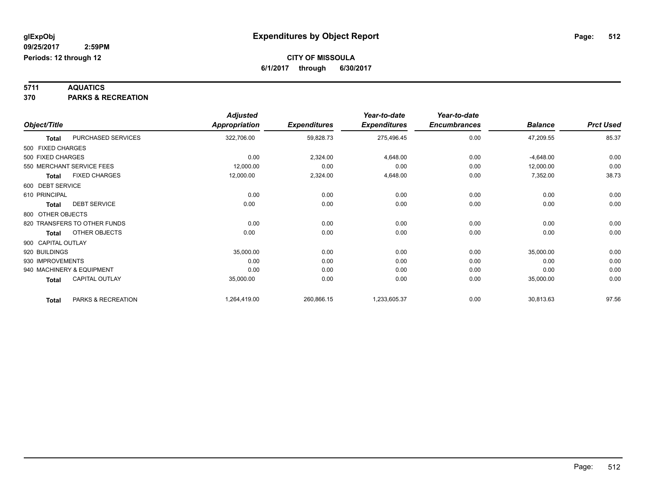**5711 AQUATICS 370 PARKS & RECREATION**

|                    |                              | <b>Adjusted</b>      |                     | Year-to-date        | Year-to-date        |                |                  |
|--------------------|------------------------------|----------------------|---------------------|---------------------|---------------------|----------------|------------------|
| Object/Title       |                              | <b>Appropriation</b> | <b>Expenditures</b> | <b>Expenditures</b> | <b>Encumbrances</b> | <b>Balance</b> | <b>Prct Used</b> |
| <b>Total</b>       | PURCHASED SERVICES           | 322,706.00           | 59,828.73           | 275,496.45          | 0.00                | 47,209.55      | 85.37            |
| 500 FIXED CHARGES  |                              |                      |                     |                     |                     |                |                  |
| 500 FIXED CHARGES  |                              | 0.00                 | 2,324.00            | 4,648.00            | 0.00                | $-4,648.00$    | 0.00             |
|                    | 550 MERCHANT SERVICE FEES    | 12,000.00            | 0.00                | 0.00                | 0.00                | 12,000.00      | 0.00             |
| Total              | <b>FIXED CHARGES</b>         | 12,000.00            | 2,324.00            | 4,648.00            | 0.00                | 7,352.00       | 38.73            |
| 600 DEBT SERVICE   |                              |                      |                     |                     |                     |                |                  |
| 610 PRINCIPAL      |                              | 0.00                 | 0.00                | 0.00                | 0.00                | 0.00           | 0.00             |
| <b>Total</b>       | <b>DEBT SERVICE</b>          | 0.00                 | 0.00                | 0.00                | 0.00                | 0.00           | 0.00             |
| 800 OTHER OBJECTS  |                              |                      |                     |                     |                     |                |                  |
|                    | 820 TRANSFERS TO OTHER FUNDS | 0.00                 | 0.00                | 0.00                | 0.00                | 0.00           | 0.00             |
| <b>Total</b>       | OTHER OBJECTS                | 0.00                 | 0.00                | 0.00                | 0.00                | 0.00           | 0.00             |
| 900 CAPITAL OUTLAY |                              |                      |                     |                     |                     |                |                  |
| 920 BUILDINGS      |                              | 35,000.00            | 0.00                | 0.00                | 0.00                | 35,000.00      | 0.00             |
| 930 IMPROVEMENTS   |                              | 0.00                 | 0.00                | 0.00                | 0.00                | 0.00           | 0.00             |
|                    | 940 MACHINERY & EQUIPMENT    | 0.00                 | 0.00                | 0.00                | 0.00                | 0.00           | 0.00             |
| <b>Total</b>       | <b>CAPITAL OUTLAY</b>        | 35,000.00            | 0.00                | 0.00                | 0.00                | 35,000.00      | 0.00             |
| <b>Total</b>       | PARKS & RECREATION           | 1,264,419.00         | 260,866.15          | 1,233,605.37        | 0.00                | 30,813.63      | 97.56            |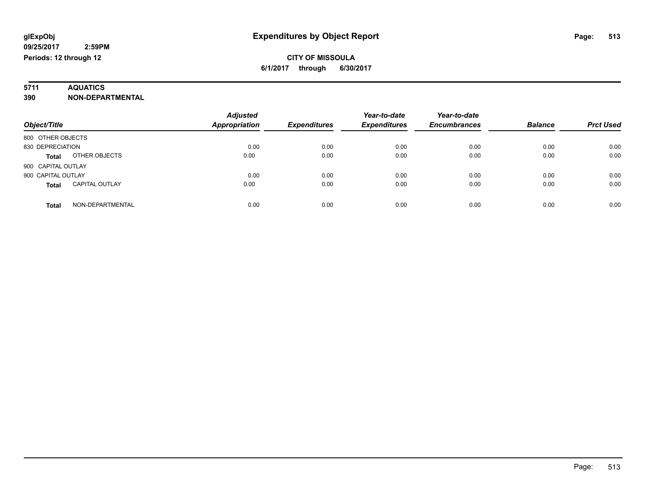# **5711 AQUATICS**

**390 NON-DEPARTMENTAL**

| Object/Title                          | <b>Adjusted</b><br><b>Appropriation</b> | <b>Expenditures</b> | Year-to-date<br><b>Expenditures</b> | Year-to-date<br><b>Encumbrances</b> | <b>Balance</b> | <b>Prct Used</b> |
|---------------------------------------|-----------------------------------------|---------------------|-------------------------------------|-------------------------------------|----------------|------------------|
| 800 OTHER OBJECTS                     |                                         |                     |                                     |                                     |                |                  |
| 830 DEPRECIATION                      | 0.00                                    | 0.00                | 0.00                                | 0.00                                | 0.00           | 0.00             |
| OTHER OBJECTS<br><b>Total</b>         | 0.00                                    | 0.00                | 0.00                                | 0.00                                | 0.00           | 0.00             |
| 900 CAPITAL OUTLAY                    |                                         |                     |                                     |                                     |                |                  |
| 900 CAPITAL OUTLAY                    | 0.00                                    | 0.00                | 0.00                                | 0.00                                | 0.00           | 0.00             |
| <b>CAPITAL OUTLAY</b><br><b>Total</b> | 0.00                                    | 0.00                | 0.00                                | 0.00                                | 0.00           | 0.00             |
| NON-DEPARTMENTAL<br><b>Total</b>      | 0.00                                    | 0.00                | 0.00                                | 0.00                                | 0.00           | 0.00             |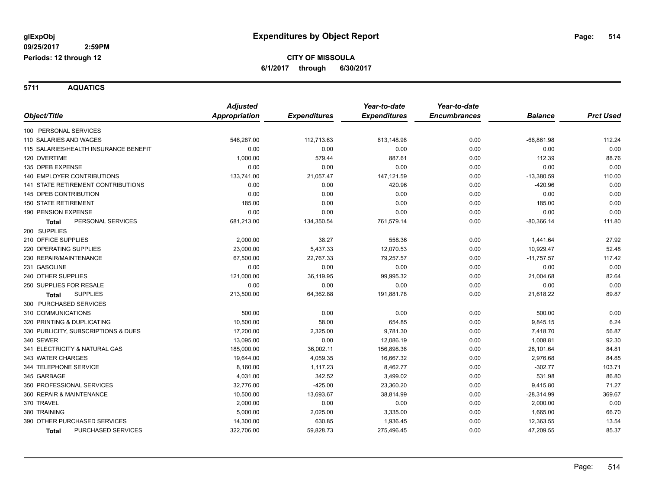**5711 AQUATICS**

|                                           | <b>Adjusted</b> |                     | Year-to-date        | Year-to-date        |                |                  |
|-------------------------------------------|-----------------|---------------------|---------------------|---------------------|----------------|------------------|
| Object/Title                              | Appropriation   | <b>Expenditures</b> | <b>Expenditures</b> | <b>Encumbrances</b> | <b>Balance</b> | <b>Prct Used</b> |
| 100 PERSONAL SERVICES                     |                 |                     |                     |                     |                |                  |
| 110 SALARIES AND WAGES                    | 546,287.00      | 112,713.63          | 613,148.98          | 0.00                | $-66,861.98$   | 112.24           |
| 115 SALARIES/HEALTH INSURANCE BENEFIT     | 0.00            | 0.00                | 0.00                | 0.00                | 0.00           | 0.00             |
| 120 OVERTIME                              | 1,000.00        | 579.44              | 887.61              | 0.00                | 112.39         | 88.76            |
| 135 OPEB EXPENSE                          | 0.00            | 0.00                | 0.00                | 0.00                | 0.00           | 0.00             |
| 140 EMPLOYER CONTRIBUTIONS                | 133,741.00      | 21,057.47           | 147,121.59          | 0.00                | $-13,380.59$   | 110.00           |
| 141 STATE RETIREMENT CONTRIBUTIONS        | 0.00            | 0.00                | 420.96              | 0.00                | $-420.96$      | 0.00             |
| 145 OPEB CONTRIBUTION                     | 0.00            | 0.00                | 0.00                | 0.00                | 0.00           | 0.00             |
| <b>150 STATE RETIREMENT</b>               | 185.00          | 0.00                | 0.00                | 0.00                | 185.00         | 0.00             |
| <b>190 PENSION EXPENSE</b>                | 0.00            | 0.00                | 0.00                | 0.00                | 0.00           | 0.00             |
| PERSONAL SERVICES<br><b>Total</b>         | 681,213.00      | 134,350.54          | 761,579.14          | 0.00                | $-80,366.14$   | 111.80           |
| 200 SUPPLIES                              |                 |                     |                     |                     |                |                  |
| 210 OFFICE SUPPLIES                       | 2,000.00        | 38.27               | 558.36              | 0.00                | 1,441.64       | 27.92            |
| 220 OPERATING SUPPLIES                    | 23,000.00       | 5,437.33            | 12,070.53           | 0.00                | 10,929.47      | 52.48            |
| 230 REPAIR/MAINTENANCE                    | 67,500.00       | 22,767.33           | 79,257.57           | 0.00                | $-11,757.57$   | 117.42           |
| 231 GASOLINE                              | 0.00            | 0.00                | 0.00                | 0.00                | 0.00           | 0.00             |
| 240 OTHER SUPPLIES                        | 121,000.00      | 36,119.95           | 99,995.32           | 0.00                | 21,004.68      | 82.64            |
| 250 SUPPLIES FOR RESALE                   | 0.00            | 0.00                | 0.00                | 0.00                | 0.00           | 0.00             |
| <b>SUPPLIES</b><br><b>Total</b>           | 213,500.00      | 64,362.88           | 191,881.78          | 0.00                | 21,618.22      | 89.87            |
| 300 PURCHASED SERVICES                    |                 |                     |                     |                     |                |                  |
| 310 COMMUNICATIONS                        | 500.00          | 0.00                | 0.00                | 0.00                | 500.00         | 0.00             |
| 320 PRINTING & DUPLICATING                | 10,500.00       | 58.00               | 654.85              | 0.00                | 9,845.15       | 6.24             |
| 330 PUBLICITY, SUBSCRIPTIONS & DUES       | 17,200.00       | 2,325.00            | 9,781.30            | 0.00                | 7,418.70       | 56.87            |
| 340 SEWER                                 | 13,095.00       | 0.00                | 12,086.19           | 0.00                | 1,008.81       | 92.30            |
| 341 ELECTRICITY & NATURAL GAS             | 185,000.00      | 36,002.11           | 156,898.36          | 0.00                | 28,101.64      | 84.81            |
| 343 WATER CHARGES                         | 19,644.00       | 4,059.35            | 16,667.32           | 0.00                | 2,976.68       | 84.85            |
| 344 TELEPHONE SERVICE                     | 8,160.00        | 1,117.23            | 8,462.77            | 0.00                | $-302.77$      | 103.71           |
| 345 GARBAGE                               | 4,031.00        | 342.52              | 3,499.02            | 0.00                | 531.98         | 86.80            |
| 350 PROFESSIONAL SERVICES                 | 32,776.00       | $-425.00$           | 23,360.20           | 0.00                | 9,415.80       | 71.27            |
| 360 REPAIR & MAINTENANCE                  | 10,500.00       | 13,693.67           | 38,814.99           | 0.00                | $-28,314.99$   | 369.67           |
| 370 TRAVEL                                | 2,000.00        | 0.00                | 0.00                | 0.00                | 2,000.00       | 0.00             |
| 380 TRAINING                              | 5,000.00        | 2,025.00            | 3,335.00            | 0.00                | 1,665.00       | 66.70            |
| 390 OTHER PURCHASED SERVICES              | 14,300.00       | 630.85              | 1,936.45            | 0.00                | 12,363.55      | 13.54            |
| <b>PURCHASED SERVICES</b><br><b>Total</b> | 322,706.00      | 59,828.73           | 275,496.45          | 0.00                | 47,209.55      | 85.37            |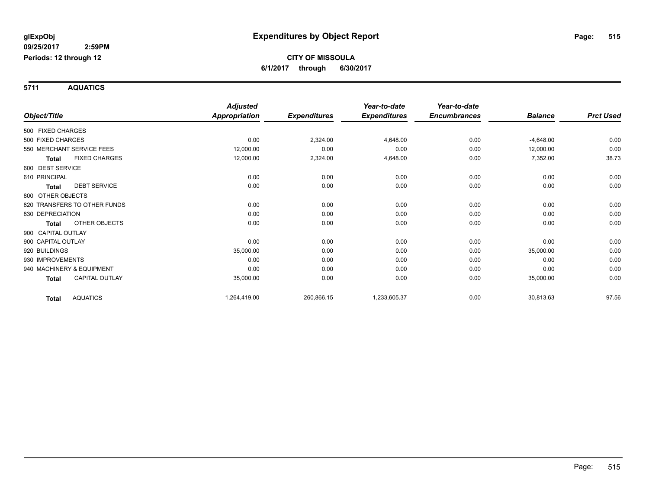**5711 AQUATICS**

|                    |                              | <b>Adjusted</b>      |                     | Year-to-date        | Year-to-date        |                |                  |
|--------------------|------------------------------|----------------------|---------------------|---------------------|---------------------|----------------|------------------|
| Object/Title       |                              | <b>Appropriation</b> | <b>Expenditures</b> | <b>Expenditures</b> | <b>Encumbrances</b> | <b>Balance</b> | <b>Prct Used</b> |
| 500 FIXED CHARGES  |                              |                      |                     |                     |                     |                |                  |
| 500 FIXED CHARGES  |                              | 0.00                 | 2,324.00            | 4,648.00            | 0.00                | $-4,648.00$    | 0.00             |
|                    | 550 MERCHANT SERVICE FEES    | 12,000.00            | 0.00                | 0.00                | 0.00                | 12,000.00      | 0.00             |
| <b>Total</b>       | <b>FIXED CHARGES</b>         | 12,000.00            | 2,324.00            | 4,648.00            | 0.00                | 7,352.00       | 38.73            |
| 600 DEBT SERVICE   |                              |                      |                     |                     |                     |                |                  |
| 610 PRINCIPAL      |                              | 0.00                 | 0.00                | 0.00                | 0.00                | 0.00           | 0.00             |
| <b>Total</b>       | <b>DEBT SERVICE</b>          | 0.00                 | 0.00                | 0.00                | 0.00                | 0.00           | 0.00             |
| 800 OTHER OBJECTS  |                              |                      |                     |                     |                     |                |                  |
|                    | 820 TRANSFERS TO OTHER FUNDS | 0.00                 | 0.00                | 0.00                | 0.00                | 0.00           | 0.00             |
| 830 DEPRECIATION   |                              | 0.00                 | 0.00                | 0.00                | 0.00                | 0.00           | 0.00             |
| <b>Total</b>       | OTHER OBJECTS                | 0.00                 | 0.00                | 0.00                | 0.00                | 0.00           | 0.00             |
| 900 CAPITAL OUTLAY |                              |                      |                     |                     |                     |                |                  |
| 900 CAPITAL OUTLAY |                              | 0.00                 | 0.00                | 0.00                | 0.00                | 0.00           | 0.00             |
| 920 BUILDINGS      |                              | 35,000.00            | 0.00                | 0.00                | 0.00                | 35,000.00      | 0.00             |
| 930 IMPROVEMENTS   |                              | 0.00                 | 0.00                | 0.00                | 0.00                | 0.00           | 0.00             |
|                    | 940 MACHINERY & EQUIPMENT    | 0.00                 | 0.00                | 0.00                | 0.00                | 0.00           | 0.00             |
| Total              | <b>CAPITAL OUTLAY</b>        | 35,000.00            | 0.00                | 0.00                | 0.00                | 35,000.00      | 0.00             |
| <b>Total</b>       | <b>AQUATICS</b>              | 1,264,419.00         | 260,866.15          | 1,233,605.37        | 0.00                | 30,813.63      | 97.56            |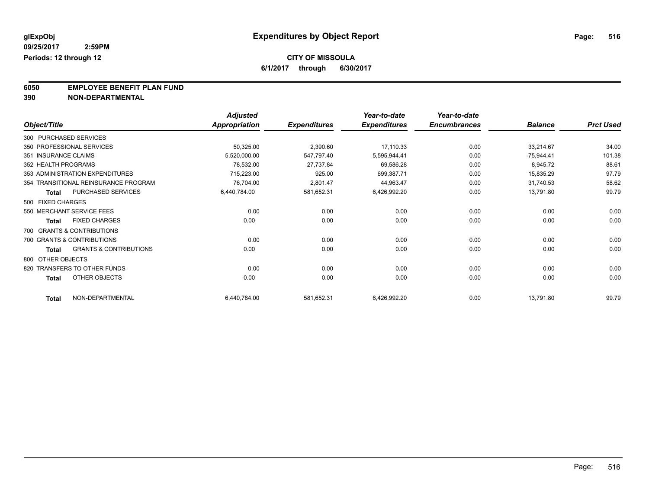**6/1/2017 through 6/30/2017**

**6050 EMPLOYEE BENEFIT PLAN FUND**<br>390 NON-DEPARTMENTAL

**390 NON-DEPARTMENTAL**

|                        |                                      | <b>Adjusted</b>      |                     | Year-to-date        | Year-to-date        |                |                  |
|------------------------|--------------------------------------|----------------------|---------------------|---------------------|---------------------|----------------|------------------|
| Object/Title           |                                      | <b>Appropriation</b> | <b>Expenditures</b> | <b>Expenditures</b> | <b>Encumbrances</b> | <b>Balance</b> | <b>Prct Used</b> |
| 300 PURCHASED SERVICES |                                      |                      |                     |                     |                     |                |                  |
|                        | 350 PROFESSIONAL SERVICES            | 50,325.00            | 2,390.60            | 17,110.33           | 0.00                | 33,214.67      | 34.00            |
| 351 INSURANCE CLAIMS   |                                      | 5,520,000.00         | 547,797.40          | 5,595,944.41        | 0.00                | $-75,944.41$   | 101.38           |
| 352 HEALTH PROGRAMS    |                                      | 78,532.00            | 27,737.84           | 69,586.28           | 0.00                | 8,945.72       | 88.61            |
|                        | 353 ADMINISTRATION EXPENDITURES      | 715,223.00           | 925.00              | 699,387.71          | 0.00                | 15,835.29      | 97.79            |
|                        | 354 TRANSITIONAL REINSURANCE PROGRAM | 76,704.00            | 2,801.47            | 44,963.47           | 0.00                | 31,740.53      | 58.62            |
| Total                  | PURCHASED SERVICES                   | 6,440,784.00         | 581,652.31          | 6,426,992.20        | 0.00                | 13,791.80      | 99.79            |
| 500 FIXED CHARGES      |                                      |                      |                     |                     |                     |                |                  |
|                        | 550 MERCHANT SERVICE FEES            | 0.00                 | 0.00                | 0.00                | 0.00                | 0.00           | 0.00             |
| <b>Total</b>           | <b>FIXED CHARGES</b>                 | 0.00                 | 0.00                | 0.00                | 0.00                | 0.00           | 0.00             |
|                        | 700 GRANTS & CONTRIBUTIONS           |                      |                     |                     |                     |                |                  |
|                        | 700 GRANTS & CONTRIBUTIONS           | 0.00                 | 0.00                | 0.00                | 0.00                | 0.00           | 0.00             |
| Total                  | <b>GRANTS &amp; CONTRIBUTIONS</b>    | 0.00                 | 0.00                | 0.00                | 0.00                | 0.00           | 0.00             |
| 800 OTHER OBJECTS      |                                      |                      |                     |                     |                     |                |                  |
|                        | 820 TRANSFERS TO OTHER FUNDS         | 0.00                 | 0.00                | 0.00                | 0.00                | 0.00           | 0.00             |
| <b>Total</b>           | OTHER OBJECTS                        | 0.00                 | 0.00                | 0.00                | 0.00                | 0.00           | 0.00             |
| <b>Total</b>           | NON-DEPARTMENTAL                     | 6,440,784.00         | 581,652.31          | 6,426,992.20        | 0.00                | 13,791.80      | 99.79            |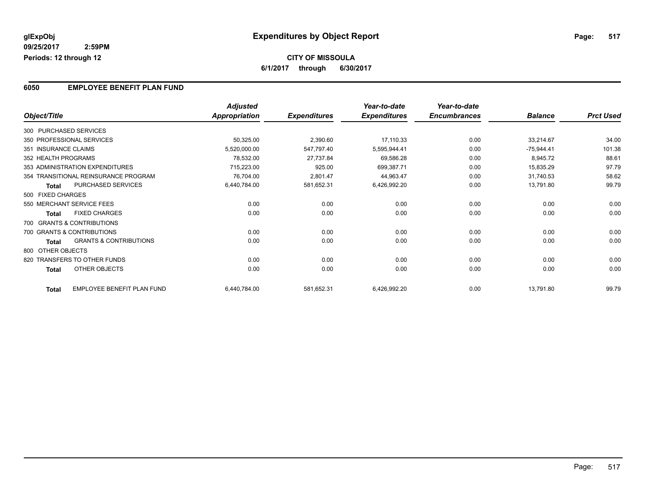### **6050 EMPLOYEE BENEFIT PLAN FUND**

|                      |                                      | <b>Adjusted</b> |                     | Year-to-date        | Year-to-date        |                |                  |
|----------------------|--------------------------------------|-----------------|---------------------|---------------------|---------------------|----------------|------------------|
| Object/Title         |                                      | Appropriation   | <b>Expenditures</b> | <b>Expenditures</b> | <b>Encumbrances</b> | <b>Balance</b> | <b>Prct Used</b> |
|                      | 300 PURCHASED SERVICES               |                 |                     |                     |                     |                |                  |
|                      | 350 PROFESSIONAL SERVICES            | 50,325.00       | 2,390.60            | 17,110.33           | 0.00                | 33,214.67      | 34.00            |
| 351 INSURANCE CLAIMS |                                      | 5,520,000.00    | 547,797.40          | 5,595,944.41        | 0.00                | $-75,944.41$   | 101.38           |
| 352 HEALTH PROGRAMS  |                                      | 78,532.00       | 27,737.84           | 69,586.28           | 0.00                | 8,945.72       | 88.61            |
|                      | 353 ADMINISTRATION EXPENDITURES      | 715,223.00      | 925.00              | 699,387.71          | 0.00                | 15,835.29      | 97.79            |
|                      | 354 TRANSITIONAL REINSURANCE PROGRAM | 76,704.00       | 2,801.47            | 44,963.47           | 0.00                | 31,740.53      | 58.62            |
| <b>Total</b>         | PURCHASED SERVICES                   | 6,440,784.00    | 581,652.31          | 6,426,992.20        | 0.00                | 13,791.80      | 99.79            |
| 500 FIXED CHARGES    |                                      |                 |                     |                     |                     |                |                  |
|                      | 550 MERCHANT SERVICE FEES            | 0.00            | 0.00                | 0.00                | 0.00                | 0.00           | 0.00             |
| <b>Total</b>         | <b>FIXED CHARGES</b>                 | 0.00            | 0.00                | 0.00                | 0.00                | 0.00           | 0.00             |
|                      | 700 GRANTS & CONTRIBUTIONS           |                 |                     |                     |                     |                |                  |
|                      | 700 GRANTS & CONTRIBUTIONS           | 0.00            | 0.00                | 0.00                | 0.00                | 0.00           | 0.00             |
| Total                | <b>GRANTS &amp; CONTRIBUTIONS</b>    | 0.00            | 0.00                | 0.00                | 0.00                | 0.00           | 0.00             |
| 800 OTHER OBJECTS    |                                      |                 |                     |                     |                     |                |                  |
|                      | 820 TRANSFERS TO OTHER FUNDS         | 0.00            | 0.00                | 0.00                | 0.00                | 0.00           | 0.00             |
| <b>Total</b>         | OTHER OBJECTS                        | 0.00            | 0.00                | 0.00                | 0.00                | 0.00           | 0.00             |
| <b>Total</b>         | EMPLOYEE BENEFIT PLAN FUND           | 6,440,784.00    | 581,652.31          | 6,426,992.20        | 0.00                | 13,791.80      | 99.79            |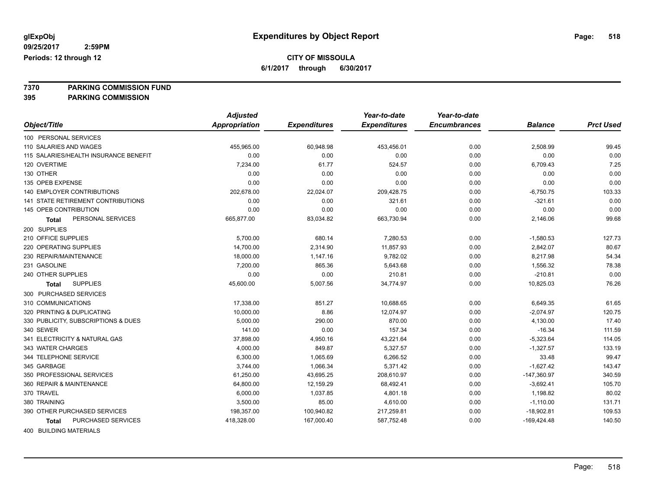**6/1/2017 through 6/30/2017**

**7370 PARKING COMMISSION FUND**

**395 PARKING COMMISSION**

|                                           | <b>Adjusted</b>      |                     | Year-to-date        | Year-to-date        |                |                  |
|-------------------------------------------|----------------------|---------------------|---------------------|---------------------|----------------|------------------|
| Object/Title                              | <b>Appropriation</b> | <b>Expenditures</b> | <b>Expenditures</b> | <b>Encumbrances</b> | <b>Balance</b> | <b>Prct Used</b> |
| 100 PERSONAL SERVICES                     |                      |                     |                     |                     |                |                  |
| 110 SALARIES AND WAGES                    | 455,965.00           | 60,948.98           | 453,456.01          | 0.00                | 2,508.99       | 99.45            |
| 115 SALARIES/HEALTH INSURANCE BENEFIT     | 0.00                 | 0.00                | 0.00                | 0.00                | 0.00           | 0.00             |
| 120 OVERTIME                              | 7,234.00             | 61.77               | 524.57              | 0.00                | 6,709.43       | 7.25             |
| 130 OTHER                                 | 0.00                 | 0.00                | 0.00                | 0.00                | 0.00           | 0.00             |
| 135 OPEB EXPENSE                          | 0.00                 | 0.00                | 0.00                | 0.00                | 0.00           | 0.00             |
| 140 EMPLOYER CONTRIBUTIONS                | 202,678.00           | 22,024.07           | 209,428.75          | 0.00                | $-6,750.75$    | 103.33           |
| <b>141 STATE RETIREMENT CONTRIBUTIONS</b> | 0.00                 | 0.00                | 321.61              | 0.00                | $-321.61$      | 0.00             |
| 145 OPEB CONTRIBUTION                     | 0.00                 | 0.00                | 0.00                | 0.00                | 0.00           | 0.00             |
| PERSONAL SERVICES<br>Total                | 665,877.00           | 83,034.82           | 663,730.94          | 0.00                | 2,146.06       | 99.68            |
| 200 SUPPLIES                              |                      |                     |                     |                     |                |                  |
| 210 OFFICE SUPPLIES                       | 5,700.00             | 680.14              | 7,280.53            | 0.00                | $-1,580.53$    | 127.73           |
| 220 OPERATING SUPPLIES                    | 14,700.00            | 2,314.90            | 11,857.93           | 0.00                | 2,842.07       | 80.67            |
| 230 REPAIR/MAINTENANCE                    | 18,000.00            | 1,147.16            | 9,782.02            | 0.00                | 8,217.98       | 54.34            |
| 231 GASOLINE                              | 7,200.00             | 865.36              | 5,643.68            | 0.00                | 1,556.32       | 78.38            |
| 240 OTHER SUPPLIES                        | 0.00                 | 0.00                | 210.81              | 0.00                | $-210.81$      | 0.00             |
| <b>SUPPLIES</b><br><b>Total</b>           | 45,600.00            | 5,007.56            | 34,774.97           | 0.00                | 10,825.03      | 76.26            |
| 300 PURCHASED SERVICES                    |                      |                     |                     |                     |                |                  |
| 310 COMMUNICATIONS                        | 17,338.00            | 851.27              | 10,688.65           | 0.00                | 6,649.35       | 61.65            |
| 320 PRINTING & DUPLICATING                | 10,000.00            | 8.86                | 12,074.97           | 0.00                | $-2,074.97$    | 120.75           |
| 330 PUBLICITY, SUBSCRIPTIONS & DUES       | 5,000.00             | 290.00              | 870.00              | 0.00                | 4,130.00       | 17.40            |
| 340 SEWER                                 | 141.00               | 0.00                | 157.34              | 0.00                | $-16.34$       | 111.59           |
| 341 ELECTRICITY & NATURAL GAS             | 37,898.00            | 4,950.16            | 43,221.64           | 0.00                | $-5,323.64$    | 114.05           |
| 343 WATER CHARGES                         | 4,000.00             | 849.87              | 5,327.57            | 0.00                | $-1,327.57$    | 133.19           |
| 344 TELEPHONE SERVICE                     | 6,300.00             | 1,065.69            | 6,266.52            | 0.00                | 33.48          | 99.47            |
| 345 GARBAGE                               | 3,744.00             | 1,066.34            | 5,371.42            | 0.00                | $-1,627.42$    | 143.47           |
| 350 PROFESSIONAL SERVICES                 | 61,250.00            | 43,695.25           | 208,610.97          | 0.00                | $-147,360.97$  | 340.59           |
| 360 REPAIR & MAINTENANCE                  | 64,800.00            | 12,159.29           | 68,492.41           | 0.00                | $-3,692.41$    | 105.70           |
| 370 TRAVEL                                | 6,000.00             | 1,037.85            | 4,801.18            | 0.00                | 1,198.82       | 80.02            |
| 380 TRAINING                              | 3,500.00             | 85.00               | 4,610.00            | 0.00                | $-1,110.00$    | 131.71           |
| 390 OTHER PURCHASED SERVICES              | 198,357.00           | 100,940.82          | 217,259.81          | 0.00                | $-18,902.81$   | 109.53           |
| PURCHASED SERVICES<br><b>Total</b>        | 418,328.00           | 167,000.40          | 587,752.48          | 0.00                | $-169,424.48$  | 140.50           |
|                                           |                      |                     |                     |                     |                |                  |

400 BUILDING MATERIALS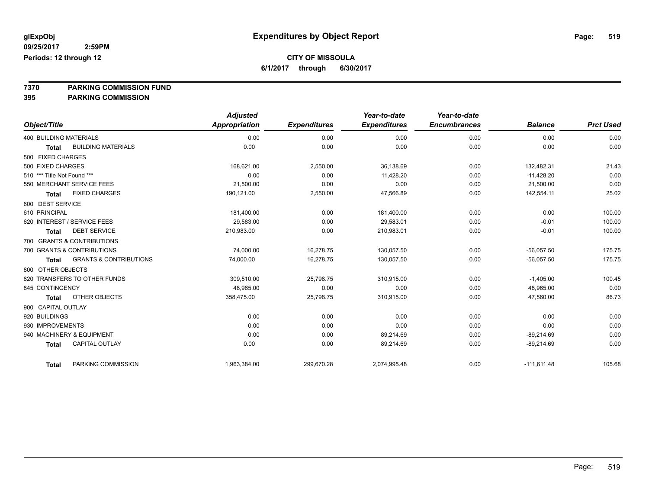**6/1/2017 through 6/30/2017**

**7370 PARKING COMMISSION FUND**

|                               |                                   | <b>Adjusted</b>      |                     | Year-to-date        | Year-to-date        |                |                  |
|-------------------------------|-----------------------------------|----------------------|---------------------|---------------------|---------------------|----------------|------------------|
| Object/Title                  |                                   | <b>Appropriation</b> | <b>Expenditures</b> | <b>Expenditures</b> | <b>Encumbrances</b> | <b>Balance</b> | <b>Prct Used</b> |
| <b>400 BUILDING MATERIALS</b> |                                   | 0.00                 | 0.00                | 0.00                | 0.00                | 0.00           | 0.00             |
| <b>Total</b>                  | <b>BUILDING MATERIALS</b>         | 0.00                 | 0.00                | 0.00                | 0.00                | 0.00           | 0.00             |
| 500 FIXED CHARGES             |                                   |                      |                     |                     |                     |                |                  |
| 500 FIXED CHARGES             |                                   | 168,621.00           | 2,550.00            | 36,138.69           | 0.00                | 132,482.31     | 21.43            |
| 510 *** Title Not Found ***   |                                   | 0.00                 | 0.00                | 11,428.20           | 0.00                | $-11,428.20$   | 0.00             |
| 550 MERCHANT SERVICE FEES     |                                   | 21,500.00            | 0.00                | 0.00                | 0.00                | 21,500.00      | 0.00             |
| Total                         | <b>FIXED CHARGES</b>              | 190,121.00           | 2,550.00            | 47,566.89           | 0.00                | 142,554.11     | 25.02            |
| 600 DEBT SERVICE              |                                   |                      |                     |                     |                     |                |                  |
| 610 PRINCIPAL                 |                                   | 181,400.00           | 0.00                | 181,400.00          | 0.00                | 0.00           | 100.00           |
| 620 INTEREST / SERVICE FEES   |                                   | 29.583.00            | 0.00                | 29,583.01           | 0.00                | $-0.01$        | 100.00           |
| <b>Total</b>                  | <b>DEBT SERVICE</b>               | 210,983.00           | 0.00                | 210,983.01          | 0.00                | $-0.01$        | 100.00           |
| 700 GRANTS & CONTRIBUTIONS    |                                   |                      |                     |                     |                     |                |                  |
| 700 GRANTS & CONTRIBUTIONS    |                                   | 74,000.00            | 16,278.75           | 130,057.50          | 0.00                | $-56.057.50$   | 175.75           |
| <b>Total</b>                  | <b>GRANTS &amp; CONTRIBUTIONS</b> | 74,000.00            | 16,278.75           | 130,057.50          | 0.00                | $-56,057.50$   | 175.75           |
| 800 OTHER OBJECTS             |                                   |                      |                     |                     |                     |                |                  |
| 820 TRANSFERS TO OTHER FUNDS  |                                   | 309,510.00           | 25,798.75           | 310,915.00          | 0.00                | $-1,405.00$    | 100.45           |
| 845 CONTINGENCY               |                                   | 48,965.00            | 0.00                | 0.00                | 0.00                | 48,965.00      | 0.00             |
| <b>Total</b>                  | <b>OTHER OBJECTS</b>              | 358,475.00           | 25,798.75           | 310,915.00          | 0.00                | 47,560.00      | 86.73            |
| 900 CAPITAL OUTLAY            |                                   |                      |                     |                     |                     |                |                  |
| 920 BUILDINGS                 |                                   | 0.00                 | 0.00                | 0.00                | 0.00                | 0.00           | 0.00             |
| 930 IMPROVEMENTS              |                                   | 0.00                 | 0.00                | 0.00                | 0.00                | 0.00           | 0.00             |
| 940 MACHINERY & EQUIPMENT     |                                   | 0.00                 | 0.00                | 89,214.69           | 0.00                | $-89,214.69$   | 0.00             |
| <b>Total</b>                  | <b>CAPITAL OUTLAY</b>             | 0.00                 | 0.00                | 89,214.69           | 0.00                | $-89,214.69$   | 0.00             |
| <b>Total</b>                  | PARKING COMMISSION                | 1,963,384.00         | 299,670.28          | 2,074,995.48        | 0.00                | $-111,611.48$  | 105.68           |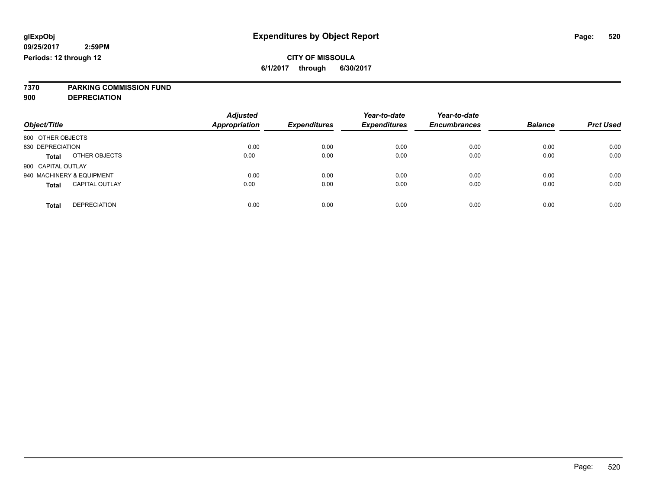# **7370 PARKING COMMISSION FUND**

**900 DEPRECIATION**

| Object/Title                          | <b>Adjusted</b><br><b>Appropriation</b> | <b>Expenditures</b> | Year-to-date<br><b>Expenditures</b> | Year-to-date<br><b>Encumbrances</b> | <b>Balance</b> | <b>Prct Used</b> |
|---------------------------------------|-----------------------------------------|---------------------|-------------------------------------|-------------------------------------|----------------|------------------|
| 800 OTHER OBJECTS                     |                                         |                     |                                     |                                     |                |                  |
| 830 DEPRECIATION                      | 0.00                                    | 0.00                | 0.00                                | 0.00                                | 0.00           | 0.00             |
| OTHER OBJECTS<br><b>Total</b>         | 0.00                                    | 0.00                | 0.00                                | 0.00                                | 0.00           | 0.00             |
| 900 CAPITAL OUTLAY                    |                                         |                     |                                     |                                     |                |                  |
| 940 MACHINERY & EQUIPMENT             | 0.00                                    | 0.00                | 0.00                                | 0.00                                | 0.00           | 0.00             |
| <b>CAPITAL OUTLAY</b><br><b>Total</b> | 0.00                                    | 0.00                | 0.00                                | 0.00                                | 0.00           | 0.00             |
|                                       |                                         |                     |                                     |                                     |                |                  |
| <b>DEPRECIATION</b><br>Total          | 0.00                                    | 0.00                | 0.00                                | 0.00                                | 0.00           | 0.00             |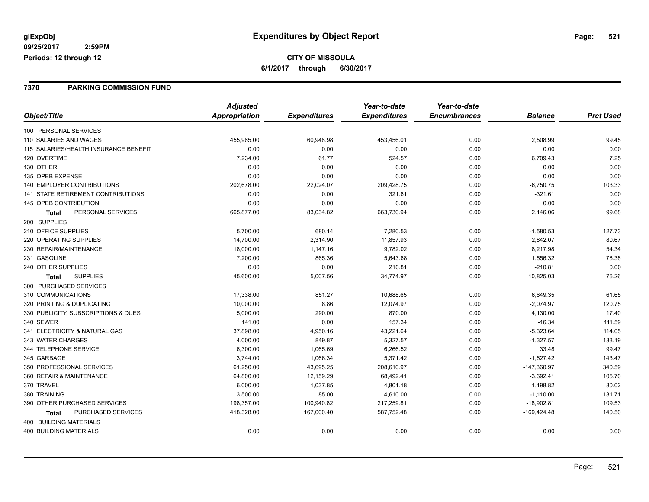### **7370 PARKING COMMISSION FUND**

|                                           | <b>Adjusted</b> |                     | Year-to-date        | Year-to-date        |                |                  |
|-------------------------------------------|-----------------|---------------------|---------------------|---------------------|----------------|------------------|
| Object/Title                              | Appropriation   | <b>Expenditures</b> | <b>Expenditures</b> | <b>Encumbrances</b> | <b>Balance</b> | <b>Prct Used</b> |
| 100 PERSONAL SERVICES                     |                 |                     |                     |                     |                |                  |
| 110 SALARIES AND WAGES                    | 455,965.00      | 60,948.98           | 453,456.01          | 0.00                | 2,508.99       | 99.45            |
| 115 SALARIES/HEALTH INSURANCE BENEFIT     | 0.00            | 0.00                | 0.00                | 0.00                | 0.00           | 0.00             |
| 120 OVERTIME                              | 7,234.00        | 61.77               | 524.57              | 0.00                | 6,709.43       | 7.25             |
| 130 OTHER                                 | 0.00            | 0.00                | 0.00                | 0.00                | 0.00           | 0.00             |
| 135 OPEB EXPENSE                          | 0.00            | 0.00                | 0.00                | 0.00                | 0.00           | 0.00             |
| <b>140 EMPLOYER CONTRIBUTIONS</b>         | 202,678.00      | 22,024.07           | 209,428.75          | 0.00                | $-6,750.75$    | 103.33           |
| <b>141 STATE RETIREMENT CONTRIBUTIONS</b> | 0.00            | 0.00                | 321.61              | 0.00                | $-321.61$      | 0.00             |
| 145 OPEB CONTRIBUTION                     | 0.00            | 0.00                | 0.00                | 0.00                | 0.00           | 0.00             |
| PERSONAL SERVICES<br>Total                | 665,877.00      | 83,034.82           | 663,730.94          | 0.00                | 2,146.06       | 99.68            |
| 200 SUPPLIES                              |                 |                     |                     |                     |                |                  |
| 210 OFFICE SUPPLIES                       | 5,700.00        | 680.14              | 7,280.53            | 0.00                | $-1,580.53$    | 127.73           |
| 220 OPERATING SUPPLIES                    | 14,700.00       | 2,314.90            | 11,857.93           | 0.00                | 2,842.07       | 80.67            |
| 230 REPAIR/MAINTENANCE                    | 18,000.00       | 1,147.16            | 9,782.02            | 0.00                | 8,217.98       | 54.34            |
| 231 GASOLINE                              | 7,200.00        | 865.36              | 5,643.68            | 0.00                | 1,556.32       | 78.38            |
| 240 OTHER SUPPLIES                        | 0.00            | 0.00                | 210.81              | 0.00                | $-210.81$      | 0.00             |
| <b>SUPPLIES</b><br><b>Total</b>           | 45,600.00       | 5,007.56            | 34,774.97           | 0.00                | 10,825.03      | 76.26            |
| 300 PURCHASED SERVICES                    |                 |                     |                     |                     |                |                  |
| 310 COMMUNICATIONS                        | 17,338.00       | 851.27              | 10,688.65           | 0.00                | 6,649.35       | 61.65            |
| 320 PRINTING & DUPLICATING                | 10,000.00       | 8.86                | 12,074.97           | 0.00                | $-2,074.97$    | 120.75           |
| 330 PUBLICITY, SUBSCRIPTIONS & DUES       | 5,000.00        | 290.00              | 870.00              | 0.00                | 4,130.00       | 17.40            |
| 340 SEWER                                 | 141.00          | 0.00                | 157.34              | 0.00                | $-16.34$       | 111.59           |
| 341 ELECTRICITY & NATURAL GAS             | 37,898.00       | 4,950.16            | 43,221.64           | 0.00                | $-5,323.64$    | 114.05           |
| 343 WATER CHARGES                         | 4,000.00        | 849.87              | 5,327.57            | 0.00                | $-1,327.57$    | 133.19           |
| 344 TELEPHONE SERVICE                     | 6,300.00        | 1,065.69            | 6,266.52            | 0.00                | 33.48          | 99.47            |
| 345 GARBAGE                               | 3,744.00        | 1,066.34            | 5,371.42            | 0.00                | $-1,627.42$    | 143.47           |
| 350 PROFESSIONAL SERVICES                 | 61,250.00       | 43,695.25           | 208,610.97          | 0.00                | $-147,360.97$  | 340.59           |
| 360 REPAIR & MAINTENANCE                  | 64,800.00       | 12,159.29           | 68,492.41           | 0.00                | $-3,692.41$    | 105.70           |
| 370 TRAVEL                                | 6,000.00        | 1,037.85            | 4,801.18            | 0.00                | 1,198.82       | 80.02            |
| 380 TRAINING                              | 3,500.00        | 85.00               | 4,610.00            | 0.00                | $-1,110.00$    | 131.71           |
| 390 OTHER PURCHASED SERVICES              | 198,357.00      | 100,940.82          | 217,259.81          | 0.00                | $-18,902.81$   | 109.53           |
| PURCHASED SERVICES<br>Total               | 418,328.00      | 167,000.40          | 587,752.48          | 0.00                | $-169,424.48$  | 140.50           |
| 400 BUILDING MATERIALS                    |                 |                     |                     |                     |                |                  |
| <b>400 BUILDING MATERIALS</b>             | 0.00            | 0.00                | 0.00                | 0.00                | 0.00           | 0.00             |
|                                           |                 |                     |                     |                     |                |                  |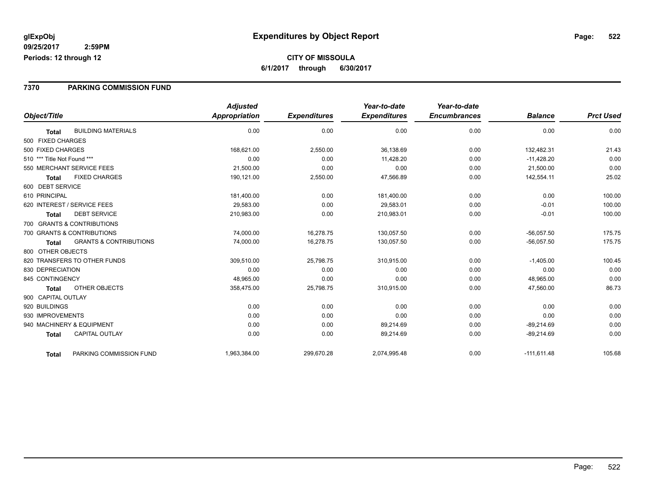#### **7370 PARKING COMMISSION FUND**

|                                                   | <b>Adjusted</b> |                     | Year-to-date        | Year-to-date        |                |                  |
|---------------------------------------------------|-----------------|---------------------|---------------------|---------------------|----------------|------------------|
| Object/Title                                      | Appropriation   | <b>Expenditures</b> | <b>Expenditures</b> | <b>Encumbrances</b> | <b>Balance</b> | <b>Prct Used</b> |
| <b>BUILDING MATERIALS</b><br><b>Total</b>         | 0.00            | 0.00                | 0.00                | 0.00                | 0.00           | 0.00             |
| 500 FIXED CHARGES                                 |                 |                     |                     |                     |                |                  |
| 500 FIXED CHARGES                                 | 168,621.00      | 2,550.00            | 36,138.69           | 0.00                | 132,482.31     | 21.43            |
| 510 *** Title Not Found ***                       | 0.00            | 0.00                | 11,428.20           | 0.00                | $-11,428.20$   | 0.00             |
| 550 MERCHANT SERVICE FEES                         | 21,500.00       | 0.00                | 0.00                | 0.00                | 21,500.00      | 0.00             |
| <b>FIXED CHARGES</b><br><b>Total</b>              | 190,121.00      | 2,550.00            | 47,566.89           | 0.00                | 142,554.11     | 25.02            |
| 600 DEBT SERVICE                                  |                 |                     |                     |                     |                |                  |
| 610 PRINCIPAL                                     | 181,400.00      | 0.00                | 181,400.00          | 0.00                | 0.00           | 100.00           |
| 620 INTEREST / SERVICE FEES                       | 29,583.00       | 0.00                | 29,583.01           | 0.00                | $-0.01$        | 100.00           |
| <b>DEBT SERVICE</b><br>Total                      | 210,983.00      | 0.00                | 210,983.01          | 0.00                | $-0.01$        | 100.00           |
| 700 GRANTS & CONTRIBUTIONS                        |                 |                     |                     |                     |                |                  |
| 700 GRANTS & CONTRIBUTIONS                        | 74,000.00       | 16,278.75           | 130,057.50          | 0.00                | $-56,057.50$   | 175.75           |
| <b>GRANTS &amp; CONTRIBUTIONS</b><br><b>Total</b> | 74,000.00       | 16,278.75           | 130,057.50          | 0.00                | $-56,057.50$   | 175.75           |
| 800 OTHER OBJECTS                                 |                 |                     |                     |                     |                |                  |
| 820 TRANSFERS TO OTHER FUNDS                      | 309,510.00      | 25,798.75           | 310,915.00          | 0.00                | $-1,405.00$    | 100.45           |
| 830 DEPRECIATION                                  | 0.00            | 0.00                | 0.00                | 0.00                | 0.00           | 0.00             |
| 845 CONTINGENCY                                   | 48,965.00       | 0.00                | 0.00                | 0.00                | 48,965.00      | 0.00             |
| OTHER OBJECTS<br>Total                            | 358,475.00      | 25,798.75           | 310,915.00          | 0.00                | 47,560.00      | 86.73            |
| 900 CAPITAL OUTLAY                                |                 |                     |                     |                     |                |                  |
| 920 BUILDINGS                                     | 0.00            | 0.00                | 0.00                | 0.00                | 0.00           | 0.00             |
| 930 IMPROVEMENTS                                  | 0.00            | 0.00                | 0.00                | 0.00                | 0.00           | 0.00             |
| 940 MACHINERY & EQUIPMENT                         | 0.00            | 0.00                | 89,214.69           | 0.00                | $-89,214.69$   | 0.00             |
| <b>CAPITAL OUTLAY</b><br><b>Total</b>             | 0.00            | 0.00                | 89,214.69           | 0.00                | $-89,214.69$   | 0.00             |
| PARKING COMMISSION FUND<br><b>Total</b>           | 1,963,384.00    | 299,670.28          | 2,074,995.48        | 0.00                | $-111,611.48$  | 105.68           |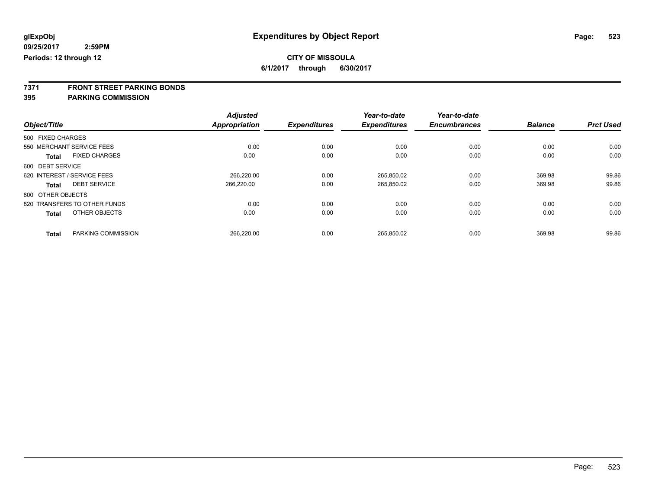**7371 FRONT STREET PARKING BONDS**

| Object/Title                         | <b>Adjusted</b><br><b>Appropriation</b> | <b>Expenditures</b> | Year-to-date<br><b>Expenditures</b> | Year-to-date<br><b>Encumbrances</b> | <b>Balance</b> | <b>Prct Used</b> |
|--------------------------------------|-----------------------------------------|---------------------|-------------------------------------|-------------------------------------|----------------|------------------|
| 500 FIXED CHARGES                    |                                         |                     |                                     |                                     |                |                  |
| 550 MERCHANT SERVICE FEES            | 0.00                                    | 0.00                | 0.00                                | 0.00                                | 0.00           | 0.00             |
| <b>FIXED CHARGES</b><br><b>Total</b> | 0.00                                    | 0.00                | 0.00                                | 0.00                                | 0.00           | 0.00             |
| 600 DEBT SERVICE                     |                                         |                     |                                     |                                     |                |                  |
| 620 INTEREST / SERVICE FEES          | 266.220.00                              | 0.00                | 265.850.02                          | 0.00                                | 369.98         | 99.86            |
| <b>DEBT SERVICE</b><br>Total         | 266,220.00                              | 0.00                | 265,850.02                          | 0.00                                | 369.98         | 99.86            |
| 800 OTHER OBJECTS                    |                                         |                     |                                     |                                     |                |                  |
| 820 TRANSFERS TO OTHER FUNDS         | 0.00                                    | 0.00                | 0.00                                | 0.00                                | 0.00           | 0.00             |
| OTHER OBJECTS<br><b>Total</b>        | 0.00                                    | 0.00                | 0.00                                | 0.00                                | 0.00           | 0.00             |
| PARKING COMMISSION<br><b>Total</b>   | 266,220.00                              | 0.00                | 265.850.02                          | 0.00                                | 369.98         | 99.86            |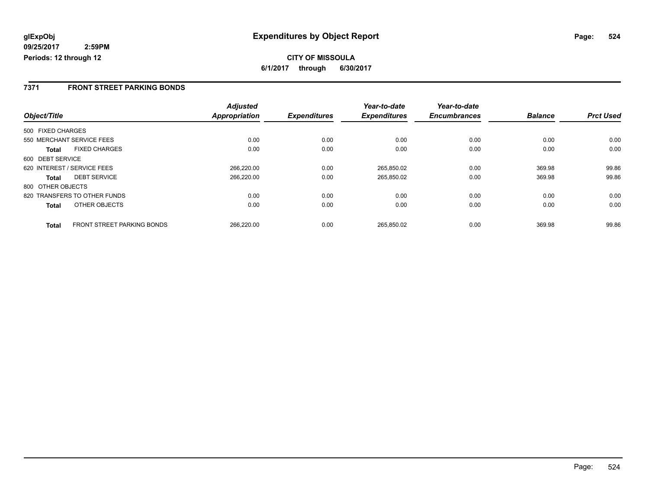**CITY OF MISSOULA 6/1/2017 through 6/30/2017**

### **7371 FRONT STREET PARKING BONDS**

|                                                   | <b>Adjusted</b>      |                     | Year-to-date        | Year-to-date        |                |                  |
|---------------------------------------------------|----------------------|---------------------|---------------------|---------------------|----------------|------------------|
| Object/Title                                      | <b>Appropriation</b> | <b>Expenditures</b> | <b>Expenditures</b> | <b>Encumbrances</b> | <b>Balance</b> | <b>Prct Used</b> |
| 500 FIXED CHARGES                                 |                      |                     |                     |                     |                |                  |
| 550 MERCHANT SERVICE FEES                         | 0.00                 | 0.00                | 0.00                | 0.00                | 0.00           | 0.00             |
| <b>FIXED CHARGES</b><br>Total                     | 0.00                 | 0.00                | 0.00                | 0.00                | 0.00           | 0.00             |
| 600 DEBT SERVICE                                  |                      |                     |                     |                     |                |                  |
| 620 INTEREST / SERVICE FEES                       | 266.220.00           | 0.00                | 265,850.02          | 0.00                | 369.98         | 99.86            |
| <b>DEBT SERVICE</b><br><b>Total</b>               | 266.220.00           | 0.00                | 265,850.02          | 0.00                | 369.98         | 99.86            |
| 800 OTHER OBJECTS                                 |                      |                     |                     |                     |                |                  |
| 820 TRANSFERS TO OTHER FUNDS                      | 0.00                 | 0.00                | 0.00                | 0.00                | 0.00           | 0.00             |
| OTHER OBJECTS<br><b>Total</b>                     | 0.00                 | 0.00                | 0.00                | 0.00                | 0.00           | 0.00             |
| <b>FRONT STREET PARKING BONDS</b><br><b>Total</b> | 266.220.00           | 0.00                | 265.850.02          | 0.00                | 369.98         | 99.86            |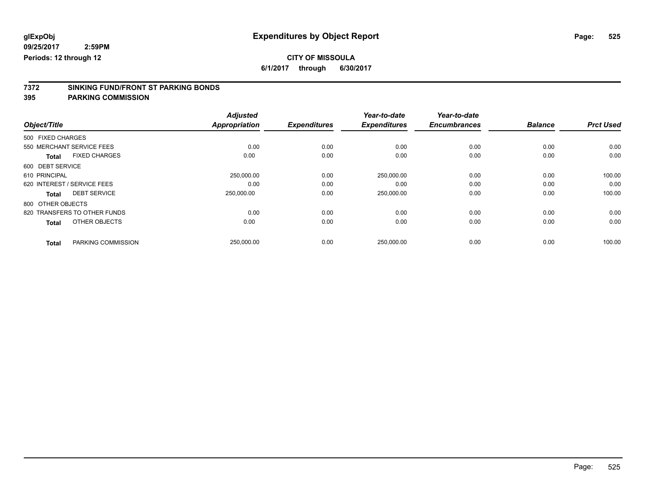**6/1/2017 through 6/30/2017**

# **7372 SINKING FUND/FRONT ST PARKING BONDS**

|                                      | <b>Adjusted</b>      |                     | Year-to-date        | Year-to-date        |                |                  |
|--------------------------------------|----------------------|---------------------|---------------------|---------------------|----------------|------------------|
| Object/Title                         | <b>Appropriation</b> | <b>Expenditures</b> | <b>Expenditures</b> | <b>Encumbrances</b> | <b>Balance</b> | <b>Prct Used</b> |
| 500 FIXED CHARGES                    |                      |                     |                     |                     |                |                  |
| 550 MERCHANT SERVICE FEES            | 0.00                 | 0.00                | 0.00                | 0.00                | 0.00           | 0.00             |
| <b>FIXED CHARGES</b><br><b>Total</b> | 0.00                 | 0.00                | 0.00                | 0.00                | 0.00           | 0.00             |
| 600 DEBT SERVICE                     |                      |                     |                     |                     |                |                  |
| 610 PRINCIPAL                        | 250,000.00           | 0.00                | 250,000.00          | 0.00                | 0.00           | 100.00           |
| 620 INTEREST / SERVICE FEES          | 0.00                 | 0.00                | 0.00                | 0.00                | 0.00           | 0.00             |
| <b>DEBT SERVICE</b><br><b>Total</b>  | 250,000.00           | 0.00                | 250,000.00          | 0.00                | 0.00           | 100.00           |
| 800 OTHER OBJECTS                    |                      |                     |                     |                     |                |                  |
| 820 TRANSFERS TO OTHER FUNDS         | 0.00                 | 0.00                | 0.00                | 0.00                | 0.00           | 0.00             |
| OTHER OBJECTS<br><b>Total</b>        | 0.00                 | 0.00                | 0.00                | 0.00                | 0.00           | 0.00             |
| PARKING COMMISSION                   | 250,000.00           | 0.00                | 250,000.00          | 0.00                | 0.00           | 100.00           |
|                                      | <b>Total</b>         |                     |                     |                     |                |                  |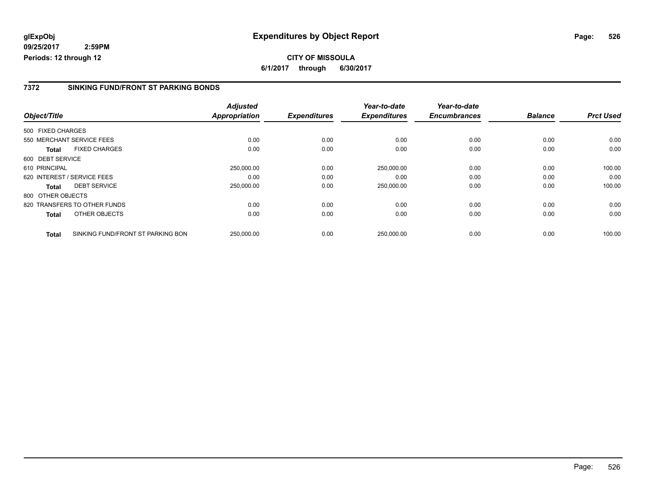### **7372 SINKING FUND/FRONT ST PARKING BONDS**

|                   |                                   | <b>Adjusted</b>      | <b>Expenditures</b> | Year-to-date<br><b>Expenditures</b> | Year-to-date<br><b>Encumbrances</b> | <b>Balance</b> | <b>Prct Used</b> |
|-------------------|-----------------------------------|----------------------|---------------------|-------------------------------------|-------------------------------------|----------------|------------------|
| Object/Title      |                                   | <b>Appropriation</b> |                     |                                     |                                     |                |                  |
| 500 FIXED CHARGES |                                   |                      |                     |                                     |                                     |                |                  |
|                   | 550 MERCHANT SERVICE FEES         | 0.00                 | 0.00                | 0.00                                | 0.00                                | 0.00           | 0.00             |
| <b>Total</b>      | <b>FIXED CHARGES</b>              | 0.00                 | 0.00                | 0.00                                | 0.00                                | 0.00           | 0.00             |
| 600 DEBT SERVICE  |                                   |                      |                     |                                     |                                     |                |                  |
| 610 PRINCIPAL     |                                   | 250,000.00           | 0.00                | 250,000.00                          | 0.00                                | 0.00           | 100.00           |
|                   | 620 INTEREST / SERVICE FEES       | 0.00                 | 0.00                | 0.00                                | 0.00                                | 0.00           | 0.00             |
| <b>Total</b>      | <b>DEBT SERVICE</b>               | 250,000.00           | 0.00                | 250,000.00                          | 0.00                                | 0.00           | 100.00           |
| 800 OTHER OBJECTS |                                   |                      |                     |                                     |                                     |                |                  |
|                   | 820 TRANSFERS TO OTHER FUNDS      | 0.00                 | 0.00                | 0.00                                | 0.00                                | 0.00           | 0.00             |
| <b>Total</b>      | OTHER OBJECTS                     | 0.00                 | 0.00                | 0.00                                | 0.00                                | 0.00           | 0.00             |
| <b>Total</b>      | SINKING FUND/FRONT ST PARKING BON | 250.000.00           | 0.00                | 250.000.00                          | 0.00                                | 0.00           | 100.00           |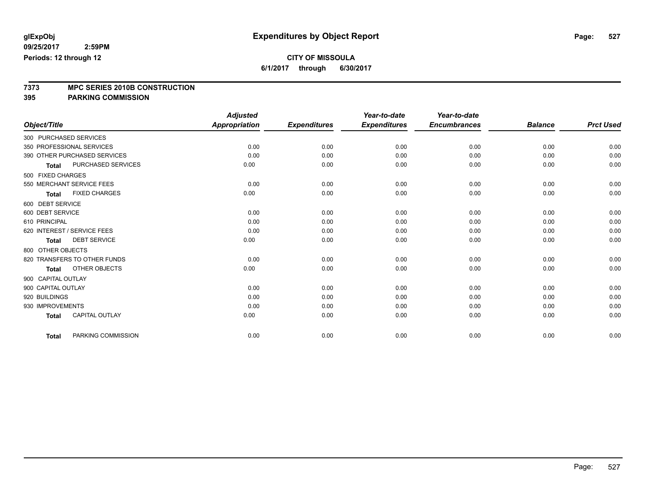**6/1/2017 through 6/30/2017**

# **7373 MPC SERIES 2010B CONSTRUCTION**

|                             |                              | <b>Adjusted</b>      |                     | Year-to-date        | Year-to-date        |                |                  |
|-----------------------------|------------------------------|----------------------|---------------------|---------------------|---------------------|----------------|------------------|
| Object/Title                |                              | <b>Appropriation</b> | <b>Expenditures</b> | <b>Expenditures</b> | <b>Encumbrances</b> | <b>Balance</b> | <b>Prct Used</b> |
| 300 PURCHASED SERVICES      |                              |                      |                     |                     |                     |                |                  |
| 350 PROFESSIONAL SERVICES   |                              | 0.00                 | 0.00                | 0.00                | 0.00                | 0.00           | 0.00             |
|                             | 390 OTHER PURCHASED SERVICES | 0.00                 | 0.00                | 0.00                | 0.00                | 0.00           | 0.00             |
| <b>Total</b>                | PURCHASED SERVICES           | 0.00                 | 0.00                | 0.00                | 0.00                | 0.00           | 0.00             |
| 500 FIXED CHARGES           |                              |                      |                     |                     |                     |                |                  |
| 550 MERCHANT SERVICE FEES   |                              | 0.00                 | 0.00                | 0.00                | 0.00                | 0.00           | 0.00             |
| <b>Total</b>                | <b>FIXED CHARGES</b>         | 0.00                 | 0.00                | 0.00                | 0.00                | 0.00           | 0.00             |
| 600 DEBT SERVICE            |                              |                      |                     |                     |                     |                |                  |
| 600 DEBT SERVICE            |                              | 0.00                 | 0.00                | 0.00                | 0.00                | 0.00           | 0.00             |
| 610 PRINCIPAL               |                              | 0.00                 | 0.00                | 0.00                | 0.00                | 0.00           | 0.00             |
| 620 INTEREST / SERVICE FEES |                              | 0.00                 | 0.00                | 0.00                | 0.00                | 0.00           | 0.00             |
| <b>Total</b>                | <b>DEBT SERVICE</b>          | 0.00                 | 0.00                | 0.00                | 0.00                | 0.00           | 0.00             |
| 800 OTHER OBJECTS           |                              |                      |                     |                     |                     |                |                  |
|                             | 820 TRANSFERS TO OTHER FUNDS | 0.00                 | 0.00                | 0.00                | 0.00                | 0.00           | 0.00             |
| <b>Total</b>                | OTHER OBJECTS                | 0.00                 | 0.00                | 0.00                | 0.00                | 0.00           | 0.00             |
| 900 CAPITAL OUTLAY          |                              |                      |                     |                     |                     |                |                  |
| 900 CAPITAL OUTLAY          |                              | 0.00                 | 0.00                | 0.00                | 0.00                | 0.00           | 0.00             |
| 920 BUILDINGS               |                              | 0.00                 | 0.00                | 0.00                | 0.00                | 0.00           | 0.00             |
| 930 IMPROVEMENTS            |                              | 0.00                 | 0.00                | 0.00                | 0.00                | 0.00           | 0.00             |
| <b>Total</b>                | <b>CAPITAL OUTLAY</b>        | 0.00                 | 0.00                | 0.00                | 0.00                | 0.00           | 0.00             |
| <b>Total</b>                | PARKING COMMISSION           | 0.00                 | 0.00                | 0.00                | 0.00                | 0.00           | 0.00             |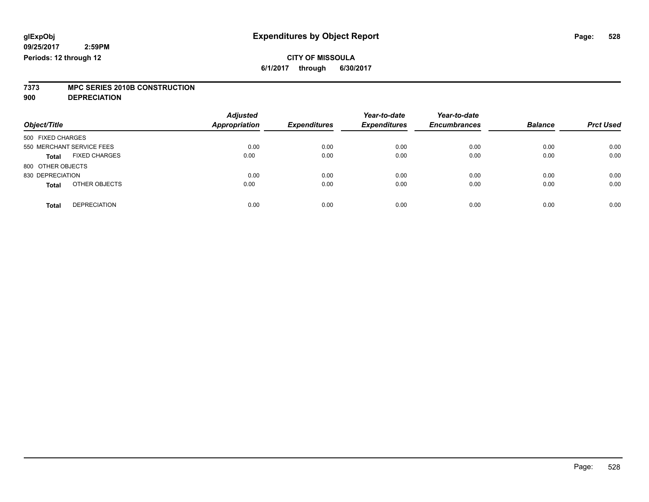# **7373 MPC SERIES 2010B CONSTRUCTION**

**900 DEPRECIATION**

| <b>Adjusted</b> |                                                                       | Year-to-date                | Year-to-date                |                             | <b>Prct Used</b>       |
|-----------------|-----------------------------------------------------------------------|-----------------------------|-----------------------------|-----------------------------|------------------------|
|                 |                                                                       |                             |                             |                             |                        |
|                 |                                                                       |                             |                             |                             |                        |
| 0.00            | 0.00                                                                  | 0.00                        | 0.00                        | 0.00                        | 0.00                   |
| 0.00            | 0.00                                                                  | 0.00                        | 0.00                        | 0.00                        | 0.00                   |
|                 |                                                                       |                             |                             |                             |                        |
| 0.00            | 0.00                                                                  | 0.00                        | 0.00                        | 0.00                        | 0.00                   |
| 0.00            | 0.00                                                                  | 0.00                        | 0.00                        | 0.00                        | 0.00                   |
|                 |                                                                       |                             |                             |                             | 0.00                   |
|                 | <b>Appropriation</b><br><b>FIXED CHARGES</b><br>OTHER OBJECTS<br>0.00 | <b>Expenditures</b><br>0.00 | <b>Expenditures</b><br>0.00 | <b>Encumbrances</b><br>0.00 | <b>Balance</b><br>0.00 |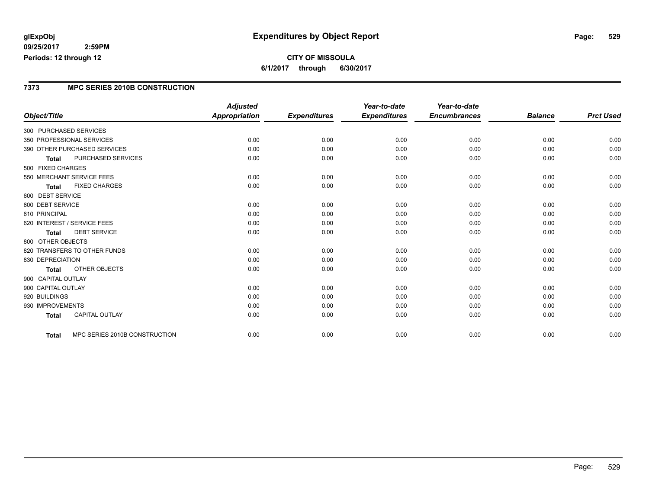### **CITY OF MISSOULA 6/1/2017 through 6/30/2017**

### **7373 MPC SERIES 2010B CONSTRUCTION**

|                             |                               | <b>Adjusted</b>      |                     | Year-to-date        | Year-to-date        |                |                  |
|-----------------------------|-------------------------------|----------------------|---------------------|---------------------|---------------------|----------------|------------------|
| Object/Title                |                               | <b>Appropriation</b> | <b>Expenditures</b> | <b>Expenditures</b> | <b>Encumbrances</b> | <b>Balance</b> | <b>Prct Used</b> |
| 300 PURCHASED SERVICES      |                               |                      |                     |                     |                     |                |                  |
| 350 PROFESSIONAL SERVICES   |                               | 0.00                 | 0.00                | 0.00                | 0.00                | 0.00           | 0.00             |
|                             | 390 OTHER PURCHASED SERVICES  | 0.00                 | 0.00                | 0.00                | 0.00                | 0.00           | 0.00             |
| <b>Total</b>                | <b>PURCHASED SERVICES</b>     | 0.00                 | 0.00                | 0.00                | 0.00                | 0.00           | 0.00             |
| 500 FIXED CHARGES           |                               |                      |                     |                     |                     |                |                  |
| 550 MERCHANT SERVICE FEES   |                               | 0.00                 | 0.00                | 0.00                | 0.00                | 0.00           | 0.00             |
| <b>Total</b>                | <b>FIXED CHARGES</b>          | 0.00                 | 0.00                | 0.00                | 0.00                | 0.00           | 0.00             |
| 600 DEBT SERVICE            |                               |                      |                     |                     |                     |                |                  |
| 600 DEBT SERVICE            |                               | 0.00                 | 0.00                | 0.00                | 0.00                | 0.00           | 0.00             |
| 610 PRINCIPAL               |                               | 0.00                 | 0.00                | 0.00                | 0.00                | 0.00           | 0.00             |
| 620 INTEREST / SERVICE FEES |                               | 0.00                 | 0.00                | 0.00                | 0.00                | 0.00           | 0.00             |
| <b>Total</b>                | <b>DEBT SERVICE</b>           | 0.00                 | 0.00                | 0.00                | 0.00                | 0.00           | 0.00             |
| 800 OTHER OBJECTS           |                               |                      |                     |                     |                     |                |                  |
|                             | 820 TRANSFERS TO OTHER FUNDS  | 0.00                 | 0.00                | 0.00                | 0.00                | 0.00           | 0.00             |
| 830 DEPRECIATION            |                               | 0.00                 | 0.00                | 0.00                | 0.00                | 0.00           | 0.00             |
| <b>Total</b>                | OTHER OBJECTS                 | 0.00                 | 0.00                | 0.00                | 0.00                | 0.00           | 0.00             |
| 900 CAPITAL OUTLAY          |                               |                      |                     |                     |                     |                |                  |
| 900 CAPITAL OUTLAY          |                               | 0.00                 | 0.00                | 0.00                | 0.00                | 0.00           | 0.00             |
| 920 BUILDINGS               |                               | 0.00                 | 0.00                | 0.00                | 0.00                | 0.00           | 0.00             |
| 930 IMPROVEMENTS            |                               | 0.00                 | 0.00                | 0.00                | 0.00                | 0.00           | 0.00             |
| <b>Total</b>                | CAPITAL OUTLAY                | 0.00                 | 0.00                | 0.00                | 0.00                | 0.00           | 0.00             |
| <b>Total</b>                | MPC SERIES 2010B CONSTRUCTION | 0.00                 | 0.00                | 0.00                | 0.00                | 0.00           | 0.00             |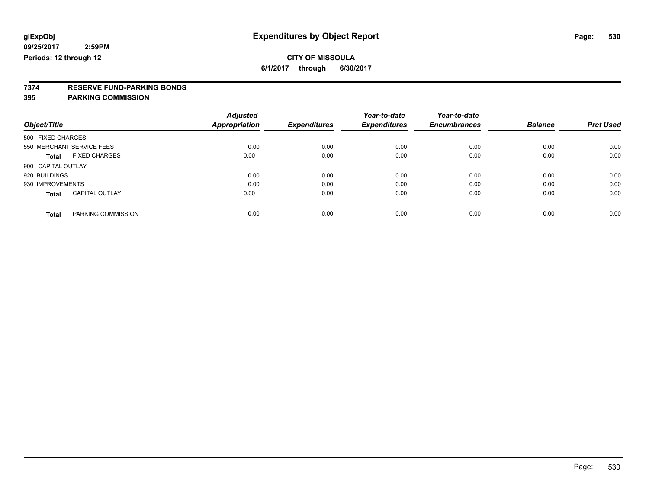# **7374 RESERVE FUND-PARKING BONDS**

|                    |                           | <b>Adjusted</b>      |                     | Year-to-date        | Year-to-date        |                |                  |
|--------------------|---------------------------|----------------------|---------------------|---------------------|---------------------|----------------|------------------|
| Object/Title       |                           | <b>Appropriation</b> | <b>Expenditures</b> | <b>Expenditures</b> | <b>Encumbrances</b> | <b>Balance</b> | <b>Prct Used</b> |
| 500 FIXED CHARGES  |                           |                      |                     |                     |                     |                |                  |
|                    | 550 MERCHANT SERVICE FEES | 0.00                 | 0.00                | 0.00                | 0.00                | 0.00           | 0.00             |
| Total              | <b>FIXED CHARGES</b>      | 0.00                 | 0.00                | 0.00                | 0.00                | 0.00           | 0.00             |
| 900 CAPITAL OUTLAY |                           |                      |                     |                     |                     |                |                  |
| 920 BUILDINGS      |                           | 0.00                 | 0.00                | 0.00                | 0.00                | 0.00           | 0.00             |
| 930 IMPROVEMENTS   |                           | 0.00                 | 0.00                | 0.00                | 0.00                | 0.00           | 0.00             |
| <b>Total</b>       | <b>CAPITAL OUTLAY</b>     | 0.00                 | 0.00                | 0.00                | 0.00                | 0.00           | 0.00             |
| <b>Total</b>       | PARKING COMMISSION        | 0.00                 | 0.00                | 0.00                | 0.00                | 0.00           | 0.00             |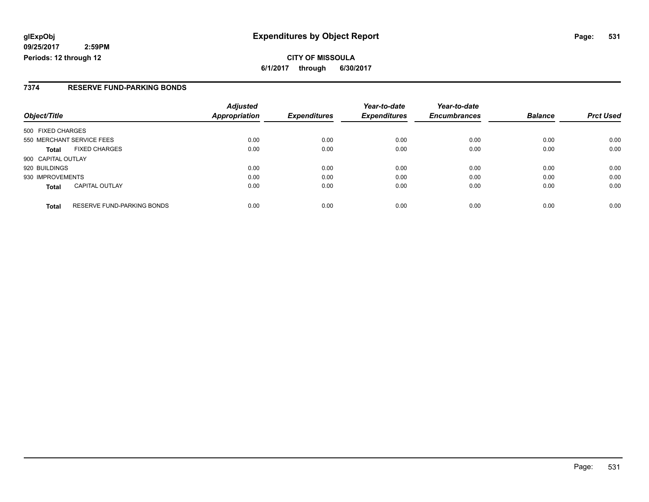### **7374 RESERVE FUND-PARKING BONDS**

| Object/Title              |                                   | <b>Adjusted</b><br><b>Appropriation</b> | <b>Expenditures</b> | Year-to-date<br><b>Expenditures</b> | Year-to-date<br><b>Encumbrances</b> | <b>Balance</b> | <b>Prct Used</b> |
|---------------------------|-----------------------------------|-----------------------------------------|---------------------|-------------------------------------|-------------------------------------|----------------|------------------|
| 500 FIXED CHARGES         |                                   |                                         |                     |                                     |                                     |                |                  |
|                           |                                   |                                         |                     |                                     |                                     |                |                  |
| 550 MERCHANT SERVICE FEES |                                   | 0.00                                    | 0.00                | 0.00                                | 0.00                                | 0.00           | 0.00             |
| <b>Total</b>              | <b>FIXED CHARGES</b>              | 0.00                                    | 0.00                | 0.00                                | 0.00                                | 0.00           | 0.00             |
| 900 CAPITAL OUTLAY        |                                   |                                         |                     |                                     |                                     |                |                  |
| 920 BUILDINGS             |                                   | 0.00                                    | 0.00                | 0.00                                | 0.00                                | 0.00           | 0.00             |
| 930 IMPROVEMENTS          |                                   | 0.00                                    | 0.00                | 0.00                                | 0.00                                | 0.00           | 0.00             |
| <b>Total</b>              | <b>CAPITAL OUTLAY</b>             | 0.00                                    | 0.00                | 0.00                                | 0.00                                | 0.00           | 0.00             |
| <b>Total</b>              | <b>RESERVE FUND-PARKING BONDS</b> | 0.00                                    | 0.00                | 0.00                                | 0.00                                | 0.00           | 0.00             |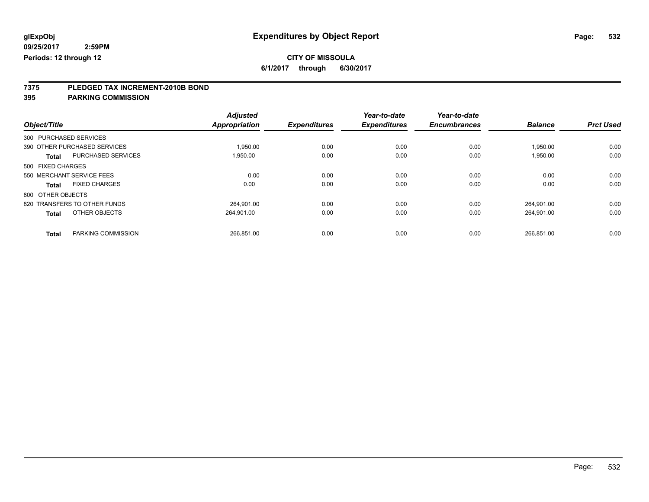**6/1/2017 through 6/30/2017**

# **7375 PLEDGED TAX INCREMENT-2010B BOND**

|                                           | <b>Adjusted</b> |                     | Year-to-date        | Year-to-date        |                |                  |
|-------------------------------------------|-----------------|---------------------|---------------------|---------------------|----------------|------------------|
| Object/Title                              | Appropriation   | <b>Expenditures</b> | <b>Expenditures</b> | <b>Encumbrances</b> | <b>Balance</b> | <b>Prct Used</b> |
| 300 PURCHASED SERVICES                    |                 |                     |                     |                     |                |                  |
| 390 OTHER PURCHASED SERVICES              | 1,950.00        | 0.00                | 0.00                | 0.00                | 1,950.00       | 0.00             |
| <b>PURCHASED SERVICES</b><br><b>Total</b> | 1,950.00        | 0.00                | 0.00                | 0.00                | 1,950.00       | 0.00             |
| 500 FIXED CHARGES                         |                 |                     |                     |                     |                |                  |
| 550 MERCHANT SERVICE FEES                 | 0.00            | 0.00                | 0.00                | 0.00                | 0.00           | 0.00             |
| <b>FIXED CHARGES</b><br><b>Total</b>      | 0.00            | 0.00                | 0.00                | 0.00                | 0.00           | 0.00             |
| 800 OTHER OBJECTS                         |                 |                     |                     |                     |                |                  |
| 820 TRANSFERS TO OTHER FUNDS              | 264.901.00      | 0.00                | 0.00                | 0.00                | 264.901.00     | 0.00             |
| OTHER OBJECTS<br><b>Total</b>             | 264,901.00      | 0.00                | 0.00                | 0.00                | 264,901.00     | 0.00             |
|                                           |                 |                     |                     |                     |                |                  |
| PARKING COMMISSION<br><b>Total</b>        | 266.851.00      | 0.00                | 0.00                | 0.00                | 266,851.00     | 0.00             |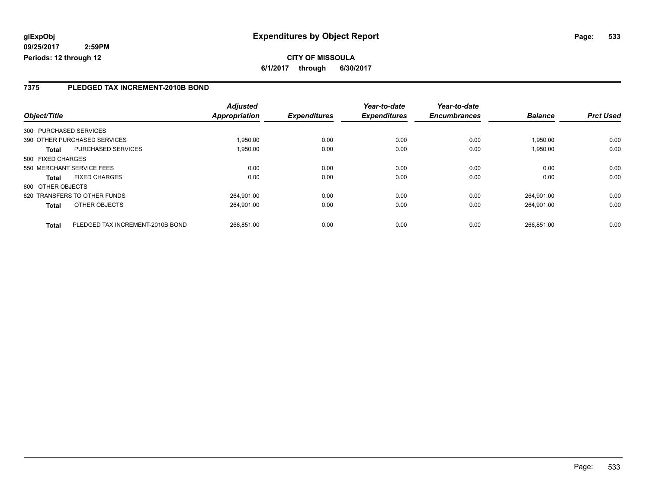**CITY OF MISSOULA 6/1/2017 through 6/30/2017**

### **7375 PLEDGED TAX INCREMENT-2010B BOND**

| Object/Title                                     | <b>Adjusted</b><br>Appropriation | <b>Expenditures</b> | Year-to-date<br><b>Expenditures</b> | Year-to-date<br><b>Encumbrances</b> | <b>Balance</b> | <b>Prct Used</b> |
|--------------------------------------------------|----------------------------------|---------------------|-------------------------------------|-------------------------------------|----------------|------------------|
|                                                  |                                  |                     |                                     |                                     |                |                  |
| 300 PURCHASED SERVICES                           |                                  |                     |                                     |                                     |                |                  |
| 390 OTHER PURCHASED SERVICES                     | 1.950.00                         | 0.00                | 0.00                                | 0.00                                | 1.950.00       | 0.00             |
| <b>PURCHASED SERVICES</b><br><b>Total</b>        | 1,950.00                         | 0.00                | 0.00                                | 0.00                                | 1,950.00       | 0.00             |
| 500 FIXED CHARGES                                |                                  |                     |                                     |                                     |                |                  |
| 550 MERCHANT SERVICE FEES                        | 0.00                             | 0.00                | 0.00                                | 0.00                                | 0.00           | 0.00             |
| <b>FIXED CHARGES</b><br><b>Total</b>             | 0.00                             | 0.00                | 0.00                                | 0.00                                | 0.00           | 0.00             |
| 800 OTHER OBJECTS                                |                                  |                     |                                     |                                     |                |                  |
| 820 TRANSFERS TO OTHER FUNDS                     | 264.901.00                       | 0.00                | 0.00                                | 0.00                                | 264.901.00     | 0.00             |
| OTHER OBJECTS<br><b>Total</b>                    | 264.901.00                       | 0.00                | 0.00                                | 0.00                                | 264.901.00     | 0.00             |
|                                                  |                                  |                     |                                     |                                     |                |                  |
| PLEDGED TAX INCREMENT-2010B BOND<br><b>Total</b> | 266.851.00                       | 0.00                | 0.00                                | 0.00                                | 266.851.00     | 0.00             |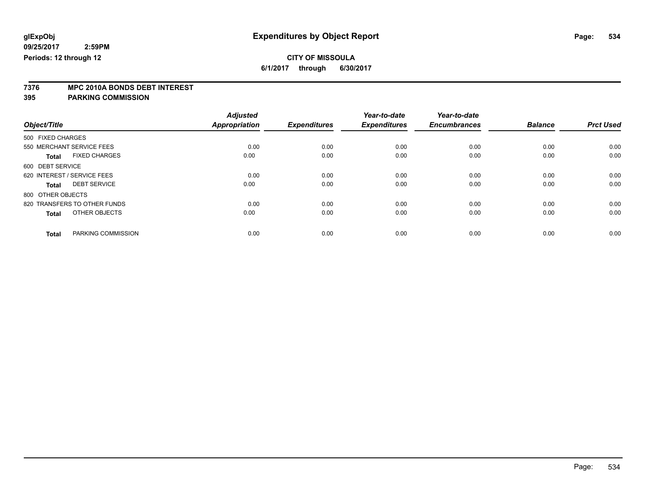**6/1/2017 through 6/30/2017**

# **7376 MPC 2010A BONDS DEBT INTEREST**

|                                      | <b>Adjusted</b>      |                     | Year-to-date        | Year-to-date        |                |                  |
|--------------------------------------|----------------------|---------------------|---------------------|---------------------|----------------|------------------|
| Object/Title                         | <b>Appropriation</b> | <b>Expenditures</b> | <b>Expenditures</b> | <b>Encumbrances</b> | <b>Balance</b> | <b>Prct Used</b> |
| 500 FIXED CHARGES                    |                      |                     |                     |                     |                |                  |
| 550 MERCHANT SERVICE FEES            | 0.00                 | 0.00                | 0.00                | 0.00                | 0.00           | 0.00             |
| <b>FIXED CHARGES</b><br><b>Total</b> | 0.00                 | 0.00                | 0.00                | 0.00                | 0.00           | 0.00             |
| 600 DEBT SERVICE                     |                      |                     |                     |                     |                |                  |
| 620 INTEREST / SERVICE FEES          | 0.00                 | 0.00                | 0.00                | 0.00                | 0.00           | 0.00             |
| <b>DEBT SERVICE</b><br><b>Total</b>  | 0.00                 | 0.00                | 0.00                | 0.00                | 0.00           | 0.00             |
| 800 OTHER OBJECTS                    |                      |                     |                     |                     |                |                  |
| 820 TRANSFERS TO OTHER FUNDS         | 0.00                 | 0.00                | 0.00                | 0.00                | 0.00           | 0.00             |
| OTHER OBJECTS<br><b>Total</b>        | 0.00                 | 0.00                | 0.00                | 0.00                | 0.00           | 0.00             |
|                                      |                      |                     |                     |                     |                |                  |
| PARKING COMMISSION<br><b>Total</b>   | 0.00                 | 0.00                | 0.00                | 0.00                | 0.00           | 0.00             |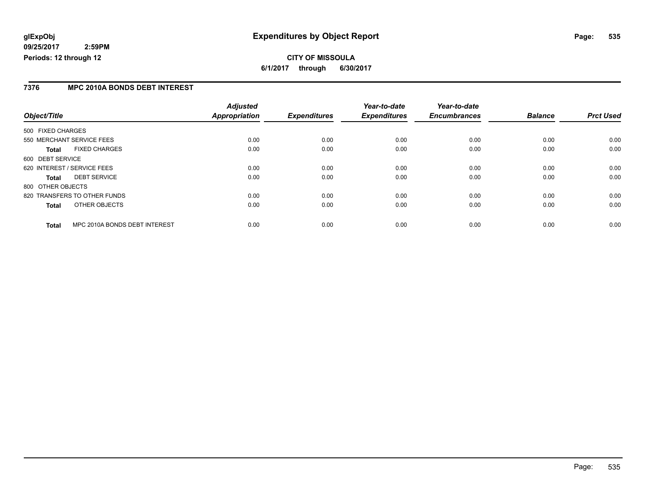### **CITY OF MISSOULA 6/1/2017 through 6/30/2017**

### **7376 MPC 2010A BONDS DEBT INTEREST**

|                   |                               | <b>Adjusted</b> |                     | Year-to-date        | Year-to-date        |                |                  |
|-------------------|-------------------------------|-----------------|---------------------|---------------------|---------------------|----------------|------------------|
| Object/Title      |                               | Appropriation   | <b>Expenditures</b> | <b>Expenditures</b> | <b>Encumbrances</b> | <b>Balance</b> | <b>Prct Used</b> |
| 500 FIXED CHARGES |                               |                 |                     |                     |                     |                |                  |
|                   | 550 MERCHANT SERVICE FEES     | 0.00            | 0.00                | 0.00                | 0.00                | 0.00           | 0.00             |
| Total             | <b>FIXED CHARGES</b>          | 0.00            | 0.00                | 0.00                | 0.00                | 0.00           | 0.00             |
| 600 DEBT SERVICE  |                               |                 |                     |                     |                     |                |                  |
|                   | 620 INTEREST / SERVICE FEES   | 0.00            | 0.00                | 0.00                | 0.00                | 0.00           | 0.00             |
| <b>Total</b>      | <b>DEBT SERVICE</b>           | 0.00            | 0.00                | 0.00                | 0.00                | 0.00           | 0.00             |
| 800 OTHER OBJECTS |                               |                 |                     |                     |                     |                |                  |
|                   | 820 TRANSFERS TO OTHER FUNDS  | 0.00            | 0.00                | 0.00                | 0.00                | 0.00           | 0.00             |
| <b>Total</b>      | OTHER OBJECTS                 | 0.00            | 0.00                | 0.00                | 0.00                | 0.00           | 0.00             |
| <b>Total</b>      | MPC 2010A BONDS DEBT INTEREST | 0.00            | 0.00                | 0.00                | 0.00                | 0.00           | 0.00             |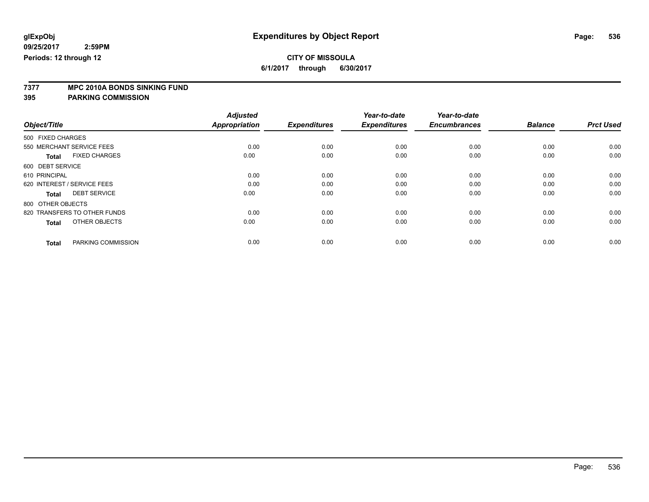**6/1/2017 through 6/30/2017**

# **7377 MPC 2010A BONDS SINKING FUND**

|                                      | <b>Adjusted</b>      |                     | Year-to-date        | Year-to-date        |                |                  |
|--------------------------------------|----------------------|---------------------|---------------------|---------------------|----------------|------------------|
| Object/Title                         | <b>Appropriation</b> | <b>Expenditures</b> | <b>Expenditures</b> | <b>Encumbrances</b> | <b>Balance</b> | <b>Prct Used</b> |
| 500 FIXED CHARGES                    |                      |                     |                     |                     |                |                  |
| 550 MERCHANT SERVICE FEES            | 0.00                 | 0.00                | 0.00                | 0.00                | 0.00           | 0.00             |
| <b>FIXED CHARGES</b><br><b>Total</b> | 0.00                 | 0.00                | 0.00                | 0.00                | 0.00           | 0.00             |
| 600 DEBT SERVICE                     |                      |                     |                     |                     |                |                  |
| 610 PRINCIPAL                        | 0.00                 | 0.00                | 0.00                | 0.00                | 0.00           | 0.00             |
| 620 INTEREST / SERVICE FEES          | 0.00                 | 0.00                | 0.00                | 0.00                | 0.00           | 0.00             |
| <b>DEBT SERVICE</b><br><b>Total</b>  | 0.00                 | 0.00                | 0.00                | 0.00                | 0.00           | 0.00             |
| 800 OTHER OBJECTS                    |                      |                     |                     |                     |                |                  |
| 820 TRANSFERS TO OTHER FUNDS         | 0.00                 | 0.00                | 0.00                | 0.00                | 0.00           | 0.00             |
| OTHER OBJECTS<br><b>Total</b>        | 0.00                 | 0.00                | 0.00                | 0.00                | 0.00           | 0.00             |
|                                      |                      |                     |                     |                     |                |                  |
| PARKING COMMISSION<br><b>Total</b>   | 0.00                 | 0.00                | 0.00                | 0.00                | 0.00           | 0.00             |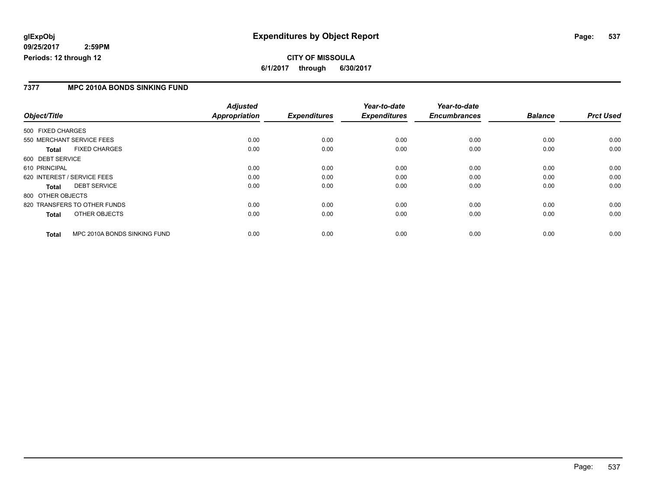### **7377 MPC 2010A BONDS SINKING FUND**

|                                              | <b>Adjusted</b>      |                     | Year-to-date        | Year-to-date        |                |                  |
|----------------------------------------------|----------------------|---------------------|---------------------|---------------------|----------------|------------------|
| Object/Title                                 | <b>Appropriation</b> | <b>Expenditures</b> | <b>Expenditures</b> | <b>Encumbrances</b> | <b>Balance</b> | <b>Prct Used</b> |
| 500 FIXED CHARGES                            |                      |                     |                     |                     |                |                  |
| 550 MERCHANT SERVICE FEES                    | 0.00                 | 0.00                | 0.00                | 0.00                | 0.00           | 0.00             |
| <b>FIXED CHARGES</b><br>Total                | 0.00                 | 0.00                | 0.00                | 0.00                | 0.00           | 0.00             |
| 600 DEBT SERVICE                             |                      |                     |                     |                     |                |                  |
| 610 PRINCIPAL                                | 0.00                 | 0.00                | 0.00                | 0.00                | 0.00           | 0.00             |
| 620 INTEREST / SERVICE FEES                  | 0.00                 | 0.00                | 0.00                | 0.00                | 0.00           | 0.00             |
| <b>DEBT SERVICE</b><br><b>Total</b>          | 0.00                 | 0.00                | 0.00                | 0.00                | 0.00           | 0.00             |
| 800 OTHER OBJECTS                            |                      |                     |                     |                     |                |                  |
| 820 TRANSFERS TO OTHER FUNDS                 | 0.00                 | 0.00                | 0.00                | 0.00                | 0.00           | 0.00             |
| OTHER OBJECTS<br>Total                       | 0.00                 | 0.00                | 0.00                | 0.00                | 0.00           | 0.00             |
| MPC 2010A BONDS SINKING FUND<br><b>Total</b> | 0.00                 | 0.00                | 0.00                | 0.00                | 0.00           | 0.00             |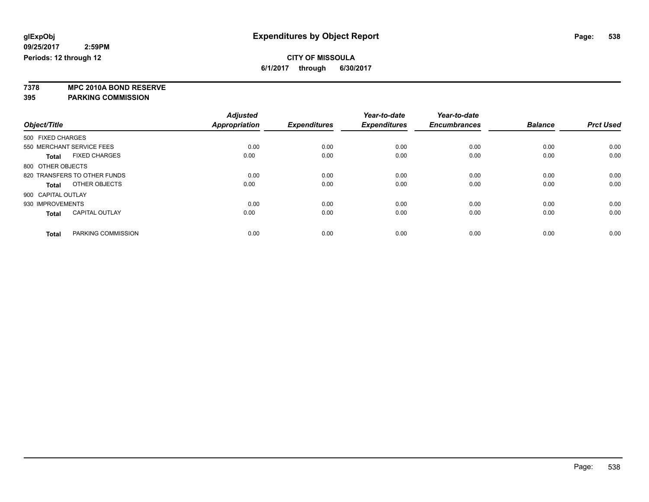**6/1/2017 through 6/30/2017**

**7378 MPC 2010A BOND RESERVE**

|                                       | <b>Adjusted</b> |                     | Year-to-date<br><b>Expenditures</b> | Year-to-date<br><b>Encumbrances</b> | <b>Balance</b> | <b>Prct Used</b> |
|---------------------------------------|-----------------|---------------------|-------------------------------------|-------------------------------------|----------------|------------------|
| Object/Title                          | Appropriation   | <b>Expenditures</b> |                                     |                                     |                |                  |
| 500 FIXED CHARGES                     |                 |                     |                                     |                                     |                |                  |
| 550 MERCHANT SERVICE FEES             | 0.00            | 0.00                | 0.00                                | 0.00                                | 0.00           | 0.00             |
| <b>FIXED CHARGES</b><br><b>Total</b>  | 0.00            | 0.00                | 0.00                                | 0.00                                | 0.00           | 0.00             |
| 800 OTHER OBJECTS                     |                 |                     |                                     |                                     |                |                  |
| 820 TRANSFERS TO OTHER FUNDS          | 0.00            | 0.00                | 0.00                                | 0.00                                | 0.00           | 0.00             |
| OTHER OBJECTS<br>Total                | 0.00            | 0.00                | 0.00                                | 0.00                                | 0.00           | 0.00             |
| 900 CAPITAL OUTLAY                    |                 |                     |                                     |                                     |                |                  |
| 930 IMPROVEMENTS                      | 0.00            | 0.00                | 0.00                                | 0.00                                | 0.00           | 0.00             |
| <b>CAPITAL OUTLAY</b><br><b>Total</b> | 0.00            | 0.00                | 0.00                                | 0.00                                | 0.00           | 0.00             |
|                                       |                 |                     |                                     |                                     |                |                  |
| PARKING COMMISSION<br><b>Total</b>    | 0.00            | 0.00                | 0.00                                | 0.00                                | 0.00           | 0.00             |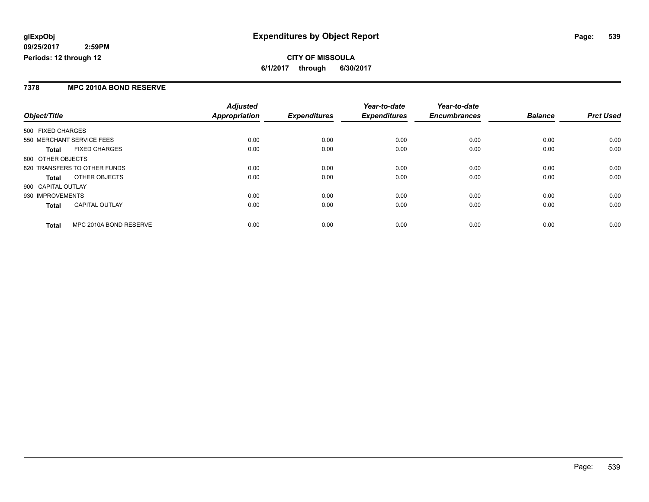### **7378 MPC 2010A BOND RESERVE**

|                                        | <b>Adjusted</b>      | <b>Expenditures</b> | Year-to-date<br><b>Expenditures</b> | Year-to-date<br><b>Encumbrances</b> | <b>Balance</b> | <b>Prct Used</b> |
|----------------------------------------|----------------------|---------------------|-------------------------------------|-------------------------------------|----------------|------------------|
| Object/Title                           | <b>Appropriation</b> |                     |                                     |                                     |                |                  |
| 500 FIXED CHARGES                      |                      |                     |                                     |                                     |                |                  |
| 550 MERCHANT SERVICE FEES              | 0.00                 | 0.00                | 0.00                                | 0.00                                | 0.00           | 0.00             |
| <b>FIXED CHARGES</b><br><b>Total</b>   | 0.00                 | 0.00                | 0.00                                | 0.00                                | 0.00           | 0.00             |
| 800 OTHER OBJECTS                      |                      |                     |                                     |                                     |                |                  |
| 820 TRANSFERS TO OTHER FUNDS           | 0.00                 | 0.00                | 0.00                                | 0.00                                | 0.00           | 0.00             |
| OTHER OBJECTS<br>Total                 | 0.00                 | 0.00                | 0.00                                | 0.00                                | 0.00           | 0.00             |
| 900 CAPITAL OUTLAY                     |                      |                     |                                     |                                     |                |                  |
| 930 IMPROVEMENTS                       | 0.00                 | 0.00                | 0.00                                | 0.00                                | 0.00           | 0.00             |
| <b>CAPITAL OUTLAY</b><br><b>Total</b>  | 0.00                 | 0.00                | 0.00                                | 0.00                                | 0.00           | 0.00             |
| MPC 2010A BOND RESERVE<br><b>Total</b> | 0.00                 | 0.00                | 0.00                                | 0.00                                | 0.00           | 0.00             |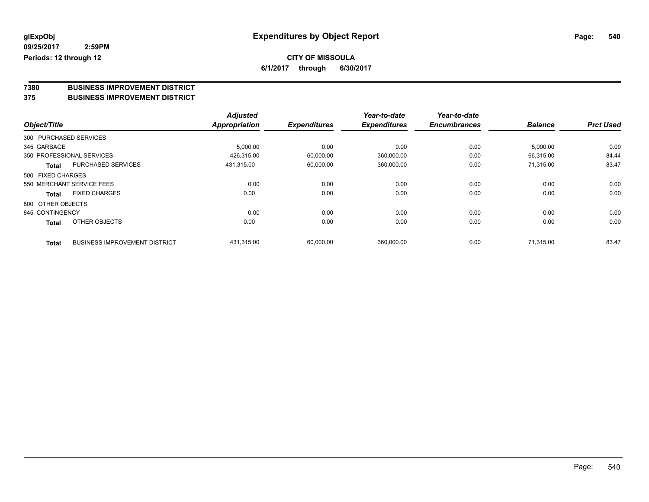### **CITY OF MISSOULA 6/1/2017 through 6/30/2017**

# **7380 BUSINESS IMPROVEMENT DISTRICT**

#### **375 BUSINESS IMPROVEMENT DISTRICT**

|                   |                                      | <b>Adjusted</b>      |                     | Year-to-date        | Year-to-date        |                |                  |
|-------------------|--------------------------------------|----------------------|---------------------|---------------------|---------------------|----------------|------------------|
| Object/Title      |                                      | <b>Appropriation</b> | <b>Expenditures</b> | <b>Expenditures</b> | <b>Encumbrances</b> | <b>Balance</b> | <b>Prct Used</b> |
|                   | 300 PURCHASED SERVICES               |                      |                     |                     |                     |                |                  |
| 345 GARBAGE       |                                      | 5,000.00             | 0.00                | 0.00                | 0.00                | 5,000.00       | 0.00             |
|                   | 350 PROFESSIONAL SERVICES            | 426,315.00           | 60,000.00           | 360,000.00          | 0.00                | 66,315.00      | 84.44            |
| Total             | <b>PURCHASED SERVICES</b>            | 431.315.00           | 60,000.00           | 360,000.00          | 0.00                | 71.315.00      | 83.47            |
| 500 FIXED CHARGES |                                      |                      |                     |                     |                     |                |                  |
|                   | 550 MERCHANT SERVICE FEES            | 0.00                 | 0.00                | 0.00                | 0.00                | 0.00           | 0.00             |
| Total             | <b>FIXED CHARGES</b>                 | 0.00                 | 0.00                | 0.00                | 0.00                | 0.00           | 0.00             |
| 800 OTHER OBJECTS |                                      |                      |                     |                     |                     |                |                  |
| 845 CONTINGENCY   |                                      | 0.00                 | 0.00                | 0.00                | 0.00                | 0.00           | 0.00             |
| <b>Total</b>      | <b>OTHER OBJECTS</b>                 | 0.00                 | 0.00                | 0.00                | 0.00                | 0.00           | 0.00             |
| <b>Total</b>      | <b>BUSINESS IMPROVEMENT DISTRICT</b> | 431,315.00           | 60,000.00           | 360,000.00          | 0.00                | 71.315.00      | 83.47            |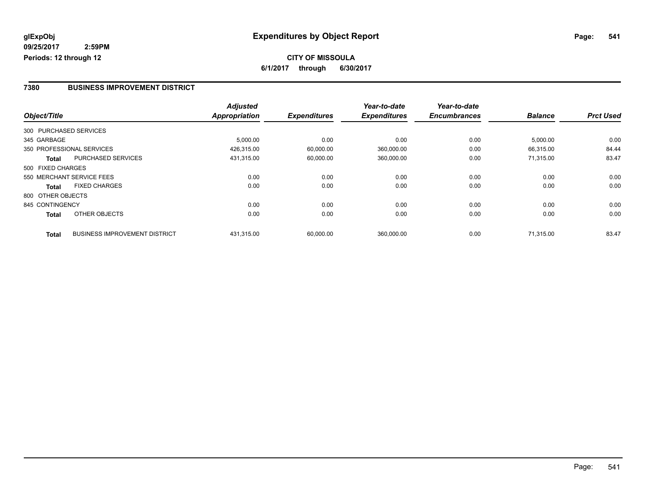**CITY OF MISSOULA 6/1/2017 through 6/30/2017**

#### **7380 BUSINESS IMPROVEMENT DISTRICT**

|                   |                                      | <b>Adjusted</b> |                     | Year-to-date        | Year-to-date        |                |                  |
|-------------------|--------------------------------------|-----------------|---------------------|---------------------|---------------------|----------------|------------------|
| Object/Title      |                                      | Appropriation   | <b>Expenditures</b> | <b>Expenditures</b> | <b>Encumbrances</b> | <b>Balance</b> | <b>Prct Used</b> |
|                   | 300 PURCHASED SERVICES               |                 |                     |                     |                     |                |                  |
| 345 GARBAGE       |                                      | 5,000.00        | 0.00                | 0.00                | 0.00                | 5,000.00       | 0.00             |
|                   | 350 PROFESSIONAL SERVICES            | 426,315.00      | 60,000.00           | 360,000.00          | 0.00                | 66,315.00      | 84.44            |
| <b>Total</b>      | <b>PURCHASED SERVICES</b>            | 431,315.00      | 60,000.00           | 360,000.00          | 0.00                | 71.315.00      | 83.47            |
| 500 FIXED CHARGES |                                      |                 |                     |                     |                     |                |                  |
|                   | 550 MERCHANT SERVICE FEES            | 0.00            | 0.00                | 0.00                | 0.00                | 0.00           | 0.00             |
| <b>Total</b>      | <b>FIXED CHARGES</b>                 | 0.00            | 0.00                | 0.00                | 0.00                | 0.00           | 0.00             |
| 800 OTHER OBJECTS |                                      |                 |                     |                     |                     |                |                  |
| 845 CONTINGENCY   |                                      | 0.00            | 0.00                | 0.00                | 0.00                | 0.00           | 0.00             |
| <b>Total</b>      | OTHER OBJECTS                        | 0.00            | 0.00                | 0.00                | 0.00                | 0.00           | 0.00             |
| <b>Total</b>      | <b>BUSINESS IMPROVEMENT DISTRICT</b> | 431,315.00      | 60.000.00           | 360.000.00          | 0.00                | 71.315.00      | 83.47            |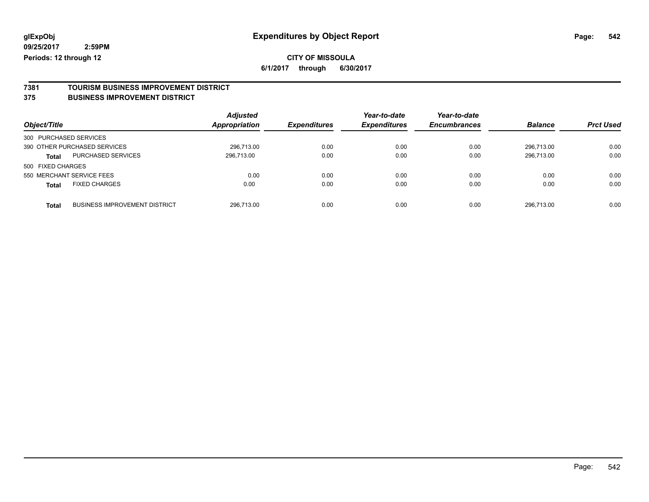**6/1/2017 through 6/30/2017**

# **7381 TOURISM BUSINESS IMPROVEMENT DISTRICT**

#### **375 BUSINESS IMPROVEMENT DISTRICT**

| Object/Title                         |                                      | <b>Adjusted</b><br>Appropriation | <b>Expenditures</b> | Year-to-date<br><b>Expenditures</b> | Year-to-date<br><b>Encumbrances</b> | <b>Balance</b> | <b>Prct Used</b> |
|--------------------------------------|--------------------------------------|----------------------------------|---------------------|-------------------------------------|-------------------------------------|----------------|------------------|
| 300 PURCHASED SERVICES               |                                      |                                  |                     |                                     |                                     |                |                  |
| 390 OTHER PURCHASED SERVICES         |                                      | 296.713.00                       | 0.00                | 0.00                                | 0.00                                | 296.713.00     | 0.00             |
| <b>Total</b>                         | PURCHASED SERVICES                   | 296,713.00                       | 0.00                | 0.00                                | 0.00                                | 296,713.00     | 0.00             |
| 500 FIXED CHARGES                    |                                      |                                  |                     |                                     |                                     |                |                  |
| 550 MERCHANT SERVICE FEES            |                                      | 0.00                             | 0.00                | 0.00                                | 0.00                                | 0.00           | 0.00             |
| <b>FIXED CHARGES</b><br><b>Total</b> |                                      | 0.00                             | 0.00                | 0.00                                | 0.00                                | 0.00           | 0.00             |
| <b>Total</b>                         | <b>BUSINESS IMPROVEMENT DISTRICT</b> | 296.713.00                       | 0.00                | 0.00                                | 0.00                                | 296.713.00     | 0.00             |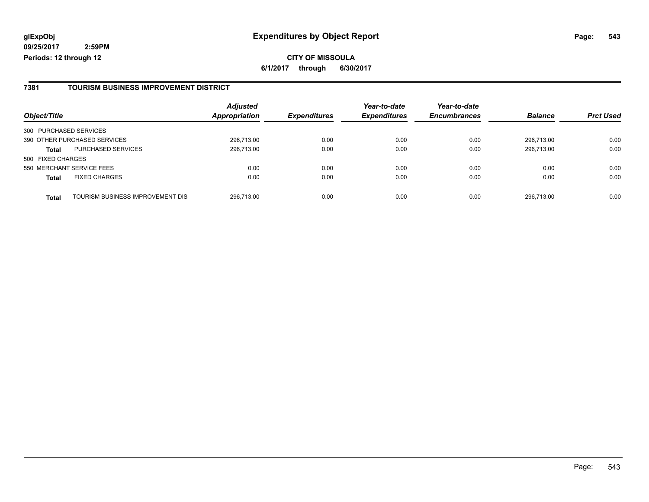**CITY OF MISSOULA 6/1/2017 through 6/30/2017**

#### **7381 TOURISM BUSINESS IMPROVEMENT DISTRICT**

|                        |                                  | <b>Adjusted</b>      |                     | Year-to-date        | Year-to-date        |                |                  |
|------------------------|----------------------------------|----------------------|---------------------|---------------------|---------------------|----------------|------------------|
| Object/Title           |                                  | <b>Appropriation</b> | <b>Expenditures</b> | <b>Expenditures</b> | <b>Encumbrances</b> | <b>Balance</b> | <b>Prct Used</b> |
| 300 PURCHASED SERVICES |                                  |                      |                     |                     |                     |                |                  |
|                        | 390 OTHER PURCHASED SERVICES     | 296,713.00           | 0.00                | 0.00                | 0.00                | 296.713.00     | 0.00             |
| <b>Total</b>           | <b>PURCHASED SERVICES</b>        | 296,713.00           | 0.00                | 0.00                | 0.00                | 296.713.00     | 0.00             |
| 500 FIXED CHARGES      |                                  |                      |                     |                     |                     |                |                  |
|                        | 550 MERCHANT SERVICE FEES        | 0.00                 | 0.00                | 0.00                | 0.00                | 0.00           | 0.00             |
| <b>Total</b>           | <b>FIXED CHARGES</b>             | 0.00                 | 0.00                | 0.00                | 0.00                | 0.00           | 0.00             |
| <b>Total</b>           | TOURISM BUSINESS IMPROVEMENT DIS | 296,713.00           | 0.00                | 0.00                | 0.00                | 296,713.00     | 0.00             |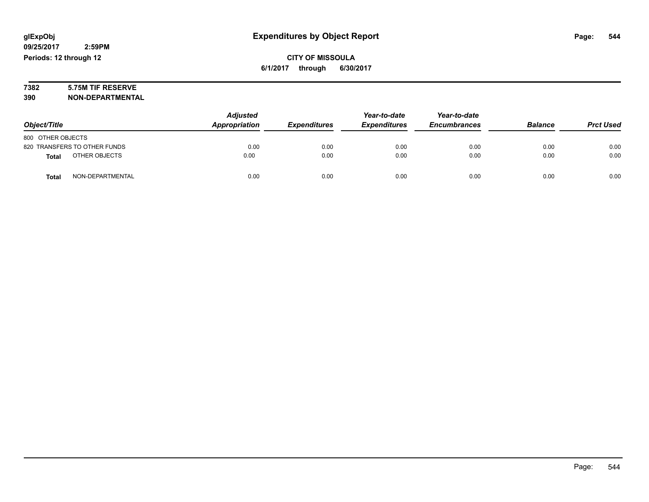# **7382 5.75M TIF RESERVE**

**390 NON-DEPARTMENTAL**

|                               | <b>Adjusted</b> |                     | Year-to-date        | Year-to-date        |                |                  |
|-------------------------------|-----------------|---------------------|---------------------|---------------------|----------------|------------------|
| Object/Title                  | Appropriation   | <b>Expenditures</b> | <b>Expenditures</b> | <b>Encumbrances</b> | <b>Balance</b> | <b>Prct Used</b> |
| 800 OTHER OBJECTS             |                 |                     |                     |                     |                |                  |
| 820 TRANSFERS TO OTHER FUNDS  | 0.00            | 0.00                | 0.00                | 0.00                | 0.00           | 0.00             |
| OTHER OBJECTS<br><b>Total</b> | 0.00            | 0.00                | 0.00                | 0.00                | 0.00           | 0.00             |
| NON-DEPARTMENTAL<br>Total     | 0.00            | 0.00                | 0.00                | 0.00                | 0.00           | 0.00             |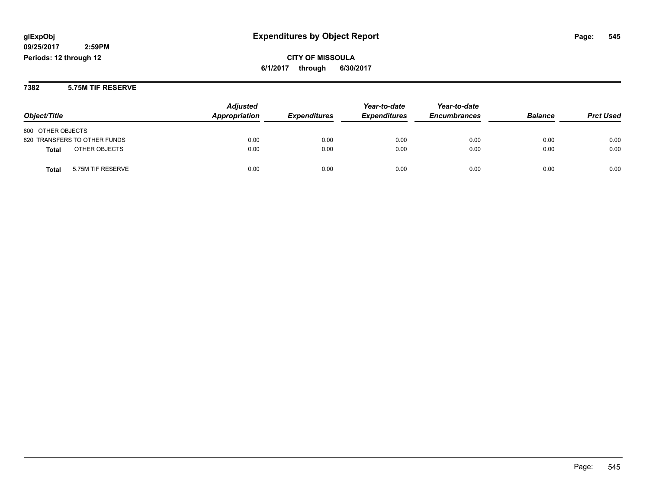### **CITY OF MISSOULA 6/1/2017 through 6/30/2017**

#### **7382 5.75M TIF RESERVE**

| Object/Title                 | <b>Adjusted</b><br>Appropriation | <b>Expenditures</b> | Year-to-date<br><b>Expenditures</b> | Year-to-date<br><b>Encumbrances</b> | <b>Balance</b> | <b>Prct Used</b> |
|------------------------------|----------------------------------|---------------------|-------------------------------------|-------------------------------------|----------------|------------------|
| 800 OTHER OBJECTS            |                                  |                     |                                     |                                     |                |                  |
| 820 TRANSFERS TO OTHER FUNDS | 0.00                             | 0.00                | 0.00                                | 0.00                                | 0.00           | 0.00             |
| OTHER OBJECTS<br>Total       | 0.00                             | 0.00                | 0.00                                | 0.00                                | 0.00           | 0.00             |
| 5.75M TIF RESERVE<br>Total   | 0.00                             | 0.00                | 0.00                                | 0.00                                | 0.00           | 0.00             |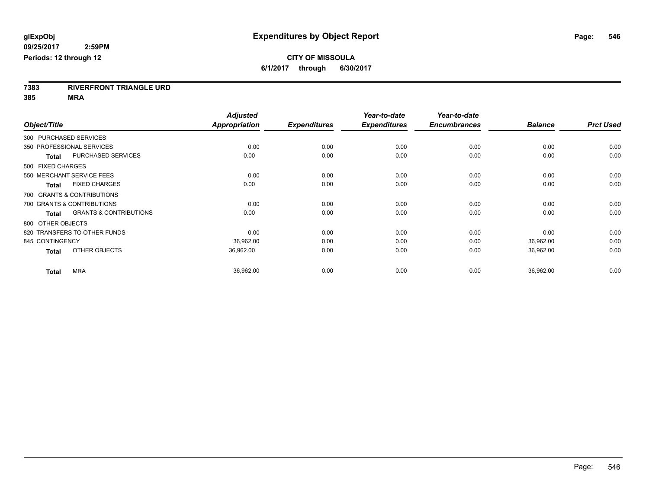**7383 RIVERFRONT TRIANGLE URD**

**385 MRA**

|                                                   | <b>Adjusted</b>      |                     | Year-to-date        | Year-to-date        |                |                  |
|---------------------------------------------------|----------------------|---------------------|---------------------|---------------------|----------------|------------------|
| Object/Title                                      | <b>Appropriation</b> | <b>Expenditures</b> | <b>Expenditures</b> | <b>Encumbrances</b> | <b>Balance</b> | <b>Prct Used</b> |
| 300 PURCHASED SERVICES                            |                      |                     |                     |                     |                |                  |
| 350 PROFESSIONAL SERVICES                         | 0.00                 | 0.00                | 0.00                | 0.00                | 0.00           | 0.00             |
| <b>PURCHASED SERVICES</b><br><b>Total</b>         | 0.00                 | 0.00                | 0.00                | 0.00                | 0.00           | 0.00             |
| 500 FIXED CHARGES                                 |                      |                     |                     |                     |                |                  |
| 550 MERCHANT SERVICE FEES                         | 0.00                 | 0.00                | 0.00                | 0.00                | 0.00           | 0.00             |
| <b>FIXED CHARGES</b><br><b>Total</b>              | 0.00                 | 0.00                | 0.00                | 0.00                | 0.00           | 0.00             |
| 700 GRANTS & CONTRIBUTIONS                        |                      |                     |                     |                     |                |                  |
| 700 GRANTS & CONTRIBUTIONS                        | 0.00                 | 0.00                | 0.00                | 0.00                | 0.00           | 0.00             |
| <b>GRANTS &amp; CONTRIBUTIONS</b><br><b>Total</b> | 0.00                 | 0.00                | 0.00                | 0.00                | 0.00           | 0.00             |
| 800 OTHER OBJECTS                                 |                      |                     |                     |                     |                |                  |
| 820 TRANSFERS TO OTHER FUNDS                      | 0.00                 | 0.00                | 0.00                | 0.00                | 0.00           | 0.00             |
| 845 CONTINGENCY                                   | 36,962.00            | 0.00                | 0.00                | 0.00                | 36,962.00      | 0.00             |
| OTHER OBJECTS<br><b>Total</b>                     | 36,962.00            | 0.00                | 0.00                | 0.00                | 36,962.00      | 0.00             |
| <b>MRA</b><br><b>Total</b>                        | 36,962.00            | 0.00                | 0.00                | 0.00                | 36,962.00      | 0.00             |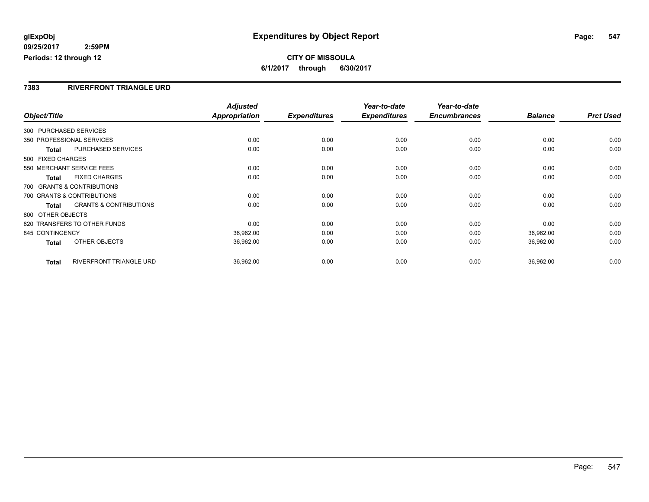#### **CITY OF MISSOULA 6/1/2017 through 6/30/2017**

#### **7383 RIVERFRONT TRIANGLE URD**

|                   |                                   | <b>Adjusted</b> |                     | Year-to-date        | Year-to-date        |                |                  |
|-------------------|-----------------------------------|-----------------|---------------------|---------------------|---------------------|----------------|------------------|
| Object/Title      |                                   | Appropriation   | <b>Expenditures</b> | <b>Expenditures</b> | <b>Encumbrances</b> | <b>Balance</b> | <b>Prct Used</b> |
|                   | 300 PURCHASED SERVICES            |                 |                     |                     |                     |                |                  |
|                   | 350 PROFESSIONAL SERVICES         | 0.00            | 0.00                | 0.00                | 0.00                | 0.00           | 0.00             |
| <b>Total</b>      | PURCHASED SERVICES                | 0.00            | 0.00                | 0.00                | 0.00                | 0.00           | 0.00             |
| 500 FIXED CHARGES |                                   |                 |                     |                     |                     |                |                  |
|                   | 550 MERCHANT SERVICE FEES         | 0.00            | 0.00                | 0.00                | 0.00                | 0.00           | 0.00             |
| Total             | <b>FIXED CHARGES</b>              | 0.00            | 0.00                | 0.00                | 0.00                | 0.00           | 0.00             |
|                   | 700 GRANTS & CONTRIBUTIONS        |                 |                     |                     |                     |                |                  |
|                   | 700 GRANTS & CONTRIBUTIONS        | 0.00            | 0.00                | 0.00                | 0.00                | 0.00           | 0.00             |
| <b>Total</b>      | <b>GRANTS &amp; CONTRIBUTIONS</b> | 0.00            | 0.00                | 0.00                | 0.00                | 0.00           | 0.00             |
| 800 OTHER OBJECTS |                                   |                 |                     |                     |                     |                |                  |
|                   | 820 TRANSFERS TO OTHER FUNDS      | 0.00            | 0.00                | 0.00                | 0.00                | 0.00           | 0.00             |
| 845 CONTINGENCY   |                                   | 36,962.00       | 0.00                | 0.00                | 0.00                | 36,962.00      | 0.00             |
| <b>Total</b>      | OTHER OBJECTS                     | 36,962.00       | 0.00                | 0.00                | 0.00                | 36,962.00      | 0.00             |
| <b>Total</b>      | <b>RIVERFRONT TRIANGLE URD</b>    | 36,962.00       | 0.00                | 0.00                | 0.00                | 36,962.00      | 0.00             |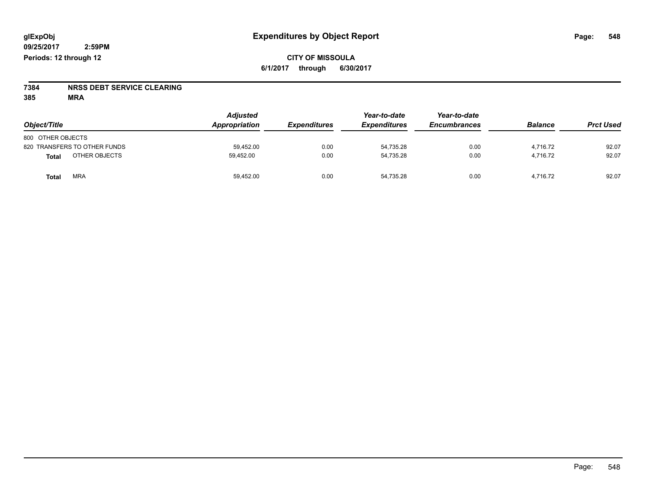# **7384 NRSS DEBT SERVICE CLEARING**

**385 MRA**

| Object/Title                 | <b>Adjusted</b><br>Appropriation | <b>Expenditures</b> | Year-to-date<br><b>Expenditures</b> | Year-to-date<br><b>Encumbrances</b> | <b>Balance</b> | <b>Prct Used</b> |
|------------------------------|----------------------------------|---------------------|-------------------------------------|-------------------------------------|----------------|------------------|
| 800 OTHER OBJECTS            |                                  |                     |                                     |                                     |                |                  |
| 820 TRANSFERS TO OTHER FUNDS | 59,452.00                        | 0.00                | 54,735.28                           | 0.00                                | 4.716.72       | 92.07            |
| OTHER OBJECTS<br>Total       | 59,452.00                        | 0.00                | 54,735.28                           | 0.00                                | 4.716.72       | 92.07            |
| <b>MRA</b><br>Total          | 59,452.00                        | 0.00                | 54.735.28                           | 0.00                                | 4.716.72       | 92.07            |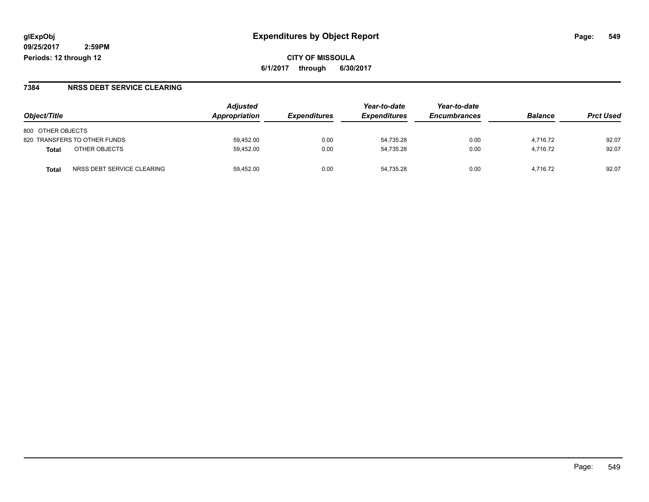**CITY OF MISSOULA 6/1/2017 through 6/30/2017**

#### **7384 NRSS DEBT SERVICE CLEARING**

|                                    | <b>Adjusted</b><br>Appropriation |                     | Year-to-date        | Year-to-date        | <b>Balance</b> | <b>Prct Used</b> |
|------------------------------------|----------------------------------|---------------------|---------------------|---------------------|----------------|------------------|
| Object/Title                       |                                  | <b>Expenditures</b> | <b>Expenditures</b> | <b>Encumbrances</b> |                |                  |
| 800 OTHER OBJECTS                  |                                  |                     |                     |                     |                |                  |
| 820 TRANSFERS TO OTHER FUNDS       | 59.452.00                        | 0.00                | 54.735.28           | 0.00                | 4.716.72       | 92.07            |
| OTHER OBJECTS<br><b>Total</b>      | 59,452.00                        | 0.00                | 54.735.28           | 0.00                | 4.716.72       | 92.07            |
| NRSS DEBT SERVICE CLEARING<br>Tota | 59.452.00                        | 0.00                | 54.735.28           | 0.00                | 4.716.72       | 92.07            |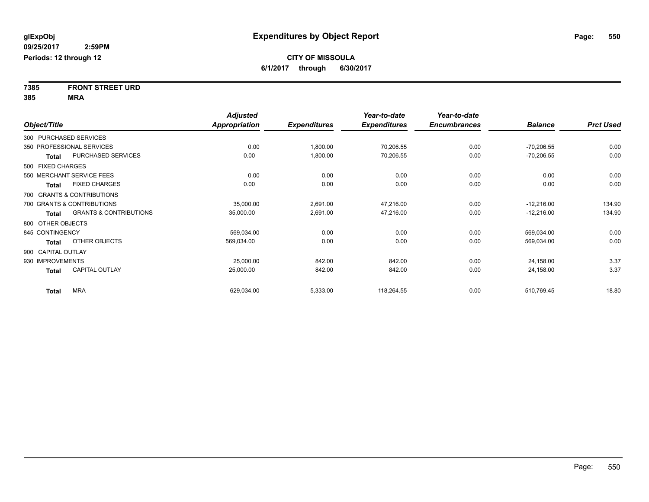**7385 FRONT STREET URD 385 MRA**

|                    |                                   | <b>Adjusted</b>      |                     | Year-to-date        | Year-to-date        |                |                  |
|--------------------|-----------------------------------|----------------------|---------------------|---------------------|---------------------|----------------|------------------|
| Object/Title       |                                   | <b>Appropriation</b> | <b>Expenditures</b> | <b>Expenditures</b> | <b>Encumbrances</b> | <b>Balance</b> | <b>Prct Used</b> |
|                    | 300 PURCHASED SERVICES            |                      |                     |                     |                     |                |                  |
|                    | 350 PROFESSIONAL SERVICES         | 0.00                 | 1,800.00            | 70,206.55           | 0.00                | $-70,206.55$   | 0.00             |
| <b>Total</b>       | PURCHASED SERVICES                | 0.00                 | 1,800.00            | 70,206.55           | 0.00                | $-70,206.55$   | 0.00             |
| 500 FIXED CHARGES  |                                   |                      |                     |                     |                     |                |                  |
|                    | 550 MERCHANT SERVICE FEES         | 0.00                 | 0.00                | 0.00                | 0.00                | 0.00           | 0.00             |
| <b>Total</b>       | <b>FIXED CHARGES</b>              | 0.00                 | 0.00                | 0.00                | 0.00                | 0.00           | 0.00             |
|                    | 700 GRANTS & CONTRIBUTIONS        |                      |                     |                     |                     |                |                  |
|                    | 700 GRANTS & CONTRIBUTIONS        | 35,000.00            | 2,691.00            | 47,216.00           | 0.00                | $-12,216.00$   | 134.90           |
| <b>Total</b>       | <b>GRANTS &amp; CONTRIBUTIONS</b> | 35,000.00            | 2,691.00            | 47,216.00           | 0.00                | $-12,216.00$   | 134.90           |
| 800 OTHER OBJECTS  |                                   |                      |                     |                     |                     |                |                  |
| 845 CONTINGENCY    |                                   | 569,034.00           | 0.00                | 0.00                | 0.00                | 569,034.00     | 0.00             |
| <b>Total</b>       | OTHER OBJECTS                     | 569,034.00           | 0.00                | 0.00                | 0.00                | 569,034.00     | 0.00             |
| 900 CAPITAL OUTLAY |                                   |                      |                     |                     |                     |                |                  |
| 930 IMPROVEMENTS   |                                   | 25,000.00            | 842.00              | 842.00              | 0.00                | 24,158.00      | 3.37             |
| <b>Total</b>       | <b>CAPITAL OUTLAY</b>             | 25,000.00            | 842.00              | 842.00              | 0.00                | 24,158.00      | 3.37             |
| <b>Total</b>       | <b>MRA</b>                        | 629,034.00           | 5,333.00            | 118,264.55          | 0.00                | 510,769.45     | 18.80            |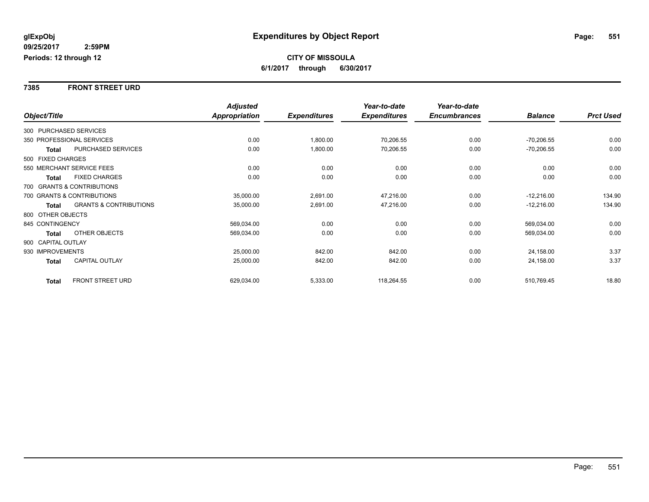#### **7385 FRONT STREET URD**

|                        |                                   | <b>Adjusted</b>      |                     | Year-to-date        | Year-to-date        |                |                  |
|------------------------|-----------------------------------|----------------------|---------------------|---------------------|---------------------|----------------|------------------|
| Object/Title           |                                   | <b>Appropriation</b> | <b>Expenditures</b> | <b>Expenditures</b> | <b>Encumbrances</b> | <b>Balance</b> | <b>Prct Used</b> |
| 300 PURCHASED SERVICES |                                   |                      |                     |                     |                     |                |                  |
|                        | 350 PROFESSIONAL SERVICES         | 0.00                 | 1,800.00            | 70,206.55           | 0.00                | $-70,206.55$   | 0.00             |
| Total                  | PURCHASED SERVICES                | 0.00                 | 1,800.00            | 70,206.55           | 0.00                | $-70,206.55$   | 0.00             |
| 500 FIXED CHARGES      |                                   |                      |                     |                     |                     |                |                  |
|                        | 550 MERCHANT SERVICE FEES         | 0.00                 | 0.00                | 0.00                | 0.00                | 0.00           | 0.00             |
| <b>Total</b>           | <b>FIXED CHARGES</b>              | 0.00                 | 0.00                | 0.00                | 0.00                | 0.00           | 0.00             |
|                        | 700 GRANTS & CONTRIBUTIONS        |                      |                     |                     |                     |                |                  |
|                        | 700 GRANTS & CONTRIBUTIONS        | 35,000.00            | 2,691.00            | 47,216.00           | 0.00                | $-12,216.00$   | 134.90           |
| <b>Total</b>           | <b>GRANTS &amp; CONTRIBUTIONS</b> | 35,000.00            | 2,691.00            | 47,216.00           | 0.00                | $-12,216.00$   | 134.90           |
| 800 OTHER OBJECTS      |                                   |                      |                     |                     |                     |                |                  |
| 845 CONTINGENCY        |                                   | 569,034.00           | 0.00                | 0.00                | 0.00                | 569,034.00     | 0.00             |
| Total                  | OTHER OBJECTS                     | 569,034.00           | 0.00                | 0.00                | 0.00                | 569,034.00     | 0.00             |
| 900 CAPITAL OUTLAY     |                                   |                      |                     |                     |                     |                |                  |
| 930 IMPROVEMENTS       |                                   | 25,000.00            | 842.00              | 842.00              | 0.00                | 24,158.00      | 3.37             |
| <b>Total</b>           | <b>CAPITAL OUTLAY</b>             | 25,000.00            | 842.00              | 842.00              | 0.00                | 24,158.00      | 3.37             |
| <b>Total</b>           | FRONT STREET URD                  | 629,034.00           | 5,333.00            | 118,264.55          | 0.00                | 510,769.45     | 18.80            |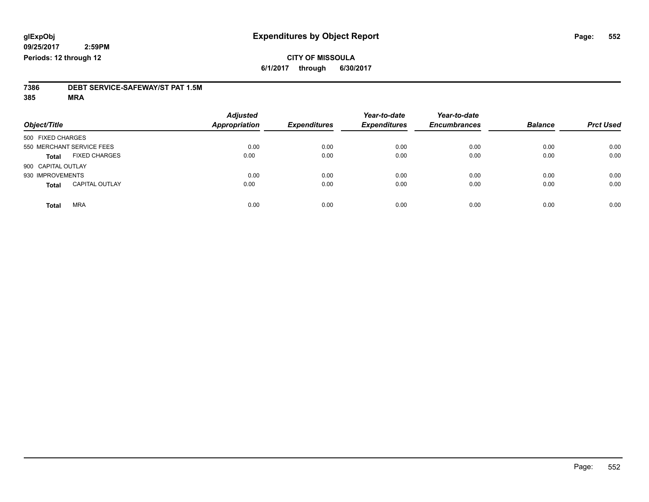#### **CITY OF MISSOULA 6/1/2017 through 6/30/2017**

# **7386 DEBT SERVICE-SAFEWAY/ST PAT 1.5M**

**385 MRA**

| Object/Title       |                           | <b>Adjusted</b><br><b>Appropriation</b> | <b>Expenditures</b> | Year-to-date<br><b>Expenditures</b> | Year-to-date<br><b>Encumbrances</b> | <b>Balance</b> | <b>Prct Used</b> |
|--------------------|---------------------------|-----------------------------------------|---------------------|-------------------------------------|-------------------------------------|----------------|------------------|
| 500 FIXED CHARGES  |                           |                                         |                     |                                     |                                     |                |                  |
|                    | 550 MERCHANT SERVICE FEES | 0.00                                    | 0.00                | 0.00                                | 0.00                                | 0.00           | 0.00             |
| <b>Total</b>       | <b>FIXED CHARGES</b>      | 0.00                                    | 0.00                | 0.00                                | 0.00                                | 0.00           | 0.00             |
| 900 CAPITAL OUTLAY |                           |                                         |                     |                                     |                                     |                |                  |
| 930 IMPROVEMENTS   |                           | 0.00                                    | 0.00                | 0.00                                | 0.00                                | 0.00           | 0.00             |
| <b>Total</b>       | <b>CAPITAL OUTLAY</b>     | 0.00                                    | 0.00                | 0.00                                | 0.00                                | 0.00           | 0.00             |
| <b>Total</b>       | <b>MRA</b>                | 0.00                                    | 0.00                | 0.00                                | 0.00                                | 0.00           | 0.00             |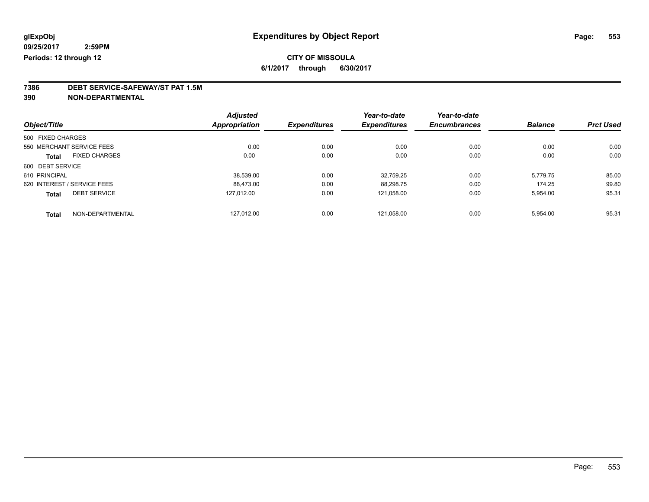### **7386 DEBT SERVICE-SAFEWAY/ST PAT 1.5M**

**390 NON-DEPARTMENTAL**

| Object/Title      |                             | <b>Adjusted</b>      | <b>Expenditures</b> | Year-to-date        | Year-to-date        | <b>Balance</b> | <b>Prct Used</b> |
|-------------------|-----------------------------|----------------------|---------------------|---------------------|---------------------|----------------|------------------|
|                   |                             | <b>Appropriation</b> |                     | <b>Expenditures</b> | <b>Encumbrances</b> |                |                  |
| 500 FIXED CHARGES |                             |                      |                     |                     |                     |                |                  |
|                   | 550 MERCHANT SERVICE FEES   | 0.00                 | 0.00                | 0.00                | 0.00                | 0.00           | 0.00             |
| <b>Total</b>      | <b>FIXED CHARGES</b>        | 0.00                 | 0.00                | 0.00                | 0.00                | 0.00           | 0.00             |
| 600 DEBT SERVICE  |                             |                      |                     |                     |                     |                |                  |
| 610 PRINCIPAL     |                             | 38.539.00            | 0.00                | 32.759.25           | 0.00                | 5,779.75       | 85.00            |
|                   | 620 INTEREST / SERVICE FEES | 88,473.00            | 0.00                | 88,298.75           | 0.00                | 174.25         | 99.80            |
| <b>Total</b>      | <b>DEBT SERVICE</b>         | 127.012.00           | 0.00                | 121.058.00          | 0.00                | 5,954.00       | 95.31            |
| <b>Total</b>      | NON-DEPARTMENTAL            | 127.012.00           | 0.00                | 121.058.00          | 0.00                | 5.954.00       | 95.31            |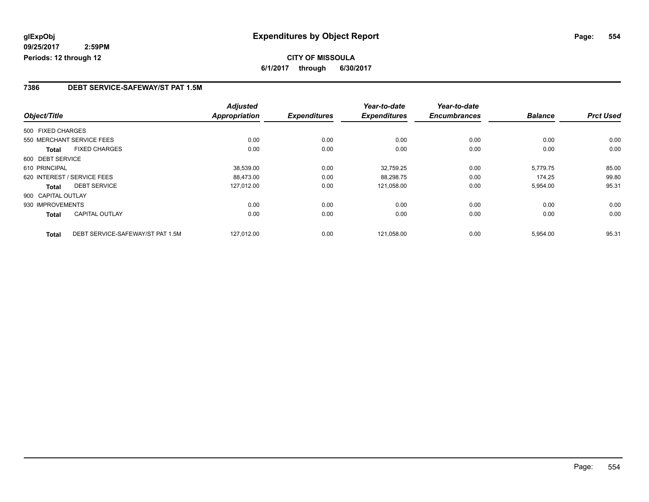### **CITY OF MISSOULA 6/1/2017 through 6/30/2017**

#### **7386 DEBT SERVICE-SAFEWAY/ST PAT 1.5M**

|                    |                                  | <b>Adjusted</b>      |                     | Year-to-date        | Year-to-date        |                |                  |
|--------------------|----------------------------------|----------------------|---------------------|---------------------|---------------------|----------------|------------------|
| Object/Title       |                                  | <b>Appropriation</b> | <b>Expenditures</b> | <b>Expenditures</b> | <b>Encumbrances</b> | <b>Balance</b> | <b>Prct Used</b> |
| 500 FIXED CHARGES  |                                  |                      |                     |                     |                     |                |                  |
|                    | 550 MERCHANT SERVICE FEES        | 0.00                 | 0.00                | 0.00                | 0.00                | 0.00           | 0.00             |
| Total              | <b>FIXED CHARGES</b>             | 0.00                 | 0.00                | 0.00                | 0.00                | 0.00           | 0.00             |
| 600 DEBT SERVICE   |                                  |                      |                     |                     |                     |                |                  |
| 610 PRINCIPAL      |                                  | 38,539.00            | 0.00                | 32.759.25           | 0.00                | 5.779.75       | 85.00            |
|                    | 620 INTEREST / SERVICE FEES      | 88.473.00            | 0.00                | 88,298.75           | 0.00                | 174.25         | 99.80            |
| Total              | <b>DEBT SERVICE</b>              | 127,012.00           | 0.00                | 121,058.00          | 0.00                | 5,954.00       | 95.31            |
| 900 CAPITAL OUTLAY |                                  |                      |                     |                     |                     |                |                  |
| 930 IMPROVEMENTS   |                                  | 0.00                 | 0.00                | 0.00                | 0.00                | 0.00           | 0.00             |
| Total              | <b>CAPITAL OUTLAY</b>            | 0.00                 | 0.00                | 0.00                | 0.00                | 0.00           | 0.00             |
| <b>Total</b>       | DEBT SERVICE-SAFEWAY/ST PAT 1.5M | 127,012.00           | 0.00                | 121,058.00          | 0.00                | 5,954.00       | 95.31            |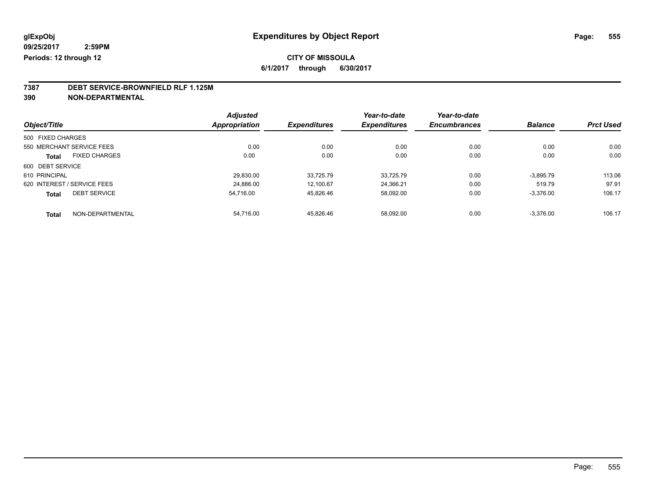### **CITY OF MISSOULA**

**6/1/2017 through 6/30/2017**

### **7387 DEBT SERVICE-BROWNFIELD RLF 1.125M**

**390 NON-DEPARTMENTAL**

| Object/Title      |                             | <b>Adjusted</b>      | <b>Expenditures</b> | Year-to-date<br><b>Expenditures</b> | Year-to-date        | <b>Balance</b> | <b>Prct Used</b> |
|-------------------|-----------------------------|----------------------|---------------------|-------------------------------------|---------------------|----------------|------------------|
|                   |                             | <b>Appropriation</b> |                     |                                     | <b>Encumbrances</b> |                |                  |
| 500 FIXED CHARGES |                             |                      |                     |                                     |                     |                |                  |
|                   | 550 MERCHANT SERVICE FEES   | 0.00                 | 0.00                | 0.00                                | 0.00                | 0.00           | 0.00             |
| Total             | <b>FIXED CHARGES</b>        | 0.00                 | 0.00                | 0.00                                | 0.00                | 0.00           | 0.00             |
| 600 DEBT SERVICE  |                             |                      |                     |                                     |                     |                |                  |
| 610 PRINCIPAL     |                             | 29,830.00            | 33,725.79           | 33.725.79                           | 0.00                | $-3,895.79$    | 113.06           |
|                   | 620 INTEREST / SERVICE FEES | 24.886.00            | 12.100.67           | 24.366.21                           | 0.00                | 519.79         | 97.91            |
| <b>Total</b>      | <b>DEBT SERVICE</b>         | 54.716.00            | 45,826.46           | 58,092.00                           | 0.00                | $-3,376.00$    | 106.17           |
| <b>Total</b>      | NON-DEPARTMENTAL            | 54.716.00            | 45.826.46           | 58.092.00                           | 0.00                | $-3.376.00$    | 106.17           |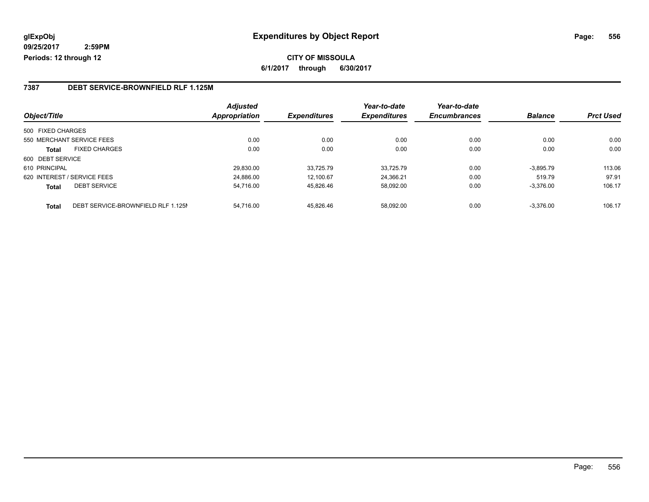#### **7387 DEBT SERVICE-BROWNFIELD RLF 1.125M**

| Object/Title      |                                    | <b>Adjusted</b><br><b>Appropriation</b> | <b>Expenditures</b> | Year-to-date<br><b>Expenditures</b> | Year-to-date<br><b>Encumbrances</b> | <b>Balance</b> | <b>Prct Used</b> |
|-------------------|------------------------------------|-----------------------------------------|---------------------|-------------------------------------|-------------------------------------|----------------|------------------|
|                   |                                    |                                         |                     |                                     |                                     |                |                  |
| 500 FIXED CHARGES |                                    |                                         |                     |                                     |                                     |                |                  |
|                   | 550 MERCHANT SERVICE FEES          | 0.00                                    | 0.00                | 0.00                                | 0.00                                | 0.00           | 0.00             |
| Total             | <b>FIXED CHARGES</b>               | 0.00                                    | 0.00                | 0.00                                | 0.00                                | 0.00           | 0.00             |
| 600 DEBT SERVICE  |                                    |                                         |                     |                                     |                                     |                |                  |
| 610 PRINCIPAL     |                                    | 29,830.00                               | 33.725.79           | 33.725.79                           | 0.00                                | $-3.895.79$    | 113.06           |
|                   | 620 INTEREST / SERVICE FEES        | 24.886.00                               | 12.100.67           | 24.366.21                           | 0.00                                | 519.79         | 97.91            |
| <b>Total</b>      | <b>DEBT SERVICE</b>                | 54.716.00                               | 45.826.46           | 58.092.00                           | 0.00                                | $-3.376.00$    | 106.17           |
| Total             | DEBT SERVICE-BROWNFIELD RLF 1.125M | 54.716.00                               | 45.826.46           | 58.092.00                           | 0.00                                | $-3.376.00$    | 106.17           |

Page: 556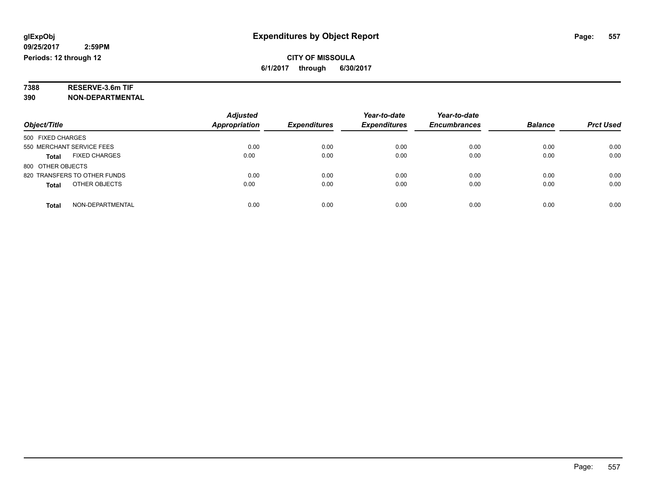# **7388 RESERVE-3.6m TIF**

**390 NON-DEPARTMENTAL**

|                                      | <b>Adjusted</b>      |                     | Year-to-date        | Year-to-date        |                |                  |
|--------------------------------------|----------------------|---------------------|---------------------|---------------------|----------------|------------------|
| Object/Title                         | <b>Appropriation</b> | <b>Expenditures</b> | <b>Expenditures</b> | <b>Encumbrances</b> | <b>Balance</b> | <b>Prct Used</b> |
| 500 FIXED CHARGES                    |                      |                     |                     |                     |                |                  |
| 550 MERCHANT SERVICE FEES            | 0.00                 | 0.00                | 0.00                | 0.00                | 0.00           | 0.00             |
| <b>FIXED CHARGES</b><br><b>Total</b> | 0.00                 | 0.00                | 0.00                | 0.00                | 0.00           | 0.00             |
| 800 OTHER OBJECTS                    |                      |                     |                     |                     |                |                  |
| 820 TRANSFERS TO OTHER FUNDS         | 0.00                 | 0.00                | 0.00                | 0.00                | 0.00           | 0.00             |
| OTHER OBJECTS<br><b>Total</b>        | 0.00                 | 0.00                | 0.00                | 0.00                | 0.00           | 0.00             |
| NON-DEPARTMENTAL<br>Total            | 0.00                 | 0.00                | 0.00                | 0.00                | 0.00           | 0.00             |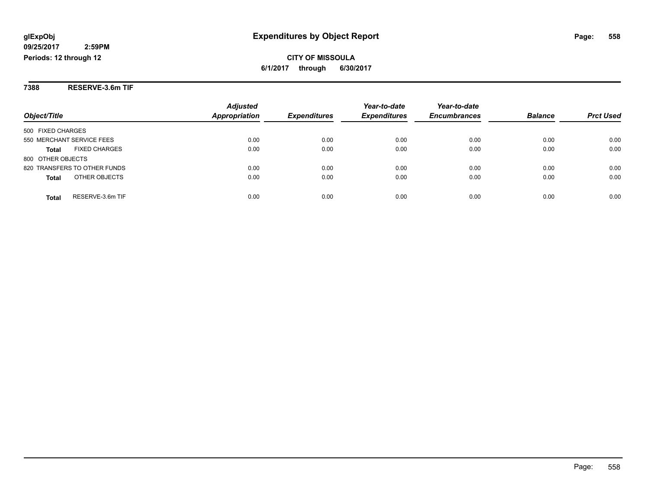**CITY OF MISSOULA 6/1/2017 through 6/30/2017**

**7388 RESERVE-3.6m TIF**

|                                  | <b>Adjusted</b> |                     | Year-to-date        | Year-to-date        |                |                  |
|----------------------------------|-----------------|---------------------|---------------------|---------------------|----------------|------------------|
| Object/Title                     | Appropriation   | <b>Expenditures</b> | <b>Expenditures</b> | <b>Encumbrances</b> | <b>Balance</b> | <b>Prct Used</b> |
| 500 FIXED CHARGES                |                 |                     |                     |                     |                |                  |
| 550 MERCHANT SERVICE FEES        | 0.00            | 0.00                | 0.00                | 0.00                | 0.00           | 0.00             |
| <b>FIXED CHARGES</b><br>Total    | 0.00            | 0.00                | 0.00                | 0.00                | 0.00           | 0.00             |
| 800 OTHER OBJECTS                |                 |                     |                     |                     |                |                  |
| 820 TRANSFERS TO OTHER FUNDS     | 0.00            | 0.00                | 0.00                | 0.00                | 0.00           | 0.00             |
| OTHER OBJECTS<br><b>Total</b>    | 0.00            | 0.00                | 0.00                | 0.00                | 0.00           | 0.00             |
| RESERVE-3.6m TIF<br><b>Total</b> | 0.00            | 0.00                | 0.00                | 0.00                | 0.00           | 0.00             |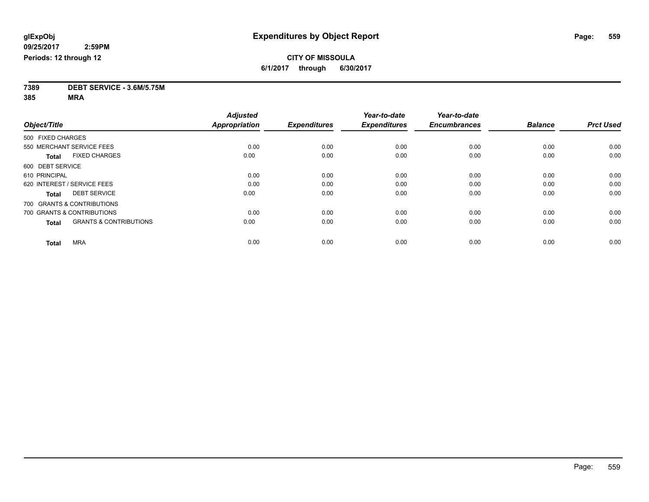**7389 DEBT SERVICE - 3.6M/5.75M**

**385 MRA**

|                                                   | <b>Adjusted</b>      |                     | Year-to-date        | Year-to-date        |                |                  |
|---------------------------------------------------|----------------------|---------------------|---------------------|---------------------|----------------|------------------|
| Object/Title                                      | <b>Appropriation</b> | <b>Expenditures</b> | <b>Expenditures</b> | <b>Encumbrances</b> | <b>Balance</b> | <b>Prct Used</b> |
| 500 FIXED CHARGES                                 |                      |                     |                     |                     |                |                  |
| 550 MERCHANT SERVICE FEES                         | 0.00                 | 0.00                | 0.00                | 0.00                | 0.00           | 0.00             |
| <b>FIXED CHARGES</b><br><b>Total</b>              | 0.00                 | 0.00                | 0.00                | 0.00                | 0.00           | 0.00             |
| 600 DEBT SERVICE                                  |                      |                     |                     |                     |                |                  |
| 610 PRINCIPAL                                     | 0.00                 | 0.00                | 0.00                | 0.00                | 0.00           | 0.00             |
| 620 INTEREST / SERVICE FEES                       | 0.00                 | 0.00                | 0.00                | 0.00                | 0.00           | 0.00             |
| <b>DEBT SERVICE</b><br><b>Total</b>               | 0.00                 | 0.00                | 0.00                | 0.00                | 0.00           | 0.00             |
| 700 GRANTS & CONTRIBUTIONS                        |                      |                     |                     |                     |                |                  |
| 700 GRANTS & CONTRIBUTIONS                        | 0.00                 | 0.00                | 0.00                | 0.00                | 0.00           | 0.00             |
| <b>GRANTS &amp; CONTRIBUTIONS</b><br><b>Total</b> | 0.00                 | 0.00                | 0.00                | 0.00                | 0.00           | 0.00             |
|                                                   |                      |                     |                     |                     |                |                  |
| <b>MRA</b><br><b>Total</b>                        | 0.00                 | 0.00                | 0.00                | 0.00                | 0.00           | 0.00             |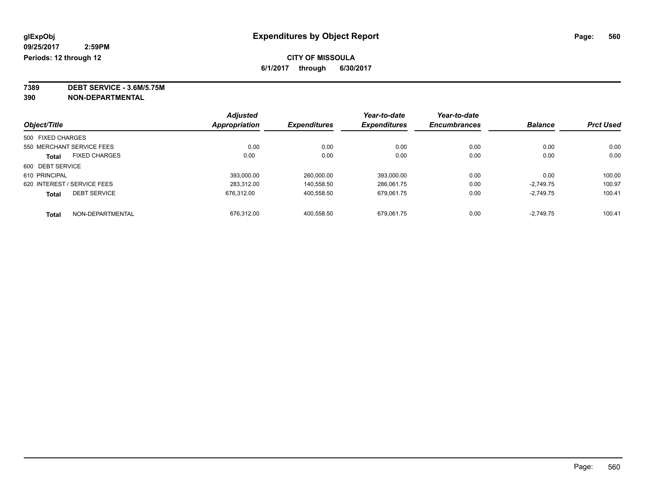**7389 DEBT SERVICE - 3.6M/5.75M**

**390 NON-DEPARTMENTAL**

|                   |                             | <b>Adjusted</b>      |                     | Year-to-date        | Year-to-date        |                |                  |
|-------------------|-----------------------------|----------------------|---------------------|---------------------|---------------------|----------------|------------------|
| Object/Title      |                             | <b>Appropriation</b> | <b>Expenditures</b> | <b>Expenditures</b> | <b>Encumbrances</b> | <b>Balance</b> | <b>Prct Used</b> |
| 500 FIXED CHARGES |                             |                      |                     |                     |                     |                |                  |
|                   | 550 MERCHANT SERVICE FEES   | 0.00                 | 0.00                | 0.00                | 0.00                | 0.00           | 0.00             |
| <b>Total</b>      | <b>FIXED CHARGES</b>        | 0.00                 | 0.00                | 0.00                | 0.00                | 0.00           | 0.00             |
| 600 DEBT SERVICE  |                             |                      |                     |                     |                     |                |                  |
| 610 PRINCIPAL     |                             | 393.000.00           | 260.000.00          | 393.000.00          | 0.00                | 0.00           | 100.00           |
|                   | 620 INTEREST / SERVICE FEES | 283.312.00           | 140.558.50          | 286.061.75          | 0.00                | $-2.749.75$    | 100.97           |
| <b>Total</b>      | <b>DEBT SERVICE</b>         | 676.312.00           | 400,558.50          | 679.061.75          | 0.00                | $-2.749.75$    | 100.41           |
| <b>Total</b>      | NON-DEPARTMENTAL            | 676.312.00           | 400.558.50          | 679.061.75          | 0.00                | $-2.749.75$    | 100.41           |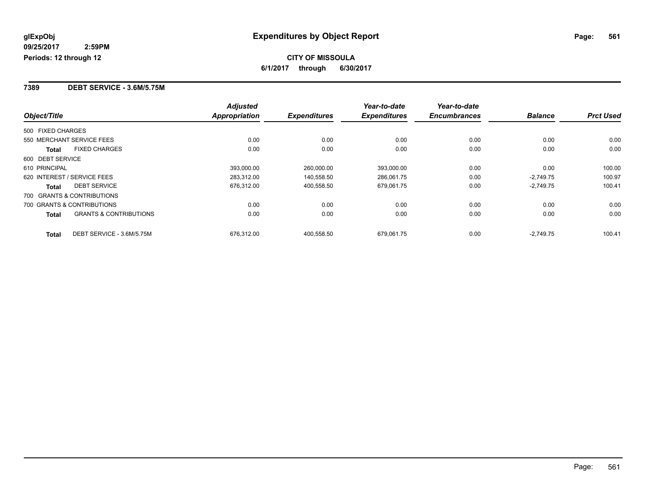#### **7389 DEBT SERVICE - 3.6M/5.75M**

|                                                   | <b>Adjusted</b> |                     | Year-to-date        | Year-to-date        |                |                  |
|---------------------------------------------------|-----------------|---------------------|---------------------|---------------------|----------------|------------------|
| Object/Title                                      | Appropriation   | <b>Expenditures</b> | <b>Expenditures</b> | <b>Encumbrances</b> | <b>Balance</b> | <b>Prct Used</b> |
| 500 FIXED CHARGES                                 |                 |                     |                     |                     |                |                  |
| 550 MERCHANT SERVICE FEES                         | 0.00            | 0.00                | 0.00                | 0.00                | 0.00           | 0.00             |
| <b>FIXED CHARGES</b><br><b>Total</b>              | 0.00            | 0.00                | 0.00                | 0.00                | 0.00           | 0.00             |
| 600 DEBT SERVICE                                  |                 |                     |                     |                     |                |                  |
| 610 PRINCIPAL                                     | 393,000.00      | 260.000.00          | 393,000.00          | 0.00                | 0.00           | 100.00           |
| 620 INTEREST / SERVICE FEES                       | 283,312.00      | 140,558.50          | 286,061.75          | 0.00                | $-2,749.75$    | 100.97           |
| <b>DEBT SERVICE</b><br><b>Total</b>               | 676.312.00      | 400.558.50          | 679.061.75          | 0.00                | $-2.749.75$    | 100.41           |
| 700 GRANTS & CONTRIBUTIONS                        |                 |                     |                     |                     |                |                  |
| 700 GRANTS & CONTRIBUTIONS                        | 0.00            | 0.00                | 0.00                | 0.00                | 0.00           | 0.00             |
| <b>GRANTS &amp; CONTRIBUTIONS</b><br><b>Total</b> | 0.00            | 0.00                | 0.00                | 0.00                | 0.00           | 0.00             |
| DEBT SERVICE - 3.6M/5.75M<br><b>Total</b>         | 676.312.00      | 400.558.50          | 679.061.75          | 0.00                | $-2.749.75$    | 100.41           |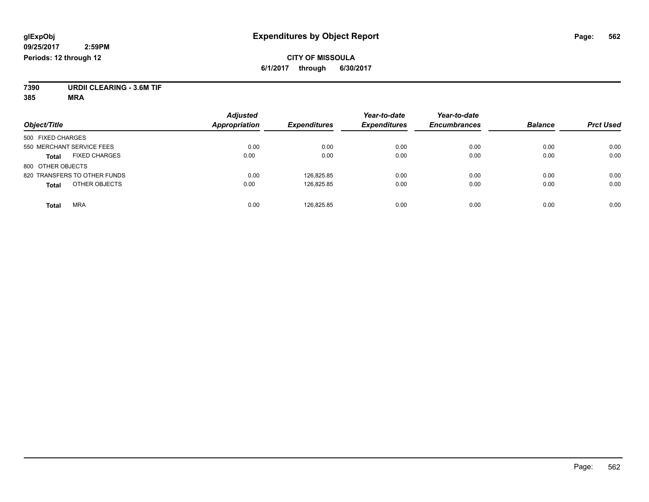#### **CITY OF MISSOULA 6/1/2017 through 6/30/2017**

**7390 URDII CLEARING - 3.6M TIF**

**385 MRA**

| Object/Title                         | <b>Adjusted</b><br><b>Appropriation</b> | <b>Expenditures</b> | Year-to-date<br><b>Expenditures</b> | Year-to-date<br><b>Encumbrances</b> | <b>Balance</b> | <b>Prct Used</b> |
|--------------------------------------|-----------------------------------------|---------------------|-------------------------------------|-------------------------------------|----------------|------------------|
| 500 FIXED CHARGES                    |                                         |                     |                                     |                                     |                |                  |
| 550 MERCHANT SERVICE FEES            | 0.00                                    | 0.00                | 0.00                                | 0.00                                | 0.00           | 0.00             |
| <b>FIXED CHARGES</b><br><b>Total</b> | 0.00                                    | 0.00                | 0.00                                | 0.00                                | 0.00           | 0.00             |
| 800 OTHER OBJECTS                    |                                         |                     |                                     |                                     |                |                  |
| 820 TRANSFERS TO OTHER FUNDS         | 0.00                                    | 126.825.85          | 0.00                                | 0.00                                | 0.00           | 0.00             |
| OTHER OBJECTS<br><b>Total</b>        | 0.00                                    | 126.825.85          | 0.00                                | 0.00                                | 0.00           | 0.00             |
| <b>MRA</b><br><b>Total</b>           | 0.00                                    | 126.825.85          | 0.00                                | 0.00                                | 0.00           | 0.00             |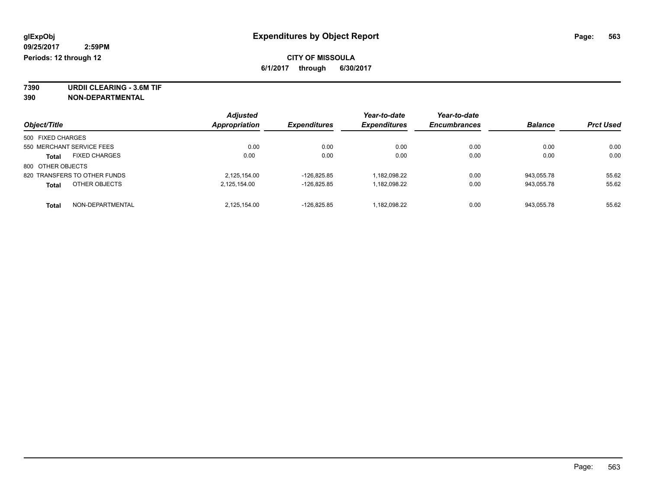**7390 URDII CLEARING - 3.6M TIF 390 NON-DEPARTMENTAL**

|                   |                              | <b>Adjusted</b>      |                     | Year-to-date        | Year-to-date        |                |                  |
|-------------------|------------------------------|----------------------|---------------------|---------------------|---------------------|----------------|------------------|
| Object/Title      |                              | <b>Appropriation</b> | <b>Expenditures</b> | <b>Expenditures</b> | <b>Encumbrances</b> | <b>Balance</b> | <b>Prct Used</b> |
| 500 FIXED CHARGES |                              |                      |                     |                     |                     |                |                  |
|                   | 550 MERCHANT SERVICE FEES    | 0.00                 | 0.00                | 0.00                | 0.00                | 0.00           | 0.00             |
| <b>Total</b>      | <b>FIXED CHARGES</b>         | 0.00                 | 0.00                | 0.00                | 0.00                | 0.00           | 0.00             |
| 800 OTHER OBJECTS |                              |                      |                     |                     |                     |                |                  |
|                   | 820 TRANSFERS TO OTHER FUNDS | 2,125,154.00         | -126.825.85         | 1.182.098.22        | 0.00                | 943.055.78     | 55.62            |
| <b>Total</b>      | OTHER OBJECTS                | 2,125,154.00         | -126.825.85         | 1.182.098.22        | 0.00                | 943.055.78     | 55.62            |
| <b>Total</b>      | NON-DEPARTMENTAL             | 2,125,154.00         | $-126.825.85$       | 1,182,098.22        | 0.00                | 943.055.78     | 55.62            |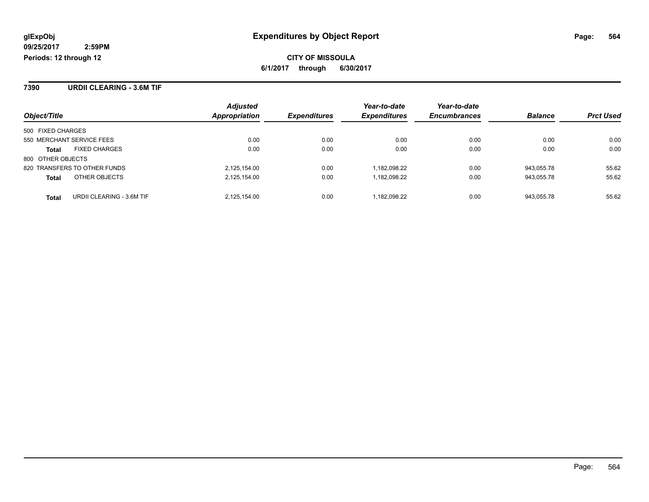**7390 URDII CLEARING - 3.6M TIF**

|                                           | <b>Adjusted</b>      |                     | Year-to-date        | Year-to-date        |                |                  |
|-------------------------------------------|----------------------|---------------------|---------------------|---------------------|----------------|------------------|
| Object/Title                              | <b>Appropriation</b> | <b>Expenditures</b> | <b>Expenditures</b> | <b>Encumbrances</b> | <b>Balance</b> | <b>Prct Used</b> |
| 500 FIXED CHARGES                         |                      |                     |                     |                     |                |                  |
| 550 MERCHANT SERVICE FEES                 | 0.00                 | 0.00                | 0.00                | 0.00                | 0.00           | 0.00             |
| <b>FIXED CHARGES</b><br>Total             | 0.00                 | 0.00                | 0.00                | 0.00                | 0.00           | 0.00             |
| 800 OTHER OBJECTS                         |                      |                     |                     |                     |                |                  |
| 820 TRANSFERS TO OTHER FUNDS              | 2,125,154.00         | 0.00                | 1.182.098.22        | 0.00                | 943.055.78     | 55.62            |
| OTHER OBJECTS<br><b>Total</b>             | 2,125,154.00         | 0.00                | 1,182,098.22        | 0.00                | 943,055.78     | 55.62            |
| URDII CLEARING - 3.6M TIF<br><b>Total</b> | 2.125.154.00         | 0.00                | 1.182.098.22        | 0.00                | 943.055.78     | 55.62            |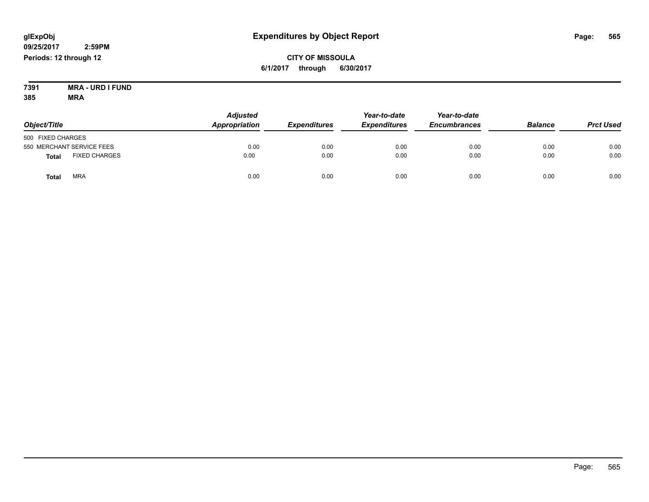**CITY OF MISSOULA 6/1/2017 through 6/30/2017**

**7391 MRA - URD I FUND 385 MRA**

| Object/Title                         | <b>Adjusted</b><br>Appropriation | <b>Expenditures</b> | Year-to-date<br><b>Expenditures</b> | Year-to-date<br><b>Encumbrances</b> | <b>Balance</b> | <b>Prct Used</b> |
|--------------------------------------|----------------------------------|---------------------|-------------------------------------|-------------------------------------|----------------|------------------|
| 500 FIXED CHARGES                    |                                  |                     |                                     |                                     |                |                  |
| 550 MERCHANT SERVICE FEES            | 0.00                             | 0.00                | 0.00                                | 0.00                                | 0.00           | 0.00             |
| <b>FIXED CHARGES</b><br><b>Total</b> | 0.00                             | 0.00                | 0.00                                | 0.00                                | 0.00           | 0.00             |
| <b>MRA</b><br>Total                  | 0.00                             | 0.00                | 0.00                                | 0.00                                | 0.00           | 0.00             |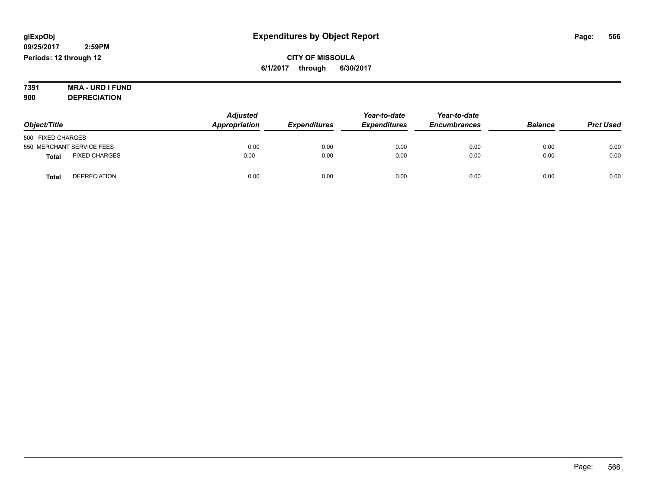**CITY OF MISSOULA 6/1/2017 through 6/30/2017**

**7391 MRA - URD I FUND 900 DEPRECIATION**

|                                      | <b>Adjusted</b> |                     | Year-to-date        | Year-to-date        |                |                  |
|--------------------------------------|-----------------|---------------------|---------------------|---------------------|----------------|------------------|
| Object/Title                         | Appropriation   | <b>Expenditures</b> | <b>Expenditures</b> | <b>Encumbrances</b> | <b>Balance</b> | <b>Prct Used</b> |
| 500 FIXED CHARGES                    |                 |                     |                     |                     |                |                  |
| 550 MERCHANT SERVICE FEES            | 0.00            | 0.00                | 0.00                | 0.00                | 0.00           | 0.00             |
| <b>FIXED CHARGES</b><br><b>Total</b> | 0.00            | 0.00                | 0.00                | 0.00                | 0.00           | 0.00             |
| <b>DEPRECIATION</b><br>Total         | 0.00            | 0.00                | 0.00                | 0.00                | 0.00           | 0.00             |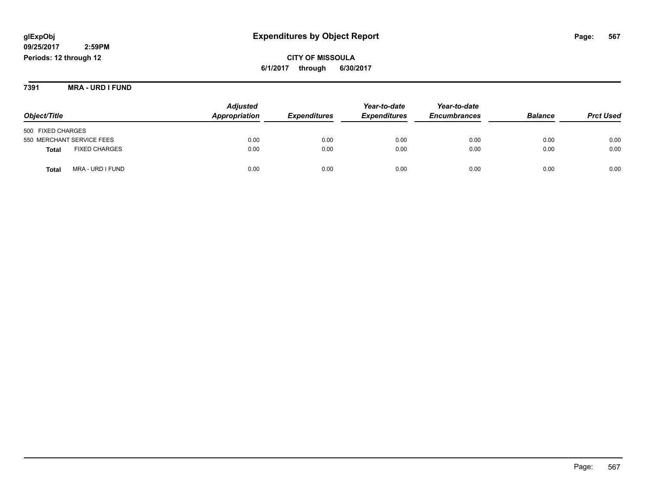**CITY OF MISSOULA 6/1/2017 through 6/30/2017**

**7391 MRA - URD I FUND**

|                                      | <b>Adjusted</b> |                            | Year-to-date        | Year-to-date        |                |                  |
|--------------------------------------|-----------------|----------------------------|---------------------|---------------------|----------------|------------------|
| Object/Title                         | Appropriation   | <i><b>Expenditures</b></i> | <b>Expenditures</b> | <b>Encumbrances</b> | <b>Balance</b> | <b>Prct Used</b> |
| 500 FIXED CHARGES                    |                 |                            |                     |                     |                |                  |
| 550 MERCHANT SERVICE FEES            | 0.00            | 0.00                       | 0.00                | 0.00                | 0.00           | 0.00             |
| <b>FIXED CHARGES</b><br><b>Total</b> | 0.00            | 0.00                       | 0.00                | 0.00                | 0.00           | 0.00             |
| MRA - URD I FUND<br>Total            | 0.00            | 0.00                       | 0.00                | 0.00                | 0.00           | 0.00             |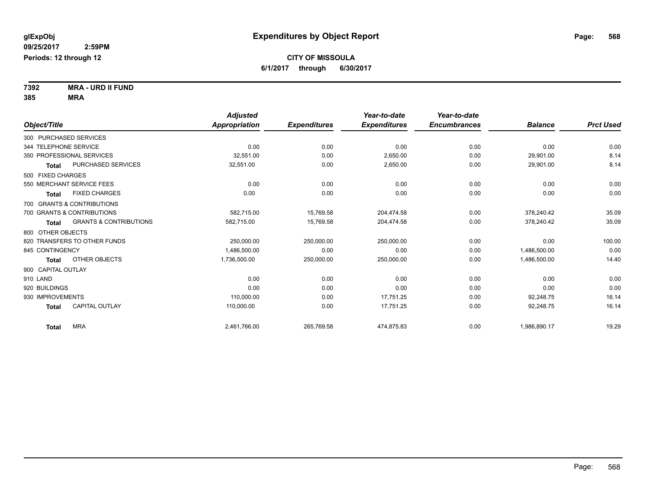**7392 MRA - URD II FUND 385 MRA**

|                        |                                   | <b>Adjusted</b> |                     | Year-to-date        | Year-to-date        |                |                  |
|------------------------|-----------------------------------|-----------------|---------------------|---------------------|---------------------|----------------|------------------|
| Object/Title           |                                   | Appropriation   | <b>Expenditures</b> | <b>Expenditures</b> | <b>Encumbrances</b> | <b>Balance</b> | <b>Prct Used</b> |
| 300 PURCHASED SERVICES |                                   |                 |                     |                     |                     |                |                  |
| 344 TELEPHONE SERVICE  |                                   | 0.00            | 0.00                | 0.00                | 0.00                | 0.00           | 0.00             |
|                        | 350 PROFESSIONAL SERVICES         | 32,551.00       | 0.00                | 2,650.00            | 0.00                | 29,901.00      | 8.14             |
| <b>Total</b>           | <b>PURCHASED SERVICES</b>         | 32,551.00       | 0.00                | 2,650.00            | 0.00                | 29,901.00      | 8.14             |
| 500 FIXED CHARGES      |                                   |                 |                     |                     |                     |                |                  |
|                        | 550 MERCHANT SERVICE FEES         | 0.00            | 0.00                | 0.00                | 0.00                | 0.00           | 0.00             |
| Total                  | <b>FIXED CHARGES</b>              | 0.00            | 0.00                | 0.00                | 0.00                | 0.00           | 0.00             |
|                        | 700 GRANTS & CONTRIBUTIONS        |                 |                     |                     |                     |                |                  |
|                        | 700 GRANTS & CONTRIBUTIONS        | 582.715.00      | 15,769.58           | 204,474.58          | 0.00                | 378,240.42     | 35.09            |
| <b>Total</b>           | <b>GRANTS &amp; CONTRIBUTIONS</b> | 582,715.00      | 15,769.58           | 204,474.58          | 0.00                | 378,240.42     | 35.09            |
| 800 OTHER OBJECTS      |                                   |                 |                     |                     |                     |                |                  |
|                        | 820 TRANSFERS TO OTHER FUNDS      | 250,000.00      | 250,000.00          | 250,000.00          | 0.00                | 0.00           | 100.00           |
| 845 CONTINGENCY        |                                   | 1,486,500.00    | 0.00                | 0.00                | 0.00                | 1,486,500.00   | 0.00             |
| <b>Total</b>           | OTHER OBJECTS                     | 1,736,500.00    | 250,000.00          | 250,000.00          | 0.00                | 1,486,500.00   | 14.40            |
| 900 CAPITAL OUTLAY     |                                   |                 |                     |                     |                     |                |                  |
| 910 LAND               |                                   | 0.00            | 0.00                | 0.00                | 0.00                | 0.00           | 0.00             |
| 920 BUILDINGS          |                                   | 0.00            | 0.00                | 0.00                | 0.00                | 0.00           | 0.00             |
| 930 IMPROVEMENTS       |                                   | 110,000.00      | 0.00                | 17.751.25           | 0.00                | 92,248.75      | 16.14            |
| <b>Total</b>           | <b>CAPITAL OUTLAY</b>             | 110,000.00      | 0.00                | 17,751.25           | 0.00                | 92,248.75      | 16.14            |
| Total                  | <b>MRA</b>                        | 2,461,766.00    | 265,769.58          | 474.875.83          | 0.00                | 1,986,890.17   | 19.29            |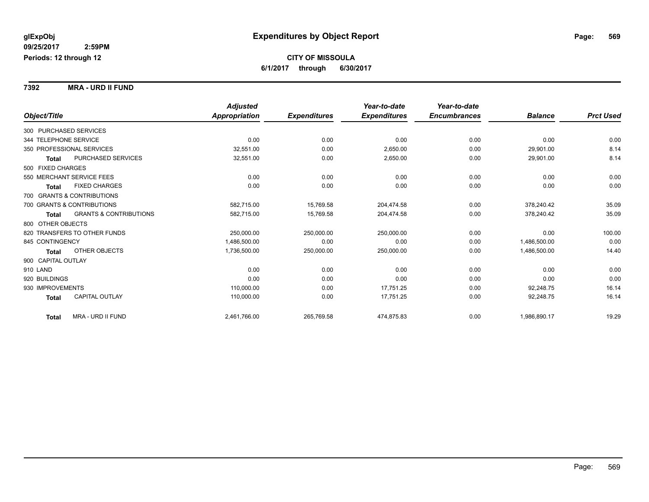**7392 MRA - URD II FUND**

|                                            | <b>Adjusted</b> |                     | Year-to-date        | Year-to-date        |                |                  |
|--------------------------------------------|-----------------|---------------------|---------------------|---------------------|----------------|------------------|
| Object/Title                               | Appropriation   | <b>Expenditures</b> | <b>Expenditures</b> | <b>Encumbrances</b> | <b>Balance</b> | <b>Prct Used</b> |
| 300 PURCHASED SERVICES                     |                 |                     |                     |                     |                |                  |
| 344 TELEPHONE SERVICE                      | 0.00            | 0.00                | 0.00                | 0.00                | 0.00           | 0.00             |
| 350 PROFESSIONAL SERVICES                  | 32,551.00       | 0.00                | 2,650.00            | 0.00                | 29,901.00      | 8.14             |
| PURCHASED SERVICES<br>Total                | 32,551.00       | 0.00                | 2,650.00            | 0.00                | 29,901.00      | 8.14             |
| 500 FIXED CHARGES                          |                 |                     |                     |                     |                |                  |
| 550 MERCHANT SERVICE FEES                  | 0.00            | 0.00                | 0.00                | 0.00                | 0.00           | 0.00             |
| <b>FIXED CHARGES</b><br>Total              | 0.00            | 0.00                | 0.00                | 0.00                | 0.00           | 0.00             |
| 700 GRANTS & CONTRIBUTIONS                 |                 |                     |                     |                     |                |                  |
| 700 GRANTS & CONTRIBUTIONS                 | 582,715.00      | 15,769.58           | 204.474.58          | 0.00                | 378.240.42     | 35.09            |
| <b>GRANTS &amp; CONTRIBUTIONS</b><br>Total | 582,715.00      | 15,769.58           | 204,474.58          | 0.00                | 378,240.42     | 35.09            |
| 800 OTHER OBJECTS                          |                 |                     |                     |                     |                |                  |
| 820 TRANSFERS TO OTHER FUNDS               | 250,000.00      | 250,000.00          | 250,000.00          | 0.00                | 0.00           | 100.00           |
| 845 CONTINGENCY                            | 1,486,500.00    | 0.00                | 0.00                | 0.00                | 1,486,500.00   | 0.00             |
| OTHER OBJECTS<br>Total                     | 1,736,500.00    | 250,000.00          | 250,000.00          | 0.00                | 1,486,500.00   | 14.40            |
| 900 CAPITAL OUTLAY                         |                 |                     |                     |                     |                |                  |
| 910 LAND                                   | 0.00            | 0.00                | 0.00                | 0.00                | 0.00           | 0.00             |
| 920 BUILDINGS                              | 0.00            | 0.00                | 0.00                | 0.00                | 0.00           | 0.00             |
| 930 IMPROVEMENTS                           | 110,000.00      | 0.00                | 17,751.25           | 0.00                | 92,248.75      | 16.14            |
| <b>CAPITAL OUTLAY</b><br><b>Total</b>      | 110,000.00      | 0.00                | 17,751.25           | 0.00                | 92,248.75      | 16.14            |
| MRA - URD II FUND<br><b>Total</b>          | 2,461,766.00    | 265,769.58          | 474,875.83          | 0.00                | 1,986,890.17   | 19.29            |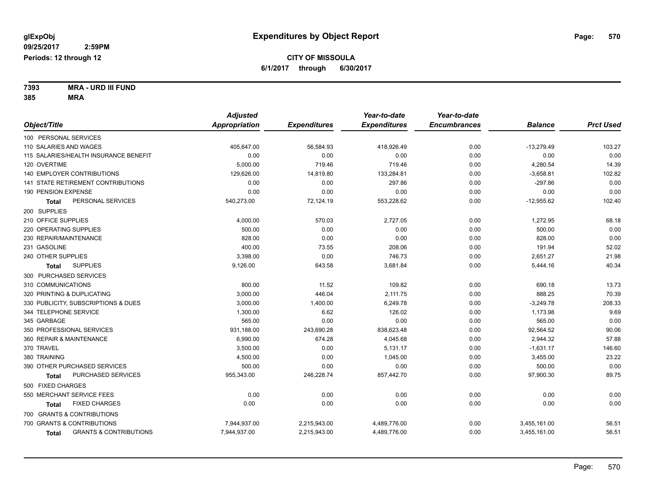**7393 MRA - URD III FUND 385 MRA**

| Appropriation<br><b>Encumbrances</b><br>Object/Title<br><b>Expenditures</b><br><b>Expenditures</b><br><b>Balance</b><br>100 PERSONAL SERVICES<br>0.00<br>110 SALARIES AND WAGES<br>405,647.00<br>56,584.93<br>418,926.49<br>$-13,279.49$<br>115 SALARIES/HEALTH INSURANCE BENEFIT<br>0.00<br>0.00<br>0.00<br>0.00<br>0.00<br>719.46<br>120 OVERTIME<br>5,000.00<br>719.46<br>0.00<br>4,280.54<br>140 EMPLOYER CONTRIBUTIONS<br>129.626.00<br>14,819.80<br>133,284.81<br>$-3,658.81$<br>0.00<br>141 STATE RETIREMENT CONTRIBUTIONS<br>$-297.86$<br>0.00<br>0.00<br>297.86<br>0.00<br>190 PENSION EXPENSE<br>0.00<br>0.00<br>0.00<br>0.00<br>0.00<br>PERSONAL SERVICES<br>540,273.00<br>72,124.19<br>553,228.62<br>0.00<br>$-12,955.62$<br><b>Total</b><br>200 SUPPLIES |                  |
|-----------------------------------------------------------------------------------------------------------------------------------------------------------------------------------------------------------------------------------------------------------------------------------------------------------------------------------------------------------------------------------------------------------------------------------------------------------------------------------------------------------------------------------------------------------------------------------------------------------------------------------------------------------------------------------------------------------------------------------------------------------------------|------------------|
|                                                                                                                                                                                                                                                                                                                                                                                                                                                                                                                                                                                                                                                                                                                                                                       | <b>Prct Used</b> |
|                                                                                                                                                                                                                                                                                                                                                                                                                                                                                                                                                                                                                                                                                                                                                                       |                  |
|                                                                                                                                                                                                                                                                                                                                                                                                                                                                                                                                                                                                                                                                                                                                                                       | 103.27           |
|                                                                                                                                                                                                                                                                                                                                                                                                                                                                                                                                                                                                                                                                                                                                                                       | 0.00             |
|                                                                                                                                                                                                                                                                                                                                                                                                                                                                                                                                                                                                                                                                                                                                                                       | 14.39            |
|                                                                                                                                                                                                                                                                                                                                                                                                                                                                                                                                                                                                                                                                                                                                                                       | 102.82           |
|                                                                                                                                                                                                                                                                                                                                                                                                                                                                                                                                                                                                                                                                                                                                                                       | 0.00             |
|                                                                                                                                                                                                                                                                                                                                                                                                                                                                                                                                                                                                                                                                                                                                                                       | 0.00             |
|                                                                                                                                                                                                                                                                                                                                                                                                                                                                                                                                                                                                                                                                                                                                                                       | 102.40           |
|                                                                                                                                                                                                                                                                                                                                                                                                                                                                                                                                                                                                                                                                                                                                                                       |                  |
| 210 OFFICE SUPPLIES<br>4,000.00<br>570.03<br>2,727.05<br>0.00<br>1,272.95                                                                                                                                                                                                                                                                                                                                                                                                                                                                                                                                                                                                                                                                                             | 68.18            |
| 500.00<br>500.00<br>220 OPERATING SUPPLIES<br>0.00<br>0.00<br>0.00                                                                                                                                                                                                                                                                                                                                                                                                                                                                                                                                                                                                                                                                                                    | 0.00             |
| 230 REPAIR/MAINTENANCE<br>828.00<br>0.00<br>0.00<br>828.00<br>0.00                                                                                                                                                                                                                                                                                                                                                                                                                                                                                                                                                                                                                                                                                                    | 0.00             |
| 400.00<br>191.94<br>231 GASOLINE<br>73.55<br>208.06<br>0.00                                                                                                                                                                                                                                                                                                                                                                                                                                                                                                                                                                                                                                                                                                           | 52.02            |
| 240 OTHER SUPPLIES<br>0.00<br>746.73<br>2,651.27<br>3,398.00<br>0.00                                                                                                                                                                                                                                                                                                                                                                                                                                                                                                                                                                                                                                                                                                  | 21.98            |
| <b>SUPPLIES</b><br>9,126.00<br>643.58<br>0.00<br>5,444.16<br>3,681.84<br>Total                                                                                                                                                                                                                                                                                                                                                                                                                                                                                                                                                                                                                                                                                        | 40.34            |
| 300 PURCHASED SERVICES                                                                                                                                                                                                                                                                                                                                                                                                                                                                                                                                                                                                                                                                                                                                                |                  |
| 310 COMMUNICATIONS<br>800.00<br>11.52<br>109.82<br>0.00<br>690.18                                                                                                                                                                                                                                                                                                                                                                                                                                                                                                                                                                                                                                                                                                     | 13.73            |
| 320 PRINTING & DUPLICATING<br>3,000.00<br>446.04<br>2,111.75<br>888.25<br>0.00                                                                                                                                                                                                                                                                                                                                                                                                                                                                                                                                                                                                                                                                                        | 70.39            |
| 330 PUBLICITY, SUBSCRIPTIONS & DUES<br>3,000.00<br>1,400.00<br>6,249.78<br>0.00<br>$-3,249.78$                                                                                                                                                                                                                                                                                                                                                                                                                                                                                                                                                                                                                                                                        | 208.33           |
| 344 TELEPHONE SERVICE<br>6.62<br>126.02<br>1,173.98<br>1,300.00<br>0.00                                                                                                                                                                                                                                                                                                                                                                                                                                                                                                                                                                                                                                                                                               | 9.69             |
| 565.00<br>345 GARBAGE<br>0.00<br>0.00<br>565.00<br>0.00                                                                                                                                                                                                                                                                                                                                                                                                                                                                                                                                                                                                                                                                                                               | 0.00             |
| 350 PROFESSIONAL SERVICES<br>931,188.00<br>243,690.28<br>838,623.48<br>92,564.52<br>0.00                                                                                                                                                                                                                                                                                                                                                                                                                                                                                                                                                                                                                                                                              | 90.06            |
| 2,944.32<br>360 REPAIR & MAINTENANCE<br>6,990.00<br>674.28<br>4,045.68<br>0.00                                                                                                                                                                                                                                                                                                                                                                                                                                                                                                                                                                                                                                                                                        | 57.88            |
| 370 TRAVEL<br>3,500.00<br>0.00<br>5,131.17<br>$-1,631.17$<br>0.00                                                                                                                                                                                                                                                                                                                                                                                                                                                                                                                                                                                                                                                                                                     | 146.60           |
| 0.00<br>380 TRAINING<br>4,500.00<br>1,045.00<br>0.00<br>3,455.00                                                                                                                                                                                                                                                                                                                                                                                                                                                                                                                                                                                                                                                                                                      | 23.22            |
| 390 OTHER PURCHASED SERVICES<br>500.00<br>500.00<br>0.00<br>0.00<br>0.00                                                                                                                                                                                                                                                                                                                                                                                                                                                                                                                                                                                                                                                                                              | 0.00             |
| PURCHASED SERVICES<br>955,343.00<br>246,228.74<br>857,442.70<br>0.00<br>97,900.30<br>Total                                                                                                                                                                                                                                                                                                                                                                                                                                                                                                                                                                                                                                                                            | 89.75            |
| 500 FIXED CHARGES                                                                                                                                                                                                                                                                                                                                                                                                                                                                                                                                                                                                                                                                                                                                                     |                  |
| 0.00<br>550 MERCHANT SERVICE FEES<br>0.00<br>0.00<br>0.00<br>0.00                                                                                                                                                                                                                                                                                                                                                                                                                                                                                                                                                                                                                                                                                                     | 0.00             |
| <b>FIXED CHARGES</b><br>0.00<br>0.00<br>0.00<br>0.00<br>0.00<br>Total                                                                                                                                                                                                                                                                                                                                                                                                                                                                                                                                                                                                                                                                                                 | 0.00             |
| 700 GRANTS & CONTRIBUTIONS                                                                                                                                                                                                                                                                                                                                                                                                                                                                                                                                                                                                                                                                                                                                            |                  |
| 700 GRANTS & CONTRIBUTIONS<br>7,944,937.00<br>2,215,943.00<br>4,489,776.00<br>0.00<br>3,455,161.00                                                                                                                                                                                                                                                                                                                                                                                                                                                                                                                                                                                                                                                                    | 56.51            |
| <b>GRANTS &amp; CONTRIBUTIONS</b><br>7,944,937.00<br>2,215,943.00<br>4,489,776.00<br>0.00<br>3,455,161.00<br><b>Total</b>                                                                                                                                                                                                                                                                                                                                                                                                                                                                                                                                                                                                                                             | 56.51            |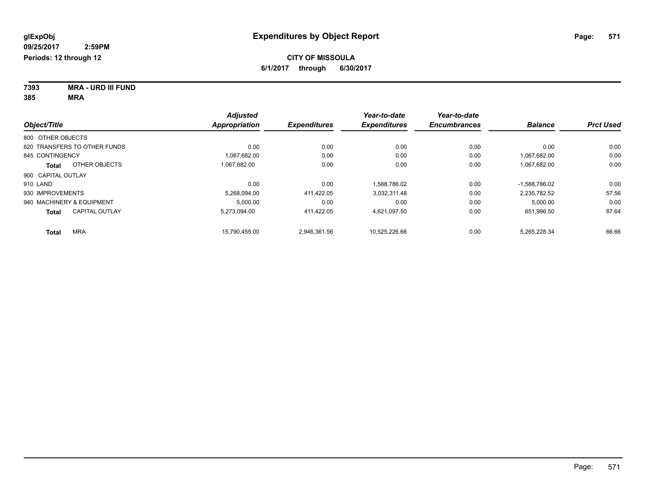**7393 MRA - URD III FUND 385 MRA**

|                                       | <b>Adjusted</b>      |                     | Year-to-date        | Year-to-date        | <b>Balance</b>  |                  |
|---------------------------------------|----------------------|---------------------|---------------------|---------------------|-----------------|------------------|
| Object/Title                          | <b>Appropriation</b> | <b>Expenditures</b> | <b>Expenditures</b> | <b>Encumbrances</b> |                 | <b>Prct Used</b> |
| 800 OTHER OBJECTS                     |                      |                     |                     |                     |                 |                  |
| 820 TRANSFERS TO OTHER FUNDS          | 0.00                 | 0.00                | 0.00                | 0.00                | 0.00            | 0.00             |
| 845 CONTINGENCY                       | 1.067.682.00         | 0.00                | 0.00                | 0.00                | 1.067.682.00    | 0.00             |
| OTHER OBJECTS<br>Total                | 1.067.682.00         | 0.00                | 0.00                | 0.00                | 1,067,682.00    | 0.00             |
| 900 CAPITAL OUTLAY                    |                      |                     |                     |                     |                 |                  |
| 910 LAND                              | 0.00                 | 0.00                | 1.588.786.02        | 0.00                | $-1.588.786.02$ | 0.00             |
| 930 IMPROVEMENTS                      | 5.268.094.00         | 411.422.05          | 3,032,311.48        | 0.00                | 2,235,782.52    | 57.56            |
| 940 MACHINERY & EQUIPMENT             | 5.000.00             | 0.00                | 0.00                | 0.00                | 5,000.00        | 0.00             |
| <b>CAPITAL OUTLAY</b><br><b>Total</b> | 5.273.094.00         | 411,422.05          | 4,621,097.50        | 0.00                | 651,996.50      | 87.64            |
| <b>MRA</b><br>Total                   | 15.790.455.00        | 2.946.361.56        | 10.525.226.66       | 0.00                | 5.265.228.34    | 66.66            |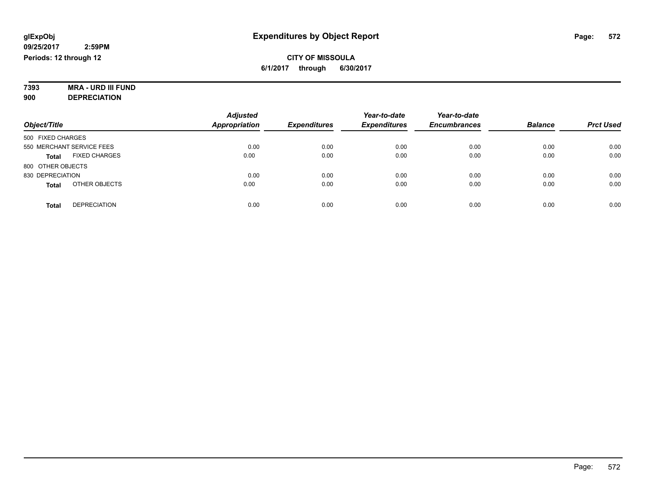#### **7393 MRA - URD III FUND 900 DEPRECIATION**

|                                      | <b>Adjusted</b>      |                     | Year-to-date        | Year-to-date        |                |                  |
|--------------------------------------|----------------------|---------------------|---------------------|---------------------|----------------|------------------|
| Object/Title                         | <b>Appropriation</b> | <b>Expenditures</b> | <b>Expenditures</b> | <b>Encumbrances</b> | <b>Balance</b> | <b>Prct Used</b> |
| 500 FIXED CHARGES                    |                      |                     |                     |                     |                |                  |
| 550 MERCHANT SERVICE FEES            | 0.00                 | 0.00                | 0.00                | 0.00                | 0.00           | 0.00             |
| <b>FIXED CHARGES</b><br><b>Total</b> | 0.00                 | 0.00                | 0.00                | 0.00                | 0.00           | 0.00             |
| 800 OTHER OBJECTS                    |                      |                     |                     |                     |                |                  |
| 830 DEPRECIATION                     | 0.00                 | 0.00                | 0.00                | 0.00                | 0.00           | 0.00             |
| OTHER OBJECTS<br><b>Total</b>        | 0.00                 | 0.00                | 0.00                | 0.00                | 0.00           | 0.00             |
| <b>DEPRECIATION</b><br><b>Total</b>  | 0.00                 | 0.00                | 0.00                | 0.00                | 0.00           | 0.00             |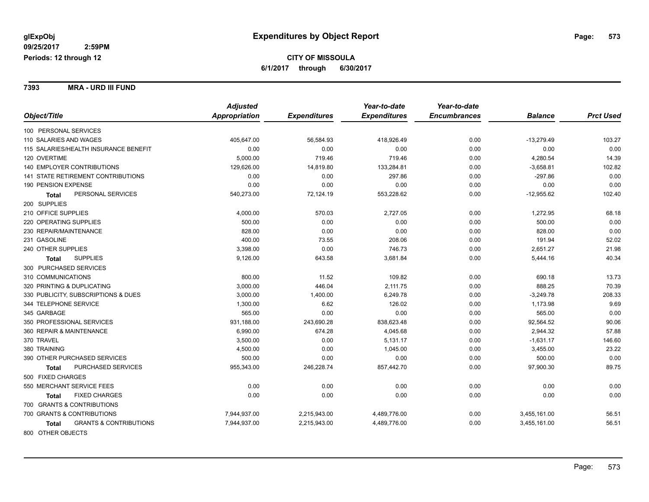**7393 MRA - URD III FUND**

|                                                   | <b>Adjusted</b> |                     | Year-to-date        | Year-to-date        |                |                  |
|---------------------------------------------------|-----------------|---------------------|---------------------|---------------------|----------------|------------------|
| Object/Title                                      | Appropriation   | <b>Expenditures</b> | <b>Expenditures</b> | <b>Encumbrances</b> | <b>Balance</b> | <b>Prct Used</b> |
| 100 PERSONAL SERVICES                             |                 |                     |                     |                     |                |                  |
| 110 SALARIES AND WAGES                            | 405,647.00      | 56,584.93           | 418,926.49          | 0.00                | $-13,279.49$   | 103.27           |
| 115 SALARIES/HEALTH INSURANCE BENEFIT             | 0.00            | 0.00                | 0.00                | 0.00                | 0.00           | 0.00             |
| 120 OVERTIME                                      | 5,000.00        | 719.46              | 719.46              | 0.00                | 4,280.54       | 14.39            |
| 140 EMPLOYER CONTRIBUTIONS                        | 129,626.00      | 14,819.80           | 133,284.81          | 0.00                | $-3,658.81$    | 102.82           |
| 141 STATE RETIREMENT CONTRIBUTIONS                | 0.00            | 0.00                | 297.86              | 0.00                | $-297.86$      | 0.00             |
| 190 PENSION EXPENSE                               | 0.00            | 0.00                | 0.00                | 0.00                | 0.00           | 0.00             |
| PERSONAL SERVICES<br><b>Total</b>                 | 540,273.00      | 72,124.19           | 553,228.62          | 0.00                | $-12,955.62$   | 102.40           |
| 200 SUPPLIES                                      |                 |                     |                     |                     |                |                  |
| 210 OFFICE SUPPLIES                               | 4,000.00        | 570.03              | 2,727.05            | 0.00                | 1,272.95       | 68.18            |
| 220 OPERATING SUPPLIES                            | 500.00          | 0.00                | 0.00                | 0.00                | 500.00         | 0.00             |
| 230 REPAIR/MAINTENANCE                            | 828.00          | 0.00                | 0.00                | 0.00                | 828.00         | 0.00             |
| 231 GASOLINE                                      | 400.00          | 73.55               | 208.06              | 0.00                | 191.94         | 52.02            |
| 240 OTHER SUPPLIES                                | 3,398.00        | 0.00                | 746.73              | 0.00                | 2,651.27       | 21.98            |
| <b>SUPPLIES</b><br><b>Total</b>                   | 9,126.00        | 643.58              | 3,681.84            | 0.00                | 5,444.16       | 40.34            |
| 300 PURCHASED SERVICES                            |                 |                     |                     |                     |                |                  |
| 310 COMMUNICATIONS                                | 800.00          | 11.52               | 109.82              | 0.00                | 690.18         | 13.73            |
| 320 PRINTING & DUPLICATING                        | 3,000.00        | 446.04              | 2,111.75            | 0.00                | 888.25         | 70.39            |
| 330 PUBLICITY, SUBSCRIPTIONS & DUES               | 3,000.00        | 1,400.00            | 6,249.78            | 0.00                | $-3,249.78$    | 208.33           |
| 344 TELEPHONE SERVICE                             | 1,300.00        | 6.62                | 126.02              | 0.00                | 1,173.98       | 9.69             |
| 345 GARBAGE                                       | 565.00          | 0.00                | 0.00                | 0.00                | 565.00         | 0.00             |
| 350 PROFESSIONAL SERVICES                         | 931,188.00      | 243,690.28          | 838,623.48          | 0.00                | 92,564.52      | 90.06            |
| 360 REPAIR & MAINTENANCE                          | 6,990.00        | 674.28              | 4,045.68            | 0.00                | 2,944.32       | 57.88            |
| 370 TRAVEL                                        | 3,500.00        | 0.00                | 5,131.17            | 0.00                | $-1,631.17$    | 146.60           |
| 380 TRAINING                                      | 4,500.00        | 0.00                | 1,045.00            | 0.00                | 3,455.00       | 23.22            |
| 390 OTHER PURCHASED SERVICES                      | 500.00          | 0.00                | 0.00                | 0.00                | 500.00         | 0.00             |
| PURCHASED SERVICES<br><b>Total</b>                | 955,343.00      | 246,228.74          | 857,442.70          | 0.00                | 97,900.30      | 89.75            |
| 500 FIXED CHARGES                                 |                 |                     |                     |                     |                |                  |
| 550 MERCHANT SERVICE FEES                         | 0.00            | 0.00                | 0.00                | 0.00                | 0.00           | 0.00             |
| <b>FIXED CHARGES</b><br>Total                     | 0.00            | 0.00                | 0.00                | 0.00                | 0.00           | 0.00             |
| 700 GRANTS & CONTRIBUTIONS                        |                 |                     |                     |                     |                |                  |
| 700 GRANTS & CONTRIBUTIONS                        | 7,944,937.00    | 2,215,943.00        | 4,489,776.00        | 0.00                | 3,455,161.00   | 56.51            |
| <b>GRANTS &amp; CONTRIBUTIONS</b><br><b>Total</b> | 7,944,937.00    | 2,215,943.00        | 4,489,776.00        | 0.00                | 3,455,161.00   | 56.51            |
| 800 OTHER OBJECTS                                 |                 |                     |                     |                     |                |                  |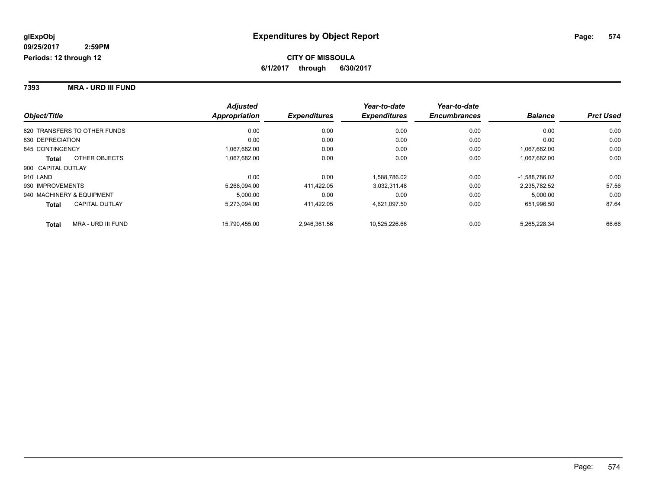**7393 MRA - URD III FUND**

|                              |                       | <b>Adjusted</b>      |                     | Year-to-date        | Year-to-date        |                 |                  |
|------------------------------|-----------------------|----------------------|---------------------|---------------------|---------------------|-----------------|------------------|
| Object/Title                 |                       | <b>Appropriation</b> | <b>Expenditures</b> | <b>Expenditures</b> | <b>Encumbrances</b> | <b>Balance</b>  | <b>Prct Used</b> |
| 820 TRANSFERS TO OTHER FUNDS |                       | 0.00                 | 0.00                | 0.00                | 0.00                | 0.00            | 0.00             |
| 830 DEPRECIATION             |                       | 0.00                 | 0.00                | 0.00                | 0.00                | 0.00            | 0.00             |
| 845 CONTINGENCY              |                       | 1,067,682.00         | 0.00                | 0.00                | 0.00                | 1.067.682.00    | 0.00             |
| <b>Total</b>                 | OTHER OBJECTS         | 1,067,682.00         | 0.00                | 0.00                | 0.00                | 1,067,682.00    | 0.00             |
| 900 CAPITAL OUTLAY           |                       |                      |                     |                     |                     |                 |                  |
| 910 LAND                     |                       | 0.00                 | 0.00                | 1.588.786.02        | 0.00                | $-1.588.786.02$ | 0.00             |
| 930 IMPROVEMENTS             |                       | 5,268,094.00         | 411.422.05          | 3,032,311.48        | 0.00                | 2.235.782.52    | 57.56            |
| 940 MACHINERY & EQUIPMENT    |                       | 5.000.00             | 0.00                | 0.00                | 0.00                | 5,000.00        | 0.00             |
| <b>Total</b>                 | <b>CAPITAL OUTLAY</b> | 5.273.094.00         | 411.422.05          | 4.621.097.50        | 0.00                | 651.996.50      | 87.64            |
| <b>Total</b>                 | MRA - URD III FUND    | 15.790.455.00        | 2.946.361.56        | 10.525.226.66       | 0.00                | 5.265.228.34    | 66.66            |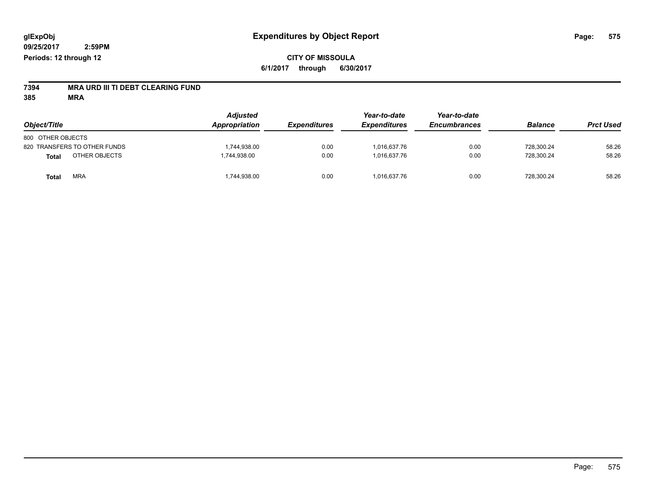# **7394 MRA URD III TI DEBT CLEARING FUND**

**385 MRA**

| Object/Title                  | <b>Adjusted</b><br>Appropriation | <b>Expenditures</b> | Year-to-date<br><b>Expenditures</b> | Year-to-date<br><b>Encumbrances</b> | <b>Balance</b> | <b>Prct Used</b> |
|-------------------------------|----------------------------------|---------------------|-------------------------------------|-------------------------------------|----------------|------------------|
| 800 OTHER OBJECTS             |                                  |                     |                                     |                                     |                |                  |
| 820 TRANSFERS TO OTHER FUNDS  | 1,744,938.00                     | 0.00                | 1.016.637.76                        | 0.00                                | 728,300.24     | 58.26            |
| OTHER OBJECTS<br><b>Total</b> | 1,744,938.00                     | 0.00                | 1.016.637.76                        | 0.00                                | 728,300.24     | 58.26            |
| <b>MRA</b><br><b>Total</b>    | 1,744,938.00                     | 0.00                | 1,016,637.76                        | 0.00                                | 728,300.24     | 58.26            |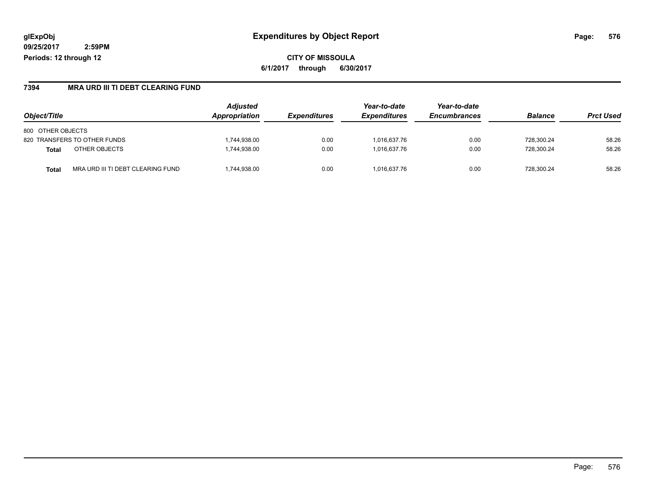**CITY OF MISSOULA 6/1/2017 through 6/30/2017**

#### **7394 MRA URD III TI DEBT CLEARING FUND**

|                                            | <b>Adjusted</b> |                            | Year-to-date               | Year-to-date        |                |                  |
|--------------------------------------------|-----------------|----------------------------|----------------------------|---------------------|----------------|------------------|
| Object/Title                               | Appropriation   | <i><b>Expenditures</b></i> | <i><b>Expenditures</b></i> | <b>Encumbrances</b> | <b>Balance</b> | <b>Prct Used</b> |
| 800 OTHER OBJECTS                          |                 |                            |                            |                     |                |                  |
| 820 TRANSFERS TO OTHER FUNDS               | .744.938.00     | 0.00                       | 1.016.637.76               | 0.00                | 728.300.24     | 58.26            |
| OTHER OBJECTS<br><b>Total</b>              | 1,744,938.00    | 0.00                       | 1.016.637.76               | 0.00                | 728.300.24     | 58.26            |
| MRA URD III TI DEBT CLEARING FUND<br>Total | ,744,938.00     | 0.00                       | 1.016.637.76               | 0.00                | 728.300.24     | 58.26            |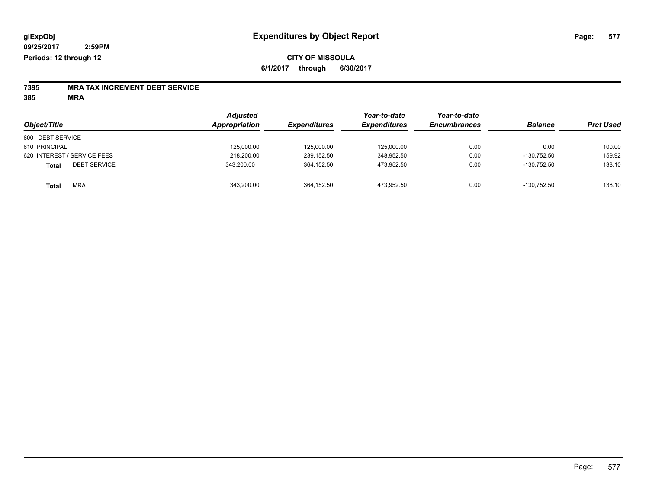### **CITY OF MISSOULA 6/1/2017 through 6/30/2017**

# **7395 MRA TAX INCREMENT DEBT SERVICE**

**385 MRA**

|                                     | <b>Adjusted</b> |                     | Year-to-date        | Year-to-date        |                |                  |
|-------------------------------------|-----------------|---------------------|---------------------|---------------------|----------------|------------------|
| Object/Title                        | Appropriation   | <b>Expenditures</b> | <b>Expenditures</b> | <b>Encumbrances</b> | <b>Balance</b> | <b>Prct Used</b> |
| 600 DEBT SERVICE                    |                 |                     |                     |                     |                |                  |
| 610 PRINCIPAL                       | 125,000.00      | 125,000.00          | 125.000.00          | 0.00                | 0.00           | 100.00           |
| 620 INTEREST / SERVICE FEES         | 218,200.00      | 239,152.50          | 348,952.50          | 0.00                | $-130.752.50$  | 159.92           |
| <b>DEBT SERVICE</b><br><b>Total</b> | 343.200.00      | 364,152.50          | 473.952.50          | 0.00                | $-130.752.50$  | 138.10           |
| <b>MRA</b><br><b>Total</b>          | 343,200.00      | 364,152.50          | 473.952.50          | 0.00                | $-130.752.50$  | 138.10           |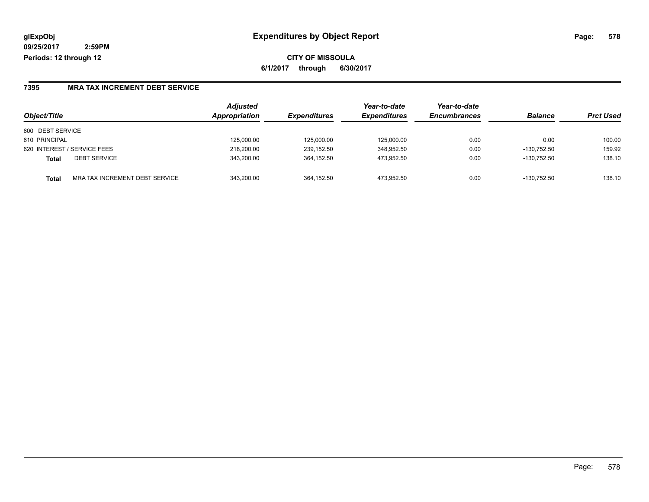**CITY OF MISSOULA 6/1/2017 through 6/30/2017**

#### **7395 MRA TAX INCREMENT DEBT SERVICE**

|                                                | Adjusted      |                            | Year-to-date        | Year-to-date        |                |                  |
|------------------------------------------------|---------------|----------------------------|---------------------|---------------------|----------------|------------------|
| Object/Title                                   | Appropriation | <i><b>Expenditures</b></i> | <b>Expenditures</b> | <b>Encumbrances</b> | <b>Balance</b> | <b>Prct Used</b> |
| 600 DEBT SERVICE                               |               |                            |                     |                     |                |                  |
| 610 PRINCIPAL                                  | 125,000.00    | 125,000.00                 | 125.000.00          | 0.00                | 0.00           | 100.00           |
| 620 INTEREST / SERVICE FEES                    | 218,200.00    | 239,152.50                 | 348,952.50          | 0.00                | $-130,752.50$  | 159.92           |
| <b>DEBT SERVICE</b><br><b>Total</b>            | 343.200.00    | 364.152.50                 | 473.952.50          | 0.00                | $-130.752.50$  | 138.10           |
| MRA TAX INCREMENT DEBT SERVICE<br><b>Total</b> | 343.200.00    | 364.152.50                 | 473.952.50          | 0.00                | $-130.752.50$  | 138.10           |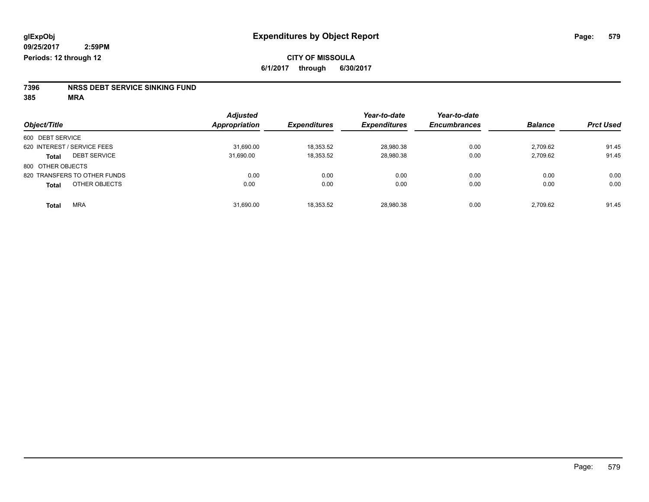# **7396 NRSS DEBT SERVICE SINKING FUND**

**385 MRA**

|                                     | <b>Adjusted</b>      |                     | Year-to-date        | Year-to-date        |                |                  |
|-------------------------------------|----------------------|---------------------|---------------------|---------------------|----------------|------------------|
| Object/Title                        | <b>Appropriation</b> | <b>Expenditures</b> | <b>Expenditures</b> | <b>Encumbrances</b> | <b>Balance</b> | <b>Prct Used</b> |
| 600 DEBT SERVICE                    |                      |                     |                     |                     |                |                  |
| 620 INTEREST / SERVICE FEES         | 31.690.00            | 18,353.52           | 28,980.38           | 0.00                | 2.709.62       | 91.45            |
| <b>DEBT SERVICE</b><br><b>Total</b> | 31,690.00            | 18,353.52           | 28,980.38           | 0.00                | 2.709.62       | 91.45            |
| 800 OTHER OBJECTS                   |                      |                     |                     |                     |                |                  |
| 820 TRANSFERS TO OTHER FUNDS        | 0.00                 | 0.00                | 0.00                | 0.00                | 0.00           | 0.00             |
| OTHER OBJECTS<br><b>Total</b>       | 0.00                 | 0.00                | 0.00                | 0.00                | 0.00           | 0.00             |
| <b>MRA</b><br><b>Total</b>          | 31,690.00            | 18,353.52           | 28,980.38           | 0.00                | 2.709.62       | 91.45            |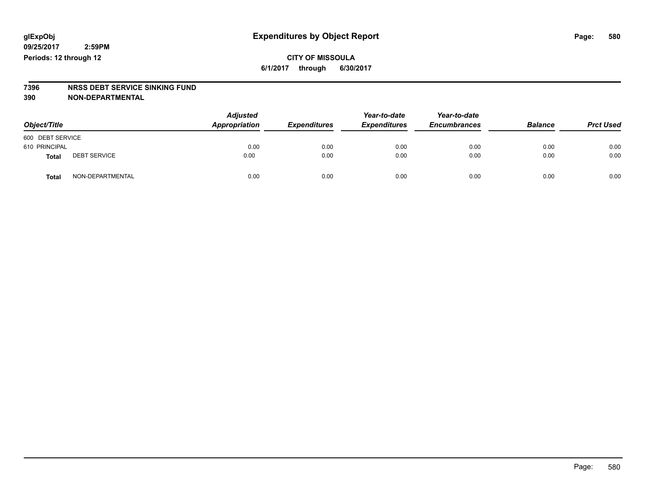### **CITY OF MISSOULA 6/1/2017 through 6/30/2017**

# **7396 NRSS DEBT SERVICE SINKING FUND**

**390 NON-DEPARTMENTAL**

| Object/Title     |                     | <b>Adjusted</b><br>Appropriation | <b>Expenditures</b> | Year-to-date<br><b>Expenditures</b> | Year-to-date<br><b>Encumbrances</b> | <b>Balance</b> | <b>Prct Used</b> |
|------------------|---------------------|----------------------------------|---------------------|-------------------------------------|-------------------------------------|----------------|------------------|
| 600 DEBT SERVICE |                     |                                  |                     |                                     |                                     |                |                  |
| 610 PRINCIPAL    |                     | 0.00                             | 0.00                | 0.00                                | 0.00                                | 0.00           | 0.00             |
| Total            | <b>DEBT SERVICE</b> | 0.00                             | 0.00                | 0.00                                | 0.00                                | 0.00           | 0.00             |
| Total            | NON-DEPARTMENTAL    | 0.00                             | 0.00                | 0.00                                | 0.00                                | 0.00           | 0.00             |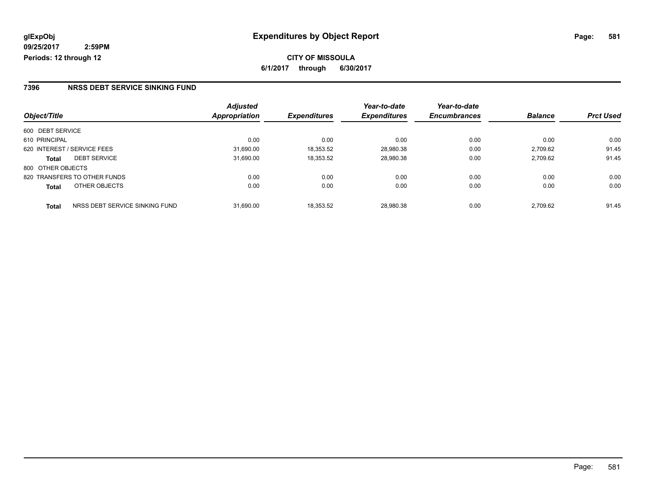#### **7396 NRSS DEBT SERVICE SINKING FUND**

|                                         | <b>Adjusted</b>      |                     | Year-to-date        | Year-to-date        |                |                  |
|-----------------------------------------|----------------------|---------------------|---------------------|---------------------|----------------|------------------|
| Object/Title                            | <b>Appropriation</b> | <b>Expenditures</b> | <b>Expenditures</b> | <b>Encumbrances</b> | <b>Balance</b> | <b>Prct Used</b> |
| 600 DEBT SERVICE                        |                      |                     |                     |                     |                |                  |
| 610 PRINCIPAL                           | 0.00                 | 0.00                | 0.00                | 0.00                | 0.00           | 0.00             |
| 620 INTEREST / SERVICE FEES             | 31.690.00            | 18,353.52           | 28,980.38           | 0.00                | 2,709.62       | 91.45            |
| <b>DEBT SERVICE</b><br><b>Total</b>     | 31,690.00            | 18,353.52           | 28,980.38           | 0.00                | 2,709.62       | 91.45            |
| 800 OTHER OBJECTS                       |                      |                     |                     |                     |                |                  |
| 820 TRANSFERS TO OTHER FUNDS            | 0.00                 | 0.00                | 0.00                | 0.00                | 0.00           | 0.00             |
| OTHER OBJECTS<br><b>Total</b>           | 0.00                 | 0.00                | 0.00                | 0.00                | 0.00           | 0.00             |
| NRSS DEBT SERVICE SINKING FUND<br>Total | 31.690.00            | 18.353.52           | 28.980.38           | 0.00                | 2.709.62       | 91.45            |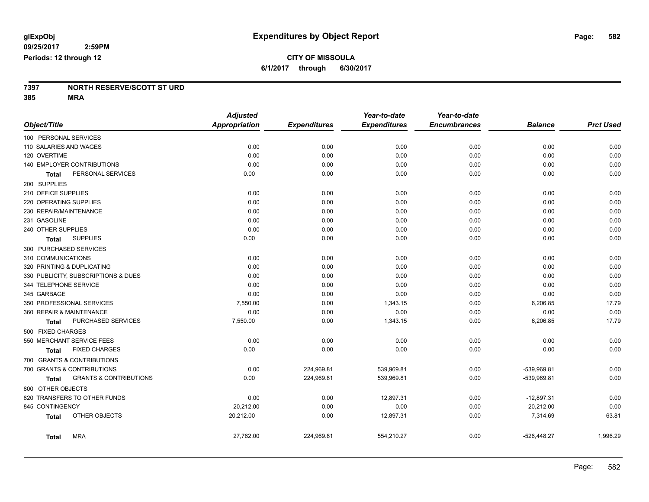#### **7397 NORTH RESERVE/SCOTT ST URD 385 MRA**

|                                                   | <b>Adjusted</b>      |                     | Year-to-date        | Year-to-date        |                |                  |
|---------------------------------------------------|----------------------|---------------------|---------------------|---------------------|----------------|------------------|
| Object/Title                                      | <b>Appropriation</b> | <b>Expenditures</b> | <b>Expenditures</b> | <b>Encumbrances</b> | <b>Balance</b> | <b>Prct Used</b> |
| 100 PERSONAL SERVICES                             |                      |                     |                     |                     |                |                  |
| 110 SALARIES AND WAGES                            | 0.00                 | 0.00                | 0.00                | 0.00                | 0.00           | 0.00             |
| 120 OVERTIME                                      | 0.00                 | 0.00                | 0.00                | 0.00                | 0.00           | 0.00             |
| 140 EMPLOYER CONTRIBUTIONS                        | 0.00                 | 0.00                | 0.00                | 0.00                | 0.00           | 0.00             |
| PERSONAL SERVICES<br>Total                        | 0.00                 | 0.00                | 0.00                | 0.00                | 0.00           | 0.00             |
| 200 SUPPLIES                                      |                      |                     |                     |                     |                |                  |
| 210 OFFICE SUPPLIES                               | 0.00                 | 0.00                | 0.00                | 0.00                | 0.00           | 0.00             |
| 220 OPERATING SUPPLIES                            | 0.00                 | 0.00                | 0.00                | 0.00                | 0.00           | 0.00             |
| 230 REPAIR/MAINTENANCE                            | 0.00                 | 0.00                | 0.00                | 0.00                | 0.00           | 0.00             |
| 231 GASOLINE                                      | 0.00                 | 0.00                | 0.00                | 0.00                | 0.00           | 0.00             |
| 240 OTHER SUPPLIES                                | 0.00                 | 0.00                | 0.00                | 0.00                | 0.00           | 0.00             |
| <b>SUPPLIES</b><br>Total                          | 0.00                 | 0.00                | 0.00                | 0.00                | 0.00           | 0.00             |
| 300 PURCHASED SERVICES                            |                      |                     |                     |                     |                |                  |
| 310 COMMUNICATIONS                                | 0.00                 | 0.00                | 0.00                | 0.00                | 0.00           | 0.00             |
| 320 PRINTING & DUPLICATING                        | 0.00                 | 0.00                | 0.00                | 0.00                | 0.00           | 0.00             |
| 330 PUBLICITY, SUBSCRIPTIONS & DUES               | 0.00                 | 0.00                | 0.00                | 0.00                | 0.00           | 0.00             |
| 344 TELEPHONE SERVICE                             | 0.00                 | 0.00                | 0.00                | 0.00                | 0.00           | 0.00             |
| 345 GARBAGE                                       | 0.00                 | 0.00                | 0.00                | 0.00                | 0.00           | 0.00             |
| 350 PROFESSIONAL SERVICES                         | 7,550.00             | 0.00                | 1,343.15            | 0.00                | 6,206.85       | 17.79            |
| 360 REPAIR & MAINTENANCE                          | 0.00                 | 0.00                | 0.00                | 0.00                | 0.00           | 0.00             |
| PURCHASED SERVICES<br><b>Total</b>                | 7,550.00             | 0.00                | 1,343.15            | 0.00                | 6,206.85       | 17.79            |
| 500 FIXED CHARGES                                 |                      |                     |                     |                     |                |                  |
| 550 MERCHANT SERVICE FEES                         | 0.00                 | 0.00                | 0.00                | 0.00                | 0.00           | 0.00             |
| <b>FIXED CHARGES</b><br>Total                     | 0.00                 | 0.00                | 0.00                | 0.00                | 0.00           | 0.00             |
| 700 GRANTS & CONTRIBUTIONS                        |                      |                     |                     |                     |                |                  |
| 700 GRANTS & CONTRIBUTIONS                        | 0.00                 | 224,969.81          | 539,969.81          | 0.00                | -539,969.81    | 0.00             |
| <b>GRANTS &amp; CONTRIBUTIONS</b><br><b>Total</b> | 0.00                 | 224,969.81          | 539,969.81          | 0.00                | -539,969.81    | 0.00             |
| 800 OTHER OBJECTS                                 |                      |                     |                     |                     |                |                  |
| 820 TRANSFERS TO OTHER FUNDS                      | 0.00                 | 0.00                | 12,897.31           | 0.00                | $-12,897.31$   | 0.00             |
| 845 CONTINGENCY                                   | 20,212.00            | 0.00                | 0.00                | 0.00                | 20,212.00      | 0.00             |
| OTHER OBJECTS<br><b>Total</b>                     | 20,212.00            | 0.00                | 12,897.31           | 0.00                | 7,314.69       | 63.81            |
| <b>MRA</b><br><b>Total</b>                        | 27,762.00            | 224,969.81          | 554,210.27          | 0.00                | $-526,448.27$  | 1,996.29         |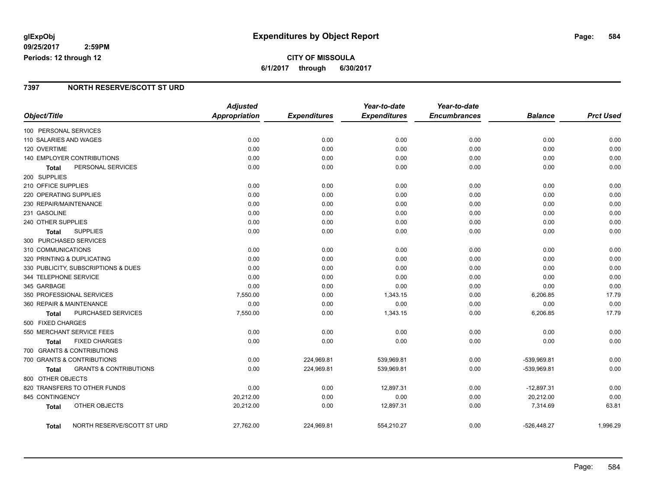### **glExpObj Expenditures by Object Report Page: 584**

#### **09/25/2017 2:59PM Periods: 12 through 12**

### **7397 NORTH RESERVE/SCOTT ST URD**

|                          |                                     | <b>Adjusted</b>      |                     | Year-to-date        | Year-to-date        |                |                  |
|--------------------------|-------------------------------------|----------------------|---------------------|---------------------|---------------------|----------------|------------------|
| Object/Title             |                                     | <b>Appropriation</b> | <b>Expenditures</b> | <b>Expenditures</b> | <b>Encumbrances</b> | <b>Balance</b> | <b>Prct Used</b> |
| 100 PERSONAL SERVICES    |                                     |                      |                     |                     |                     |                |                  |
| 110 SALARIES AND WAGES   |                                     | 0.00                 | 0.00                | 0.00                | 0.00                | 0.00           | 0.00             |
| 120 OVERTIME             |                                     | 0.00                 | 0.00                | 0.00                | 0.00                | 0.00           | 0.00             |
|                          | 140 EMPLOYER CONTRIBUTIONS          | 0.00                 | 0.00                | 0.00                | 0.00                | 0.00           | 0.00             |
| <b>Total</b>             | PERSONAL SERVICES                   | 0.00                 | 0.00                | 0.00                | 0.00                | 0.00           | 0.00             |
| 200 SUPPLIES             |                                     |                      |                     |                     |                     |                |                  |
| 210 OFFICE SUPPLIES      |                                     | 0.00                 | 0.00                | 0.00                | 0.00                | 0.00           | 0.00             |
| 220 OPERATING SUPPLIES   |                                     | 0.00                 | 0.00                | 0.00                | 0.00                | 0.00           | 0.00             |
| 230 REPAIR/MAINTENANCE   |                                     | 0.00                 | 0.00                | 0.00                | 0.00                | 0.00           | 0.00             |
| 231 GASOLINE             |                                     | 0.00                 | 0.00                | 0.00                | 0.00                | 0.00           | 0.00             |
| 240 OTHER SUPPLIES       |                                     | 0.00                 | 0.00                | 0.00                | 0.00                | 0.00           | 0.00             |
| Total                    | <b>SUPPLIES</b>                     | 0.00                 | 0.00                | 0.00                | 0.00                | 0.00           | 0.00             |
| 300 PURCHASED SERVICES   |                                     |                      |                     |                     |                     |                |                  |
| 310 COMMUNICATIONS       |                                     | 0.00                 | 0.00                | 0.00                | 0.00                | 0.00           | 0.00             |
|                          | 320 PRINTING & DUPLICATING          | 0.00                 | 0.00                | 0.00                | 0.00                | 0.00           | 0.00             |
|                          | 330 PUBLICITY, SUBSCRIPTIONS & DUES | 0.00                 | 0.00                | 0.00                | 0.00                | 0.00           | 0.00             |
| 344 TELEPHONE SERVICE    |                                     | 0.00                 | 0.00                | 0.00                | 0.00                | 0.00           | 0.00             |
| 345 GARBAGE              |                                     | 0.00                 | 0.00                | 0.00                | 0.00                | 0.00           | 0.00             |
|                          | 350 PROFESSIONAL SERVICES           | 7,550.00             | 0.00                | 1,343.15            | 0.00                | 6,206.85       | 17.79            |
| 360 REPAIR & MAINTENANCE |                                     | 0.00                 | 0.00                | 0.00                | 0.00                | 0.00           | 0.00             |
| Total                    | PURCHASED SERVICES                  | 7,550.00             | 0.00                | 1,343.15            | 0.00                | 6,206.85       | 17.79            |
| 500 FIXED CHARGES        |                                     |                      |                     |                     |                     |                |                  |
|                          | 550 MERCHANT SERVICE FEES           | 0.00                 | 0.00                | 0.00                | 0.00                | 0.00           | 0.00             |
| <b>Total</b>             | <b>FIXED CHARGES</b>                | 0.00                 | 0.00                | 0.00                | 0.00                | 0.00           | 0.00             |
|                          | 700 GRANTS & CONTRIBUTIONS          |                      |                     |                     |                     |                |                  |
|                          | 700 GRANTS & CONTRIBUTIONS          | 0.00                 | 224,969.81          | 539,969.81          | 0.00                | -539,969.81    | 0.00             |
| <b>Total</b>             | <b>GRANTS &amp; CONTRIBUTIONS</b>   | 0.00                 | 224,969.81          | 539,969.81          | 0.00                | -539,969.81    | 0.00             |
| 800 OTHER OBJECTS        |                                     |                      |                     |                     |                     |                |                  |
|                          | 820 TRANSFERS TO OTHER FUNDS        | 0.00                 | 0.00                | 12,897.31           | 0.00                | $-12,897.31$   | 0.00             |
| 845 CONTINGENCY          |                                     | 20,212.00            | 0.00                | 0.00                | 0.00                | 20,212.00      | 0.00             |
| <b>Total</b>             | <b>OTHER OBJECTS</b>                | 20,212.00            | 0.00                | 12,897.31           | 0.00                | 7,314.69       | 63.81            |
| Total                    | NORTH RESERVE/SCOTT ST URD          | 27,762.00            | 224,969.81          | 554,210.27          | 0.00                | -526,448.27    | 1,996.29         |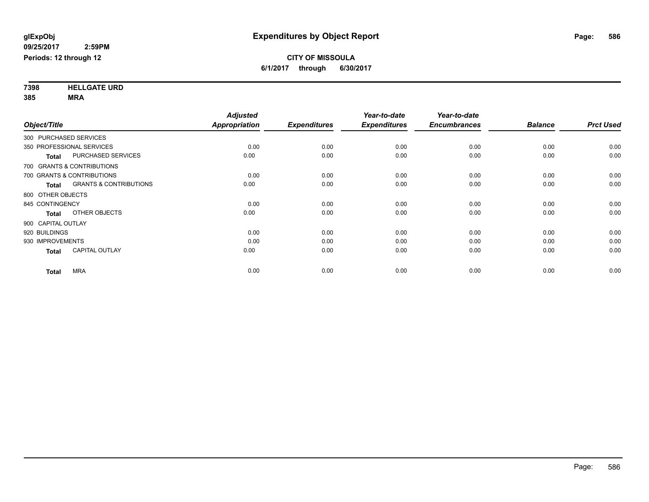**7398 HELLGATE URD 385 MRA**

|                                                   | <b>Adjusted</b>      |                     | Year-to-date        | Year-to-date        |                |                  |
|---------------------------------------------------|----------------------|---------------------|---------------------|---------------------|----------------|------------------|
| Object/Title                                      | <b>Appropriation</b> | <b>Expenditures</b> | <b>Expenditures</b> | <b>Encumbrances</b> | <b>Balance</b> | <b>Prct Used</b> |
| 300 PURCHASED SERVICES                            |                      |                     |                     |                     |                |                  |
| 350 PROFESSIONAL SERVICES                         | 0.00                 | 0.00                | 0.00                | 0.00                | 0.00           | 0.00             |
| <b>PURCHASED SERVICES</b><br><b>Total</b>         | 0.00                 | 0.00                | 0.00                | 0.00                | 0.00           | 0.00             |
| 700 GRANTS & CONTRIBUTIONS                        |                      |                     |                     |                     |                |                  |
| 700 GRANTS & CONTRIBUTIONS                        | 0.00                 | 0.00                | 0.00                | 0.00                | 0.00           | 0.00             |
| <b>GRANTS &amp; CONTRIBUTIONS</b><br><b>Total</b> | 0.00                 | 0.00                | 0.00                | 0.00                | 0.00           | 0.00             |
| 800 OTHER OBJECTS                                 |                      |                     |                     |                     |                |                  |
| 845 CONTINGENCY                                   | 0.00                 | 0.00                | 0.00                | 0.00                | 0.00           | 0.00             |
| OTHER OBJECTS<br><b>Total</b>                     | 0.00                 | 0.00                | 0.00                | 0.00                | 0.00           | 0.00             |
| 900 CAPITAL OUTLAY                                |                      |                     |                     |                     |                |                  |
| 920 BUILDINGS                                     | 0.00                 | 0.00                | 0.00                | 0.00                | 0.00           | 0.00             |
| 930 IMPROVEMENTS                                  | 0.00                 | 0.00                | 0.00                | 0.00                | 0.00           | 0.00             |
| <b>CAPITAL OUTLAY</b><br><b>Total</b>             | 0.00                 | 0.00                | 0.00                | 0.00                | 0.00           | 0.00             |
| <b>MRA</b><br><b>Total</b>                        | 0.00                 | 0.00                | 0.00                | 0.00                | 0.00           | 0.00             |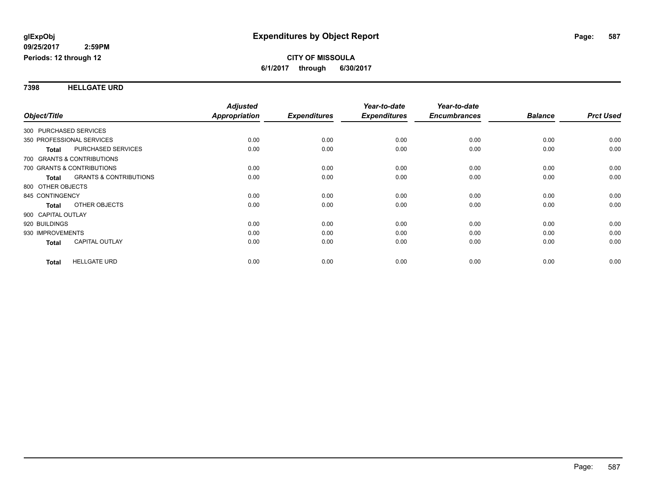#### **7398 HELLGATE URD**

|                        |                                   | <b>Adjusted</b>      |                     | Year-to-date        | Year-to-date        |                |                  |
|------------------------|-----------------------------------|----------------------|---------------------|---------------------|---------------------|----------------|------------------|
| Object/Title           |                                   | <b>Appropriation</b> | <b>Expenditures</b> | <b>Expenditures</b> | <b>Encumbrances</b> | <b>Balance</b> | <b>Prct Used</b> |
| 300 PURCHASED SERVICES |                                   |                      |                     |                     |                     |                |                  |
|                        | 350 PROFESSIONAL SERVICES         | 0.00                 | 0.00                | 0.00                | 0.00                | 0.00           | 0.00             |
| Total                  | PURCHASED SERVICES                | 0.00                 | 0.00                | 0.00                | 0.00                | 0.00           | 0.00             |
|                        | 700 GRANTS & CONTRIBUTIONS        |                      |                     |                     |                     |                |                  |
|                        | 700 GRANTS & CONTRIBUTIONS        | 0.00                 | 0.00                | 0.00                | 0.00                | 0.00           | 0.00             |
| <b>Total</b>           | <b>GRANTS &amp; CONTRIBUTIONS</b> | 0.00                 | 0.00                | 0.00                | 0.00                | 0.00           | 0.00             |
| 800 OTHER OBJECTS      |                                   |                      |                     |                     |                     |                |                  |
| 845 CONTINGENCY        |                                   | 0.00                 | 0.00                | 0.00                | 0.00                | 0.00           | 0.00             |
| <b>Total</b>           | OTHER OBJECTS                     | 0.00                 | 0.00                | 0.00                | 0.00                | 0.00           | 0.00             |
| 900 CAPITAL OUTLAY     |                                   |                      |                     |                     |                     |                |                  |
| 920 BUILDINGS          |                                   | 0.00                 | 0.00                | 0.00                | 0.00                | 0.00           | 0.00             |
| 930 IMPROVEMENTS       |                                   | 0.00                 | 0.00                | 0.00                | 0.00                | 0.00           | 0.00             |
| <b>Total</b>           | <b>CAPITAL OUTLAY</b>             | 0.00                 | 0.00                | 0.00                | 0.00                | 0.00           | 0.00             |
| <b>Total</b>           | <b>HELLGATE URD</b>               | 0.00                 | 0.00                | 0.00                | 0.00                | 0.00           | 0.00             |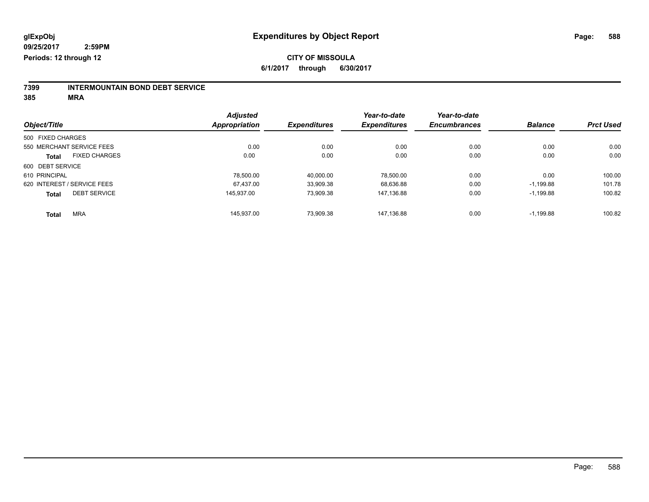# **7399 INTERMOUNTAIN BOND DEBT SERVICE**

**385 MRA**

|                   |                             | <b>Adjusted</b> |                     | Year-to-date        | Year-to-date        |                |                  |
|-------------------|-----------------------------|-----------------|---------------------|---------------------|---------------------|----------------|------------------|
| Object/Title      |                             | Appropriation   | <b>Expenditures</b> | <b>Expenditures</b> | <b>Encumbrances</b> | <b>Balance</b> | <b>Prct Used</b> |
| 500 FIXED CHARGES |                             |                 |                     |                     |                     |                |                  |
|                   | 550 MERCHANT SERVICE FEES   | 0.00            | 0.00                | 0.00                | 0.00                | 0.00           | 0.00             |
| <b>Total</b>      | <b>FIXED CHARGES</b>        | 0.00            | 0.00                | 0.00                | 0.00                | 0.00           | 0.00             |
| 600 DEBT SERVICE  |                             |                 |                     |                     |                     |                |                  |
| 610 PRINCIPAL     |                             | 78.500.00       | 40.000.00           | 78.500.00           | 0.00                | 0.00           | 100.00           |
|                   | 620 INTEREST / SERVICE FEES | 67.437.00       | 33,909.38           | 68,636.88           | 0.00                | $-1,199.88$    | 101.78           |
| <b>Total</b>      | <b>DEBT SERVICE</b>         | 145.937.00      | 73,909.38           | 147,136.88          | 0.00                | $-1,199.88$    | 100.82           |
| <b>Total</b>      | <b>MRA</b>                  | 145.937.00      | 73.909.38           | 147.136.88          | 0.00                | $-1,199.88$    | 100.82           |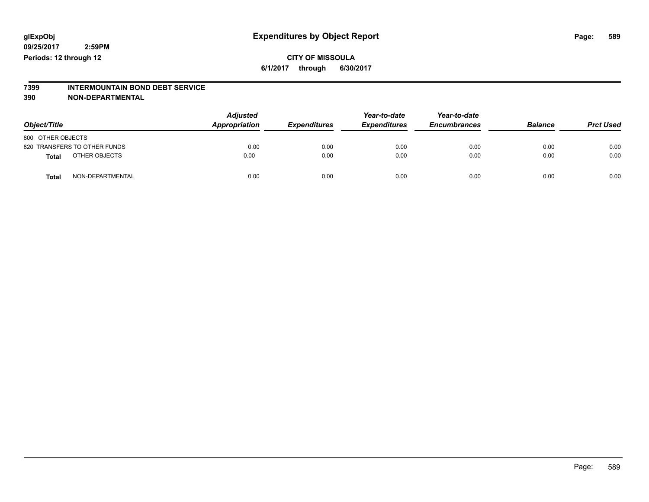#### **CITY OF MISSOULA 6/1/2017 through 6/30/2017**

# **7399 INTERMOUNTAIN BOND DEBT SERVICE**

#### **390 NON-DEPARTMENTAL**

| Object/Title      |                              | <b>Adjusted</b><br>Appropriation | <b>Expenditures</b> | Year-to-date<br><b>Expenditures</b> | Year-to-date<br><b>Encumbrances</b> | <b>Balance</b> | <b>Prct Used</b> |
|-------------------|------------------------------|----------------------------------|---------------------|-------------------------------------|-------------------------------------|----------------|------------------|
| 800 OTHER OBJECTS |                              |                                  |                     |                                     |                                     |                |                  |
|                   | 820 TRANSFERS TO OTHER FUNDS | 0.00                             | 0.00                | 0.00                                | 0.00                                | 0.00           | 0.00             |
| <b>Total</b>      | OTHER OBJECTS                | 0.00                             | 0.00                | 0.00                                | 0.00                                | 0.00           | 0.00             |
| <b>Total</b>      | NON-DEPARTMENTAL             | 0.00                             | 0.00                | 0.00                                | 0.00                                | 0.00           | 0.00             |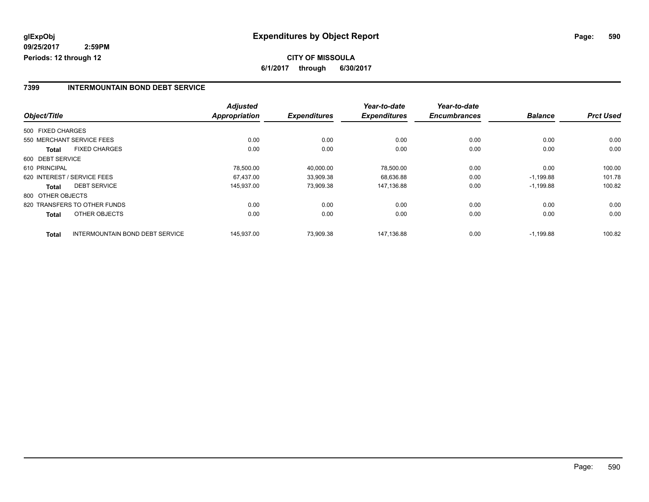## **CITY OF MISSOULA 6/1/2017 through 6/30/2017**

#### **7399 INTERMOUNTAIN BOND DEBT SERVICE**

|                   |                                        | <b>Adjusted</b>      |                     | Year-to-date        | Year-to-date        |                |                  |
|-------------------|----------------------------------------|----------------------|---------------------|---------------------|---------------------|----------------|------------------|
| Object/Title      |                                        | <b>Appropriation</b> | <b>Expenditures</b> | <b>Expenditures</b> | <b>Encumbrances</b> | <b>Balance</b> | <b>Prct Used</b> |
| 500 FIXED CHARGES |                                        |                      |                     |                     |                     |                |                  |
|                   | 550 MERCHANT SERVICE FEES              | 0.00                 | 0.00                | 0.00                | 0.00                | 0.00           | 0.00             |
| <b>Total</b>      | <b>FIXED CHARGES</b>                   | 0.00                 | 0.00                | 0.00                | 0.00                | 0.00           | 0.00             |
| 600 DEBT SERVICE  |                                        |                      |                     |                     |                     |                |                  |
| 610 PRINCIPAL     |                                        | 78.500.00            | 40.000.00           | 78,500.00           | 0.00                | 0.00           | 100.00           |
|                   | 620 INTEREST / SERVICE FEES            | 67.437.00            | 33,909.38           | 68,636.88           | 0.00                | $-1,199.88$    | 101.78           |
| Total             | <b>DEBT SERVICE</b>                    | 145.937.00           | 73,909.38           | 147.136.88          | 0.00                | $-1,199.88$    | 100.82           |
| 800 OTHER OBJECTS |                                        |                      |                     |                     |                     |                |                  |
|                   | 820 TRANSFERS TO OTHER FUNDS           | 0.00                 | 0.00                | 0.00                | 0.00                | 0.00           | 0.00             |
| <b>Total</b>      | OTHER OBJECTS                          | 0.00                 | 0.00                | 0.00                | 0.00                | 0.00           | 0.00             |
| <b>Total</b>      | <b>INTERMOUNTAIN BOND DEBT SERVICE</b> | 145.937.00           | 73.909.38           | 147.136.88          | 0.00                | $-1.199.88$    | 100.82           |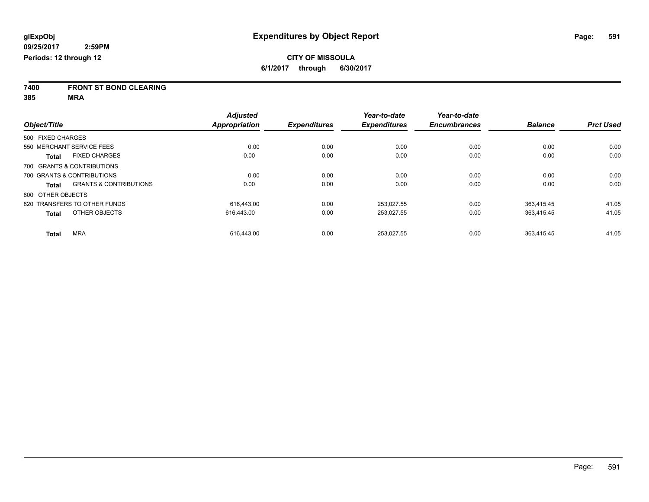**7400 FRONT ST BOND CLEARING**

**385 MRA**

|                                                   | <b>Adjusted</b>      |                     | Year-to-date        | Year-to-date        |                |                  |
|---------------------------------------------------|----------------------|---------------------|---------------------|---------------------|----------------|------------------|
| Object/Title                                      | <b>Appropriation</b> | <b>Expenditures</b> | <b>Expenditures</b> | <b>Encumbrances</b> | <b>Balance</b> | <b>Prct Used</b> |
| 500 FIXED CHARGES                                 |                      |                     |                     |                     |                |                  |
| 550 MERCHANT SERVICE FEES                         | 0.00                 | 0.00                | 0.00                | 0.00                | 0.00           | 0.00             |
| <b>FIXED CHARGES</b><br><b>Total</b>              | 0.00                 | 0.00                | 0.00                | 0.00                | 0.00           | 0.00             |
| 700 GRANTS & CONTRIBUTIONS                        |                      |                     |                     |                     |                |                  |
| 700 GRANTS & CONTRIBUTIONS                        | 0.00                 | 0.00                | 0.00                | 0.00                | 0.00           | 0.00             |
| <b>GRANTS &amp; CONTRIBUTIONS</b><br><b>Total</b> | 0.00                 | 0.00                | 0.00                | 0.00                | 0.00           | 0.00             |
| 800 OTHER OBJECTS                                 |                      |                     |                     |                     |                |                  |
| 820 TRANSFERS TO OTHER FUNDS                      | 616.443.00           | 0.00                | 253.027.55          | 0.00                | 363.415.45     | 41.05            |
| OTHER OBJECTS<br><b>Total</b>                     | 616.443.00           | 0.00                | 253,027.55          | 0.00                | 363,415.45     | 41.05            |
| <b>MRA</b><br><b>Total</b>                        | 616.443.00           | 0.00                | 253,027.55          | 0.00                | 363,415.45     | 41.05            |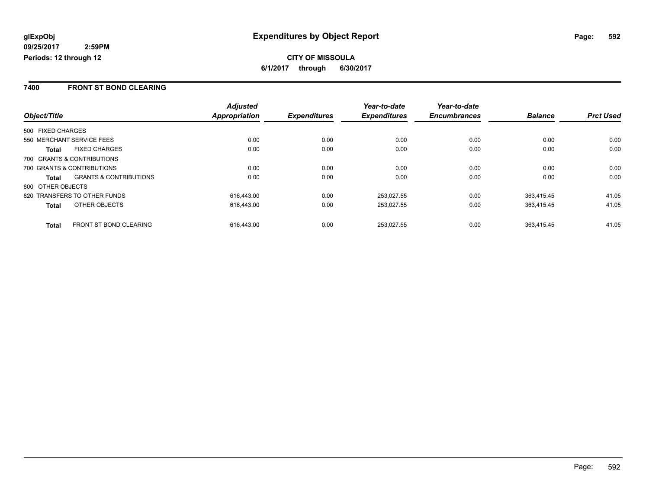#### **7400 FRONT ST BOND CLEARING**

|                                                   | <b>Adjusted</b>      |                     | Year-to-date        | Year-to-date        |                |                  |
|---------------------------------------------------|----------------------|---------------------|---------------------|---------------------|----------------|------------------|
| Object/Title                                      | <b>Appropriation</b> | <b>Expenditures</b> | <b>Expenditures</b> | <b>Encumbrances</b> | <b>Balance</b> | <b>Prct Used</b> |
| 500 FIXED CHARGES                                 |                      |                     |                     |                     |                |                  |
| 550 MERCHANT SERVICE FEES                         | 0.00                 | 0.00                | 0.00                | 0.00                | 0.00           | 0.00             |
| <b>FIXED CHARGES</b><br>Total                     | 0.00                 | 0.00                | 0.00                | 0.00                | 0.00           | 0.00             |
| 700 GRANTS & CONTRIBUTIONS                        |                      |                     |                     |                     |                |                  |
| 700 GRANTS & CONTRIBUTIONS                        | 0.00                 | 0.00                | 0.00                | 0.00                | 0.00           | 0.00             |
| <b>GRANTS &amp; CONTRIBUTIONS</b><br><b>Total</b> | 0.00                 | 0.00                | 0.00                | 0.00                | 0.00           | 0.00             |
| 800 OTHER OBJECTS                                 |                      |                     |                     |                     |                |                  |
| 820 TRANSFERS TO OTHER FUNDS                      | 616.443.00           | 0.00                | 253,027.55          | 0.00                | 363.415.45     | 41.05            |
| OTHER OBJECTS<br><b>Total</b>                     | 616.443.00           | 0.00                | 253,027.55          | 0.00                | 363,415.45     | 41.05            |
| <b>FRONT ST BOND CLEARING</b><br><b>Total</b>     | 616.443.00           | 0.00                | 253.027.55          | 0.00                | 363.415.45     | 41.05            |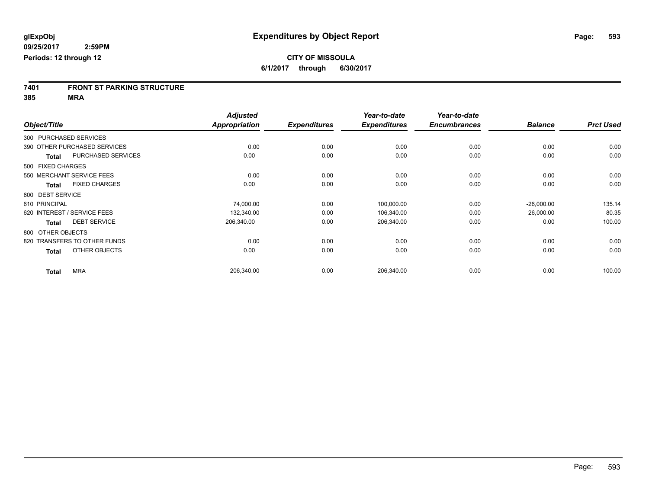# **7401 FRONT ST PARKING STRUCTURE**

**385 MRA**

|                   |                              | <b>Adjusted</b>      |                     | Year-to-date        | Year-to-date        |                |                  |
|-------------------|------------------------------|----------------------|---------------------|---------------------|---------------------|----------------|------------------|
| Object/Title      |                              | <b>Appropriation</b> | <b>Expenditures</b> | <b>Expenditures</b> | <b>Encumbrances</b> | <b>Balance</b> | <b>Prct Used</b> |
|                   | 300 PURCHASED SERVICES       |                      |                     |                     |                     |                |                  |
|                   | 390 OTHER PURCHASED SERVICES | 0.00                 | 0.00                | 0.00                | 0.00                | 0.00           | 0.00             |
| <b>Total</b>      | <b>PURCHASED SERVICES</b>    | 0.00                 | 0.00                | 0.00                | 0.00                | 0.00           | 0.00             |
| 500 FIXED CHARGES |                              |                      |                     |                     |                     |                |                  |
|                   | 550 MERCHANT SERVICE FEES    | 0.00                 | 0.00                | 0.00                | 0.00                | 0.00           | 0.00             |
| <b>Total</b>      | <b>FIXED CHARGES</b>         | 0.00                 | 0.00                | 0.00                | 0.00                | 0.00           | 0.00             |
| 600 DEBT SERVICE  |                              |                      |                     |                     |                     |                |                  |
| 610 PRINCIPAL     |                              | 74,000.00            | 0.00                | 100,000.00          | 0.00                | $-26,000.00$   | 135.14           |
|                   | 620 INTEREST / SERVICE FEES  | 132,340.00           | 0.00                | 106,340.00          | 0.00                | 26,000.00      | 80.35            |
| <b>Total</b>      | <b>DEBT SERVICE</b>          | 206,340.00           | 0.00                | 206,340.00          | 0.00                | 0.00           | 100.00           |
| 800 OTHER OBJECTS |                              |                      |                     |                     |                     |                |                  |
|                   | 820 TRANSFERS TO OTHER FUNDS | 0.00                 | 0.00                | 0.00                | 0.00                | 0.00           | 0.00             |
| <b>Total</b>      | OTHER OBJECTS                | 0.00                 | 0.00                | 0.00                | 0.00                | 0.00           | 0.00             |
| <b>Total</b>      | <b>MRA</b>                   | 206,340.00           | 0.00                | 206,340.00          | 0.00                | 0.00           | 100.00           |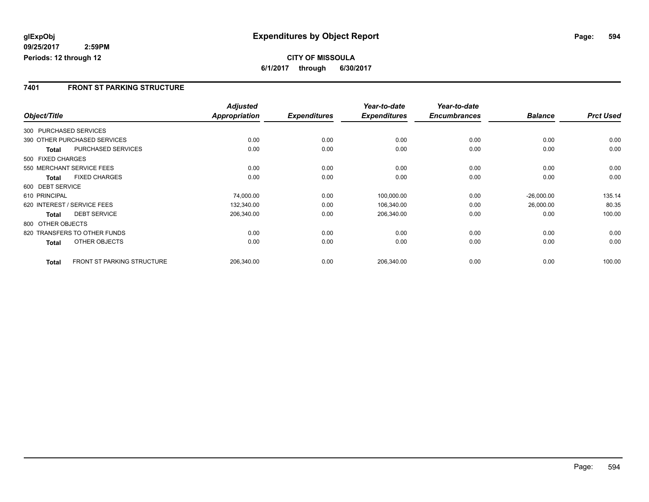**CITY OF MISSOULA 6/1/2017 through 6/30/2017**

#### **7401 FRONT ST PARKING STRUCTURE**

|                        |                                   | <b>Adjusted</b>      |                     | Year-to-date        | Year-to-date        |                |                  |
|------------------------|-----------------------------------|----------------------|---------------------|---------------------|---------------------|----------------|------------------|
| Object/Title           |                                   | <b>Appropriation</b> | <b>Expenditures</b> | <b>Expenditures</b> | <b>Encumbrances</b> | <b>Balance</b> | <b>Prct Used</b> |
| 300 PURCHASED SERVICES |                                   |                      |                     |                     |                     |                |                  |
|                        | 390 OTHER PURCHASED SERVICES      | 0.00                 | 0.00                | 0.00                | 0.00                | 0.00           | 0.00             |
| Total                  | <b>PURCHASED SERVICES</b>         | 0.00                 | 0.00                | 0.00                | 0.00                | 0.00           | 0.00             |
| 500 FIXED CHARGES      |                                   |                      |                     |                     |                     |                |                  |
|                        | 550 MERCHANT SERVICE FEES         | 0.00                 | 0.00                | 0.00                | 0.00                | 0.00           | 0.00             |
| <b>Total</b>           | <b>FIXED CHARGES</b>              | 0.00                 | 0.00                | 0.00                | 0.00                | 0.00           | 0.00             |
| 600 DEBT SERVICE       |                                   |                      |                     |                     |                     |                |                  |
| 610 PRINCIPAL          |                                   | 74,000.00            | 0.00                | 100,000.00          | 0.00                | $-26,000.00$   | 135.14           |
|                        | 620 INTEREST / SERVICE FEES       | 132,340.00           | 0.00                | 106,340.00          | 0.00                | 26,000.00      | 80.35            |
| <b>Total</b>           | <b>DEBT SERVICE</b>               | 206,340.00           | 0.00                | 206,340.00          | 0.00                | 0.00           | 100.00           |
| 800 OTHER OBJECTS      |                                   |                      |                     |                     |                     |                |                  |
|                        | 820 TRANSFERS TO OTHER FUNDS      | 0.00                 | 0.00                | 0.00                | 0.00                | 0.00           | 0.00             |
| <b>Total</b>           | OTHER OBJECTS                     | 0.00                 | 0.00                | 0.00                | 0.00                | 0.00           | 0.00             |
| <b>Total</b>           | <b>FRONT ST PARKING STRUCTURE</b> | 206,340.00           | 0.00                | 206,340.00          | 0.00                | 0.00           | 100.00           |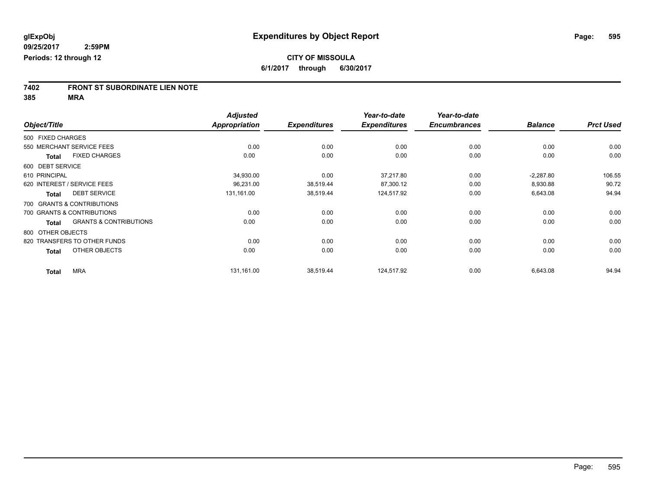# **7402 FRONT ST SUBORDINATE LIEN NOTE**

**385 MRA**

|                   |                                   | <b>Adjusted</b>      |                     | Year-to-date        | Year-to-date        |                |                  |
|-------------------|-----------------------------------|----------------------|---------------------|---------------------|---------------------|----------------|------------------|
| Object/Title      |                                   | <b>Appropriation</b> | <b>Expenditures</b> | <b>Expenditures</b> | <b>Encumbrances</b> | <b>Balance</b> | <b>Prct Used</b> |
| 500 FIXED CHARGES |                                   |                      |                     |                     |                     |                |                  |
|                   | 550 MERCHANT SERVICE FEES         | 0.00                 | 0.00                | 0.00                | 0.00                | 0.00           | 0.00             |
| Total             | <b>FIXED CHARGES</b>              | 0.00                 | 0.00                | 0.00                | 0.00                | 0.00           | 0.00             |
| 600 DEBT SERVICE  |                                   |                      |                     |                     |                     |                |                  |
| 610 PRINCIPAL     |                                   | 34,930.00            | 0.00                | 37,217.80           | 0.00                | $-2,287.80$    | 106.55           |
|                   | 620 INTEREST / SERVICE FEES       | 96,231.00            | 38,519.44           | 87,300.12           | 0.00                | 8,930.88       | 90.72            |
| <b>Total</b>      | <b>DEBT SERVICE</b>               | 131,161.00           | 38,519.44           | 124,517.92          | 0.00                | 6,643.08       | 94.94            |
|                   | 700 GRANTS & CONTRIBUTIONS        |                      |                     |                     |                     |                |                  |
|                   | 700 GRANTS & CONTRIBUTIONS        | 0.00                 | 0.00                | 0.00                | 0.00                | 0.00           | 0.00             |
| <b>Total</b>      | <b>GRANTS &amp; CONTRIBUTIONS</b> | 0.00                 | 0.00                | 0.00                | 0.00                | 0.00           | 0.00             |
| 800 OTHER OBJECTS |                                   |                      |                     |                     |                     |                |                  |
|                   | 820 TRANSFERS TO OTHER FUNDS      | 0.00                 | 0.00                | 0.00                | 0.00                | 0.00           | 0.00             |
| <b>Total</b>      | OTHER OBJECTS                     | 0.00                 | 0.00                | 0.00                | 0.00                | 0.00           | 0.00             |
| <b>Total</b>      | <b>MRA</b>                        | 131,161.00           | 38,519.44           | 124,517.92          | 0.00                | 6,643.08       | 94.94            |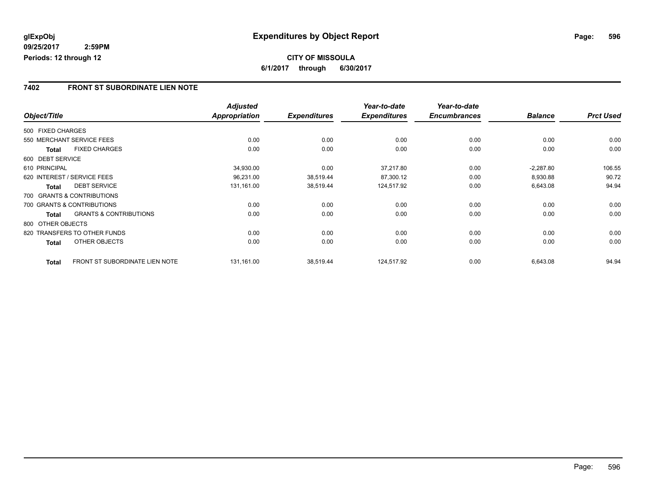## **CITY OF MISSOULA 6/1/2017 through 6/30/2017**

#### **7402 FRONT ST SUBORDINATE LIEN NOTE**

|                   |                                       | <b>Adjusted</b> |                     | Year-to-date        | Year-to-date        |                |                  |
|-------------------|---------------------------------------|-----------------|---------------------|---------------------|---------------------|----------------|------------------|
| Object/Title      |                                       | Appropriation   | <b>Expenditures</b> | <b>Expenditures</b> | <b>Encumbrances</b> | <b>Balance</b> | <b>Prct Used</b> |
| 500 FIXED CHARGES |                                       |                 |                     |                     |                     |                |                  |
|                   | 550 MERCHANT SERVICE FEES             | 0.00            | 0.00                | 0.00                | 0.00                | 0.00           | 0.00             |
| <b>Total</b>      | <b>FIXED CHARGES</b>                  | 0.00            | 0.00                | 0.00                | 0.00                | 0.00           | 0.00             |
| 600 DEBT SERVICE  |                                       |                 |                     |                     |                     |                |                  |
| 610 PRINCIPAL     |                                       | 34,930.00       | 0.00                | 37.217.80           | 0.00                | $-2,287.80$    | 106.55           |
|                   | 620 INTEREST / SERVICE FEES           | 96,231.00       | 38,519.44           | 87,300.12           | 0.00                | 8,930.88       | 90.72            |
| <b>Total</b>      | <b>DEBT SERVICE</b>                   | 131,161.00      | 38,519.44           | 124,517.92          | 0.00                | 6,643.08       | 94.94            |
|                   | 700 GRANTS & CONTRIBUTIONS            |                 |                     |                     |                     |                |                  |
|                   | 700 GRANTS & CONTRIBUTIONS            | 0.00            | 0.00                | 0.00                | 0.00                | 0.00           | 0.00             |
| Total             | <b>GRANTS &amp; CONTRIBUTIONS</b>     | 0.00            | 0.00                | 0.00                | 0.00                | 0.00           | 0.00             |
| 800 OTHER OBJECTS |                                       |                 |                     |                     |                     |                |                  |
|                   | 820 TRANSFERS TO OTHER FUNDS          | 0.00            | 0.00                | 0.00                | 0.00                | 0.00           | 0.00             |
| Total             | OTHER OBJECTS                         | 0.00            | 0.00                | 0.00                | 0.00                | 0.00           | 0.00             |
| <b>Total</b>      | <b>FRONT ST SUBORDINATE LIEN NOTE</b> | 131,161.00      | 38,519.44           | 124,517.92          | 0.00                | 6,643.08       | 94.94            |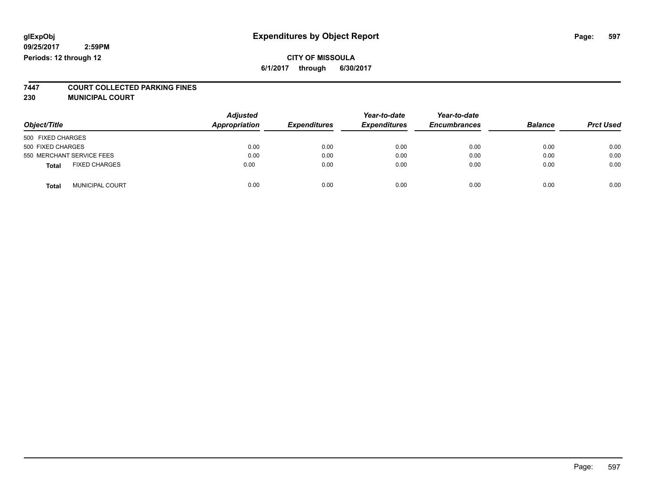#### **CITY OF MISSOULA 6/1/2017 through 6/30/2017**

# **7447 COURT COLLECTED PARKING FINES**

**230 MUNICIPAL COURT**

| Object/Title                           | <b>Adjusted</b><br>Appropriation | <b>Expenditures</b> | Year-to-date<br><b>Expenditures</b> | Year-to-date<br><b>Encumbrances</b> | <b>Balance</b> | <b>Prct Used</b> |
|----------------------------------------|----------------------------------|---------------------|-------------------------------------|-------------------------------------|----------------|------------------|
| 500 FIXED CHARGES                      |                                  |                     |                                     |                                     |                |                  |
| 500 FIXED CHARGES                      | 0.00                             | 0.00                | 0.00                                | 0.00                                | 0.00           | 0.00             |
| 550 MERCHANT SERVICE FEES              | 0.00                             | 0.00                | 0.00                                | 0.00                                | 0.00           | 0.00             |
| <b>FIXED CHARGES</b><br><b>Total</b>   | 0.00                             | 0.00                | 0.00                                | 0.00                                | 0.00           | 0.00             |
| <b>MUNICIPAL COURT</b><br><b>Total</b> | 0.00                             | 0.00                | 0.00                                | 0.00                                | 0.00           | 0.00             |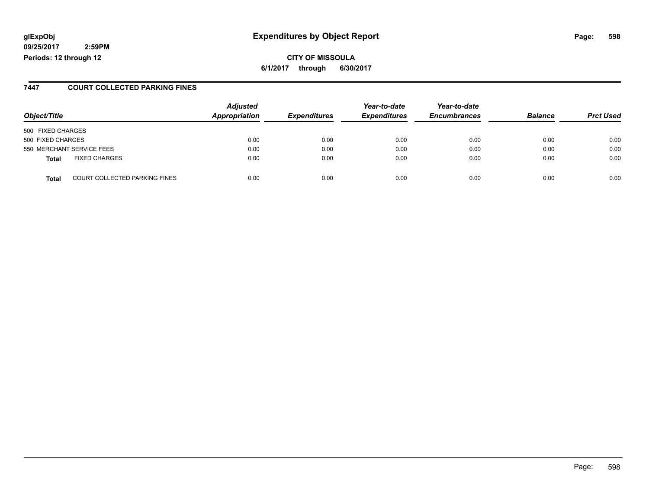## **glExpObj Expenditures by Object Report Page: 598**

**09/25/2017 2:59PM Periods: 12 through 12**

**6/1/2017 through 6/30/2017**

#### **7447 COURT COLLECTED PARKING FINES**

| Object/Title                                  | <b>Adjusted</b><br><b>Appropriation</b> | <b>Expenditures</b> | Year-to-date<br><b>Expenditures</b> | Year-to-date<br><b>Encumbrances</b> | <b>Balance</b> | <b>Prct Used</b> |
|-----------------------------------------------|-----------------------------------------|---------------------|-------------------------------------|-------------------------------------|----------------|------------------|
| 500 FIXED CHARGES                             |                                         |                     |                                     |                                     |                |                  |
| 500 FIXED CHARGES                             | 0.00                                    | 0.00                | 0.00                                | 0.00                                | 0.00           | 0.00             |
| 550 MERCHANT SERVICE FEES                     | 0.00                                    | 0.00                | 0.00                                | 0.00                                | 0.00           | 0.00             |
| <b>FIXED CHARGES</b><br>Total                 | 0.00                                    | 0.00                | 0.00                                | 0.00                                | 0.00           | 0.00             |
| <b>COURT COLLECTED PARKING FINES</b><br>Total | 0.00                                    | 0.00                | 0.00                                | 0.00                                | 0.00           | 0.00             |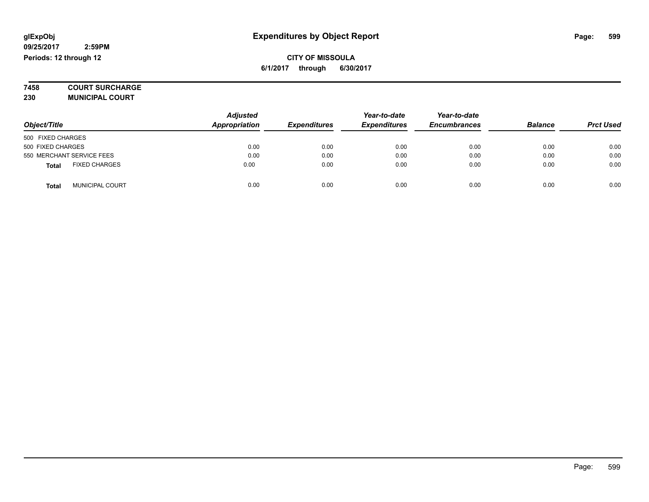**7458 COURT SURCHARGE**

**230 MUNICIPAL COURT**

|                                        | <b>Adjusted</b> |                     | Year-to-date        | Year-to-date        | <b>Balance</b> |                  |
|----------------------------------------|-----------------|---------------------|---------------------|---------------------|----------------|------------------|
| Object/Title                           | Appropriation   | <b>Expenditures</b> | <b>Expenditures</b> | <b>Encumbrances</b> |                | <b>Prct Used</b> |
| 500 FIXED CHARGES                      |                 |                     |                     |                     |                |                  |
| 500 FIXED CHARGES                      | 0.00            | 0.00                | 0.00                | 0.00                | 0.00           | 0.00             |
| 550 MERCHANT SERVICE FEES              | 0.00            | 0.00                | 0.00                | 0.00                | 0.00           | 0.00             |
| <b>FIXED CHARGES</b><br><b>Total</b>   | 0.00            | 0.00                | 0.00                | 0.00                | 0.00           | 0.00             |
| <b>MUNICIPAL COURT</b><br><b>Total</b> | 0.00            | 0.00                | 0.00                | 0.00                | 0.00           | 0.00             |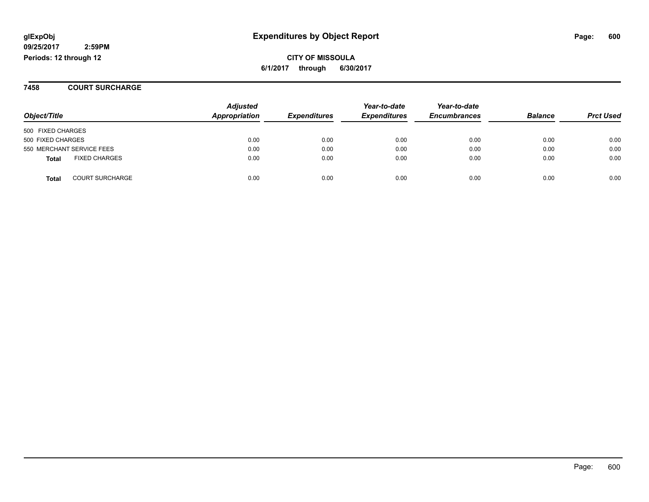## **glExpObj Expenditures by Object Report Page: 600**

**09/25/2017 2:59PM Periods: 12 through 12**

**7458 COURT SURCHARGE**

| Object/Title                           | <b>Adjusted</b><br>Appropriation | <b>Expenditures</b> | Year-to-date<br><b>Expenditures</b> | Year-to-date<br><b>Encumbrances</b> | <b>Balance</b> | <b>Prct Used</b> |
|----------------------------------------|----------------------------------|---------------------|-------------------------------------|-------------------------------------|----------------|------------------|
| 500 FIXED CHARGES                      |                                  |                     |                                     |                                     |                |                  |
| 500 FIXED CHARGES                      | 0.00                             | 0.00                | 0.00                                | 0.00                                | 0.00           | 0.00             |
| 550 MERCHANT SERVICE FEES              | 0.00                             | 0.00                | 0.00                                | 0.00                                | 0.00           | 0.00             |
| <b>FIXED CHARGES</b><br><b>Total</b>   | 0.00                             | 0.00                | 0.00                                | 0.00                                | 0.00           | 0.00             |
| <b>COURT SURCHARGE</b><br><b>Total</b> | 0.00                             | 0.00                | 0.00                                | 0.00                                | 0.00           | 0.00             |

Page: 600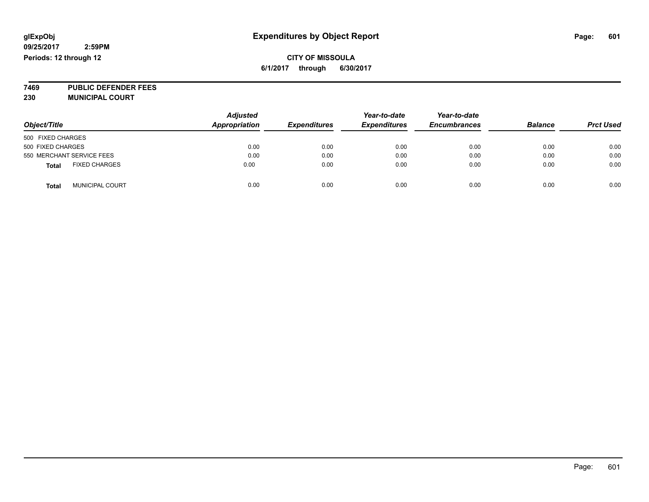### **CITY OF MISSOULA 6/1/2017 through 6/30/2017**

**7469 PUBLIC DEFENDER FEES 230 MUNICIPAL COURT**

| Object/Title                           | <b>Adjusted</b><br><b>Appropriation</b> | <b>Expenditures</b> | Year-to-date<br><b>Expenditures</b> | Year-to-date<br><b>Encumbrances</b> | <b>Balance</b> | <b>Prct Used</b> |
|----------------------------------------|-----------------------------------------|---------------------|-------------------------------------|-------------------------------------|----------------|------------------|
| 500 FIXED CHARGES                      |                                         |                     |                                     |                                     |                |                  |
| 500 FIXED CHARGES                      | 0.00                                    | 0.00                | 0.00                                | 0.00                                | 0.00           | 0.00             |
| 550 MERCHANT SERVICE FEES              | 0.00                                    | 0.00                | 0.00                                | 0.00                                | 0.00           | 0.00             |
| <b>FIXED CHARGES</b><br><b>Total</b>   | 0.00                                    | 0.00                | 0.00                                | 0.00                                | 0.00           | 0.00             |
| <b>MUNICIPAL COURT</b><br><b>Total</b> | 0.00                                    | 0.00                | 0.00                                | 0.00                                | 0.00           | 0.00             |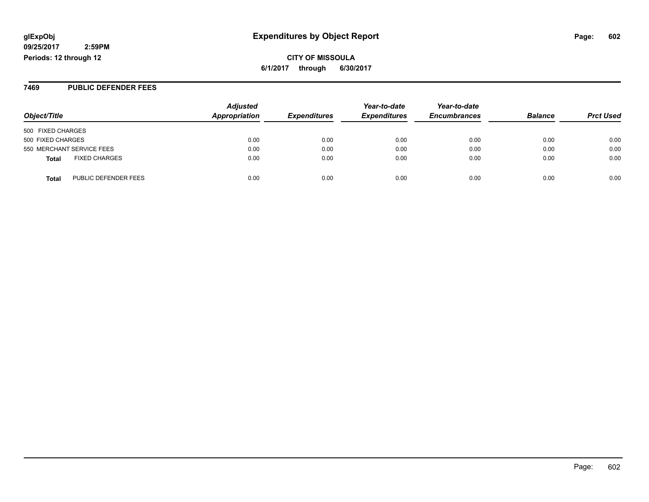**CITY OF MISSOULA 6/1/2017 through 6/30/2017**

#### **7469 PUBLIC DEFENDER FEES**

| Object/Title                         | <b>Adjusted</b><br>Appropriation | <b>Expenditures</b> | Year-to-date<br><b>Expenditures</b> | Year-to-date<br><b>Encumbrances</b> | <b>Balance</b> | <b>Prct Used</b> |
|--------------------------------------|----------------------------------|---------------------|-------------------------------------|-------------------------------------|----------------|------------------|
| 500 FIXED CHARGES                    |                                  |                     |                                     |                                     |                |                  |
| 500 FIXED CHARGES                    | 0.00                             | 0.00                | 0.00                                | 0.00                                | 0.00           | 0.00             |
| 550 MERCHANT SERVICE FEES            | 0.00                             | 0.00                | 0.00                                | 0.00                                | 0.00           | 0.00             |
| <b>FIXED CHARGES</b><br><b>Total</b> | 0.00                             | 0.00                | 0.00                                | 0.00                                | 0.00           | 0.00             |
| PUBLIC DEFENDER FEES<br><b>Total</b> | 0.00                             | 0.00                | 0.00                                | 0.00                                | 0.00           | 0.00             |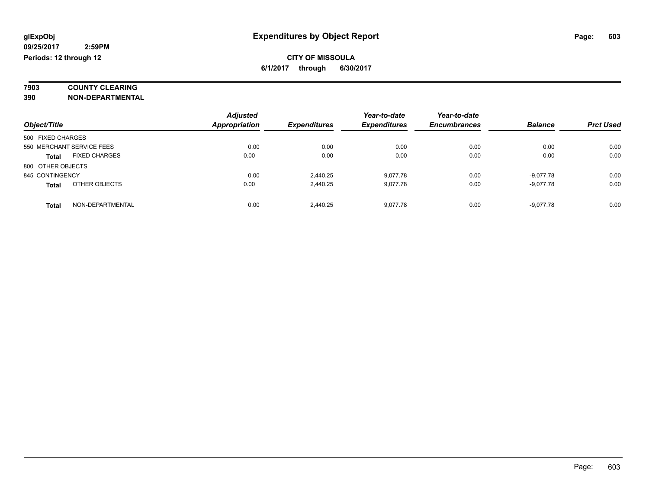# **7903 COUNTY CLEARING**

**390 NON-DEPARTMENTAL**

|                                      | <b>Adjusted</b>      |                     | Year-to-date        | Year-to-date        |                |                  |
|--------------------------------------|----------------------|---------------------|---------------------|---------------------|----------------|------------------|
| Object/Title                         | <b>Appropriation</b> | <b>Expenditures</b> | <b>Expenditures</b> | <b>Encumbrances</b> | <b>Balance</b> | <b>Prct Used</b> |
| 500 FIXED CHARGES                    |                      |                     |                     |                     |                |                  |
| 550 MERCHANT SERVICE FEES            | 0.00                 | 0.00                | 0.00                | 0.00                | 0.00           | 0.00             |
| <b>FIXED CHARGES</b><br><b>Total</b> | 0.00                 | 0.00                | 0.00                | 0.00                | 0.00           | 0.00             |
| 800 OTHER OBJECTS                    |                      |                     |                     |                     |                |                  |
| 845 CONTINGENCY                      | 0.00                 | 2.440.25            | 9.077.78            | 0.00                | $-9,077.78$    | 0.00             |
| OTHER OBJECTS<br><b>Total</b>        | 0.00                 | 2,440.25            | 9.077.78            | 0.00                | $-9,077.78$    | 0.00             |
| NON-DEPARTMENTAL<br>Total            | 0.00                 | 2.440.25            | 9.077.78            | 0.00                | $-9.077.78$    | 0.00             |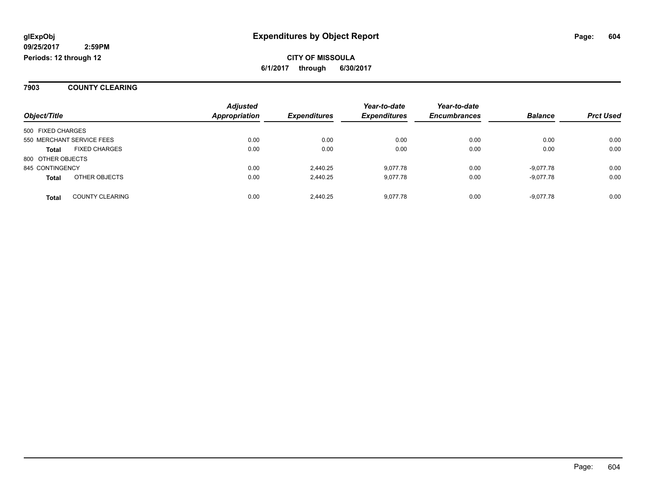#### **7903 COUNTY CLEARING**

|                   |                           | <b>Adjusted</b>      |                     | Year-to-date        | Year-to-date        |                |                  |
|-------------------|---------------------------|----------------------|---------------------|---------------------|---------------------|----------------|------------------|
| Object/Title      |                           | <b>Appropriation</b> | <b>Expenditures</b> | <b>Expenditures</b> | <b>Encumbrances</b> | <b>Balance</b> | <b>Prct Used</b> |
| 500 FIXED CHARGES |                           |                      |                     |                     |                     |                |                  |
|                   | 550 MERCHANT SERVICE FEES | 0.00                 | 0.00                | 0.00                | 0.00                | 0.00           | 0.00             |
| <b>Total</b>      | <b>FIXED CHARGES</b>      | 0.00                 | 0.00                | 0.00                | 0.00                | 0.00           | 0.00             |
| 800 OTHER OBJECTS |                           |                      |                     |                     |                     |                |                  |
| 845 CONTINGENCY   |                           | 0.00                 | 2.440.25            | 9.077.78            | 0.00                | -9.077.78      | 0.00             |
| <b>Total</b>      | OTHER OBJECTS             | 0.00                 | 2.440.25            | 9.077.78            | 0.00                | -9.077.78      | 0.00             |
| <b>Total</b>      | <b>COUNTY CLEARING</b>    | 0.00                 | 2.440.25            | 9.077.78            | 0.00                | -9.077.78      | 0.00             |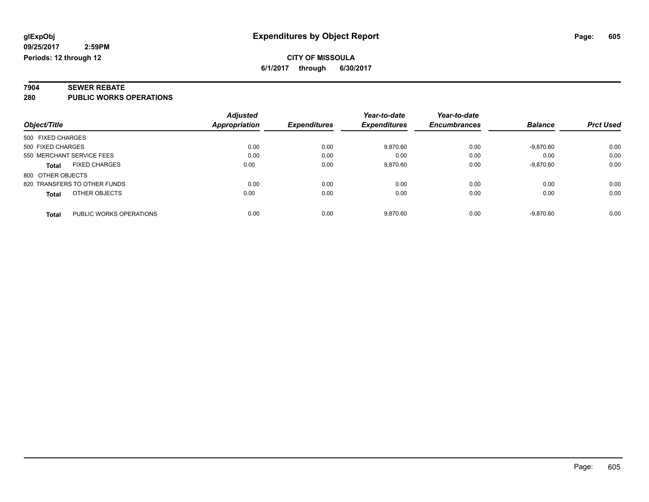# **7904 SEWER REBATE**

**280 PUBLIC WORKS OPERATIONS**

|                                         | <b>Adjusted</b> |                     | Year-to-date        | Year-to-date        |                |                  |
|-----------------------------------------|-----------------|---------------------|---------------------|---------------------|----------------|------------------|
| Object/Title                            | Appropriation   | <b>Expenditures</b> | <b>Expenditures</b> | <b>Encumbrances</b> | <b>Balance</b> | <b>Prct Used</b> |
| 500 FIXED CHARGES                       |                 |                     |                     |                     |                |                  |
| 500 FIXED CHARGES                       | 0.00            | 0.00                | 9,870.60            | 0.00                | $-9,870.60$    | 0.00             |
| 550 MERCHANT SERVICE FEES               | 0.00            | 0.00                | 0.00                | 0.00                | 0.00           | 0.00             |
| <b>FIXED CHARGES</b><br><b>Total</b>    | 0.00            | 0.00                | 9,870.60            | 0.00                | $-9,870.60$    | 0.00             |
| 800 OTHER OBJECTS                       |                 |                     |                     |                     |                |                  |
| 820 TRANSFERS TO OTHER FUNDS            | 0.00            | 0.00                | 0.00                | 0.00                | 0.00           | 0.00             |
| OTHER OBJECTS<br><b>Total</b>           | 0.00            | 0.00                | 0.00                | 0.00                | 0.00           | 0.00             |
| PUBLIC WORKS OPERATIONS<br><b>Total</b> | 0.00            | 0.00                | 9.870.60            | 0.00                | $-9.870.60$    | 0.00             |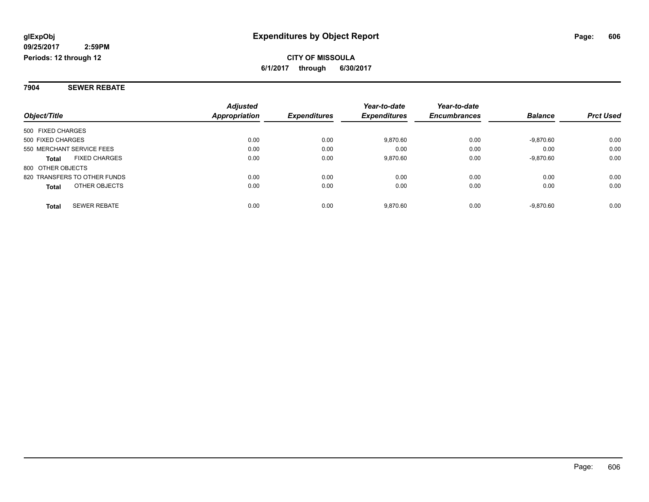**7904 SEWER REBATE**

|                                      | <b>Adjusted</b>      |                     | Year-to-date        | Year-to-date        |                |                  |
|--------------------------------------|----------------------|---------------------|---------------------|---------------------|----------------|------------------|
| Object/Title                         | <b>Appropriation</b> | <b>Expenditures</b> | <b>Expenditures</b> | <b>Encumbrances</b> | <b>Balance</b> | <b>Prct Used</b> |
| 500 FIXED CHARGES                    |                      |                     |                     |                     |                |                  |
| 500 FIXED CHARGES                    | 0.00                 | 0.00                | 9.870.60            | 0.00                | $-9,870.60$    | 0.00             |
| 550 MERCHANT SERVICE FEES            | 0.00                 | 0.00                | 0.00                | 0.00                | 0.00           | 0.00             |
| <b>FIXED CHARGES</b><br><b>Total</b> | 0.00                 | 0.00                | 9,870.60            | 0.00                | $-9,870.60$    | 0.00             |
| 800 OTHER OBJECTS                    |                      |                     |                     |                     |                |                  |
| 820 TRANSFERS TO OTHER FUNDS         | 0.00                 | 0.00                | 0.00                | 0.00                | 0.00           | 0.00             |
| OTHER OBJECTS<br><b>Total</b>        | 0.00                 | 0.00                | 0.00                | 0.00                | 0.00           | 0.00             |
| <b>SEWER REBATE</b><br><b>Total</b>  | 0.00                 | 0.00                | 9.870.60            | 0.00                | $-9.870.60$    | 0.00             |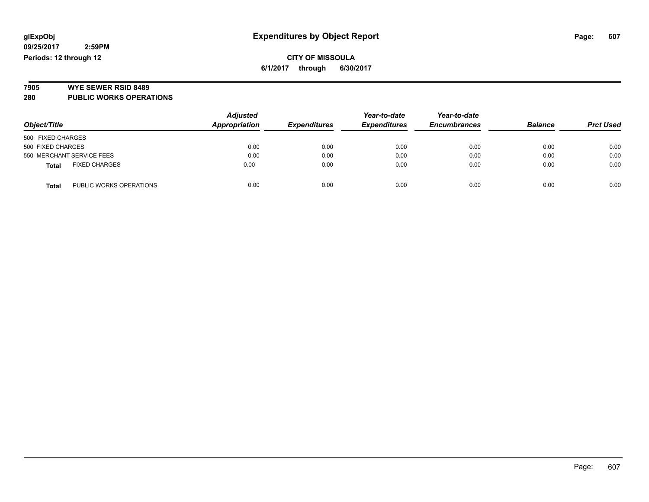### **CITY OF MISSOULA 6/1/2017 through 6/30/2017**

# **7905 WYE SEWER RSID 8489**

**280 PUBLIC WORKS OPERATIONS**

|                                         | <b>Adjusted</b> |                     | Year-to-date        | Year-to-date        |                |                  |
|-----------------------------------------|-----------------|---------------------|---------------------|---------------------|----------------|------------------|
| Object/Title                            | Appropriation   | <b>Expenditures</b> | <b>Expenditures</b> | <b>Encumbrances</b> | <b>Balance</b> | <b>Prct Used</b> |
| 500 FIXED CHARGES                       |                 |                     |                     |                     |                |                  |
| 500 FIXED CHARGES                       | 0.00            | 0.00                | 0.00                | 0.00                | 0.00           | 0.00             |
| 550 MERCHANT SERVICE FEES               | 0.00            | 0.00                | 0.00                | 0.00                | 0.00           | 0.00             |
| <b>FIXED CHARGES</b><br><b>Total</b>    | 0.00            | 0.00                | 0.00                | 0.00                | 0.00           | 0.00             |
| PUBLIC WORKS OPERATIONS<br><b>Total</b> | 0.00            | 0.00                | 0.00                | 0.00                | 0.00           | 0.00             |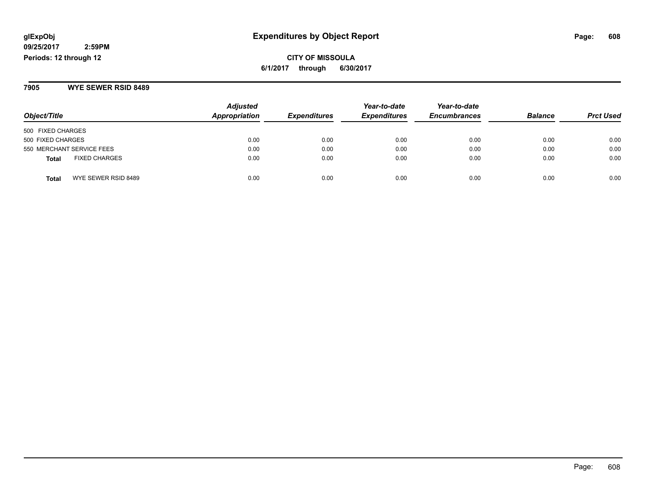## **glExpObj Expenditures by Object Report Page: 608**

**09/25/2017 2:59PM Periods: 12 through 12**

**CITY OF MISSOULA 6/1/2017 through 6/30/2017**

**7905 WYE SEWER RSID 8489**

| Object/Title                         | <b>Adjusted</b><br>Appropriation | <b>Expenditures</b> | Year-to-date<br><b>Expenditures</b> | Year-to-date<br><b>Encumbrances</b> | <b>Balance</b> | <b>Prct Used</b> |
|--------------------------------------|----------------------------------|---------------------|-------------------------------------|-------------------------------------|----------------|------------------|
| 500 FIXED CHARGES                    |                                  |                     |                                     |                                     |                |                  |
| 500 FIXED CHARGES                    | 0.00                             | 0.00                | 0.00                                | 0.00                                | 0.00           | 0.00             |
| 550 MERCHANT SERVICE FEES            | 0.00                             | 0.00                | 0.00                                | 0.00                                | 0.00           | 0.00             |
| <b>FIXED CHARGES</b><br><b>Total</b> | 0.00                             | 0.00                | 0.00                                | 0.00                                | 0.00           | 0.00             |
| WYE SEWER RSID 8489<br><b>Total</b>  | 0.00                             | 0.00                | 0.00                                | 0.00                                | 0.00           | 0.00             |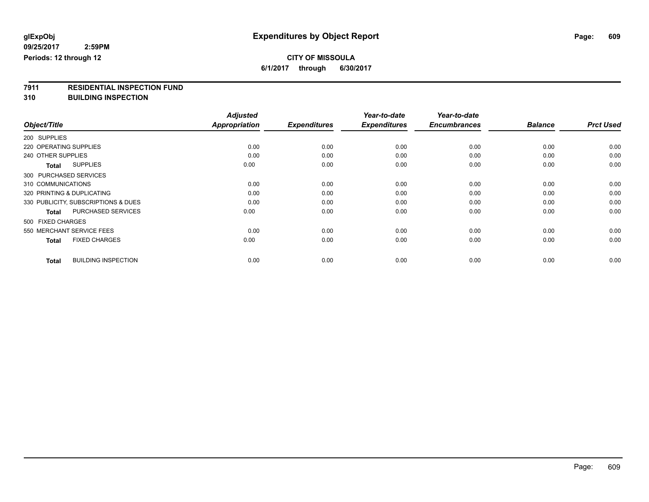## **CITY OF MISSOULA**

**6/1/2017 through 6/30/2017**

# **7911 RESIDENTIAL INSPECTION FUND**

**310 BUILDING INSPECTION**

|                                            | <b>Adjusted</b>      |                     | Year-to-date        | Year-to-date        |                |                  |
|--------------------------------------------|----------------------|---------------------|---------------------|---------------------|----------------|------------------|
| Object/Title                               | <b>Appropriation</b> | <b>Expenditures</b> | <b>Expenditures</b> | <b>Encumbrances</b> | <b>Balance</b> | <b>Prct Used</b> |
| 200 SUPPLIES                               |                      |                     |                     |                     |                |                  |
| 220 OPERATING SUPPLIES                     | 0.00                 | 0.00                | 0.00                | 0.00                | 0.00           | 0.00             |
| 240 OTHER SUPPLIES                         | 0.00                 | 0.00                | 0.00                | 0.00                | 0.00           | 0.00             |
| <b>SUPPLIES</b><br><b>Total</b>            | 0.00                 | 0.00                | 0.00                | 0.00                | 0.00           | 0.00             |
| 300 PURCHASED SERVICES                     |                      |                     |                     |                     |                |                  |
| 310 COMMUNICATIONS                         | 0.00                 | 0.00                | 0.00                | 0.00                | 0.00           | 0.00             |
| 320 PRINTING & DUPLICATING                 | 0.00                 | 0.00                | 0.00                | 0.00                | 0.00           | 0.00             |
| 330 PUBLICITY, SUBSCRIPTIONS & DUES        | 0.00                 | 0.00                | 0.00                | 0.00                | 0.00           | 0.00             |
| PURCHASED SERVICES<br><b>Total</b>         | 0.00                 | 0.00                | 0.00                | 0.00                | 0.00           | 0.00             |
| 500 FIXED CHARGES                          |                      |                     |                     |                     |                |                  |
| 550 MERCHANT SERVICE FEES                  | 0.00                 | 0.00                | 0.00                | 0.00                | 0.00           | 0.00             |
| <b>FIXED CHARGES</b><br><b>Total</b>       | 0.00                 | 0.00                | 0.00                | 0.00                | 0.00           | 0.00             |
| <b>BUILDING INSPECTION</b><br><b>Total</b> | 0.00                 | 0.00                | 0.00                | 0.00                | 0.00           | 0.00             |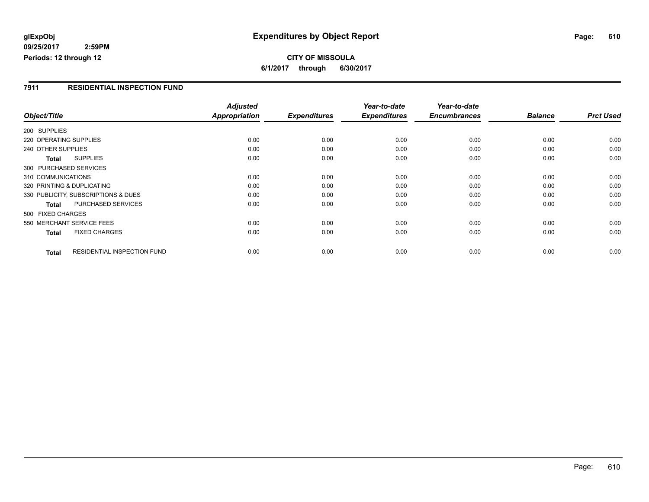### **glExpObj Expenditures by Object Report Page: 610**

**09/25/2017 2:59PM Periods: 12 through 12**

#### **7911 RESIDENTIAL INSPECTION FUND**

|                                      |                                    | <b>Adjusted</b>      |                     | Year-to-date        | Year-to-date        |                |                  |
|--------------------------------------|------------------------------------|----------------------|---------------------|---------------------|---------------------|----------------|------------------|
| Object/Title                         |                                    | <b>Appropriation</b> | <b>Expenditures</b> | <b>Expenditures</b> | <b>Encumbrances</b> | <b>Balance</b> | <b>Prct Used</b> |
| 200 SUPPLIES                         |                                    |                      |                     |                     |                     |                |                  |
| 220 OPERATING SUPPLIES               |                                    | 0.00                 | 0.00                | 0.00                | 0.00                | 0.00           | 0.00             |
| 240 OTHER SUPPLIES                   |                                    | 0.00                 | 0.00                | 0.00                | 0.00                | 0.00           | 0.00             |
| <b>SUPPLIES</b><br>Total             |                                    | 0.00                 | 0.00                | 0.00                | 0.00                | 0.00           | 0.00             |
| 300 PURCHASED SERVICES               |                                    |                      |                     |                     |                     |                |                  |
| 310 COMMUNICATIONS                   |                                    | 0.00                 | 0.00                | 0.00                | 0.00                | 0.00           | 0.00             |
| 320 PRINTING & DUPLICATING           |                                    | 0.00                 | 0.00                | 0.00                | 0.00                | 0.00           | 0.00             |
| 330 PUBLICITY, SUBSCRIPTIONS & DUES  |                                    | 0.00                 | 0.00                | 0.00                | 0.00                | 0.00           | 0.00             |
| <b>Total</b>                         | PURCHASED SERVICES                 | 0.00                 | 0.00                | 0.00                | 0.00                | 0.00           | 0.00             |
| 500 FIXED CHARGES                    |                                    |                      |                     |                     |                     |                |                  |
| 550 MERCHANT SERVICE FEES            |                                    | 0.00                 | 0.00                | 0.00                | 0.00                | 0.00           | 0.00             |
| <b>FIXED CHARGES</b><br><b>Total</b> |                                    | 0.00                 | 0.00                | 0.00                | 0.00                | 0.00           | 0.00             |
| <b>Total</b>                         | <b>RESIDENTIAL INSPECTION FUND</b> | 0.00                 | 0.00                | 0.00                | 0.00                | 0.00           | 0.00             |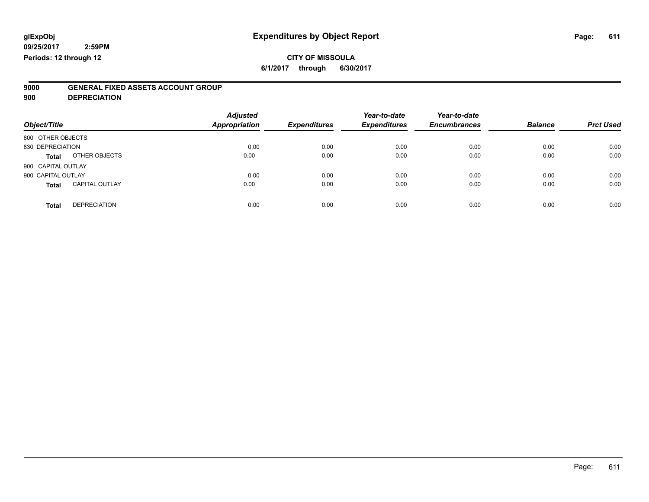## **CITY OF MISSOULA**

**6/1/2017 through 6/30/2017**

# **9000 GENERAL FIXED ASSETS ACCOUNT GROUP**

**900 DEPRECIATION**

| Object/Title                          | <b>Adjusted</b><br><b>Appropriation</b> | <b>Expenditures</b> | Year-to-date<br><b>Expenditures</b> | Year-to-date<br><b>Encumbrances</b> | <b>Balance</b> | <b>Prct Used</b> |
|---------------------------------------|-----------------------------------------|---------------------|-------------------------------------|-------------------------------------|----------------|------------------|
| 800 OTHER OBJECTS                     |                                         |                     |                                     |                                     |                |                  |
| 830 DEPRECIATION                      | 0.00                                    | 0.00                | 0.00                                | 0.00                                | 0.00           | 0.00             |
| OTHER OBJECTS<br>Total                | 0.00                                    | 0.00                | 0.00                                | 0.00                                | 0.00           | 0.00             |
| 900 CAPITAL OUTLAY                    |                                         |                     |                                     |                                     |                |                  |
| 900 CAPITAL OUTLAY                    | 0.00                                    | 0.00                | 0.00                                | 0.00                                | 0.00           | 0.00             |
| <b>CAPITAL OUTLAY</b><br><b>Total</b> | 0.00                                    | 0.00                | 0.00                                | 0.00                                | 0.00           | 0.00             |
| <b>DEPRECIATION</b><br><b>Total</b>   | 0.00                                    | 0.00                | 0.00                                | 0.00                                | 0.00           | 0.00             |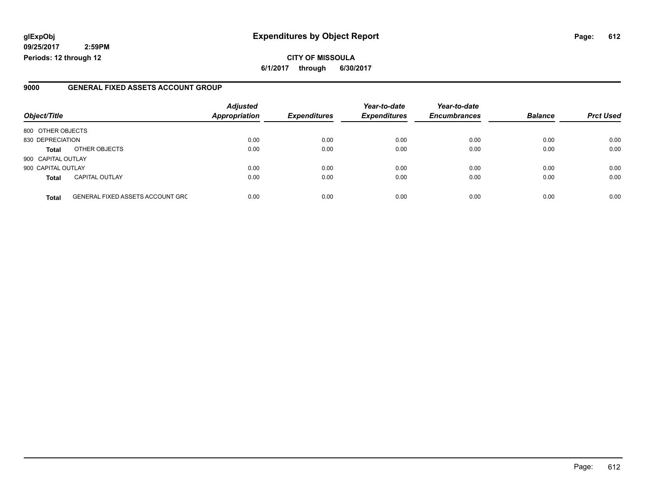### **glExpObj Expenditures by Object Report Page: 612**

**09/25/2017 2:59PM Periods: 12 through 12**

#### **9000 GENERAL FIXED ASSETS ACCOUNT GROUP**

| Object/Title       |                                         | <b>Adjusted</b><br>Appropriation | <b>Expenditures</b> | Year-to-date<br><b>Expenditures</b> | Year-to-date<br><b>Encumbrances</b> | <b>Balance</b> | <b>Prct Used</b> |
|--------------------|-----------------------------------------|----------------------------------|---------------------|-------------------------------------|-------------------------------------|----------------|------------------|
| 800 OTHER OBJECTS  |                                         |                                  |                     |                                     |                                     |                |                  |
| 830 DEPRECIATION   |                                         | 0.00                             | 0.00                | 0.00                                | 0.00                                | 0.00           | 0.00             |
| <b>Total</b>       | OTHER OBJECTS                           | 0.00                             | 0.00                | 0.00                                | 0.00                                | 0.00           | 0.00             |
| 900 CAPITAL OUTLAY |                                         |                                  |                     |                                     |                                     |                |                  |
| 900 CAPITAL OUTLAY |                                         | 0.00                             | 0.00                | 0.00                                | 0.00                                | 0.00           | 0.00             |
| <b>Total</b>       | <b>CAPITAL OUTLAY</b>                   | 0.00                             | 0.00                | 0.00                                | 0.00                                | 0.00           | 0.00             |
| <b>Total</b>       | <b>GENERAL FIXED ASSETS ACCOUNT GRC</b> | 0.00                             | 0.00                | 0.00                                | 0.00                                | 0.00           | 0.00             |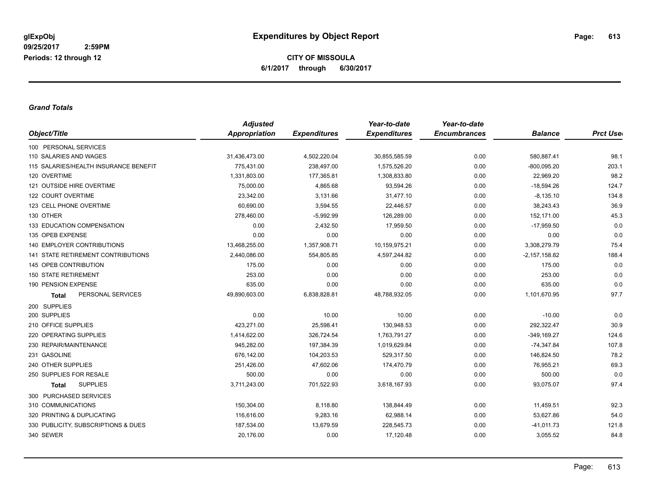**CITY OF MISSOULA 6/1/2017 through 6/30/2017**

## *Grand Totals*

| Object/Title<br><b>Appropriation</b><br><b>Expenditures</b><br><b>Encumbrances</b><br><b>Expenditures</b><br>100 PERSONAL SERVICES<br>110 SALARIES AND WAGES<br>31,436,473.00<br>4,502,220.04<br>30,855,585.59<br>0.00<br>115 SALARIES/HEALTH INSURANCE BENEFIT<br>775.431.00<br>238,497.00<br>1.575.526.20<br>0.00<br>120 OVERTIME<br>1,331,803.00<br>177,365.81<br>1,308,833.80<br>0.00<br>121 OUTSIDE HIRE OVERTIME<br>75,000.00<br>4,865.68<br>93,594.26<br>0.00<br>23,342.00<br>3,131.66<br>31,477.10<br>122 COURT OVERTIME<br>0.00<br>123 CELL PHONE OVERTIME<br>60,690.00<br>3,594.55<br>0.00<br>22,446.57<br>130 OTHER<br>0.00<br>278,460.00<br>$-5,992.99$<br>126,289.00<br>0.00<br><b>133 EDUCATION COMPENSATION</b><br>2,432.50<br>17,959.50<br>0.00<br>135 OPEB EXPENSE<br>0.00<br>0.00<br>0.00<br>0.00<br><b>140 EMPLOYER CONTRIBUTIONS</b><br>13,468,255.00<br>1,357,908.71<br>10,159,975.21<br>0.00<br>3,308,279.79<br>141 STATE RETIREMENT CONTRIBUTIONS<br>2,440,086.00<br>554,805.85<br>4,597,244.82<br>0.00<br>$-2,157,158.82$<br>145 OPEB CONTRIBUTION<br>175.00<br>0.00<br>0.00<br>0.00<br>253.00<br>0.00<br><b>150 STATE RETIREMENT</b><br>0.00<br>0.00<br>635.00<br>0.00<br>190 PENSION EXPENSE<br>0.00<br>0.00<br>PERSONAL SERVICES<br>49,890,603.00<br>6,838,828.81<br>48,788,932.05<br>0.00<br><b>Total</b><br>200 SUPPLIES<br>0.00<br>10.00<br>200 SUPPLIES<br>10.00<br>0.00 | <b>Prct Use</b><br><b>Balance</b><br>580,887.41<br>98.1<br>203.1<br>$-800.095.20$<br>98.2<br>22,969.20 |
|---------------------------------------------------------------------------------------------------------------------------------------------------------------------------------------------------------------------------------------------------------------------------------------------------------------------------------------------------------------------------------------------------------------------------------------------------------------------------------------------------------------------------------------------------------------------------------------------------------------------------------------------------------------------------------------------------------------------------------------------------------------------------------------------------------------------------------------------------------------------------------------------------------------------------------------------------------------------------------------------------------------------------------------------------------------------------------------------------------------------------------------------------------------------------------------------------------------------------------------------------------------------------------------------------------------------------------------------------------------------------------------------------------|--------------------------------------------------------------------------------------------------------|
|                                                                                                                                                                                                                                                                                                                                                                                                                                                                                                                                                                                                                                                                                                                                                                                                                                                                                                                                                                                                                                                                                                                                                                                                                                                                                                                                                                                                         |                                                                                                        |
|                                                                                                                                                                                                                                                                                                                                                                                                                                                                                                                                                                                                                                                                                                                                                                                                                                                                                                                                                                                                                                                                                                                                                                                                                                                                                                                                                                                                         |                                                                                                        |
|                                                                                                                                                                                                                                                                                                                                                                                                                                                                                                                                                                                                                                                                                                                                                                                                                                                                                                                                                                                                                                                                                                                                                                                                                                                                                                                                                                                                         |                                                                                                        |
|                                                                                                                                                                                                                                                                                                                                                                                                                                                                                                                                                                                                                                                                                                                                                                                                                                                                                                                                                                                                                                                                                                                                                                                                                                                                                                                                                                                                         |                                                                                                        |
|                                                                                                                                                                                                                                                                                                                                                                                                                                                                                                                                                                                                                                                                                                                                                                                                                                                                                                                                                                                                                                                                                                                                                                                                                                                                                                                                                                                                         |                                                                                                        |
|                                                                                                                                                                                                                                                                                                                                                                                                                                                                                                                                                                                                                                                                                                                                                                                                                                                                                                                                                                                                                                                                                                                                                                                                                                                                                                                                                                                                         | $-18,594.26$<br>124.7                                                                                  |
|                                                                                                                                                                                                                                                                                                                                                                                                                                                                                                                                                                                                                                                                                                                                                                                                                                                                                                                                                                                                                                                                                                                                                                                                                                                                                                                                                                                                         | 134.8<br>$-8,135.10$                                                                                   |
|                                                                                                                                                                                                                                                                                                                                                                                                                                                                                                                                                                                                                                                                                                                                                                                                                                                                                                                                                                                                                                                                                                                                                                                                                                                                                                                                                                                                         | 36.9<br>38,243.43                                                                                      |
|                                                                                                                                                                                                                                                                                                                                                                                                                                                                                                                                                                                                                                                                                                                                                                                                                                                                                                                                                                                                                                                                                                                                                                                                                                                                                                                                                                                                         | 45.3<br>152,171.00                                                                                     |
|                                                                                                                                                                                                                                                                                                                                                                                                                                                                                                                                                                                                                                                                                                                                                                                                                                                                                                                                                                                                                                                                                                                                                                                                                                                                                                                                                                                                         | $-17,959.50$<br>0.0                                                                                    |
|                                                                                                                                                                                                                                                                                                                                                                                                                                                                                                                                                                                                                                                                                                                                                                                                                                                                                                                                                                                                                                                                                                                                                                                                                                                                                                                                                                                                         | 0.0<br>0.00                                                                                            |
|                                                                                                                                                                                                                                                                                                                                                                                                                                                                                                                                                                                                                                                                                                                                                                                                                                                                                                                                                                                                                                                                                                                                                                                                                                                                                                                                                                                                         | 75.4                                                                                                   |
|                                                                                                                                                                                                                                                                                                                                                                                                                                                                                                                                                                                                                                                                                                                                                                                                                                                                                                                                                                                                                                                                                                                                                                                                                                                                                                                                                                                                         | 188.4                                                                                                  |
|                                                                                                                                                                                                                                                                                                                                                                                                                                                                                                                                                                                                                                                                                                                                                                                                                                                                                                                                                                                                                                                                                                                                                                                                                                                                                                                                                                                                         | 0.0<br>175.00                                                                                          |
|                                                                                                                                                                                                                                                                                                                                                                                                                                                                                                                                                                                                                                                                                                                                                                                                                                                                                                                                                                                                                                                                                                                                                                                                                                                                                                                                                                                                         | 253.00<br>0.0                                                                                          |
|                                                                                                                                                                                                                                                                                                                                                                                                                                                                                                                                                                                                                                                                                                                                                                                                                                                                                                                                                                                                                                                                                                                                                                                                                                                                                                                                                                                                         | 635.00<br>0.0                                                                                          |
|                                                                                                                                                                                                                                                                                                                                                                                                                                                                                                                                                                                                                                                                                                                                                                                                                                                                                                                                                                                                                                                                                                                                                                                                                                                                                                                                                                                                         | 97.7<br>1,101,670.95                                                                                   |
|                                                                                                                                                                                                                                                                                                                                                                                                                                                                                                                                                                                                                                                                                                                                                                                                                                                                                                                                                                                                                                                                                                                                                                                                                                                                                                                                                                                                         |                                                                                                        |
|                                                                                                                                                                                                                                                                                                                                                                                                                                                                                                                                                                                                                                                                                                                                                                                                                                                                                                                                                                                                                                                                                                                                                                                                                                                                                                                                                                                                         | $-10.00$<br>0.0                                                                                        |
| 210 OFFICE SUPPLIES<br>423,271.00<br>25,598.41<br>130,948.53<br>0.00                                                                                                                                                                                                                                                                                                                                                                                                                                                                                                                                                                                                                                                                                                                                                                                                                                                                                                                                                                                                                                                                                                                                                                                                                                                                                                                                    | 30.9<br>292,322.47                                                                                     |
| 220 OPERATING SUPPLIES<br>326,724.54<br>1,414,622.00<br>1,763,791.27<br>0.00                                                                                                                                                                                                                                                                                                                                                                                                                                                                                                                                                                                                                                                                                                                                                                                                                                                                                                                                                                                                                                                                                                                                                                                                                                                                                                                            | 124.6<br>$-349,169.27$                                                                                 |
| 230 REPAIR/MAINTENANCE<br>945,282.00<br>197,384.39<br>1,019,629.84<br>0.00                                                                                                                                                                                                                                                                                                                                                                                                                                                                                                                                                                                                                                                                                                                                                                                                                                                                                                                                                                                                                                                                                                                                                                                                                                                                                                                              | $-74,347.84$<br>107.8                                                                                  |
| 231 GASOLINE<br>676,142.00<br>104,203.53<br>529,317.50<br>0.00                                                                                                                                                                                                                                                                                                                                                                                                                                                                                                                                                                                                                                                                                                                                                                                                                                                                                                                                                                                                                                                                                                                                                                                                                                                                                                                                          | 78.2<br>146,824.50                                                                                     |
| 240 OTHER SUPPLIES<br>251,426.00<br>47,602.06<br>174,470.79<br>0.00                                                                                                                                                                                                                                                                                                                                                                                                                                                                                                                                                                                                                                                                                                                                                                                                                                                                                                                                                                                                                                                                                                                                                                                                                                                                                                                                     | 69.3<br>76,955.21                                                                                      |
| 500.00<br>0.00<br>250 SUPPLIES FOR RESALE<br>0.00<br>0.00                                                                                                                                                                                                                                                                                                                                                                                                                                                                                                                                                                                                                                                                                                                                                                                                                                                                                                                                                                                                                                                                                                                                                                                                                                                                                                                                               | 0.0<br>500.00                                                                                          |
| <b>SUPPLIES</b><br>3,711,243.00<br>701,522.93<br>3,618,167.93<br>0.00<br><b>Total</b>                                                                                                                                                                                                                                                                                                                                                                                                                                                                                                                                                                                                                                                                                                                                                                                                                                                                                                                                                                                                                                                                                                                                                                                                                                                                                                                   | 97.4<br>93,075.07                                                                                      |
| 300 PURCHASED SERVICES                                                                                                                                                                                                                                                                                                                                                                                                                                                                                                                                                                                                                                                                                                                                                                                                                                                                                                                                                                                                                                                                                                                                                                                                                                                                                                                                                                                  |                                                                                                        |
| 310 COMMUNICATIONS<br>150,304.00<br>8,118.80<br>138,844.49<br>0.00                                                                                                                                                                                                                                                                                                                                                                                                                                                                                                                                                                                                                                                                                                                                                                                                                                                                                                                                                                                                                                                                                                                                                                                                                                                                                                                                      | 92.3<br>11,459.51                                                                                      |
| 320 PRINTING & DUPLICATING<br>9,283.16<br>62,988.14<br>116,616.00<br>0.00                                                                                                                                                                                                                                                                                                                                                                                                                                                                                                                                                                                                                                                                                                                                                                                                                                                                                                                                                                                                                                                                                                                                                                                                                                                                                                                               | 54.0<br>53,627.86                                                                                      |
| 330 PUBLICITY, SUBSCRIPTIONS & DUES<br>187,534.00<br>13,679.59<br>228,545.73<br>0.00                                                                                                                                                                                                                                                                                                                                                                                                                                                                                                                                                                                                                                                                                                                                                                                                                                                                                                                                                                                                                                                                                                                                                                                                                                                                                                                    | 121.8<br>$-41,011.73$                                                                                  |
| 340 SEWER<br>20,176.00<br>0.00<br>17,120.48<br>0.00<br>3,055.52                                                                                                                                                                                                                                                                                                                                                                                                                                                                                                                                                                                                                                                                                                                                                                                                                                                                                                                                                                                                                                                                                                                                                                                                                                                                                                                                         | 84.8                                                                                                   |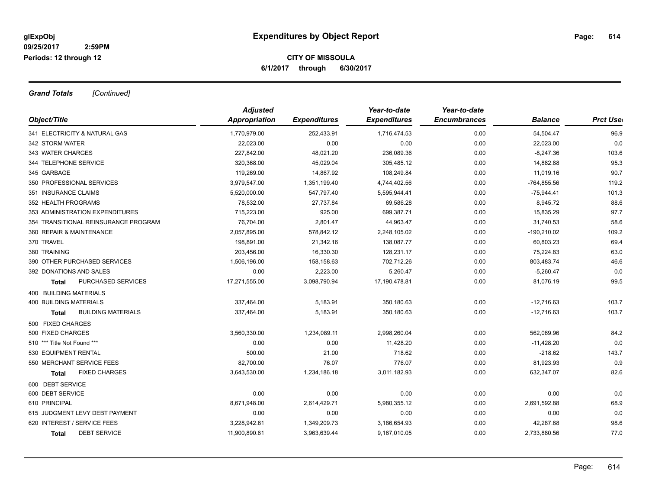## **CITY OF MISSOULA 6/1/2017 through 6/30/2017**

*Grand Totals [Continued]*

| Object/Title                         | <b>Adjusted</b> |                     | Year-to-date        | Year-to-date        |                |                  |
|--------------------------------------|-----------------|---------------------|---------------------|---------------------|----------------|------------------|
|                                      | Appropriation   | <b>Expenditures</b> | <b>Expenditures</b> | <b>Encumbrances</b> | <b>Balance</b> | <b>Prct Uset</b> |
| 341 ELECTRICITY & NATURAL GAS        | 1,770,979.00    | 252,433.91          | 1,716,474.53        | 0.00                | 54,504.47      | 96.9             |
| 342 STORM WATER                      | 22,023.00       | 0.00                | 0.00                | 0.00                | 22,023.00      | 0.0              |
| 343 WATER CHARGES                    | 227,842.00      | 48,021.20           | 236,089.36          | 0.00                | $-8,247.36$    | 103.6            |
| 344 TELEPHONE SERVICE                | 320,368.00      | 45,029.04           | 305,485.12          | 0.00                | 14,882.88      | 95.3             |
| 345 GARBAGE                          | 119,269.00      | 14,867.92           | 108,249.84          | 0.00                | 11,019.16      | 90.7             |
| 350 PROFESSIONAL SERVICES            | 3,979,547.00    | 1,351,199.40        | 4,744,402.56        | 0.00                | $-764,855.56$  | 119.2            |
| 351 INSURANCE CLAIMS                 | 5,520,000.00    | 547,797.40          | 5,595,944.41        | 0.00                | $-75,944.41$   | 101.3            |
| 352 HEALTH PROGRAMS                  | 78,532.00       | 27,737.84           | 69,586.28           | 0.00                | 8,945.72       | 88.6             |
| 353 ADMINISTRATION EXPENDITURES      | 715,223.00      | 925.00              | 699.387.71          | 0.00                | 15,835.29      | 97.7             |
| 354 TRANSITIONAL REINSURANCE PROGRAM | 76,704.00       | 2,801.47            | 44,963.47           | 0.00                | 31,740.53      | 58.6             |
| 360 REPAIR & MAINTENANCE             | 2,057,895.00    | 578,842.12          | 2,248,105.02        | 0.00                | $-190,210.02$  | 109.2            |
| 370 TRAVEL                           | 198,891.00      | 21,342.16           | 138,087.77          | 0.00                | 60,803.23      | 69.4             |
| 380 TRAINING                         | 203,456.00      | 16,330.30           | 128,231.17          | 0.00                | 75,224.83      | 63.0             |
| 390 OTHER PURCHASED SERVICES         | 1,506,196.00    | 158,158.63          | 702,712.26          | 0.00                | 803,483.74     | 46.6             |
| 392 DONATIONS AND SALES              | 0.00            | 2,223.00            | 5,260.47            | 0.00                | $-5,260.47$    | 0.0              |
| PURCHASED SERVICES<br>Total          | 17,271,555.00   | 3,098,790.94        | 17,190,478.81       | 0.00                | 81,076.19      | 99.5             |
| 400 BUILDING MATERIALS               |                 |                     |                     |                     |                |                  |
| <b>400 BUILDING MATERIALS</b>        | 337,464.00      | 5,183.91            | 350,180.63          | 0.00                | $-12,716.63$   | 103.7            |
| <b>BUILDING MATERIALS</b><br>Total   | 337,464.00      | 5,183.91            | 350,180.63          | 0.00                | $-12,716.63$   | 103.7            |
| 500 FIXED CHARGES                    |                 |                     |                     |                     |                |                  |
| 500 FIXED CHARGES                    | 3,560,330.00    | 1,234,089.11        | 2,998,260.04        | 0.00                | 562,069.96     | 84.2             |
| 510 *** Title Not Found ***          | 0.00            | 0.00                | 11,428.20           | 0.00                | $-11,428.20$   | 0.0              |
| 530 EQUIPMENT RENTAL                 | 500.00          | 21.00               | 718.62              | 0.00                | $-218.62$      | 143.7            |
| 550 MERCHANT SERVICE FEES            | 82,700.00       | 76.07               | 776.07              | 0.00                | 81,923.93      | 0.9              |
| <b>FIXED CHARGES</b><br>Total        | 3,643,530.00    | 1,234,186.18        | 3,011,182.93        | 0.00                | 632,347.07     | 82.6             |
| 600 DEBT SERVICE                     |                 |                     |                     |                     |                |                  |
| 600 DEBT SERVICE                     | 0.00            | 0.00                | 0.00                | 0.00                | 0.00           | 0.0              |
| 610 PRINCIPAL                        | 8,671,948.00    | 2,614,429.71        | 5,980,355.12        | 0.00                | 2,691,592.88   | 68.9             |
| 615 JUDGMENT LEVY DEBT PAYMENT       | 0.00            | 0.00                | 0.00                | 0.00                | 0.00           | 0.0              |
| 620 INTEREST / SERVICE FEES          | 3,228,942.61    | 1,349,209.73        | 3,186,654.93        | 0.00                | 42,287.68      | 98.6             |
| <b>DEBT SERVICE</b><br><b>Total</b>  | 11,900,890.61   | 3,963,639.44        | 9,167,010.05        | 0.00                | 2,733,880.56   | 77.0             |